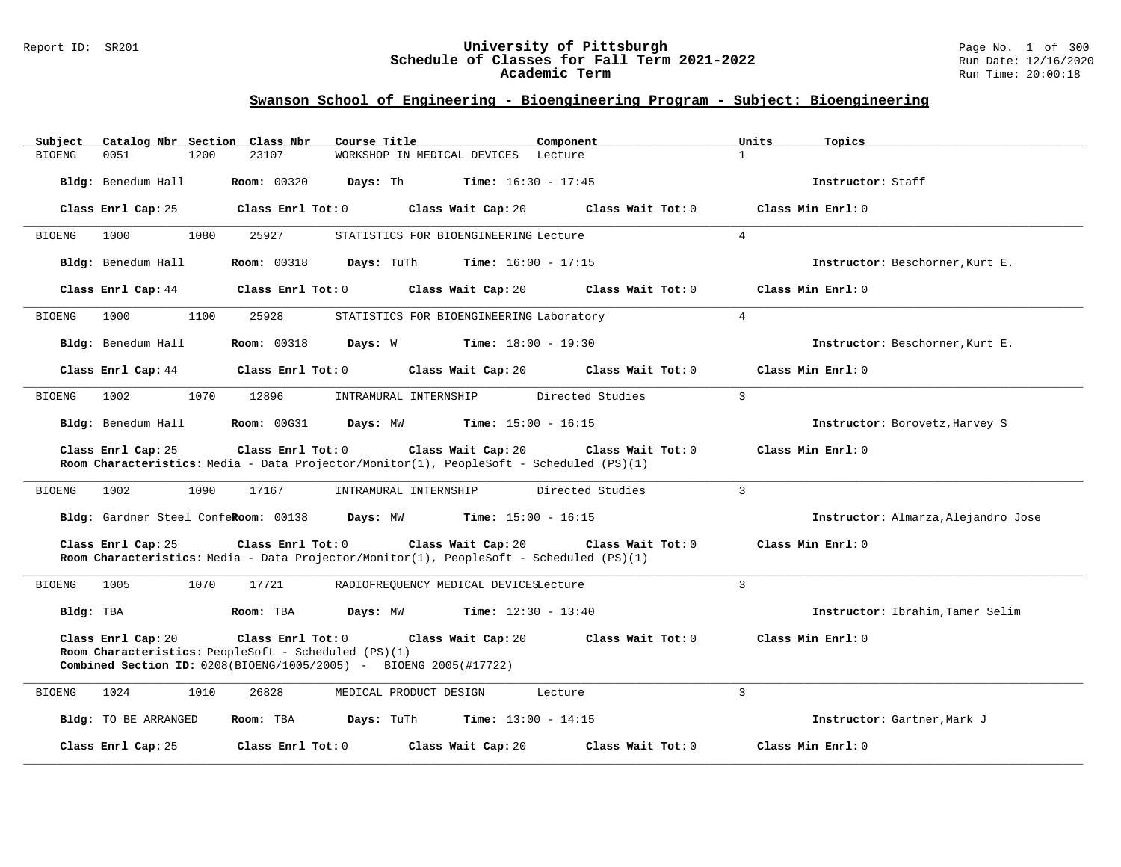#### Report ID: SR201 **University of Pittsburgh** Page No. 1 of 300 **Schedule of Classes for Fall Term 2021-2022** Run Date: 12/16/2020 **Academic Term** Run Time: 20:00:18

| Catalog Nbr Section Class Nbr<br>Course Title<br>Subject<br>Component                                                                                                                                                    | Units<br>Topics                     |
|--------------------------------------------------------------------------------------------------------------------------------------------------------------------------------------------------------------------------|-------------------------------------|
| 23107<br><b>BIOENG</b><br>0051<br>1200<br>WORKSHOP IN MEDICAL DEVICES Lecture                                                                                                                                            | $\mathbf{1}$                        |
| Bldg: Benedum Hall<br><b>Room: 00320</b><br>Days: Th<br><b>Time:</b> $16:30 - 17:45$                                                                                                                                     | Instructor: Staff                   |
| Class Enrl Cap: 25<br>Class Enrl Tot: 0<br>Class Wait Cap: 20<br>Class Wait Tot: 0                                                                                                                                       | Class Min Enrl: 0                   |
| <b>BIOENG</b><br>1000<br>1080<br>25927<br>STATISTICS FOR BIOENGINEERING Lecture                                                                                                                                          | 4                                   |
| Bldg: Benedum Hall<br><b>Room: 00318</b><br>Days: TuTh<br><b>Time:</b> $16:00 - 17:15$                                                                                                                                   | Instructor: Beschorner, Kurt E.     |
| Class Enrl Cap: 44<br>Class Enrl Tot: 0<br>Class Wait Cap: 20<br>Class Wait Tot: 0                                                                                                                                       | Class Min Enrl: 0                   |
| BIOENG<br>1000<br>1100<br>25928<br>STATISTICS FOR BIOENGINEERING Laboratory                                                                                                                                              | $4\overline{ }$                     |
| Days: W<br><b>Time:</b> $18:00 - 19:30$<br>Bldg: Benedum Hall<br><b>Room: 00318</b>                                                                                                                                      | Instructor: Beschorner, Kurt E.     |
| Class Enrl Cap: 44<br>Class Enrl Tot: 0<br>Class Wait Cap: 20<br>Class Wait Tot: 0                                                                                                                                       | Class Min Enrl: 0                   |
| 1070<br>Directed Studies<br>BIOENG<br>1002<br>12896<br>INTRAMURAL INTERNSHIP                                                                                                                                             | 3                                   |
| Bldg: Benedum Hall<br><b>Room: 00G31</b><br>Time: $15:00 - 16:15$<br>Days: MW                                                                                                                                            | Instructor: Borovetz, Harvey S      |
| Class Enrl Cap: 25<br>Class Enrl Tot: 0<br>Class Wait Cap: 20<br>Class Wait Tot: 0<br>Room Characteristics: Media - Data Projector/Monitor(1), PeopleSoft - Scheduled (PS)(1)                                            | Class Min Enrl: 0                   |
| Directed Studies<br><b>BIOENG</b><br>1002<br>1090<br>17167<br>INTRAMURAL INTERNSHIP                                                                                                                                      | $\overline{3}$                      |
| Bldg: Gardner Steel ConfeRoom: 00138<br>Days: MW<br><b>Time:</b> $15:00 - 16:15$                                                                                                                                         | Instructor: Almarza, Alejandro Jose |
| Class Enrl Cap: 25<br>Class Enrl Tot: 0<br>Class Wait Cap: 20<br>Class Wait Tot: 0<br>Room Characteristics: Media - Data Projector/Monitor(1), PeopleSoft - Scheduled (PS)(1)                                            | Class Min Enrl: 0                   |
| <b>BIOENG</b><br>1005<br>1070<br>17721<br>RADIOFREQUENCY MEDICAL DEVICESLecture                                                                                                                                          | 3                                   |
| Bldg: TBA<br>Room: TBA<br>Days: MW<br><b>Time:</b> $12:30 - 13:40$                                                                                                                                                       | Instructor: Ibrahim, Tamer Selim    |
| Class Enrl Cap: 20<br>Class Enrl Tot: 0<br>Class Wait Cap: 20<br>Class Wait Tot: 0<br>Room Characteristics: PeopleSoft - Scheduled (PS)(1)<br><b>Combined Section ID:</b> $0208(BIOENG/1005/2005) - BIOENG 2005(#17722)$ | Class Min Enrl: 0                   |
| 26828<br>1024<br>1010<br>MEDICAL PRODUCT DESIGN<br>Lecture<br><b>BIOENG</b>                                                                                                                                              | $\overline{3}$                      |
| Bldg: TO BE ARRANGED<br>Room: TBA<br>Days: TuTh<br><b>Time:</b> $13:00 - 14:15$                                                                                                                                          | Instructor: Gartner, Mark J         |
| Class Wait Tot: 0<br>Class Enrl Cap: 25<br>Class Enrl Tot: $0$<br>Class Wait Cap: 20                                                                                                                                     | Class Min Enrl: 0                   |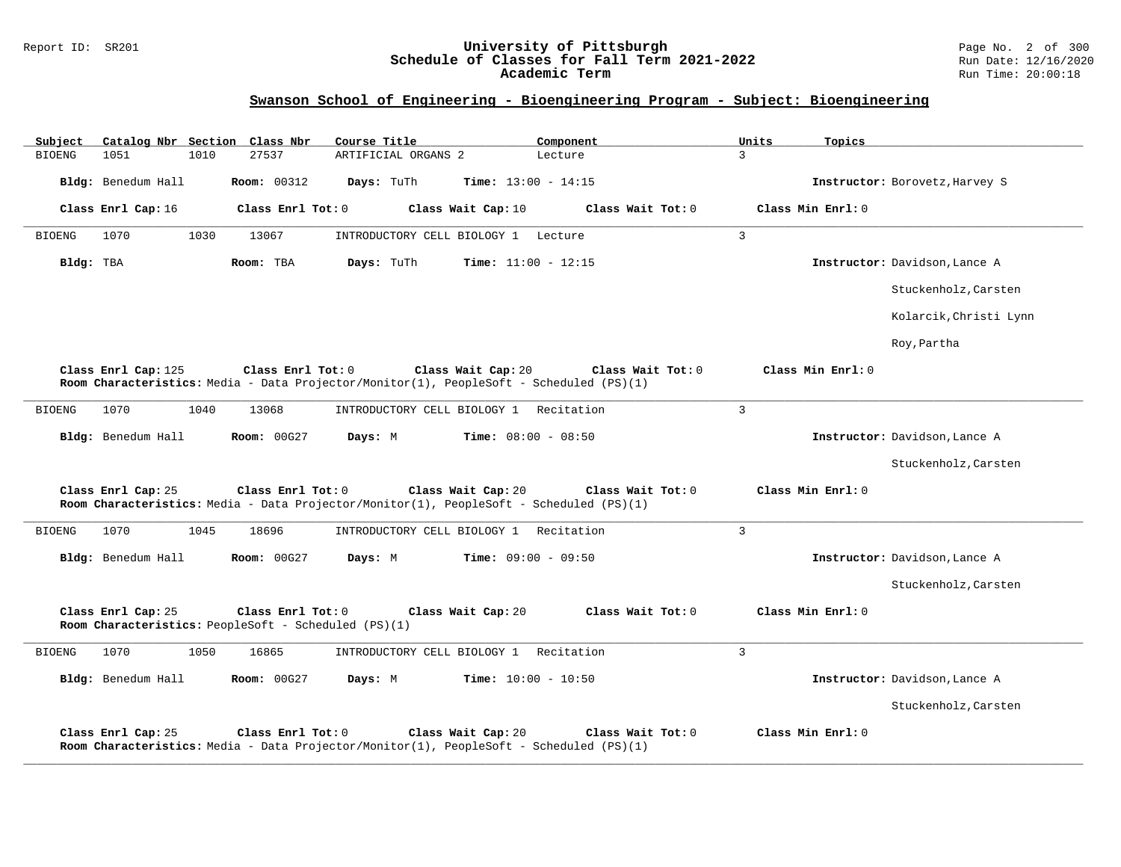### Report ID: SR201 **University of Pittsburgh** Page No. 2 of 300 **Schedule of Classes for Fall Term 2021-2022** Run Date: 12/16/2020 **Academic Term** Run Time: 20:00:18

| Subject<br>Catalog Nbr Section Class Nbr                                                        | Course Title<br>Component                                                                                                          | Units<br>Topics                |
|-------------------------------------------------------------------------------------------------|------------------------------------------------------------------------------------------------------------------------------------|--------------------------------|
| 1051<br>1010<br>27537<br><b>BIOENG</b>                                                          | ARTIFICIAL ORGANS 2<br>Lecture                                                                                                     | $\mathbf{3}$                   |
| Bldg: Benedum Hall<br><b>Room: 00312</b>                                                        | Days: TuTh<br><b>Time:</b> $13:00 - 14:15$                                                                                         | Instructor: Borovetz, Harvey S |
| Class Enrl Cap: 16<br>Class Enrl Tot: 0                                                         | Class Wait Cap: 10<br>Class Wait Tot: 0                                                                                            | Class Min Enrl: 0              |
| <b>BIOENG</b><br>1070<br>1030<br>13067                                                          | INTRODUCTORY CELL BIOLOGY 1 Lecture                                                                                                | 3                              |
| Bldg: TBA<br>Room: TBA                                                                          | Days: TuTh<br><b>Time:</b> $11:00 - 12:15$                                                                                         | Instructor: Davidson, Lance A  |
|                                                                                                 |                                                                                                                                    | Stuckenholz, Carsten           |
|                                                                                                 |                                                                                                                                    | Kolarcik, Christi Lynn         |
|                                                                                                 |                                                                                                                                    | Roy, Partha                    |
| Class Enrl Cap: 125<br>Class Enrl Tot: $0$                                                      | Class Wait Cap: 20<br>Class Wait Tot: 0<br>Room Characteristics: Media - Data Projector/Monitor(1), PeopleSoft - Scheduled (PS)(1) | Class Min Enrl: 0              |
| 1040<br>1070<br>13068<br><b>BIOENG</b>                                                          | INTRODUCTORY CELL BIOLOGY 1 Recitation                                                                                             | $\overline{3}$                 |
| Bldg: Benedum Hall<br><b>Room: 00G27</b>                                                        | Time: $08:00 - 08:50$<br>Days: M                                                                                                   | Instructor: Davidson, Lance A  |
|                                                                                                 |                                                                                                                                    | Stuckenholz, Carsten           |
| Class Enrl Cap: 25<br>Class Enrl Tot: 0                                                         | Class Wait Cap: 20<br>Class Wait Tot: 0<br>Room Characteristics: Media - Data Projector/Monitor(1), PeopleSoft - Scheduled (PS)(1) | Class Min Enrl: 0              |
| 1070<br>1045<br>18696<br><b>BIOENG</b>                                                          | INTRODUCTORY CELL BIOLOGY 1 Recitation                                                                                             | $\overline{3}$                 |
| Bldg: Benedum Hall<br>Room: 00G27                                                               | <b>Time:</b> $09:00 - 09:50$<br>Days: M                                                                                            | Instructor: Davidson, Lance A  |
|                                                                                                 |                                                                                                                                    | Stuckenholz, Carsten           |
| Class Enrl Cap: 25<br>Class Enrl Tot: 0<br>Room Characteristics: PeopleSoft - Scheduled (PS)(1) | Class Wait Tot: 0<br>Class Wait Cap: 20                                                                                            | Class Min Enrl: 0              |
| 1050<br><b>BIOENG</b><br>1070<br>16865                                                          | INTRODUCTORY CELL BIOLOGY 1 Recitation                                                                                             | $\overline{3}$                 |
| Bldg: Benedum Hall<br>Room: 00G27                                                               | Days: M<br>Time: $10:00 - 10:50$                                                                                                   | Instructor: Davidson, Lance A  |
|                                                                                                 |                                                                                                                                    | Stuckenholz, Carsten           |
| Class Enrl Tot: 0<br>Class Enrl Cap: 25                                                         | Class Wait Cap: 20<br>Class Wait Tot: 0<br>Room Characteristics: Media - Data Projector/Monitor(1), PeopleSoft - Scheduled (PS)(1) | Class Min Enrl: 0              |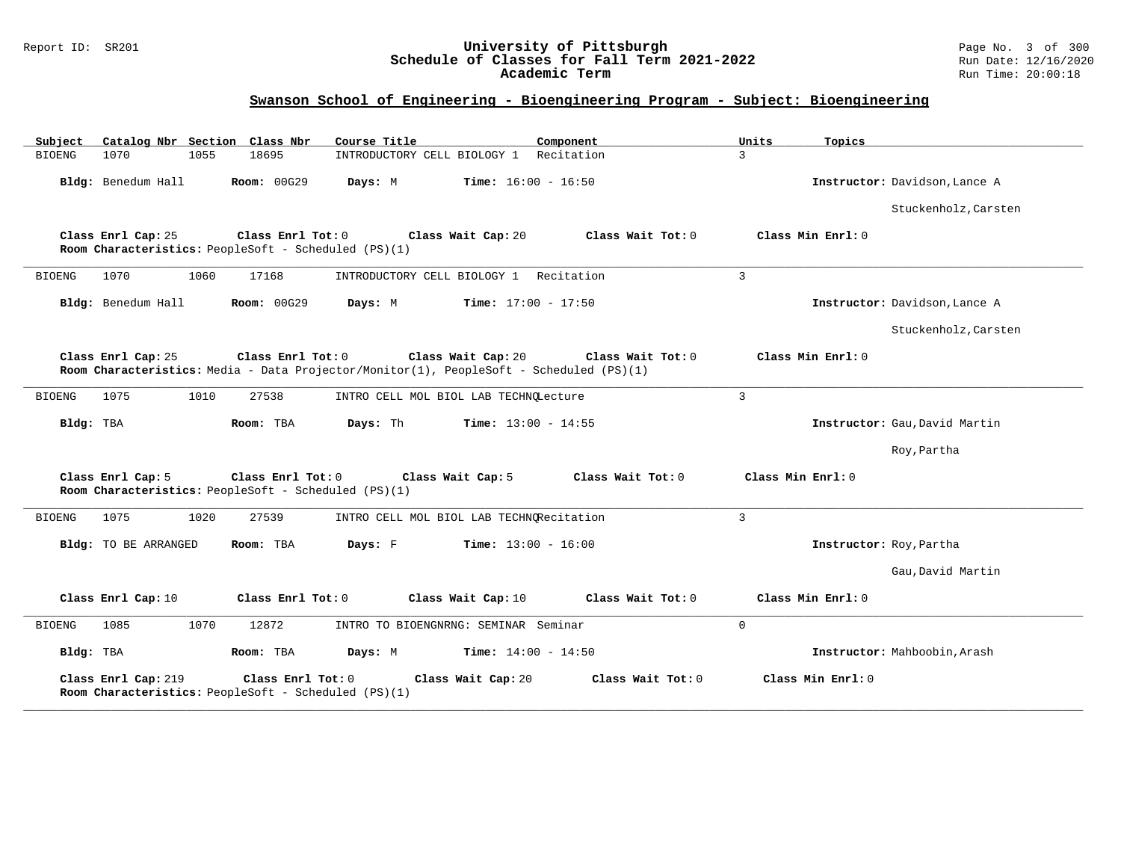### Report ID: SR201 **University of Pittsburgh** Page No. 3 of 300 **Schedule of Classes for Fall Term 2021-2022** Run Date: 12/16/2020 **Academic Term** Run Time: 20:00:18

| Subject       |                      |      | Catalog Nbr Section Class Nbr                                             | Course Title                             | Component                                                                                                    | Units<br>Topics   |                               |
|---------------|----------------------|------|---------------------------------------------------------------------------|------------------------------------------|--------------------------------------------------------------------------------------------------------------|-------------------|-------------------------------|
| <b>BIOENG</b> | 1070                 | 1055 | 18695                                                                     | INTRODUCTORY CELL BIOLOGY 1 Recitation   |                                                                                                              | $\overline{3}$    |                               |
|               | Bldg: Benedum Hall   |      | <b>Room: 00G29</b>                                                        | Days: M                                  | <b>Time:</b> $16:00 - 16:50$                                                                                 |                   | Instructor: Davidson, Lance A |
|               |                      |      |                                                                           |                                          |                                                                                                              |                   | Stuckenholz, Carsten          |
|               | Class Enrl Cap: 25   |      | Class Enrl Tot: 0<br>Room Characteristics: PeopleSoft - Scheduled (PS)(1) | Class Wait Cap: 20                       | Class Wait Tot: 0                                                                                            | Class Min Enrl: 0 |                               |
| <b>BIOENG</b> | 1070                 | 1060 | 17168                                                                     | INTRODUCTORY CELL BIOLOGY 1 Recitation   |                                                                                                              | $\overline{3}$    |                               |
|               | Bldg: Benedum Hall   |      | <b>Room: 00G29</b>                                                        | Days: M                                  | <b>Time:</b> $17:00 - 17:50$                                                                                 |                   | Instructor: Davidson, Lance A |
|               |                      |      |                                                                           |                                          |                                                                                                              |                   | Stuckenholz, Carsten          |
|               | Class Enrl Cap: 25   |      | Class Enrl Tot: 0                                                         | Class Wait Cap: 20                       | Class Wait Tot: 0<br>Room Characteristics: Media - Data Projector/Monitor(1), PeopleSoft - Scheduled (PS)(1) | Class Min Enrl: 0 |                               |
| <b>BIOENG</b> | 1075                 | 1010 | 27538                                                                     | INTRO CELL MOL BIOL LAB TECHNQLecture    |                                                                                                              | 3                 |                               |
| Bldg: TBA     |                      |      | Room: TBA                                                                 | Days: Th                                 | <b>Time:</b> $13:00 - 14:55$                                                                                 |                   | Instructor: Gau, David Martin |
|               |                      |      |                                                                           |                                          |                                                                                                              |                   | Roy, Partha                   |
|               | Class Enrl Cap: 5    |      | Class Enrl Tot: 0<br>Room Characteristics: PeopleSoft - Scheduled (PS)(1) | Class Wait Cap: 5                        | Class Wait Tot: 0                                                                                            | Class Min Enrl: 0 |                               |
| <b>BIOENG</b> | 1075                 | 1020 | 27539                                                                     | INTRO CELL MOL BIOL LAB TECHNORecitation |                                                                                                              | 3                 |                               |
|               | Bldg: TO BE ARRANGED |      | Room: TBA                                                                 | Days: F                                  | <b>Time:</b> $13:00 - 16:00$                                                                                 |                   | Instructor: Roy, Partha       |
|               |                      |      |                                                                           |                                          |                                                                                                              |                   | Gau, David Martin             |
|               | Class Enrl Cap: 10   |      | Class Enrl Tot: 0                                                         | Class Wait Cap: 10                       | Class Wait Tot: 0                                                                                            | Class Min Enrl: 0 |                               |
| <b>BIOENG</b> | 1085                 | 1070 | 12872                                                                     | INTRO TO BIOENGNRNG: SEMINAR Seminar     |                                                                                                              | $\mathbf 0$       |                               |
| Bldg: TBA     |                      |      | Room: TBA                                                                 | Days: M                                  | <b>Time:</b> $14:00 - 14:50$                                                                                 |                   | Instructor: Mahboobin, Arash  |
|               | Class Enrl Cap: 219  |      | Class Enrl Tot: 0<br>Room Characteristics: PeopleSoft - Scheduled (PS)(1) | Class Wait Cap: 20                       | Class Wait Tot: 0                                                                                            | Class Min Enrl: 0 |                               |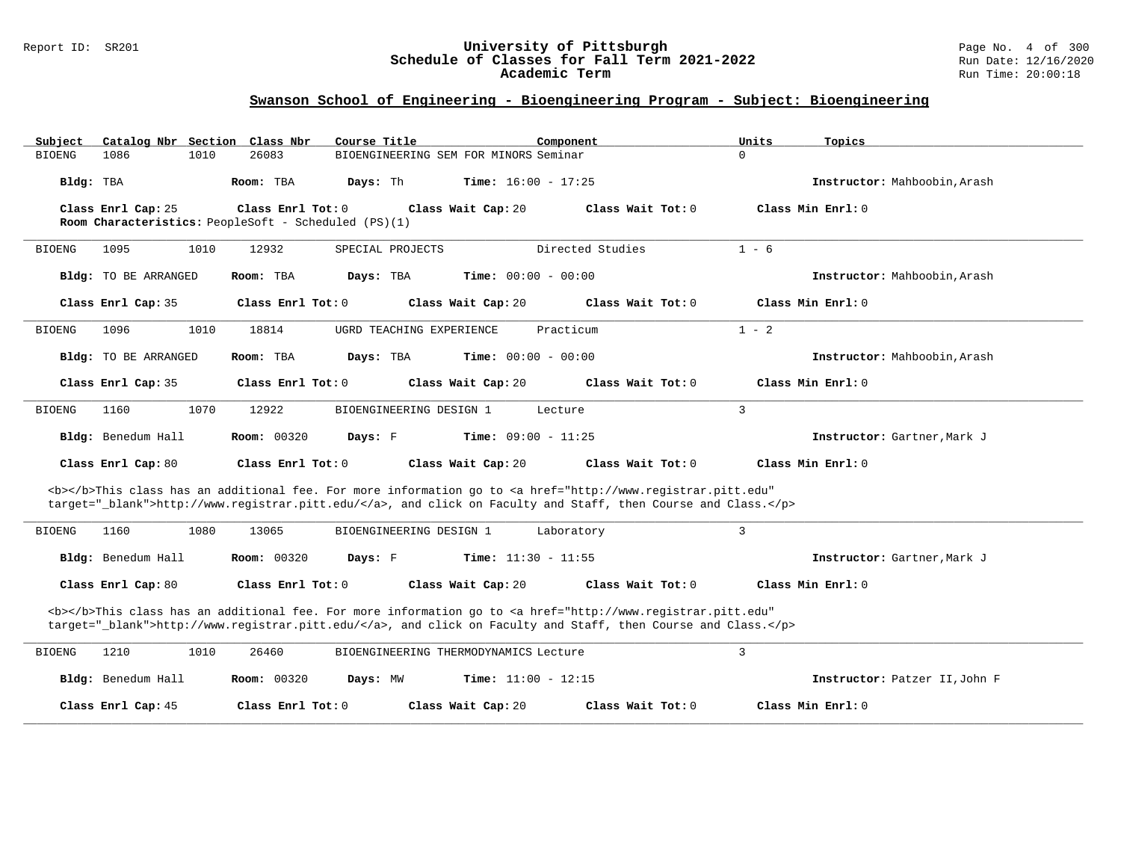#### Report ID: SR201 **University of Pittsburgh** Page No. 4 of 300 **Schedule of Classes for Fall Term 2021-2022** Run Date: 12/16/2020 **Academic Term** Run Time: 20:00:18

| Subject                                                                                                                                                                                                                            | Catalog Nbr Section Class Nbr                        | Course Title                          | Component                                                                                                                                                                                                                          | Units<br>Topics               |  |  |  |  |
|------------------------------------------------------------------------------------------------------------------------------------------------------------------------------------------------------------------------------------|------------------------------------------------------|---------------------------------------|------------------------------------------------------------------------------------------------------------------------------------------------------------------------------------------------------------------------------------|-------------------------------|--|--|--|--|
| 1086<br><b>BIOENG</b>                                                                                                                                                                                                              | 1010<br>26083                                        | BIOENGINEERING SEM FOR MINORS Seminar |                                                                                                                                                                                                                                    | $\Omega$                      |  |  |  |  |
| Bldg: TBA                                                                                                                                                                                                                          | Room: TBA                                            | Days: Th                              | <b>Time:</b> $16:00 - 17:25$                                                                                                                                                                                                       | Instructor: Mahboobin, Arash  |  |  |  |  |
| Class Enrl Cap: 25                                                                                                                                                                                                                 | Class Enrl Tot: 0                                    | Class Wait Cap: 20                    | Class Wait Tot: 0                                                                                                                                                                                                                  | Class Min Enrl: 0             |  |  |  |  |
|                                                                                                                                                                                                                                    | Room Characteristics: PeopleSoft - Scheduled (PS)(1) |                                       |                                                                                                                                                                                                                                    |                               |  |  |  |  |
| 1095<br><b>BIOENG</b>                                                                                                                                                                                                              | 1010<br>12932                                        | SPECIAL PROJECTS                      | Directed Studies                                                                                                                                                                                                                   | $1 - 6$                       |  |  |  |  |
| <b>Bldg:</b> TO BE ARRANGED                                                                                                                                                                                                        | Room: TBA                                            | Days: TBA                             | <b>Time:</b> $00:00 - 00:00$                                                                                                                                                                                                       | Instructor: Mahboobin, Arash  |  |  |  |  |
| Class Enrl Cap: 35                                                                                                                                                                                                                 | Class Enrl Tot: 0                                    | Class Wait Cap: 20                    | Class Wait Tot: 0                                                                                                                                                                                                                  | Class Min Enrl: 0             |  |  |  |  |
| 1096<br><b>BIOENG</b>                                                                                                                                                                                                              | 1010<br>18814                                        | UGRD TEACHING EXPERIENCE              | Practicum                                                                                                                                                                                                                          | $1 - 2$                       |  |  |  |  |
| Bldg: TO BE ARRANGED                                                                                                                                                                                                               | Room: TBA                                            | Days: TBA                             | <b>Time:</b> $00:00 - 00:00$                                                                                                                                                                                                       | Instructor: Mahboobin, Arash  |  |  |  |  |
| Class Enrl Cap: 35                                                                                                                                                                                                                 | Class Enrl Tot: 0                                    | Class Wait Cap: 20                    | Class Wait Tot: 0                                                                                                                                                                                                                  | Class Min Enrl: 0             |  |  |  |  |
| 1160<br><b>BIOENG</b>                                                                                                                                                                                                              | 1070<br>12922                                        | BIOENGINEERING DESIGN 1               | Lecture                                                                                                                                                                                                                            | 3                             |  |  |  |  |
| Bldg: Benedum Hall                                                                                                                                                                                                                 | Room: 00320                                          | Days: F                               | <b>Time:</b> $09:00 - 11:25$                                                                                                                                                                                                       | Instructor: Gartner, Mark J   |  |  |  |  |
| Class Enrl Cap: 80                                                                                                                                                                                                                 | Class Enrl Tot: 0                                    | Class Wait Cap: 20                    | Class Wait Tot: 0                                                                                                                                                                                                                  | Class Min $Err1:0$            |  |  |  |  |
|                                                                                                                                                                                                                                    |                                                      |                                       | <b></b> This class has an additional fee. For more information go to <a <br="" href="http://www.registrar.pitt.edu">target="_blank"&gt;http://www.registrar.pitt.edu/</a> , and click on Faculty and Staff, then Course and Class. |                               |  |  |  |  |
| <b>BIOENG</b><br>1160                                                                                                                                                                                                              | 1080<br>13065                                        | BIOENGINEERING DESIGN 1               | Laboratory                                                                                                                                                                                                                         | 3                             |  |  |  |  |
| Bldg: Benedum Hall                                                                                                                                                                                                                 | <b>Room: 00320</b>                                   | Days: F                               | <b>Time:</b> $11:30 - 11:55$                                                                                                                                                                                                       | Instructor: Gartner, Mark J   |  |  |  |  |
| Class Enrl Cap: 80                                                                                                                                                                                                                 | Class Enrl Tot: 0                                    | Class Wait Cap: 20                    | Class Wait Tot: 0                                                                                                                                                                                                                  | Class Min Enrl: 0             |  |  |  |  |
| <b></b> This class has an additional fee. For more information go to <a <br="" href="http://www.registrar.pitt.edu">target="_blank"&gt;http://www.registrar.pitt.edu/</a> , and click on Faculty and Staff, then Course and Class. |                                                      |                                       |                                                                                                                                                                                                                                    |                               |  |  |  |  |
| <b>BIOENG</b><br>1210                                                                                                                                                                                                              | 1010<br>26460                                        | BIOENGINEERING THERMODYNAMICS Lecture |                                                                                                                                                                                                                                    | 3                             |  |  |  |  |
| Bldg: Benedum Hall                                                                                                                                                                                                                 | <b>Room: 00320</b>                                   | Days: MW                              | <b>Time:</b> $11:00 - 12:15$                                                                                                                                                                                                       | Instructor: Patzer II, John F |  |  |  |  |
| Class Enrl Cap: 45                                                                                                                                                                                                                 | Class Enrl Tot: 0                                    | Class Wait Cap: 20                    | Class Wait Tot: 0                                                                                                                                                                                                                  | Class Min Enrl: 0             |  |  |  |  |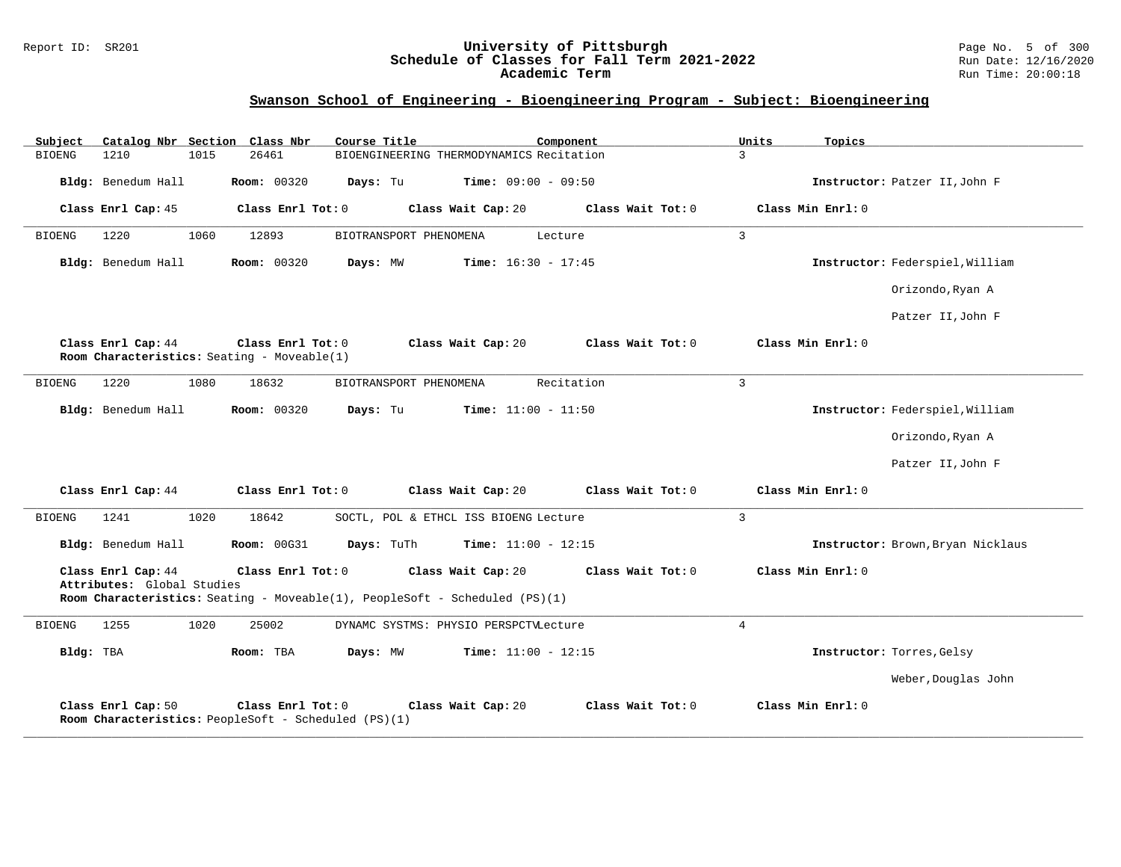#### Report ID: SR201 **University of Pittsburgh** Page No. 5 of 300 **Schedule of Classes for Fall Term 2021-2022** Run Date: 12/16/2020 **Academic Term** Run Time: 20:00:18

| Subject                                                                                                                                                                                                                       |                    |      | Catalog Nbr Section Class Nbr                                             | Course Title           |                                          | Component         | Units          | Topics                            |
|-------------------------------------------------------------------------------------------------------------------------------------------------------------------------------------------------------------------------------|--------------------|------|---------------------------------------------------------------------------|------------------------|------------------------------------------|-------------------|----------------|-----------------------------------|
| BIOENG                                                                                                                                                                                                                        | 1210               | 1015 | 26461                                                                     |                        | BIOENGINEERING THERMODYNAMICS Recitation |                   | 3              |                                   |
|                                                                                                                                                                                                                               | Bldg: Benedum Hall |      | <b>Room: 00320</b>                                                        | Days: Tu               | <b>Time:</b> $09:00 - 09:50$             |                   |                | Instructor: Patzer II, John F     |
|                                                                                                                                                                                                                               | Class Enrl Cap: 45 |      | Class Enrl Tot: 0                                                         |                        | Class Wait Cap: 20                       | Class Wait Tot: 0 |                | Class Min Enrl: 0                 |
| <b>BIOENG</b>                                                                                                                                                                                                                 | 1220               | 1060 | 12893                                                                     | BIOTRANSPORT PHENOMENA |                                          | Lecture           | $\overline{3}$ |                                   |
|                                                                                                                                                                                                                               | Bldg: Benedum Hall |      | <b>Room: 00320</b>                                                        | Days: MW               | Time: $16:30 - 17:45$                    |                   |                | Instructor: Federspiel, William   |
|                                                                                                                                                                                                                               |                    |      |                                                                           |                        |                                          |                   |                | Orizondo, Ryan A                  |
|                                                                                                                                                                                                                               |                    |      |                                                                           |                        |                                          |                   |                | Patzer II, John F                 |
|                                                                                                                                                                                                                               | Class Enrl Cap: 44 |      | Class Enrl Tot: 0<br>Room Characteristics: Seating - Moveable(1)          |                        | Class Wait Cap: 20                       | Class Wait Tot: 0 |                | Class Min Enrl: 0                 |
| <b>BIOENG</b>                                                                                                                                                                                                                 | 1220               | 1080 | 18632                                                                     | BIOTRANSPORT PHENOMENA |                                          | Recitation        | 3              |                                   |
|                                                                                                                                                                                                                               | Bldg: Benedum Hall |      | Room: 00320                                                               | Days: Tu               | <b>Time:</b> $11:00 - 11:50$             |                   |                | Instructor: Federspiel, William   |
|                                                                                                                                                                                                                               |                    |      |                                                                           |                        |                                          |                   |                | Orizondo, Ryan A                  |
|                                                                                                                                                                                                                               |                    |      |                                                                           |                        |                                          |                   |                | Patzer II, John F                 |
|                                                                                                                                                                                                                               | Class Enrl Cap: 44 |      | Class Enrl Tot: 0                                                         |                        | Class Wait Cap: 20                       | Class Wait Tot: 0 |                | Class Min Enrl: 0                 |
| <b>BIOENG</b>                                                                                                                                                                                                                 | 1241               | 1020 | 18642                                                                     |                        | SOCTL, POL & ETHCL ISS BIOENG Lecture    |                   | $\overline{3}$ |                                   |
|                                                                                                                                                                                                                               | Bldg: Benedum Hall |      | <b>Room: 00G31</b>                                                        | Days: TuTh             | <b>Time:</b> $11:00 - 12:15$             |                   |                | Instructor: Brown, Bryan Nicklaus |
| Class Enrl Cap: 44<br>Class Wait Tot: 0<br>Class Min Enrl: 0<br>Class Enrl Tot: 0<br>Class Wait Cap: 20<br>Attributes: Global Studies<br><b>Room Characteristics:</b> Seating - Moveable(1), PeopleSoft - Scheduled $(PS)(1)$ |                    |      |                                                                           |                        |                                          |                   |                |                                   |
| <b>BIOENG</b>                                                                                                                                                                                                                 | 1255               | 1020 | 25002                                                                     |                        | DYNAMC SYSTMS: PHYSIO PERSPCTVLecture    |                   | $\overline{4}$ |                                   |
| Bldg: TBA                                                                                                                                                                                                                     |                    |      | Room: TBA                                                                 | Days: MW               | <b>Time:</b> $11:00 - 12:15$             |                   |                | Instructor: Torres, Gelsy         |
|                                                                                                                                                                                                                               |                    |      |                                                                           |                        |                                          |                   |                | Weber, Douglas John               |
|                                                                                                                                                                                                                               | Class Enrl Cap: 50 |      | Class Enrl Tot: 0<br>Room Characteristics: PeopleSoft - Scheduled (PS)(1) |                        | Class Wait Cap: 20                       | Class Wait Tot: 0 |                | Class Min Enrl: 0                 |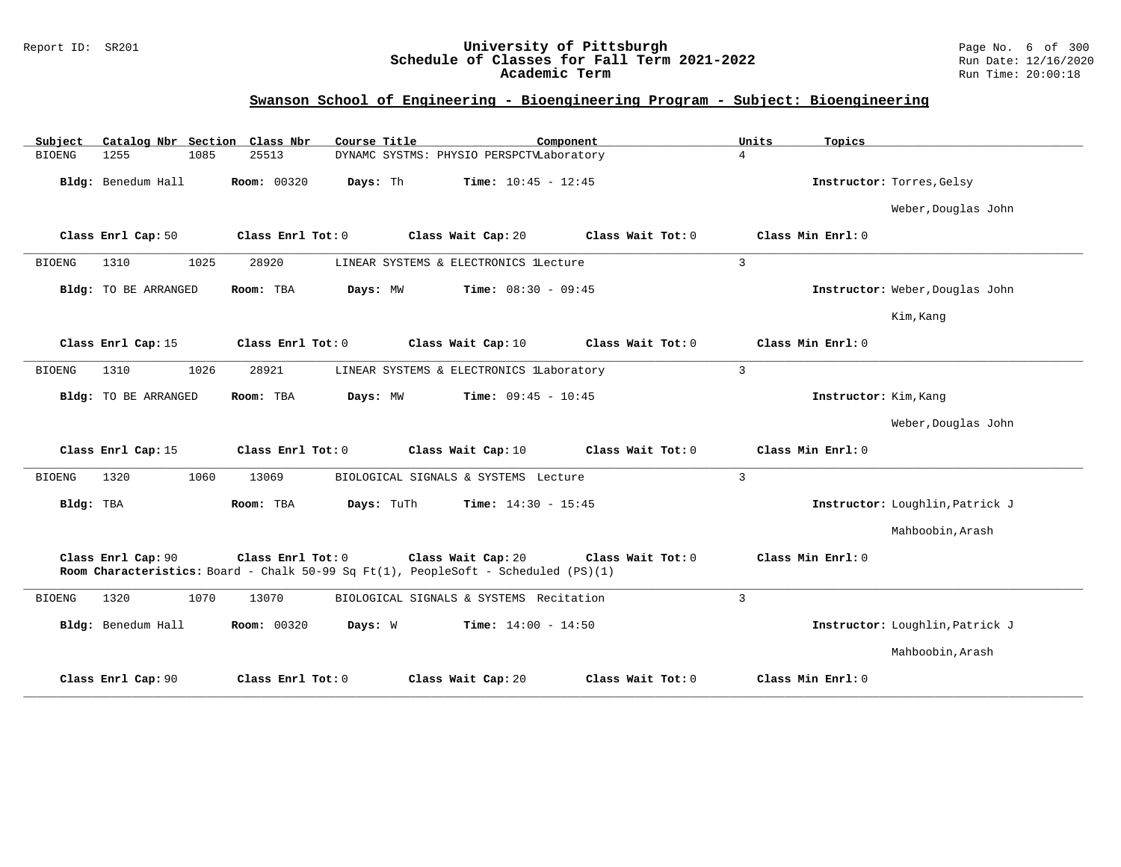### Report ID: SR201 **University of Pittsburgh** Page No. 6 of 300 **Schedule of Classes for Fall Term 2021-2022** Run Date: 12/16/2020 **Academic Term** Run Time: 20:00:18

| Catalog Nbr Section Class Nbr<br>Subject | Course Title<br>Component                                                                                                     | Units<br>Topics                        |
|------------------------------------------|-------------------------------------------------------------------------------------------------------------------------------|----------------------------------------|
| 1085<br><b>BIOENG</b><br>1255            | 25513<br>DYNAMC SYSTMS: PHYSIO PERSPCTVLaboratory                                                                             | $\overline{4}$                         |
| Bldg: Benedum Hall                       | <b>Room: 00320</b><br>Days: Th<br><b>Time:</b> $10:45 - 12:45$                                                                | Instructor: Torres, Gelsy              |
|                                          |                                                                                                                               | Weber, Douglas John                    |
| Class Enrl Cap: 50                       | Class Enrl Tot: 0<br>Class Wait Cap: 20                                                                                       | Class Wait Tot: 0<br>Class Min Enrl: 0 |
| <b>BIOENG</b><br>1310<br>1025            | 28920<br>LINEAR SYSTEMS & ELECTRONICS lLecture                                                                                | $\overline{3}$                         |
| <b>Bldg:</b> TO BE ARRANGED              | Room: TBA<br>Days: MW<br><b>Time:</b> $08:30 - 09:45$                                                                         | Instructor: Weber, Douglas John        |
|                                          |                                                                                                                               | Kim, Kang                              |
| Class Enrl Cap: 15                       | Class Enrl Tot: 0<br>Class Wait Cap: 10                                                                                       | Class Wait Tot: 0<br>Class Min Enrl: 0 |
| <b>BIOENG</b><br>1026<br>1310            | 28921<br>LINEAR SYSTEMS & ELECTRONICS lLaboratory                                                                             | $\overline{3}$                         |
| Bldg: TO BE ARRANGED                     | <b>Time:</b> $09:45 - 10:45$<br>Room: TBA<br>Days: MW                                                                         | Instructor: Kim, Kang                  |
|                                          |                                                                                                                               | Weber, Douglas John                    |
| Class Enrl Cap: 15                       | Class Enrl Tot: 0<br>Class Wait Cap: 10                                                                                       | Class Min Enrl: 0<br>Class Wait Tot: 0 |
| <b>BIOENG</b><br>1320<br>1060            | 13069<br>BIOLOGICAL SIGNALS & SYSTEMS Lecture                                                                                 | $\overline{3}$                         |
| Bldg: TBA                                | Room: TBA<br>Days: TuTh<br><b>Time:</b> $14:30 - 15:45$                                                                       | Instructor: Loughlin, Patrick J        |
|                                          |                                                                                                                               | Mahboobin, Arash                       |
| Class Enrl Cap: 90                       | Class Enrl Tot: 0<br>Class Wait Cap: 20<br>Room Characteristics: Board - Chalk 50-99 Sq Ft(1), PeopleSoft - Scheduled (PS)(1) | Class Min Enrl: 0<br>Class Wait Tot: 0 |
| 1320<br>1070<br><b>BIOENG</b>            | 13070<br>BIOLOGICAL SIGNALS & SYSTEMS Recitation                                                                              | $\mathbf{3}$                           |
| Bldg: Benedum Hall                       | <b>Room: 00320</b><br>Days: W<br>Time: $14:00 - 14:50$                                                                        | Instructor: Loughlin, Patrick J        |
|                                          |                                                                                                                               | Mahboobin, Arash                       |
| Class Enrl Cap: 90                       | Class Enrl Tot: 0<br>Class Wait Cap: 20                                                                                       | Class Min Enrl: 0<br>Class Wait Tot: 0 |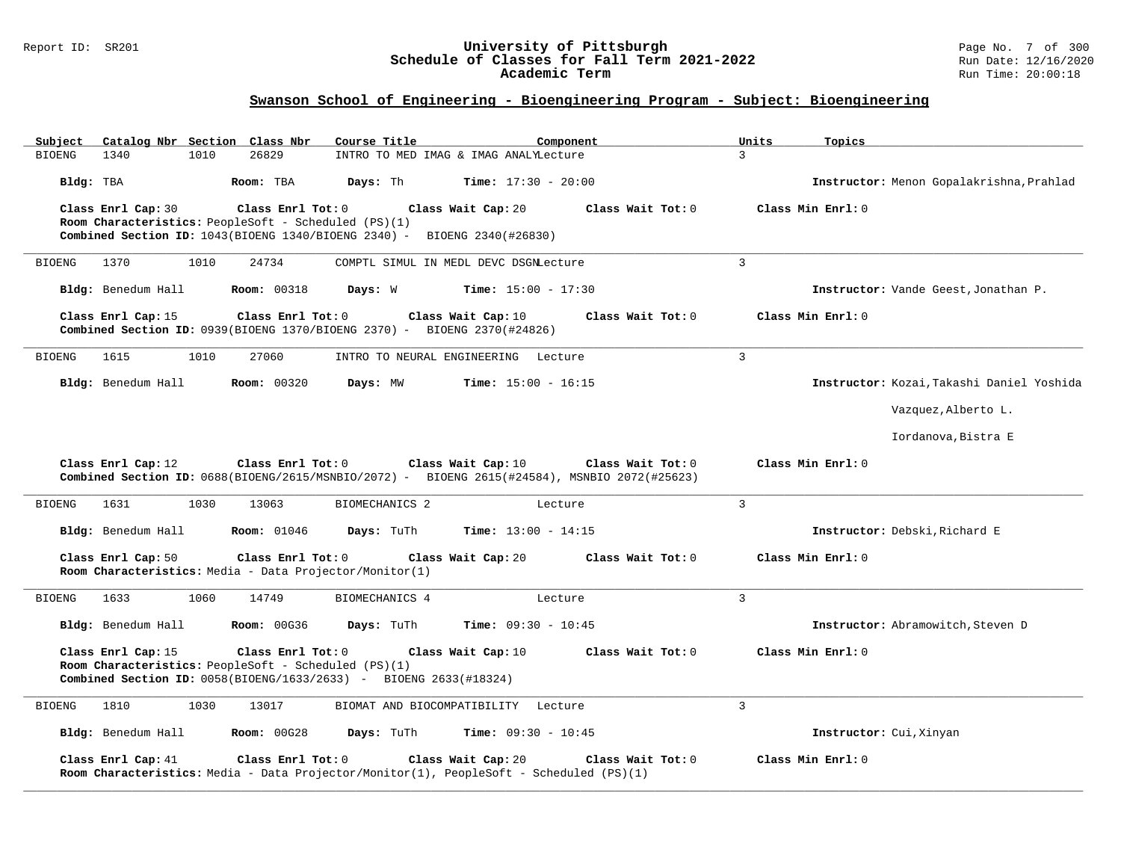#### Report ID: SR201 **University of Pittsburgh** Page No. 7 of 300 **Schedule of Classes for Fall Term 2021-2022** Run Date: 12/16/2020 **Academic Term** Run Time: 20:00:18

| Subject       |                    |      | Catalog Nbr Section Class Nbr | Course Title                                                                                                                         |                                       | Component                                                                                                          | Units          | Topics                                    |
|---------------|--------------------|------|-------------------------------|--------------------------------------------------------------------------------------------------------------------------------------|---------------------------------------|--------------------------------------------------------------------------------------------------------------------|----------------|-------------------------------------------|
| <b>BIOENG</b> | 1340               | 1010 | 26829                         |                                                                                                                                      | INTRO TO MED IMAG & IMAG ANALYLecture |                                                                                                                    | 3              |                                           |
| Bldg: TBA     |                    |      | Room: TBA                     | Days: Th                                                                                                                             | <b>Time:</b> $17:30 - 20:00$          |                                                                                                                    |                | Instructor: Menon Gopalakrishna, Prahlad  |
|               | Class Enrl Cap: 30 |      | Class Enrl Tot: 0             |                                                                                                                                      | Class Wait Cap: 20                    | Class Wait Tot: 0                                                                                                  |                | Class Min Enrl: 0                         |
|               |                    |      |                               | Room Characteristics: PeopleSoft - Scheduled (PS)(1)<br>Combined Section ID: 1043(BIOENG 1340/BIOENG 2340) - BIOENG 2340(#26830)     |                                       |                                                                                                                    |                |                                           |
|               |                    |      |                               |                                                                                                                                      |                                       |                                                                                                                    |                |                                           |
| <b>BIOENG</b> | 1370               | 1010 | 24734                         |                                                                                                                                      | COMPTL SIMUL IN MEDL DEVC DSGNLecture |                                                                                                                    | $\overline{3}$ |                                           |
|               | Bldg: Benedum Hall |      | <b>Room: 00318</b>            | Days: W                                                                                                                              | <b>Time:</b> $15:00 - 17:30$          |                                                                                                                    |                | Instructor: Vande Geest, Jonathan P.      |
|               | Class Enrl Cap: 15 |      | Class Enrl Tot: 0             | Combined Section ID: 0939 (BIOENG 1370/BIOENG 2370) - BIOENG 2370 (#24826)                                                           | Class Wait Cap: 10                    | Class Wait Tot: 0                                                                                                  |                | Class Min Enrl: 0                         |
| <b>BIOENG</b> | 1615               | 1010 | 27060                         |                                                                                                                                      | INTRO TO NEURAL ENGINEERING Lecture   |                                                                                                                    | $\overline{3}$ |                                           |
|               | Bldg: Benedum Hall |      | <b>Room: 00320</b>            | Days: MW                                                                                                                             | <b>Time:</b> $15:00 - 16:15$          |                                                                                                                    |                | Instructor: Kozai, Takashi Daniel Yoshida |
|               |                    |      |                               |                                                                                                                                      |                                       |                                                                                                                    |                | Vazquez, Alberto L.                       |
|               |                    |      |                               |                                                                                                                                      |                                       |                                                                                                                    |                | Iordanova, Bistra E                       |
|               | Class Enrl Cap: 12 |      | Class Enrl Tot: 0             |                                                                                                                                      | Class Wait Cap: 10                    | Class Wait Tot: 0<br>Combined Section ID: 0688(BIOENG/2615/MSNBIO/2072) - BIOENG 2615(#24584), MSNBIO 2072(#25623) |                | Class Min Enrl: 0                         |
| <b>BIOENG</b> | 1631               | 1030 | 13063                         | BIOMECHANICS 2                                                                                                                       |                                       | Lecture                                                                                                            | $\overline{3}$ |                                           |
|               | Bldg: Benedum Hall |      | <b>Room: 01046</b>            | Days: TuTh                                                                                                                           | <b>Time:</b> $13:00 - 14:15$          |                                                                                                                    |                | Instructor: Debski, Richard E             |
|               | Class Enrl Cap: 50 |      | Class Enrl Tot: 0             | Room Characteristics: Media - Data Projector/Monitor(1)                                                                              | Class Wait Cap: 20                    | Class Wait Tot: 0                                                                                                  |                | Class Min Enrl: 0                         |
| <b>BIOENG</b> | 1633               | 1060 | 14749                         | BIOMECHANICS 4                                                                                                                       |                                       | Lecture                                                                                                            | $\overline{3}$ |                                           |
|               | Bldg: Benedum Hall |      | <b>Room: 00G36</b>            | Days: TuTh                                                                                                                           | Time: $09:30 - 10:45$                 |                                                                                                                    |                | Instructor: Abramowitch, Steven D         |
|               | Class Enrl Cap: 15 |      | Class Enrl Tot: 0             | Room Characteristics: PeopleSoft - Scheduled (PS)(1)<br><b>Combined Section ID:</b> $0058(BIOENG/1633/2633)$ - BIOENG $2633(H18324)$ | Class Wait Cap: 10                    | Class Wait Tot: 0                                                                                                  |                | Class Min Enrl: 0                         |
| <b>BIOENG</b> | 1810               | 1030 | 13017                         |                                                                                                                                      | BIOMAT AND BIOCOMPATIBILITY Lecture   |                                                                                                                    | 3              |                                           |
|               | Bldg: Benedum Hall |      | <b>Room: 00G28</b>            | Days: TuTh                                                                                                                           | <b>Time:</b> $09:30 - 10:45$          |                                                                                                                    |                | Instructor: Cui, Xinyan                   |
|               | Class Enrl Cap: 41 |      | Class Enrl Tot: 0             | Room Characteristics: Media - Data Projector/Monitor(1), PeopleSoft - Scheduled (PS)(1)                                              | Class Wait Cap: 20                    | Class Wait Tot: 0                                                                                                  |                | Class Min Enrl: 0                         |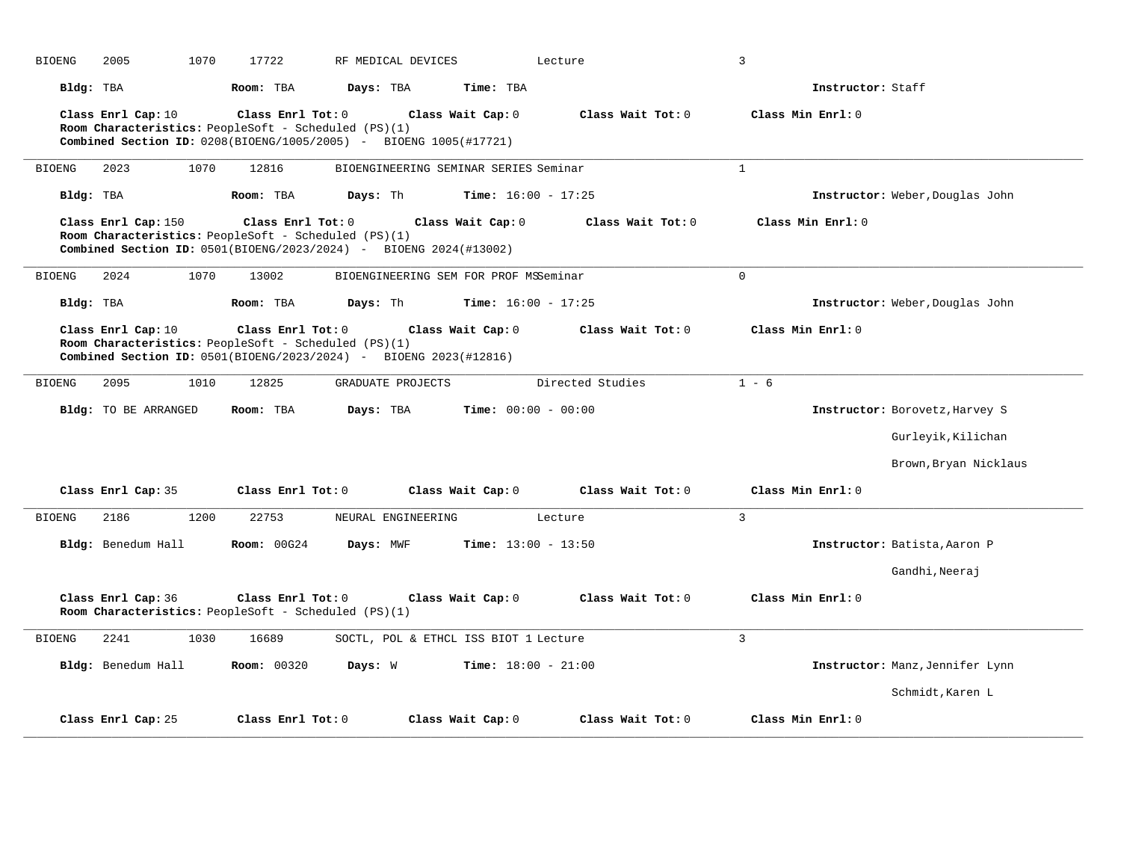| <b>BIOENG</b><br>2005 | 1070<br>17722                                                                                                                                           | RF MEDICAL DEVICES                    |                              | Lecture           | $\overline{3}$               |                                 |
|-----------------------|---------------------------------------------------------------------------------------------------------------------------------------------------------|---------------------------------------|------------------------------|-------------------|------------------------------|---------------------------------|
| Bldg: TBA             | Room: TBA                                                                                                                                               | Days: TBA                             | Time: TBA                    |                   | Instructor: Staff            |                                 |
| Class Enrl Cap: 10    | Class Enrl Tot: 0<br>Room Characteristics: PeopleSoft - Scheduled (PS)(1)<br><b>Combined Section ID:</b> $0208(BIOENG/1005/2005) - BIOENG 1005(#17721)$ |                                       | Class Wait Cap: 0            | Class Wait Tot: 0 | Class Min Enrl: 0            |                                 |
| <b>BIOENG</b><br>2023 | 1070<br>12816                                                                                                                                           | BIOENGINEERING SEMINAR SERIES Seminar |                              |                   | $\mathbf{1}$                 |                                 |
| Bldg: TBA             | Room: TBA                                                                                                                                               | Days: Th                              | <b>Time:</b> $16:00 - 17:25$ |                   |                              | Instructor: Weber, Douglas John |
| Class Enrl Cap: 150   | Class Enrl Tot: 0<br>Room Characteristics: PeopleSoft - Scheduled (PS)(1)<br><b>Combined Section ID:</b> $0501(BIOENG/2023/2024) - BIOENG 2024(H13002)$ |                                       | Class Wait Cap: 0            | Class Wait Tot: 0 | Class Min Enrl: 0            |                                 |
| <b>BIOENG</b><br>2024 | 1070<br>13002                                                                                                                                           | BIOENGINEERING SEM FOR PROF MSSeminar |                              |                   | $\mathbf 0$                  |                                 |
| Bldg: TBA             | Room: TBA                                                                                                                                               | Days: Th                              | Time: $16:00 - 17:25$        |                   |                              | Instructor: Weber, Douglas John |
| Class Enrl Cap: 10    | Class Enrl Tot: 0<br>Room Characteristics: PeopleSoft - Scheduled (PS)(1)<br><b>Combined Section ID:</b> $0501(BI0ENG/2023/2024) - BIOENG 2023(#12816)$ |                                       | Class Wait Cap: 0            | Class Wait Tot: 0 | Class Min Enrl: 0            |                                 |
| 2095<br><b>BIOENG</b> | 12825<br>1010                                                                                                                                           | GRADUATE PROJECTS                     |                              | Directed Studies  | $1 - 6$                      |                                 |
| Bldg: TO BE ARRANGED  | Room: TBA                                                                                                                                               | Days: TBA                             | <b>Time:</b> $00:00 - 00:00$ |                   |                              | Instructor: Borovetz, Harvey S  |
|                       |                                                                                                                                                         |                                       |                              |                   |                              | Gurleyik, Kilichan              |
|                       |                                                                                                                                                         |                                       |                              |                   |                              | Brown, Bryan Nicklaus           |
| Class Enrl Cap: 35    | Class Enrl Tot: 0                                                                                                                                       |                                       | Class Wait Cap: 0            | Class Wait Tot: 0 | Class Min Enrl: 0            |                                 |
| 2186<br><b>BIOENG</b> | 1200<br>22753                                                                                                                                           | NEURAL ENGINEERING                    |                              | Lecture           | 3                            |                                 |
| Bldg: Benedum Hall    | <b>Room: 00G24</b>                                                                                                                                      | Days: MWF                             | Time: $13:00 - 13:50$        |                   | Instructor: Batista, Aaron P |                                 |
|                       |                                                                                                                                                         |                                       |                              |                   |                              | Gandhi, Neeraj                  |
| Class Enrl Cap: 36    | Class Enrl Tot: 0<br>Room Characteristics: PeopleSoft - Scheduled (PS)(1)                                                                               |                                       | Class Wait Cap: 0            | Class Wait Tot: 0 | Class Min Enrl: 0            |                                 |
| 2241<br><b>BIOENG</b> | 1030<br>16689                                                                                                                                           | SOCTL, POL & ETHCL ISS BIOT 1 Lecture |                              |                   | 3                            |                                 |
| Bldg: Benedum Hall    | <b>Room: 00320</b>                                                                                                                                      | Days: W                               | <b>Time:</b> $18:00 - 21:00$ |                   |                              | Instructor: Manz, Jennifer Lynn |
|                       |                                                                                                                                                         |                                       |                              |                   |                              | Schmidt, Karen L                |
| Class Enrl Cap: 25    | Class Enrl Tot: 0                                                                                                                                       |                                       | Class Wait Cap: 0            | Class Wait Tot: 0 | Class Min Enrl: 0            |                                 |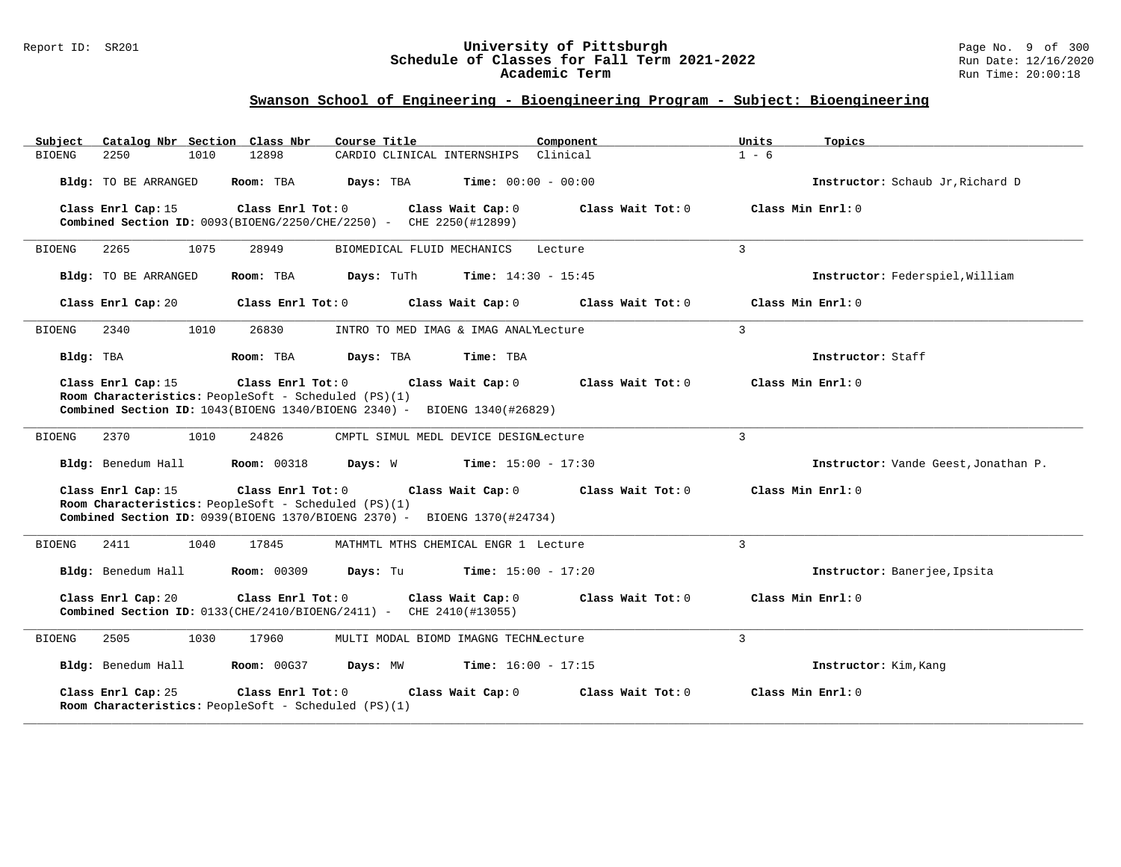#### Report ID: SR201 **University of Pittsburgh** Page No. 9 of 300 **Schedule of Classes for Fall Term 2021-2022** Run Date: 12/16/2020 **Academic Term** Run Time: 20:00:18

| Catalog Nbr Section Class Nbr<br>Subject                                                                                                                                     | Course Title                                                                                                                                                               | Component<br>Units | Topics                               |  |  |  |  |  |  |
|------------------------------------------------------------------------------------------------------------------------------------------------------------------------------|----------------------------------------------------------------------------------------------------------------------------------------------------------------------------|--------------------|--------------------------------------|--|--|--|--|--|--|
| 2250<br>1010<br>BIOENG                                                                                                                                                       | CARDIO CLINICAL INTERNSHIPS Clinical<br>12898                                                                                                                              | $1 - 6$            |                                      |  |  |  |  |  |  |
| Bldg: TO BE ARRANGED                                                                                                                                                         | Room: TBA<br>Days: TBA<br><b>Time:</b> $00:00 - 00:00$                                                                                                                     |                    | Instructor: Schaub Jr, Richard D     |  |  |  |  |  |  |
| Class Enrl Cap: 15                                                                                                                                                           | Class Enrl Tot: 0<br>Class Wait Cap: 0<br>Combined Section ID: 0093(BIOENG/2250/CHE/2250) - CHE 2250(#12899)                                                               | Class Wait Tot: 0  | Class Min Enrl: 0                    |  |  |  |  |  |  |
| 2265<br>1075<br>BIOENG                                                                                                                                                       | 28949<br>BIOMEDICAL FLUID MECHANICS                                                                                                                                        | 3<br>Lecture       |                                      |  |  |  |  |  |  |
| Bldg: TO BE ARRANGED                                                                                                                                                         | Room: TBA<br>Days: TuTh<br><b>Time:</b> $14:30 - 15:45$                                                                                                                    |                    | Instructor: Federspiel, William      |  |  |  |  |  |  |
| Class Enrl Cap: 20                                                                                                                                                           | Class Enrl Tot: 0<br>Class Wait Cap: 0                                                                                                                                     | Class Wait Tot: 0  | Class Min Enrl: 0                    |  |  |  |  |  |  |
| 2340<br>1010<br><b>BIOENG</b>                                                                                                                                                | 26830<br>INTRO TO MED IMAG & IMAG ANALYLecture                                                                                                                             | $\mathbf{3}$       |                                      |  |  |  |  |  |  |
| Bldg: TBA                                                                                                                                                                    | Room: TBA<br>Time: TBA<br>Days: TBA                                                                                                                                        |                    | Instructor: Staff                    |  |  |  |  |  |  |
| Class Enrl Cap: 15                                                                                                                                                           | Class Enrl Tot: 0<br>Class Wait Cap: 0<br>Room Characteristics: PeopleSoft - Scheduled (PS)(1)<br>Combined Section ID: 1043(BIOENG 1340/BIOENG 2340) - BIOENG 1340(#26829) | Class Wait Tot: 0  | Class Min Enrl: 0                    |  |  |  |  |  |  |
| 2370<br>1010<br><b>BIOENG</b>                                                                                                                                                | 24826<br>CMPTL SIMUL MEDL DEVICE DESIGNLecture                                                                                                                             | 3                  |                                      |  |  |  |  |  |  |
| Bldg: Benedum Hall                                                                                                                                                           | <b>Room: 00318</b><br>Days: W<br><b>Time:</b> $15:00 - 17:30$                                                                                                              |                    | Instructor: Vande Geest, Jonathan P. |  |  |  |  |  |  |
| Class Enrl Cap: 15                                                                                                                                                           | Class Enrl Tot: 0<br>Class Wait Cap: 0<br>Room Characteristics: PeopleSoft - Scheduled (PS)(1)<br>Combined Section ID: 0939(BIOENG 1370/BIOENG 2370) - BIOENG 1370(#24734) | Class Wait Tot: 0  | Class Min Enrl: 0                    |  |  |  |  |  |  |
| BIOENG<br>2411<br>1040                                                                                                                                                       | 17845<br>MATHMTL MTHS CHEMICAL ENGR 1 Lecture                                                                                                                              | 3                  |                                      |  |  |  |  |  |  |
| Bldg: Benedum Hall                                                                                                                                                           | <b>Room: 00309</b><br>Days: Tu<br><b>Time:</b> $15:00 - 17:20$                                                                                                             |                    | Instructor: Banerjee, Ipsita         |  |  |  |  |  |  |
| Class Enrl Cap: 20<br>Class Enrl Tot: 0<br>Class Wait Cap: 0<br>Class Wait Tot: 0<br>Class Min Enrl: 0<br>Combined Section ID: 0133(CHE/2410/BIOENG/2411) - CHE 2410(#13055) |                                                                                                                                                                            |                    |                                      |  |  |  |  |  |  |
| BIOENG<br>2505<br>1030                                                                                                                                                       | 17960<br>MULTI MODAL BIOMD IMAGNG TECHNLecture                                                                                                                             | 3                  |                                      |  |  |  |  |  |  |
| Bldg: Benedum Hall                                                                                                                                                           | <b>Room: 00G37</b><br>Days: MW<br><b>Time:</b> $16:00 - 17:15$                                                                                                             |                    | Instructor: Kim, Kang                |  |  |  |  |  |  |
| Class Enrl Cap: 25                                                                                                                                                           | Class Enrl Tot: 0<br>Class Wait Cap: 0<br>Room Characteristics: PeopleSoft - Scheduled (PS)(1)                                                                             | Class Wait Tot: 0  | Class Min Enrl: 0                    |  |  |  |  |  |  |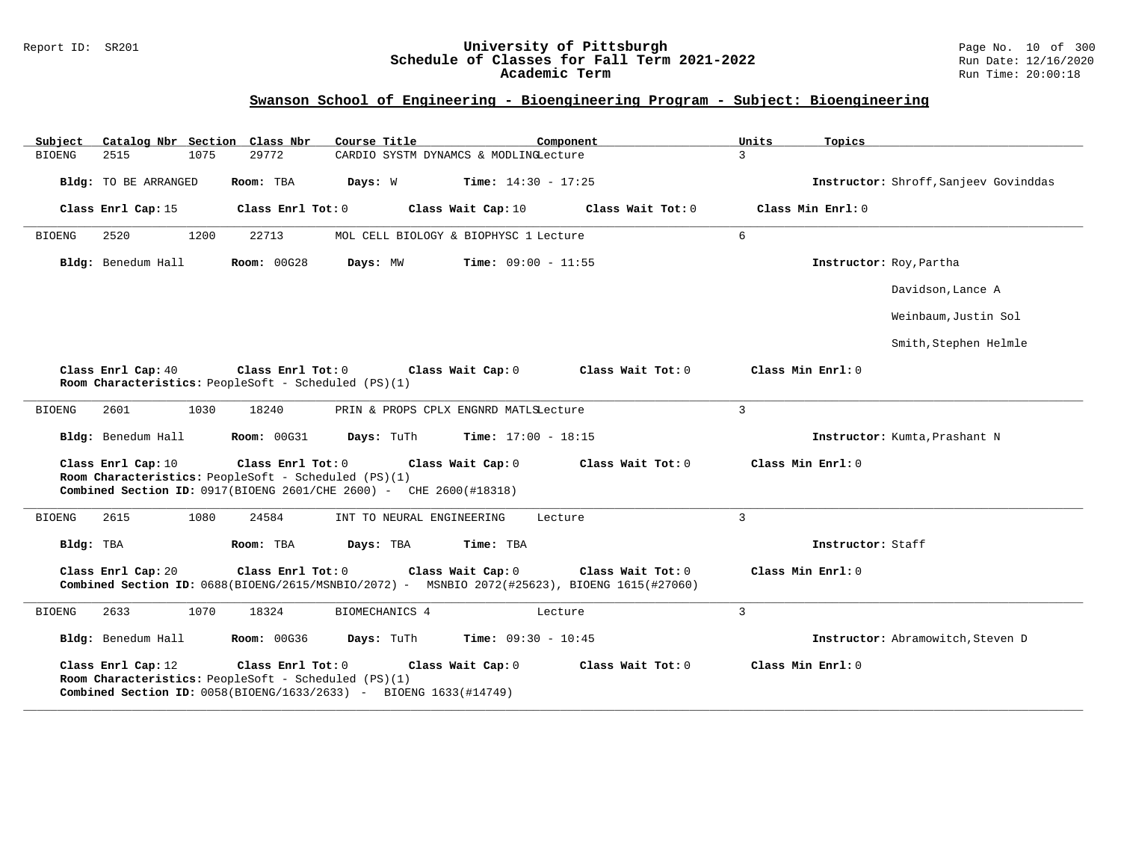#### Report ID: SR201 **University of Pittsburgh** Page No. 10 of 300 **Schedule of Classes for Fall Term 2021-2022** Run Date: 12/16/2020 **Academic Term** Run Time: 20:00:18

| Subject<br>Catalog Nbr Section Class Nbr | Course Title                                                                                                                                                          | Component<br>Units           | Topics                                |
|------------------------------------------|-----------------------------------------------------------------------------------------------------------------------------------------------------------------------|------------------------------|---------------------------------------|
| 2515<br>1075<br><b>BIOENG</b>            | 29772<br>CARDIO SYSTM DYNAMCS & MODLINGLecture                                                                                                                        | $\mathbf{3}$                 |                                       |
| Bldg: TO BE ARRANGED                     | Room: TBA<br>Days: W                                                                                                                                                  | <b>Time:</b> $14:30 - 17:25$ | Instructor: Shroff, Sanjeev Govinddas |
| Class Enrl Cap: 15                       | Class Enrl Tot: 0<br>Class Wait Cap: 10                                                                                                                               | Class Wait Tot: 0            | Class Min Enrl: 0                     |
| <b>BIOENG</b><br>2520<br>1200            | 22713<br>MOL CELL BIOLOGY & BIOPHYSC 1 Lecture                                                                                                                        | 6                            |                                       |
| Bldg: Benedum Hall                       | <b>Room: 00G28</b><br>Days: MW                                                                                                                                        | <b>Time:</b> $09:00 - 11:55$ | Instructor: Roy, Partha               |
|                                          |                                                                                                                                                                       |                              | Davidson, Lance A                     |
|                                          |                                                                                                                                                                       |                              | Weinbaum,Justin Sol                   |
|                                          |                                                                                                                                                                       |                              | Smith, Stephen Helmle                 |
| Class Enrl Cap: 40                       | Class Enrl Tot: 0<br>Class Wait Cap: 0<br>Room Characteristics: PeopleSoft - Scheduled (PS)(1)                                                                        | Class Wait Tot: 0            | Class Min Enrl: 0                     |
| <b>BIOENG</b><br>2601<br>1030            | 18240<br>PRIN & PROPS CPLX ENGNRD MATLSLecture                                                                                                                        | 3                            |                                       |
| Bldg: Benedum Hall                       | Days: TuTh<br><b>Room: 00G31</b>                                                                                                                                      | <b>Time:</b> $17:00 - 18:15$ | Instructor: Kumta, Prashant N         |
| Class Enrl Cap: 10                       | Class Enrl Tot: 0<br>Class Wait Cap: 0<br>Room Characteristics: PeopleSoft - Scheduled (PS)(1)<br>Combined Section ID: 0917(BIOENG 2601/CHE 2600) - CHE 2600(#18318)  | Class Wait Tot: 0            | Class Min Enrl: 0                     |
| <b>BIOENG</b><br>2615<br>1080            | 24584<br>INT TO NEURAL ENGINEERING                                                                                                                                    | 3<br>Lecture                 |                                       |
| Bldg: TBA                                | Room: TBA<br>Time: TBA<br>Days: TBA                                                                                                                                   |                              | Instructor: Staff                     |
| Class Enrl Cap: 20                       | Class Enrl Tot: 0<br>Class Wait Cap: 0<br>Combined Section ID: 0688(BIOENG/2615/MSNBIO/2072) - MSNBIO 2072(#25623), BIOENG 1615(#27060)                               | Class Wait Tot: 0            | Class Min Enrl: 0                     |
| 2633<br>1070<br><b>BIOENG</b>            | 18324<br>BIOMECHANICS 4                                                                                                                                               | 3<br>Lecture                 |                                       |
| Bldg: Benedum Hall                       | <b>Room: 00G36</b><br>Days: TuTh                                                                                                                                      | <b>Time:</b> $09:30 - 10:45$ | Instructor: Abramowitch, Steven D     |
| Class Enrl Cap: 12                       | Class Enrl Tot: $0$<br>Class Wait Cap: 0<br>Room Characteristics: PeopleSoft - Scheduled (PS)(1)<br>Combined Section ID: 0058(BIOENG/1633/2633) - BIOENG 1633(#14749) | Class Wait Tot: 0            | Class Min Enrl: 0                     |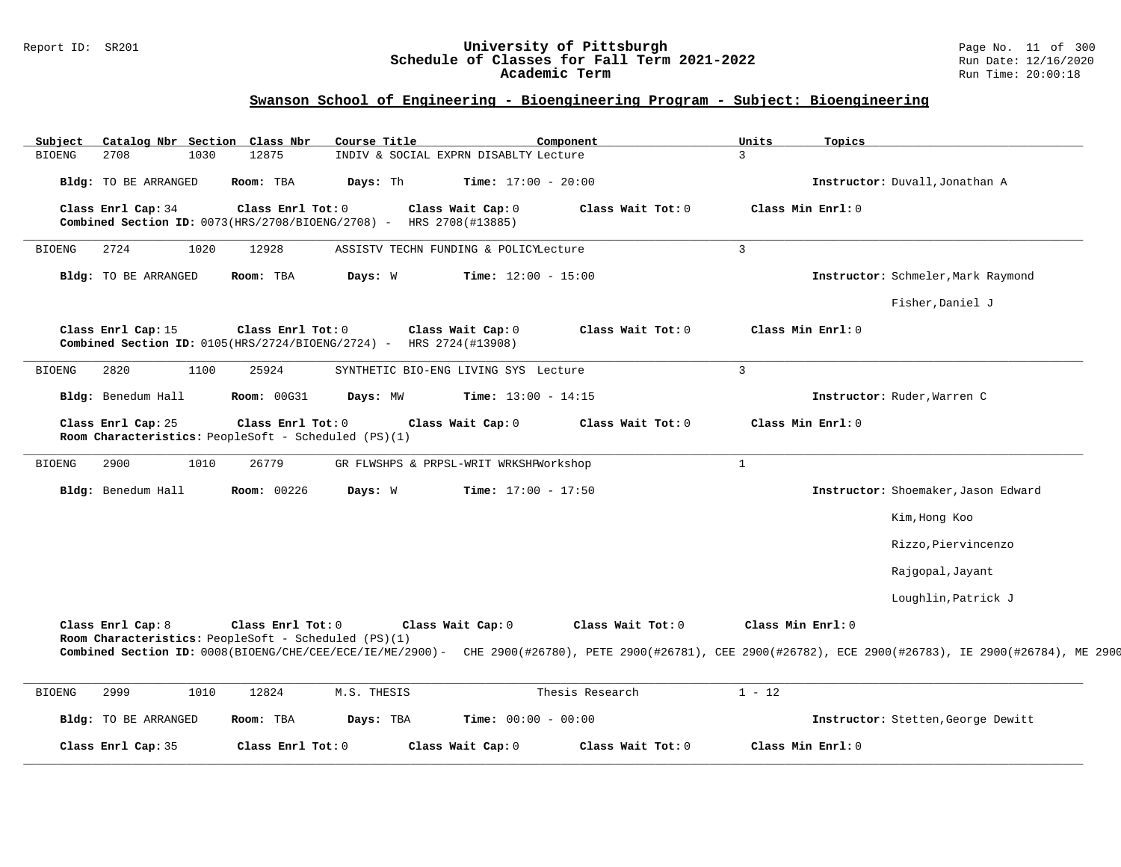#### Report ID: SR201 **University of Pittsburgh** Page No. 11 of 300 **Schedule of Classes for Fall Term 2021-2022** Run Date: 12/16/2020 **Academic Term** Run Time: 20:00:18

| Subject       | Catalog Nbr Section Class Nbr                                              |                    | Course Title                                                       |                                        | Component         | Units             | Topics            |                                                                                                                                                             |
|---------------|----------------------------------------------------------------------------|--------------------|--------------------------------------------------------------------|----------------------------------------|-------------------|-------------------|-------------------|-------------------------------------------------------------------------------------------------------------------------------------------------------------|
| <b>BIOENG</b> | 2708<br>1030                                                               | 12875              |                                                                    | INDIV & SOCIAL EXPRN DISABLTY Lecture  |                   | 3                 |                   |                                                                                                                                                             |
|               | <b>Bldg:</b> TO BE ARRANGED                                                | Room: TBA          | Days: Th                                                           | <b>Time:</b> $17:00 - 20:00$           |                   |                   |                   | Instructor: Duvall, Jonathan A                                                                                                                              |
|               | Class Enrl Cap: 34                                                         | Class Enrl Tot: 0  | Combined Section ID: 0073(HRS/2708/BIOENG/2708) - HRS 2708(#13885) | Class Wait Cap: 0                      | Class Wait Tot: 0 |                   | Class Min Enrl: 0 |                                                                                                                                                             |
| <b>BIOENG</b> | 1020<br>2724                                                               | 12928              |                                                                    | ASSISTV TECHN FUNDING & POLICYLecture  |                   | $\overline{3}$    |                   |                                                                                                                                                             |
|               | <b>Bldg:</b> TO BE ARRANGED                                                | Room: TBA          | Days: W                                                            | <b>Time:</b> $12:00 - 15:00$           |                   |                   |                   | Instructor: Schmeler, Mark Raymond                                                                                                                          |
|               |                                                                            |                    |                                                                    |                                        |                   |                   |                   | Fisher, Daniel J                                                                                                                                            |
|               | Class Enrl Cap: 15<br>Combined Section ID: 0105(HRS/2724/BIOENG/2724) -    | Class Enrl Tot: 0  |                                                                    | Class Wait Cap: 0<br>HRS 2724(#13908)  | Class Wait Tot: 0 |                   | Class Min Enrl: 0 |                                                                                                                                                             |
| <b>BIOENG</b> | 1100<br>2820                                                               | 25924              |                                                                    | SYNTHETIC BIO-ENG LIVING SYS Lecture   |                   | $\overline{3}$    |                   |                                                                                                                                                             |
|               | Bldg: Benedum Hall                                                         | <b>Room: 00G31</b> | Days: MW                                                           | Time: $13:00 - 14:15$                  |                   |                   |                   | Instructor: Ruder, Warren C                                                                                                                                 |
|               | Class Enrl Cap: 25<br>Room Characteristics: PeopleSoft - Scheduled (PS)(1) | Class Enrl Tot: 0  |                                                                    | Class Wait Cap: 0                      | Class Wait Tot: 0 |                   | Class Min Enrl: 0 |                                                                                                                                                             |
| <b>BIOENG</b> | 2900<br>1010                                                               | 26779              |                                                                    | GR FLWSHPS & PRPSL-WRIT WRKSHPWorkshop |                   | $\mathbf{1}$      |                   |                                                                                                                                                             |
|               | Bldg: Benedum Hall                                                         | Room: 00226        | Days: W                                                            | <b>Time:</b> $17:00 - 17:50$           |                   |                   |                   | Instructor: Shoemaker, Jason Edward                                                                                                                         |
|               |                                                                            |                    |                                                                    |                                        |                   |                   |                   | Kim, Hong Koo                                                                                                                                               |
|               |                                                                            |                    |                                                                    |                                        |                   |                   |                   | Rizzo, Piervincenzo                                                                                                                                         |
|               |                                                                            |                    |                                                                    |                                        |                   |                   |                   | Rajgopal, Jayant                                                                                                                                            |
|               |                                                                            |                    |                                                                    |                                        |                   |                   |                   | Loughlin, Patrick J                                                                                                                                         |
|               | Class Enrl Cap: 8<br>Room Characteristics: PeopleSoft - Scheduled (PS)(1)  | Class Enrl Tot: 0  |                                                                    | Class Wait Cap: 0                      | Class Wait Tot: 0 | Class Min Enrl: 0 |                   | Combined Section ID: 0008(BIOENG/CHE/CEE/ECE/IE/ME/2900)- CHE 2900(#26780), PETE 2900(#26781), CEE 2900(#26782), ECE 2900(#26783), IE 2900(#26784), ME 2900 |
|               |                                                                            |                    |                                                                    |                                        |                   |                   |                   |                                                                                                                                                             |
| <b>BIOENG</b> | 2999<br>1010                                                               | 12824              | M.S. THESIS                                                        |                                        | Thesis Research   | $1 - 12$          |                   |                                                                                                                                                             |
|               | <b>Bldg:</b> TO BE ARRANGED                                                | Room: TBA          | Days: TBA                                                          | <b>Time:</b> $00:00 - 00:00$           |                   |                   |                   | Instructor: Stetten, George Dewitt                                                                                                                          |
|               | Class Enrl Cap: 35                                                         | Class Enrl Tot: 0  |                                                                    | Class Wait Cap: 0                      | Class Wait Tot: 0 |                   | Class Min Enrl: 0 |                                                                                                                                                             |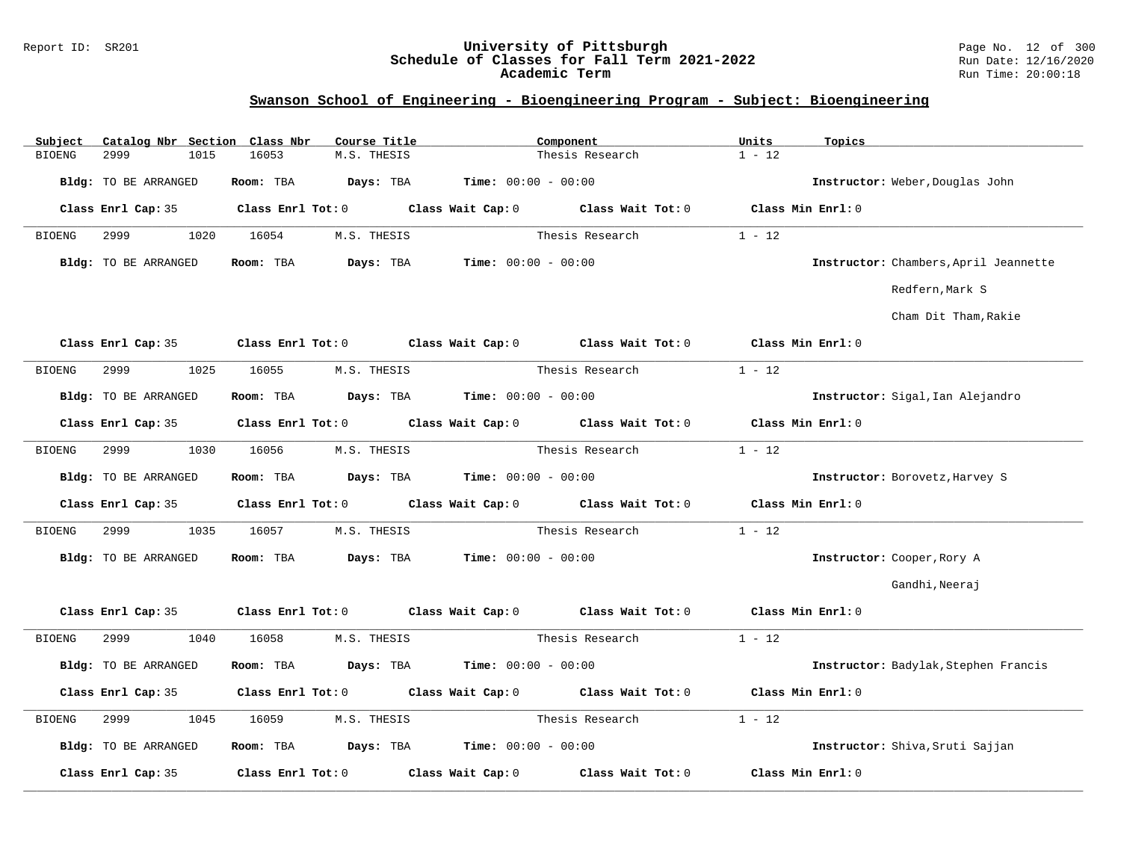#### Report ID: SR201 **University of Pittsburgh** Page No. 12 of 300 **Schedule of Classes for Fall Term 2021-2022** Run Date: 12/16/2020 **Academic Term** Run Time: 20:00:18

| Subject       | Catalog Nbr Section Class Nbr |                        | Course Title                                          | Component                                                                                  | Units<br>Topics    |                                       |
|---------------|-------------------------------|------------------------|-------------------------------------------------------|--------------------------------------------------------------------------------------------|--------------------|---------------------------------------|
| <b>BIOENG</b> | 2999<br>1015                  | 16053<br>M.S. THESIS   |                                                       | Thesis Research                                                                            | $1 - 12$           |                                       |
|               | Bldg: TO BE ARRANGED          | Days: TBA<br>Room: TBA | <b>Time:</b> $00:00 - 00:00$                          |                                                                                            |                    | Instructor: Weber, Douglas John       |
|               |                               |                        |                                                       | Class Enrl Cap: 35 Class Enrl Tot: 0 Class Wait Cap: 0 Class Wait Tot: 0 Class Min Enrl: 0 |                    |                                       |
| BIOENG        | 2999<br>1020                  | 16054<br>M.S. THESIS   |                                                       | Thesis Research                                                                            | $1 - 12$           |                                       |
|               | Bldg: TO BE ARRANGED          | Room: TBA<br>Days: TBA | $Time: 00:00 - 00:00$                                 |                                                                                            |                    | Instructor: Chambers, April Jeannette |
|               |                               |                        |                                                       |                                                                                            |                    | Redfern, Mark S                       |
|               |                               |                        |                                                       |                                                                                            |                    | Cham Dit Tham, Rakie                  |
|               | Class Enrl Cap: 35            |                        | Class Enrl Tot: 0 Class Wait Cap: 0 Class Wait Tot: 0 |                                                                                            | Class Min Enrl: 0  |                                       |
| BIOENG        | 1025<br>2999                  | 16055<br>M.S. THESIS   |                                                       | Thesis Research                                                                            | $1 - 12$           |                                       |
|               | Bldg: TO BE ARRANGED          | Room: TBA              | <b>Days:</b> TBA <b>Time:</b> $00:00 - 00:00$         |                                                                                            |                    | Instructor: Sigal, Ian Alejandro      |
|               | Class Enrl Cap: 35            |                        | Class Enrl Tot: 0 Class Wait Cap: 0 Class Wait Tot: 0 |                                                                                            | Class Min $Enr1:0$ |                                       |
| <b>BIOENG</b> | 2999<br>1030                  | 16056<br>M.S. THESIS   |                                                       | Thesis Research                                                                            | $1 - 12$           |                                       |
|               | Bldg: TO BE ARRANGED          | Room: TBA              | $\texttt{Days:}$ TBA $\texttt{Time:}$ 00:00 - 00:00   |                                                                                            |                    | Instructor: Borovetz, Harvey S        |
|               | Class Enrl Cap: 35            |                        | Class Enrl Tot: 0 Class Wait Cap: 0 Class Wait Tot: 0 |                                                                                            | Class Min Enrl: 0  |                                       |
| <b>BIOENG</b> | 2999<br>1035                  | 16057<br>M.S. THESIS   |                                                       | Thesis Research                                                                            | $1 - 12$           |                                       |
|               | Bldg: TO BE ARRANGED          | Room: TBA              | <b>Days:</b> TBA <b>Time:</b> $00:00 - 00:00$         |                                                                                            |                    | Instructor: Cooper, Rory A            |
|               |                               |                        |                                                       |                                                                                            |                    | Gandhi, Neeraj                        |
|               | Class Enrl Cap: 35            |                        | Class Enrl Tot: 0 Class Wait Cap: 0 Class Wait Tot: 0 |                                                                                            | Class Min Enrl: 0  |                                       |
| BIOENG        | 2999<br>1040                  | M.S. THESIS<br>16058   |                                                       | Thesis Research                                                                            | $1 - 12$           |                                       |
|               | Bldg: TO BE ARRANGED          | Room: TBA              | <b>Days:</b> TBA <b>Time:</b> $00:00 - 00:00$         |                                                                                            |                    | Instructor: Badylak, Stephen Francis  |
|               | Class Enrl Cap: 35            |                        | Class Enrl Tot: 0 Class Wait Cap: 0 Class Wait Tot: 0 |                                                                                            | Class Min Enrl: 0  |                                       |
| <b>BIOENG</b> | 2999<br>1045                  | M.S. THESIS<br>16059   |                                                       | Thesis Research                                                                            | $1 - 12$           |                                       |
|               | Bldg: TO BE ARRANGED          | Room: TBA              | $\texttt{DayS:}$ TBA $\texttt{Time:}$ 00:00 - 00:00   |                                                                                            |                    | Instructor: Shiva, Sruti Sajjan       |
|               | Class Enrl Cap: 35            |                        | Class Enrl Tot: 0 Class Wait Cap: 0                   | Class Wait Tot: 0                                                                          | Class Min Enrl: 0  |                                       |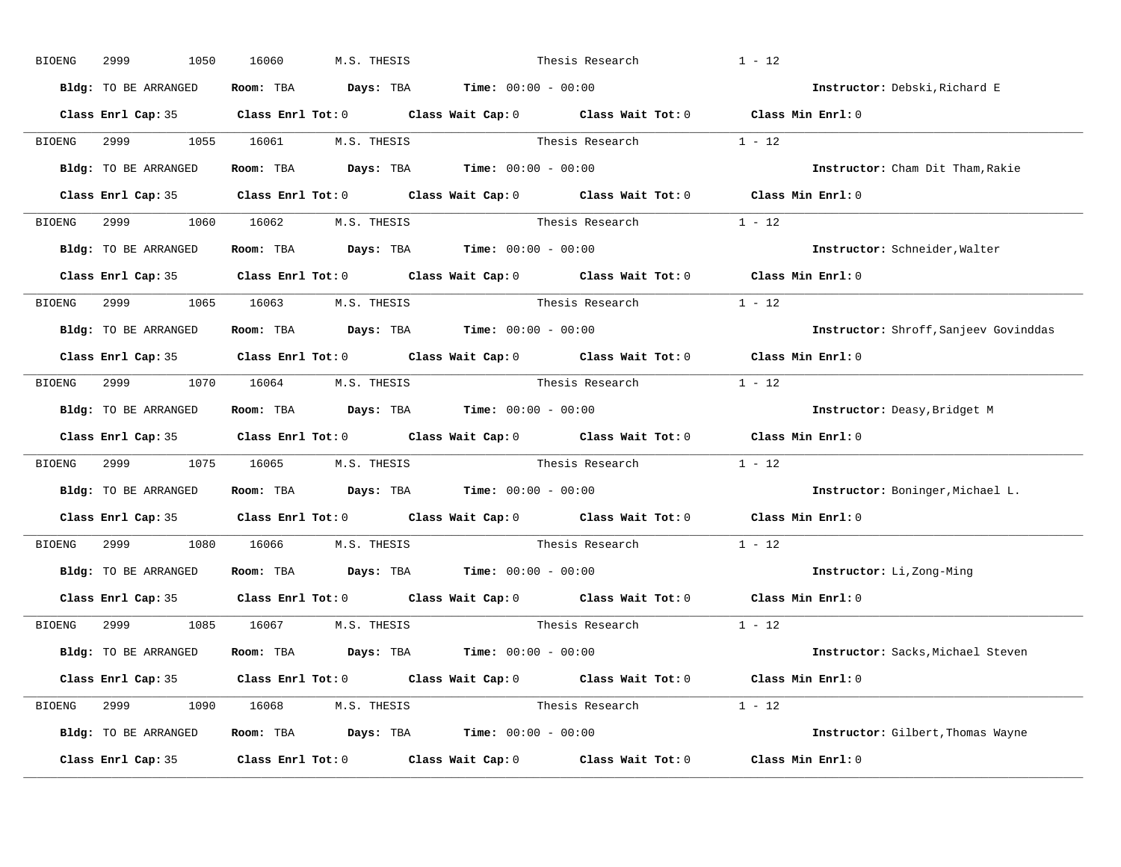| BIOENG        | 2999<br>1050                       | 16060     | M.S. THESIS            |                                                                | Thesis Research                                                                                     | $1 - 12$                              |
|---------------|------------------------------------|-----------|------------------------|----------------------------------------------------------------|-----------------------------------------------------------------------------------------------------|---------------------------------------|
|               | Bldg: TO BE ARRANGED               |           |                        | Room: TBA $Days:$ TBA $Time: 00:00 - 00:00$                    |                                                                                                     | Instructor: Debski, Richard E         |
|               |                                    |           |                        |                                                                | Class Enrl Cap: 35 Class Enrl Tot: 0 Class Wait Cap: 0 Class Wait Tot: 0 Class Min Enrl: 0          |                                       |
| BIOENG        | 2999 — 200                         |           |                        |                                                                | 1055 16061 M.S. THESIS Thesis Research 1 - 12                                                       |                                       |
|               | Bldg: TO BE ARRANGED               |           |                        | Room: TBA $Days:$ TBA $Time: 00:00 - 00:00$                    |                                                                                                     | Instructor: Cham Dit Tham, Rakie      |
|               |                                    |           |                        |                                                                | Class Enrl Cap: 35 Class Enrl Tot: 0 Class Wait Cap: 0 Class Wait Tot: 0 Class Min Enrl: 0          |                                       |
|               | BIOENG 2999 1060 16062 M.S. THESIS |           |                        |                                                                | Thesis Research 1 - 12                                                                              |                                       |
|               | Bldg: TO BE ARRANGED               |           |                        | Room: TBA $\rule{1em}{0.15mm}$ Days: TBA Time: $00:00 - 00:00$ |                                                                                                     | Instructor: Schneider, Walter         |
|               |                                    |           |                        |                                                                | Class Enrl Cap: 35 Class Enrl Tot: 0 Class Wait Cap: 0 Class Wait Tot: 0 Class Min Enrl: 0          |                                       |
| BIOENG        | 2999 1065 16063 M.S. THESIS        |           |                        |                                                                | Thesis Research 1 - 12                                                                              |                                       |
|               | Bldg: TO BE ARRANGED               |           |                        | Room: TBA $Days:$ TBA $Time: 00:00 - 00:00$                    |                                                                                                     | Instructor: Shroff, Sanjeev Govinddas |
|               |                                    |           |                        |                                                                | Class Enrl Cap: 35 Class Enrl Tot: 0 Class Wait Cap: 0 Class Wait Tot: 0 Class Min Enrl: 0          |                                       |
|               | BIOENG 2999 1070 16064 M.S. THESIS |           |                        |                                                                | Thesis Research $1 - 12$                                                                            |                                       |
|               | Bldg: TO BE ARRANGED               |           |                        | Room: TBA $Days:$ TBA $Time: 00:00 - 00:00$                    |                                                                                                     | Instructor: Deasy, Bridget M          |
|               |                                    |           |                        |                                                                | Class Enrl Cap: 35 Class Enrl Tot: 0 Class Wait Cap: 0 Class Wait Tot: 0 Class Min Enrl: 0          |                                       |
| <b>BIOENG</b> | 2999                               |           | 1075 16065 M.S. THESIS |                                                                | Thesis Research 1 - 12                                                                              |                                       |
|               | Bldg: TO BE ARRANGED               |           |                        | <b>Room:</b> TBA $Days: TBA$ <b>Time:</b> $00:00 - 00:00$      |                                                                                                     | Instructor: Boninger, Michael L.      |
|               |                                    |           |                        |                                                                | Class Enrl Cap: 35 Class Enrl Tot: 0 Class Wait Cap: 0 Class Wait Tot: 0 Class Min Enrl: 0          |                                       |
| BIOENG        | 2999 720<br>1080                   | 16066 160 | M.S. THESIS            |                                                                | Thesis Research $1 - 12$                                                                            |                                       |
|               | Bldg: TO BE ARRANGED               |           |                        | Room: TBA $Days:$ TBA $Time: 00:00 - 00:00$                    |                                                                                                     | Instructor: Li, Zong-Ming             |
|               |                                    |           |                        |                                                                | Class Enrl Cap: 35 $\qquad$ Class Enrl Tot: 0 $\qquad$ Class Wait Cap: 0 $\qquad$ Class Wait Tot: 0 | Class Min $Enr1:0$                    |
| BIOENG        | 2999 200                           |           | 1085 16067 M.S. THESIS |                                                                | Thesis Research                                                                                     | $1 - 12$                              |
|               | Bldg: TO BE ARRANGED               |           |                        | Room: TBA $Days: TBA$ Time: $00:00 - 00:00$                    |                                                                                                     | Instructor: Sacks, Michael Steven     |
|               |                                    |           |                        |                                                                | Class Enrl Cap: 35 Class Enrl Tot: 0 Class Wait Cap: 0 Class Wait Tot: 0 Class Min Enrl: 0          |                                       |
|               | BIOENG 2999 1090 16068 M.S. THESIS |           |                        |                                                                | Thesis Research $1 - 12$                                                                            |                                       |
|               | Bldg: TO BE ARRANGED               |           |                        | Room: TBA $Days:$ TBA $Time: 00:00 - 00:00$                    |                                                                                                     | Instructor: Gilbert, Thomas Wayne     |
|               |                                    |           |                        |                                                                |                                                                                                     |                                       |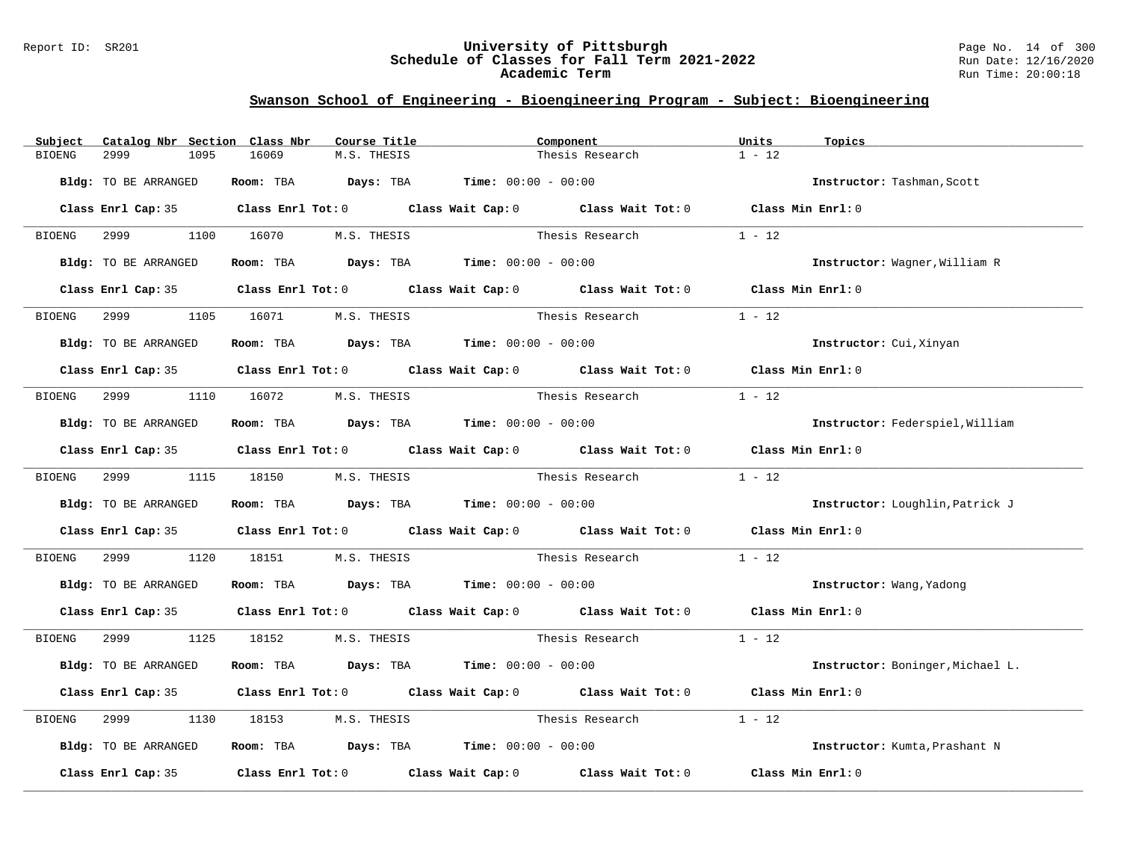#### Report ID: SR201 **University of Pittsburgh** Page No. 14 of 300 **Schedule of Classes for Fall Term 2021-2022** Run Date: 12/16/2020 **Academic Term** Run Time: 20:00:18

| Subject       | Catalog Nbr Section Class Nbr |                                                                | Course Title | Component       |                                                                                                                                                                                                                               | Units             | Topics                           |
|---------------|-------------------------------|----------------------------------------------------------------|--------------|-----------------|-------------------------------------------------------------------------------------------------------------------------------------------------------------------------------------------------------------------------------|-------------------|----------------------------------|
| <b>BIOENG</b> | 2999<br>1095                  | 16069                                                          | M.S. THESIS  |                 | Thesis Research                                                                                                                                                                                                               | $1 - 12$          |                                  |
|               | Bldg: TO BE ARRANGED          | Room: TBA $Days: TBA$ Time: $00:00 - 00:00$                    |              |                 |                                                                                                                                                                                                                               |                   | Instructor: Tashman, Scott       |
|               |                               |                                                                |              |                 | Class Enrl Cap: 35 Class Enrl Tot: 0 Class Wait Cap: 0 Class Wait Tot: 0 Class Min Enrl: 0                                                                                                                                    |                   |                                  |
|               | BIOENG 2999                   | 1100 16070                                                     | M.S. THESIS  |                 | Thesis Research                                                                                                                                                                                                               | $1 - 12$          |                                  |
|               | Bldg: TO BE ARRANGED          | Room: TBA $Days:$ TBA $Time: 00:00 - 00:00$                    |              |                 |                                                                                                                                                                                                                               |                   | Instructor: Wagner, William R    |
|               |                               |                                                                |              |                 | Class Enrl Cap: 35 Class Enrl Tot: 0 Class Wait Cap: 0 Class Wait Tot: 0 Class Min Enrl: 0                                                                                                                                    |                   |                                  |
| BIOENG        | 2999 72                       | 1105 16071 M.S. THESIS                                         |              |                 | Thesis Research                                                                                                                                                                                                               | $1 - 12$          |                                  |
|               | Bldg: TO BE ARRANGED          | Room: TBA $Days:$ TBA $Time: 00:00 - 00:00$                    |              |                 |                                                                                                                                                                                                                               |                   | Instructor: Cui, Xinyan          |
|               |                               |                                                                |              |                 | Class Enrl Cap: 35 Class Enrl Tot: 0 Class Wait Cap: 0 Class Wait Tot: 0 Class Min Enrl: 0                                                                                                                                    |                   |                                  |
| BIOENG        |                               | 2999 1110 16072 M.S. THESIS                                    |              | Thesis Research |                                                                                                                                                                                                                               | $1 - 12$          |                                  |
|               | Bldg: TO BE ARRANGED          | Room: TBA $Days:$ TBA $Time: 00:00 - 00:00$                    |              |                 |                                                                                                                                                                                                                               |                   | Instructor: Federspiel, William  |
|               |                               |                                                                |              |                 | Class Enrl Cap: 35 Class Enrl Tot: 0 Class Wait Cap: 0 Class Wait Tot: 0 Class Min Enrl: 0                                                                                                                                    |                   |                                  |
|               |                               | BIOENG 2999 1115 18150 M.S. THESIS                             |              | Thesis Research |                                                                                                                                                                                                                               | $1 - 12$          |                                  |
|               | Bldg: TO BE ARRANGED          | Room: TBA $Days:$ TBA $Time:$ 00:00 - 00:00                    |              |                 |                                                                                                                                                                                                                               |                   | Instructor: Loughlin, Patrick J  |
|               |                               |                                                                |              |                 | Class Enrl Cap: 35 Class Enrl Tot: 0 Class Wait Cap: 0 Class Wait Tot: 0 Class Min Enrl: 0                                                                                                                                    |                   |                                  |
| BIOENG        | 2999 7<br>1120                | 18151                                                          |              |                 | M.S. THESIS Thesis Research                                                                                                                                                                                                   | $1 - 12$          |                                  |
|               | Bldg: TO BE ARRANGED          | Room: TBA $\rule{1em}{0.15mm}$ Days: TBA Time: $00:00 - 00:00$ |              |                 |                                                                                                                                                                                                                               |                   | Instructor: Wang, Yadong         |
|               |                               |                                                                |              |                 | Class Enrl Cap: 35 Class Enrl Tot: 0 Class Wait Cap: 0 Class Wait Tot: 0 Class Min Enrl: 0                                                                                                                                    |                   |                                  |
| <b>BIOENG</b> |                               | 2999 1125 18152 M.S. THESIS                                    |              |                 | Thesis Research 1 - 12                                                                                                                                                                                                        |                   |                                  |
|               | Bldg: TO BE ARRANGED          | Room: TBA $Days:$ TBA $Time: 00:00 - 00:00$                    |              |                 |                                                                                                                                                                                                                               |                   | Instructor: Boninger, Michael L. |
|               |                               |                                                                |              |                 | Class Enrl Cap: 35 Class Enrl Tot: 0 Class Wait Cap: 0 Class Wait Tot: 0 Class Min Enrl: 0                                                                                                                                    |                   |                                  |
| BIOENG        | 2999<br>1130                  | 18153                                                          | M.S. THESIS  | Thesis Research |                                                                                                                                                                                                                               | $1 - 12$          |                                  |
|               | Bldg: TO BE ARRANGED          | Room: TBA $\rule{1em}{0.15mm}$ Days: TBA Time: $00:00 - 00:00$ |              |                 |                                                                                                                                                                                                                               |                   | Instructor: Kumta, Prashant N    |
|               |                               |                                                                |              |                 | Class Enrl Cap: 35 $\,$ Class Enrl Tot: 0 $\,$ Class Wait Cap: 0 $\,$ Class Wait Tot: 0 $\,$ Class Enrl Tot: 0 $\,$ Class Enrl Tot: 0 $\,$ Class Enrl Tot: 0 $\,$ Class Enrl Tot: 0 $\,$ Class Enrl Tot: 0 $\,$ Class Enrl To | Class Min Enrl: 0 |                                  |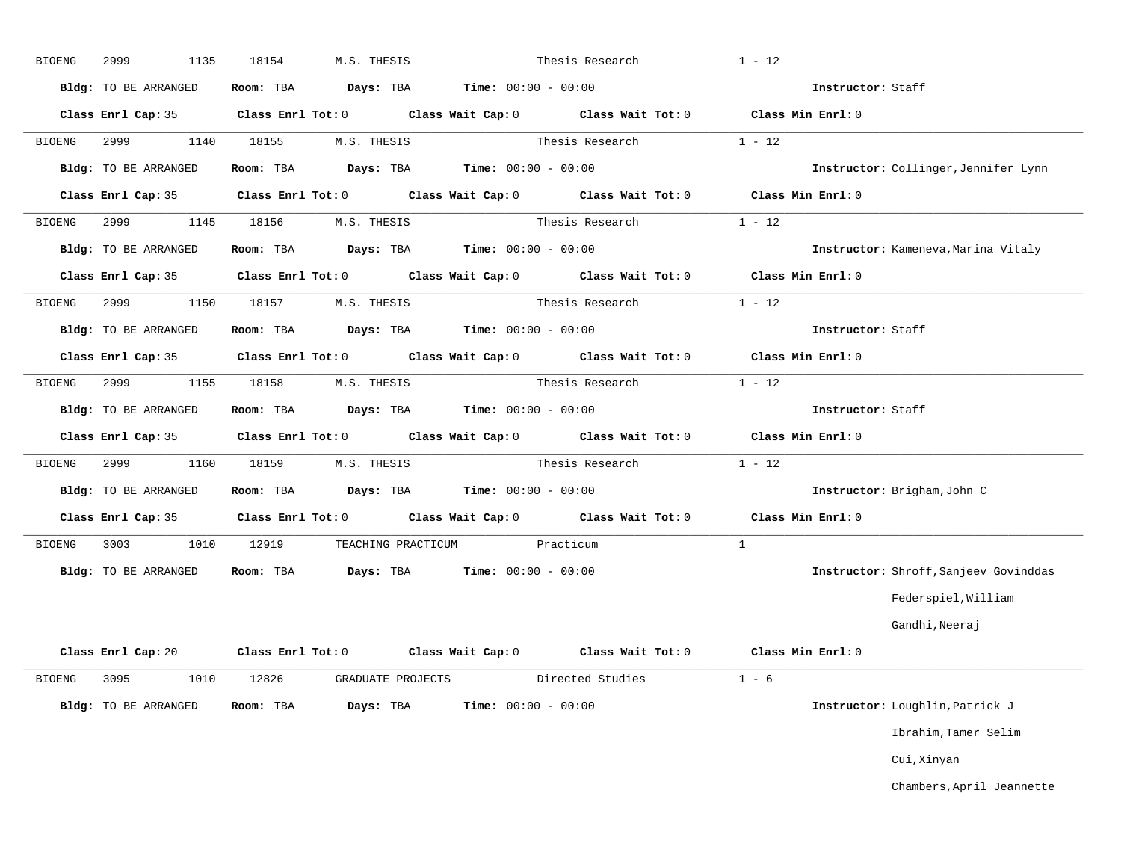| BIOENG        | 1135<br>2999                | 18154      | M.S. THESIS                                                                             |                              | Thesis Research                        | $1 - 12$                                                                                   |                                       |
|---------------|-----------------------------|------------|-----------------------------------------------------------------------------------------|------------------------------|----------------------------------------|--------------------------------------------------------------------------------------------|---------------------------------------|
|               | Bldg: TO BE ARRANGED        |            | Room: TBA $Days:$ TBA $Time: 00:00 - 00:00$                                             |                              |                                        | Instructor: Staff                                                                          |                                       |
|               |                             |            |                                                                                         |                              |                                        | Class Enrl Cap: 35 Class Enrl Tot: 0 Class Wait Cap: 0 Class Wait Tot: 0 Class Min Enrl: 0 |                                       |
| BIOENG        | 2999                        | 1140 18155 |                                                                                         |                              | M.S. THESIS Thesis Research            | $1 - 12$                                                                                   |                                       |
|               | Bldg: TO BE ARRANGED        |            | Room: TBA $\rule{1em}{0.15mm}$ Days: TBA $\rule{1.15mm}]{0.15mm}$ Time: $0.000 - 0.000$ |                              |                                        |                                                                                            | Instructor: Collinger, Jennifer Lynn  |
|               |                             |            |                                                                                         |                              |                                        | Class Enrl Cap: 35 Class Enrl Tot: 0 Class Wait Cap: 0 Class Wait Tot: 0 Class Min Enrl: 0 |                                       |
| BIOENG        | 2999 1145 18156 M.S. THESIS |            |                                                                                         | Thesis Research              |                                        | $1 - 12$                                                                                   |                                       |
|               | Bldg: TO BE ARRANGED        |            | Room: TBA $Days:$ TBA Time: $00:00 - 00:00$                                             |                              |                                        |                                                                                            | Instructor: Kameneva, Marina Vitaly   |
|               |                             |            |                                                                                         |                              |                                        | Class Enrl Cap: 35 Class Enrl Tot: 0 Class Wait Cap: 0 Class Wait Tot: 0 Class Min Enrl: 0 |                                       |
| BIOENG        | 2999 1150 18157 M.S. THESIS |            |                                                                                         |                              | Thesis Research                        | $1 - 12$                                                                                   |                                       |
|               | Bldg: TO BE ARRANGED        |            | Room: TBA $Days:$ TBA Time: $00:00 - 00:00$                                             |                              |                                        | Instructor: Staff                                                                          |                                       |
|               |                             |            |                                                                                         |                              |                                        | Class Enrl Cap: 35 Class Enrl Tot: 0 Class Wait Cap: 0 Class Wait Tot: 0 Class Min Enrl: 0 |                                       |
| BIOENG        | 2999<br>1155                |            | 18158 M.S. THESIS                                                                       |                              | Thesis Research                        | $1 - 12$                                                                                   |                                       |
|               | Bldg: TO BE ARRANGED        |            | Room: TBA $\rule{1em}{0.15mm}$ Days: TBA $\rule{1.15mm}]{0.15mm}$ Time: $00:00 - 00:00$ |                              |                                        | Instructor: Staff                                                                          |                                       |
|               |                             |            |                                                                                         |                              |                                        | Class Enrl Cap: 35 Class Enrl Tot: 0 Class Wait Cap: 0 Class Wait Tot: 0 Class Min Enrl: 0 |                                       |
| BIOENG        | 2999 — 200                  |            |                                                                                         |                              | 1160 18159 M.S. THESIS Thesis Research | $1 - 12$                                                                                   |                                       |
|               | Bldg: TO BE ARRANGED        |            | Room: TBA $\rule{1em}{0.15mm}$ Days: TBA $\rule{1.15mm}]{0.15mm}$ Time: $0.000 - 0.000$ |                              |                                        |                                                                                            | Instructor: Brigham, John C           |
|               |                             |            |                                                                                         |                              |                                        | Class Enrl Cap: 35 Class Enrl Tot: 0 Class Wait Cap: 0 Class Wait Tot: 0 Class Min Enrl: 0 |                                       |
| BIOENG        |                             |            | 3003 1010 12919 TEACHING PRACTICUM Practicum                                            |                              |                                        | $\mathbf{1}$                                                                               |                                       |
|               | Bldg: TO BE ARRANGED        |            | Room: TBA $Days: TBA$ Time: $00:00 - 00:00$                                             |                              |                                        |                                                                                            | Instructor: Shroff, Sanjeev Govinddas |
|               |                             |            |                                                                                         |                              |                                        |                                                                                            | Federspiel, William                   |
|               |                             |            |                                                                                         |                              |                                        |                                                                                            | Gandhi,Neeraj                         |
|               |                             |            |                                                                                         |                              |                                        | Class Enrl Cap: 20 Class Enrl Tot: 0 Class Wait Cap: 0 Class Wait Tot: 0 Class Min Enrl: 0 |                                       |
| <b>BIOENG</b> | 3095 300                    | 1010 12826 | GRADUATE PROJECTS                                                                       |                              | Directed Studies                       | $1 - 6$                                                                                    |                                       |
|               | <b>Bldg:</b> TO BE ARRANGED | Room: TBA  | Days: TBA                                                                               | <b>Time:</b> $00:00 - 00:00$ |                                        |                                                                                            | Instructor: Loughlin, Patrick J       |
|               |                             |            |                                                                                         |                              |                                        |                                                                                            | Ibrahim, Tamer Selim                  |
|               |                             |            |                                                                                         |                              |                                        |                                                                                            | Cui, Xinyan                           |
|               |                             |            |                                                                                         |                              |                                        |                                                                                            | Chambers, April Jeannette             |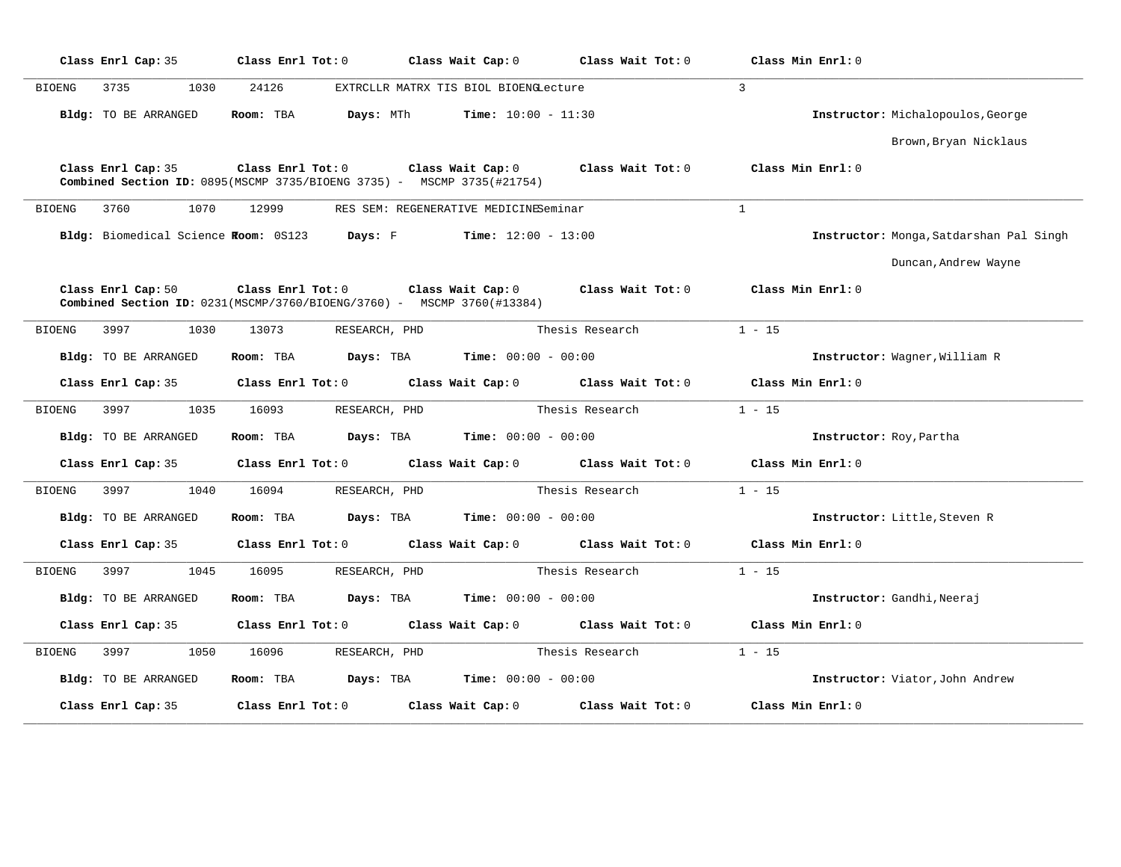| Class Enrl Cap: 35                   | Class Enrl Tot: 0       | Class Wait Cap: 0                                                                                                      | Class Wait Tot: 0                   | Class Min Enrl: 0                       |
|--------------------------------------|-------------------------|------------------------------------------------------------------------------------------------------------------------|-------------------------------------|-----------------------------------------|
| <b>BIOENG</b><br>3735<br>1030        | 24126                   | EXTRCLLR MATRX TIS BIOL BIOENGLecture                                                                                  |                                     | $\mathbf{3}$                            |
| Bldg: TO BE ARRANGED                 | Room: TBA               | Days: MTh<br><b>Time:</b> $10:00 - 11:30$                                                                              |                                     | Instructor: Michalopoulos, George       |
|                                      |                         |                                                                                                                        |                                     | Brown, Bryan Nicklaus                   |
| Class Enrl Cap: 35                   |                         | Class Enrl Tot: 0 Class Wait Cap: 0<br><b>Combined Section ID:</b> $0895(MSCMP 3735/BIOENG 3735)$ - MSCMP 3735(#21754) | Class Wait Tot: 0                   | Class Min Enrl: 0                       |
| 3760<br>1070<br>BIOENG               | 12999                   | RES SEM: REGENERATIVE MEDICINESeminar                                                                                  |                                     | $\mathbf{1}$                            |
| Bldg: Biomedical Science Room: 0S123 | Days: F                 | <b>Time:</b> $12:00 - 13:00$                                                                                           |                                     | Instructor: Monga, Satdarshan Pal Singh |
|                                      |                         |                                                                                                                        |                                     | Duncan, Andrew Wayne                    |
| Class Enrl Cap: 50                   | Class Enrl Tot: 0       | Class Wait Cap: 0<br>Combined Section ID: 0231(MSCMP/3760/BIOENG/3760) - MSCMP 3760(#13384)                            | Class Wait Tot: 0                   | Class Min Enrl: 0                       |
| 3997<br><b>BIOENG</b><br>1030        | 13073                   | RESEARCH, PHD                                                                                                          | Thesis Research                     | $1 - 15$                                |
| Bldg: TO BE ARRANGED                 | Room: TBA               | Days: TBA<br>$Time: 00:00 - 00:00$                                                                                     |                                     | Instructor: Wagner, William R           |
| Class Enrl Cap: 35                   | $Class$ $Enrl$ $Tot: 0$ |                                                                                                                        | Class Wait Cap: 0 Class Wait Tot: 0 | Class Min Enrl: 0                       |
| 3997<br>1035<br>BIOENG               | 16093                   | RESEARCH, PHD                                                                                                          | Thesis Research                     | $1 - 15$                                |
| Bldg: TO BE ARRANGED                 | Room: TBA               | Days: TBA<br>$Time: 00:00 - 00:00$                                                                                     |                                     | Instructor: Roy, Partha                 |
| Class Enrl Cap: 35                   | Class Enrl Tot: 0       | Class Wait Cap: $0$ Class Wait Tot: $0$                                                                                |                                     | Class Min Enrl: 0                       |
| 3997<br>1040<br>BIOENG               | 16094                   | RESEARCH, PHD                                                                                                          | Thesis Research                     | $1 - 15$                                |
| Bldg: TO BE ARRANGED                 | Room: TBA               | <b>Time:</b> $00:00 - 00:00$<br>Days: TBA                                                                              |                                     | Instructor: Little, Steven R            |
| Class Enrl Cap: 35                   | Class Enrl Tot: 0       | Class Wait Cap: $0$ Class Wait Tot: $0$                                                                                |                                     | Class Min Enrl: 0                       |
| BIOENG<br>3997<br>1045               | 16095                   | RESEARCH, PHD                                                                                                          | Thesis Research                     | $1 - 15$                                |
| Bldg: TO BE ARRANGED                 | Room: TBA               | <b>Time:</b> $00:00 - 00:00$<br>Days: TBA                                                                              |                                     | Instructor: Gandhi, Neeraj              |
| Class Enrl Cap: 35                   | Class Enrl Tot: 0       | Class Wait Cap: 0                                                                                                      | Class Wait Tot: 0                   | Class Min Enrl: 0                       |
| <b>BIOENG</b><br>3997<br>1050        | 16096                   | RESEARCH, PHD                                                                                                          | Thesis Research                     | $1 - 15$                                |
| Bldg: TO BE ARRANGED                 | Room: TBA               | <b>Time:</b> $00:00 - 00:00$<br>Days: TBA                                                                              |                                     | Instructor: Viator, John Andrew         |
| Class Enrl Cap: 35                   | Class Enrl Tot: 0       | Class Wait Cap: 0                                                                                                      | Class Wait Tot: 0                   | Class Min Enrl: 0                       |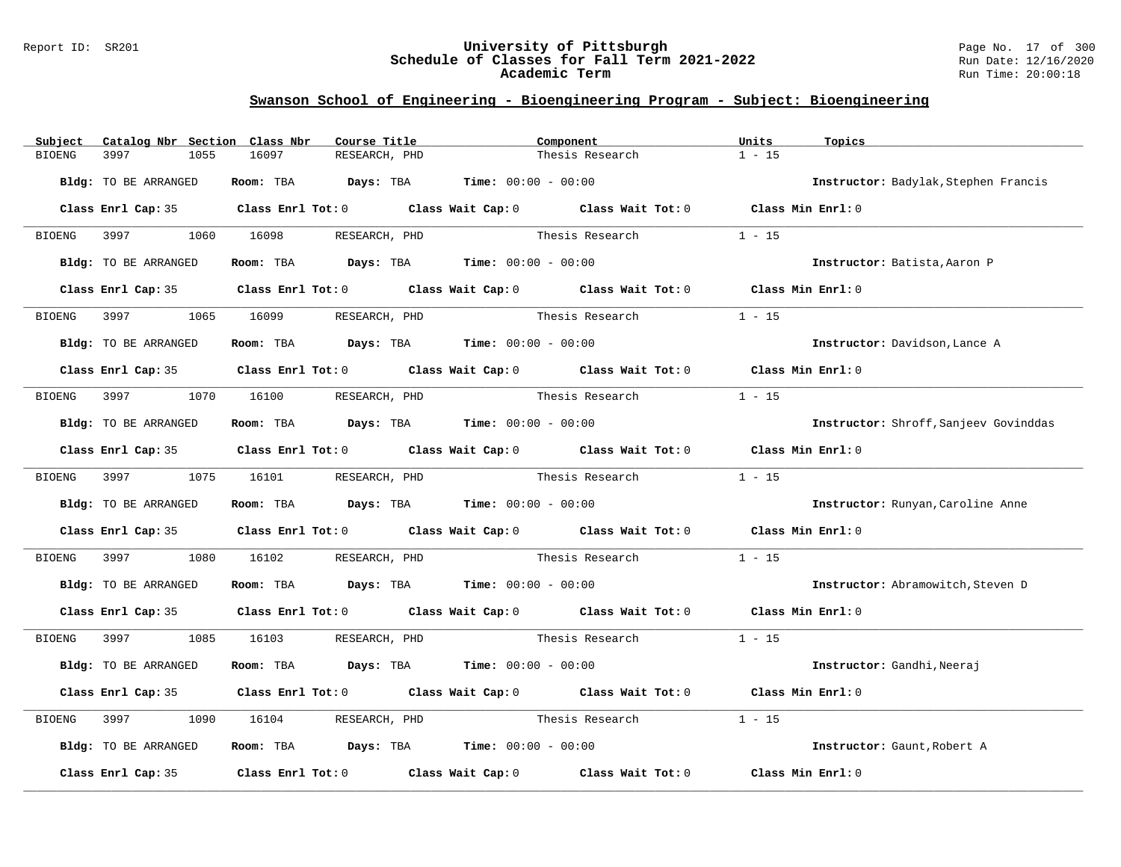#### Report ID: SR201 **University of Pittsburgh** Page No. 17 of 300 **Schedule of Classes for Fall Term 2021-2022** Run Date: 12/16/2020 **Academic Term** Run Time: 20:00:18

| Catalog Nbr Section Class Nbr<br>Subject | Course Title                                                            | Component                                                                                  | Units<br>Topics                       |
|------------------------------------------|-------------------------------------------------------------------------|--------------------------------------------------------------------------------------------|---------------------------------------|
| 3997<br><b>BIOENG</b><br>1055            | 16097<br>RESEARCH, PHD                                                  | Thesis Research                                                                            | $1 - 15$                              |
| Bldg: TO BE ARRANGED                     | Room: TBA $Days:$ TBA $Time: 00:00 - 00:00$                             |                                                                                            | Instructor: Badylak, Stephen Francis  |
|                                          |                                                                         | Class Enrl Cap: 35 Class Enrl Tot: 0 Class Wait Cap: 0 Class Wait Tot: 0 Class Min Enrl: 0 |                                       |
| 3997<br>BIOENG                           | 1060 16098<br>RESEARCH, PHD                                             | Thesis Research                                                                            | $1 - 15$                              |
| Bldg: TO BE ARRANGED                     | Room: TBA $Days:$ TBA $Time: 00:00 - 00:00$                             |                                                                                            | Instructor: Batista, Aaron P          |
|                                          |                                                                         | Class Enrl Cap: 35 Class Enrl Tot: 0 Class Wait Cap: 0 Class Wait Tot: 0 Class Min Enrl: 0 |                                       |
| 3997<br>BIOENG                           | 1065 16099<br>RESEARCH, PHD                                             | Thesis Research                                                                            | $1 - 15$                              |
| Bldg: TO BE ARRANGED                     | Room: TBA $\rule{1em}{0.15mm}$ Days: TBA $\qquad$ Time: $00:00 - 00:00$ |                                                                                            | Instructor: Davidson, Lance A         |
|                                          |                                                                         | Class Enrl Cap: 35 Class Enrl Tot: 0 Class Wait Cap: 0 Class Wait Tot: 0 Class Min Enrl: 0 |                                       |
| BIOENG<br>3997 — 100                     | 1070 16100<br>RESEARCH, PHD                                             | Thesis Research                                                                            | $1 - 15$                              |
| Bldg: TO BE ARRANGED                     | Room: TBA $Days:$ TBA $Time: 00:00 - 00:00$                             |                                                                                            | Instructor: Shroff, Sanjeev Govinddas |
|                                          |                                                                         | Class Enrl Cap: 35 Class Enrl Tot: 0 Class Wait Cap: 0 Class Wait Tot: 0 Class Min Enrl: 0 |                                       |
| BIOENG 3997                              | 1075 16101<br>RESEARCH, PHD                                             | Thesis Research                                                                            | $1 - 15$                              |
| Bldg: TO BE ARRANGED                     | Room: TBA $Days:$ TBA $Time: 00:00 - 00:00$                             |                                                                                            | Instructor: Runyan, Caroline Anne     |
|                                          |                                                                         | Class Enrl Cap: 35 Class Enrl Tot: 0 Class Wait Cap: 0 Class Wait Tot: 0                   | Class Min Enrl: 0                     |
| 3997<br>1080<br>BIOENG                   | 16102                                                                   | RESEARCH, PHD Thesis Research                                                              | $1 - 15$                              |
| Bldg: TO BE ARRANGED                     | Room: TBA $Days:$ TBA $Time: 00:00 - 00:00$                             |                                                                                            | Instructor: Abramowitch, Steven D     |
|                                          |                                                                         | Class Enrl Cap: 35 Class Enrl Tot: 0 Class Wait Cap: 0 Class Wait Tot: 0 Class Min Enrl: 0 |                                       |
| <b>BIOENG</b><br>3997 399<br>1085        | 16103<br>RESEARCH, PHD                                                  | Thesis Research                                                                            | $1 - 15$                              |
| Bldg: TO BE ARRANGED                     | Room: TBA $Days:$ TBA $Time: 00:00 - 00:00$                             |                                                                                            | Instructor: Gandhi, Neeraj            |
|                                          |                                                                         | Class Enrl Cap: 35 Class Enrl Tot: 0 Class Wait Cap: 0 Class Wait Tot: 0                   | Class Min Enrl: 0                     |
| BIOENG<br>3997<br>1090                   | 16104<br>RESEARCH, PHD                                                  | Thesis Research                                                                            | $1 - 15$                              |
| Bldg: TO BE ARRANGED                     | Room: TBA $Days:$ TBA $Time: 00:00 - 00:00$                             |                                                                                            | Instructor: Gaunt, Robert A           |
| Class Enrl Cap: 35                       |                                                                         | Class Enrl Tot: $0$ Class Wait Cap: $0$ Class Wait Tot: $0$                                | Class Min Enrl: 0                     |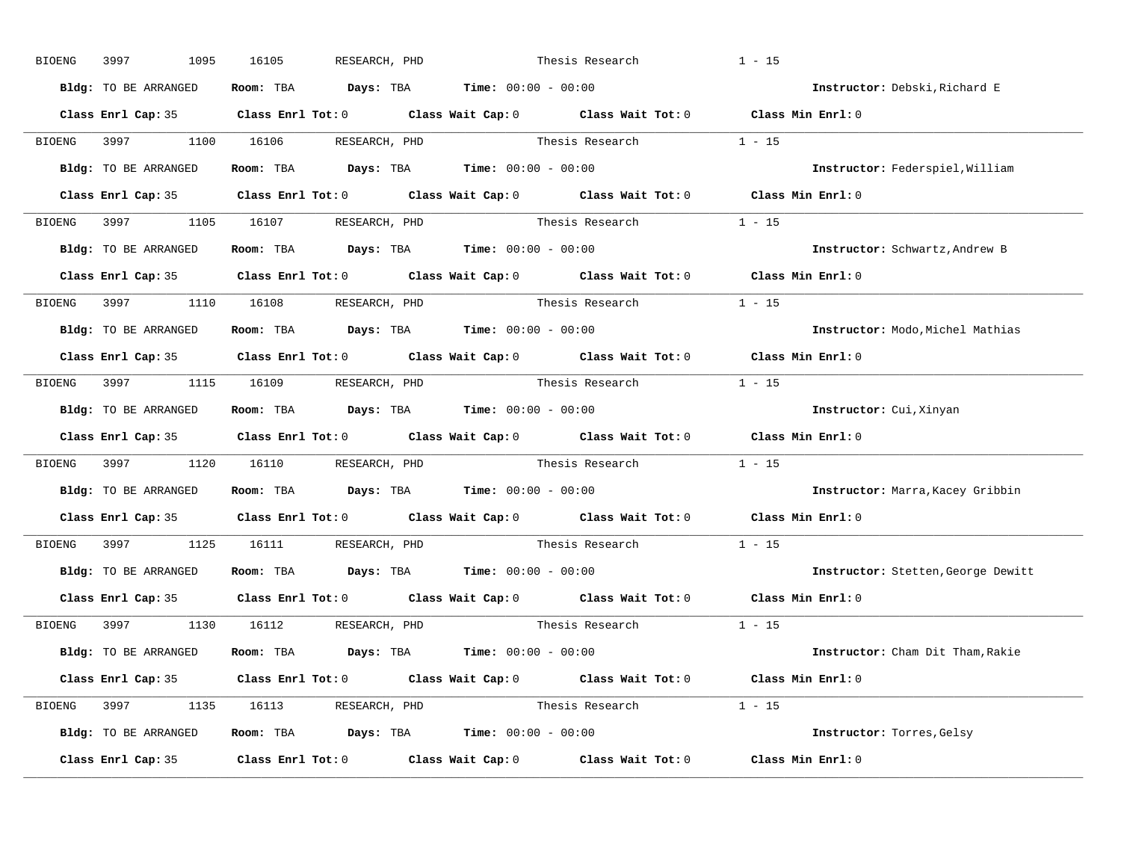| BIOENG | 3997<br>1095         | 16105<br>RESEARCH, PHD               |                                                                                            | Thesis Research          | $1 - 15$                           |
|--------|----------------------|--------------------------------------|--------------------------------------------------------------------------------------------|--------------------------|------------------------------------|
|        | Bldg: TO BE ARRANGED |                                      | Room: TBA $Days:$ TBA $Time: 00:00 - 00:00$                                                |                          | Instructor: Debski, Richard E      |
|        |                      |                                      | Class Enrl Cap: 35 Class Enrl Tot: 0 Class Wait Cap: 0 Class Wait Tot: 0 Class Min Enrl: 0 |                          |                                    |
|        |                      | BIOENG 3997 1100 16106 RESEARCH, PHD |                                                                                            | Thesis Research          | $1 - 15$                           |
|        | Bldg: TO BE ARRANGED |                                      | Room: TBA $Days:$ TBA Time: $00:00 - 00:00$                                                |                          | Instructor: Federspiel, William    |
|        |                      |                                      | Class Enrl Cap: 35 Class Enrl Tot: 0 Class Wait Cap: 0 Class Wait Tot: 0 Class Min Enrl: 0 |                          |                                    |
|        |                      |                                      | BIOENG 3997 1105 16107 RESEARCH, PHD Thesis Research 1 - 15                                |                          |                                    |
|        |                      |                                      | Bldg: TO BE ARRANGED ROOM: TBA Days: TBA Time: 00:00 - 00:00                               |                          | Instructor: Schwartz, Andrew B     |
|        |                      |                                      | Class Enrl Cap: 35 Class Enrl Tot: 0 Class Wait Cap: 0 Class Wait Tot: 0 Class Min Enrl: 0 |                          |                                    |
|        |                      | BIOENG 3997 1110 16108 RESEARCH, PHD | Thesis Research                                                                            |                          | $1 - 15$                           |
|        | Bldg: TO BE ARRANGED |                                      | Room: TBA $Days:$ TBA $Time: 00:00 - 00:00$                                                |                          | Instructor: Modo, Michel Mathias   |
|        |                      |                                      | Class Enrl Cap: 35 Class Enrl Tot: 0 Class Wait Cap: 0 Class Wait Tot: 0 Class Min Enrl: 0 |                          |                                    |
|        |                      | BIOENG 3997 1115 16109 RESEARCH, PHD |                                                                                            | Thesis Research 1 - 15   |                                    |
|        | Bldg: TO BE ARRANGED |                                      | Room: TBA $Days:$ TBA $Time: 00:00 - 00:00$                                                |                          | Instructor: Cui, Xinyan            |
|        |                      |                                      | Class Enrl Cap: 35 Class Enrl Tot: 0 Class Wait Cap: 0 Class Wait Tot: 0 Class Min Enrl: 0 |                          |                                    |
|        |                      |                                      | BIOENG 3997 1120 16110 RESEARCH, PHD Thesis Research 1 - 15                                |                          |                                    |
|        | Bldg: TO BE ARRANGED |                                      | Room: TBA $Days:$ TBA $Time: 00:00 - 00:00$                                                |                          | Instructor: Marra, Kacey Gribbin   |
|        |                      |                                      | Class Enrl Cap: 35 Class Enrl Tot: 0 Class Wait Cap: 0 Class Wait Tot: 0                   |                          | Class Min Enrl: 0                  |
|        |                      | BIOENG 3997 1125 16111 RESEARCH, PHD | Thesis Research                                                                            |                          | $1 - 15$                           |
|        |                      |                                      | Bldg: TO BE ARRANGED Room: TBA Days: TBA Time: 00:00 - 00:00                               |                          | Instructor: Stetten, George Dewitt |
|        |                      |                                      | Class Enrl Cap: 35 Class Enrl Tot: 0 Class Wait Cap: 0 Class Wait Tot: 0 Class Min Enrl: 0 |                          |                                    |
|        |                      | BIOENG 3997 1130 16112 RESEARCH, PHD | Thesis Research                                                                            |                          | $1 - 15$                           |
|        | Bldg: TO BE ARRANGED |                                      | Room: TBA $Days:$ TBA $Time: 00:00 - 00:00$                                                |                          | Instructor: Cham Dit Tham, Rakie   |
|        |                      |                                      | Class Enrl Cap: 35 Class Enrl Tot: 0 Class Wait Cap: 0 Class Wait Tot: 0 Class Min Enrl: 0 |                          |                                    |
|        |                      | BIOENG 3997 1135 16113 RESEARCH, PHD |                                                                                            | Thesis Research $1 - 15$ |                                    |
|        | Bldg: TO BE ARRANGED |                                      | Room: TBA $Days:$ TBA $Time: 00:00 - 00:00$                                                |                          | Instructor: Torres, Gelsy          |
|        | Class Enrl Cap: 35   |                                      | Class Enrl Tot: $0$ Class Wait Cap: $0$ Class Wait Tot: $0$ Class Min Enrl: $0$            |                          |                                    |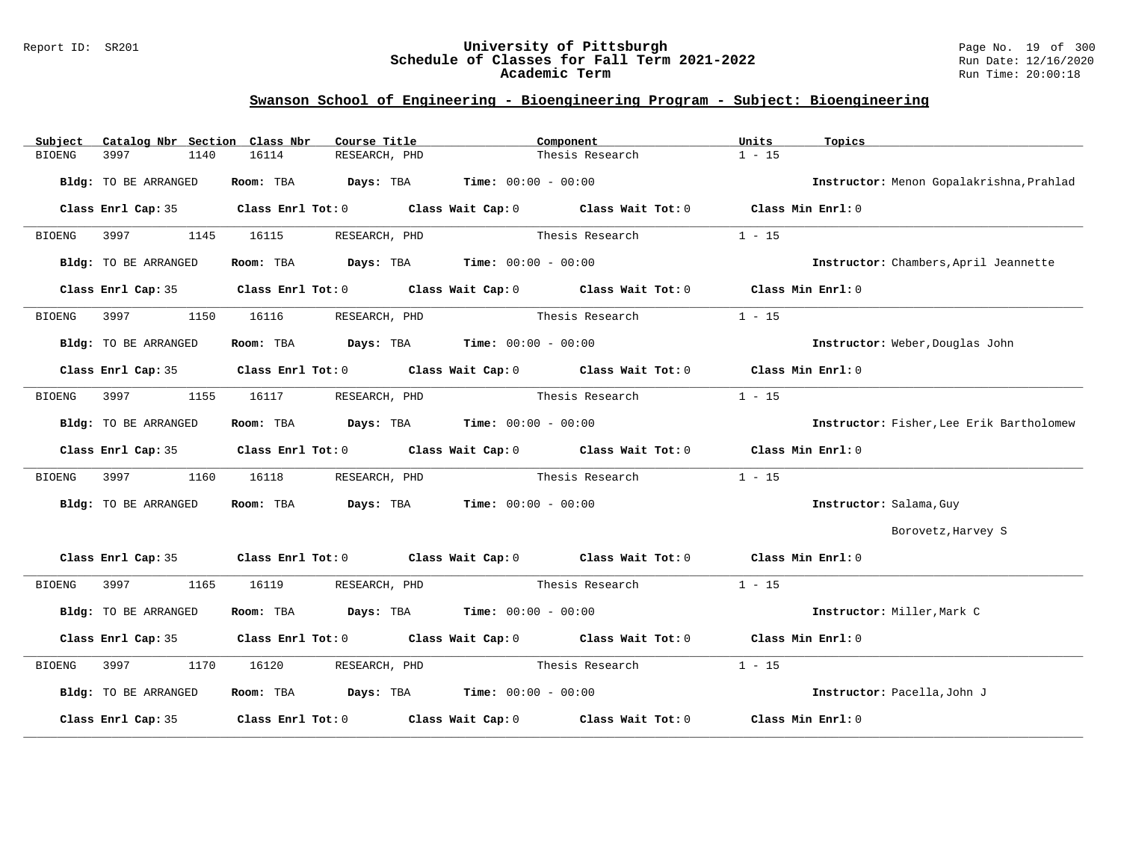#### Report ID: SR201 **University of Pittsburgh** Page No. 19 of 300 **Schedule of Classes for Fall Term 2021-2022** Run Date: 12/16/2020 **Academic Term** Run Time: 20:00:18

| Catalog Nbr Section Class Nbr<br>Subject | Course Title                                | Component                                                                                  | Units<br>Topics                          |
|------------------------------------------|---------------------------------------------|--------------------------------------------------------------------------------------------|------------------------------------------|
| 3997<br>1140<br><b>BIOENG</b>            | 16114<br>RESEARCH, PHD                      | Thesis Research                                                                            | $1 - 15$                                 |
| Bldg: TO BE ARRANGED                     | Room: TBA $Days:$ TBA $Time: 00:00 - 00:00$ |                                                                                            | Instructor: Menon Gopalakrishna, Prahlad |
| Class Enrl Cap: 35                       |                                             | Class Enrl Tot: $0$ Class Wait Cap: $0$ Class Wait Tot: $0$ Class Min Enrl: $0$            |                                          |
| BIOENG<br>3997<br>1145                   | RESEARCH, PHD<br>16115                      | Thesis Research                                                                            | $1 - 15$                                 |
| Bldg: TO BE ARRANGED                     | Room: TBA $Days:$ TBA $Time: 00:00 - 00:00$ |                                                                                            | Instructor: Chambers, April Jeannette    |
| Class Enrl Cap: 35                       |                                             | Class Enrl Tot: $0$ Class Wait Cap: $0$ Class Wait Tot: $0$ Class Min Enrl: $0$            |                                          |
| 1150<br><b>BIOENG</b><br>3997            | 16116<br>RESEARCH, PHD                      | Thesis Research                                                                            | $1 - 15$                                 |
| Bldg: TO BE ARRANGED                     | Room: TBA $Days:$ TBA $Time: 00:00 - 00:00$ |                                                                                            | Instructor: Weber, Douglas John          |
|                                          |                                             | Class Enrl Cap: 35 Class Enrl Tot: 0 Class Wait Cap: 0 Class Wait Tot: 0 Class Min Enrl: 0 |                                          |
| 3997<br>1155<br>BIOENG                   | 16117<br>RESEARCH, PHD                      | Thesis Research                                                                            | $1 - 15$                                 |
| Bldg: TO BE ARRANGED                     | Room: TBA $Days:$ TBA $Time: 00:00 - 00:00$ |                                                                                            | Instructor: Fisher, Lee Erik Bartholomew |
|                                          |                                             | Class Enrl Cap: 35 Class Enrl Tot: 0 Class Wait Cap: 0 Class Wait Tot: 0 Class Min Enrl: 0 |                                          |
| 3997<br>1160<br>BIOENG                   | 16118<br>RESEARCH, PHD                      | Thesis Research                                                                            | $1 - 15$                                 |
| Bldg: TO BE ARRANGED                     | Room: TBA $Days:$ TBA $Time: 00:00 - 00:00$ |                                                                                            | Instructor: Salama, Guy                  |
|                                          |                                             |                                                                                            | Borovetz, Harvey S                       |
|                                          |                                             | Class Enrl Cap: 35 Class Enrl Tot: 0 Class Wait Cap: 0 Class Wait Tot: 0 Class Min Enrl: 0 |                                          |
| 3997 399<br>1165<br>BIOENG               | 16119<br>RESEARCH, PHD                      | Thesis Research                                                                            | $1 - 15$                                 |
| Bldg: TO BE ARRANGED                     | Room: TBA $Days:$ TBA $Time: 00:00 - 00:00$ |                                                                                            | Instructor: Miller, Mark C               |
|                                          |                                             | Class Enrl Cap: 35 Class Enrl Tot: 0 Class Wait Cap: 0 Class Wait Tot: 0 Class Min Enrl: 0 |                                          |
| 3997<br>1170<br><b>BIOENG</b>            | 16120<br>RESEARCH, PHD                      | Thesis Research                                                                            | $1 - 15$                                 |
| Bldg: TO BE ARRANGED                     | Room: TBA $Days:$ TBA Time: $00:00 - 00:00$ |                                                                                            | Instructor: Pacella, John J              |
| Class Enrl Cap: 35                       |                                             | Class Enrl Tot: $0$ Class Wait Cap: $0$ Class Wait Tot: $0$                                | Class Min Enrl: 0                        |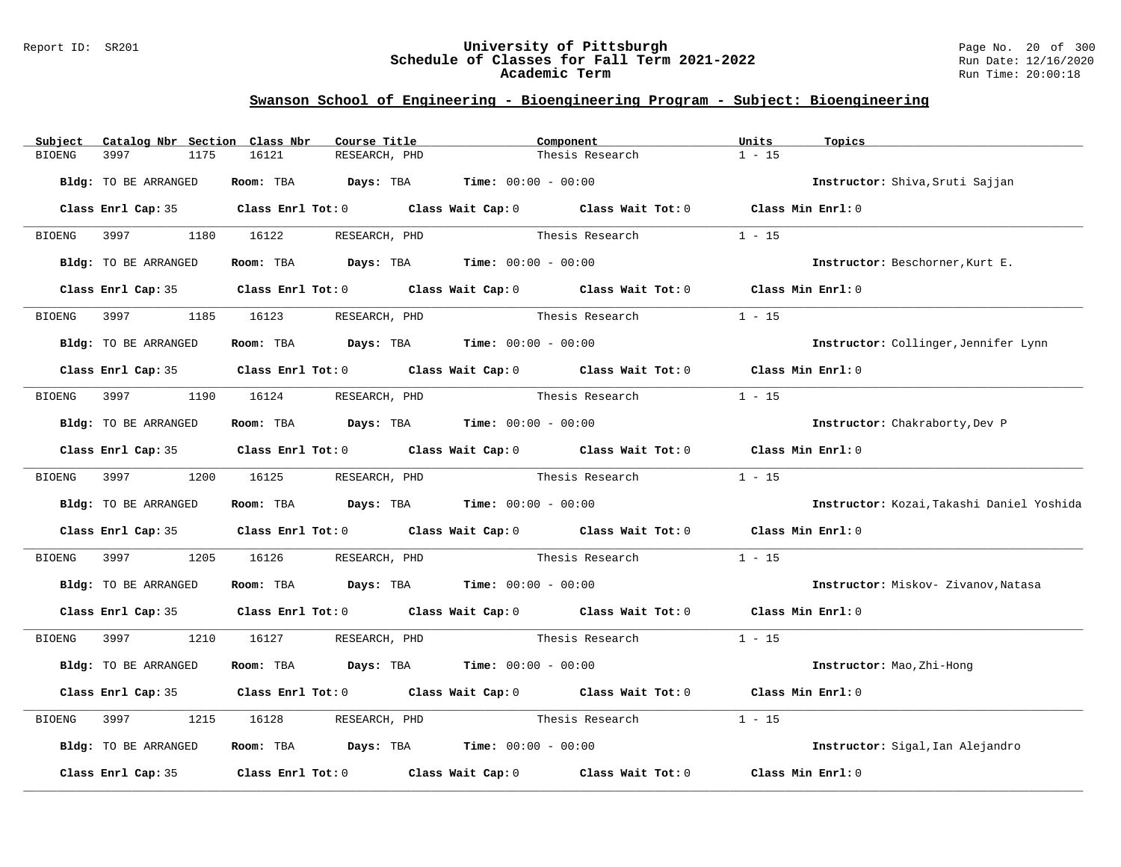#### Report ID: SR201 **University of Pittsburgh** Page No. 20 of 300 **Schedule of Classes for Fall Term 2021-2022** Run Date: 12/16/2020 **Academic Term** Run Time: 20:00:18

| Subject       | Catalog Nbr Section Class Nbr | Course Title                                                                                                                                                                                                                  |                               | Component       | Units<br>Topics                           |  |
|---------------|-------------------------------|-------------------------------------------------------------------------------------------------------------------------------------------------------------------------------------------------------------------------------|-------------------------------|-----------------|-------------------------------------------|--|
| <b>BIOENG</b> | 3997<br>1175                  | 16121<br>RESEARCH, PHD                                                                                                                                                                                                        |                               | Thesis Research | $1 - 15$                                  |  |
|               | Bldg: TO BE ARRANGED          | Room: TBA $Days:$ TBA $Time: 00:00 - 00:00$                                                                                                                                                                                   |                               |                 | Instructor: Shiva, Sruti Sajjan           |  |
|               |                               | Class Enrl Cap: 35 Class Enrl Tot: 0 Class Wait Cap: 0 Class Wait Tot: 0 Class Min Enrl: 0                                                                                                                                    |                               |                 |                                           |  |
|               | BIOENG 3997                   | 1180 16122<br>RESEARCH, PHD                                                                                                                                                                                                   |                               | Thesis Research | $1 - 15$                                  |  |
|               | Bldg: TO BE ARRANGED          | Room: TBA $Days:$ TBA $Time: 00:00 - 00:00$                                                                                                                                                                                   |                               |                 | Instructor: Beschorner, Kurt E.           |  |
|               | Class Enrl Cap: 35            | Class Enrl Tot: 0 Class Wait Cap: 0 Class Wait Tot: 0 Class Min Enrl: 0                                                                                                                                                       |                               |                 |                                           |  |
| <b>BIOENG</b> | 3997<br>1185                  | 16123<br>RESEARCH, PHD                                                                                                                                                                                                        |                               | Thesis Research | $1 - 15$                                  |  |
|               | Bldg: TO BE ARRANGED          | Room: TBA $\rule{1em}{0.15mm}$ Days: TBA $\rule{1.5mm}{0.15mm}$ Time: $00:00 - 00:00$                                                                                                                                         |                               |                 | Instructor: Collinger, Jennifer Lynn      |  |
|               |                               | Class Enrl Cap: 35 Class Enrl Tot: 0 Class Wait Cap: 0 Class Wait Tot: 0 Class Min Enrl: 0                                                                                                                                    |                               |                 |                                           |  |
| BIOENG        | 3997 399                      | 1190 16124<br>RESEARCH, PHD                                                                                                                                                                                                   |                               | Thesis Research | $1 - 15$                                  |  |
|               | Bldg: TO BE ARRANGED          | Room: TBA $Days:$ TBA $Time: 00:00 - 00:00$                                                                                                                                                                                   |                               |                 | Instructor: Chakraborty, Dev P            |  |
|               |                               | Class Enrl Cap: 35 Class Enrl Tot: 0 Class Wait Cap: 0 Class Wait Tot: 0                                                                                                                                                      |                               |                 | Class Min Enrl: 0                         |  |
|               | BIOENG 3997                   | 1200 16125<br>RESEARCH, PHD                                                                                                                                                                                                   |                               | Thesis Research | $1 - 15$                                  |  |
|               | Bldg: TO BE ARRANGED          | Room: TBA $\rule{1em}{0.15mm}$ Days: TBA Time: $00:00 - 00:00$                                                                                                                                                                |                               |                 | Instructor: Kozai, Takashi Daniel Yoshida |  |
|               |                               | Class Enrl Cap: 35 $\,$ Class Enrl Tot: 0 $\,$ Class Wait Cap: 0 $\,$ Class Wait Tot: 0 $\,$ Class Enrl Tot: 0 $\,$ Class Enrl Tot: 0 $\,$ Class Enrl Tot: 0 $\,$ Class Enrl Tot: 0 $\,$ Class Enrl Tot: 0 $\,$ Class Enrl To |                               |                 | Class Min Enrl: 0                         |  |
| <b>BIOENG</b> | 3997<br>1205                  | 16126                                                                                                                                                                                                                         | RESEARCH, PHD Thesis Research |                 | $1 - 15$                                  |  |
|               | Bldg: TO BE ARRANGED          | Room: TBA $Days:$ TBA $Time: 00:00 - 00:00$                                                                                                                                                                                   |                               |                 | Instructor: Miskov- Zivanov, Natasa       |  |
|               |                               | Class Enrl Cap: 35 Class Enrl Tot: 0 Class Wait Cap: 0 Class Wait Tot: 0 Class Min Enrl: 0                                                                                                                                    |                               |                 |                                           |  |
| BIOENG        | 3997 3997                     | 1210 16127<br>RESEARCH, PHD                                                                                                                                                                                                   |                               | Thesis Research | $1 - 15$                                  |  |
|               | Bldg: TO BE ARRANGED          | Room: TBA $Days:$ TBA $Time: 00:00 - 00:00$                                                                                                                                                                                   |                               |                 | Instructor: Mao, Zhi-Hong                 |  |
|               |                               | Class Enrl Cap: 35 Class Enrl Tot: 0 Class Wait Cap: 0 Class Wait Tot: 0                                                                                                                                                      |                               |                 | Class Min Enrl: 0                         |  |
| BIOENG        | 3997<br>1215                  | 16128<br>RESEARCH, PHD                                                                                                                                                                                                        | Thesis Research               |                 | $1 - 15$                                  |  |
|               | Bldg: TO BE ARRANGED          | Room: TBA $Days:$ TBA $Time: 00:00 - 00:00$                                                                                                                                                                                   |                               |                 | Instructor: Sigal, Ian Alejandro          |  |
|               | Class Enrl Cap: 35            | Class Enrl Tot: $0$ Class Wait Cap: $0$ Class Wait Tot: $0$                                                                                                                                                                   |                               |                 | Class Min Enrl: 0                         |  |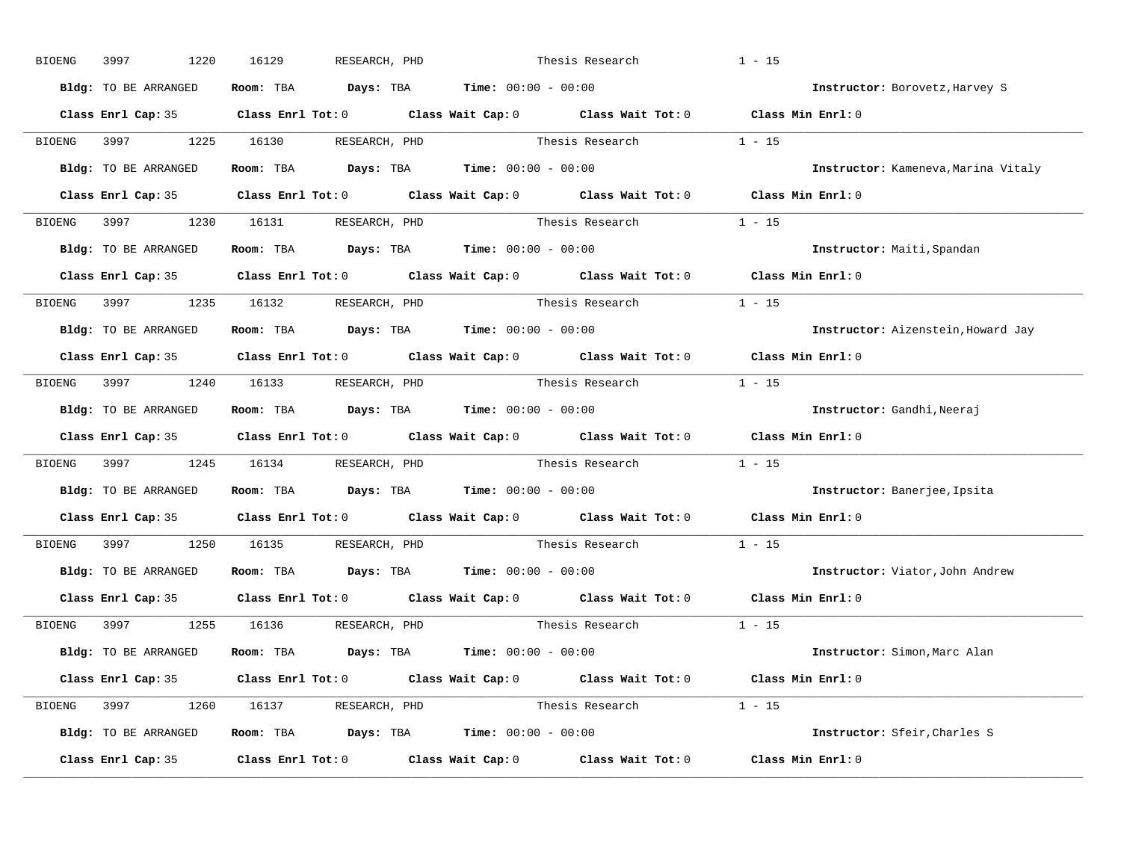| BIOENG | 1220<br>3997         | 16129<br>RESEARCH, PHD                                       | Thesis Research                                                                            | $1 - 15$                            |
|--------|----------------------|--------------------------------------------------------------|--------------------------------------------------------------------------------------------|-------------------------------------|
|        | Bldg: TO BE ARRANGED | Room: TBA $Days:$ TBA $Time: 00:00 - 00:00$                  |                                                                                            | Instructor: Borovetz, Harvey S      |
|        |                      |                                                              | Class Enrl Cap: 35 Class Enrl Tot: 0 Class Wait Cap: 0 Class Wait Tot: 0 Class Min Enrl: 0 |                                     |
|        |                      | BIOENG 3997 1225 16130 RESEARCH, PHD                         | Thesis Research                                                                            | $1 - 15$                            |
|        | Bldg: TO BE ARRANGED | Room: TBA $Days:$ TBA Time: $00:00 - 00:00$                  |                                                                                            | Instructor: Kameneva, Marina Vitaly |
|        |                      |                                                              | Class Enrl Cap: 35 Class Enrl Tot: 0 Class Wait Cap: 0 Class Wait Tot: 0 Class Min Enrl: 0 |                                     |
|        |                      |                                                              | BIOENG 3997 1230 16131 RESEARCH, PHD Thesis Research 1 - 15                                |                                     |
|        | Bldg: TO BE ARRANGED | Room: TBA $Days:$ TBA Time: $00:00 - 00:00$                  |                                                                                            | Instructor: Maiti, Spandan          |
|        |                      |                                                              | Class Enrl Cap: 35 Class Enrl Tot: 0 Class Wait Cap: 0 Class Wait Tot: 0 Class Min Enrl: 0 |                                     |
|        |                      | BIOENG 3997 1235 16132 RESEARCH, PHD                         | Thesis Research                                                                            | $1 - 15$                            |
|        | Bldg: TO BE ARRANGED | Room: TBA $Days:$ TBA $Time: 00:00 - 00:00$                  |                                                                                            | Instructor: Aizenstein, Howard Jay  |
|        |                      |                                                              | Class Enrl Cap: 35 Class Enrl Tot: 0 Class Wait Cap: 0 Class Wait Tot: 0 Class Min Enrl: 0 |                                     |
|        |                      | BIOENG 3997 1240 16133 RESEARCH, PHD                         | Thesis Research 1 - 15                                                                     |                                     |
|        | Bldg: TO BE ARRANGED | Room: TBA $Days:$ TBA $Time: 00:00 - 00:00$                  |                                                                                            | Instructor: Gandhi, Neeraj          |
|        |                      |                                                              | Class Enrl Cap: 35 Class Enrl Tot: 0 Class Wait Cap: 0 Class Wait Tot: 0 Class Min Enrl: 0 |                                     |
| BIOENG |                      |                                                              | 3997 1245 16134 RESEARCH, PHD Thesis Research 1 - 15                                       |                                     |
|        | Bldg: TO BE ARRANGED | Room: TBA $Days:$ TBA $Time: 00:00 - 00:00$                  |                                                                                            | Instructor: Banerjee, Ipsita        |
|        |                      |                                                              | Class Enrl Cap: 35 Class Enrl Tot: 0 Class Wait Cap: 0 Class Wait Tot: 0                   | Class Min Enrl: 0                   |
|        |                      | BIOENG 3997 1250 16135 RESEARCH, PHD                         | Thesis Research                                                                            | $1 - 15$                            |
|        |                      | Bldg: TO BE ARRANGED Room: TBA Days: TBA Time: 00:00 - 00:00 |                                                                                            | Instructor: Viator, John Andrew     |
|        |                      |                                                              | Class Enrl Cap: 35 Class Enrl Tot: 0 Class Wait Cap: 0 Class Wait Tot: 0                   | Class Min Enrl: 0                   |
|        |                      | BIOENG 3997 1255 16136 RESEARCH, PHD                         | Thesis Research $1 - 15$                                                                   |                                     |
|        | Bldg: TO BE ARRANGED | Room: TBA $Days:$ TBA $Time: 00:00 - 00:00$                  |                                                                                            | Instructor: Simon, Marc Alan        |
|        |                      |                                                              | Class Enrl Cap: 35 Class Enrl Tot: 0 Class Wait Cap: 0 Class Wait Tot: 0 Class Min Enrl: 0 |                                     |
|        |                      | BIOENG 3997 1260 16137 RESEARCH, PHD                         | Thesis Research $1 - 15$                                                                   |                                     |
|        | Bldg: TO BE ARRANGED | Room: TBA $Days:$ TBA $Time: 00:00 - 00:00$                  |                                                                                            | Instructor: Sfeir, Charles S        |
|        | Class Enrl Cap: 35   |                                                              | Class Enrl Tot: $0$ Class Wait Cap: $0$ Class Wait Tot: $0$ Class Min Enrl: $0$            |                                     |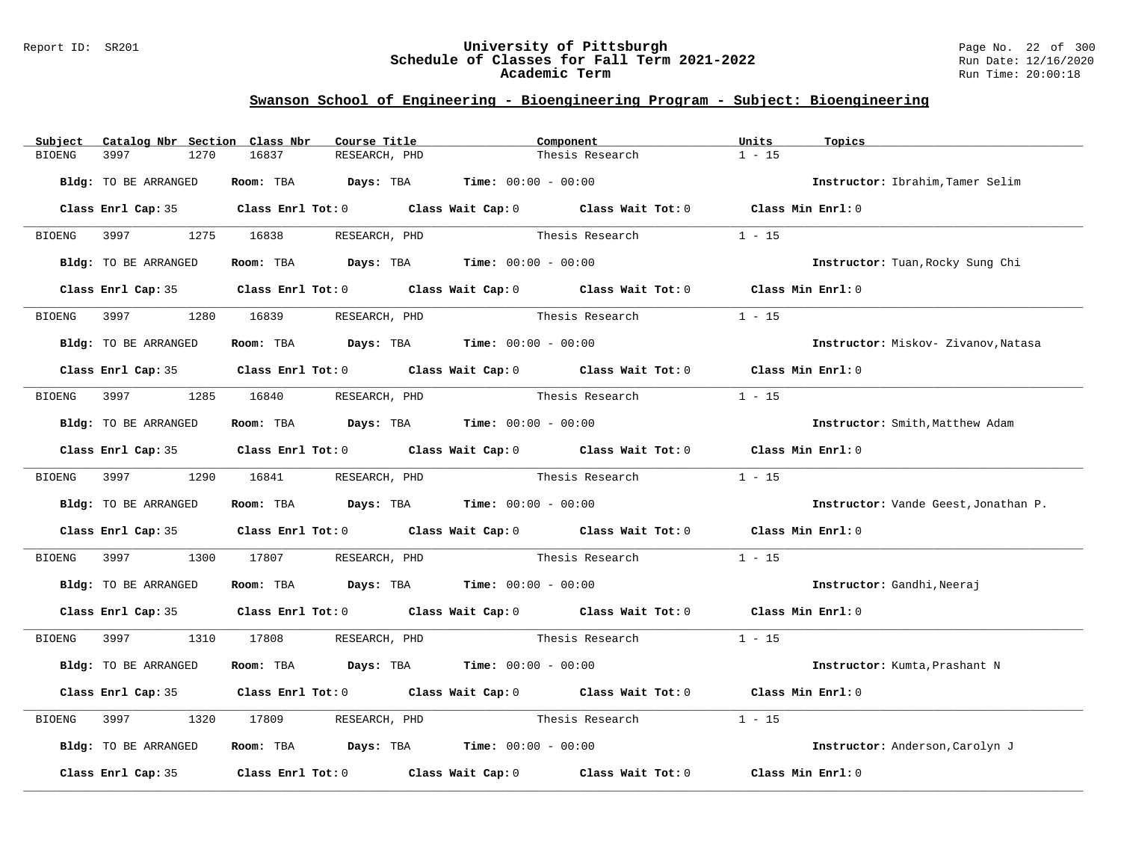#### Report ID: SR201 **University of Pittsburgh** Page No. 22 of 300 **Schedule of Classes for Fall Term 2021-2022** Run Date: 12/16/2020 **Academic Term** Run Time: 20:00:18

| Subject       | Catalog Nbr Section Class Nbr | Course Title                                                            | Component                                                                                  | Units<br>Topics                      |
|---------------|-------------------------------|-------------------------------------------------------------------------|--------------------------------------------------------------------------------------------|--------------------------------------|
| <b>BIOENG</b> | 3997<br>1270                  | 16837<br>RESEARCH, PHD                                                  | Thesis Research                                                                            | $1 - 15$                             |
|               | Bldg: TO BE ARRANGED          | Room: TBA $Days:$ TBA $Time: 00:00 - 00:00$                             |                                                                                            | Instructor: Ibrahim, Tamer Selim     |
|               |                               |                                                                         | Class Enrl Cap: 35 Class Enrl Tot: 0 Class Wait Cap: 0 Class Wait Tot: 0 Class Min Enrl: 0 |                                      |
| BIOENG        | 3997 1275 16838               | RESEARCH, PHD                                                           | Thesis Research                                                                            | $1 - 15$                             |
|               | Bldg: TO BE ARRANGED          | Room: TBA $Days:$ TBA $Time: 00:00 - 00:00$                             |                                                                                            | Instructor: Tuan, Rocky Sung Chi     |
|               |                               |                                                                         | Class Enrl Cap: 35 Class Enrl Tot: 0 Class Wait Cap: 0 Class Wait Tot: 0                   | Class Min Enrl: 0                    |
| BIOENG        | 3997 — 100                    | 1280 16839<br>RESEARCH, PHD                                             | Thesis Research                                                                            | $1 - 15$                             |
|               | Bldg: TO BE ARRANGED          | Room: TBA $\rule{1em}{0.15mm}$ Days: TBA $\qquad$ Time: $00:00 - 00:00$ |                                                                                            | Instructor: Miskov- Zivanov, Natasa  |
|               |                               |                                                                         | Class Enrl Cap: 35 Class Enrl Tot: 0 Class Wait Cap: 0 Class Wait Tot: 0 Class Min Enrl: 0 |                                      |
| <b>BIOENG</b> |                               | 1285 16840<br>RESEARCH, PHD                                             | Thesis Research                                                                            | $1 - 15$                             |
|               | Bldg: TO BE ARRANGED          | Room: TBA $Days:$ TBA $Time: 00:00 - 00:00$                             |                                                                                            | Instructor: Smith, Matthew Adam      |
|               |                               |                                                                         | Class Enrl Cap: 35 Class Enrl Tot: 0 Class Wait Cap: 0 Class Wait Tot: 0                   | Class Min Enrl: 0                    |
|               | BIOENG 3997                   | 1290 16841<br>RESEARCH, PHD                                             | Thesis Research                                                                            | $1 - 15$                             |
|               | Bldg: TO BE ARRANGED          | Room: TBA $Days:$ TBA $Time: 00:00 - 00:00$                             |                                                                                            | Instructor: Vande Geest, Jonathan P. |
|               |                               |                                                                         | Class Enrl Cap: 35 Class Enrl Tot: 0 Class Wait Cap: 0 Class Wait Tot: 0 Class Min Enrl: 0 |                                      |
| BIOENG        | 1300                          | 17807                                                                   | RESEARCH, PHD Thesis Research                                                              | $1 - 15$                             |
|               | Bldg: TO BE ARRANGED          | Room: TBA $Days:$ TBA $Time: 00:00 - 00:00$                             |                                                                                            | Instructor: Gandhi, Neeraj           |
|               |                               |                                                                         | Class Enrl Cap: 35 Class Enrl Tot: 0 Class Wait Cap: 0 Class Wait Tot: 0 Class Min Enrl: 0 |                                      |
| BIOENG        | 3997 3997                     | 1310 17808<br>RESEARCH, PHD                                             | Thesis Research                                                                            | $1 - 15$                             |
|               | Bldg: TO BE ARRANGED          | Room: TBA $Days:$ TBA $Time: 00:00 - 00:00$                             |                                                                                            | Instructor: Kumta, Prashant N        |
|               |                               |                                                                         | Class Enrl Cap: 35 Class Enrl Tot: 0 Class Wait Cap: 0 Class Wait Tot: 0 Class Min Enrl: 0 |                                      |
| BIOENG        | 3997<br>1320                  | 17809<br>RESEARCH, PHD                                                  | Thesis Research                                                                            | $1 - 15$                             |
|               | Bldg: TO BE ARRANGED          | Room: TBA $Days:$ TBA $Time: 00:00 - 00:00$                             |                                                                                            | Instructor: Anderson, Carolyn J      |
|               | Class Enrl Cap: 35            |                                                                         | Class Enrl Tot: $0$ Class Wait Cap: $0$ Class Wait Tot: $0$                                | Class Min Enrl: 0                    |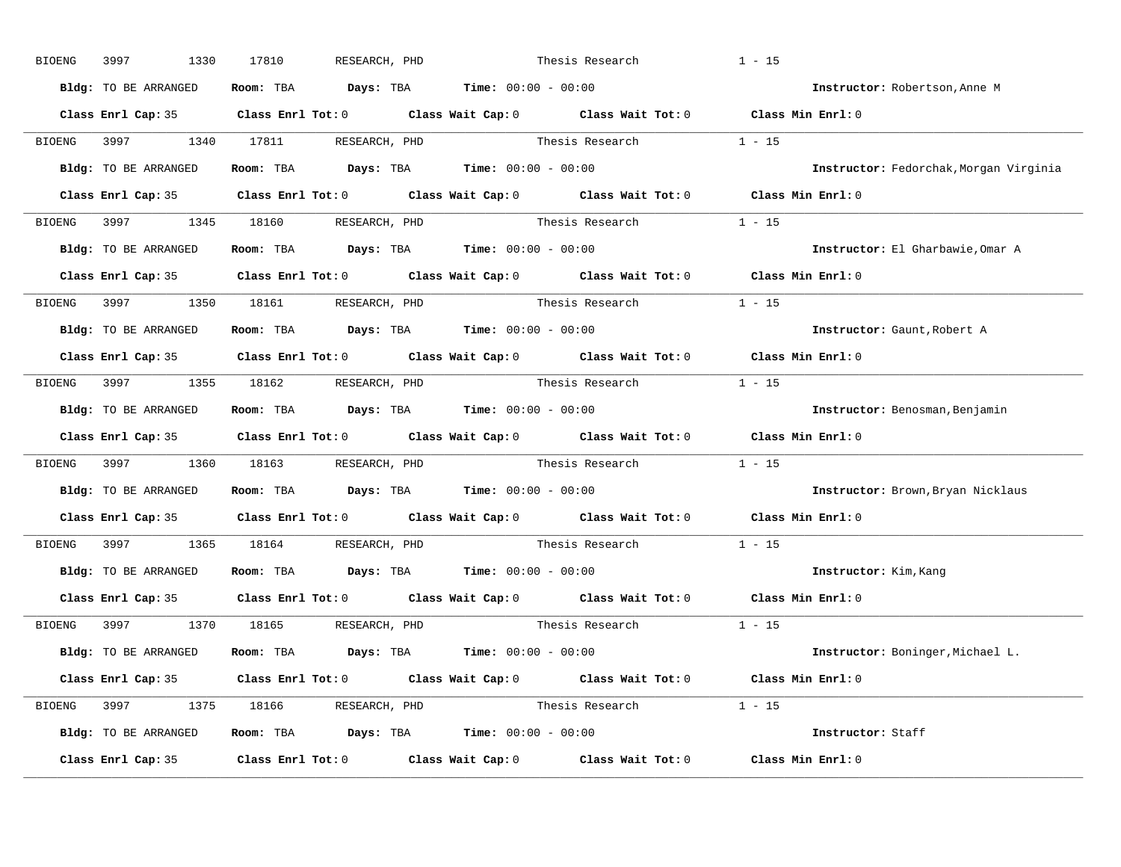| BIOENG | 1330<br>3997         | 17810<br>RESEARCH, PHD                                                                              | Thesis Research          | $1 - 15$                               |
|--------|----------------------|-----------------------------------------------------------------------------------------------------|--------------------------|----------------------------------------|
|        | Bldg: TO BE ARRANGED | Room: TBA $Days:$ TBA $Time: 00:00 - 00:00$                                                         |                          | Instructor: Robertson, Anne M          |
|        |                      | Class Enrl Cap: 35 Class Enrl Tot: 0 Class Wait Cap: 0 Class Wait Tot: 0 Class Min Enrl: 0          |                          |                                        |
|        |                      | BIOENG 3997 1340 17811 RESEARCH, PHD Thesis Research 1 - 15                                         |                          |                                        |
|        | Bldg: TO BE ARRANGED | Room: TBA $Days:$ TBA Time: $00:00 - 00:00$                                                         |                          | Instructor: Fedorchak, Morgan Virginia |
|        |                      | Class Enrl Cap: 35 Class Enrl Tot: 0 Class Wait Cap: 0 Class Wait Tot: 0 Class Min Enrl: 0          |                          |                                        |
|        |                      | BIOENG 3997 1345 18160 RESEARCH, PHD Thesis Research 1 - 15                                         |                          |                                        |
|        |                      | <b>Bldg:</b> TO BE ARRANGED <b>Room:</b> TBA <b>Days:</b> TBA <b>Time:</b> $00:00 - 00:00$          |                          | Instructor: El Gharbawie, Omar A       |
|        |                      | Class Enrl Cap: 35 Class Enrl Tot: 0 Class Wait Cap: 0 Class Wait Tot: 0 Class Min Enrl: 0          |                          |                                        |
|        |                      | BIOENG 3997 1350 18161 RESEARCH, PHD                                                                | Thesis Research 1 - 15   |                                        |
|        | Bldg: TO BE ARRANGED | Room: TBA $Days:$ TBA $Time: 00:00 - 00:00$                                                         |                          | Instructor: Gaunt, Robert A            |
|        |                      | Class Enrl Cap: 35 Class Enrl Tot: 0 Class Wait Cap: 0 Class Wait Tot: 0 Class Min Enrl: 0          |                          |                                        |
|        |                      | BIOENG 3997 1355 18162 RESEARCH, PHD                                                                | Thesis Research $1 - 15$ |                                        |
|        | Bldg: TO BE ARRANGED | Room: TBA $Days:$ TBA $Time: 00:00 - 00:00$                                                         |                          | Instructor: Benosman, Benjamin         |
|        |                      | Class Enrl Cap: 35 Class Enrl Tot: 0 Class Wait Cap: 0 Class Wait Tot: 0 Class Min Enrl: 0          |                          |                                        |
|        |                      | BIOENG 3997 1360 18163 RESEARCH, PHD Thesis Research 1 - 15                                         |                          |                                        |
|        | Bldg: TO BE ARRANGED | Room: TBA $Days:$ TBA $Time: 00:00 - 00:00$                                                         |                          | Instructor: Brown, Bryan Nicklaus      |
|        |                      | Class Enrl Cap: 35 $\qquad$ Class Enrl Tot: 0 $\qquad$ Class Wait Cap: 0 $\qquad$ Class Wait Tot: 0 |                          | Class Min Enrl: 0                      |
|        |                      | BIOENG 3997 1365 18164 RESEARCH, PHD                                                                | Thesis Research          | $1 - 15$                               |
|        |                      | Bldg: TO BE ARRANGED Room: TBA Days: TBA Time: 00:00 - 00:00                                        |                          | Instructor: Kim, Kang                  |
|        |                      | Class Enrl Cap: 35 Class Enrl Tot: 0 Class Wait Cap: 0 Class Wait Tot: 0 Class Min Enrl: 0          |                          |                                        |
|        |                      | BIOENG 3997 1370 18165 RESEARCH, PHD                                                                | Thesis Research $1 - 15$ |                                        |
|        | Bldg: TO BE ARRANGED | Room: TBA $\rule{1em}{0.15mm}$ Days: TBA $\rule{1.15mm}]{0.15mm}$ Time: $0.000 - 0.000$             |                          | Instructor: Boninger, Michael L.       |
|        |                      | Class Enrl Cap: 35 Class Enrl Tot: 0 Class Wait Cap: 0 Class Wait Tot: 0 Class Min Enrl: 0          |                          |                                        |
|        |                      | BIOENG 3997 1375 18166 RESEARCH, PHD                                                                | Thesis Research $1 - 15$ |                                        |
|        |                      | Bldg: TO BE ARRANGED Room: TBA Days: TBA Time: 00:00 - 00:00                                        |                          | Instructor: Staff                      |
|        |                      | Class Enrl Cap: 35 Class Enrl Tot: 0 Class Wait Cap: 0 Class Wait Tot: 0 Class Min Enrl: 0          |                          |                                        |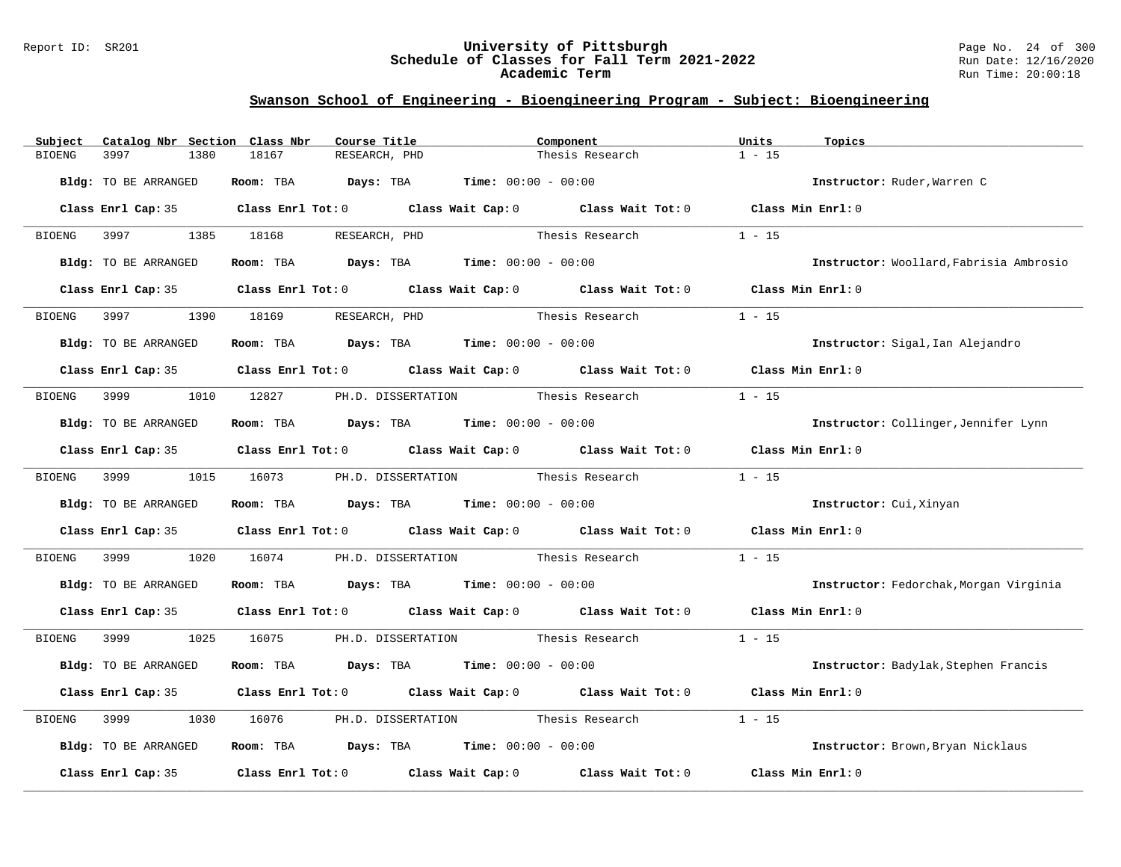#### Report ID: SR201 **University of Pittsburgh** Page No. 24 of 300 **Schedule of Classes for Fall Term 2021-2022** Run Date: 12/16/2020 **Academic Term** Run Time: 20:00:18

| Catalog Nbr Section Class Nbr<br>Subject | Course Title                                                                               | Component                          | Units<br>Topics                         |
|------------------------------------------|--------------------------------------------------------------------------------------------|------------------------------------|-----------------------------------------|
| 3997<br><b>BIOENG</b><br>1380            | 18167<br>RESEARCH, PHD                                                                     | Thesis Research                    | $1 - 15$                                |
| Bldg: TO BE ARRANGED                     | Room: TBA $Days:$ TBA $Time: 00:00 - 00:00$                                                |                                    | Instructor: Ruder, Warren C             |
|                                          | Class Enrl Cap: 35 Class Enrl Tot: 0 Class Wait Cap: 0 Class Wait Tot: 0 Class Min Enrl: 0 |                                    |                                         |
| 3997<br>BIOENG                           | 1385 18168<br>RESEARCH, PHD                                                                | Thesis Research                    | $1 - 15$                                |
| Bldg: TO BE ARRANGED                     | Room: TBA $Days:$ TBA $Time: 00:00 - 00:00$                                                |                                    | Instructor: Woollard, Fabrisia Ambrosio |
|                                          | Class Enrl Cap: 35 Class Enrl Tot: 0 Class Wait Cap: 0 Class Wait Tot: 0 Class Min Enrl: 0 |                                    |                                         |
| 3997<br>1390<br>BIOENG                   | 18169<br>RESEARCH, PHD                                                                     | Thesis Research                    | $1 - 15$                                |
| Bldg: TO BE ARRANGED                     | Room: TBA $Days:$ TBA $Time: 00:00 - 00:00$                                                |                                    | Instructor: Sigal, Ian Alejandro        |
|                                          | Class Enrl Cap: 35 Class Enrl Tot: 0 Class Wait Cap: 0 Class Wait Tot: 0 Class Min Enrl: 0 |                                    |                                         |
| 3999<br>BIOENG                           | 1010 12827 PH.D. DISSERTATION Thesis Research                                              |                                    | $1 - 15$                                |
| Bldg: TO BE ARRANGED                     | Room: TBA $Days:$ TBA $Time: 00:00 - 00:00$                                                |                                    | Instructor: Collinger, Jennifer Lynn    |
|                                          | Class Enrl Cap: 35 Class Enrl Tot: 0 Class Wait Cap: 0 Class Wait Tot: 0 Class Min Enrl: 0 |                                    |                                         |
| BIOENG 3999                              | 1015 16073                                                                                 | PH.D. DISSERTATION Thesis Research | $1 - 15$                                |
| Bldg: TO BE ARRANGED                     | Room: TBA $Days:$ TBA $Time: 00:00 - 00:00$                                                |                                    | Instructor: Cui, Xinyan                 |
|                                          | Class Enrl Cap: 35 Class Enrl Tot: 0 Class Wait Cap: 0 Class Wait Tot: 0 Class Min Enrl: 0 |                                    |                                         |
| 3999<br>1020<br>BIOENG                   | 16074                                                                                      | PH.D. DISSERTATION Thesis Research | $1 - 15$                                |
| Bldg: TO BE ARRANGED                     | Room: TBA $Days:$ TBA $Time: 00:00 - 00:00$                                                |                                    | Instructor: Fedorchak, Morgan Virginia  |
|                                          | Class Enrl Cap: 35 Class Enrl Tot: 0 Class Wait Cap: 0 Class Wait Tot: 0 Class Min Enrl: 0 |                                    |                                         |
| <b>BIOENG</b><br>3999 1999<br>1025       | 16075 PH.D. DISSERTATION Thesis Research 1 - 15                                            |                                    |                                         |
| Bldg: TO BE ARRANGED                     | Room: TBA $Days:$ TBA $Time: 00:00 - 00:00$                                                |                                    | Instructor: Badylak, Stephen Francis    |
|                                          | Class Enrl Cap: 35 Class Enrl Tot: 0 Class Wait Cap: 0 Class Wait Tot: 0                   |                                    | Class Min Enrl: 0                       |
| BIOENG<br>3999<br>1030                   | PH.D. DISSERTATION Thesis Research<br>16076                                                |                                    | $1 - 15$                                |
| Bldg: TO BE ARRANGED                     | Room: TBA $Days: TBA$ Time: $00:00 - 00:00$                                                |                                    | Instructor: Brown, Bryan Nicklaus       |
| Class Enrl Cap: 35                       | Class Enrl Tot: $0$ Class Wait Cap: $0$ Class Wait Tot: $0$                                |                                    | Class Min Enrl: 0                       |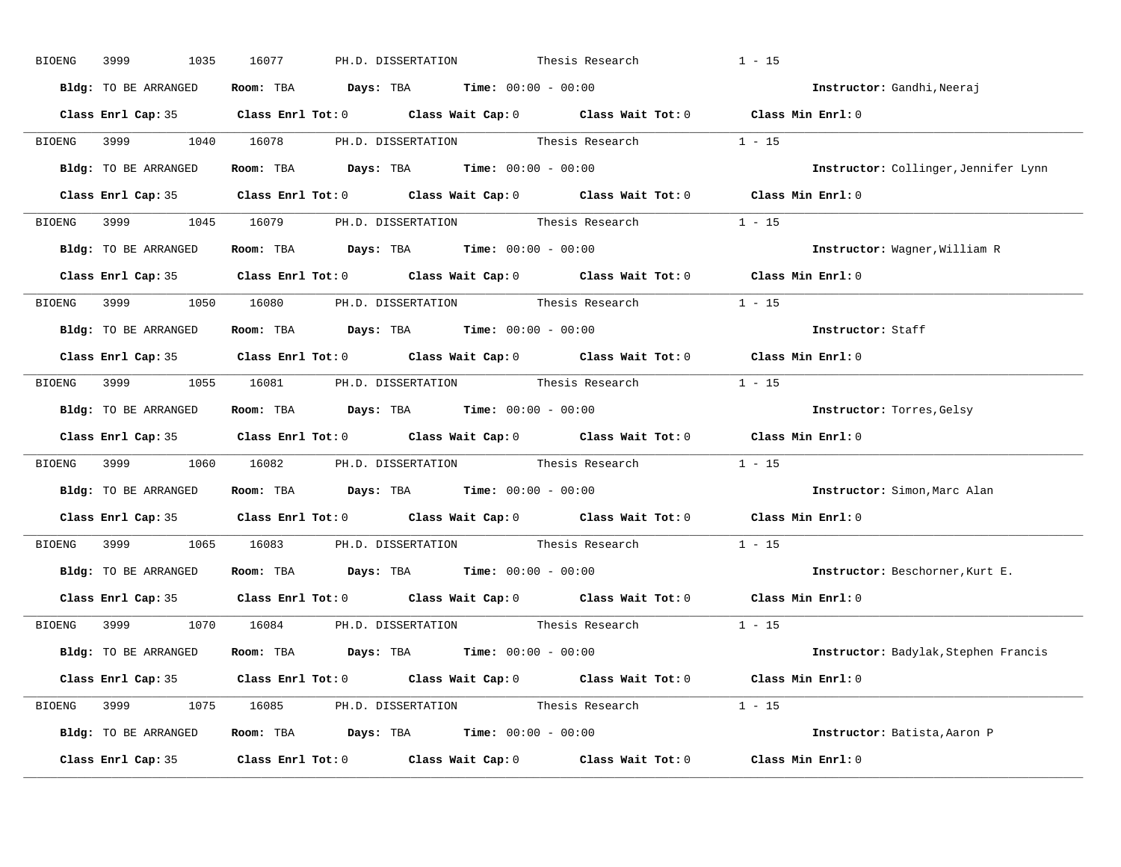| 3999<br>1035<br>BIOENG | 16077<br>PH.D. DISSERTATION<br>Thesis Research                                             | $1 - 15$                                    |
|------------------------|--------------------------------------------------------------------------------------------|---------------------------------------------|
| Bldg: TO BE ARRANGED   | Room: TBA $Days:$ TBA $Time: 00:00 - 00:00$                                                | Instructor: Gandhi, Neeraj                  |
|                        | Class Enrl Cap: 35 Class Enrl Tot: 0 Class Wait Cap: 0 Class Wait Tot: 0 Class Min Enrl: 0 |                                             |
|                        | BIOENG 3999 1040 16078 PH.D. DISSERTATION Thesis Research 1 - 15                           |                                             |
| Bldg: TO BE ARRANGED   | Room: TBA $Days:$ TBA Time: $00:00 - 00:00$                                                | Instructor: Collinger, Jennifer Lynn        |
|                        | Class Enrl Cap: 35 Class Enrl Tot: 0 Class Wait Cap: 0 Class Wait Tot: 0 Class Min Enrl: 0 |                                             |
|                        | BIOENG 3999 1045 16079 PH.D. DISSERTATION Thesis Research 1 - 15                           |                                             |
|                        | Bldg: TO BE ARRANGED ROOM: TBA Days: TBA Time: 00:00 - 00:00                               | Instructor: Wagner, William R               |
|                        | Class Enrl Cap: 35 Class Enrl Tot: 0 Class Wait Cap: 0 Class Wait Tot: 0 Class Min Enrl: 0 |                                             |
|                        | BIOENG 3999 1050 16080 PH.D. DISSERTATION Thesis Research 1 - 15                           |                                             |
| Bldg: TO BE ARRANGED   | Room: TBA $\rule{1em}{0.15mm}$ Days: TBA $\rule{1.5mm}{0.15mm}$ Time: $00:00 - 00:00$      | Instructor: Staff                           |
|                        | Class Enrl Cap: 35 Class Enrl Tot: 0 Class Wait Cap: 0 Class Wait Tot: 0 Class Min Enrl: 0 |                                             |
|                        | BIOENG 3999 1055 16081 PH.D. DISSERTATION Thesis Research 1 - 15                           |                                             |
| Bldg: TO BE ARRANGED   | Room: TBA $\rule{1em}{0.15mm}$ Days: TBA $\rule{1.5mm}{0.15mm}$ Time: $00:00 - 00:00$      | Instructor: Torres, Gelsy                   |
|                        | Class Enrl Cap: 35 Class Enrl Tot: 0 Class Wait Cap: 0 Class Wait Tot: 0 Class Min Enrl: 0 |                                             |
|                        | BIOENG 3999 1060 16082 PH.D. DISSERTATION Thesis Research 1 - 15                           |                                             |
|                        | Bldg: TO BE ARRANGED ROOM: TBA Days: TBA Time: 00:00 - 00:00                               | Instructor: Simon, Marc Alan                |
|                        | Class Enrl Cap: 35 Class Enrl Tot: 0 Class Wait Cap: 0 Class Wait Tot: 0                   | Class Min Enrl: 0                           |
|                        | BIOENG 3999 1065 16083 PH.D. DISSERTATION Thesis Research                                  | $1 - 15$                                    |
| Bldg: TO BE ARRANGED   | Room: TBA $Days:$ TBA $Time:$ 00:00 - 00:00                                                | Instructor: Beschorner, Kurt E.             |
|                        | Class Enrl Cap: 35 Class Enrl Tot: 0 Class Wait Cap: 0 Class Wait Tot: 0 Class Min Enrl: 0 |                                             |
|                        | BIOENG 3999 1070 16084 PH.D. DISSERTATION Thesis Research                                  | $1 - 15$                                    |
|                        | Bldg: TO BE ARRANGED Room: TBA Days: TBA Time: 00:00 - 00:00                               | <b>Instructor:</b> Badylak, Stephen Francis |
|                        | Class Enrl Cap: 35 Class Enrl Tot: 0 Class Wait Cap: 0 Class Wait Tot: 0 Class Min Enrl: 0 |                                             |
|                        | BIOENG 3999 1075 16085 PH.D. DISSERTATION Thesis Research 1 - 15                           |                                             |
|                        | Bldg: TO BE ARRANGED ROOM: TBA Days: TBA Time: 00:00 - 00:00                               | Instructor: Batista, Aaron P                |
|                        | Class Enrl Cap: 35 Class Enrl Tot: 0 Class Wait Cap: 0 Class Wait Tot: 0 Class Min Enrl: 0 |                                             |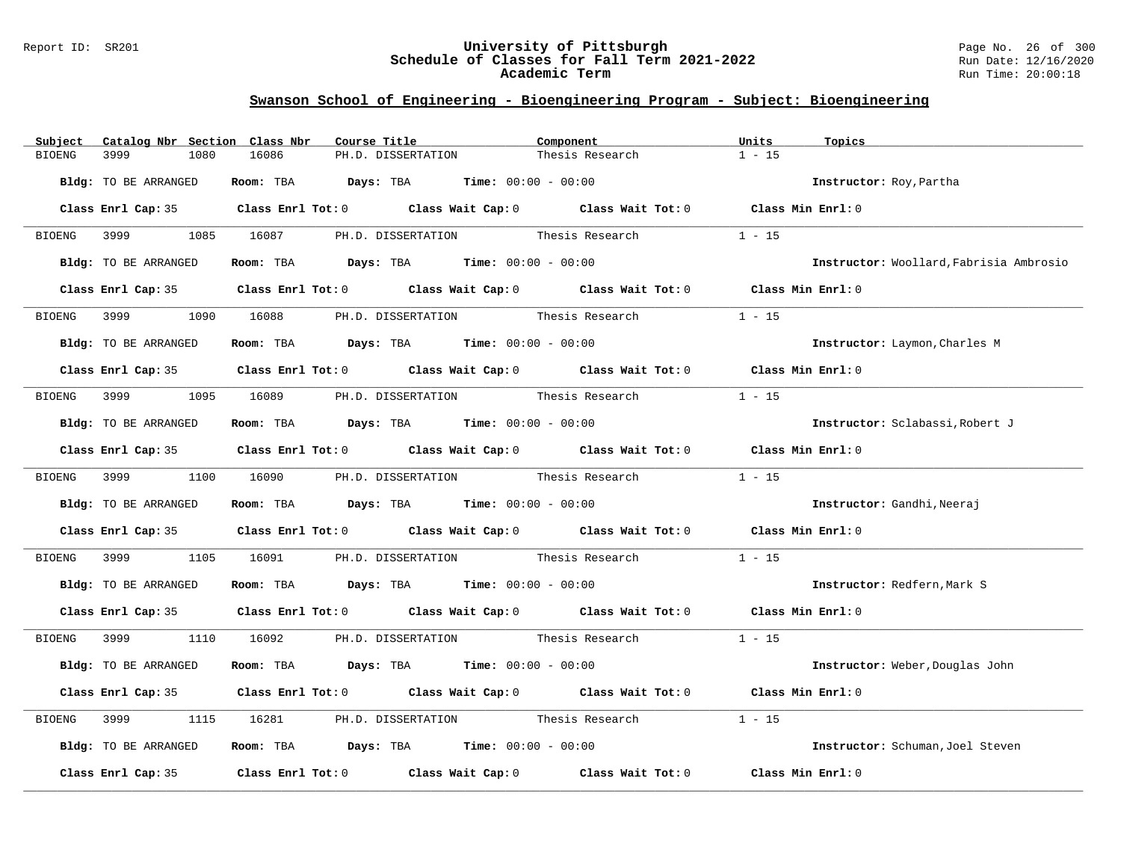#### Report ID: SR201 **University of Pittsburgh** Page No. 26 of 300 **Schedule of Classes for Fall Term 2021-2022** Run Date: 12/16/2020 **Academic Term** Run Time: 20:00:18

| Catalog Nbr Section Class Nbr<br>Subject | Course Title                                                                                        | Component                          | Units<br>Topics                         |
|------------------------------------------|-----------------------------------------------------------------------------------------------------|------------------------------------|-----------------------------------------|
| 3999<br><b>BIOENG</b><br>1080            | 16086<br>PH.D. DISSERTATION                                                                         | Thesis Research                    | $1 - 15$                                |
| Bldg: TO BE ARRANGED                     | Room: TBA $Days: TBA$ Time: $00:00 - 00:00$                                                         |                                    | <b>Instructor:</b> Roy, Partha          |
|                                          | Class Enrl Cap: 35 Class Enrl Tot: 0 Class Wait Cap: 0 Class Wait Tot: 0 Class Min Enrl: 0          |                                    |                                         |
| BIOENG 3999 1085 16087                   |                                                                                                     | PH.D. DISSERTATION Thesis Research | $1 - 15$                                |
| Bldg: TO BE ARRANGED                     | Room: TBA $Days:$ TBA $Time: 00:00 - 00:00$                                                         |                                    | Instructor: Woollard, Fabrisia Ambrosio |
|                                          | Class Enrl Cap: 35 Class Enrl Tot: 0 Class Wait Cap: 0 Class Wait Tot: 0 Class Min Enrl: 0          |                                    |                                         |
| 3999 700<br>BIOENG                       | PH.D. DISSERTATION Thesis Research<br>1090 16088                                                    |                                    | $1 - 15$                                |
| Bldg: TO BE ARRANGED                     | Room: TBA $Days:$ TBA $Time: 00:00 - 00:00$                                                         |                                    | Instructor: Laymon, Charles M           |
|                                          | Class Enrl Cap: 35 Class Enrl Tot: 0 Class Wait Cap: 0 Class Wait Tot: 0 Class Min Enrl: 0          |                                    |                                         |
| BIOENG                                   | 3999 1095 16089 PH.D. DISSERTATION Thesis Research                                                  |                                    | $1 - 15$                                |
| Bldg: TO BE ARRANGED                     | Room: TBA $Days:$ TBA $Time: 00:00 - 00:00$                                                         |                                    | Instructor: Sclabassi, Robert J         |
|                                          | Class Enrl Cap: 35 Class Enrl Tot: 0 Class Wait Cap: 0 Class Wait Tot: 0 Class Min Enrl: 0          |                                    |                                         |
|                                          | BIOENG 3999 1100 16090 PH.D. DISSERTATION Thesis Research                                           |                                    | $1 - 15$                                |
| Bldg: TO BE ARRANGED                     | Room: TBA $Days:$ TBA $Time: 00:00 - 00:00$                                                         |                                    | Instructor: Gandhi, Neeraj              |
|                                          | Class Enrl Cap: 35 Class Enrl Tot: 0 Class Wait Cap: 0 Class Wait Tot: 0 Class Min Enrl: 0          |                                    |                                         |
| 3999 700<br>BIOENG                       | 1105 16091 PH.D. DISSERTATION Thesis Research                                                       |                                    | $1 - 15$                                |
| Bldg: TO BE ARRANGED                     | Room: TBA $\rule{1em}{0.15mm}$ Days: TBA Time: $00:00 - 00:00$                                      |                                    | Instructor: Redfern, Mark S             |
|                                          | Class Enrl Cap: 35 Class Enrl Tot: 0 Class Wait Cap: 0 Class Wait Tot: 0 Class Min Enrl: 0          |                                    |                                         |
|                                          | BIOENG 3999 1110 16092 PH.D. DISSERTATION Thesis Research 1 - 15                                    |                                    |                                         |
| Bldg: TO BE ARRANGED                     | Room: TBA $Days:$ TBA $Time: 00:00 - 00:00$                                                         |                                    | Instructor: Weber, Douglas John         |
|                                          | Class Enrl Cap: 35 Class Enrl Tot: 0 Class Wait Cap: 0 Class Wait Tot: 0 Class Min Enrl: 0          |                                    |                                         |
| 3999<br>1115<br>BIOENG                   | 16281                                                                                               | PH.D. DISSERTATION Thesis Research | $1 - 15$                                |
| Bldg: TO BE ARRANGED                     | Room: TBA $\rule{1em}{0.15mm}$ Days: TBA Time: $00:00 - 00:00$                                      |                                    | Instructor: Schuman, Joel Steven        |
|                                          | Class Enrl Cap: 35 $\qquad$ Class Enrl Tot: 0 $\qquad$ Class Wait Cap: 0 $\qquad$ Class Wait Tot: 0 |                                    | Class Min Enrl: 0                       |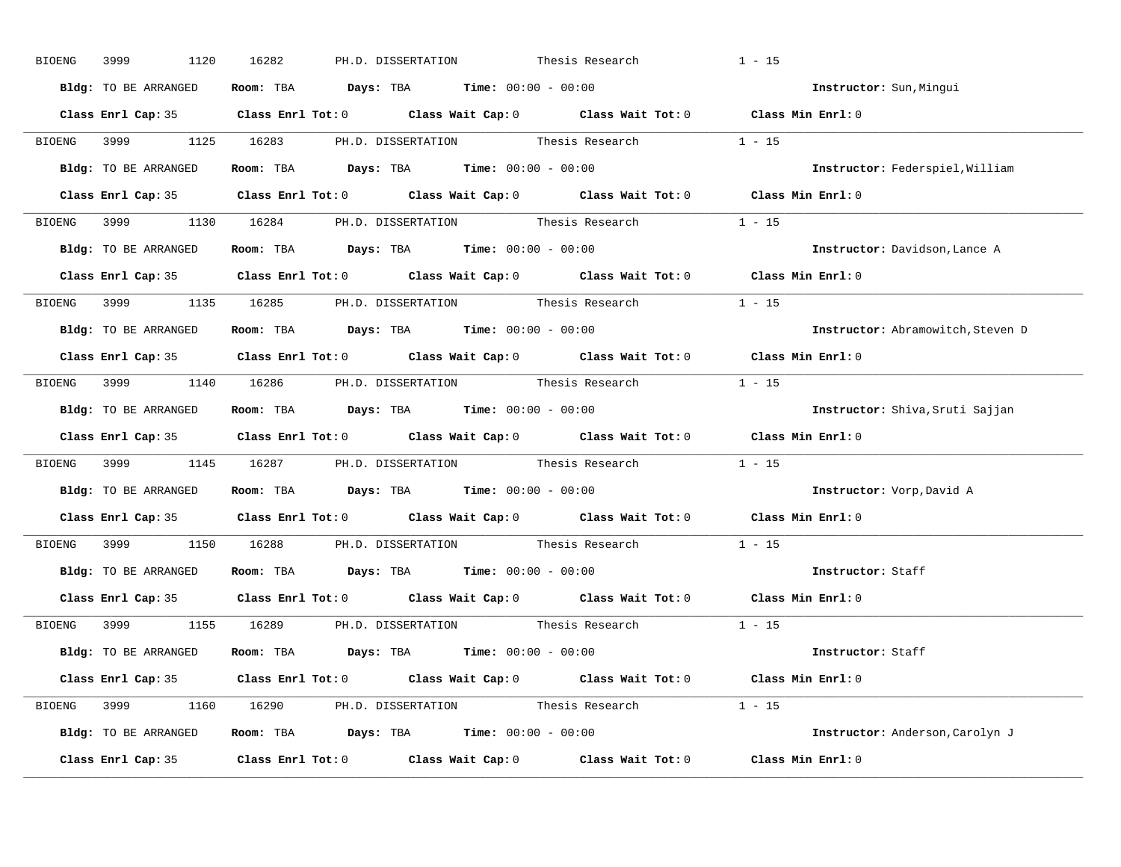| BIOENG 3999 | 1120                 | PH.D. DISSERTATION Thesis Research<br>16282                                                | $1 - 15$                          |
|-------------|----------------------|--------------------------------------------------------------------------------------------|-----------------------------------|
|             | Bldg: TO BE ARRANGED | Room: TBA $Days:$ TBA $Time: 00:00 - 00:00$                                                | Instructor: Sun, Mingui           |
|             |                      | Class Enrl Cap: 35 Class Enrl Tot: 0 Class Wait Cap: 0 Class Wait Tot: 0 Class Min Enrl: 0 |                                   |
|             |                      | BIOENG 3999 1125 16283 PH.D. DISSERTATION Thesis Research 1 - 15                           |                                   |
|             | Bldg: TO BE ARRANGED | Room: TBA $Days:$ TBA Time: $00:00 - 00:00$                                                | Instructor: Federspiel, William   |
|             |                      | Class Enrl Cap: 35 Class Enrl Tot: 0 Class Wait Cap: 0 Class Wait Tot: 0 Class Min Enrl: 0 |                                   |
|             |                      | BIOENG 3999 1130 16284 PH.D. DISSERTATION Thesis Research 1 - 15                           |                                   |
|             |                      | <b>Bldg:</b> TO BE ARRANGED <b>Room:</b> TBA <b>Days:</b> TBA <b>Time:</b> $00:00 - 00:00$ | Instructor: Davidson, Lance A     |
|             |                      | Class Enrl Cap: 35 Class Enrl Tot: 0 Class Wait Cap: 0 Class Wait Tot: 0 Class Min Enrl: 0 |                                   |
|             |                      | BIOENG 3999 1135 16285 PH.D. DISSERTATION Thesis Research 1 - 15                           |                                   |
|             | Bldg: TO BE ARRANGED | Room: TBA $Days:$ TBA $Time: 00:00 - 00:00$                                                | Instructor: Abramowitch, Steven D |
|             |                      | Class Enrl Cap: 35 Class Enrl Tot: 0 Class Wait Cap: 0 Class Wait Tot: 0 Class Min Enrl: 0 |                                   |
|             |                      | BIOENG 3999 1140 16286 PH.D. DISSERTATION Thesis Research 1 - 15                           |                                   |
|             | Bldg: TO BE ARRANGED | Room: TBA $\rule{1em}{0.15mm}$ Days: TBA $\rule{1.15mm}]{0.15mm}$ Time: $0.000 - 0.000$    | Instructor: Shiva, Sruti Sajjan   |
|             |                      | Class Enrl Cap: 35 Class Enrl Tot: 0 Class Wait Cap: 0 Class Wait Tot: 0 Class Min Enrl: 0 |                                   |
|             |                      | BIOENG 3999 1145 16287 PH.D. DISSERTATION Thesis Research 1 - 15                           |                                   |
|             |                      | Bldg: TO BE ARRANGED Room: TBA Days: TBA Time: 00:00 - 00:00                               | Instructor: Vorp, David A         |
|             |                      | Class Enrl Cap: 35 Class Enrl Tot: 0 Class Wait Cap: 0 Class Wait Tot: 0 Class Min Enrl: 0 |                                   |
|             |                      | BIOENG 3999 1150 16288 PH.D. DISSERTATION Thesis Research                                  | $1 - 15$                          |
|             |                      | Bldg: TO BE ARRANGED Room: TBA Days: TBA Time: 00:00 - 00:00                               | Instructor: Staff                 |
|             |                      | Class Enrl Cap: 35 Class Enrl Tot: 0 Class Wait Cap: 0 Class Wait Tot: 0 Class Min Enrl: 0 |                                   |
|             |                      | BIOENG 3999 1155 16289 PH.D. DISSERTATION Thesis Research 1 - 15                           |                                   |
|             |                      | Bldg: TO BE ARRANGED Room: TBA Days: TBA Time: 00:00 - 00:00                               | Instructor: Staff                 |
|             |                      | Class Enrl Cap: 35 Class Enrl Tot: 0 Class Wait Cap: 0 Class Wait Tot: 0 Class Min Enrl: 0 |                                   |
|             |                      | BIOENG 3999 1160 16290 PH.D. DISSERTATION Thesis Research 1 - 15                           |                                   |
|             |                      | Bldg: TO BE ARRANGED Room: TBA Days: TBA Time: 00:00 - 00:00                               | Instructor: Anderson, Carolyn J   |
|             |                      | Class Enrl Cap: 35 Class Enrl Tot: 0 Class Wait Cap: 0 Class Wait Tot: 0 Class Min Enrl: 0 |                                   |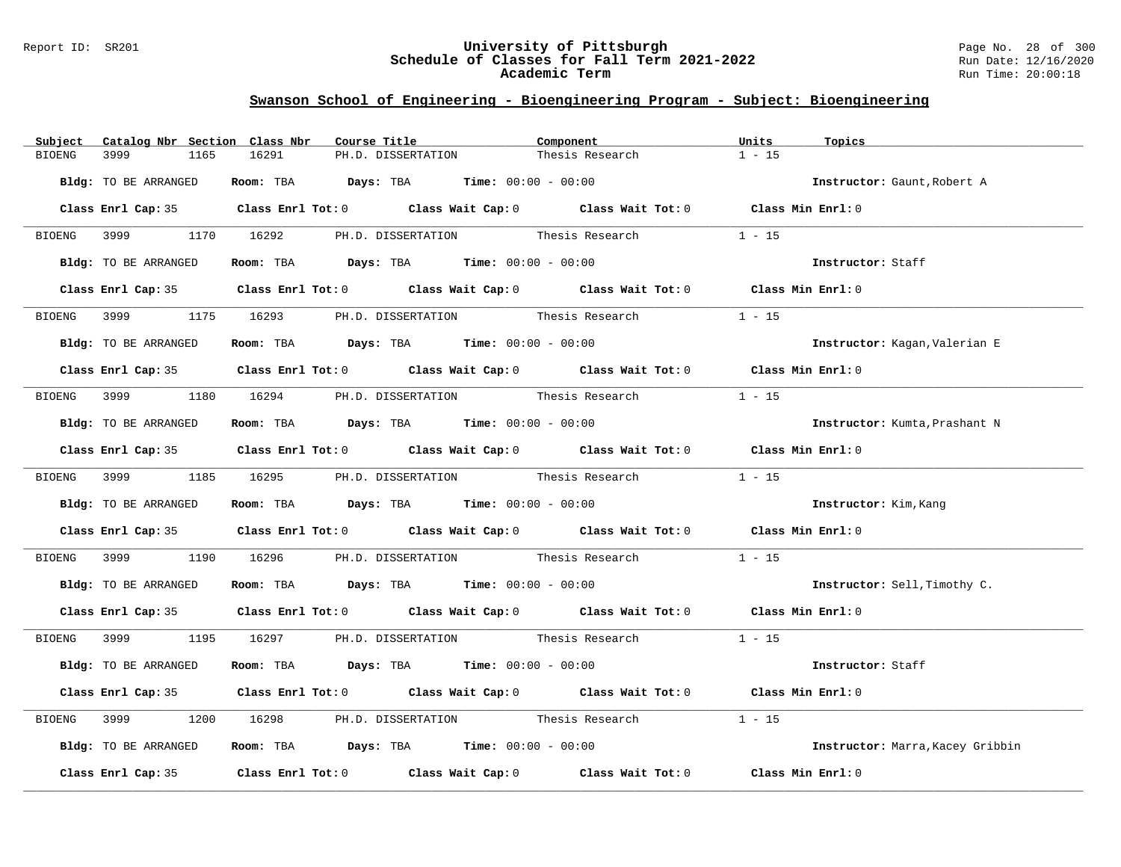#### Report ID: SR201 **University of Pittsburgh** Page No. 28 of 300 **Schedule of Classes for Fall Term 2021-2022** Run Date: 12/16/2020 **Academic Term** Run Time: 20:00:18

| Catalog Nbr Section Class Nbr<br>Subject | Course Title                                                                               | Component       | Units<br>Topics                  |
|------------------------------------------|--------------------------------------------------------------------------------------------|-----------------|----------------------------------|
| <b>BIOENG</b><br>3999<br>1165            | 16291<br>PH.D. DISSERTATION                                                                | Thesis Research | $1 - 15$                         |
| Bldg: TO BE ARRANGED                     | Room: TBA $Days:$ TBA $Time: 00:00 - 00:00$                                                |                 | Instructor: Gaunt, Robert A      |
|                                          | Class Enrl Cap: 35 Class Enrl Tot: 0 Class Wait Cap: 0 Class Wait Tot: 0 Class Min Enrl: 0 |                 |                                  |
|                                          | BIOENG 3999 1170 16292 PH.D. DISSERTATION Thesis Research                                  |                 | $1 - 15$                         |
| Bldg: TO BE ARRANGED                     | Room: TBA $Days:$ TBA $Time: 00:00 - 00:00$                                                |                 | Instructor: Staff                |
|                                          | Class Enrl Cap: 35 Class Enrl Tot: 0 Class Wait Cap: 0 Class Wait Tot: 0 Class Min Enrl: 0 |                 |                                  |
| BIOENG 3999                              | 1175 16293 PH.D. DISSERTATION Thesis Research                                              |                 | $1 - 15$                         |
| Bldg: TO BE ARRANGED                     | Room: TBA $Days:$ TBA $Time: 00:00 - 00:00$                                                |                 | Instructor: Kagan, Valerian E    |
|                                          | Class Enrl Cap: 35 Class Enrl Tot: 0 Class Wait Cap: 0 Class Wait Tot: 0 Class Min Enrl: 0 |                 |                                  |
|                                          | BIOENG 3999 1180 16294 PH.D. DISSERTATION Thesis Research                                  |                 | $1 - 15$                         |
| Bldg: TO BE ARRANGED                     | Room: TBA $\rule{1em}{0.15mm}$ Days: TBA Time: $00:00 - 00:00$                             |                 | Instructor: Kumta, Prashant N    |
|                                          | Class Enrl Cap: 35 Class Enrl Tot: 0 Class Wait Cap: 0 Class Wait Tot: 0 Class Min Enrl: 0 |                 |                                  |
|                                          | BIOENG 3999 1185 16295 PH.D. DISSERTATION Thesis Research                                  |                 | $1 - 15$                         |
| Bldg: TO BE ARRANGED                     | Room: TBA $Days:$ TBA $Time: 00:00 - 00:00$                                                |                 | Instructor: Kim, Kang            |
|                                          | Class Enrl Cap: 35 Class Enrl Tot: 0 Class Wait Cap: 0 Class Wait Tot: 0 Class Min Enrl: 0 |                 |                                  |
|                                          | BIOENG 3999 1190 16296 PH.D. DISSERTATION Thesis Research                                  |                 | $1 - 15$                         |
| Bldg: TO BE ARRANGED                     | Room: TBA $\rule{1em}{0.15mm}$ Days: TBA Time: $00:00 - 00:00$                             |                 | Instructor: Sell, Timothy C.     |
|                                          | Class Enrl Cap: 35 Class Enrl Tot: 0 Class Wait Cap: 0 Class Wait Tot: 0 Class Min Enrl: 0 |                 |                                  |
|                                          | BIOENG 3999 1195 16297 PH.D. DISSERTATION Thesis Research 1 - 15                           |                 |                                  |
| Bldg: TO BE ARRANGED                     | Room: TBA $Days:$ TBA $Time: 00:00 - 00:00$                                                |                 | Instructor: Staff                |
|                                          | Class Enrl Cap: 35 Class Enrl Tot: 0 Class Wait Cap: 0 Class Wait Tot: 0 Class Min Enrl: 0 |                 |                                  |
| BIOENG 3999                              | 1200 16298 PH.D. DISSERTATION Thesis Research                                              |                 | $1 - 15$                         |
| Bldg: TO BE ARRANGED                     | Room: TBA $\rule{1em}{0.15mm}$ Days: TBA Time: $00:00 - 00:00$                             |                 | Instructor: Marra, Kacey Gribbin |
|                                          | Class Enrl Cap: 35 Class Enrl Tot: 0 Class Wait Cap: 0 Class Wait Tot: 0 Class Min Enrl: 0 |                 |                                  |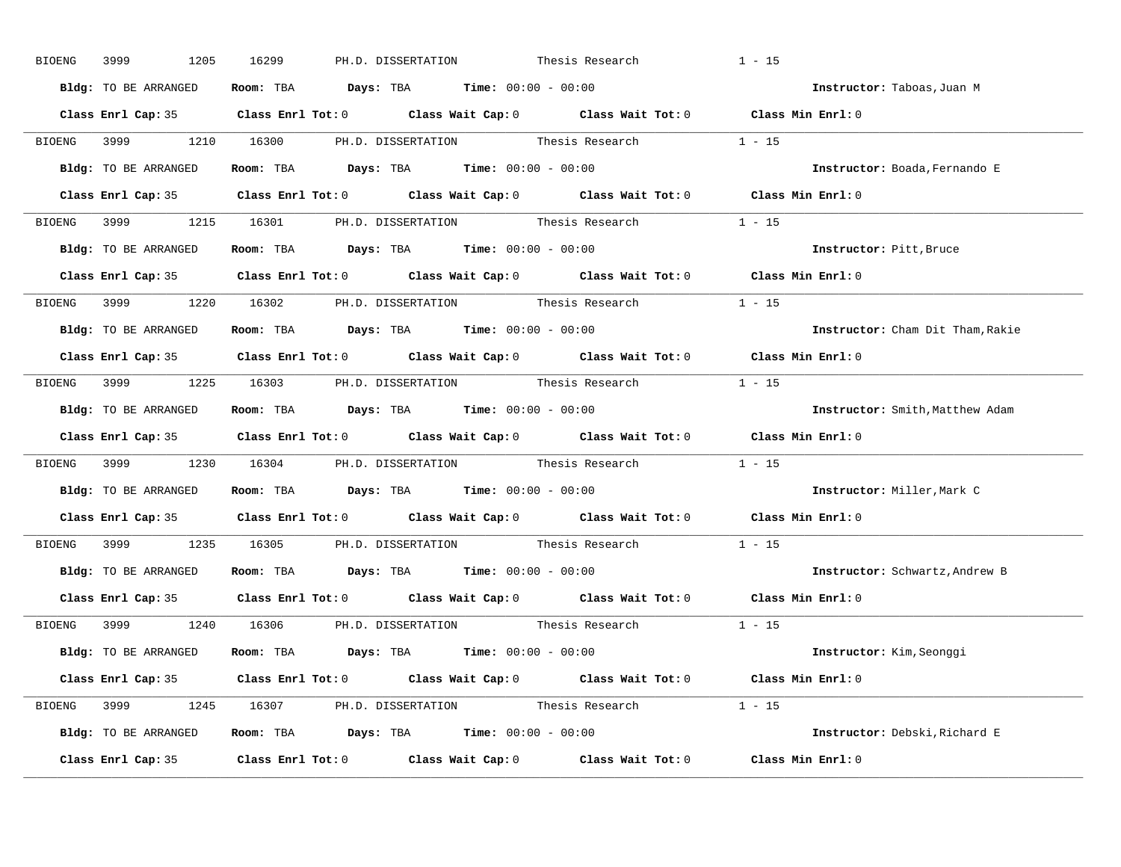| 3999<br>1205<br>BIOENG | 16299<br>PH.D. DISSERTATION Thesis Research                                                         | $1 - 15$                         |
|------------------------|-----------------------------------------------------------------------------------------------------|----------------------------------|
| Bldg: TO BE ARRANGED   | Room: TBA $Days:$ TBA $Time: 00:00 - 00:00$                                                         | Instructor: Taboas, Juan M       |
|                        | Class Enrl Cap: 35 Class Enrl Tot: 0 Class Wait Cap: 0 Class Wait Tot: 0 Class Min Enrl: 0          |                                  |
|                        | BIOENG 3999 1210 16300 PH.D. DISSERTATION Thesis Research 1 - 15                                    |                                  |
| Bldg: TO BE ARRANGED   | Room: TBA $Days:$ TBA Time: $00:00 - 00:00$                                                         | Instructor: Boada, Fernando E    |
|                        | Class Enrl Cap: 35 Class Enrl Tot: 0 Class Wait Cap: 0 Class Wait Tot: 0 Class Min Enrl: 0          |                                  |
|                        | BIOENG 3999 1215 16301 PH.D. DISSERTATION Thesis Research 1 - 15                                    |                                  |
|                        | Bldg: TO BE ARRANGED Room: TBA Days: TBA Time: 00:00 - 00:00                                        | Instructor: Pitt, Bruce          |
|                        | Class Enrl Cap: 35 Class Enrl Tot: 0 Class Wait Cap: 0 Class Wait Tot: 0 Class Min Enrl: 0          |                                  |
|                        | BIOENG 3999 1220 16302 PH.D. DISSERTATION Thesis Research 1 - 15                                    |                                  |
| Bldg: TO BE ARRANGED   | Room: TBA $\rule{1em}{0.15mm}$ Days: TBA $\rule{1.5mm}{0.15mm}$ Time: $00:00 - 00:00$               | Instructor: Cham Dit Tham, Rakie |
|                        | Class Enrl Cap: 35 Class Enrl Tot: 0 Class Wait Cap: 0 Class Wait Tot: 0 Class Min Enrl: 0          |                                  |
|                        | BIOENG 3999 1225 16303 PH.D. DISSERTATION Thesis Research 1 - 15                                    |                                  |
| Bldg: TO BE ARRANGED   | Room: TBA $\rule{1em}{0.15mm}$ Days: TBA $\rule{1.5mm}{0.15mm}$ Time: $00:00 - 00:00$               | Instructor: Smith, Matthew Adam  |
|                        | Class Enrl Cap: 35 Class Enrl Tot: 0 Class Wait Cap: 0 Class Wait Tot: 0 Class Min Enrl: 0          |                                  |
|                        | BIOENG 3999 1230 16304 PH.D. DISSERTATION Thesis Research 1 - 15                                    |                                  |
|                        | Bldg: TO BE ARRANGED ROOM: TBA Days: TBA Time: 00:00 - 00:00                                        | Instructor: Miller, Mark C       |
|                        |                                                                                                     |                                  |
|                        | Class Enrl Cap: 35 $\qquad$ Class Enrl Tot: 0 $\qquad$ Class Wait Cap: 0 $\qquad$ Class Wait Tot: 0 | Class Min Enrl: 0                |
|                        | BIOENG 3999 1235 16305 PH.D. DISSERTATION Thesis Research                                           | $1 - 15$                         |
|                        | <b>Bldg:</b> TO BE ARRANGED <b>Room:</b> TBA <b>Days:</b> TBA <b>Time:</b> $00:00 - 00:00$          | Instructor: Schwartz, Andrew B   |
|                        | Class Enrl Cap: 35 Class Enrl Tot: 0 Class Wait Cap: 0 Class Wait Tot: 0 Class Min Enrl: 0          |                                  |
|                        | BIOENG 3999 1240 16306 PH.D. DISSERTATION Thesis Research                                           | $1 - 15$                         |
|                        | Bldg: TO BE ARRANGED Room: TBA Days: TBA Time: 00:00 - 00:00                                        | Instructor: Kim, Seonggi         |
|                        | Class Enrl Cap: 35 Class Enrl Tot: 0 Class Wait Cap: 0 Class Wait Tot: 0 Class Min Enrl: 0          |                                  |
|                        | BIOENG 3999 1245 16307 PH.D. DISSERTATION Thesis Research 1 - 15                                    |                                  |
|                        | Bldg: TO BE ARRANGED Room: TBA Days: TBA Time: 00:00 - 00:00                                        | Instructor: Debski, Richard E    |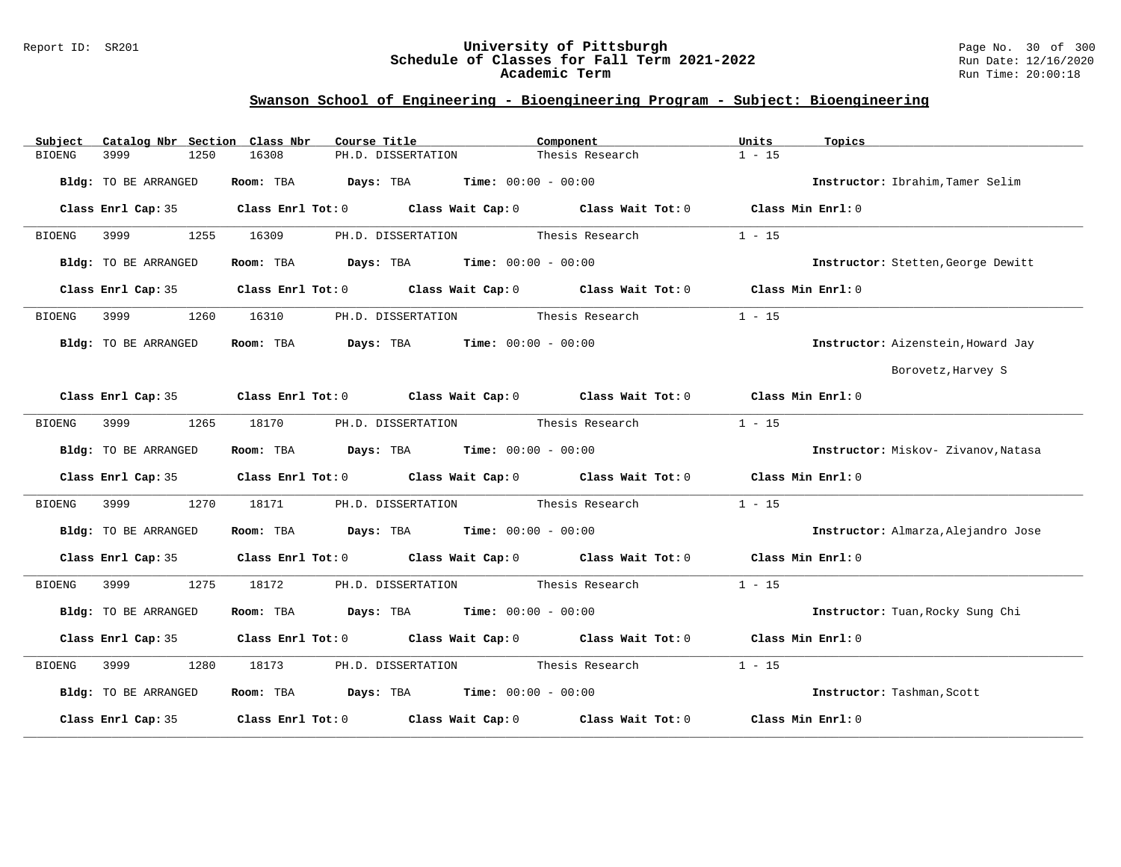#### Report ID: SR201 **University of Pittsburgh** Page No. 30 of 300 **Schedule of Classes for Fall Term 2021-2022** Run Date: 12/16/2020 **Academic Term** Run Time: 20:00:18

| Catalog Nbr Section Class Nbr<br>Subject | Course Title                                                                               | Component       | Units<br>Topics                     |
|------------------------------------------|--------------------------------------------------------------------------------------------|-----------------|-------------------------------------|
| 3999<br>1250<br><b>BIOENG</b>            | 16308<br>PH.D. DISSERTATION                                                                | Thesis Research | $1 - 15$                            |
| Bldg: TO BE ARRANGED                     | Room: TBA $Days:$ TBA $Time: 00:00 - 00:00$                                                |                 | Instructor: Ibrahim, Tamer Selim    |
|                                          | Class Enrl Cap: 35 Class Enrl Tot: 0 Class Wait Cap: 0 Class Wait Tot: 0 Class Min Enrl: 0 |                 |                                     |
| 3999<br>1255<br>BIOENG                   | PH.D. DISSERTATION Thesis Research<br>16309                                                |                 | $1 - 15$                            |
| Bldg: TO BE ARRANGED                     | Room: TBA $Days:$ TBA $Time: 00:00 - 00:00$                                                |                 | Instructor: Stetten, George Dewitt  |
|                                          | Class Enrl Cap: 35 Class Enrl Tot: 0 Class Wait Cap: 0 Class Wait Tot: 0 Class Min Enrl: 0 |                 |                                     |
| 3999<br>1260<br>BIOENG                   | PH.D. DISSERTATION Thesis Research<br>16310                                                |                 | $1 - 15$                            |
| Bldg: TO BE ARRANGED                     | Room: TBA $Days:$ TBA $Time: 00:00 - 00:00$                                                |                 | Instructor: Aizenstein, Howard Jay  |
|                                          |                                                                                            |                 | Borovetz, Harvey S                  |
|                                          | Class Enrl Cap: 35 Class Enrl Tot: 0 Class Wait Cap: 0 Class Wait Tot: 0 Class Min Enrl: 0 |                 |                                     |
| 3999<br>1265<br>BIOENG                   | 18170<br>PH.D. DISSERTATION Thesis Research                                                |                 | $1 - 15$                            |
| Bldg: TO BE ARRANGED                     | Room: TBA $Days:$ TBA Time: $00:00 - 00:00$                                                |                 | Instructor: Miskov- Zivanov, Natasa |
|                                          | Class Enrl Cap: 35 Class Enrl Tot: 0 Class Wait Cap: 0 Class Wait Tot: 0 Class Min Enrl: 0 |                 |                                     |
| 3999 7<br>BIOENG                         | PH.D. DISSERTATION Thesis Research<br>1270<br>18171                                        |                 | $1 - 15$                            |
| Bldg: TO BE ARRANGED                     | Room: TBA $Days:$ TBA Time: $00:00 - 00:00$                                                |                 | Instructor: Almarza, Alejandro Jose |
|                                          | Class Enrl Cap: 35 Class Enrl Tot: 0 Class Wait Cap: 0 Class Wait Tot: 0 Class Min Enrl: 0 |                 |                                     |
| BIOENG                                   | 1275 18172 PH.D. DISSERTATION Thesis Research                                              |                 | $1 - 15$                            |
| Bldg: TO BE ARRANGED                     | Room: TBA $\rule{1em}{0.15mm}$ Days: TBA $\rule{1.5mm}{0.15mm}$ Time: $00:00 - 00:00$      |                 | Instructor: Tuan, Rocky Sung Chi    |
|                                          | Class Enrl Cap: 35 Class Enrl Tot: 0 Class Wait Cap: 0 Class Wait Tot: 0 Class Min Enrl: 0 |                 |                                     |
| 3999 700<br>1280<br><b>BIOENG</b>        | 18173 PH.D. DISSERTATION Thesis Research                                                   |                 | $1 - 15$                            |
| Bldg: TO BE ARRANGED                     | Room: TBA $Days:$ TBA $Time: 00:00 - 00:00$                                                |                 | Instructor: Tashman, Scott          |
| Class Enrl Cap: 35                       | Class Enrl Tot: $0$ Class Wait Cap: $0$ Class Wait Tot: $0$                                |                 | Class Min Enrl: 0                   |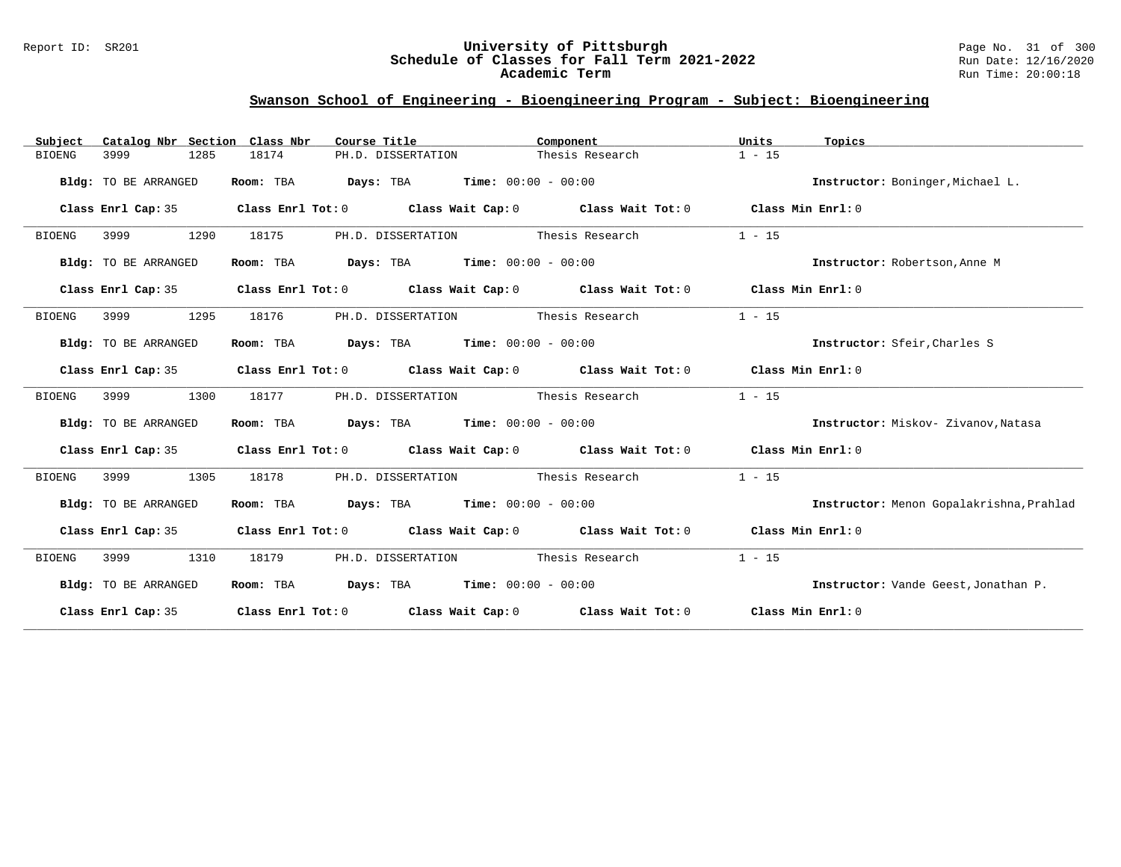### Report ID: SR201 **University of Pittsburgh** Page No. 31 of 300 **Schedule of Classes for Fall Term 2021-2022** Run Date: 12/16/2020 **Academic Term** Run Time: 20:00:18

| Catalog Nbr Section Class Nbr<br>Subject | Course Title                                                                                       | Component                          | Units<br>Topics                          |
|------------------------------------------|----------------------------------------------------------------------------------------------------|------------------------------------|------------------------------------------|
| 3999<br>1285<br>BIOENG                   | 18174<br>PH.D. DISSERTATION                                                                        | Thesis Research                    | $1 - 15$                                 |
| Bldg: TO BE ARRANGED                     | Room: TBA<br><b>Days:</b> TBA <b>Time:</b> $00:00 - 00:00$                                         |                                    | Instructor: Boninger, Michael L.         |
| Class Enrl Cap: 35                       | Class Enrl Tot: $0$ Class Wait Cap: $0$ Class Wait Tot: $0$ Class Min Enrl: $0$                    |                                    |                                          |
| 1290<br>BIOENG<br>3999                   | 18175                                                                                              | PH.D. DISSERTATION Thesis Research | $1 - 15$                                 |
| Bldg: TO BE ARRANGED                     | Room: TBA $Days:$ TBA $Time: 00:00 - 00:00$                                                        |                                    | Instructor: Robertson, Anne M            |
| Class Enrl Cap: 35                       | Class Enrl Tot: $0$ Class Wait Cap: $0$ Class Wait Tot: $0$ Class Min Enrl: $0$                    |                                    |                                          |
| 3999<br>1295<br>BIOENG                   | 18176                                                                                              | PH.D. DISSERTATION Thesis Research | $1 - 15$                                 |
| Bldg: TO BE ARRANGED                     | Room: TBA $Days:$ TBA $Time: 00:00 - 00:00$                                                        |                                    | Instructor: Sfeir, Charles S             |
| Class Enrl Cap: 35                       | Class Enrl Tot: $0$ Class Wait Cap: $0$ Class Wait Tot: $0$ Class Min Enrl: $0$                    |                                    |                                          |
| 1300<br><b>BIOENG</b><br>3999            | 18177                                                                                              | PH.D. DISSERTATION Thesis Research | $1 - 15$                                 |
| Bldg: TO BE ARRANGED                     | Room: TBA $Days:$ TBA $Time: 00:00 - 00:00$                                                        |                                    | Instructor: Miskov- Zivanov, Natasa      |
| Class Enrl Cap: 35                       | Class Enrl Tot: $0$ Class Wait Cap: $0$ Class Wait Tot: $0$ Class Min Enrl: $0$                    |                                    |                                          |
| <b>BIOENG</b><br>3999<br>1305            | 18178                                                                                              | PH.D. DISSERTATION Thesis Research | $1 - 15$                                 |
| Bldg: TO BE ARRANGED                     | Room: TBA $Days:$ TBA $Time: 00:00 - 00:00$                                                        |                                    | Instructor: Menon Gopalakrishna, Prahlad |
|                                          | Class Enrl Cap: 35 Class Enrl Tot: 0 Class Wait Cap: 0 Class Wait Tot: 0 Class Min Enrl: 0         |                                    |                                          |
| 3999<br><b>BIOENG</b><br>1310            | 18179                                                                                              | PH.D. DISSERTATION Thesis Research | $1 - 15$                                 |
| Bldg: TO BE ARRANGED                     | Room: TBA Days: TBA Time: $00:00 - 00:00$                                                          |                                    | Instructor: Vande Geest, Jonathan P.     |
| Class Enrl Cap: 35                       | Class Enrl Tot: 0 $\qquad$ Class Wait Cap: 0 $\qquad$ Class Wait Tot: 0 $\qquad$ Class Min Enrl: 0 |                                    |                                          |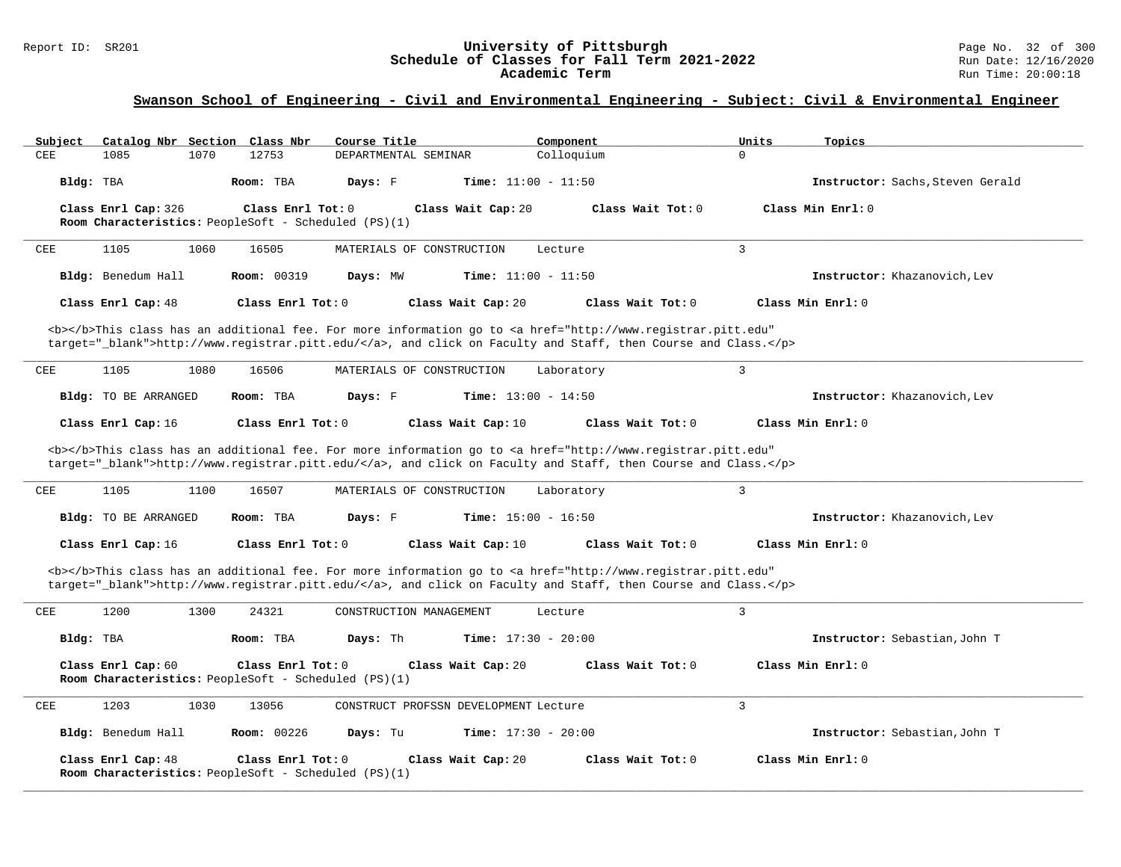# **Swanson School of Engineering - Civil and Environmental Engineering - Subject: Civil & Environmental Engineer**

| Catalog Nbr Section Class Nbr<br>Subiect                                   | Course Title                                                                                                                                                                                                                       | Component         | Units<br>Topics                  |
|----------------------------------------------------------------------------|------------------------------------------------------------------------------------------------------------------------------------------------------------------------------------------------------------------------------------|-------------------|----------------------------------|
| CEE<br>1085<br>1070<br>12753                                               | DEPARTMENTAL SEMINAR                                                                                                                                                                                                               | Colloquium        | $\Omega$                         |
| Bldg: TBA<br>Room: TBA                                                     | Days: F<br><b>Time:</b> $11:00 - 11:50$                                                                                                                                                                                            |                   | Instructor: Sachs, Steven Gerald |
| Class Enrl Cap: 326                                                        | Class Enrl Tot: 0<br>Class Wait Cap: 20                                                                                                                                                                                            | Class Wait Tot: 0 | Class Min Enrl: 0                |
| Room Characteristics: PeopleSoft - Scheduled (PS)(1)                       |                                                                                                                                                                                                                                    |                   |                                  |
| 1105<br>CEE<br>1060<br>16505                                               | MATERIALS OF CONSTRUCTION                                                                                                                                                                                                          | Lecture           | $\overline{3}$                   |
| Bldg: Benedum Hall<br><b>Room: 00319</b>                                   | <b>Time:</b> $11:00 - 11:50$<br>Days: MW                                                                                                                                                                                           |                   | Instructor: Khazanovich, Lev     |
| Class Enrl Cap: 48                                                         | Class Enrl Tot: 0<br>Class Wait Cap: 20                                                                                                                                                                                            | Class Wait Tot: 0 | Class Min Enrl: 0                |
|                                                                            | <b></b> This class has an additional fee. For more information go to <a <br="" href="http://www.registrar.pitt.edu">target="_blank"&gt;http://www.registrar.pitt.edu/</a> , and click on Faculty and Staff, then Course and Class. |                   |                                  |
| 1105<br>1080<br>CEE<br>16506                                               | MATERIALS OF CONSTRUCTION                                                                                                                                                                                                          | Laboratory        | 3                                |
| Bldg: TO BE ARRANGED<br>Room: TBA                                          | Days: F<br><b>Time:</b> $13:00 - 14:50$                                                                                                                                                                                            |                   | Instructor: Khazanovich, Lev     |
| Class Enrl Cap: 16                                                         | Class Enrl Tot: 0<br>Class Wait Cap: 10                                                                                                                                                                                            | Class Wait Tot: 0 | Class Min Enrl: 0                |
|                                                                            | <b></b> This class has an additional fee. For more information go to <a <br="" href="http://www.registrar.pitt.edu">target="_blank"&gt;http://www.registrar.pitt.edu/</a> , and click on Faculty and Staff, then Course and Class. |                   |                                  |
| 1105<br>1100<br>CEE<br>16507                                               | MATERIALS OF CONSTRUCTION                                                                                                                                                                                                          | Laboratory        | 3                                |
| Bldg: TO BE ARRANGED<br>Room: TBA                                          | Days: F<br><b>Time:</b> $15:00 - 16:50$                                                                                                                                                                                            |                   | Instructor: Khazanovich, Lev     |
| Class Enrl Cap: 16                                                         | Class Enrl Tot: 0<br>Class Wait Cap: 10                                                                                                                                                                                            | Class Wait Tot: 0 | Class Min Enrl: 0                |
|                                                                            | <b></b> This class has an additional fee. For more information go to <a <br="" href="http://www.registrar.pitt.edu">target="_blank"&gt;http://www.registrar.pitt.edu/</a> , and click on Faculty and Staff, then Course and Class. |                   |                                  |
| 1200<br>1300<br>24321<br>CEE                                               | CONSTRUCTION MANAGEMENT                                                                                                                                                                                                            | Lecture           | 3                                |
| Bldg: TBA<br>Room: TBA                                                     | Days: Th<br><b>Time:</b> $17:30 - 20:00$                                                                                                                                                                                           |                   | Instructor: Sebastian, John T    |
| Class Enrl Cap: 60<br>Room Characteristics: PeopleSoft - Scheduled (PS)(1) | Class Enrl Tot: 0<br>Class Wait Cap: 20                                                                                                                                                                                            | Class Wait Tot: 0 | Class Min Enrl: 0                |
| 1203<br>1030<br>CEE<br>13056                                               | CONSTRUCT PROFSSN DEVELOPMENT Lecture                                                                                                                                                                                              |                   | 3                                |
| Bldg: Benedum Hall<br><b>Room: 00226</b>                                   | Days: Tu<br><b>Time:</b> $17:30 - 20:00$                                                                                                                                                                                           |                   | Instructor: Sebastian, John T    |
| Class Enrl Cap: 48<br>Room Characteristics: PeopleSoft - Scheduled (PS)(1) | Class Enrl Tot: 0<br>Class Wait Cap: 20                                                                                                                                                                                            | Class Wait Tot: 0 | Class Min Enrl: 0                |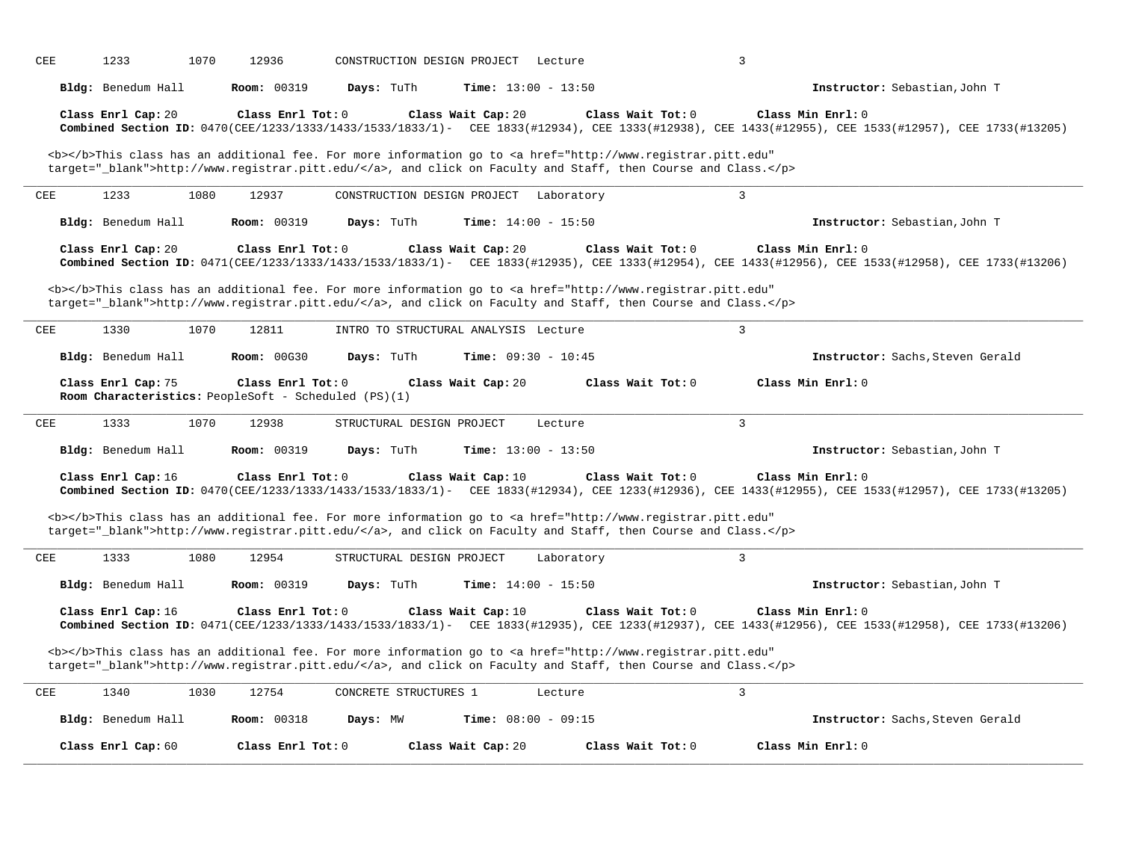| CEE        |                    |                                                                           |                             |                                                                                                                                                                                                                                    |                                                                                                                                                                          |
|------------|--------------------|---------------------------------------------------------------------------|-----------------------------|------------------------------------------------------------------------------------------------------------------------------------------------------------------------------------------------------------------------------------|--------------------------------------------------------------------------------------------------------------------------------------------------------------------------|
|            | Bldg: Benedum Hall | Room: 00319                                                               | Days: TuTh                  | <b>Time:</b> $13:00 - 13:50$                                                                                                                                                                                                       | Instructor: Sebastian, John T                                                                                                                                            |
|            | Class Enrl Cap: 20 | Class Enrl Tot: 0                                                         |                             | Class Wait Cap: 20<br>Class Wait Tot: 0                                                                                                                                                                                            | Class Min Enrl: 0<br>Combined Section ID: 0470(CEE/1233/1333/1433/1533/1833/1)- CEE 1833(#12934), CEE 1333(#12938), CEE 1433(#12955), CEE 1533(#12957), CEE 1733(#12957) |
|            |                    |                                                                           |                             | <b></b> This class has an additional fee. For more information go to <a <br="" href="http://www.registrar.pitt.edu">target="_blank"&gt;http://www.registrar.pitt.edu/</a> , and click on Faculty and Staff, then Course and Class. |                                                                                                                                                                          |
| CEE        | 1233               | 1080<br>12937                                                             | CONSTRUCTION DESIGN PROJECT | Laboratory                                                                                                                                                                                                                         | $\overline{3}$                                                                                                                                                           |
|            | Bldg: Benedum Hall | <b>Room: 00319</b>                                                        | Days: TuTh                  | <b>Time:</b> $14:00 - 15:50$                                                                                                                                                                                                       | Instructor: Sebastian, John T                                                                                                                                            |
|            | Class Enrl Cap: 20 | Class Enrl Tot: 0                                                         |                             | Class Wait Cap: 20<br>Class Wait Tot: 0                                                                                                                                                                                            | Class Min Enrl: 0<br>Combined Section ID: 0471(CEE/1233/1333/1433/1533/1833/1)- CEE 1833(#12935), CEE 1333(#12954), CEE 1433(#12956), CEE 1533(#12958), CEE 1733(#12958) |
|            |                    |                                                                           |                             | <b></b> This class has an additional fee. For more information go to <a <br="" href="http://www.registrar.pitt.edu">target="_blank"&gt;http://www.registrar.pitt.edu/</a> , and click on Faculty and Staff, then Course and Class. |                                                                                                                                                                          |
| CEE        | 1330               | 1070<br>12811                                                             |                             | INTRO TO STRUCTURAL ANALYSIS Lecture                                                                                                                                                                                               | $\overline{3}$                                                                                                                                                           |
|            |                    | <b>Room: 00G30</b>                                                        | Days: TuTh                  | <b>Time:</b> $09:30 - 10:45$                                                                                                                                                                                                       | Instructor: Sachs, Steven Gerald                                                                                                                                         |
|            | Bldg: Benedum Hall |                                                                           |                             |                                                                                                                                                                                                                                    |                                                                                                                                                                          |
|            | Class Enrl Cap: 75 | Class Enrl Tot: 0<br>Room Characteristics: PeopleSoft - Scheduled (PS)(1) |                             | Class Wait Cap: 20<br>Class Wait Tot: 0                                                                                                                                                                                            | Class Min Enrl: 0                                                                                                                                                        |
|            | 1333               | 1070<br>12938                                                             | STRUCTURAL DESIGN PROJECT   | Lecture                                                                                                                                                                                                                            | $\overline{3}$                                                                                                                                                           |
| CEE        | Bldg: Benedum Hall | <b>Room: 00319</b>                                                        | Days: TuTh                  | Time: $13:00 - 13:50$                                                                                                                                                                                                              | Instructor: Sebastian, John T                                                                                                                                            |
|            | Class Enrl Cap: 16 | Class Enrl Tot: 0                                                         |                             | Class Wait Tot: 0<br>Class Wait Cap: 10                                                                                                                                                                                            | Class Min Enrl: 0<br>Combined Section ID: 0470(CEE/1233/1333/1433/1533/1833/1)- CEE 1833(#12934), CEE 1233(#12936), CEE 1433(#12955), CEE 1533(#12957), CEE 1733(#12957) |
|            |                    |                                                                           |                             | <b></b> This class has an additional fee. For more information go to <a <br="" href="http://www.registrar.pitt.edu">target="_blank"&gt;http://www.registrar.pitt.edu/</a> , and click on Faculty and Staff, then Course and Class. |                                                                                                                                                                          |
| <b>CEE</b> | 1333               | 12954<br>1080                                                             | STRUCTURAL DESIGN PROJECT   | Laboratory                                                                                                                                                                                                                         | $\overline{3}$                                                                                                                                                           |
|            | Bldg: Benedum Hall | <b>Room: 00319</b>                                                        | Days: TuTh                  | <b>Time:</b> $14:00 - 15:50$                                                                                                                                                                                                       | Instructor: Sebastian, John T                                                                                                                                            |
|            | Class Enrl Cap: 16 | Class Enrl Tot: 0                                                         |                             | Class Wait Cap: 10<br>Class Wait Tot: 0                                                                                                                                                                                            | Class Min Enrl: 0<br>Combined Section ID: 0471(CEE/1233/1333/1433/1533/1833/1)- CEE 1833(#12935), CEE 1233(#12937), CEE 1433(#12956), CEE 1533(#12958), CEE 1733(#12206) |
|            |                    |                                                                           |                             | <b></b> This class has an additional fee. For more information go to <a <br="" href="http://www.registrar.pitt.edu">target="_blank"&gt;http://www.registrar.pitt.edu/</a> , and click on Faculty and Staff, then Course and Class. |                                                                                                                                                                          |
| CEE        | 1340               | 1030<br>12754                                                             | CONCRETE STRUCTURES 1       | Lecture                                                                                                                                                                                                                            | $\overline{3}$                                                                                                                                                           |
|            | Bldg: Benedum Hall | <b>Room: 00318</b>                                                        | Days: MW                    | Time: $08:00 - 09:15$                                                                                                                                                                                                              | Instructor: Sachs, Steven Gerald                                                                                                                                         |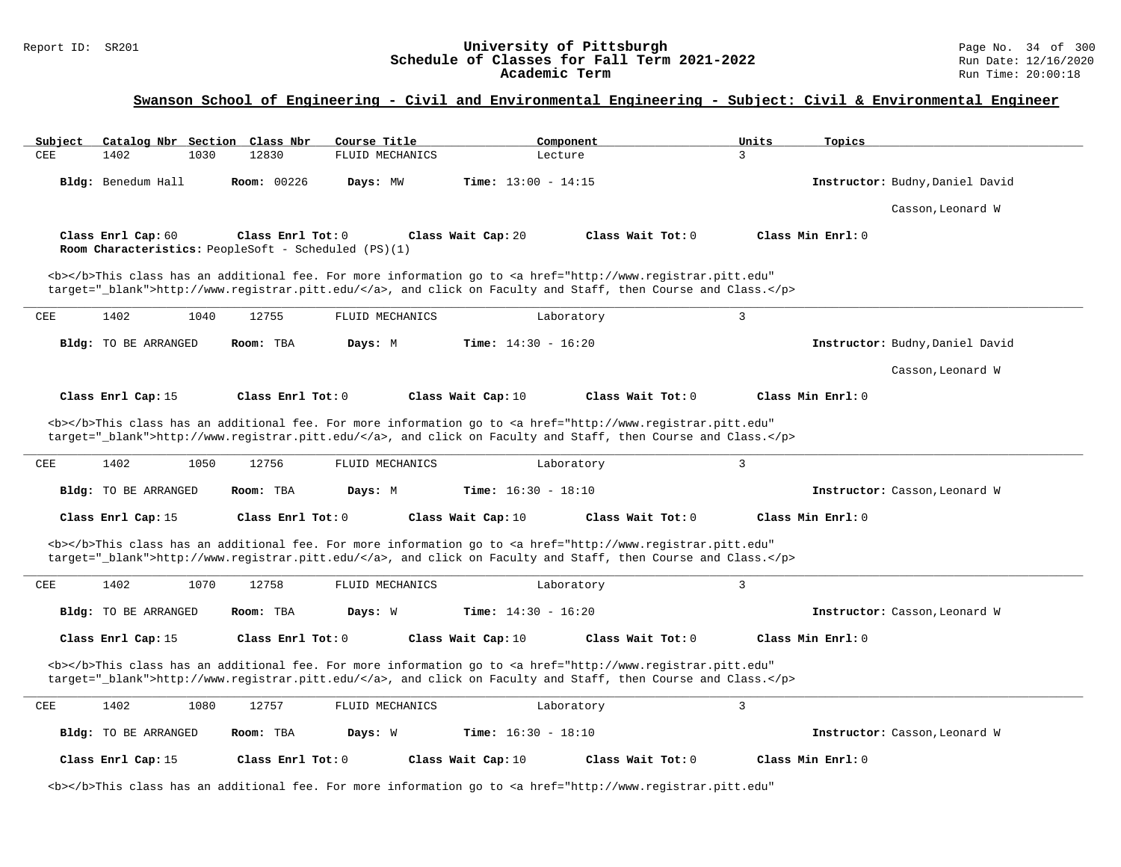# **Swanson School of Engineering - Civil and Environmental Engineering - Subject: Civil & Environmental Engineer**

| Subject    | Catalog Nbr Section Class Nbr |      |                                                                           | Course Title    |                              | Component                                                                                                                                                                                                                          | Units          | Topics                          |
|------------|-------------------------------|------|---------------------------------------------------------------------------|-----------------|------------------------------|------------------------------------------------------------------------------------------------------------------------------------------------------------------------------------------------------------------------------------|----------------|---------------------------------|
| CEE        | 1402                          | 1030 | 12830                                                                     | FLUID MECHANICS |                              | Lecture                                                                                                                                                                                                                            | $\mathcal{L}$  |                                 |
|            | Bldg: Benedum Hall            |      | Room: 00226                                                               | Days: MW        | Time: $13:00 - 14:15$        |                                                                                                                                                                                                                                    |                | Instructor: Budny, Daniel David |
|            |                               |      |                                                                           |                 |                              |                                                                                                                                                                                                                                    |                | Casson, Leonard W               |
|            | Class Enrl Cap: 60            |      | Class Enrl Tot: 0<br>Room Characteristics: PeopleSoft - Scheduled (PS)(1) |                 | Class Wait Cap: 20           | Class Wait Tot: 0                                                                                                                                                                                                                  |                | Class Min Enrl: 0               |
|            |                               |      |                                                                           |                 |                              | <b></b> This class has an additional fee. For more information go to <a <br="" href="http://www.registrar.pitt.edu">target="_blank"&gt;http://www.registrar.pitt.edu/</a> , and click on Faculty and Staff, then Course and Class. |                |                                 |
| CEE        | 1402                          | 1040 | 12755                                                                     | FLUID MECHANICS |                              | Laboratory                                                                                                                                                                                                                         | 3              |                                 |
|            | Bldg: TO BE ARRANGED          |      | Room: TBA                                                                 | Days: M         | <b>Time:</b> $14:30 - 16:20$ |                                                                                                                                                                                                                                    |                | Instructor: Budny, Daniel David |
|            |                               |      |                                                                           |                 |                              |                                                                                                                                                                                                                                    |                | Casson, Leonard W               |
|            | Class Enrl Cap: 15            |      | Class Enrl Tot: 0                                                         |                 | Class Wait Cap: 10           | Class Wait Tot: 0                                                                                                                                                                                                                  |                | Class Min Enrl: 0               |
|            |                               |      |                                                                           |                 |                              | <b></b> This class has an additional fee. For more information go to <a <br="" href="http://www.registrar.pitt.edu">target="_blank"&gt;http://www.registrar.pitt.edu/</a> , and click on Faculty and Staff, then Course and Class. |                |                                 |
| CEE        | 1402                          | 1050 | 12756                                                                     | FLUID MECHANICS |                              | Laboratory                                                                                                                                                                                                                         | $\overline{3}$ |                                 |
|            | Bldg: TO BE ARRANGED          |      | Room: TBA                                                                 | Days: M         | <b>Time:</b> $16:30 - 18:10$ |                                                                                                                                                                                                                                    |                | Instructor: Casson, Leonard W   |
|            | Class Enrl Cap: 15            |      | Class Enrl Tot: 0                                                         |                 | Class Wait Cap: 10           | Class Wait Tot: 0                                                                                                                                                                                                                  |                | Class Min Enrl: 0               |
|            |                               |      |                                                                           |                 |                              | <b></b> This class has an additional fee. For more information go to <a <br="" href="http://www.registrar.pitt.edu">target="_blank"&gt;http://www.registrar.pitt.edu/</a> , and click on Faculty and Staff, then Course and Class. |                |                                 |
| CEE        | 1402                          | 1070 | 12758                                                                     | FLUID MECHANICS |                              | Laboratory                                                                                                                                                                                                                         | $\mathbf{3}$   |                                 |
|            | Bldg: TO BE ARRANGED          |      | Room: TBA                                                                 | Days: W         | <b>Time:</b> $14:30 - 16:20$ |                                                                                                                                                                                                                                    |                | Instructor: Casson, Leonard W   |
|            | Class Enrl Cap: 15            |      | Class Enrl Tot: 0                                                         |                 | Class Wait Cap: 10           | Class Wait Tot: 0                                                                                                                                                                                                                  |                | Class Min Enrl: 0               |
|            |                               |      |                                                                           |                 |                              | <b></b> This class has an additional fee. For more information go to <a <br="" href="http://www.registrar.pitt.edu">target="_blank"&gt;http://www.registrar.pitt.edu/</a> , and click on Faculty and Staff, then Course and Class. |                |                                 |
| <b>CEE</b> | 1402                          | 1080 | 12757                                                                     | FLUID MECHANICS |                              | Laboratory                                                                                                                                                                                                                         | $\overline{3}$ |                                 |
|            | Bldg: TO BE ARRANGED          |      | Room: TBA                                                                 | Days: W         | <b>Time:</b> $16:30 - 18:10$ |                                                                                                                                                                                                                                    |                | Instructor: Casson, Leonard W   |
|            | Class Enrl Cap: 15            |      | Class Enrl Tot: 0                                                         |                 | Class Wait Cap: 10           | Class Wait Tot: 0                                                                                                                                                                                                                  |                | Class Min Enrl: 0               |
|            |                               |      |                                                                           |                 |                              | <b></b> This class has an additional fee. For more information go to <a <="" href="http://www.registrar.pitt.edu" td=""><td></td><td></td></a>                                                                                     |                |                                 |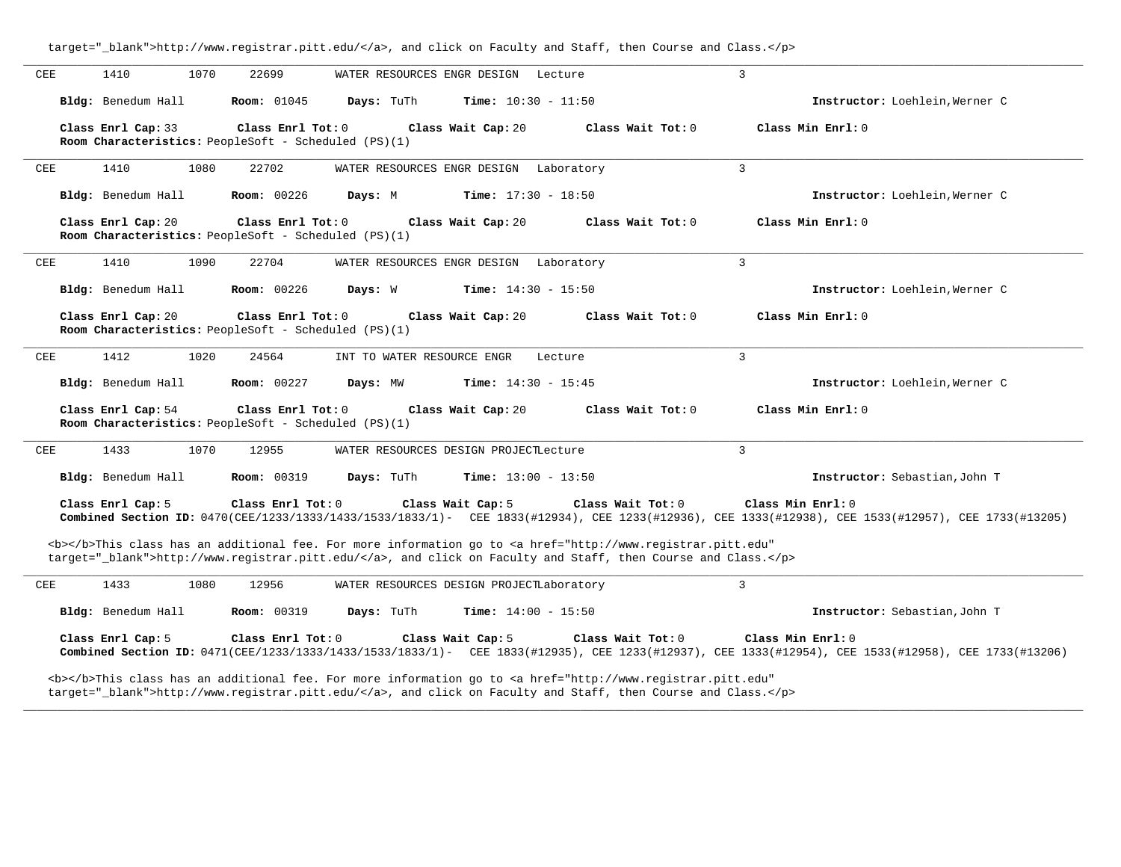| CEE | 1410<br>1070                                                               | 22699              | WATER RESOURCES ENGR DESIGN |                                          | Lecture                                                                                                                                                                                                                            | 3                                                                                                                                                                        |
|-----|----------------------------------------------------------------------------|--------------------|-----------------------------|------------------------------------------|------------------------------------------------------------------------------------------------------------------------------------------------------------------------------------------------------------------------------------|--------------------------------------------------------------------------------------------------------------------------------------------------------------------------|
|     | Bldg: Benedum Hall                                                         | <b>Room:</b> 01045 | Days: TuTh                  | <b>Time:</b> $10:30 - 11:50$             |                                                                                                                                                                                                                                    | Instructor: Loehlein, Werner C                                                                                                                                           |
|     | Class Enrl Cap: 33                                                         | Class Enrl Tot: 0  |                             | Class Wait Cap: 20                       | Class Wait Tot: 0                                                                                                                                                                                                                  | Class Min Enrl: 0                                                                                                                                                        |
|     | Room Characteristics: PeopleSoft - Scheduled (PS)(1)                       |                    |                             |                                          |                                                                                                                                                                                                                                    |                                                                                                                                                                          |
| CEE | 1410<br>1080                                                               | 22702              |                             | WATER RESOURCES ENGR DESIGN Laboratory   |                                                                                                                                                                                                                                    | $\overline{3}$                                                                                                                                                           |
|     | Bldg: Benedum Hall                                                         | <b>Room: 00226</b> | Days: M                     | <b>Time:</b> $17:30 - 18:50$             |                                                                                                                                                                                                                                    | Instructor: Loehlein, Werner C                                                                                                                                           |
|     | Class Enrl Cap: 20<br>Room Characteristics: PeopleSoft - Scheduled (PS)(1) | Class Enrl Tot: 0  |                             | Class Wait Cap: 20                       | Class Wait Tot: 0                                                                                                                                                                                                                  | Class Min Enrl: 0                                                                                                                                                        |
| CEE | 1410<br>1090                                                               | 22704              |                             | WATER RESOURCES ENGR DESIGN Laboratory   |                                                                                                                                                                                                                                    | $\overline{3}$                                                                                                                                                           |
|     | Bldg: Benedum Hall                                                         | <b>Room: 00226</b> | Days: W                     | <b>Time:</b> $14:30 - 15:50$             |                                                                                                                                                                                                                                    | Instructor: Loehlein, Werner C                                                                                                                                           |
|     | Class Enrl Cap: 20<br>Room Characteristics: PeopleSoft - Scheduled (PS)(1) | Class Enrl Tot: 0  |                             | Class Wait Cap: 20                       | Class Wait Tot: 0                                                                                                                                                                                                                  | Class Min Enrl: 0                                                                                                                                                        |
| CEE | 1412<br>1020                                                               | 24564              | INT TO WATER RESOURCE ENGR  |                                          | Lecture                                                                                                                                                                                                                            | $\overline{3}$                                                                                                                                                           |
|     | Bldg: Benedum Hall                                                         | <b>Room: 00227</b> | Days: MW                    | <b>Time:</b> $14:30 - 15:45$             |                                                                                                                                                                                                                                    | Instructor: Loehlein, Werner C                                                                                                                                           |
|     | Class Enrl Cap: 54<br>Room Characteristics: PeopleSoft - Scheduled (PS)(1) | Class Enrl Tot: 0  |                             | Class Wait Cap: 20                       | Class Wait Tot: 0                                                                                                                                                                                                                  | Class Min Enrl: 0                                                                                                                                                        |
| CEE | 1433<br>1070                                                               | 12955              |                             | WATER RESOURCES DESIGN PROJECTLecture    |                                                                                                                                                                                                                                    | $\overline{3}$                                                                                                                                                           |
|     | Bldg: Benedum Hall                                                         | <b>Room: 00319</b> | Days: TuTh                  | <b>Time:</b> $13:00 - 13:50$             |                                                                                                                                                                                                                                    | Instructor: Sebastian, John T                                                                                                                                            |
|     | Class Enrl Cap: 5                                                          | Class Enrl Tot: 0  |                             | Class Wait Cap: 5                        | Class Wait Tot: 0                                                                                                                                                                                                                  | Class Min Enrl: 0<br>Combined Section ID: 0470(CEE/1233/1333/1433/1533/1833/1)- CEE 1833(#12934), CEE 1233(#12936), CEE 1333(#12938), CEE 1533(#12957), CEE 1733(#12957) |
|     |                                                                            |                    |                             |                                          | <b></b> This class has an additional fee. For more information go to <a <br="" href="http://www.registrar.pitt.edu">target="_blank"&gt;http://www.registrar.pitt.edu/</a> , and click on Faculty and Staff, then Course and Class. |                                                                                                                                                                          |
| CEE | 1433<br>1080                                                               | 12956              |                             | WATER RESOURCES DESIGN PROJECTLaboratory |                                                                                                                                                                                                                                    | $\overline{3}$                                                                                                                                                           |
|     | Bldg: Benedum Hall                                                         | <b>Room: 00319</b> | Days: TuTh                  | <b>Time:</b> $14:00 - 15:50$             |                                                                                                                                                                                                                                    | Instructor: Sebastian, John T                                                                                                                                            |
|     | Class Enrl Cap: 5                                                          | Class Enrl Tot: 0  |                             | Class Wait Cap: 5                        | Class Wait Tot: 0                                                                                                                                                                                                                  | Class Min Enrl: 0<br>Combined Section ID: 0471(CEE/1233/1333/1433/1533/1833/1)- CEE 1833(#12935), CEE 1233(#12937), CEE 1333(#12954), CEE 1533(#12958), CEE 1733(#12958) |
|     |                                                                            |                    |                             |                                          | <b></b> This class has an additional fee. For more information go to <a <br="" href="http://www.registrar.pitt.edu">target="_blank"&gt;http://www.registrar.pitt.edu/</a> , and click on Faculty and Staff, then Course and Class. |                                                                                                                                                                          |

**\_\_\_\_\_\_\_\_\_\_\_\_\_\_\_\_\_\_\_\_\_\_\_\_\_\_\_\_\_\_\_\_\_\_\_\_\_\_\_\_\_\_\_\_\_\_\_\_\_\_\_\_\_\_\_\_\_\_\_\_\_\_\_\_\_\_\_\_\_\_\_\_\_\_\_\_\_\_\_\_\_\_\_\_\_\_\_\_\_\_\_\_\_\_\_\_\_\_\_\_\_\_\_\_\_\_\_\_\_\_\_\_\_\_\_\_\_\_\_\_\_\_\_\_\_\_\_\_\_\_\_\_\_\_\_\_\_\_\_\_\_\_\_\_\_\_\_\_\_\_\_\_\_\_\_\_**

target="\_blank">http://www.registrar.pitt.edu/</a>, and click on Faculty and Staff, then Course and Class.</p>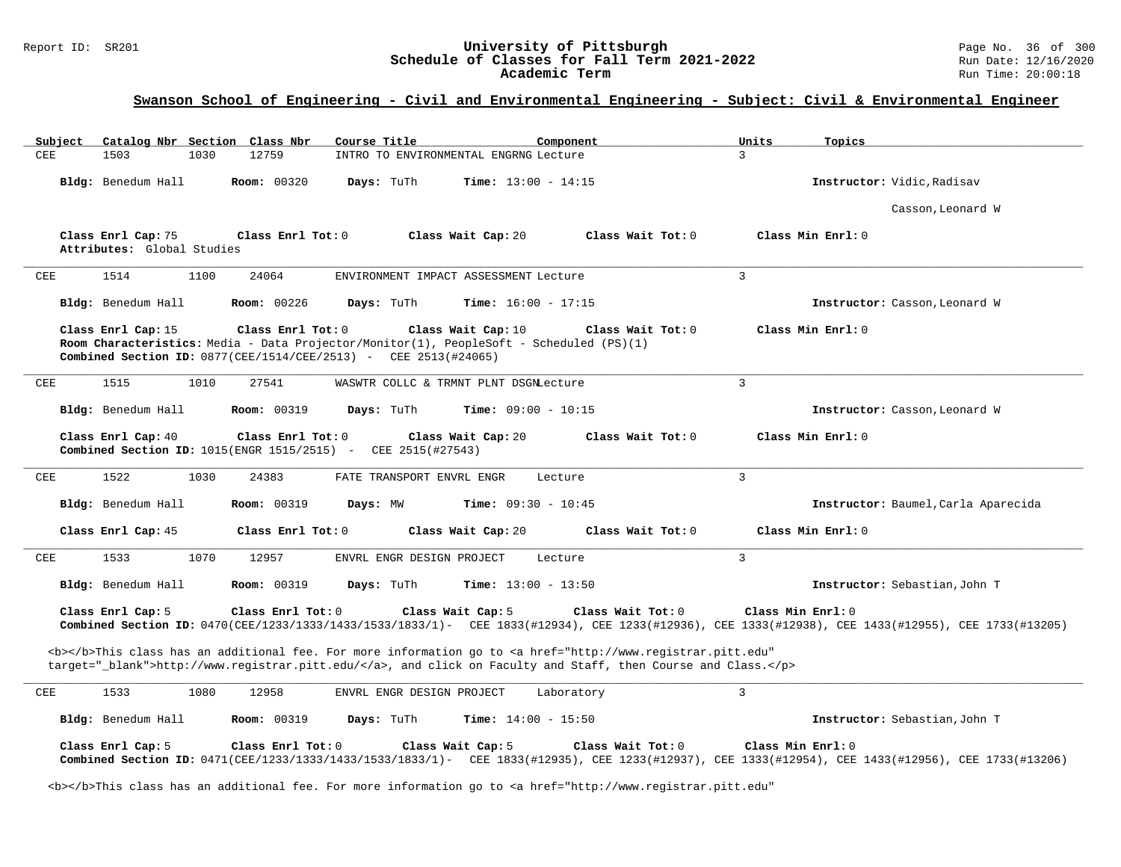# Report ID: SR201 **1988 Constrained Supervisity of Pittsburgh** Page No. 36 of 300 **Classes for Fall Term 2021-2022** Schedule of Classes for Fall Term 2021-2022<br>Academic Term

# **Swanson School of Engineering - Civil and Environmental Engineering - Subject: Civil & Environmental Engineer**

| Catalog Nbr Section Class Nbr<br>Subject                                                                   | Course Title<br>Component                                                                                                                                                                                                          | Units<br>Topics                     |
|------------------------------------------------------------------------------------------------------------|------------------------------------------------------------------------------------------------------------------------------------------------------------------------------------------------------------------------------------|-------------------------------------|
| <b>CEE</b><br>1503<br>1030<br>12759                                                                        | INTRO TO ENVIRONMENTAL ENGRNG Lecture                                                                                                                                                                                              | 3                                   |
| Bldg: Benedum Hall<br><b>Room: 00320</b>                                                                   | Days: TuTh<br><b>Time:</b> $13:00 - 14:15$                                                                                                                                                                                         | Instructor: Vidic, Radisav          |
|                                                                                                            |                                                                                                                                                                                                                                    | Casson, Leonard W                   |
| Class Enrl Cap: 75<br>Class Enrl Tot: 0<br>Attributes: Global Studies                                      | Class Wait Cap: 20<br>Class Wait Tot: 0                                                                                                                                                                                            | Class Min Enrl: 0                   |
| CEE<br>1514<br>1100<br>24064                                                                               | ENVIRONMENT IMPACT ASSESSMENT Lecture                                                                                                                                                                                              | $\overline{3}$                      |
| Bldg: Benedum Hall<br><b>Room: 00226</b>                                                                   | Days: TuTh<br>Time: $16:00 - 17:15$                                                                                                                                                                                                | Instructor: Casson, Leonard W       |
| Class Enrl Cap: 15<br>Class Enrl Tot: 0<br>Combined Section ID: 0877(CEE/1514/CEE/2513) - CEE 2513(#24065) | Class Wait Cap: 10<br>Class Wait Tot: 0<br>Room Characteristics: Media - Data Projector/Monitor(1), PeopleSoft - Scheduled (PS)(1)                                                                                                 | Class Min Enrl: 0                   |
| 1515<br>1010<br>27541<br>CEE                                                                               | WASWTR COLLC & TRMNT PLNT DSGNLecture                                                                                                                                                                                              | $\overline{3}$                      |
| Bldg: Benedum Hall<br><b>Room: 00319</b>                                                                   | Days: TuTh<br><b>Time:</b> $09:00 - 10:15$                                                                                                                                                                                         | Instructor: Casson, Leonard W       |
| Class Enrl Cap: 40<br>Class Enrl Tot: 0<br>Combined Section ID: 1015(ENGR 1515/2515) -                     | Class Wait Cap: 20<br>Class Wait Tot: 0<br>CEE 2515(#27543)                                                                                                                                                                        | Class Min Enrl: 0                   |
| CEE<br>1522<br>1030<br>24383                                                                               | FATE TRANSPORT ENVRL ENGR<br>Lecture                                                                                                                                                                                               | 3                                   |
| Bldg: Benedum Hall<br><b>Room: 00319</b>                                                                   | Time: $09:30 - 10:45$<br>Days: MW                                                                                                                                                                                                  | Instructor: Baumel, Carla Aparecida |
| Class Enrl Cap: 45<br>Class Enrl Tot: 0                                                                    | Class Wait Cap: 20<br>Class Wait Tot: 0                                                                                                                                                                                            | Class Min Enrl: 0                   |
| 1533<br>1070<br>12957<br>CEE                                                                               | ENVRL ENGR DESIGN PROJECT<br>Lecture                                                                                                                                                                                               | $\overline{3}$                      |
| Bldg: Benedum Hall<br><b>Room: 00319</b>                                                                   | Days: TuTh<br><b>Time:</b> $13:00 - 13:50$                                                                                                                                                                                         | Instructor: Sebastian, John T       |
| Class Enrl Cap: 5<br>Class Enrl Tot: 0                                                                     | Class Wait Cap: 5<br>Class Wait Tot: 0<br>Combined Section ID: 0470(CEE/1233/1333/1433/1533/1833/1)- CEE 1833(#12934), CEE 1233(#12936), CEE 1333(#12938), CEE 1433(#12955), CEE 1733(#12205)                                      | Class Min Enrl: 0                   |
|                                                                                                            | <b></b> This class has an additional fee. For more information go to <a <br="" href="http://www.registrar.pitt.edu">target="_blank"&gt;http://www.registrar.pitt.edu/</a> , and click on Faculty and Staff, then Course and Class. |                                     |
| <b>CEE</b><br>1533<br>1080<br>12958                                                                        | ENVRL ENGR DESIGN PROJECT<br>Laboratory                                                                                                                                                                                            | $\mathbf{3}$                        |
| Bldg: Benedum Hall<br><b>Room: 00319</b>                                                                   | Time: $14:00 - 15:50$<br>Days: TuTh                                                                                                                                                                                                | Instructor: Sebastian, John T       |
| Class Enrl Cap: 5<br>Class Enrl Tot: 0                                                                     | Class Wait Cap: 5<br>Class Wait Tot: 0<br>Combined Section ID: 0471(CEE/1233/1333/1433/1533/1833/1)- CEE 1833(#12935), CEE 1233(#12937), CEE 1333(#12954), CEE 1433(#12956), CEE 1733(#12206)                                      | Class Min Enrl: 0                   |

<b></b>This class has an additional fee. For more information go to <a href="http://www.registrar.pitt.edu"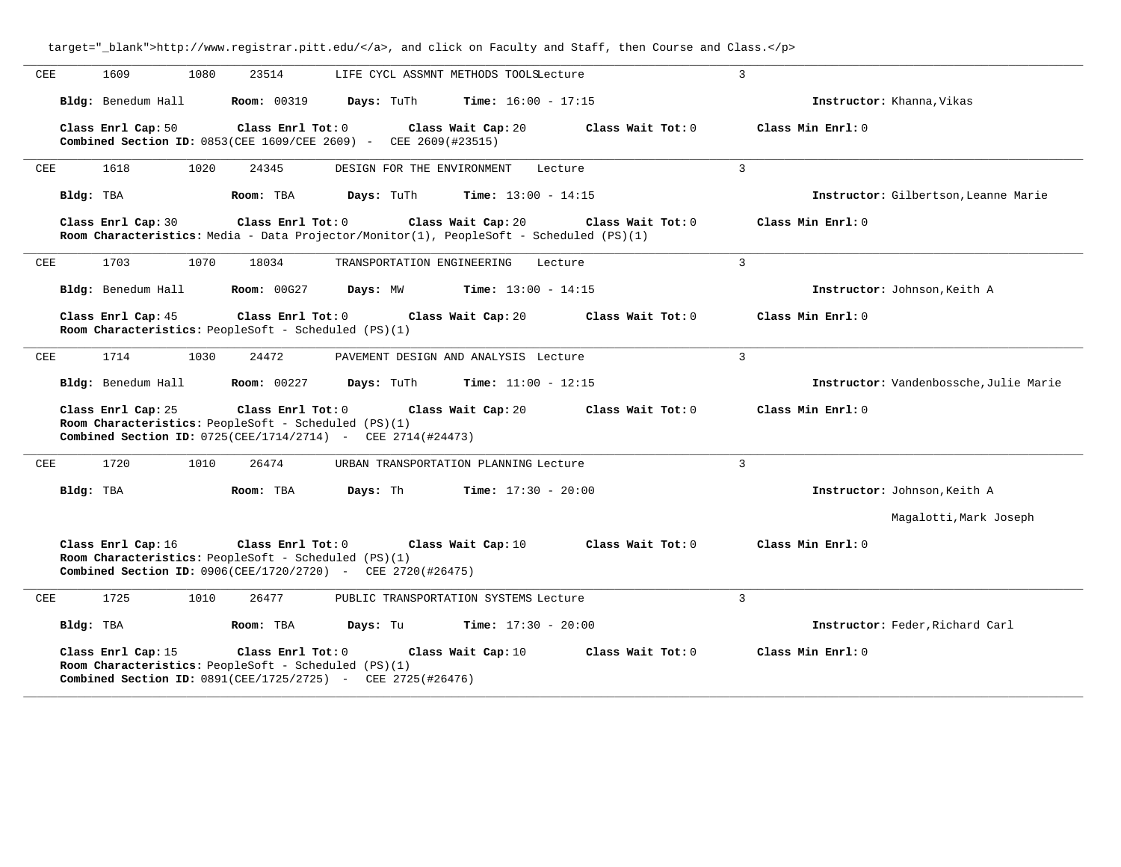| CEE<br>1609<br>1080<br>23514                                                                                                                         | LIFE CYCL ASSMNT METHODS TOOLSLecture                                                                                              | 3                                      |
|------------------------------------------------------------------------------------------------------------------------------------------------------|------------------------------------------------------------------------------------------------------------------------------------|----------------------------------------|
| Bldg: Benedum Hall<br><b>Room: 00319</b>                                                                                                             | Days: TuTh<br><b>Time:</b> $16:00 - 17:15$                                                                                         | Instructor: Khanna, Vikas              |
| Class Enrl Cap: 50                                                                                                                                   | Class Enrl Tot: 0<br>Class Wait Cap: 20<br><b>Combined Section ID: 0853(CEE 1609/CEE 2609) - CEE 2609(#23515)</b>                  | Class Wait Tot: 0<br>Class Min Enrl: 0 |
| <b>CEE</b><br>1618<br>1020<br>24345                                                                                                                  | DESIGN FOR THE ENVIRONMENT<br>Lecture                                                                                              | 3                                      |
| Bldg: TBA<br>Room: TBA                                                                                                                               | <b>Time:</b> $13:00 - 14:15$<br>Days: TuTh                                                                                         | Instructor: Gilbertson, Leanne Marie   |
| Class Enrl Cap: 30                                                                                                                                   | Class Enrl Tot: 0<br>Class Wait Cap: 20<br>Room Characteristics: Media - Data Projector/Monitor(1), PeopleSoft - Scheduled (PS)(1) | Class Wait Tot: 0<br>Class Min Enrl: 0 |
| 1703<br>1070<br>18034<br>CEE                                                                                                                         | TRANSPORTATION ENGINEERING<br>Lecture                                                                                              | 3                                      |
| Bldg: Benedum Hall<br>Room: 00G27                                                                                                                    | Days: MW<br><b>Time:</b> $13:00 - 14:15$                                                                                           | Instructor: Johnson, Keith A           |
| Class Enrl Cap: 45<br>Room Characteristics: PeopleSoft - Scheduled (PS)(1)                                                                           | Class Enrl Tot: 0<br>Class Wait Cap: 20                                                                                            | Class Wait Tot: 0<br>Class Min Enrl: 0 |
| 1714<br>24472<br><b>CEE</b><br>1030                                                                                                                  | PAVEMENT DESIGN AND ANALYSIS Lecture                                                                                               | 3                                      |
| Bldg: Benedum Hall<br><b>Room: 00227</b>                                                                                                             | Days: TuTh<br><b>Time:</b> $11:00 - 12:15$                                                                                         | Instructor: Vandenbossche, Julie Marie |
| Class Enrl Cap: 25<br>Room Characteristics: PeopleSoft - Scheduled (PS)(1)<br><b>Combined Section ID:</b> $0725(CEE/1714/2714)$ - CEE $2714(#24473)$ | Class Enrl Tot: 0<br>Class Wait Cap: 20                                                                                            | Class Min Enrl: 0<br>Class Wait Tot: 0 |
| <b>CEE</b><br>1720<br>1010<br>26474                                                                                                                  | URBAN TRANSPORTATION PLANNING Lecture                                                                                              | 3                                      |
| Bldg: TBA<br>Room: TBA                                                                                                                               | Days: Th<br><b>Time:</b> $17:30 - 20:00$                                                                                           | Instructor: Johnson, Keith A           |
|                                                                                                                                                      |                                                                                                                                    | Magalotti, Mark Joseph                 |
| Class Enrl Cap: 16<br>Room Characteristics: PeopleSoft - Scheduled (PS)(1)<br><b>Combined Section ID:</b> 0906(CEE/1720/2720) - CEE 2720(#26475)     | Class Enrl Tot: 0<br>Class Wait Cap: 10                                                                                            | Class Wait Tot: 0<br>Class Min Enrl: 0 |
| 1725<br>1010<br>CEE<br>26477                                                                                                                         | PUBLIC TRANSPORTATION SYSTEMS Lecture                                                                                              | 3                                      |
| Bldg: TBA<br>Room: TBA                                                                                                                               | <b>Time:</b> $17:30 - 20:00$<br>Days: Tu                                                                                           | Instructor: Feder, Richard Carl        |
| Class Enrl Cap: 15<br>Room Characteristics: PeopleSoft - Scheduled (PS)(1)<br>Combined Section ID: 0891(CEE/1725/2725) - CEE 2725(#26476)            | Class Enrl Tot: 0<br>Class Wait Cap: 10                                                                                            | Class Wait Tot: 0<br>Class Min Enrl: 0 |

**\_\_\_\_\_\_\_\_\_\_\_\_\_\_\_\_\_\_\_\_\_\_\_\_\_\_\_\_\_\_\_\_\_\_\_\_\_\_\_\_\_\_\_\_\_\_\_\_\_\_\_\_\_\_\_\_\_\_\_\_\_\_\_\_\_\_\_\_\_\_\_\_\_\_\_\_\_\_\_\_\_\_\_\_\_\_\_\_\_\_\_\_\_\_\_\_\_\_\_\_\_\_\_\_\_\_\_\_\_\_\_\_\_\_\_\_\_\_\_\_\_\_\_\_\_\_\_\_\_\_\_\_\_\_\_\_\_\_\_\_\_\_\_\_\_\_\_\_\_\_\_\_\_\_\_\_**

target="\_blank">http://www.registrar.pitt.edu/</a>, and click on Faculty and Staff, then Course and Class.</p>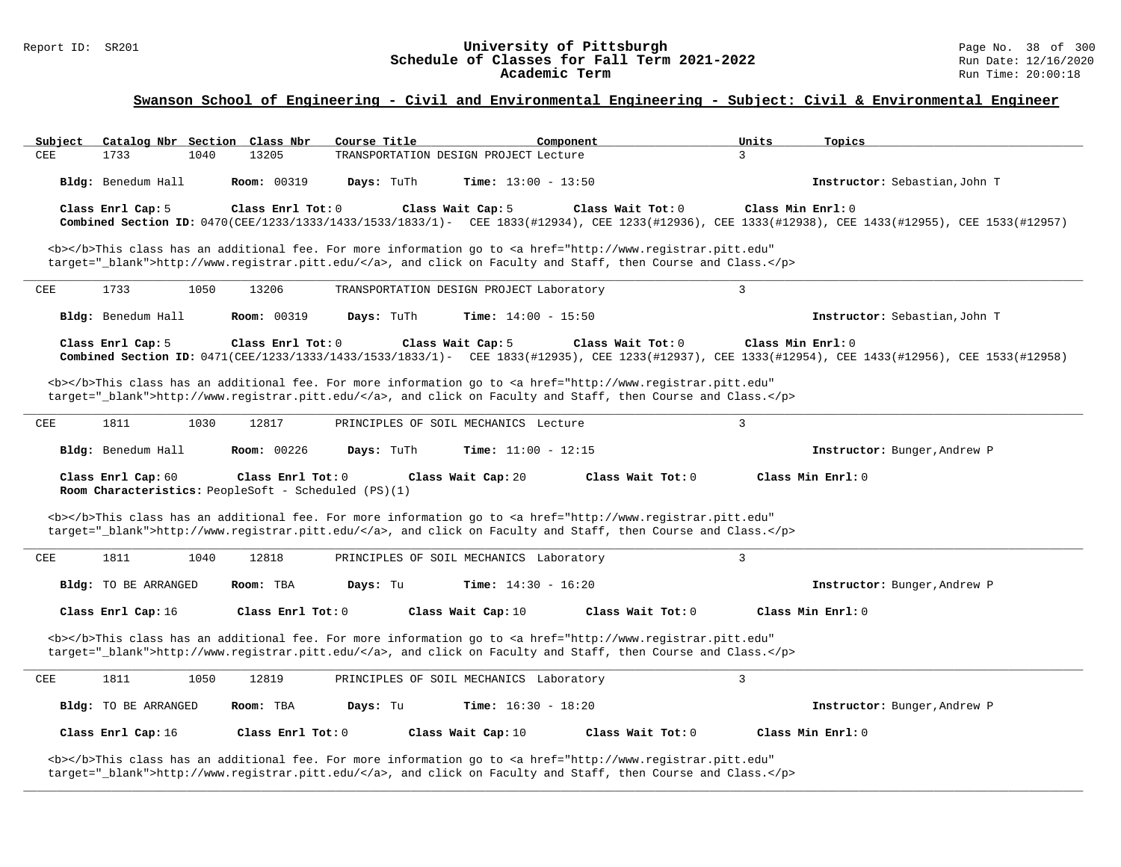#### Report ID: SR201 **University of Pittsburgh** Page No. 38 of 300 **Schedule of Classes for Fall Term 2021-2022** Run Date: 12/16/2020 **Academic Term** Run Time: 20:00:18

### **Swanson School of Engineering - Civil and Environmental Engineering - Subject: Civil & Environmental Engineer**

| Subject | Catalog Nbr Section Class Nbr                                              |                     | Course Title |                                          | Component                                                                                                                                                                                                                                                                                                                               | Units             | Topics                                                                                                                                              |
|---------|----------------------------------------------------------------------------|---------------------|--------------|------------------------------------------|-----------------------------------------------------------------------------------------------------------------------------------------------------------------------------------------------------------------------------------------------------------------------------------------------------------------------------------------|-------------------|-----------------------------------------------------------------------------------------------------------------------------------------------------|
| CEE     | 1733<br>1040                                                               | 13205               |              | TRANSPORTATION DESIGN PROJECT Lecture    |                                                                                                                                                                                                                                                                                                                                         | 3                 |                                                                                                                                                     |
|         | Bldg: Benedum Hall                                                         | <b>Room: 00319</b>  | Days: TuTh   | <b>Time:</b> $13:00 - 13:50$             |                                                                                                                                                                                                                                                                                                                                         |                   | Instructor: Sebastian, John T                                                                                                                       |
|         | Class Enrl Cap: 5                                                          | Class Enrl Tot: 0   |              | Class Wait Cap: 5                        | Class Wait Tot: 0<br><b></b> This class has an additional fee. For more information go to <a <="" href="http://www.registrar.pitt.edu" td=""><td>Class Min Enrl: 0</td><td>Combined Section ID: 0470(CEE/1233/1333/1433/1533/1833/1)- CEE 1833(#12934), CEE 1233(#12936), CEE 1333(#12938), CEE 1433(#12955), CEE 1533(#12957)</td></a> | Class Min Enrl: 0 | Combined Section ID: 0470(CEE/1233/1333/1433/1533/1833/1)- CEE 1833(#12934), CEE 1233(#12936), CEE 1333(#12938), CEE 1433(#12955), CEE 1533(#12957) |
|         |                                                                            |                     |              |                                          | target="_blank">http://www.registrar.pitt.edu/, and click on Faculty and Staff, then Course and Class.                                                                                                                                                                                                                                  |                   |                                                                                                                                                     |
| CEE     | 1733<br>1050                                                               | 13206               |              | TRANSPORTATION DESIGN PROJECT Laboratory |                                                                                                                                                                                                                                                                                                                                         | $\mathbf{3}$      |                                                                                                                                                     |
|         | Bldg: Benedum Hall                                                         | <b>Room: 00319</b>  | Days: TuTh   | <b>Time:</b> $14:00 - 15:50$             |                                                                                                                                                                                                                                                                                                                                         |                   | Instructor: Sebastian, John T                                                                                                                       |
|         | Class Enrl Cap: 5                                                          | Class Enrl Tot: 0   |              | Class Wait Cap: 5                        | Class Wait Tot: 0                                                                                                                                                                                                                                                                                                                       |                   | Class Min Enrl: 0                                                                                                                                   |
|         |                                                                            |                     |              |                                          |                                                                                                                                                                                                                                                                                                                                         |                   | Combined Section ID: 0471(CEE/1233/1333/1433/1533/1833/1)- CEE 1833(#12935), CEE 1233(#12937), CEE 1333(#12954), CEE 1433(#12956), CEE 1533(#12956) |
|         |                                                                            |                     |              |                                          | <b></b> This class has an additional fee. For more information go to <a <br="" href="http://www.registrar.pitt.edu">target="_blank"&gt;http://www.registrar.pitt.edu/</a> , and click on Faculty and Staff, then Course and Class.                                                                                                      |                   |                                                                                                                                                     |
| CEE     | 1811<br>1030                                                               | 12817               |              | PRINCIPLES OF SOIL MECHANICS Lecture     |                                                                                                                                                                                                                                                                                                                                         | $\overline{3}$    |                                                                                                                                                     |
|         | Bldg: Benedum Hall                                                         | Room: 00226         | Days: TuTh   | Time: $11:00 - 12:15$                    |                                                                                                                                                                                                                                                                                                                                         |                   | Instructor: Bunger, Andrew P                                                                                                                        |
|         | Class Enrl Cap: 60<br>Room Characteristics: PeopleSoft - Scheduled (PS)(1) | Class Enrl Tot: $0$ |              | Class Wait Cap: 20                       | Class Wait Tot: 0                                                                                                                                                                                                                                                                                                                       |                   | Class Min Enrl: 0                                                                                                                                   |
|         |                                                                            |                     |              |                                          | <b></b> This class has an additional fee. For more information go to <a <br="" href="http://www.registrar.pitt.edu">target="_blank"&gt;http://www.registrar.pitt.edu/</a> , and click on Faculty and Staff, then Course and Class.                                                                                                      |                   |                                                                                                                                                     |
| CEE     | 1811<br>1040                                                               | 12818               |              | PRINCIPLES OF SOIL MECHANICS Laboratory  |                                                                                                                                                                                                                                                                                                                                         | $\mathbf{3}$      |                                                                                                                                                     |
|         | <b>Bldg:</b> TO BE ARRANGED                                                | Room: TBA           | Days: Tu     | <b>Time:</b> $14:30 - 16:20$             |                                                                                                                                                                                                                                                                                                                                         |                   | Instructor: Bunger, Andrew P                                                                                                                        |
|         | Class Enrl Cap: 16                                                         | Class Enrl Tot: 0   |              | Class Wait Cap: 10                       | Class Wait Tot: 0                                                                                                                                                                                                                                                                                                                       |                   | Class Min Enrl: 0                                                                                                                                   |
|         |                                                                            |                     |              |                                          | <b></b> This class has an additional fee. For more information go to <a <br="" href="http://www.registrar.pitt.edu">target="_blank"&gt;http://www.registrar.pitt.edu/</a> , and click on Faculty and Staff, then Course and Class.                                                                                                      |                   |                                                                                                                                                     |
| CEE     | 1811<br>1050                                                               | 12819               |              | PRINCIPLES OF SOIL MECHANICS Laboratory  |                                                                                                                                                                                                                                                                                                                                         | 3                 |                                                                                                                                                     |
|         | Bldg: TO BE ARRANGED                                                       | Room: TBA           | Days: Tu     | <b>Time:</b> $16:30 - 18:20$             |                                                                                                                                                                                                                                                                                                                                         |                   | Instructor: Bunger, Andrew P                                                                                                                        |
|         | Class Enrl Cap: 16                                                         | Class Enrl Tot: 0   |              | Class Wait Cap: 10                       | Class Wait Tot: 0                                                                                                                                                                                                                                                                                                                       |                   | Class Min Enrl: 0                                                                                                                                   |
|         |                                                                            |                     |              |                                          | <b></b> This class has an additional fee. For more information go to <a <br="" href="http://www.registrar.pitt.edu">target="_blank"&gt;http://www.registrar.pitt.edu/</a> , and click on Faculty and Staff, then Course and Class.                                                                                                      |                   |                                                                                                                                                     |

**\_\_\_\_\_\_\_\_\_\_\_\_\_\_\_\_\_\_\_\_\_\_\_\_\_\_\_\_\_\_\_\_\_\_\_\_\_\_\_\_\_\_\_\_\_\_\_\_\_\_\_\_\_\_\_\_\_\_\_\_\_\_\_\_\_\_\_\_\_\_\_\_\_\_\_\_\_\_\_\_\_\_\_\_\_\_\_\_\_\_\_\_\_\_\_\_\_\_\_\_\_\_\_\_\_\_\_\_\_\_\_\_\_\_\_\_\_\_\_\_\_\_\_\_\_\_\_\_\_\_\_\_\_\_\_\_\_\_\_\_\_\_\_\_\_\_\_\_\_\_\_\_\_\_\_\_**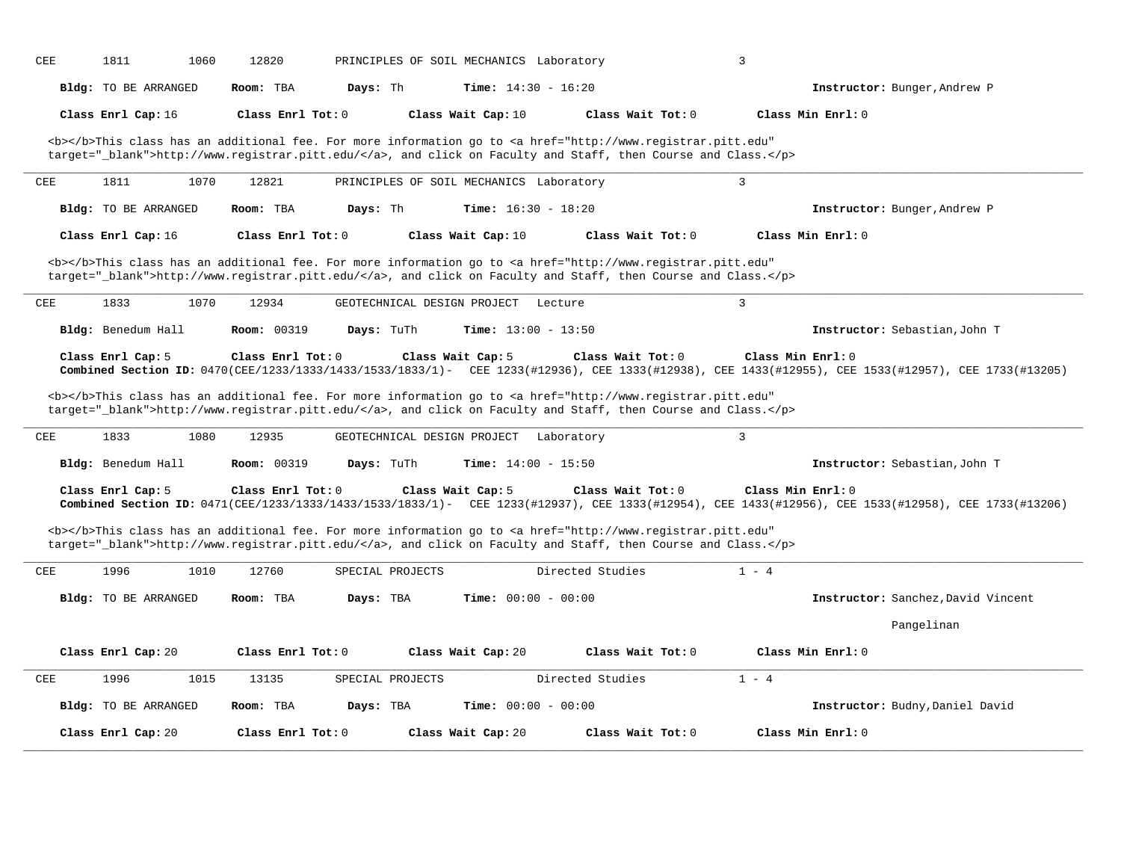| CEE | 1811                        | 1060 | 12820               |            |                  | PRINCIPLES OF SOIL MECHANICS Laboratory |            |                                                                                                                                                                                                                                    | 3              |                                                                                                                                                                           |
|-----|-----------------------------|------|---------------------|------------|------------------|-----------------------------------------|------------|------------------------------------------------------------------------------------------------------------------------------------------------------------------------------------------------------------------------------------|----------------|---------------------------------------------------------------------------------------------------------------------------------------------------------------------------|
|     | <b>Bldg:</b> TO BE ARRANGED |      | Room: TBA           | Days: Th   |                  | <b>Time:</b> $14:30 - 16:20$            |            |                                                                                                                                                                                                                                    |                | Instructor: Bunger, Andrew P                                                                                                                                              |
|     | Class Enrl Cap: 16          |      | Class Enrl Tot: $0$ |            |                  | Class Wait Cap: 10                      |            | Class Wait Tot: 0                                                                                                                                                                                                                  |                | Class Min Enrl: 0                                                                                                                                                         |
|     |                             |      |                     |            |                  |                                         |            | <b></b> This class has an additional fee. For more information go to <a <br="" href="http://www.registrar.pitt.edu">target="_blank"&gt;http://www.registrar.pitt.edu/</a> , and click on Faculty and Staff, then Course and Class. |                |                                                                                                                                                                           |
| CEE | 1811                        | 1070 | 12821               |            |                  | PRINCIPLES OF SOIL MECHANICS Laboratory |            |                                                                                                                                                                                                                                    | 3              |                                                                                                                                                                           |
|     | <b>Bldg:</b> TO BE ARRANGED |      | Room: TBA           | Days: Th   |                  | <b>Time:</b> $16:30 - 18:20$            |            |                                                                                                                                                                                                                                    |                | Instructor: Bunger, Andrew P                                                                                                                                              |
|     | Class Enrl Cap: 16          |      | Class Enrl Tot: 0   |            |                  | Class Wait Cap: 10                      |            | Class Wait Tot: 0                                                                                                                                                                                                                  |                | Class Min Enrl: 0                                                                                                                                                         |
|     |                             |      |                     |            |                  |                                         |            | <b></b> This class has an additional fee. For more information go to <a <br="" href="http://www.registrar.pitt.edu">target="_blank"&gt;http://www.registrar.pitt.edu/</a> , and click on Faculty and Staff, then Course and Class. |                |                                                                                                                                                                           |
| CEE | 1833                        | 1070 | 12934               |            |                  | GEOTECHNICAL DESIGN PROJECT             | Lecture    |                                                                                                                                                                                                                                    | $\overline{3}$ |                                                                                                                                                                           |
|     | Bldg: Benedum Hall          |      | <b>Room: 00319</b>  | Days: TuTh |                  | Time: $13:00 - 13:50$                   |            |                                                                                                                                                                                                                                    |                | Instructor: Sebastian, John T                                                                                                                                             |
|     | Class Enrl Cap: 5           |      | Class Enrl Tot: $0$ |            |                  | Class Wait Cap: 5                       |            | Class Wait Tot: 0                                                                                                                                                                                                                  |                | Class Min Enrl: 0<br>Combined Section ID: 0470(CEE/1233/1333/1433/1533/1833/1)- CEE 1233(#12936), CEE 1333(#12938), CEE 1433(#12955), CEE 1533(#12957), CEE 1733(#12205)  |
|     |                             |      |                     |            |                  |                                         |            | <b></b> This class has an additional fee. For more information go to <a <br="" href="http://www.registrar.pitt.edu">target="_blank"&gt;http://www.registrar.pitt.edu/</a> , and click on Faculty and Staff, then Course and Class. |                |                                                                                                                                                                           |
| CEE | 1833                        | 1080 | 12935               |            |                  | GEOTECHNICAL DESIGN PROJECT             | Laboratory |                                                                                                                                                                                                                                    | $\overline{3}$ |                                                                                                                                                                           |
|     | Bldg: Benedum Hall          |      | <b>Room: 00319</b>  | Days: TuTh |                  | Time: $14:00 - 15:50$                   |            |                                                                                                                                                                                                                                    |                | Instructor: Sebastian, John T                                                                                                                                             |
|     | Class Enrl Cap: 5           |      | Class Enrl Tot: 0   |            |                  | Class Wait Cap: 5                       |            | Class Wait Tot: 0                                                                                                                                                                                                                  |                | Class Min Enrl: 0<br>Combined Section ID: 0471(CEE/1233/1333/1433/1533/1833/1)- CEE 1233(#12937), CEE 1333(#12954), CEE 1433(#12956), CEE 1533(#12958), CEE 1733(#122058) |
|     |                             |      |                     |            |                  |                                         |            | <b></b> This class has an additional fee. For more information go to <a <br="" href="http://www.registrar.pitt.edu">target="_blank"&gt;http://www.registrar.pitt.edu/</a> , and click on Faculty and Staff, then Course and Class. |                |                                                                                                                                                                           |
| CEE | 1996                        | 1010 | 12760               |            | SPECIAL PROJECTS |                                         |            | Directed Studies                                                                                                                                                                                                                   | $1 - 4$        |                                                                                                                                                                           |
|     | Bldg: TO BE ARRANGED        |      | Room: TBA           | Days: TBA  |                  | Time: $00:00 - 00:00$                   |            |                                                                                                                                                                                                                                    |                | Instructor: Sanchez, David Vincent                                                                                                                                        |
|     |                             |      |                     |            |                  |                                         |            |                                                                                                                                                                                                                                    |                | Pangelinan                                                                                                                                                                |
|     | Class Enrl Cap: 20          |      | Class Enrl Tot: 0   |            |                  | Class Wait Cap: 20                      |            | Class Wait Tot: 0                                                                                                                                                                                                                  |                | Class Min Enrl: 0                                                                                                                                                         |
| CEE | 1996                        | 1015 | 13135               |            | SPECIAL PROJECTS |                                         |            | Directed Studies                                                                                                                                                                                                                   | $1 - 4$        |                                                                                                                                                                           |
|     | Bldg: TO BE ARRANGED        |      | Room: TBA           | Days: TBA  |                  | Time: $00:00 - 00:00$                   |            |                                                                                                                                                                                                                                    |                | Instructor: Budny, Daniel David                                                                                                                                           |
|     | Class Enrl Cap: 20          |      | Class $Enr1 Tot: 0$ |            |                  | Class Wait Cap: 20                      |            | Class Wait Tot: 0                                                                                                                                                                                                                  |                | Class Min Enrl: 0                                                                                                                                                         |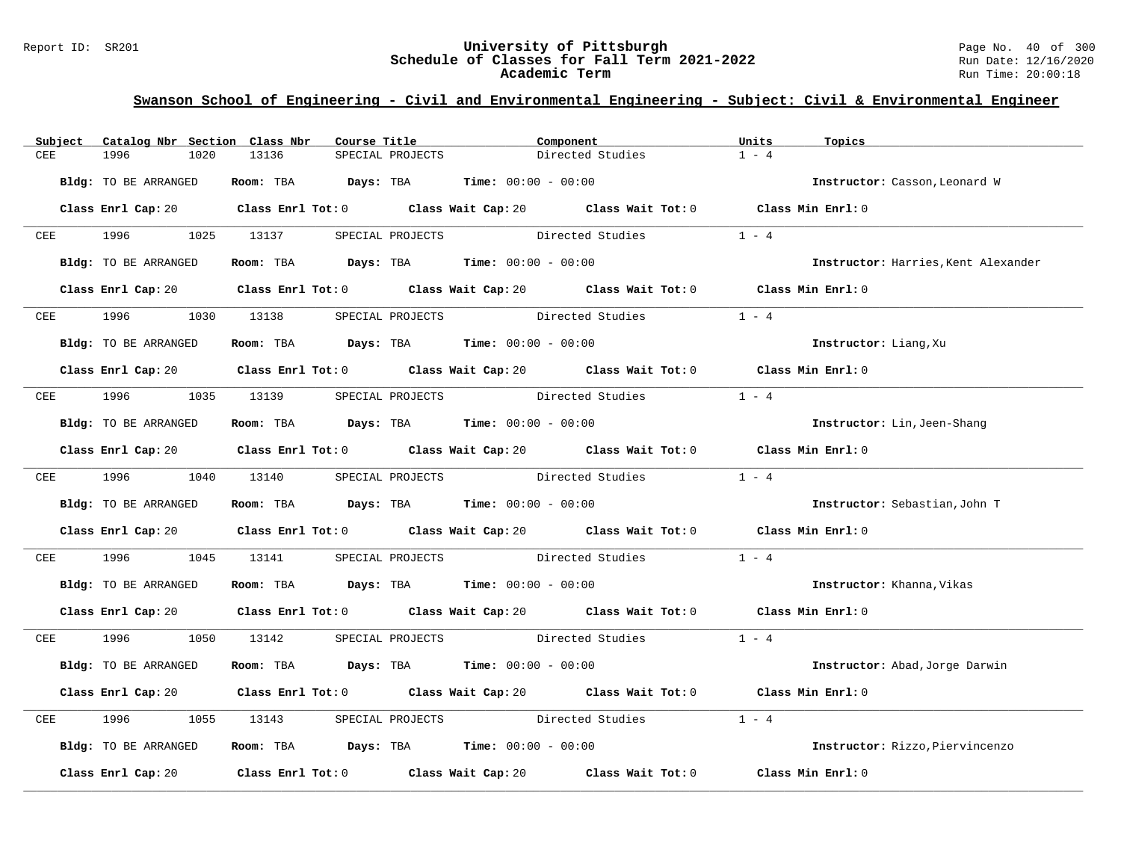#### Report ID: SR201 **University of Pittsburgh** Page No. 40 of 300 **Schedule of Classes for Fall Term 2021-2022** Run Date: 12/16/2020 **Academic Term** Run Time: 20:00:18

| Subject                  | Catalog Nbr Section Class Nbr | Course Title                                                                          |                                   | Component                                                                                                                       | Units<br>Topics           |                                     |
|--------------------------|-------------------------------|---------------------------------------------------------------------------------------|-----------------------------------|---------------------------------------------------------------------------------------------------------------------------------|---------------------------|-------------------------------------|
| CEE                      | 1996<br>1020                  | 13136                                                                                 | SPECIAL PROJECTS                  | Directed Studies                                                                                                                | $1 - 4$                   |                                     |
|                          | Bldg: TO BE ARRANGED          | Room: TBA $Days:$ TBA $Time: 00:00 - 00:00$                                           |                                   |                                                                                                                                 |                           | Instructor: Casson, Leonard W       |
|                          |                               |                                                                                       |                                   | Class Enrl Cap: 20 $\qquad$ Class Enrl Tot: 0 $\qquad$ Class Wait Cap: 20 $\qquad$ Class Wait Tot: 0 $\qquad$ Class Min Enrl: 0 |                           |                                     |
|                          |                               | CEE 1996 1025 13137 SPECIAL PROJECTS Directed Studies                                 |                                   |                                                                                                                                 | $1 - 4$                   |                                     |
|                          | Bldg: TO BE ARRANGED          | Room: TBA $Days:$ TBA $Time: 00:00 - 00:00$                                           |                                   |                                                                                                                                 |                           | Instructor: Harries, Kent Alexander |
|                          |                               |                                                                                       |                                   | Class Enrl Cap: 20 Class Enrl Tot: 0 Class Wait Cap: 20 Class Wait Tot: 0 Class Min Enrl: 0                                     |                           |                                     |
| $CEE$ and $CEE$ and $SE$ | 1996                          | 1030 13138                                                                            | SPECIAL PROJECTS Directed Studies |                                                                                                                                 | $1 - 4$                   |                                     |
|                          | Bldg: TO BE ARRANGED          | Room: TBA $Days:$ TBA $Time: 00:00 - 00:00$                                           |                                   |                                                                                                                                 | Instructor: Liang, Xu     |                                     |
|                          |                               |                                                                                       |                                   | Class Enrl Cap: 20 Class Enrl Tot: 0 Class Wait Cap: 20 Class Wait Tot: 0 Class Min Enrl: 0                                     |                           |                                     |
| CEE                      |                               | 1996 1035 13139 SPECIAL PROJECTS Directed Studies                                     |                                   |                                                                                                                                 | $1 - 4$                   |                                     |
|                          | Bldg: TO BE ARRANGED          | Room: TBA $Days:$ TBA $Time:$ $00:00 - 00:00$                                         |                                   |                                                                                                                                 |                           | Instructor: Lin, Jeen-Shang         |
|                          |                               |                                                                                       |                                   | Class Enrl Cap: 20 Class Enrl Tot: 0 Class Wait Cap: 20 Class Wait Tot: 0 Class Min Enrl: 0                                     |                           |                                     |
|                          | CEE 1996 1040 13140           |                                                                                       |                                   | SPECIAL PROJECTS Directed Studies                                                                                               | $1 - 4$                   |                                     |
|                          | Bldg: TO BE ARRANGED          | Room: TBA $\rule{1em}{0.15mm}$ Days: TBA $\rule{1.5mm}{0.15mm}$ Time: $00:00 - 00:00$ |                                   |                                                                                                                                 |                           | Instructor: Sebastian, John T       |
|                          |                               |                                                                                       |                                   | Class Enrl Cap: 20 Class Enrl Tot: 0 Class Wait Cap: 20 Class Wait Tot: 0 Class Min Enrl: 0                                     |                           |                                     |
| CEE                      | 1996<br>1045                  | 13141                                                                                 |                                   | SPECIAL PROJECTS Directed Studies                                                                                               | $1 - 4$                   |                                     |
|                          | Bldg: TO BE ARRANGED          | Room: TBA $Days:$ TBA $Time:$ $00:00 - 00:00$                                         |                                   |                                                                                                                                 | Instructor: Khanna, Vikas |                                     |
|                          |                               |                                                                                       |                                   | Class Enrl Cap: 20 Class Enrl Tot: 0 Class Wait Cap: 20 Class Wait Tot: 0 Class Min Enrl: 0                                     |                           |                                     |
| CEE                      | 1996 1997                     |                                                                                       |                                   | 1050 13142 SPECIAL PROJECTS Directed Studies 1 - 4                                                                              |                           |                                     |
|                          | Bldg: TO BE ARRANGED          | Room: TBA $Days: TBA$ Time: $00:00 - 00:00$                                           |                                   |                                                                                                                                 |                           | Instructor: Abad, Jorge Darwin      |
|                          |                               |                                                                                       |                                   | Class Enrl Cap: 20 Class Enrl Tot: 0 Class Wait Cap: 20 Class Wait Tot: 0 Class Min Enrl: 0                                     |                           |                                     |
| CEE                      | 1996<br>1055                  |                                                                                       |                                   | 13143 SPECIAL PROJECTS Directed Studies                                                                                         | $1 - 4$                   |                                     |
|                          | Bldg: TO BE ARRANGED          | Room: TBA $Days:$ TBA $Time:$ $00:00 - 00:00$                                         |                                   |                                                                                                                                 |                           | Instructor: Rizzo, Piervincenzo     |
|                          | Class Enrl Cap: 20            |                                                                                       |                                   | Class Enrl Tot: 0 $\qquad$ Class Wait Cap: 20 $\qquad$ Class Wait Tot: 0 $\qquad$ Class Min Enrl: 0                             |                           |                                     |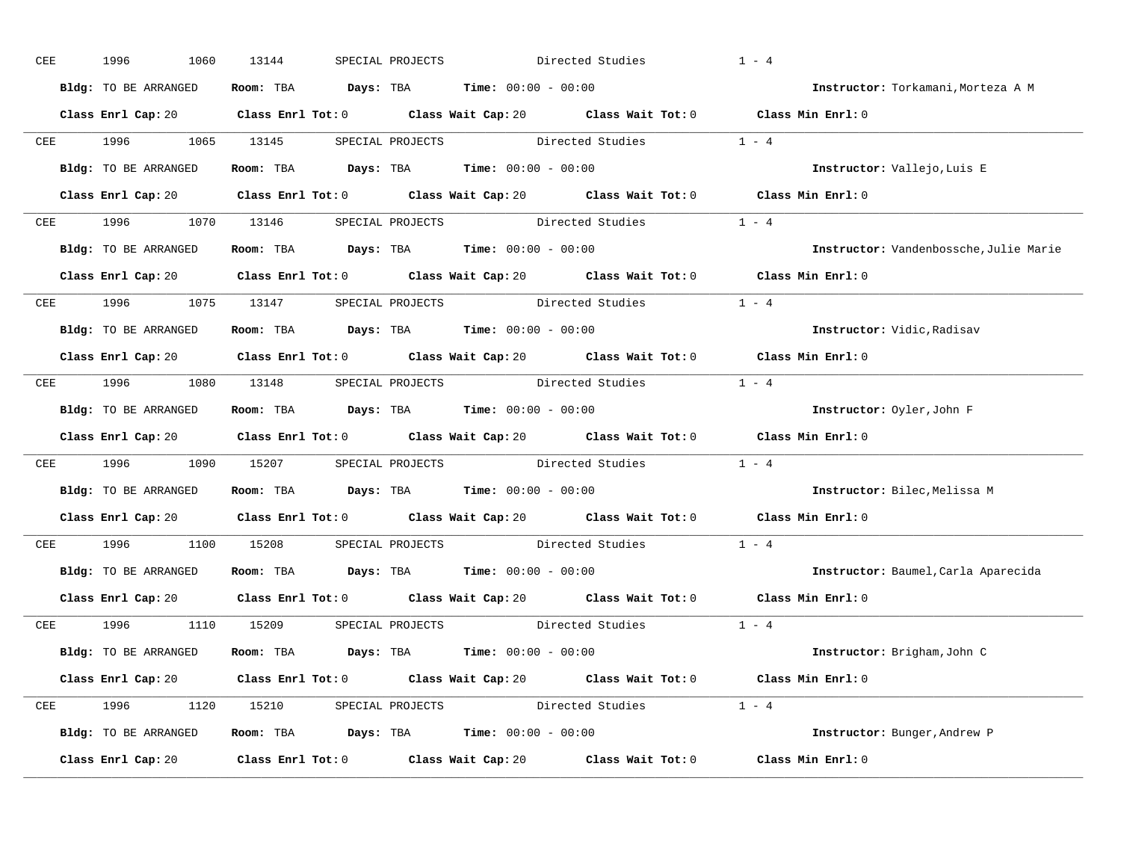| CEE | 1996<br>1060         | 13144                                                                                      | SPECIAL PROJECTS | Directed Studies                                                         | $1 - 4$                                                                                                                         |
|-----|----------------------|--------------------------------------------------------------------------------------------|------------------|--------------------------------------------------------------------------|---------------------------------------------------------------------------------------------------------------------------------|
|     | Bldg: TO BE ARRANGED | Room: TBA $Days:$ TBA $Time: 00:00 - 00:00$                                                |                  |                                                                          | Instructor: Torkamani, Morteza A M                                                                                              |
|     |                      |                                                                                            |                  |                                                                          | Class Enrl Cap: 20 Class Enrl Tot: 0 Class Wait Cap: 20 Class Wait Tot: 0 Class Min Enrl: 0                                     |
|     | CEE 1996 1065 13145  |                                                                                            |                  | SPECIAL PROJECTS Directed Studies 1 - 4                                  |                                                                                                                                 |
|     | Bldg: TO BE ARRANGED | Room: TBA $Days:$ TBA Time: $00:00 - 00:00$                                                |                  |                                                                          | Instructor: Vallejo, Luis E                                                                                                     |
|     |                      |                                                                                            |                  |                                                                          | Class Enrl Cap: 20 $\qquad$ Class Enrl Tot: 0 $\qquad$ Class Wait Cap: 20 $\qquad$ Class Wait Tot: 0 $\qquad$ Class Min Enrl: 0 |
|     |                      |                                                                                            |                  | CEE 1996 1070 13146 SPECIAL PROJECTS Directed Studies 1 - 4              |                                                                                                                                 |
|     |                      | Bldg: TO BE ARRANGED Room: TBA Days: TBA Time: 00:00 - 00:00                               |                  |                                                                          | Instructor: Vandenbossche, Julie Marie                                                                                          |
|     |                      |                                                                                            |                  |                                                                          | Class Enrl Cap: 20 $\qquad$ Class Enrl Tot: 0 $\qquad$ Class Wait Cap: 20 $\qquad$ Class Wait Tot: 0 $\qquad$ Class Min Enrl: 0 |
|     |                      | CEE 1996 1075 13147 SPECIAL PROJECTS Directed Studies                                      |                  |                                                                          | $1 - 4$                                                                                                                         |
|     | Bldg: TO BE ARRANGED | Room: TBA $Days:$ TBA $Time: 00:00 - 00:00$                                                |                  |                                                                          | Instructor: Vidic, Radisav                                                                                                      |
|     |                      |                                                                                            |                  |                                                                          | Class Enrl Cap: 20 $\qquad$ Class Enrl Tot: 0 $\qquad$ Class Wait Cap: 20 $\qquad$ Class Wait Tot: 0 $\qquad$ Class Min Enrl: 0 |
|     |                      |                                                                                            |                  | CEE 1996 1080 13148 SPECIAL PROJECTS Directed Studies 1 - 4              |                                                                                                                                 |
|     | Bldg: TO BE ARRANGED | Room: TBA $Days$ : TBA Time: $00:00 - 00:00$                                               |                  |                                                                          | Instructor: Oyler, John F                                                                                                       |
|     |                      |                                                                                            |                  |                                                                          | Class Enrl Cap: 20 Class Enrl Tot: 0 Class Wait Cap: 20 Class Wait Tot: 0 Class Min Enrl: 0                                     |
|     |                      |                                                                                            |                  | CEE 1996 1090 15207 SPECIAL PROJECTS Directed Studies 1 - 4              |                                                                                                                                 |
|     | Bldg: TO BE ARRANGED | Room: TBA $\rule{1em}{0.15mm}$ Days: TBA $\rule{1.5mm}{0.15mm}$ Time: $00:00 - 00:00$      |                  |                                                                          | Instructor: Bilec, Melissa M                                                                                                    |
|     |                      |                                                                                            |                  |                                                                          | Class Enrl Cap: 20 Class Enrl Tot: 0 Class Wait Cap: 20 Class Wait Tot: 0 Class Min Enrl: 0                                     |
|     |                      |                                                                                            |                  | CEE 1996 1100 15208 SPECIAL PROJECTS Directed Studies                    | $1 - 4$                                                                                                                         |
|     |                      | <b>Bldg:</b> TO BE ARRANGED <b>ROOM:</b> TBA <b>Days:</b> TBA <b>Time:</b> $00:00 - 00:00$ |                  |                                                                          | Instructor: Baumel, Carla Aparecida                                                                                             |
|     |                      |                                                                                            |                  |                                                                          | Class Enrl Cap: 20 Class Enrl Tot: 0 Class Wait Cap: 20 Class Wait Tot: 0 Class Min Enrl: 0                                     |
|     |                      |                                                                                            |                  | CEE 1996 1110 15209 SPECIAL PROJECTS Directed Studies 1 - 4              |                                                                                                                                 |
|     | Bldg: TO BE ARRANGED | Room: TBA $\rule{1em}{0.15mm}$ Days: TBA Time: $00:00 - 00:00$                             |                  |                                                                          | Instructor: Brigham, John C                                                                                                     |
|     |                      |                                                                                            |                  |                                                                          | Class Enrl Cap: 20 $\qquad$ Class Enrl Tot: 0 $\qquad$ Class Wait Cap: 20 $\qquad$ Class Wait Tot: 0 $\qquad$ Class Min Enrl: 0 |
|     |                      |                                                                                            |                  | CEE 1996 1120 15210 SPECIAL PROJECTS Directed Studies 1 - 4              |                                                                                                                                 |
|     |                      | Bldg: TO BE ARRANGED Room: TBA Days: TBA Time: 00:00 - 00:00                               |                  |                                                                          | Instructor: Bunger, Andrew P                                                                                                    |
|     | Class Enrl Cap: 20   |                                                                                            |                  | Class Enrl Tot: 0 $\qquad$ Class Wait Cap: 20 $\qquad$ Class Wait Tot: 0 | Class Min Enrl: 0                                                                                                               |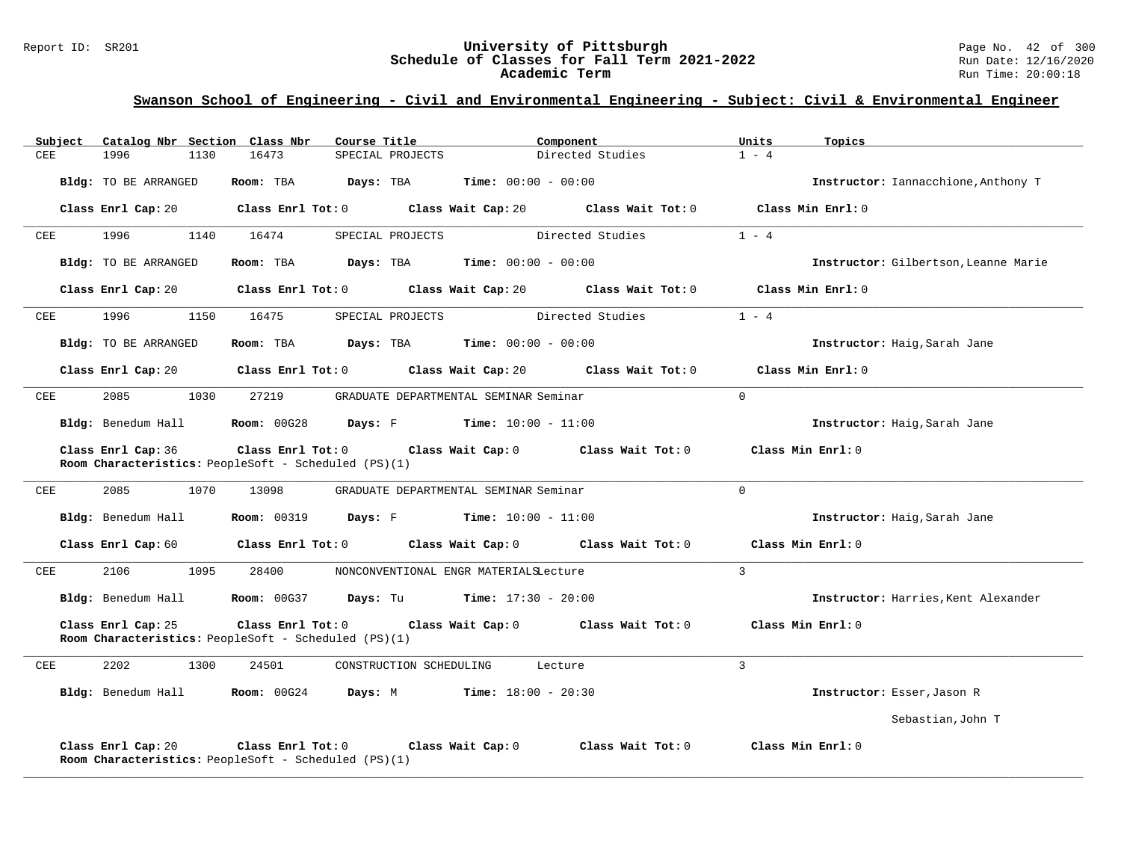#### Report ID: SR201 **University of Pittsburgh** Page No. 42 of 300 **Schedule of Classes for Fall Term 2021-2022** Run Date: 12/16/2020 **Academic Term** Run Time: 20:00:18

| Subject    | Catalog Nbr Section Class Nbr | Course Title                                                              | Component                               | Units<br>Topics                      |
|------------|-------------------------------|---------------------------------------------------------------------------|-----------------------------------------|--------------------------------------|
| CEE        | 1996<br>1130                  | 16473<br>SPECIAL PROJECTS                                                 | Directed Studies                        | $1 - 4$                              |
|            | Bldg: TO BE ARRANGED          | Room: TBA<br>Days: TBA                                                    | <b>Time:</b> $00:00 - 00:00$            | Instructor: Iannacchione, Anthony T  |
|            | Class Enrl Cap: 20            | Class Enrl Tot: 0                                                         | Class Wait Cap: 20 Class Wait Tot: 0    | Class Min Enrl: 0                    |
| <b>CEE</b> | 1996<br>1140                  | 16474<br>SPECIAL PROJECTS                                                 | Directed Studies                        | $1 - 4$                              |
|            | Bldg: TO BE ARRANGED          | Days: TBA<br>Room: TBA                                                    | <b>Time:</b> $00:00 - 00:00$            | Instructor: Gilbertson, Leanne Marie |
|            | Class Enrl Cap: 20            | Class Enrl Tot: 0                                                         | Class Wait Cap: 20<br>Class Wait Tot: 0 | Class Min Enrl: 0                    |
| CEE        | 1996<br>1150                  | 16475<br>SPECIAL PROJECTS                                                 | Directed Studies                        | $1 - 4$                              |
|            | Bldg: TO BE ARRANGED          | Room: TBA<br>Days: TBA                                                    | <b>Time:</b> $00:00 - 00:00$            | Instructor: Haig, Sarah Jane         |
|            | Class Enrl Cap: 20            | Class Enrl Tot: 0                                                         | Class Wait Cap: 20<br>Class Wait Tot: 0 | Class Min Enrl: 0                    |
| CEE        | 2085<br>1030                  | 27219                                                                     | GRADUATE DEPARTMENTAL SEMINAR Seminar   | $\mathbf 0$                          |
|            | Bldg: Benedum Hall            | <b>Room: 00G28</b><br>Days: F                                             | $Time: 10:00 - 11:00$                   | Instructor: Haig, Sarah Jane         |
|            | Class Enrl Cap: 36            | Class Enrl Tot: 0<br>Room Characteristics: PeopleSoft - Scheduled (PS)(1) | Class Wait Cap: 0<br>Class Wait Tot: 0  | Class Min Enrl: 0                    |
| CEE        | 2085<br>1070                  | 13098                                                                     | GRADUATE DEPARTMENTAL SEMINAR Seminar   | $\Omega$                             |
|            | Bldg: Benedum Hall            | <b>Room: 00319</b><br>Days: F                                             | <b>Time:</b> $10:00 - 11:00$            | Instructor: Haig, Sarah Jane         |
|            | Class Enrl Cap: 60            | Class Enrl Tot: 0                                                         | Class Wait Cap: 0<br>Class Wait Tot: 0  | Class Min Enrl: 0                    |
| CEE        | 2106<br>1095                  | 28400                                                                     | NONCONVENTIONAL ENGR MATERIALSLecture   | 3                                    |
|            | Bldg: Benedum Hall            | <b>Room: 00G37</b><br>Days: Tu                                            | $Time: 17:30 - 20:00$                   | Instructor: Harries, Kent Alexander  |
|            | Class Enrl Cap: 25            | Class Enrl Tot: 0<br>Room Characteristics: PeopleSoft - Scheduled (PS)(1) | Class Wait Cap: 0<br>Class Wait Tot: 0  | Class Min $Enrl: 0$                  |
| CEE        | 2202<br>1300                  | 24501<br>CONSTRUCTION SCHEDULING                                          | Lecture                                 | $\overline{3}$                       |
|            | Bldg: Benedum Hall            | <b>Room: 00G24</b><br>Days: M                                             | <b>Time:</b> $18:00 - 20:30$            | Instructor: Esser, Jason R           |
|            |                               |                                                                           |                                         | Sebastian, John T                    |
|            | Class Enrl Cap: 20            | Class Enrl Tot: 0<br>Room Characteristics: PeopleSoft - Scheduled (PS)(1) | Class Wait Cap: 0<br>Class Wait Tot: 0  | Class Min Enrl: 0                    |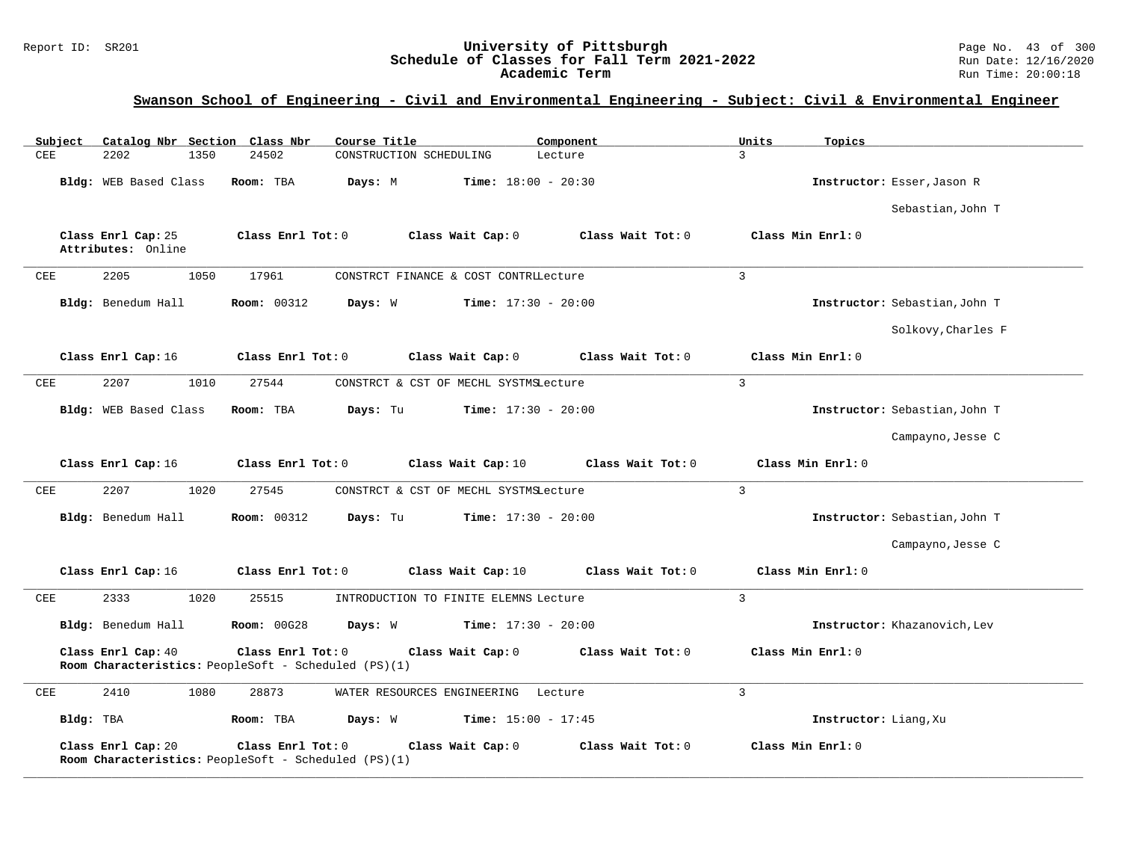| Subject<br>Catalog Nbr Section Class Nbr | Course Title                                                                                   | Component                    | Units<br>Topics               |
|------------------------------------------|------------------------------------------------------------------------------------------------|------------------------------|-------------------------------|
| <b>CEE</b><br>2202<br>1350               | 24502<br>CONSTRUCTION SCHEDULING                                                               | Lecture                      | 3                             |
| Bldg: WEB Based Class                    | Days: M<br>Room: TBA                                                                           | <b>Time:</b> $18:00 - 20:30$ | Instructor: Esser, Jason R    |
|                                          |                                                                                                |                              | Sebastian, John T             |
| Class Enrl Cap: 25<br>Attributes: Online | Class Enrl Tot: 0<br>Class Wait Cap: 0                                                         | Class Wait Tot: 0            | Class Min Enrl: 0             |
| 2205<br>1050<br>CEE                      | 17961<br>CONSTRCT FINANCE & COST CONTRILecture                                                 |                              | $\overline{3}$                |
| Bldg: Benedum Hall                       | <b>Room: 00312</b><br>Days: W                                                                  | <b>Time:</b> $17:30 - 20:00$ | Instructor: Sebastian, John T |
|                                          |                                                                                                |                              | Solkovy, Charles F            |
| Class Enrl Cap: 16                       | Class Enrl Tot: 0<br>Class Wait Cap: 0                                                         | Class Wait Tot: 0            | Class Min Enrl: 0             |
| 2207<br>1010<br>CEE                      | 27544<br>CONSTRCT & CST OF MECHL SYSTMSLecture                                                 |                              | $\overline{3}$                |
| Bldg: WEB Based Class                    | Room: TBA<br>Days: Tu                                                                          | <b>Time:</b> $17:30 - 20:00$ | Instructor: Sebastian, John T |
|                                          |                                                                                                |                              | Campayno, Jesse C             |
| Class Enrl Cap: 16                       | Class Enrl Tot: 0<br>Class Wait Cap: 10                                                        | Class Wait Tot: 0            | Class Min Enrl: 0             |
| 2207<br>1020<br>CEE                      | 27545<br>CONSTRCT & CST OF MECHL SYSTMSLecture                                                 |                              | $\overline{3}$                |
| Bldg: Benedum Hall                       | <b>Room: 00312</b><br>Days: Tu                                                                 | <b>Time:</b> $17:30 - 20:00$ | Instructor: Sebastian, John T |
|                                          |                                                                                                |                              | Campayno, Jesse C             |
| Class Enrl Cap: 16                       | Class Enrl Tot: 0<br>Class Wait Cap: 10                                                        | Class Wait Tot: 0            | Class Min Enrl: 0             |
| CEE<br>2333<br>1020                      | 25515<br>INTRODUCTION TO FINITE ELEMNS Lecture                                                 |                              | $\mathbf{3}$                  |
| Bldg: Benedum Hall                       | <b>Room: 00G28</b><br>Days: W                                                                  | <b>Time:</b> $17:30 - 20:00$ | Instructor: Khazanovich, Lev  |
| Class Enrl Cap: 40                       | Class Enrl Tot: 0<br>Class Wait Cap: 0<br>Room Characteristics: PeopleSoft - Scheduled (PS)(1) | Class Wait Tot: 0            | Class Min Enrl: 0             |
| CEE<br>2410<br>1080                      | 28873<br>WATER RESOURCES ENGINEERING Lecture                                                   |                              | $\overline{3}$                |
| Bldg: TBA                                | Room: TBA<br>Days: W                                                                           | <b>Time:</b> $15:00 - 17:45$ | Instructor: Liang, Xu         |
|                                          |                                                                                                |                              |                               |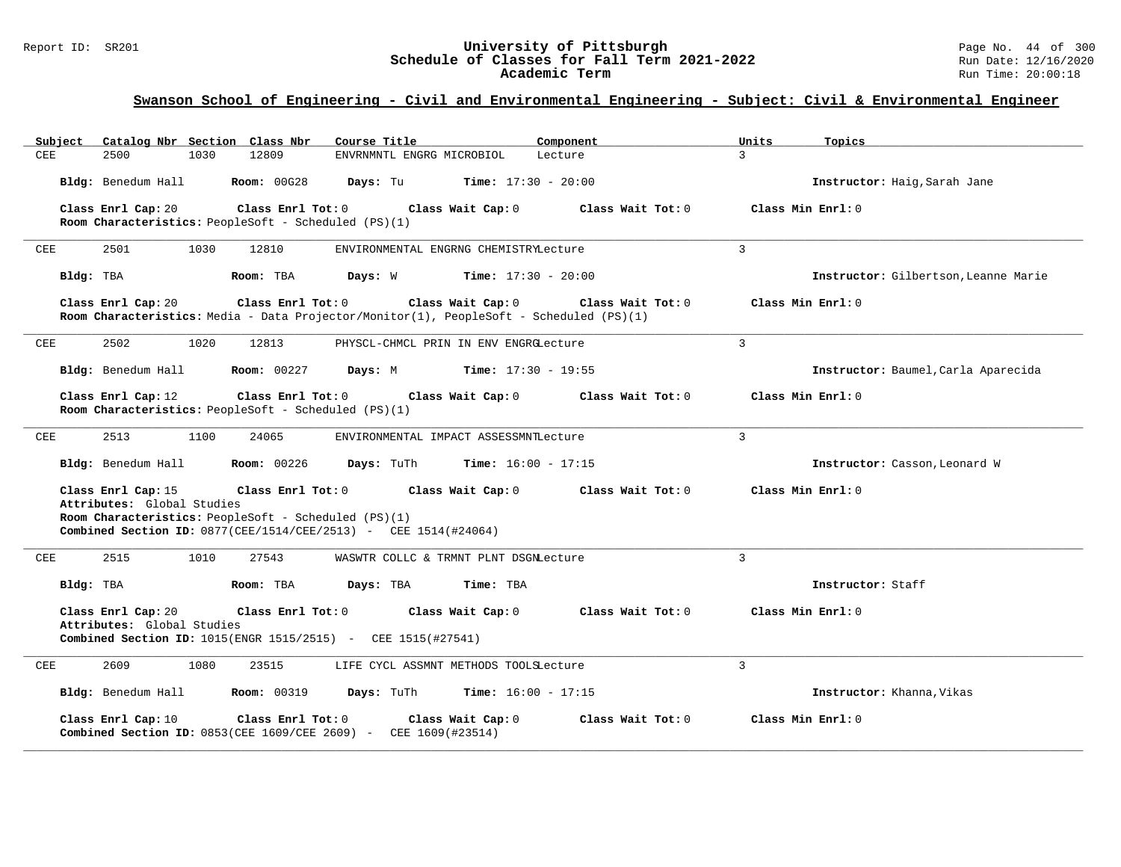| Catalog Nbr Section Class Nbr<br>Subject                                   | Course Title                                                                                                                                                                                                         | Component<br>Units       | Topics                               |  |  |  |  |  |
|----------------------------------------------------------------------------|----------------------------------------------------------------------------------------------------------------------------------------------------------------------------------------------------------------------|--------------------------|--------------------------------------|--|--|--|--|--|
| CEE<br>2500<br>1030                                                        | 12809<br>ENVRNMNTL ENGRG MICROBIOL                                                                                                                                                                                   | $\mathcal{L}$<br>Lecture |                                      |  |  |  |  |  |
| Bldg: Benedum Hall                                                         | <b>Room: 00G28</b><br><b>Time:</b> $17:30 - 20:00$<br>Days: Tu                                                                                                                                                       |                          | Instructor: Haig, Sarah Jane         |  |  |  |  |  |
| Class Enrl Cap: 20<br>Room Characteristics: PeopleSoft - Scheduled (PS)(1) | Class Enrl Tot: 0<br>Class Wait Cap: 0                                                                                                                                                                               | Class Wait Tot: 0        | Class Min Enrl: 0                    |  |  |  |  |  |
| 2501<br>1030<br>CEE                                                        | 12810<br>ENVIRONMENTAL ENGRNG CHEMISTRYLecture                                                                                                                                                                       | 3                        |                                      |  |  |  |  |  |
| Bldg: TBA                                                                  | Days: W<br><b>Time:</b> $17:30 - 20:00$<br>Room: TBA                                                                                                                                                                 |                          | Instructor: Gilbertson, Leanne Marie |  |  |  |  |  |
| Class Enrl Cap: 20                                                         | Class Enrl Tot: 0<br>Class Wait Cap: 0<br>Room Characteristics: Media - Data Projector/Monitor(1), PeopleSoft - Scheduled (PS)(1)                                                                                    | Class Wait Tot: 0        | Class Min Enrl: 0                    |  |  |  |  |  |
| 2502<br>1020<br>CEE                                                        | 12813<br>PHYSCL-CHMCL PRIN IN ENV ENGRGLecture                                                                                                                                                                       | 3                        |                                      |  |  |  |  |  |
| Bldg: Benedum Hall                                                         | <b>Room: 00227</b><br>Days: M<br><b>Time:</b> $17:30 - 19:55$                                                                                                                                                        |                          | Instructor: Baumel, Carla Aparecida  |  |  |  |  |  |
| Class Enrl Cap: 12<br>Room Characteristics: PeopleSoft - Scheduled (PS)(1) | Class Enrl Tot: 0<br>Class Wait Cap: 0                                                                                                                                                                               | Class Wait Tot: 0        | Class Min Enrl: 0                    |  |  |  |  |  |
| CEE<br>2513<br>1100                                                        | 24065<br>ENVIRONMENTAL IMPACT ASSESSMNTLecture                                                                                                                                                                       | 3                        |                                      |  |  |  |  |  |
| Bldg: Benedum Hall                                                         | <b>Room: 00226</b><br>Days: TuTh<br><b>Time:</b> $16:00 - 17:15$                                                                                                                                                     |                          | Instructor: Casson, Leonard W        |  |  |  |  |  |
| Class Enrl Cap: 15<br>Attributes: Global Studies                           | Class Enrl Tot: 0<br>Class Wait Cap: 0<br>Class Wait Tot: 0<br>Class Min Enrl: 0<br>Room Characteristics: PeopleSoft - Scheduled (PS)(1)<br><b>Combined Section ID:</b> $0877(CEE/1514/CEE/2513)$ - CEE 1514(#24064) |                          |                                      |  |  |  |  |  |
| 2515<br>CEE<br>1010                                                        | 27543<br>WASWTR COLLC & TRMNT PLNT DSGNLecture                                                                                                                                                                       | 3                        |                                      |  |  |  |  |  |
| Bldg: TBA                                                                  | Room: TBA<br>Days: TBA<br>Time: TBA                                                                                                                                                                                  |                          | Instructor: Staff                    |  |  |  |  |  |
| Class Enrl Cap: 20<br>Attributes: Global Studies                           | Class Enrl Tot: 0<br>Class Wait Cap: 0<br>Combined Section ID: 1015(ENGR 1515/2515) - CEE 1515(#27541)                                                                                                               | Class Wait Tot: 0        | Class Min Enrl: 0                    |  |  |  |  |  |
| 1080<br>CEE<br>2609                                                        | 23515<br>LIFE CYCL ASSMNT METHODS TOOLSLecture                                                                                                                                                                       | $\overline{3}$           |                                      |  |  |  |  |  |
| Bldg: Benedum Hall                                                         | <b>Room: 00319</b><br>Days: TuTh<br><b>Time:</b> $16:00 - 17:15$                                                                                                                                                     |                          | Instructor: Khanna, Vikas            |  |  |  |  |  |
| Class Enrl Cap: 10                                                         | Class Enrl Tot: 0<br>Class Wait Cap: 0<br><b>Combined Section ID:</b> $0853$ (CEE 1609/CEE 2609) - CEE 1609 (#23514)                                                                                                 | Class Wait Tot: 0        | Class Min Enrl: 0                    |  |  |  |  |  |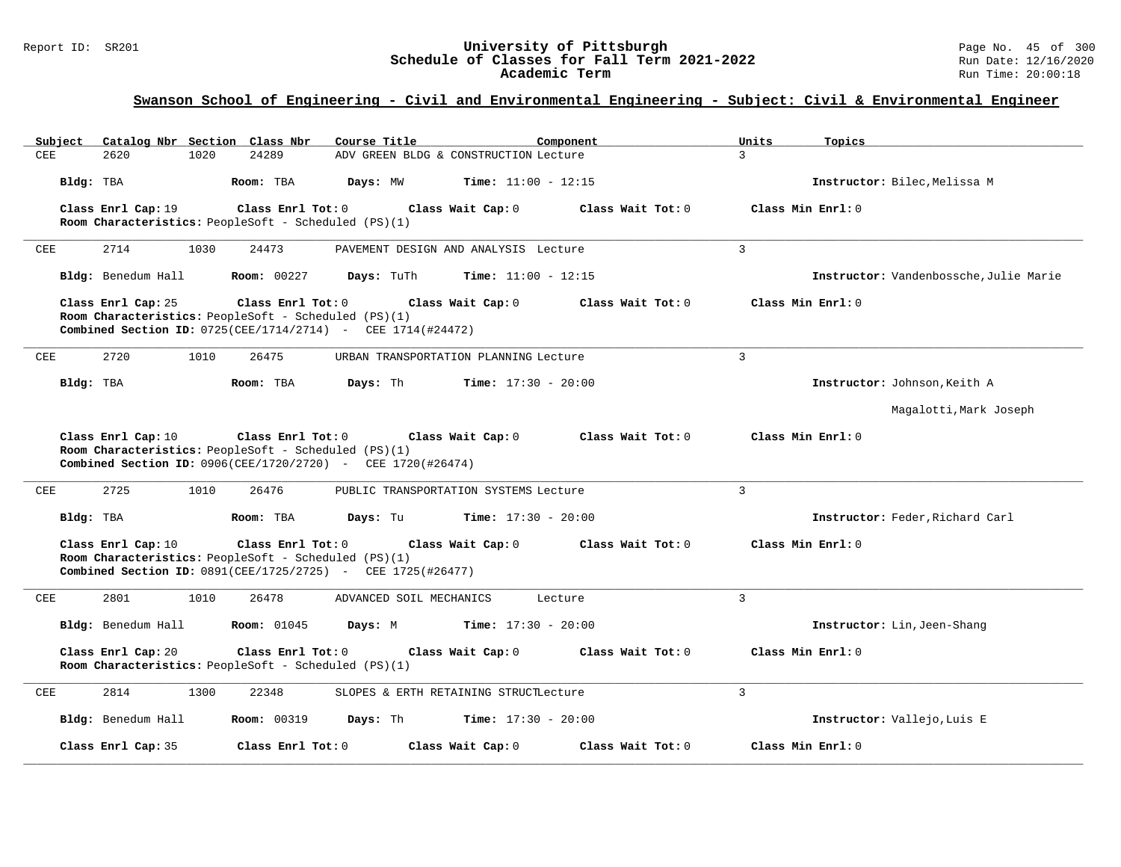| Catalog Nbr Section Class Nbr<br>Subject | Course Title                                                                                                                                    | Component                              | Units<br>Topics                        |
|------------------------------------------|-------------------------------------------------------------------------------------------------------------------------------------------------|----------------------------------------|----------------------------------------|
| CEE<br>2620<br>1020                      | 24289                                                                                                                                           | ADV GREEN BLDG & CONSTRUCTION Lecture  | $\mathcal{L}$                          |
| Bldg: TBA                                | Room: TBA<br>Days: MW                                                                                                                           | <b>Time:</b> $11:00 - 12:15$           | Instructor: Bilec, Melissa M           |
| Class Enrl Cap: 19                       | Class Enrl Tot: 0<br>Room Characteristics: PeopleSoft - Scheduled (PS)(1)                                                                       | Class Wait Cap: 0<br>Class Wait Tot: 0 | Class Min Enrl: 0                      |
| 2714<br>1030<br>CEE                      | 24473                                                                                                                                           | PAVEMENT DESIGN AND ANALYSIS Lecture   | $\overline{3}$                         |
| Bldg: Benedum Hall                       | <b>Room: 00227</b><br>Days: TuTh                                                                                                                | <b>Time:</b> $11:00 - 12:15$           | Instructor: Vandenbossche, Julie Marie |
| Class Enrl Cap: 25                       | Class Enrl Tot: 0<br>Room Characteristics: PeopleSoft - Scheduled (PS)(1)<br>Combined Section ID: 0725(CEE/1714/2714) - CEE 1714(#24472)        | Class Wait Cap: 0<br>Class Wait Tot: 0 | Class Min Enrl: 0                      |
| 2720<br>1010<br>CEE                      | 26475                                                                                                                                           | URBAN TRANSPORTATION PLANNING Lecture  | 3                                      |
| Bldg: TBA                                | Days: Th<br>Room: TBA                                                                                                                           | $Time: 17:30 - 20:00$                  | Instructor: Johnson, Keith A           |
|                                          |                                                                                                                                                 |                                        | Magalotti, Mark Joseph                 |
| Class Enrl Cap: 10                       | Class Enrl Tot: 0<br>Room Characteristics: PeopleSoft - Scheduled (PS)(1)<br>Combined Section ID: 0906(CEE/1720/2720) - CEE 1720(#26474)        | Class Wait Tot: 0<br>Class Wait Cap: 0 | Class Min Enrl: 0                      |
| 2725<br>1010<br>CEE                      | 26476                                                                                                                                           | PUBLIC TRANSPORTATION SYSTEMS Lecture  | $\overline{3}$                         |
| Bldg: TBA                                | Room: TBA<br>Days: Tu                                                                                                                           | <b>Time:</b> $17:30 - 20:00$           | Instructor: Feder, Richard Carl        |
| Class Enrl Cap: 10                       | Class Enrl Tot: 0<br>Room Characteristics: PeopleSoft - Scheduled (PS)(1)<br><b>Combined Section ID:</b> 0891(CEE/1725/2725) - CEE 1725(#26477) | Class Wait Cap: 0<br>Class Wait Tot: 0 | Class Min Enrl: 0                      |
| 2801<br>1010<br><b>CEE</b>               | 26478<br>ADVANCED SOIL MECHANICS                                                                                                                | Lecture                                | 3                                      |
| Bldg: Benedum Hall                       | <b>Room:</b> 01045<br>Days: M                                                                                                                   | <b>Time:</b> $17:30 - 20:00$           | Instructor: Lin, Jeen-Shang            |
| Class Enrl Cap: 20                       | Class Enrl Tot: 0<br>Room Characteristics: PeopleSoft - Scheduled (PS)(1)                                                                       | Class Wait Tot: 0<br>Class Wait Cap: 0 | Class Min Enrl: 0                      |
| 2814<br>1300<br>CEE                      | 22348                                                                                                                                           | SLOPES & ERTH RETAINING STRUCTLecture  | $\overline{3}$                         |
| Bldg: Benedum Hall                       | <b>Room: 00319</b><br>Days: Th                                                                                                                  | <b>Time:</b> $17:30 - 20:00$           | Instructor: Vallejo, Luis E            |
| Class Enrl Cap: 35                       | Class Enrl Tot: $0$                                                                                                                             | Class Wait Cap: 0<br>Class Wait Tot: 0 | Class Min Enrl: 0                      |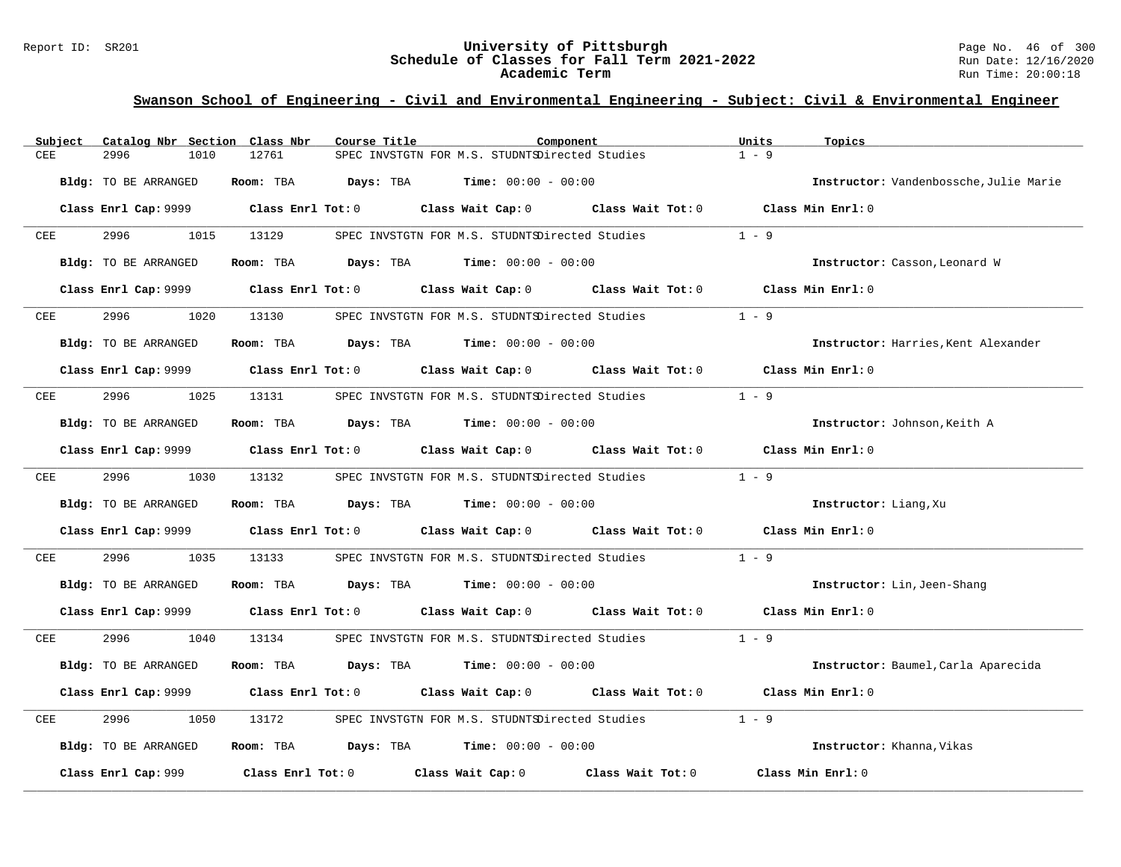#### Report ID: SR201 **University of Pittsburgh** Page No. 46 of 300 **Schedule of Classes for Fall Term 2021-2022** Run Date: 12/16/2020 **Academic Term** Run Time: 20:00:18

| Subject | Catalog Nbr Section Class Nbr | Course Title                                                 | Component                                                                       | Units<br>Topics                        |
|---------|-------------------------------|--------------------------------------------------------------|---------------------------------------------------------------------------------|----------------------------------------|
| CEE     | 2996<br>1010                  | 12761                                                        | SPEC INVSTGTN FOR M.S. STUDNTSDirected Studies                                  | $1 - 9$                                |
|         | Bldg: TO BE ARRANGED          | Days: TBA<br>Room: TBA                                       | $Time: 00:00 - 00:00$                                                           | Instructor: Vandenbossche, Julie Marie |
|         |                               |                                                              |                                                                                 |                                        |
|         |                               | Class Enrl Cap: 9999 Class Enrl Tot: 0                       | Class Wait Cap: 0 Class Wait Tot: 0 Class Min Enrl: 0                           |                                        |
| CEE     | 2996<br>1015                  | 13129                                                        | SPEC INVSTGTN FOR M.S. STUDNTSDirected Studies                                  | $1 - 9$                                |
|         | Bldg: TO BE ARRANGED          | Room: TBA                                                    | <b>Days:</b> TBA <b>Time:</b> $00:00 - 00:00$                                   | Instructor: Casson, Leonard W          |
|         | Class Enrl Cap: 9999          | Class Enrl Tot: 0                                            | Class Wait Cap: 0<br>Class Wait Tot: 0                                          | Class Min Enrl: 0                      |
| CEE     | 2996<br>1020                  | 13130                                                        | SPEC INVSTGTN FOR M.S. STUDNTSDirected Studies                                  | $1 - 9$                                |
|         | <b>Bldg:</b> TO BE ARRANGED   | <b>Room:</b> TBA <b>Days:</b> TBA <b>Time:</b> 00:00 - 00:00 |                                                                                 | Instructor: Harries, Kent Alexander    |
|         | Class Enrl Cap: 9999          | $Class$ $Enrl$ $Tot: 0$                                      | Class Wait Cap: 0 Class Wait Tot: 0                                             | Class Min Enrl: 0                      |
| CEE     | 2996<br>1025                  | 13131                                                        | SPEC INVSTGTN FOR M.S. STUDNTSDirected Studies                                  | $1 - 9$                                |
|         | Bldg: TO BE ARRANGED          | Room: TBA $Days: TBA$ Time: $00:00 - 00:00$                  |                                                                                 | Instructor: Johnson, Keith A           |
|         | Class Enrl Cap: 9999          |                                                              | Class Enrl Tot: $0$ Class Wait Cap: $0$ Class Wait Tot: $0$ Class Min Enrl: $0$ |                                        |
| CEE     | 2996<br>1030                  | 13132                                                        | SPEC INVSTGTN FOR M.S. STUDNTSDirected Studies                                  | $1 - 9$                                |
|         | Bldg: TO BE ARRANGED          | Room: TBA                                                    | $\texttt{DayS:}$ TBA $\texttt{Time:}$ 00:00 - 00:00                             | Instructor: Liang, Xu                  |
|         | Class Enrl Cap: 9999          | Class Enrl Tot: 0                                            | Class Wait Cap: 0 Class Wait Tot: 0                                             | Class Min Enrl: 0                      |
| CEE     | 2996<br>1035                  | 13133                                                        | SPEC INVSTGTN FOR M.S. STUDNTSDirected Studies                                  | $1 - 9$                                |
|         | Bldg: TO BE ARRANGED          | Room: TBA $Days: TBA$ Time: $00:00 - 00:00$                  |                                                                                 | Instructor: Lin, Jeen-Shang            |
|         |                               | Class Enrl Cap: 9999 Class Enrl Tot: 0                       | Class Wait Cap: 0 Class Wait Tot: 0 Class Min Enrl: 0                           |                                        |
| CEE     | 2996<br>1040                  | 13134                                                        | SPEC INVSTGTN FOR M.S. STUDNTSDirected Studies                                  | $1 - 9$                                |
|         | Bldg: TO BE ARRANGED          | Room: TBA                                                    | <b>Days:</b> TBA <b>Time:</b> $00:00 - 00:00$                                   | Instructor: Baumel, Carla Aparecida    |
|         | Class Enrl Cap: 9999          | Class Enrl Tot: 0                                            | Class Wait Cap: 0 Class Wait Tot: 0                                             | Class Min Enrl: 0                      |
| CEE     | 2996<br>1050                  | 13172                                                        | SPEC INVSTGTN FOR M.S. STUDNTSDirected Studies                                  | $1 - 9$                                |
|         | Bldg: TO BE ARRANGED          | Room: TBA $Days: TBA$ Time: $00:00 - 00:00$                  |                                                                                 | Instructor: Khanna, Vikas              |
|         | Class Enrl Cap: 999           | Class Enrl Tot: $0$                                          | Class Wait Cap: 0<br>Class Wait Tot: 0                                          | Class Min Enrl: 0                      |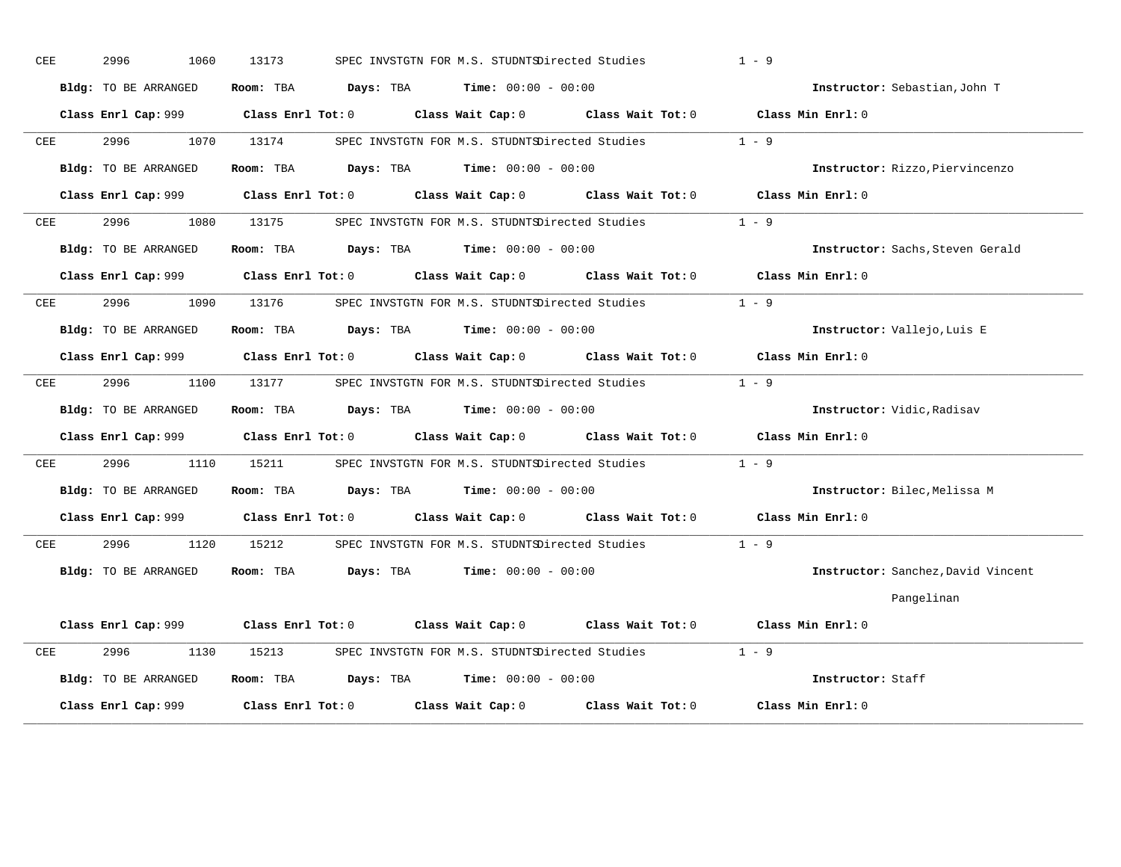| CEE | 2996<br>1060         | 13173                                                                                       | SPEC INVSTGTN FOR M.S. STUDNTSDirected Studies              | $1 - 9$                            |
|-----|----------------------|---------------------------------------------------------------------------------------------|-------------------------------------------------------------|------------------------------------|
|     | Bldg: TO BE ARRANGED | Room: TBA                                                                                   | <b>Days:</b> TBA <b>Time:</b> $00:00 - 00:00$               | Instructor: Sebastian, John T      |
|     |                      | Class Enrl Cap: 999 Class Enrl Tot: 0 Class Wait Cap: 0 Class Wait Tot: 0 Class Min Enrl: 0 |                                                             |                                    |
| CEE | 2996<br>1070         | 13174                                                                                       | SPEC INVSTGTN FOR M.S. STUDNTSDirected Studies              | $1 - 9$                            |
|     | Bldg: TO BE ARRANGED | Room: TBA                                                                                   | <b>Days:</b> TBA <b>Time:</b> $00:00 - 00:00$               | Instructor: Rizzo, Piervincenzo    |
|     | Class Enrl Cap: 999  | Class Enrl Tot: 0 Class Wait Cap: 0                                                         | Class Wait Tot: 0                                           | Class Min Enrl: 0                  |
| CEE | 2996<br>1080         | 13175                                                                                       | SPEC INVSTGTN FOR M.S. STUDNTSDirected Studies              | $1 - 9$                            |
|     | Bldg: TO BE ARRANGED | Room: TBA                                                                                   | <b>Days:</b> TBA <b>Time:</b> $00:00 - 00:00$               | Instructor: Sachs, Steven Gerald   |
|     |                      | Class Enrl Cap: 999 Class Enrl Tot: 0 Class Wait Cap: 0 Class Wait Tot: 0                   |                                                             | Class Min Enrl: 0                  |
| CEE | 2996<br>1090         | 13176                                                                                       | SPEC INVSTGTN FOR M.S. STUDNTSDirected Studies              | $1 - 9$                            |
|     | Bldg: TO BE ARRANGED | Room: TBA $\rule{1em}{0.15mm}$ Days: TBA $\rule{1.15mm}]{0.15mm}$ Time: $00:00 - 00:00$     |                                                             | Instructor: Vallejo, Luis E        |
|     | Class Enrl Cap: 999  |                                                                                             | Class Enrl Tot: $0$ Class Wait Cap: $0$ Class Wait Tot: $0$ | Class Min Enrl: 0                  |
| CEE | 2996<br>1100         | 13177                                                                                       | SPEC INVSTGTN FOR M.S. STUDNTSDirected Studies              | $1 - 9$                            |
|     | Bldg: TO BE ARRANGED | Room: TBA $Days:$ TBA $Time: 00:00 - 00:00$                                                 |                                                             | Instructor: Vidic, Radisav         |
|     |                      | Class Enrl Cap: 999 Class Enrl Tot: 0                                                       | Class Wait Cap: 0 Class Wait Tot: 0                         | Class Min Enrl: 0                  |
| CEE | 2996<br>1110         | 15211                                                                                       | SPEC INVSTGTN FOR M.S. STUDNTSDirected Studies              | $1 - 9$                            |
|     | Bldg: TO BE ARRANGED | <b>Room:</b> TBA <b>Days:</b> TBA <b>Time:</b> 00:00 - 00:00                                |                                                             | Instructor: Bilec, Melissa M       |
|     | Class Enrl Cap: 999  |                                                                                             | Class Enrl Tot: 0 Class Wait Cap: 0 Class Wait Tot: 0       | Class Min Enrl: 0                  |
| CEE | 2996<br>1120         | 15212                                                                                       | SPEC INVSTGTN FOR M.S. STUDNTSDirected Studies              | $1 - 9$                            |
|     | Bldg: TO BE ARRANGED | Room: TBA $\rule{1em}{0.15mm}$ Days: TBA $\rule{1.5mm}{0.15mm}$ Time: $00:00 - 00:00$       |                                                             | Instructor: Sanchez, David Vincent |
|     |                      |                                                                                             |                                                             | Pangelinan                         |
|     | Class Enrl Cap: 999  | Class Enrl Tot: 0                                                                           | Class Wait Cap: 0 Class Wait Tot: 0                         | Class Min Enrl: 0                  |
| CEE | 2996<br>1130         | 15213                                                                                       | SPEC INVSTGTN FOR M.S. STUDNTSDirected Studies              | $1 - 9$                            |
|     | Bldg: TO BE ARRANGED | Room: TBA $Days:$ TBA $Time: 00:00 - 00:00$                                                 |                                                             | Instructor: Staff                  |
|     | Class Enrl Cap: 999  | $Class$ $Enr1$ $Tot: 0$                                                                     | Class Wait Cap: 0<br>Class Wait Tot: 0                      | Class Min Enrl: 0                  |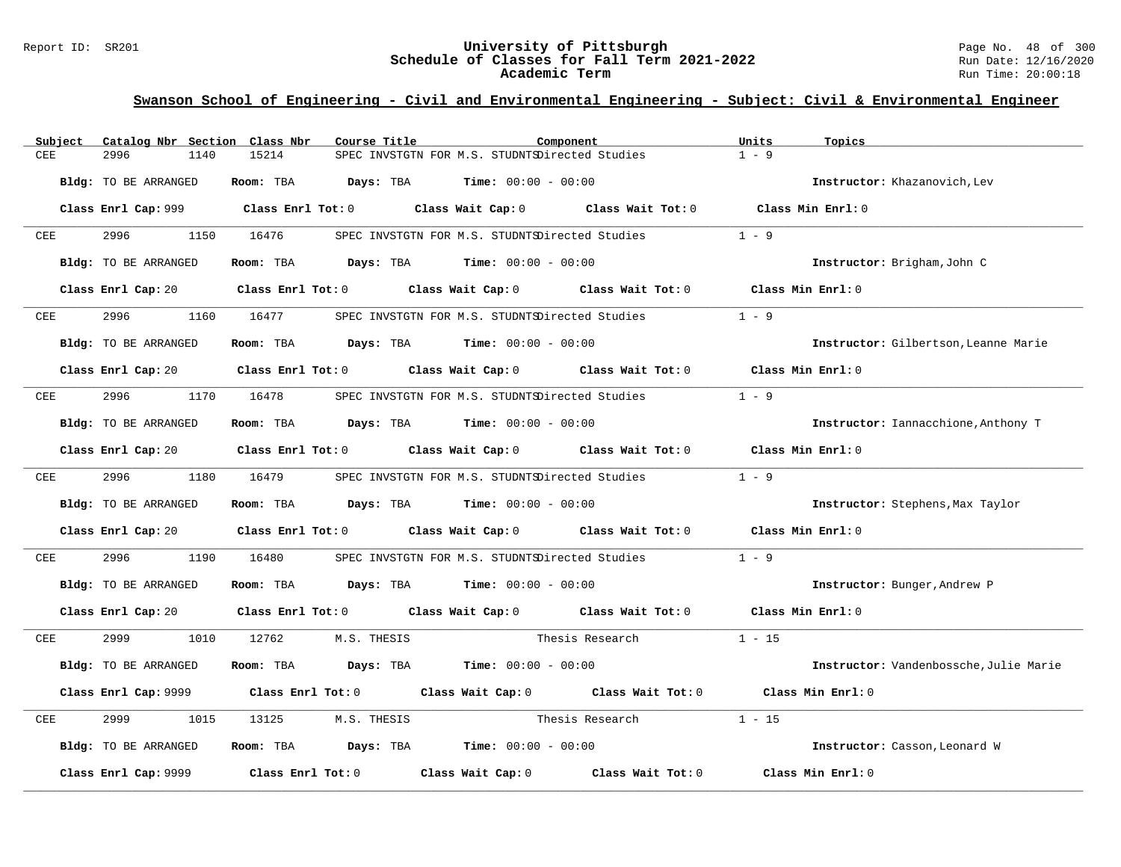### Report ID: SR201 **University of Pittsburgh University of Pittsburgh** Page No. 48 of 300<br>**Schedule of Classes for Fall Term 2021-2022** Run Date: 12/16/2020 **Schedule of Classes for Fall Term 2021-2022** Run Date: 12/16/2020 **Academic Term** Run Time: 20:00:18

| Subject | Catalog Nbr Section Class Nbr | Course Title                                                                                        | Component                                             |                   | Units<br>Topics                        |  |
|---------|-------------------------------|-----------------------------------------------------------------------------------------------------|-------------------------------------------------------|-------------------|----------------------------------------|--|
| CEE     | 2996<br>1140                  | 15214                                                                                               | SPEC INVSTGTN FOR M.S. STUDNTSDirected Studies        |                   | $1 - 9$                                |  |
|         | Bldg: TO BE ARRANGED          | Room: TBA                                                                                           | <b>Days:</b> TBA <b>Time:</b> $00:00 - 00:00$         |                   | Instructor: Khazanovich, Lev           |  |
|         |                               | Class Enrl Cap: 999 Class Enrl Tot: 0                                                               | Class Wait Cap: 0 Class Wait Tot: 0 Class Min Enrl: 0 |                   |                                        |  |
| CEE     | 2996<br>1150                  | 16476                                                                                               | SPEC INVSTGTN FOR M.S. STUDNTSDirected Studies        |                   | $1 - 9$                                |  |
|         | Bldg: TO BE ARRANGED          | Room: TBA $Days:$ TBA $Time: 00:00 - 00:00$                                                         |                                                       |                   | Instructor: Brigham, John C            |  |
|         |                               | Class Enrl Cap: 20 Class Enrl Tot: 0 Class Wait Cap: 0 Class Wait Tot: 0                            |                                                       |                   | Class Min Enrl: 0                      |  |
| CEE     | 2996<br>1160                  | 16477                                                                                               | SPEC INVSTGTN FOR M.S. STUDNTSDirected Studies        |                   | $1 - 9$                                |  |
|         | Bldg: TO BE ARRANGED          | Room: TBA $Days: TBA$ Time: $00:00 - 00:00$                                                         |                                                       |                   | Instructor: Gilbertson, Leanne Marie   |  |
|         |                               | Class Enrl Cap: 20 $\qquad$ Class Enrl Tot: 0 $\qquad$ Class Wait Cap: 0 $\qquad$ Class Wait Tot: 0 |                                                       |                   | Class Min Enrl: 0                      |  |
| CEE     | 2996<br>1170                  | 16478                                                                                               | SPEC INVSTGTN FOR M.S. STUDNTSDirected Studies        |                   | $1 - 9$                                |  |
|         | Bldg: TO BE ARRANGED          | Room: TBA $Days: TBA$ Time: $00:00 - 00:00$                                                         |                                                       |                   | Instructor: Iannacchione, Anthony T    |  |
|         |                               | Class Enrl Cap: 20 Class Enrl Tot: 0 Class Wait Cap: 0 Class Wait Tot: 0                            |                                                       |                   | Class Min Enrl: 0                      |  |
| CEE     | 2996 700<br>1180              | 16479                                                                                               | SPEC INVSTGTN FOR M.S. STUDNTSDirected Studies        |                   | $1 - 9$                                |  |
|         | Bldg: TO BE ARRANGED          | Room: TBA                                                                                           | $\texttt{DayS:}$ TBA $\texttt{Time:}$ 00:00 - 00:00   |                   | Instructor: Stephens, Max Taylor       |  |
|         | Class Enrl Cap: 20            | Class Enrl Tot: $0$ Class Wait Cap: $0$ Class Wait Tot: $0$                                         |                                                       |                   | Class Min Enrl: 0                      |  |
| CEE     | 2996<br>1190                  | 16480                                                                                               | SPEC INVSTGTN FOR M.S. STUDNTSDirected Studies        |                   | $1 - 9$                                |  |
|         | Bldg: TO BE ARRANGED          | Room: TBA $Days: TBA$ Time: $00:00 - 00:00$                                                         |                                                       |                   | Instructor: Bunger, Andrew P           |  |
|         |                               | Class Enrl Cap: 20 Class Enrl Tot: 0 Class Wait Cap: 0 Class Wait Tot: 0 Class Min Enrl: 0          |                                                       |                   |                                        |  |
| CEE     | 2999<br>1010                  | 12762<br>M.S. THESIS                                                                                |                                                       | Thesis Research   | $1 - 15$                               |  |
|         | Bldg: TO BE ARRANGED          | Room: TBA                                                                                           | <b>Days:</b> TBA <b>Time:</b> $00:00 - 00:00$         |                   | Instructor: Vandenbossche, Julie Marie |  |
|         | Class Enrl Cap: 9999          | Class Enrl Tot: 0 Class Wait Cap: 0 Class Wait Tot: 0                                               |                                                       |                   | Class Min Enrl: 0                      |  |
| CEE     | 2999<br>1015                  | 13125<br>M.S. THESIS                                                                                | Thesis Research                                       |                   | $1 - 15$                               |  |
|         | Bldg: TO BE ARRANGED          | Room: TBA $Days: TBA$ Time: $00:00 - 00:00$                                                         |                                                       |                   | Instructor: Casson, Leonard W          |  |
|         | Class Enrl Cap: 9999          | $Class$ $Enr1$ $Tot: 0$                                                                             | Class Wait Cap: 0                                     | Class Wait Tot: 0 | Class Min Enrl: 0                      |  |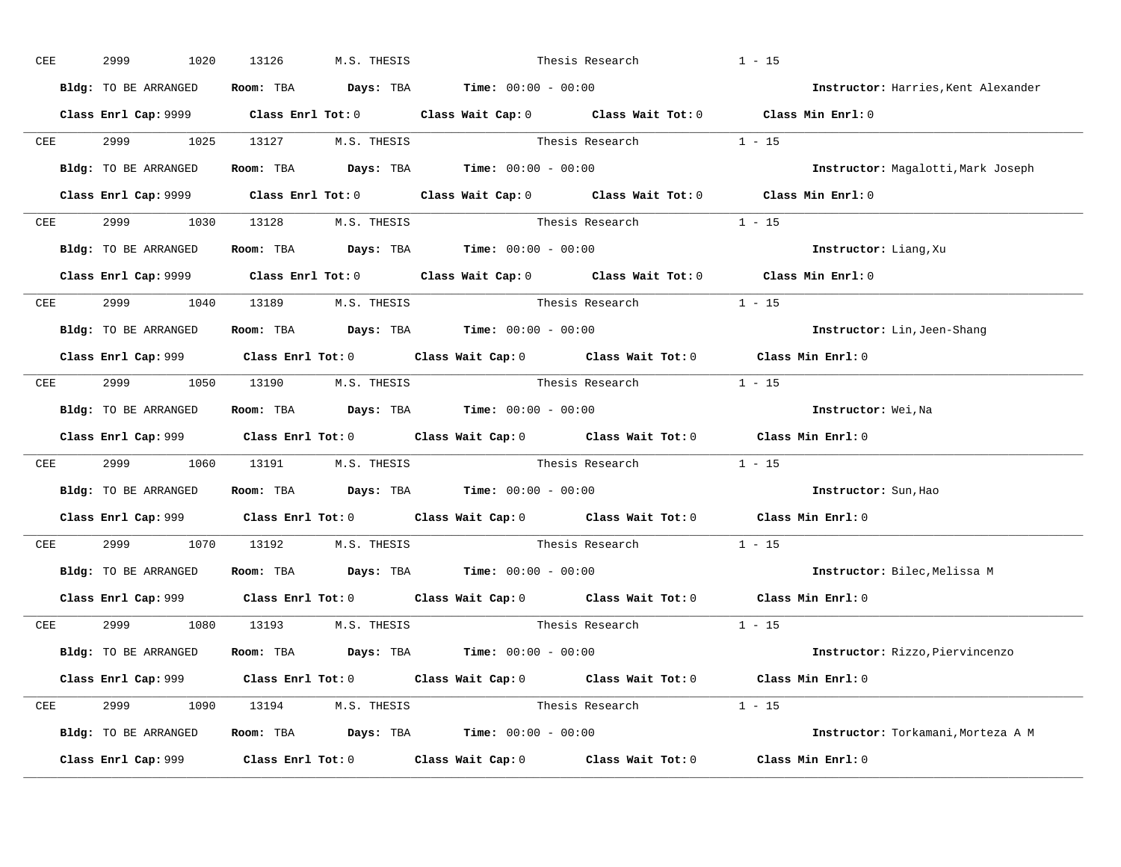| CEE | 2999<br>1020                    | 13126 | M.S. THESIS       |                                                              | Thesis Research                                                                              | $1 - 15$                            |  |
|-----|---------------------------------|-------|-------------------|--------------------------------------------------------------|----------------------------------------------------------------------------------------------|-------------------------------------|--|
|     | Bldg: TO BE ARRANGED            |       |                   | Room: TBA $Days: TBA$ Time: $00:00 - 00:00$                  |                                                                                              | Instructor: Harries, Kent Alexander |  |
|     |                                 |       |                   |                                                              | Class Enrl Cap: 9999 Class Enrl Tot: 0 Class Wait Cap: 0 Class Wait Tot: 0 Class Min Enrl: 0 |                                     |  |
| CEE | 2999 — 200                      |       |                   |                                                              | 1025 13127 M.S. THESIS Thesis Research 1 - 15                                                |                                     |  |
|     |                                 |       |                   | Bldg: TO BE ARRANGED Room: TBA Days: TBA Time: 00:00 - 00:00 |                                                                                              | Instructor: Magalotti, Mark Joseph  |  |
|     |                                 |       |                   |                                                              | Class Enrl Cap: 9999 Class Enrl Tot: 0 Class Wait Cap: 0 Class Wait Tot: 0 Class Min Enrl: 0 |                                     |  |
|     | CEE 2999 1030 13128 M.S. THESIS |       |                   |                                                              | Thesis Research 1 - 15                                                                       |                                     |  |
|     |                                 |       |                   | Bldg: TO BE ARRANGED Room: TBA Days: TBA Time: 00:00 - 00:00 |                                                                                              | Instructor: Liang, Xu               |  |
|     |                                 |       |                   |                                                              | Class Enrl Cap: 9999 Class Enrl Tot: 0 Class Wait Cap: 0 Class Wait Tot: 0 Class Min Enrl: 0 |                                     |  |
| CEE | 2999 1040 13189 M.S. THESIS     |       |                   |                                                              |                                                                                              |                                     |  |
|     | Bldg: TO BE ARRANGED            |       |                   | Room: TBA $Days:$ TBA $Time:$ $00:00 - 00:00$                |                                                                                              | Instructor: Lin, Jeen-Shang         |  |
|     |                                 |       |                   |                                                              | Class Enrl Cap: 999 Class Enrl Tot: 0 Class Wait Cap: 0 Class Wait Tot: 0 Class Min Enrl: 0  |                                     |  |
|     | CEE 2999 1050 13190 M.S. THESIS |       |                   |                                                              | Thesis Research $1 - 15$                                                                     |                                     |  |
|     | Bldg: TO BE ARRANGED            |       |                   | <b>Room:</b> TBA $Days: TBA$ <b>Time:</b> $00:00 - 00:00$    |                                                                                              | Instructor: Wei, Na                 |  |
|     |                                 |       |                   |                                                              | Class Enrl Cap: 999 Class Enrl Tot: 0 Class Wait Cap: 0 Class Wait Tot: 0 Class Min Enrl: 0  |                                     |  |
| CEE | 2999<br>1060                    |       |                   |                                                              | 13191 M.S. THESIS Thesis Research 1 - 15                                                     |                                     |  |
|     |                                 |       |                   | Bldg: TO BE ARRANGED Room: TBA Days: TBA Time: 00:00 - 00:00 |                                                                                              | Instructor: Sun, Hao                |  |
|     |                                 |       |                   |                                                              | Class Enrl Cap: 999 Class Enrl Tot: 0 Class Wait Cap: 0 Class Wait Tot: 0 Class Min Enrl: 0  |                                     |  |
| CEE | 2999 72<br>1070                 | 13192 |                   |                                                              | M.S. THESIS CHARLES Thesis Research 1 - 15                                                   |                                     |  |
|     |                                 |       |                   | Bldg: TO BE ARRANGED Room: TBA Days: TBA Time: 00:00 - 00:00 |                                                                                              | Instructor: Bilec, Melissa M        |  |
|     |                                 |       |                   |                                                              | Class Enrl Cap: 999 Class Enrl Tot: 0 Class Wait Cap: 0 Class Wait Tot: 0 Class Min Enrl: 0  |                                     |  |
| CEE | 2999 200<br>1080                |       | 13193 M.S. THESIS |                                                              | Thesis Research                                                                              | $1 - 15$                            |  |
|     | Bldg: TO BE ARRANGED            |       |                   | <b>Room:</b> TBA $Days:$ TBA $Time:$ $00:00 - 00:00$         |                                                                                              | Instructor: Rizzo, Piervincenzo     |  |
|     |                                 |       |                   |                                                              | Class Enrl Cap: 999 Class Enrl Tot: 0 Class Wait Cap: 0 Class Wait Tot: 0 Class Min Enrl: 0  |                                     |  |
|     | CEE 2999 1090                   |       | 13194 M.S. THESIS |                                                              | Thesis Research 1 - 15                                                                       |                                     |  |
|     | Bldg: TO BE ARRANGED            |       |                   | <b>Room:</b> TBA $Days:$ TBA $Time:$ $00:00 - 00:00$         |                                                                                              | Instructor: Torkamani, Morteza A M  |  |
|     |                                 |       |                   |                                                              |                                                                                              | Class Min Enrl: 0                   |  |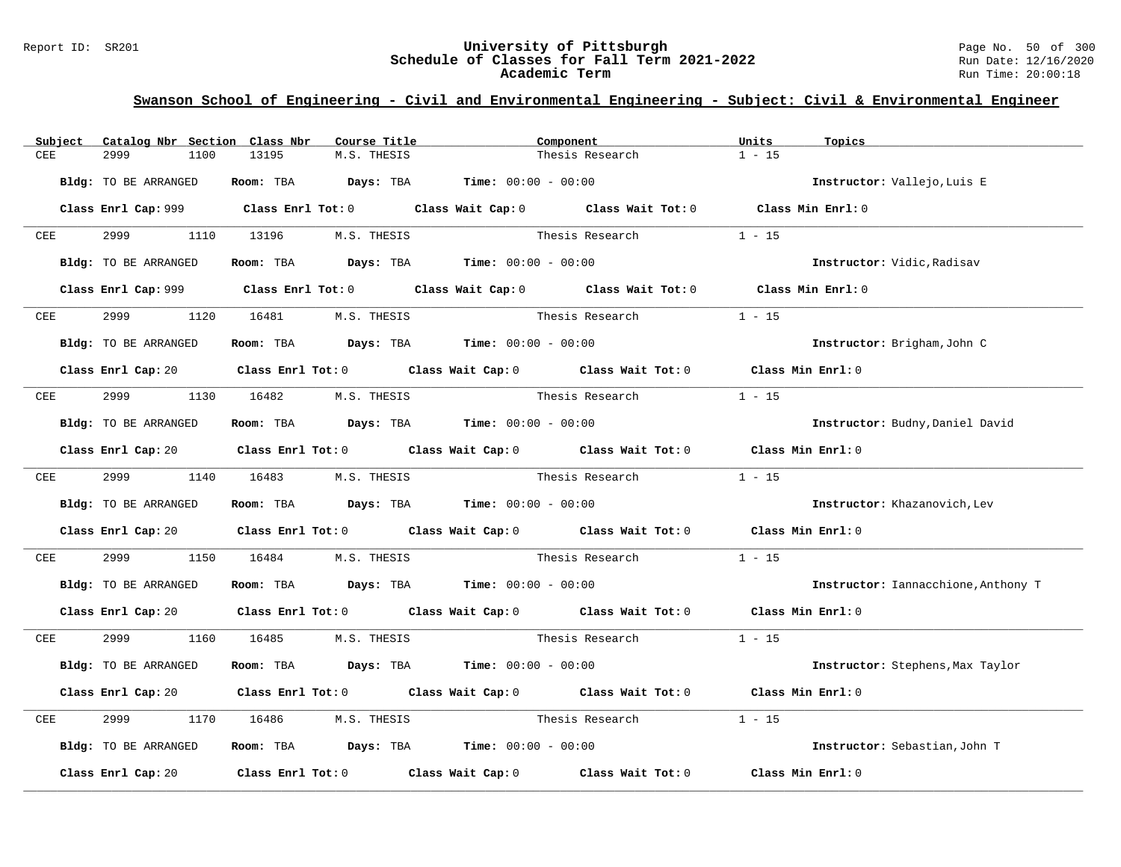#### Report ID: SR201 **University of Pittsburgh** Page No. 50 of 300 **Schedule of Classes for Fall Term 2021-2022** Run Date: 12/16/2020 **Academic Term** Run Time: 20:00:18

| Subject | Catalog Nbr Section Class Nbr | Course Title                                                                                | Component                   |                        | Units<br>Topics                     |  |
|---------|-------------------------------|---------------------------------------------------------------------------------------------|-----------------------------|------------------------|-------------------------------------|--|
| CEE     | 2999<br>1100                  | 13195<br>M.S. THESIS                                                                        |                             | Thesis Research        | $1 - 15$                            |  |
|         | Bldg: TO BE ARRANGED          | Room: TBA $Days: TBA$ Time: $00:00 - 00:00$                                                 |                             |                        | Instructor: Vallejo, Luis E         |  |
|         |                               | Class Enrl Cap: 999 Class Enrl Tot: 0 Class Wait Cap: 0 Class Wait Tot: 0 Class Min Enrl: 0 |                             |                        |                                     |  |
| CEE     | 2999 — 200                    | 1110 13196 M.S. THESIS                                                                      |                             | Thesis Research        | $1 - 15$                            |  |
|         | Bldg: TO BE ARRANGED          | Room: TBA $Days:$ TBA $Time: 00:00 - 00:00$                                                 |                             |                        | Instructor: Vidic, Radisav          |  |
|         |                               | Class Enrl Cap: 999 Class Enrl Tot: 0 Class Wait Cap: 0 Class Wait Tot: 0 Class Min Enrl: 0 |                             |                        |                                     |  |
| CEE     | 2999<br>1120                  | 16481 M.S. THESIS                                                                           |                             | Thesis Research        | $1 - 15$                            |  |
|         | Bldg: TO BE ARRANGED          | Room: TBA $\rule{1em}{0.15mm}$ Days: TBA Time: $00:00 - 00:00$                              |                             |                        | Instructor: Brigham, John C         |  |
|         |                               | Class Enrl Cap: 20 Class Enrl Tot: 0 Class Wait Cap: 0 Class Wait Tot: 0 Class Min Enrl: 0  |                             |                        |                                     |  |
| CEE     | 2999                          | 1130 16482 M.S. THESIS                                                                      | Thesis Research             |                        | $1 - 15$                            |  |
|         | Bldg: TO BE ARRANGED          | Room: TBA $Days:$ TBA $Time: 00:00 - 00:00$                                                 |                             |                        | Instructor: Budny, Daniel David     |  |
|         |                               | Class Enrl Cap: 20 Class Enrl Tot: 0 Class Wait Cap: 0 Class Wait Tot: 0 Class Min Enrl: 0  |                             |                        |                                     |  |
| CEE     |                               | 2999 1140 16483 M.S. THESIS                                                                 |                             | Thesis Research        | $1 - 15$                            |  |
|         | Bldg: TO BE ARRANGED          | Room: TBA $Days:$ TBA $Time: 00:00 - 00:00$                                                 |                             |                        | Instructor: Khazanovich, Lev        |  |
|         |                               | Class Enrl Cap: 20 Class Enrl Tot: 0 Class Wait Cap: 0 Class Wait Tot: 0 Class Min Enrl: 0  |                             |                        |                                     |  |
| CEE     | 2999<br>1150                  | 16484                                                                                       | M.S. THESIS Thesis Research |                        | $1 - 15$                            |  |
|         | Bldg: TO BE ARRANGED          | Room: TBA $\rule{1em}{0.15mm}$ Days: TBA Time: $00:00 - 00:00$                              |                             |                        | Instructor: Iannacchione, Anthony T |  |
|         |                               | Class Enrl Cap: 20 Class Enrl Tot: 0 Class Wait Cap: 0 Class Wait Tot: 0 Class Min Enrl: 0  |                             |                        |                                     |  |
| CEE     | 2999 720                      | 1160 16485 M.S. THESIS                                                                      |                             | Thesis Research 1 - 15 |                                     |  |
|         | Bldg: TO BE ARRANGED          | Room: TBA $Days:$ TBA $Time: 00:00 - 00:00$                                                 |                             |                        | Instructor: Stephens, Max Taylor    |  |
|         |                               | Class Enrl Cap: 20 Class Enrl Tot: 0 Class Wait Cap: 0 Class Wait Tot: 0                    |                             |                        | Class Min Enrl: 0                   |  |
| CEE     | 2999<br>1170                  | 16486<br>M.S. THESIS                                                                        | Thesis Research             |                        | $1 - 15$                            |  |
|         | Bldg: TO BE ARRANGED          | <b>Room:</b> TBA $Days: TBA$ <b>Time:</b> $00:00 - 00:00$                                   |                             |                        | Instructor: Sebastian, John T       |  |
|         | Class Enrl Cap: 20            | Class Enrl Tot: $0$ Class Wait Cap: $0$ Class Wait Tot: $0$                                 |                             |                        | Class Min Enrl: 0                   |  |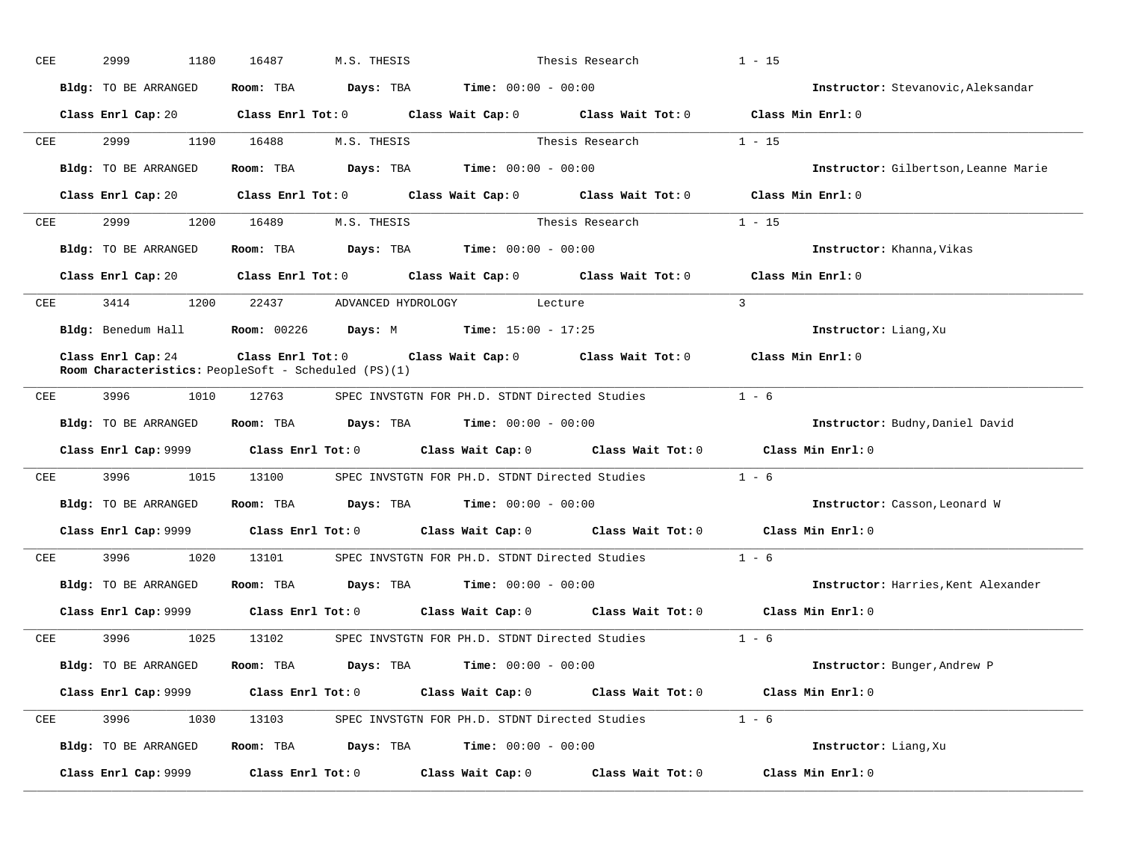| CEE |     | 2999<br>1180         | 16487<br>M.S. THESIS                                                                                                         |                                                | Thesis Research                             |                                                            | $1 - 15$                             |
|-----|-----|----------------------|------------------------------------------------------------------------------------------------------------------------------|------------------------------------------------|---------------------------------------------|------------------------------------------------------------|--------------------------------------|
|     |     | Bldg: TO BE ARRANGED |                                                                                                                              |                                                | Room: TBA $Days:$ TBA $Time: 00:00 - 00:00$ |                                                            | Instructor: Stevanovic, Aleksandar   |
|     |     |                      | Class Enrl Cap: 20 Class Enrl Tot: 0 Class Wait Cap: 0 Class Wait Tot: 0 Class Min Enrl: 0                                   |                                                |                                             |                                                            |                                      |
|     | CEE | 2999 — 100           | 1190  16488  M.S. THESIS                                                                                                     |                                                |                                             | Thesis Research                                            | $1 - 15$                             |
|     |     | Bldg: TO BE ARRANGED | Room: TBA $Days: TBA$ Time: $00:00 - 00:00$                                                                                  |                                                |                                             |                                                            | Instructor: Gilbertson, Leanne Marie |
|     |     |                      | Class Enrl Cap: 20 Class Enrl Tot: 0 Class Wait Cap: 0 Class Wait Tot: 0 Class Min Enrl: 0                                   |                                                |                                             |                                                            |                                      |
|     |     |                      | CEE 2999 1200 16489 M.S. THESIS                                                                                              |                                                |                                             | Thesis Research                                            | $1 - 15$                             |
|     |     | Bldg: TO BE ARRANGED | Room: TBA $Days:$ TBA $Time: 00:00 - 00:00$                                                                                  |                                                |                                             |                                                            | Instructor: Khanna, Vikas            |
|     |     |                      | Class Enrl Cap: 20 Class Enrl Tot: 0 Class Wait Cap: 0 Class Wait Tot: 0 Class Min Enrl: 0                                   |                                                |                                             |                                                            |                                      |
|     |     |                      | CEE 3414 1200 22437 ADVANCED HYDROLOGY Lecture                                                                               |                                                |                                             |                                                            | $\overline{3}$                       |
|     |     |                      | Bldg: Benedum Hall <b>Room:</b> 00226 <b>Days:</b> M <b>Time:</b> 15:00 - 17:25                                              |                                                |                                             |                                                            | Instructor: Liang, Xu                |
|     |     | Class Enrl Cap: 24   | Class Enrl Tot: $0$ Class Wait Cap: $0$ Class Wait Tot: $0$<br><b>Room Characteristics:</b> PeopleSoft - Scheduled $(PS)(1)$ |                                                |                                             |                                                            | Class Min Enrl: 0                    |
|     |     | CEE 3996<br>1010     | 12763                                                                                                                        | SPEC INVSTGTN FOR PH.D. STDNT Directed Studies |                                             |                                                            | $1 - 6$                              |
|     |     | Bldg: TO BE ARRANGED | Room: TBA $Days:$ TBA $Time: 00:00 - 00:00$                                                                                  |                                                |                                             |                                                            | Instructor: Budny, Daniel David      |
|     |     |                      | Class Enrl Cap: $9999$ Class Enrl Tot: 0 Class Wait Cap: 0 Class Wait Tot: 0                                                 |                                                |                                             |                                                            | Class Min Enrl: 0                    |
|     |     |                      | CEE 3996 1015 13100 SPEC INVSTGTN FOR PH.D. STDNT Directed Studies                                                           |                                                |                                             |                                                            | $1 - 6$                              |
|     |     | Bldg: TO BE ARRANGED | Room: TBA $Days:$ TBA $Time: 00:00 - 00:00$                                                                                  |                                                |                                             |                                                            | Instructor: Casson, Leonard W        |
|     |     |                      | Class Enrl Cap: 9999 Class Enrl Tot: 0 Class Wait Cap: 0 Class Wait Tot: 0 Class Min Enrl: 0                                 |                                                |                                             |                                                            |                                      |
|     |     |                      | CEE 3996 1020 13101 SPEC INVSTGTN FOR PH.D. STDNT Directed Studies 1 - 6                                                     |                                                |                                             |                                                            |                                      |
|     |     |                      | Bldg: TO BE ARRANGED Room: TBA Days: TBA Time: 00:00 - 00:00                                                                 |                                                |                                             |                                                            | Instructor: Harries, Kent Alexander  |
|     |     |                      | Class Enrl Cap: 9999 Class Enrl Tot: 0 Class Wait Cap: 0 Class Wait Tot: 0 Class Min Enrl: 0                                 |                                                |                                             |                                                            |                                      |
| CEE |     | 3996 1025            |                                                                                                                              |                                                |                                             | 13102 SPEC INVSTGTN FOR PH.D. STDNT Directed Studies 1 - 6 |                                      |
|     |     | Bldg: TO BE ARRANGED | Room: TBA $Days:$ TBA $Time: 00:00 - 00:00$                                                                                  |                                                |                                             |                                                            | Instructor: Bunger, Andrew P         |
|     |     |                      | Class Enrl Cap: 9999 Class Enrl Tot: 0 Class Wait Cap: 0 Class Wait Tot: 0 Class Min Enrl: 0                                 |                                                |                                             |                                                            |                                      |
| CEE |     |                      | 3996 1030 13103 SPEC INVSTGTN FOR PH.D. STDNT Directed Studies 1 - 6                                                         |                                                |                                             |                                                            |                                      |
|     |     | Bldg: TO BE ARRANGED | Room: TBA $Days: TBA$ Time: $00:00 - 00:00$                                                                                  |                                                |                                             |                                                            | Instructor: Liang, Xu                |
|     |     | Class Enrl Cap: 9999 | Class Enrl Tot: $0$ Class Wait Cap: $0$ Class Wait Tot: $0$                                                                  |                                                |                                             |                                                            | Class Min Enrl: 0                    |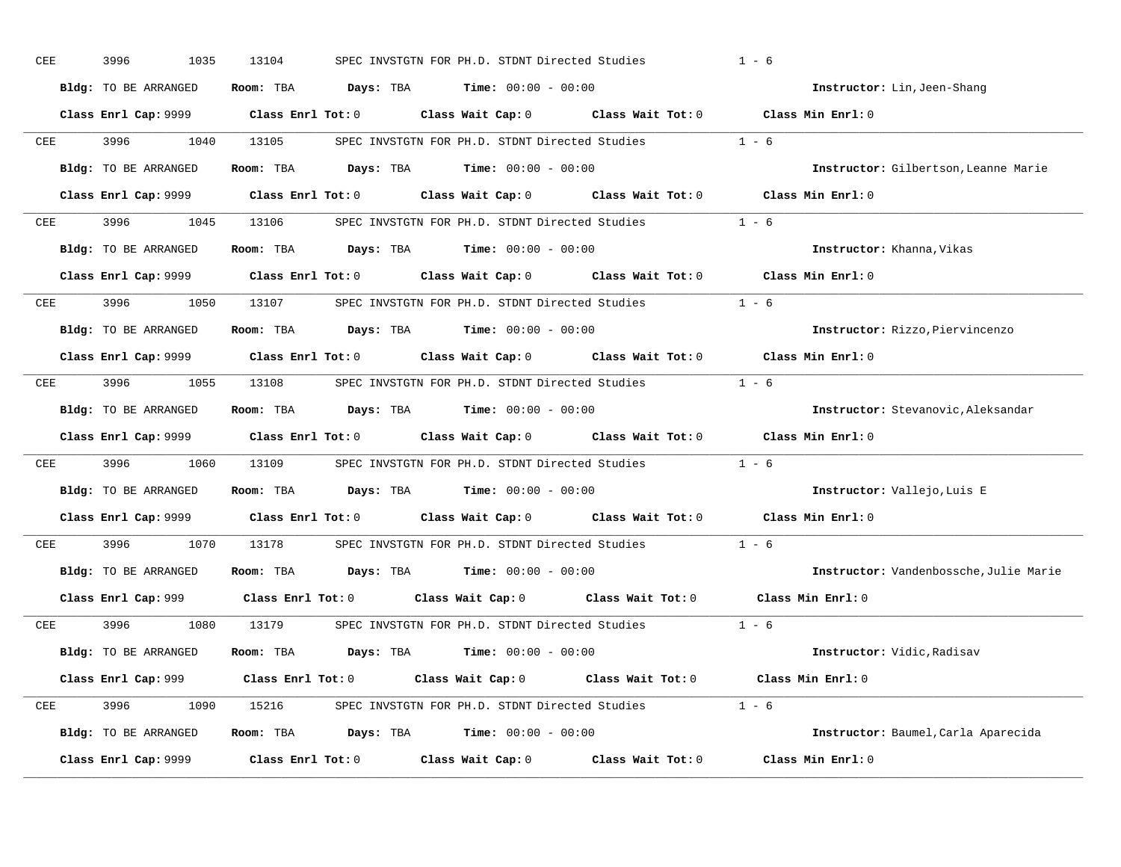| CEE | 3996<br>1035         | 13104                                                                                        | SPEC INVSTGTN FOR PH.D. STDNT Directed Studies        |                   | $1 - 6$                                |  |
|-----|----------------------|----------------------------------------------------------------------------------------------|-------------------------------------------------------|-------------------|----------------------------------------|--|
|     | Bldg: TO BE ARRANGED | Room: TBA $Days:$ TBA $Time: 00:00 - 00:00$                                                  |                                                       |                   | Instructor: Lin, Jeen-Shang            |  |
|     |                      | Class Enrl Cap: 9999 Class Enrl Tot: 0 Class Wait Cap: 0 Class Wait Tot: 0 Class Min Enrl: 0 |                                                       |                   |                                        |  |
| CEE | 3996<br>1040         | 13105                                                                                        | SPEC INVSTGTN FOR PH.D. STDNT Directed Studies        |                   | $1 - 6$                                |  |
|     | Bldg: TO BE ARRANGED | Room: TBA $Days:$ TBA $Time: 00:00 - 00:00$                                                  |                                                       |                   | Instructor: Gilbertson, Leanne Marie   |  |
|     |                      | Class Enrl Cap: 9999 Class Enrl Tot: 0 Class Wait Cap: 0 Class Wait Tot: 0 Class Min Enrl: 0 |                                                       |                   |                                        |  |
| CEE | 3996 1045            | 13106 SPEC INVSTGTN FOR PH.D. STDNT Directed Studies 1 - 6                                   |                                                       |                   |                                        |  |
|     | Bldg: TO BE ARRANGED | Room: TBA $Days:$ TBA $Time: 00:00 - 00:00$                                                  |                                                       |                   | Instructor: Khanna, Vikas              |  |
|     |                      | Class Enrl Cap: $9999$ Class Enrl Tot: 0                                                     | Class Wait Cap: 0 Class Wait Tot: 0 Class Min Enrl: 0 |                   |                                        |  |
| CEE | 3996 700<br>1050     | 13107                                                                                        | SPEC INVSTGTN FOR PH.D. STDNT Directed Studies        | $1 - 6$           |                                        |  |
|     | Bldg: TO BE ARRANGED | Room: TBA $Days:$ TBA $Time: 00:00 - 00:00$                                                  |                                                       |                   | Instructor: Rizzo, Piervincenzo        |  |
|     |                      | Class Enrl Cap: 9999 Class Enrl Tot: 0 Class Wait Cap: 0 Class Wait Tot: 0 Class Min Enrl: 0 |                                                       |                   |                                        |  |
| CEE | 3996<br>1055         | 13108 SPEC INVSTGTN FOR PH.D. STDNT Directed Studies 1 - 6                                   |                                                       |                   |                                        |  |
|     | Bldg: TO BE ARRANGED | Room: TBA $Days:$ TBA $Time: 00:00 - 00:00$                                                  |                                                       |                   | Instructor: Stevanovic, Aleksandar     |  |
|     |                      | Class Enrl Cap: 9999 Class Enrl Tot: 0 Class Wait Cap: 0 Class Wait Tot: 0 Class Min Enrl: 0 |                                                       |                   |                                        |  |
| CEE | 3996<br>1060         | 13109 SPEC INVSTGTN FOR PH.D. STDNT Directed Studies                                         |                                                       |                   | $1 - 6$                                |  |
|     | Bldg: TO BE ARRANGED | Room: TBA $Days:$ TBA $Time: 00:00 - 00:00$                                                  |                                                       |                   | Instructor: Vallejo, Luis E            |  |
|     |                      | Class Enrl Cap: 9999 Class Enrl Tot: 0 Class Wait Cap: 0 Class Wait Tot: 0 Class Min Enrl: 0 |                                                       |                   |                                        |  |
| CEE | 3996<br>1070         | 13178                                                                                        | SPEC INVSTGTN FOR PH.D. STDNT Directed Studies        |                   | $1 - 6$                                |  |
|     | Bldg: TO BE ARRANGED | Room: TBA $Days:$ TBA $Time: 00:00 - 00:00$                                                  |                                                       |                   | Instructor: Vandenbossche, Julie Marie |  |
|     |                      | Class Enrl Cap: $999$ Class Enrl Tot: 0 Class Wait Cap: 0 Class Wait Tot: 0                  |                                                       |                   | Class Min Enrl: 0                      |  |
| CEE | 3996<br>1080         | 13179                                                                                        | SPEC INVSTGTN FOR PH.D. STDNT Directed Studies 1 - 6  |                   |                                        |  |
|     | Bldg: TO BE ARRANGED | Room: TBA $Days:$ TBA $Time: 00:00 - 00:00$                                                  |                                                       |                   | Instructor: Vidic, Radisav             |  |
|     |                      | Class Enrl Cap: 999 Class Enrl Tot: 0 Class Wait Cap: 0 Class Wait Tot: 0                    |                                                       |                   | Class Min Enrl: 0                      |  |
| CEE |                      | 3996 1090 15216 SPEC INVSTGTN FOR PH.D. STDNT Directed Studies 1 - 6                         |                                                       |                   |                                        |  |
|     | Bldg: TO BE ARRANGED | Room: TBA $Days: TBA$ Time: $00:00 - 00:00$                                                  |                                                       |                   | Instructor: Baumel, Carla Aparecida    |  |
|     | Class Enrl Cap: 9999 | Class Enrl Tot: 0                                                                            | Class Wait Cap: 0                                     | Class Wait Tot: 0 | Class Min Enrl: 0                      |  |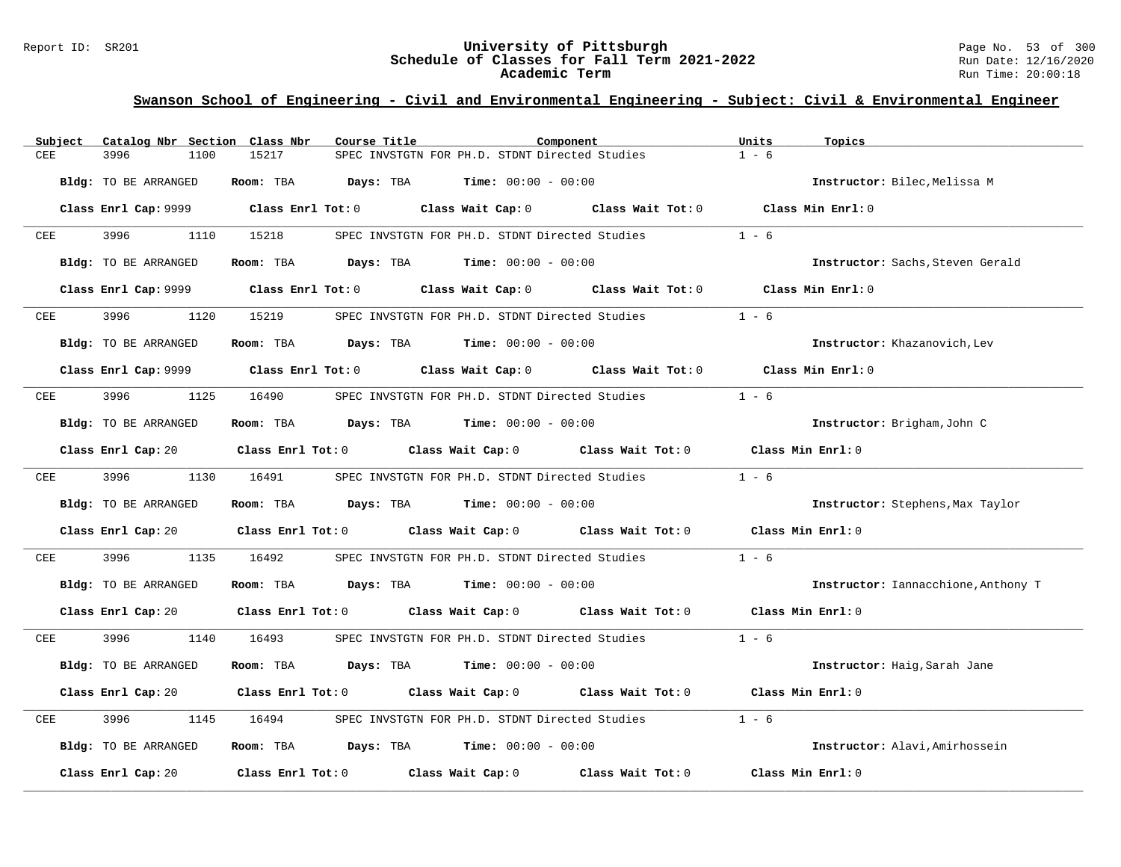#### Report ID: SR201 **University of Pittsburgh** Page No. 53 of 300 **Schedule of Classes for Fall Term 2021-2022** Run Date: 12/16/2020 **Academic Term** Run Time: 20:00:18

| Subject | Catalog Nbr Section Class Nbr | Course Title                                                | Component                                                                                  | Units<br>Topics                     |
|---------|-------------------------------|-------------------------------------------------------------|--------------------------------------------------------------------------------------------|-------------------------------------|
| CEE     | 3996<br>1100                  | 15217                                                       | SPEC INVSTGTN FOR PH.D. STDNT Directed Studies                                             | $1 - 6$                             |
|         | Bldg: TO BE ARRANGED          | Room: TBA<br>Days: TBA                                      | $Time: 00:00 - 00:00$                                                                      | Instructor: Bilec, Melissa M        |
|         | Class Enrl Cap: 9999          | $Class$ $Enr1$ $Tot: 0$                                     | Class Wait Cap: 0 Class Wait Tot: 0 Class Min Enrl: 0                                      |                                     |
| CEE     | 3996<br>1110                  | 15218                                                       | SPEC INVSTGTN FOR PH.D. STDNT Directed Studies                                             | $1 - 6$                             |
|         | Bldg: TO BE ARRANGED          | Room: TBA $Days:$ TBA $Time: 00:00 - 00:00$                 |                                                                                            | Instructor: Sachs, Steven Gerald    |
|         | Class Enrl Cap: 9999          | Class Enrl Tot: 0 Class Wait Cap: 0                         |                                                                                            | Class Wait Tot: 0 Class Min Enrl: 0 |
| CEE     | 3996<br>1120                  | 15219                                                       | SPEC INVSTGTN FOR PH.D. STDNT Directed Studies                                             | $1 - 6$                             |
|         | Bldg: TO BE ARRANGED          | Room: TBA $Days:$ TBA $Time: 00:00 - 00:00$                 |                                                                                            | Instructor: Khazanovich, Lev        |
|         |                               | Class Enrl Cap: 9999 Class Enrl Tot: 0                      | Class Wait Cap: 0 Class Wait Tot: 0                                                        | Class Min Enrl: 0                   |
| CEE     | 3996<br>1125                  | 16490                                                       | SPEC INVSTGTN FOR PH.D. STDNT Directed Studies                                             | $1 - 6$                             |
|         | Bldg: TO BE ARRANGED          | Room: TBA $Days:$ TBA $Time: 00:00 - 00:00$                 |                                                                                            | Instructor: Brigham, John C         |
|         | Class Enrl Cap: 20            | Class Enrl Tot: 0 Class Wait Cap: 0 Class Wait Tot: 0       |                                                                                            | Class Min Enrl: 0                   |
| CEE     | 3996 1996<br>1130             | 16491                                                       | SPEC INVSTGTN FOR PH.D. STDNT Directed Studies                                             | $1 - 6$                             |
|         | Bldg: TO BE ARRANGED          | Room: TBA<br><b>Days:</b> TBA <b>Time:</b> $00:00 - 00:00$  |                                                                                            | Instructor: Stephens, Max Taylor    |
|         | Class Enrl Cap: 20            | Class Enrl Tot: $0$ Class Wait Cap: $0$ Class Wait Tot: $0$ |                                                                                            | Class Min Enrl: 0                   |
| CEE     | 3996<br>1135                  | 16492                                                       | SPEC INVSTGTN FOR PH.D. STDNT Directed Studies                                             | $1 - 6$                             |
|         | Bldg: TO BE ARRANGED          | Room: TBA $Days:$ TBA $Time: 00:00 - 00:00$                 |                                                                                            | Instructor: Iannacchione, Anthony T |
|         |                               |                                                             | Class Enrl Cap: 20 Class Enrl Tot: 0 Class Wait Cap: 0 Class Wait Tot: 0 Class Min Enrl: 0 |                                     |
| CEE     | 3996<br>1140                  | 16493                                                       | SPEC INVSTGTN FOR PH.D. STDNT Directed Studies                                             | $1 - 6$                             |
|         | Bldg: TO BE ARRANGED          | $Days: TBA$ Time: $00:00 - 00:00$<br>Room: TBA              |                                                                                            | Instructor: Haig, Sarah Jane        |
|         | Class Enrl Cap: 20            | Class Enrl Tot: 0 Class Wait Cap: 0 Class Wait Tot: 0       |                                                                                            | Class Min Enrl: 0                   |
| CEE     | 3996<br>1145                  | 16494                                                       | SPEC INVSTGTN FOR PH.D. STDNT Directed Studies                                             | $1 - 6$                             |
|         | Bldg: TO BE ARRANGED          | Room: TBA $Days: TBA$ Time: $00:00 - 00:00$                 |                                                                                            | Instructor: Alavi, Amirhossein      |
|         | Class Enrl Cap: 20            | Class Enrl Tot: 0 Class Wait Cap: 0 Class Wait Tot: 0       |                                                                                            | Class Min Enrl: 0                   |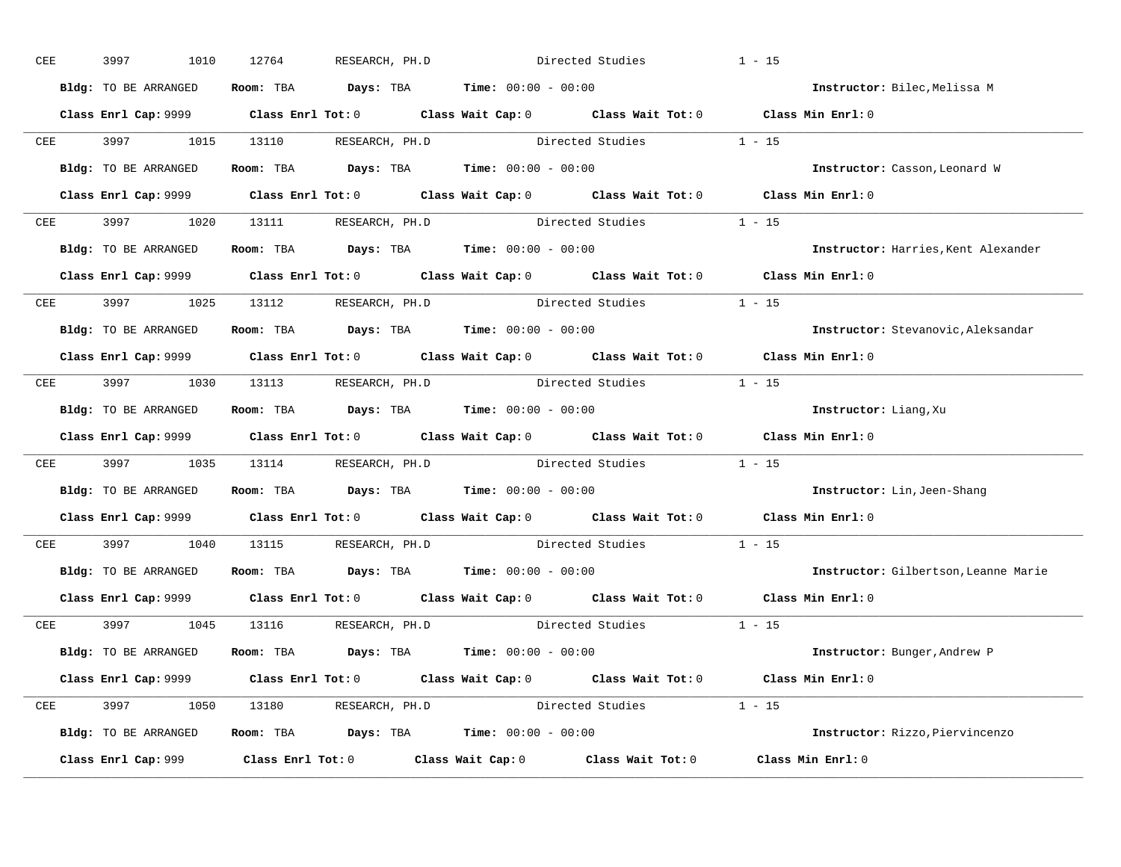| CEE        | 3997<br>1010         | 12764<br>RESEARCH, PH.D                                                                      |                  | Directed Studies        | $1 - 15$                             |  |
|------------|----------------------|----------------------------------------------------------------------------------------------|------------------|-------------------------|--------------------------------------|--|
|            | Bldg: TO BE ARRANGED | Room: TBA $Days: TBA$ Time: $00:00 - 00:00$                                                  |                  |                         | Instructor: Bilec, Melissa M         |  |
|            |                      | Class Enrl Cap: 9999 Class Enrl Tot: 0 Class Wait Cap: 0 Class Wait Tot: 0 Class Min Enrl: 0 |                  |                         |                                      |  |
|            |                      | CEE 3997 1015 13110 RESEARCH, PH.D Directed Studies 1 - 15                                   |                  |                         |                                      |  |
|            | Bldg: TO BE ARRANGED | Room: TBA $Days:$ TBA Time: $00:00 - 00:00$                                                  |                  |                         | Instructor: Casson, Leonard W        |  |
|            |                      | Class Enrl Cap: 9999 Class Enrl Tot: 0 Class Wait Cap: 0 Class Wait Tot: 0 Class Min Enrl: 0 |                  |                         |                                      |  |
|            |                      | CEE 3997 1020 13111 RESEARCH, PH.D Directed Studies 1 - 15                                   |                  |                         |                                      |  |
|            |                      | <b>Bldg:</b> TO BE ARRANGED <b>Room:</b> TBA <b>Days:</b> TBA <b>Time:</b> $00:00 - 00:00$   |                  |                         | Instructor: Harries, Kent Alexander  |  |
|            |                      | Class Enrl Cap: 9999 Class Enrl Tot: 0 Class Wait Cap: 0 Class Wait Tot: 0 Class Min Enrl: 0 |                  |                         |                                      |  |
|            |                      | CEE 3997 1025 13112 RESEARCH, PH.D                                                           | Directed Studies |                         | $1 - 15$                             |  |
|            | Bldg: TO BE ARRANGED | Room: TBA $Days:$ TBA $Time: 00:00 - 00:00$                                                  |                  |                         | Instructor: Stevanovic, Aleksandar   |  |
|            |                      | Class Enrl Cap: 9999 Class Enrl Tot: 0 Class Wait Cap: 0 Class Wait Tot: 0 Class Min Enrl: 0 |                  |                         |                                      |  |
|            |                      | CEE 3997 1030 13113 RESEARCH, PH.D Directed Studies 1 - 15                                   |                  |                         |                                      |  |
|            | Bldg: TO BE ARRANGED | Room: TBA $Days:$ TBA $Time: 00:00 - 00:00$                                                  |                  |                         | Instructor: Liang, Xu                |  |
|            |                      | Class Enrl Cap: 9999 Class Enrl Tot: 0 Class Wait Cap: 0 Class Wait Tot: 0 Class Min Enrl: 0 |                  |                         |                                      |  |
| CEE        |                      | 3997 1035 13114 RESEARCH, PH.D Directed Studies 1 - 15                                       |                  |                         |                                      |  |
|            | Bldg: TO BE ARRANGED | Room: TBA $Days:$ TBA $Time: 00:00 - 00:00$                                                  |                  |                         | Instructor: Lin, Jeen-Shang          |  |
|            |                      | Class Enrl Cap: 9999 Class Enrl Tot: 0 Class Wait Cap: 0 Class Wait Tot: 0 Class Min Enrl: 0 |                  |                         |                                      |  |
| <b>CEE</b> | 3997 1040            | 13115 RESEARCH, PH.D Directed Studies 1 - 15                                                 |                  |                         |                                      |  |
|            |                      | Bldg: TO BE ARRANGED Room: TBA Days: TBA Time: 00:00 - 00:00                                 |                  |                         | Instructor: Gilbertson, Leanne Marie |  |
|            |                      | Class Enrl Cap: 9999 Class Enrl Tot: 0 Class Wait Cap: 0 Class Wait Tot: 0 Class Min Enrl: 0 |                  |                         |                                      |  |
|            |                      | CEE 3997 1045 13116 RESEARCH, PH.D                                                           |                  | Directed Studies 1 - 15 |                                      |  |
|            |                      | <b>Bldg:</b> TO BE ARRANGED <b>Room:</b> TBA <b>Days:</b> TBA <b>Time:</b> $00:00 - 00:00$   |                  |                         | Instructor: Bunger, Andrew P         |  |
|            |                      | Class Enrl Cap: 9999 Class Enrl Tot: 0 Class Wait Cap: 0 Class Wait Tot: 0 Class Min Enrl: 0 |                  |                         |                                      |  |
|            |                      | CEE 3997 1050 13180 RESEARCH, PH.D Directed Studies 1 - 15                                   |                  |                         |                                      |  |
|            |                      | Bldg: TO BE ARRANGED Room: TBA Days: TBA Time: 00:00 - 00:00                                 |                  |                         | Instructor: Rizzo, Piervincenzo      |  |
|            |                      |                                                                                              |                  |                         | Class Min Enrl: 0                    |  |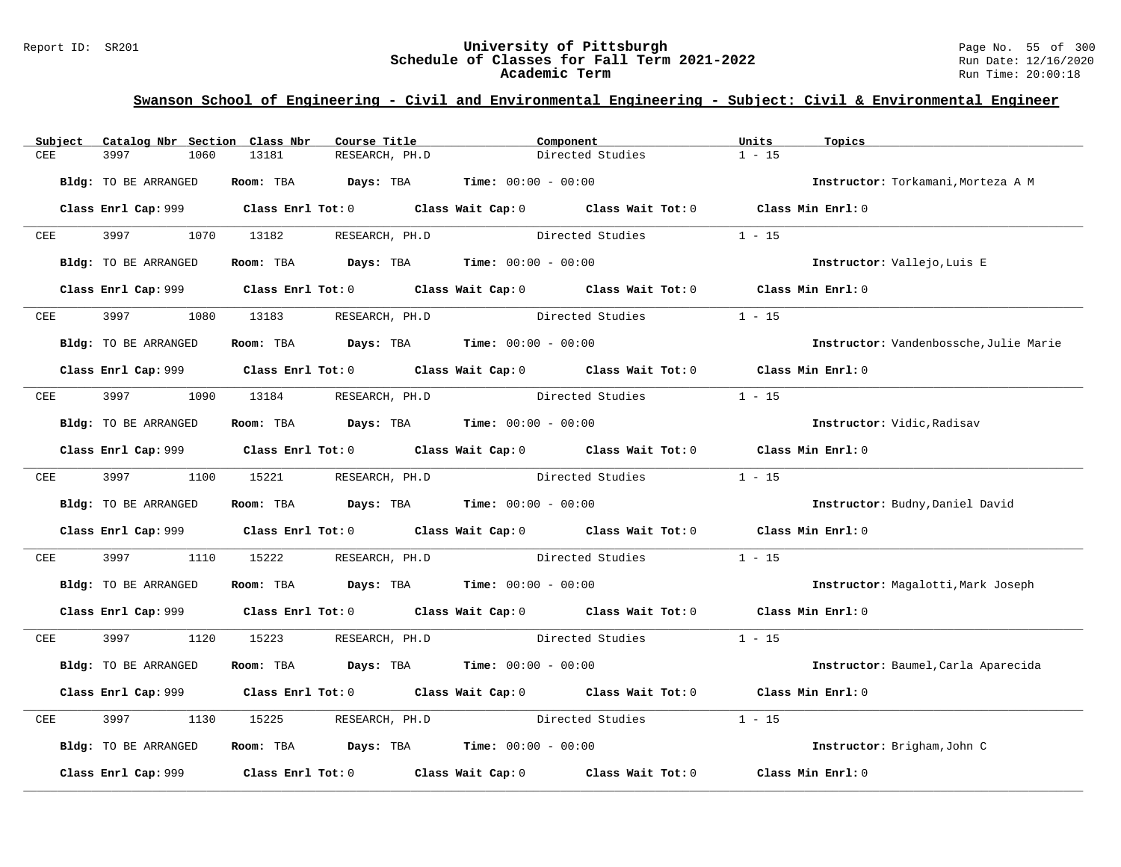### Report ID: SR201 **University of Pittsburgh University of Pittsburgh** Page No. 55 of 300<br>**Schedule of Classes for Fall Term 2021-2022** Run Date: 12/16/2020 **Schedule of Classes for Fall Term 2021-2022** Run Date: 12/16/2020 **Academic Term** Run Time: 20:00:18

| CEE<br>3997<br>13181<br>RESEARCH, PH.D<br>Directed Studies<br>1060<br>Room: TBA<br>$\texttt{DayS:}$ TBA $\texttt{Time:}$ 00:00 - 00:00<br>Bldg: TO BE ARRANGED | $1 - 15$<br>Instructor: Torkamani, Morteza A M |
|----------------------------------------------------------------------------------------------------------------------------------------------------------------|------------------------------------------------|
|                                                                                                                                                                |                                                |
|                                                                                                                                                                |                                                |
|                                                                                                                                                                |                                                |
| Class Enrl Cap: 999 Class Enrl Tot: 0 Class Wait Cap: 0 Class Wait Tot: 0 Class Min Enrl: 0                                                                    |                                                |
| 1070<br>13182<br>Directed Studies<br>CEE<br>RESEARCH, PH.D                                                                                                     | $1 - 15$                                       |
| Room: TBA $Days:$ TBA $Time: 00:00 - 00:00$<br>Bldg: TO BE ARRANGED                                                                                            | Instructor: Vallejo, Luis E                    |
|                                                                                                                                                                |                                                |
| Class Enrl Tot: 0 $\qquad$ Class Wait Cap: 0 $\qquad$ Class Wait Tot: 0 $\qquad$ Class Min Enrl: 0<br>Class Enrl Cap: 999                                      |                                                |
| 3997<br>1080<br>Directed Studies<br>CEE<br>13183 RESEARCH, PH.D                                                                                                | $1 - 15$                                       |
| Bldg: TO BE ARRANGED<br>Room: TBA $Days: TBA$ Time: $00:00 - 00:00$                                                                                            | Instructor: Vandenbossche, Julie Marie         |
|                                                                                                                                                                |                                                |
| Class Enrl Cap: 999 Class Enrl Tot: 0 Class Wait Cap: 0 Class Wait Tot: 0 Class Min Enrl: 0                                                                    |                                                |
| RESEARCH, PH.D Directed Studies<br>3997 — 100<br>1090<br>13184<br>CEE                                                                                          | $1 - 15$                                       |
| Room: TBA $\rule{1em}{0.15mm}$ Days: TBA Time: $00:00 - 00:00$<br>Bldg: TO BE ARRANGED                                                                         | Instructor: Vidic, Radisav                     |
| Class Enrl Cap: 999 Class Enrl Tot: 0 Class Wait Cap: 0 Class Wait Tot: 0 Class Min Enrl: 0                                                                    |                                                |
|                                                                                                                                                                |                                                |
| 3997 399<br>1100<br>15221 RESEARCH, PH.D<br>Directed Studies<br>CEE                                                                                            | $1 - 15$                                       |
| Room: TBA $Days:$ TBA $Time: 00:00 - 00:00$<br>Bldg: TO BE ARRANGED                                                                                            | Instructor: Budny, Daniel David                |
| Class Enrl Cap: 999 Class Enrl Tot: 0 Class Wait Cap: 0 Class Wait Tot: 0                                                                                      | Class Min Enrl: 0                              |
|                                                                                                                                                                |                                                |
| RESEARCH, PH.D Directed Studies<br>3997<br>1110<br>15222<br>CEE                                                                                                | $1 - 15$                                       |
| Room: TBA $Days:$ TBA $Time: 00:00 - 00:00$<br>Bldg: TO BE ARRANGED                                                                                            | Instructor: Magalotti, Mark Joseph             |
| Class Enrl Cap: 999 Class Enrl Tot: 0 Class Wait Cap: 0 Class Wait Tot: 0 Class Min Enrl: 0                                                                    |                                                |
| 3997 — 100<br>1120<br>15223 RESEARCH, PH.D<br>Directed Studies<br>CEE                                                                                          | $1 - 15$                                       |
| Room: TBA $Days:$ TBA $Time: 00:00 - 00:00$<br>Bldg: TO BE ARRANGED                                                                                            | Instructor: Baumel, Carla Aparecida            |
|                                                                                                                                                                |                                                |
| Class Enrl Cap: 999 Class Enrl Tot: 0 Class Wait Cap: 0 Class Wait Tot: 0                                                                                      | Class Min Enrl: 0                              |
| 3997<br>1130<br>RESEARCH, PH.D Directed Studies<br>15225<br>CEE                                                                                                | $1 - 15$                                       |
| Room: TBA $Days:$ TBA $Time: 00:00 - 00:00$<br>Bldg: TO BE ARRANGED                                                                                            | Instructor: Brigham, John C                    |
| Class Enrl Tot: $0$<br>Class Enrl Cap: 999<br>Class Wait Cap: 0 Class Wait Tot: 0                                                                              | Class Min Enrl: 0                              |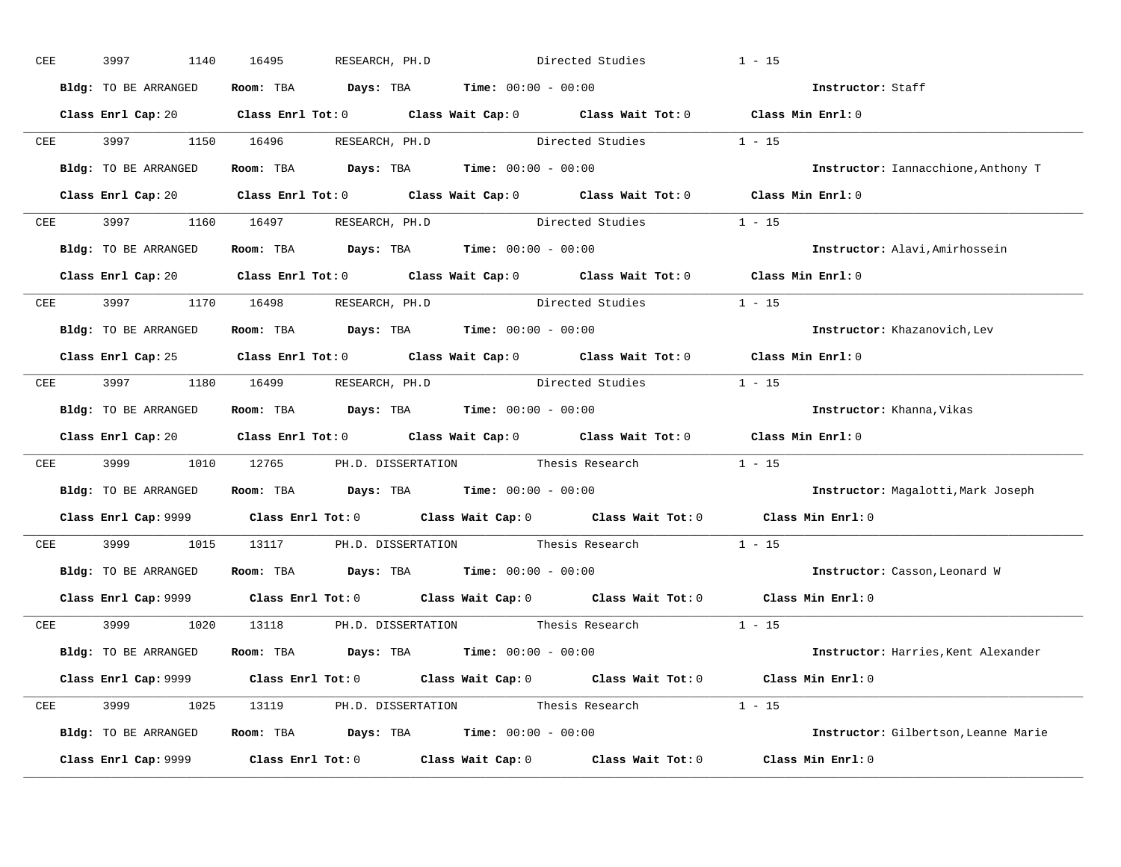| CEE | 3997<br>1140         | 16495<br>RESEARCH, PH.D                                                                                | Directed Studies                                            |                         | $1 - 15$                             |
|-----|----------------------|--------------------------------------------------------------------------------------------------------|-------------------------------------------------------------|-------------------------|--------------------------------------|
|     | Bldg: TO BE ARRANGED | Room: TBA $Days:$ TBA $Time: 00:00 - 00:00$                                                            |                                                             |                         | Instructor: Staff                    |
|     |                      | Class Enrl Cap: 20 Class Enrl Tot: 0 Class Wait Cap: 0 Class Wait Tot: 0 Class Min Enrl: 0             |                                                             |                         |                                      |
| CEE | 3997 399             | 1150 16496                                                                                             | RESEARCH, PH.D Directed Studies 1 - 15                      |                         |                                      |
|     | Bldg: TO BE ARRANGED | Room: TBA $Days:$ TBA $Time: 00:00 - 00:00$                                                            |                                                             |                         | Instructor: Iannacchione, Anthony T  |
|     |                      | Class Enrl Cap: 20 Class Enrl Tot: 0 Class Wait Cap: 0 Class Wait Tot: 0 Class Min Enrl: 0             |                                                             |                         |                                      |
|     |                      | CEE 3997 1160 16497 RESEARCH, PH.D Directed Studies 1 - 15                                             |                                                             |                         |                                      |
|     | Bldg: TO BE ARRANGED | Room: TBA $\rule{1em}{0.15mm}$ Days: TBA Time: $00:00 - 00:00$                                         |                                                             |                         | Instructor: Alavi, Amirhossein       |
|     |                      | Class Enrl Cap: 20 		 Class Enrl Tot: 0 		 Class Wait Cap: 0 		 Class Wait Tot: 0 		 Class Min Enrl: 0 |                                                             |                         |                                      |
|     |                      | CEE 3997 1170 16498 RESEARCH, PH.D                                                                     |                                                             | Directed Studies 1 - 15 |                                      |
|     | Bldg: TO BE ARRANGED |                                                                                                        | Room: TBA $Days:$ TBA $Time: 00:00 - 00:00$                 |                         | Instructor: Khazanovich, Lev         |
|     |                      | Class Enrl Cap: 25 Class Enrl Tot: 0 Class Wait Cap: 0 Class Wait Tot: 0 Class Min Enrl: 0             |                                                             |                         |                                      |
|     |                      | CEE 3997 1180 16499 RESEARCH, PH.D Directed Studies 1 - 15                                             |                                                             |                         |                                      |
|     | Bldg: TO BE ARRANGED | Room: TBA $Days:$ TBA $Time:$ $00:00 - 00:00$                                                          |                                                             |                         | Instructor: Khanna, Vikas            |
|     |                      | Class Enrl Cap: 20 		 Class Enrl Tot: 0 		 Class Wait Cap: 0 		 Class Wait Tot: 0 		 Class Min Enrl: 0 |                                                             |                         |                                      |
| CEE | 3999 1010            | 12765 PH.D. DISSERTATION Thesis Research 1 - 15                                                        |                                                             |                         |                                      |
|     |                      | Bldg: TO BE ARRANGED Room: TBA Days: TBA Time: 00:00 - 00:00                                           |                                                             |                         | Instructor: Magalotti, Mark Joseph   |
|     |                      | Class Enrl Cap: 9999 Class Enrl Tot: 0 Class Wait Cap: 0 Class Wait Tot: 0 Class Min Enrl: 0           |                                                             |                         |                                      |
| CEE | 3999 700<br>1015     | 13117                                                                                                  | PH.D. DISSERTATION Thesis Research 1 - 15                   |                         |                                      |
|     | Bldg: TO BE ARRANGED | Room: TBA $\rule{1em}{0.15mm}$ Days: TBA Time: $00:00 - 00:00$                                         |                                                             |                         | Instructor: Casson, Leonard W        |
|     |                      | Class Enrl Cap: 9999 Class Enrl Tot: 0 Class Wait Cap: 0 Class Wait Tot: 0 Class Min Enrl: 0           |                                                             |                         |                                      |
| CEE | 3999 1999<br>1020    | 13118 PH.D. DISSERTATION Thesis Research 1 - 15                                                        |                                                             |                         |                                      |
|     | Bldg: TO BE ARRANGED | Room: TBA $Days:$ TBA $Time:$ $00:00 - 00:00$                                                          |                                                             |                         | Instructor: Harries, Kent Alexander  |
|     |                      | Class Enrl Cap: 9999 Class Enrl Tot: 0 Class Wait Cap: 0 Class Wait Tot: 0 Class Min Enrl: 0           |                                                             |                         |                                      |
| CEE | 3999 1025            | 13119 PH.D. DISSERTATION Thesis Research 1 - 15                                                        |                                                             |                         |                                      |
|     | Bldg: TO BE ARRANGED | <b>Room:</b> TBA $Days:$ TBA $Time: 00:00 - 00:00$                                                     |                                                             |                         | Instructor: Gilbertson, Leanne Marie |
|     | Class Enrl Cap: 9999 |                                                                                                        | Class Enrl Tot: $0$ Class Wait Cap: $0$ Class Wait Tot: $0$ |                         | Class Min Enrl: 0                    |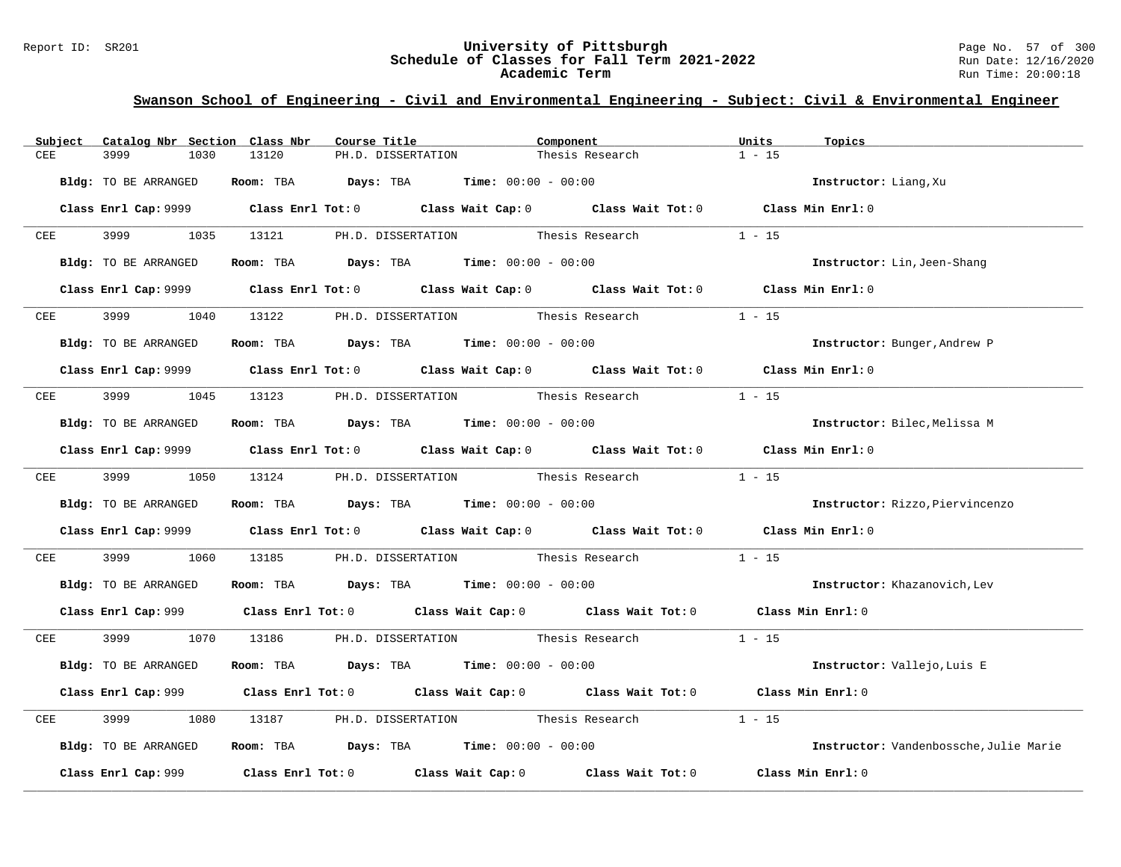#### Report ID: SR201 **University of Pittsburgh** Page No. 57 of 300 **Schedule of Classes for Fall Term 2021-2022** Run Date: 12/16/2020 **Academic Term** Run Time: 20:00:18

| Subject     | Catalog Nbr Section Class Nbr | Course Title                                | Component                                                                                    | Units<br>Topics                        |
|-------------|-------------------------------|---------------------------------------------|----------------------------------------------------------------------------------------------|----------------------------------------|
| CEE         | 3999<br>1030                  | 13120<br>PH.D. DISSERTATION                 | Thesis Research                                                                              | $1 - 15$                               |
|             | Bldg: TO BE ARRANGED          | Room: TBA $Days:$ TBA $Time: 00:00 - 00:00$ |                                                                                              | Instructor: Liang, Xu                  |
|             |                               |                                             | Class Enrl Cap: 9999 Class Enrl Tot: 0 Class Wait Cap: 0 Class Wait Tot: 0 Class Min Enrl: 0 |                                        |
| CEE         | 3999 1035                     |                                             | 13121 PH.D. DISSERTATION Thesis Research                                                     | $1 - 15$                               |
|             | Bldg: TO BE ARRANGED          | Room: TBA $Days:$ TBA $Time: 00:00 - 00:00$ |                                                                                              | Instructor: Lin, Jeen-Shang            |
|             |                               |                                             | Class Enrl Cap: 9999 Class Enrl Tot: 0 Class Wait Cap: 0 Class Wait Tot: 0 Class Min Enrl: 0 |                                        |
| CEE         | 3999<br>1040                  | 13122                                       | PH.D. DISSERTATION Thesis Research                                                           | $1 - 15$                               |
|             | Bldg: TO BE ARRANGED          | Room: TBA $Days:$ TBA $Time: 00:00 - 00:00$ |                                                                                              | Instructor: Bunger, Andrew P           |
|             |                               |                                             | Class Enrl Cap: 9999 Class Enrl Tot: 0 Class Wait Cap: 0 Class Wait Tot: 0 Class Min Enrl: 0 |                                        |
| ${\tt CEE}$ | 3999 1045                     | 13123 PH.D. DISSERTATION Thesis Research    |                                                                                              | $1 - 15$                               |
|             | Bldg: TO BE ARRANGED          | Room: TBA $Days:$ TBA $Time: 00:00 - 00:00$ |                                                                                              | Instructor: Bilec, Melissa M           |
|             |                               |                                             | Class Enrl Cap: 9999 Class Enrl Tot: 0 Class Wait Cap: 0 Class Wait Tot: 0 Class Min Enrl: 0 |                                        |
|             | CEE 3999 1050                 |                                             | 13124 PH.D. DISSERTATION Thesis Research                                                     | $1 - 15$                               |
|             | Bldg: TO BE ARRANGED          | Room: TBA $Days:$ TBA $Time: 00:00 - 00:00$ |                                                                                              | Instructor: Rizzo, Piervincenzo        |
|             |                               |                                             | Class Enrl Cap: 9999 Class Enrl Tot: 0 Class Wait Cap: 0 Class Wait Tot: 0 Class Min Enrl: 0 |                                        |
| ${\tt CEE}$ | 3999<br>1060                  |                                             | 13185 PH.D. DISSERTATION Thesis Research                                                     | $1 - 15$                               |
|             | Bldg: TO BE ARRANGED          | Room: TBA $Days:$ TBA $Time: 00:00 - 00:00$ |                                                                                              | Instructor: Khazanovich, Lev           |
|             |                               |                                             | Class Enrl Cap: 999 Class Enrl Tot: 0 Class Wait Cap: 0 Class Wait Tot: 0 Class Min Enrl: 0  |                                        |
| CEE         | 3999 1070                     |                                             | 13186 PH.D. DISSERTATION Thesis Research 1 - 15                                              |                                        |
|             | Bldg: TO BE ARRANGED          | Room: TBA $Days: TBA$ Time: $00:00 - 00:00$ |                                                                                              | Instructor: Vallejo, Luis E            |
|             |                               |                                             | Class Enrl Cap: 999 Class Enrl Tot: 0 Class Wait Cap: 0 Class Wait Tot: 0                    | Class Min Enrl: 0                      |
| CEE         | 3999<br>1080                  | 13187 PH.D. DISSERTATION Thesis Research    |                                                                                              | $1 - 15$                               |
|             | Bldg: TO BE ARRANGED          | Room: TBA $Days:$ TBA $Time: 00:00 - 00:00$ |                                                                                              | Instructor: Vandenbossche, Julie Marie |
|             | Class Enrl Cap: 999           |                                             | Class Enrl Tot: $0$ Class Wait Cap: $0$ Class Wait Tot: $0$                                  | Class Min Enrl: 0                      |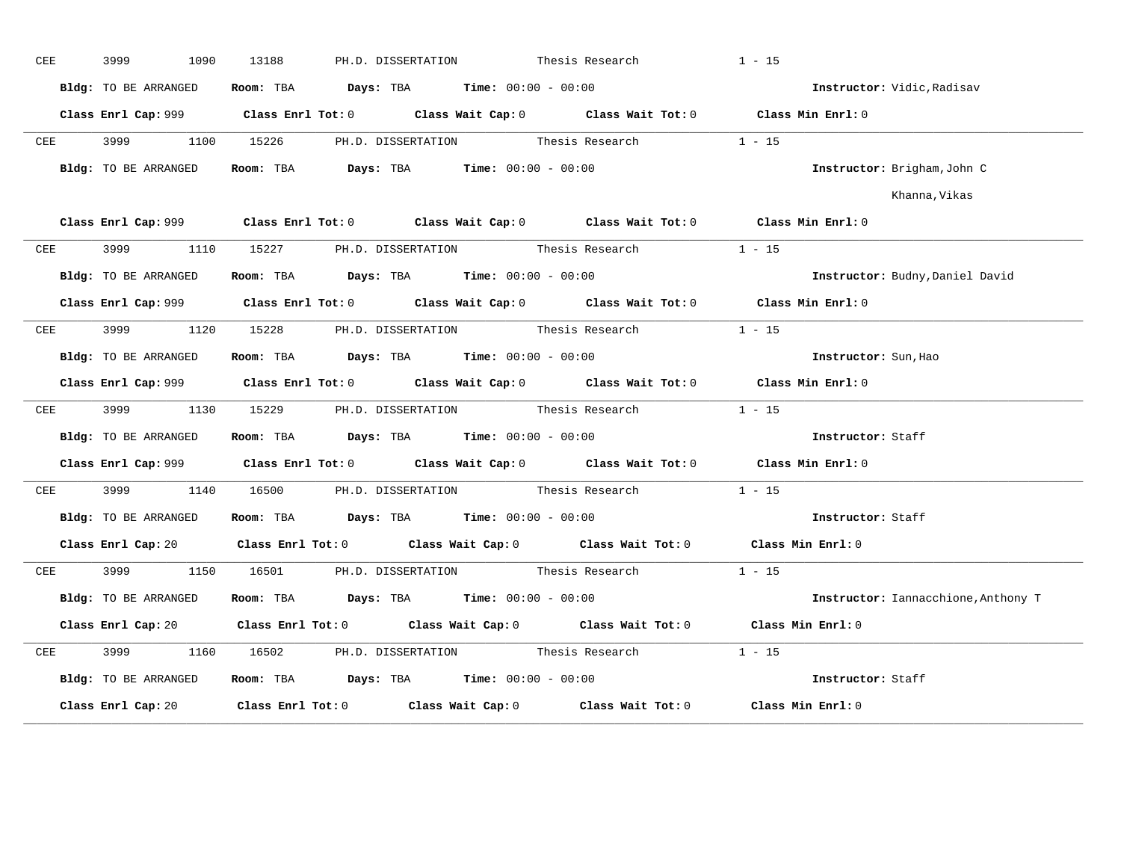| CEE        | 3999<br>1090         | 13188<br>PH.D. DISSERTATION                                                                         | Thesis Research                           | $1 - 15$                            |
|------------|----------------------|-----------------------------------------------------------------------------------------------------|-------------------------------------------|-------------------------------------|
|            | Bldg: TO BE ARRANGED | <b>Room:</b> TBA $Days:$ TBA $Time: 00:00 - 00:00$                                                  |                                           | Instructor: Vidic, Radisav          |
|            |                      | Class Enrl Cap: 999 Class Enrl Tot: 0 Class Wait Cap: 0 Class Wait Tot: 0 Class Min Enrl: 0         |                                           |                                     |
| CEE        |                      | 3999 1100 15226 PH.D. DISSERTATION Thesis Research 1 - 15                                           |                                           |                                     |
|            | Bldg: TO BE ARRANGED | Room: TBA $Days:$ TBA $Time: 00:00 - 00:00$                                                         |                                           | Instructor: Brigham, John C         |
|            |                      |                                                                                                     |                                           | Khanna,Vikas                        |
|            |                      | Class Enrl Cap: 999 Class Enrl Tot: 0 Class Wait Cap: 0 Class Wait Tot: 0 Class Min Enrl: 0         |                                           |                                     |
|            |                      | CEE 3999 1110 15227 PH.D. DISSERTATION Thesis Research                                              |                                           | $1 - 15$                            |
|            | Bldg: TO BE ARRANGED | Room: TBA $Days:$ TBA $Time:$ $00:00 - 00:00$                                                       |                                           | Instructor: Budny, Daniel David     |
|            |                      | Class Enrl Cap: 999 Class Enrl Tot: 0 Class Wait Cap: 0 Class Wait Tot: 0 Class Min Enrl: 0         |                                           |                                     |
| CEE        |                      | 3999 1120 15228 PH.D. DISSERTATION Thesis Research                                                  |                                           | $1 - 15$                            |
|            | Bldg: TO BE ARRANGED | Room: TBA $Days:$ TBA $Time:$ $00:00 - 00:00$                                                       |                                           | Instructor: Sun, Hao                |
|            |                      | Class Enrl Cap: 999 Class Enrl Tot: 0 Class Wait Cap: 0 Class Wait Tot: 0 Class Min Enrl: 0         |                                           |                                     |
| <b>CEE</b> |                      | 3999 1130 15229 PH.D. DISSERTATION Thesis Research                                                  |                                           | $1 - 15$                            |
|            |                      | Bldg: TO BE ARRANGED Room: TBA Days: TBA Time: 00:00 - 00:00                                        |                                           | Instructor: Staff                   |
|            |                      | Class Enrl Cap: 999 Class Enrl Tot: 0 Class Wait Cap: 0 Class Wait Tot: 0 Class Min Enrl: 0         |                                           |                                     |
| CEE        | 3999 700             | 1140 16500 PH.D. DISSERTATION Thesis Research                                                       |                                           | $1 - 15$                            |
|            | Bldg: TO BE ARRANGED | Room: TBA $\rule{1em}{0.15mm}$ Days: TBA $\rule{1em}{0.15mm}$ Time: $00:00 - 00:00$                 |                                           | Instructor: Staff                   |
|            |                      | Class Enrl Cap: 20 Class Enrl Tot: 0 Class Wait Cap: 0 Class Wait Tot: 0 Class Min Enrl: 0          |                                           |                                     |
|            |                      | CEE 3999 1150 16501 PH.D. DISSERTATION Thesis Research 1 - 15                                       |                                           |                                     |
|            | Bldg: TO BE ARRANGED | Room: TBA $Days:$ TBA $Time: 00:00 - 00:00$                                                         |                                           | Instructor: Iannacchione, Anthony T |
|            |                      | Class Enrl Cap: 20 Class Enrl Tot: 0 Class Wait Cap: 0 Class Wait Tot: 0                            |                                           | Class Min Enrl: 0                   |
| CEE        | 3999<br>1160         | 16502                                                                                               | PH.D. DISSERTATION Thesis Research 1 - 15 |                                     |
|            | Bldg: TO BE ARRANGED | Room: TBA $Days:$ TBA $Time: 00:00 - 00:00$                                                         |                                           | Instructor: Staff                   |
|            |                      | Class Enrl Cap: 20 $\qquad$ Class Enrl Tot: 0 $\qquad$ Class Wait Cap: 0 $\qquad$ Class Wait Tot: 0 |                                           | Class Min Enrl: 0                   |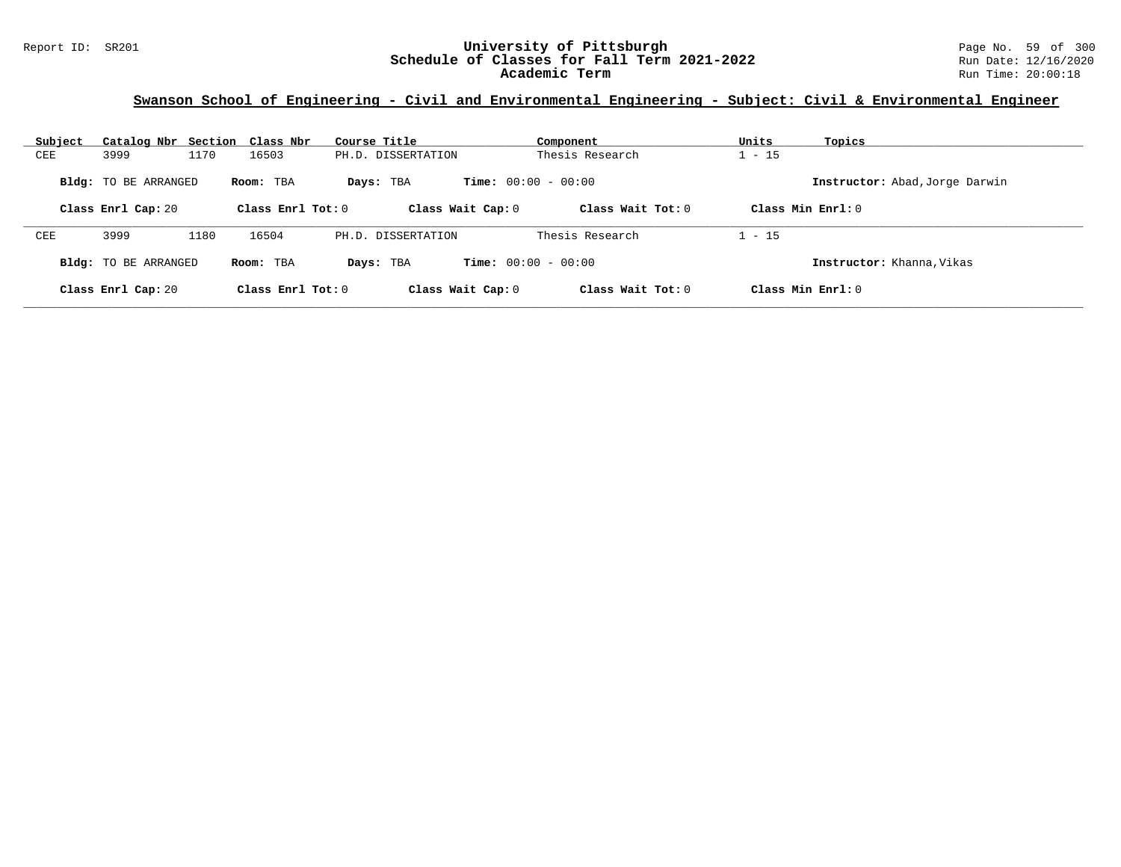| Subject                                                                               |                             | Catalog Nbr Section Class Nbr | Course Title                   | Component                    | Units<br>Topics           |  |
|---------------------------------------------------------------------------------------|-----------------------------|-------------------------------|--------------------------------|------------------------------|---------------------------|--|
| <b>CEE</b>                                                                            | 3999                        | 1170<br>16503                 | PH.D. DISSERTATION             | Thesis Research              | $1 - 15$                  |  |
| <b>Time:</b> $00:00 - 00:00$<br><b>Bldg:</b> TO BE ARRANGED<br>Room: TBA<br>Days: TBA |                             |                               | Instructor: Abad, Jorge Darwin |                              |                           |  |
|                                                                                       | Class Enrl Cap: 20          | Class Enrl Tot: $0$           | Class Wait Cap: 0              | Class Wait $Tot: 0$          | Class Min Enrl: 0         |  |
| CEE                                                                                   | 3999                        | 16504<br>1180                 | PH.D. DISSERTATION             | Thesis Research              | $1 - 15$                  |  |
|                                                                                       | <b>Bldg:</b> TO BE ARRANGED | Room: TBA                     | Days: TBA                      | <b>Time:</b> $00:00 - 00:00$ | Instructor: Khanna, Vikas |  |
|                                                                                       | Class Enrl Cap: 20          | Class Enrl Tot: $0$           | Class Wait Cap: 0              | Class Wait $Tot: 0$          | Class Min $Enrl: 0$       |  |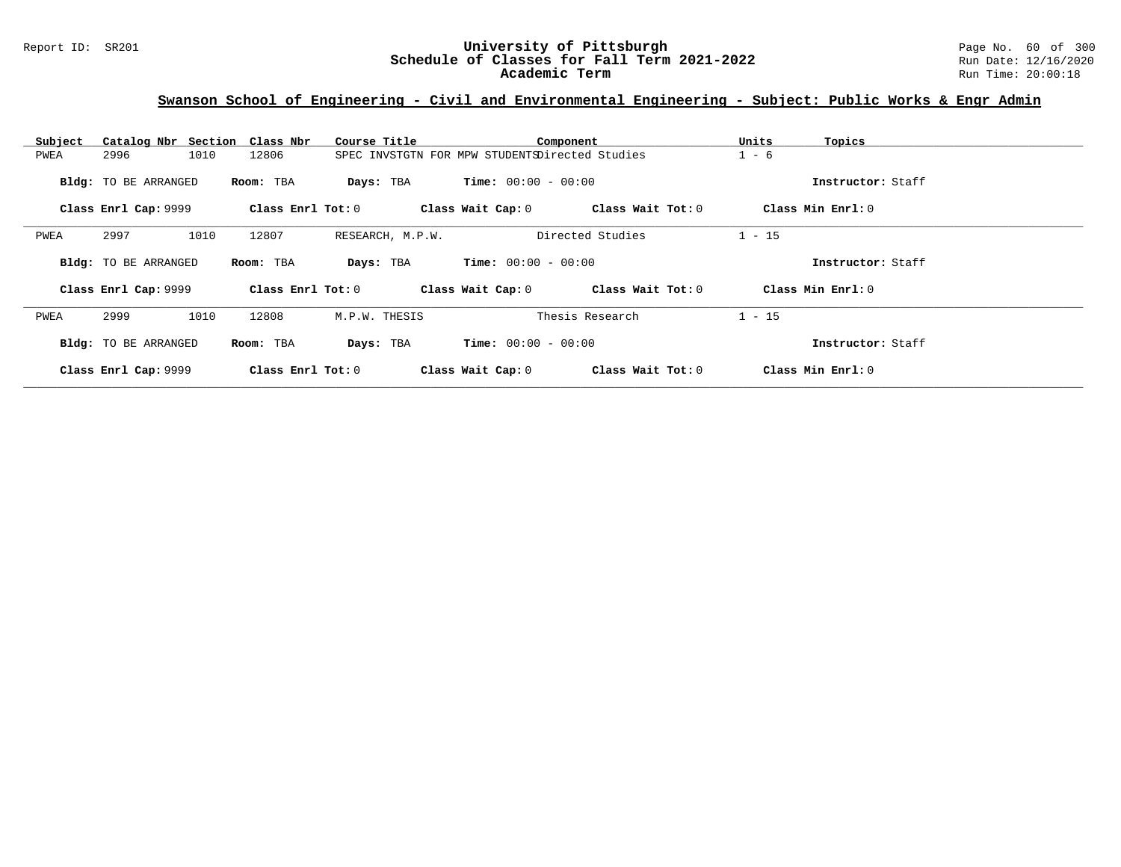# **Swanson School of Engineering - Civil and Environmental Engineering - Subject: Public Works & Engr Admin**

| Subject |                      | Catalog Nbr Section Class Nbr | Course Title     | Component                                      |                   | Units             | Topics            |
|---------|----------------------|-------------------------------|------------------|------------------------------------------------|-------------------|-------------------|-------------------|
| PWEA    | 2996                 | 1010<br>12806                 |                  | SPEC INVSTGTN FOR MPW STUDENTSDirected Studies |                   | $1 - 6$           |                   |
|         | Bldg: TO BE ARRANGED | Room: TBA                     | Days: TBA        | <b>Time:</b> $00:00 - 00:00$                   |                   |                   | Instructor: Staff |
|         | Class Enrl Cap: 9999 | Class Enrl Tot: 0             |                  | Class Wait Cap: 0                              | Class Wait Tot: 0 | Class Min Enrl: 0 |                   |
| PWEA    | 2997                 | 1010<br>12807                 | RESEARCH, M.P.W. |                                                | Directed Studies  | $1 - 15$          |                   |
|         | Bldg: TO BE ARRANGED | Room: TBA                     | Days: TBA        | <b>Time:</b> $00:00 - 00:00$                   |                   |                   | Instructor: Staff |
|         | Class Enrl Cap: 9999 | Class Enrl Tot: 0             |                  | Class Wait Cap: 0                              | Class Wait Tot: 0 | Class Min Enrl: 0 |                   |
| PWEA    | 2999                 | 1010<br>12808                 | M.P.W. THESIS    |                                                | Thesis Research   | $1 - 15$          |                   |
|         | Bldg: TO BE ARRANGED | Room: TBA                     | Days: TBA        | <b>Time:</b> $00:00 - 00:00$                   |                   |                   | Instructor: Staff |
|         | Class Enrl Cap: 9999 | Class Enrl Tot: 0             |                  | Class Wait Cap: 0                              | Class Wait Tot: 0 | Class Min Enrl: 0 |                   |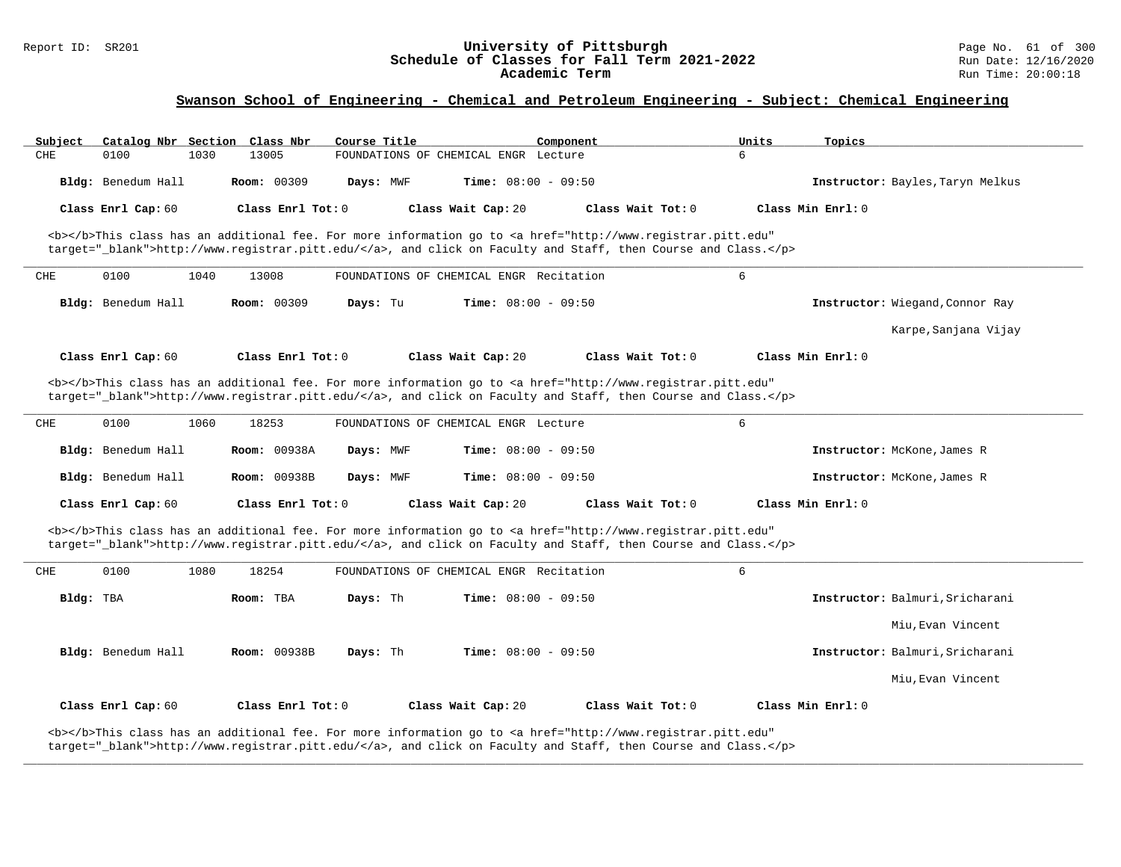#### Report ID: SR201 **University of Pittsburgh** Page No. 61 of 300 **Schedule of Classes for Fall Term 2021-2022** Run Date: 12/16/2020 **Academic Term** Run Time: 20:00:18

### **Swanson School of Engineering - Chemical and Petroleum Engineering - Subject: Chemical Engineering**

| Catalog Nbr Section Class Nbr<br>Course Title | Component                            | Units<br>Topics                                                                                                                                                                                                                                                                                                                                                                                                                                                                                                                                                                                                                                                                                                                                                                                                                                                                                                |
|-----------------------------------------------|--------------------------------------|----------------------------------------------------------------------------------------------------------------------------------------------------------------------------------------------------------------------------------------------------------------------------------------------------------------------------------------------------------------------------------------------------------------------------------------------------------------------------------------------------------------------------------------------------------------------------------------------------------------------------------------------------------------------------------------------------------------------------------------------------------------------------------------------------------------------------------------------------------------------------------------------------------------|
| 13005<br>1030                                 | FOUNDATIONS OF CHEMICAL ENGR Lecture | 6                                                                                                                                                                                                                                                                                                                                                                                                                                                                                                                                                                                                                                                                                                                                                                                                                                                                                                              |
| Room: 00309<br>Days: MWF                      | <b>Time:</b> $08:00 - 09:50$         | Instructor: Bayles, Taryn Melkus                                                                                                                                                                                                                                                                                                                                                                                                                                                                                                                                                                                                                                                                                                                                                                                                                                                                               |
| Class Enrl Tot: 0                             | Class Wait Tot: 0                    | Class Min Enrl: 0                                                                                                                                                                                                                                                                                                                                                                                                                                                                                                                                                                                                                                                                                                                                                                                                                                                                                              |
|                                               |                                      |                                                                                                                                                                                                                                                                                                                                                                                                                                                                                                                                                                                                                                                                                                                                                                                                                                                                                                                |
| 13008                                         |                                      | 6                                                                                                                                                                                                                                                                                                                                                                                                                                                                                                                                                                                                                                                                                                                                                                                                                                                                                                              |
| Room: 00309<br>Days: Tu                       | <b>Time:</b> $08:00 - 09:50$         | Instructor: Wiegand, Connor Ray                                                                                                                                                                                                                                                                                                                                                                                                                                                                                                                                                                                                                                                                                                                                                                                                                                                                                |
|                                               |                                      | Karpe, Sanjana Vijay                                                                                                                                                                                                                                                                                                                                                                                                                                                                                                                                                                                                                                                                                                                                                                                                                                                                                           |
| Class Enrl Tot: 0                             | Class Wait Tot: 0                    | Class Min Enrl: 0                                                                                                                                                                                                                                                                                                                                                                                                                                                                                                                                                                                                                                                                                                                                                                                                                                                                                              |
|                                               |                                      |                                                                                                                                                                                                                                                                                                                                                                                                                                                                                                                                                                                                                                                                                                                                                                                                                                                                                                                |
|                                               |                                      |                                                                                                                                                                                                                                                                                                                                                                                                                                                                                                                                                                                                                                                                                                                                                                                                                                                                                                                |
| 18253                                         |                                      | 6                                                                                                                                                                                                                                                                                                                                                                                                                                                                                                                                                                                                                                                                                                                                                                                                                                                                                                              |
| Room: 00938A<br>Days: MWF                     | <b>Time:</b> $08:00 - 09:50$         | Instructor: McKone, James R                                                                                                                                                                                                                                                                                                                                                                                                                                                                                                                                                                                                                                                                                                                                                                                                                                                                                    |
| Room: 00938B<br>Days: MWF                     | Time: $08:00 - 09:50$                | Instructor: McKone, James R                                                                                                                                                                                                                                                                                                                                                                                                                                                                                                                                                                                                                                                                                                                                                                                                                                                                                    |
| Class Enrl Tot: 0                             | Class Wait Tot: 0                    | Class Min Enrl: 0                                                                                                                                                                                                                                                                                                                                                                                                                                                                                                                                                                                                                                                                                                                                                                                                                                                                                              |
|                                               |                                      |                                                                                                                                                                                                                                                                                                                                                                                                                                                                                                                                                                                                                                                                                                                                                                                                                                                                                                                |
| 18254                                         |                                      | 6                                                                                                                                                                                                                                                                                                                                                                                                                                                                                                                                                                                                                                                                                                                                                                                                                                                                                                              |
| Room: TBA<br>Days: Th                         | Time: $08:00 - 09:50$                | Instructor: Balmuri, Sricharani                                                                                                                                                                                                                                                                                                                                                                                                                                                                                                                                                                                                                                                                                                                                                                                                                                                                                |
|                                               |                                      | Miu, Evan Vincent                                                                                                                                                                                                                                                                                                                                                                                                                                                                                                                                                                                                                                                                                                                                                                                                                                                                                              |
|                                               |                                      |                                                                                                                                                                                                                                                                                                                                                                                                                                                                                                                                                                                                                                                                                                                                                                                                                                                                                                                |
| <b>Room: 00938B</b><br>Days: Th               | <b>Time:</b> $08:00 - 09:50$         | Instructor: Balmuri, Sricharani                                                                                                                                                                                                                                                                                                                                                                                                                                                                                                                                                                                                                                                                                                                                                                                                                                                                                |
|                                               |                                      | Miu, Evan Vincent                                                                                                                                                                                                                                                                                                                                                                                                                                                                                                                                                                                                                                                                                                                                                                                                                                                                                              |
|                                               | 1040<br>1060<br>1080                 | Class Wait Cap: 20<br><b></b> This class has an additional fee. For more information go to <a <br="" href="http://www.registrar.pitt.edu">target="_blank"&gt;http://www.registrar.pitt.edu/</a> , and click on Faculty and Staff, then Course and Class.<br>FOUNDATIONS OF CHEMICAL ENGR Recitation<br>Class Wait Cap: 20<br><b></b> This class has an additional fee. For more information go to <a <br="" href="http://www.registrar.pitt.edu">target="_blank"&gt;http://www.registrar.pitt.edu/</a> , and click on Faculty and Staff, then Course and Class.<br>FOUNDATIONS OF CHEMICAL ENGR Lecture<br>Class Wait Cap: 20<br><b></b> This class has an additional fee. For more information go to <a <br="" href="http://www.registrar.pitt.edu">target="_blank"&gt;http://www.registrar.pitt.edu/</a> , and click on Faculty and Staff, then Course and Class.<br>FOUNDATIONS OF CHEMICAL ENGR Recitation |

**\_\_\_\_\_\_\_\_\_\_\_\_\_\_\_\_\_\_\_\_\_\_\_\_\_\_\_\_\_\_\_\_\_\_\_\_\_\_\_\_\_\_\_\_\_\_\_\_\_\_\_\_\_\_\_\_\_\_\_\_\_\_\_\_\_\_\_\_\_\_\_\_\_\_\_\_\_\_\_\_\_\_\_\_\_\_\_\_\_\_\_\_\_\_\_\_\_\_\_\_\_\_\_\_\_\_\_\_\_\_\_\_\_\_\_\_\_\_\_\_\_\_\_\_\_\_\_\_\_\_\_\_\_\_\_\_\_\_\_\_\_\_\_\_\_\_\_\_\_\_\_\_\_\_\_\_**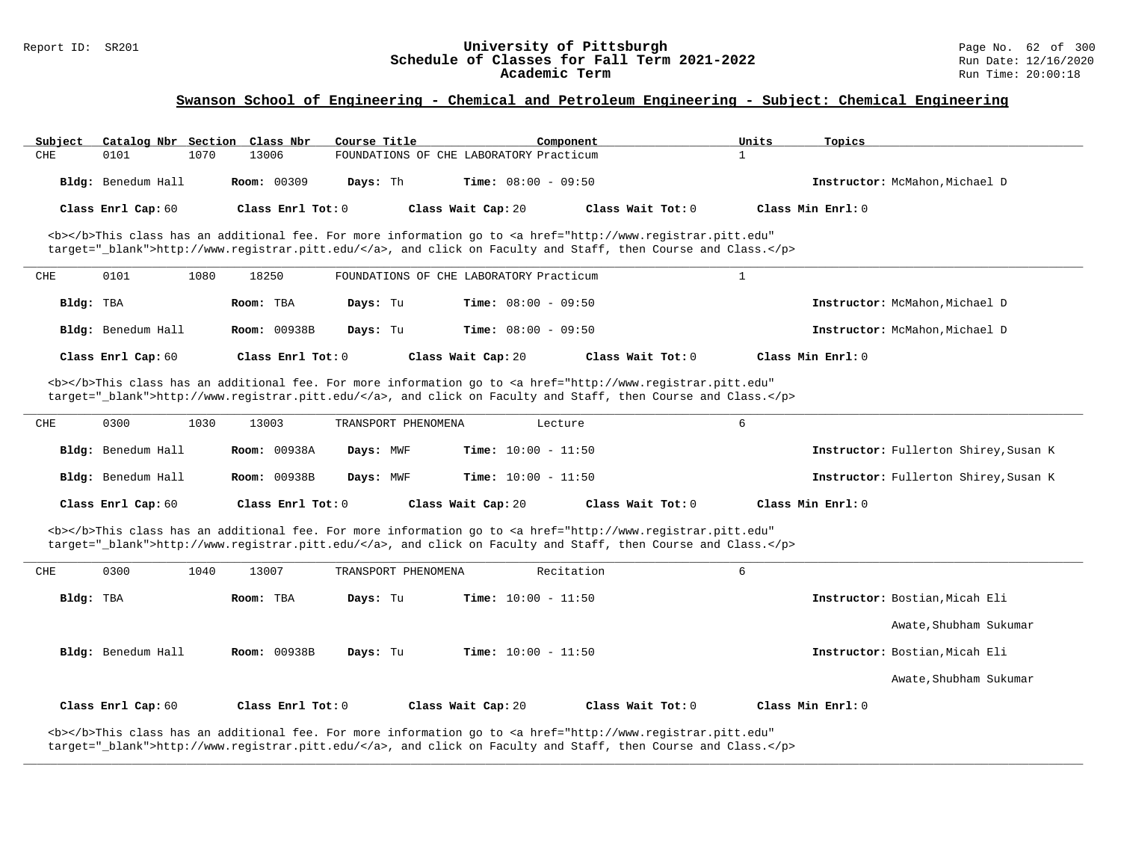| Subject | Catalog Nbr Section |      | Class Nbr          | Course Title                            |                              | Component         | Units | Topics                         |
|---------|---------------------|------|--------------------|-----------------------------------------|------------------------------|-------------------|-------|--------------------------------|
| CHE     | 0101                | 1070 | 13006              | FOUNDATIONS OF CHE LABORATORY Practicum |                              |                   |       |                                |
|         | Bldg: Benedum Hall  |      | <b>Room: 00309</b> | Davs: Th                                | <b>Time:</b> $08:00 - 09:50$ |                   |       | Instructor: McMahon, Michael D |
|         | Class Enrl Cap: 60  |      | Class Enrl Tot: 0  |                                         | Class Wait Cap: 20           | Class Wait Tot: 0 |       | Class Min Enrl: 0              |

<b></b>This class has an additional fee. For more information go to <a href="http://www.registrar.pitt.edu" target="\_blank">http://www.registrar.pitt.edu/</a>, and click on Faculty and Staff, then Course and Class.</p>

| CHE       | 0101               | 1080 | 18250               | FOUNDATIONS OF CHE LABORATORY Practicum |                              |                   |                                |
|-----------|--------------------|------|---------------------|-----------------------------------------|------------------------------|-------------------|--------------------------------|
| Bldg: TBA |                    |      | Room: TBA           | Davs: Tu                                | <b>Time:</b> $08:00 - 09:50$ |                   | Instructor: McMahon, Michael D |
|           | Bldg: Benedum Hall |      | <b>Room: 00938B</b> | Days: Tu                                | <b>Time:</b> $08:00 - 09:50$ |                   | Instructor: McMahon, Michael D |
|           | Class Enrl Cap: 60 |      | Class Enrl Tot: 0   |                                         | Class Wait Cap: 20           | Class Wait Tot: 0 | Class Min Enrl: 0              |

<b></b>This class has an additional fee. For more information go to <a href="http://www.registrar.pitt.edu" target=" blank">http://www.registrar.pitt.edu/</a>, and click on Faculty and Staff, then Course and Class.</p>

| CHE | 0300               | 1030 | 13003               | TRANSPORT PHENOMENA |                              | Lecture           |                                              |
|-----|--------------------|------|---------------------|---------------------|------------------------------|-------------------|----------------------------------------------|
|     | Bldg: Benedum Hall |      | <b>Room: 00938A</b> | Days: MWF           | <b>Time:</b> $10:00 - 11:50$ |                   | Instructor: Fullerton Shirey, Susan K        |
|     | Bldg: Benedum Hall |      | <b>Room: 00938B</b> | Days: MWF           | <b>Time:</b> $10:00 - 11:50$ |                   | <b>Instructor:</b> Fullerton Shirey, Susan K |
|     | Class Enrl Cap: 60 |      | Class Enrl Tot: 0   |                     | Class Wait Cap: 20           | Class Wait Tot: 0 | Class Min Enrl: 0                            |

<b></b>This class has an additional fee. For more information go to <a href="http://www.registrar.pitt.edu" target="\_blank">http://www.registrar.pitt.edu/</a>, and click on Faculty and Staff, then Course and Class.</p>

| CHE       | 0300               | 1040 | 13007               | TRANSPORT PHENOMENA |                              | Recitation        | 6                 |                                |
|-----------|--------------------|------|---------------------|---------------------|------------------------------|-------------------|-------------------|--------------------------------|
| Bldg: TBA |                    |      | Room: TBA           | Days: Tu            | <b>Time:</b> $10:00 - 11:50$ |                   |                   | Instructor: Bostian, Micah Eli |
|           |                    |      |                     |                     |                              |                   |                   | Awate, Shubham Sukumar         |
|           | Bldg: Benedum Hall |      | <b>Room: 00938B</b> | Days: Tu            | <b>Time:</b> $10:00 - 11:50$ |                   |                   | Instructor: Bostian, Micah Eli |
|           |                    |      |                     |                     |                              |                   |                   | Awate, Shubham Sukumar         |
|           | Class Enrl Cap: 60 |      | Class Enrl Tot: 0   |                     | Class Wait Cap: 20           | Class Wait Tot: 0 | Class Min Enrl: 0 |                                |

**\_\_\_\_\_\_\_\_\_\_\_\_\_\_\_\_\_\_\_\_\_\_\_\_\_\_\_\_\_\_\_\_\_\_\_\_\_\_\_\_\_\_\_\_\_\_\_\_\_\_\_\_\_\_\_\_\_\_\_\_\_\_\_\_\_\_\_\_\_\_\_\_\_\_\_\_\_\_\_\_\_\_\_\_\_\_\_\_\_\_\_\_\_\_\_\_\_\_\_\_\_\_\_\_\_\_\_\_\_\_\_\_\_\_\_\_\_\_\_\_\_\_\_\_\_\_\_\_\_\_\_\_\_\_\_\_\_\_\_\_\_\_\_\_\_\_\_\_\_\_\_\_\_\_\_\_**

<b></b>This class has an additional fee. For more information go to <a href="http://www.registrar.pitt.edu" target="\_blank">http://www.registrar.pitt.edu/</a>, and click on Faculty and Staff, then Course and Class.</p>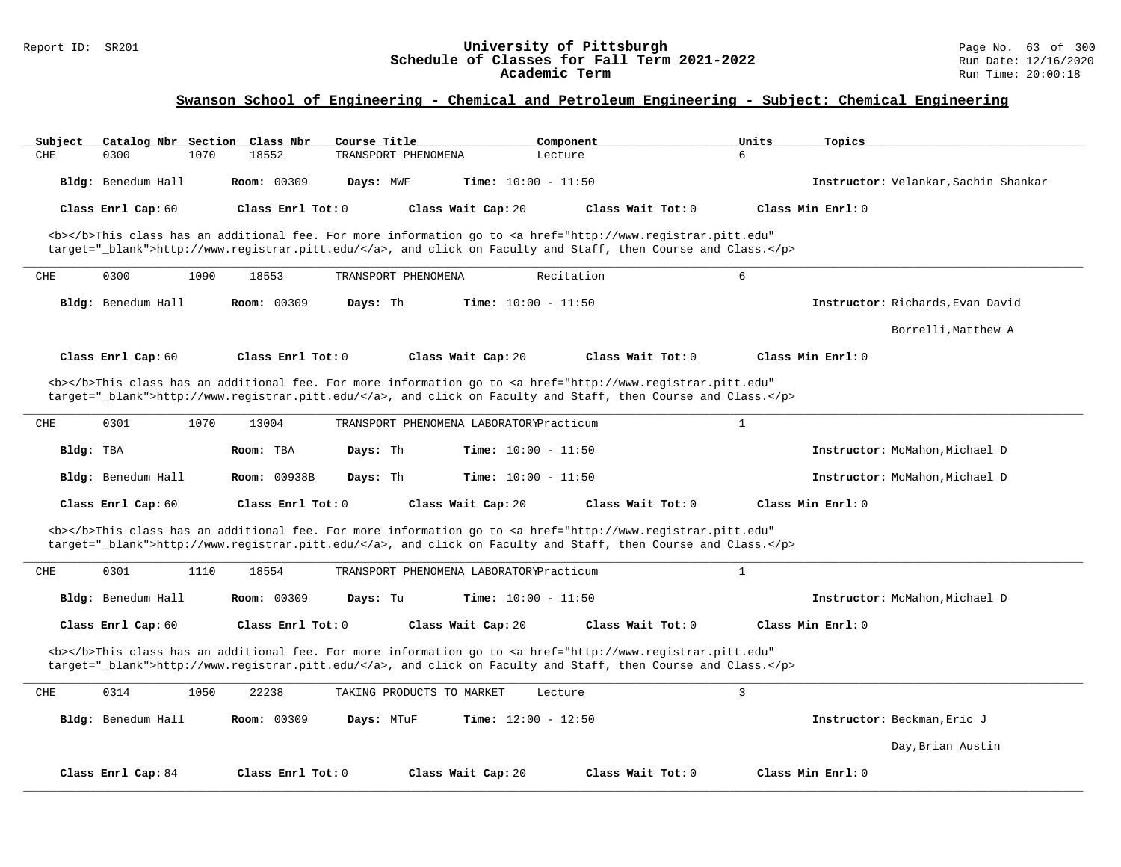| Subject             | Catalog Nbr Section Class Nbr<br>Course Title | Component                                                                                                                                                                                                                          | Units<br>Topics                      |
|---------------------|-----------------------------------------------|------------------------------------------------------------------------------------------------------------------------------------------------------------------------------------------------------------------------------------|--------------------------------------|
| CHE<br>0300<br>1070 | 18552<br>TRANSPORT PHENOMENA                  | Lecture                                                                                                                                                                                                                            | б.                                   |
| Bldg: Benedum Hall  | Room: 00309<br>Days: MWF                      | Time: $10:00 - 11:50$                                                                                                                                                                                                              | Instructor: Velankar, Sachin Shankar |
| Class Enrl Cap: 60  | Class Enrl Tot: 0                             | Class Wait Cap: 20<br>Class Wait Tot: 0                                                                                                                                                                                            | Class Min Enrl: 0                    |
|                     |                                               | <b></b> This class has an additional fee. For more information go to <a <br="" href="http://www.registrar.pitt.edu">target="_blank"&gt;http://www.registrar.pitt.edu/</a> , and click on Faculty and Staff, then Course and Class. |                                      |
| CHE<br>0300<br>1090 | 18553<br>TRANSPORT PHENOMENA                  | Recitation                                                                                                                                                                                                                         | 6                                    |
| Bldg: Benedum Hall  | Room: 00309<br>Days: Th                       | <b>Time:</b> $10:00 - 11:50$                                                                                                                                                                                                       | Instructor: Richards, Evan David     |
|                     |                                               |                                                                                                                                                                                                                                    | Borrelli, Matthew A                  |
| Class Enrl Cap: 60  | Class Enrl Tot: 0                             | Class Wait Cap: 20<br>Class Wait Tot: 0                                                                                                                                                                                            | Class Min Enrl: 0                    |
|                     |                                               | <b></b> This class has an additional fee. For more information go to <a <br="" href="http://www.registrar.pitt.edu">target=" blank"&gt;http://www.registrar.pitt.edu/</a> , and click on Faculty and Staff, then Course and Class. |                                      |
| CHE<br>0301<br>1070 | 13004                                         | TRANSPORT PHENOMENA LABORATORYPracticum                                                                                                                                                                                            | $\mathbf{1}$                         |
| Bldg: TBA           | Room: TBA<br>Days: Th                         | Time: $10:00 - 11:50$                                                                                                                                                                                                              | Instructor: McMahon, Michael D       |
| Bldg: Benedum Hall  | <b>Room: 00938B</b><br>Days: Th               | <b>Time:</b> $10:00 - 11:50$                                                                                                                                                                                                       | Instructor: McMahon, Michael D       |
| Class Enrl Cap: 60  | Class Enrl Tot: 0                             | Class Wait Cap: 20<br>Class Wait Tot: 0                                                                                                                                                                                            | Class Min Enrl: 0                    |
|                     |                                               | <b></b> This class has an additional fee. For more information go to <a <br="" href="http://www.registrar.pitt.edu">target="_blank"&gt;http://www.registrar.pitt.edu/</a> , and click on Faculty and Staff, then Course and Class. |                                      |
| 0301<br>CHE<br>1110 | 18554                                         | TRANSPORT PHENOMENA LABORATORYPracticum                                                                                                                                                                                            | $\mathbf{1}$                         |
| Bldg: Benedum Hall  | <b>Room: 00309</b><br>Days: Tu                | <b>Time:</b> $10:00 - 11:50$                                                                                                                                                                                                       | Instructor: McMahon, Michael D       |
| Class Enrl Cap: 60  | Class Enrl Tot: $0$                           | Class Wait Cap: 20<br>Class Wait Tot: 0                                                                                                                                                                                            | Class Min Enrl: 0                    |
|                     |                                               | <b></b> This class has an additional fee. For more information go to <a <br="" href="http://www.registrar.pitt.edu">target="_blank"&gt;http://www.registrar.pitt.edu/</a> , and click on Faculty and Staff, then Course and Class. |                                      |
| CHE<br>0314<br>1050 | 22238<br>TAKING PRODUCTS TO MARKET            | Lecture                                                                                                                                                                                                                            | $\overline{3}$                       |
| Bldg: Benedum Hall  | <b>Room: 00309</b><br>Days: MTuF              | <b>Time:</b> $12:00 - 12:50$                                                                                                                                                                                                       | Instructor: Beckman, Eric J          |
|                     |                                               |                                                                                                                                                                                                                                    | Day, Brian Austin                    |
| Class Enrl Cap: 84  | Class Enrl Tot: 0                             | Class Wait Cap: 20<br>Class Wait Tot: 0                                                                                                                                                                                            | Class Min Enrl: 0                    |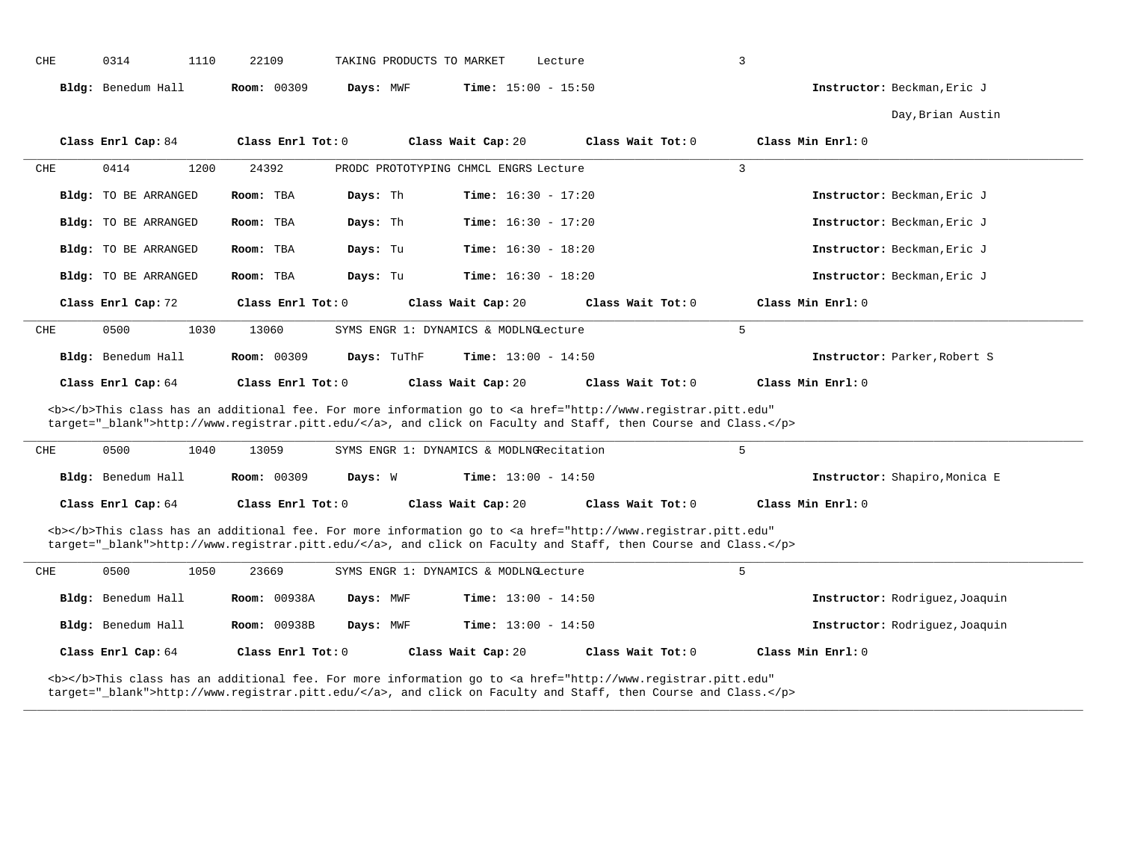| CHE                                                                                                                                                                                                                                | 0314<br>1110                | 22109               | TAKING PRODUCTS TO MARKET                | Lecture                                                                                                                                                                                                                            | 3                              |  |  |
|------------------------------------------------------------------------------------------------------------------------------------------------------------------------------------------------------------------------------------|-----------------------------|---------------------|------------------------------------------|------------------------------------------------------------------------------------------------------------------------------------------------------------------------------------------------------------------------------------|--------------------------------|--|--|
|                                                                                                                                                                                                                                    | Bldg: Benedum Hall          | <b>Room: 00309</b>  | Days: MWF                                | <b>Time:</b> $15:00 - 15:50$                                                                                                                                                                                                       | Instructor: Beckman, Eric J    |  |  |
|                                                                                                                                                                                                                                    |                             |                     |                                          |                                                                                                                                                                                                                                    | Day, Brian Austin              |  |  |
|                                                                                                                                                                                                                                    | Class Enrl Cap: 84          | Class Enrl Tot: 0   | Class Wait Cap: 20                       | Class Wait Tot: 0                                                                                                                                                                                                                  | Class Min Enrl: 0              |  |  |
| CHE                                                                                                                                                                                                                                | 0414<br>1200                | 24392               | PRODC PROTOTYPING CHMCL ENGRS Lecture    |                                                                                                                                                                                                                                    | $\overline{3}$                 |  |  |
|                                                                                                                                                                                                                                    | Bldg: TO BE ARRANGED        | Room: TBA           | Days: Th                                 | <b>Time:</b> $16:30 - 17:20$                                                                                                                                                                                                       | Instructor: Beckman, Eric J    |  |  |
|                                                                                                                                                                                                                                    | Bldg: TO BE ARRANGED        | Room: TBA           | Days: Th                                 | <b>Time:</b> $16:30 - 17:20$                                                                                                                                                                                                       | Instructor: Beckman, Eric J    |  |  |
|                                                                                                                                                                                                                                    | <b>Bldg:</b> TO BE ARRANGED | Room: TBA           | Days: Tu                                 | <b>Time:</b> $16:30 - 18:20$                                                                                                                                                                                                       | Instructor: Beckman, Eric J    |  |  |
|                                                                                                                                                                                                                                    | Bldg: TO BE ARRANGED        | Room: TBA           | Days: Tu                                 | <b>Time:</b> $16:30 - 18:20$                                                                                                                                                                                                       | Instructor: Beckman, Eric J    |  |  |
|                                                                                                                                                                                                                                    | Class Enrl Cap: 72          | Class Enrl Tot: 0   | Class Wait Cap: 20                       | Class Wait Tot: 0                                                                                                                                                                                                                  | Class Min Enrl: 0              |  |  |
| CHE                                                                                                                                                                                                                                | 0500<br>1030                | 13060               | SYMS ENGR 1: DYNAMICS & MODLNGLecture    |                                                                                                                                                                                                                                    | 5                              |  |  |
|                                                                                                                                                                                                                                    | Bldg: Benedum Hall          | <b>Room: 00309</b>  | Days: TuThF                              | <b>Time:</b> $13:00 - 14:50$                                                                                                                                                                                                       | Instructor: Parker, Robert S   |  |  |
|                                                                                                                                                                                                                                    | Class Enrl Cap: 64          | Class Enrl Tot: 0   | Class Wait Cap: 20                       | Class Wait Tot: 0                                                                                                                                                                                                                  | Class Min Enrl: 0              |  |  |
|                                                                                                                                                                                                                                    |                             |                     |                                          | <b></b> This class has an additional fee. For more information go to <a <br="" href="http://www.registrar.pitt.edu">target="_blank"&gt;http://www.registrar.pitt.edu/</a> , and click on Faculty and Staff, then Course and Class. |                                |  |  |
| CHE                                                                                                                                                                                                                                | 0500<br>1040                | 13059               | SYMS ENGR 1: DYNAMICS & MODLNGRecitation |                                                                                                                                                                                                                                    | 5                              |  |  |
|                                                                                                                                                                                                                                    | Bldg: Benedum Hall          | Room: 00309         | Days: W                                  | <b>Time:</b> $13:00 - 14:50$                                                                                                                                                                                                       | Instructor: Shapiro, Monica E  |  |  |
|                                                                                                                                                                                                                                    | Class Enrl Cap: 64          | Class Enrl Tot: $0$ | Class Wait Cap: 20                       | Class Wait Tot: 0                                                                                                                                                                                                                  | Class Min Enrl: 0              |  |  |
| <b></b> This class has an additional fee. For more information go to <a <br="" href="http://www.registrar.pitt.edu">target="_blank"&gt;http://www.registrar.pitt.edu/</a> , and click on Faculty and Staff, then Course and Class. |                             |                     |                                          |                                                                                                                                                                                                                                    |                                |  |  |
| CHE                                                                                                                                                                                                                                | 0500<br>1050                | 23669               | SYMS ENGR 1: DYNAMICS & MODLNGLecture    |                                                                                                                                                                                                                                    | 5                              |  |  |
|                                                                                                                                                                                                                                    | Bldg: Benedum Hall          | <b>Room: 00938A</b> | Days: MWF                                | <b>Time:</b> $13:00 - 14:50$                                                                                                                                                                                                       | Instructor: Rodriquez, Joaquin |  |  |
|                                                                                                                                                                                                                                    | Bldg: Benedum Hall          | <b>Room: 00938B</b> | Days: MWF                                | <b>Time:</b> $13:00 - 14:50$                                                                                                                                                                                                       | Instructor: Rodriguez, Joaquin |  |  |
|                                                                                                                                                                                                                                    | Class Enrl Cap: 64          | Class Enrl Tot: 0   | Class Wait Cap: 20                       | Class Wait Tot: 0                                                                                                                                                                                                                  | Class Min Enrl: 0              |  |  |
|                                                                                                                                                                                                                                    |                             |                     |                                          | <b></b> This class has an additional fee. For more information go to <a <br="" href="http://www.registrar.pitt.edu">target="_blank"&gt;http://www.registrar.pitt.edu/</a> , and click on Faculty and Staff, then Course and Class. |                                |  |  |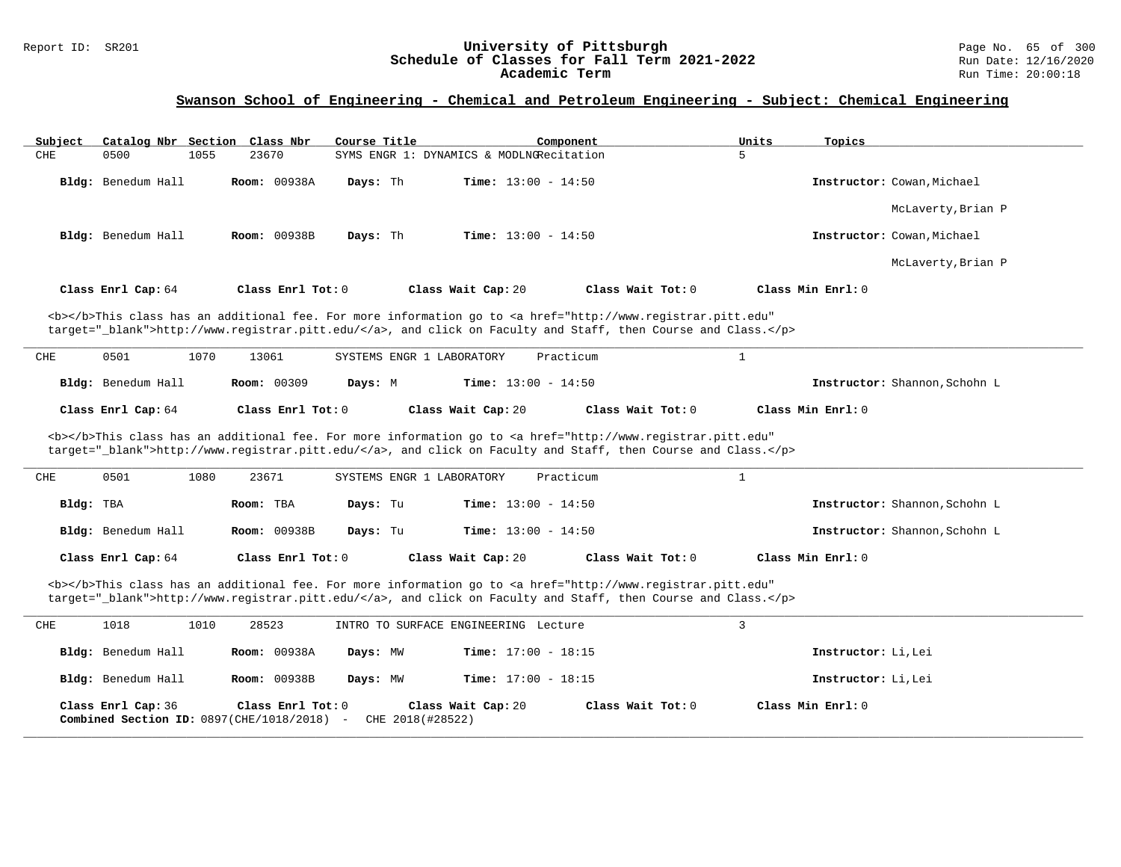| Subject   | Catalog Nbr Section                           |      | <u>Class Nbr</u>    | Course Title |                           |                                          | Component                                                                                                                                      | Units          | Topics                        |
|-----------|-----------------------------------------------|------|---------------------|--------------|---------------------------|------------------------------------------|------------------------------------------------------------------------------------------------------------------------------------------------|----------------|-------------------------------|
| CHE       | 0500                                          | 1055 | 23670               |              |                           | SYMS ENGR 1: DYNAMICS & MODLNGRecitation |                                                                                                                                                | 5              |                               |
|           |                                               |      |                     |              |                           |                                          |                                                                                                                                                |                |                               |
|           | Bldg: Benedum Hall                            |      | <b>Room: 00938A</b> | Days: Th     |                           | Time: $13:00 - 14:50$                    |                                                                                                                                                |                | Instructor: Cowan, Michael    |
|           |                                               |      |                     |              |                           |                                          |                                                                                                                                                |                |                               |
|           |                                               |      |                     |              |                           |                                          |                                                                                                                                                |                |                               |
|           |                                               |      |                     |              |                           |                                          |                                                                                                                                                |                | McLaverty, Brian P            |
|           |                                               |      |                     |              |                           |                                          |                                                                                                                                                |                |                               |
|           | Bldg: Benedum Hall                            |      | <b>Room: 00938B</b> | Days: Th     |                           | <b>Time:</b> $13:00 - 14:50$             |                                                                                                                                                |                | Instructor: Cowan, Michael    |
|           |                                               |      |                     |              |                           |                                          |                                                                                                                                                |                |                               |
|           |                                               |      |                     |              |                           |                                          |                                                                                                                                                |                | McLaverty, Brian P            |
|           |                                               |      |                     |              |                           |                                          |                                                                                                                                                |                |                               |
|           |                                               |      |                     |              |                           |                                          |                                                                                                                                                |                |                               |
|           | Class Enrl Cap: 64                            |      | Class Enrl Tot: 0   |              |                           | Class Wait Cap: 20                       | Class Wait Tot: 0                                                                                                                              |                | Class Min Enrl: 0             |
|           |                                               |      |                     |              |                           |                                          |                                                                                                                                                |                |                               |
|           |                                               |      |                     |              |                           |                                          | <b></b> This class has an additional fee. For more information go to <a <="" href="http://www.registrar.pitt.edu" td=""><td></td><td></td></a> |                |                               |
|           |                                               |      |                     |              |                           |                                          | target="_blank">http://www.registrar.pitt.edu/, and click on Faculty and Staff, then Course and Class.                                         |                |                               |
|           |                                               |      |                     |              |                           |                                          |                                                                                                                                                |                |                               |
| CHE       | 0501                                          | 1070 | 13061               |              | SYSTEMS ENGR 1 LABORATORY |                                          | Practicum                                                                                                                                      | $\mathbf{1}$   |                               |
|           |                                               |      |                     |              |                           |                                          |                                                                                                                                                |                |                               |
|           |                                               |      |                     |              |                           |                                          |                                                                                                                                                |                |                               |
|           | Bldg: Benedum Hall                            |      | Room: 00309         | Days: M      |                           | <b>Time:</b> $13:00 - 14:50$             |                                                                                                                                                |                | Instructor: Shannon, Schohn L |
|           |                                               |      |                     |              |                           |                                          |                                                                                                                                                |                |                               |
|           | Class Enrl Cap: 64                            |      | Class Enrl Tot: 0   |              |                           | Class Wait Cap: 20                       | Class Wait Tot: 0                                                                                                                              |                | Class Min Enrl: 0             |
|           |                                               |      |                     |              |                           |                                          |                                                                                                                                                |                |                               |
|           |                                               |      |                     |              |                           |                                          |                                                                                                                                                |                |                               |
|           |                                               |      |                     |              |                           |                                          |                                                                                                                                                |                |                               |
|           |                                               |      |                     |              |                           |                                          | <b></b> This class has an additional fee. For more information go to <a <="" href="http://www.registrar.pitt.edu" td=""><td></td><td></td></a> |                |                               |
|           |                                               |      |                     |              |                           |                                          | target="_blank">http://www.registrar.pitt.edu/, and click on Faculty and Staff, then Course and Class.                                         |                |                               |
|           |                                               |      |                     |              |                           |                                          |                                                                                                                                                |                |                               |
| CHE       | 0501                                          | 1080 | 23671               |              | SYSTEMS ENGR 1 LABORATORY |                                          | Practicum                                                                                                                                      | $\mathbf{1}$   |                               |
|           |                                               |      |                     |              |                           |                                          |                                                                                                                                                |                |                               |
| Bldg: TBA |                                               |      | Room: TBA           | Days: Tu     |                           | <b>Time:</b> $13:00 - 14:50$             |                                                                                                                                                |                | Instructor: Shannon, Schohn L |
|           |                                               |      |                     |              |                           |                                          |                                                                                                                                                |                |                               |
|           |                                               |      |                     |              |                           |                                          |                                                                                                                                                |                |                               |
|           | Bldg: Benedum Hall                            |      | <b>Room: 00938B</b> | Days: Tu     |                           | <b>Time:</b> $13:00 - 14:50$             |                                                                                                                                                |                | Instructor: Shannon, Schohn L |
|           |                                               |      |                     |              |                           |                                          |                                                                                                                                                |                |                               |
|           | Class Enrl Cap: 64                            |      | Class Enrl Tot: 0   |              |                           | Class Wait Cap: 20                       | Class Wait Tot: 0                                                                                                                              |                | Class Min Enrl: 0             |
|           |                                               |      |                     |              |                           |                                          |                                                                                                                                                |                |                               |
|           |                                               |      |                     |              |                           |                                          | <b></b> This class has an additional fee. For more information go to <a <="" href="http://www.registrar.pitt.edu" td=""><td></td><td></td></a> |                |                               |
|           |                                               |      |                     |              |                           |                                          | target="_blank">http://www.registrar.pitt.edu/, and click on Faculty and Staff, then Course and Class.                                         |                |                               |
|           |                                               |      |                     |              |                           |                                          |                                                                                                                                                |                |                               |
|           |                                               |      |                     |              |                           |                                          |                                                                                                                                                |                |                               |
| CHE       | 1018                                          | 1010 | 28523               |              |                           | INTRO TO SURFACE ENGINEERING Lecture     |                                                                                                                                                | $\overline{3}$ |                               |
|           |                                               |      |                     |              |                           |                                          |                                                                                                                                                |                |                               |
|           | Bldg: Benedum Hall                            |      | <b>Room: 00938A</b> | Days: MW     |                           | <b>Time:</b> $17:00 - 18:15$             |                                                                                                                                                |                | Instructor: Li, Lei           |
|           |                                               |      |                     |              |                           |                                          |                                                                                                                                                |                |                               |
|           |                                               |      | Room: 00938B        | Days: MW     |                           | Time: $17:00 - 18:15$                    |                                                                                                                                                |                |                               |
|           | Bldg: Benedum Hall                            |      |                     |              |                           |                                          |                                                                                                                                                |                | Instructor: Li, Lei           |
|           |                                               |      |                     |              |                           |                                          |                                                                                                                                                |                |                               |
|           | Class Enrl Cap: 36                            |      | Class Enrl Tot: 0   |              |                           | Class Wait Cap: 20                       | Class Wait Tot: 0                                                                                                                              |                | Class Min Enrl: 0             |
|           | Combined Section ID: $0897$ (CHE/1018/2018) - |      |                     |              | CHE 2018(#28522)          |                                          |                                                                                                                                                |                |                               |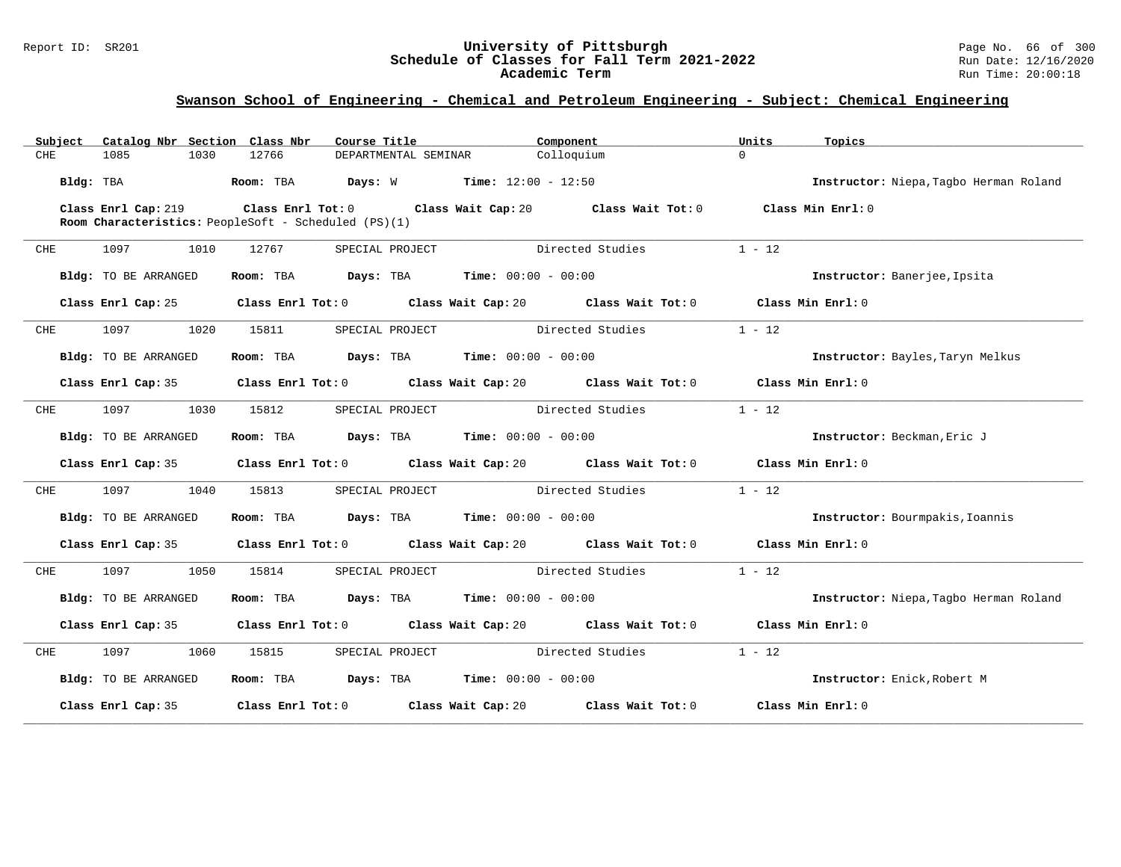| Subject    | Catalog Nbr Section Class Nbr | Course Title                                                |                                                     | Component                                                                        | Units             | Topics                                 |
|------------|-------------------------------|-------------------------------------------------------------|-----------------------------------------------------|----------------------------------------------------------------------------------|-------------------|----------------------------------------|
| <b>CHE</b> | 1085<br>1030                  | 12766                                                       | DEPARTMENTAL SEMINAR                                | Colloquium                                                                       | $\Omega$          |                                        |
|            | Bldg: TBA                     | Room: TBA Days: W Time: $12:00 - 12:50$                     |                                                     |                                                                                  |                   | Instructor: Niepa, Tagbo Herman Roland |
|            |                               | $\texttt{Class}$ Enrl Cap: 219 $\texttt{Class}$ Enrl Tot: 0 |                                                     | Class Wait Cap: 20 Class Wait Tot: 0 Class Min Enrl: 0                           |                   |                                        |
|            |                               | Room Characteristics: PeopleSoft - Scheduled (PS)(1)        |                                                     |                                                                                  |                   |                                        |
| CHE        | 1097<br>1010                  | 12767                                                       | SPECIAL PROJECT                                     | Directed Studies                                                                 | $1 - 12$          |                                        |
|            | Bldg: TO BE ARRANGED          |                                                             | Room: TBA $Days:$ TBA $Time: 00:00 - 00:00$         |                                                                                  |                   | Instructor: Banerjee, Ipsita           |
|            | Class Enrl Cap: 25            |                                                             |                                                     | Class Enrl Tot: $0$ Class Wait Cap: $20$ Class Wait Tot: $0$ Class Min Enrl: $0$ |                   |                                        |
| CHE        | 1097<br>1020                  | 15811                                                       | SPECIAL PROJECT                                     | Directed Studies                                                                 | $1 - 12$          |                                        |
|            | Bldg: TO BE ARRANGED          |                                                             | Room: TBA $Days:$ TBA $Time: 00:00 - 00:00$         |                                                                                  |                   | Instructor: Bayles, Taryn Melkus       |
|            | Class Enrl Cap: 35            |                                                             |                                                     | Class Enrl Tot: $0$ Class Wait Cap: $20$ Class Wait Tot: $0$ Class Min Enrl: $0$ |                   |                                        |
| CHE        | 1097<br>1030                  | 15812                                                       | SPECIAL PROJECT                                     | Directed Studies                                                                 | $1 - 12$          |                                        |
|            | Bldg: TO BE ARRANGED          |                                                             | Room: TBA $Days:$ TBA $Time: 00:00 - 00:00$         |                                                                                  |                   | Instructor: Beckman, Eric J            |
|            | Class Enrl Cap: 35            |                                                             |                                                     | Class Enrl Tot: $0$ Class Wait Cap: $20$ Class Wait Tot: $0$ Class Min Enrl: $0$ |                   |                                        |
| CHE        | 1097 100<br>1040              | 15813                                                       | SPECIAL PROJECT                                     | Directed Studies                                                                 | $1 - 12$          |                                        |
|            | Bldg: TO BE ARRANGED          |                                                             | Room: TBA $Days:$ TBA $Time: 00:00 - 00:00$         |                                                                                  |                   | Instructor: Bourmpakis, Ioannis        |
|            | Class Enrl Cap: 35            |                                                             |                                                     | Class Enrl Tot: 0 Class Wait Cap: 20 Class Wait Tot: 0 Class Min Enrl: 0         |                   |                                        |
| CHE        | 1097 100<br>1050              | 15814                                                       | SPECIAL PROJECT Directed Studies                    |                                                                                  | $1 - 12$          |                                        |
|            | Bldg: TO BE ARRANGED          | Room: TBA                                                   | $\texttt{Days:}$ TBA $\texttt{Time:}$ 00:00 - 00:00 |                                                                                  |                   | Instructor: Niepa, Tagbo Herman Roland |
|            | Class Enrl Cap: 35            |                                                             |                                                     | Class Enrl Tot: 0 Class Wait Cap: 20 Class Wait Tot: 0 Class Min Enrl: 0         |                   |                                        |
| CHE        | 1097<br>1060                  | 15815                                                       | SPECIAL PROJECT                                     | Directed Studies                                                                 | $1 - 12$          |                                        |
|            | Bldg: TO BE ARRANGED          |                                                             | Room: TBA $Days: TBA$ Time: $00:00 - 00:00$         |                                                                                  |                   | Instructor: Enick, Robert M            |
|            | Class Enrl Cap: 35            |                                                             |                                                     | Class Enrl Tot: 0 Class Wait Cap: 20 Class Wait Tot: 0                           | Class Min Enrl: 0 |                                        |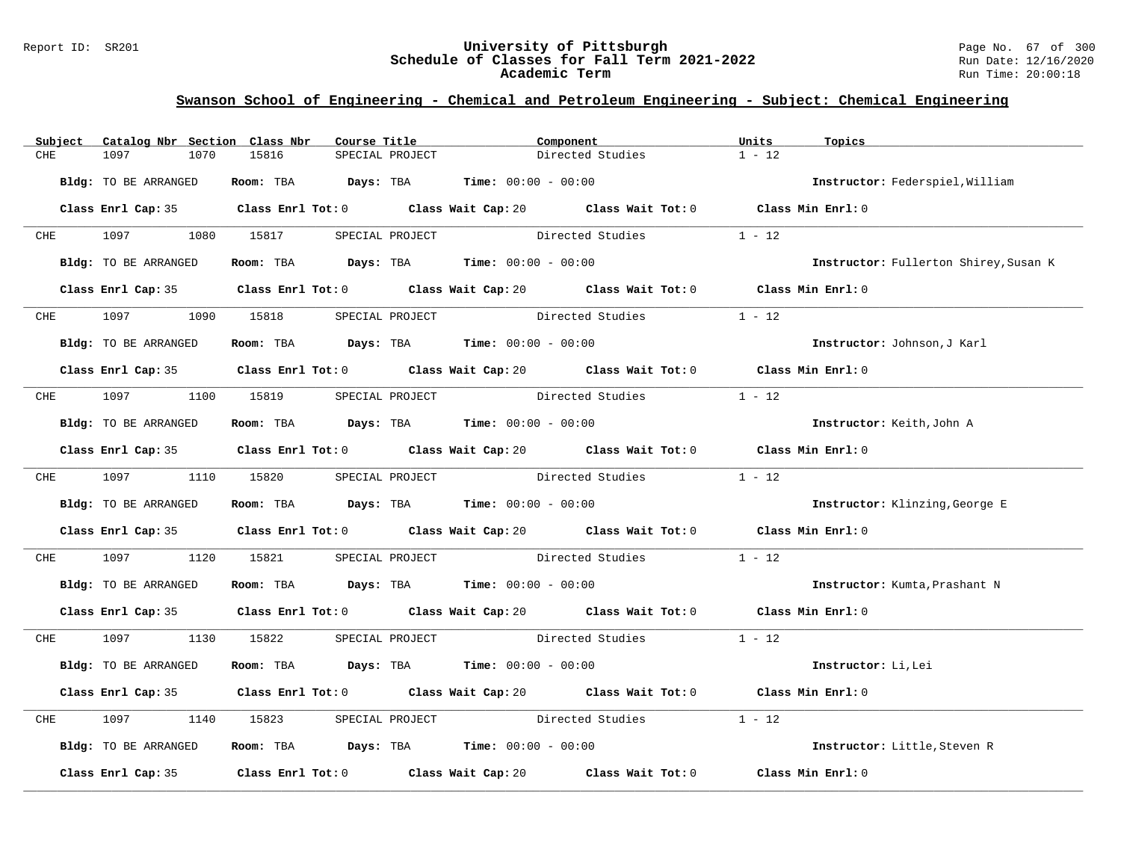#### Report ID: SR201 **University of Pittsburgh** Page No. 67 of 300 **Schedule of Classes for Fall Term 2021-2022** Run Date: 12/16/2020 **Academic Term** Run Time: 20:00:18

| $1 - 12$<br>1097<br>15816<br>Directed Studies<br>CHE<br>1070<br>SPECIAL PROJECT<br>Room: TBA $Days: TBA$ Time: $00:00 - 00:00$<br>Bldg: TO BE ARRANGED<br>Instructor: Federspiel, William<br>Class Enrl Cap: 35 Class Enrl Tot: 0 Class Wait Cap: 20 Class Wait Tot: 0 Class Min Enrl: 0<br>CHE 1097<br>1080 15817<br>$1 - 12$<br>SPECIAL PROJECT Directed Studies<br>Room: TBA $Days:$ TBA $Time: 00:00 - 00:00$<br>Bldg: TO BE ARRANGED<br>Instructor: Fullerton Shirey, Susan K<br>Class Enrl Cap: 35 Class Enrl Tot: 0 Class Wait Cap: 20 Class Wait Tot: 0 Class Min Enrl: 0<br>Directed Studies<br>$1 - 12$<br>1097<br>1090 15818<br><b>CHE</b><br>SPECIAL PROJECT<br>Room: TBA $Days:$ TBA $Time: 00:00 - 00:00$<br>Bldg: TO BE ARRANGED<br>Instructor: Johnson, J Karl<br>Class Enrl Cap: 35 Class Enrl Tot: 0 Class Wait Cap: 20 Class Wait Tot: 0 Class Min Enrl: 0<br>$1 - 12$<br>CHE 1097<br>1100 15819<br>Directed Studies<br>SPECIAL PROJECT<br>Room: TBA $\rule{1em}{0.15mm}$ Days: TBA $\rule{1.5mm}{0.15mm}$ Time: $00:00 - 00:00$<br>Instructor: Keith, John A<br>Bldg: TO BE ARRANGED<br>Class Enrl Cap: 35 Class Enrl Tot: 0 Class Wait Cap: 20 Class Wait Tot: 0 Class Min Enrl: 0<br>Directed Studies 1 - 12<br>CHE 1097<br>1110 15820<br>SPECIAL PROJECT<br>Room: TBA $Days:$ TBA $Time: 00:00 - 00:00$<br>Bldg: TO BE ARRANGED<br>Instructor: Klinzing, George E<br>Class Enrl Cap: 35 Class Enrl Tot: 0 Class Wait Cap: 20 Class Wait Tot: 0 Class Min Enrl: 0 |  |
|-----------------------------------------------------------------------------------------------------------------------------------------------------------------------------------------------------------------------------------------------------------------------------------------------------------------------------------------------------------------------------------------------------------------------------------------------------------------------------------------------------------------------------------------------------------------------------------------------------------------------------------------------------------------------------------------------------------------------------------------------------------------------------------------------------------------------------------------------------------------------------------------------------------------------------------------------------------------------------------------------------------------------------------------------------------------------------------------------------------------------------------------------------------------------------------------------------------------------------------------------------------------------------------------------------------------------------------------------------------------------------------------------------------------------------------------------------------------------------------------|--|
|                                                                                                                                                                                                                                                                                                                                                                                                                                                                                                                                                                                                                                                                                                                                                                                                                                                                                                                                                                                                                                                                                                                                                                                                                                                                                                                                                                                                                                                                                         |  |
|                                                                                                                                                                                                                                                                                                                                                                                                                                                                                                                                                                                                                                                                                                                                                                                                                                                                                                                                                                                                                                                                                                                                                                                                                                                                                                                                                                                                                                                                                         |  |
|                                                                                                                                                                                                                                                                                                                                                                                                                                                                                                                                                                                                                                                                                                                                                                                                                                                                                                                                                                                                                                                                                                                                                                                                                                                                                                                                                                                                                                                                                         |  |
|                                                                                                                                                                                                                                                                                                                                                                                                                                                                                                                                                                                                                                                                                                                                                                                                                                                                                                                                                                                                                                                                                                                                                                                                                                                                                                                                                                                                                                                                                         |  |
|                                                                                                                                                                                                                                                                                                                                                                                                                                                                                                                                                                                                                                                                                                                                                                                                                                                                                                                                                                                                                                                                                                                                                                                                                                                                                                                                                                                                                                                                                         |  |
|                                                                                                                                                                                                                                                                                                                                                                                                                                                                                                                                                                                                                                                                                                                                                                                                                                                                                                                                                                                                                                                                                                                                                                                                                                                                                                                                                                                                                                                                                         |  |
|                                                                                                                                                                                                                                                                                                                                                                                                                                                                                                                                                                                                                                                                                                                                                                                                                                                                                                                                                                                                                                                                                                                                                                                                                                                                                                                                                                                                                                                                                         |  |
|                                                                                                                                                                                                                                                                                                                                                                                                                                                                                                                                                                                                                                                                                                                                                                                                                                                                                                                                                                                                                                                                                                                                                                                                                                                                                                                                                                                                                                                                                         |  |
|                                                                                                                                                                                                                                                                                                                                                                                                                                                                                                                                                                                                                                                                                                                                                                                                                                                                                                                                                                                                                                                                                                                                                                                                                                                                                                                                                                                                                                                                                         |  |
|                                                                                                                                                                                                                                                                                                                                                                                                                                                                                                                                                                                                                                                                                                                                                                                                                                                                                                                                                                                                                                                                                                                                                                                                                                                                                                                                                                                                                                                                                         |  |
|                                                                                                                                                                                                                                                                                                                                                                                                                                                                                                                                                                                                                                                                                                                                                                                                                                                                                                                                                                                                                                                                                                                                                                                                                                                                                                                                                                                                                                                                                         |  |
|                                                                                                                                                                                                                                                                                                                                                                                                                                                                                                                                                                                                                                                                                                                                                                                                                                                                                                                                                                                                                                                                                                                                                                                                                                                                                                                                                                                                                                                                                         |  |
|                                                                                                                                                                                                                                                                                                                                                                                                                                                                                                                                                                                                                                                                                                                                                                                                                                                                                                                                                                                                                                                                                                                                                                                                                                                                                                                                                                                                                                                                                         |  |
|                                                                                                                                                                                                                                                                                                                                                                                                                                                                                                                                                                                                                                                                                                                                                                                                                                                                                                                                                                                                                                                                                                                                                                                                                                                                                                                                                                                                                                                                                         |  |
|                                                                                                                                                                                                                                                                                                                                                                                                                                                                                                                                                                                                                                                                                                                                                                                                                                                                                                                                                                                                                                                                                                                                                                                                                                                                                                                                                                                                                                                                                         |  |
|                                                                                                                                                                                                                                                                                                                                                                                                                                                                                                                                                                                                                                                                                                                                                                                                                                                                                                                                                                                                                                                                                                                                                                                                                                                                                                                                                                                                                                                                                         |  |
|                                                                                                                                                                                                                                                                                                                                                                                                                                                                                                                                                                                                                                                                                                                                                                                                                                                                                                                                                                                                                                                                                                                                                                                                                                                                                                                                                                                                                                                                                         |  |
| SPECIAL PROJECT Directed Studies 1 - 12<br>1097<br>CHE<br>1120<br>15821                                                                                                                                                                                                                                                                                                                                                                                                                                                                                                                                                                                                                                                                                                                                                                                                                                                                                                                                                                                                                                                                                                                                                                                                                                                                                                                                                                                                                 |  |
| Room: TBA $Days:$ TBA $Time: 00:00 - 00:00$<br>Bldg: TO BE ARRANGED<br>Instructor: Kumta, Prashant N                                                                                                                                                                                                                                                                                                                                                                                                                                                                                                                                                                                                                                                                                                                                                                                                                                                                                                                                                                                                                                                                                                                                                                                                                                                                                                                                                                                    |  |
| Class Enrl Cap: 35 Class Enrl Tot: 0 Class Wait Cap: 20 Class Wait Tot: 0 Class Min Enrl: 0                                                                                                                                                                                                                                                                                                                                                                                                                                                                                                                                                                                                                                                                                                                                                                                                                                                                                                                                                                                                                                                                                                                                                                                                                                                                                                                                                                                             |  |
| CHE 1097<br>1130 15822<br>SPECIAL PROJECT Directed Studies 1 - 12                                                                                                                                                                                                                                                                                                                                                                                                                                                                                                                                                                                                                                                                                                                                                                                                                                                                                                                                                                                                                                                                                                                                                                                                                                                                                                                                                                                                                       |  |
| Room: TBA $Days:$ TBA $Time: 00:00 - 00:00$<br>Bldg: TO BE ARRANGED<br>Instructor: Li, Lei                                                                                                                                                                                                                                                                                                                                                                                                                                                                                                                                                                                                                                                                                                                                                                                                                                                                                                                                                                                                                                                                                                                                                                                                                                                                                                                                                                                              |  |
| Class Enrl Cap: 35 Class Enrl Tot: 0 Class Wait Cap: 20 Class Wait Tot: 0 Class Min Enrl: 0                                                                                                                                                                                                                                                                                                                                                                                                                                                                                                                                                                                                                                                                                                                                                                                                                                                                                                                                                                                                                                                                                                                                                                                                                                                                                                                                                                                             |  |
| SPECIAL PROJECT Directed Studies<br>$1 - 12$<br>1097<br>1140<br>15823<br>CHE                                                                                                                                                                                                                                                                                                                                                                                                                                                                                                                                                                                                                                                                                                                                                                                                                                                                                                                                                                                                                                                                                                                                                                                                                                                                                                                                                                                                            |  |
| <b>Room:</b> TBA $Days: TBA$ <b>Time:</b> $00:00 - 00:00$<br>Bldg: TO BE ARRANGED<br>Instructor: Little, Steven R                                                                                                                                                                                                                                                                                                                                                                                                                                                                                                                                                                                                                                                                                                                                                                                                                                                                                                                                                                                                                                                                                                                                                                                                                                                                                                                                                                       |  |
| Class Enrl Cap: 35 $\qquad$ Class Enrl Tot: 0 $\qquad$ Class Wait Cap: 20 $\qquad$ Class Wait Tot: 0<br>Class Min Enrl: 0                                                                                                                                                                                                                                                                                                                                                                                                                                                                                                                                                                                                                                                                                                                                                                                                                                                                                                                                                                                                                                                                                                                                                                                                                                                                                                                                                               |  |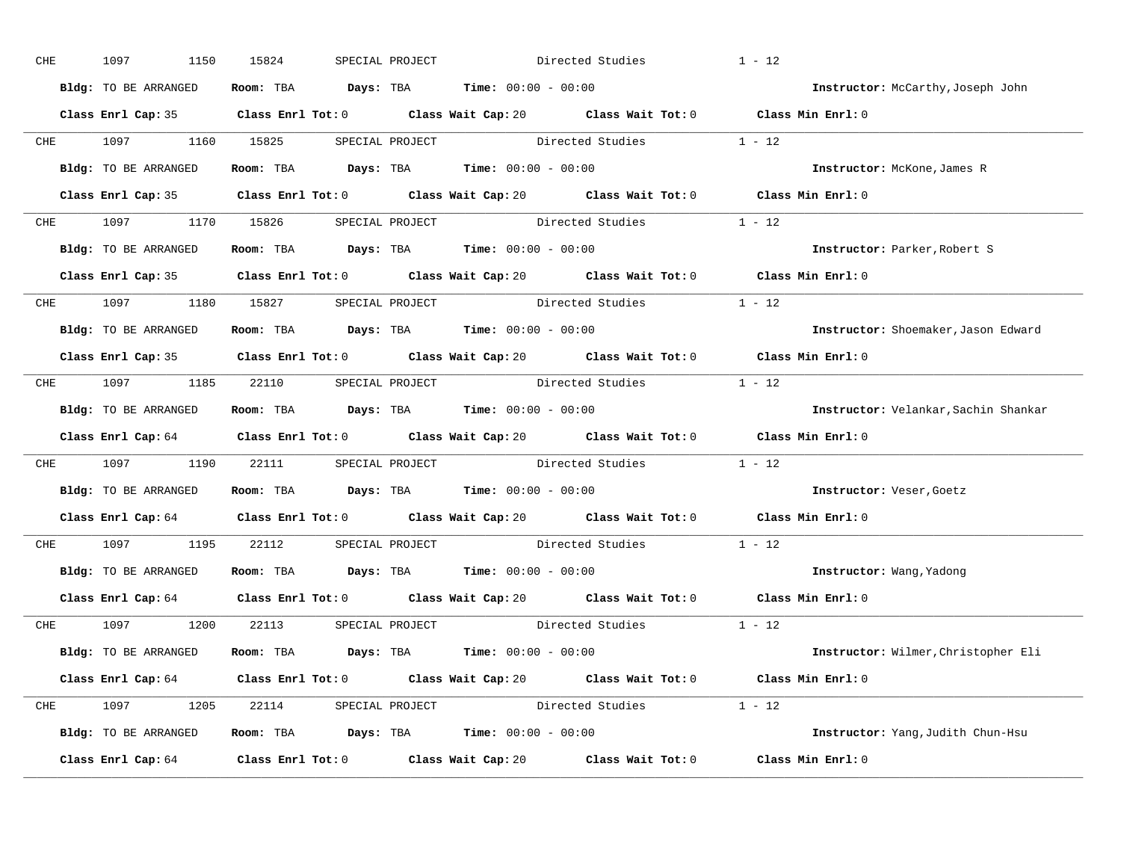| CHE | 1150<br>1097                                                              | 15824 | SPECIAL PROJECT |                                                                                       | Directed Studies                                            | $1 - 12$                                                                                    |
|-----|---------------------------------------------------------------------------|-------|-----------------|---------------------------------------------------------------------------------------|-------------------------------------------------------------|---------------------------------------------------------------------------------------------|
|     | Bldg: TO BE ARRANGED                                                      |       |                 | Room: TBA $Days:$ TBA $Time: 00:00 - 00:00$                                           |                                                             | Instructor: McCarthy, Joseph John                                                           |
|     |                                                                           |       |                 |                                                                                       |                                                             | Class Enrl Cap: 35 Class Enrl Tot: 0 Class Wait Cap: 20 Class Wait Tot: 0 Class Min Enrl: 0 |
|     | CHE 1097 1160 15825                                                       |       |                 |                                                                                       | SPECIAL PROJECT Directed Studies 1 - 12                     |                                                                                             |
|     | Bldg: TO BE ARRANGED                                                      |       |                 | Room: TBA $Days:$ TBA Time: $00:00 - 00:00$                                           |                                                             | Instructor: McKone, James R                                                                 |
|     |                                                                           |       |                 |                                                                                       |                                                             | Class Enrl Cap: 35 Class Enrl Tot: 0 Class Wait Cap: 20 Class Wait Tot: 0 Class Min Enrl: 0 |
|     |                                                                           |       |                 |                                                                                       | CHE 1097 1170 15826 SPECIAL PROJECT Directed Studies 1 - 12 |                                                                                             |
|     | Bldg: TO BE ARRANGED                                                      |       |                 | Room: TBA $\rule{1em}{0.15mm}$ Days: TBA $\rule{1.5mm}{0.15mm}$ Time: $00:00 - 00:00$ |                                                             | Instructor: Parker, Robert S                                                                |
|     |                                                                           |       |                 |                                                                                       |                                                             | Class Enrl Cap: 35 Class Enrl Tot: 0 Class Wait Cap: 20 Class Wait Tot: 0 Class Min Enrl: 0 |
|     | CHE 1097 1180 15827 SPECIAL PROJECT                                       |       |                 |                                                                                       | Directed Studies 1 - 12                                     |                                                                                             |
|     | Bldg: TO BE ARRANGED                                                      |       |                 | Room: TBA $Days:$ TBA $Time: 00:00 - 00:00$                                           |                                                             | Instructor: Shoemaker, Jason Edward                                                         |
|     |                                                                           |       |                 |                                                                                       |                                                             | Class Enrl Cap: 35 Class Enrl Tot: 0 Class Wait Cap: 20 Class Wait Tot: 0 Class Min Enrl: 0 |
|     |                                                                           |       |                 |                                                                                       | CHE 1097 1185 22110 SPECIAL PROJECT Directed Studies 1 - 12 |                                                                                             |
|     | Bldg: TO BE ARRANGED                                                      |       |                 | Room: TBA $Days$ : TBA Time: $00:00 - 00:00$                                          |                                                             | Instructor: Velankar, Sachin Shankar                                                        |
|     |                                                                           |       |                 |                                                                                       |                                                             | Class Enrl Cap: 64 Class Enrl Tot: 0 Class Wait Cap: 20 Class Wait Tot: 0 Class Min Enrl: 0 |
|     |                                                                           |       |                 |                                                                                       | CHE 1097 1190 22111 SPECIAL PROJECT Directed Studies 1 - 12 |                                                                                             |
|     | Bldg: TO BE ARRANGED                                                      |       |                 | Room: TBA $\rule{1em}{0.15mm}$ Days: TBA Time: $00:00 - 00:00$                        |                                                             | Instructor: Veser, Goetz                                                                    |
|     |                                                                           |       |                 |                                                                                       |                                                             | Class Enrl Cap: 64 Class Enrl Tot: 0 Class Wait Cap: 20 Class Wait Tot: 0 Class Min Enrl: 0 |
|     |                                                                           |       |                 |                                                                                       | CHE 1097 1195 22112 SPECIAL PROJECT Directed Studies 1 - 12 |                                                                                             |
|     |                                                                           |       |                 | Bldg: TO BE ARRANGED Room: TBA Days: TBA Time: 00:00 - 00:00                          |                                                             | Instructor: Wang, Yadong                                                                    |
|     |                                                                           |       |                 |                                                                                       |                                                             | Class Enrl Cap: 64 Class Enrl Tot: 0 Class Wait Cap: 20 Class Wait Tot: 0 Class Min Enrl: 0 |
|     | CHE 1097 1200 22113 SPECIAL PROJECT                                       |       |                 |                                                                                       | Directed Studies 1 - 12                                     |                                                                                             |
|     | Bldg: TO BE ARRANGED                                                      |       |                 | Room: TBA $Days:$ TBA $Time: 00:00 - 00:00$                                           |                                                             | Instructor: Wilmer, Christopher Eli                                                         |
|     |                                                                           |       |                 |                                                                                       |                                                             | Class Enrl Cap: 64 Class Enrl Tot: 0 Class Wait Cap: 20 Class Wait Tot: 0 Class Min Enrl: 0 |
|     |                                                                           |       |                 |                                                                                       | CHE 1097 1205 22114 SPECIAL PROJECT Directed Studies 1 - 12 |                                                                                             |
|     |                                                                           |       |                 | Bldg: TO BE ARRANGED Room: TBA Days: TBA Time: 00:00 - 00:00                          |                                                             | Instructor: Yang, Judith Chun-Hsu                                                           |
|     | Class Enrl Cap: 64 Class Enrl Tot: 0 Class Wait Cap: 20 Class Wait Tot: 0 |       |                 |                                                                                       |                                                             |                                                                                             |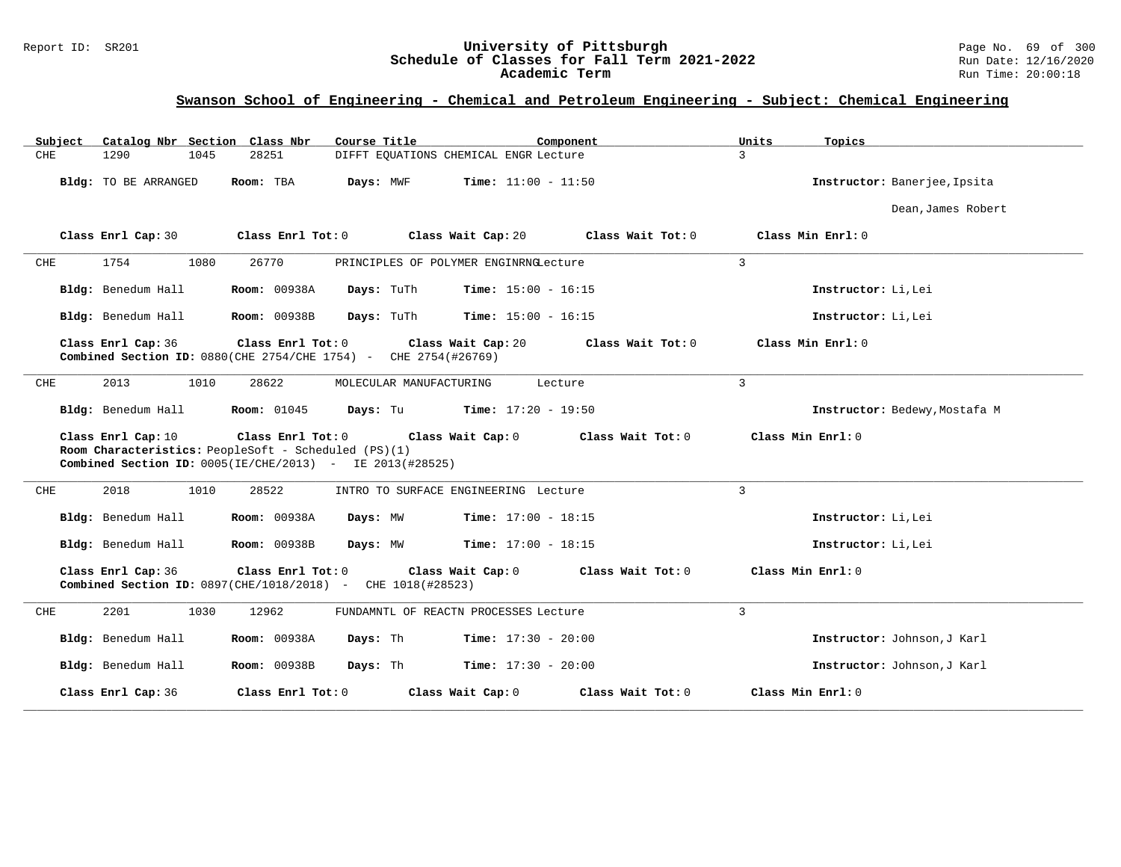#### Report ID: SR201 **University of Pittsburgh** Page No. 69 of 300 **Schedule of Classes for Fall Term 2021-2022** Run Date: 12/16/2020 **Academic Term** Run Time: 20:00:18

| Catalog Nbr Section Class Nbr<br>Subject | Course Title                                                                                                                          | Component                               | Units<br>Topics               |
|------------------------------------------|---------------------------------------------------------------------------------------------------------------------------------------|-----------------------------------------|-------------------------------|
| <b>CHE</b><br>1290<br>1045               | 28251                                                                                                                                 | DIFFT EQUATIONS CHEMICAL ENGR Lecture   | $\mathcal{L}$                 |
| Bldg: TO BE ARRANGED                     | Room: TBA<br>Days: MWF                                                                                                                | <b>Time:</b> $11:00 - 11:50$            | Instructor: Banerjee, Ipsita  |
|                                          |                                                                                                                                       |                                         | Dean, James Robert            |
| Class Enrl Cap: 30                       | Class Enrl Tot: 0                                                                                                                     | Class Wait Cap: 20<br>Class Wait Tot: 0 | Class Min Enrl: 0             |
| 1754<br>1080<br>CHE                      | 26770                                                                                                                                 | PRINCIPLES OF POLYMER ENGINRNGLecture   | $\overline{3}$                |
| Bldg: Benedum Hall                       | <b>Room: 00938A</b><br>Days: TuTh                                                                                                     | <b>Time:</b> $15:00 - 16:15$            | Instructor: Li, Lei           |
| Bldg: Benedum Hall                       | <b>Room: 00938B</b><br>Days: TuTh                                                                                                     | <b>Time:</b> $15:00 - 16:15$            | Instructor: Li, Lei           |
| Class Enrl Cap: 36                       | Class Enrl Tot: 0<br>Combined Section ID: 0880 (CHE 2754/CHE 1754) - CHE 2754 (#26769)                                                | Class Wait Tot: 0<br>Class Wait Cap: 20 | Class Min Enrl: 0             |
| 2013<br>1010<br>CHE                      | 28622<br>MOLECULAR MANUFACTURING                                                                                                      | Lecture                                 | $\overline{3}$                |
| Bldg: Benedum Hall                       | <b>Room:</b> 01045<br>Days: Tu                                                                                                        | <b>Time:</b> $17:20 - 19:50$            | Instructor: Bedewy, Mostafa M |
| Class Enrl Cap: 10                       | Class Enrl Tot: 0<br>Room Characteristics: PeopleSoft - Scheduled (PS)(1)<br>Combined Section ID: 0005(IE/CHE/2013) - IE 2013(#28525) | Class Wait Cap: 0<br>Class Wait Tot: 0  | Class Min Enrl: 0             |
| 2018<br>1010<br>CHE                      | 28522                                                                                                                                 | INTRO TO SURFACE ENGINEERING Lecture    | 3                             |
| Bldg: Benedum Hall                       | <b>Room: 00938A</b><br>Days: MW                                                                                                       | <b>Time:</b> $17:00 - 18:15$            | Instructor: Li, Lei           |
| Bldg: Benedum Hall                       | Room: 00938B<br>Days: MW                                                                                                              | <b>Time:</b> $17:00 - 18:15$            | Instructor: Li, Lei           |
| Class Enrl Cap: 36                       | Class Enrl Tot: 0<br>Combined Section ID: 0897(CHE/1018/2018) - CHE 1018(#28523)                                                      | Class Wait Tot: 0<br>Class Wait Cap: 0  | Class Min Enrl: 0             |
| 2201<br>${\rm CHE}$<br>1030              | 12962                                                                                                                                 | FUNDAMNTL OF REACTN PROCESSES Lecture   | 3                             |
| Bldg: Benedum Hall                       | <b>Room: 00938A</b><br>Days: Th                                                                                                       | <b>Time:</b> $17:30 - 20:00$            | Instructor: Johnson, J Karl   |
| Bldg: Benedum Hall                       | <b>Room: 00938B</b><br>Days: Th                                                                                                       | <b>Time:</b> $17:30 - 20:00$            | Instructor: Johnson, J Karl   |
| Class Enrl Cap: 36                       | Class Enrl Tot: 0                                                                                                                     | Class Wait Cap: 0<br>Class Wait Tot: 0  | Class Min Enrl: 0             |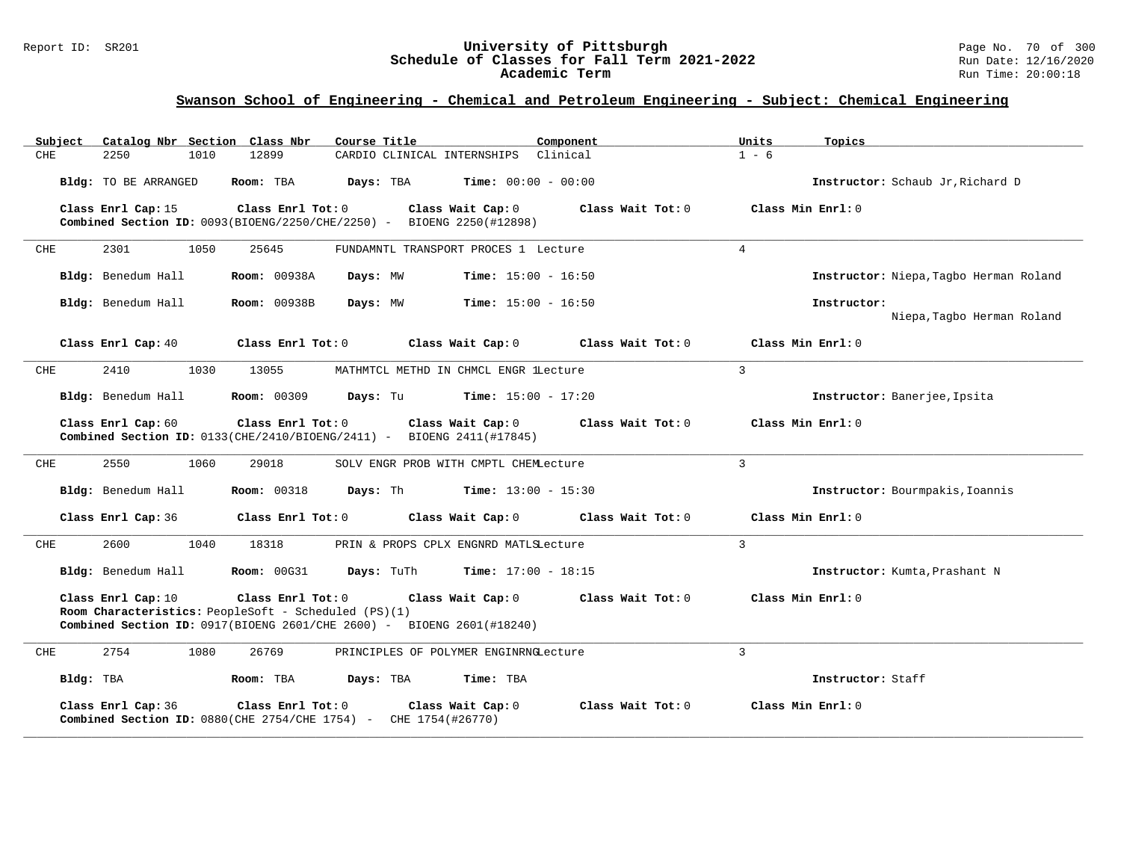#### Report ID: SR201 **University of Pittsburgh** Page No. 70 of 300 **Schedule of Classes for Fall Term 2021-2022** Run Date: 12/16/2020 **Academic Term** Run Time: 20:00:18

| Subject                                                                                                                                                                                                                                   | Catalog Nbr Section Class Nbr                                                                    |                     | Course Title                          |                              | Component         | Units          | Topics                                    |
|-------------------------------------------------------------------------------------------------------------------------------------------------------------------------------------------------------------------------------------------|--------------------------------------------------------------------------------------------------|---------------------|---------------------------------------|------------------------------|-------------------|----------------|-------------------------------------------|
| <b>CHE</b>                                                                                                                                                                                                                                | 2250<br>1010                                                                                     | 12899               | CARDIO CLINICAL INTERNSHIPS Clinical  |                              |                   | $1 - 6$        |                                           |
|                                                                                                                                                                                                                                           | Bldg: TO BE ARRANGED                                                                             | Room: TBA           | Days: TBA                             | <b>Time:</b> $00:00 - 00:00$ |                   |                | Instructor: Schaub Jr. Richard D          |
| Class Enrl Tot: 0<br>Class Enrl Cap: 15<br>Class Wait Cap: 0<br>Class Wait Tot: 0<br><b>Combined Section ID:</b> $0093(BIOENG/2250/CHE/2250) - BIOENG 2250(H12898)$                                                                       |                                                                                                  |                     |                                       |                              |                   |                | Class Min Enrl: 0                         |
| CHE                                                                                                                                                                                                                                       | 1050<br>2301                                                                                     | 25645               | FUNDAMNTL TRANSPORT PROCES 1 Lecture  |                              |                   | $\overline{4}$ |                                           |
|                                                                                                                                                                                                                                           | Bldg: Benedum Hall                                                                               | <b>Room: 00938A</b> | Days: MW                              | <b>Time:</b> $15:00 - 16:50$ |                   |                | Instructor: Niepa, Tagbo Herman Roland    |
|                                                                                                                                                                                                                                           | Bldg: Benedum Hall                                                                               | <b>Room: 00938B</b> | Days: MW                              | $Time: 15:00 - 16:50$        |                   |                | Instructor:<br>Niepa, Tagbo Herman Roland |
|                                                                                                                                                                                                                                           | Class Enrl Cap: 40                                                                               | Class Enrl Tot: 0   |                                       | Class Wait Cap: 0            | Class Wait Tot: 0 |                | Class Min $Enrl: 0$                       |
| CHE                                                                                                                                                                                                                                       | 2410<br>1030                                                                                     | 13055               | MATHMTCL METHD IN CHMCL ENGR lLecture |                              |                   | 3              |                                           |
|                                                                                                                                                                                                                                           | Bldg: Benedum Hall                                                                               | <b>Room: 00309</b>  | Days: Tu                              | <b>Time:</b> $15:00 - 17:20$ |                   |                | Instructor: Banerjee, Ipsita              |
| Class Enrl Cap: 60<br>Class Enrl Tot: 0<br>Class Wait Cap: 0<br>Class Wait Tot: 0<br><b>Combined Section ID:</b> $0133$ (CHE/2410/BIOENG/2411) - BIOENG 2411(#17845)                                                                      |                                                                                                  |                     |                                       |                              |                   |                | Class Min Enrl: 0                         |
| 2550<br>CHE<br>1060<br>29018<br>SOLV ENGR PROB WITH CMPTL CHEMLecture                                                                                                                                                                     |                                                                                                  |                     |                                       |                              |                   |                |                                           |
|                                                                                                                                                                                                                                           | Bldg: Benedum Hall                                                                               | <b>Room: 00318</b>  | Days: Th                              | <b>Time:</b> $13:00 - 15:30$ |                   |                | Instructor: Bourmpakis, Ioannis           |
|                                                                                                                                                                                                                                           | Class Enrl Cap: 36                                                                               | Class Enrl Tot: 0   |                                       | Class Wait Cap: 0            | Class Wait Tot: 0 |                | Class Min $Enrl: 0$                       |
| <b>CHE</b>                                                                                                                                                                                                                                | 2600<br>1040                                                                                     | 18318               | PRIN & PROPS CPLX ENGNRD MATLSLecture |                              |                   | 3              |                                           |
|                                                                                                                                                                                                                                           | Bldg: Benedum Hall                                                                               | <b>Room: 00G31</b>  | Days: TuTh                            | Time: $17:00 - 18:15$        |                   |                | Instructor: Kumta, Prashant N             |
| Class Enrl Cap: 10<br>Class Enrl Tot: 0<br>Class Wait Cap: 0<br>Class Wait Tot: 0<br>Class Min Enrl: 0<br>Room Characteristics: PeopleSoft - Scheduled (PS)(1)<br>Combined Section ID: $0917(BIOENG 2601/CHE 2600)$ - BIOENG 2601(#18240) |                                                                                                  |                     |                                       |                              |                   |                |                                           |
| CHE                                                                                                                                                                                                                                       | 2754<br>1080                                                                                     | 26769               | PRINCIPLES OF POLYMER ENGINRNGLecture |                              |                   | $\mathbf{3}$   |                                           |
| Bldg: TBA                                                                                                                                                                                                                                 |                                                                                                  | Room: TBA           | Days: TBA                             | Time: TBA                    |                   |                | Instructor: Staff                         |
|                                                                                                                                                                                                                                           | Class Enrl Cap: 36<br><b>Combined Section ID:</b> $0880$ (CHE 2754/CHE 1754) - CHE 1754 (#26770) | Class Enrl Tot: 0   |                                       | Class Wait Cap: 0            | Class Wait Tot: 0 |                | Class Min Enrl: 0                         |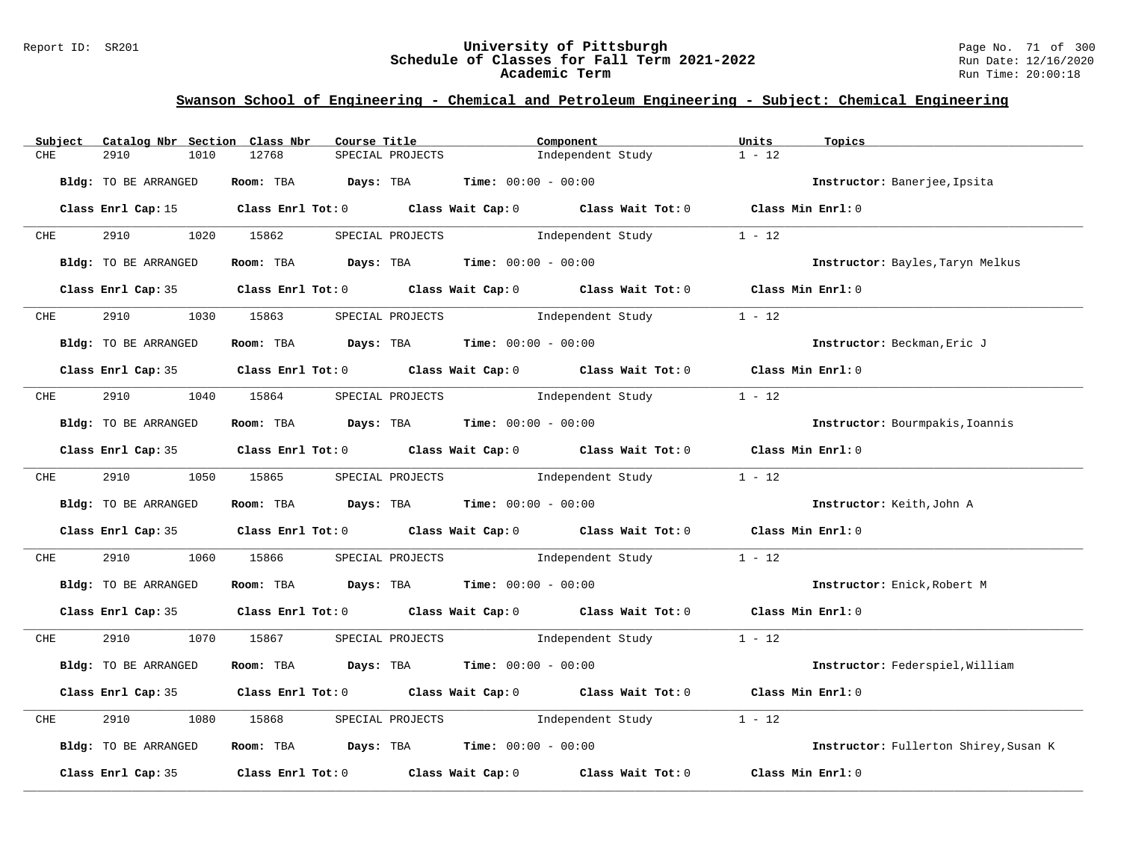#### Report ID: SR201 **University of Pittsburgh** Page No. 71 of 300 **Schedule of Classes for Fall Term 2021-2022** Run Date: 12/16/2020 **Academic Term** Run Time: 20:00:18

| Subject    | Catalog Nbr Section Class Nbr | Course Title                                                                               | Component                                                                                          |                   | Units<br>Topics                       |
|------------|-------------------------------|--------------------------------------------------------------------------------------------|----------------------------------------------------------------------------------------------------|-------------------|---------------------------------------|
| CHE        | 2910<br>1010                  | 12768<br>SPECIAL PROJECTS                                                                  |                                                                                                    | Independent Study | $1 - 12$                              |
|            | <b>Bldg:</b> TO BE ARRANGED   |                                                                                            | Room: TBA $Days:$ TBA $Time: 00:00 - 00:00$                                                        |                   | Instructor: Banerjee, Ipsita          |
|            | Class Enrl Cap: 15            |                                                                                            | Class Enrl Tot: 0 $\qquad$ Class Wait Cap: 0 $\qquad$ Class Wait Tot: 0 $\qquad$ Class Min Enrl: 0 |                   |                                       |
| <b>CHE</b> | 2910 1020 15862               |                                                                                            | SPECIAL PROJECTS 1ndependent Study 1 - 12                                                          |                   |                                       |
|            | Bldg: TO BE ARRANGED          |                                                                                            | Room: TBA $Days:$ TBA $Time: 00:00 - 00:00$                                                        |                   | Instructor: Bayles, Taryn Melkus      |
|            |                               | Class Enrl Cap: 35 Class Enrl Tot: 0 Class Wait Cap: 0 Class Wait Tot: 0 Class Min Enrl: 0 |                                                                                                    |                   |                                       |
| CHE        | 2910                          | 1030 15863                                                                                 | SPECIAL PROJECTS                                                                                   | Independent Study | $1 - 12$                              |
|            | Bldg: TO BE ARRANGED          |                                                                                            | Room: TBA $Days:$ TBA $Time: 00:00 - 00:00$                                                        |                   | Instructor: Beckman, Eric J           |
|            |                               | Class Enrl Cap: 35 Class Enrl Tot: 0 Class Wait Cap: 0 Class Wait Tot: 0 Class Min Enrl: 0 |                                                                                                    |                   |                                       |
| CHE        | 2910                          | 1040 15864                                                                                 | SPECIAL PROJECTS                                                                                   | Independent Study | $1 - 12$                              |
|            | Bldg: TO BE ARRANGED          |                                                                                            | Room: TBA $Days:$ TBA $Time: 00:00 - 00:00$                                                        |                   | Instructor: Bourmpakis, Ioannis       |
|            |                               | Class Enrl Cap: 35 Class Enrl Tot: 0 Class Wait Cap: 0 Class Wait Tot: 0 Class Min Enrl: 0 |                                                                                                    |                   |                                       |
| <b>CHE</b> | 2910 1050 15865               |                                                                                            | SPECIAL PROJECTS 1ndependent Study                                                                 |                   | $1 - 12$                              |
|            | Bldg: TO BE ARRANGED          |                                                                                            | Room: TBA $\rule{1em}{0.15mm}$ Days: TBA $\rule{1.5mm}{0.15mm}$ Time: $00:00 - 00:00$              |                   | Instructor: Keith, John A             |
|            |                               | Class Enrl Cap: 35 Class Enrl Tot: 0 Class Wait Cap: 0 Class Wait Tot: 0 Class Min Enrl: 0 |                                                                                                    |                   |                                       |
| CHE        | 2910<br>1060                  | 15866                                                                                      | SPECIAL PROJECTS and independent Study                                                             |                   | $1 - 12$                              |
|            | Bldg: TO BE ARRANGED          |                                                                                            | Room: TBA $Days:$ TBA $Time: 00:00 - 00:00$                                                        |                   | Instructor: Enick, Robert M           |
|            |                               | Class Enrl Cap: 35 Class Enrl Tot: 0 Class Wait Cap: 0 Class Wait Tot: 0 Class Min Enrl: 0 |                                                                                                    |                   |                                       |
| <b>CHE</b> | 2910 1070 15867               |                                                                                            | SPECIAL PROJECTS 1ndependent Study 1 - 12                                                          |                   |                                       |
|            | Bldg: TO BE ARRANGED          |                                                                                            | Room: TBA $Days:$ TBA $Time: 00:00 - 00:00$                                                        |                   | Instructor: Federspiel, William       |
|            |                               | Class Enrl Cap: 35 Class Enrl Tot: 0 Class Wait Cap: 0 Class Wait Tot: 0 Class Min Enrl: 0 |                                                                                                    |                   |                                       |
| CHE        | 2910<br>1080                  | 15868<br>SPECIAL PROJECTS                                                                  | Independent Study                                                                                  |                   | $1 - 12$                              |
|            | Bldg: TO BE ARRANGED          |                                                                                            | Room: TBA $Days:$ TBA $Time: 00:00 - 00:00$                                                        |                   | Instructor: Fullerton Shirey, Susan K |
|            | Class Enrl Cap: 35            | Class Enrl Tot: 0 $\qquad$ Class Wait Cap: 0 $\qquad$ Class Wait Tot: 0                    |                                                                                                    |                   | Class Min Enrl: 0                     |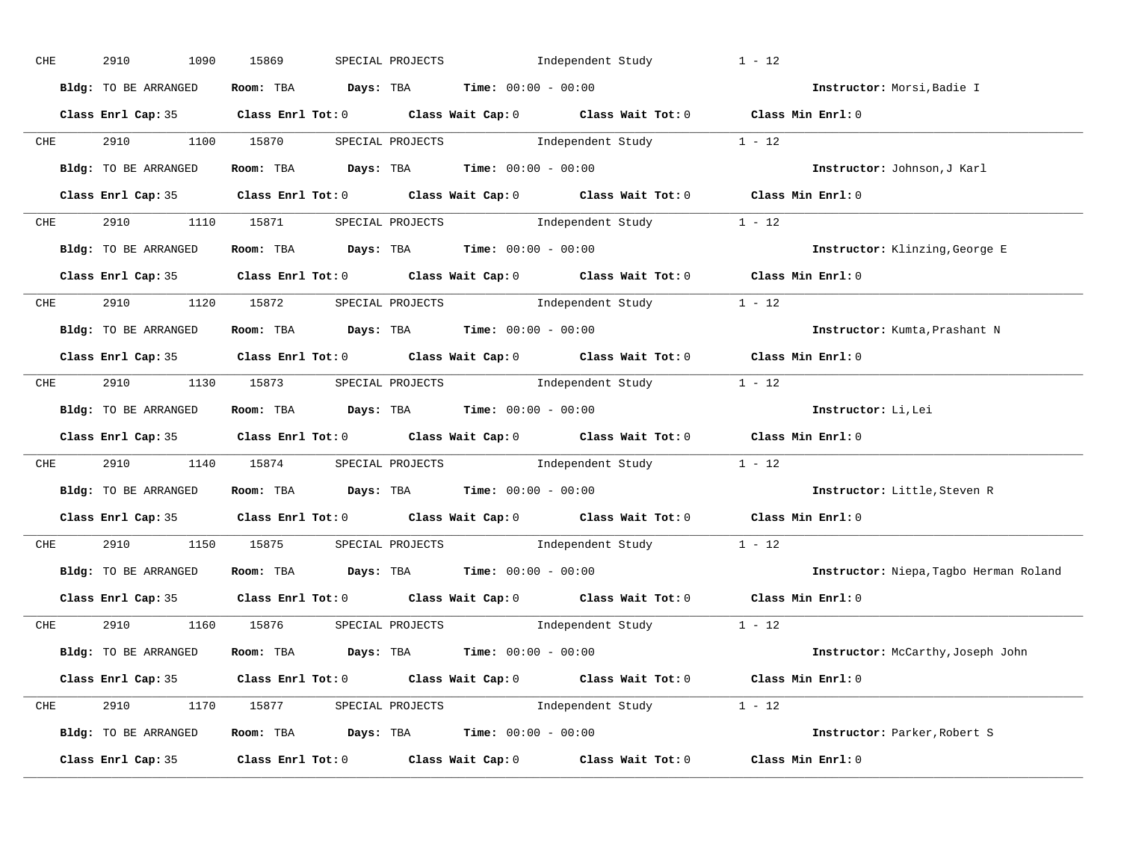| CHE        |            | 2910 | 1090                             | 15869 |  | SPECIAL PROJECTS |                                               | Independent Study |                                                                          | $1 - 12$                                                                                   |                                        |
|------------|------------|------|----------------------------------|-------|--|------------------|-----------------------------------------------|-------------------|--------------------------------------------------------------------------|--------------------------------------------------------------------------------------------|----------------------------------------|
|            |            |      | Bldg: TO BE ARRANGED             |       |  |                  | Room: TBA $Days:$ TBA $Time: 00:00 - 00:00$   |                   |                                                                          |                                                                                            | Instructor: Morsi, Badie I             |
|            |            |      |                                  |       |  |                  |                                               |                   |                                                                          | Class Enrl Cap: 35 Class Enrl Tot: 0 Class Wait Cap: 0 Class Wait Tot: 0 Class Min Enrl: 0 |                                        |
|            |            |      |                                  |       |  |                  |                                               |                   | CHE 2910 1100 15870 SPECIAL PROJECTS Independent Study 1 - 12            |                                                                                            |                                        |
|            |            |      | Bldg: TO BE ARRANGED             |       |  |                  | Room: TBA $Days:$ TBA Time: $00:00 - 00:00$   |                   |                                                                          |                                                                                            | Instructor: Johnson, J Karl            |
|            |            |      |                                  |       |  |                  |                                               |                   |                                                                          | Class Enrl Cap: 35 Class Enrl Tot: 0 Class Wait Cap: 0 Class Wait Tot: 0 Class Min Enrl: 0 |                                        |
|            |            |      |                                  |       |  |                  |                                               |                   | CHE 2910 1110 15871 SPECIAL PROJECTS Independent Study 1 - 12            |                                                                                            |                                        |
|            |            |      | Bldg: TO BE ARRANGED             |       |  |                  | Room: TBA $Days:$ TBA $Time: 00:00 - 00:00$   |                   |                                                                          |                                                                                            | Instructor: Klinzing, George E         |
|            |            |      |                                  |       |  |                  |                                               |                   |                                                                          | Class Enrl Cap: 35 Class Enrl Tot: 0 Class Wait Cap: 0 Class Wait Tot: 0 Class Min Enrl: 0 |                                        |
|            |            |      |                                  |       |  |                  |                                               |                   | CHE 2910 1120 15872 SPECIAL PROJECTS Independent Study 1 - 12            |                                                                                            |                                        |
|            |            |      | Bldg: TO BE ARRANGED             |       |  |                  | Room: TBA $Days:$ TBA $Time: 00:00 - 00:00$   |                   |                                                                          |                                                                                            | Instructor: Kumta, Prashant N          |
|            |            |      |                                  |       |  |                  |                                               |                   |                                                                          | Class Enrl Cap: 35 Class Enrl Tot: 0 Class Wait Cap: 0 Class Wait Tot: 0 Class Min Enrl: 0 |                                        |
|            |            |      |                                  |       |  |                  |                                               |                   | CHE 2910 1130 15873 SPECIAL PROJECTS Independent Study 1 - 12            |                                                                                            |                                        |
|            |            |      | Bldg: TO BE ARRANGED             |       |  |                  | Room: TBA $Days:$ TBA $Time:$ $00:00 - 00:00$ |                   |                                                                          |                                                                                            | Instructor: Li, Lei                    |
|            |            |      |                                  |       |  |                  |                                               |                   |                                                                          | Class Enrl Cap: 35 Class Enrl Tot: 0 Class Wait Cap: 0 Class Wait Tot: 0 Class Min Enrl: 0 |                                        |
|            | <b>CHE</b> |      |                                  |       |  |                  |                                               |                   | 2910 1140 15874 SPECIAL PROJECTS Independent Study 1 - 12                |                                                                                            |                                        |
|            |            |      | Bldg: TO BE ARRANGED             |       |  |                  | Room: TBA $Days:$ TBA $Time: 00:00 - 00:00$   |                   |                                                                          |                                                                                            | Instructor: Little, Steven R           |
|            |            |      |                                  |       |  |                  |                                               |                   |                                                                          | Class Enrl Cap: 35 Class Enrl Tot: 0 Class Wait Cap: 0 Class Wait Tot: 0 Class Min Enrl: 0 |                                        |
| <b>CHE</b> |            |      | 2910 1150 15875 SPECIAL PROJECTS |       |  |                  |                                               |                   | Independent Study 1 - 12                                                 |                                                                                            |                                        |
|            |            |      | Bldg: TO BE ARRANGED             |       |  |                  | Room: TBA $Days: TBA$ Time: $00:00 - 00:00$   |                   |                                                                          |                                                                                            | Instructor: Niepa, Tagbo Herman Roland |
|            |            |      |                                  |       |  |                  |                                               |                   | Class Enrl Cap: 35 Class Enrl Tot: 0 Class Wait Cap: 0 Class Wait Tot: 0 | Class Min Enrl: 0                                                                          |                                        |
|            |            |      |                                  |       |  |                  |                                               |                   | CHE 2910 1160 15876 SPECIAL PROJECTS Independent Study 1 - 12            |                                                                                            |                                        |
|            |            |      | Bldg: TO BE ARRANGED             |       |  |                  | Room: TBA $Days:$ TBA $Time: 00:00 - 00:00$   |                   |                                                                          |                                                                                            | Instructor: McCarthy, Joseph John      |
|            |            |      |                                  |       |  |                  |                                               |                   |                                                                          | Class Enrl Cap: 35 Class Enrl Tot: 0 Class Wait Cap: 0 Class Wait Tot: 0 Class Min Enrl: 0 |                                        |
|            |            |      |                                  |       |  |                  |                                               |                   | CHE 2910 1170 15877 SPECIAL PROJECTS Independent Study 1 - 12            |                                                                                            |                                        |
|            |            |      | Bldg: TO BE ARRANGED             |       |  |                  |                                               |                   | Room: TBA $Days: TBA$ Time: $00:00 - 00:00$                              |                                                                                            | Instructor: Parker, Robert S           |
|            |            |      |                                  |       |  |                  |                                               |                   | Class Enrl Cap: 35 Class Enrl Tot: 0 Class Wait Cap: 0 Class Wait Tot: 0 | Class Min Enrl: 0                                                                          |                                        |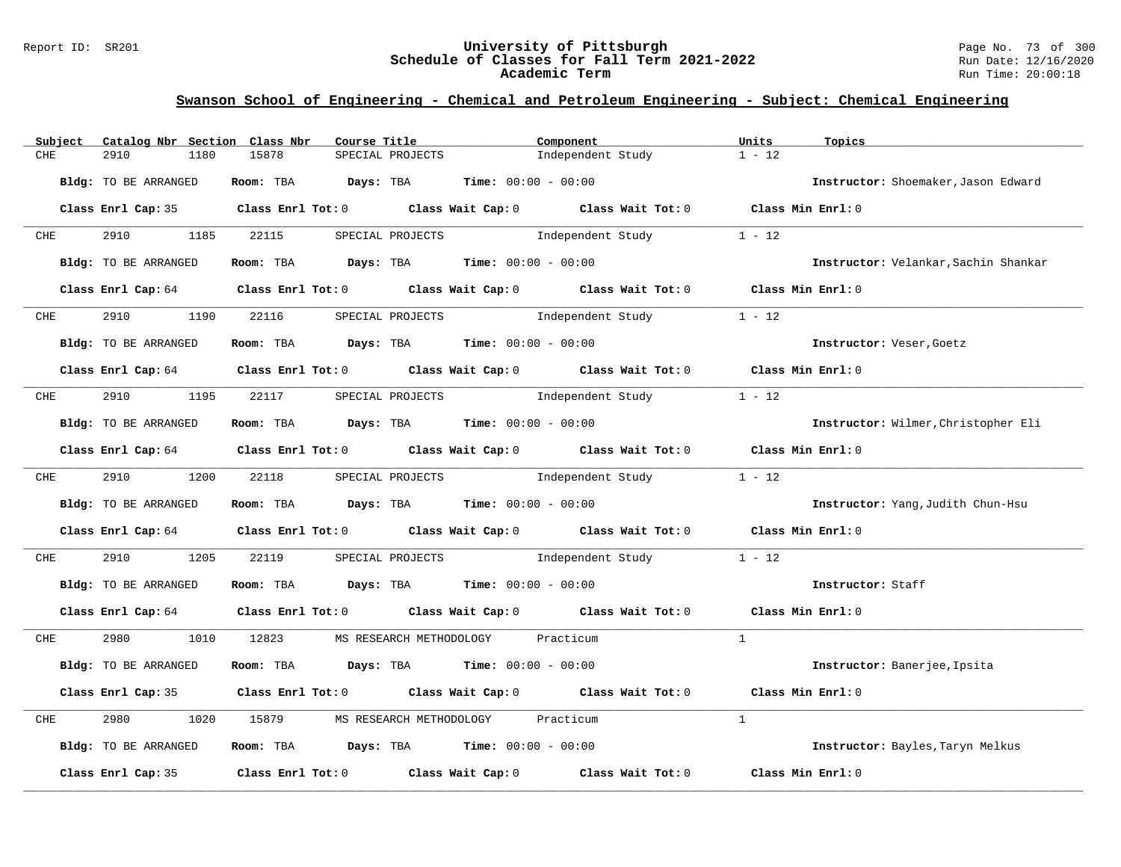#### Report ID: SR201 **University of Pittsburgh** Page No. 73 of 300 **Schedule of Classes for Fall Term 2021-2022** Run Date: 12/16/2020 **Academic Term** Run Time: 20:00:18

| Subject    | Catalog Nbr Section Class Nbr | Course Title                                | Component                                                                                  | Units<br>Topics                      |
|------------|-------------------------------|---------------------------------------------|--------------------------------------------------------------------------------------------|--------------------------------------|
| CHE        | 2910<br>1180                  | 15878<br>SPECIAL PROJECTS                   | Independent Study                                                                          | $1 - 12$                             |
|            | <b>Bldg:</b> TO BE ARRANGED   | Room: TBA Days: TBA                         | <b>Time:</b> $00:00 - 00:00$                                                               | Instructor: Shoemaker, Jason Edward  |
|            |                               |                                             | Class Enrl Cap: 35 Class Enrl Tot: 0 Class Wait Cap: 0 Class Wait Tot: 0 Class Min Enrl: 0 |                                      |
| CHE        | 2910<br>1185                  | 22115<br>SPECIAL PROJECTS                   | Independent Study                                                                          | $1 - 12$                             |
|            | Bldg: TO BE ARRANGED          | Room: TBA $Days:$ TBA $Time: 00:00 - 00:00$ |                                                                                            | Instructor: Velankar, Sachin Shankar |
|            |                               |                                             | Class Enrl Cap: 64 Class Enrl Tot: 0 Class Wait Cap: 0 Class Wait Tot: 0 Class Min Enrl: 0 |                                      |
| <b>CHE</b> | 2910                          | 1190 22116<br>SPECIAL PROJECTS              | Independent Study                                                                          | $1 - 12$                             |
|            | Bldg: TO BE ARRANGED          | Room: TBA $Days:$ TBA $Time: 00:00 - 00:00$ |                                                                                            | Instructor: Veser, Goetz             |
|            |                               |                                             | Class Enrl Cap: 64 Class Enrl Tot: 0 Class Wait Cap: 0 Class Wait Tot: 0 Class Min Enrl: 0 |                                      |
| CHE        | 2910 1195 22117               |                                             | SPECIAL PROJECTS 1ndependent Study                                                         | $1 - 12$                             |
|            | Bldg: TO BE ARRANGED          | Room: TBA $Days:$ TBA $Time: 00:00 - 00:00$ |                                                                                            | Instructor: Wilmer, Christopher Eli  |
|            |                               |                                             | Class Enrl Cap: 64 Class Enrl Tot: 0 Class Wait Cap: 0 Class Wait Tot: 0 Class Min Enrl: 0 |                                      |
| <b>CHE</b> | 2910 1200 22118               |                                             | SPECIAL PROJECTS 1ndependent Study                                                         | $1 - 12$                             |
|            | Bldg: TO BE ARRANGED          | Room: TBA $Days: TBA$ Time: $00:00 - 00:00$ |                                                                                            | Instructor: Yang, Judith Chun-Hsu    |
|            |                               |                                             | Class Enrl Cap: 64 Class Enrl Tot: 0 Class Wait Cap: 0 Class Wait Tot: 0 Class Min Enrl: 0 |                                      |
| CHE        | 2910<br>1205                  | 22119                                       | SPECIAL PROJECTS and Independent Study                                                     | $1 - 12$                             |
|            | Bldg: TO BE ARRANGED          | Room: TBA $Days:$ TBA $Time: 00:00 - 00:00$ |                                                                                            | Instructor: Staff                    |
|            |                               |                                             | Class Enrl Cap: 64 Class Enrl Tot: 0 Class Wait Cap: 0 Class Wait Tot: 0 Class Min Enrl: 0 |                                      |
| CHE        | 2980 70                       | 1010 12823                                  | MS RESEARCH METHODOLOGY Practicum                                                          | $\mathbf{1}$                         |
|            | Bldg: TO BE ARRANGED          | Room: TBA $Days:$ TBA $Time: 00:00 - 00:00$ |                                                                                            | Instructor: Banerjee, Ipsita         |
|            |                               |                                             | Class Enrl Cap: 35 Class Enrl Tot: 0 Class Wait Cap: 0 Class Wait Tot: 0                   | Class Min Enrl: 0                    |
| CHE        | 2980<br>1020                  | 15879                                       | MS RESEARCH METHODOLOGY Practicum                                                          | $\mathbf{1}$                         |
|            | Bldg: TO BE ARRANGED          | Room: TBA $Days:$ TBA Time: $00:00 - 00:00$ |                                                                                            | Instructor: Bayles, Taryn Melkus     |
|            | Class Enrl Cap: 35            |                                             | Class Enrl Tot: $0$ Class Wait Cap: $0$ Class Wait Tot: $0$                                | Class Min Enrl: 0                    |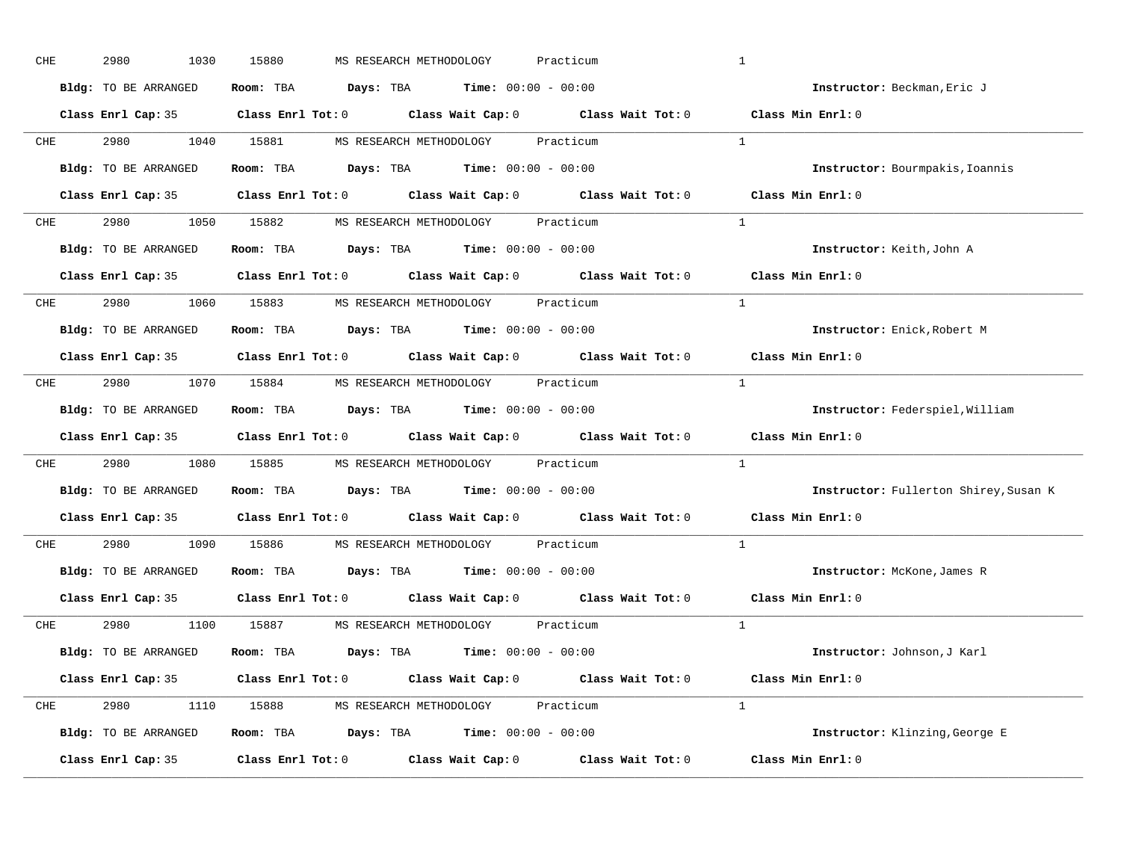| CHE        | 2980<br>1030         | 15880<br>MS RESEARCH METHODOLOGY<br>Practicum                                              | $\mathbf{1}$                          |
|------------|----------------------|--------------------------------------------------------------------------------------------|---------------------------------------|
|            | Bldg: TO BE ARRANGED | Room: TBA $\rule{1em}{0.15mm}$ Days: TBA $\rule{1.15mm}]{0.15mm}$ Time: $0.000 - 0.0000$   | Instructor: Beckman, Eric J           |
|            |                      | Class Enrl Cap: 35 Class Enrl Tot: 0 Class Wait Cap: 0 Class Wait Tot: 0 Class Min Enrl: 0 |                                       |
|            |                      | CHE 2980 1040 15881 MS RESEARCH METHODOLOGY Practicum                                      | $\mathbf{1}$                          |
|            | Bldg: TO BE ARRANGED | Room: TBA $\rule{1em}{0.15mm}$ Days: TBA Time: $00:00 - 00:00$                             | Instructor: Bourmpakis, Ioannis       |
|            |                      | Class Enrl Cap: 35 Class Enrl Tot: 0 Class Wait Cap: 0 Class Wait Tot: 0 Class Min Enrl: 0 |                                       |
| CHE        |                      | 2980 1050 15882 MS RESEARCH METHODOLOGY Practicum                                          | $\mathbf{1}$                          |
|            |                      | Bldg: TO BE ARRANGED Room: TBA Days: TBA Time: 00:00 - 00:00                               | Instructor: Keith, John A             |
|            |                      | Class Enrl Cap: 35 Class Enrl Tot: 0 Class Wait Cap: 0 Class Wait Tot: 0 Class Min Enrl: 0 |                                       |
|            |                      | CHE 2980 1060 15883 MS RESEARCH METHODOLOGY Practicum                                      | <sup>1</sup>                          |
|            | Bldg: TO BE ARRANGED | Room: TBA $\rule{1em}{0.15mm}$ Days: TBA $\rule{1.15mm}]{0.15mm}$ Time: $0.000 - 0.0000$   | Instructor: Enick, Robert M           |
|            |                      | Class Enrl Cap: 35 Class Enrl Tot: 0 Class Wait Cap: 0 Class Wait Tot: 0                   | Class Min Enrl: 0                     |
| CHE        |                      | 2980 1070 15884 MS RESEARCH METHODOLOGY Practicum                                          | $\overline{1}$                        |
|            | Bldg: TO BE ARRANGED | Room: TBA $\rule{1em}{0.15mm}$ Days: TBA Time: $00:00 - 00:00$                             | Instructor: Federspiel, William       |
|            |                      | Class Enrl Cap: 35 Class Enrl Tot: 0 Class Wait Cap: 0 Class Wait Tot: 0                   | Class Min Enrl: 0                     |
| CHE        |                      | 2980 1080 15885 MS RESEARCH METHODOLOGY Practicum                                          | $\mathbf{1}$                          |
|            | Bldg: TO BE ARRANGED | Room: TBA $Days:$ TBA $Time: 00:00 - 00:00$                                                | Instructor: Fullerton Shirey, Susan K |
|            |                      | Class Enrl Cap: 35 Class Enrl Tot: 0 Class Wait Cap: 0 Class Wait Tot: 0                   | Class Min Enrl: 0                     |
| <b>CHE</b> |                      | 2980 1090 15886 MS RESEARCH METHODOLOGY<br>Practicum                                       | $\mathbf{1}$                          |
|            | Bldg: TO BE ARRANGED | Room: TBA $Days:$ TBA Time: $00:00 - 00:00$                                                | Instructor: McKone, James R           |
|            | Class Enrl Cap: 35   | Class Enrl Tot: $0$ Class Wait Cap: $0$ Class Wait Tot: $0$                                | Class Min Enrl: 0                     |
|            |                      | CHE 2980 1100 15887 MS RESEARCH METHODOLOGY Practicum                                      | $\overline{1}$                        |
|            | Bldg: TO BE ARRANGED | Room: TBA $Days:$ TBA $Time: 00:00 - 00:00$                                                | Instructor: Johnson, J Karl           |
|            |                      | Class Enrl Cap: 35 Class Enrl Tot: 0 Class Wait Cap: 0 Class Wait Tot: 0 Class Min Enrl: 0 |                                       |
|            |                      | CHE 2980 1110 15888 MS RESEARCH METHODOLOGY Practicum                                      | <sup>1</sup>                          |
|            | Bldg: TO BE ARRANGED | Room: TBA $Days:$ TBA $Time: 00:00 - 00:00$                                                | Instructor: Klinzing, George E        |
|            | Class Enrl Cap: 35   | Class Enrl Tot: $0$ Class Wait Cap: $0$ Class Wait Tot: $0$                                | Class Min Enrl: 0                     |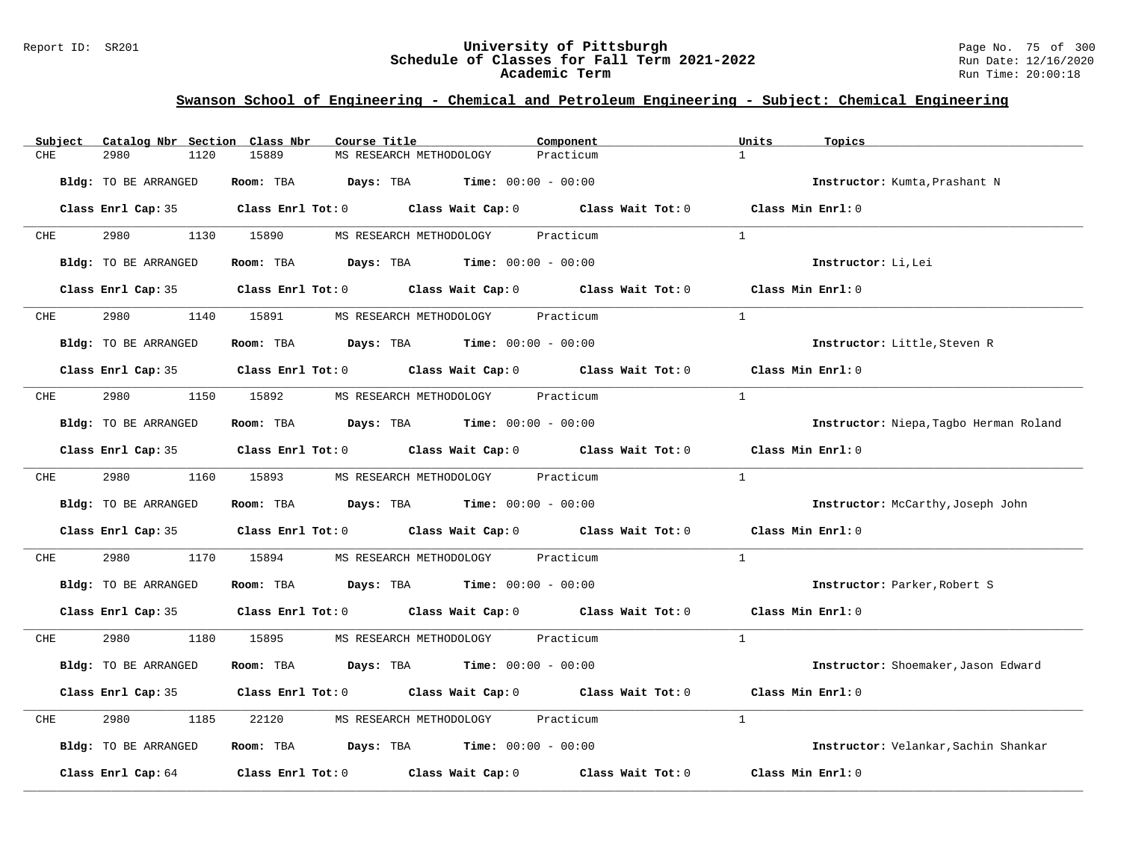#### Report ID: SR201 **University of Pittsburgh** Page No. 75 of 300 **Schedule of Classes for Fall Term 2021-2022** Run Date: 12/16/2020 **Academic Term** Run Time: 20:00:18

| Catalog Nbr Section Class Nbr<br>Subject | Course Title                                                                                        | Component<br>Units        | Topics                                   |
|------------------------------------------|-----------------------------------------------------------------------------------------------------|---------------------------|------------------------------------------|
| 2980<br>1120<br>CHE                      | 15889<br>MS RESEARCH METHODOLOGY                                                                    | $\mathbf{1}$<br>Practicum |                                          |
| Bldg: TO BE ARRANGED                     | Room: TBA $Days:$ TBA $Time: 00:00 - 00:00$                                                         |                           | Instructor: Kumta, Prashant N            |
|                                          | Class Enrl Cap: 35 $\qquad$ Class Enrl Tot: 0 $\qquad$ Class Wait Cap: 0 $\qquad$ Class Wait Tot: 0 |                           | Class Min Enrl: 0                        |
| 2980 7<br>CHE                            | 1130 15890<br>MS RESEARCH METHODOLOGY                                                               | Practicum<br>$\mathbf{1}$ |                                          |
| <b>Bldg:</b> TO BE ARRANGED              | Room: TBA $Days:$ TBA $Time: 00:00 - 00:00$                                                         |                           | Instructor: Li, Lei                      |
|                                          | Class Enrl Cap: 35 Class Enrl Tot: 0 Class Wait Cap: 0 Class Wait Tot: 0 Class Min Enrl: 0          |                           |                                          |
| <b>CHE</b>                               | 1140 15891 MS RESEARCH METHODOLOGY Practicum                                                        | $\overline{1}$            |                                          |
| Bldg: TO BE ARRANGED                     | Room: TBA $Days:$ TBA $Time: 00:00 - 00:00$                                                         |                           | Instructor: Little, Steven R             |
|                                          | Class Enrl Cap: 35 Class Enrl Tot: 0 Class Wait Cap: 0 Class Wait Tot: 0                            |                           | Class Min $Enr1:0$                       |
| 2980<br>CHE                              | 1150 15892<br>MS RESEARCH METHODOLOGY Practicum                                                     | $\mathbf{1}$              |                                          |
| Bldg: TO BE ARRANGED                     | Room: TBA $Days:$ TBA $Time: 00:00 - 00:00$                                                         |                           | Instructor: Niepa, Tagbo Herman Roland   |
|                                          | Class Enrl Cap: 35 Class Enrl Tot: 0 Class Wait Cap: 0 Class Wait Tot: 0 Class Min Enrl: 0          |                           |                                          |
| 2980 72<br><b>CHE</b>                    | 1160 15893 MS RESEARCH METHODOLOGY Practicum                                                        | <sup>1</sup>              |                                          |
| Bldg: TO BE ARRANGED                     | Room: TBA $Days: TBA$ Time: $00:00 - 00:00$                                                         |                           | <b>Instructor:</b> McCarthy, Joseph John |
|                                          | Class Enrl Cap: 35 Class Enrl Tot: 0 Class Wait Cap: 0 Class Wait Tot: 0                            | Class Min Enrl: 0         |                                          |
| 2980<br>1170<br>CHE                      | 15894<br>MS RESEARCH METHODOLOGY Practicum                                                          | $\mathbf{1}$              |                                          |
| Bldg: TO BE ARRANGED                     | Room: TBA $Days:$ TBA $Time: 00:00 - 00:00$                                                         |                           | Instructor: Parker, Robert S             |
|                                          | Class Enrl Cap: 35 Class Enrl Tot: 0 Class Wait Cap: 0 Class Wait Tot: 0 Class Min Enrl: 0          |                           |                                          |
| 2980<br>CHE                              | 1180 15895 MS RESEARCH METHODOLOGY Practicum                                                        | $\mathbf{1}$              |                                          |
| Bldg: TO BE ARRANGED                     | Room: TBA $\rule{1em}{0.15mm}$ Days: TBA Time: $00:00 - 00:00$                                      |                           | Instructor: Shoemaker, Jason Edward      |
|                                          | Class Enrl Cap: 35 Class Enrl Tot: 0 Class Wait Cap: 0 Class Wait Tot: 0                            | Class Min Enrl: 0         |                                          |
| 2980<br>1185<br>CHE                      | 22120 MS RESEARCH METHODOLOGY Practicum                                                             | $\mathbf{1}$              |                                          |
| Bldg: TO BE ARRANGED                     | Room: TBA $Days:$ TBA $Time: 00:00 - 00:00$                                                         |                           | Instructor: Velankar, Sachin Shankar     |
|                                          | Class Enrl Cap: 64 (class Enrl Tot: 0 (class Wait Cap: 0 (class Wait Tot: 0 $\sim$                  |                           | Class Min Enrl: 0                        |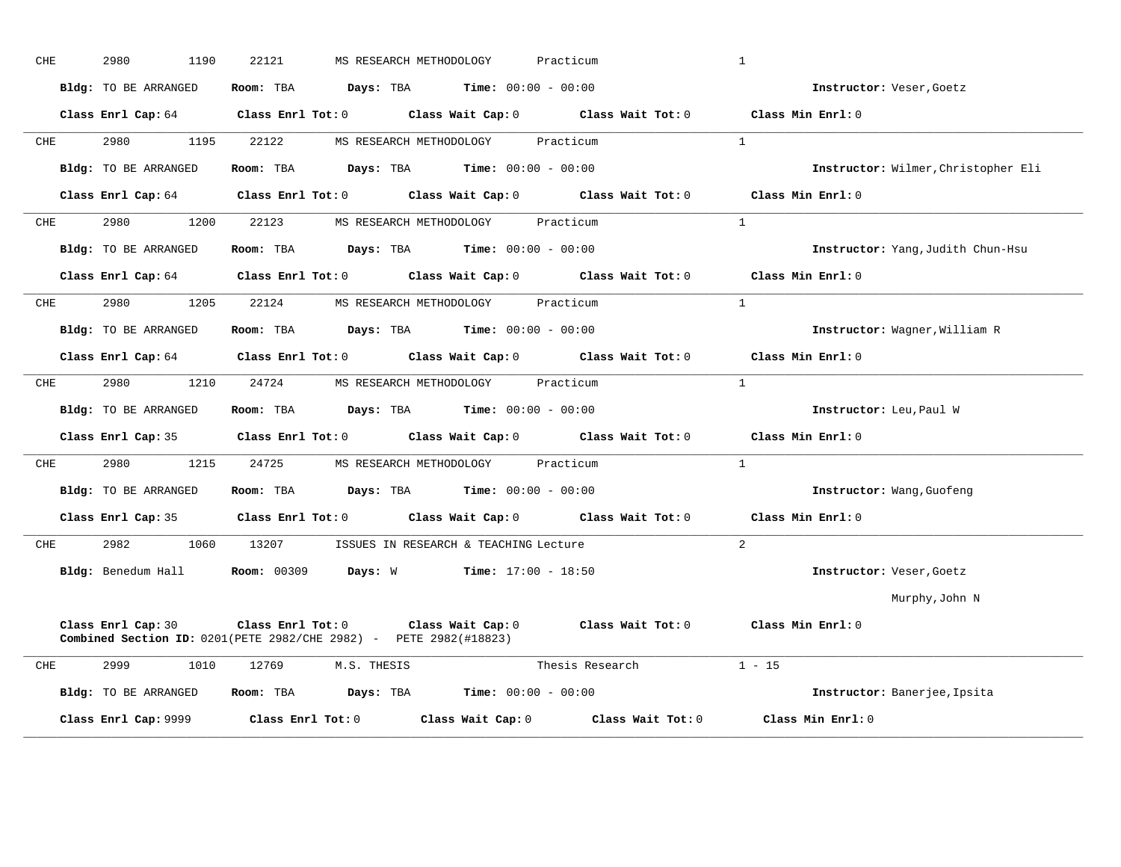| CHE | 2980<br>1190         | 22121<br>MS RESEARCH METHODOLOGY                                         | Practicum                                                                                    | $\mathbf{1}$                        |
|-----|----------------------|--------------------------------------------------------------------------|----------------------------------------------------------------------------------------------|-------------------------------------|
|     | Bldg: TO BE ARRANGED | Room: TBA $Days:$ TBA $Time: 00:00 - 00:00$                              |                                                                                              | Instructor: Veser, Goetz            |
|     |                      |                                                                          | Class Enrl Cap: 64 Class Enrl Tot: 0 Class Wait Cap: 0 Class Wait Tot: 0 Class Min Enrl: 0   |                                     |
| CHE | 2980                 | 1195 22122                                                               | MS RESEARCH METHODOLOGY Practicum                                                            | $\overline{1}$                      |
|     | Bldg: TO BE ARRANGED | Room: TBA $Days:$ TBA $Time: 00:00 - 00:00$                              |                                                                                              | Instructor: Wilmer, Christopher Eli |
|     |                      |                                                                          | Class Enrl Cap: 64 Class Enrl Tot: 0 Class Wait Cap: 0 Class Wait Tot: 0                     | Class Min Enrl: 0                   |
| CHE | 2980<br>1200         | 22123 MS RESEARCH METHODOLOGY Practicum                                  |                                                                                              | $\mathbf{1}$                        |
|     | Bldg: TO BE ARRANGED | Room: TBA $Days:$ TBA $Time: 00:00 - 00:00$                              |                                                                                              | Instructor: Yang, Judith Chun-Hsu   |
|     |                      |                                                                          | Class Enrl Cap: 64 $\,$ Class Enrl Tot: 0 $\,$ Class Wait Cap: 0 $\,$ Class Wait Tot: 0 $\,$ | Class Min Enrl: 0                   |
| CHE | 2980 1205 22124      |                                                                          | MS RESEARCH METHODOLOGY Practicum                                                            | $\overline{1}$                      |
|     | Bldg: TO BE ARRANGED | Room: TBA $Days: TBA$ Time: $00:00 - 00:00$                              |                                                                                              | Instructor: Wagner, William R       |
|     |                      |                                                                          | Class Enrl Cap: 64 Class Enrl Tot: 0 Class Wait Cap: 0 Class Wait Tot: 0 Class Min Enrl: 0   |                                     |
| CHE |                      | 2980 1210 24724 MS RESEARCH METHODOLOGY Practicum                        |                                                                                              | $\mathbf{1}$                        |
|     | Bldg: TO BE ARRANGED | Room: TBA $Days: TBA$ Time: $00:00 - 00:00$                              |                                                                                              | Instructor: Leu, Paul W             |
|     |                      |                                                                          | Class Enrl Cap: 35 Class Enrl Tot: 0 Class Wait Cap: 0 Class Wait Tot: 0 Class Min Enrl: 0   |                                     |
| CHE | 2980<br>1215         | 24725 MS RESEARCH METHODOLOGY                                            | Practicum                                                                                    | $\mathbf{1}$                        |
|     | Bldg: TO BE ARRANGED | Room: TBA $Days:$ TBA $Time: 00:00 - 00:00$                              |                                                                                              | Instructor: Wang, Guofeng           |
|     |                      |                                                                          | Class Enrl Cap: 35 Class Enrl Tot: 0 Class Wait Cap: 0 Class Wait Tot: 0 Class Min Enrl: 0   |                                     |
| CHE |                      | 2982 1060 13207 ISSUES IN RESEARCH & TEACHING Lecture                    |                                                                                              | $\overline{2}$                      |
|     | Bldg: Benedum Hall   | <b>Room: 00309</b>                                                       | <b>Days:</b> W <b>Time:</b> $17:00 - 18:50$                                                  | Instructor: Veser, Goetz            |
|     |                      |                                                                          |                                                                                              | Murphy, John N                      |
|     | Class Enrl Cap: 30   | <b>Combined Section ID:</b> 0201(PETE 2982/CHE 2982) - PETE 2982(#18823) | Class Enrl Tot: 0 Class Wait Cap: 0 Class Wait Tot: 0 Class Min Enrl: 0                      |                                     |
| CHE | 2999<br>1010         | 12769 M.S. THESIS                                                        | Thesis Research                                                                              | $1 - 15$                            |
|     | Bldg: TO BE ARRANGED | Room: TBA $Days: TBA$ Time: $00:00 - 00:00$                              |                                                                                              | Instructor: Banerjee, Ipsita        |
|     | Class Enrl Cap: 9999 | $Class$ $Enr1$ $Tot: 0$                                                  | Class Wait Tot: 0<br>Class Wait Cap: 0                                                       | Class Min Enrl: 0                   |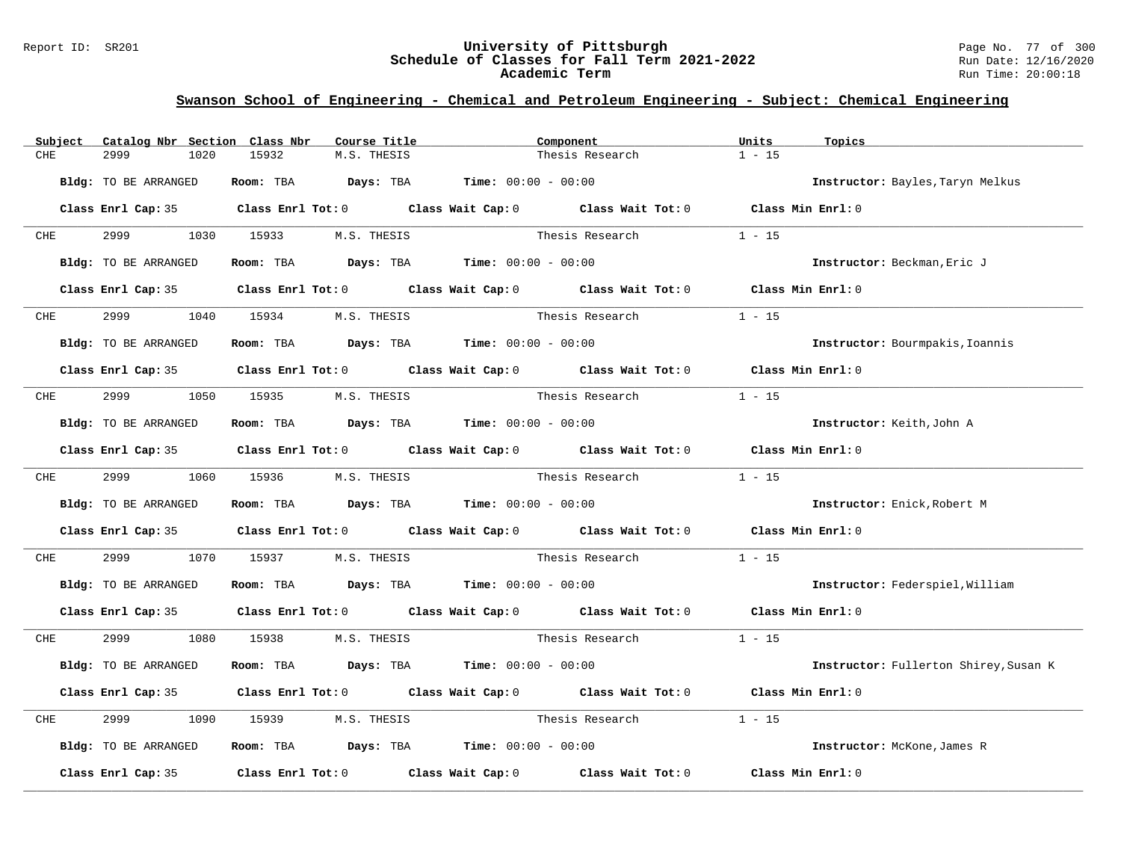#### Report ID: SR201 **University of Pittsburgh** Page No. 77 of 300 **Schedule of Classes for Fall Term 2021-2022** Run Date: 12/16/2020 **Academic Term** Run Time: 20:00:18

| Subject    | Catalog Nbr Section Class Nbr | Course Title                                                                                        | Component                   |                        | Units<br>Topics                       |  |
|------------|-------------------------------|-----------------------------------------------------------------------------------------------------|-----------------------------|------------------------|---------------------------------------|--|
| CHE        | 2999<br>1020                  | 15932<br>M.S. THESIS                                                                                |                             | Thesis Research        | $1 - 15$                              |  |
|            | Bldg: TO BE ARRANGED          | Room: TBA $Days: TBA$ Time: $00:00 - 00:00$                                                         |                             |                        | Instructor: Bayles, Taryn Melkus      |  |
|            |                               | Class Enrl Cap: 35 Class Enrl Tot: 0 Class Wait Cap: 0 Class Wait Tot: 0 Class Min Enrl: 0          |                             |                        |                                       |  |
| <b>CHE</b> | 2999                          | 1030 15933<br>M.S. THESIS                                                                           |                             | Thesis Research        | $1 - 15$                              |  |
|            | Bldg: TO BE ARRANGED          | Room: TBA $Days:$ TBA $Time: 00:00 - 00:00$                                                         |                             |                        | Instructor: Beckman, Eric J           |  |
|            |                               | Class Enrl Cap: 35 Class Enrl Tot: 0 Class Wait Cap: 0 Class Wait Tot: 0 Class Min Enrl: 0          |                             |                        |                                       |  |
| <b>CHE</b> | 2999                          | 1040 15934<br>M.S. THESIS                                                                           |                             | Thesis Research        | $1 - 15$                              |  |
|            | Bldg: TO BE ARRANGED          | Room: TBA $Days:$ TBA $Time: 00:00 - 00:00$                                                         |                             |                        | Instructor: Bourmpakis, Ioannis       |  |
|            |                               | Class Enrl Cap: 35 Class Enrl Tot: 0 Class Wait Cap: 0 Class Wait Tot: 0 Class Min Enrl: 0          |                             |                        |                                       |  |
| CHE        | 2999 120                      | 1050 15935 M.S. THESIS                                                                              |                             | Thesis Research        | $1 - 15$                              |  |
|            | Bldg: TO BE ARRANGED          | Room: TBA $Days:$ TBA $Time: 00:00 - 00:00$                                                         |                             |                        | Instructor: Keith, John A             |  |
|            |                               | Class Enrl Cap: 35 Class Enrl Tot: 0 Class Wait Cap: 0 Class Wait Tot: 0 Class Min Enrl: 0          |                             |                        |                                       |  |
| <b>CHE</b> | 2999 — 200                    | 1060 15936 M.S. THESIS                                                                              | Thesis Research             |                        | $1 - 15$                              |  |
|            | Bldg: TO BE ARRANGED          | Room: TBA $Days:$ TBA $Time: 00:00 - 00:00$                                                         |                             |                        | Instructor: Enick, Robert M           |  |
|            |                               | Class Enrl Cap: 35 Class Enrl Tot: 0 Class Wait Cap: 0 Class Wait Tot: 0 Class Min Enrl: 0          |                             |                        |                                       |  |
| CHE        | 2999<br>1070                  | 15937                                                                                               | M.S. THESIS Thesis Research |                        | $1 - 15$                              |  |
|            | Bldg: TO BE ARRANGED          | Room: TBA $Days:$ TBA $Time: 00:00 - 00:00$                                                         |                             |                        | Instructor: Federspiel, William       |  |
|            |                               | Class Enrl Cap: 35 Class Enrl Tot: 0 Class Wait Cap: 0 Class Wait Tot: 0 Class Min Enrl: 0          |                             |                        |                                       |  |
| <b>CHE</b> | 2999 720                      | 1080 15938<br>M.S. THESIS                                                                           |                             | Thesis Research 1 - 15 |                                       |  |
|            | Bldg: TO BE ARRANGED          | Room: TBA $Days:$ TBA $Time: 00:00 - 00:00$                                                         |                             |                        | Instructor: Fullerton Shirey, Susan K |  |
|            |                               | Class Enrl Cap: 35 Class Enrl Tot: 0 Class Wait Cap: 0 Class Wait Tot: 0 Class Min Enrl: 0          |                             |                        |                                       |  |
| CHE        | 2999<br>1090                  | M.S. THESIS<br>15939                                                                                | Thesis Research             |                        | $1 - 15$                              |  |
|            | Bldg: TO BE ARRANGED          | Room: TBA $\rule{1em}{0.15mm}$ Days: TBA Time: $00:00 - 00:00$                                      |                             |                        | Instructor: McKone, James R           |  |
|            |                               | Class Enrl Cap: 35 $\qquad$ Class Enrl Tot: 0 $\qquad$ Class Wait Cap: 0 $\qquad$ Class Wait Tot: 0 |                             |                        | Class Min Enrl: 0                     |  |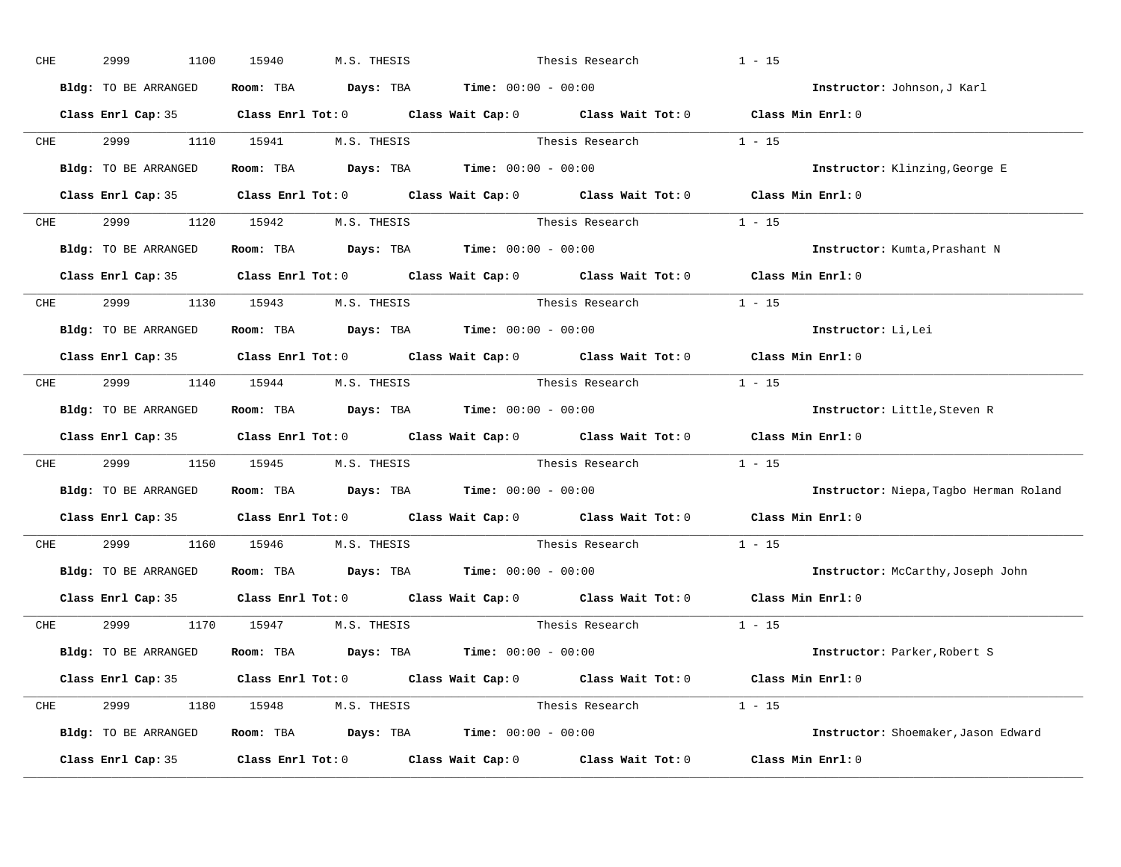| CHE |            | 2999<br>1100                    | 15940 | M.S. THESIS                                                                                | Thesis Research                                                                                     | $1 - 15$                                                                                   |
|-----|------------|---------------------------------|-------|--------------------------------------------------------------------------------------------|-----------------------------------------------------------------------------------------------------|--------------------------------------------------------------------------------------------|
|     |            | Bldg: TO BE ARRANGED            |       | Room: TBA $\rule{1em}{0.15mm}$ Days: TBA $\rule{1.15mm}]{0.15mm}$ Time: $0.000 - 0.0000$   |                                                                                                     | Instructor: Johnson, J Karl                                                                |
|     |            |                                 |       |                                                                                            |                                                                                                     | Class Enrl Cap: 35 Class Enrl Tot: 0 Class Wait Cap: 0 Class Wait Tot: 0 Class Min Enrl: 0 |
|     | <b>CHE</b> | 2999 — 100                      |       | 1110 15941 M.S. THESIS                                                                     | Thesis Research $1 - 15$                                                                            |                                                                                            |
|     |            | Bldg: TO BE ARRANGED            |       | Room: TBA $Days:$ TBA $Time: 00:00 - 00:00$                                                |                                                                                                     | Instructor: Klinzing, George E                                                             |
|     |            |                                 |       |                                                                                            | Class Enrl Cap: 35 Class Enrl Tot: 0 Class Wait Cap: 0 Class Wait Tot: 0 Class Min Enrl: 0          |                                                                                            |
|     |            | CHE 2999 1120 15942 M.S. THESIS |       |                                                                                            | Thesis Research $1 - 15$                                                                            |                                                                                            |
|     |            |                                 |       | <b>Bldg:</b> TO BE ARRANGED <b>Room:</b> TBA <b>Days:</b> TBA <b>Time:</b> $00:00 - 00:00$ |                                                                                                     | Instructor: Kumta, Prashant N                                                              |
|     |            |                                 |       |                                                                                            | Class Enrl Cap: 35 $\qquad$ Class Enrl Tot: 0 $\qquad$ Class Wait Cap: 0 $\qquad$ Class Wait Tot: 0 | Class Min Enrl: 0                                                                          |
|     |            | CHE 2999 1130 15943 M.S. THESIS |       |                                                                                            | Thesis Research 1 - 15                                                                              |                                                                                            |
|     |            | Bldg: TO BE ARRANGED            |       | Room: TBA $Days:$ TBA $Time: 00:00 - 00:00$                                                |                                                                                                     | Instructor: Li, Lei                                                                        |
|     |            |                                 |       |                                                                                            |                                                                                                     | Class Enrl Cap: 35 Class Enrl Tot: 0 Class Wait Cap: 0 Class Wait Tot: 0 Class Min Enrl: 0 |
|     |            |                                 |       | CHE 2999 1140 15944 M.S. THESIS                                                            | Thesis Research $1 - 15$                                                                            |                                                                                            |
|     |            | Bldg: TO BE ARRANGED            |       | Room: TBA $Days:$ TBA $Time: 00:00 - 00:00$                                                |                                                                                                     | Instructor: Little, Steven R                                                               |
|     |            |                                 |       |                                                                                            |                                                                                                     |                                                                                            |
|     |            |                                 |       |                                                                                            |                                                                                                     | Class Enrl Cap: 35 Class Enrl Tot: 0 Class Wait Cap: 0 Class Wait Tot: 0 Class Min Enrl: 0 |
|     | <b>CHE</b> |                                 |       |                                                                                            | 2999 1150 15945 M.S. THESIS Thesis Research 1 - 15                                                  |                                                                                            |
|     |            | Bldg: TO BE ARRANGED            |       | Room: TBA $Days: TBA$ Time: $00:00 - 00:00$                                                |                                                                                                     | Instructor: Niepa, Tagbo Herman Roland                                                     |
|     |            |                                 |       |                                                                                            | Class Enrl Cap: 35 Class Enrl Tot: 0 Class Wait Cap: 0 Class Wait Tot: 0                            | Class Min Enrl: 0                                                                          |
|     | <b>CHE</b> |                                 |       | 2999 1160 15946 M.S. THESIS                                                                | Thesis Research                                                                                     | $1 - 15$                                                                                   |
|     |            |                                 |       | Bldg: TO BE ARRANGED Room: TBA Days: TBA Time: 00:00 - 00:00                               |                                                                                                     | Instructor: McCarthy, Joseph John                                                          |
|     |            | Class Enrl Cap: 35              |       |                                                                                            | Class Enrl Tot: $0$ Class Wait Cap: $0$ Class Wait Tot: $0$                                         | Class Min Enrl: 0                                                                          |
|     |            | CHE 2999 1170 15947 M.S. THESIS |       |                                                                                            | Thesis Research                                                                                     | $1 - 15$                                                                                   |
|     |            | Bldg: TO BE ARRANGED            |       | Room: TBA $\rule{1em}{0.15mm}$ Days: TBA $\rule{1.15mm}]{0.15mm}$ Time: $0.000 - 0.000$    |                                                                                                     | Instructor: Parker, Robert S                                                               |
|     |            |                                 |       |                                                                                            | Class Enrl Cap: 35 Class Enrl Tot: 0 Class Wait Cap: 0 Class Wait Tot: 0 Class Min Enrl: 0          |                                                                                            |
|     |            | CHE 2999 1180 15948 M.S. THESIS |       |                                                                                            | Thesis Research $1 - 15$                                                                            |                                                                                            |
|     |            | Bldg: TO BE ARRANGED            |       | Room: TBA $Days:$ TBA $Time: 00:00 - 00:00$                                                |                                                                                                     | Instructor: Shoemaker, Jason Edward                                                        |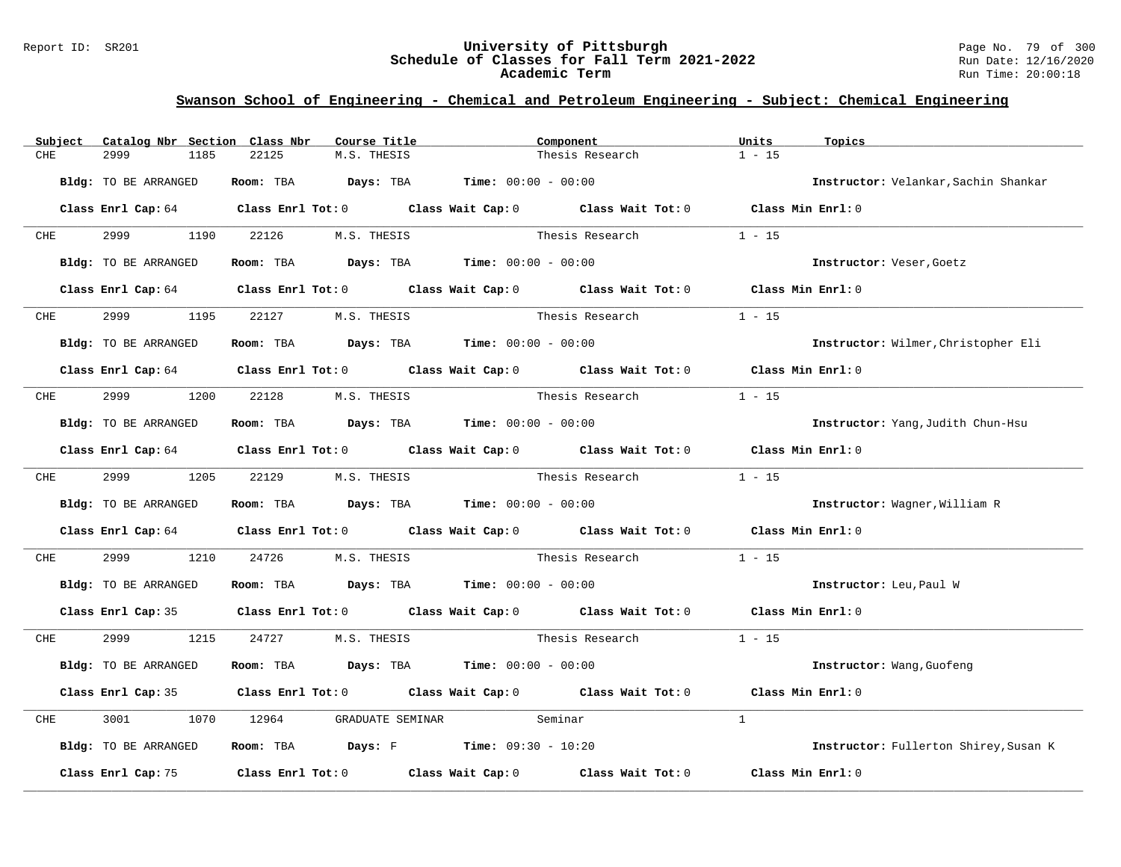#### Report ID: SR201 **University of Pittsburgh** Page No. 79 of 300 **Schedule of Classes for Fall Term 2021-2022** Run Date: 12/16/2020 **Academic Term** Run Time: 20:00:18

|     | Subject    | Catalog Nbr Section Class Nbr   |      |       | Course Title      |                                                                                       | Component                                                                                           | Units             | Topics                                |
|-----|------------|---------------------------------|------|-------|-------------------|---------------------------------------------------------------------------------------|-----------------------------------------------------------------------------------------------------|-------------------|---------------------------------------|
| CHE |            | 2999                            | 1185 | 22125 | M.S. THESIS       | Thesis Research                                                                       |                                                                                                     | $1 - 15$          |                                       |
|     |            | Bldg: TO BE ARRANGED            |      |       |                   | Room: TBA $Days:$ TBA $Time: 00:00 - 00:00$                                           |                                                                                                     |                   | Instructor: Velankar, Sachin Shankar  |
|     |            |                                 |      |       |                   |                                                                                       | Class Enrl Cap: 64 Class Enrl Tot: 0 Class Wait Cap: 0 Class Wait Tot: 0 Class Min Enrl: 0          |                   |                                       |
|     | <b>CHE</b> | 2999 1190 22126 M.S. THESIS     |      |       |                   |                                                                                       | Thesis Research                                                                                     | $1 - 15$          |                                       |
|     |            | Bldg: TO BE ARRANGED            |      |       |                   | Room: TBA $\rule{1em}{0.15mm}$ Days: TBA $\rule{1.5mm}{0.15mm}$ Time: $00:00 - 00:00$ |                                                                                                     |                   | Instructor: Veser, Goetz              |
|     |            |                                 |      |       |                   |                                                                                       | Class Enrl Cap: 64 Class Enrl Tot: 0 Class Wait Cap: 0 Class Wait Tot: 0 Class Min Enrl: 0          |                   |                                       |
|     |            |                                 |      |       |                   |                                                                                       |                                                                                                     |                   |                                       |
|     | <b>CHE</b> | 2999                            | 1195 |       | 22127 M.S. THESIS |                                                                                       | Thesis Research                                                                                     | $1 - 15$          |                                       |
|     |            | Bldg: TO BE ARRANGED            |      |       |                   | Room: TBA $Days: TBA$ Time: $00:00 - 00:00$                                           |                                                                                                     |                   | Instructor: Wilmer, Christopher Eli   |
|     |            |                                 |      |       |                   |                                                                                       | Class Enrl Cap: 64 Class Enrl Tot: 0 Class Wait Cap: 0 Class Wait Tot: 0 Class Min Enrl: 0          |                   |                                       |
|     | <b>CHE</b> | 2999 1200 22128 M.S. THESIS     |      |       |                   |                                                                                       | Thesis Research                                                                                     | $1 - 15$          |                                       |
|     |            | Bldg: TO BE ARRANGED            |      |       |                   | Room: TBA Days: TBA Time: $00:00 - 00:00$                                             |                                                                                                     |                   | Instructor: Yang, Judith Chun-Hsu     |
|     |            |                                 |      |       |                   |                                                                                       | Class Enrl Cap: 64 Class Enrl Tot: 0 Class Wait Cap: 0 Class Wait Tot: 0 Class Min Enrl: 0          |                   |                                       |
|     |            | CHE 2999 1205 22129 M.S. THESIS |      |       |                   |                                                                                       | Thesis Research                                                                                     | $1 - 15$          |                                       |
|     |            | Bldg: TO BE ARRANGED            |      |       |                   | Room: TBA $Days: TBA$ Time: $00:00 - 00:00$                                           |                                                                                                     |                   | Instructor: Wagner, William R         |
|     |            |                                 |      |       |                   |                                                                                       | Class Enrl Cap: 64 Class Enrl Tot: 0 Class Wait Cap: 0 Class Wait Tot: 0 Class Min Enrl: 0          |                   |                                       |
| CHE |            | 2999 — 100                      |      |       |                   |                                                                                       | 1210 24726 M.S. THESIS Thesis Research                                                              | $1 - 15$          |                                       |
|     |            | Bldg: TO BE ARRANGED            |      |       |                   | Room: TBA $Days: TBA$ Time: $00:00 - 00:00$                                           |                                                                                                     |                   | Instructor: Leu, Paul W               |
|     |            |                                 |      |       |                   |                                                                                       | Class Enrl Cap: 35 Class Enrl Tot: 0 Class Wait Cap: 0 Class Wait Tot: 0 Class Min Enrl: 0          |                   |                                       |
|     |            | CHE 2999 1215 24727 M.S. THESIS |      |       |                   |                                                                                       | Thesis Research                                                                                     | $1 - 15$          |                                       |
|     |            | Bldg: TO BE ARRANGED            |      |       |                   | Room: TBA $Days:$ TBA $Time: 00:00 - 00:00$                                           |                                                                                                     |                   | Instructor: Wang, Guofeng             |
|     |            |                                 |      |       |                   |                                                                                       | Class Enrl Cap: 35 Class Enrl Tot: 0 Class Wait Cap: 0 Class Wait Tot: 0 Class Min Enrl: 0          |                   |                                       |
| CHE |            | 3001                            | 1070 | 12964 |                   | GRADUATE SEMINAR Seminar                                                              |                                                                                                     | $\mathbf{1}$      |                                       |
|     |            | Bldg: TO BE ARRANGED            |      |       |                   | Room: TBA Days: F Time: $09:30 - 10:20$                                               |                                                                                                     |                   | Instructor: Fullerton Shirey, Susan K |
|     |            |                                 |      |       |                   |                                                                                       | Class Enrl Cap: 75 $\qquad$ Class Enrl Tot: 0 $\qquad$ Class Wait Cap: 0 $\qquad$ Class Wait Tot: 0 | Class Min Enrl: 0 |                                       |
|     |            |                                 |      |       |                   |                                                                                       |                                                                                                     |                   |                                       |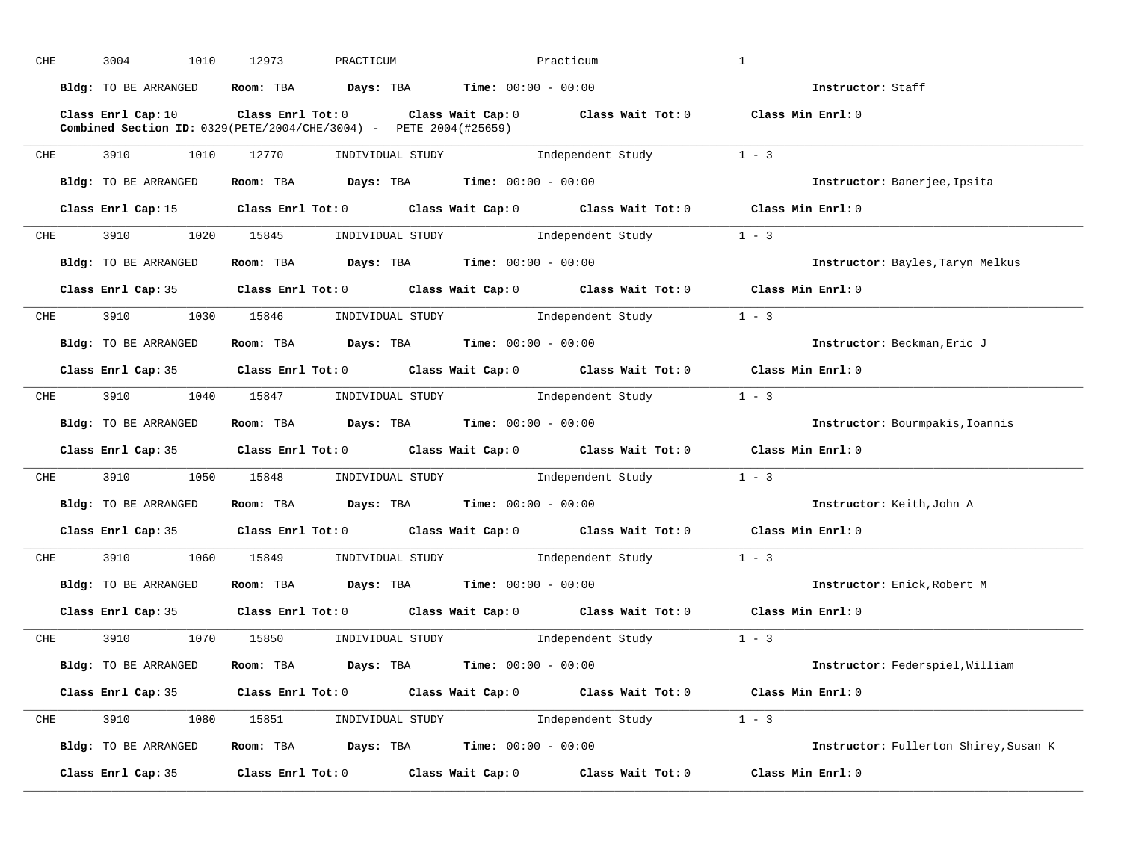| CHE |            | 3004                                                                                             | 1010 | 12973                                                                                   | PRACTICUM |  | Practicum                                                                                           | $\mathbf{1}$ |                                       |
|-----|------------|--------------------------------------------------------------------------------------------------|------|-----------------------------------------------------------------------------------------|-----------|--|-----------------------------------------------------------------------------------------------------|--------------|---------------------------------------|
|     |            | Bldg: TO BE ARRANGED                                                                             |      | Room: TBA $\rule{1em}{0.15mm}$ Days: TBA Time: $00:00 - 00:00$                          |           |  |                                                                                                     |              | Instructor: Staff                     |
|     |            | Class Enrl Cap: 10<br><b>Combined Section ID:</b> $0329(PETE/2004/CHE/3004) - PETE 2004(#25659)$ |      |                                                                                         |           |  | Class Enrl Tot: $0$ Class Wait Cap: $0$ Class Wait Tot: $0$ Class Min Enrl: $0$                     |              |                                       |
| CHE |            | 3910 3910                                                                                        |      |                                                                                         |           |  | 1010 12770 INDIVIDUAL STUDY 1ndependent Study 1 - 3                                                 |              |                                       |
|     |            | Bldg: TO BE ARRANGED                                                                             |      | Room: TBA $Days: TBA$ Time: $00:00 - 00:00$                                             |           |  |                                                                                                     |              | Instructor: Banerjee, Ipsita          |
|     |            |                                                                                                  |      |                                                                                         |           |  | Class Enrl Cap: 15 $\qquad$ Class Enrl Tot: 0 $\qquad$ Class Wait Cap: 0 $\qquad$ Class Wait Tot: 0 |              | Class Min $Enr1:0$                    |
|     | <b>CHE</b> |                                                                                                  |      |                                                                                         |           |  | 3910 1020 15845 INDIVIDUAL STUDY Independent Study 1 - 3                                            |              |                                       |
|     |            | Bldg: TO BE ARRANGED                                                                             |      | Room: TBA $Days:$ TBA $Time: 00:00 - 00:00$                                             |           |  |                                                                                                     |              | Instructor: Bayles, Taryn Melkus      |
|     |            |                                                                                                  |      |                                                                                         |           |  | Class Enrl Cap: 35 Class Enrl Tot: 0 Class Wait Cap: 0 Class Wait Tot: 0 Class Min Enrl: 0          |              |                                       |
|     | CHE        | 3910 1030 15846 INDIVIDUAL STUDY                                                                 |      |                                                                                         |           |  | Independent Study                                                                                   | $1 - 3$      |                                       |
|     |            | Bldg: TO BE ARRANGED                                                                             |      | Room: TBA $Days: TBA$ Time: $00:00 - 00:00$                                             |           |  |                                                                                                     |              | Instructor: Beckman, Eric J           |
|     |            |                                                                                                  |      |                                                                                         |           |  | Class Enrl Cap: 35 Class Enrl Tot: 0 Class Wait Cap: 0 Class Wait Tot: 0 Class Min Enrl: 0          |              |                                       |
|     |            | CHE 3910 1040 15847 INDIVIDUAL STUDY                                                             |      |                                                                                         |           |  | Independent Study                                                                                   | $1 - 3$      |                                       |
|     |            | Bldg: TO BE ARRANGED                                                                             |      | Room: TBA $\rule{1em}{0.15mm}$ Days: TBA $\rule{1.15mm}]{0.15mm}$ Time: $0.000 - 0.000$ |           |  |                                                                                                     |              | Instructor: Bourmpakis, Ioannis       |
|     |            |                                                                                                  |      |                                                                                         |           |  | Class Enrl Cap: 35 $\qquad$ Class Enrl Tot: 0 $\qquad$ Class Wait Cap: 0 $\qquad$ Class Wait Tot: 0 |              | Class Min Enrl: 0                     |
|     |            |                                                                                                  |      |                                                                                         |           |  | CHE 3910 1050 15848 INDIVIDUAL STUDY Independent Study 1 - 3                                        |              |                                       |
|     |            | Bldg: TO BE ARRANGED                                                                             |      | Room: TBA $Days: TBA$ Time: $00:00 - 00:00$                                             |           |  |                                                                                                     |              | Instructor: Keith, John A             |
|     |            |                                                                                                  |      |                                                                                         |           |  | Class Enrl Cap: 35 Class Enrl Tot: 0 Class Wait Cap: 0 Class Wait Tot: 0 Class Min Enrl: 0          |              |                                       |
|     |            |                                                                                                  |      |                                                                                         |           |  | CHE 3910 1060 15849 INDIVIDUAL STUDY Independent Study                                              | $1 - 3$      |                                       |
|     |            | Bldg: TO BE ARRANGED                                                                             |      | Room: TBA $\rule{1em}{0.15mm}$ Days: TBA Time: $00:00 - 00:00$                          |           |  |                                                                                                     |              | Instructor: Enick, Robert M           |
|     |            |                                                                                                  |      |                                                                                         |           |  | Class Enrl Cap: 35 Class Enrl Tot: 0 Class Wait Cap: 0 Class Wait Tot: 0 Class Min Enrl: 0          |              |                                       |
|     |            |                                                                                                  |      |                                                                                         |           |  | CHE 3910 1070 15850 INDIVIDUAL STUDY Independent Study 1 - 3                                        |              |                                       |
|     |            | Bldg: TO BE ARRANGED ROOM: TBA Days: TBA Time: 00:00 - 00:00                                     |      |                                                                                         |           |  |                                                                                                     |              | Instructor: Federspiel, William       |
|     |            |                                                                                                  |      |                                                                                         |           |  | Class Enrl Cap: 35 Class Enrl Tot: 0 Class Wait Cap: 0 Class Wait Tot: 0 Class Min Enrl: 0          |              |                                       |
|     |            |                                                                                                  |      |                                                                                         |           |  | CHE 3910 1080 15851 INDIVIDUAL STUDY Independent Study 1 - 3                                        |              |                                       |
|     |            | Bldg: TO BE ARRANGED                                                                             |      |                                                                                         |           |  | Room: TBA $Days:$ TBA $Time:$ $00:00 - 00:00$                                                       |              | Instructor: Fullerton Shirey, Susan K |
|     |            | Class Enrl Cap: 35                                                                               |      |                                                                                         |           |  | Class Enrl Tot: $0$ class Wait Cap: $0$ class Wait Tot: $0$ class Min Enrl: $0$                     |              |                                       |
|     |            |                                                                                                  |      |                                                                                         |           |  |                                                                                                     |              |                                       |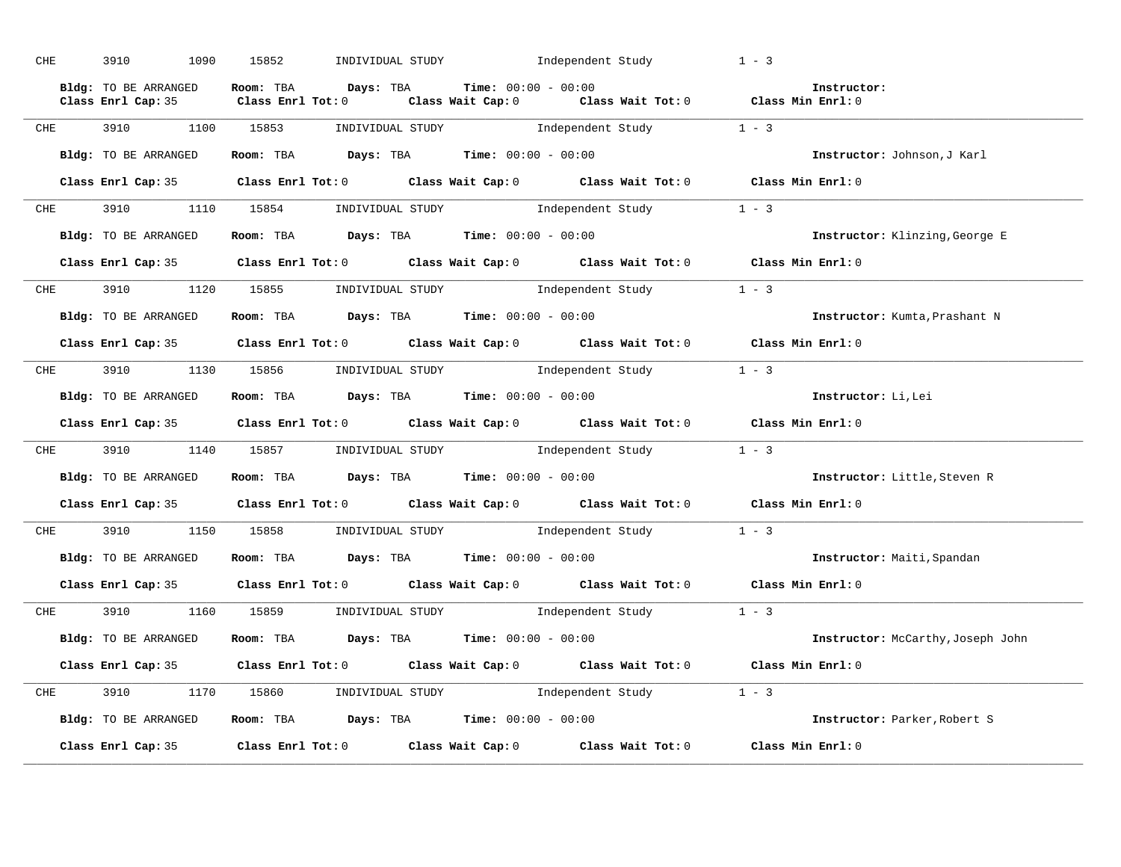| <b>CHE</b> | 3910 70<br>1090      | 15852 | INDIVIDUAL STUDY               Independent Study                                        |                                                                                                                                                            | $1 - 3$                                                                    |
|------------|----------------------|-------|-----------------------------------------------------------------------------------------|------------------------------------------------------------------------------------------------------------------------------------------------------------|----------------------------------------------------------------------------|
|            |                      |       |                                                                                         | Bldg: TO BE ARRANGED Room: TBA Days: TBA Time: 00:00 - 00:00<br>Class Enrl Cap: 35 Class Enrl Tot: 0 Class Wait Cap: 0 Class Wait Tot: 0 Class Min Enrl: 0 | Instructor:                                                                |
|            |                      |       |                                                                                         | CHE 3910 1100 15853 INDIVIDUAL STUDY Independent Study 1 - 3                                                                                               |                                                                            |
|            | Bldg: TO BE ARRANGED |       | Room: TBA $Days:$ TBA $Time: 00:00 - 00:00$                                             |                                                                                                                                                            | Instructor: Johnson, J Karl                                                |
|            |                      |       |                                                                                         | Class Enrl Cap: 35 Class Enrl Tot: 0 Class Wait Cap: 0 Class Wait Tot: 0 Class Min Enrl: 0                                                                 |                                                                            |
|            |                      |       | CHE 3910 1110 15854 INDIVIDUAL STUDY                                                    | Independent Study                                                                                                                                          | $1 - 3$                                                                    |
|            | Bldg: TO BE ARRANGED |       | Room: TBA $\rule{1em}{0.15mm}$ Days: TBA $\rule{1.15mm}]{0.15mm}$ Time: $00:00 - 00:00$ |                                                                                                                                                            | Instructor: Klinzing, George E                                             |
|            |                      |       |                                                                                         | Class Enrl Cap: 35 Class Enrl Tot: 0 Class Wait Cap: 0 Class Wait Tot: 0 Class Min Enrl: 0                                                                 |                                                                            |
| <b>CHE</b> |                      |       |                                                                                         | 3910 1120 15855 INDIVIDUAL STUDY Independent Study                                                                                                         | $1 - 3$                                                                    |
|            | Bldg: TO BE ARRANGED |       | Room: TBA $Days:$ TBA Time: $00:00 - 00:00$                                             |                                                                                                                                                            | Instructor: Kumta, Prashant N                                              |
|            |                      |       |                                                                                         | Class Enrl Cap: 35 Class Enrl Tot: 0 Class Wait Cap: 0 Class Wait Tot: 0 Class Min Enrl: 0                                                                 |                                                                            |
|            |                      |       |                                                                                         | CHE 3910 1130 15856 INDIVIDUAL STUDY Independent Study 1 - 3                                                                                               |                                                                            |
|            | Bldg: TO BE ARRANGED |       | Room: TBA $Days:$ TBA $Time: 00:00 - 00:00$                                             |                                                                                                                                                            | Instructor: Li, Lei                                                        |
|            |                      |       |                                                                                         |                                                                                                                                                            |                                                                            |
|            |                      |       |                                                                                         | Class Enrl Cap: 35 Class Enrl Tot: 0 Class Wait Cap: 0 Class Wait Tot: 0 Class Min Enrl: 0                                                                 |                                                                            |
|            |                      |       |                                                                                         | CHE 3910 1140 15857 INDIVIDUAL STUDY Independent Study 1 - 3                                                                                               |                                                                            |
|            | Bldg: TO BE ARRANGED |       |                                                                                         |                                                                                                                                                            | Room: TBA Days: TBA Time: 00:00 - 00:00 0 000 1nstructor: Little, Steven R |
|            |                      |       |                                                                                         | Class Enrl Cap: 35 Class Enrl Tot: 0 Class Wait Cap: 0 Class Wait Tot: 0 Class Min Enrl: 0                                                                 |                                                                            |
|            |                      |       |                                                                                         | CHE 3910 1150 15858 INDIVIDUAL STUDY Independent Study                                                                                                     | $1 - 3$                                                                    |
|            | Bldg: TO BE ARRANGED |       | Room: TBA $Days: TBA$ Time: $00:00 - 00:00$                                             |                                                                                                                                                            | Instructor: Maiti, Spandan                                                 |
|            |                      |       |                                                                                         | Class Enrl Cap: 35 Class Enrl Tot: 0 Class Wait Cap: 0 Class Wait Tot: 0 Class Min Enrl: 0                                                                 |                                                                            |
| <b>CHE</b> |                      |       |                                                                                         | 3910 1160 15859 INDIVIDUAL STUDY Independent Study 1 - 3                                                                                                   |                                                                            |
|            | Bldg: TO BE ARRANGED |       | Room: TBA $\rule{1em}{0.15mm}$ Days: TBA Time: $00:00 - 00:00$                          |                                                                                                                                                            | Instructor: McCarthy, Joseph John                                          |
|            |                      |       |                                                                                         | Class Enrl Cap: 35 Class Enrl Tot: 0 Class Wait Cap: 0 Class Wait Tot: 0 Class Min Enrl: 0                                                                 |                                                                            |
|            |                      |       |                                                                                         | CHE 3910 1170 15860 INDIVIDUAL STUDY Independent Study 1 - 3                                                                                               |                                                                            |
|            | Bldg: TO BE ARRANGED |       |                                                                                         | Room: TBA $Days$ : TBA $Time: 00:00 - 00:00$                                                                                                               | Instructor: Parker, Robert S                                               |
|            | Class Enrl Cap: 35   |       |                                                                                         | Class Enrl Tot: 0 Class Wait Cap: 0 Class Wait Tot: 0 Class Min Enrl: 0                                                                                    |                                                                            |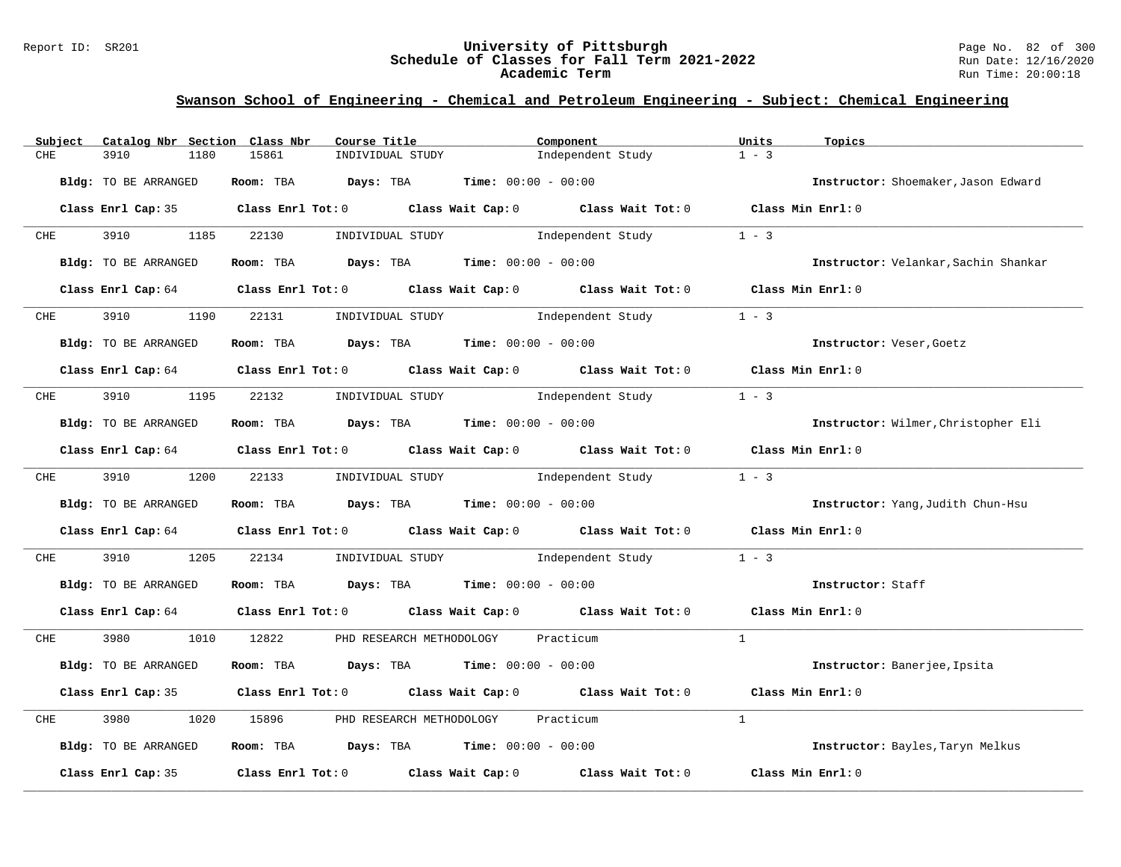#### Report ID: SR201 **University of Pittsburgh** Page No. 82 of 300 **Schedule of Classes for Fall Term 2021-2022** Run Date: 12/16/2020 **Academic Term** Run Time: 20:00:18

| Subject                     | Catalog Nbr Section Class Nbr | Course Title        |                                                                | Component                                                                                  | Units<br>Topics   |                                      |
|-----------------------------|-------------------------------|---------------------|----------------------------------------------------------------|--------------------------------------------------------------------------------------------|-------------------|--------------------------------------|
| CHE<br>3910                 | 1180                          | 15861               | INDIVIDUAL STUDY                                               | Independent Study                                                                          | $1 - 3$           |                                      |
| <b>Bldg:</b> TO BE ARRANGED |                               | Room: TBA Days: TBA | <b>Time:</b> $00:00 - 00:00$                                   |                                                                                            |                   | Instructor: Shoemaker, Jason Edward  |
|                             |                               |                     |                                                                | Class Enrl Cap: 35 Class Enrl Tot: 0 Class Wait Cap: 0 Class Wait Tot: 0 Class Min Enrl: 0 |                   |                                      |
| CHE                         | 3910 3910<br>1185             | 22130               | INDIVIDUAL STUDY                                               | Independent Study                                                                          | $1 - 3$           |                                      |
| Bldg: TO BE ARRANGED        |                               |                     | Room: TBA $Days:$ TBA $Time: 00:00 - 00:00$                    |                                                                                            |                   | Instructor: Velankar, Sachin Shankar |
|                             |                               |                     |                                                                | Class Enrl Cap: 64 Class Enrl Tot: 0 Class Wait Cap: 0 Class Wait Tot: 0 Class Min Enrl: 0 |                   |                                      |
| 3910<br><b>CHE</b>          | 1190 22131                    |                     | INDIVIDUAL STUDY                                               | Independent Study                                                                          | $1 - 3$           |                                      |
| Bldg: TO BE ARRANGED        |                               |                     | Room: TBA $Days:$ TBA $Time: 00:00 - 00:00$                    |                                                                                            |                   | Instructor: Veser, Goetz             |
|                             |                               |                     |                                                                | Class Enrl Cap: 64 Class Enrl Tot: 0 Class Wait Cap: 0 Class Wait Tot: 0 Class Min Enrl: 0 |                   |                                      |
| CHE                         |                               |                     |                                                                | 3910 1195 22132 INDIVIDUAL STUDY Independent Study                                         | $1 - 3$           |                                      |
| Bldg: TO BE ARRANGED        |                               |                     | Room: TBA $Days:$ TBA $Time: 00:00 - 00:00$                    |                                                                                            |                   | Instructor: Wilmer, Christopher Eli  |
|                             |                               |                     |                                                                | Class Enrl Cap: 64 Class Enrl Tot: 0 Class Wait Cap: 0 Class Wait Tot: 0 Class Min Enrl: 0 |                   |                                      |
|                             | CHE 3910 1200 22133           |                     |                                                                | INDIVIDUAL STUDY 1ndependent Study                                                         | $1 - 3$           |                                      |
| Bldg: TO BE ARRANGED        |                               |                     | Room: TBA $Days: TBA$ Time: $00:00 - 00:00$                    |                                                                                            |                   | Instructor: Yang, Judith Chun-Hsu    |
|                             |                               |                     |                                                                | Class Enrl Cap: 64 Class Enrl Tot: 0 Class Wait Cap: 0 Class Wait Tot: 0 Class Min Enrl: 0 |                   |                                      |
| 3910<br>CHE                 | 1205                          | 22134               |                                                                | INDIVIDUAL STUDY 1ndependent Study                                                         | $1 - 3$           |                                      |
| Bldg: TO BE ARRANGED        |                               |                     | Room: TBA $Days:$ TBA $Time: 00:00 - 00:00$                    |                                                                                            |                   | Instructor: Staff                    |
|                             |                               |                     |                                                                | Class Enrl Cap: 64 Class Enrl Tot: 0 Class Wait Cap: 0 Class Wait Tot: 0 Class Min Enrl: 0 |                   |                                      |
| CHE                         | 3980 1010 12822               |                     | PHD RESEARCH METHODOLOGY Practicum                             |                                                                                            | $\mathbf{1}$      |                                      |
| Bldg: TO BE ARRANGED        |                               |                     | Room: TBA $Days:$ TBA $Time: 00:00 - 00:00$                    |                                                                                            |                   | Instructor: Banerjee, Ipsita         |
|                             |                               |                     |                                                                | Class Enrl Cap: 35 Class Enrl Tot: 0 Class Wait Cap: 0 Class Wait Tot: 0                   | Class Min Enrl: 0 |                                      |
| 3980<br>CHE                 | 1020                          | 15896 700           | PHD RESEARCH METHODOLOGY Practicum                             |                                                                                            | $\mathbf{1}$      |                                      |
| Bldg: TO BE ARRANGED        |                               |                     | Room: TBA $\rule{1em}{0.15mm}$ Days: TBA Time: $00:00 - 00:00$ |                                                                                            |                   | Instructor: Bayles, Taryn Melkus     |
| Class Enrl Cap: 35          |                               |                     |                                                                | Class Enrl Tot: $0$ Class Wait Cap: $0$ Class Wait Tot: $0$                                | Class Min Enrl: 0 |                                      |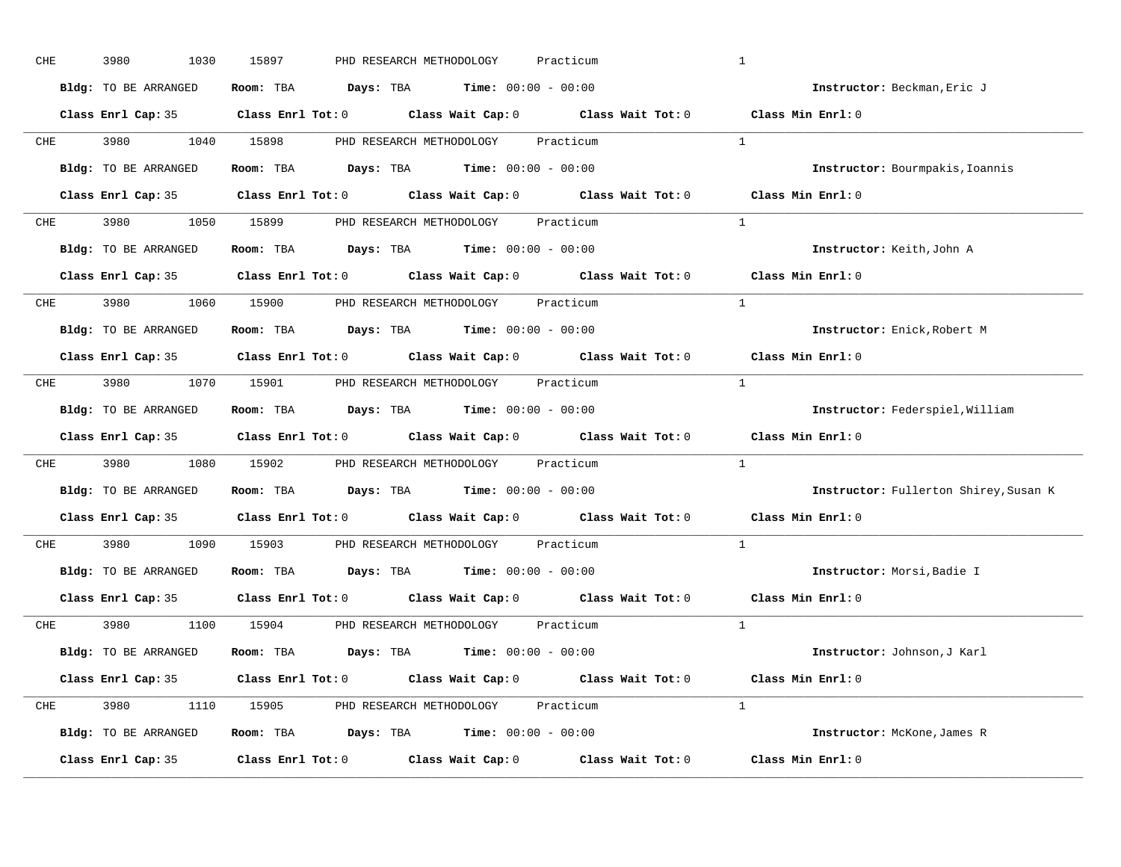| CHE        | 3980<br>1030         | 15897<br>PHD RESEARCH METHODOLOGY<br>Practicum                                             | $\mathbf{1}$                          |
|------------|----------------------|--------------------------------------------------------------------------------------------|---------------------------------------|
|            | Bldg: TO BE ARRANGED | Room: TBA $\rule{1em}{0.15mm}$ Days: TBA $\rule{1.15mm}]{0.15mm}$ Time: $0.000 - 0.0000$   | Instructor: Beckman, Eric J           |
|            |                      | Class Enrl Cap: 35 Class Enrl Tot: 0 Class Wait Cap: 0 Class Wait Tot: 0 Class Min Enrl: 0 |                                       |
|            |                      | CHE 3980 1040 15898 PHD RESEARCH METHODOLOGY Practicum                                     | $\mathbf{1}$                          |
|            | Bldg: TO BE ARRANGED | Room: TBA $\rule{1em}{0.15mm}$ Days: TBA Time: $00:00 - 00:00$                             | Instructor: Bourmpakis, Ioannis       |
|            |                      | Class Enrl Cap: 35 Class Enrl Tot: 0 Class Wait Cap: 0 Class Wait Tot: 0 Class Min Enrl: 0 |                                       |
|            |                      | CHE 3980 1050 15899 PHD RESEARCH METHODOLOGY Practicum                                     | $\mathbf{1}$                          |
|            |                      | Bldg: TO BE ARRANGED Room: TBA Days: TBA Time: 00:00 - 00:00                               | Instructor: Keith, John A             |
|            |                      | Class Enrl Cap: 35 Class Enrl Tot: 0 Class Wait Cap: 0 Class Wait Tot: 0 Class Min Enrl: 0 |                                       |
|            |                      | CHE 3980 1060 15900 PHD RESEARCH METHODOLOGY Practicum                                     | $\mathbf{1}$                          |
|            | Bldg: TO BE ARRANGED | Room: TBA $\rule{1em}{0.15mm}$ Days: TBA $\rule{1.15mm}]{0.15mm}$ Time: $0.000 - 0.0000$   | Instructor: Enick, Robert M           |
|            |                      | Class Enrl Cap: 35 Class Enrl Tot: 0 Class Wait Cap: 0 Class Wait Tot: 0                   | Class Min Enrl: 0                     |
| CHE        |                      | 3980 1070 15901 PHD RESEARCH METHODOLOGY Practicum                                         | $\frac{1}{2}$                         |
|            | Bldg: TO BE ARRANGED | Room: TBA $\rule{1em}{0.15mm}$ Days: TBA Time: $00:00 - 00:00$                             | Instructor: Federspiel, William       |
|            |                      | Class Enrl Cap: 35 Class Enrl Tot: 0 Class Wait Cap: 0 Class Wait Tot: 0                   | Class Min Enrl: 0                     |
| CHE        |                      | 3980 1080 15902 PHD RESEARCH METHODOLOGY Practicum                                         | $\mathbf{1}$                          |
|            | Bldg: TO BE ARRANGED | Room: TBA $\rule{1em}{0.15mm}$ Days: TBA Time: $00:00 - 00:00$                             | Instructor: Fullerton Shirey, Susan K |
|            |                      | Class Enrl Cap: 35 Class Enrl Tot: 0 Class Wait Cap: 0 Class Wait Tot: 0                   | Class Min Enrl: 0                     |
| <b>CHE</b> |                      | 3980 1090 15903 PHD RESEARCH METHODOLOGY<br>Practicum                                      | $\mathbf{1}$                          |
|            | Bldg: TO BE ARRANGED | Room: TBA $Days:$ TBA Time: $00:00 - 00:00$                                                | Instructor: Morsi, Badie I            |
|            | Class Enrl Cap: 35   | Class Enrl Tot: $0$ Class Wait Cap: $0$ Class Wait Tot: $0$                                | $Class$ Min $Enrl: 0$                 |
|            |                      | CHE 3980 1100 15904 PHD RESEARCH METHODOLOGY Practicum                                     | $\overline{1}$                        |
|            | Bldg: TO BE ARRANGED | Room: TBA $Days:$ TBA $Time: 00:00 - 00:00$                                                | Instructor: Johnson, J Karl           |
|            |                      | Class Enrl Cap: 35 Class Enrl Tot: 0 Class Wait Cap: 0 Class Wait Tot: 0 Class Min Enrl: 0 |                                       |
|            |                      | CHE 3980 1110 15905 PHD RESEARCH METHODOLOGY Practicum                                     | $\mathbf{1}$                          |
|            | Bldg: TO BE ARRANGED | Room: TBA $Days:$ TBA $Time: 00:00 - 00:00$                                                | Instructor: McKone, James R           |
|            | Class Enrl Cap: 35   | Class Enrl Tot: $0$ Class Wait Cap: $0$ Class Wait Tot: $0$                                | Class Min Enrl: 0                     |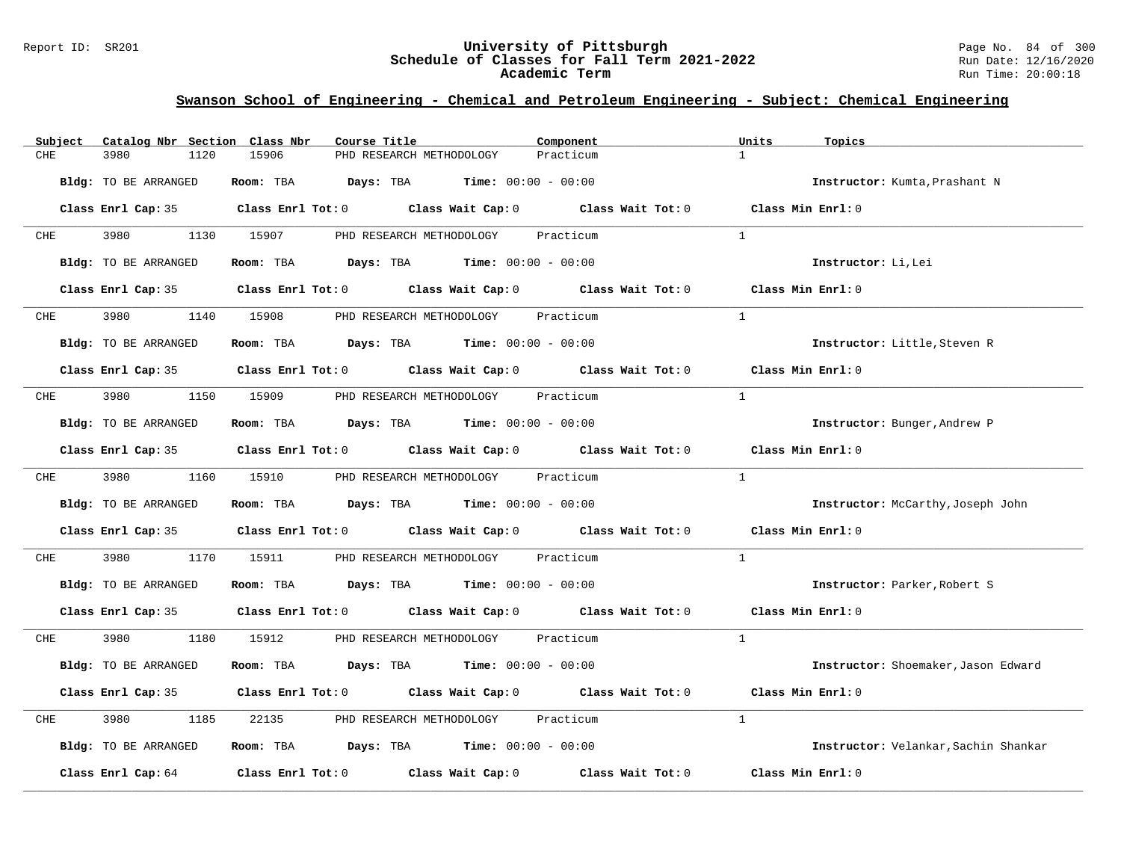#### Report ID: SR201 **University of Pittsburgh** Page No. 84 of 300 **Schedule of Classes for Fall Term 2021-2022** Run Date: 12/16/2020 **Academic Term** Run Time: 20:00:18

| Catalog Nbr Section Class Nbr<br>Subject | Course Title                                                                                        | Component<br>Units        | Topics                                   |
|------------------------------------------|-----------------------------------------------------------------------------------------------------|---------------------------|------------------------------------------|
| 3980<br>1120<br>CHE                      | 15906<br>PHD RESEARCH METHODOLOGY                                                                   | $\mathbf{1}$<br>Practicum |                                          |
| Bldg: TO BE ARRANGED                     | Room: TBA $Days:$ TBA $Time: 00:00 - 00:00$                                                         |                           | Instructor: Kumta, Prashant N            |
|                                          | Class Enrl Cap: 35 $\qquad$ Class Enrl Tot: 0 $\qquad$ Class Wait Cap: 0 $\qquad$ Class Wait Tot: 0 | Class Min Enrl: 0         |                                          |
| 3980 1130 15907<br><b>CHE</b>            | PHD RESEARCH METHODOLOGY                                                                            | Practicum<br>$\mathbf{1}$ |                                          |
| <b>Bldg:</b> TO BE ARRANGED              | Room: TBA $Days:$ TBA $Time: 00:00 - 00:00$                                                         |                           | Instructor: Li, Lei                      |
|                                          | Class Enrl Cap: 35 Class Enrl Tot: 0 Class Wait Cap: 0 Class Wait Tot: 0 Class Min Enrl: 0          |                           |                                          |
| <b>CHE</b>                               | 3980 1140 15908 PHD RESEARCH METHODOLOGY Practicum                                                  | $\overline{1}$            |                                          |
| Bldg: TO BE ARRANGED                     | Room: TBA $Days:$ TBA $Time: 00:00 - 00:00$                                                         |                           | Instructor: Little, Steven R             |
|                                          | Class Enrl Cap: 35 Class Enrl Tot: 0 Class Wait Cap: 0 Class Wait Tot: 0                            | Class Min $Enr1:0$        |                                          |
| 3980 3980<br>CHE                         | 1150 15909 PHD RESEARCH METHODOLOGY Practicum                                                       | $\mathbf{1}$              |                                          |
| Bldg: TO BE ARRANGED                     | Room: TBA $Days:$ TBA $Time: 00:00 - 00:00$                                                         |                           | Instructor: Bunger, Andrew P             |
|                                          | Class Enrl Cap: 35 Class Enrl Tot: 0 Class Wait Cap: 0 Class Wait Tot: 0 Class Min Enrl: 0          |                           |                                          |
| <b>CHE</b>                               | 3980 1160 15910 PHD RESEARCH METHODOLOGY Practicum                                                  | $\mathbf{1}$              |                                          |
| Bldg: TO BE ARRANGED                     | Room: TBA $Days: TBA$ Time: $00:00 - 00:00$                                                         |                           | <b>Instructor:</b> McCarthy, Joseph John |
|                                          | Class Enrl Cap: 35 Class Enrl Tot: 0 Class Wait Cap: 0 Class Wait Tot: 0 Class Min Enrl: 0          |                           |                                          |
| 3980<br>CHE                              | 1170 15911<br>PHD RESEARCH METHODOLOGY Practicum                                                    | $\mathbf{1}$              |                                          |
| Bldg: TO BE ARRANGED                     | Room: TBA $Days:$ TBA $Time: 00:00 - 00:00$                                                         |                           | Instructor: Parker, Robert S             |
|                                          | Class Enrl Cap: 35 Class Enrl Tot: 0 Class Wait Cap: 0 Class Wait Tot: 0 Class Min Enrl: 0          |                           |                                          |
| 3980 3980<br>CHE                         | 1180 15912 PHD RESEARCH METHODOLOGY Practicum                                                       | $\mathbf{1}$              |                                          |
| Bldg: TO BE ARRANGED                     | Room: TBA $Days:$ TBA $Time: 00:00 - 00:00$                                                         |                           | Instructor: Shoemaker, Jason Edward      |
|                                          | Class Enrl Cap: 35 Class Enrl Tot: 0 Class Wait Cap: 0 Class Wait Tot: 0                            | Class Min Enrl: 0         |                                          |
| 3980<br>1185<br>CHE                      | 22135 PHD RESEARCH METHODOLOGY Practicum                                                            | $\mathbf{1}$              |                                          |
| Bldg: TO BE ARRANGED                     | Room: TBA $Days:$ TBA $Time: 00:00 - 00:00$                                                         |                           | Instructor: Velankar, Sachin Shankar     |
|                                          | Class Enrl Cap: 64 (class Enrl Tot: 0 (class Wait Cap: 0 (class Wait Tot: 0 $\sim$                  | Class Min Enrl: 0         |                                          |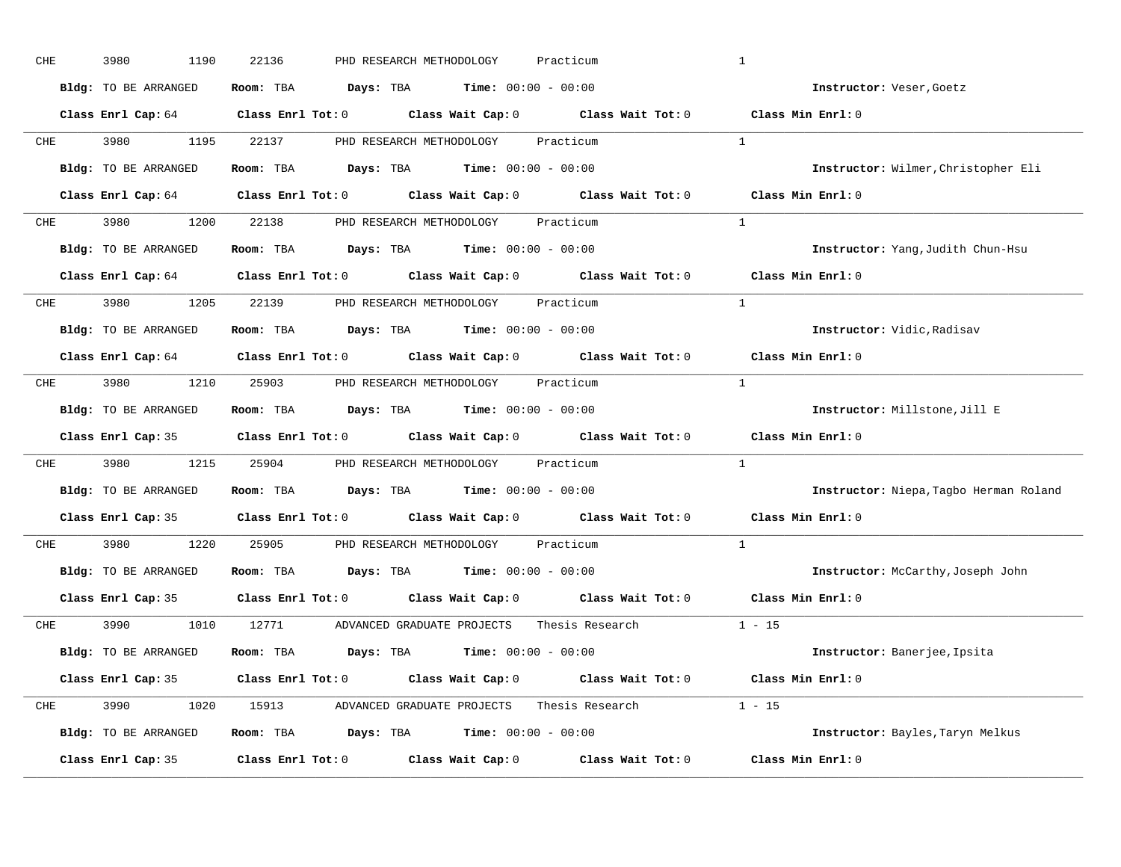| CHE        | 3980<br>1190         | 22136<br>PHD RESEARCH METHODOLOGY<br>Practicum                                             | $\mathbf{1}$                           |
|------------|----------------------|--------------------------------------------------------------------------------------------|----------------------------------------|
|            | Bldg: TO BE ARRANGED | Room: TBA $Days: TBA$ Time: $00:00 - 00:00$                                                | Instructor: Veser, Goetz               |
|            |                      | Class Enrl Cap: 64 Class Enrl Tot: 0 Class Wait Cap: 0 Class Wait Tot: 0 Class Min Enrl: 0 |                                        |
|            |                      | CHE 3980 1195 22137 PHD RESEARCH METHODOLOGY Practicum                                     | $\overline{1}$                         |
|            | Bldg: TO BE ARRANGED | Room: TBA $Days:$ TBA $Time: 00:00 - 00:00$                                                | Instructor: Wilmer, Christopher Eli    |
|            |                      | Class Enrl Cap: 64 Class Enrl Tot: 0 Class Wait Cap: 0 Class Wait Tot: 0 Class Min Enrl: 0 |                                        |
| CHE        |                      | 3980 1200 22138 PHD RESEARCH METHODOLOGY Practicum                                         | $\mathbf{1}$                           |
|            | Bldg: TO BE ARRANGED | Room: TBA $Days:$ TBA $Time:$ $00:00 - 00:00$                                              | Instructor: Yang, Judith Chun-Hsu      |
|            |                      | Class Enrl Cap: 64 Class Enrl Tot: 0 Class Wait Cap: 0 Class Wait Tot: 0 Class Min Enrl: 0 |                                        |
|            |                      | CHE 3980 1205 22139 PHD RESEARCH METHODOLOGY Practicum                                     | <sup>1</sup>                           |
|            | Bldg: TO BE ARRANGED | Room: TBA $\rule{1em}{0.15mm}$ Days: TBA $\rule{1.15mm}]{0.15mm}$ Time: $0.000 - 0.0000$   | Instructor: Vidic, Radisav             |
|            |                      | Class Enrl Cap: 64 Class Enrl Tot: 0 Class Wait Cap: 0 Class Wait Tot: 0                   | Class Min Enrl: 0                      |
| CHE        |                      | 3980 1210 25903 PHD RESEARCH METHODOLOGY Practicum                                         | $\overline{1}$                         |
|            | Bldg: TO BE ARRANGED | Room: TBA $\rule{1em}{0.15mm}$ Days: TBA Time: $00:00 - 00:00$                             | Instructor: Millstone, Jill E          |
|            |                      | Class Enrl Cap: 35 Class Enrl Tot: 0 Class Wait Cap: 0 Class Wait Tot: 0                   | Class Min Enrl: 0                      |
| CHE        |                      | 3980 1215 25904 PHD RESEARCH METHODOLOGY Practicum                                         | $\mathbf{1}$                           |
|            | Bldg: TO BE ARRANGED | Room: TBA $Days:$ TBA $Time: 00:00 - 00:00$                                                | Instructor: Niepa, Tagbo Herman Roland |
|            |                      | Class Enrl Cap: 35 Class Enrl Tot: 0 Class Wait Cap: 0 Class Wait Tot: 0                   | Class Min Enrl: 0                      |
| <b>CHE</b> |                      | 3980 1220 25905 PHD RESEARCH METHODOLOGY<br>Practicum                                      | $\mathbf{1}$                           |
|            | Bldg: TO BE ARRANGED | Room: TBA $Days:$ TBA $Time: 00:00 - 00:00$                                                | Instructor: McCarthy, Joseph John      |
|            | Class Enrl Cap: 35   | Class Enrl Tot: $0$ Class Wait Cap: $0$ Class Wait Tot: $0$                                | Class Min Enrl: 0                      |
|            |                      | CHE 3990 1010 12771 ADVANCED GRADUATE PROJECTS Thesis Research                             | $1 - 15$                               |
|            | Bldg: TO BE ARRANGED | Room: TBA $Days:$ TBA $Time: 00:00 - 00:00$                                                | Instructor: Banerjee, Ipsita           |
|            |                      | Class Enrl Cap: 35 Class Enrl Tot: 0 Class Wait Cap: 0 Class Wait Tot: 0 Class Min Enrl: 0 |                                        |
| CHE        |                      | 3990 1020 15913 ADVANCED GRADUATE PROJECTS Thesis Research 1 - 15                          |                                        |
|            | Bldg: TO BE ARRANGED | Room: TBA $Days: TBA$ Time: $00:00 - 00:00$                                                | Instructor: Bayles, Taryn Melkus       |
|            | Class Enrl Cap: 35   | Class Enrl Tot: 0 Class Wait Cap: 0 Class Wait Tot: 0                                      | Class Min Enrl: 0                      |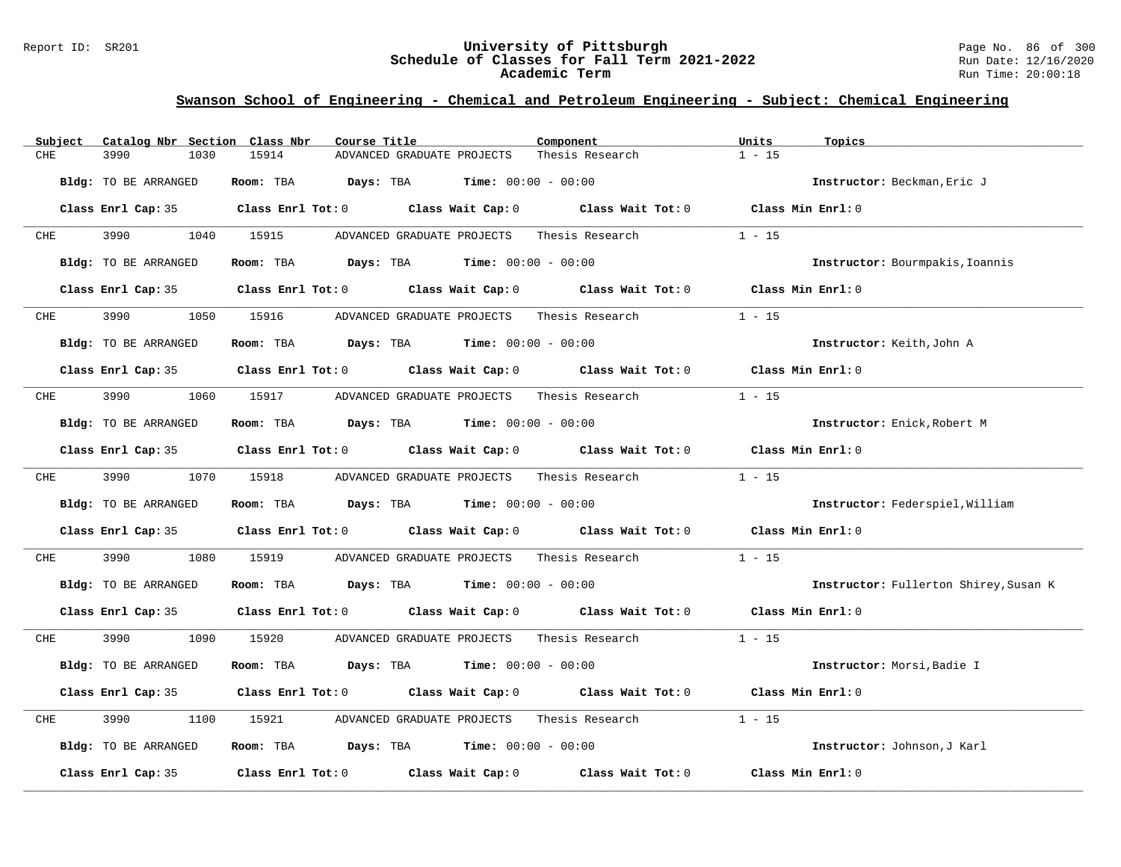### Report ID: SR201 **University of Pittsburgh** Page No. 86 of 300 **Schedule of Classes for Fall Term 2021-2022** Run Date: 12/16/2020 **Academic Term** Run Time: 20:00:18

| Catalog Nbr Section Class Nbr<br>Subject | Course Title                                                                               | Component       | Units<br>Topics                       |
|------------------------------------------|--------------------------------------------------------------------------------------------|-----------------|---------------------------------------|
| CHE<br>3990<br>1030                      | 15914<br>ADVANCED GRADUATE PROJECTS                                                        | Thesis Research | $1 - 15$                              |
| Bldg: TO BE ARRANGED                     | Room: TBA $Days:$ TBA $Time: 00:00 - 00:00$                                                |                 | Instructor: Beckman, Eric J           |
|                                          | Class Enrl Cap: 35 Class Enrl Tot: 0 Class Wait Cap: 0 Class Wait Tot: 0 Class Min Enrl: 0 |                 |                                       |
| 3990 000<br><b>CHE</b>                   | 1040 15915<br>ADVANCED GRADUATE PROJECTS                                                   | Thesis Research | $1 - 15$                              |
| Bldg: TO BE ARRANGED                     | Room: TBA $Days:$ TBA $Time: 00:00 - 00:00$                                                |                 | Instructor: Bourmpakis, Ioannis       |
|                                          | Class Enrl Cap: 35 Class Enrl Tot: 0 Class Wait Cap: 0 Class Wait Tot: 0 Class Min Enrl: 0 |                 |                                       |
| 3990<br><b>CHE</b>                       | 1050 15916 ADVANCED GRADUATE PROJECTS                                                      | Thesis Research | $1 - 15$                              |
| Bldg: TO BE ARRANGED                     | Room: TBA $Days:$ TBA $Time: 00:00 - 00:00$                                                |                 | Instructor: Keith, John A             |
|                                          | Class Enrl Cap: 35 Class Enrl Tot: 0 Class Wait Cap: 0 Class Wait Tot: 0 Class Min Enrl: 0 |                 |                                       |
| 3990 700<br>CHE                          |                                                                                            |                 | $1 - 15$                              |
| Bldg: TO BE ARRANGED                     | Room: TBA $Days:$ TBA $Time: 00:00 - 00:00$                                                |                 | Instructor: Enick, Robert M           |
|                                          | Class Enrl Cap: 35 Class Enrl Tot: 0 Class Wait Cap: 0 Class Wait Tot: 0 Class Min Enrl: 0 |                 |                                       |
| 3990 000<br>CHE                          | 1070 15918<br>ADVANCED GRADUATE PROJECTS Thesis Research                                   |                 | $1 - 15$                              |
| Bldg: TO BE ARRANGED                     | Room: TBA $Days:$ TBA $Time: 00:00 - 00:00$                                                |                 | Instructor: Federspiel, William       |
|                                          | Class Enrl Cap: 35 Class Enrl Tot: 0 Class Wait Cap: 0 Class Wait Tot: 0 Class Min Enrl: 0 |                 |                                       |
| 3990<br>CHE<br>1080                      | 15919 ADVANCED GRADUATE PROJECTS Thesis Research                                           |                 | $1 - 15$                              |
| Bldg: TO BE ARRANGED                     | Room: TBA $Days:$ TBA $Time: 00:00 - 00:00$                                                |                 | Instructor: Fullerton Shirey, Susan K |
|                                          | Class Enrl Cap: 35 Class Enrl Tot: 0 Class Wait Cap: 0 Class Wait Tot: 0 Class Min Enrl: 0 |                 |                                       |
| 3990 700<br>CHE                          | 1090 15920 ADVANCED GRADUATE PROJECTS Thesis Research 1 - 15                               |                 |                                       |
| Bldg: TO BE ARRANGED                     | Room: TBA $Days:$ TBA $Time: 00:00 - 00:00$                                                |                 | Instructor: Morsi, Badie I            |
|                                          | Class Enrl Cap: 35 Class Enrl Tot: 0 Class Wait Cap: 0 Class Wait Tot: 0 Class Min Enrl: 0 |                 |                                       |
| 3990<br>CHE<br>1100                      | 15921 ADVANCED GRADUATE PROJECTS Thesis Research                                           |                 | $1 - 15$                              |
| Bldg: TO BE ARRANGED                     | Room: TBA $Days:$ TBA $Time: 00:00 - 00:00$                                                |                 | Instructor: Johnson, J Karl           |
| Class Enrl Cap: 35                       | Class Enrl Tot: $0$ Class Wait Cap: $0$ Class Wait Tot: $0$                                |                 | Class Min Enrl: 0                     |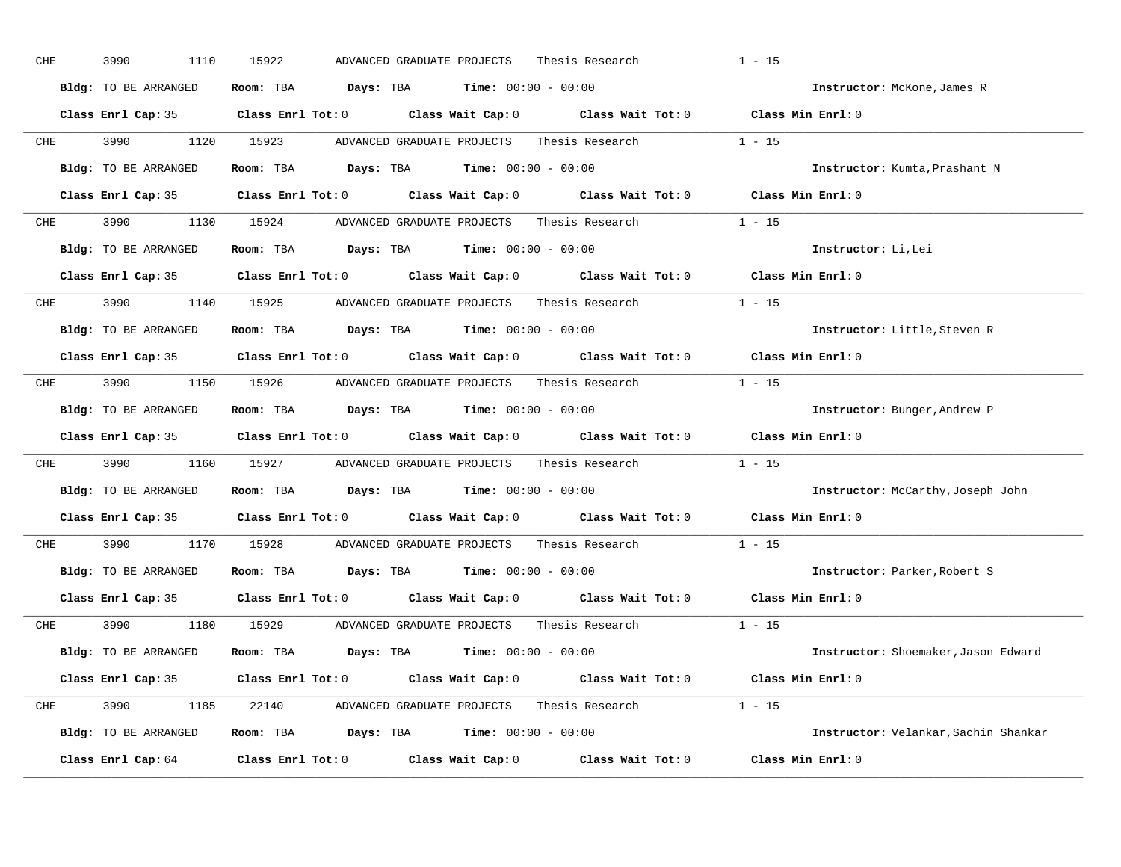| CHE         | 3990<br>1110         | 15922<br>Thesis Research<br>ADVANCED GRADUATE PROJECTS                                              | $1 - 15$                             |
|-------------|----------------------|-----------------------------------------------------------------------------------------------------|--------------------------------------|
|             | Bldg: TO BE ARRANGED | Room: TBA $Days: TBA$ Time: $00:00 - 00:00$                                                         | Instructor: McKone, James R          |
|             |                      | Class Enrl Cap: 35 Class Enrl Tot: 0 Class Wait Cap: 0 Class Wait Tot: 0 Class Min Enrl: 0          |                                      |
|             | CHE 3990 1120 15923  | ADVANCED GRADUATE PROJECTS<br>Thesis Research                                                       | $1 - 15$                             |
|             | Bldg: TO BE ARRANGED | Room: TBA $Days: TBA$ Time: $00:00 - 00:00$                                                         | Instructor: Kumta, Prashant N        |
|             |                      | Class Enrl Cap: 35 Class Enrl Tot: 0 Class Wait Cap: 0 Class Wait Tot: 0 Class Min Enrl: 0          |                                      |
|             |                      | CHE 3990 1130 15924 ADVANCED GRADUATE PROJECTS Thesis Research 1 - 15                               |                                      |
|             | Bldg: TO BE ARRANGED | Room: TBA $Days:$ TBA Time: $00:00 - 00:00$                                                         | Instructor: Li, Lei                  |
|             |                      | Class Enrl Cap: 35 $\qquad$ Class Enrl Tot: 0 $\qquad$ Class Wait Cap: 0 $\qquad$ Class Wait Tot: 0 | Class Min Enrl: 0                    |
|             |                      | CHE 3990 1140 15925 ADVANCED GRADUATE PROJECTS Thesis Research                                      | $1 - 15$                             |
|             | Bldg: TO BE ARRANGED | Room: TBA $Days: TBA$ Time: $00:00 - 00:00$                                                         | Instructor: Little, Steven R         |
|             |                      | Class Enrl Cap: 35 Class Enrl Tot: 0 Class Wait Cap: 0 Class Wait Tot: 0 Class Min Enrl: 0          |                                      |
| CHE         |                      | 3990 1150 15926 ADVANCED GRADUATE PROJECTS Thesis Research 1 - 15                                   |                                      |
|             | Bldg: TO BE ARRANGED | Room: TBA $Days: TBA$ Time: $00:00 - 00:00$                                                         | Instructor: Bunger, Andrew P         |
|             |                      | Class Enrl Cap: 35 Class Enrl Tot: 0 Class Wait Cap: 0 Class Wait Tot: 0 Class Min Enrl: 0          |                                      |
| ${\rm CHE}$ |                      | 3990 1160 15927 ADVANCED GRADUATE PROJECTS Thesis Research                                          | $1 - 15$                             |
|             | Bldg: TO BE ARRANGED | Room: TBA $Days:$ TBA $Time: 00:00 - 00:00$                                                         | Instructor: McCarthy, Joseph John    |
|             |                      | Class Enrl Cap: 35 Class Enrl Tot: 0 Class Wait Cap: 0 Class Wait Tot: 0                            | Class Min Enrl: 0                    |
| <b>CHE</b>  | 3990 700             | 1170 15928 ADVANCED GRADUATE PROJECTS Thesis Research                                               | $1 - 15$                             |
|             | Bldg: TO BE ARRANGED | Room: TBA $Days:$ TBA $Time: 00:00 - 00:00$                                                         | Instructor: Parker, Robert S         |
|             |                      | Class Enrl Cap: 35 Class Enrl Tot: 0 Class Wait Cap: 0 Class Wait Tot: 0                            | Class Min Enrl: 0                    |
|             |                      | CHE 3990 1180 15929 ADVANCED GRADUATE PROJECTS                                                      | Thesis Research $1 - 15$             |
|             | Bldg: TO BE ARRANGED | Room: TBA $Days:$ TBA $Time: 00:00 - 00:00$                                                         | Instructor: Shoemaker, Jason Edward  |
|             |                      | Class Enrl Cap: 35 Class Enrl Tot: 0 Class Wait Cap: 0 Class Wait Tot: 0 Class Min Enrl: 0          |                                      |
|             |                      | CHE 3990 1185 22140 ADVANCED GRADUATE PROJECTS Thesis Research 1 - 15                               |                                      |
|             | Bldg: TO BE ARRANGED | Room: TBA $Days: TBA$ Time: $00:00 - 00:00$                                                         | Instructor: Velankar, Sachin Shankar |
|             |                      | Class Enrl Cap: 64 $\qquad$ Class Enrl Tot: 0 $\qquad$ Class Wait Cap: 0 $\qquad$ Class Wait Tot: 0 | Class Min Enrl: 0                    |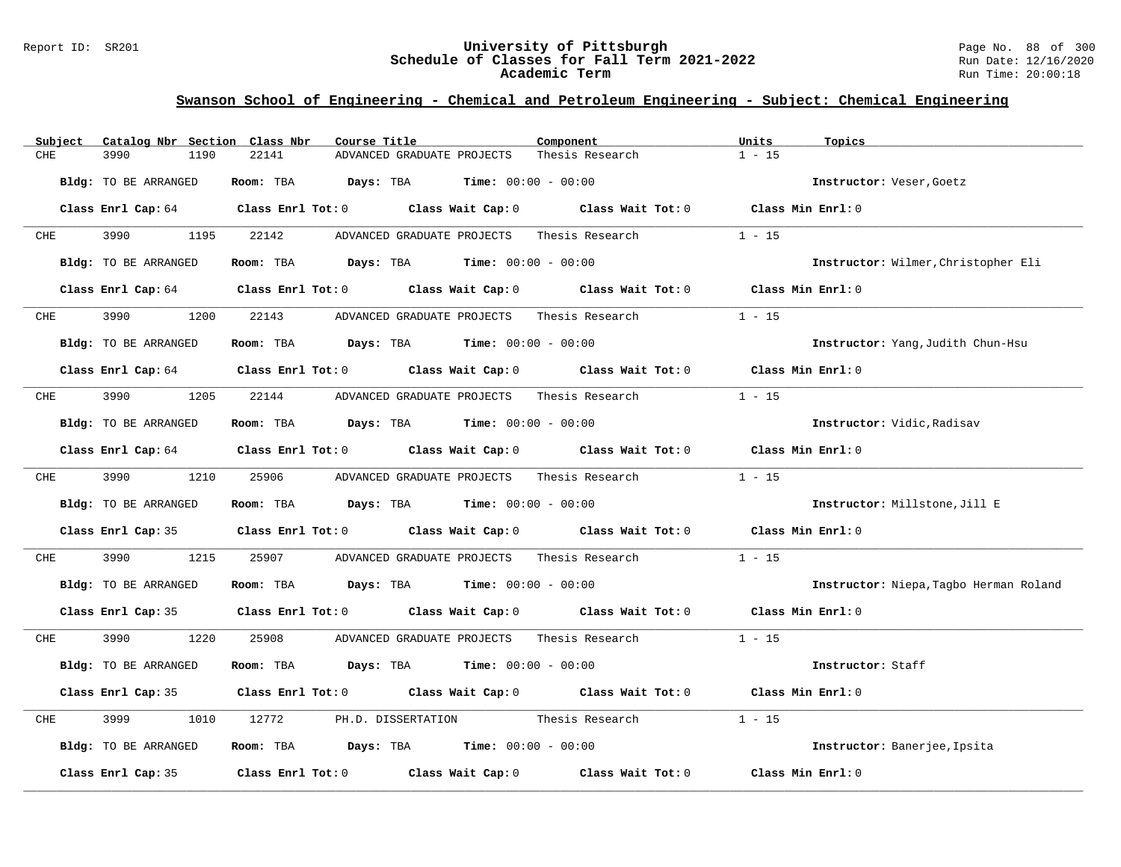### Report ID: SR201 **University of Pittsburgh** Page No. 88 of 300 **Schedule of Classes for Fall Term 2021-2022** Run Date: 12/16/2020 **Academic Term** Run Time: 20:00:18

| Catalog Nbr Section Class Nbr<br>Subject | Course Title                                                                               | Component       | Units<br>Topics                        |
|------------------------------------------|--------------------------------------------------------------------------------------------|-----------------|----------------------------------------|
| CHE<br>3990<br>1190                      | 22141<br>ADVANCED GRADUATE PROJECTS                                                        | Thesis Research | $1 - 15$                               |
| Bldg: TO BE ARRANGED                     | <b>Days:</b> TBA <b>Time:</b> $00:00 - 00:00$<br>Room: TBA                                 |                 | Instructor: Veser, Goetz               |
|                                          | Class Enrl Cap: 64 Class Enrl Tot: 0 Class Wait Cap: 0 Class Wait Tot: 0 Class Min Enrl: 0 |                 |                                        |
| 3990<br>1195<br>CHE                      | 22142<br>ADVANCED GRADUATE PROJECTS                                                        | Thesis Research | $1 - 15$                               |
| Bldg: TO BE ARRANGED                     | Room: TBA $Days:$ TBA $Time: 00:00 - 00:00$                                                |                 | Instructor: Wilmer, Christopher Eli    |
|                                          | Class Enrl Cap: 64 Class Enrl Tot: 0 Class Wait Cap: 0 Class Wait Tot: 0 Class Min Enrl: 0 |                 |                                        |
| 3990<br>1200<br>CHE                      | 22143<br>ADVANCED GRADUATE PROJECTS                                                        | Thesis Research | $1 - 15$                               |
| Bldg: TO BE ARRANGED                     | Room: TBA $Days:$ TBA $Time: 00:00 - 00:00$                                                |                 | Instructor: Yang, Judith Chun-Hsu      |
|                                          | Class Enrl Cap: 64 (class Enrl Tot: 0) (class Wait Cap: 0) (class Wait Tot: 0)             |                 | Class Min Enrl: 0                      |
| 3990<br>1205<br>CHE                      | 22144 ADVANCED GRADUATE PROJECTS                                                           | Thesis Research | $1 - 15$                               |
| Bldg: TO BE ARRANGED                     | Room: TBA $Days:$ TBA $Time: 00:00 - 00:00$                                                |                 | Instructor: Vidic, Radisav             |
|                                          | Class Enrl Cap: 64 Class Enrl Tot: 0 Class Wait Cap: 0 Class Wait Tot: 0 Class Min Enrl: 0 |                 |                                        |
| 3990 3990<br>1210<br><b>CHE</b>          | 25906<br>ADVANCED GRADUATE PROJECTS Thesis Research                                        |                 | $1 - 15$                               |
| Bldg: TO BE ARRANGED                     | Room: TBA $Days:$ TBA $Time: 00:00 - 00:00$                                                |                 | Instructor: Millstone, Jill E          |
|                                          | Class Enrl Cap: 35 Class Enrl Tot: 0 Class Wait Cap: 0 Class Wait Tot: 0                   |                 | Class Min Enrl: 0                      |
| 3990<br>CHE<br>1215                      | 25907<br>ADVANCED GRADUATE PROJECTS                                                        | Thesis Research | $1 - 15$                               |
| Bldg: TO BE ARRANGED                     | Room: TBA $Days:$ TBA $Time: 00:00 - 00:00$                                                |                 | Instructor: Niepa, Tagbo Herman Roland |
|                                          | Class Enrl Cap: 35 Class Enrl Tot: 0 Class Wait Cap: 0 Class Wait Tot: 0 Class Min Enrl: 0 |                 |                                        |
| 3990 70<br>1220<br>CHE                   | 25908<br>ADVANCED GRADUATE PROJECTS Thesis Research                                        |                 | $1 - 15$                               |
| Bldg: TO BE ARRANGED                     | Room: TBA $Days:$ TBA $Time: 00:00 - 00:00$                                                |                 | Instructor: Staff                      |
|                                          | Class Enrl Cap: 35 Class Enrl Tot: 0 Class Wait Cap: 0 Class Wait Tot: 0                   |                 | Class Min Enrl: 0                      |
| 3999<br>CHE<br>1010                      | PH.D. DISSERTATION Thesis Research<br>12772                                                |                 | $1 - 15$                               |
| Bldg: TO BE ARRANGED                     | Room: TBA $Days:$ TBA $Time: 00:00 - 00:00$                                                |                 | Instructor: Banerjee, Ipsita           |
| Class Enrl Cap: 35                       | Class Enrl Tot: $0$ Class Wait Cap: $0$ Class Wait Tot: $0$                                |                 | Class Min Enrl: 0                      |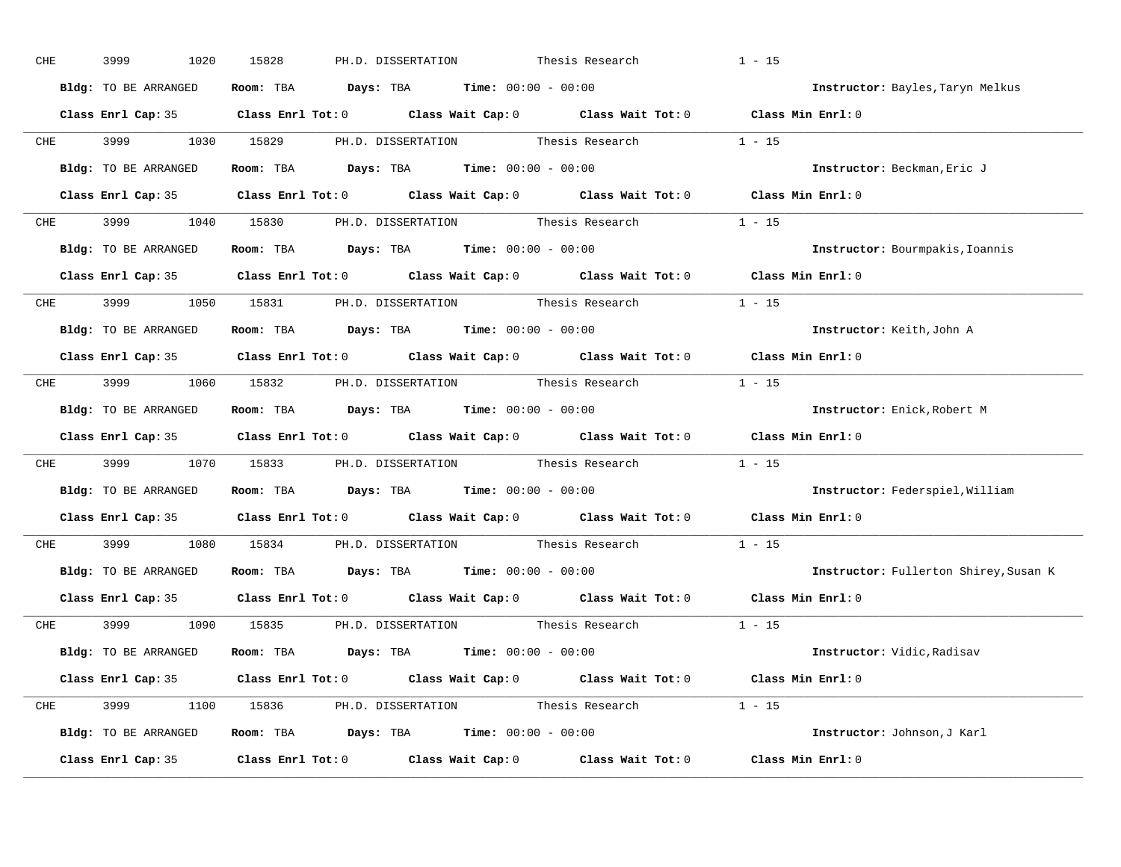| CHE        | 3999<br>1020         | 15828<br>PH.D. DISSERTATION<br>Thesis Research                                                      | $1 - 15$                              |
|------------|----------------------|-----------------------------------------------------------------------------------------------------|---------------------------------------|
|            | Bldg: TO BE ARRANGED | Room: TBA $Days:$ TBA $Time: 00:00 - 00:00$                                                         | Instructor: Bayles, Taryn Melkus      |
|            |                      | Class Enrl Cap: 35 Class Enrl Tot: 0 Class Wait Cap: 0 Class Wait Tot: 0 Class Min Enrl: 0          |                                       |
|            |                      | CHE 3999 1030 15829 PH.D. DISSERTATION Thesis Research 1 - 15                                       |                                       |
|            | Bldg: TO BE ARRANGED | Room: TBA $Days:$ TBA Time: $00:00 - 00:00$                                                         | Instructor: Beckman, Eric J           |
|            |                      | Class Enrl Cap: 35 Class Enrl Tot: 0 Class Wait Cap: 0 Class Wait Tot: 0 Class Min Enrl: 0          |                                       |
|            |                      | CHE 3999 1040 15830 PH.D. DISSERTATION Thesis Research 1 - 15                                       |                                       |
|            | Bldg: TO BE ARRANGED | Room: TBA $Days:$ TBA $Time: 00:00 - 00:00$                                                         | Instructor: Bourmpakis, Ioannis       |
|            |                      | Class Enrl Cap: 35 Class Enrl Tot: 0 Class Wait Cap: 0 Class Wait Tot: 0 Class Min Enrl: 0          |                                       |
|            |                      | CHE 3999 1050 15831 PH.D. DISSERTATION Thesis Research 1 - 15                                       |                                       |
|            | Bldg: TO BE ARRANGED | Room: TBA $Days:$ TBA $Time: 00:00 - 00:00$                                                         | Instructor: Keith, John A             |
|            |                      | Class Enrl Cap: 35 Class Enrl Tot: 0 Class Wait Cap: 0 Class Wait Tot: 0 Class Min Enrl: 0          |                                       |
|            |                      | CHE 3999 1060 15832 PH.D. DISSERTATION Thesis Research 1 - 15                                       |                                       |
|            | Bldg: TO BE ARRANGED | Room: TBA $Days:$ TBA $Time: 00:00 - 00:00$                                                         | Instructor: Enick, Robert M           |
|            |                      | Class Enrl Cap: 35 Class Enrl Tot: 0 Class Wait Cap: 0 Class Wait Tot: 0 Class Min Enrl: 0          |                                       |
| <b>CHE</b> |                      | 3999 1070 15833 PH.D. DISSERTATION Thesis Research 1 - 15                                           |                                       |
|            | Bldg: TO BE ARRANGED | Room: TBA $Days:$ TBA $Time: 00:00 - 00:00$                                                         | Instructor: Federspiel, William       |
|            |                      | Class Enrl Cap: 35 $\qquad$ Class Enrl Tot: 0 $\qquad$ Class Wait Cap: 0 $\qquad$ Class Wait Tot: 0 | Class Min Enrl: 0                     |
| <b>CHE</b> |                      | 3999 1080 15834 PH.D. DISSERTATION Thesis Research                                                  | $1 - 15$                              |
|            |                      | Bldg: TO BE ARRANGED Room: TBA Days: TBA Time: 00:00 - 00:00                                        | Instructor: Fullerton Shirey, Susan K |
|            |                      | Class Enrl Cap: 35 Class Enrl Tot: 0 Class Wait Cap: 0 Class Wait Tot: 0 Class Min Enrl: 0          |                                       |
|            |                      | CHE 3999 1090 15835 PH.D. DISSERTATION Thesis Research 1 - 15                                       |                                       |
|            | Bldg: TO BE ARRANGED | Room: TBA $\rule{1em}{0.15mm}$ Days: TBA $\rule{1.15mm}]{0.15mm}$ Time: $00:00 - 00:00$             | <b>Instructor:</b> Vidic,Radisav      |
|            |                      | Class Enrl Cap: 35 Class Enrl Tot: 0 Class Wait Cap: 0 Class Wait Tot: 0 Class Min Enrl: 0          |                                       |
|            |                      | CHE 3999 1100 15836 PH.D. DISSERTATION Thesis Research 1 - 15                                       |                                       |
|            |                      | Bldg: TO BE ARRANGED Room: TBA Days: TBA Time: 00:00 - 00:00                                        | Instructor: Johnson, J Karl           |
|            |                      | Class Enrl Cap: 35 Class Enrl Tot: 0 Class Wait Cap: 0 Class Wait Tot: 0 Class Min Enrl: 0          |                                       |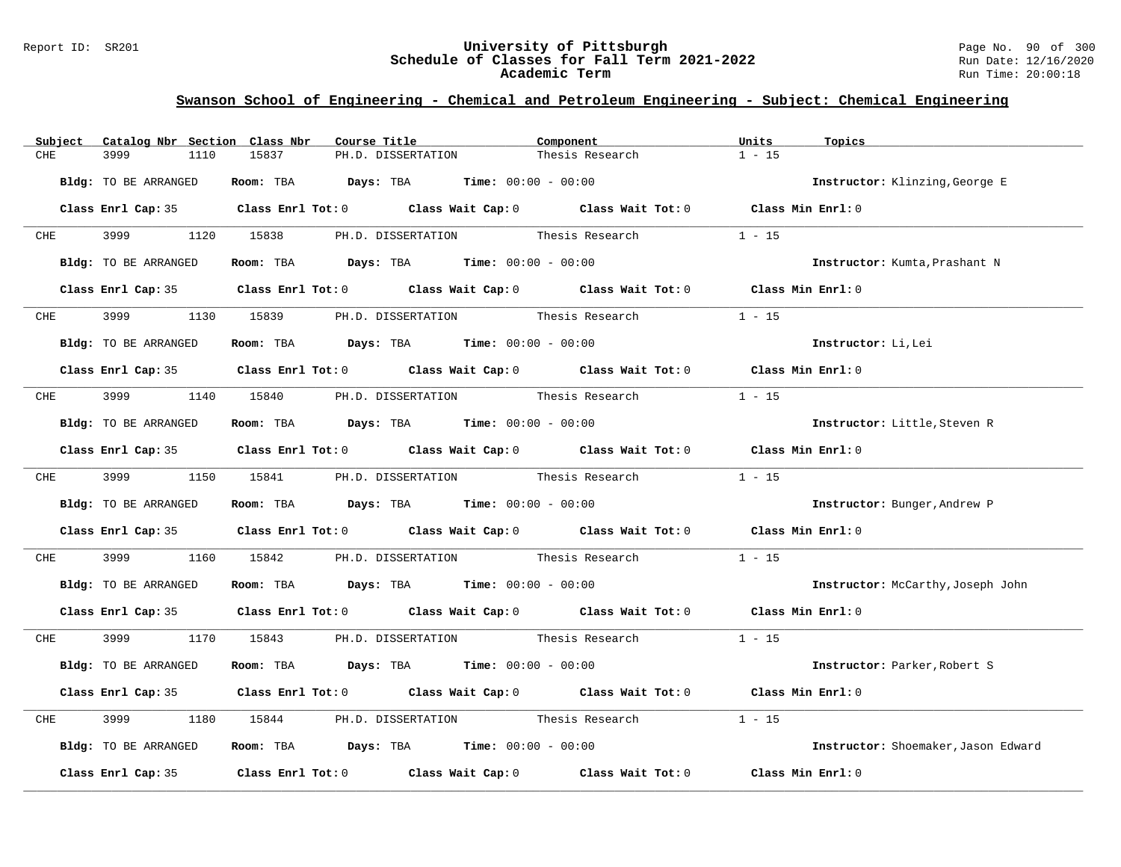#### Report ID: SR201 **University of Pittsburgh** Page No. 90 of 300 **Schedule of Classes for Fall Term 2021-2022** Run Date: 12/16/2020 **Academic Term** Run Time: 20:00:18

| Catalog Nbr Section Class Nbr<br>Subject | Course Title                                                                               | Component       | Units<br>Topics                     |
|------------------------------------------|--------------------------------------------------------------------------------------------|-----------------|-------------------------------------|
| <b>CHE</b><br>3999<br>1110               | 15837<br>PH.D. DISSERTATION                                                                | Thesis Research | $1 - 15$                            |
| Bldg: TO BE ARRANGED                     | Room: TBA $Days:$ TBA $Time: 00:00 - 00:00$                                                |                 | Instructor: Klinzing, George E      |
|                                          | Class Enrl Cap: 35 Class Enrl Tot: 0 Class Wait Cap: 0 Class Wait Tot: 0 Class Min Enrl: 0 |                 |                                     |
| CHE 3999                                 | 1120 15838<br>PH.D. DISSERTATION Thesis Research                                           |                 | $1 - 15$                            |
| Bldg: TO BE ARRANGED                     | Room: TBA $Days: TBA$ Time: $00:00 - 00:00$                                                |                 | Instructor: Kumta, Prashant N       |
|                                          | Class Enrl Cap: 35 Class Enrl Tot: 0 Class Wait Cap: 0 Class Wait Tot: 0 Class Min Enrl: 0 |                 |                                     |
| CHE 3999                                 | 1130 15839 PH.D. DISSERTATION Thesis Research                                              |                 | $1 - 15$                            |
| Bldg: TO BE ARRANGED                     | Room: TBA $Days:$ TBA $Time: 00:00 - 00:00$                                                |                 | Instructor: Li, Lei                 |
|                                          | Class Enrl Cap: 35 Class Enrl Tot: 0 Class Wait Cap: 0 Class Wait Tot: 0 Class Min Enrl: 0 |                 |                                     |
| CHE 3999                                 | 1140 15840 PH.D. DISSERTATION Thesis Research                                              |                 | $1 - 15$                            |
| Bldg: TO BE ARRANGED                     | Room: TBA $Days:$ TBA $Time:$ 00:00 - 00:00                                                |                 | Instructor: Little, Steven R        |
|                                          | Class Enrl Cap: 35 Class Enrl Tot: 0 Class Wait Cap: 0 Class Wait Tot: 0 Class Min Enrl: 0 |                 |                                     |
|                                          | CHE 3999 1150 15841 PH.D. DISSERTATION Thesis Research 1 - 15                              |                 |                                     |
| Bldg: TO BE ARRANGED                     | Room: TBA $Days:$ TBA $Time: 00:00 - 00:00$                                                |                 | Instructor: Bunger, Andrew P        |
|                                          | Class Enrl Cap: 35 Class Enrl Tot: 0 Class Wait Cap: 0 Class Wait Tot: 0 Class Min Enrl: 0 |                 |                                     |
| CHE<br>3999 700                          | 1160 15842 PH.D. DISSERTATION Thesis Research                                              |                 | $1 - 15$                            |
| Bldg: TO BE ARRANGED                     | <b>Room:</b> TBA $Days: TBA$ <b>Time:</b> $00:00 - 00:00$                                  |                 | Instructor: McCarthy, Joseph John   |
|                                          | Class Enrl Cap: 35 Class Enrl Tot: 0 Class Wait Cap: 0 Class Wait Tot: 0 Class Min Enrl: 0 |                 |                                     |
|                                          | CHE 3999 1170 15843 PH.D. DISSERTATION Thesis Research 1 - 15                              |                 |                                     |
| Bldg: TO BE ARRANGED                     | Room: TBA $Days:$ TBA $Time: 00:00 - 00:00$                                                |                 | Instructor: Parker, Robert S        |
|                                          | Class Enrl Cap: 35 Class Enrl Tot: 0 Class Wait Cap: 0 Class Wait Tot: 0 Class Min Enrl: 0 |                 |                                     |
| 3999<br>CHE                              | 1180 15844 PH.D. DISSERTATION Thesis Research                                              |                 | $1 - 15$                            |
| Bldg: TO BE ARRANGED                     | Room: TBA $\rule{1em}{0.15mm}$ Days: TBA Time: $00:00 - 00:00$                             |                 | Instructor: Shoemaker, Jason Edward |
|                                          | Class Enrl Cap: 35 Class Enrl Tot: 0 Class Wait Cap: 0 Class Wait Tot: 0 Class Min Enrl: 0 |                 |                                     |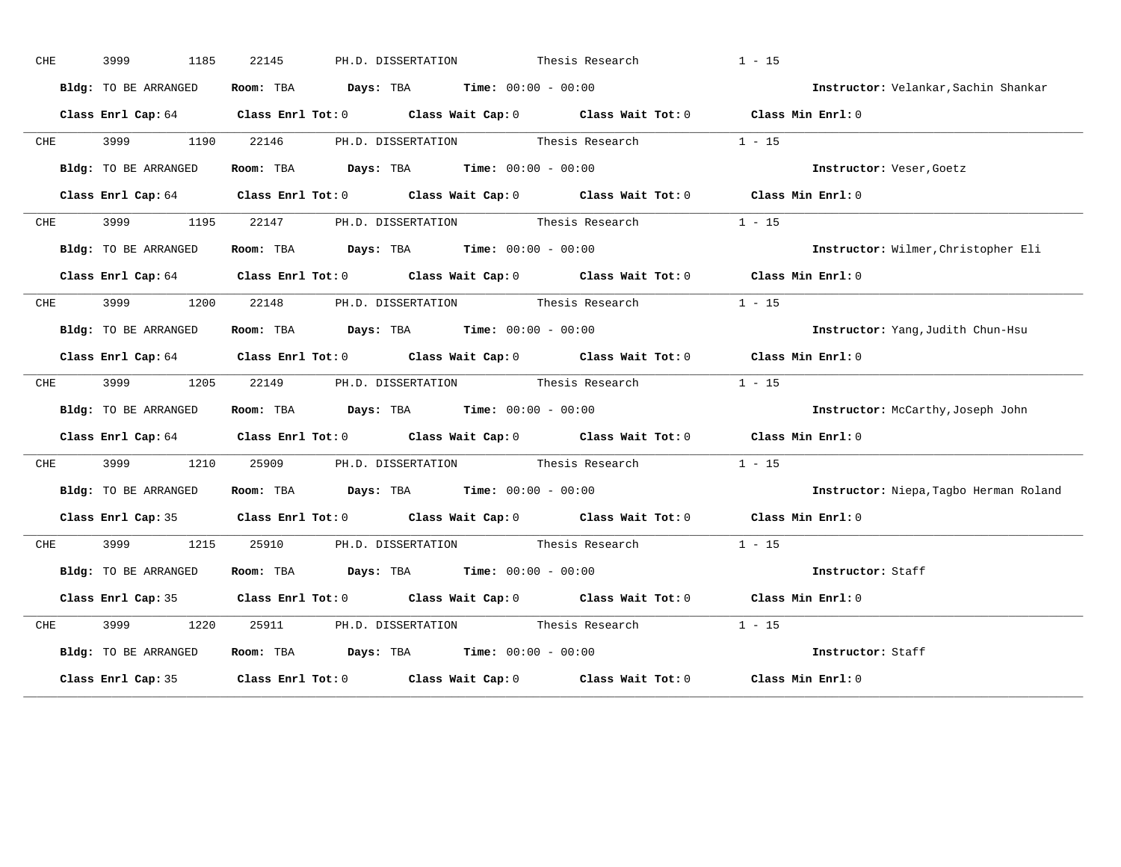| ${\rm CHE}$ | 3999<br>1185         | 22145<br>PH.D. DISSERTATION Thesis Research                                                |                                           | $1 - 15$                               |
|-------------|----------------------|--------------------------------------------------------------------------------------------|-------------------------------------------|----------------------------------------|
|             | Bldg: TO BE ARRANGED | Room: TBA $\rule{1em}{0.15mm}$ Days: TBA Time: $00:00 - 00:00$                             |                                           | Instructor: Velankar, Sachin Shankar   |
|             |                      | Class Enrl Cap: 64 Class Enrl Tot: 0 Class Wait Cap: 0 Class Wait Tot: 0 Class Min Enrl: 0 |                                           |                                        |
| <b>CHE</b>  | 3999 1190 22146      |                                                                                            | PH.D. DISSERTATION Thesis Research 1 - 15 |                                        |
|             | Bldg: TO BE ARRANGED | Room: TBA $\rule{1em}{0.15mm}$ Days: TBA Time: $00:00 - 00:00$                             |                                           | Instructor: Veser, Goetz               |
|             |                      | Class Enrl Cap: 64 Class Enrl Tot: 0 Class Wait Cap: 0 Class Wait Tot: 0 Class Min Enrl: 0 |                                           |                                        |
| <b>CHE</b>  |                      | 3999 1195 22147 PH.D. DISSERTATION Thesis Research 1 - 15                                  |                                           |                                        |
|             | Bldg: TO BE ARRANGED | Room: TBA $Days:$ TBA $Time: 00:00 - 00:00$                                                |                                           | Instructor: Wilmer, Christopher Eli    |
|             |                      | Class Enrl Cap: 64 Class Enrl Tot: 0 Class Wait Cap: 0 Class Wait Tot: 0 Class Min Enrl: 0 |                                           |                                        |
| <b>CHE</b>  |                      | 3999 1200 22148 PH.D. DISSERTATION Thesis Research                                         |                                           | $1 - 15$                               |
|             | Bldg: TO BE ARRANGED | Room: TBA $Days:$ TBA $Time: 00:00 - 00:00$                                                |                                           | Instructor: Yang, Judith Chun-Hsu      |
|             |                      | Class Enrl Cap: 64 Class Enrl Tot: 0 Class Wait Cap: 0 Class Wait Tot: 0 Class Min Enrl: 0 |                                           |                                        |
| <b>CHE</b>  |                      | 3999 1205 22149 PH.D. DISSERTATION Thesis Research                                         |                                           | $1 - 15$                               |
|             | Bldg: TO BE ARRANGED | Room: TBA $\rule{1em}{0.15mm}$ Days: TBA Time: $00:00 - 00:00$                             |                                           | Instructor: McCarthy, Joseph John      |
|             |                      | Class Enrl Cap: 64 Class Enrl Tot: 0 Class Wait Cap: 0 Class Wait Tot: 0 Class Min Enrl: 0 |                                           |                                        |
| CHE         |                      | 3999 1210 25909 PH.D. DISSERTATION Thesis Research 1 - 15                                  |                                           |                                        |
|             | Bldg: TO BE ARRANGED | Room: TBA $Days:$ TBA $Time: 00:00 - 00:00$                                                |                                           | Instructor: Niepa, Tagbo Herman Roland |
|             |                      | Class Enrl Cap: 35 Class Enrl Tot: 0 Class Wait Cap: 0 Class Wait Tot: 0 Class Min Enrl: 0 |                                           |                                        |
|             |                      | CHE 3999 1215 25910 PH.D. DISSERTATION Thesis Research                                     |                                           | $1 - 15$                               |
|             | Bldg: TO BE ARRANGED | Room: TBA Days: TBA Time: $00:00 - 00:00$                                                  |                                           | Instructor: Staff                      |
|             |                      | Class Enrl Cap: 35 Class Enrl Tot: 0 Class Wait Cap: 0 Class Wait Tot: 0 Class Min Enrl: 0 |                                           |                                        |
| CHE         | 3999 (1989)          | 1220 25911 PH.D. DISSERTATION Thesis Research 1 - 15                                       |                                           |                                        |
|             | Bldg: TO BE ARRANGED | Room: TBA $Days:$ TBA Time: $00:00 - 00:00$                                                |                                           | Instructor: Staff                      |
|             |                      | Class Enrl Cap: 35 Class Enrl Tot: 0 Class Wait Cap: 0 Class Wait Tot: 0 Class Min Enrl: 0 |                                           |                                        |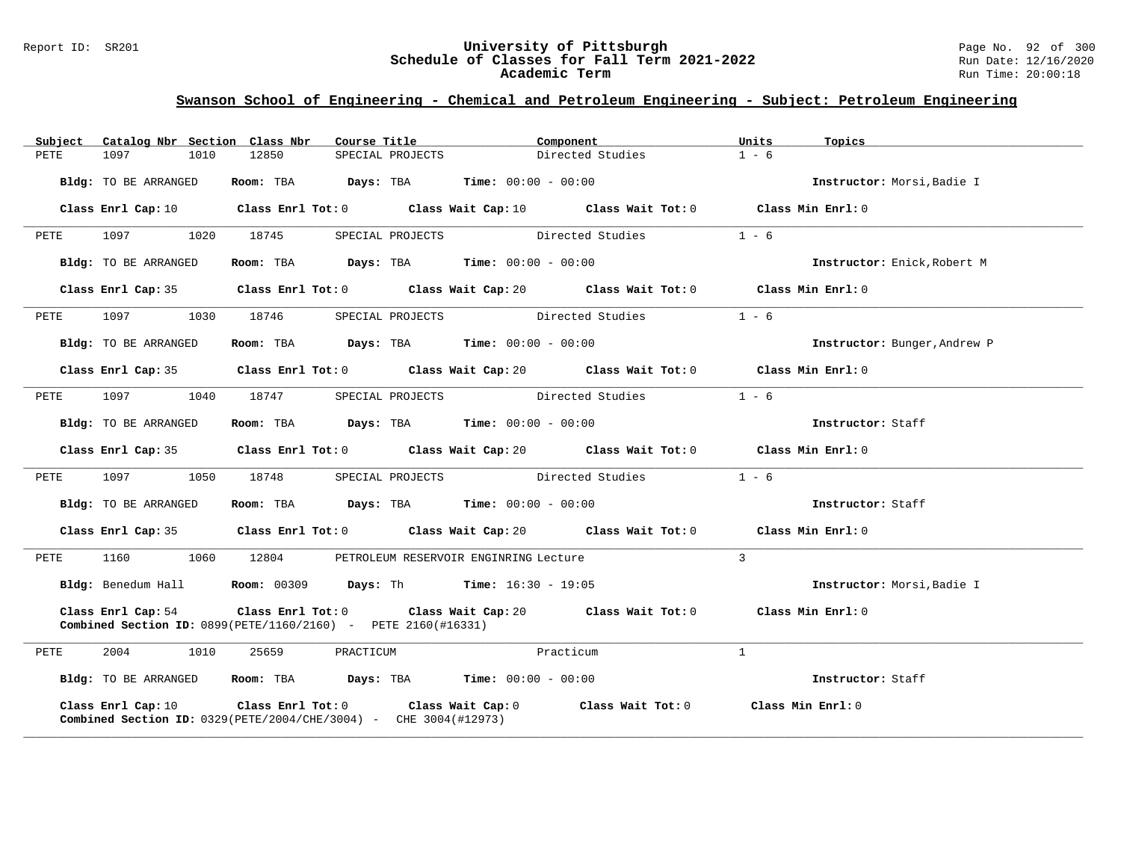#### Report ID: SR201 **University of Pittsburgh** Page No. 92 of 300 **Schedule of Classes for Fall Term 2021-2022** Run Date: 12/16/2020 **Academic Term** Run Time: 20:00:18

|      | Subject Catalog Nbr Section Class Nbr | Course Title                                                               |                                                                | Component                                                                                          | Units<br>Topics              |  |
|------|---------------------------------------|----------------------------------------------------------------------------|----------------------------------------------------------------|----------------------------------------------------------------------------------------------------|------------------------------|--|
| PETE | 1097<br>1010                          | 12850                                                                      | SPECIAL PROJECTS                                               | Directed Studies                                                                                   | $1 - 6$                      |  |
|      | Bldg: TO BE ARRANGED                  |                                                                            | Room: TBA $Days:$ TBA $Time: 00:00 - 00:00$                    |                                                                                                    | Instructor: Morsi, Badie I   |  |
|      |                                       |                                                                            |                                                                | Class Enrl Cap: 10 Class Enrl Tot: 0 Class Wait Cap: 10 Class Wait Tot: 0 Class Min Enrl: 0        |                              |  |
| PETE | 1097<br>1020                          | 18745                                                                      |                                                                | SPECIAL PROJECTS Directed Studies                                                                  | $1 - 6$                      |  |
|      | Bldg: TO BE ARRANGED                  |                                                                            | Room: TBA $Days:$ TBA $Time: 00:00 - 00:00$                    |                                                                                                    | Instructor: Enick, Robert M  |  |
|      |                                       |                                                                            |                                                                | Class Enrl Cap: 35 Class Enrl Tot: 0 Class Wait Cap: 20 Class Wait Tot: 0 Class Min Enrl: 0        |                              |  |
| PETE | 1097<br>1030                          | 18746                                                                      |                                                                | SPECIAL PROJECTS Directed Studies                                                                  | $1 - 6$                      |  |
|      | Bldg: TO BE ARRANGED                  |                                                                            | Room: TBA $Days: TBA$ Time: $00:00 - 00:00$                    |                                                                                                    | Instructor: Bunger, Andrew P |  |
|      |                                       |                                                                            |                                                                | Class Enrl Cap: 35 Class Enrl Tot: 0 Class Wait Cap: 20 Class Wait Tot: 0 Class Min Enrl: 0        |                              |  |
| PETE | 1097<br>1040                          | 18747                                                                      |                                                                | SPECIAL PROJECTS Directed Studies                                                                  | $1 - 6$                      |  |
|      | Bldg: TO BE ARRANGED                  |                                                                            | Room: TBA $\rule{1em}{0.15mm}$ Days: TBA Time: $00:00 - 00:00$ |                                                                                                    | Instructor: Staff            |  |
|      |                                       |                                                                            |                                                                | Class Enrl Cap: 35 Class Enrl Tot: 0 Class Wait Cap: 20 Class Wait Tot: 0 Class Min Enrl: 0        |                              |  |
| PETE | 1097<br>1050                          | 18748                                                                      |                                                                | SPECIAL PROJECTS Directed Studies                                                                  | $1 - 6$                      |  |
|      | Bldg: TO BE ARRANGED                  |                                                                            | Room: TBA $Days:$ TBA $Time: 00:00 - 00:00$                    |                                                                                                    | Instructor: Staff            |  |
|      |                                       |                                                                            |                                                                | Class Enrl Cap: 35 Class Enrl Tot: 0 Class Wait Cap: 20 Class Wait Tot: 0 Class Min Enrl: 0        |                              |  |
| PETE | 1060<br>1160                          | 12804                                                                      | PETROLEUM RESERVOIR ENGINRING Lecture                          |                                                                                                    | $\mathbf{3}$                 |  |
|      |                                       | Bldg: Benedum Hall Room: 00309 Days: Th Time: 16:30 - 19:05                |                                                                |                                                                                                    | Instructor: Morsi, Badie I   |  |
|      | Class Enrl Cap: 54                    | <b>Combined Section ID:</b> 0899(PETE/1160/2160) - PETE 2160(#16331)       |                                                                | Class Enrl Tot: 0 class Wait Cap: 20 Class Wait Tot: 0                                             | Class Min Enrl: 0            |  |
| PETE | 2004 1010                             | 25659 PRACTICUM                                                            | Practicum                                                      |                                                                                                    | $\mathbf{1}$                 |  |
|      |                                       | Bldg: TO BE ARRANGED ROOM: TBA Days: TBA Time: 00:00 - 00:00               |                                                                |                                                                                                    | Instructor: Staff            |  |
|      | Class Enrl Cap: 10                    | <b>Combined Section ID:</b> $0329 (PETE/2004/CHE/3004)$ - CHE 3004(#12973) |                                                                | Class Enrl Tot: 0 $\qquad$ Class Wait Cap: 0 $\qquad$ Class Wait Tot: 0 $\qquad$ Class Min Enrl: 0 |                              |  |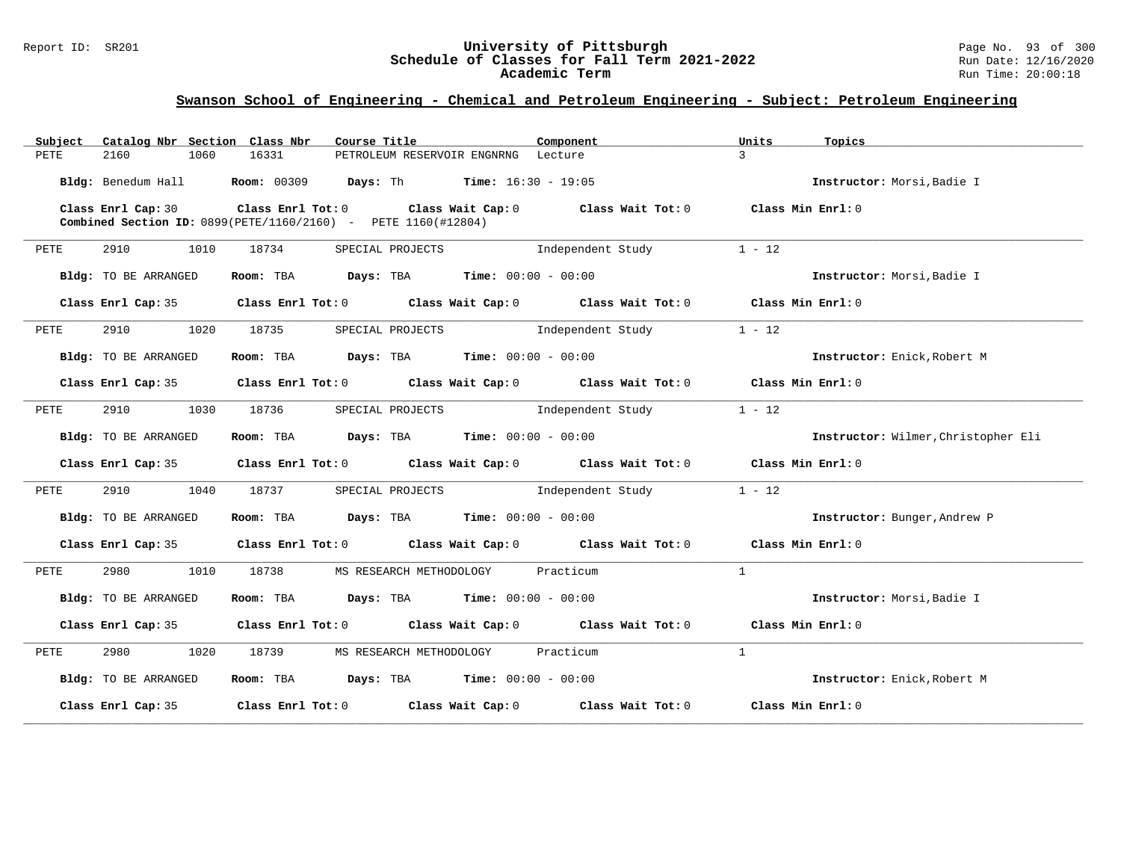| Catalog Nbr Section Class Nbr<br>Subject | Course Title                                                                                                                                            | Component                 | Units<br>Topics                     |
|------------------------------------------|---------------------------------------------------------------------------------------------------------------------------------------------------------|---------------------------|-------------------------------------|
| 2160<br>1060<br>PETE                     | 16331<br>PETROLEUM RESERVOIR ENGNRNG Lecture                                                                                                            | $\mathcal{L}$             |                                     |
|                                          | Bldg: Benedum Hall Room: 00309 Days: Th Time: 16:30 - 19:05                                                                                             |                           | Instructor: Morsi, Badie I          |
| Class Enrl Cap: 30                       | Class Enrl Tot: $0$ Class Wait Cap: $0$ Class Wait Tot: $0$ Class Min Enrl: $0$<br><b>Combined Section ID:</b> 0899(PETE/1160/2160) - PETE 1160(#12804) |                           |                                     |
| 2910<br>1010<br>PETE                     | 18734<br>SPECIAL PROJECTS                                                                                                                               | Independent Study         | $1 - 12$                            |
| Bldg: TO BE ARRANGED                     | Room: TBA $Days:$ TBA $Time: 00:00 - 00:00$                                                                                                             |                           | Instructor: Morsi, Badie I          |
| Class Enrl Cap: 35                       | Class Enrl Tot: 0 Class Wait Cap: 0 Class Wait Tot: 0 Class Min Enrl: 0                                                                                 |                           |                                     |
| 2910<br>1020<br>PETE                     | 18735<br>SPECIAL PROJECTS                                                                                                                               | Independent Study         | $1 - 12$                            |
| Bldg: TO BE ARRANGED                     | Room: TBA $Days:$ TBA $Time: 00:00 - 00:00$                                                                                                             |                           | Instructor: Enick, Robert M         |
| Class Enrl Cap: 35                       | Class Enrl Tot: $0$ Class Wait Cap: $0$ Class Wait Tot: $0$ Class Min Enrl: $0$                                                                         |                           |                                     |
| 2910<br>1030<br>PETE                     | 18736<br>SPECIAL PROJECTS                                                                                                                               | Independent Study         | $1 - 12$                            |
| Bldg: TO BE ARRANGED                     | Room: TBA $Days: TBA$ Time: $00:00 - 00:00$                                                                                                             |                           | Instructor: Wilmer, Christopher Eli |
| Class Enrl Cap: 35                       | Class Enrl Tot: $0$ Class Wait Cap: $0$ Class Wait Tot: $0$ Class Min Enrl: $0$                                                                         |                           |                                     |
| 2910 2012<br>1040<br>PETE                | 18737<br>SPECIAL PROJECTS                                                                                                                               | Independent Study         | $1 - 12$                            |
| Bldg: TO BE ARRANGED                     | <b>Days:</b> TBA <b>Time:</b> $00:00 - 00:00$<br>Room: TBA                                                                                              |                           | Instructor: Bunger, Andrew P        |
| Class Enrl Cap: 35                       | Class Enrl Tot: $0$ Class Wait Cap: $0$ Class Wait Tot: $0$ Class Min Enrl: $0$                                                                         |                           |                                     |
| 2980<br>1010<br>PETE                     | 18738<br>MS RESEARCH METHODOLOGY Practicum                                                                                                              | $\overline{1}$            |                                     |
| Bldg: TO BE ARRANGED                     | Room: TBA $Days:$ TBA $Time: 00:00 - 00:00$                                                                                                             |                           | Instructor: Morsi, Badie I          |
| Class Enrl Cap: 35                       | Class Enrl Tot: 0 $\qquad$ Class Wait Cap: 0 $\qquad$ Class Wait Tot: 0 $\qquad$ Class Min Enrl: 0                                                      |                           |                                     |
| 2980<br>1020<br>PETE                     | 18739<br>MS RESEARCH METHODOLOGY                                                                                                                        | $\mathbf{1}$<br>Practicum |                                     |
| Bldg: TO BE ARRANGED                     | Room: TBA $Days:$ TBA $Time: 00:00 - 00:00$                                                                                                             |                           | Instructor: Enick, Robert M         |
| Class Enrl Cap: 35                       | Class Enrl Tot: $0$ Class Wait Cap: $0$ Class Wait Tot: $0$                                                                                             |                           | Class Min Enrl: 0                   |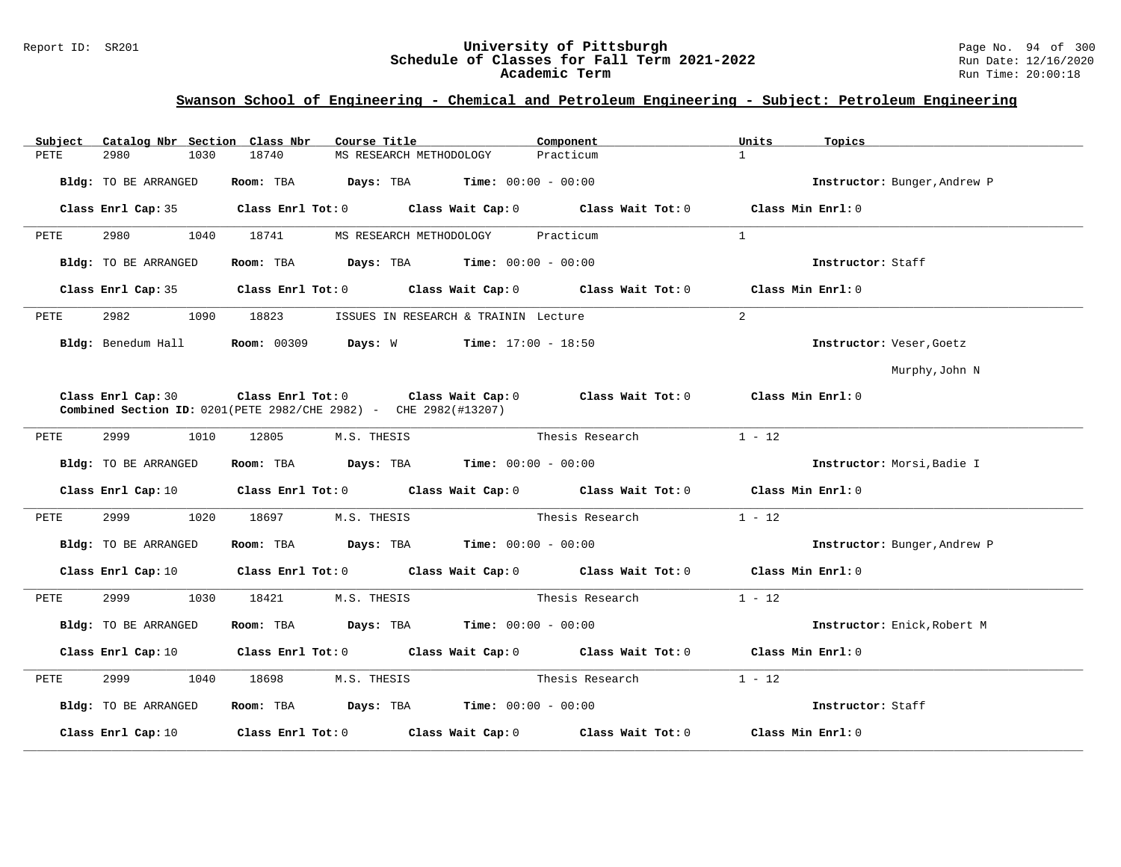#### Report ID: SR201 **University of Pittsburgh** Page No. 94 of 300 **Schedule of Classes for Fall Term 2021-2022** Run Date: 12/16/2020 **Academic Term** Run Time: 20:00:18

| Catalog Nbr Section Class Nbr<br>Subject | Course Title                                                                                                                                        | Component                                                                                                                                                                                                                     | Units<br>Topics              |
|------------------------------------------|-----------------------------------------------------------------------------------------------------------------------------------------------------|-------------------------------------------------------------------------------------------------------------------------------------------------------------------------------------------------------------------------------|------------------------------|
| 2980<br>1030<br>PETE                     | 18740<br>MS RESEARCH METHODOLOGY                                                                                                                    | Practicum                                                                                                                                                                                                                     | $\mathbf{1}$                 |
| Bldg: TO BE ARRANGED                     | Room: TBA $Days:$ TBA $Time: 00:00 - 00:00$                                                                                                         |                                                                                                                                                                                                                               | Instructor: Bunger, Andrew P |
| Class Enrl Cap: 35                       |                                                                                                                                                     | Class Enrl Tot: $0$ Class Wait Cap: $0$ Class Wait Tot: $0$                                                                                                                                                                   | Class Min Enrl: 0            |
| 2980<br>1040<br>PETE                     | 18741<br>MS RESEARCH METHODOLOGY                                                                                                                    | Practicum                                                                                                                                                                                                                     | $\mathbf{1}$                 |
| Bldg: TO BE ARRANGED                     | Room: TBA $Days:$ TBA $Time: 00:00 - 00:00$                                                                                                         |                                                                                                                                                                                                                               | Instructor: Staff            |
|                                          |                                                                                                                                                     | Class Enrl Cap: 35 $\,$ Class Enrl Tot: 0 $\,$ Class Wait Cap: 0 $\,$ Class Wait Tot: 0 $\,$ Class Enrl Tot: 0 $\,$ Class Enrl Tot: 0 $\,$ Class Enrl Tot: 0 $\,$ Class Enrl Tot: 0 $\,$ Class Enrl Tot: 0 $\,$ Class Enrl To | Class Min Enrl: 0            |
| 2982<br>1090<br>PETE                     | 18823                                                                                                                                               | ISSUES IN RESEARCH & TRAININ Lecture                                                                                                                                                                                          | $\overline{a}$               |
| Bldg: Benedum Hall                       | Room: 00309 Days: W                                                                                                                                 | $Time: 17:00 - 18:50$                                                                                                                                                                                                         | Instructor: Veser, Goetz     |
|                                          |                                                                                                                                                     |                                                                                                                                                                                                                               | Murphy, John N               |
| Class Enrl Cap: 30                       | Class Enrl Tot: $0$ Class Wait Cap: $0$ Class Wait Tot: $0$ Class Min Enrl: $0$<br>Combined Section ID: 0201(PETE 2982/CHE 2982) - CHE 2982(#13207) |                                                                                                                                                                                                                               |                              |
| 2999<br>1010<br>PETE                     | 12805<br>M.S. THESIS                                                                                                                                | Thesis Research                                                                                                                                                                                                               | $1 - 12$                     |
| Bldg: TO BE ARRANGED                     | Room: TBA $Days:$ TBA $Time: 00:00 - 00:00$                                                                                                         |                                                                                                                                                                                                                               | Instructor: Morsi, Badie I   |
| Class Enrl Cap: 10                       |                                                                                                                                                     | Class Enrl Tot: 0 Class Wait Cap: 0 Class Wait Tot: 0 Class Min Enrl: 0                                                                                                                                                       |                              |
| 2999<br>1020<br>PETE                     | 18697<br>M.S. THESIS                                                                                                                                | Thesis Research                                                                                                                                                                                                               | $1 - 12$                     |
| Bldg: TO BE ARRANGED                     | Room: TBA $Days:$ TBA $Time: 00:00 - 00:00$                                                                                                         |                                                                                                                                                                                                                               | Instructor: Bunger, Andrew P |
| Class Enrl Cap: 10                       |                                                                                                                                                     | Class Enrl Tot: $0$ Class Wait Cap: $0$ Class Wait Tot: $0$                                                                                                                                                                   | Class Min Enrl: 0            |
| 2999<br>1030<br>PETE                     | 18421<br>M.S. THESIS                                                                                                                                | Thesis Research                                                                                                                                                                                                               | $1 - 12$                     |
| Bldg: TO BE ARRANGED                     | Room: TBA $Days:$ TBA $Time: 00:00 - 00:00$                                                                                                         |                                                                                                                                                                                                                               | Instructor: Enick, Robert M  |
|                                          |                                                                                                                                                     | Class Enrl Cap: 10 $\qquad$ Class Enrl Tot: 0 $\qquad$ Class Wait Cap: 0 $\qquad$ Class Wait Tot: 0 $\qquad$ Class Min Enrl: 0                                                                                                |                              |
| 2999<br>1040<br>PETE                     | 18698<br>M.S. THESIS                                                                                                                                | Thesis Research                                                                                                                                                                                                               | $1 - 12$                     |
| Bldg: TO BE ARRANGED                     | Room: TBA $Days:$ TBA Time: $00:00 - 00:00$                                                                                                         |                                                                                                                                                                                                                               | Instructor: Staff            |
| Class Enrl Cap: 10                       | Class Enrl Tot: 0 Class Wait Cap: 0                                                                                                                 | Class Wait Tot: 0                                                                                                                                                                                                             | Class Min Enrl: 0            |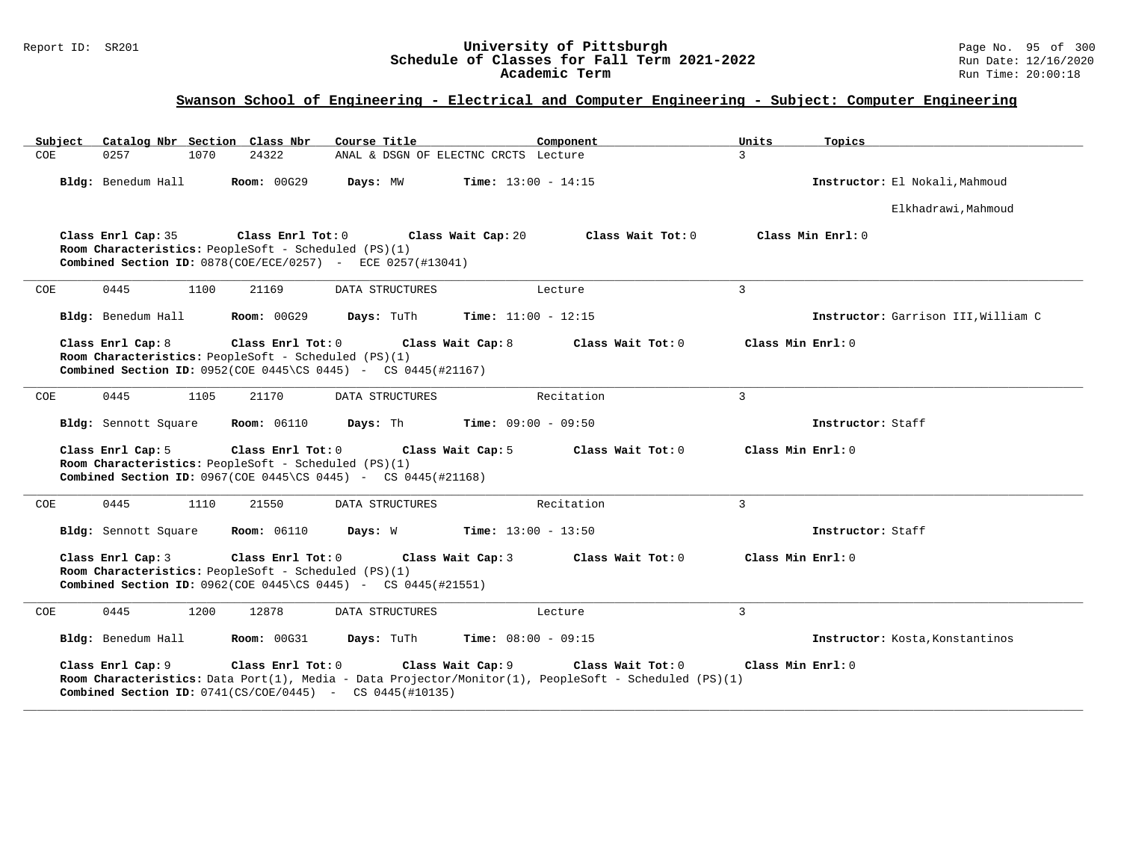### Report ID: SR201 **University of Pittsburgh** Page No. 95 of 300 **Schedule of Classes for Fall Term 2021-2022** Run Date: 12/16/2020 **Academic Term** Run Time: 20:00:18

# **Swanson School of Engineering - Electrical and Computer Engineering - Subject: Computer Engineering**

| Subiect | Catalog Nbr Section Class Nbr                                                                    |                    | Course Title                                                                                          | Component                                                                                                                  | Units<br>Topics                     |
|---------|--------------------------------------------------------------------------------------------------|--------------------|-------------------------------------------------------------------------------------------------------|----------------------------------------------------------------------------------------------------------------------------|-------------------------------------|
| COE     | 0257<br>1070                                                                                     | 24322              | ANAL & DSGN OF ELECTNC CRCTS Lecture                                                                  |                                                                                                                            | $\overline{3}$                      |
|         | Bldg: Benedum Hall                                                                               | <b>Room: 00G29</b> | Days: MW                                                                                              | <b>Time:</b> $13:00 - 14:15$                                                                                               | Instructor: El Nokali, Mahmoud      |
|         |                                                                                                  |                    |                                                                                                       |                                                                                                                            | Elkhadrawi, Mahmoud                 |
|         | Class Enrl Cap: 35<br>Room Characteristics: PeopleSoft - Scheduled (PS)(1)                       | Class Enrl Tot: 0  | Class Wait Cap: 20<br>Combined Section ID: 0878(COE/ECE/0257) - ECE 0257(#13041)                      | Class Wait Tot: 0                                                                                                          | Class Min Enrl: 0                   |
| COE     | 0445<br>1100                                                                                     | 21169              | DATA STRUCTURES                                                                                       | Lecture                                                                                                                    | 3                                   |
|         | Bldg: Benedum Hall                                                                               | <b>Room: 00G29</b> | Days: TuTh                                                                                            | Time: $11:00 - 12:15$                                                                                                      | Instructor: Garrison III, William C |
|         | Class Enrl Cap: 8<br>Room Characteristics: PeopleSoft - Scheduled (PS)(1)                        | Class Enrl Tot: 0  | Class Wait Cap: 8<br><b>Combined Section ID:</b> 0952(COE 0445\CS 0445) - CS 0445(#21167)             | Class Wait Tot: 0                                                                                                          | Class Min Enrl: 0                   |
| COE     | 0445<br>1105                                                                                     | 21170              | DATA STRUCTURES                                                                                       | Recitation                                                                                                                 | $\mathbf{3}$                        |
|         | Bldg: Sennott Square                                                                             | <b>Room: 06110</b> | <b>Days:</b> Th <b>Time:</b> $09:00 - 09:50$                                                          |                                                                                                                            | Instructor: Staff                   |
|         | Class Enrl Cap: 5<br>Room Characteristics: PeopleSoft - Scheduled (PS)(1)                        | Class Enrl Tot: 0  | Class Wait Cap: 5<br><b>Combined Section ID:</b> $0967$ (COE $0445$ \CS $0445$ ) - CS $0445$ (#21168) | Class Wait Tot: 0                                                                                                          | Class Min Enrl: 0                   |
| COE     | 0445<br>1110                                                                                     | 21550              | DATA STRUCTURES                                                                                       | Recitation                                                                                                                 | 3                                   |
|         | <b>Bldg:</b> Sennott Square                                                                      | <b>Room: 06110</b> | Days: W                                                                                               | <b>Time:</b> $13:00 - 13:50$                                                                                               | Instructor: Staff                   |
|         | Class Enrl Cap: 3<br>Room Characteristics: PeopleSoft - Scheduled (PS)(1)                        | Class Enrl Tot: 0  | Class Wait Cap: 3<br><b>Combined Section ID:</b> $0962$ (COE 0445\CS 0445) - CS 0445(#21551)          | Class Wait Tot: 0                                                                                                          | Class Min Enrl: 0                   |
| COE     | 0445<br>1200                                                                                     | 12878              | DATA STRUCTURES                                                                                       | Lecture                                                                                                                    | 3                                   |
|         | Bldg: Benedum Hall                                                                               | <b>Room: 00G31</b> | Days: TuTh                                                                                            | <b>Time:</b> $08:00 - 09:15$                                                                                               | Instructor: Kosta, Konstantinos     |
|         | Class Enrl Cap: 9<br><b>Combined Section ID:</b> $0741(CS/COE/0445)$ - CS $0445(\text{\#}10135)$ | Class Enrl Tot: 0  | Class Wait Cap: 9                                                                                     | Class Wait Tot: 0<br>Room Characteristics: Data Port(1), Media - Data Projector/Monitor(1), PeopleSoft - Scheduled (PS)(1) | Class Min Enrl: 0                   |

**\_\_\_\_\_\_\_\_\_\_\_\_\_\_\_\_\_\_\_\_\_\_\_\_\_\_\_\_\_\_\_\_\_\_\_\_\_\_\_\_\_\_\_\_\_\_\_\_\_\_\_\_\_\_\_\_\_\_\_\_\_\_\_\_\_\_\_\_\_\_\_\_\_\_\_\_\_\_\_\_\_\_\_\_\_\_\_\_\_\_\_\_\_\_\_\_\_\_\_\_\_\_\_\_\_\_\_\_\_\_\_\_\_\_\_\_\_\_\_\_\_\_\_\_\_\_\_\_\_\_\_\_\_\_\_\_\_\_\_\_\_\_\_\_\_\_\_\_\_\_\_\_\_\_\_\_**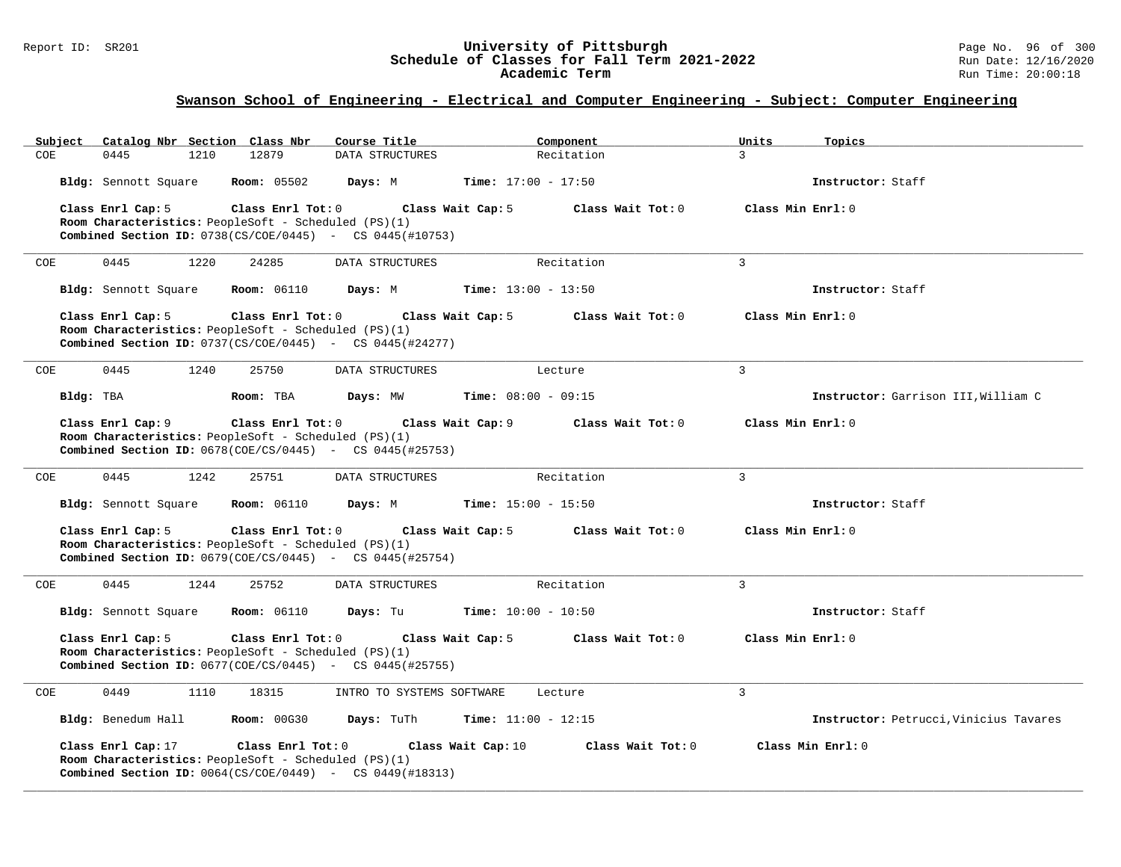#### Report ID: SR201 **University of Pittsburgh** Page No. 96 of 300 **Schedule of Classes for Fall Term 2021-2022** Run Date: 12/16/2020 **Academic Term** Run Time: 20:00:18

| Subject              | Catalog Nbr Section Class Nbr |                                                                           | Course Title                                                                                   |                              | Component         | Units             | Topics                                 |
|----------------------|-------------------------------|---------------------------------------------------------------------------|------------------------------------------------------------------------------------------------|------------------------------|-------------------|-------------------|----------------------------------------|
| COE.<br>0445         | 1210                          | 12879                                                                     | DATA STRUCTURES                                                                                |                              | Recitation        | $\mathcal{L}$     |                                        |
| Bldg: Sennott Square |                               | <b>Room:</b> 05502                                                        | Days: M                                                                                        | <b>Time:</b> $17:00 - 17:50$ |                   |                   | Instructor: Staff                      |
| Class Enrl Cap: 5    |                               | Class Enrl Tot: 0<br>Room Characteristics: PeopleSoft - Scheduled (PS)(1) | Class Wait Cap: 5<br><b>Combined Section ID:</b> $0738(CS/COE/0445)$ - CS $0445(#10753)$       |                              | Class Wait Tot: 0 | Class Min Enrl: 0 |                                        |
| 0445<br>COE          | 1220                          | 24285                                                                     | DATA STRUCTURES                                                                                |                              | Recitation        | $\overline{3}$    |                                        |
| Bldg: Sennott Square |                               | <b>Room:</b> 06110                                                        | Days: M                                                                                        | Time: $13:00 - 13:50$        |                   |                   | Instructor: Staff                      |
| Class Enrl Cap: 5    |                               | Class Enrl Tot: 0<br>Room Characteristics: PeopleSoft - Scheduled (PS)(1) | Class Wait Cap: 5<br><b>Combined Section ID:</b> $0737(CS/COE/0445)$ - CS $0445(\#24277)$      |                              | Class Wait Tot: 0 | Class Min Enrl: 0 |                                        |
| 0445<br>COE          | 1240                          | 25750                                                                     | DATA STRUCTURES                                                                                |                              | Lecture           | 3                 |                                        |
| Bldg: TBA            |                               | Room: TBA                                                                 | Days: MW                                                                                       | <b>Time:</b> $08:00 - 09:15$ |                   |                   | Instructor: Garrison III, William C    |
| Class Enrl Cap: 9    |                               | Class Enrl Tot: 0<br>Room Characteristics: PeopleSoft - Scheduled (PS)(1) | Class Wait Cap: 9<br><b>Combined Section ID:</b> $0678 (COE/CS/0445)$ - CS $0445 (#25753)$     |                              | Class Wait Tot: 0 | Class Min Enrl: 0 |                                        |
| 0445<br>COE          | 1242                          | 25751                                                                     | DATA STRUCTURES                                                                                |                              | Recitation        | 3                 |                                        |
| Bldg: Sennott Square |                               | <b>Room: 06110</b>                                                        | Days: M                                                                                        | <b>Time:</b> $15:00 - 15:50$ |                   |                   | Instructor: Staff                      |
| Class Enrl Cap: 5    |                               | Class Enrl Tot: 0<br>Room Characteristics: PeopleSoft - Scheduled (PS)(1) | Class Wait Cap: 5<br><b>Combined Section ID:</b> $0679 (COE/CS/0445)$ - CS $0445 (#25754)$     |                              | Class Wait Tot: 0 | Class Min Enrl: 0 |                                        |
| 0445<br>COE          | 1244                          | 25752                                                                     | DATA STRUCTURES                                                                                |                              | Recitation        | 3                 |                                        |
| Bldg: Sennott Square |                               | <b>Room:</b> 06110                                                        | Days: Tu                                                                                       | <b>Time:</b> $10:00 - 10:50$ |                   |                   | Instructor: Staff                      |
| Class Enrl Cap: 5    |                               | Class Enrl Tot: 0<br>Room Characteristics: PeopleSoft - Scheduled (PS)(1) | Class Wait Cap: 5<br><b>Combined Section ID:</b> $0677$ ( $COE/CS/0445$ ) - CS $0445$ (#25755) |                              | Class Wait Tot: 0 | Class Min Enrl: 0 |                                        |
| <b>COE</b><br>0449   | 1110                          | 18315                                                                     | INTRO TO SYSTEMS SOFTWARE                                                                      |                              | Lecture           | $\mathbf{3}$      |                                        |
| Bldg: Benedum Hall   |                               | <b>Room: 00G30</b>                                                        | Days: TuTh                                                                                     | <b>Time:</b> $11:00 - 12:15$ |                   |                   | Instructor: Petrucci, Vinicius Tavares |
| Class Enrl Cap: 17   |                               | Class Enrl Tot: 0<br>Room Characteristics: PeopleSoft - Scheduled (PS)(1) | Class Wait Cap: 10<br><b>Combined Section ID:</b> $0.064(CS/COE/0449)$ - CS $0.449(H18313)$    |                              | Class Wait Tot: 0 |                   | Class Min Enrl: 0                      |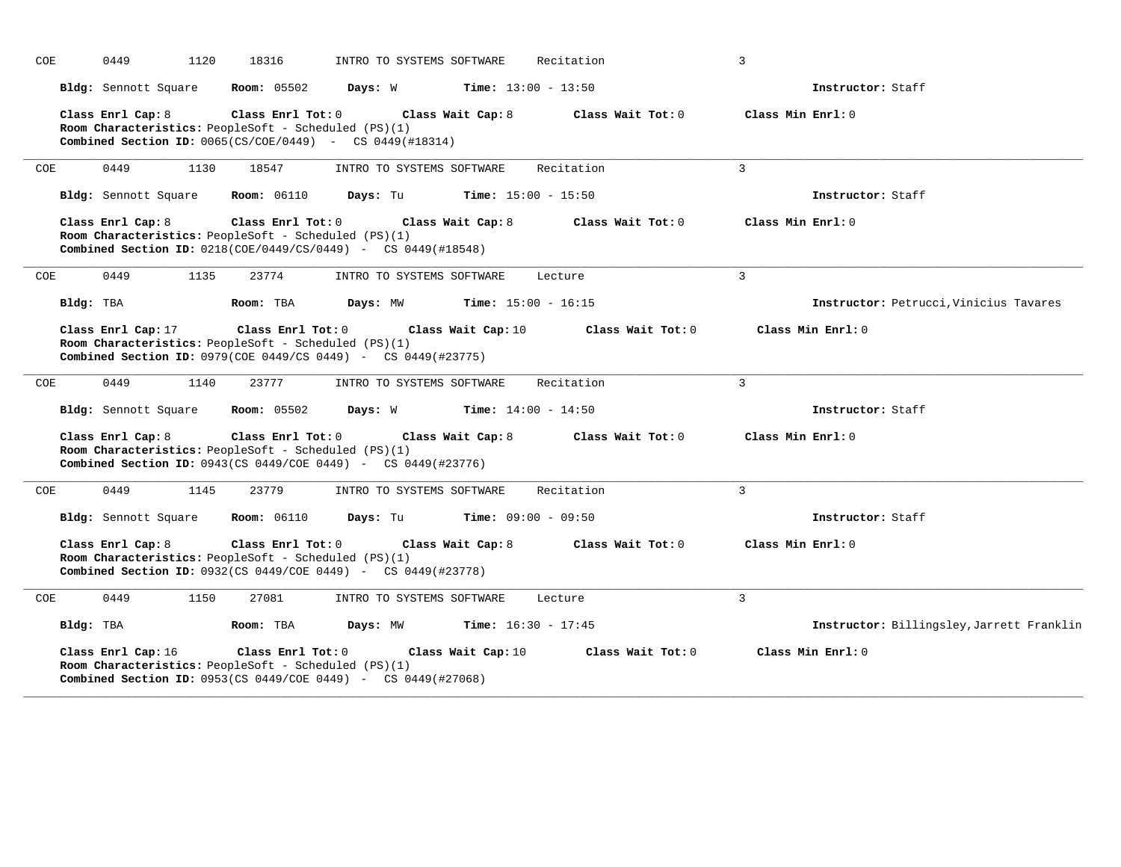| COE |           | 1120<br>0449         | 18316                                                                                                                                                            | INTRO TO SYSTEMS SOFTWARE                   |                    | Recitation                   |                   | 3                 |                                           |
|-----|-----------|----------------------|------------------------------------------------------------------------------------------------------------------------------------------------------------------|---------------------------------------------|--------------------|------------------------------|-------------------|-------------------|-------------------------------------------|
|     |           | Bldg: Sennott Square | <b>Room: 05502</b>                                                                                                                                               | Days: W                                     |                    | <b>Time:</b> $13:00 - 13:50$ |                   |                   | Instructor: Staff                         |
|     |           | Class Enrl Cap: 8    | Room Characteristics: PeopleSoft - Scheduled (PS)(1)<br><b>Combined Section ID:</b> $0.065(CS/COE/0449)$ - CS $0.449(H18314)$                                    | Class Enrl Tot: 0 Class Wait Cap: 8         |                    | Class Wait Tot: 0            |                   | Class Min Enrl: 0 |                                           |
| COE |           | 0449                 | 1130<br>18547                                                                                                                                                    | INTRO TO SYSTEMS SOFTWARE                   |                    | Recitation                   |                   | $\overline{3}$    |                                           |
|     |           | Bldg: Sennott Square | <b>Room:</b> 06110                                                                                                                                               | Days: Tu                                    |                    | <b>Time:</b> $15:00 - 15:50$ |                   |                   | Instructor: Staff                         |
|     |           | Class Enrl Cap: 8    | Class Enrl Tot: 0<br>Room Characteristics: PeopleSoft - Scheduled (PS)(1)<br><b>Combined Section ID:</b> $0218(COE/0449/CS/0449)$ - CS $0449(#18548)$            |                                             | Class Wait Cap: 8  | Class Wait Tot: 0            |                   | Class Min Enrl: 0 |                                           |
| COE |           | 0449                 | 1135<br>23774                                                                                                                                                    | INTRO TO SYSTEMS SOFTWARE                   |                    | Lecture                      |                   | $\mathcal{E}$     |                                           |
|     | Bldg: TBA |                      | Room: TBA                                                                                                                                                        | Days: MW                                    |                    | <b>Time:</b> $15:00 - 16:15$ |                   |                   | Instructor: Petrucci, Vinicius Tavares    |
|     |           | Class Enrl Cap: 17   | Class Enrl Tot: 0<br>Room Characteristics: PeopleSoft - Scheduled (PS)(1)<br><b>Combined Section ID:</b> 0979(COE 0449/CS 0449) - CS 0449(#23775)                |                                             | Class Wait Cap: 10 |                              | Class Wait Tot: 0 |                   | Class Min Enrl: 0                         |
| COE |           | 0449                 | 1140<br>23777                                                                                                                                                    | INTRO TO SYSTEMS SOFTWARE                   |                    | Recitation                   |                   | $\overline{3}$    |                                           |
|     |           | Bldg: Sennott Square | <b>Room:</b> 05502                                                                                                                                               | <b>Days:</b> W <b>Time:</b> $14:00 - 14:50$ |                    |                              |                   |                   | Instructor: Staff                         |
|     |           | Class Enrl Cap: 8    | Class Enrl Tot: 0<br>Room Characteristics: PeopleSoft - Scheduled (PS)(1)<br><b>Combined Section ID:</b> 0943(CS 0449/COE 0449) - CS 0449(#23776)                |                                             | Class Wait Cap: 8  |                              | Class Wait Tot: 0 | Class Min Enrl: 0 |                                           |
| COE |           | 0449<br>1145         | 23779                                                                                                                                                            | INTRO TO SYSTEMS SOFTWARE                   |                    | Recitation                   |                   | 3                 |                                           |
|     |           | Bldg: Sennott Square | <b>Room: 06110</b>                                                                                                                                               | Days: Tu                                    |                    | <b>Time:</b> $09:00 - 09:50$ |                   |                   | Instructor: Staff                         |
|     |           | Class Enrl Cap: 8    | Class Enrl Tot: 0<br>Room Characteristics: PeopleSoft - Scheduled (PS)(1)<br><b>Combined Section ID:</b> 0932(CS 0449/COE 0449) - CS 0449(#23778)                |                                             | Class Wait Cap: 8  | Class Wait Tot: 0            |                   | Class Min Enrl: 0 |                                           |
| COE |           | 0449                 | 1150<br>27081                                                                                                                                                    | INTRO TO SYSTEMS SOFTWARE                   |                    | Lecture                      |                   | $\mathcal{L}$     |                                           |
|     | Bldg: TBA |                      | Room: TBA                                                                                                                                                        | Days: MW                                    |                    | <b>Time:</b> $16:30 - 17:45$ |                   |                   | Instructor: Billingsley, Jarrett Franklin |
|     |           | Class Enrl Cap: 16   | Class Enrl Tot: $0$<br>Room Characteristics: PeopleSoft - Scheduled (PS)(1)<br><b>Combined Section ID:</b> $0953$ (CS $0449$ / COE $0449$ ) - CS $0449$ (#27068) |                                             | Class Wait Cap: 10 |                              | Class Wait Tot: 0 |                   | Class Min Enrl: 0                         |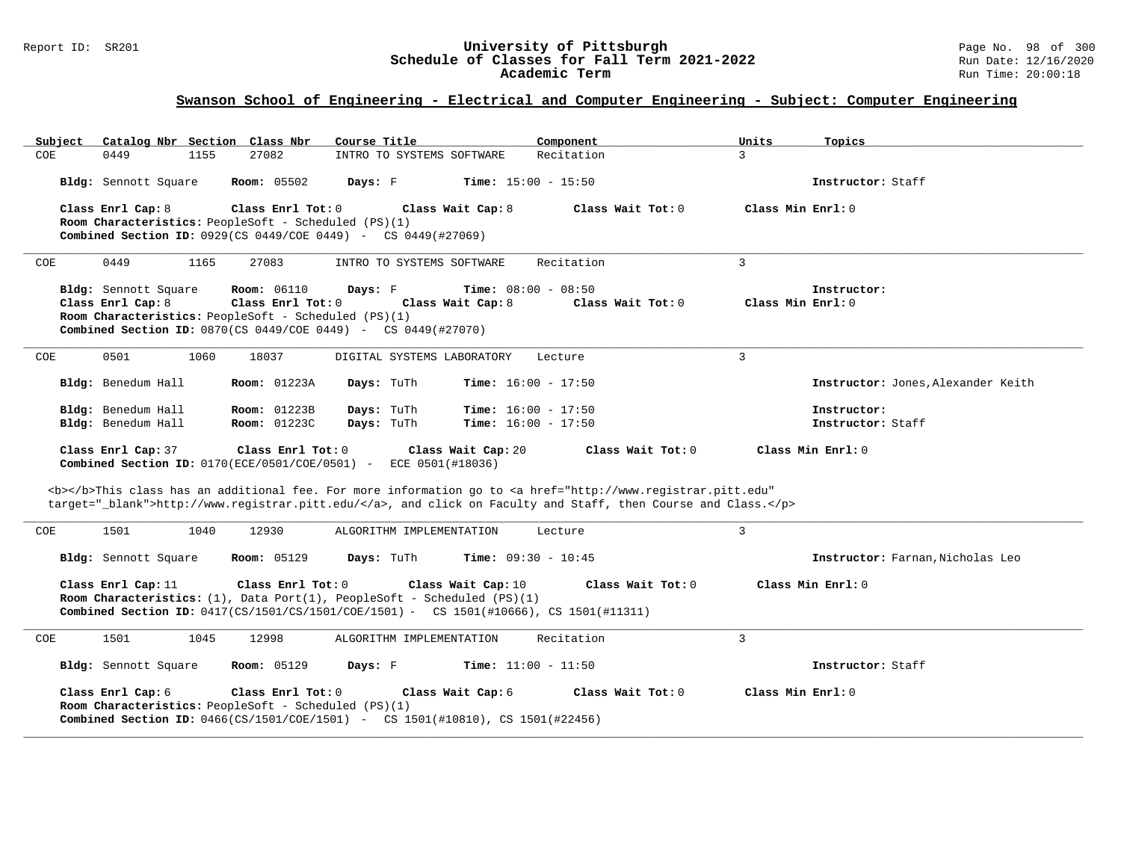### Report ID: SR201 **1989 Mage No. 98 of 300**<br>Schedule of Classes for Fall Term 2021-2022 1989 Run Date: 12/16/2020 **Schedule of Classes for Fall Term 2021-2022** Run Date: 12/16/2020 **Academic Term** Run Time: 20:00:18

| Subject<br>Catalog Nbr Section Class Nbr                                  | Course Title                                                                                                                                            | Component           | Units               | Topics                             |
|---------------------------------------------------------------------------|---------------------------------------------------------------------------------------------------------------------------------------------------------|---------------------|---------------------|------------------------------------|
| 27082<br>0449<br>1155<br>COE                                              | INTRO TO SYSTEMS SOFTWARE                                                                                                                               | Recitation          | $\mathcal{L}$       |                                    |
| <b>Room: 05502</b><br>Bldg: Sennott Square                                | <b>Time:</b> $15:00 - 15:50$<br>Days: F                                                                                                                 |                     |                     | Instructor: Staff                  |
| Class Enrl Cap: 8                                                         | Class Enrl Tot: 0<br>Class Wait Cap: 8                                                                                                                  | Class Wait $Tot: 0$ | Class Min Enrl: 0   |                                    |
| Room Characteristics: PeopleSoft - Scheduled (PS)(1)                      |                                                                                                                                                         |                     |                     |                                    |
| <b>Combined Section ID:</b> 0929(CS 0449/COE 0449) - CS 0449(#27069)      |                                                                                                                                                         |                     |                     |                                    |
| COE<br>0449<br>1165<br>27083                                              | INTRO TO SYSTEMS SOFTWARE                                                                                                                               | Recitation          | 3                   |                                    |
| Bldg: Sennott Square<br><b>Room:</b> 06110                                | Days: F<br><b>Time:</b> $08:00 - 08:50$                                                                                                                 |                     |                     | Instructor:                        |
| Class Enrl Cap: 8                                                         | Class Enrl Tot: 0<br>Class Wait Cap: 8                                                                                                                  | Class Wait Tot: 0   | Class Min Enrl: 0   |                                    |
| Room Characteristics: PeopleSoft - Scheduled (PS)(1)                      |                                                                                                                                                         |                     |                     |                                    |
| Combined Section ID: 0870(CS 0449/COE 0449) - CS 0449(#27070)             |                                                                                                                                                         |                     |                     |                                    |
| 0501<br>1060<br>18037<br>COE                                              | DIGITAL SYSTEMS LABORATORY                                                                                                                              | Lecture             | 3                   |                                    |
| Bldg: Benedum Hall<br><b>Room:</b> 01223A                                 | Days: TuTh<br><b>Time:</b> $16:00 - 17:50$                                                                                                              |                     |                     | Instructor: Jones, Alexander Keith |
| Bldg: Benedum Hall<br><b>Room: 01223B</b>                                 | Days: TuTh<br><b>Time:</b> $16:00 - 17:50$                                                                                                              |                     |                     | Instructor:                        |
| Bldg: Benedum Hall<br>Room: 01223C                                        | Days: TuTh<br><b>Time:</b> $16:00 - 17:50$                                                                                                              |                     |                     | Instructor: Staff                  |
| Class Enrl Cap: 37                                                        | Class Enrl Tot: 0<br>Class Wait Cap: 20<br>Combined Section ID: 0170(ECE/0501/COE/0501) - ECE 0501(#18036)                                              | Class Wait Tot: 0   | Class Min Enrl: 0   |                                    |
|                                                                           | <b></b> This class has an additional fee. For more information go to <a <="" href="http://www.registrar.pitt.edu" td=""><td></td><td></td><td></td></a> |                     |                     |                                    |
|                                                                           | target="_blank">http://www.registrar.pitt.edu/, and click on Faculty and Staff, then Course and Class.                                                  |                     |                     |                                    |
| 1501<br>1040<br>12930<br>COE                                              | ALGORITHM IMPLEMENTATION                                                                                                                                | Lecture             | $\overline{3}$      |                                    |
|                                                                           |                                                                                                                                                         |                     |                     |                                    |
| <b>Room: 05129</b><br>Bldg: Sennott Square                                | Days: TuTh<br><b>Time:</b> $09:30 - 10:45$                                                                                                              |                     |                     | Instructor: Farnan, Nicholas Leo   |
| Class Enrl Cap: 11                                                        | Class Enrl Tot: 0<br>Class Wait Cap: 10<br>Room Characteristics: $(1)$ , Data Port $(1)$ , PeopleSoft - Scheduled $(PS)(1)$                             | Class Wait $Tot: 0$ | Class Min $Enr1: 0$ |                                    |
|                                                                           | Combined Section ID: 0417(CS/1501/CS/1501/COE/1501) - CS 1501(#10666), CS 1501(#11311)                                                                  |                     |                     |                                    |
| 1501<br>1045<br>12998<br>COE                                              | ALGORITHM IMPLEMENTATION                                                                                                                                | Recitation          | 3                   |                                    |
| Bldg: Sennott Square<br><b>Room:</b> 05129                                | Days: F<br><b>Time:</b> $11:00 - 11:50$                                                                                                                 |                     |                     | Instructor: Staff                  |
| Class Enrl Cap: 6<br>Room Characteristics: PeopleSoft - Scheduled (PS)(1) | Class Enrl Tot: 0<br>Class Wait Cap: 6<br><b>Combined Section ID:</b> $0466(CS/1501/C0E/1501)$ - CS 1501(#10810), CS 1501(#22456)                       | Class Wait Tot: 0   | Class Min Enrl: 0   |                                    |
|                                                                           |                                                                                                                                                         |                     |                     |                                    |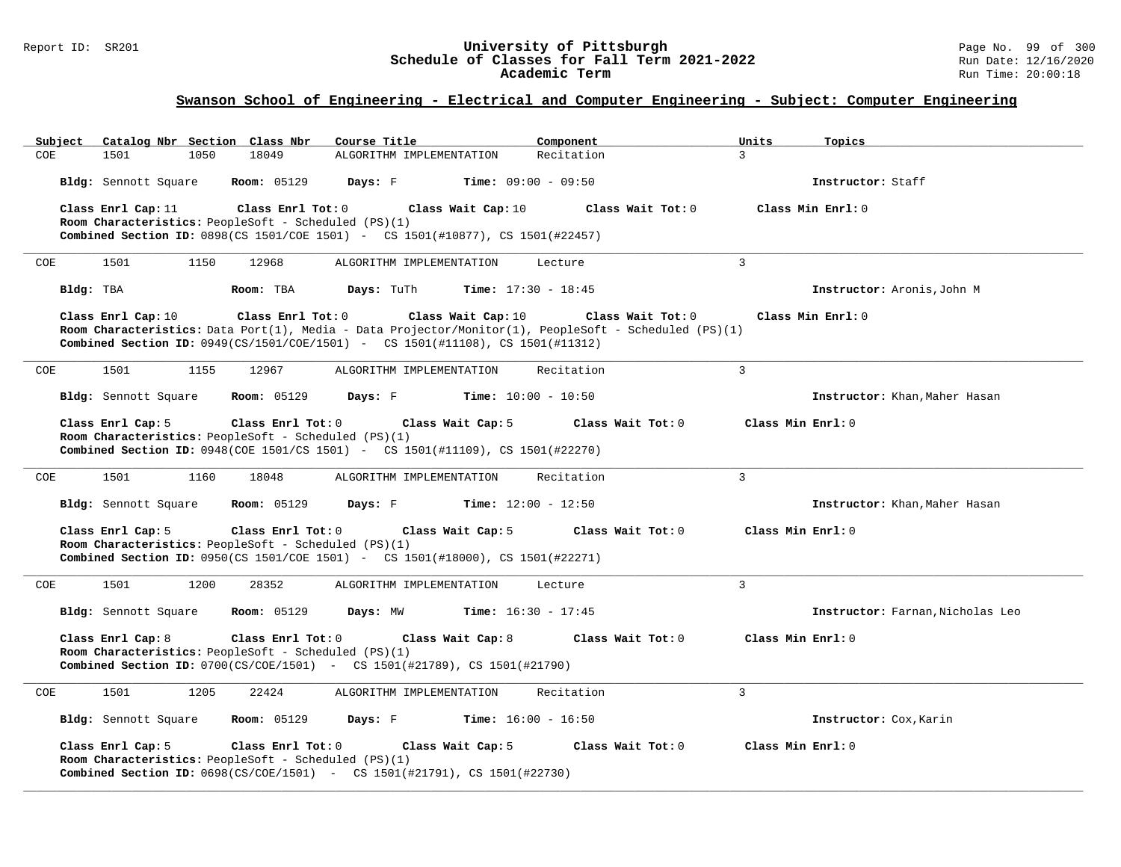#### Report ID: SR201 **University of Pittsburgh** Page No. 99 of 300 **Schedule of Classes for Fall Term 2021-2022** Run Date: 12/16/2020 **Academic Term** Run Time: 20:00:18

| Catalog Nbr Section Class Nbr<br>Subject                                                                                                 | Course Title             | Component                    | Units             | Topics                           |
|------------------------------------------------------------------------------------------------------------------------------------------|--------------------------|------------------------------|-------------------|----------------------------------|
| 1501<br>18049<br><b>COE</b><br>1050                                                                                                      | ALGORITHM IMPLEMENTATION | Recitation                   | 3                 |                                  |
| Bldg: Sennott Square<br><b>Room: 05129</b>                                                                                               | Days: F                  | <b>Time:</b> $09:00 - 09:50$ |                   | Instructor: Staff                |
| Class Enrl Cap: 11<br>Class Enrl Tot: 0                                                                                                  | Class Wait Cap: 10       | Class Wait Tot: 0            |                   | Class Min $Err1:0$               |
| Room Characteristics: PeopleSoft - Scheduled (PS)(1)<br>Combined Section ID: 0898(CS 1501/COE 1501) - CS 1501(#10877), CS 1501(#22457)   |                          |                              |                   |                                  |
|                                                                                                                                          |                          |                              |                   |                                  |
| 1501<br>1150<br>12968<br>COE                                                                                                             | ALGORITHM IMPLEMENTATION | Lecture                      | 3                 |                                  |
| Bldg: TBA<br>Room: TBA                                                                                                                   | Days: TuTh               | <b>Time:</b> $17:30 - 18:45$ |                   | Instructor: Aronis, John M       |
| Class Enrl Cap: 10<br>Class Enrl Tot: 0                                                                                                  | Class Wait Cap: 10       | Class Wait Tot: 0            |                   | Class Min Enrl: 0                |
| Room Characteristics: Data Port(1), Media - Data Projector/Monitor(1), PeopleSoft - Scheduled (PS)(1)                                    |                          |                              |                   |                                  |
| <b>Combined Section ID:</b> $0949(CS/1501/COE/1501)$ - CS $1501(#11108)$ , CS $1501(H11312)$                                             |                          |                              |                   |                                  |
| 1501<br>1155<br>12967<br>COE                                                                                                             | ALGORITHM IMPLEMENTATION | Recitation                   | 3                 |                                  |
| Bldg: Sennott Square<br><b>Room:</b> 05129                                                                                               | Days: F                  | <b>Time:</b> $10:00 - 10:50$ |                   | Instructor: Khan, Maher Hasan    |
| Class Enrl Cap: 5<br>Class Enrl Tot: 0                                                                                                   | Class Wait Cap: 5        | Class Wait Tot: 0            | Class Min Enrl: 0 |                                  |
| Room Characteristics: PeopleSoft - Scheduled (PS)(1)                                                                                     |                          |                              |                   |                                  |
| <b>Combined Section ID:</b> 0948(COE 1501/CS 1501) - CS 1501(#11109), CS 1501(#22270)                                                    |                          |                              |                   |                                  |
| COE<br>1501<br>1160<br>18048                                                                                                             | ALGORITHM IMPLEMENTATION | Recitation                   | 3                 |                                  |
| Bldg: Sennott Square<br><b>Room:</b> 05129                                                                                               | Days: F                  | <b>Time:</b> $12:00 - 12:50$ |                   | Instructor: Khan, Maher Hasan    |
| Class Enrl Cap: 5<br>Class Enrl Tot: 0                                                                                                   | Class Wait Cap: 5        | Class Wait Tot: 0            | Class Min Enrl: 0 |                                  |
| Room Characteristics: PeopleSoft - Scheduled (PS)(1)<br>Combined Section ID: 0950(CS 1501/COE 1501) - CS 1501(#18000), CS 1501(#22271)   |                          |                              |                   |                                  |
|                                                                                                                                          |                          |                              |                   |                                  |
| COE<br>1501<br>1200<br>28352                                                                                                             | ALGORITHM IMPLEMENTATION | Lecture                      | $\overline{3}$    |                                  |
| Bldg: Sennott Square<br><b>Room: 05129</b>                                                                                               | Days: MW                 | <b>Time:</b> $16:30 - 17:45$ |                   | Instructor: Farnan, Nicholas Leo |
| Class Enrl Cap: 8<br>Class Enrl Tot: 0                                                                                                   | Class Wait Cap: 8        | Class Wait Tot: $0$          | Class Min Enrl: 0 |                                  |
| Room Characteristics: PeopleSoft - Scheduled (PS)(1)<br><b>Combined Section ID:</b> 0700(CS/COE/1501) - CS 1501(#21789), CS 1501(#21790) |                          |                              |                   |                                  |
|                                                                                                                                          |                          |                              |                   |                                  |
| COE<br>1501<br>1205<br>22424                                                                                                             | ALGORITHM IMPLEMENTATION | Recitation                   | 3                 |                                  |
| Bldg: Sennott Square<br><b>Room: 05129</b>                                                                                               | Days: F                  | <b>Time:</b> $16:00 - 16:50$ |                   | Instructor: Cox, Karin           |
| Class Enrl Cap: 5<br>Class Enrl Tot: 0                                                                                                   | Class Wait Cap: 5        | Class Wait Tot: 0            | Class Min Enrl: 0 |                                  |
| Room Characteristics: PeopleSoft - Scheduled (PS)(1)<br><b>Combined Section ID:</b> 0698(CS/COE/1501) - CS 1501(#21791), CS 1501(#22730) |                          |                              |                   |                                  |
|                                                                                                                                          |                          |                              |                   |                                  |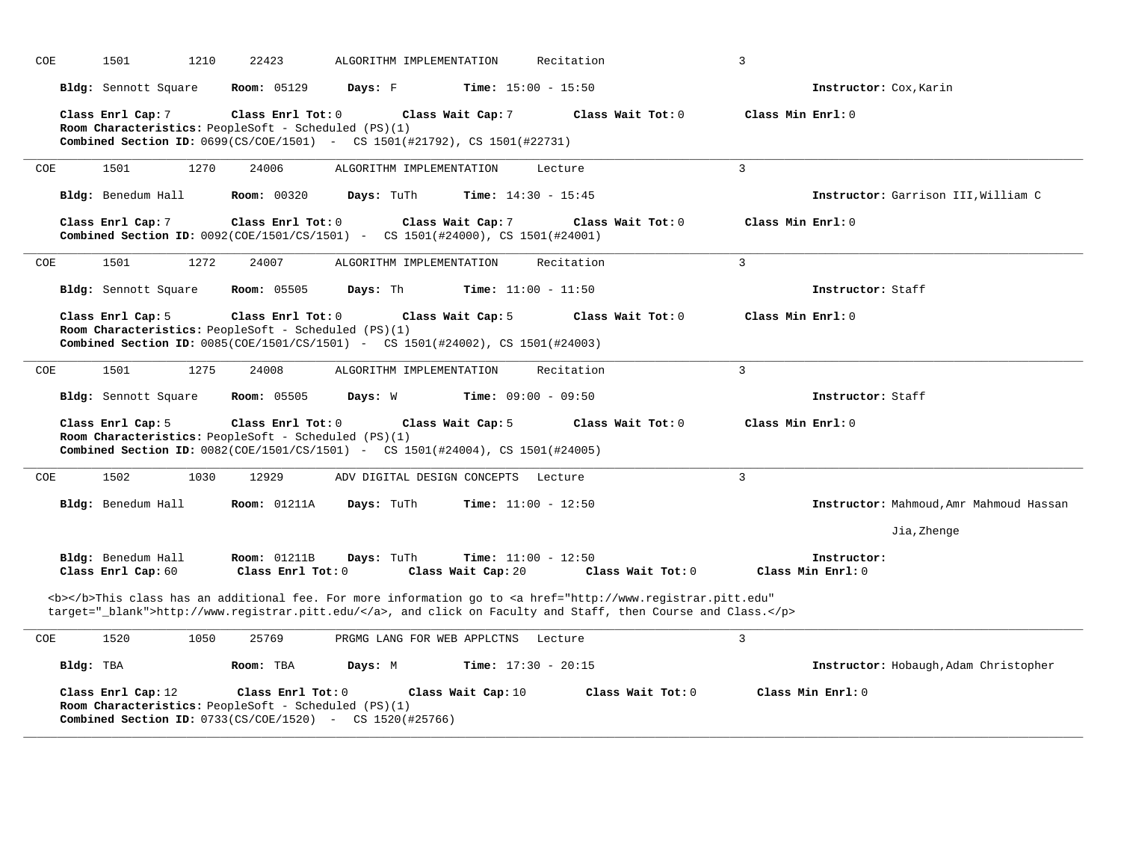| COE        | 1501                                                                                                                                                               | 1210 | 22423                                    |            | ALGORITHM IMPLEMENTATION            | Recitation                   |                                                                                                                                                                                                                                    | 3                 |                                         |
|------------|--------------------------------------------------------------------------------------------------------------------------------------------------------------------|------|------------------------------------------|------------|-------------------------------------|------------------------------|------------------------------------------------------------------------------------------------------------------------------------------------------------------------------------------------------------------------------------|-------------------|-----------------------------------------|
|            | Bldg: Sennott Square                                                                                                                                               |      | <b>Room: 05129</b>                       | Days: F    |                                     | <b>Time:</b> $15:00 - 15:50$ |                                                                                                                                                                                                                                    |                   | Instructor: Cox, Karin                  |
|            | Class Enrl Cap: 7<br>Room Characteristics: PeopleSoft - Scheduled (PS)(1)<br><b>Combined Section ID:</b> 0699(CS/COE/1501) - CS 1501(#21792), CS 1501(#22731)      |      | Class Enrl Tot: $0$                      |            | Class Wait Cap: 7                   |                              | Class Wait Tot: 0                                                                                                                                                                                                                  | Class Min Enrl: 0 |                                         |
| COE        | 1501                                                                                                                                                               | 1270 | 24006                                    |            | ALGORITHM IMPLEMENTATION            | Lecture                      |                                                                                                                                                                                                                                    | 3                 |                                         |
|            | Bldg: Benedum Hall                                                                                                                                                 |      | <b>Room: 00320</b>                       | Days: TuTh |                                     | <b>Time:</b> $14:30 - 15:45$ |                                                                                                                                                                                                                                    |                   | Instructor: Garrison III, William C     |
|            | Class Enrl Cap: 7<br>Combined Section ID: 0092(COE/1501/CS/1501) - CS 1501(#24000), CS 1501(#24001)                                                                |      | Class Enrl Tot: 0                        |            | Class Wait Cap: 7                   |                              | Class Wait Tot: 0                                                                                                                                                                                                                  | Class Min Enrl: 0 |                                         |
| COE        | 1501                                                                                                                                                               | 1272 | 24007                                    |            | ALGORITHM IMPLEMENTATION            | Recitation                   |                                                                                                                                                                                                                                    | 3                 |                                         |
|            | Bldg: Sennott Square                                                                                                                                               |      | <b>Room: 05505</b>                       | Days: Th   |                                     | <b>Time:</b> $11:00 - 11:50$ |                                                                                                                                                                                                                                    |                   | Instructor: Staff                       |
|            | Class Enrl Cap: 5<br>Room Characteristics: PeopleSoft - Scheduled (PS)(1)<br><b>Combined Section ID:</b> 0085(COE/1501/CS/1501) - CS 1501(#24002), CS 1501(#24003) |      | Class Enrl Tot: 0                        |            | Class Wait Cap: 5                   |                              | Class Wait Tot: 0                                                                                                                                                                                                                  | Class Min Enrl: 0 |                                         |
| COE        | 1501                                                                                                                                                               | 1275 | 24008                                    |            | ALGORITHM IMPLEMENTATION            | Recitation                   |                                                                                                                                                                                                                                    | $\overline{3}$    |                                         |
|            | Bldg: Sennott Square                                                                                                                                               |      | <b>Room:</b> 05505                       | Days: W    |                                     | <b>Time:</b> $09:00 - 09:50$ |                                                                                                                                                                                                                                    |                   | Instructor: Staff                       |
|            | Class Enrl Cap: 5<br>Room Characteristics: PeopleSoft - Scheduled (PS)(1)<br><b>Combined Section ID:</b> 0082(COE/1501/CS/1501) - CS 1501(#24004), CS 1501(#24005) |      | Class Enrl Tot: 0                        |            | Class Wait Cap: 5                   |                              | Class Wait Tot: 0                                                                                                                                                                                                                  | Class Min Enrl: 0 |                                         |
| COE        | 1502                                                                                                                                                               | 1030 | 12929                                    |            | ADV DIGITAL DESIGN CONCEPTS Lecture |                              |                                                                                                                                                                                                                                    | $\overline{3}$    |                                         |
|            | Bldg: Benedum Hall                                                                                                                                                 |      | <b>Room: 01211A</b>                      | Days: TuTh |                                     | <b>Time:</b> $11:00 - 12:50$ |                                                                                                                                                                                                                                    |                   | Instructor: Mahmoud, Amr Mahmoud Hassan |
|            |                                                                                                                                                                    |      |                                          |            |                                     |                              |                                                                                                                                                                                                                                    |                   | Jia, Zhenge                             |
|            | Bldg: Benedum Hall<br>Class Enrl Cap: 60                                                                                                                           |      | <b>Room: 01211B</b><br>Class Enrl Tot: 0 | Days: TuTh | Class Wait Cap: 20                  | <b>Time:</b> $11:00 - 12:50$ | Class Wait Tot: 0                                                                                                                                                                                                                  |                   | Instructor:<br>Class Min Enrl: 0        |
|            |                                                                                                                                                                    |      |                                          |            |                                     |                              | <b></b> This class has an additional fee. For more information go to <a <br="" href="http://www.registrar.pitt.edu">target="_blank"&gt;http://www.registrar.pitt.edu/</a> , and click on Faculty and Staff, then Course and Class. |                   |                                         |
| <b>COE</b> | 1520                                                                                                                                                               | 1050 | 25769                                    |            | PRGMG LANG FOR WEB APPLCTNS         | Lecture                      |                                                                                                                                                                                                                                    | $\overline{3}$    |                                         |
| Bldg: TBA  |                                                                                                                                                                    |      | Room: TBA                                | Days: M    |                                     | <b>Time:</b> $17:30 - 20:15$ |                                                                                                                                                                                                                                    |                   | Instructor: Hobaugh, Adam Christopher   |
|            | Class Enrl Cap: 12<br>Room Characteristics: PeopleSoft - Scheduled (PS)(1)<br><b>Combined Section ID:</b> $0733(CS/COE/1520)$ - CS $1520(#25766)$                  |      | Class Enrl Tot: 0                        |            | Class Wait Cap: 10                  |                              | Class Wait Tot: 0                                                                                                                                                                                                                  |                   | Class Min Enrl: 0                       |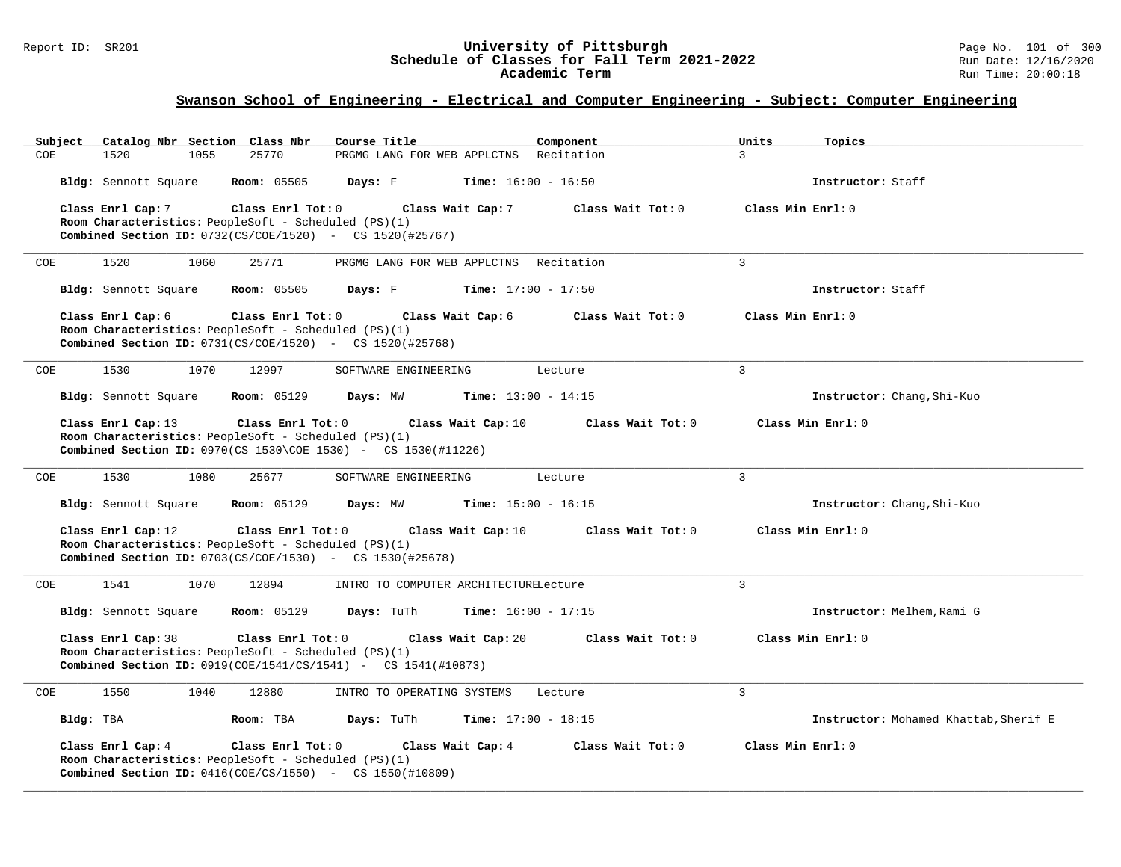#### Report ID: SR201 **University of Pittsburgh** Page No. 101 of 300 **Schedule of Classes for Fall Term 2021-2022** Run Date: 12/16/2020 **Academic Term** Run Time: 20:00:18

| Subject              |      | Catalog Nbr Section Class Nbr                        | Course Title                                                                  |                    | Component                    | Units         | Topics                                |
|----------------------|------|------------------------------------------------------|-------------------------------------------------------------------------------|--------------------|------------------------------|---------------|---------------------------------------|
| <b>COE</b><br>1520   | 1055 | 25770                                                | PRGMG LANG FOR WEB APPLCTNS                                                   |                    | Recitation                   | $\mathcal{L}$ |                                       |
| Bldg: Sennott Square |      | <b>Room:</b> 05505                                   | Days: F                                                                       |                    | <b>Time:</b> $16:00 - 16:50$ |               | Instructor: Staff                     |
| Class Enrl Cap: 7    |      | Class Enrl Tot: 0                                    |                                                                               | Class Wait Cap: 7  | Class Wait Tot: 0            |               | Class Min Enrl: 0                     |
|                      |      | Room Characteristics: PeopleSoft - Scheduled (PS)(1) |                                                                               |                    |                              |               |                                       |
|                      |      |                                                      | <b>Combined Section ID:</b> $0732(CS/COE/1520)$ - CS $1520(#25767)$           |                    |                              |               |                                       |
| 1520<br>COE          | 1060 | 25771                                                | PRGMG LANG FOR WEB APPLCTNS Recitation                                        |                    |                              | 3             |                                       |
| Bldg: Sennott Square |      | <b>Room: 05505</b>                                   | Days: F                                                                       |                    | <b>Time:</b> $17:00 - 17:50$ |               | Instructor: Staff                     |
| Class Enrl Cap: 6    |      | Class Enrl Tot: 0                                    |                                                                               | Class Wait Cap: 6  | Class Wait Tot: 0            |               | Class Min Enrl: 0                     |
|                      |      | Room Characteristics: PeopleSoft - Scheduled (PS)(1) |                                                                               |                    |                              |               |                                       |
|                      |      |                                                      | <b>Combined Section ID:</b> $0731(CS/COE/1520)$ - CS $1520(#25768)$           |                    |                              |               |                                       |
| 1530<br><b>COE</b>   | 1070 | 12997                                                | SOFTWARE ENGINEERING                                                          |                    | Lecture                      | 3             |                                       |
| Bldg: Sennott Square |      | <b>Room: 05129</b>                                   | Days: MW                                                                      |                    | <b>Time:</b> $13:00 - 14:15$ |               | Instructor: Chang, Shi-Kuo            |
| Class Enrl Cap: 13   |      | Class Enrl Tot: 0                                    |                                                                               | Class Wait Cap: 10 | Class Wait Tot: 0            |               | Class Min Enrl: 0                     |
|                      |      | Room Characteristics: PeopleSoft - Scheduled (PS)(1) |                                                                               |                    |                              |               |                                       |
|                      |      |                                                      | <b>Combined Section ID:</b> $0970$ (CS $1530$ \COE 1530) - CS $1530$ (#11226) |                    |                              |               |                                       |
| 1530<br>COE          | 1080 | 25677                                                | SOFTWARE ENGINEERING                                                          |                    | Lecture                      | 3             |                                       |
| Bldg: Sennott Square |      | <b>Room: 05129</b>                                   | Days: MW                                                                      |                    | <b>Time:</b> $15:00 - 16:15$ |               | Instructor: Chang, Shi-Kuo            |
| Class Enrl Cap: 12   |      | Class Enrl Tot: 0                                    |                                                                               | Class Wait Cap: 10 | Class Wait Tot: 0            |               | Class Min Enrl: 0                     |
|                      |      | Room Characteristics: PeopleSoft - Scheduled (PS)(1) |                                                                               |                    |                              |               |                                       |
|                      |      |                                                      | <b>Combined Section ID:</b> $0703(CS/COE/1530)$ - CS $1530(#25678)$           |                    |                              |               |                                       |
| 1541<br>COE          | 1070 | 12894                                                | INTRO TO COMPUTER ARCHITECTURELecture                                         |                    |                              | 3             |                                       |
| Bldg: Sennott Square |      | <b>Room: 05129</b>                                   | Days: TuTh                                                                    |                    | <b>Time:</b> $16:00 - 17:15$ |               | Instructor: Melhem, Rami G            |
| Class Enrl Cap: 38   |      | Class Enrl Tot: 0                                    |                                                                               | Class Wait Cap: 20 | Class Wait Tot: 0            |               | Class Min Enrl: 0                     |
|                      |      | Room Characteristics: PeopleSoft - Scheduled (PS)(1) |                                                                               |                    |                              |               |                                       |
|                      |      |                                                      | <b>Combined Section ID:</b> 0919(COE/1541/CS/1541) - CS 1541(#10873)          |                    |                              |               |                                       |
| 1550<br>COE          | 1040 | 12880                                                | INTRO TO OPERATING SYSTEMS                                                    |                    | Lecture                      | 3             |                                       |
| Bldg: TBA            |      | Room: TBA                                            | Days: TuTh                                                                    |                    | <b>Time:</b> $17:00 - 18:15$ |               | Instructor: Mohamed Khattab, Sherif E |
| Class Enrl Cap: 4    |      | Class Enrl Tot: 0                                    |                                                                               | Class Wait Cap: 4  | Class Wait Tot: 0            |               | Class Min Enrl: 0                     |
|                      |      | Room Characteristics: PeopleSoft - Scheduled (PS)(1) |                                                                               |                    |                              |               |                                       |
|                      |      |                                                      | <b>Combined Section ID:</b> $0416 (COE/CS/1550)$ - CS $1550 (#10809)$         |                    |                              |               |                                       |
|                      |      |                                                      |                                                                               |                    |                              |               |                                       |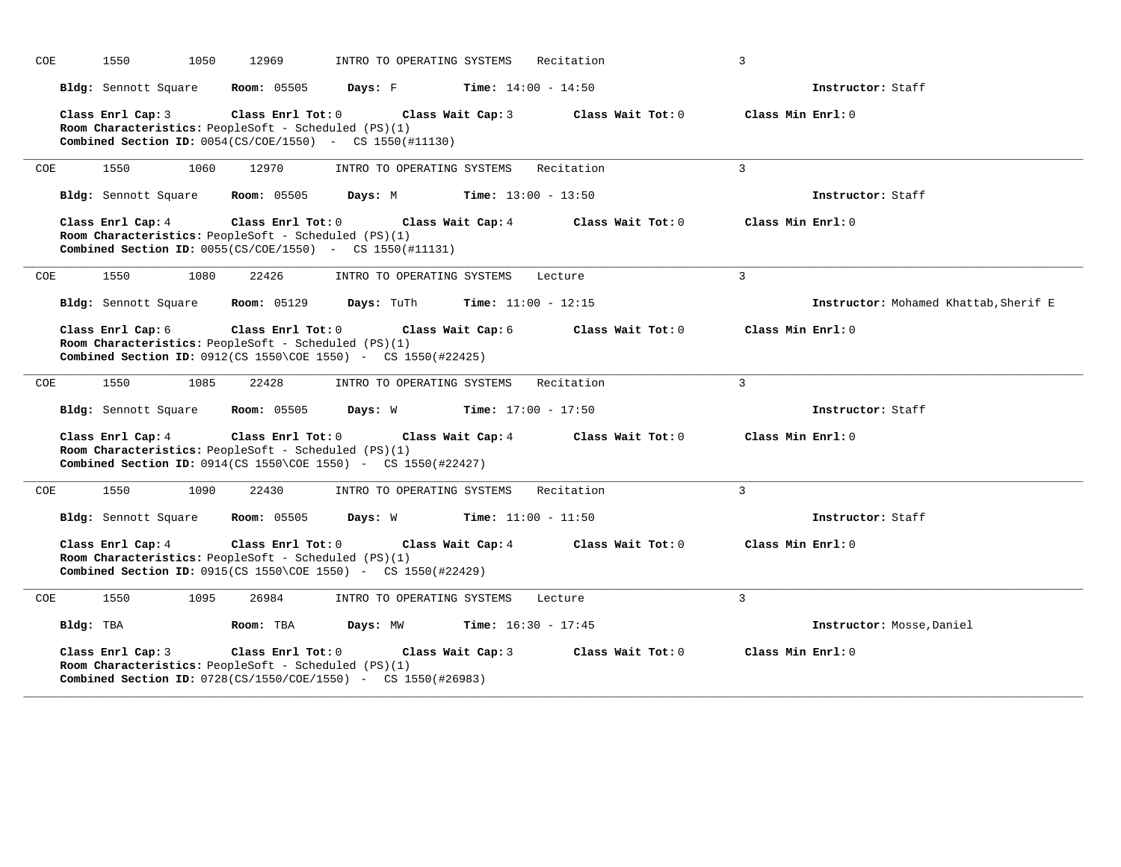| COE        |           | 1550                 | 1050 | 12969                                                                           | INTRO TO OPERATING SYSTEMS                                                                                                    |                   | Recitation                   | 3                 |                                       |
|------------|-----------|----------------------|------|---------------------------------------------------------------------------------|-------------------------------------------------------------------------------------------------------------------------------|-------------------|------------------------------|-------------------|---------------------------------------|
|            |           | Bldg: Sennott Square |      | <b>Room:</b> 05505                                                              | Days: F                                                                                                                       |                   | <b>Time:</b> $14:00 - 14:50$ |                   | Instructor: Staff                     |
|            |           |                      |      | Room Characteristics: PeopleSoft - Scheduled (PS)(1)                            | Class Enrl Cap: 3 Class Enrl Tot: 0 Class Wait Cap: 3<br><b>Combined Section ID:</b> $0054(CS/COE/1550)$ - CS $1550(\#11130)$ |                   | Class Wait Tot: 0            | Class Min Enrl: 0 |                                       |
| COE        |           | 1550                 | 1060 | 12970                                                                           | INTRO TO OPERATING SYSTEMS Recitation                                                                                         |                   |                              | $\overline{3}$    |                                       |
|            |           | Bldg: Sennott Square |      | <b>Room:</b> 05505                                                              | Days: M                                                                                                                       |                   | <b>Time:</b> $13:00 - 13:50$ |                   | Instructor: Staff                     |
|            |           | Class Enrl Cap: 4    |      | Class Enrl Tot: 0<br>Room Characteristics: PeopleSoft - Scheduled (PS)(1)       | Class Wait Cap: 4<br><b>Combined Section ID:</b> $0055(CS/COE/1550)$ - CS 1550(#11131)                                        |                   | Class Wait Tot: 0            | Class Min Enrl: 0 |                                       |
| COE        |           | 1550                 | 1080 | 22426                                                                           | INTRO TO OPERATING SYSTEMS                                                                                                    |                   | Lecture                      | $\mathbf{3}$      |                                       |
|            |           | Bldg: Sennott Square |      | <b>Room:</b> 05129                                                              | <b>Days:</b> TuTh                                                                                                             |                   | <b>Time:</b> $11:00 - 12:15$ |                   | Instructor: Mohamed Khattab, Sherif E |
|            |           | Class Enrl Cap: 6    |      | $Class$ $Enr1$ $Tot: 0$<br>Room Characteristics: PeopleSoft - Scheduled (PS)(1) | <b>Combined Section ID:</b> $0912$ (CS 1550\COE 1550) - CS 1550(#22425)                                                       | Class Wait Cap: 6 | Class Wait Tot: 0            | Class Min Enrl: 0 |                                       |
| COE        |           | 1550                 | 1085 | 22428                                                                           | INTRO TO OPERATING SYSTEMS                                                                                                    |                   | Recitation                   | $\overline{3}$    |                                       |
|            |           |                      |      |                                                                                 | <b>Bldg:</b> Sennott Square <b>Room:</b> 05505 <b>Days:</b> W <b>Time:</b> $17:00 - 17:50$                                    |                   |                              |                   | Instructor: Staff                     |
|            |           | Class Enrl Cap: 4    |      | Room Characteristics: PeopleSoft - Scheduled (PS)(1)                            | Class Enrl Tot: 0 Class Wait Cap: 4<br><b>Combined Section ID:</b> $0914$ (CS 1550\COE 1550) - CS 1550 (#22427)               |                   | Class Wait Tot: 0            | Class Min Enrl: 0 |                                       |
| <b>COE</b> |           | 1550                 | 1090 | 22430                                                                           | INTRO TO OPERATING SYSTEMS                                                                                                    |                   | Recitation                   | $\mathcal{E}$     |                                       |
|            |           | Bldg: Sennott Square |      | <b>Room: 05505</b>                                                              | <b>Days:</b> W <b>Time:</b> $11:00 - 11:50$                                                                                   |                   |                              |                   | Instructor: Staff                     |
|            |           | Class Enrl Cap: 4    |      | Class Enrl Tot: 0<br>Room Characteristics: PeopleSoft - Scheduled (PS)(1)       | <b>Combined Section ID:</b> $0915(CS 1550\COE 1550)$ - CS $1550(#22429)$                                                      | Class Wait Cap: 4 | Class Wait Tot: 0            | Class Min Enrl: 0 |                                       |
| COE        |           | 1550                 | 1095 | 26984                                                                           | INTRO TO OPERATING SYSTEMS Lecture                                                                                            |                   |                              | $\mathbf{3}$      |                                       |
|            | Bldg: TBA |                      |      | Room: TBA                                                                       | Days: MW                                                                                                                      |                   | <b>Time:</b> $16:30 - 17:45$ |                   | Instructor: Mosse, Daniel             |
|            |           | Class Enrl Cap: 3    |      | Class Enrl Tot: 0<br>Room Characteristics: PeopleSoft - Scheduled (PS)(1)       | <b>Combined Section ID:</b> $0728(CS/1550/C0E/1550)$ - CS $1550(#26983)$                                                      | Class Wait Cap: 3 | Class Wait Tot: 0            | Class Min Enrl: 0 |                                       |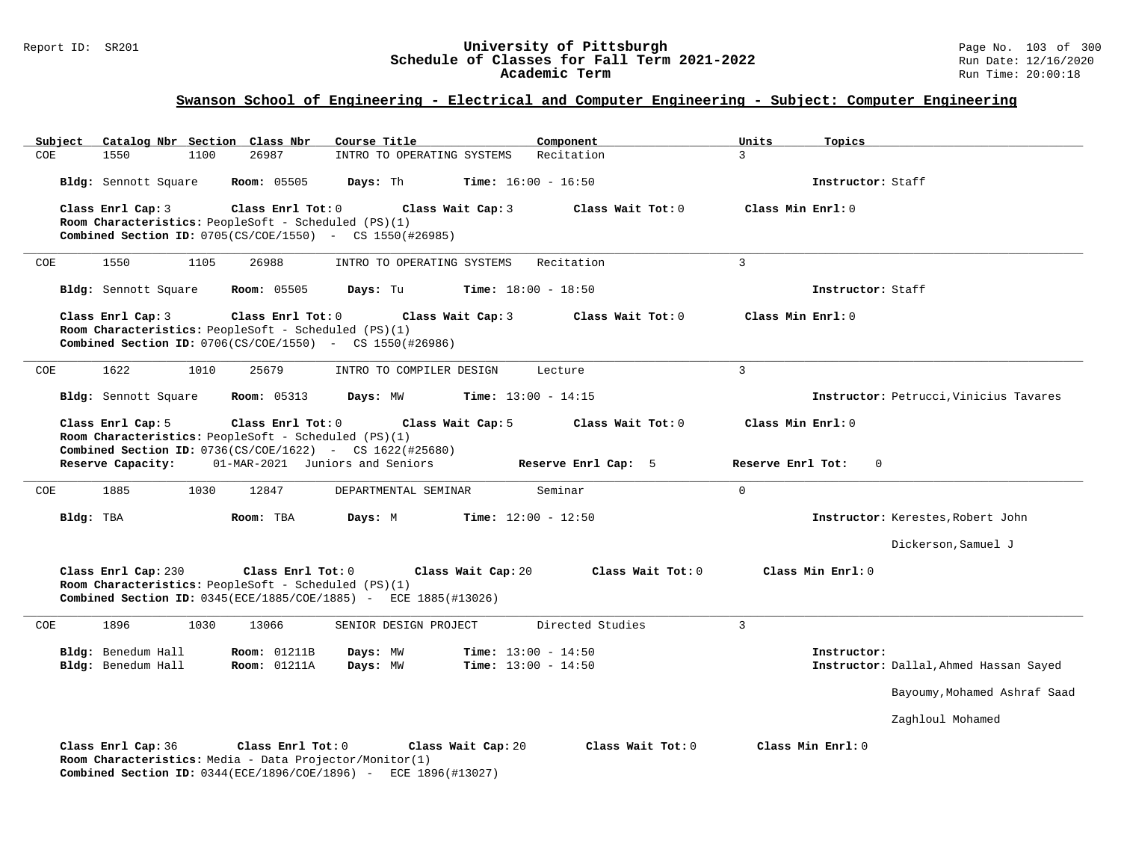### Report ID: SR201 **1988 Chedule of Classes for Fall Term 2021-2022** Page No. 103 of 300 Page No. 103 of 300 Page No<br>**Schedule of Classes for Fall Term 2021-2022** Run Date: 12/16/2020 **Schedule of Classes for Fall Term 2021-2022** Run Date: 12/16/2020 **Academic Term** Run Time: 20:00:18

| Subiect | Catalog Nbr Section Class Nbr                                                                                                                    |                     | Course Title                    |                              | Component                    | Units             | Topics                                 |
|---------|--------------------------------------------------------------------------------------------------------------------------------------------------|---------------------|---------------------------------|------------------------------|------------------------------|-------------------|----------------------------------------|
| COE     | 1550<br>1100                                                                                                                                     | 26987               | INTRO TO OPERATING SYSTEMS      |                              | Recitation                   | $\mathcal{L}$     |                                        |
|         | Bldg: Sennott Square                                                                                                                             | <b>Room:</b> 05505  | Days: Th                        |                              | <b>Time:</b> $16:00 - 16:50$ |                   | Instructor: Staff                      |
|         | Class Enrl Cap: 3<br>Room Characteristics: PeopleSoft - Scheduled (PS)(1)<br><b>Combined Section ID:</b> $0705(CS/COE/1550)$ - CS $1550(#26985)$ | Class Enrl Tot: $0$ |                                 | Class Wait Cap: 3            | Class Wait Tot: 0            | Class Min Enrl: 0 |                                        |
| COE     | 1550<br>1105                                                                                                                                     | 26988               | INTRO TO OPERATING SYSTEMS      |                              | Recitation                   | $\overline{3}$    |                                        |
|         | Bldg: Sennott Square                                                                                                                             | <b>Room:</b> 05505  | Days: Tu                        |                              | <b>Time:</b> $18:00 - 18:50$ |                   | Instructor: Staff                      |
|         | Class Enrl Cap: 3<br>Room Characteristics: PeopleSoft - Scheduled (PS)(1)<br><b>Combined Section ID:</b> 0706(CS/COE/1550) - CS 1550(#26986)     | Class Enrl Tot: 0   |                                 | Class Wait Cap: 3            | Class Wait Tot: 0            | Class Min Enrl: 0 |                                        |
| COE     | 1622<br>1010                                                                                                                                     | 25679               | INTRO TO COMPILER DESIGN        |                              | Lecture                      | $\overline{3}$    |                                        |
|         | Bldg: Sennott Square                                                                                                                             | <b>Room: 05313</b>  | Days: MW                        |                              | <b>Time:</b> $13:00 - 14:15$ |                   | Instructor: Petrucci, Vinicius Tavares |
|         | Class Enrl Cap: 5                                                                                                                                | Class Enrl Tot: 0   |                                 | Class Wait Cap: 5            | Class Wait Tot: 0            | Class Min Enrl: 0 |                                        |
|         | Room Characteristics: PeopleSoft - Scheduled (PS)(1)<br><b>Combined Section ID:</b> $0736(CS/COE/1622)$ - CS $1622(#25680)$                      |                     |                                 |                              |                              |                   |                                        |
|         | Reserve Capacity:                                                                                                                                |                     | 01-MAR-2021 Juniors and Seniors |                              | Reserve Enrl Cap: 5          | Reserve Enrl Tot: | $\mathbf{0}$                           |
| COE     | 1885<br>1030                                                                                                                                     | 12847               | DEPARTMENTAL SEMINAR            |                              | Seminar                      | $\mathbf 0$       |                                        |
|         | Bldg: TBA                                                                                                                                        | Room: TBA           | Days: M                         |                              | <b>Time:</b> $12:00 - 12:50$ |                   | Instructor: Kerestes, Robert John      |
|         |                                                                                                                                                  |                     |                                 |                              |                              |                   | Dickerson, Samuel J                    |
|         | Class Enrl Cap: 230<br>Room Characteristics: PeopleSoft - Scheduled (PS)(1)<br>Combined Section ID: 0345(ECE/1885/COE/1885) - ECE 1885(#13026)   | Class Enrl Tot: 0   |                                 | Class Wait Cap: 20           | Class Wait Tot: 0            |                   | Class Min Enrl: 0                      |
| COE     | 1896<br>1030                                                                                                                                     | 13066               | SENIOR DESIGN PROJECT           |                              | Directed Studies             | 3                 |                                        |
|         | Bldg: Benedum Hall                                                                                                                               | <b>Room: 01211B</b> | Days: MW                        |                              | <b>Time:</b> $13:00 - 14:50$ |                   | Instructor:                            |
|         | Bldg: Benedum Hall                                                                                                                               | <b>Room:</b> 01211A | Days: MW                        | <b>Time:</b> $13:00 - 14:50$ |                              |                   | Instructor: Dallal, Ahmed Hassan Sayed |
|         |                                                                                                                                                  |                     |                                 |                              |                              |                   | Bayoumy, Mohamed Ashraf Saad           |
|         |                                                                                                                                                  |                     |                                 |                              |                              |                   | Zaghloul Mohamed                       |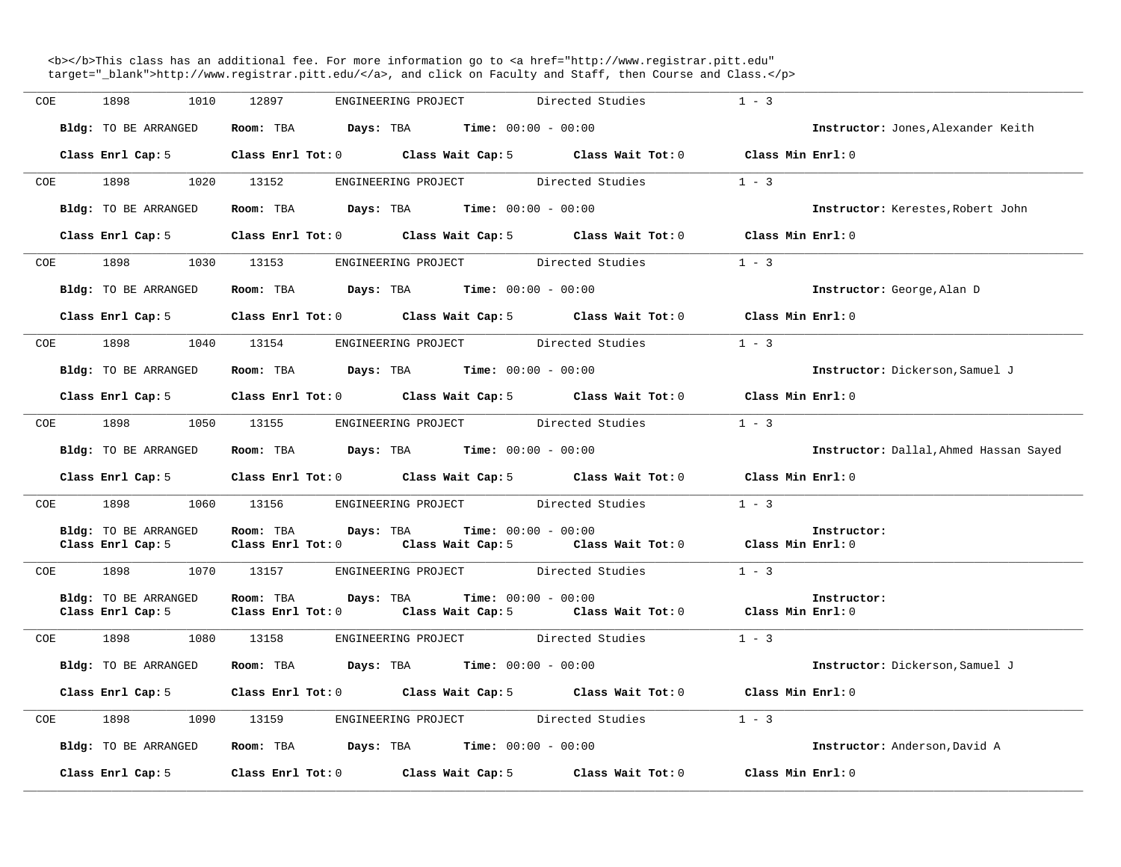<b></b>This class has an additional fee. For more information go to <a href="http://www.registrar.pitt.edu" target="\_blank">http://www.registrar.pitt.edu/</a>, and click on Faculty and Staff, then Course and Class.</p>

| COE | 1898<br>1010                                     | 12897<br>ENGINEERING PROJECT Directed Studies                                                                          | $1 - 3$                                |
|-----|--------------------------------------------------|------------------------------------------------------------------------------------------------------------------------|----------------------------------------|
|     | Bldg: TO BE ARRANGED                             | Room: TBA $Days:$ TBA $Time: 00:00 - 00:00$                                                                            | Instructor: Jones, Alexander Keith     |
|     | Class Enrl Cap: 5                                | Class Enrl Tot: 0 Class Wait Cap: 5 Class Wait Tot: 0 Class Min Enrl: 0                                                |                                        |
| COE |                                                  | 1020 13152<br>ENGINEERING PROJECT Directed Studies                                                                     | $1 - 3$                                |
|     | Bldg: TO BE ARRANGED                             | Room: TBA $Days:$ TBA $Time: 00:00 - 00:00$                                                                            | Instructor: Kerestes, Robert John      |
|     |                                                  | Class Enrl Cap: 5 Class Enrl Tot: 0 Class Wait Cap: 5 Class Wait Tot: 0                                                | Class Min Enrl: 0                      |
|     | COE 1898                                         | ENGINEERING PROJECT Directed Studies<br>1030 13153                                                                     | $1 - 3$                                |
|     | Bldg: TO BE ARRANGED                             | Room: TBA $Days:$ TBA $Time: 00:00 - 00:00$                                                                            | Instructor: George, Alan D             |
|     |                                                  | Class Enrl Cap: 5 Class Enrl Tot: 0 Class Wait Cap: 5 Class Wait Tot: 0 Class Min Enrl: 0                              |                                        |
|     |                                                  | COE 1898 1040 13154 ENGINEERING PROJECT Directed Studies 1 - 3                                                         |                                        |
|     |                                                  | Bldg: TO BE ARRANGED Room: TBA Days: TBA Time: 00:00 - 00:00                                                           | Instructor: Dickerson, Samuel J        |
|     |                                                  | Class Enrl Cap: 5 Class Enrl Tot: 0 Class Wait Cap: 5 Class Wait Tot: 0 Class Min Enrl: 0                              |                                        |
|     |                                                  | COE 1898 1050 13155 ENGINEERING PROJECT Directed Studies                                                               | $1 - 3$                                |
|     | Bldg: TO BE ARRANGED                             | Room: TBA $Days:$ TBA $Time: 00:00 - 00:00$                                                                            | Instructor: Dallal, Ahmed Hassan Sayed |
|     |                                                  | Class Enrl Cap: 5 Class Enrl Tot: 0 Class Wait Cap: 5 Class Wait Tot: 0 Class Min Enrl: 0                              |                                        |
| COE | 1898                                             | 1060 13156 ENGINEERING PROJECT Directed Studies                                                                        | $1 - 3$                                |
|     | <b>Bldg:</b> TO BE ARRANGED<br>Class Enrl Cap: 5 | Room: TBA $Days:$ TBA $Time: 00:00 - 00:00$<br>Class Enrl Tot: 0 Class Wait Cap: 5 Class Wait Tot: 0 Class Min Enrl: 0 | Instructor:                            |
|     |                                                  | COE 1898 1070 13157 ENGINEERING PROJECT Directed Studies                                                               | $1 - 3$                                |
|     | Bldg: TO BE ARRANGED<br>Class Enrl Cap: 5        | <b>Days:</b> TBA <b>Time:</b> $00:00 - 00:00$<br>Room: TBA<br>Class Enrl Tot: 0 Class Wait Cap: 5 Class Wait Tot: 0    | Instructor:<br>Class Min Enrl: 0       |
|     | COE 1898                                         | ENGINEERING PROJECT Directed Studies<br>1080 13158                                                                     | $1 - 3$                                |
|     | Bldg: TO BE ARRANGED                             | Room: TBA $Days:$ TBA Time: $00:00 - 00:00$                                                                            | Instructor: Dickerson, Samuel J        |
|     |                                                  | Class Enrl Cap: 5 Class Enrl Tot: 0 Class Wait Cap: 5 Class Wait Tot: 0 Class Min Enrl: 0                              |                                        |
|     |                                                  | COE 1898 1090 13159 ENGINEERING PROJECT Directed Studies                                                               | $1 - 3$                                |
|     | Bldg: TO BE ARRANGED                             | Room: TBA $Days:$ TBA Time: $00:00 - 00:00$                                                                            | Instructor: Anderson, David A          |
|     | Class Enrl Cap: 5                                | Class Enrl Tot: $0$ Class Wait Cap: $5$ Class Wait Tot: $0$                                                            | Class Min Enrl: 0                      |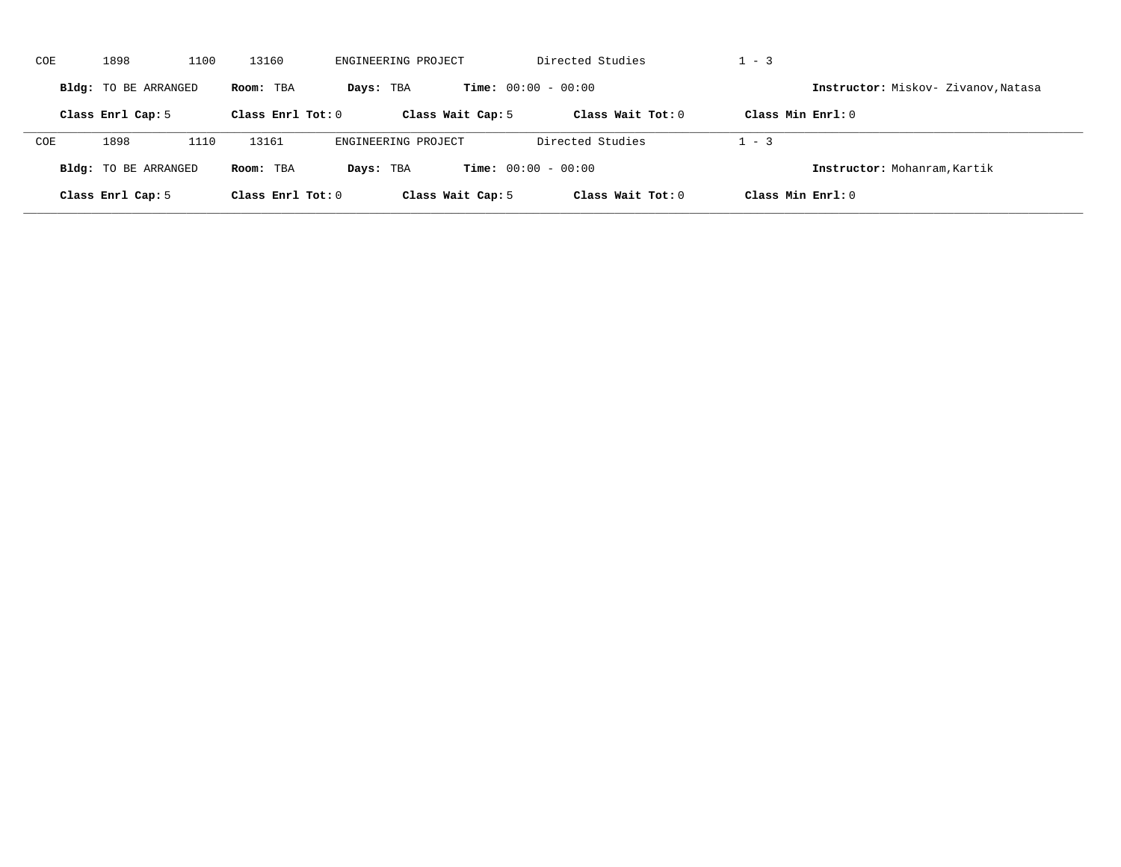| COE | 1898                 | 1100 | 13160               | ENGINEERING PROJECT |                              | Directed Studies    | $-3$                |                                     |
|-----|----------------------|------|---------------------|---------------------|------------------------------|---------------------|---------------------|-------------------------------------|
|     | Bldg: TO BE ARRANGED |      | Room: TBA           | Days: TBA           | <b>Time:</b> $00:00 - 00:00$ |                     |                     | Instructor: Miskov- Zivanov, Natasa |
|     | Class Enrl Cap: 5    |      | Class Enrl Tot: $0$ | Class Wait Cap: 5   |                              | Class Wait $Tot: 0$ | Class Min $Enrl: 0$ |                                     |
| COE | 1898                 | 1110 | 13161               | ENGINEERING PROJECT |                              | Directed Studies    | $-3$                |                                     |
|     | Bldg: TO BE ARRANGED |      | Room: TBA           | Days: TBA           | <b>Time:</b> $00:00 - 00:00$ |                     |                     | Instructor: Mohanram, Kartik        |
|     | Class Enrl Cap: 5    |      | Class Enrl Tot: 0   | Class Wait Cap: 5   |                              | Class Wait $Tot: 0$ | Class Min $Enrl: 0$ |                                     |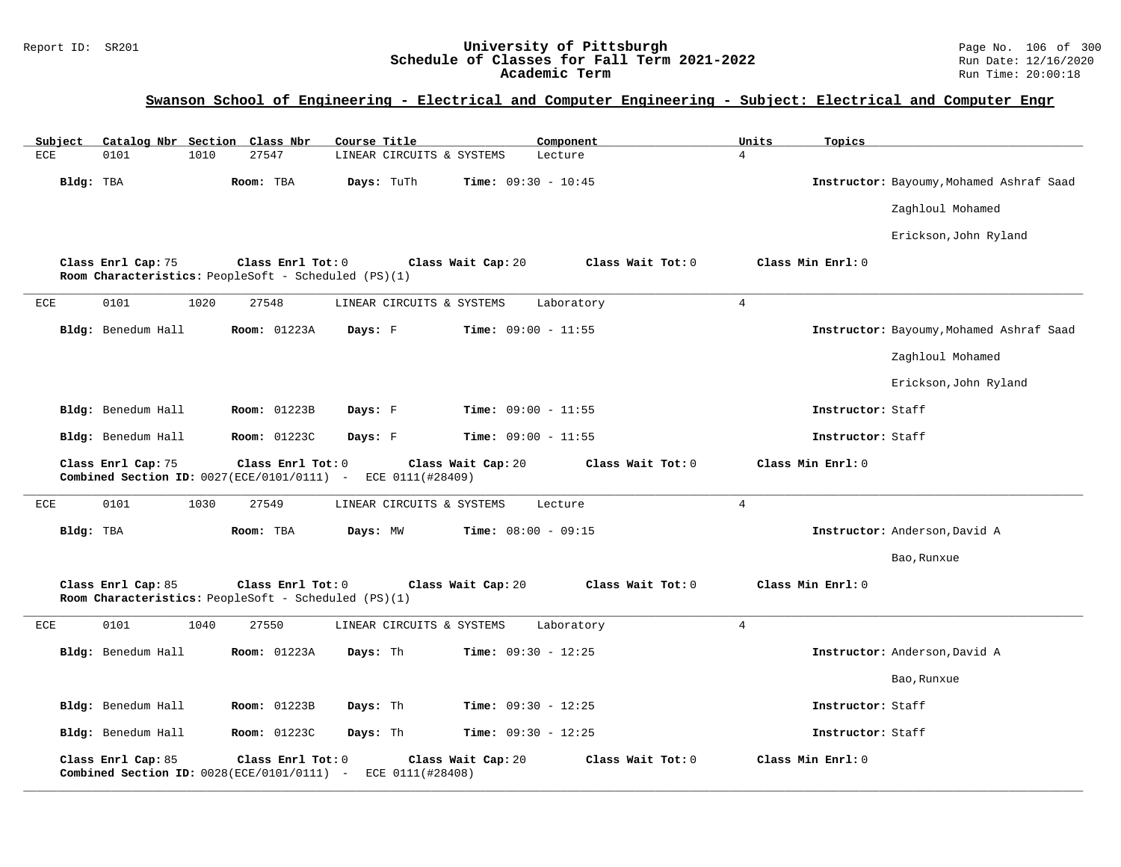### Report ID: SR201 **University of Pittsburgh** Page No. 106 of 300 **Schedule of Classes for Fall Term 2021-2022** Run Date: 12/16/2020 **Academic Term** Run Time: 20:00:18

# **Swanson School of Engineering - Electrical and Computer Engineering - Subject: Electrical and Computer Engr**

| Subject      | Catalog Nbr Section Class Nbr |      |                                                                           | Course Title              |                              | Component         | Units          | Topics            |                                          |
|--------------|-------------------------------|------|---------------------------------------------------------------------------|---------------------------|------------------------------|-------------------|----------------|-------------------|------------------------------------------|
| ECE          | 0101                          | 1010 | 27547                                                                     | LINEAR CIRCUITS & SYSTEMS |                              | Lecture           | $\overline{4}$ |                   |                                          |
| Bldg: TBA    |                               |      | Room: TBA                                                                 | Days: TuTh                | Time: $09:30 - 10:45$        |                   |                |                   | Instructor: Bayoumy, Mohamed Ashraf Saad |
|              |                               |      |                                                                           |                           |                              |                   |                |                   | Zaghloul Mohamed                         |
|              |                               |      |                                                                           |                           |                              |                   |                |                   | Erickson, John Ryland                    |
|              | Class Enrl Cap: 75            |      | Class Enrl Tot: 0<br>Room Characteristics: PeopleSoft - Scheduled (PS)(1) |                           | Class Wait Cap: 20           | Class Wait Tot: 0 |                | Class Min Enrl: 0 |                                          |
| ECE          | 0101                          | 1020 | 27548                                                                     | LINEAR CIRCUITS & SYSTEMS |                              | Laboratory        | $\overline{4}$ |                   |                                          |
|              | Bldg: Benedum Hall            |      | Room: 01223A                                                              | Days: F                   | <b>Time:</b> $09:00 - 11:55$ |                   |                |                   | Instructor: Bayoumy, Mohamed Ashraf Saad |
|              |                               |      |                                                                           |                           |                              |                   |                |                   | Zaghloul Mohamed                         |
|              |                               |      |                                                                           |                           |                              |                   |                |                   | Erickson, John Ryland                    |
|              | Bldg: Benedum Hall            |      | Room: 01223B                                                              | Days: F                   | Time: $09:00 - 11:55$        |                   |                | Instructor: Staff |                                          |
|              | Bldg: Benedum Hall            |      | Room: 01223C                                                              | Days: F                   | Time: $09:00 - 11:55$        |                   |                | Instructor: Staff |                                          |
|              | Class Enrl Cap: 75            |      | Class Enrl Tot: 0<br>Combined Section ID: $0027(ECE/0101/0111)$ -         | ECE 0111(#28409)          | Class Wait Cap: 20           | Class Wait Tot: 0 |                | Class Min Enrl: 0 |                                          |
| ECE          | 0101                          | 1030 | 27549                                                                     | LINEAR CIRCUITS & SYSTEMS |                              | Lecture           | $\overline{4}$ |                   |                                          |
| Bldg: TBA    |                               |      | Room: TBA                                                                 | Days: MW                  | Time: $08:00 - 09:15$        |                   |                |                   | Instructor: Anderson, David A            |
|              |                               |      |                                                                           |                           |                              |                   |                |                   | Bao, Runxue                              |
|              | Class Enrl Cap: 85            |      | Class Enrl Tot: 0<br>Room Characteristics: PeopleSoft - Scheduled (PS)(1) |                           | Class Wait Cap: 20           | Class Wait Tot: 0 |                | Class Min Enrl: 0 |                                          |
| $_{\rm ECE}$ | 0101                          | 1040 | 27550                                                                     | LINEAR CIRCUITS & SYSTEMS |                              | Laboratory        | $\overline{4}$ |                   |                                          |
|              | Bldg: Benedum Hall            |      | <b>Room: 01223A</b>                                                       | Days: Th                  | Time: $09:30 - 12:25$        |                   |                |                   | Instructor: Anderson, David A            |
|              |                               |      |                                                                           |                           |                              |                   |                |                   | Bao, Runxue                              |
|              | Bldg: Benedum Hall            |      | Room: 01223B                                                              | Days: Th                  | Time: $09:30 - 12:25$        |                   |                | Instructor: Staff |                                          |
|              | Bldg: Benedum Hall            |      | Room: 01223C                                                              | Days: Th                  | Time: $09:30 - 12:25$        |                   |                | Instructor: Staff |                                          |
|              | Class Enrl Cap: 85            |      | Class Enrl Tot: 0<br>Combined Section ID: $0028(ECE/0101/0111)$ -         | ECE 0111(#28408)          | Class Wait Cap: 20           | Class Wait Tot: 0 |                | Class Min Enrl: 0 |                                          |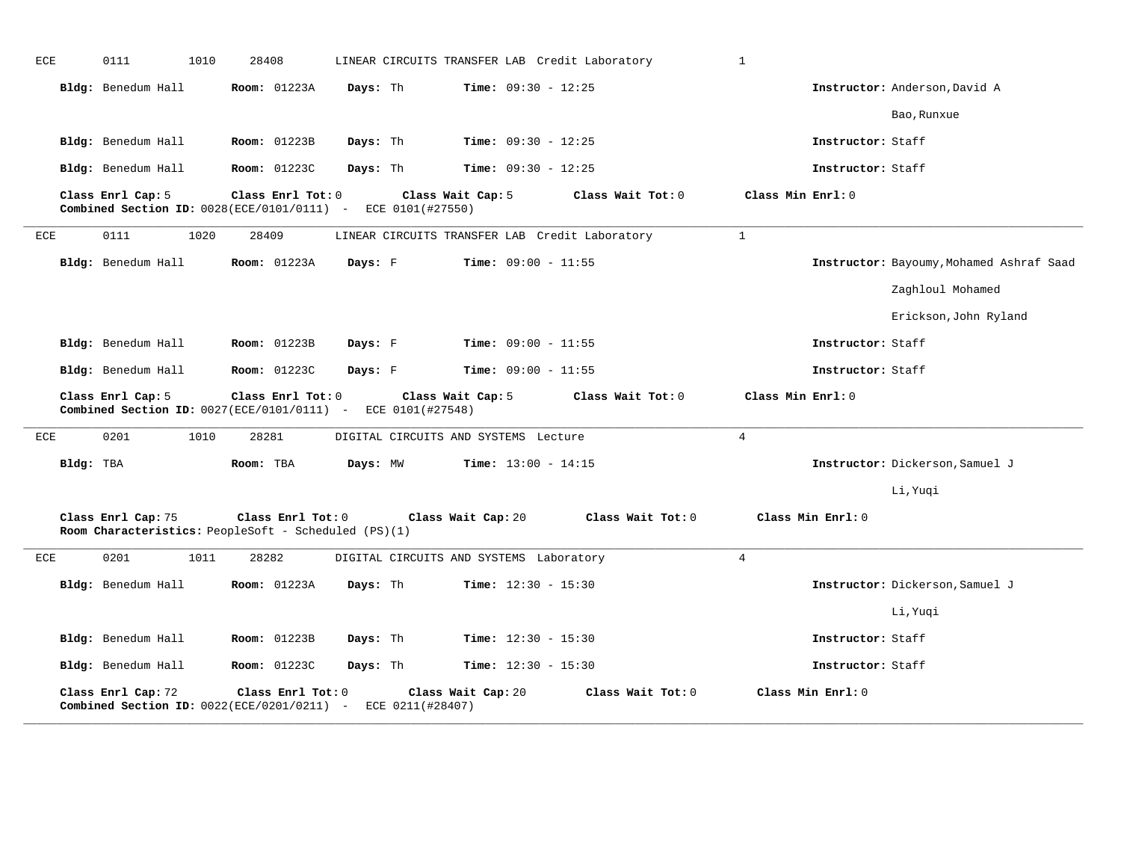| ECE | 0111                                                                                        | 1010 | 28408               |          | LINEAR CIRCUITS TRANSFER LAB Credit Laboratory |                              |                   | $\mathbf{1}$      |                   |                                          |
|-----|---------------------------------------------------------------------------------------------|------|---------------------|----------|------------------------------------------------|------------------------------|-------------------|-------------------|-------------------|------------------------------------------|
|     | Bldg: Benedum Hall                                                                          |      | <b>Room:</b> 01223A | Days: Th |                                                | <b>Time:</b> $09:30 - 12:25$ |                   |                   |                   | Instructor: Anderson, David A            |
|     |                                                                                             |      |                     |          |                                                |                              |                   |                   |                   | Bao, Runxue                              |
|     | Bldg: Benedum Hall                                                                          |      | <b>Room: 01223B</b> | Days: Th |                                                | Time: $09:30 - 12:25$        |                   |                   | Instructor: Staff |                                          |
|     | Bldg: Benedum Hall                                                                          |      | Room: 01223C        | Days: Th |                                                | <b>Time:</b> $09:30 - 12:25$ |                   |                   | Instructor: Staff |                                          |
|     | Class Enrl Cap: 5<br><b>Combined Section ID:</b> 0028(ECE/0101/0111) - ECE 0101(#27550)     |      | Class Enrl Tot: 0   |          | Class Wait Cap: 5                              |                              | Class Wait Tot: 0 | Class Min Enrl: 0 |                   |                                          |
| ECE | 0111                                                                                        | 1020 | 28409               |          | LINEAR CIRCUITS TRANSFER LAB Credit Laboratory |                              |                   | $\mathbf{1}$      |                   |                                          |
|     | Bldg: Benedum Hall                                                                          |      | <b>Room: 01223A</b> | Days: F  |                                                | <b>Time:</b> $09:00 - 11:55$ |                   |                   |                   | Instructor: Bayoumy, Mohamed Ashraf Saad |
|     |                                                                                             |      |                     |          |                                                |                              |                   |                   |                   | Zaghloul Mohamed                         |
|     |                                                                                             |      |                     |          |                                                |                              |                   |                   |                   | Erickson, John Ryland                    |
|     | Bldg: Benedum Hall                                                                          |      | <b>Room:</b> 01223B | Days: F  |                                                | <b>Time:</b> $09:00 - 11:55$ |                   |                   | Instructor: Staff |                                          |
|     | Bldg: Benedum Hall                                                                          |      | Room: 01223C        | Days: F  |                                                | <b>Time:</b> $09:00 - 11:55$ |                   |                   | Instructor: Staff |                                          |
|     | Class Enrl Cap: 5<br><b>Combined Section ID:</b> $0027$ (ECE/0101/0111) - ECE 0101 (#27548) |      | Class Enrl Tot: 0   |          | Class Wait Cap: 5                              |                              | Class Wait Tot: 0 | Class Min Enrl: 0 |                   |                                          |
| ECE | 0201                                                                                        | 1010 | 28281               |          | DIGITAL CIRCUITS AND SYSTEMS Lecture           |                              |                   | $\overline{4}$    |                   |                                          |
|     | Bldg: TBA                                                                                   |      | Room: TBA           | Days: MW |                                                | <b>Time:</b> $13:00 - 14:15$ |                   |                   |                   | Instructor: Dickerson, Samuel J          |
|     |                                                                                             |      |                     |          |                                                |                              |                   |                   |                   | Li, Yuqi                                 |
|     | Class Enrl Cap: 75<br>Room Characteristics: PeopleSoft - Scheduled (PS)(1)                  |      | Class Enrl Tot: 0   |          | Class Wait Cap: 20                             |                              | Class Wait Tot: 0 |                   | Class Min Enrl: 0 |                                          |
| ECE | 0201                                                                                        | 1011 | 28282               |          | DIGITAL CIRCUITS AND SYSTEMS Laboratory        |                              |                   | 4                 |                   |                                          |
|     | Bldg: Benedum Hall                                                                          |      | <b>Room:</b> 01223A | Days: Th |                                                | <b>Time:</b> $12:30 - 15:30$ |                   |                   |                   | Instructor: Dickerson, Samuel J          |
|     |                                                                                             |      |                     |          |                                                |                              |                   |                   |                   | Li, Yuqi                                 |
|     | Bldg: Benedum Hall                                                                          |      | <b>Room: 01223B</b> | Days: Th |                                                | <b>Time:</b> $12:30 - 15:30$ |                   |                   | Instructor: Staff |                                          |
|     | Bldg: Benedum Hall                                                                          |      | <b>Room:</b> 01223C | Days: Th |                                                | <b>Time:</b> $12:30 - 15:30$ |                   |                   | Instructor: Staff |                                          |
|     | Class Enrl Cap: 72<br>Combined Section ID: $0022$ (ECE/0201/0211) -                         |      | Class Enrl Tot: 0   |          | Class Wait Cap: 20<br>ECE 0211(#28407)         |                              | Class Wait Tot: 0 |                   | Class Min Enrl: 0 |                                          |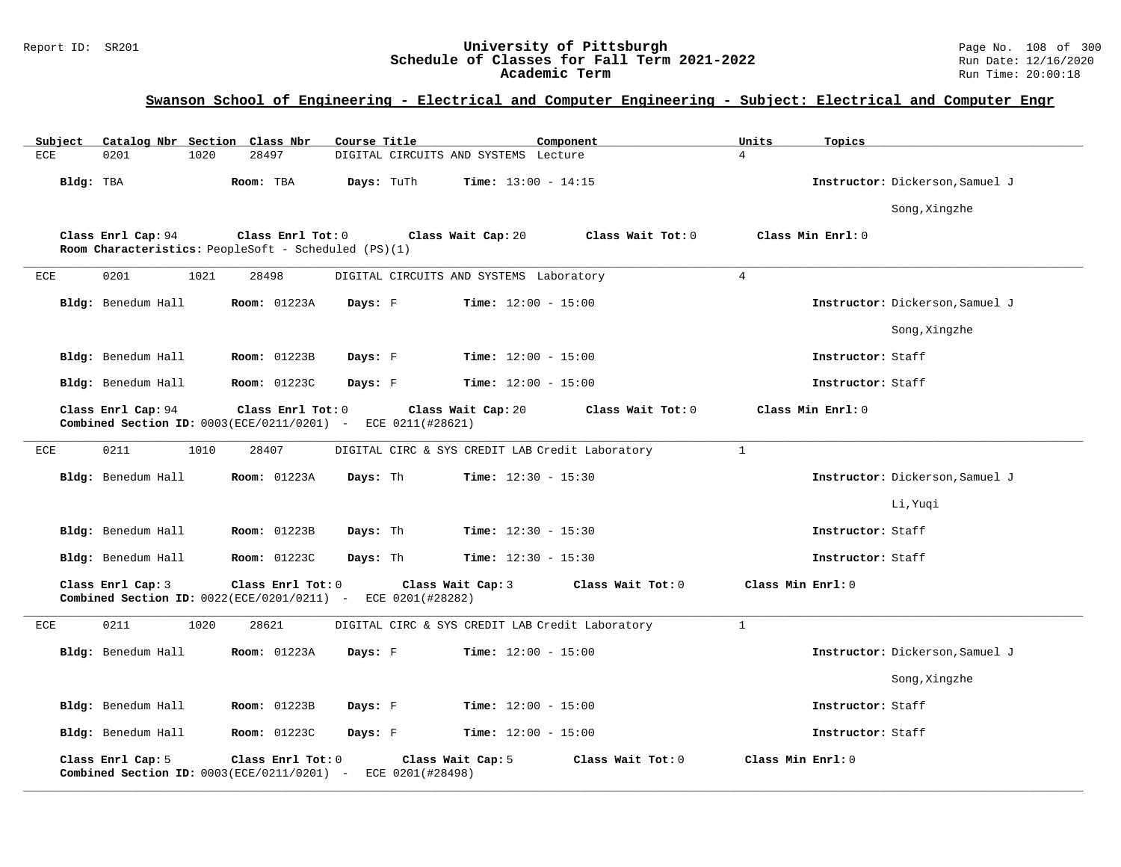### Report ID: SR201 **University of Pittsburgh** Page No. 108 of 300 **Schedule of Classes for Fall Term 2021-2022** Run Date: 12/16/2020 **Academic Term** Run Time: 20:00:18

# **Swanson School of Engineering - Electrical and Computer Engineering - Subject: Electrical and Computer Engr**

| Subject    |                    | Catalog Nbr Section Class Nbr                                                               | Course Title     | Component                                       | Units             | Topics                          |
|------------|--------------------|---------------------------------------------------------------------------------------------|------------------|-------------------------------------------------|-------------------|---------------------------------|
| ECE        | 0201<br>1020       | 28497                                                                                       |                  | DIGITAL CIRCUITS AND SYSTEMS Lecture            | 4                 |                                 |
| Bldg: TBA  |                    | Room: TBA                                                                                   | Days: TuTh       | <b>Time:</b> $13:00 - 14:15$                    |                   | Instructor: Dickerson, Samuel J |
|            |                    |                                                                                             |                  |                                                 |                   | Song, Xingzhe                   |
|            | Class Enrl Cap: 94 | Class Enrl Tot: 0<br>Room Characteristics: PeopleSoft - Scheduled (PS)(1)                   |                  | Class Wait Cap: 20                              | Class Wait Tot: 0 | Class Min Enrl: 0               |
| ECE        | 0201<br>1021       | 28498                                                                                       |                  | DIGITAL CIRCUITS AND SYSTEMS Laboratory         | $\overline{4}$    |                                 |
|            | Bldg: Benedum Hall | <b>Room: 01223A</b>                                                                         | Days: F          | <b>Time:</b> $12:00 - 15:00$                    |                   | Instructor: Dickerson, Samuel J |
|            |                    |                                                                                             |                  |                                                 |                   | Song, Xingzhe                   |
|            | Bldg: Benedum Hall | <b>Room: 01223B</b>                                                                         | Days: F          | <b>Time:</b> $12:00 - 15:00$                    |                   | Instructor: Staff               |
|            | Bldg: Benedum Hall | Room: 01223C                                                                                | Days: F          | Time: $12:00 - 15:00$                           |                   | Instructor: Staff               |
|            | Class Enrl Cap: 94 | Class Enrl Tot: 0<br>Combined Section ID: 0003(ECE/0211/0201) - ECE 0211(#28621)            |                  | Class Wait Cap: 20                              | Class Wait Tot: 0 | Class Min Enrl: 0               |
| ECE        | 0211<br>1010       | 28407                                                                                       |                  | DIGITAL CIRC & SYS CREDIT LAB Credit Laboratory | $\mathbf{1}$      |                                 |
|            | Bldg: Benedum Hall | <b>Room:</b> 01223A                                                                         | Days: Th         | <b>Time:</b> $12:30 - 15:30$                    |                   | Instructor: Dickerson, Samuel J |
|            |                    |                                                                                             |                  |                                                 |                   | Li, Yuqi                        |
|            | Bldg: Benedum Hall | <b>Room:</b> 01223B                                                                         | Days: Th         | <b>Time:</b> $12:30 - 15:30$                    |                   | Instructor: Staff               |
|            | Bldg: Benedum Hall | Room: 01223C                                                                                | Days: Th         | Time: $12:30 - 15:30$                           |                   | Instructor: Staff               |
|            | Class Enrl Cap: 3  | Class Enrl Tot: 0<br><b>Combined Section ID:</b> $0022$ (ECE/0201/0211) - ECE 0201 (#28282) |                  | Class Wait Cap: 3                               | Class Wait Tot: 0 | Class Min Enrl: 0               |
| <b>ECE</b> | 0211<br>1020       | 28621                                                                                       |                  | DIGITAL CIRC & SYS CREDIT LAB Credit Laboratory | $\mathbf{1}$      |                                 |
|            | Bldg: Benedum Hall | <b>Room: 01223A</b>                                                                         | Days: F          | <b>Time:</b> $12:00 - 15:00$                    |                   | Instructor: Dickerson, Samuel J |
|            |                    |                                                                                             |                  |                                                 |                   | Song, Xingzhe                   |
|            | Bldg: Benedum Hall | <b>Room:</b> 01223B                                                                         | Days: F          | <b>Time:</b> $12:00 - 15:00$                    |                   | Instructor: Staff               |
|            | Bldg: Benedum Hall | <b>Room:</b> 01223C                                                                         | Days: F          | <b>Time:</b> $12:00 - 15:00$                    |                   | Instructor: Staff               |
|            | Class Enrl Cap: 5  | Class Enrl Tot: 0<br>Combined Section ID: $0003(ECE/0211/0201)$ -                           | ECE 0201(#28498) | Class Wait Cap: 5                               | Class Wait Tot: 0 | Class Min Enrl: 0               |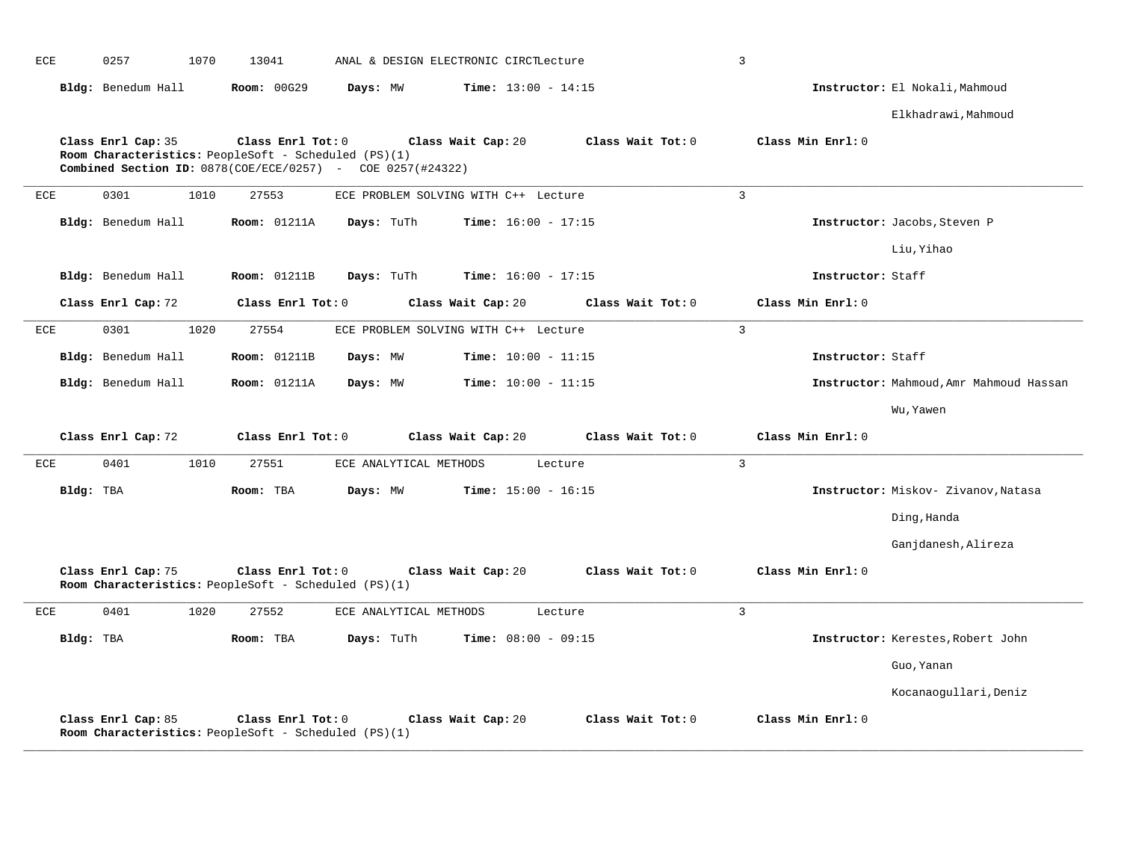| ECE |           | 0257               | 1070 | 13041                                                                                                                                      | ANAL & DESIGN ELECTRONIC CIRCILecture |                    |                              |         |                   | $\overline{3}$ |                   |                                         |
|-----|-----------|--------------------|------|--------------------------------------------------------------------------------------------------------------------------------------------|---------------------------------------|--------------------|------------------------------|---------|-------------------|----------------|-------------------|-----------------------------------------|
|     |           | Bldg: Benedum Hall |      | Room: 00G29                                                                                                                                | Days: MW                              |                    | <b>Time:</b> $13:00 - 14:15$ |         |                   |                |                   | Instructor: El Nokali, Mahmoud          |
|     |           |                    |      |                                                                                                                                            |                                       |                    |                              |         |                   |                |                   | Elkhadrawi, Mahmoud                     |
|     |           | Class Enrl Cap: 35 |      | Class Enrl Tot: 0<br>Room Characteristics: PeopleSoft - Scheduled (PS)(1)<br>Combined Section ID: $0878$ (COE/ECE/0257) - COE 0257(#24322) |                                       | Class Wait Cap: 20 |                              |         | Class Wait Tot: 0 |                | Class Min Enrl: 0 |                                         |
| ECE |           | 0301               | 1010 | 27553                                                                                                                                      | ECE PROBLEM SOLVING WITH C++ Lecture  |                    |                              |         |                   | $\overline{3}$ |                   |                                         |
|     |           | Bldg: Benedum Hall |      | <b>Room: 01211A</b>                                                                                                                        | Days: TuTh                            |                    | <b>Time:</b> $16:00 - 17:15$ |         |                   |                |                   | Instructor: Jacobs, Steven P            |
|     |           |                    |      |                                                                                                                                            |                                       |                    |                              |         |                   |                |                   | Liu, Yihao                              |
|     |           | Bldg: Benedum Hall |      | <b>Room:</b> 01211B                                                                                                                        | Days: TuTh                            |                    | <b>Time:</b> $16:00 - 17:15$ |         |                   |                | Instructor: Staff |                                         |
|     |           | Class Enrl Cap: 72 |      | Class Enrl Tot: 0                                                                                                                          |                                       | Class Wait Cap: 20 |                              |         | Class Wait Tot: 0 |                | Class Min Enrl: 0 |                                         |
| ECE |           | 0301               | 1020 | 27554                                                                                                                                      | ECE PROBLEM SOLVING WITH C++ Lecture  |                    |                              |         |                   | $\overline{3}$ |                   |                                         |
|     |           | Bldg: Benedum Hall |      | <b>Room: 01211B</b>                                                                                                                        | Days: MW                              |                    | Time: $10:00 - 11:15$        |         |                   |                | Instructor: Staff |                                         |
|     |           | Bldg: Benedum Hall |      | <b>Room: 01211A</b>                                                                                                                        | Days: MW                              |                    | <b>Time:</b> $10:00 - 11:15$ |         |                   |                |                   | Instructor: Mahmoud, Amr Mahmoud Hassan |
|     |           |                    |      |                                                                                                                                            |                                       |                    |                              |         |                   |                |                   | Wu, Yawen                               |
|     |           | Class Enrl Cap: 72 |      | Class Enrl Tot: 0                                                                                                                          |                                       | Class Wait Cap: 20 |                              |         | Class Wait Tot: 0 |                | Class Min Enrl: 0 |                                         |
| ECE |           | 0401               | 1010 | 27551                                                                                                                                      | ECE ANALYTICAL METHODS                |                    |                              | Lecture |                   | $\overline{3}$ |                   |                                         |
|     | Bldg: TBA |                    |      | Room: TBA                                                                                                                                  | Days: MW                              |                    | <b>Time:</b> $15:00 - 16:15$ |         |                   |                |                   | Instructor: Miskov- Zivanov, Natasa     |
|     |           |                    |      |                                                                                                                                            |                                       |                    |                              |         |                   |                |                   | Ding, Handa                             |
|     |           |                    |      |                                                                                                                                            |                                       |                    |                              |         |                   |                |                   | Ganjdanesh, Alireza                     |
|     |           | Class Enrl Cap: 75 |      | Class Enrl Tot: 0<br>Room Characteristics: PeopleSoft - Scheduled (PS)(1)                                                                  |                                       | Class Wait Cap: 20 |                              |         | Class Wait Tot: 0 |                | Class Min Enrl: 0 |                                         |
| ECE |           | 0401               | 1020 | 27552                                                                                                                                      | ECE ANALYTICAL METHODS                |                    |                              | Lecture |                   | $\mathbf{3}$   |                   |                                         |
|     | Bldg: TBA |                    |      | Room: TBA                                                                                                                                  | Days: TuTh                            |                    | <b>Time:</b> $08:00 - 09:15$ |         |                   |                |                   | Instructor: Kerestes, Robert John       |
|     |           |                    |      |                                                                                                                                            |                                       |                    |                              |         |                   |                |                   | Guo, Yanan                              |
|     |           |                    |      |                                                                                                                                            |                                       |                    |                              |         |                   |                |                   | Kocanaogullari, Deniz                   |
|     |           | Class Enrl Cap: 85 |      | Class Enrl Tot: 0<br>Room Characteristics: PeopleSoft - Scheduled (PS)(1)                                                                  |                                       | Class Wait Cap: 20 |                              |         | Class Wait Tot: 0 |                | Class Min Enrl: 0 |                                         |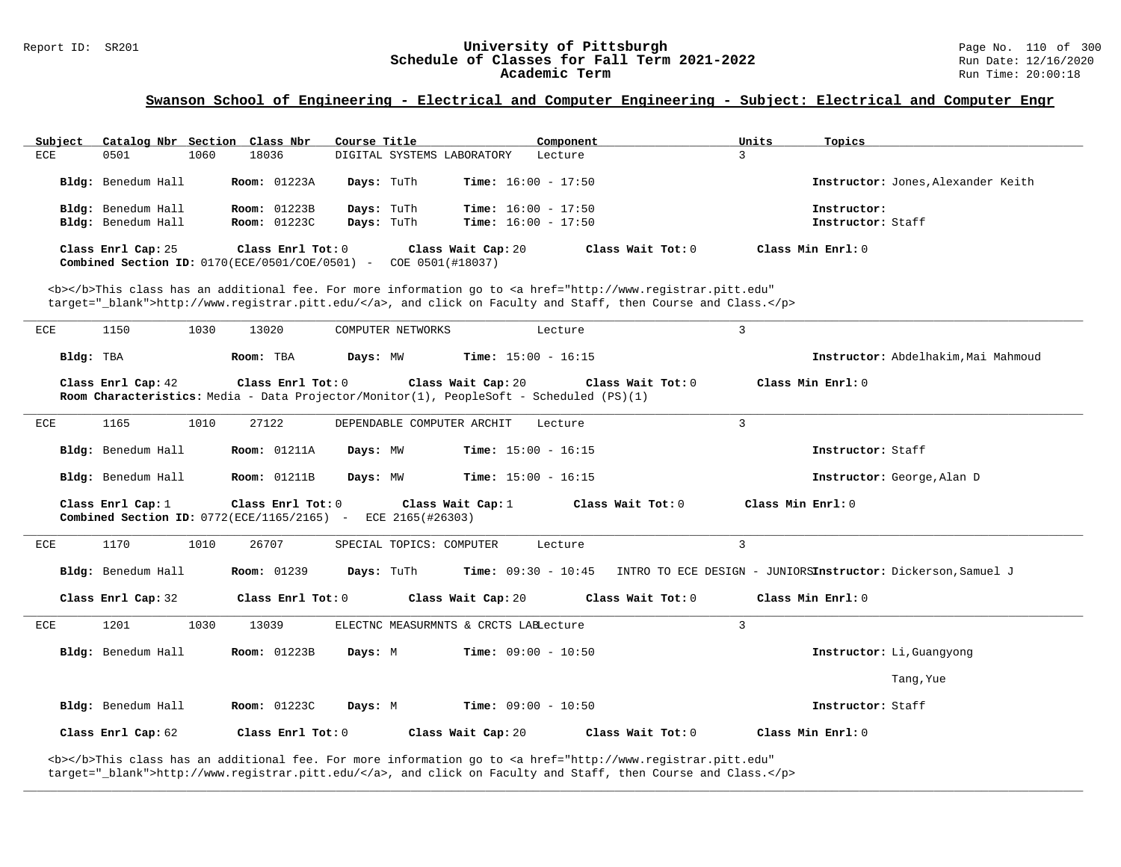# Report ID: SR201 **1988 Constrained Bellings and Schedule of Classes for Fall Term 2021-2022** Page No. 110 of 300<br>**Schedule of Classes for Fall Term 2021-2022** Page 12/16/2020 Schedule of Classes for Fall Term 2021-2022<br>Academic Term

### **Swanson School of Engineering - Electrical and Computer Engineering - Subject: Electrical and Computer Engr**

| Subject | Catalog Nbr Section Class Nbr                                           |      |                     | Course Title |                                        |                              | Component         | Units | Topics                             |
|---------|-------------------------------------------------------------------------|------|---------------------|--------------|----------------------------------------|------------------------------|-------------------|-------|------------------------------------|
| ECE     | 0501                                                                    | 1060 | 18036               |              | DIGITAL SYSTEMS LABORATORY             |                              | Lecture           |       |                                    |
|         | Bldg: Benedum Hall                                                      |      | <b>Room:</b> 01223A | Days: TuTh   |                                        | <b>Time:</b> $16:00 - 17:50$ |                   |       | Instructor: Jones, Alexander Keith |
|         | Bldg: Benedum Hall                                                      |      | <b>Room:</b> 01223B | Days: TuTh   |                                        | <b>Time:</b> $16:00 - 17:50$ |                   |       | Instructor:                        |
|         | Bldg: Benedum Hall                                                      |      | <b>Room:</b> 01223C |              | Days: TuTh                             | <b>Time:</b> $16:00 - 17:50$ |                   |       | Instructor: Staff                  |
|         | Class Enrl Cap: 25<br>Combined Section ID: $0170$ (ECE/0501/COE/0501) - |      | Class Enrl Tot: 0   |              | Class Wait Cap: 20<br>COE 0501(#18037) |                              | Class Wait Tot: 0 |       | Class Min Enrl: 0                  |

<b></b>This class has an additional fee. For more information go to <a href="http://www.registrar.pitt.edu" target="\_blank">http://www.registrar.pitt.edu/</a>, and click on Faculty and Staff, then Course and Class.</p>

| ECE       | 1150               | 1030 | 13020                                        | COMPUTER NETWORKS                                                                       | Lecture                               |                     | $\overline{3}$                                                                                            |
|-----------|--------------------|------|----------------------------------------------|-----------------------------------------------------------------------------------------|---------------------------------------|---------------------|-----------------------------------------------------------------------------------------------------------|
| Bldg: TBA |                    |      | Room: TBA                                    | Days: MW                                                                                | $Time: 15:00 - 16:15$                 |                     | Instructor: Abdelhakim, Mai Mahmoud                                                                       |
|           | Class Enrl Cap: 42 |      | Class Enrl Tot: 0                            | Room Characteristics: Media - Data Projector/Monitor(1), PeopleSoft - Scheduled (PS)(1) | Class Wait Cap: 20                    | Class Wait Tot: $0$ | Class Min Enrl: 0                                                                                         |
| ECE       | 1165               | 1010 | 27122                                        | DEPENDABLE COMPUTER ARCHIT                                                              | Lecture                               |                     | $\overline{3}$                                                                                            |
|           | Bldg: Benedum Hall |      | <b>Room: 01211A</b>                          | Days: MW                                                                                | $Time: 15:00 - 16:15$                 |                     | Instructor: Staff                                                                                         |
|           | Bldg: Benedum Hall |      | <b>Room: 01211B</b>                          | Days: MW                                                                                | $Time: 15:00 - 16:15$                 |                     | Instructor: George, Alan D                                                                                |
|           | Class Enrl Cap: 1  |      | Combined Section ID: $0772(ECE/1165/2165)$ - | Class Enrl Tot: $0$ Class Wait Cap: 1<br>ECE 2165(#26303)                               |                                       | Class Wait Tot: 0   | Class Min Enrl: 0                                                                                         |
| ECE       | 1170               | 1010 | 26707                                        | SPECIAL TOPICS: COMPUTER                                                                | Lecture                               |                     | 3                                                                                                         |
|           | Bldg: Benedum Hall |      | <b>Room: 01239</b>                           |                                                                                         |                                       |                     | <b>Days:</b> TuTh <b>Time:</b> 09:30 - 10:45 INTRO TO ECE DESIGN - JUNIORSInstructor: Dickerson, Samuel J |
|           | Class Enrl Cap: 32 |      |                                              |                                                                                         |                                       |                     | Class Enrl Tot: $0$ Class Wait Cap: $20$ Class Wait Tot: $0$ Class Min Enrl: $0$                          |
| ECE       | 1201               | 1030 | 13039                                        |                                                                                         | ELECTNC MEASURMNTS & CRCTS LABLecture |                     | $\overline{3}$                                                                                            |
|           | Bldg: Benedum Hall |      | <b>Room:</b> 01223B                          | Days: M                                                                                 | $Time: 09:00 - 10:50$                 |                     | Instructor: Li, Guangyong                                                                                 |
|           |                    |      |                                              |                                                                                         |                                       |                     | Tang, Yue                                                                                                 |
|           | Bldg: Benedum Hall |      | Room: 01223C                                 | Days: M                                                                                 | $Time: 09:00 - 10:50$                 |                     | Instructor: Staff                                                                                         |
|           | Class Enrl Cap: 62 |      | Class Enrl Tot: $0$                          |                                                                                         | Class Wait Cap: 20                    | Class Wait Tot: 0   | Class Min Enrl: 0                                                                                         |

**\_\_\_\_\_\_\_\_\_\_\_\_\_\_\_\_\_\_\_\_\_\_\_\_\_\_\_\_\_\_\_\_\_\_\_\_\_\_\_\_\_\_\_\_\_\_\_\_\_\_\_\_\_\_\_\_\_\_\_\_\_\_\_\_\_\_\_\_\_\_\_\_\_\_\_\_\_\_\_\_\_\_\_\_\_\_\_\_\_\_\_\_\_\_\_\_\_\_\_\_\_\_\_\_\_\_\_\_\_\_\_\_\_\_\_\_\_\_\_\_\_\_\_\_\_\_\_\_\_\_\_\_\_\_\_\_\_\_\_\_\_\_\_\_\_\_\_\_\_\_\_\_\_\_\_\_**

<b></b>This class has an additional fee. For more information go to <a href="http://www.registrar.pitt.edu" target="\_blank">http://www.registrar.pitt.edu/</a>, and click on Faculty and Staff, then Course and Class.</p>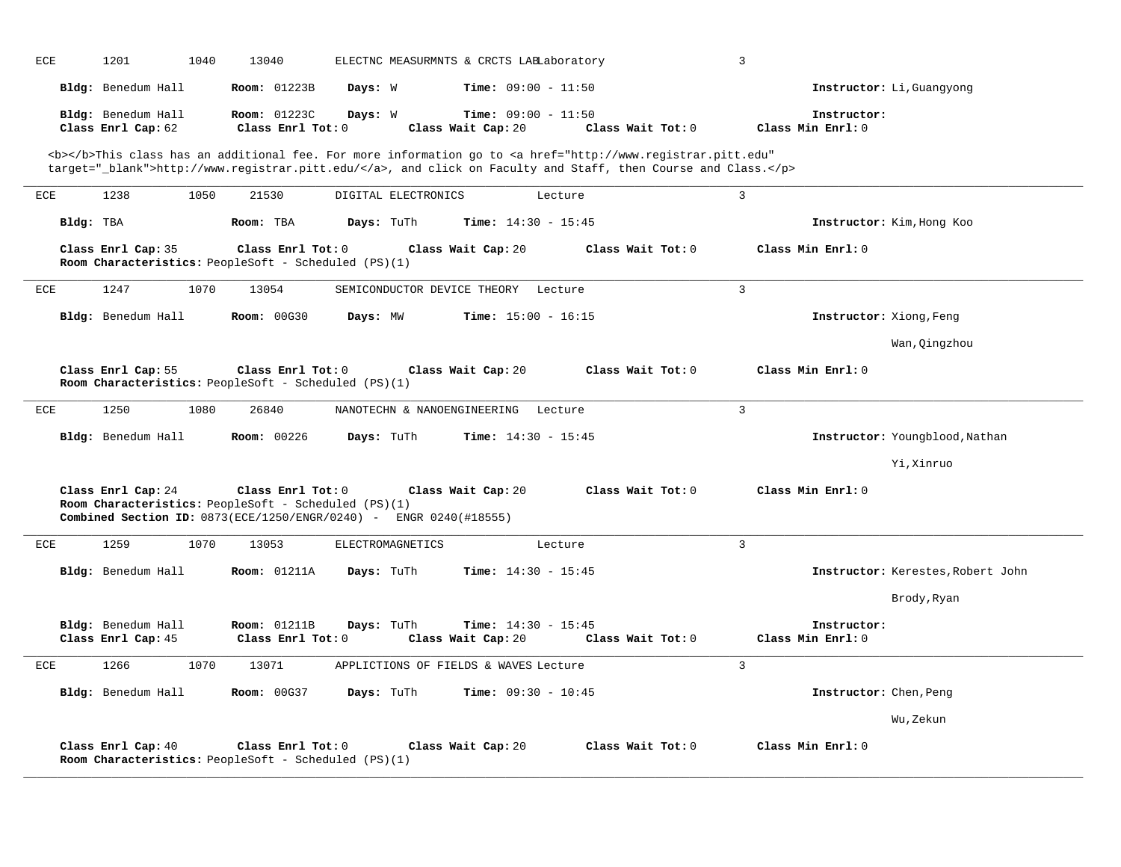| ECE<br>1201                              | 1040 | 13040                                                                                                                                                     | ELECTNC MEASURMNTS & CRCTS LABLaboratory           | $\overline{3}$                                                                                                                                                                                                                     |                                  |                                   |
|------------------------------------------|------|-----------------------------------------------------------------------------------------------------------------------------------------------------------|----------------------------------------------------|------------------------------------------------------------------------------------------------------------------------------------------------------------------------------------------------------------------------------------|----------------------------------|-----------------------------------|
| Bldg: Benedum Hall                       |      | <b>Room: 01223B</b><br>Days: W                                                                                                                            | <b>Time:</b> $09:00 - 11:50$                       |                                                                                                                                                                                                                                    |                                  | Instructor: Li, Guangyong         |
| Bldg: Benedum Hall<br>Class Enrl Cap: 62 |      | Room: 01223C<br>Days: W<br>Class Enrl Tot: 0                                                                                                              | <b>Time:</b> $09:00 - 11:50$<br>Class Wait Cap: 20 | Class Wait Tot: 0                                                                                                                                                                                                                  | Instructor:<br>Class Min Enrl: 0 |                                   |
|                                          |      |                                                                                                                                                           |                                                    | <b></b> This class has an additional fee. For more information go to <a <br="" href="http://www.registrar.pitt.edu">target="_blank"&gt;http://www.registrar.pitt.edu/</a> , and click on Faculty and Staff, then Course and Class. |                                  |                                   |
| 1238<br>ECE                              | 1050 | 21530                                                                                                                                                     | DIGITAL ELECTRONICS                                | $\overline{3}$<br>Lecture                                                                                                                                                                                                          |                                  |                                   |
| Bldg: TBA                                |      | Days: TuTh<br>Room: TBA                                                                                                                                   | <b>Time:</b> $14:30 - 15:45$                       |                                                                                                                                                                                                                                    |                                  | Instructor: Kim, Hong Koo         |
| Class Enrl Cap: 35                       |      | Class Enrl Tot: 0<br>Room Characteristics: PeopleSoft - Scheduled (PS)(1)                                                                                 | Class Wait Cap: 20                                 | Class Wait Tot: 0                                                                                                                                                                                                                  | Class Min Enrl: 0                |                                   |
| 1247<br>ECE                              | 1070 | 13054                                                                                                                                                     | SEMICONDUCTOR DEVICE THEORY<br>Lecture             | 3                                                                                                                                                                                                                                  |                                  |                                   |
| Bldg: Benedum Hall                       |      | <b>Room: 00G30</b><br>Days: MW                                                                                                                            | <b>Time:</b> $15:00 - 16:15$                       |                                                                                                                                                                                                                                    | Instructor: Xiong, Feng          |                                   |
|                                          |      |                                                                                                                                                           |                                                    |                                                                                                                                                                                                                                    |                                  | Wan, Qingzhou                     |
| Class Enrl Cap: 55                       |      | Class Enrl Tot: 0<br>Room Characteristics: PeopleSoft - Scheduled (PS)(1)                                                                                 | Class Wait Cap: 20                                 | Class Wait Tot: 0                                                                                                                                                                                                                  | Class Min Enrl: 0                |                                   |
| 1250<br>ECE                              | 1080 | 26840                                                                                                                                                     | NANOTECHN & NANOENGINEERING Lecture                | $\overline{3}$                                                                                                                                                                                                                     |                                  |                                   |
| Bldg: Benedum Hall                       |      | <b>Room: 00226</b><br>Days: TuTh                                                                                                                          | <b>Time:</b> $14:30 - 15:45$                       |                                                                                                                                                                                                                                    |                                  | Instructor: Youngblood, Nathan    |
|                                          |      |                                                                                                                                                           |                                                    |                                                                                                                                                                                                                                    |                                  | Yi, Xinruo                        |
| Class Enrl Cap: 24                       |      | Class Enrl Tot: 0<br>Room Characteristics: PeopleSoft - Scheduled (PS)(1)<br><b>Combined Section ID:</b> $0873(ECE/1250/ENGR/0240)$ - ENGR $0240(#18555)$ | Class Wait Cap: 20                                 | Class Wait Tot: 0                                                                                                                                                                                                                  | Class Min Enrl: 0                |                                   |
| 1259<br>ECE                              | 1070 | 13053<br>ELECTROMAGNETICS                                                                                                                                 |                                                    | $\overline{3}$<br>Lecture                                                                                                                                                                                                          |                                  |                                   |
| Bldg: Benedum Hall                       |      | <b>Room: 01211A</b><br>Days: TuTh                                                                                                                         | Time: $14:30 - 15:45$                              |                                                                                                                                                                                                                                    |                                  | Instructor: Kerestes, Robert John |
|                                          |      |                                                                                                                                                           |                                                    |                                                                                                                                                                                                                                    |                                  | Brody,Ryan                        |
| Bldg: Benedum Hall<br>Class Enrl Cap: 45 |      | <b>Room: 01211B</b><br>Days: TuTh<br>Class Enrl Tot: 0                                                                                                    | Time: $14:30 - 15:45$<br>Class Wait Cap: 20        | Class Wait Tot: 0                                                                                                                                                                                                                  | Instructor:<br>Class Min Enrl: 0 |                                   |
| 1266<br>ECE                              | 1070 | 13071                                                                                                                                                     | APPLICTIONS OF FIELDS & WAVES Lecture              | 3                                                                                                                                                                                                                                  |                                  |                                   |
| Bldg: Benedum Hall                       |      | <b>Room: 00G37</b><br>Days: TuTh                                                                                                                          | <b>Time:</b> $09:30 - 10:45$                       |                                                                                                                                                                                                                                    | Instructor: Chen, Peng           |                                   |
|                                          |      |                                                                                                                                                           |                                                    |                                                                                                                                                                                                                                    |                                  | Wu, Zekun                         |
| Class Enrl Cap: 40                       |      | Class Enrl Tot: 0<br>Room Characteristics: PeopleSoft - Scheduled (PS)(1)                                                                                 | Class Wait Cap: 20                                 | Class Wait Tot: 0                                                                                                                                                                                                                  | Class Min Enrl: 0                |                                   |

**\_\_\_\_\_\_\_\_\_\_\_\_\_\_\_\_\_\_\_\_\_\_\_\_\_\_\_\_\_\_\_\_\_\_\_\_\_\_\_\_\_\_\_\_\_\_\_\_\_\_\_\_\_\_\_\_\_\_\_\_\_\_\_\_\_\_\_\_\_\_\_\_\_\_\_\_\_\_\_\_\_\_\_\_\_\_\_\_\_\_\_\_\_\_\_\_\_\_\_\_\_\_\_\_\_\_\_\_\_\_\_\_\_\_\_\_\_\_\_\_\_\_\_\_\_\_\_\_\_\_\_\_\_\_\_\_\_\_\_\_\_\_\_\_\_\_\_\_\_\_\_\_\_\_\_\_**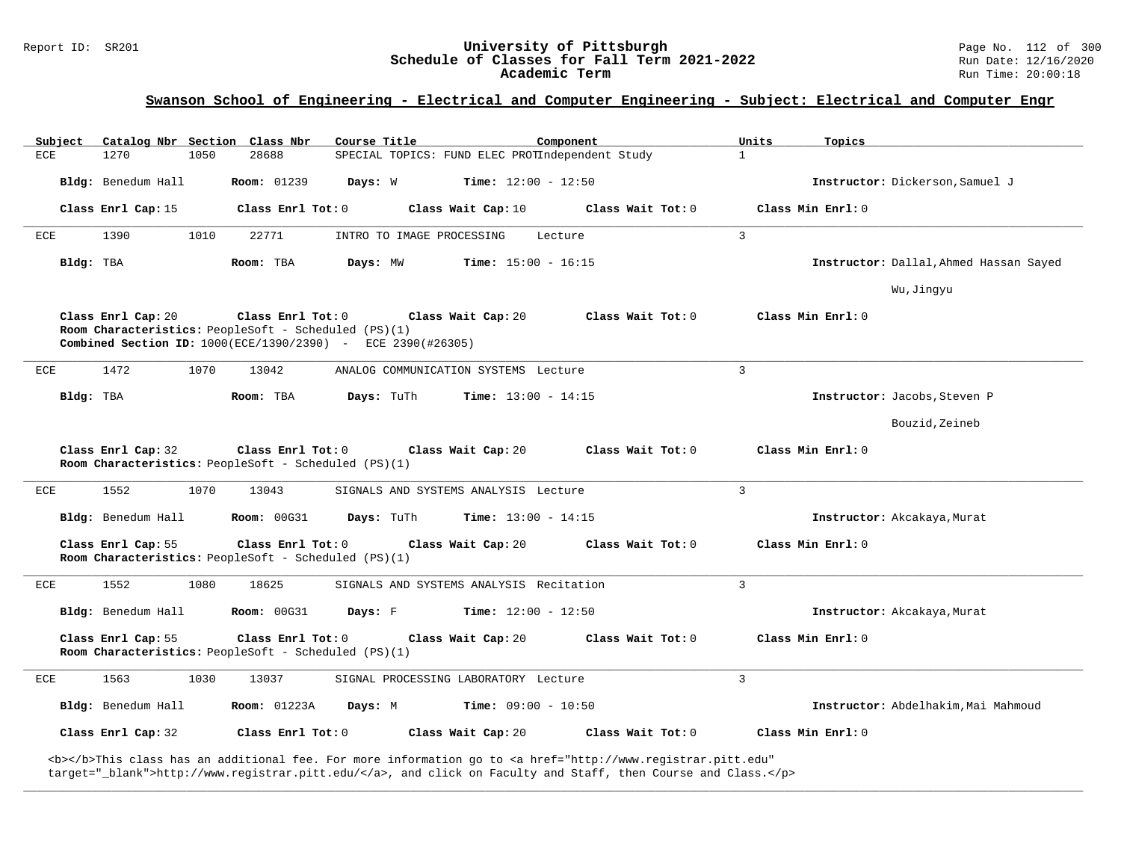### **Swanson School of Engineering - Electrical and Computer Engineering - Subject: Electrical and Computer Engr**

| Subiect |                    | Catalog Nbr Section Class Nbr                                                                                                            | Course Title              |                                                 | Component         | Units          | Topics                                 |
|---------|--------------------|------------------------------------------------------------------------------------------------------------------------------------------|---------------------------|-------------------------------------------------|-------------------|----------------|----------------------------------------|
| ECE     | 1270               | 1050<br>28688                                                                                                                            |                           | SPECIAL TOPICS: FUND ELEC PROTIndependent Study |                   | $\mathbf{1}$   |                                        |
|         | Bldg: Benedum Hall | <b>Room:</b> 01239                                                                                                                       | Days: W                   | <b>Time:</b> $12:00 - 12:50$                    |                   |                | Instructor: Dickerson, Samuel J        |
|         | Class Enrl Cap: 15 | Class Enrl Tot: 0                                                                                                                        |                           | Class Wait Cap: 10                              | Class Wait Tot: 0 |                | Class Min Enrl: 0                      |
| ECE     | 1390               | 1010<br>22771                                                                                                                            | INTRO TO IMAGE PROCESSING |                                                 | Lecture           | $\overline{3}$ |                                        |
|         | Bldg: TBA          | Room: TBA                                                                                                                                | Days: MW                  | <b>Time:</b> $15:00 - 16:15$                    |                   |                | Instructor: Dallal, Ahmed Hassan Sayed |
|         |                    |                                                                                                                                          |                           |                                                 |                   |                | Wu, Jinqyu                             |
|         | Class Enrl Cap: 20 | Class Enrl Tot: 0<br>Room Characteristics: PeopleSoft - Scheduled (PS)(1)<br>Combined Section ID: 1000(ECE/1390/2390) - ECE 2390(#26305) |                           | Class Wait Cap: 20                              | Class Wait Tot: 0 |                | Class Min Enrl: 0                      |
| ECE     | 1472               | 1070<br>13042                                                                                                                            |                           | ANALOG COMMUNICATION SYSTEMS Lecture            |                   | $\overline{3}$ |                                        |
|         | Bldg: TBA          | Room: TBA                                                                                                                                | Days: TuTh                | <b>Time:</b> $13:00 - 14:15$                    |                   |                | Instructor: Jacobs, Steven P           |
|         |                    |                                                                                                                                          |                           |                                                 |                   |                | Bouzid, Zeineb                         |
|         |                    |                                                                                                                                          |                           |                                                 |                   |                |                                        |
|         | Class Enrl Cap: 32 | Class Enrl Tot: 0<br>Room Characteristics: PeopleSoft - Scheduled (PS)(1)                                                                |                           | Class Wait Cap: 20                              | Class Wait Tot: 0 |                | Class Min Enrl: 0                      |
| ECE     | 1552               | 1070<br>13043                                                                                                                            |                           | SIGNALS AND SYSTEMS ANALYSIS Lecture            |                   | $\overline{3}$ |                                        |
|         | Bldg: Benedum Hall | <b>Room: 00G31</b>                                                                                                                       | Days: TuTh                | <b>Time:</b> $13:00 - 14:15$                    |                   |                | Instructor: Akcakaya, Murat            |
|         | Class Enrl Cap: 55 | Class Enrl Tot: 0<br>Room Characteristics: PeopleSoft - Scheduled (PS)(1)                                                                |                           | Class Wait Cap: 20                              | Class Wait Tot: 0 |                | Class Min Enrl: 0                      |
| ECE     | 1552               | 18625<br>1080                                                                                                                            |                           | SIGNALS AND SYSTEMS ANALYSIS Recitation         |                   | $\mathbf{3}$   |                                        |
|         | Bldg: Benedum Hall | <b>Room: 00G31</b>                                                                                                                       | Days: F                   | $Time: 12:00 - 12:50$                           |                   |                | Instructor: Akcakaya, Murat            |
|         | Class Enrl Cap: 55 | Class Enrl Tot: 0<br>Room Characteristics: PeopleSoft - Scheduled (PS)(1)                                                                |                           | Class Wait Cap: 20                              | Class Wait Tot: 0 |                | Class Min Enrl: 0                      |
| ECE     | 1563               | 1030<br>13037                                                                                                                            |                           | SIGNAL PROCESSING LABORATORY Lecture            |                   | $\mathbf{3}$   |                                        |
|         | Bldg: Benedum Hall | <b>Room:</b> 01223A                                                                                                                      | Days: M                   | <b>Time:</b> $09:00 - 10:50$                    |                   |                | Instructor: Abdelhakim, Mai Mahmoud    |
|         | Class Enrl Cap: 32 | $\texttt{Class}$ $\texttt{Enrl}$ $\texttt{Tot:}$ $0$                                                                                     |                           | Class Wait Cap: 20                              | Class Wait Tot: 0 |                | Class Min Enrl: 0                      |

**\_\_\_\_\_\_\_\_\_\_\_\_\_\_\_\_\_\_\_\_\_\_\_\_\_\_\_\_\_\_\_\_\_\_\_\_\_\_\_\_\_\_\_\_\_\_\_\_\_\_\_\_\_\_\_\_\_\_\_\_\_\_\_\_\_\_\_\_\_\_\_\_\_\_\_\_\_\_\_\_\_\_\_\_\_\_\_\_\_\_\_\_\_\_\_\_\_\_\_\_\_\_\_\_\_\_\_\_\_\_\_\_\_\_\_\_\_\_\_\_\_\_\_\_\_\_\_\_\_\_\_\_\_\_\_\_\_\_\_\_\_\_\_\_\_\_\_\_\_\_\_\_\_\_\_\_**

<b></b>This class has an additional fee. For more information go to <a href="http://www.registrar.pitt.edu" target="\_blank">http://www.registrar.pitt.edu/</a>, and click on Faculty and Staff, then Course and Class.</p>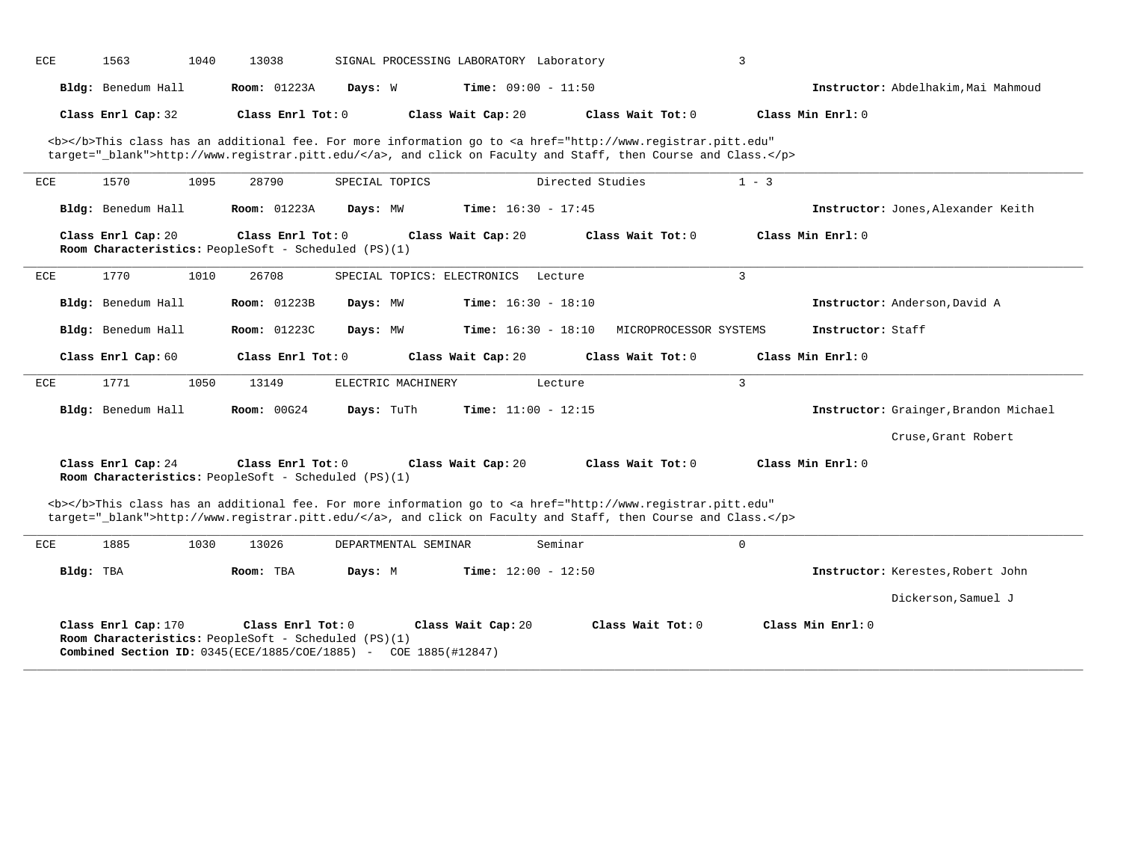| ECE       | 1563                                                                                                                                                                                                                               | 1040 | 13038               |                      | SIGNAL PROCESSING LABORATORY Laboratory                                                                                                                                                                                            |                  |                        | 3           |                   |                                       |
|-----------|------------------------------------------------------------------------------------------------------------------------------------------------------------------------------------------------------------------------------------|------|---------------------|----------------------|------------------------------------------------------------------------------------------------------------------------------------------------------------------------------------------------------------------------------------|------------------|------------------------|-------------|-------------------|---------------------------------------|
|           | Bldg: Benedum Hall                                                                                                                                                                                                                 |      | <b>Room:</b> 01223A | Days: W              | <b>Time:</b> $09:00 - 11:50$                                                                                                                                                                                                       |                  |                        |             |                   | Instructor: Abdelhakim, Mai Mahmoud   |
|           | Class Enrl Cap: 32                                                                                                                                                                                                                 |      | Class Enrl Tot: 0   |                      | Class Wait Cap: 20                                                                                                                                                                                                                 |                  | Class Wait Tot: 0      |             | Class Min Enrl: 0 |                                       |
|           | <b></b> This class has an additional fee. For more information go to <a <br="" href="http://www.registrar.pitt.edu">target="_blank"&gt;http://www.registrar.pitt.edu/</a> , and click on Faculty and Staff, then Course and Class. |      |                     |                      |                                                                                                                                                                                                                                    |                  |                        |             |                   |                                       |
| ECE       | 1570                                                                                                                                                                                                                               | 1095 | 28790               | SPECIAL TOPICS       |                                                                                                                                                                                                                                    | Directed Studies |                        | $1 - 3$     |                   |                                       |
|           | Bldg: Benedum Hall                                                                                                                                                                                                                 |      | <b>Room:</b> 01223A | Days: MW             | <b>Time:</b> $16:30 - 17:45$                                                                                                                                                                                                       |                  |                        |             |                   | Instructor: Jones, Alexander Keith    |
|           | Class Enrl Cap: 20<br>Room Characteristics: PeopleSoft - Scheduled (PS)(1)                                                                                                                                                         |      | Class Enrl Tot: 0   |                      | Class Wait Cap: 20                                                                                                                                                                                                                 |                  | Class Wait Tot: 0      |             | Class Min Enrl: 0 |                                       |
| ECE       | 1770                                                                                                                                                                                                                               | 1010 | 26708               |                      | SPECIAL TOPICS: ELECTRONICS                                                                                                                                                                                                        | Lecture          |                        | 3           |                   |                                       |
|           | Bldg: Benedum Hall                                                                                                                                                                                                                 |      | <b>Room:</b> 01223B | Days: MW             | <b>Time:</b> $16:30 - 18:10$                                                                                                                                                                                                       |                  |                        |             |                   | Instructor: Anderson, David A         |
|           | Bldg: Benedum Hall                                                                                                                                                                                                                 |      | <b>Room:</b> 01223C | Days: MW             | <b>Time:</b> $16:30 - 18:10$                                                                                                                                                                                                       |                  | MICROPROCESSOR SYSTEMS |             | Instructor: Staff |                                       |
|           | Class Enrl Cap: 60                                                                                                                                                                                                                 |      | Class Enrl Tot: 0   |                      | Class Wait Cap: 20                                                                                                                                                                                                                 |                  | Class Wait Tot: 0      |             | Class Min Enrl: 0 |                                       |
| ECE       | 1771                                                                                                                                                                                                                               | 1050 | 13149               | ELECTRIC MACHINERY   |                                                                                                                                                                                                                                    | Lecture          |                        | 3           |                   |                                       |
|           | Bldg: Benedum Hall                                                                                                                                                                                                                 |      | <b>Room: 00G24</b>  | Days: TuTh           | <b>Time:</b> $11:00 - 12:15$                                                                                                                                                                                                       |                  |                        |             |                   | Instructor: Grainger, Brandon Michael |
|           |                                                                                                                                                                                                                                    |      |                     |                      |                                                                                                                                                                                                                                    |                  |                        |             |                   | Cruse, Grant Robert                   |
|           | Class Enrl Cap: 24<br>Room Characteristics: PeopleSoft - Scheduled (PS)(1)                                                                                                                                                         |      | Class Enrl Tot: 0   |                      | Class Wait Cap: 20                                                                                                                                                                                                                 |                  | Class Wait Tot: 0      |             | Class Min Enrl: 0 |                                       |
|           |                                                                                                                                                                                                                                    |      |                     |                      | <b></b> This class has an additional fee. For more information go to <a <br="" href="http://www.registrar.pitt.edu">target="_blank"&gt;http://www.registrar.pitt.edu/</a> , and click on Faculty and Staff, then Course and Class. |                  |                        |             |                   |                                       |
| ECE       | 1885                                                                                                                                                                                                                               | 1030 | 13026               | DEPARTMENTAL SEMINAR |                                                                                                                                                                                                                                    | Seminar          |                        | $\mathbf 0$ |                   |                                       |
| Bldg: TBA |                                                                                                                                                                                                                                    |      | Room: TBA           | Days: M              | <b>Time:</b> $12:00 - 12:50$                                                                                                                                                                                                       |                  |                        |             |                   | Instructor: Kerestes, Robert John     |
|           |                                                                                                                                                                                                                                    |      |                     |                      |                                                                                                                                                                                                                                    |                  |                        |             |                   | Dickerson, Samuel J                   |
|           | Class Enrl Cap: 170<br>Room Characteristics: PeopleSoft - Scheduled (PS)(1)                                                                                                                                                        |      | Class Enrl Tot: 0   |                      | Class Wait Cap: 20<br><b>Combined Section ID:</b> $0345(ECE/1885/COE/1885)$ - COE 1885(#12847)                                                                                                                                     |                  | Class Wait Tot: 0      |             | Class Min Enrl: 0 |                                       |

**\_\_\_\_\_\_\_\_\_\_\_\_\_\_\_\_\_\_\_\_\_\_\_\_\_\_\_\_\_\_\_\_\_\_\_\_\_\_\_\_\_\_\_\_\_\_\_\_\_\_\_\_\_\_\_\_\_\_\_\_\_\_\_\_\_\_\_\_\_\_\_\_\_\_\_\_\_\_\_\_\_\_\_\_\_\_\_\_\_\_\_\_\_\_\_\_\_\_\_\_\_\_\_\_\_\_\_\_\_\_\_\_\_\_\_\_\_\_\_\_\_\_\_\_\_\_\_\_\_\_\_\_\_\_\_\_\_\_\_\_\_\_\_\_\_\_\_\_\_\_\_\_\_\_\_\_**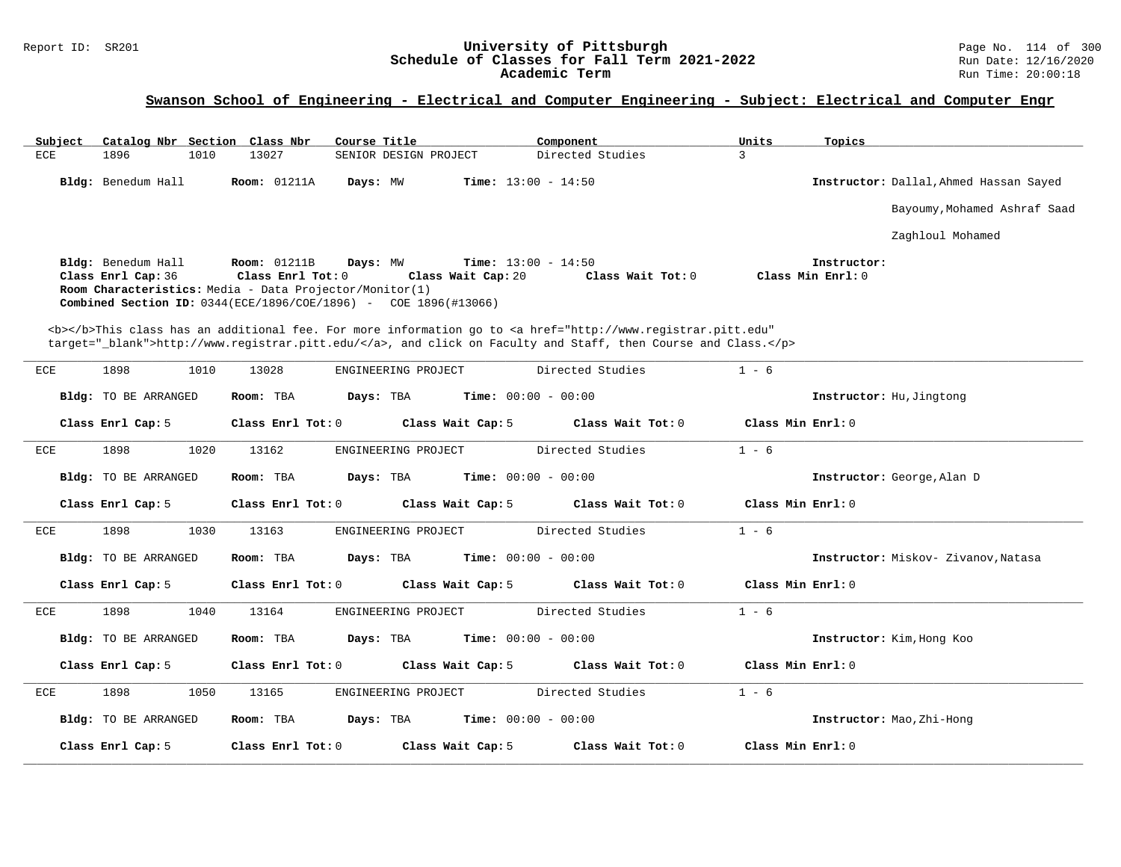# Report ID: SR201 **1988 Chedule of Classes for Fall Term 2021-2022** Page No. 114 of 300 Page No. 114 of 300 Page No<br>**Schedule of Classes for Fall Term 2021-2022** Run Date: 12/16/2020 Schedule of Classes for Fall Term 2021-2022<br>Academic Term

| Subject<br>Catalog Nbr Section Class Nbr | Course Title                                                                                                                                                                                                                                    | Component<br>Units               | Topics                                 |
|------------------------------------------|-------------------------------------------------------------------------------------------------------------------------------------------------------------------------------------------------------------------------------------------------|----------------------------------|----------------------------------------|
| 1896<br>ECE<br>1010                      | 13027<br>SENIOR DESIGN PROJECT                                                                                                                                                                                                                  | Directed Studies<br>$\mathbf{3}$ |                                        |
| Bldg: Benedum Hall                       | <b>Room:</b> 01211A<br>Days: MW<br><b>Time:</b> $13:00 - 14:50$                                                                                                                                                                                 |                                  | Instructor: Dallal, Ahmed Hassan Sayed |
|                                          |                                                                                                                                                                                                                                                 |                                  | Bayoumy, Mohamed Ashraf Saad           |
|                                          |                                                                                                                                                                                                                                                 |                                  | Zaghloul Mohamed                       |
| Bldg: Benedum Hall<br>Class Enrl Cap: 36 | <b>Room:</b> 01211B<br>Days: MW<br><b>Time:</b> $13:00 - 14:50$<br>Class Enrl Tot: 0<br>Class Wait Cap: 20<br>Room Characteristics: Media - Data Projector/Monitor(1)<br><b>Combined Section ID:</b> 0344(ECE/1896/COE/1896) - COE 1896(#13066) | Class Wait Tot: 0                | Instructor:<br>Class Min Enrl: 0       |
|                                          | <b></b> This class has an additional fee. For more information go to <a <br="" href="http://www.registrar.pitt.edu">target="_blank"&gt;http://www.registrar.pitt.edu/</a> , and click on Faculty and Staff, then Course and Class.              |                                  |                                        |
| 1898<br>1010<br>ECE                      | 13028<br>ENGINEERING PROJECT                                                                                                                                                                                                                    | Directed Studies<br>$1 - 6$      |                                        |
| Bldg: TO BE ARRANGED                     | Room: TBA<br><b>Time:</b> $00:00 - 00:00$<br>Days: TBA                                                                                                                                                                                          |                                  | Instructor: Hu, Jingtong               |
| Class Enrl Cap: 5                        | Class Enrl Tot: 0<br>Class Wait Cap: 5                                                                                                                                                                                                          | Class Wait Tot: 0                | Class Min Enrl: 0                      |
| 1898<br>1020<br>ECE                      | 13162<br>ENGINEERING PROJECT                                                                                                                                                                                                                    | Directed Studies<br>$1 - 6$      |                                        |
| Bldg: TO BE ARRANGED                     | Room: TBA<br>Days: TBA<br><b>Time:</b> $00:00 - 00:00$                                                                                                                                                                                          |                                  | Instructor: George, Alan D             |
| Class Enrl Cap: 5                        | Class Enrl Tot: 0<br>Class Wait Cap: 5                                                                                                                                                                                                          | Class Wait Tot: 0                | Class Min Enrl: 0                      |
| 1898<br>1030<br>ECE                      | 13163<br>ENGINEERING PROJECT                                                                                                                                                                                                                    | Directed Studies<br>$1 - 6$      |                                        |
| Bldg: TO BE ARRANGED                     | Time: $00:00 - 00:00$<br>Room: TBA<br>Days: TBA                                                                                                                                                                                                 |                                  | Instructor: Miskov- Zivanov, Natasa    |
| Class Enrl Cap: 5                        | Class Enrl Tot: 0<br>Class Wait Cap: 5                                                                                                                                                                                                          | Class Wait Tot: 0                | Class Min Enrl: 0                      |
| 1898<br><b>ECE</b><br>1040               | 13164<br>ENGINEERING PROJECT                                                                                                                                                                                                                    | Directed Studies<br>$1 - 6$      |                                        |
| <b>Bldg:</b> TO BE ARRANGED              | Time: $00:00 - 00:00$<br>Room: TBA<br>Days: TBA                                                                                                                                                                                                 |                                  | Instructor: Kim, Hong Koo              |
| Class Enrl Cap: 5                        | Class Enrl Tot: 0<br>Class Wait Cap: 5                                                                                                                                                                                                          | Class Wait Tot: 0                | Class Min Enrl: 0                      |
| 1898<br>1050<br>ECE                      | ENGINEERING PROJECT<br>13165                                                                                                                                                                                                                    | Directed Studies<br>$1 - 6$      |                                        |
| Bldg: TO BE ARRANGED                     | Time: $00:00 - 00:00$<br>Room: TBA<br>Days: TBA                                                                                                                                                                                                 |                                  | Instructor: Mao, Zhi-Hong              |
| Class Enrl Cap: 5                        | Class Enrl Tot: $0$<br>Class Wait Cap: 5                                                                                                                                                                                                        | Class Wait Tot: 0                | Class Min Enrl: 0                      |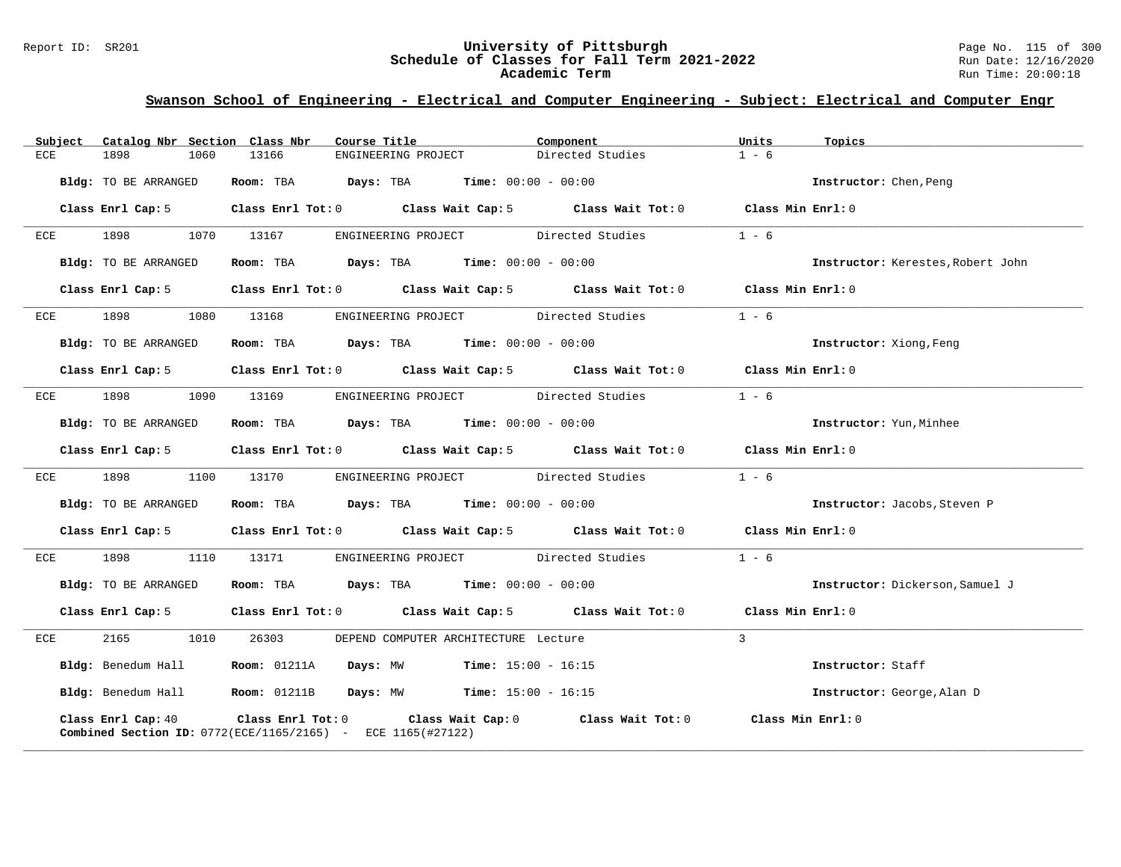### Report ID: SR201 **University of Pittsburgh** Page No. 115 of 300 **Schedule of Classes for Fall Term 2021-2022** Run Date: 12/16/2020 **Academic Term** Run Time: 20:00:18

| Subject<br>Catalog Nbr Section Class Nbr                                                                                   | Course Title                                                                                                                         | Component<br>Units          | Topics                            |
|----------------------------------------------------------------------------------------------------------------------------|--------------------------------------------------------------------------------------------------------------------------------------|-----------------------------|-----------------------------------|
| ECE<br>1898<br>1060                                                                                                        | 13166<br>ENGINEERING PROJECT                                                                                                         | $1 - 6$<br>Directed Studies |                                   |
| Bldg: TO BE ARRANGED                                                                                                       | Room: TBA $Days: TBA$ Time: $00:00 - 00:00$                                                                                          |                             | Instructor: Chen, Peng            |
| Class Enrl Cap: 5                                                                                                          | Class Enrl Tot: 0 $\qquad$ Class Wait Cap: 5 $\qquad$ Class Wait Tot: 0 $\qquad$ Class Min Enrl: 0                                   |                             |                                   |
| 1898<br>1070<br>ECE                                                                                                        | 13167<br>ENGINEERING PROJECT                                                                                                         | $1 - 6$<br>Directed Studies |                                   |
| Bldg: TO BE ARRANGED                                                                                                       | Room: TBA $Days:$ TBA $Time: 00:00 - 00:00$                                                                                          |                             | Instructor: Kerestes, Robert John |
|                                                                                                                            | Class Enrl Cap: 5 Class Enrl Tot: 0 Class Wait Cap: 5 Class Wait Tot: 0                                                              |                             | Class Min Enrl: 0                 |
| 1898<br>ECE                                                                                                                | 1080 13168<br>ENGINEERING PROJECT Directed Studies                                                                                   | $1 - 6$                     |                                   |
| Bldg: TO BE ARRANGED                                                                                                       | Room: TBA $Days:$ TBA $Time: 00:00 - 00:00$                                                                                          |                             | Instructor: Xiong, Feng           |
| Class Enrl Cap: 5                                                                                                          | Class Enrl Tot: 0 Class Wait Cap: 5 Class Wait Tot: 0 Class Min Enrl: 0                                                              |                             |                                   |
| 1898<br>ECE                                                                                                                | 1090 13169<br>ENGINEERING PROJECT Directed Studies                                                                                   | $1 - 6$                     |                                   |
| Bldg: TO BE ARRANGED                                                                                                       | Room: TBA $Days: TBA$ Time: $00:00 - 00:00$                                                                                          |                             | Instructor: Yun, Minhee           |
|                                                                                                                            | Class Enrl Cap: 5 Class Enrl Tot: 0 Class Wait Cap: 5 Class Wait Tot: 0 Class Min Enrl: 0                                            |                             |                                   |
| 1898<br>ECE                                                                                                                | ENGINEERING PROJECT Directed Studies<br>1100 13170                                                                                   | $1 - 6$                     |                                   |
| Bldg: TO BE ARRANGED                                                                                                       | Room: TBA $Days:$ TBA $Time: 00:00 - 00:00$                                                                                          |                             | Instructor: Jacobs, Steven P      |
| Class Enrl Cap: 5                                                                                                          | Class Enrl Tot: $0$ Class Wait Cap: $5$ Class Wait Tot: $0$ Class Min Enrl: $0$                                                      |                             |                                   |
| 1898 — 1898 — 1898 — 1898 — 1898 — 1898 — 1898 — 1898 — 1898 — 1898 — 1898 — 1898 — 1898 — 1898 — 1898 — 1898 — 189<br>ECE | 1110 13171<br>ENGINEERING PROJECT Directed Studies                                                                                   | $1 - 6$                     |                                   |
| Bldg: TO BE ARRANGED                                                                                                       | Room: TBA $Days:$ TBA $Time: 00:00 - 00:00$                                                                                          |                             | Instructor: Dickerson, Samuel J   |
|                                                                                                                            | Class Enrl Cap: 5 Class Enrl Tot: 0 Class Wait Cap: 5 Class Wait Tot: 0 Class Min Enrl: 0                                            |                             |                                   |
| 2165 1010<br>ECE                                                                                                           | 26303<br>DEPEND COMPUTER ARCHITECTURE Lecture                                                                                        | $\mathbf{3}$                |                                   |
| Bldg: Benedum Hall Room: 01211A                                                                                            | <b>Days:</b> MW <b>Time:</b> $15:00 - 16:15$                                                                                         |                             | Instructor: Staff                 |
|                                                                                                                            | Bldg: Benedum Hall <b>Room:</b> 01211B <b>Days:</b> MW <b>Time:</b> 15:00 - 16:15                                                    |                             | Instructor: George, Alan D        |
| Class Enrl Cap: 40                                                                                                         | Class Enrl Tot: $0$ Class Wait Cap: $0$ Class Wait Tot: $0$<br><b>Combined Section ID:</b> $0772$ (ECE/1165/2165) - ECE 1165(#27122) |                             | Class Min Enrl: 0                 |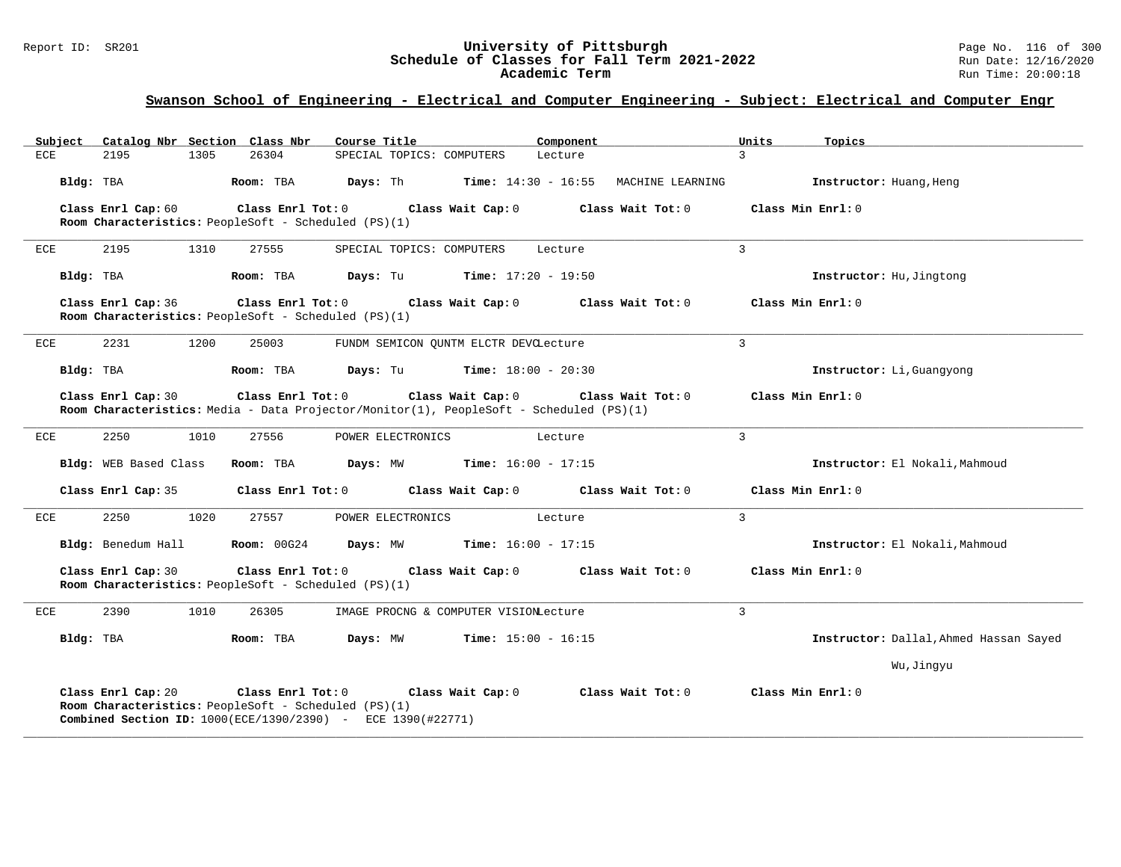# Report ID: SR201 **1988 Chedule of Classes for Fall Term 2021-2022** Page No. 116 of 300 Page No. 116 of 300 Page No<br>**Schedule of Classes for Fall Term 2021-2022** Pun Date: 12/16/2020 Schedule of Classes for Fall Term 2021-2022<br>Academic Term

| Subject    | Catalog Nbr Section Class Nbr |      |                                                                             | Course Title                                                                            |                                                                                         | Component                                                   | Units             | Topics                                 |
|------------|-------------------------------|------|-----------------------------------------------------------------------------|-----------------------------------------------------------------------------------------|-----------------------------------------------------------------------------------------|-------------------------------------------------------------|-------------------|----------------------------------------|
| <b>ECE</b> | 2195                          | 1305 | 26304                                                                       | SPECIAL TOPICS: COMPUTERS                                                               | Lecture                                                                                 |                                                             | $\mathcal{L}$     |                                        |
| Bldg: TBA  |                               |      | Room: TBA                                                                   | <b>Days:</b> Th                                                                         |                                                                                         | $Time: 14:30 - 16:55$ MACHINE LEARNING                      |                   | Instructor: Huang, Heng                |
|            | Class Enrl Cap: 60            |      | Room Characteristics: PeopleSoft - Scheduled (PS)(1)                        | Class Enrl Tot: 0 Class Wait Cap: 0                                                     |                                                                                         | Class Wait Tot: 0                                           | Class Min Enrl: 0 |                                        |
| ECE        | 2195                          | 1310 | 27555                                                                       | SPECIAL TOPICS: COMPUTERS                                                               | Lecture                                                                                 |                                                             | $\mathcal{L}$     |                                        |
|            | Bldg: TBA                     |      | Room: TBA                                                                   | Days: Tu                                                                                | <b>Time:</b> $17:20 - 19:50$                                                            |                                                             |                   | Instructor: Hu, Jingtong               |
|            | Class Enrl Cap: 36            |      | Class Enrl Tot: 0<br>Room Characteristics: PeopleSoft - Scheduled (PS)(1)   |                                                                                         |                                                                                         | Class Wait Cap: 0 Class Wait Tot: 0                         | Class Min Enrl: 0 |                                        |
| ECE        | 2231                          | 1200 | 25003                                                                       |                                                                                         | FUNDM SEMICON QUNTM ELCTR DEVCLecture                                                   |                                                             | 3                 |                                        |
|            | Bldg: TBA                     |      | Room: TBA                                                                   |                                                                                         | <b>Days:</b> Tu <b>Time:</b> $18:00 - 20:30$                                            |                                                             |                   | Instructor: Li, Guangyong              |
|            | Class Enrl Cap: 30            |      |                                                                             | Class Enrl Tot: 0 Class Wait Cap: 0                                                     | Room Characteristics: Media - Data Projector/Monitor(1), PeopleSoft - Scheduled (PS)(1) | Class Wait Tot: 0                                           |                   | Class Min Enrl: 0                      |
| ECE        | 2250                          | 1010 | 27556                                                                       | POWER ELECTRONICS                                                                       | Lecture                                                                                 |                                                             | 3                 |                                        |
|            | Bldg: WEB Based Class         |      | Room: TBA                                                                   |                                                                                         | <b>Days:</b> MW <b>Time:</b> $16:00 - 17:15$                                            |                                                             |                   | Instructor: El Nokali, Mahmoud         |
|            | Class Enrl Cap: 35            |      | Class Enrl Tot: 0                                                           |                                                                                         |                                                                                         | Class Wait Cap: $0$ Class Wait Tot: $0$                     | Class Min Enrl: 0 |                                        |
| ECE        | 2250                          | 1020 | 27557                                                                       | POWER ELECTRONICS                                                                       | Lecture                                                                                 |                                                             | $\overline{3}$    |                                        |
|            | Bldg: Benedum Hall            |      |                                                                             |                                                                                         | <b>Room:</b> $00G24$ <b>Days:</b> MW <b>Time:</b> $16:00 - 17:15$                       |                                                             |                   | Instructor: El Nokali, Mahmoud         |
|            | Class Enrl Cap: 30            |      | Room Characteristics: PeopleSoft - Scheduled (PS)(1)                        |                                                                                         |                                                                                         | Class Enrl Tot: $0$ Class Wait Cap: $0$ Class Wait Tot: $0$ | Class Min Enrl: 0 |                                        |
| ECE        | 2390                          | 1010 | 26305                                                                       |                                                                                         | IMAGE PROCNG & COMPUTER VISIONLecture                                                   |                                                             | $\mathbf{3}$      |                                        |
| Bldg: TBA  |                               |      | Room: TBA                                                                   | Days: MW                                                                                | <b>Time:</b> $15:00 - 16:15$                                                            |                                                             |                   | Instructor: Dallal, Ahmed Hassan Sayed |
|            |                               |      |                                                                             |                                                                                         |                                                                                         |                                                             |                   | Wu, Jingyu                             |
|            | Class Enrl Cap: 20            |      | Class Enrl Tot: $0$<br>Room Characteristics: PeopleSoft - Scheduled (PS)(1) | Class Wait Cap: 0<br><b>Combined Section ID:</b> 1000(ECE/1390/2390) - ECE 1390(#22771) |                                                                                         | Class Wait Tot: 0                                           | Class Min Enrl: 0 |                                        |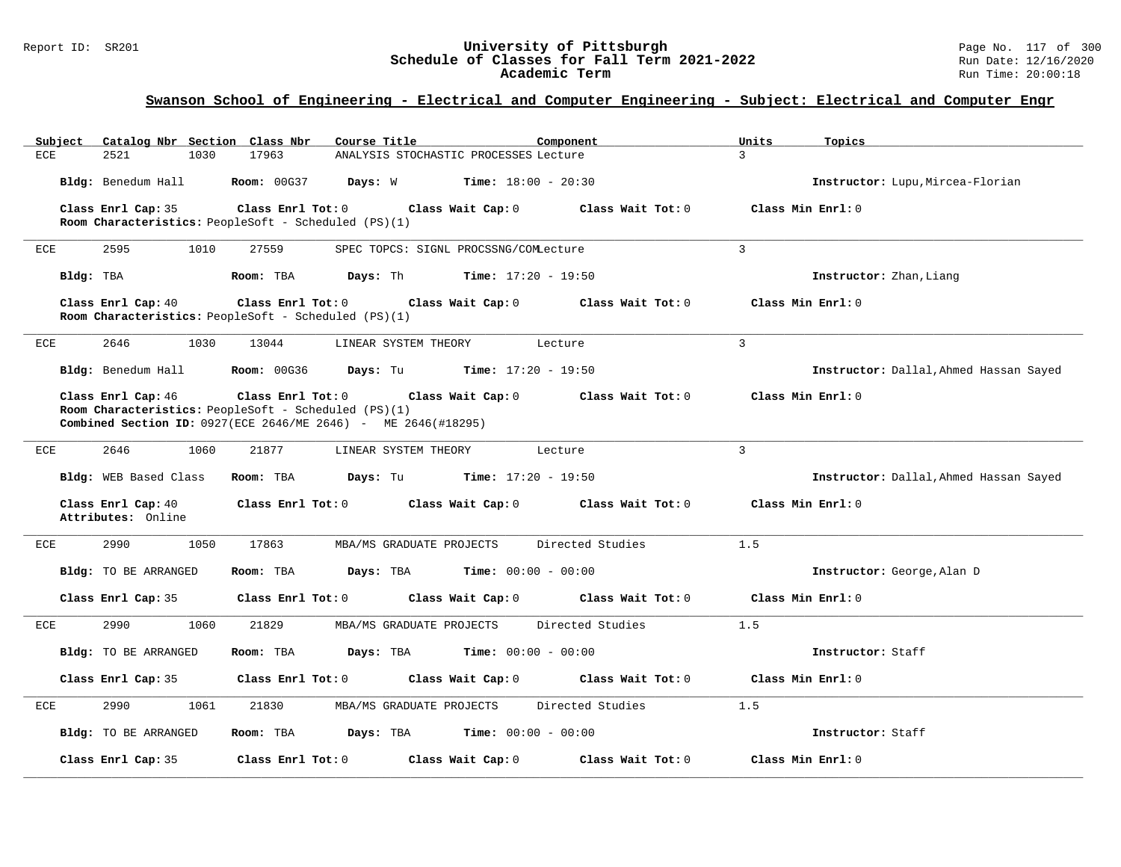### Report ID: SR201 **12.1 Conserved Builder Conserved Builder Schedule of Classes for Fall Term 2021-2022** Page No. 117 of 300 Page No. 117 of 300 Page No. 117 of 300 Page No. 117 of 300 Page No. 117 of 300 Page: 12/16/2020 **Schedule of Classes for Fall Term 2021-2022** Run Date: 12/16/2020 **Academic Term** Run Time: 20:00:18

| Catalog Nbr Section Class Nbr<br>Subject | Course Title<br>Component                                                                                                    | Units<br>Topics                        |
|------------------------------------------|------------------------------------------------------------------------------------------------------------------------------|----------------------------------------|
| 2521<br>1030<br>ECE                      | 17963<br>ANALYSIS STOCHASTIC PROCESSES Lecture                                                                               | $\mathcal{L}$                          |
|                                          | <b>Bldg:</b> Benedum Hall <b>Room:</b> 00G37 <b>Days:</b> W <b>Time:</b> $18:00 - 20:30$                                     | Instructor: Lupu, Mircea-Florian       |
| Class Enrl Cap: 35                       | Class Enrl Tot: $0$ Class Wait Cap: $0$ Class Wait Tot: $0$                                                                  | Class Min $Err1:0$                     |
|                                          | Room Characteristics: PeopleSoft - Scheduled (PS)(1)                                                                         |                                        |
| ECE<br>2595<br>1010                      | SPEC TOPCS: SIGNL PROCSSNG/COMLecture<br>27559                                                                               | $\mathcal{L}$                          |
| Bldg: TBA                                | <b>Days:</b> Th <b>Time:</b> $17:20 - 19:50$<br>Room: TBA                                                                    | Instructor: Zhan, Liang                |
| Class Enrl Cap: 40                       | Class Enrl Tot: $0$ Class Wait Cap: $0$ Class Wait Tot: $0$<br>Room Characteristics: PeopleSoft - Scheduled (PS)(1)          | Class Min Enrl: 0                      |
| 2646<br>1030<br>ECE                      | 13044<br>LINEAR SYSTEM THEORY<br>Lecture                                                                                     | $\mathbf{3}$                           |
|                                          | Bldg: Benedum Hall <b>Room:</b> 00G36 <b>Days:</b> Tu <b>Time:</b> 17:20 - 19:50                                             | Instructor: Dallal, Ahmed Hassan Sayed |
| Class Enrl Cap: 46                       | Class Enrl Tot: $0$ Class Wait Cap: $0$ Class Wait Tot: $0$                                                                  | Class Min Enrl: 0                      |
|                                          | Room Characteristics: PeopleSoft - Scheduled (PS)(1)<br><b>Combined Section ID:</b> 0927(ECE 2646/ME 2646) - ME 2646(#18295) |                                        |
| 2646<br>ECE<br>1060                      | 21877<br>LINEAR SYSTEM THEORY Lecture                                                                                        | $\mathcal{L}$                          |
|                                          |                                                                                                                              |                                        |
| Bldg: WEB Based Class                    | <b>Room:</b> TBA $\qquad \qquad$ <b>Days:</b> Tu $\qquad \qquad$ <b>Time:</b> 17:20 - 19:50                                  | Instructor: Dallal, Ahmed Hassan Sayed |
| Class Enrl Cap: 40<br>Attributes: Online | Class Enrl Tot: $0$ Class Wait Cap: $0$ Class Wait Tot: $0$ Class Min Enrl: $0$                                              |                                        |
| ECE<br>2990<br>1050                      | Directed Studies<br>17863<br>MBA/MS GRADUATE PROJECTS                                                                        | 1.5                                    |
| Bldg: TO BE ARRANGED                     | <b>Days:</b> TBA <b>Time:</b> $00:00 - 00:00$<br>Room: TBA                                                                   | Instructor: George, Alan D             |
| Class Enrl Cap: 35                       | Class Enrl Tot: 0 Class Wait Cap: 0<br>Class Wait Tot: 0                                                                     | Class Min Enrl: 0                      |
| 2990<br>1060<br>ECE                      | Directed Studies<br>21829<br>MBA/MS GRADUATE PROJECTS                                                                        | 1.5                                    |
| Bldg: TO BE ARRANGED                     | Room: TBA<br>Days: TBA<br><b>Time:</b> $00:00 - 00:00$                                                                       | Instructor: Staff                      |
| Class Enrl Cap: 35                       | Class Enrl Tot: 0 Class Wait Cap: 0 Class Wait Tot: 0                                                                        | Class Min Enrl: 0                      |
| 2990<br>1061<br>ECE                      | 21830<br>MBA/MS GRADUATE PROJECTS<br>Directed Studies                                                                        | 1.5                                    |
| Bldg: TO BE ARRANGED                     | Room: TBA $Days: TBA$ Time: $00:00 - 00:00$                                                                                  | Instructor: Staff                      |
| Class Enrl Cap: 35                       | Class Enrl Tot: 0<br>Class Wait Cap: 0<br>Class Wait Tot: 0                                                                  | Class Min Enrl: 0                      |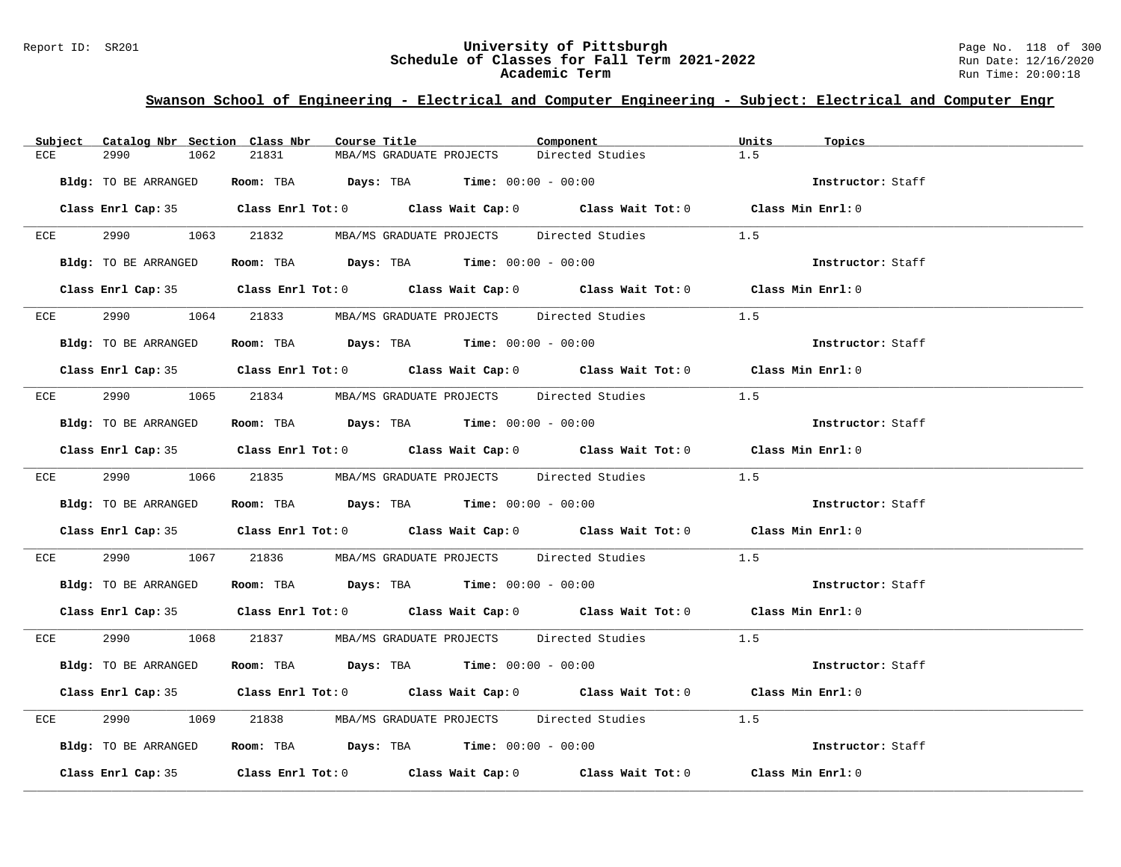### Report ID: SR201 **University of Pittsburgh** Page No. 118 of 300 **Schedule of Classes for Fall Term 2021-2022** Run Date: 12/16/2020 **Academic Term** Run Time: 20:00:18

|                      | Subject Catalog Nbr Section Class Nbr | Course Title                                                   | Component                                                                                  | Units<br>Topics   |  |
|----------------------|---------------------------------------|----------------------------------------------------------------|--------------------------------------------------------------------------------------------|-------------------|--|
| 2990<br>ECE          | 21831<br>1062                         | MBA/MS GRADUATE PROJECTS                                       | Directed Studies                                                                           | 1.5               |  |
| Bldg: TO BE ARRANGED |                                       | <b>Room:</b> TBA $Days: TBA$ <b>Time:</b> $00:00 - 00:00$      |                                                                                            | Instructor: Staff |  |
|                      |                                       |                                                                | Class Enrl Cap: 35 Class Enrl Tot: 0 Class Wait Cap: 0 Class Wait Tot: 0 Class Min Enrl: 0 |                   |  |
|                      |                                       |                                                                | ECE 2990 1063 21832 MBA/MS GRADUATE PROJECTS Directed Studies                              | 1.5               |  |
| Bldg: TO BE ARRANGED |                                       | Room: TBA $Days:$ TBA $Time: 00:00 - 00:00$                    |                                                                                            | Instructor: Staff |  |
|                      |                                       |                                                                | Class Enrl Cap: 35 Class Enrl Tot: 0 Class Wait Cap: 0 Class Wait Tot: 0 Class Min Enrl: 0 |                   |  |
|                      |                                       |                                                                | ECE 2990 1064 21833 MBA/MS GRADUATE PROJECTS Directed Studies                              | 1.5               |  |
| Bldg: TO BE ARRANGED |                                       | Room: TBA $Days:$ TBA $Time: 00:00 - 00:00$                    |                                                                                            | Instructor: Staff |  |
|                      |                                       |                                                                | Class Enrl Cap: 35 Class Enrl Tot: 0 Class Wait Cap: 0 Class Wait Tot: 0 Class Min Enrl: 0 |                   |  |
|                      |                                       |                                                                | ECE 2990 1065 21834 MBA/MS GRADUATE PROJECTS Directed Studies                              | 1.5               |  |
| Bldg: TO BE ARRANGED |                                       | Room: TBA Days: TBA Time: $00:00 - 00:00$                      |                                                                                            | Instructor: Staff |  |
|                      |                                       |                                                                | Class Enrl Cap: 35 Class Enrl Tot: 0 Class Wait Cap: 0 Class Wait Tot: 0 Class Min Enrl: 0 |                   |  |
|                      |                                       |                                                                | ECE 2990 1066 21835 MBA/MS GRADUATE PROJECTS Directed Studies 1.5                          |                   |  |
| Bldg: TO BE ARRANGED |                                       | Room: TBA $\rule{1em}{0.15mm}$ Days: TBA Time: $00:00 - 00:00$ |                                                                                            | Instructor: Staff |  |
|                      |                                       |                                                                | Class Enrl Cap: 35 Class Enrl Tot: 0 Class Wait Cap: 0 Class Wait Tot: 0 Class Min Enrl: 0 |                   |  |
| ECE                  |                                       |                                                                | 2990 1067 21836 MBA/MS GRADUATE PROJECTS Directed Studies 1.5                              |                   |  |
|                      |                                       | Bldg: TO BE ARRANGED Room: TBA Days: TBA Time: 00:00 - 00:00   |                                                                                            | Instructor: Staff |  |
|                      |                                       |                                                                | Class Enrl Cap: 35 Class Enrl Tot: 0 Class Wait Cap: 0 Class Wait Tot: 0 Class Min Enrl: 0 |                   |  |
|                      |                                       |                                                                | ECE 2990 1068 21837 MBA/MS GRADUATE PROJECTS Directed Studies 1.5                          |                   |  |
| Bldg: TO BE ARRANGED |                                       | Room: TBA $Days: TBA$ Time: $00:00 - 00:00$                    |                                                                                            | Instructor: Staff |  |
|                      |                                       |                                                                | Class Enrl Cap: 35 Class Enrl Tot: 0 Class Wait Cap: 0 Class Wait Tot: 0 Class Min Enrl: 0 |                   |  |
| ECE                  |                                       |                                                                | 1069 21838 MBA/MS GRADUATE PROJECTS Directed Studies 1.5                                   |                   |  |
| Bldg: TO BE ARRANGED |                                       | Room: TBA $Days:$ TBA $Time: 00:00 - 00:00$                    |                                                                                            | Instructor: Staff |  |
|                      |                                       |                                                                | Class Enrl Cap: 35 Class Enrl Tot: 0 Class Wait Cap: 0 Class Wait Tot: 0 Class Min Enrl: 0 |                   |  |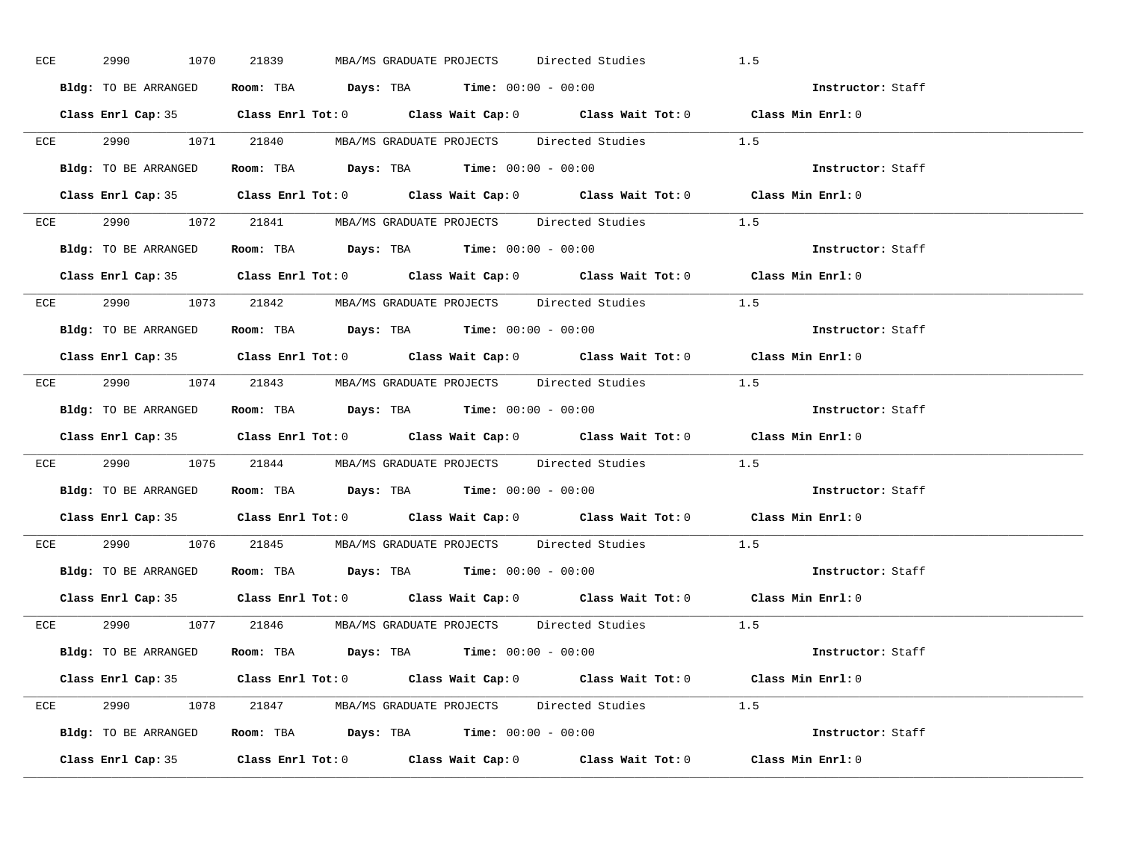| ECE | 2990 1070            | 21839<br>MBA/MS GRADUATE PROJECTS Directed Studies                                                 | 1.5               |
|-----|----------------------|----------------------------------------------------------------------------------------------------|-------------------|
|     | Bldg: TO BE ARRANGED | Room: TBA $\rule{1em}{0.15mm}$ Days: TBA $\rule{1.5mm}{0.15mm}$ Time: $00:00 - 00:00$              | Instructor: Staff |
|     |                      | Class Enrl Cap: 35 Class Enrl Tot: 0 Class Wait Cap: 0 Class Wait Tot: 0 Class Min Enrl: 0         |                   |
|     |                      | ECE 2990 1071 21840 MBA/MS GRADUATE PROJECTS Directed Studies 1.5                                  |                   |
|     | Bldg: TO BE ARRANGED | Room: TBA $Days:$ TBA $Time: 00:00 - 00:00$                                                        | Instructor: Staff |
|     |                      | Class Enrl Cap: 35 Class Enrl Tot: 0 Class Wait Cap: 0 Class Wait Tot: 0 Class Min Enrl: 0         |                   |
|     |                      | ECE 2990 1072 21841 MBA/MS GRADUATE PROJECTS Directed Studies 1.5                                  |                   |
|     |                      | <b>Bldg:</b> TO BE ARRANGED <b>ROOM:</b> TBA <b>Days:</b> TBA <b>Time:</b> $00:00 - 00:00$         | Instructor: Staff |
|     |                      | Class Enrl Cap: 35 Class Enrl Tot: 0 Class Wait Cap: 0 Class Wait Tot: 0 Class Min Enrl: 0         |                   |
|     |                      | ECE 2990 1073 21842 MBA/MS GRADUATE PROJECTS Directed Studies 1.5                                  |                   |
|     | Bldg: TO BE ARRANGED | Room: TBA $\rule{1em}{0.15mm}$ Days: TBA Time: $00:00 - 00:00$                                     | Instructor: Staff |
|     |                      | Class Enrl Cap: 35 Class Enrl Tot: 0 Class Wait Cap: 0 Class Wait Tot: 0 Class Min Enrl: 0         |                   |
|     |                      | ECE 2990 1074 21843 MBA/MS GRADUATE PROJECTS Directed Studies 1.5                                  |                   |
|     |                      | Bldg: TO BE ARRANGED Room: TBA Days: TBA Time: 00:00 - 00:00                                       | Instructor: Staff |
|     |                      | Class Enrl Cap: 35 Class Enrl Tot: 0 Class Wait Cap: 0 Class Wait Tot: 0 Class Min Enrl: 0         |                   |
|     |                      | ECE 2990 1075 21844 MBA/MS GRADUATE PROJECTS Directed Studies 1.5                                  |                   |
|     |                      | Bldg: TO BE ARRANGED ROOM: TBA Days: TBA Time: 00:00 - 00:00                                       | Instructor: Staff |
|     |                      | Class Enrl Cap: 35 Class Enrl Tot: 0 Class Wait Cap: 0 Class Wait Tot: 0 Class Min Enrl: 0         |                   |
|     |                      | ECE 2990 1076 21845 MBA/MS GRADUATE PROJECTS Directed Studies                                      | 1.5               |
|     |                      | Bldg: TO BE ARRANGED ROOM: TBA Days: TBA Time: 00:00 - 00:00                                       | Instructor: Staff |
|     | Class Enrl Cap: 35   | Class Enrl Tot: 0 $\qquad$ Class Wait Cap: 0 $\qquad$ Class Wait Tot: 0 $\qquad$ Class Min Enrl: 0 |                   |
|     |                      | ECE 2990 1077 21846 MBA/MS GRADUATE PROJECTS Directed Studies 1.5                                  |                   |
|     |                      | Bldg: TO BE ARRANGED Room: TBA Days: TBA Time: 00:00 - 00:00                                       | Instructor: Staff |
|     |                      | Class Enrl Cap: 35 Class Enrl Tot: 0 Class Wait Cap: 0 Class Wait Tot: 0 Class Min Enrl: 0         |                   |
|     |                      | ECE 2990 1078 21847 MBA/MS GRADUATE PROJECTS Directed Studies 1.5                                  |                   |
|     |                      | Bldg: TO BE ARRANGED Room: TBA Days: TBA Time: 00:00 - 00:00                                       | Instructor: Staff |
|     |                      | Class Enrl Cap: 35 Class Enrl Tot: 0 Class Wait Cap: 0 Class Wait Tot: 0 Class Min Enrl: 0         |                   |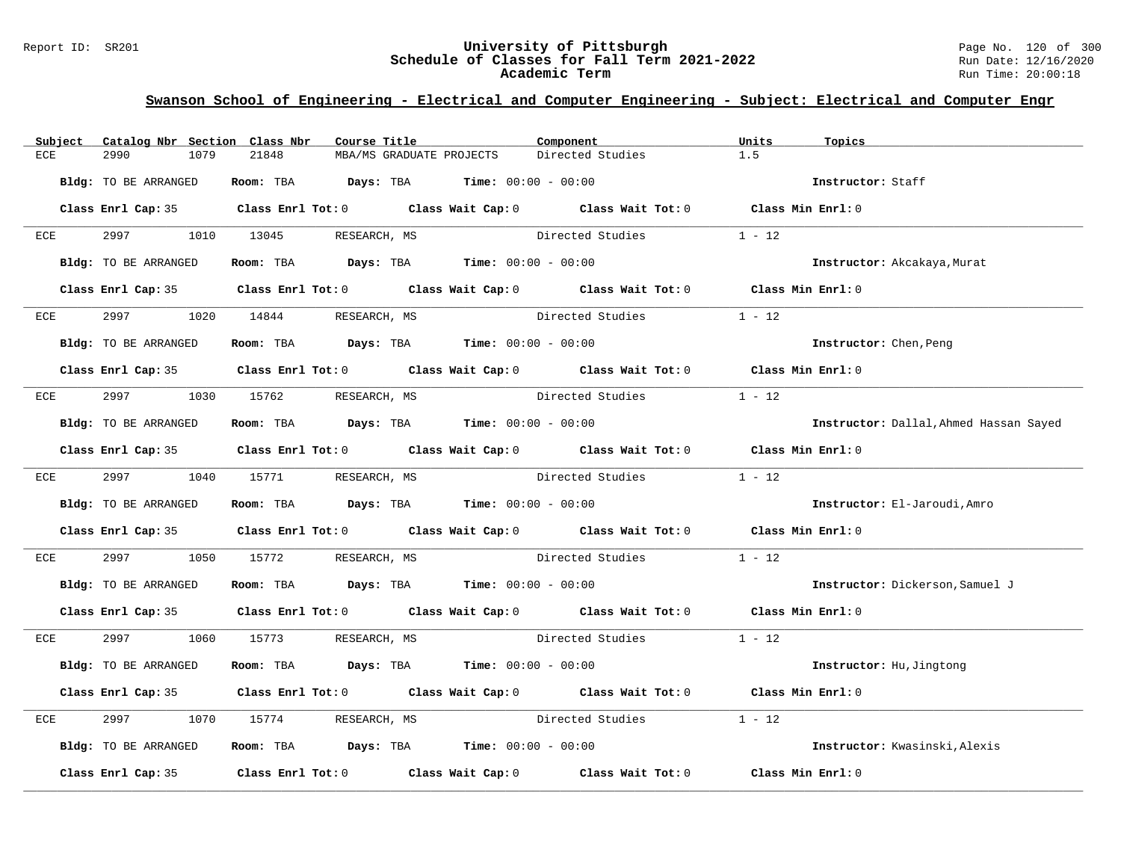### Report ID: SR201 **University of Pittsburgh** Page No. 120 of 300 **Schedule of Classes for Fall Term 2021-2022** Run Date: 12/16/2020 **Academic Term** Run Time: 20:00:18

| Subject      | Catalog Nbr Section Class Nbr | Course Title                                                                          | Component                                                                                  | Units<br>Topics                        |
|--------------|-------------------------------|---------------------------------------------------------------------------------------|--------------------------------------------------------------------------------------------|----------------------------------------|
| ECE          | 2990<br>1079                  | 21848<br>MBA/MS GRADUATE PROJECTS                                                     | Directed Studies                                                                           | 1.5                                    |
|              | Bldg: TO BE ARRANGED          | Room: TBA $Days:$ TBA $Time: 00:00 - 00:00$                                           |                                                                                            | Instructor: Staff                      |
|              |                               |                                                                                       | Class Enrl Cap: 35 Class Enrl Tot: 0 Class Wait Cap: 0 Class Wait Tot: 0 Class Min Enrl: 0 |                                        |
| ECE          | 2997 — 2007                   | 1010 13045 RESEARCH, MS                                                               | Directed Studies                                                                           | $1 - 12$                               |
|              | Bldg: TO BE ARRANGED          | Room: TBA $Days:$ TBA $Time: 00:00 - 00:00$                                           |                                                                                            | Instructor: Akcakaya, Murat            |
|              |                               |                                                                                       | Class Enrl Cap: 35 Class Enrl Tot: 0 Class Wait Cap: 0 Class Wait Tot: 0 Class Min Enrl: 0 |                                        |
| ECE          | 2997                          | 1020 14844<br>RESEARCH, MS                                                            | Directed Studies                                                                           | $1 - 12$                               |
|              | Bldg: TO BE ARRANGED          | Room: TBA $Days:$ TBA $Time: 00:00 - 00:00$                                           |                                                                                            | Instructor: Chen, Peng                 |
|              |                               |                                                                                       | Class Enrl Cap: 35 Class Enrl Tot: 0 Class Wait Cap: 0 Class Wait Tot: 0 Class Min Enrl: 0 |                                        |
|              | ECE 2997                      | 1030 15762 RESEARCH, MS                                                               | Directed Studies                                                                           | $1 - 12$                               |
|              | Bldg: TO BE ARRANGED          | Room: TBA $\rule{1em}{0.15mm}$ Days: TBA $\rule{1.5mm}{0.15mm}$ Time: $00:00 - 00:00$ |                                                                                            | Instructor: Dallal, Ahmed Hassan Sayed |
|              |                               |                                                                                       | Class Enrl Cap: 35 Class Enrl Tot: 0 Class Wait Cap: 0 Class Wait Tot: 0 Class Min Enrl: 0 |                                        |
|              |                               | ECE 2997 1040 15771 RESEARCH, MS                                                      | Directed Studies                                                                           | $1 - 12$                               |
|              | Bldg: TO BE ARRANGED          | Room: TBA $Days:$ TBA $Time: 00:00 - 00:00$                                           |                                                                                            | Instructor: El-Jaroudi, Amro           |
|              |                               |                                                                                       | Class Enrl Cap: 35 Class Enrl Tot: 0 Class Wait Cap: 0 Class Wait Tot: 0 Class Min Enrl: 0 |                                        |
| ECE          | 2997<br>1050                  | 15772                                                                                 |                                                                                            | $1 - 12$                               |
|              | Bldg: TO BE ARRANGED          | Room: TBA $Days: TBA$ Time: $00:00 - 00:00$                                           |                                                                                            | Instructor: Dickerson, Samuel J        |
|              |                               |                                                                                       | Class Enrl Cap: 35 Class Enrl Tot: 0 Class Wait Cap: 0 Class Wait Tot: 0 Class Min Enrl: 0 |                                        |
|              | ECE 2997                      | 1060 15773 RESEARCH, MS                                                               | Directed Studies 1 - 12                                                                    |                                        |
|              | Bldg: TO BE ARRANGED          | Room: TBA $Days:$ TBA $Time:$ $00:00 - 00:00$                                         |                                                                                            | Instructor: Hu, Jingtong               |
|              |                               |                                                                                       | Class Enrl Cap: 35 Class Enrl Tot: 0 Class Wait Cap: 0 Class Wait Tot: 0 Class Min Enrl: 0 |                                        |
| $_{\rm ECE}$ | 2997<br>1070                  | 15774 RESEARCH, MS                                                                    | Directed Studies                                                                           | $1 - 12$                               |
|              | Bldg: TO BE ARRANGED          | Room: TBA $Days:$ TBA $Time: 00:00 - 00:00$                                           |                                                                                            | Instructor: Kwasinski, Alexis          |
|              |                               |                                                                                       | Class Enrl Cap: 35 Class Enrl Tot: 0 Class Wait Cap: 0 Class Wait Tot: 0 Class Min Enrl: 0 |                                        |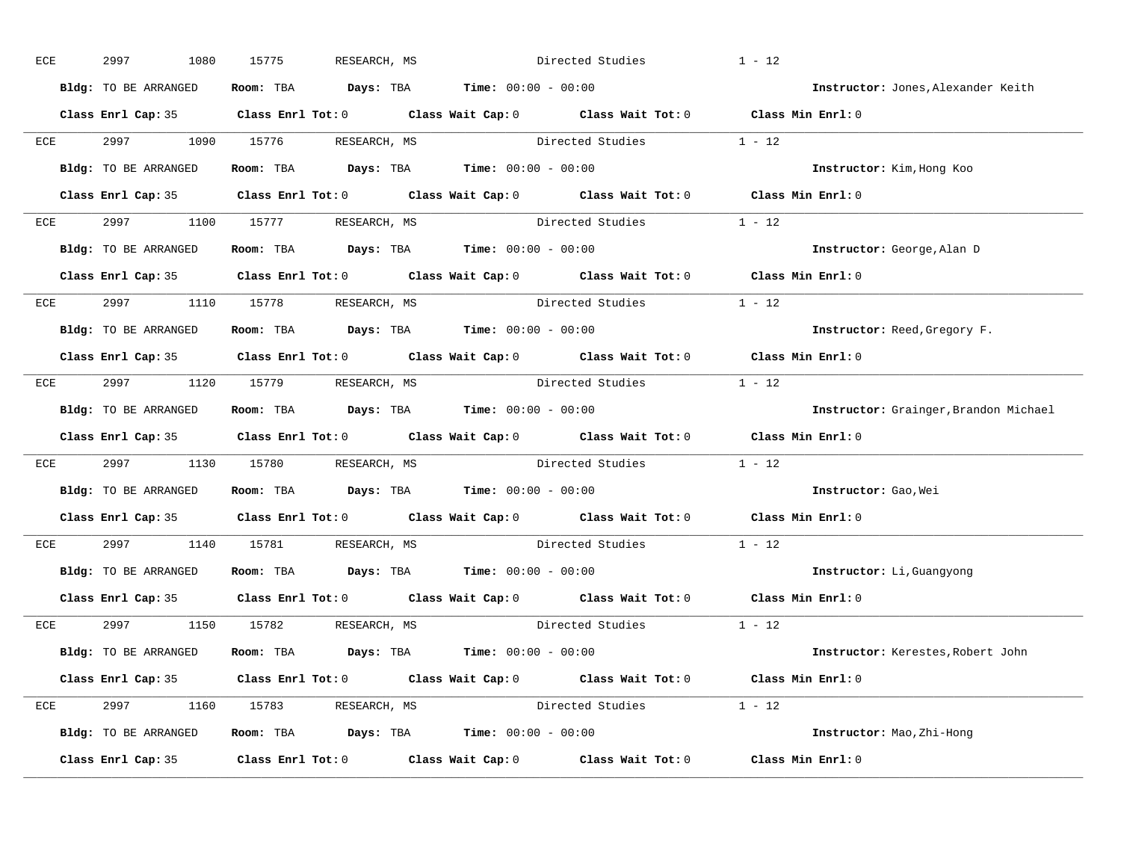| ECE |     | 2997<br>1080         | 15775<br>RESEARCH, MS                                                                               |                  | Directed Studies        | $1 - 12$                              |
|-----|-----|----------------------|-----------------------------------------------------------------------------------------------------|------------------|-------------------------|---------------------------------------|
|     |     | Bldg: TO BE ARRANGED | Room: TBA $Days:$ TBA $Time: 00:00 - 00:00$                                                         |                  |                         | Instructor: Jones, Alexander Keith    |
|     |     |                      | Class Enrl Cap: 35 Class Enrl Tot: 0 Class Wait Cap: 0 Class Wait Tot: 0 Class Min Enrl: 0          |                  |                         |                                       |
|     |     |                      | ECE 2997 1090 15776 RESEARCH, MS                                                                    |                  | Directed Studies 1 - 12 |                                       |
|     |     | Bldg: TO BE ARRANGED | Room: TBA $Days:$ TBA Time: $00:00 - 00:00$                                                         |                  |                         | Instructor: Kim, Hong Koo             |
|     |     |                      | Class Enrl Cap: 35 Class Enrl Tot: 0 Class Wait Cap: 0 Class Wait Tot: 0 Class Min Enrl: 0          |                  |                         |                                       |
|     |     |                      | ECE 2997 1100 15777 RESEARCH, MS                                                                    |                  | Directed Studies 1 - 12 |                                       |
|     |     | Bldg: TO BE ARRANGED | Room: TBA $Days:$ TBA $Time: 00:00 - 00:00$                                                         |                  |                         | Instructor: George, Alan D            |
|     |     |                      | Class Enrl Cap: 35 Class Enrl Tot: 0 Class Wait Cap: 0 Class Wait Tot: 0 Class Min Enrl: 0          |                  |                         |                                       |
|     |     |                      | ECE 2997 1110 15778 RESEARCH, MS                                                                    | Directed Studies |                         | $1 - 12$                              |
|     |     | Bldg: TO BE ARRANGED | Room: TBA $Days:$ TBA $Time: 00:00 - 00:00$                                                         |                  |                         | Instructor: Reed, Gregory F.          |
|     |     |                      | Class Enrl Cap: 35 Class Enrl Tot: 0 Class Wait Cap: 0 Class Wait Tot: 0 Class Min Enrl: 0          |                  |                         |                                       |
|     |     |                      | ECE 2997 1120 15779 RESEARCH, MS                                                                    |                  | Directed Studies 1 - 12 |                                       |
|     |     | Bldg: TO BE ARRANGED | Room: TBA $Days:$ TBA $Time: 00:00 - 00:00$                                                         |                  |                         | Instructor: Grainger, Brandon Michael |
|     |     |                      | Class Enrl Cap: 35 Class Enrl Tot: 0 Class Wait Cap: 0 Class Wait Tot: 0 Class Min Enrl: 0          |                  |                         |                                       |
|     | ECE |                      | 2997 1130 15780 RESEARCH, MS Directed Studies 1 - 12                                                |                  |                         |                                       |
|     |     | Bldg: TO BE ARRANGED | Room: TBA $Days:$ TBA $Time: 00:00 - 00:00$                                                         |                  |                         | Instructor: Gao, Wei                  |
|     |     |                      | Class Enrl Cap: 35 $\qquad$ Class Enrl Tot: 0 $\qquad$ Class Wait Cap: 0 $\qquad$ Class Wait Tot: 0 |                  |                         | Class Min Enrl: 0                     |
|     | ECE |                      | 2997 1140 15781 RESEARCH, MS                                                                        |                  | Directed Studies        | $1 - 12$                              |
|     |     |                      | Bldg: TO BE ARRANGED Room: TBA Days: TBA Time: 00:00 - 00:00                                        |                  |                         | Instructor: Li, Guangyong             |
|     |     |                      | Class Enrl Cap: 35 Class Enrl Tot: 0 Class Wait Cap: 0 Class Wait Tot: 0 Class Min Enrl: 0          |                  |                         |                                       |
|     |     |                      | ECE 2997 1150 15782 RESEARCH, MS                                                                    |                  | Directed Studies 1 - 12 |                                       |
|     |     | Bldg: TO BE ARRANGED | Room: TBA $\rule{1em}{0.15mm}$ Days: TBA Time: $00:00 - 00:00$                                      |                  |                         | Instructor: Kerestes, Robert John     |
|     |     |                      | Class Enrl Cap: 35 Class Enrl Tot: 0 Class Wait Cap: 0 Class Wait Tot: 0 Class Min Enrl: 0          |                  |                         |                                       |
|     |     |                      | ECE 2997 1160 15783 RESEARCH, MS                                                                    |                  | Directed Studies 1 - 12 |                                       |
|     |     | Bldg: TO BE ARRANGED | Room: TBA $Days:$ TBA $Time: 00:00 - 00:00$                                                         |                  |                         | Instructor: Mao, Zhi-Hong             |
|     |     |                      | Class Enrl Cap: 35 Class Enrl Tot: 0 Class Wait Cap: 0 Class Wait Tot: 0 Class Min Enrl: 0          |                  |                         |                                       |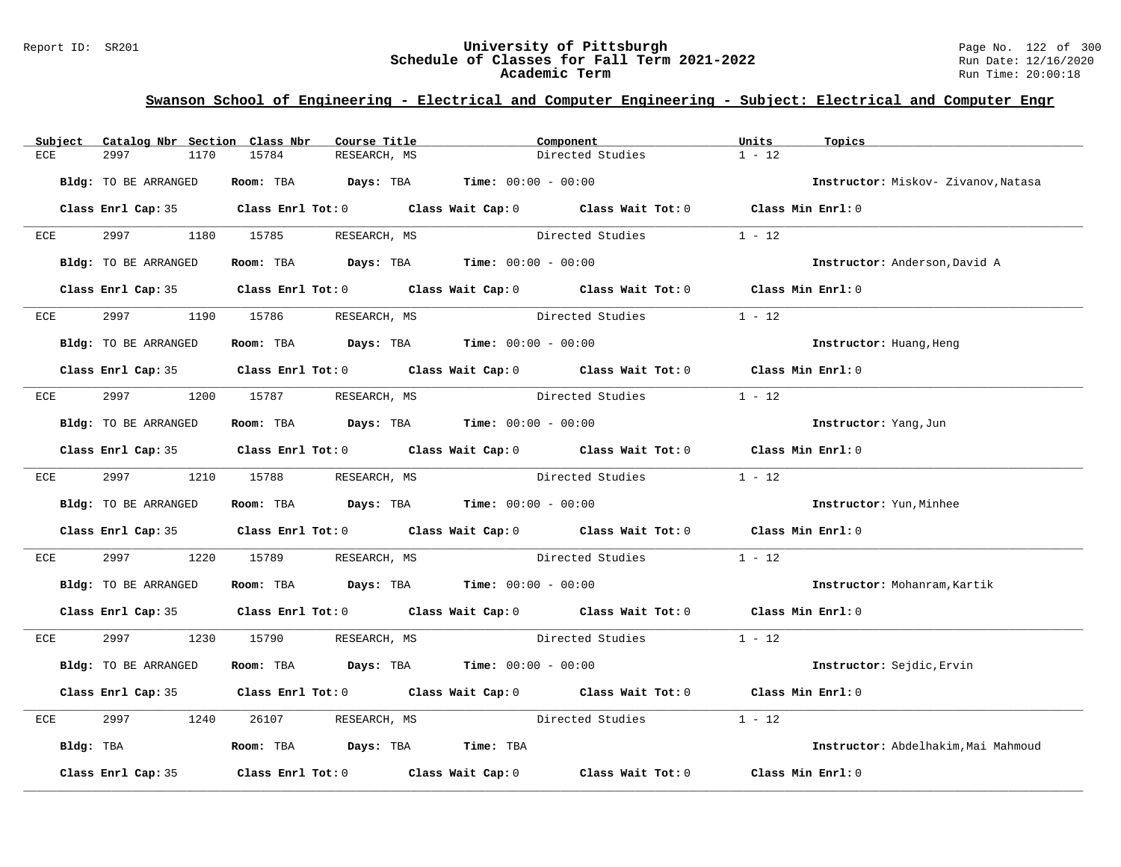### Report ID: SR201 **122 of 300**<br>**Schedule of Classes for Fall Term 2021-2022** Page No. 122 of 300 **Schedule of Classes for Fall Term 2021-2022** Run Date: 12/16/2020 **Academic Term** Run Time: 20:00:18

| Subject    | Catalog Nbr Section Class Nbr | Course Title                                                   | Component                                                                                  | Units<br>Topics                     |
|------------|-------------------------------|----------------------------------------------------------------|--------------------------------------------------------------------------------------------|-------------------------------------|
| ECE        | 2997<br>1170                  | 15784<br>RESEARCH, MS                                          | Directed Studies                                                                           | $1 - 12$                            |
|            | Bldg: TO BE ARRANGED          | Room: TBA $Days:$ TBA $Time: 00:00 - 00:00$                    |                                                                                            | Instructor: Miskov- Zivanov, Natasa |
|            |                               |                                                                | Class Enrl Cap: 35 Class Enrl Tot: 0 Class Wait Cap: 0 Class Wait Tot: 0 Class Min Enrl: 0 |                                     |
| ECE        |                               | 2997 1180 15785 RESEARCH, MS                                   | Directed Studies                                                                           | $1 - 12$                            |
|            | Bldg: TO BE ARRANGED          | Room: TBA $Days:$ TBA $Time: 00:00 - 00:00$                    |                                                                                            | Instructor: Anderson, David A       |
|            |                               |                                                                | Class Enrl Cap: 35 Class Enrl Tot: 0 Class Wait Cap: 0 Class Wait Tot: 0 Class Min Enrl: 0 |                                     |
| ECE        | 2997                          | 1190 15786<br>RESEARCH, MS                                     | Directed Studies                                                                           | $1 - 12$                            |
|            | <b>Bldg:</b> TO BE ARRANGED   | Room: TBA $Days:$ TBA Time: $00:00 - 00:00$                    |                                                                                            | Instructor: Huang, Heng             |
|            |                               |                                                                | Class Enrl Cap: 35 Class Enrl Tot: 0 Class Wait Cap: 0 Class Wait Tot: 0 Class Min Enrl: 0 |                                     |
| ECE        |                               | 2997 1200 15787 RESEARCH, MS                                   | Directed Studies                                                                           | $1 - 12$                            |
|            | Bldg: TO BE ARRANGED          | Room: TBA Days: TBA Time: $00:00 - 00:00$                      |                                                                                            | Instructor: Yang, Jun               |
|            |                               |                                                                | Class Enrl Cap: 35 Class Enrl Tot: 0 Class Wait Cap: 0 Class Wait Tot: 0 Class Min Enrl: 0 |                                     |
| <b>ECE</b> | 2997 1210 15788               | RESEARCH, MS                                                   | Directed Studies                                                                           | $1 - 12$                            |
|            | Bldg: TO BE ARRANGED          | Room: TBA $\rule{1em}{0.15mm}$ Days: TBA Time: $00:00 - 00:00$ |                                                                                            | Instructor: Yun, Minhee             |
|            |                               |                                                                | Class Enrl Cap: 35 Class Enrl Tot: 0 Class Wait Cap: 0 Class Wait Tot: 0 Class Min Enrl: 0 |                                     |
| ECE        | 2997 — 2007<br>1220           | 15789                                                          |                                                                                            | $1 - 12$                            |
|            | Bldg: TO BE ARRANGED          | Room: TBA $Days:$ TBA Time: $00:00 - 00:00$                    |                                                                                            | Instructor: Mohanram, Kartik        |
|            |                               |                                                                | Class Enrl Cap: 35 Class Enrl Tot: 0 Class Wait Cap: 0 Class Wait Tot: 0 Class Min Enrl: 0 |                                     |
|            |                               | ECE 2997 1230 15790 RESEARCH, MS                               | Directed Studies 1 - 12                                                                    |                                     |
|            | Bldg: TO BE ARRANGED          | Room: TBA $Days:$ TBA $Time: 00:00 - 00:00$                    |                                                                                            | Instructor: Sejdic, Ervin           |
|            |                               |                                                                | Class Enrl Cap: 35 Class Enrl Tot: 0 Class Wait Cap: 0 Class Wait Tot: 0                   | Class Min Enrl: 0                   |
| ECE        | 2997<br>1240                  | 26107<br>RESEARCH, MS                                          | Directed Studies                                                                           | $1 - 12$                            |
|            | Bldg: TBA                     | Room: TBA Days: TBA Time: TBA                                  |                                                                                            | Instructor: Abdelhakim, Mai Mahmoud |
|            | Class Enrl Cap: 35            |                                                                | Class Enrl Tot: $0$ Class Wait Cap: $0$ Class Wait Tot: $0$                                | Class Min Enrl: 0                   |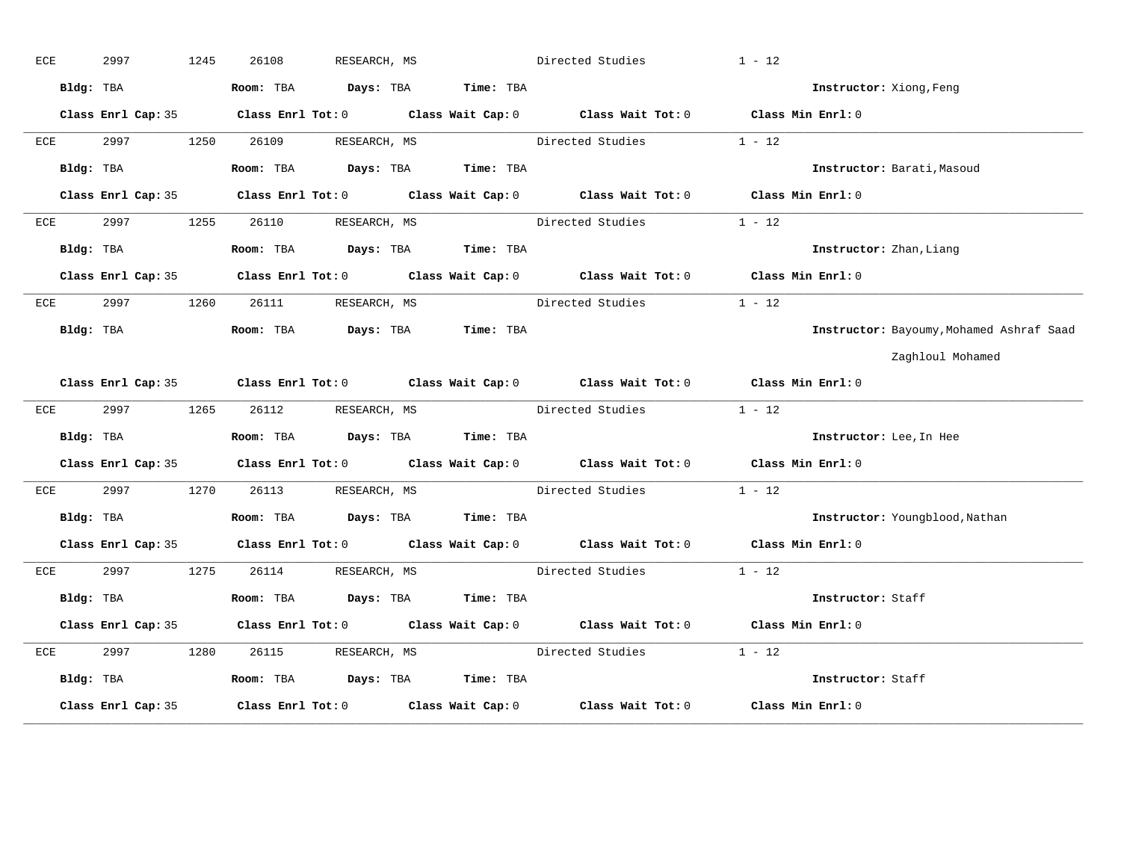| ECE |           | 2997      |                    | 1245 | 26108     | RESEARCH, MS       |              |                               | Directed Studies                                                                           | $1 - 12$          |                                          |
|-----|-----------|-----------|--------------------|------|-----------|--------------------|--------------|-------------------------------|--------------------------------------------------------------------------------------------|-------------------|------------------------------------------|
|     | Bldg: TBA |           |                    |      | Room: TBA |                    |              | Days: TBA Time: TBA           |                                                                                            |                   | Instructor: Xiong, Feng                  |
|     |           |           |                    |      |           |                    |              |                               | Class Enrl Cap: 35 Class Enrl Tot: 0 Class Wait Cap: 0 Class Wait Tot: 0 Class Min Enrl: 0 |                   |                                          |
|     | ECE       |           | 2997               | 1250 | 26109     | RESEARCH, MS       |              |                               | Directed Studies                                                                           | $1 - 12$          |                                          |
|     |           | Bldg: TBA |                    |      |           |                    |              | Room: TBA Days: TBA Time: TBA |                                                                                            |                   | Instructor: Barati, Masoud               |
|     |           |           | Class Enrl Cap: 35 |      |           |                    |              |                               | Class Enrl Tot: $0$ Class Wait Cap: $0$ Class Wait Tot: $0$                                | Class Min Enrl: 0 |                                          |
|     | ECE       | 2997      |                    | 1255 | 26110     |                    |              | RESEARCH, MS                  | Directed Studies                                                                           | $1 - 12$          |                                          |
|     |           | Bldg: TBA |                    |      |           |                    |              | Room: TBA Days: TBA Time: TBA |                                                                                            |                   | Instructor: Zhan, Liang                  |
|     |           |           |                    |      |           |                    |              |                               | Class Enrl Cap: 35 Class Enrl Tot: 0 Class Wait Cap: 0 Class Wait Tot: 0 Class Min Enrl: 0 |                   |                                          |
|     | ECE       |           | 2997 — 2007        | 1260 |           | 26111 RESEARCH, MS |              |                               | Directed Studies                                                                           | $1 - 12$          |                                          |
|     |           |           | Bldg: TBA          |      |           |                    |              | Room: TBA Days: TBA Time: TBA |                                                                                            |                   | Instructor: Bayoumy, Mohamed Ashraf Saad |
|     |           |           |                    |      |           |                    |              |                               |                                                                                            |                   | Zaghloul Mohamed                         |
|     |           |           |                    |      |           |                    |              |                               | Class Enrl Cap: 35 Class Enrl Tot: 0 Class Wait Cap: 0 Class Wait Tot: 0 Class Min Enrl: 0 |                   |                                          |
|     | ECE       |           | 2997 — 2007        | 1265 |           | 26112 RESEARCH, MS |              |                               | Directed Studies                                                                           | $1 - 12$          |                                          |
|     |           |           | Bldg: TBA          |      |           |                    |              | Room: TBA Days: TBA Time: TBA |                                                                                            |                   | Instructor: Lee, In Hee                  |
|     |           |           | Class Enrl Cap: 35 |      |           |                    |              |                               | Class Enrl Tot: $0$ Class Wait Cap: $0$ Class Wait Tot: $0$                                | Class Min Enrl: 0 |                                          |
|     | ECE       | 2997      |                    | 1270 | 26113     |                    | RESEARCH, MS |                               | Directed Studies                                                                           | $1 - 12$          |                                          |
|     |           | Bldg: TBA |                    |      |           |                    |              | Room: TBA Days: TBA Time: TBA |                                                                                            |                   | Instructor: Youngblood, Nathan           |
|     |           |           |                    |      |           |                    |              |                               | Class Enrl Cap: 35 Class Enrl Tot: 0 Class Wait Cap: 0 Class Wait Tot: 0 Class Min Enrl: 0 |                   |                                          |
|     | ECE       |           | 2997               | 1275 |           | 26114 RESEARCH, MS |              |                               | Directed Studies                                                                           | $1 - 12$          |                                          |
|     |           | Bldg: TBA |                    |      |           |                    |              | Room: TBA Days: TBA Time: TBA |                                                                                            |                   | Instructor: Staff                        |
|     |           |           |                    |      |           |                    |              |                               | Class Enrl Cap: 35 Class Enrl Tot: 0 Class Wait Cap: 0 Class Wait Tot: 0 Class Min Enrl: 0 |                   |                                          |
| ECE |           | 2997      |                    | 1280 | 26115     |                    |              | RESEARCH, MS                  | Directed Studies                                                                           | $1 - 12$          |                                          |
|     |           | Bldg: TBA |                    |      |           |                    |              | Room: TBA Days: TBA Time: TBA |                                                                                            |                   | Instructor: Staff                        |
|     |           |           | Class Enrl Cap: 35 |      |           |                    |              |                               | Class Enrl Tot: $0$ Class Wait Cap: $0$ Class Wait Tot: $0$ Class Min Enrl: $0$            |                   |                                          |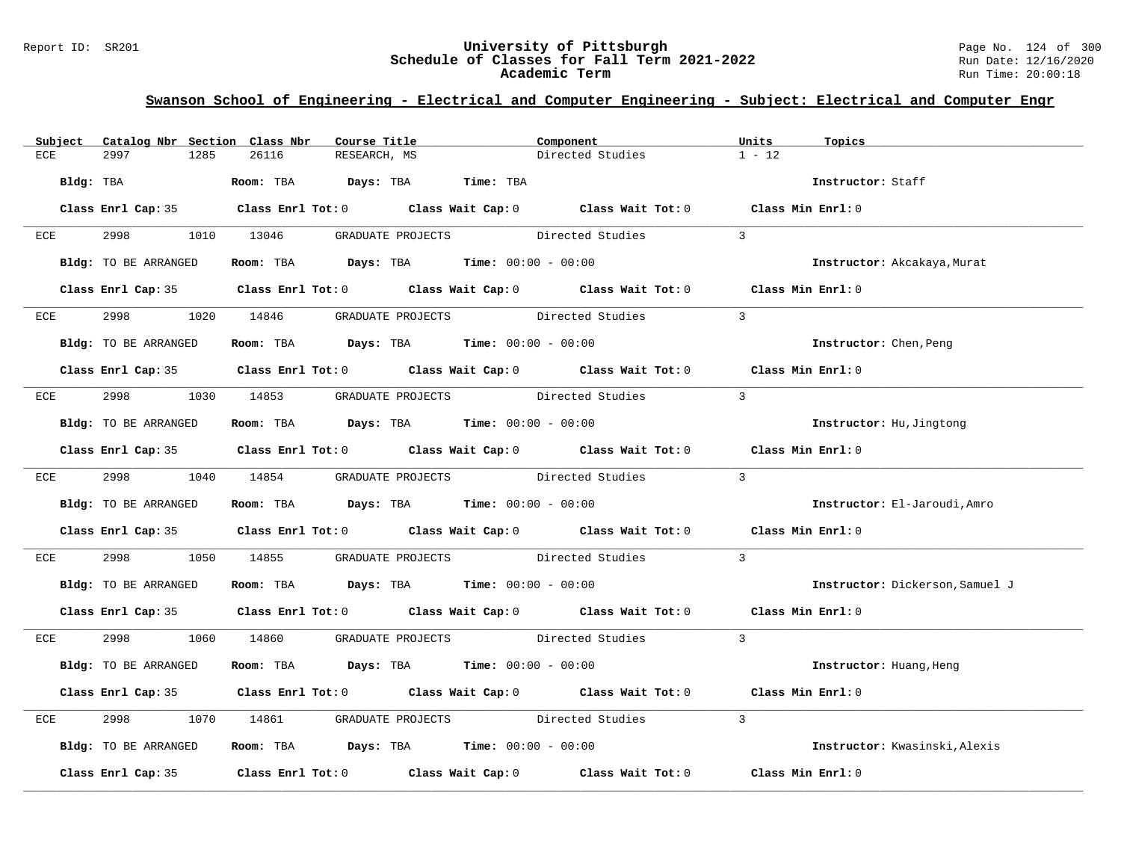### Report ID: SR201 **University of Pittsburgh** Page No. 124 of 300 **Schedule of Classes for Fall Term 2021-2022** Run Date: 12/16/2020 **Academic Term** Run Time: 20:00:18

| Subject   | Catalog Nbr Section Class Nbr | Course Title                                                                               | Component        | Units<br>Topics                 |
|-----------|-------------------------------|--------------------------------------------------------------------------------------------|------------------|---------------------------------|
| ECE       | 2997<br>1285                  | 26116<br>RESEARCH, MS                                                                      | Directed Studies | $1 - 12$                        |
| Bldg: TBA |                               | Room: TBA Days: TBA Time: TBA                                                              |                  | Instructor: Staff               |
|           |                               | Class Enrl Cap: 35 Class Enrl Tot: 0 Class Wait Cap: 0 Class Wait Tot: 0 Class Min Enrl: 0 |                  |                                 |
| ECE       |                               | 2998 1010 13046 GRADUATE PROJECTS Directed Studies                                         |                  | $\overline{3}$                  |
|           | Bldg: TO BE ARRANGED          | Room: TBA $Days:$ TBA $Time: 00:00 - 00:00$                                                |                  | Instructor: Akcakaya, Murat     |
|           |                               | Class Enrl Cap: 35 Class Enrl Tot: 0 Class Wait Cap: 0 Class Wait Tot: 0 Class Min Enrl: 0 |                  |                                 |
| ECE       | 2998 — 100                    | 1020 14846 GRADUATE PROJECTS Directed Studies                                              |                  | $\overline{3}$                  |
|           | Bldg: TO BE ARRANGED          | Room: TBA $Days:$ TBA $Time: 00:00 - 00:00$                                                |                  | Instructor: Chen, Peng          |
|           |                               | Class Enrl Cap: 35 Class Enrl Tot: 0 Class Wait Cap: 0 Class Wait Tot: 0 Class Min Enrl: 0 |                  |                                 |
| ECE       |                               | 2998 1030 14853 GRADUATE PROJECTS Directed Studies                                         |                  | $\overline{3}$                  |
|           | Bldg: TO BE ARRANGED          | Room: TBA $Days:$ TBA Time: $00:00 - 00:00$                                                |                  | Instructor: Hu, Jingtong        |
|           |                               | Class Enrl Cap: 35 Class Enrl Tot: 0 Class Wait Cap: 0 Class Wait Tot: 0 Class Min Enrl: 0 |                  |                                 |
| ECE       | 2998 1040 14854               | GRADUATE PROJECTS Directed Studies                                                         |                  | $\overline{\mathbf{3}}$         |
|           | Bldg: TO BE ARRANGED          | Room: TBA $\rule{1em}{0.15mm}$ Days: TBA Time: $00:00 - 00:00$                             |                  | Instructor: El-Jaroudi, Amro    |
|           |                               | Class Enrl Cap: 35 Class Enrl Tot: 0 Class Wait Cap: 0 Class Wait Tot: 0 Class Min Enrl: 0 |                  |                                 |
| ECE       | 2998                          | 1050 14855<br>GRADUATE PROJECTS Directed Studies                                           |                  | $\overline{3}$                  |
|           | Bldg: TO BE ARRANGED          | Room: TBA $Days:$ TBA $Time:$ 00:00 - 00:00                                                |                  | Instructor: Dickerson, Samuel J |
|           |                               | Class Enrl Cap: 35 Class Enrl Tot: 0 Class Wait Cap: 0 Class Wait Tot: 0 Class Min Enrl: 0 |                  |                                 |
| ECE       |                               | 2998 1060 14860 GRADUATE PROJECTS Directed Studies 3                                       |                  |                                 |
|           | Bldg: TO BE ARRANGED          | Room: TBA $Days:$ TBA $Time: 00:00 - 00:00$                                                |                  | Instructor: Huang, Heng         |
|           |                               | Class Enrl Cap: 35 Class Enrl Tot: 0 Class Wait Cap: 0 Class Wait Tot: 0 Class Min Enrl: 0 |                  |                                 |
| ECE       | 2998<br>1070                  | GRADUATE PROJECTS Directed Studies<br>14861                                                |                  | $\overline{3}$                  |
|           | Bldg: TO BE ARRANGED          | Room: TBA $\rule{1em}{0.15mm}$ Days: TBA $\rule{1.15mm}{0.15mm}$ Time: $00:00 - 00:00$     |                  | Instructor: Kwasinski, Alexis   |
|           |                               | Class Enrl Cap: 35 Class Enrl Tot: 0 Class Wait Cap: 0 Class Wait Tot: 0 Class Min Enrl: 0 |                  |                                 |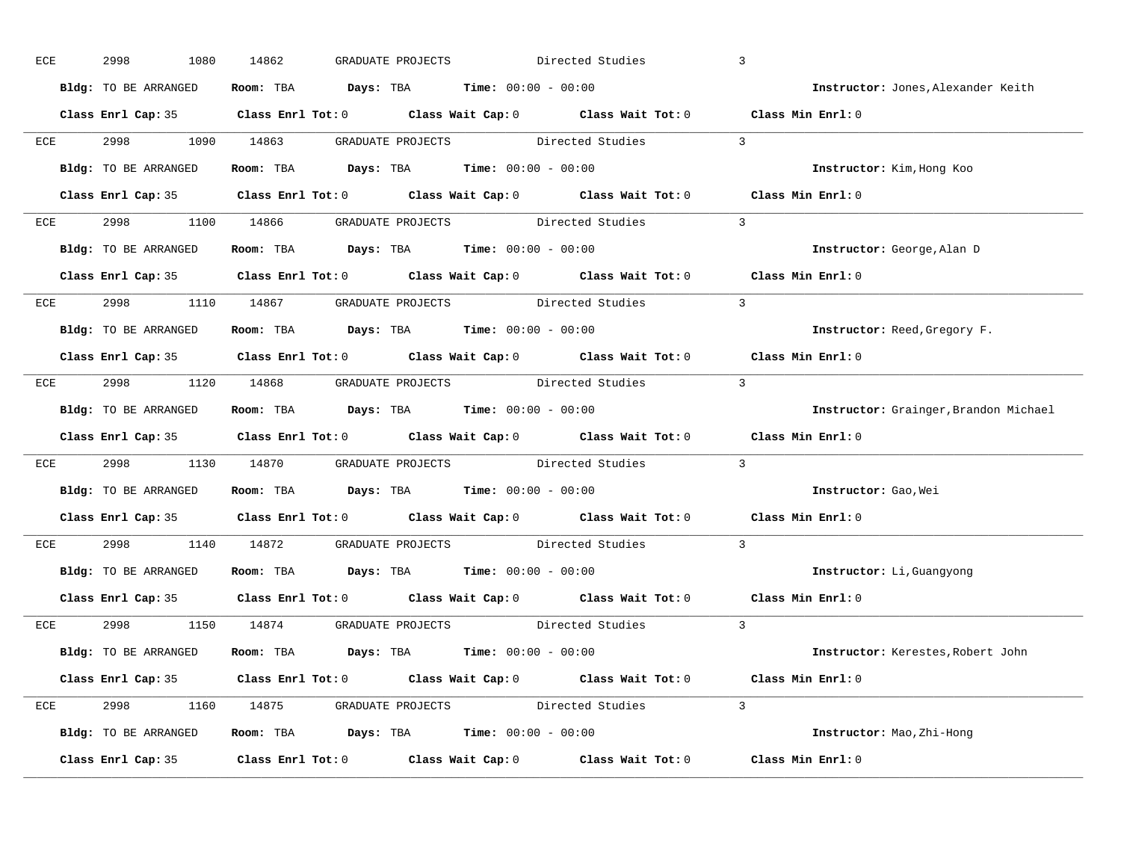| ECE |     | 2998<br>1080         | 14862 | GRADUATE PROJECTS                                                                                   | Directed Studies         | $\overline{3}$                        |
|-----|-----|----------------------|-------|-----------------------------------------------------------------------------------------------------|--------------------------|---------------------------------------|
|     |     | Bldg: TO BE ARRANGED |       | Room: TBA $Days:$ TBA $Time: 00:00 - 00:00$                                                         |                          | Instructor: Jones, Alexander Keith    |
|     |     |                      |       | Class Enrl Cap: 35 Class Enrl Tot: 0 Class Wait Cap: 0 Class Wait Tot: 0 Class Min Enrl: 0          |                          |                                       |
|     |     |                      |       | ECE 2998 1090 14863 GRADUATE PROJECTS Directed Studies                                              | $\sim$ 3                 |                                       |
|     |     | Bldg: TO BE ARRANGED |       | Room: TBA $Days:$ TBA Time: $00:00 - 00:00$                                                         |                          | Instructor: Kim, Hong Koo             |
|     |     |                      |       | Class Enrl Cap: 35 Class Enrl Tot: 0 Class Wait Cap: 0 Class Wait Tot: 0 Class Min Enrl: 0          |                          |                                       |
|     |     |                      |       | ECE 2998 1100 14866 GRADUATE PROJECTS Directed Studies 3                                            |                          |                                       |
|     |     |                      |       | Bldg: TO BE ARRANGED ROOM: TBA Days: TBA Time: 00:00 - 00:00                                        |                          | Instructor: George, Alan D            |
|     |     |                      |       | Class Enrl Cap: 35 Class Enrl Tot: 0 Class Wait Cap: 0 Class Wait Tot: 0 Class Min Enrl: 0          |                          |                                       |
|     |     |                      |       | ECE 2998 1110 14867 GRADUATE PROJECTS Directed Studies                                              | $\overline{\phantom{a}}$ |                                       |
|     |     | Bldg: TO BE ARRANGED |       | Room: TBA $Days:$ TBA $Time: 00:00 - 00:00$                                                         |                          | Instructor: Reed, Gregory F.          |
|     |     |                      |       | Class Enrl Cap: 35 Class Enrl Tot: 0 Class Wait Cap: 0 Class Wait Tot: 0 Class Min Enrl: 0          |                          |                                       |
|     |     |                      |       | ECE 2998 1120 14868 GRADUATE PROJECTS Directed Studies 3                                            |                          |                                       |
|     |     | Bldg: TO BE ARRANGED |       | Room: TBA $Days:$ TBA $Time: 00:00 - 00:00$                                                         |                          | Instructor: Grainger, Brandon Michael |
|     |     |                      |       | Class Enrl Cap: 35 Class Enrl Tot: 0 Class Wait Cap: 0 Class Wait Tot: 0 Class Min Enrl: 0          |                          |                                       |
|     | ECE |                      |       | 2998 1130 14870 GRADUATE PROJECTS Directed Studies                                                  |                          | $\mathbf{3}$                          |
|     |     | Bldg: TO BE ARRANGED |       | Room: TBA $Days:$ TBA $Time: 00:00 - 00:00$                                                         |                          | Instructor: Gao, Wei                  |
|     |     |                      |       | Class Enrl Cap: 35 $\qquad$ Class Enrl Tot: 0 $\qquad$ Class Wait Cap: 0 $\qquad$ Class Wait Tot: 0 |                          | Class Min Enrl: 0                     |
|     | ECE |                      |       | 2998 1140 14872 GRADUATE PROJECTS Directed Studies                                                  |                          | $\overline{3}$                        |
|     |     |                      |       | <b>Bldg:</b> TO BE ARRANGED <b>ROOM:</b> TBA <b>Days:</b> TBA <b>Time:</b> $00:00 - 00:00$          |                          | Instructor: Li, Guangyong             |
|     |     |                      |       | Class Enrl Cap: 35 Class Enrl Tot: 0 Class Wait Cap: 0 Class Wait Tot: 0                            |                          | Class Min Enrl: 0                     |
|     |     |                      |       | ECE 2998 1150 14874 GRADUATE PROJECTS Directed Studies                                              | $\sim$ 3                 |                                       |
|     |     | Bldg: TO BE ARRANGED |       | Room: TBA $\rule{1em}{0.15mm}$ Days: TBA Time: $00:00 - 00:00$                                      |                          | Instructor: Kerestes, Robert John     |
|     |     |                      |       | Class Enrl Cap: 35 Class Enrl Tot: 0 Class Wait Cap: 0 Class Wait Tot: 0 Class Min Enrl: 0          |                          |                                       |
|     |     |                      |       | ECE 2998 1160 14875 GRADUATE PROJECTS Directed Studies 3                                            |                          |                                       |
|     |     | Bldg: TO BE ARRANGED |       | Room: TBA $Days:$ TBA $Time: 00:00 - 00:00$                                                         |                          | Instructor: Mao, Zhi-Hong             |
|     |     |                      |       |                                                                                                     |                          |                                       |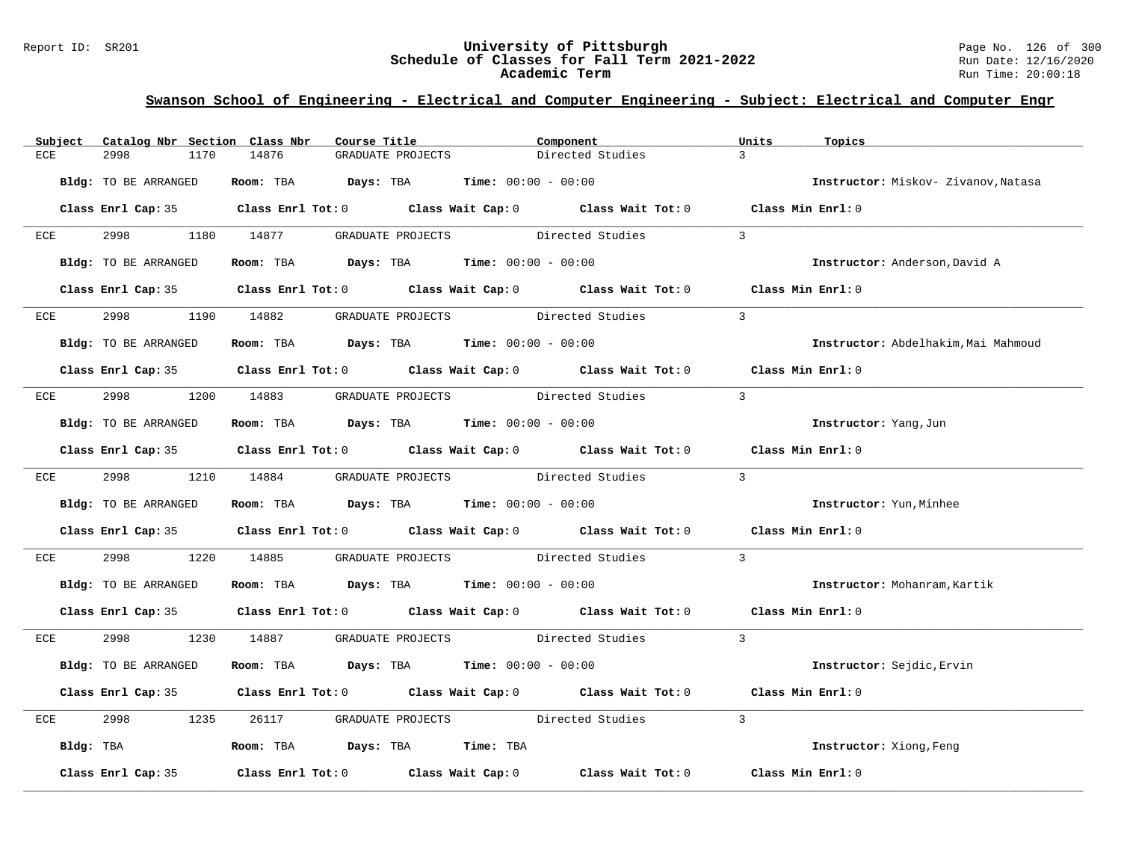### Report ID: SR201 **University of Pittsburgh** Page No. 126 of 300 **Schedule of Classes for Fall Term 2021-2022** Run Date: 12/16/2020 **Academic Term** Run Time: 20:00:18

|     | Subject Catalog Nbr Section Class Nbr | Course Title                                                           | Component                                                                                  | Units<br>Topics                     |
|-----|---------------------------------------|------------------------------------------------------------------------|--------------------------------------------------------------------------------------------|-------------------------------------|
| ECE | 2998<br>1170                          | 14876<br>GRADUATE PROJECTS                                             | Directed Studies                                                                           | $\mathcal{R}$                       |
|     | Bldg: TO BE ARRANGED                  | Room: TBA $Days: TBA$ Time: $00:00 - 00:00$                            |                                                                                            | Instructor: Miskov- Zivanov, Natasa |
|     |                                       |                                                                        | Class Enrl Cap: 35 Class Enrl Tot: 0 Class Wait Cap: 0 Class Wait Tot: 0 Class Min Enrl: 0 |                                     |
| ECE | 2998 1180 14877                       |                                                                        | GRADUATE PROJECTS Directed Studies                                                         | $\mathcal{E}$                       |
|     | Bldg: TO BE ARRANGED                  | Room: TBA $Days:$ TBA $Time: 00:00 - 00:00$                            |                                                                                            | Instructor: Anderson, David A       |
|     |                                       |                                                                        | Class Enrl Cap: 35 Class Enrl Tot: 0 Class Wait Cap: 0 Class Wait Tot: 0 Class Min Enrl: 0 |                                     |
| ECE | 2998 — 100                            | 1190 14882                                                             | GRADUATE PROJECTS Directed Studies                                                         | $\mathcal{E}$                       |
|     | Bldg: TO BE ARRANGED                  | Room: TBA $Days:$ TBA $Time: 00:00 - 00:00$                            |                                                                                            | Instructor: Abdelhakim, Mai Mahmoud |
|     |                                       |                                                                        | Class Enrl Cap: 35 Class Enrl Tot: 0 Class Wait Cap: 0 Class Wait Tot: 0 Class Min Enrl: 0 |                                     |
|     |                                       | ECE 2998 1200 14883 GRADUATE PROJECTS Directed Studies                 |                                                                                            | $\overline{3}$                      |
|     | Bldg: TO BE ARRANGED                  | Room: TBA $Days:$ TBA $Time: 00:00 - 00:00$                            |                                                                                            | Instructor: Yang, Jun               |
|     |                                       |                                                                        | Class Enrl Cap: 35 Class Enrl Tot: 0 Class Wait Cap: 0 Class Wait Tot: 0 Class Min Enrl: 0 |                                     |
|     | ECE 2998 1210 14884                   |                                                                        | $\overline{\mathbf{3}}$<br>GRADUATE PROJECTS Directed Studies                              |                                     |
|     | Bldg: TO BE ARRANGED                  | Room: TBA $Days:$ TBA $Time: 00:00 - 00:00$                            |                                                                                            | Instructor: Yun, Minhee             |
|     |                                       |                                                                        | Class Enrl Cap: 35 Class Enrl Tot: 0 Class Wait Cap: 0 Class Wait Tot: 0 Class Min Enrl: 0 |                                     |
| ECE | 2998 70                               | 1220 14885                                                             | GRADUATE PROJECTS Directed Studies                                                         | $\overline{3}$                      |
|     | Bldg: TO BE ARRANGED                  | Room: TBA $Days:$ TBA $Time: 00:00 - 00:00$                            |                                                                                            | Instructor: Mohanram, Kartik        |
|     |                                       |                                                                        | Class Enrl Cap: 35 Class Enrl Tot: 0 Class Wait Cap: 0 Class Wait Tot: 0 Class Min Enrl: 0 |                                     |
|     | ECE 2998                              |                                                                        | 1230 14887 GRADUATE PROJECTS Directed Studies 3                                            |                                     |
|     | Bldg: TO BE ARRANGED                  | Room: TBA $Days:$ TBA $Time: 00:00 - 00:00$                            |                                                                                            | Instructor: Sejdic, Ervin           |
|     |                                       |                                                                        | Class Enrl Cap: 35 Class Enrl Tot: 0 Class Wait Cap: 0 Class Wait Tot: 0 Class Min Enrl: 0 |                                     |
| ECE | 2998<br>1235                          | 26117                                                                  | GRADUATE PROJECTS Directed Studies                                                         | $\overline{3}$                      |
|     |                                       | Bldg: TBA                  Room: TBA        Days: TBA        Time: TBA |                                                                                            | Instructor: Xiong, Feng             |
|     | Class Enrl Cap: 35                    |                                                                        | Class Enrl Tot: $0$ Class Wait Cap: $0$ Class Wait Tot: $0$ Class Min Enrl: $0$            |                                     |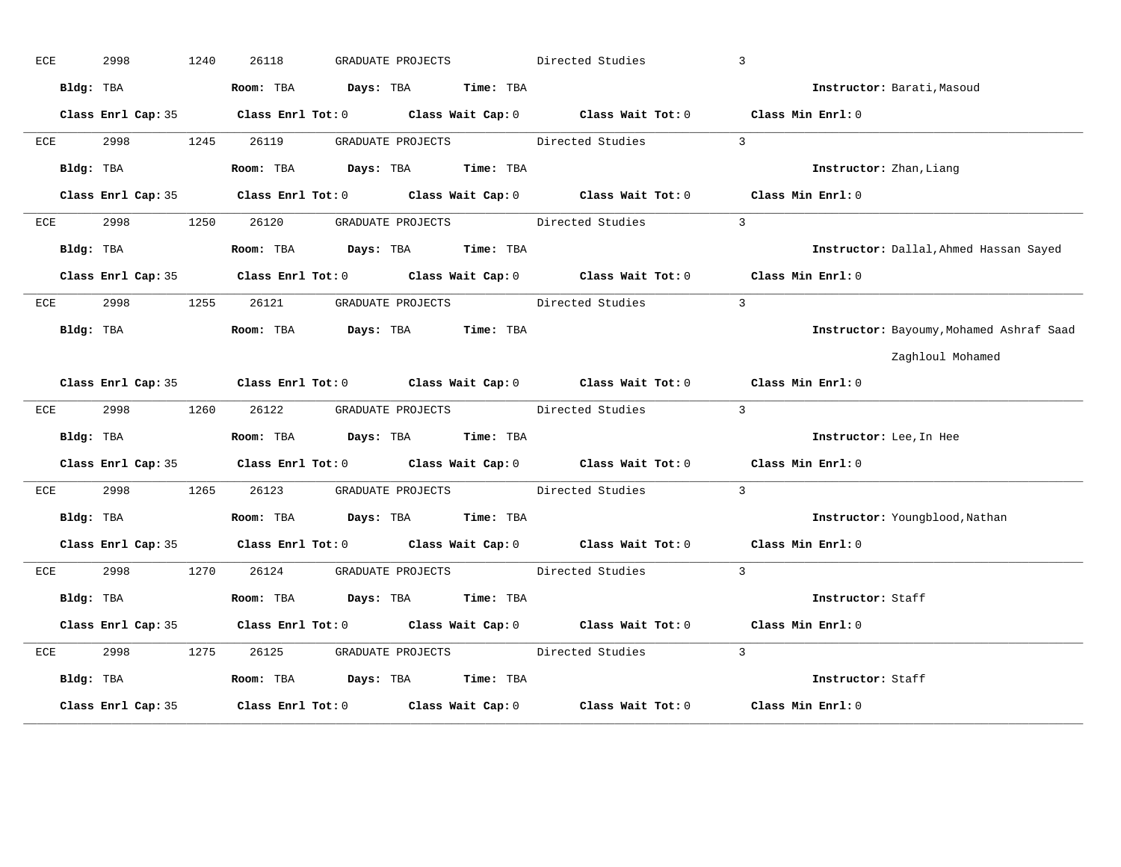| ECE | 2998      |                              | 1240 | 26118 |                     | GRADUATE PROJECTS |                               | Directed Studies                                                                           | 3                                        |
|-----|-----------|------------------------------|------|-------|---------------------|-------------------|-------------------------------|--------------------------------------------------------------------------------------------|------------------------------------------|
|     | Bldg: TBA |                              |      |       | Room: TBA Days: TBA |                   | <b>Time:</b> TBA              |                                                                                            | Instructor: Barati, Masoud               |
|     |           |                              |      |       |                     |                   |                               | Class Enrl Cap: 35 Class Enrl Tot: 0 Class Wait Cap: 0 Class Wait Tot: 0 Class Min Enrl: 0 |                                          |
| ECE |           | 2998 and the state of $\sim$ | 1245 | 26119 |                     |                   |                               | GRADUATE PROJECTS Directed Studies                                                         | $\overline{3}$                           |
|     |           | Bldg: TBA                    |      |       |                     |                   | Room: TBA Days: TBA Time: TBA |                                                                                            | Instructor: Zhan, Liang                  |
|     |           |                              |      |       |                     |                   |                               | Class Enrl Cap: 35 Class Enrl Tot: 0 Class Wait Cap: 0 Class Wait Tot: 0 Class Min Enrl: 0 |                                          |
| ECE | 2998      |                              | 1250 | 26120 |                     |                   | GRADUATE PROJECTS             | Directed Studies                                                                           | $\mathbf{3}$                             |
|     | Bldg: TBA |                              |      |       | Room: TBA Days: TBA |                   | Time: TBA                     |                                                                                            | Instructor: Dallal, Ahmed Hassan Sayed   |
|     |           |                              |      |       |                     |                   |                               | Class Enrl Cap: 35 Class Enrl Tot: 0 Class Wait Cap: 0 Class Wait Tot: 0 Class Min Enrl: 0 |                                          |
| ECE |           | 2998 — 100                   | 1255 | 26121 |                     |                   |                               | GRADUATE PROJECTS Directed Studies                                                         | $\overline{3}$                           |
|     |           | Bldg: TBA                    |      |       |                     |                   | Room: TBA Days: TBA Time: TBA |                                                                                            | Instructor: Bayoumy, Mohamed Ashraf Saad |
|     |           |                              |      |       |                     |                   |                               |                                                                                            | Zaghloul Mohamed                         |
|     |           |                              |      |       |                     |                   |                               | Class Enrl Cap: 35 Class Enrl Tot: 0 Class Wait Cap: 0 Class Wait Tot: 0 Class Min Enrl: 0 |                                          |
| ECE |           | 2998 — 100                   | 1260 | 26122 |                     |                   |                               | GRADUATE PROJECTS Directed Studies                                                         | $\overline{3}$                           |
|     |           | Bldg: TBA                    |      |       |                     |                   | Room: TBA Days: TBA Time: TBA |                                                                                            | Instructor: Lee, In Hee                  |
|     |           |                              |      |       |                     |                   |                               | Class Enrl Cap: 35 Class Enrl Tot: 0 Class Wait Cap: 0 Class Wait Tot: 0 Class Min Enrl: 0 |                                          |
| ECE | 2998      |                              | 1265 | 26123 |                     |                   | GRADUATE PROJECTS             | Directed Studies                                                                           | $\overline{3}$                           |
|     | Bldg: TBA |                              |      |       |                     |                   | Room: TBA Days: TBA Time: TBA |                                                                                            | Instructor: Youngblood, Nathan           |
|     |           |                              |      |       |                     |                   |                               | Class Enrl Cap: 35 Class Enrl Tot: 0 Class Wait Cap: 0 Class Wait Tot: 0 Class Min Enrl: 0 |                                          |
| ECE |           | 2998                         | 1270 | 26124 |                     |                   |                               | GRADUATE PROJECTS Directed Studies                                                         | $\overline{3}$                           |
|     | Bldg: TBA |                              |      |       |                     |                   | Room: TBA Days: TBA Time: TBA |                                                                                            | Instructor: Staff                        |
|     |           |                              |      |       |                     |                   |                               | Class Enrl Cap: 35 Class Enrl Tot: 0 Class Wait Cap: 0 Class Wait Tot: 0 Class Min Enrl: 0 |                                          |
| ECE | 2998      |                              | 1275 | 26125 |                     |                   | GRADUATE PROJECTS             | Directed Studies                                                                           | $\overline{3}$                           |
|     | Bldg: TBA |                              |      |       |                     |                   | Room: TBA Days: TBA Time: TBA |                                                                                            | Instructor: Staff                        |
|     |           | Class Enrl Cap: 35           |      |       |                     |                   |                               | Class Enrl Tot: $0$ Class Wait Cap: $0$ Class Wait Tot: $0$                                | Class Min Enrl: 0                        |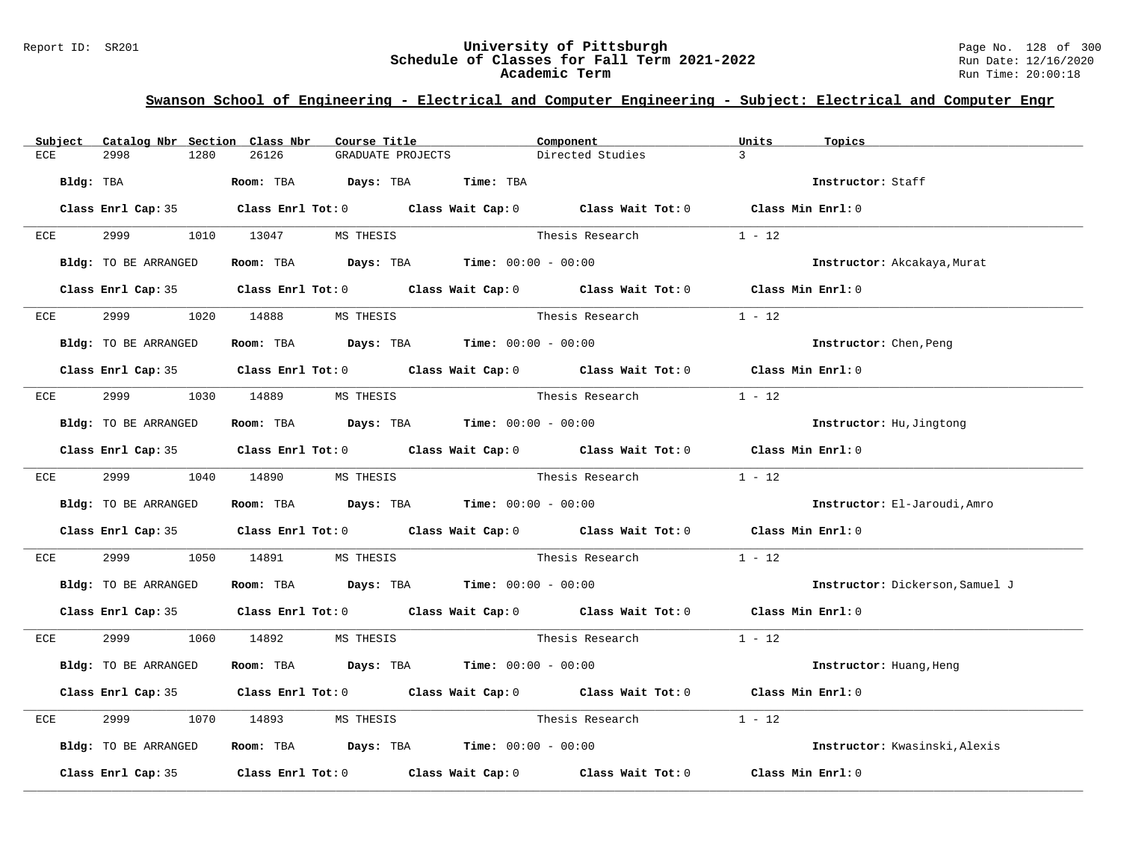### Report ID: SR201 **University of Pittsburgh** Page No. 128 of 300 **Schedule of Classes for Fall Term 2021-2022** Run Date: 12/16/2020 **Academic Term** Run Time: 20:00:18

| Subject | Catalog Nbr Section Class Nbr | Course Title                                                                           | Component                                                                                  | Units<br>Topics                 |
|---------|-------------------------------|----------------------------------------------------------------------------------------|--------------------------------------------------------------------------------------------|---------------------------------|
| ECE     | 2998<br>1280                  | 26126<br>GRADUATE PROJECTS                                                             | Directed Studies                                                                           | $\mathcal{R}$                   |
|         | Bldg: TBA                     | Room: TBA Days: TBA                                                                    | Time: TBA                                                                                  | Instructor: Staff               |
|         |                               |                                                                                        | Class Enrl Cap: 35 Class Enrl Tot: 0 Class Wait Cap: 0 Class Wait Tot: 0 Class Min Enrl: 0 |                                 |
| ECE     | 2999 — 200                    | 1010 13047 MS THESIS                                                                   | Thesis Research                                                                            | $1 - 12$                        |
|         | Bldg: TO BE ARRANGED          | Room: TBA $Days:$ TBA $Time: 00:00 - 00:00$                                            |                                                                                            | Instructor: Akcakaya, Murat     |
|         |                               |                                                                                        | Class Enrl Cap: 35 Class Enrl Tot: 0 Class Wait Cap: 0 Class Wait Tot: 0 Class Min Enrl: 0 |                                 |
| ECE     | 2999                          | 1020 14888<br>MS THESIS                                                                | Thesis Research                                                                            | $1 - 12$                        |
|         | Bldg: TO BE ARRANGED          | Room: TBA Days: TBA Time: $00:00 - 00:00$                                              |                                                                                            | Instructor: Chen, Peng          |
|         |                               |                                                                                        | Class Enrl Cap: 35 Class Enrl Tot: 0 Class Wait Cap: 0 Class Wait Tot: 0 Class Min Enrl: 0 |                                 |
| ECE     |                               | 2999 1030 14889 MS THESIS                                                              | Thesis Research                                                                            | $1 - 12$                        |
|         | Bldg: TO BE ARRANGED          | Room: TBA $Days:$ TBA $Time: 00:00 - 00:00$                                            |                                                                                            | Instructor: Hu, Jingtong        |
|         |                               |                                                                                        | Class Enrl Cap: 35 Class Enrl Tot: 0 Class Wait Cap: 0 Class Wait Tot: 0 Class Min Enrl: 0 |                                 |
|         |                               | ECE 2999 1040 14890 MS THESIS                                                          | Thesis Research $1 - 12$                                                                   |                                 |
|         | Bldg: TO BE ARRANGED          | Room: TBA $Days: TBA$ Time: $00:00 - 00:00$                                            |                                                                                            | Instructor: El-Jaroudi, Amro    |
|         |                               |                                                                                        | Class Enrl Cap: 35 Class Enrl Tot: 0 Class Wait Cap: 0 Class Wait Tot: 0 Class Min Enrl: 0 |                                 |
| ECE     | 2999<br>1050                  | 14891<br>MS THESIS                                                                     | Thesis Research                                                                            | $1 - 12$                        |
|         | Bldg: TO BE ARRANGED          | Room: TBA $Days:$ TBA $Time: 00:00 - 00:00$                                            |                                                                                            | Instructor: Dickerson, Samuel J |
|         |                               |                                                                                        | Class Enrl Cap: 35 Class Enrl Tot: 0 Class Wait Cap: 0 Class Wait Tot: 0 Class Min Enrl: 0 |                                 |
| ECE     | 2999 1060 14892               | MS THESIS                                                                              | Thesis Research 1 - 12                                                                     |                                 |
|         | Bldg: TO BE ARRANGED          | Room: TBA $Days:$ TBA $Time: 00:00 - 00:00$                                            |                                                                                            | Instructor: Huang, Heng         |
|         |                               |                                                                                        | Class Enrl Cap: 35 Class Enrl Tot: 0 Class Wait Cap: 0 Class Wait Tot: 0 Class Min Enrl: 0 |                                 |
| ECE     | 2999<br>1070                  | 14893<br>MS THESIS                                                                     | Thesis Research                                                                            | $1 - 12$                        |
|         | Bldg: TO BE ARRANGED          | Room: TBA $\rule{1em}{0.15mm}$ Days: TBA $\rule{1.15mm}{0.15mm}$ Time: $00:00 - 00:00$ |                                                                                            | Instructor: Kwasinski, Alexis   |
|         |                               |                                                                                        | Class Enrl Cap: 35 Class Enrl Tot: 0 Class Wait Cap: 0 Class Wait Tot: 0 Class Min Enrl: 0 |                                 |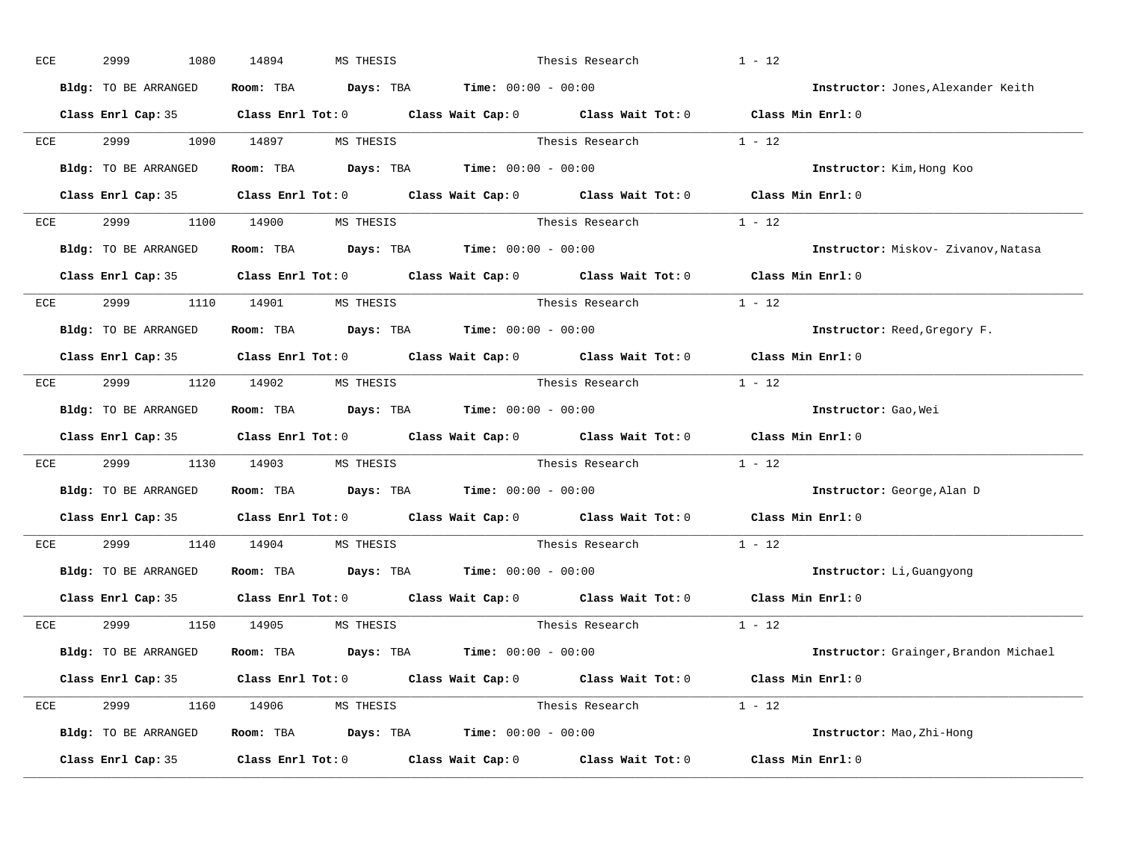| ECE | 2999                          | 1080 | 14894 | MS THESIS | Thesis Research                                                                            |                                                                          | $1 - 12$                                                                                   |
|-----|-------------------------------|------|-------|-----------|--------------------------------------------------------------------------------------------|--------------------------------------------------------------------------|--------------------------------------------------------------------------------------------|
|     | Bldg: TO BE ARRANGED          |      |       |           | Room: TBA $Days:$ TBA $Time: 00:00 - 00:00$                                                |                                                                          | Instructor: Jones, Alexander Keith                                                         |
|     |                               |      |       |           |                                                                                            |                                                                          | Class Enrl Cap: 35 Class Enrl Tot: 0 Class Wait Cap: 0 Class Wait Tot: 0 Class Min Enrl: 0 |
|     |                               |      |       |           |                                                                                            | ECE $2999$ 1090 14897 MSTHESIS Thesis Research 1 - 12                    |                                                                                            |
|     | Bldg: TO BE ARRANGED          |      |       |           | Room: TBA $\rule{1em}{0.15mm}$ Days: TBA Time: $00:00 - 00:00$                             |                                                                          | Instructor: Kim, Hong Koo                                                                  |
|     |                               |      |       |           |                                                                                            |                                                                          | Class Enrl Cap: 35 Class Enrl Tot: 0 Class Wait Cap: 0 Class Wait Tot: 0 Class Min Enrl: 0 |
|     | ECE 2999 1100 14900 MS THESIS |      |       |           |                                                                                            | Thesis Research $1 - 12$                                                 |                                                                                            |
|     |                               |      |       |           | <b>Bldg:</b> TO BE ARRANGED <b>Room:</b> TBA <b>Days:</b> TBA <b>Time:</b> $00:00 - 00:00$ |                                                                          | Instructor: Miskov- Zivanov, Natasa                                                        |
|     |                               |      |       |           |                                                                                            |                                                                          | Class Enrl Cap: 35 Class Enrl Tot: 0 Class Wait Cap: 0 Class Wait Tot: 0 Class Min Enrl: 0 |
|     | ECE 2999 1110 14901 MS THESIS |      |       |           |                                                                                            | Thesis Research 1 - 12                                                   |                                                                                            |
|     | Bldg: TO BE ARRANGED          |      |       |           | Room: TBA $Days:$ TBA $Time: 00:00 - 00:00$                                                |                                                                          | Instructor: Reed, Gregory F.                                                               |
|     |                               |      |       |           |                                                                                            |                                                                          | Class Enrl Cap: 35 Class Enrl Tot: 0 Class Wait Cap: 0 Class Wait Tot: 0 Class Min Enrl: 0 |
|     | ECE 2999 1120 14902 MS THESIS |      |       |           |                                                                                            | Thesis Research $1 - 12$                                                 |                                                                                            |
|     | Bldg: TO BE ARRANGED          |      |       |           | Room: TBA $\rule{1em}{0.15mm}$ Days: TBA $\rule{1.5mm}{0.15mm}$ Time: $00:00 - 00:00$      |                                                                          | Instructor: Gao, Wei                                                                       |
|     |                               |      |       |           |                                                                                            |                                                                          | Class Enrl Cap: 35 Class Enrl Tot: 0 Class Wait Cap: 0 Class Wait Tot: 0 Class Min Enrl: 0 |
| ECE | 2999 1130 14903 MS THESIS     |      |       |           |                                                                                            | Thesis Research 1 - 12                                                   |                                                                                            |
|     | Bldg: TO BE ARRANGED          |      |       |           | Room: TBA $\rule{1em}{0.15mm}$ Days: TBA $\rule{1.5mm}{0.15mm}$ Time: $00:00 - 00:00$      |                                                                          | Instructor: George, Alan D                                                                 |
|     |                               |      |       |           |                                                                                            | Class Enrl Cap: 35 Class Enrl Tot: 0 Class Wait Cap: 0 Class Wait Tot: 0 | Class Min Enrl: 0                                                                          |
| ECE | 2999 1140 14904 MS THESIS     |      |       |           |                                                                                            | Thesis Research                                                          | $1 - 12$                                                                                   |
|     |                               |      |       |           | <b>Bldg:</b> TO BE ARRANGED <b>ROOM:</b> TBA <b>Days:</b> TBA <b>Time:</b> $00:00 - 00:00$ |                                                                          | Instructor: Li, Guangyong                                                                  |
|     | Class Enrl Cap: 35            |      |       |           |                                                                                            | Class Enrl Tot: $0$ Class Wait Cap: $0$ Class Wait Tot: $0$              | Class Min Enrl: 0                                                                          |
|     | ECE 2999 1150 14905 MSTHESIS  |      |       |           |                                                                                            | Thesis Research                                                          | $1 - 12$                                                                                   |
|     | Bldg: TO BE ARRANGED          |      |       |           | Room: TBA $Days:$ TBA $Time: 00:00 - 00:00$                                                |                                                                          | Instructor: Grainger, Brandon Michael                                                      |
|     |                               |      |       |           |                                                                                            |                                                                          | Class Enrl Cap: 35 Class Enrl Tot: 0 Class Wait Cap: 0 Class Wait Tot: 0 Class Min Enrl: 0 |
|     | ECE 2999 1160 14906 MS THESIS |      |       |           |                                                                                            | Thesis Research $1 - 12$                                                 |                                                                                            |
|     | Bldg: TO BE ARRANGED          |      |       |           | Room: TBA $Days:$ TBA $Time: 00:00 - 00:00$                                                |                                                                          | Instructor: Mao, Zhi-Hong                                                                  |
|     |                               |      |       |           |                                                                                            |                                                                          | Class Enrl Cap: 35 Class Enrl Tot: 0 Class Wait Cap: 0 Class Wait Tot: 0 Class Min Enrl: 0 |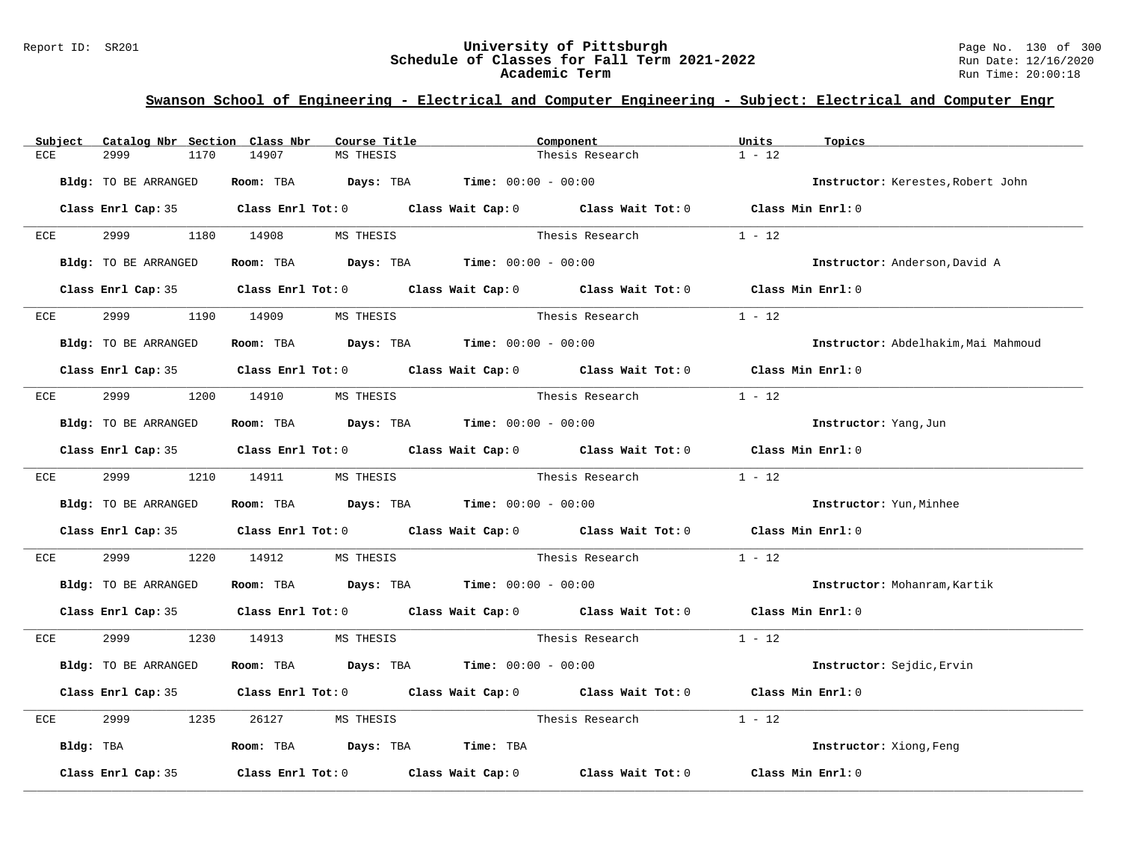### Report ID: SR201 **12.1 Conserved Builder Conserved Builder Schedule of Classes for Fall Term 2021-2022** Page No. 130 of 300 Page No. 130 of 300 Schedule of Classes for Fall Term 2021-2022 **Schedule of Classes for Fall Term 2021-2022** Run Date: 12/16/2020 **Academic Term** Run Time: 20:00:18

| Subject | Catalog Nbr Section Class Nbr | Course Title                                | Component                                                                                  | Units<br>Topics                     |
|---------|-------------------------------|---------------------------------------------|--------------------------------------------------------------------------------------------|-------------------------------------|
| ECE     | 2999<br>1170                  | 14907<br>MS THESIS                          | Thesis Research                                                                            | $1 - 12$                            |
|         | Bldg: TO BE ARRANGED          | Room: TBA $Days: TBA$ Time: $00:00 - 00:00$ |                                                                                            | Instructor: Kerestes, Robert John   |
|         |                               |                                             | Class Enrl Cap: 35 Class Enrl Tot: 0 Class Wait Cap: 0 Class Wait Tot: 0 Class Min Enrl: 0 |                                     |
| ECE     | 2999                          | 1180 14908 MS THESIS                        | Thesis Research                                                                            | $1 - 12$                            |
|         | Bldg: TO BE ARRANGED          | Room: TBA $Days:$ TBA $Time: 00:00 - 00:00$ |                                                                                            | Instructor: Anderson, David A       |
|         |                               |                                             | Class Enrl Cap: 35 Class Enrl Tot: 0 Class Wait Cap: 0 Class Wait Tot: 0 Class Min Enrl: 0 |                                     |
| ECE     | 2999 — 100                    | 1190 14909<br>MS THESIS                     | Thesis Research                                                                            | $1 - 12$                            |
|         | Bldg: TO BE ARRANGED          | Room: TBA $Days:$ TBA $Time: 00:00 - 00:00$ |                                                                                            | Instructor: Abdelhakim, Mai Mahmoud |
|         |                               |                                             | Class Enrl Cap: 35 Class Enrl Tot: 0 Class Wait Cap: 0 Class Wait Tot: 0 Class Min Enrl: 0 |                                     |
|         | ECE 2999                      | 1200 14910 MS THESIS                        | Thesis Research                                                                            | $1 - 12$                            |
|         | Bldg: TO BE ARRANGED          | Room: TBA $Days:$ TBA $Time: 00:00 - 00:00$ |                                                                                            | Instructor: Yang, Jun               |
|         |                               |                                             | Class Enrl Cap: 35 Class Enrl Tot: 0 Class Wait Cap: 0 Class Wait Tot: 0 Class Min Enrl: 0 |                                     |
|         | ECE 2999                      | 1210  14911  MS THESIS                      | Thesis Research                                                                            | $1 - 12$                            |
|         | Bldg: TO BE ARRANGED          | Room: TBA $Days: TBA$ Time: $00:00 - 00:00$ |                                                                                            | Instructor: Yun, Minhee             |
|         |                               |                                             | Class Enrl Cap: 35 Class Enrl Tot: 0 Class Wait Cap: 0 Class Wait Tot: 0                   | Class Min Enrl: 0                   |
| ECE     | 2999                          | 1220 14912<br>MS THESIS                     | Thesis Research                                                                            | $1 - 12$                            |
|         | Bldg: TO BE ARRANGED          | Room: TBA $Days:$ TBA $Time: 00:00 - 00:00$ |                                                                                            | Instructor: Mohanram, Kartik        |
|         |                               |                                             | Class Enrl Cap: 35 Class Enrl Tot: 0 Class Wait Cap: 0 Class Wait Tot: 0 Class Min Enrl: 0 |                                     |
|         | ECE 2999                      | 1230 14913 MS THESIS                        | Thesis Research 1 - 12                                                                     |                                     |
|         | Bldg: TO BE ARRANGED          | Room: TBA $Days:$ TBA $Time: 00:00 - 00:00$ |                                                                                            | Instructor: Sejdic, Ervin           |
|         |                               |                                             | Class Enrl Cap: 35 Class Enrl Tot: 0 Class Wait Cap: 0 Class Wait Tot: 0 Class Min Enrl: 0 |                                     |
| ECE     | 2999<br>1235                  | 26127<br>MS THESIS                          | Thesis Research                                                                            | $1 - 12$                            |
|         | Bldg: TBA                     | Room: TBA Days: TBA Time: TBA               |                                                                                            | Instructor: Xiong, Feng             |
|         | Class Enrl Cap: 35            |                                             | Class Enrl Tot: $0$ Class Wait Cap: $0$ Class Wait Tot: $0$ Class Min Enrl: $0$            |                                     |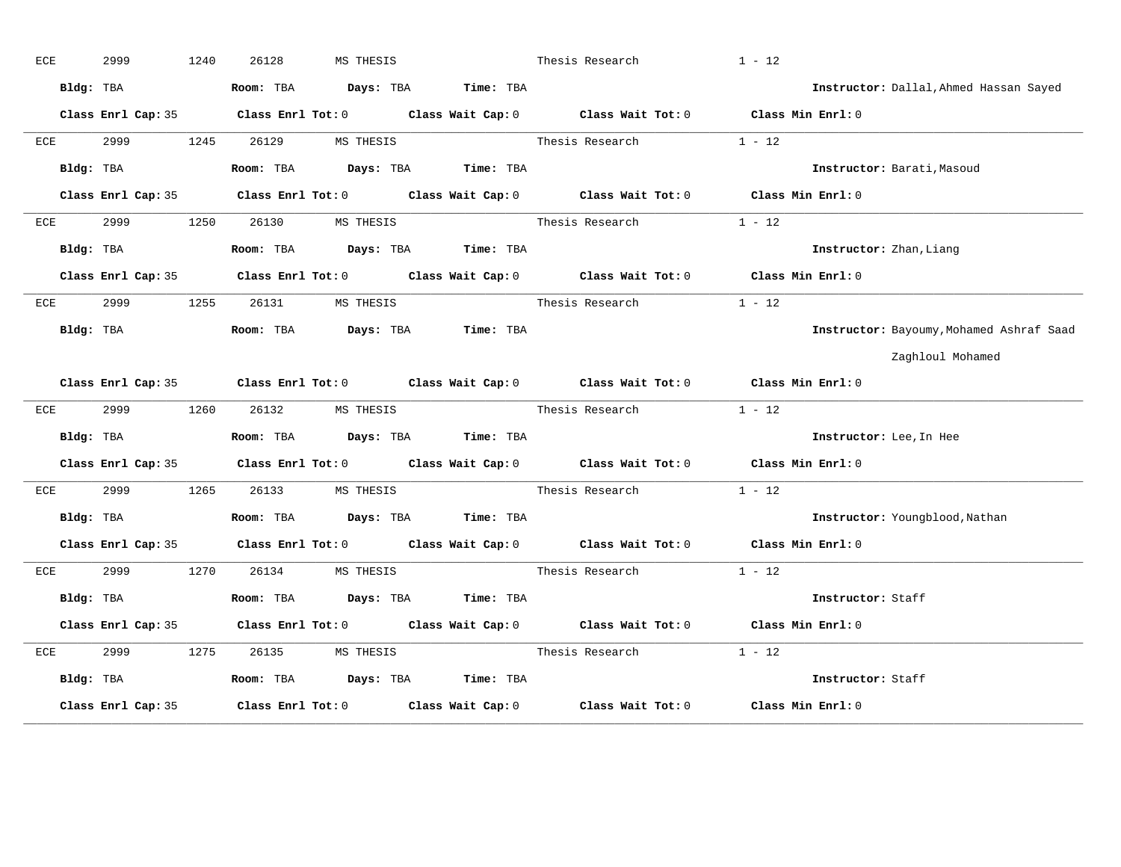| ECE |           | 2999      |                    | 1240 | 26128     |       | MS THESIS |                               | Thesis Research                                                                            | $1 - 12$          |                                          |
|-----|-----------|-----------|--------------------|------|-----------|-------|-----------|-------------------------------|--------------------------------------------------------------------------------------------|-------------------|------------------------------------------|
|     | Bldg: TBA |           |                    |      | Room: TBA |       |           | Days: TBA Time: TBA           |                                                                                            |                   | Instructor: Dallal, Ahmed Hassan Sayed   |
|     |           |           | Class Enrl Cap: 35 |      |           |       |           |                               | Class Enrl Tot: $0$ Class Wait Cap: $0$ Class Wait Tot: $0$ Class Min Enrl: $0$            |                   |                                          |
| ECE |           | 2999      |                    | 1245 | 26129     |       | MS THESIS |                               | Thesis Research                                                                            | $1 - 12$          |                                          |
|     | Bldg: TBA |           |                    |      | Room: TBA |       |           | Days: TBA Time: TBA           |                                                                                            |                   | Instructor: Barati, Masoud               |
|     |           |           | Class Enrl Cap: 35 |      |           |       |           |                               | Class Enrl Tot: 0 Class Wait Cap: 0 Class Wait Tot: 0                                      | Class Min Enrl: 0 |                                          |
| ECE |           | 2999      |                    | 1250 | 26130     |       | MS THESIS |                               | Thesis Research                                                                            | $1 - 12$          |                                          |
|     | Bldg: TBA |           |                    |      | Room: TBA |       |           | Days: TBA Time: TBA           |                                                                                            |                   | Instructor: Zhan, Liang                  |
|     |           |           | Class Enrl Cap: 35 |      |           |       |           |                               | Class Enrl Tot: $0$ Class Wait Cap: $0$ Class Wait Tot: $0$ Class Min Enrl: $0$            |                   |                                          |
| ECE |           | 2999      |                    | 1255 |           | 26131 | MS THESIS |                               | Thesis Research                                                                            | $1 - 12$          |                                          |
|     |           | Bldg: TBA |                    |      | Room: TBA |       |           | Days: TBA Time: TBA           |                                                                                            |                   | Instructor: Bayoumy, Mohamed Ashraf Saad |
|     |           |           |                    |      |           |       |           |                               |                                                                                            |                   | Zaghloul Mohamed                         |
|     |           |           |                    |      |           |       |           |                               | Class Enrl Cap: 35 Class Enrl Tot: 0 Class Wait Cap: 0 Class Wait Tot: 0 Class Min Enrl: 0 |                   |                                          |
| ECE |           | 2999      |                    | 1260 |           | 26132 | MS THESIS |                               | Thesis Research                                                                            | $1 - 12$          |                                          |
|     |           | Bldg: TBA |                    |      |           |       |           | Room: TBA Days: TBA Time: TBA |                                                                                            |                   | Instructor: Lee, In Hee                  |
|     |           |           | Class Enrl Cap: 35 |      |           |       |           |                               | Class Enrl Tot: 0 Class Wait Cap: 0 Class Wait Tot: 0                                      | Class Min Enrl: 0 |                                          |
| ECE |           | 2999      |                    | 1265 |           | 26133 | MS THESIS |                               | Thesis Research                                                                            | $1 - 12$          |                                          |
|     |           | Bldg: TBA |                    |      |           |       |           | Room: TBA Days: TBA Time: TBA |                                                                                            |                   | Instructor: Youngblood, Nathan           |
|     |           |           | Class Enrl Cap: 35 |      |           |       |           |                               | Class Enrl Tot: 0 Class Wait Cap: 0 Class Wait Tot: 0 Class Min Enrl: 0                    |                   |                                          |
| ECE |           | 2999      |                    | 1270 |           | 26134 | MS THESIS |                               | Thesis Research                                                                            | $1 - 12$          |                                          |
|     |           | Bldg: TBA |                    |      | Room: TBA |       |           | Days: TBA Time: TBA           |                                                                                            |                   | Instructor: Staff                        |
|     |           |           | Class Enrl Cap: 35 |      |           |       |           |                               | Class Enrl Tot: 0 Class Wait Cap: 0 Class Wait Tot: 0                                      | Class Min Enrl: 0 |                                          |
| ECE |           | 2999      |                    | 1275 |           | 26135 | MS THESIS |                               | Thesis Research                                                                            | $1 - 12$          |                                          |
|     | Bldg: TBA |           |                    |      |           |       |           | Room: TBA Days: TBA Time: TBA |                                                                                            |                   | Instructor: Staff                        |
|     |           |           | Class Enrl Cap: 35 |      |           |       |           |                               | Class Enrl Tot: $0$ Class Wait Cap: $0$ Class Wait Tot: $0$ Class Min Enrl: $0$            |                   |                                          |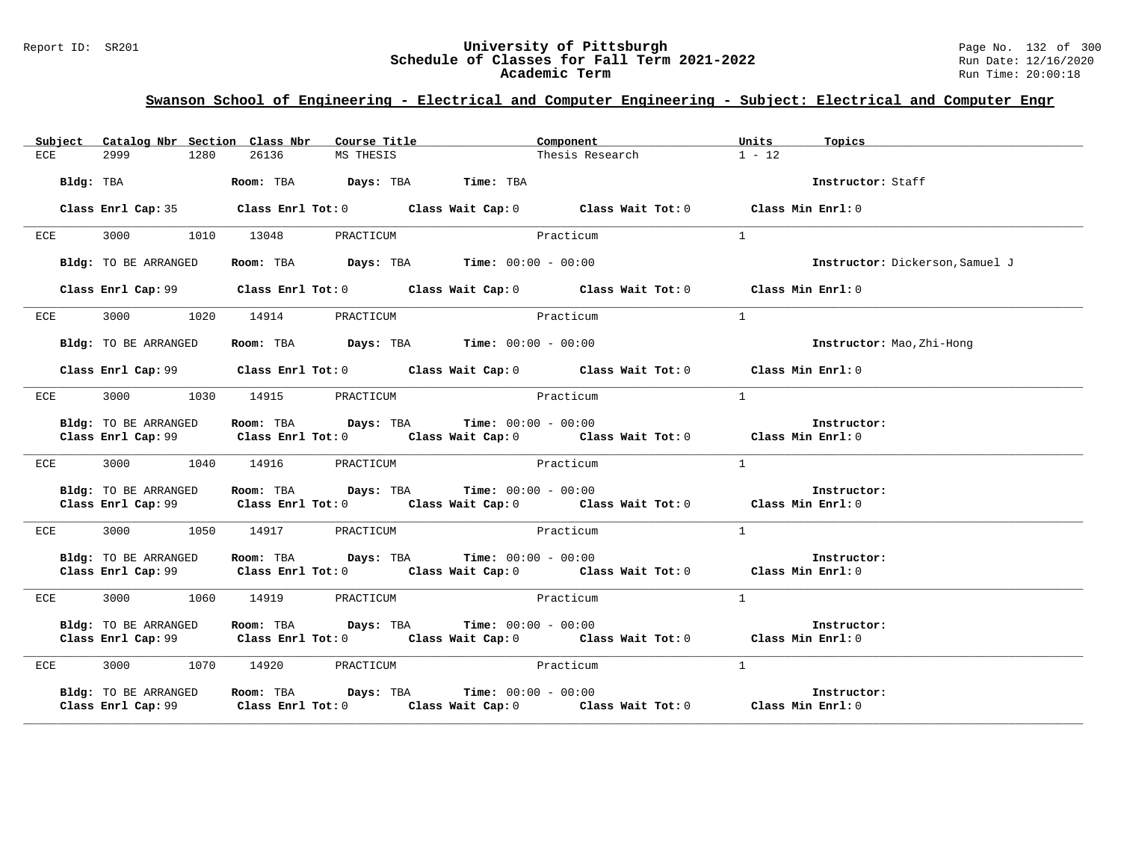### Report ID: SR201 **12 CHE CONFERNATIV SCHEDUIG CONFERNATIV OF PITTSburgh** Page No. 132 of 300 **Schedule of Classes for Fall Term 2021-2022** Page No. 132 of 300 Page No. 132 of 300 Page No. 132 of 300 Page: 12/16/2020 **Schedule of Classes for Fall Term 2021-2022** Run Date: 12/16/2020 **Academic Term** Run Time: 20:00:18

| Subject Catalog Nbr Section Class Nbr | Course Title                                                            | Component                                                                                  | Units<br>Topics                 |
|---------------------------------------|-------------------------------------------------------------------------|--------------------------------------------------------------------------------------------|---------------------------------|
| 2999<br>1280<br>ECE                   | 26136<br>MS THESIS                                                      | Thesis Research                                                                            | $1 - 12$                        |
| Bldg: TBA                             | Room: TBA Days: TBA Time: TBA                                           |                                                                                            | Instructor: Staff               |
| Class Enrl Cap: 35                    |                                                                         | Class Enrl Tot: $0$ Class Wait Cap: $0$ Class Wait Tot: $0$ Class Min Enrl: $0$            |                                 |
| 3000 1010 13048<br>ECE                | PRACTICUM                                                               | Practicum                                                                                  | <sup>1</sup>                    |
| Bldg: TO BE ARRANGED                  | Room: TBA $\rule{1em}{0.15mm}$ Days: TBA $\qquad$ Time: $00:00 - 00:00$ |                                                                                            | Instructor: Dickerson, Samuel J |
|                                       |                                                                         | Class Enrl Cap: 99 Class Enrl Tot: 0 Class Wait Cap: 0 Class Wait Tot: 0 Class Min Enrl: 0 |                                 |
| 3000 1020 14914<br>ECE                | PRACTICUM                                                               | Practicum                                                                                  | $\overline{1}$                  |
| Bldg: TO BE ARRANGED                  | Room: TBA $Days:$ TBA $Time: 00:00 - 00:00$                             |                                                                                            | Instructor: Mao, Zhi-Hong       |
|                                       |                                                                         | Class Enrl Cap: 99 Class Enrl Tot: 0 Class Wait Cap: 0 Class Wait Tot: 0 Class Min Enrl: 0 |                                 |
| ECE                                   | 3000 1030 14915 PRACTICUM                                               | Practicum                                                                                  | $\overline{1}$                  |
| Bldg: TO BE ARRANGED                  | Room: TBA $Days:$ TBA $Time: 00:00 - 00:00$                             |                                                                                            | Instructor:                     |
|                                       |                                                                         | Class Enrl Cap: 99 Class Enrl Tot: 0 Class Wait Cap: 0 Class Wait Tot: 0 Class Min Enrl: 0 |                                 |
| ECE                                   | 3000 1040 14916 PRACTICUM                                               | Practicum                                                                                  | $\mathbf{1}$                    |
| Bldg: TO BE ARRANGED                  | Room: TBA $Days: TBA$ Time: $00:00 - 00:00$                             | Class Enrl Cap: 99 Class Enrl Tot: 0 Class Wait Cap: 0 Class Wait Tot: 0 Class Min Enrl: 0 | Instructor:                     |
| ECE                                   | 3000 1050 14917 PRACTICUM Practicum                                     |                                                                                            | 1                               |
| Bldg: TO BE ARRANGED                  | Room: TBA $Days: TBA$ Time: $00:00 - 00:00$                             | Class Enrl Cap: 99 Class Enrl Tot: 0 Class Wait Cap: 0 Class Wait Tot: 0 Class Min Enrl: 0 | Instructor:                     |
| 1060<br>3000<br>ECE                   | 14919<br>PRACTICUM                                                      | Practicum                                                                                  | $\mathbf{1}$                    |
| Bldg: TO BE ARRANGED                  | Room: TBA $Days:$ TBA $Time: 00:00 - 00:00$                             | Class Enrl Cap: 99 Class Enrl Tot: 0 Class Wait Cap: 0 Class Wait Tot: 0 Class Min Enrl: 0 | Instructor:                     |
| 3000 1070 14920<br>ECE                | PRACTICUM                                                               | Practicum                                                                                  | $\overline{1}$                  |
| Bldg: TO BE ARRANGED                  | Room: TBA $Days:$ TBA $Time: 00:00 - 00:00$                             | Class Enrl Cap: 99 Class Enrl Tot: 0 Class Wait Cap: 0 Class Wait Tot: 0 Class Min Enrl: 0 | Instructor:                     |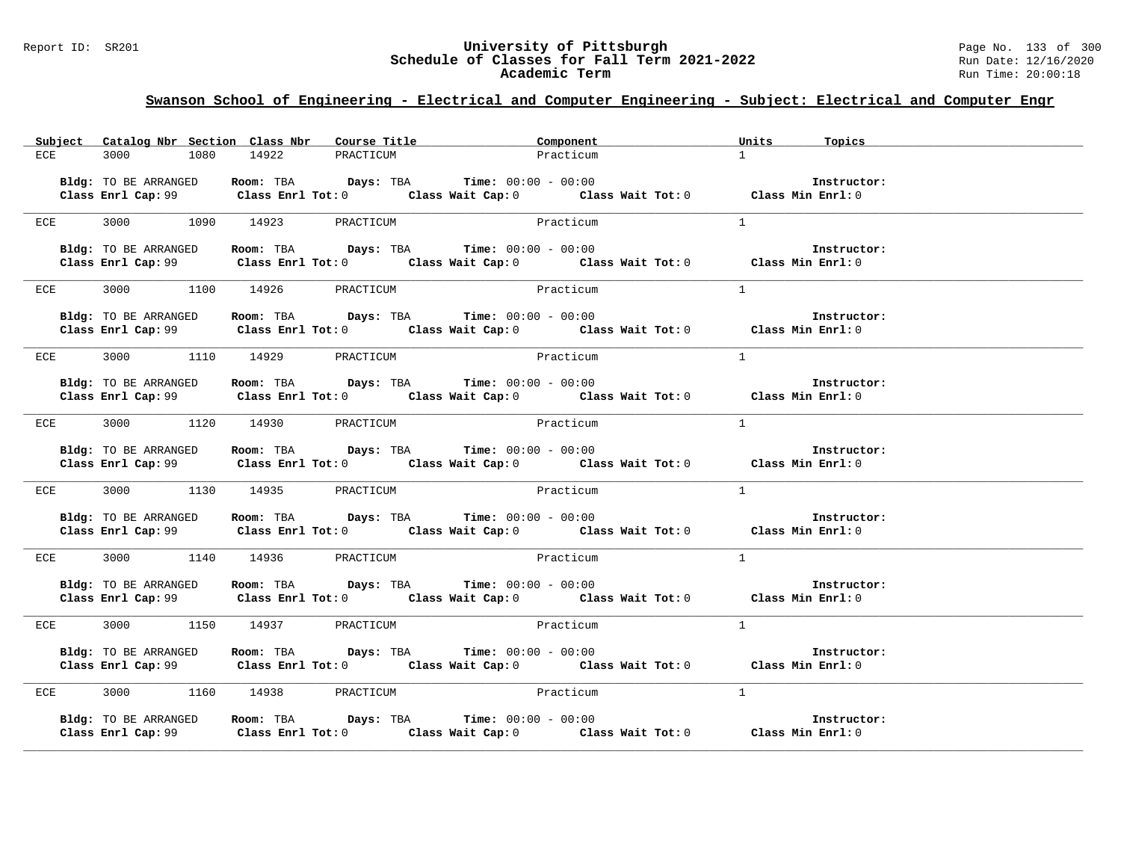# Report ID: SR201 **1988 Chedule of Classes for Fall Term 2021-2022** Page No. 133 of 300 Page No. 133 of 300 Page No<br>**Schedule of Classes for Fall Term 2021-2022** Run Date: 12/16/2020 Schedule of Classes for Fall Term 2021-2022<br>Academic Term

|                    | Subject Catalog Nbr Section Class Nbr |                           | Course Title                                                   | Component                                                                                                                                                                        | Units<br>Topics |  |
|--------------------|---------------------------------------|---------------------------|----------------------------------------------------------------|----------------------------------------------------------------------------------------------------------------------------------------------------------------------------------|-----------------|--|
| 3000<br>ECE        | 1080                                  | 14922                     | PRACTICUM                                                      | Practicum                                                                                                                                                                        | $\mathbf{1}$    |  |
|                    | Bldg: TO BE ARRANGED                  |                           | Room: TBA $\rule{1em}{0.15mm}$ Days: TBA Time: $00:00 - 00:00$ | Class Enrl Cap: 99 Class Enrl Tot: 0 Class Wait Cap: 0 Class Wait Tot: 0 Class Enrl Cap: 0 Class Enrl Cap: 0 Class Wait Tot: 0 Class Min Enrl: 0                                 | Instructor:     |  |
| ECE                | 3000 1090 14923                       |                           | PRACTICUM                                                      | Practicum                                                                                                                                                                        | $\mathbf{1}$    |  |
|                    | Bldg: TO BE ARRANGED                  |                           | Room: TBA Days: TBA Time: $00:00 - 00:00$                      | <b>BLOGI:</b> IO BE ARRANGED <b>ROOM:</b> IBA Days: IBA Time: 00:00 - 00:00<br>Class Enrl Cap: 99 Class Enrl Tot: 0 Class Wait Cap: 0 Class Wait Tot: 0 Class Min Enrl: 0        | Instructor:     |  |
| ECE                |                                       | 3000 1100 14926 PRACTICUM |                                                                | Practicum                                                                                                                                                                        | $\mathbf{1}$    |  |
|                    | Bldg: TO BE ARRANGED                  |                           | Room: TBA $Days:$ TBA $Time: 00:00 - 00:00$                    | <b>BLOGIOUT ARTAINGED ROOM:</b> TEA Days: TEA Time: $00:00 - 00:00$ Class Wait Tot: 0 Class Enrl Cap: 99 Class Enrl Tot: 0 Class Wait Cap: 0 Class Wait Tot: 0 Class Enrl Tot: 0 | Instructor:     |  |
| ECE                | 3000 1110 14929                       |                           | PRACTICUM                                                      | Practicum                                                                                                                                                                        | $\mathbf{1}$    |  |
|                    | Bldg: TO BE ARRANGED                  |                           | Room: TBA $Days: TBA$ Time: $00:00 - 00:00$                    | Class Enrl Cap: 99 Class Enrl Tot: 0 Class Wait Cap: 0 Class Wait Tot: 0 Class Min Enrl: 0                                                                                       | Instructor:     |  |
| ECE                |                                       | 3000 1120 14930 PRACTICUM |                                                                | Practicum                                                                                                                                                                        | $\overline{1}$  |  |
|                    | Bldg: TO BE ARRANGED                  |                           | Room: TBA $Days:$ TBA $Time: 00:00 - 00:00$                    | Class Enrl Cap: 99 Class Enrl Tot: 0 Class Wait Cap: 0 Class Wait Tot: 0 Class Min Enrl: 0                                                                                       | Instructor:     |  |
| ECE                |                                       | 3000 1130 14935 PRACTICUM |                                                                | Practicum                                                                                                                                                                        | $\overline{1}$  |  |
|                    | Bldg: TO BE ARRANGED                  |                           | Room: TBA $Days:$ TBA $Time: 00:00 - 00:00$                    | Class Enrl Cap: 99 Class Enrl Tot: 0 Class Wait Cap: 0 Class Wait Tot: 0 Class Min Enrl: 0                                                                                       | Instructor:     |  |
| ECE                | 3000 1140 14936                       |                           | PRACTICUM                                                      | Practicum                                                                                                                                                                        | $\mathbf{1}$    |  |
|                    | Bldg: TO BE ARRANGED                  | Room: TBA Days: TBA       | $Time: 00:00 - 00:00$                                          | Class Enrl Cap: 99 Class Enrl Tot: 0 Class Wait Cap: 0 Class Wait Tot: 0 Class Min Enrl: 0                                                                                       | Instructor:     |  |
| ECE                |                                       | 3000 1150 14937 PRACTICUM |                                                                | Practicum                                                                                                                                                                        | $\mathbf{1}$    |  |
|                    | Bldg: TO BE ARRANGED                  |                           | Room: TBA $Days:$ TBA $Time: 00:00 - 00:00$                    | Class Enrl Cap: 99 Class Enrl Tot: 0 Class Wait Cap: 0 Class Wait Tot: 0 Class Min Enrl: 0                                                                                       | Instructor:     |  |
| ECE                |                                       | 3000 1160 14938 PRACTICUM | Practicum                                                      |                                                                                                                                                                                  | 1               |  |
| Class Enrl Cap: 99 | Bldg: TO BE ARRANGED                  |                           | Room: TBA $Days:$ TBA $Time: 00:00 - 00:00$                    | Class Enrl Tot: $0$ class Wait Cap: $0$ class Wait Tot: $0$ class Min Enrl: $0$                                                                                                  | Instructor:     |  |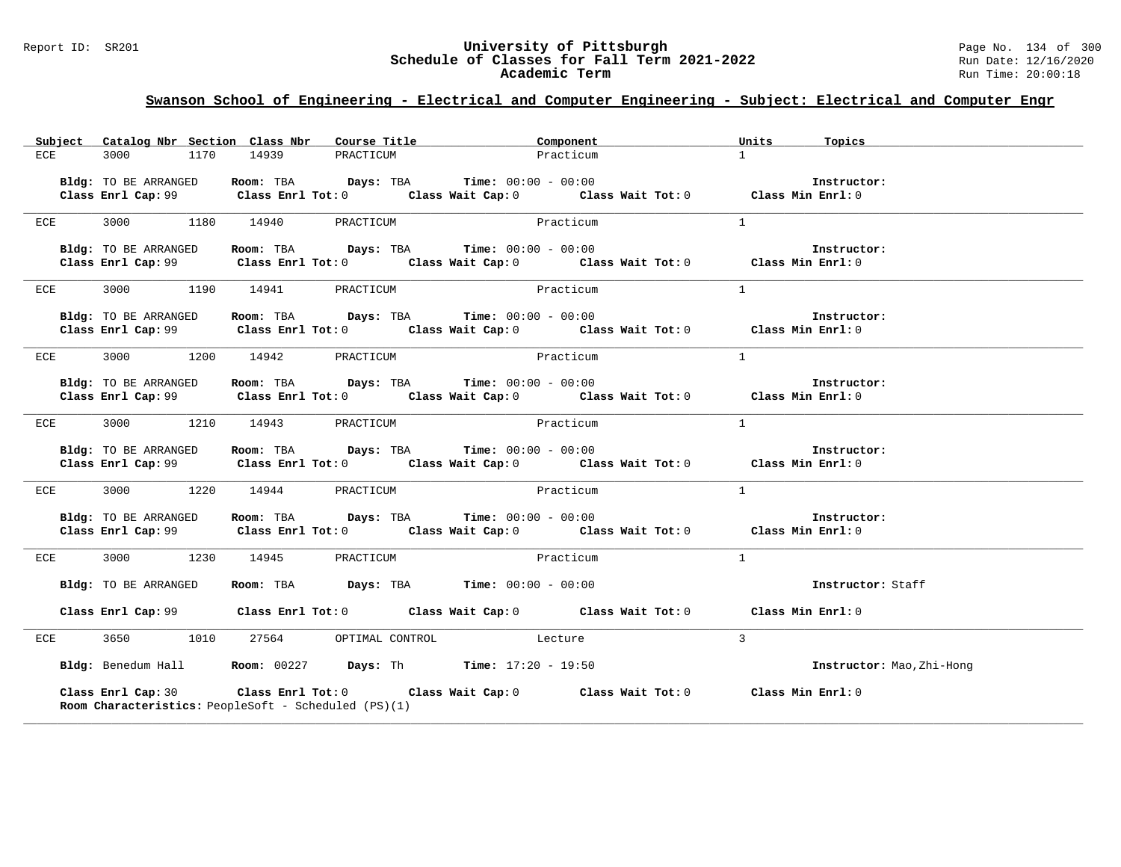### Report ID: SR201 **University of Pittsburgh** Page No. 134 of 300 **Schedule of Classes for Fall Term 2021-2022** Run Date: 12/16/2020 **Academic Term** Run Time: 20:00:18

|     |                      | Subject Catalog Nbr Section Class Nbr Course Title                                         | Component                                                                                                                                                                                                                                                                       | Units Topics              |
|-----|----------------------|--------------------------------------------------------------------------------------------|---------------------------------------------------------------------------------------------------------------------------------------------------------------------------------------------------------------------------------------------------------------------------------|---------------------------|
| ECE | 3000 1170            | 14939<br>PRACTICUM                                                                         | Practicum                                                                                                                                                                                                                                                                       | $1 \quad$                 |
|     |                      |                                                                                            |                                                                                                                                                                                                                                                                                 |                           |
|     | Bldg: TO BE ARRANGED | Room: TBA $\rule{1em}{0.15mm}$ Days: TBA Time: $00:00 - 00:00$                             | $\frac{2443}{1000}$ . The $\frac{2443}{1000}$ of $\frac{2443}{1000}$ of $\frac{2443}{1000}$ of $\frac{2443}{1000}$ of $\frac{2443}{1000}$ of $\frac{2443}{1000}$ of $\frac{2443}{1000}$ of $\frac{2443}{1000}$ of $\frac{2443}{1000}$ of $\frac{2443}{1000}$ of $\frac{2443}{1$ | Instructor:               |
|     |                      |                                                                                            |                                                                                                                                                                                                                                                                                 |                           |
|     |                      | ECE 3000 1180 14940 PRACTICUM                                                              | Practicum                                                                                                                                                                                                                                                                       | $\overline{1}$            |
|     |                      |                                                                                            |                                                                                                                                                                                                                                                                                 |                           |
|     | Bldg: TO BE ARRANGED | Room: TBA $\rule{1em}{0.15mm}$ Days: TBA Time: $00:00 - 00:00$                             | Class Enrl Cap: 99 Class Enrl Tot: 0 Class Wait Cap: 0 Class Wait Tot: 0 Class Min Enrl: 0                                                                                                                                                                                      | Instructor:               |
|     |                      |                                                                                            |                                                                                                                                                                                                                                                                                 |                           |
|     |                      | ECE 3000 1190 14941 PRACTICUM                                                              | Practicum                                                                                                                                                                                                                                                                       | $\mathbf{1}$              |
|     |                      |                                                                                            |                                                                                                                                                                                                                                                                                 |                           |
|     | Bldg: TO BE ARRANGED | Room: TBA $\rule{1em}{0.15mm}$ Days: TBA Time: $00:00 - 00:00$                             |                                                                                                                                                                                                                                                                                 | Instructor:               |
|     |                      |                                                                                            | Class Enrl Cap: 99 Class Enrl Tot: 0 Class Wait Cap: 0 Class Wait Tot: 0 Class Min Enrl: 0                                                                                                                                                                                      |                           |
| ECE |                      | 3000 1200 14942 PRACTICUM Practicum                                                        |                                                                                                                                                                                                                                                                                 | 1                         |
|     |                      |                                                                                            |                                                                                                                                                                                                                                                                                 |                           |
|     | Bldg: TO BE ARRANGED | <b>Room:</b> TBA $Days: TBA$ <b>Time:</b> $00:00 - 00:00$                                  |                                                                                                                                                                                                                                                                                 | Instructor:               |
|     |                      |                                                                                            | Class Enrl Cap: 99 Class Enrl Tot: 0 Class Wait Cap: 0 Class Wait Tot: 0 Class Min Enrl: 0                                                                                                                                                                                      |                           |
| ECE |                      | 3000 1210 14943 PRACTICUM                                                                  | Practicum                                                                                                                                                                                                                                                                       | 1                         |
|     |                      |                                                                                            |                                                                                                                                                                                                                                                                                 |                           |
|     |                      | Bldg: TO BE ARRANGED Room: TBA Days: TBA Time: 00:00 - 00:00                               |                                                                                                                                                                                                                                                                                 | Instructor:               |
|     |                      |                                                                                            | Class Enrl Cap: 99 Class Enrl Tot: 0 Class Wait Cap: 0 Class Wait Tot: 0 Class Min Enrl: 0                                                                                                                                                                                      |                           |
|     |                      | ECE 3000 1220 14944 PRACTICUM                                                              | Practicum                                                                                                                                                                                                                                                                       | $\overline{1}$            |
|     |                      |                                                                                            |                                                                                                                                                                                                                                                                                 |                           |
|     | Bldg: TO BE ARRANGED | Room: TBA $Days:$ TBA $Time: 00:00 - 00:00$                                                |                                                                                                                                                                                                                                                                                 | Instructor:               |
|     |                      |                                                                                            | Class Enrl Cap: 99 Class Enrl Tot: 0 Class Wait Cap: 0 Class Wait Tot: 0 Class Min Enrl: 0                                                                                                                                                                                      |                           |
|     |                      | ECE 3000 1230 14945 PRACTICUM                                                              | Practicum                                                                                                                                                                                                                                                                       | $\mathbf{1}$              |
|     |                      |                                                                                            |                                                                                                                                                                                                                                                                                 |                           |
|     |                      | <b>Bldg:</b> TO BE ARRANGED <b>Room:</b> TBA <b>Days:</b> TBA <b>Time:</b> $00:00 - 00:00$ |                                                                                                                                                                                                                                                                                 | Instructor: Staff         |
|     |                      |                                                                                            | Class Enrl Cap: 99 Class Enrl Tot: 0 Class Wait Cap: 0 Class Wait Tot: 0 Class Min Enrl: 0                                                                                                                                                                                      |                           |
|     |                      |                                                                                            |                                                                                                                                                                                                                                                                                 |                           |
| ECE |                      | 3650 1010 27564 OPTIMAL CONTROL Lecture                                                    |                                                                                                                                                                                                                                                                                 | $\mathbf{3}$              |
|     |                      | Bldg: Benedum Hall <b>Room:</b> 00227 <b>Days:</b> Th <b>Time:</b> 17:20 - 19:50           |                                                                                                                                                                                                                                                                                 | Instructor: Mao, Zhi-Hong |
|     |                      |                                                                                            |                                                                                                                                                                                                                                                                                 |                           |
|     | Class Enrl Cap: 30   |                                                                                            | Class Enrl Tot: $0$ Class Wait Cap: $0$ Class Wait Tot: $0$ Class Min Enrl: $0$                                                                                                                                                                                                 |                           |
|     |                      | <b>Room Characteristics:</b> PeopleSoft - Scheduled (PS)(1)                                |                                                                                                                                                                                                                                                                                 |                           |
|     |                      |                                                                                            |                                                                                                                                                                                                                                                                                 |                           |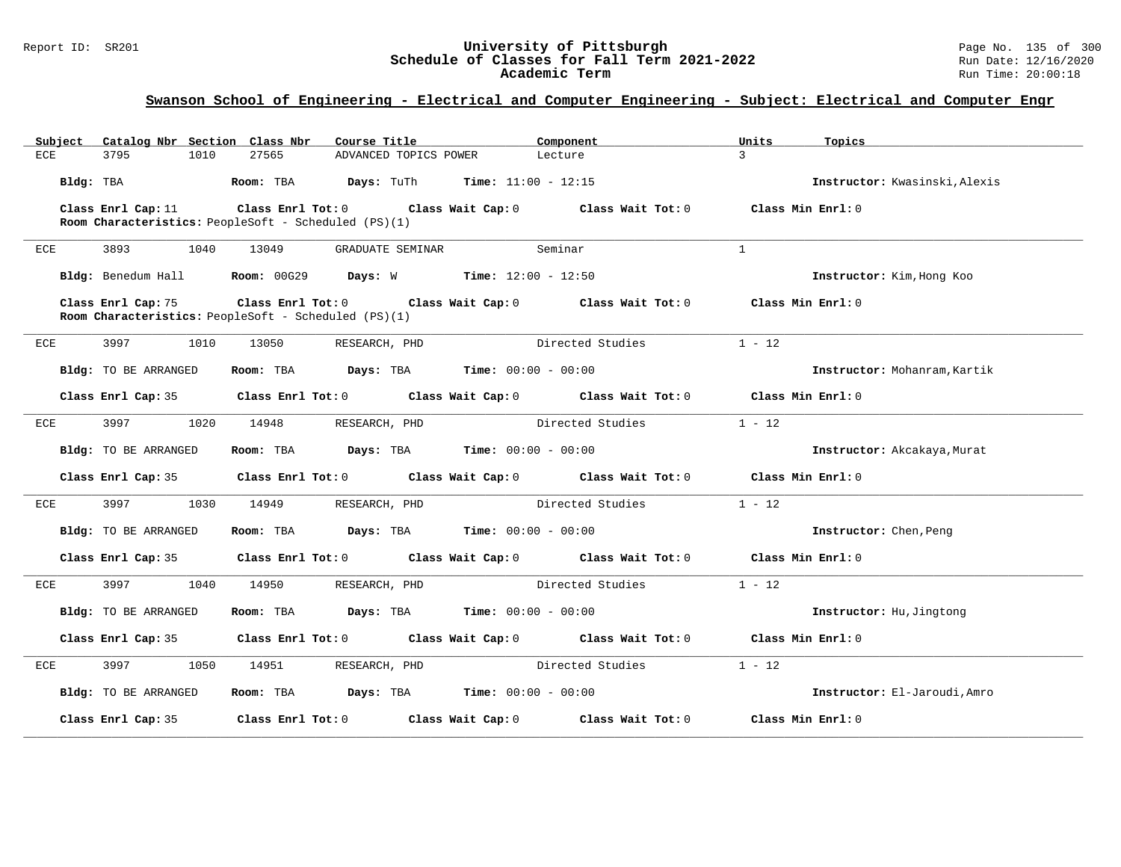# Report ID: SR201 **1988 Chedule of Classes for Fall Term 2021-2022** Page No. 135 of 300 Page No. 135 of 300 Page No<br>**Schedule of Classes for Fall Term 2021-2022** Run Date: 12/16/2020 Schedule of Classes for Fall Term 2021-2022<br>Academic Term

| Catalog Nbr Section Class Nbr<br>Subject | Course Title                                                                                                                            | Component                    | Units<br>Topics               |
|------------------------------------------|-----------------------------------------------------------------------------------------------------------------------------------------|------------------------------|-------------------------------|
| <b>ECE</b><br>3795<br>1010               | 27565<br>ADVANCED TOPICS POWER                                                                                                          | Lecture                      | $\mathbf{z}$                  |
| Bldg: TBA                                | Room: TBA<br>Days: TuTh                                                                                                                 | <b>Time:</b> $11:00 - 12:15$ | Instructor: Kwasinski, Alexis |
| Class Enrl Cap: 11                       | Class Enrl Tot: $0$ Class Wait Cap: $0$ Class Wait Tot: $0$ Class Min Enrl: $0$<br>Room Characteristics: PeopleSoft - Scheduled (PS)(1) |                              |                               |
| 3893<br>1040<br>ECE                      | 13049<br>GRADUATE SEMINAR                                                                                                               | Seminar                      | $\mathbf{1}$                  |
|                                          | <b>Bldg:</b> Benedum Hall <b>Room:</b> 00G29 <b>Days:</b> W <b>Time:</b> $12:00 - 12:50$                                                |                              | Instructor: Kim, Hong Koo     |
| Class Enrl Cap: 75                       | Class Enrl Tot: $0$ Class Wait Cap: $0$ Class Wait Tot: $0$ Class Min Enrl: $0$<br>Room Characteristics: PeopleSoft - Scheduled (PS)(1) |                              |                               |
| 3997<br>1010<br>ECE                      | 13050<br>RESEARCH, PHD                                                                                                                  | Directed Studies             | $1 - 12$                      |
| Bldg: TO BE ARRANGED                     | Room: TBA $Days:$ TBA $Time: 00:00 - 00:00$                                                                                             |                              | Instructor: Mohanram, Kartik  |
|                                          | Class Enrl Cap: 35 Class Enrl Tot: 0 Class Wait Cap: 0 Class Wait Tot: 0 Class Min Enrl: 0                                              |                              |                               |
| 3997<br>1020<br>ECE                      | 14948<br>RESEARCH, PHD                                                                                                                  | Directed Studies             | $1 - 12$                      |
| Bldg: TO BE ARRANGED                     | Room: TBA $Days:$ TBA $Time: 00:00 - 00:00$                                                                                             |                              | Instructor: Akcakaya, Murat   |
|                                          | Class Enrl Cap: 35 Class Enrl Tot: 0 Class Wait Cap: 0 Class Wait Tot: 0 Class Min Enrl: 0                                              |                              |                               |
| 3997<br>ECE<br>1030                      | 14949<br>RESEARCH, PHD                                                                                                                  | Directed Studies             | $1 - 12$                      |
| Bldg: TO BE ARRANGED                     | Room: TBA $\rule{1em}{0.15mm}$ Days: TBA $\rule{1.15mm}]{0.15mm}$ Time: $0.000 - 0.0000$                                                |                              | Instructor: Chen, Peng        |
|                                          | Class Enrl Cap: 35 Class Enrl Tot: 0 Class Wait Cap: 0 Class Wait Tot: 0 Class Min Enrl: 0                                              |                              |                               |
| 3997<br>ECE<br>1040                      | 14950<br>RESEARCH, PHD                                                                                                                  | Directed Studies             | $1 - 12$                      |
| Bldg: TO BE ARRANGED                     | Room: TBA $\rule{1em}{0.15mm}$ Days: TBA Time: $00:00 - 00:00$                                                                          |                              | Instructor: Hu, Jingtong      |
| Class Enrl Cap: 35                       | Class Enrl Tot: 0 $\qquad$ Class Wait Cap: 0 $\qquad$ Class Wait Tot: 0 $\qquad$ Class Min Enrl: 0                                      |                              |                               |
| 3997<br>1050<br>ECE                      | 14951<br>RESEARCH, PHD                                                                                                                  | Directed Studies             | $1 - 12$                      |
| Bldg: TO BE ARRANGED                     | Room: TBA $Days: TBA$ Time: $00:00 - 00:00$                                                                                             |                              | Instructor: El-Jaroudi, Amro  |
| Class Enrl Cap: 35                       | Class Enrl Tot: $0$ Class Wait Cap: $0$ Class Wait Tot: $0$                                                                             |                              | Class Min Enrl: 0             |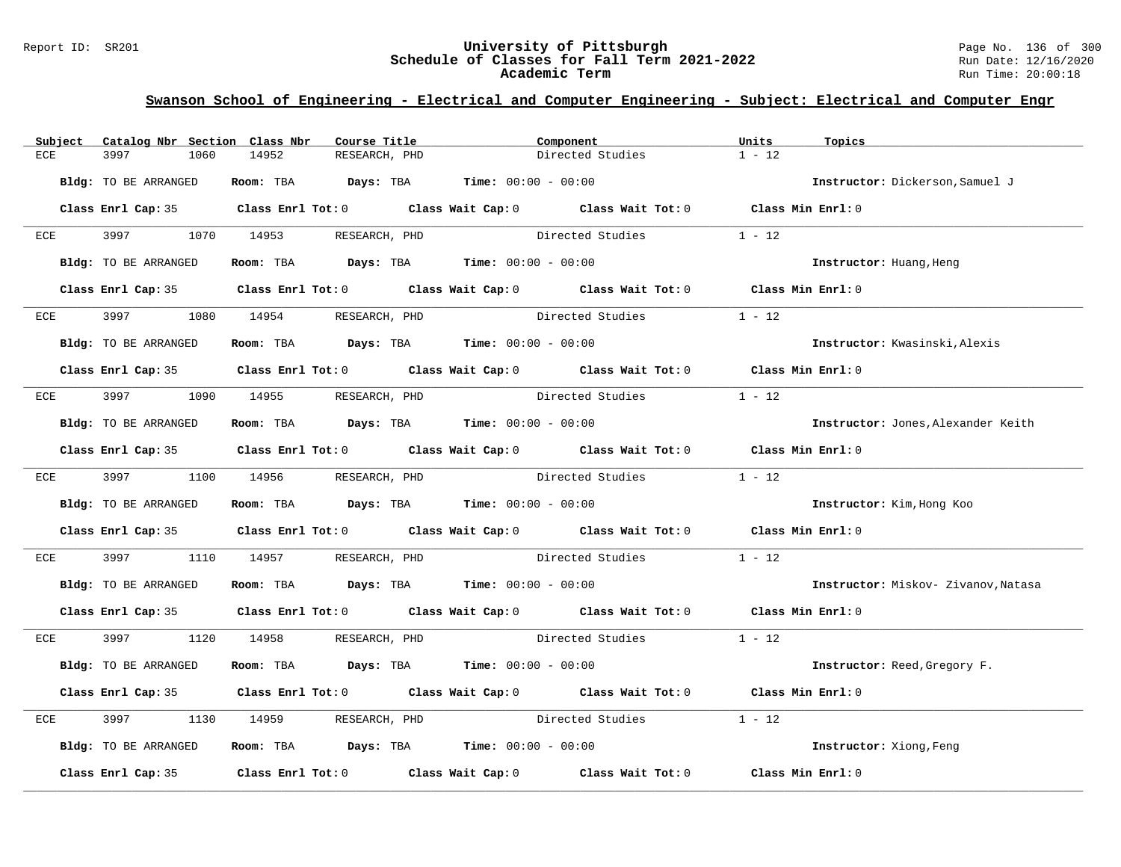### Report ID: SR201 **University of Pittsburgh** Page No. 136 of 300 **Schedule of Classes for Fall Term 2021-2022** Run Date: 12/16/2020 **Academic Term** Run Time: 20:00:18

| Subject | Catalog Nbr Section Class Nbr | Course Title                                                 | Component                                                                                           | Units<br>Topics                     |
|---------|-------------------------------|--------------------------------------------------------------|-----------------------------------------------------------------------------------------------------|-------------------------------------|
| ECE     | 3997<br>1060                  | 14952<br>RESEARCH, PHD                                       | Directed Studies                                                                                    | $1 - 12$                            |
|         | Bldg: TO BE ARRANGED          | Room: TBA $Days:$ TBA $Time: 00:00 - 00:00$                  |                                                                                                     | Instructor: Dickerson, Samuel J     |
|         |                               |                                                              | Class Enrl Cap: 35 Class Enrl Tot: 0 Class Wait Cap: 0 Class Wait Tot: 0 Class Min Enrl: 0          |                                     |
| ECE     |                               | 3997 1070 14953 RESEARCH, PHD                                | Directed Studies                                                                                    | $1 - 12$                            |
|         | Bldg: TO BE ARRANGED          | Room: TBA $Days:$ TBA $Time: 00:00 - 00:00$                  |                                                                                                     | Instructor: Huang, Heng             |
|         |                               |                                                              | Class Enrl Cap: 35 Class Enrl Tot: 0 Class Wait Cap: 0 Class Wait Tot: 0 Class Min Enrl: 0          |                                     |
| ECE     | 3997                          | 1080 14954 RESEARCH, PHD                                     | Directed Studies                                                                                    | $1 - 12$                            |
|         | Bldg: TO BE ARRANGED          | Room: TBA $Days:$ TBA Time: $00:00 - 00:00$                  |                                                                                                     | Instructor: Kwasinski, Alexis       |
|         |                               |                                                              | Class Enrl Cap: 35 Class Enrl Tot: 0 Class Wait Cap: 0 Class Wait Tot: 0 Class Min Enrl: 0          |                                     |
| ECE     |                               | 3997 1090 14955 RESEARCH, PHD                                | Directed Studies                                                                                    | $1 - 12$                            |
|         | Bldg: TO BE ARRANGED          | Room: TBA $Days:$ TBA $Time: 00:00 - 00:00$                  |                                                                                                     | Instructor: Jones, Alexander Keith  |
|         |                               |                                                              | Class Enrl Cap: 35 Class Enrl Tot: 0 Class Wait Cap: 0 Class Wait Tot: 0 Class Min Enrl: 0          |                                     |
|         |                               | ECE 3997 1100 14956 RESEARCH, PHD                            | Directed Studies                                                                                    | $1 - 12$                            |
|         | Bldg: TO BE ARRANGED          | Room: TBA $Days:$ TBA $Time: 00:00 - 00:00$                  |                                                                                                     | Instructor: Kim, Hong Koo           |
|         |                               |                                                              | Class Enrl Cap: 35 Class Enrl Tot: 0 Class Wait Cap: 0 Class Wait Tot: 0 Class Min Enrl: 0          |                                     |
| ECE     | 3997<br>1110                  | 14957                                                        | RESEARCH, PHD Directed Studies                                                                      | $1 - 12$                            |
|         | Bldg: TO BE ARRANGED          | <b>Room:</b> TBA <b>Days:</b> TBA <b>Time:</b> 00:00 - 00:00 |                                                                                                     | Instructor: Miskov- Zivanov, Natasa |
|         |                               |                                                              | Class Enrl Cap: 35 Class Enrl Tot: 0 Class Wait Cap: 0 Class Wait Tot: 0 Class Min Enrl: 0          |                                     |
|         |                               | ECE 3997 1120 14958 RESEARCH, PHD                            | Directed Studies                                                                                    | $1 - 12$                            |
|         | Bldg: TO BE ARRANGED          | Room: TBA $Days:$ TBA $Time: 00:00 - 00:00$                  |                                                                                                     | Instructor: Reed, Gregory F.        |
|         |                               |                                                              | Class Enrl Cap: 35 Class Enrl Tot: 0 Class Wait Cap: 0 Class Wait Tot: 0 Class Min Enrl: 0          |                                     |
| ECE     | 3997<br>1130                  | 14959 RESEARCH, PHD                                          | Directed Studies                                                                                    | $1 - 12$                            |
|         | Bldg: TO BE ARRANGED          | Room: TBA $Days:$ TBA $Time: 00:00 - 00:00$                  |                                                                                                     | Instructor: Xiong, Feng             |
|         |                               |                                                              | Class Enrl Cap: 35 $\qquad$ Class Enrl Tot: 0 $\qquad$ Class Wait Cap: 0 $\qquad$ Class Wait Tot: 0 | Class Min Enrl: 0                   |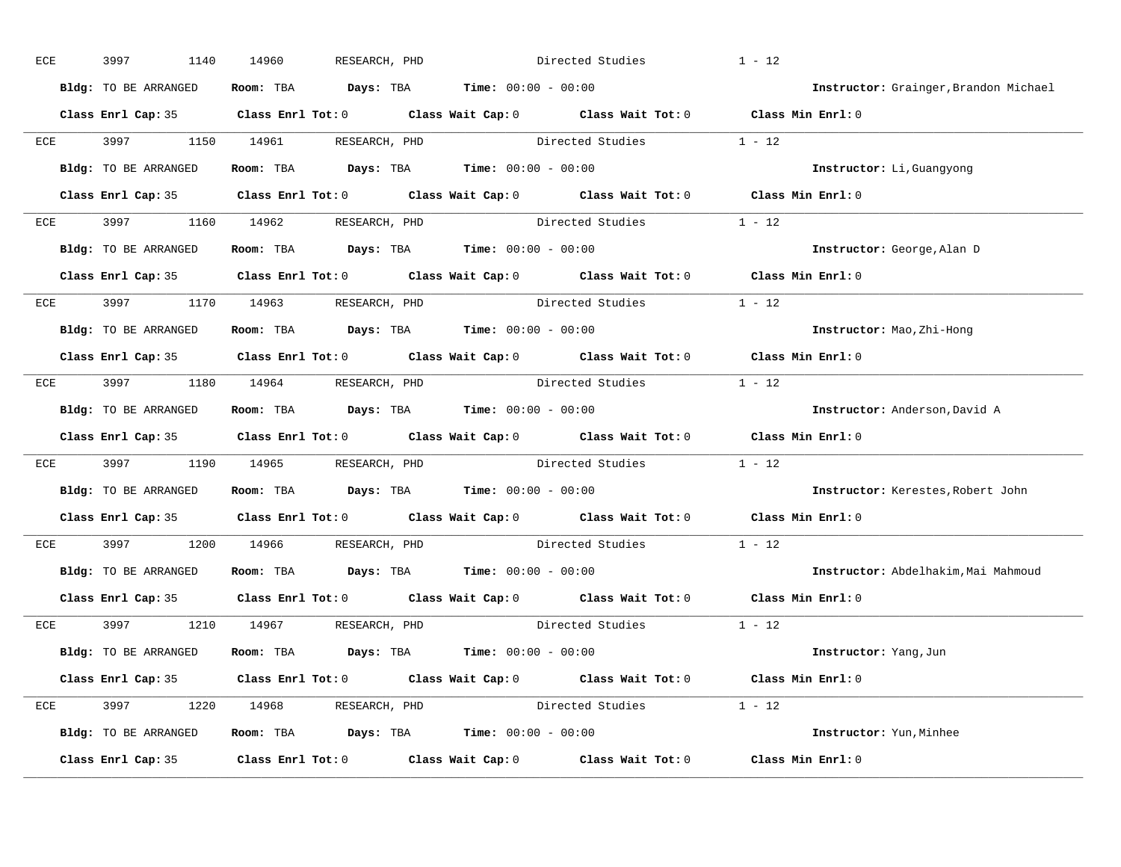| ECE |     | 3997<br>1140         | 14960<br>RESEARCH, PHD                                                                              |                  | Directed Studies        | $1 - 12$                              |
|-----|-----|----------------------|-----------------------------------------------------------------------------------------------------|------------------|-------------------------|---------------------------------------|
|     |     | Bldg: TO BE ARRANGED | Room: TBA $Days:$ TBA $Time: 00:00 - 00:00$                                                         |                  |                         | Instructor: Grainger, Brandon Michael |
|     |     |                      | Class Enrl Cap: 35 Class Enrl Tot: 0 Class Wait Cap: 0 Class Wait Tot: 0 Class Min Enrl: 0          |                  |                         |                                       |
|     |     |                      | ECE 3997 1150 14961 RESEARCH, PHD Directed Studies 1 - 12                                           |                  |                         |                                       |
|     |     | Bldg: TO BE ARRANGED | Room: TBA $Days:$ TBA Time: $00:00 - 00:00$                                                         |                  |                         | Instructor: Li, Guangyong             |
|     |     |                      | Class Enrl Cap: 35 Class Enrl Tot: 0 Class Wait Cap: 0 Class Wait Tot: 0 Class Min Enrl: 0          |                  |                         |                                       |
|     |     |                      | ECE 3997 1160 14962 RESEARCH, PHD Directed Studies 1 - 12                                           |                  |                         |                                       |
|     |     |                      | <b>Bldg:</b> TO BE ARRANGED <b>Room:</b> TBA <b>Days:</b> TBA <b>Time:</b> $00:00 - 00:00$          |                  |                         | Instructor: George, Alan D            |
|     |     |                      | Class Enrl Cap: 35 Class Enrl Tot: 0 Class Wait Cap: 0 Class Wait Tot: 0 Class Min Enrl: 0          |                  |                         |                                       |
|     |     |                      | ECE 3997 1170 14963 RESEARCH, PHD                                                                   | Directed Studies |                         | $1 - 12$                              |
|     |     | Bldg: TO BE ARRANGED | Room: TBA $Days:$ TBA $Time: 00:00 - 00:00$                                                         |                  |                         | Instructor: Mao, Zhi-Hong             |
|     |     |                      | Class Enrl Cap: 35 Class Enrl Tot: 0 Class Wait Cap: 0 Class Wait Tot: 0 Class Min Enrl: 0          |                  |                         |                                       |
|     |     |                      | ECE 3997 1180 14964 RESEARCH, PHD Directed Studies 1 - 12                                           |                  |                         |                                       |
|     |     | Bldg: TO BE ARRANGED | Room: TBA $Days:$ TBA $Time: 00:00 - 00:00$                                                         |                  |                         | Instructor: Anderson, David A         |
|     |     |                      | Class Enrl Cap: 35 Class Enrl Tot: 0 Class Wait Cap: 0 Class Wait Tot: 0 Class Min Enrl: 0          |                  |                         |                                       |
|     |     |                      | ECE 3997 1190 14965 RESEARCH, PHD Directed Studies 1 - 12                                           |                  |                         |                                       |
|     |     | Bldg: TO BE ARRANGED | Room: TBA $Days:$ TBA $Time: 00:00 - 00:00$                                                         |                  |                         | Instructor: Kerestes, Robert John     |
|     |     |                      | Class Enrl Cap: 35 $\qquad$ Class Enrl Tot: 0 $\qquad$ Class Wait Cap: 0 $\qquad$ Class Wait Tot: 0 |                  |                         | Class Min Enrl: 0                     |
|     | ECE |                      | 3997 1200 14966 RESEARCH, PHD                                                                       |                  | Directed Studies        | $1 - 12$                              |
|     |     |                      | Bldg: TO BE ARRANGED Room: TBA Days: TBA Time: 00:00 - 00:00                                        |                  |                         | Instructor: Abdelhakim, Mai Mahmoud   |
|     |     |                      | Class Enrl Cap: 35 Class Enrl Tot: 0 Class Wait Cap: 0 Class Wait Tot: 0 Class Min Enrl: 0          |                  |                         |                                       |
|     |     |                      | ECE 3997 1210 14967 RESEARCH, PHD                                                                   |                  | Directed Studies 1 - 12 |                                       |
|     |     | Bldg: TO BE ARRANGED | Room: TBA $\rule{1em}{0.15mm}$ Days: TBA $\rule{1.15mm}]{0.15mm}$ Time: $0.000 - 0.000$             |                  |                         | Instructor: Yang, Jun                 |
|     |     |                      | Class Enrl Cap: 35 Class Enrl Tot: 0 Class Wait Cap: 0 Class Wait Tot: 0 Class Min Enrl: 0          |                  |                         |                                       |
|     |     |                      | ECE 3997 1220 14968 RESEARCH, PHD                                                                   |                  | Directed Studies 1 - 12 |                                       |
|     |     |                      | Bldg: TO BE ARRANGED Room: TBA Days: TBA Time: 00:00 - 00:00                                        |                  |                         | Instructor: Yun, Minhee               |
|     |     |                      | Class Enrl Cap: 35 Class Enrl Tot: 0 Class Wait Cap: 0 Class Wait Tot: 0 Class Min Enrl: 0          |                  |                         |                                       |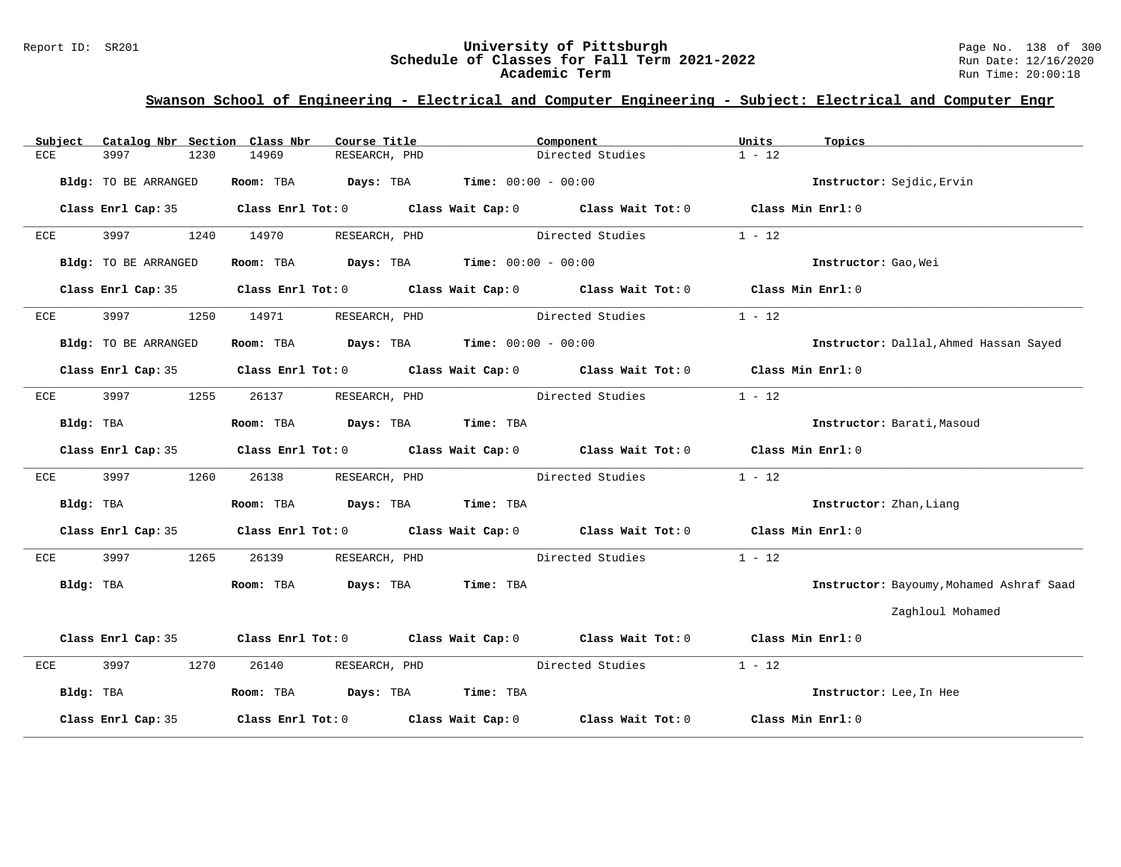### Report ID: SR201 **University of Pittsburgh** Page No. 138 of 300 **Schedule of Classes for Fall Term 2021-2022** Run Date: 12/16/2020 **Academic Term** Run Time: 20:00:18

| Subject              | Catalog Nbr Section Class Nbr<br>Course Title | Component                                                                                  | Units<br>Topics                          |
|----------------------|-----------------------------------------------|--------------------------------------------------------------------------------------------|------------------------------------------|
| ECE<br>3997<br>1230  | 14969<br>RESEARCH, PHD                        | Directed Studies                                                                           | $1 - 12$                                 |
| Bldg: TO BE ARRANGED | Room: TBA $Days:$ TBA $Time: 00:00 - 00:00$   |                                                                                            | Instructor: Sejdic, Ervin                |
| Class Enrl Cap: 35   |                                               | Class Enrl Tot: 0 Class Wait Cap: 0 Class Wait Tot: 0 Class Min Enrl: 0                    |                                          |
| 3997<br>1240<br>ECE  | 14970<br>RESEARCH, PHD                        | Directed Studies                                                                           | $1 - 12$                                 |
| Bldg: TO BE ARRANGED | Room: TBA $Days:$ TBA $Time: 00:00 - 00:00$   |                                                                                            | Instructor: Gao, Wei                     |
| Class Enrl Cap: 35   |                                               | Class Enrl Tot: 0 Class Wait Cap: 0 Class Wait Tot: 0 Class Min Enrl: 0                    |                                          |
| 3997<br>ECE<br>1250  | RESEARCH, PHD<br>14971                        | Directed Studies                                                                           | $1 - 12$                                 |
| Bldg: TO BE ARRANGED | Room: TBA $Days:$ TBA $Time: 00:00 - 00:00$   |                                                                                            | Instructor: Dallal, Ahmed Hassan Sayed   |
|                      |                                               | Class Enrl Cap: 35 Class Enrl Tot: 0 Class Wait Cap: 0 Class Wait Tot: 0 Class Min Enrl: 0 |                                          |
| 3997<br>ECE          | 1255<br>26137<br>RESEARCH, PHD                | Directed Studies                                                                           | $1 - 12$                                 |
| Bldg: TBA            | Room: TBA Days: TBA Time: TBA                 |                                                                                            | Instructor: Barati, Masoud               |
| Class Enrl Cap: 35   |                                               | Class Enrl Tot: $0$ Class Wait Cap: $0$ Class Wait Tot: $0$ Class Min Enrl: $0$            |                                          |
| 3997<br>ECE          | 1260<br>26138<br>RESEARCH, PHD                | Directed Studies                                                                           | $1 - 12$                                 |
| Bldg: TBA            | Room: TBA Days: TBA Time: TBA                 |                                                                                            | Instructor: Zhan, Liang                  |
| Class Enrl Cap: 35   |                                               | Class Enrl Tot: $0$ Class Wait Cap: $0$ Class Wait Tot: $0$ Class Min Enrl: $0$            |                                          |
| 3997<br>ECE          | RESEARCH, PHD<br>1265<br>26139                | Directed Studies                                                                           | $1 - 12$                                 |
| Bldg: TBA            | Room: TBA Days: TBA Time: TBA                 |                                                                                            | Instructor: Bayoumy, Mohamed Ashraf Saad |
|                      |                                               |                                                                                            | Zaghloul Mohamed                         |
|                      |                                               | Class Enrl Cap: 35 Class Enrl Tot: 0 Class Wait Cap: 0 Class Wait Tot: 0 Class Min Enrl: 0 |                                          |
| 3997<br>ECE          | 1270<br>26140<br>RESEARCH, PHD                | Directed Studies                                                                           | $1 - 12$                                 |
| Bldg: TBA            | Room: TBA Days: TBA Time: TBA                 |                                                                                            | Instructor: Lee, In Hee                  |
| Class Enrl Cap: 35   |                                               | Class Enrl Tot: $0$ Class Wait Cap: $0$ Class Wait Tot: $0$                                | Class Min Enrl: 0                        |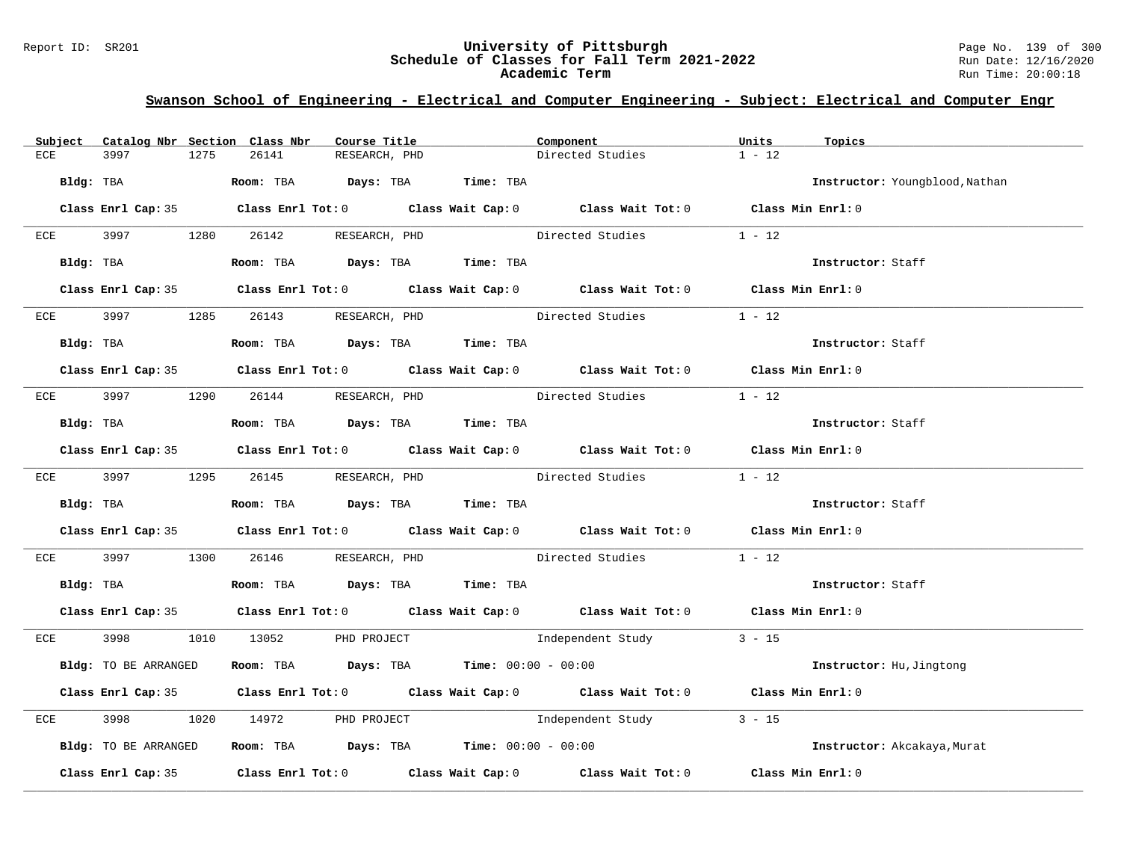### Report ID: SR201 **University of Pittsburgh** Page No. 139 of 300 **Schedule of Classes for Fall Term 2021-2022** Run Date: 12/16/2020 **Academic Term** Run Time: 20:00:18

| Catalog Nbr Section Class Nbr<br>Subject | Course Title                                                                               | Component                | Units<br>Topics                |
|------------------------------------------|--------------------------------------------------------------------------------------------|--------------------------|--------------------------------|
| <b>ECE</b><br>3997<br>1275               | 26141<br>RESEARCH, PHD                                                                     | Directed Studies         | $1 - 12$                       |
| Bldg: TBA                                | Room: TBA Days: TBA Time: TBA                                                              |                          | Instructor: Youngblood, Nathan |
|                                          | Class Enrl Cap: 35 Class Enrl Tot: 0 Class Wait Cap: 0 Class Wait Tot: 0 Class Min Enrl: 0 |                          |                                |
|                                          | ECE 3997 1280 26142 RESEARCH, PHD                                                          | Directed Studies         | $1 - 12$                       |
| Bldg: TBA                                | Room: TBA Days: TBA Time: TBA                                                              |                          | Instructor: Staff              |
|                                          | Class Enrl Cap: 35 Class Enrl Tot: 0 Class Wait Cap: 0 Class Wait Tot: 0 Class Min Enrl: 0 |                          |                                |
|                                          | ECE 3997 1285 26143 RESEARCH, PHD                                                          | Directed Studies         | $1 - 12$                       |
| Bldg: TBA                                | Room: TBA Days: TBA Time: TBA                                                              |                          | Instructor: Staff              |
|                                          | Class Enrl Cap: 35 Class Enrl Tot: 0 Class Wait Cap: 0 Class Wait Tot: 0 Class Min Enrl: 0 |                          |                                |
| ECE 3997                                 | 1290 26144 RESEARCH, PHD Directed Studies                                                  |                          | $1 - 12$                       |
| Bldg: TBA                                | Room: TBA Days: TBA Time: TBA                                                              |                          | Instructor: Staff              |
|                                          | Class Enrl Cap: 35 Class Enrl Tot: 0 Class Wait Cap: 0 Class Wait Tot: 0 Class Min Enrl: 0 |                          |                                |
|                                          | ECE 3997 1295 26145 RESEARCH, PHD Directed Studies 1 - 12                                  |                          |                                |
|                                          | Bldg: TBA                   Room: TBA         Days: TBA        Time: TBA                   |                          | Instructor: Staff              |
|                                          | Class Enrl Cap: 35 Class Enrl Tot: 0 Class Wait Cap: 0 Class Wait Tot: 0 Class Min Enrl: 0 |                          |                                |
| ECE 3997                                 | 1300 26146 RESEARCH, PHD Directed Studies                                                  |                          | $1 - 12$                       |
|                                          | Bldg: TBA                      Room: TBA         Days: TBA         Time: TBA               |                          | Instructor: Staff              |
|                                          | Class Enrl Cap: 35 Class Enrl Tot: 0 Class Wait Cap: 0 Class Wait Tot: 0 Class Min Enrl: 0 |                          |                                |
|                                          | ECE 3998 1010 13052 PHD PROJECT                                                            | Independent Study 3 - 15 |                                |
| Bldg: TO BE ARRANGED                     | <b>Room:</b> TBA <b>Days:</b> TBA <b>Time:</b> 00:00 - 00:00                               |                          | Instructor: Hu, Jingtong       |
|                                          | Class Enrl Cap: 35 Class Enrl Tot: 0 Class Wait Cap: 0 Class Wait Tot: 0 Class Min Enrl: 0 |                          |                                |
| 3998<br>ECE                              | 1020 14972 PHD PROJECT 1020 Independent Study 3 - 15                                       |                          |                                |
| Bldg: TO BE ARRANGED                     | Room: TBA $\rule{1em}{0.15mm}$ Days: TBA Time: $00:00 - 00:00$                             |                          | Instructor: Akcakaya, Murat    |
|                                          | Class Enrl Cap: 35 Class Enrl Tot: 0 Class Wait Cap: 0 Class Wait Tot: 0 Class Min Enrl: 0 |                          |                                |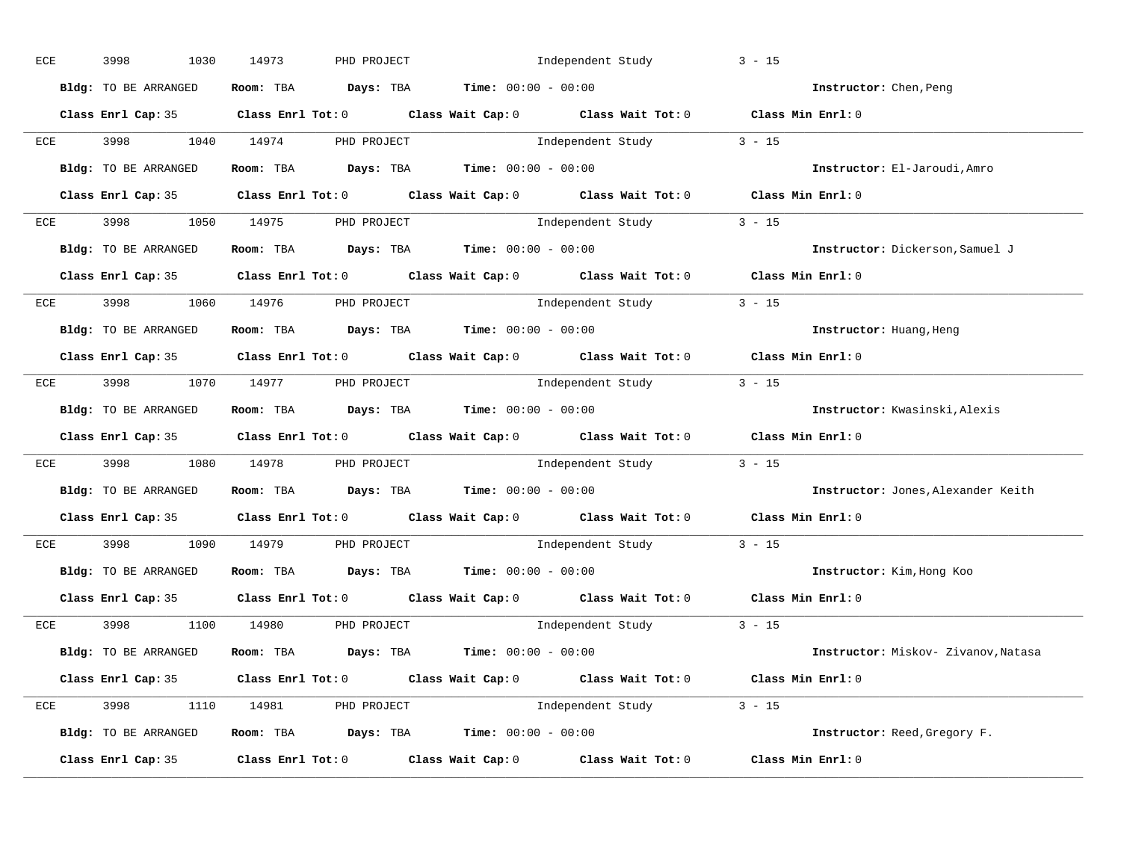| ECE |     | 3998<br>1030                    | 14973 | PHD PROJECT                                   |                                             | Independent Study                                                        | $3 - 15$                                                                                   |
|-----|-----|---------------------------------|-------|-----------------------------------------------|---------------------------------------------|--------------------------------------------------------------------------|--------------------------------------------------------------------------------------------|
|     |     | Bldg: TO BE ARRANGED            |       |                                               | Room: TBA $Days:$ TBA $Time: 00:00 - 00:00$ |                                                                          | Instructor: Chen, Peng                                                                     |
|     |     |                                 |       |                                               |                                             |                                                                          | Class Enrl Cap: 35 Class Enrl Tot: 0 Class Wait Cap: 0 Class Wait Tot: 0 Class Min Enrl: 0 |
|     |     | ECE 3998 1040 14974             |       | PHD PROJECT                                   |                                             | Independent Study 3 - 15                                                 |                                                                                            |
|     |     | Bldg: TO BE ARRANGED            |       | Room: TBA $Days:$ TBA Time: $00:00 - 00:00$   |                                             |                                                                          | Instructor: El-Jaroudi, Amro                                                               |
|     |     |                                 |       |                                               |                                             |                                                                          | Class Enrl Cap: 35 Class Enrl Tot: 0 Class Wait Cap: 0 Class Wait Tot: 0 Class Min Enrl: 0 |
|     |     | ECE 3998 1050 14975 PHD PROJECT |       |                                               |                                             | Independent Study 3 - 15                                                 |                                                                                            |
|     |     | Bldg: TO BE ARRANGED            |       | Room: TBA $Days:$ TBA $Time: 00:00 - 00:00$   |                                             |                                                                          | Instructor: Dickerson, Samuel J                                                            |
|     |     |                                 |       |                                               |                                             |                                                                          | Class Enrl Cap: 35 Class Enrl Tot: 0 Class Wait Cap: 0 Class Wait Tot: 0 Class Min Enrl: 0 |
|     |     | ECE 3998 1060 14976 PHD PROJECT |       |                                               |                                             | Independent Study 3 - 15                                                 |                                                                                            |
|     |     | Bldg: TO BE ARRANGED            |       | Room: TBA $Days:$ TBA $Time: 00:00 - 00:00$   |                                             |                                                                          | Instructor: Huang, Heng                                                                    |
|     |     |                                 |       |                                               |                                             |                                                                          | Class Enrl Cap: 35 Class Enrl Tot: 0 Class Wait Cap: 0 Class Wait Tot: 0 Class Min Enrl: 0 |
|     |     |                                 |       | ECE 3998 1070 14977 PHD PROJECT               |                                             | Independent Study 3 - 15                                                 |                                                                                            |
|     |     | Bldg: TO BE ARRANGED            |       | Room: TBA $Days:$ TBA $Time: 00:00 - 00:00$   |                                             |                                                                          | Instructor: Kwasinski, Alexis                                                              |
|     |     |                                 |       |                                               |                                             |                                                                          | Class Enrl Cap: 35 Class Enrl Tot: 0 Class Wait Cap: 0 Class Wait Tot: 0 Class Min Enrl: 0 |
|     | ECE |                                 |       |                                               |                                             | 3998 1080 14978 PHD PROJECT 10 Independent Study 3 - 15                  |                                                                                            |
|     |     | Bldg: TO BE ARRANGED            |       | Room: TBA $Days:$ TBA $Time: 00:00 - 00:00$   |                                             |                                                                          | Instructor: Jones, Alexander Keith                                                         |
|     |     |                                 |       |                                               |                                             | Class Enrl Cap: 35 Class Enrl Tot: 0 Class Wait Cap: 0 Class Wait Tot: 0 | Class Min Enrl: 0                                                                          |
|     | ECE |                                 |       | 3998 1090 14979 PHD PROJECT                   |                                             | Independent Study                                                        | $3 - 15$                                                                                   |
|     |     | Bldg: TO BE ARRANGED            |       | Room: TBA $Days: TBA$ Time: $00:00 - 00:00$   |                                             |                                                                          | Instructor: Kim, Hong Koo                                                                  |
|     |     |                                 |       |                                               |                                             | Class Enrl Cap: 35 Class Enrl Tot: 0 Class Wait Cap: 0 Class Wait Tot: 0 | Class Min Enrl: 0                                                                          |
|     |     | ECE 3998 1100 14980 PHD PROJECT |       |                                               |                                             | Independent Study 3 - 15                                                 |                                                                                            |
|     |     | Bldg: TO BE ARRANGED            |       | Room: TBA $Days:$ TBA $Time: 00:00 - 00:00$   |                                             |                                                                          | Instructor: Miskov- Zivanov, Natasa                                                        |
|     |     |                                 |       |                                               |                                             |                                                                          | Class Enrl Cap: 35 Class Enrl Tot: 0 Class Wait Cap: 0 Class Wait Tot: 0 Class Min Enrl: 0 |
|     |     | ECE 3998 1110 14981 PHD PROJECT |       |                                               |                                             | Independent Study 3 - 15                                                 |                                                                                            |
|     |     | Bldg: TO BE ARRANGED            |       | Room: TBA $Days:$ TBA $Time:$ $00:00 - 00:00$ |                                             |                                                                          | Instructor: Reed, Gregory F.                                                               |
|     |     | Class Enrl Cap: 35              |       |                                               |                                             | Class Enrl Tot: $0$ Class Wait Cap: $0$ Class Wait Tot: $0$              | Class Min Enrl: 0                                                                          |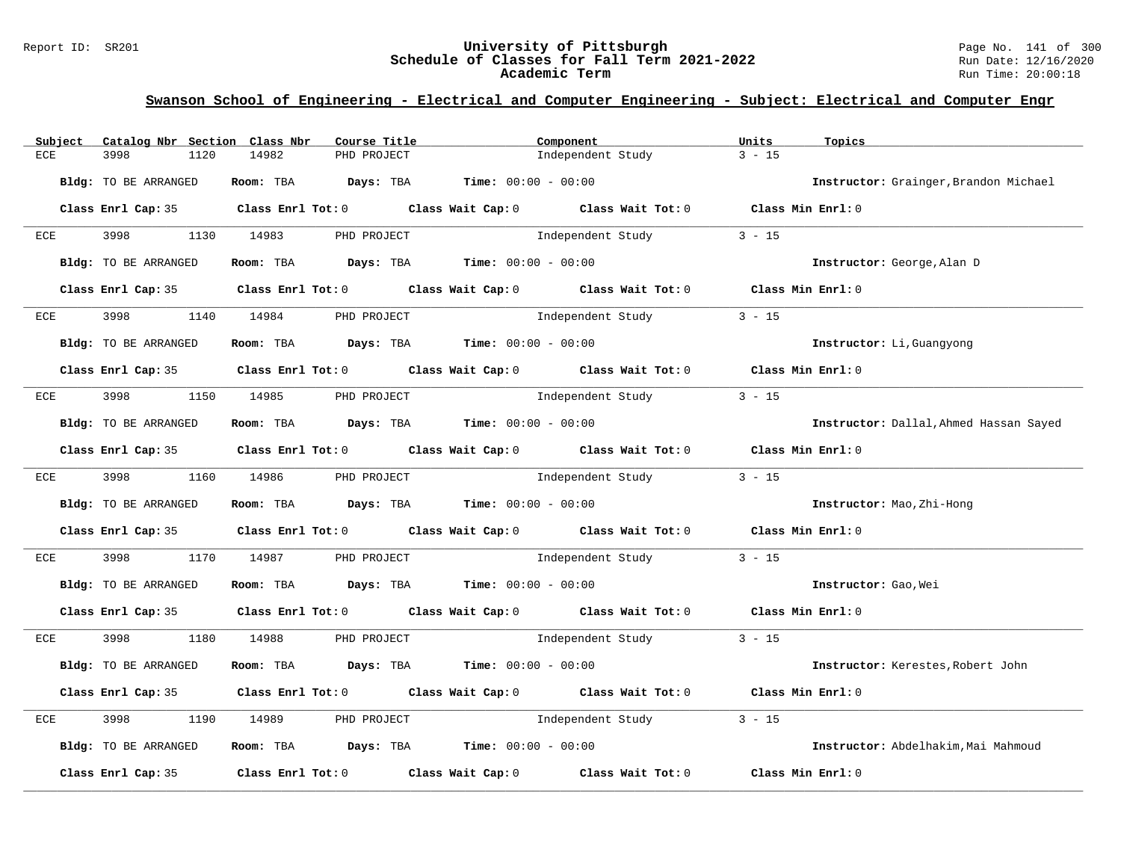### Report ID: SR201 **University of Pittsburgh** Page No. 141 of 300 **Schedule of Classes for Fall Term 2021-2022** Run Date: 12/16/2020 **Academic Term** Run Time: 20:00:18

| Subject | Catalog Nbr Section Class Nbr | Course Title                                                   | Component                                                                                  | Units<br>Topics                        |
|---------|-------------------------------|----------------------------------------------------------------|--------------------------------------------------------------------------------------------|----------------------------------------|
| ECE     | 3998<br>1120                  | 14982<br>PHD PROJECT                                           | Independent Study                                                                          | $3 - 15$                               |
|         | Bldg: TO BE ARRANGED          | Room: TBA $Days:$ TBA $Time: 00:00 - 00:00$                    |                                                                                            | Instructor: Grainger, Brandon Michael  |
|         |                               |                                                                | Class Enrl Cap: 35 Class Enrl Tot: 0 Class Wait Cap: 0 Class Wait Tot: 0 Class Min Enrl: 0 |                                        |
| ECE     | 3998 3998                     | 1130 14983<br>PHD PROJECT                                      | Independent Study                                                                          | $3 - 15$                               |
|         | Bldg: TO BE ARRANGED          | Room: TBA $Days:$ TBA $Time: 00:00 - 00:00$                    |                                                                                            | Instructor: George, Alan D             |
|         |                               |                                                                | Class Enrl Cap: 35 Class Enrl Tot: 0 Class Wait Cap: 0 Class Wait Tot: 0 Class Min Enrl: 0 |                                        |
| ECE     | 3998                          | 1140 14984<br>PHD PROJECT                                      | Independent Study                                                                          | $3 - 15$                               |
|         | Bldg: TO BE ARRANGED          | Room: TBA $Days:$ TBA $Time: 00:00 - 00:00$                    |                                                                                            | Instructor: Li, Guangyong              |
|         |                               |                                                                | Class Enrl Cap: 35 Class Enrl Tot: 0 Class Wait Cap: 0 Class Wait Tot: 0 Class Min Enrl: 0 |                                        |
| ECE     | 3998                          | 1150 14985 PHD PROJECT                                         | Independent Study                                                                          | $3 - 15$                               |
|         | Bldg: TO BE ARRANGED          | Room: TBA $\rule{1em}{0.15mm}$ Days: TBA Time: $00:00 - 00:00$ |                                                                                            | Instructor: Dallal, Ahmed Hassan Sayed |
|         |                               |                                                                | Class Enrl Cap: 35 Class Enrl Tot: 0 Class Wait Cap: 0 Class Wait Tot: 0 Class Min Enrl: 0 |                                        |
|         |                               | ECE 3998 1160 14986 PHD PROJECT                                | Independent Study                                                                          | $3 - 15$                               |
|         | Bldg: TO BE ARRANGED          | Room: TBA $Days: TBA$ Time: $00:00 - 00:00$                    |                                                                                            | Instructor: Mao, Zhi-Hong              |
|         |                               |                                                                | Class Enrl Cap: 35 Class Enrl Tot: 0 Class Wait Cap: 0 Class Wait Tot: 0 Class Min Enrl: 0 |                                        |
| ECE     | 3998                          | 1170 14987                                                     | PHD PROJECT and a lindependent Study                                                       | $3 - 15$                               |
|         | Bldg: TO BE ARRANGED          | Room: TBA $Days:$ TBA $Time: 00:00 - 00:00$                    |                                                                                            | Instructor: Gao, Wei                   |
|         |                               |                                                                | Class Enrl Cap: 35 Class Enrl Tot: 0 Class Wait Cap: 0 Class Wait Tot: 0 Class Min Enrl: 0 |                                        |
| ECE     |                               | 3998 1180 14988 PHD PROJECT                                    | Independent Study 3 - 15                                                                   |                                        |
|         | Bldg: TO BE ARRANGED          | Room: TBA $Days:$ TBA $Time: 00:00 - 00:00$                    |                                                                                            | Instructor: Kerestes, Robert John      |
|         |                               |                                                                | Class Enrl Cap: 35 Class Enrl Tot: 0 Class Wait Cap: 0 Class Wait Tot: 0 Class Min Enrl: 0 |                                        |
| ECE     | 3998<br>1190                  | 14989<br>PHD PROJECT                                           | Independent Study                                                                          | $3 - 15$                               |
|         | Bldg: TO BE ARRANGED          | Room: TBA $Days:$ TBA $Time: 00:00 - 00:00$                    |                                                                                            | Instructor: Abdelhakim, Mai Mahmoud    |
|         |                               |                                                                | Class Enrl Cap: 35 Class Enrl Tot: 0 Class Wait Cap: 0 Class Wait Tot: 0                   | Class Min Enrl: 0                      |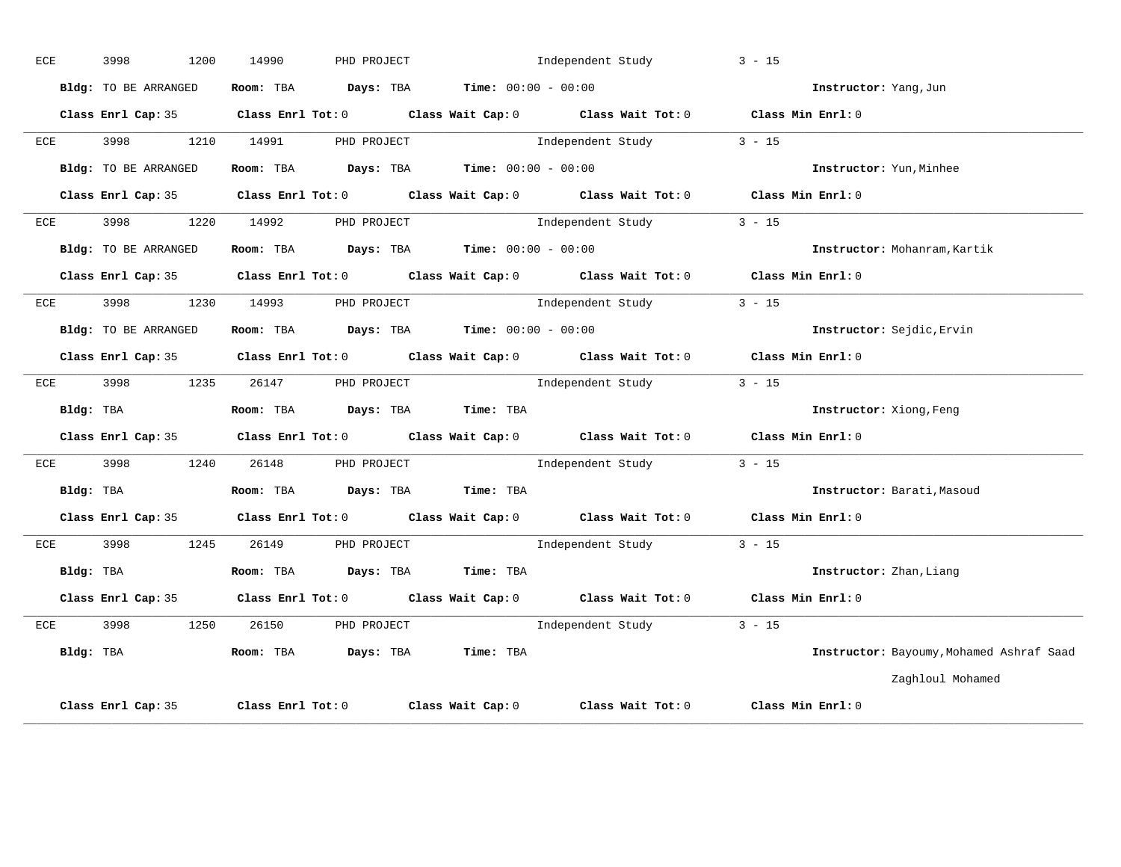| ECE | 3998 |                      | 1200 | 14990                           | PHD PROJECT       |                                             | Independent Study                           |                                                                                            | $3 - 15$          |                         |                                          |
|-----|------|----------------------|------|---------------------------------|-------------------|---------------------------------------------|---------------------------------------------|--------------------------------------------------------------------------------------------|-------------------|-------------------------|------------------------------------------|
|     |      | Bldg: TO BE ARRANGED |      |                                 |                   | Room: TBA $Days:$ TBA $Time: 00:00 - 00:00$ |                                             |                                                                                            |                   | Instructor: Yang, Jun   |                                          |
|     |      |                      |      |                                 |                   |                                             |                                             | Class Enrl Cap: 35 Class Enrl Tot: 0 Class Wait Cap: 0 Class Wait Tot: 0 Class Min Enrl: 0 |                   |                         |                                          |
| ECE |      |                      |      | 3998 1210 14991 PHD PROJECT     |                   |                                             | Independent Study                           |                                                                                            | $3 - 15$          |                         |                                          |
|     |      | Bldg: TO BE ARRANGED |      |                                 |                   |                                             | Room: TBA $Days:$ TBA $Time: 00:00 - 00:00$ |                                                                                            |                   | Instructor: Yun, Minhee |                                          |
|     |      | Class Enrl Cap: 35   |      |                                 |                   |                                             |                                             | Class Enrl Tot: 0 Class Wait Cap: 0 Class Wait Tot: 0                                      | Class Min Enrl: 0 |                         |                                          |
| ECE |      | 3998 399             |      | 1220 14992 PHD PROJECT          |                   |                                             | Independent Study                           |                                                                                            | $3 - 15$          |                         |                                          |
|     |      | Bldg: TO BE ARRANGED |      |                                 |                   | Room: TBA $Days:$ TBA $Time: 00:00 - 00:00$ |                                             |                                                                                            |                   |                         | Instructor: Mohanram, Kartik             |
|     |      |                      |      |                                 |                   |                                             |                                             | Class Enrl Cap: 35 Class Enrl Tot: 0 Class Wait Cap: 0 Class Wait Tot: 0 Class Min Enrl: 0 |                   |                         |                                          |
| ECE |      |                      |      | 3998 1230 14993 PHD PROJECT     |                   |                                             |                                             | Independent Study 3 - 15                                                                   |                   |                         |                                          |
|     |      | Bldg: TO BE ARRANGED |      |                                 |                   |                                             | Room: TBA $Days:$ TBA Time: $00:00 - 00:00$ |                                                                                            |                   |                         | Instructor: Sejdic, Ervin                |
|     |      | Class Enrl Cap: 35   |      |                                 |                   |                                             |                                             | Class Enrl Tot: 0 Class Wait Cap: 0 Class Wait Tot: 0 Class Min Enrl: 0                    |                   |                         |                                          |
| ECE |      | 3998 3998            | 1235 |                                 | 26147 PHD PROJECT |                                             |                                             | Independent Study                                                                          | $3 - 15$          |                         |                                          |
|     |      | Bldg: TBA            |      |                                 |                   | Room: TBA Days: TBA Time: TBA               |                                             |                                                                                            |                   | Instructor: Xiong, Feng |                                          |
|     |      |                      |      |                                 |                   |                                             |                                             | Class Enrl Cap: 35 Class Enrl Tot: 0 Class Wait Cap: 0 Class Wait Tot: 0 Class Min Enrl: 0 |                   |                         |                                          |
| ECE |      |                      |      | 3998 1240 26148 PHD PROJECT     |                   |                                             |                                             | Independent Study 3 - 15                                                                   |                   |                         |                                          |
|     |      | Bldg: TBA            |      |                                 |                   | Room: TBA Days: TBA Time: TBA               |                                             |                                                                                            |                   |                         | Instructor: Barati, Masoud               |
|     |      |                      |      |                                 |                   |                                             |                                             | Class Enrl Cap: 35 Class Enrl Tot: 0 Class Wait Cap: 0 Class Wait Tot: 0 Class Min Enrl: 0 |                   |                         |                                          |
| ECE | 3998 |                      | 1245 |                                 | 26149 PHD PROJECT |                                             |                                             | Independent Study                                                                          | $3 - 15$          |                         |                                          |
|     |      | Bldg: TBA            |      |                                 |                   | Room: TBA Days: TBA Time: TBA               |                                             |                                                                                            |                   | Instructor: Zhan, Liang |                                          |
|     |      | Class Enrl Cap: 35   |      |                                 |                   |                                             |                                             | Class Enrl Tot: 0 Class Wait Cap: 0 Class Wait Tot: 0 Class Min Enrl: 0                    |                   |                         |                                          |
|     |      |                      |      | ECE 3998 1250 26150 PHD PROJECT |                   |                                             |                                             | Independent Study 3 - 15                                                                   |                   |                         |                                          |
|     |      | Bldg: TBA            |      |                                 |                   | Room: TBA Days: TBA Time: TBA               |                                             |                                                                                            |                   |                         | Instructor: Bayoumy, Mohamed Ashraf Saad |
|     |      |                      |      |                                 |                   |                                             |                                             |                                                                                            |                   |                         | Zaghloul Mohamed                         |
|     |      | Class Enrl Cap: 35   |      |                                 |                   |                                             |                                             | Class Enrl Tot: $0$ Class Wait Cap: $0$ Class Wait Tot: $0$                                | Class Min Enrl: 0 |                         |                                          |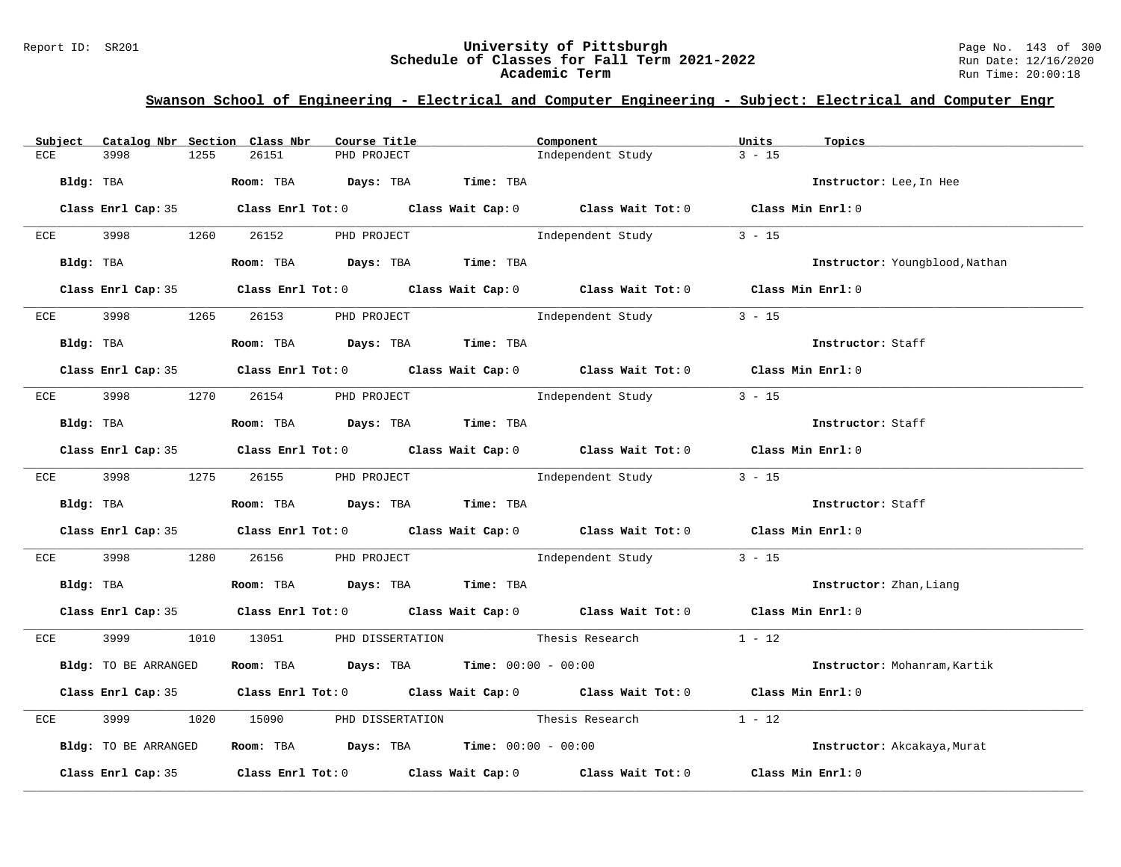### Report ID: SR201 **University of Pittsburgh** Page No. 143 of 300 **Schedule of Classes for Fall Term 2021-2022** Run Date: 12/16/2020 **Academic Term** Run Time: 20:00:18

| Subject      | Catalog Nbr Section Class Nbr |      |            | Course Title        |                                                                | Component                                                                                  | Units             | Topics                         |
|--------------|-------------------------------|------|------------|---------------------|----------------------------------------------------------------|--------------------------------------------------------------------------------------------|-------------------|--------------------------------|
| ECE          | 3998                          | 1255 | 26151      | PHD PROJECT         |                                                                | Independent Study                                                                          | $3 - 15$          |                                |
| Bldg: TBA    |                               |      | Room: TBA  | Days: TBA           | Time: TBA                                                      |                                                                                            |                   | Instructor: Lee, In Hee        |
|              |                               |      |            |                     |                                                                | Class Enrl Cap: 35 Class Enrl Tot: 0 Class Wait Cap: 0 Class Wait Tot: 0 Class Min Enrl: 0 |                   |                                |
| ECE          | 3998                          | 1260 | 26152      | PHD PROJECT         |                                                                | Independent Study                                                                          | $3 - 15$          |                                |
| Bldg: TBA    |                               |      |            | Room: TBA Days: TBA | Time: TBA                                                      |                                                                                            |                   | Instructor: Youngblood, Nathan |
|              |                               |      |            |                     |                                                                | Class Enrl Cap: 35 Class Enrl Tot: 0 Class Wait Cap: 0 Class Wait Tot: 0 Class Min Enrl: 0 |                   |                                |
| ECE          | 3998                          | 1265 | 26153      | PHD PROJECT         |                                                                | Independent Study                                                                          | $3 - 15$          |                                |
|              | Bldg: TBA                     |      |            |                     | Room: TBA Days: TBA Time: TBA                                  |                                                                                            |                   | Instructor: Staff              |
|              |                               |      |            |                     |                                                                | Class Enrl Cap: 35 Class Enrl Tot: 0 Class Wait Cap: 0 Class Wait Tot: 0 Class Min Enrl: 0 |                   |                                |
| ECE 3998     |                               |      | 1270 26154 | PHD PROJECT         |                                                                | Independent Study                                                                          | $3 - 15$          |                                |
| Bldg: TBA    |                               |      |            |                     | Room: TBA Days: TBA Time: TBA                                  |                                                                                            |                   | Instructor: Staff              |
|              |                               |      |            |                     |                                                                | Class Enrl Cap: 35 Class Enrl Tot: 0 Class Wait Cap: 0 Class Wait Tot: 0 Class Min Enrl: 0 |                   |                                |
|              | ECE 3998                      |      | 1275 26155 | PHD PROJECT         |                                                                | Independent Study                                                                          | $3 - 15$          |                                |
|              | Bldg: TBA                     |      |            |                     | Room: TBA Days: TBA Time: TBA                                  |                                                                                            |                   | Instructor: Staff              |
|              |                               |      |            |                     |                                                                | Class Enrl Cap: 35 Class Enrl Tot: 0 Class Wait Cap: 0 Class Wait Tot: 0 Class Min Enrl: 0 |                   |                                |
| ECE          | 3998                          | 1280 | 26156      |                     |                                                                |                                                                                            | $3 - 15$          |                                |
| Bldg: TBA    |                               |      |            |                     | Room: TBA Days: TBA Time: TBA                                  |                                                                                            |                   | Instructor: Zhan, Liang        |
|              |                               |      |            |                     |                                                                | Class Enrl Cap: 35 Class Enrl Tot: 0 Class Wait Cap: 0 Class Wait Tot: 0 Class Min Enrl: 0 |                   |                                |
| ECE          | 3999                          |      |            |                     |                                                                | 1010 13051 PHD DISSERTATION Thesis Research 1 - 12                                         |                   |                                |
|              | Bldg: TO BE ARRANGED          |      |            |                     | Room: TBA $Days:$ TBA $Time:$ $00:00 - 00:00$                  |                                                                                            |                   | Instructor: Mohanram, Kartik   |
|              |                               |      |            |                     |                                                                | Class Enrl Cap: 35 Class Enrl Tot: 0 Class Wait Cap: 0 Class Wait Tot: 0                   | Class Min Enrl: 0 |                                |
| $_{\rm ECE}$ | 3999                          | 1020 | 15090      |                     |                                                                | PHD DISSERTATION Thesis Research                                                           | $1 - 12$          |                                |
|              | Bldg: TO BE ARRANGED          |      |            |                     | Room: TBA $\rule{1em}{0.15mm}$ Days: TBA Time: $00:00 - 00:00$ |                                                                                            |                   | Instructor: Akcakaya, Murat    |
|              | Class Enrl Cap: 35            |      |            |                     |                                                                | Class Enrl Tot: $0$ Class Wait Cap: $0$ Class Wait Tot: $0$                                | Class Min Enrl: 0 |                                |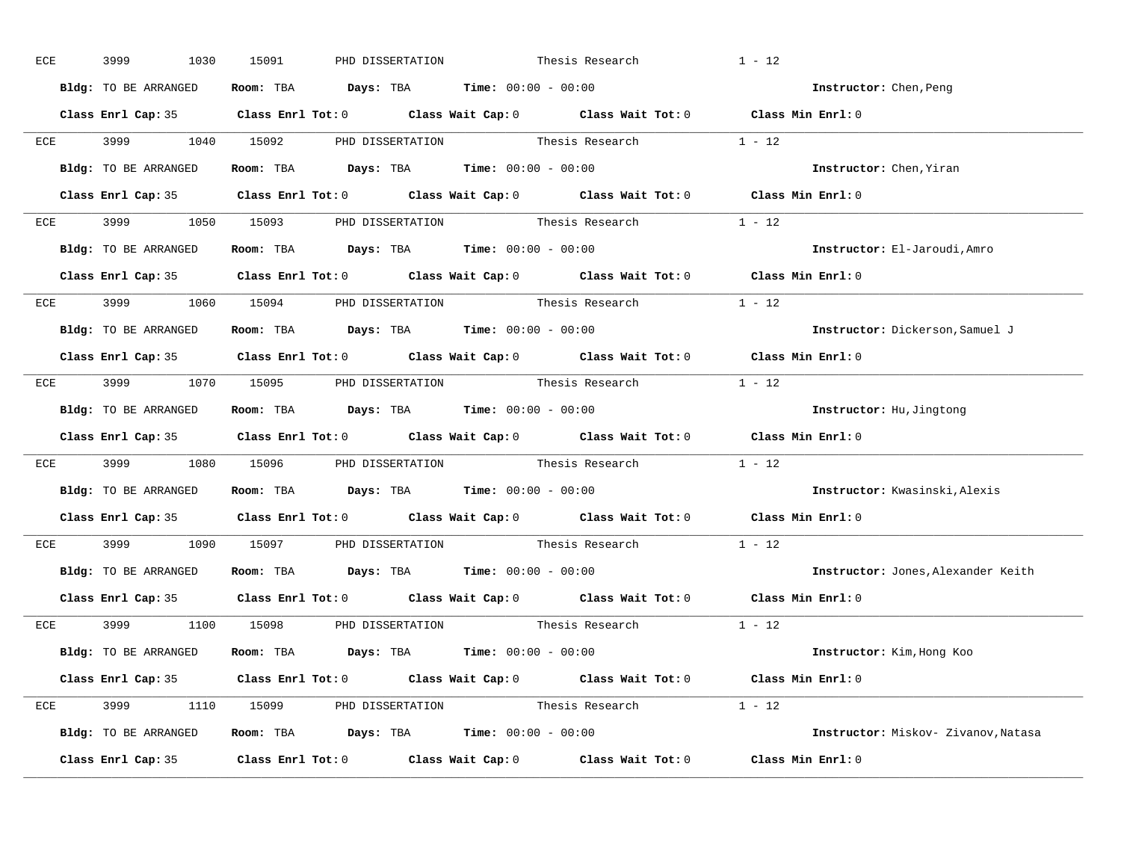| ECE | 3999<br>1030         | 15091<br>PHD DISSERTATION                                                                           | Thesis Research | $1 - 12$ |                                     |
|-----|----------------------|-----------------------------------------------------------------------------------------------------|-----------------|----------|-------------------------------------|
|     | Bldg: TO BE ARRANGED | Room: TBA $Days:$ TBA $Time: 00:00 - 00:00$                                                         |                 |          | Instructor: Chen, Peng              |
|     |                      | Class Enrl Cap: 35 Class Enrl Tot: 0 Class Wait Cap: 0 Class Wait Tot: 0 Class Min Enrl: 0          |                 |          |                                     |
|     |                      | ECE 3999 1040 15092 PHD DISSERTATION Thesis Research 1 - 12                                         |                 |          |                                     |
|     | Bldg: TO BE ARRANGED | Room: TBA $Days:$ TBA Time: $00:00 - 00:00$                                                         |                 |          | Instructor: Chen, Yiran             |
|     |                      | Class Enrl Cap: 35 Class Enrl Tot: 0 Class Wait Cap: 0 Class Wait Tot: 0 Class Min Enrl: 0          |                 |          |                                     |
|     |                      | ECE 3999 1050 15093 PHD DISSERTATION Thesis Research 1 - 12                                         |                 |          |                                     |
|     |                      | Bldg: TO BE ARRANGED Room: TBA Days: TBA Time: 00:00 - 00:00                                        |                 |          | Instructor: El-Jaroudi, Amro        |
|     |                      | Class Enrl Cap: 35 Class Enrl Tot: 0 Class Wait Cap: 0 Class Wait Tot: 0 Class Min Enrl: 0          |                 |          |                                     |
|     |                      | ECE 3999 1060 15094 PHD DISSERTATION Thesis Research 1 - 12                                         |                 |          |                                     |
|     | Bldg: TO BE ARRANGED | Room: TBA $Days:$ TBA $Time: 00:00 - 00:00$                                                         |                 |          | Instructor: Dickerson, Samuel J     |
|     |                      | Class Enrl Cap: 35 Class Enrl Tot: 0 Class Wait Cap: 0 Class Wait Tot: 0 Class Min Enrl: 0          |                 |          |                                     |
|     |                      | ECE 3999 1070 15095 PHD DISSERTATION Thesis Research 1 - 12                                         |                 |          |                                     |
|     | Bldg: TO BE ARRANGED | Room: TBA $Days:$ TBA $Time: 00:00 - 00:00$                                                         |                 |          | Instructor: Hu, Jingtong            |
|     |                      | Class Enrl Cap: 35 Class Enrl Tot: 0 Class Wait Cap: 0 Class Wait Tot: 0 Class Min Enrl: 0          |                 |          |                                     |
|     |                      | ECE 3999 1080 15096 PHD DISSERTATION Thesis Research 1 - 12                                         |                 |          |                                     |
|     | Bldg: TO BE ARRANGED | Room: TBA $\rule{1em}{0.15mm}$ Days: TBA $\rule{1.5mm}{0.15mm}$ Time: $00:00 - 00:00$               |                 |          | Instructor: Kwasinski, Alexis       |
|     |                      | Class Enrl Cap: 35 $\qquad$ Class Enrl Tot: 0 $\qquad$ Class Wait Cap: 0 $\qquad$ Class Wait Tot: 0 |                 |          | Class Min Enrl: 0                   |
|     |                      | ECE 3999 1090 15097 PHD DISSERTATION Thesis Research                                                |                 | $1 - 12$ |                                     |
|     |                      | Bldg: TO BE ARRANGED Room: TBA Days: TBA Time: 00:00 - 00:00                                        |                 |          | Instructor: Jones, Alexander Keith  |
|     |                      | Class Enrl Cap: 35 Class Enrl Tot: 0 Class Wait Cap: 0 Class Wait Tot: 0 Class Min Enrl: 0          |                 |          |                                     |
|     |                      | ECE 3999 1100 15098 PHD DISSERTATION Thesis Research 1 - 12                                         |                 |          |                                     |
|     | Bldg: TO BE ARRANGED | Room: TBA $\rule{1em}{0.15mm}$ Days: TBA $\rule{1.5mm}{0.15mm}$ Time: $00:00 - 00:00$               |                 |          | Instructor: Kim, Hong Koo           |
|     |                      | Class Enrl Cap: 35 Class Enrl Tot: 0 Class Wait Cap: 0 Class Wait Tot: 0 Class Min Enrl: 0          |                 |          |                                     |
|     |                      | ECE 3999 1110 15099 PHD DISSERTATION Thesis Research 1 - 12                                         |                 |          |                                     |
|     |                      | Bldg: TO BE ARRANGED Room: TBA Days: TBA Time: 00:00 - 00:00                                        |                 |          | Instructor: Miskov- Zivanov, Natasa |
|     |                      | Class Enrl Cap: 35 Class Enrl Tot: 0 Class Wait Cap: 0 Class Wait Tot: 0 Class Min Enrl: 0          |                 |          |                                     |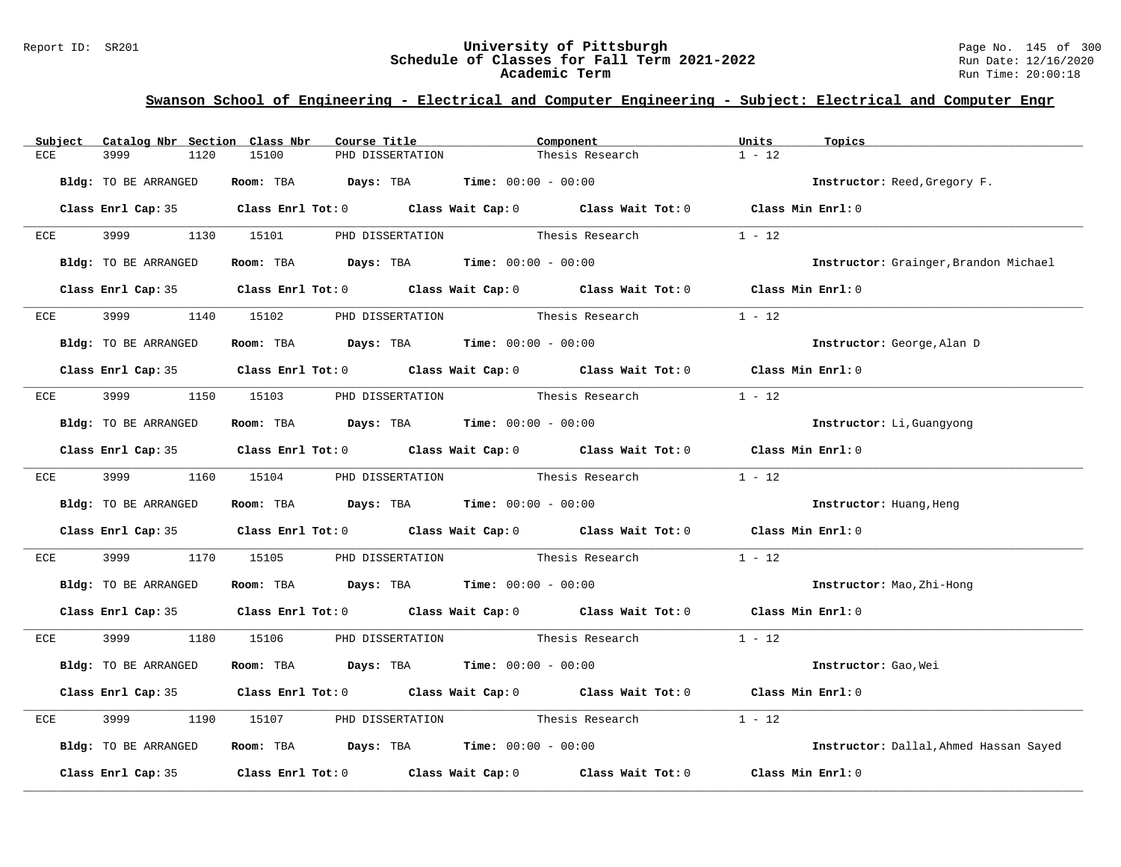#### Report ID: SR201 **University of Pittsburgh** Page No. 145 of 300 **Schedule of Classes for Fall Term 2021-2022** Run Date: 12/16/2020 **Academic Term** Run Time: 20:00:18

# **Swanson School of Engineering - Electrical and Computer Engineering - Subject: Electrical and Computer Engr**

| Subject | Catalog Nbr Section Class Nbr | Course Title                                                                               | Component                        |                 | Units<br>Topics                        |  |
|---------|-------------------------------|--------------------------------------------------------------------------------------------|----------------------------------|-----------------|----------------------------------------|--|
| ECE     | 3999<br>1120                  | 15100<br>PHD DISSERTATION                                                                  |                                  | Thesis Research | $1 - 12$                               |  |
|         | Bldg: TO BE ARRANGED          | Room: TBA $Days:$ TBA $Time: 00:00 - 00:00$                                                |                                  |                 | Instructor: Reed, Gregory F.           |  |
|         |                               | Class Enrl Cap: 35 Class Enrl Tot: 0 Class Wait Cap: 0 Class Wait Tot: 0 Class Min Enrl: 0 |                                  |                 |                                        |  |
|         | ECE 3999 1130 15101           |                                                                                            | PHD DISSERTATION Thesis Research |                 | $1 - 12$                               |  |
|         | Bldg: TO BE ARRANGED          | Room: TBA $Days:$ TBA $Time: 00:00 - 00:00$                                                |                                  |                 | Instructor: Grainger, Brandon Michael  |  |
|         |                               | Class Enrl Cap: 35 Class Enrl Tot: 0 Class Wait Cap: 0 Class Wait Tot: 0 Class Min Enrl: 0 |                                  |                 |                                        |  |
| ECE     |                               | 1140 15102 PHD DISSERTATION Thesis Research                                                |                                  |                 | $1 - 12$                               |  |
|         | Bldg: TO BE ARRANGED          | Room: TBA $Days:$ TBA $Time: 00:00 - 00:00$                                                |                                  |                 | Instructor: George, Alan D             |  |
|         |                               | Class Enrl Cap: 35 Class Enrl Tot: 0 Class Wait Cap: 0 Class Wait Tot: 0 Class Min Enrl: 0 |                                  |                 |                                        |  |
| ECE     |                               | 3999 1150 15103 PHD DISSERTATION Thesis Research                                           |                                  |                 | $1 - 12$                               |  |
|         | Bldg: TO BE ARRANGED          | Room: TBA $\rule{1em}{0.15mm}$ Days: TBA Time: $00:00 - 00:00$                             |                                  |                 | Instructor: Li, Guangyong              |  |
|         |                               | Class Enrl Cap: 35 Class Enrl Tot: 0 Class Wait Cap: 0 Class Wait Tot: 0 Class Min Enrl: 0 |                                  |                 |                                        |  |
|         |                               | ECE 3999 1160 15104 PHD DISSERTATION Thesis Research                                       |                                  |                 | $1 - 12$                               |  |
|         | Bldg: TO BE ARRANGED          | Room: TBA $\rule{1em}{0.15mm}$ Days: TBA Time: $00:00 - 00:00$                             |                                  |                 | Instructor: Huang, Heng                |  |
|         |                               | Class Enrl Cap: 35 Class Enrl Tot: 0 Class Wait Cap: 0 Class Wait Tot: 0 Class Min Enrl: 0 |                                  |                 |                                        |  |
| ECE     | 3999 700                      | 1170 15105 PHD DISSERTATION Thesis Research                                                |                                  |                 | $1 - 12$                               |  |
|         | Bldg: TO BE ARRANGED          | Room: TBA $Days:$ TBA $Time: 00:00 - 00:00$                                                |                                  |                 | Instructor: Mao, Zhi-Hong              |  |
|         |                               | Class Enrl Cap: 35 Class Enrl Tot: 0 Class Wait Cap: 0 Class Wait Tot: 0 Class Min Enrl: 0 |                                  |                 |                                        |  |
|         |                               | ECE 3999 1180 15106 PHD DISSERTATION Thesis Research 1 - 12                                |                                  |                 |                                        |  |
|         | Bldg: TO BE ARRANGED          | Room: TBA $Days:$ TBA $Time: 00:00 - 00:00$                                                |                                  |                 | Instructor: Gao, Wei                   |  |
|         |                               | Class Enrl Cap: 35 Class Enrl Tot: 0 Class Wait Cap: 0 Class Wait Tot: 0 Class Min Enrl: 0 |                                  |                 |                                        |  |
| ECE     | 3999<br>1190                  | 15107                                                                                      | PHD DISSERTATION Thesis Research |                 | $1 - 12$                               |  |
|         | Bldg: TO BE ARRANGED          | Room: TBA $Days:$ TBA $Time: 00:00 - 00:00$                                                |                                  |                 | Instructor: Dallal, Ahmed Hassan Sayed |  |
|         |                               | Class Enrl Cap: 35 Class Enrl Tot: 0 Class Wait Cap: 0 Class Wait Tot: 0 Class Min Enrl: 0 |                                  |                 |                                        |  |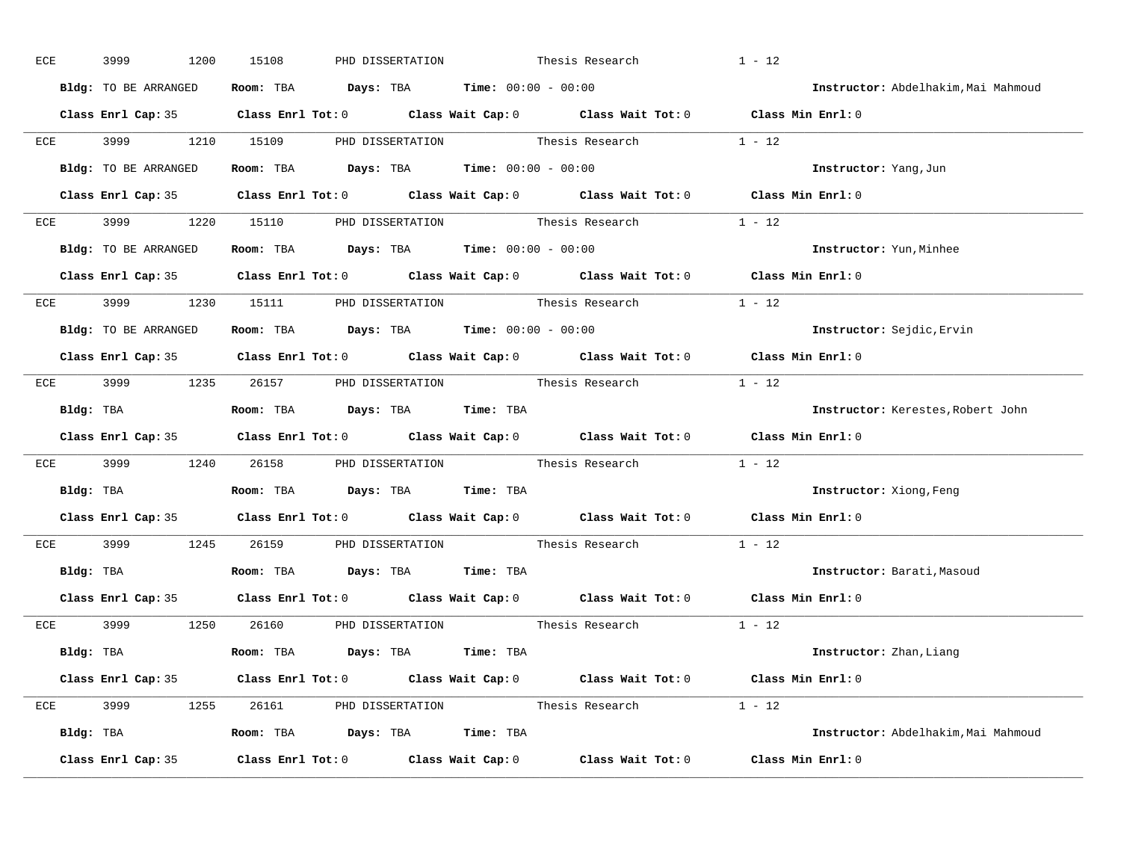| ECE |           | 3999 |                      | 1200 | 15108 | PHD DISSERTATION |                                                                                            | Thesis Research                                             | $1 - 12$                                                                                   |                                     |
|-----|-----------|------|----------------------|------|-------|------------------|--------------------------------------------------------------------------------------------|-------------------------------------------------------------|--------------------------------------------------------------------------------------------|-------------------------------------|
|     |           |      | Bldg: TO BE ARRANGED |      |       |                  | Room: TBA $Days:$ TBA $Time: 00:00 - 00:00$                                                |                                                             |                                                                                            | Instructor: Abdelhakim, Mai Mahmoud |
|     |           |      |                      |      |       |                  |                                                                                            |                                                             | Class Enrl Cap: 35 Class Enrl Tot: 0 Class Wait Cap: 0 Class Wait Tot: 0 Class Min Enrl: 0 |                                     |
|     |           |      |                      |      |       |                  |                                                                                            | ECE 3999 1210 15109 PHD DISSERTATION Thesis Research 1 - 12 |                                                                                            |                                     |
|     |           |      | Bldg: TO BE ARRANGED |      |       |                  | Room: TBA $Days:$ TBA Time: $00:00 - 00:00$                                                |                                                             | Instructor: Yang, Jun                                                                      |                                     |
|     |           |      |                      |      |       |                  |                                                                                            |                                                             | Class Enrl Cap: 35 Class Enrl Tot: 0 Class Wait Cap: 0 Class Wait Tot: 0 Class Min Enrl: 0 |                                     |
|     |           |      |                      |      |       |                  |                                                                                            | ECE 3999 1220 15110 PHD DISSERTATION Thesis Research 1 - 12 |                                                                                            |                                     |
|     |           |      |                      |      |       |                  | <b>Bldg:</b> TO BE ARRANGED <b>Room:</b> TBA <b>Days:</b> TBA <b>Time:</b> $00:00 - 00:00$ |                                                             |                                                                                            | Instructor: Yun, Minhee             |
|     |           |      |                      |      |       |                  |                                                                                            |                                                             | Class Enrl Cap: 35 Class Enrl Tot: 0 Class Wait Cap: 0 Class Wait Tot: 0 Class Min Enrl: 0 |                                     |
|     |           |      |                      |      |       |                  |                                                                                            | ECE 3999 1230 15111 PHD DISSERTATION Thesis Research 1 - 12 |                                                                                            |                                     |
|     |           |      | Bldg: TO BE ARRANGED |      |       |                  | Room: TBA $Days:$ TBA $Time: 00:00 - 00:00$                                                |                                                             |                                                                                            | Instructor: Sejdic, Ervin           |
|     |           |      |                      |      |       |                  |                                                                                            |                                                             | Class Enrl Cap: 35 Class Enrl Tot: 0 Class Wait Cap: 0 Class Wait Tot: 0 Class Min Enrl: 0 |                                     |
|     |           |      |                      |      |       |                  |                                                                                            | ECE 3999 1235 26157 PHD DISSERTATION Thesis Research 1 - 12 |                                                                                            |                                     |
|     | Bldg: TBA |      |                      |      |       |                  | Room: TBA Days: TBA Time: TBA                                                              |                                                             |                                                                                            | Instructor: Kerestes, Robert John   |
|     |           |      |                      |      |       |                  |                                                                                            |                                                             | Class Enrl Cap: 35 Class Enrl Tot: 0 Class Wait Cap: 0 Class Wait Tot: 0 Class Min Enrl: 0 |                                     |
|     |           |      |                      |      |       |                  |                                                                                            | ECE 3999 1240 26158 PHD DISSERTATION Thesis Research 1 - 12 |                                                                                            |                                     |
|     | Bldg: TBA |      |                      |      |       |                  | Room: TBA Days: TBA Time: TBA                                                              |                                                             |                                                                                            | Instructor: Xiong, Feng             |
|     |           |      |                      |      |       |                  |                                                                                            |                                                             | Class Enrl Cap: 35 Class Enrl Tot: 0 Class Wait Cap: 0 Class Wait Tot: 0 Class Min Enrl: 0 |                                     |
|     |           |      |                      |      |       |                  |                                                                                            | ECE 3999 1245 26159 PHD DISSERTATION Thesis Research        | $1 - 12$                                                                                   |                                     |
|     |           |      |                      |      |       |                  | Bldg: TBA                   Room: TBA         Days: TBA        Time: TBA                   |                                                             |                                                                                            | Instructor: Barati, Masoud          |
|     |           |      |                      |      |       |                  |                                                                                            |                                                             | Class Enrl Cap: 35 Class Enrl Tot: 0 Class Wait Cap: 0 Class Wait Tot: 0 Class Min Enrl: 0 |                                     |
|     |           |      |                      |      |       |                  |                                                                                            | ECE 3999 1250 26160 PHD_DISSERTATION Thesis_Research 1 - 12 |                                                                                            |                                     |
|     |           |      |                      |      |       |                  | Bldg: TBA                        Room: TBA         Days: TBA         Time: TBA             |                                                             |                                                                                            | Instructor: Zhan, Liang             |
|     |           |      |                      |      |       |                  |                                                                                            |                                                             | Class Enrl Cap: 35 Class Enrl Tot: 0 Class Wait Cap: 0 Class Wait Tot: 0 Class Min Enrl: 0 |                                     |
|     |           |      |                      |      |       |                  |                                                                                            | ECE 3999 1255 26161 PHD DISSERTATION Thesis Research 1 - 12 |                                                                                            |                                     |
|     |           |      |                      |      |       |                  | Bldg: TBA                     Room: TBA         Days: TBA         Time: TBA                |                                                             |                                                                                            | Instructor: Abdelhakim, Mai Mahmoud |
|     |           |      | Class Enrl Cap: 35   |      |       |                  |                                                                                            |                                                             | Class Enrl Tot: $0$ Class Wait Cap: $0$ Class Wait Tot: $0$ Class Min Enrl: $0$            |                                     |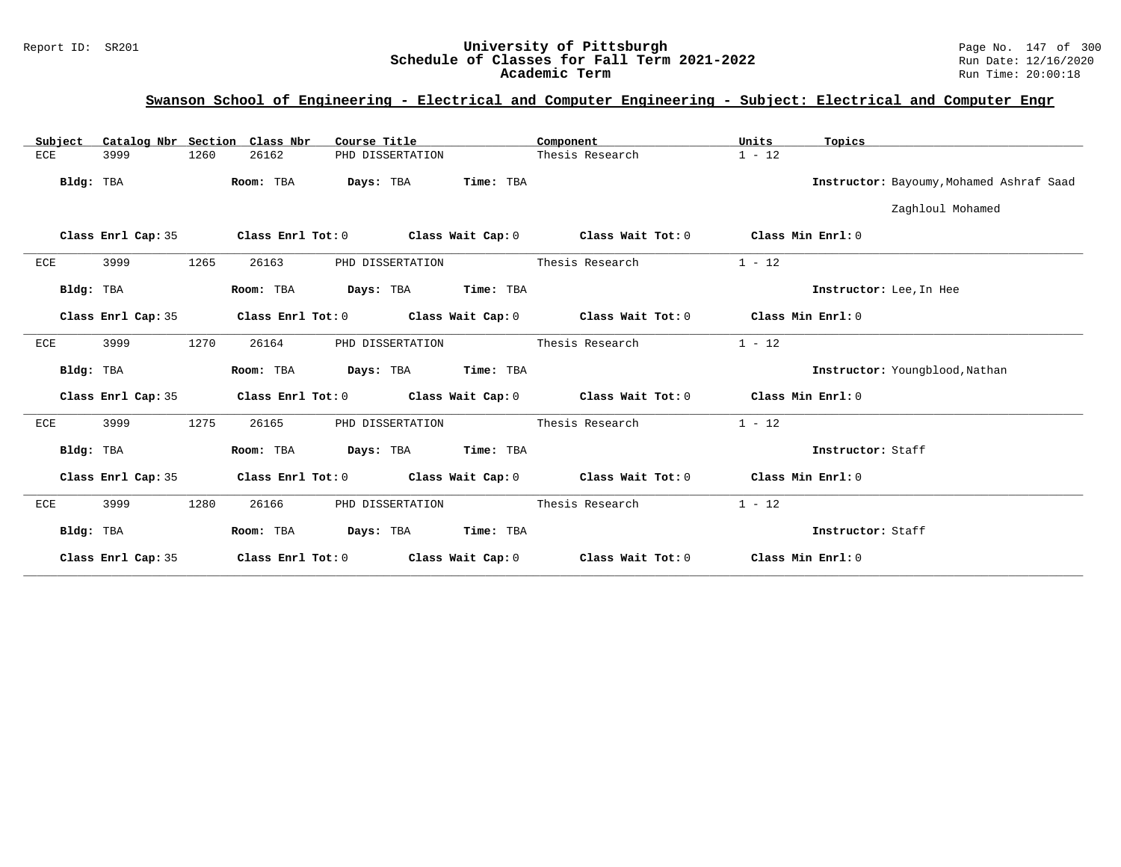## Report ID: SR201 **University of Pittsburgh** Page No. 147 of 300 **Schedule of Classes for Fall Term 2021-2022** Run Date: 12/16/2020 **Academic Term** Run Time: 20:00:18

# **Swanson School of Engineering - Electrical and Computer Engineering - Subject: Electrical and Computer Engr**

|     | Subject   |                    |      | Catalog Nbr Section Class Nbr | Course Title |                  |                     | Component                                                   | Units             | Topics                                   |
|-----|-----------|--------------------|------|-------------------------------|--------------|------------------|---------------------|-------------------------------------------------------------|-------------------|------------------------------------------|
| ECE |           | 3999               | 1260 | 26162                         |              | PHD DISSERTATION |                     | Thesis Research                                             | $1 - 12$          |                                          |
|     | Bldg: TBA |                    |      | Room: TBA                     | Days: TBA    |                  | Time: TBA           |                                                             |                   | Instructor: Bayoumy, Mohamed Ashraf Saad |
|     |           |                    |      |                               |              |                  |                     |                                                             |                   | Zaghloul Mohamed                         |
|     |           | Class Enrl Cap: 35 |      | Class Enrl Tot: 0             |              |                  |                     | Class Wait Cap: $0$ Class Wait Tot: $0$ Class Min Enrl: $0$ |                   |                                          |
| ECE |           | 3999               | 1265 | 26163                         |              | PHD DISSERTATION |                     | Thesis Research                                             | $1 - 12$          |                                          |
|     | Bldg: TBA |                    |      | Room: TBA                     | Days: TBA    |                  | Time: TBA           |                                                             |                   | Instructor: Lee, In Hee                  |
|     |           | Class Enrl Cap: 35 |      |                               |              |                  |                     | Class Enrl Tot: 0 Class Wait Cap: 0 Class Wait Tot: 0       | Class Min Enrl: 0 |                                          |
| ECE |           | 3999               | 1270 | 26164                         |              | PHD DISSERTATION |                     | Thesis Research                                             | $1 - 12$          |                                          |
|     | Bldg: TBA |                    |      | Room: TBA                     |              |                  | Days: TBA Time: TBA |                                                             |                   | Instructor: Youngblood, Nathan           |
|     |           | Class Enrl Cap: 35 |      |                               |              |                  |                     | Class Enrl Tot: $0$ Class Wait Cap: $0$ Class Wait Tot: $0$ | Class Min Enrl: 0 |                                          |
| ECE |           | 3999               | 1275 | 26165                         |              | PHD DISSERTATION |                     | Thesis Research                                             | $1 - 12$          |                                          |
|     | Bldg: TBA |                    |      | Room: TBA                     |              |                  | Days: TBA Time: TBA |                                                             |                   | Instructor: Staff                        |
|     |           | Class Enrl Cap: 35 |      |                               |              |                  |                     | Class Enrl Tot: $0$ Class Wait Cap: $0$ Class Wait Tot: $0$ | Class Min Enrl: 0 |                                          |
| ECE |           | 3999               | 1280 | 26166                         |              | PHD DISSERTATION |                     | Thesis Research                                             | $1 - 12$          |                                          |
|     | Bldg: TBA |                    |      | Room: TBA                     |              | Days: TBA        | Time: TBA           |                                                             |                   | Instructor: Staff                        |
|     |           | Class Enrl Cap: 35 |      | Class Enrl Tot: 0             |              |                  | Class Wait Cap: 0   | Class Wait Tot: 0                                           | Class Min Enrl: 0 |                                          |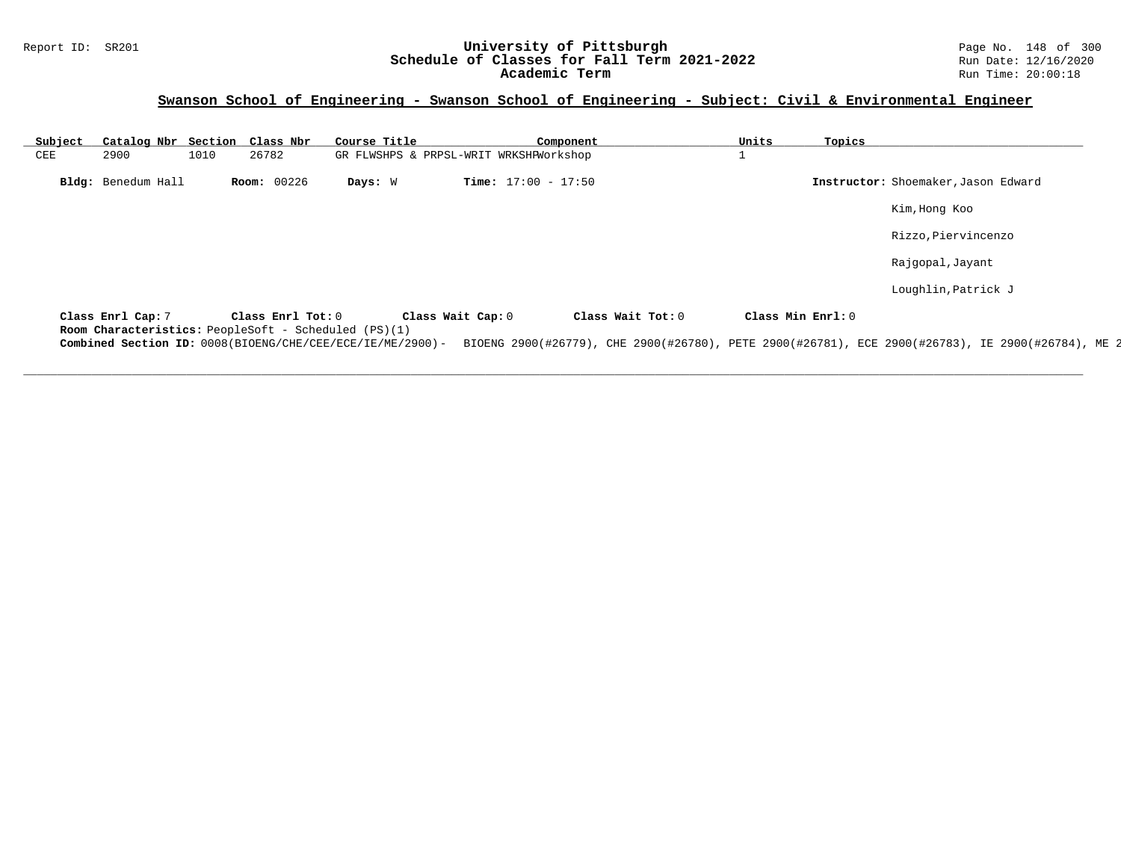## Report ID: SR201 **1988 Chedule of Classes for Fall Term 2021-2022** Page No. 148 of 300 Page No. 148 of 300 Page No<br>**Schedule of Classes for Fall Term 2021-2022** Run Date: 12/16/2020 **Schedule of Classes for Fall Term 2021-2022** Run Date: 12/16/2020 **Academic Term** Run Time: 20:00:18

# **Swanson School of Engineering - Swanson School of Engineering - Subject: Civil & Environmental Engineer**

| Subject |                                                                           |      | Catalog Nbr Section Class Nbr | Course Title |                                        | Component                    |                   | Units | Topics            |                                                                                                   |
|---------|---------------------------------------------------------------------------|------|-------------------------------|--------------|----------------------------------------|------------------------------|-------------------|-------|-------------------|---------------------------------------------------------------------------------------------------|
| CEE     | 2900                                                                      | 1010 | 26782                         |              | GR FLWSHPS & PRPSL-WRIT WRKSHPWorkshop |                              |                   |       |                   |                                                                                                   |
|         | Bldg: Benedum Hall                                                        |      | <b>Room: 00226</b>            | Days: W      |                                        | <b>Time:</b> $17:00 - 17:50$ |                   |       |                   | Instructor: Shoemaker, Jason Edward                                                               |
|         |                                                                           |      |                               |              |                                        |                              |                   |       |                   | Kim, Hong Koo                                                                                     |
|         |                                                                           |      |                               |              |                                        |                              |                   |       |                   | Rizzo, Piervincenzo                                                                               |
|         |                                                                           |      |                               |              |                                        |                              |                   |       |                   | Rajgopal, Jayant                                                                                  |
|         |                                                                           |      |                               |              |                                        |                              |                   |       |                   | Loughlin, Patrick J                                                                               |
|         | Class Enrl Cap: 7<br>Room Characteristics: PeopleSoft - Scheduled (PS)(1) |      | Class Enrl Tot: 0             |              | Class Wait Cap: 0                      |                              | Class Wait Tot: 0 |       | Class Min Enrl: 0 |                                                                                                   |
|         | Combined Section ID: 0008(BIOENG/CHE/CEE/ECE/IE/ME/2900)-                 |      |                               |              |                                        |                              |                   |       |                   | BIOENG 2900(#26779), CHE 2900(#26780), PETE 2900(#26781), ECE 2900(#26783), IE 2900(#26784), ME 2 |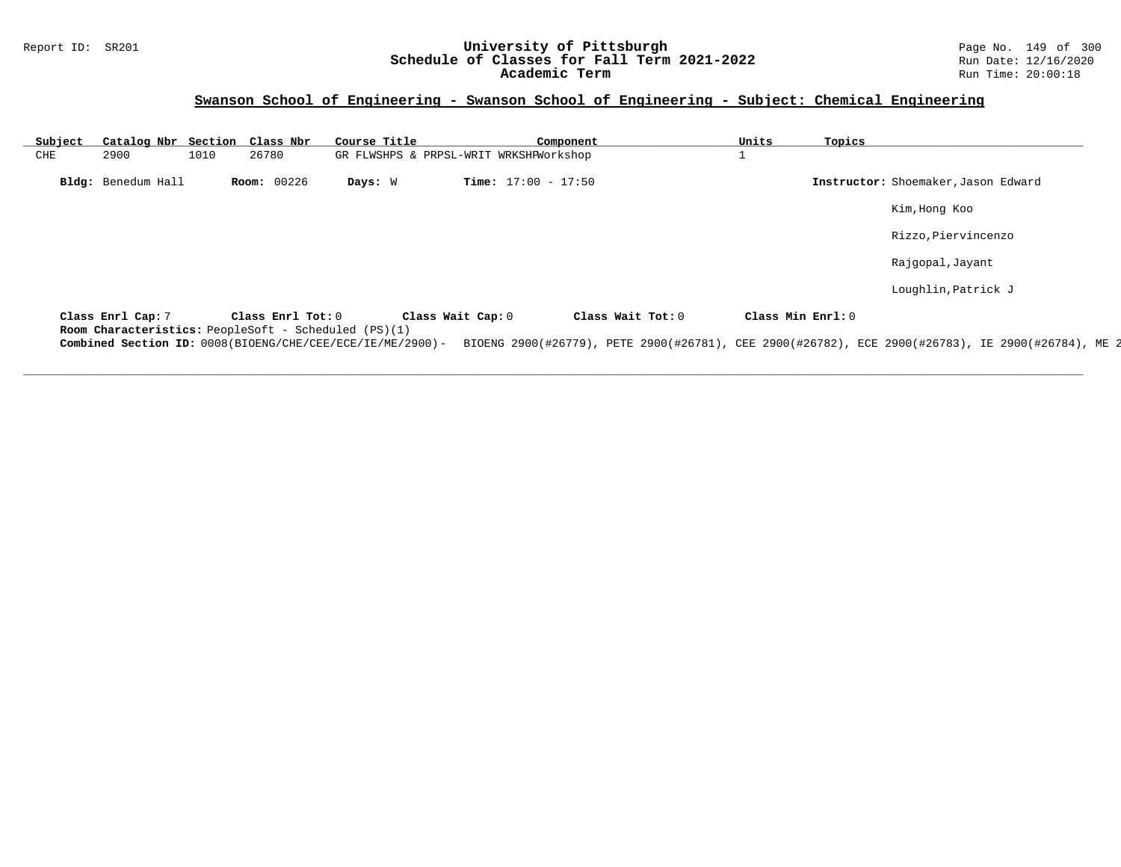## Report ID: SR201 **19 CHELERGIA CONFERITY OF PITTSBURGH** Page No. 149 of 300 **University of Pittsburgh** Page No. 149 of 300 **Schedule of Classes for Fall Term 2021-2022** Run Date: 12/16/2020 **Schedule of Classes for Fall Term 2021-2022** Run Date: 12/16/2020 **Academic Term** Run Time: 20:00:18

# **Swanson School of Engineering - Swanson School of Engineering - Subject: Chemical Engineering**

| Subject |                    |      | Catalog Nbr Section Class Nbr                                             | Course Title                                              |                                        | Component         | Units | Topics            |                                                                                                   |
|---------|--------------------|------|---------------------------------------------------------------------------|-----------------------------------------------------------|----------------------------------------|-------------------|-------|-------------------|---------------------------------------------------------------------------------------------------|
| CHE     | 2900               | 1010 | 26780                                                                     |                                                           | GR FLWSHPS & PRPSL-WRIT WRKSHPWorkshop |                   |       |                   |                                                                                                   |
|         | Bldg: Benedum Hall |      | <b>Room: 00226</b>                                                        | Days: W                                                   | <b>Time:</b> $17:00 - 17:50$           |                   |       |                   | Instructor: Shoemaker, Jason Edward                                                               |
|         |                    |      |                                                                           |                                                           |                                        |                   |       |                   | Kim, Hong Koo                                                                                     |
|         |                    |      |                                                                           |                                                           |                                        |                   |       |                   | Rizzo, Piervincenzo                                                                               |
|         |                    |      |                                                                           |                                                           |                                        |                   |       |                   | Rajgopal, Jayant                                                                                  |
|         |                    |      |                                                                           |                                                           |                                        |                   |       |                   | Loughlin, Patrick J                                                                               |
|         | Class Enrl Cap: 7  |      | Class Enrl Tot: 0<br>Room Characteristics: PeopleSoft - Scheduled (PS)(1) |                                                           | Class Wait Cap: 0                      | Class Wait Tot: 0 |       | Class Min Enrl: 0 |                                                                                                   |
|         |                    |      |                                                                           | Combined Section ID: 0008(BIOENG/CHE/CEE/ECE/IE/ME/2900)- |                                        |                   |       |                   | BIOENG 2900(#26779), PETE 2900(#26781), CEE 2900(#26782), ECE 2900(#26783), IE 2900(#26784), ME 2 |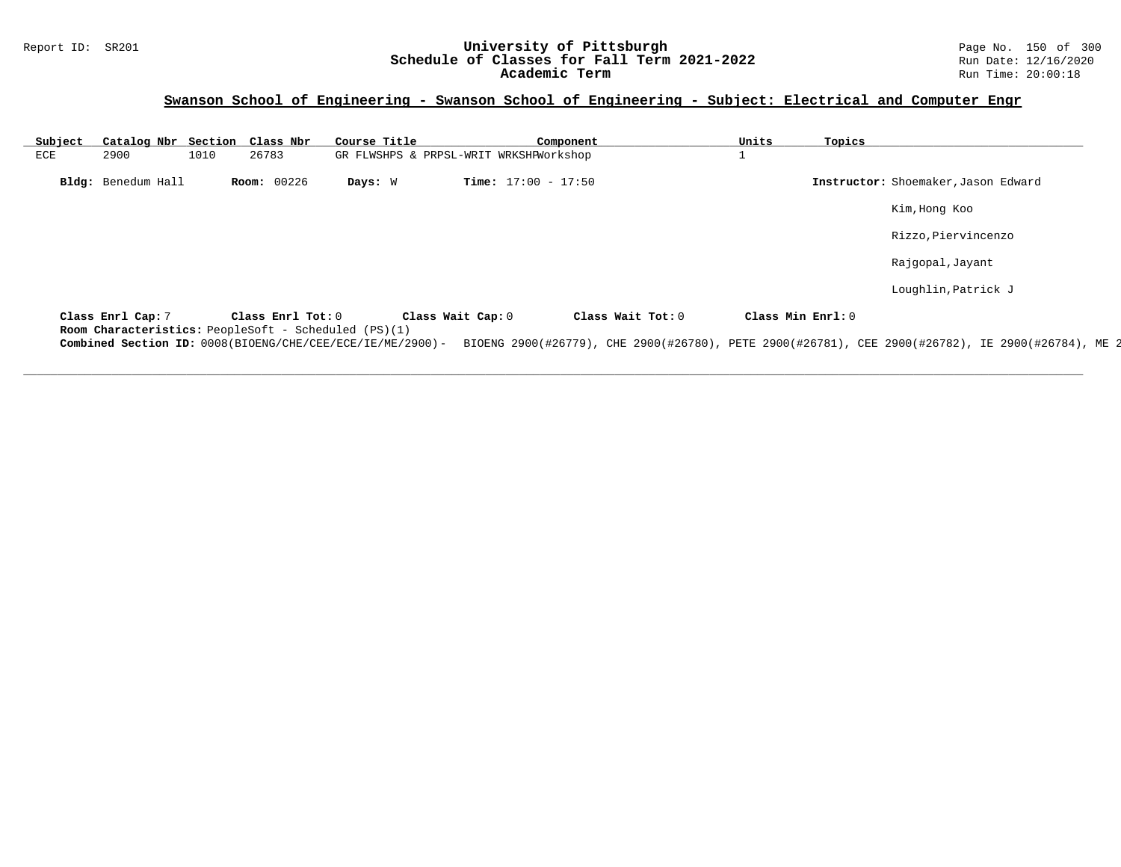## Report ID: SR201 **1988 Machines 1998 Machines 2011 Term 2021-2022** Page No. 150 of 300 Page No. 150 of 300 Page No<br>Schedule of Classes for Fall Term 2021-2022 **Schedule of Classes for Fall Term 2021-2022** Run Date: 12/16/2020 **Academic Term** Run Time: 20:00:18

## **Swanson School of Engineering - Swanson School of Engineering - Subject: Electrical and Computer Engr**

| Subject |                    |      | Catalog Nbr Section Class Nbr                                             | Course Title |                                        | Component                    |                   | Units             | Topics |                                                                                                   |
|---------|--------------------|------|---------------------------------------------------------------------------|--------------|----------------------------------------|------------------------------|-------------------|-------------------|--------|---------------------------------------------------------------------------------------------------|
| ECE     | 2900               | 1010 | 26783                                                                     |              | GR FLWSHPS & PRPSL-WRIT WRKSHPWorkshop |                              |                   |                   |        |                                                                                                   |
|         | Bldg: Benedum Hall |      | <b>Room: 00226</b>                                                        | Days: W      |                                        | <b>Time:</b> $17:00 - 17:50$ |                   |                   |        | Instructor: Shoemaker, Jason Edward                                                               |
|         |                    |      |                                                                           |              |                                        |                              |                   |                   |        | Kim, Hong Koo                                                                                     |
|         |                    |      |                                                                           |              |                                        |                              |                   |                   |        | Rizzo, Piervincenzo                                                                               |
|         |                    |      |                                                                           |              |                                        |                              |                   |                   |        | Rajgopal, Jayant                                                                                  |
|         |                    |      |                                                                           |              |                                        |                              |                   |                   |        | Loughlin, Patrick J                                                                               |
|         | Class Enrl Cap: 7  |      | Class Enrl Tot: 0<br>Room Characteristics: PeopleSoft - Scheduled (PS)(1) |              | Class Wait Cap: 0                      |                              | Class Wait Tot: 0 | Class Min Enrl: 0 |        |                                                                                                   |
|         |                    |      | Combined Section ID: 0008(BIOENG/CHE/CEE/ECE/IE/ME/2900)-                 |              |                                        |                              |                   |                   |        | BIOENG 2900(#26779), CHE 2900(#26780), PETE 2900(#26781), CEE 2900(#26782), IE 2900(#26784), ME 2 |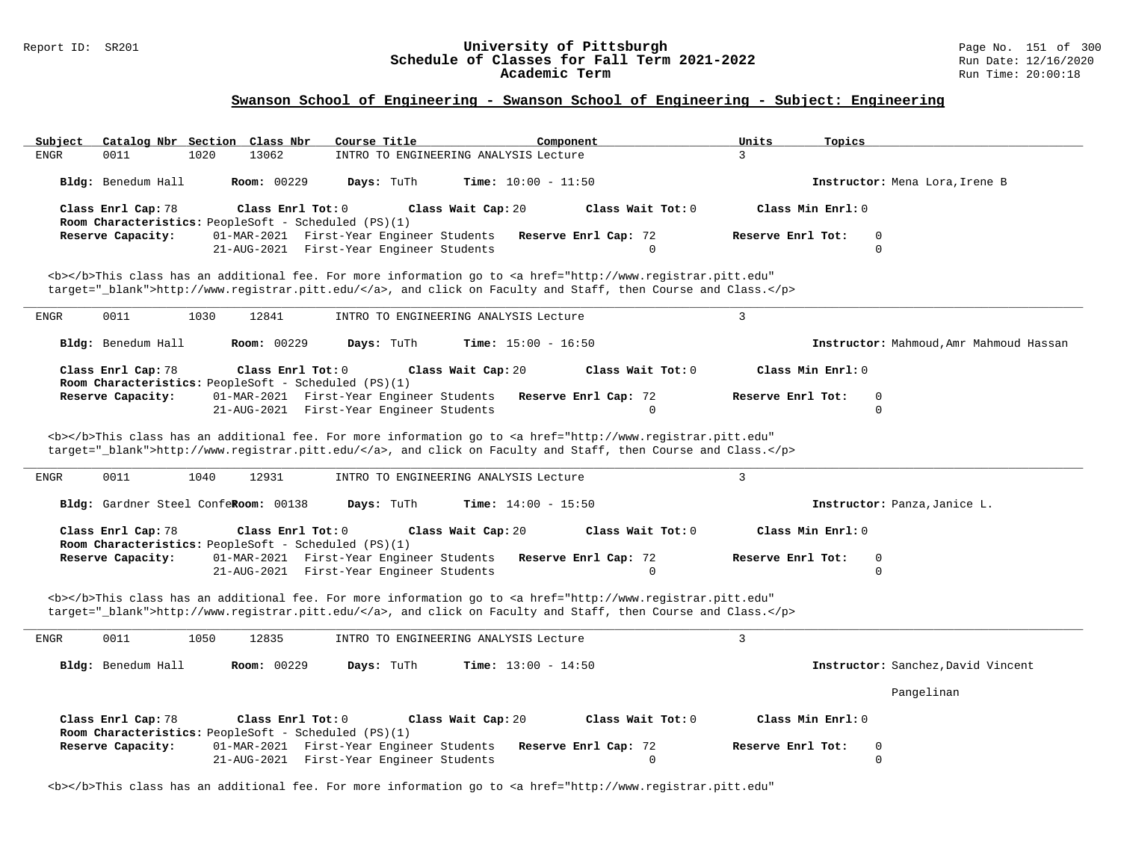# Report ID: SR201 **1988 Chedule of Classes for Fall Term 2021-2022** Page No. 151 of 300 Page No. 151 of 300 Page No<br>**Schedule of Classes for Fall Term 2021-2022** Run Date: 12/16/2020 Schedule of Classes for Fall Term 2021-2022<br>Academic Term

## **Swanson School of Engineering - Swanson School of Engineering - Subject: Engineering**

|                                                                                                                                                                   | Course Title<br>Component                                                                                                                                                                                                          | Units<br>Topics                              |
|-------------------------------------------------------------------------------------------------------------------------------------------------------------------|------------------------------------------------------------------------------------------------------------------------------------------------------------------------------------------------------------------------------------|----------------------------------------------|
| 0011<br>13062<br><b>ENGR</b><br>1020                                                                                                                              | INTRO TO ENGINEERING ANALYSIS Lecture                                                                                                                                                                                              | 3                                            |
| Bldg: Benedum Hall<br><b>Room: 00229</b>                                                                                                                          | Days: TuTh<br><b>Time:</b> $10:00 - 11:50$                                                                                                                                                                                         | Instructor: Mena Lora, Irene B               |
| Class Enrl Cap: 78<br>Class Enrl Tot: 0<br>Room Characteristics: PeopleSoft - Scheduled (PS)(1)                                                                   | Class Wait Tot: 0<br>Class Wait Cap: 20                                                                                                                                                                                            | Class Min Enrl: 0                            |
| Reserve Capacity:<br>01-MAR-2021 First-Year Engineer Students<br>21-AUG-2021 First-Year Engineer Students                                                         | Reserve Enrl Cap: 72<br>$\Omega$                                                                                                                                                                                                   | Reserve Enrl Tot:<br>0<br>$\Omega$           |
|                                                                                                                                                                   | <b></b> This class has an additional fee. For more information go to <a <br="" href="http://www.registrar.pitt.edu">target="_blank"&gt;http://www.registrar.pitt.edu/</a> , and click on Faculty and Staff, then Course and Class. |                                              |
| 0011<br>1030<br>12841<br>ENGR                                                                                                                                     | INTRO TO ENGINEERING ANALYSIS Lecture                                                                                                                                                                                              | $\mathbf{3}$                                 |
| Bldg: Benedum Hall<br><b>Room: 00229</b>                                                                                                                          | Days: TuTh<br><b>Time:</b> $15:00 - 16:50$                                                                                                                                                                                         | Instructor: Mahmoud, Amr Mahmoud Hassan      |
| Class Enrl Cap: 78<br>Class Enrl Tot: 0<br>Room Characteristics: PeopleSoft - Scheduled (PS)(1)                                                                   | Class Wait Cap: 20<br>Class Wait Tot: 0                                                                                                                                                                                            | Class Min Enrl: 0                            |
| 01-MAR-2021 First-Year Engineer Students<br>Reserve Capacity:                                                                                                     | Reserve Enrl Cap: 72                                                                                                                                                                                                               | Reserve Enrl Tot:<br>0                       |
| 21-AUG-2021 First-Year Engineer Students                                                                                                                          | $\Omega$                                                                                                                                                                                                                           | $\mathbf 0$                                  |
|                                                                                                                                                                   | <b></b> This class has an additional fee. For more information go to <a <br="" href="http://www.registrar.pitt.edu">target="_blank"&gt;http://www.registrar.pitt.edu/</a> , and click on Faculty and Staff, then Course and Class. |                                              |
| 0011<br>1040<br>12931<br><b>ENGR</b>                                                                                                                              | INTRO TO ENGINEERING ANALYSIS Lecture                                                                                                                                                                                              | 3                                            |
| Bldg: Gardner Steel ConfeRoom: 00138                                                                                                                              | Days: TuTh<br><b>Time:</b> $14:00 - 15:50$                                                                                                                                                                                         | Instructor: Panza, Janice L.                 |
|                                                                                                                                                                   |                                                                                                                                                                                                                                    |                                              |
| Class Enrl Cap: 78<br>Class Enrl Tot: 0                                                                                                                           | Class Wait Cap: 20<br>Class Wait Tot: 0                                                                                                                                                                                            | Class Min Enrl: 0                            |
| Room Characteristics: PeopleSoft - Scheduled (PS)(1)<br>01-MAR-2021 First-Year Engineer Students<br>Reserve Capacity:<br>21-AUG-2021 First-Year Engineer Students | Reserve Enrl Cap: 72<br>$\Omega$                                                                                                                                                                                                   | $\mathbf 0$<br>Reserve Enrl Tot:<br>$\Omega$ |
|                                                                                                                                                                   | <b></b> This class has an additional fee. For more information go to <a <br="" href="http://www.registrar.pitt.edu">target="_blank"&gt;http://www.registrar.pitt.edu/</a> , and click on Faculty and Staff, then Course and Class. |                                              |
| 0011<br>1050<br>12835<br><b>ENGR</b>                                                                                                                              | INTRO TO ENGINEERING ANALYSIS Lecture                                                                                                                                                                                              | $\overline{3}$                               |
| Bldg: Benedum Hall<br>Room: 00229                                                                                                                                 | Days: TuTh<br><b>Time:</b> $13:00 - 14:50$                                                                                                                                                                                         | Instructor: Sanchez, David Vincent           |
|                                                                                                                                                                   |                                                                                                                                                                                                                                    | Pangelinan                                   |
| Class Enrl Cap: 78<br>Class Enrl Tot: 0<br>Room Characteristics: PeopleSoft - Scheduled (PS)(1)                                                                   | Class Wait Cap: 20<br>Class Wait Tot: 0                                                                                                                                                                                            | Class Min Enrl: 0                            |

<b></b>This class has an additional fee. For more information go to <a href="http://www.registrar.pitt.edu"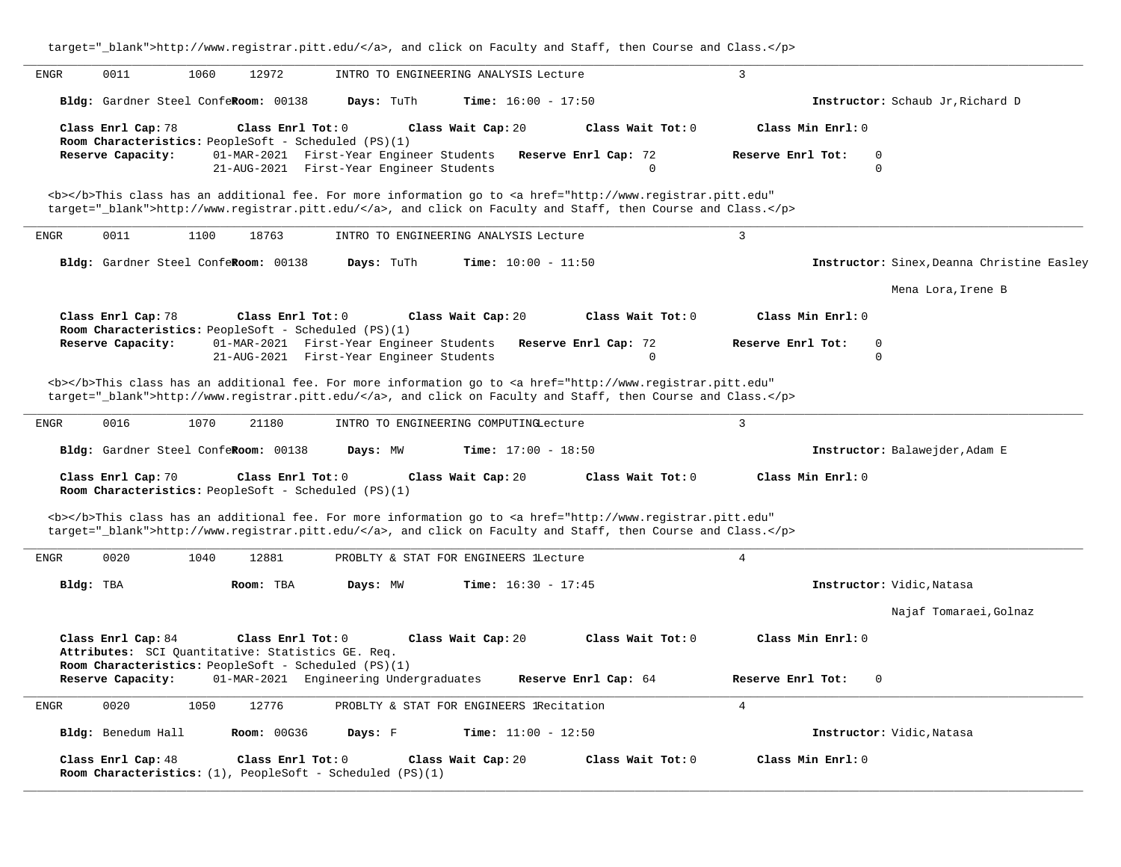| target="_blank">http://www.registrar.pitt.edu/, and click on Faculty and Staff, then Course and Class.                                                                                                                             |                                              |
|------------------------------------------------------------------------------------------------------------------------------------------------------------------------------------------------------------------------------------|----------------------------------------------|
| <b>ENGR</b><br>0011<br>1060<br>12972<br>INTRO TO ENGINEERING ANALYSIS Lecture                                                                                                                                                      | 3                                            |
| Bldg: Gardner Steel ConfeRoom: 00138<br>Days: TuTh<br><b>Time:</b> $16:00 - 17:50$                                                                                                                                                 | Instructor: Schaub Jr, Richard D             |
| Class Enrl Cap: 78<br>Class Enrl Tot: 0<br>Class Wait Cap: 20<br>Class Wait Tot: 0<br>Room Characteristics: PeopleSoft - Scheduled (PS)(1)                                                                                         | Class Min Enrl: 0                            |
| 01-MAR-2021 First-Year Engineer Students<br>Reserve Capacity:<br>Reserve Enrl Cap: 72<br>21-AUG-2021 First-Year Engineer Students<br>$\Omega$                                                                                      | Reserve Enrl Tot:<br>$\mathbf 0$<br>$\Omega$ |
| <b></b> This class has an additional fee. For more information go to <a <br="" href="http://www.registrar.pitt.edu">target="_blank"&gt;http://www.registrar.pitt.edu/</a> , and click on Faculty and Staff, then Course and Class. |                                              |
| 0011<br>1100<br>18763<br>INTRO TO ENGINEERING ANALYSIS Lecture<br>ENGR                                                                                                                                                             | $\overline{3}$                               |
| Bldg: Gardner Steel ConfeRoom: 00138<br>Time: $10:00 - 11:50$<br>Days: TuTh                                                                                                                                                        | Instructor: Sinex, Deanna Christine Easley   |
|                                                                                                                                                                                                                                    | Mena Lora, Irene B                           |
| Class Enrl Cap: 78<br>Class Enrl Tot: 0<br>Class Wait Cap: 20<br>Class Wait Tot: 0<br>Room Characteristics: PeopleSoft - Scheduled (PS)(1)                                                                                         | Class Min Enrl: 0                            |
| Reserve Capacity:<br>01-MAR-2021 First-Year Engineer Students<br>Reserve Enrl Cap: 72                                                                                                                                              | $\mathsf 0$<br>Reserve Enrl Tot:             |
| 21-AUG-2021 First-Year Engineer Students<br>$\mathbf 0$                                                                                                                                                                            | $\Omega$                                     |
| <b></b> This class has an additional fee. For more information go to <a <br="" href="http://www.registrar.pitt.edu">target="_blank"&gt;http://www.registrar.pitt.edu/</a> , and click on Faculty and Staff, then Course and Class. |                                              |
| 0016<br><b>ENGR</b><br>1070<br>21180<br>INTRO TO ENGINEERING COMPUTINGLecture                                                                                                                                                      | $\overline{3}$                               |
| Bldg: Gardner Steel ConfeRoom: 00138<br>Time: $17:00 - 18:50$<br>Days: MW                                                                                                                                                          | Instructor: Balawejder, Adam E               |
| Class Wait Cap: 20<br>Class Enrl Cap: 70<br>Class Enrl Tot: 0<br>Class Wait Tot: 0<br>Room Characteristics: PeopleSoft - Scheduled (PS)(1)                                                                                         | Class Min Enrl: 0                            |
| <b></b> This class has an additional fee. For more information go to <a <br="" href="http://www.registrar.pitt.edu">target="_blank"&gt;http://www.registrar.pitt.edu/</a> , and click on Faculty and Staff, then Course and Class. |                                              |
| 0020<br>1040<br>12881<br><b>ENGR</b><br>PROBLTY & STAT FOR ENGINEERS lLecture                                                                                                                                                      | $\overline{4}$                               |
| Time: $16:30 - 17:45$<br>Bldg: TBA<br>Room: TBA<br>Days: MW                                                                                                                                                                        | Instructor: Vidic, Natasa                    |
|                                                                                                                                                                                                                                    | Najaf Tomaraei, Golnaz                       |
| Class Enrl Cap: 84<br>Class Enrl Tot: 0<br>Class Wait Cap: 20<br>Class Wait Tot: 0<br>Attributes: SCI Quantitative: Statistics GE. Req.                                                                                            | Class Min Enrl: 0                            |
| Room Characteristics: PeopleSoft - Scheduled (PS)(1)<br>Reserve Capacity:<br>01-MAR-2021 Engineering Undergraduates<br>Reserve Enrl Cap: 64                                                                                        | Reserve Enrl Tot:<br>$\mathbf 0$             |
| 1050<br>12776<br>${\tt ENGR}$<br>0020<br>PROBLTY & STAT FOR ENGINEERS lRecitation                                                                                                                                                  | $\overline{4}$                               |
| Bldg: Benedum Hall<br><b>Room: 00G36</b><br>Days: F<br><b>Time:</b> $11:00 - 12:50$                                                                                                                                                | Instructor: Vidic, Natasa                    |
| Class Enrl Cap: 48<br>Class Enrl Tot: 0<br>Class Wait Tot: 0<br>Class Wait Cap: 20<br>Room Characteristics: $(1)$ , PeopleSoft - Scheduled (PS) $(1)$                                                                              | Class Min Enrl: 0                            |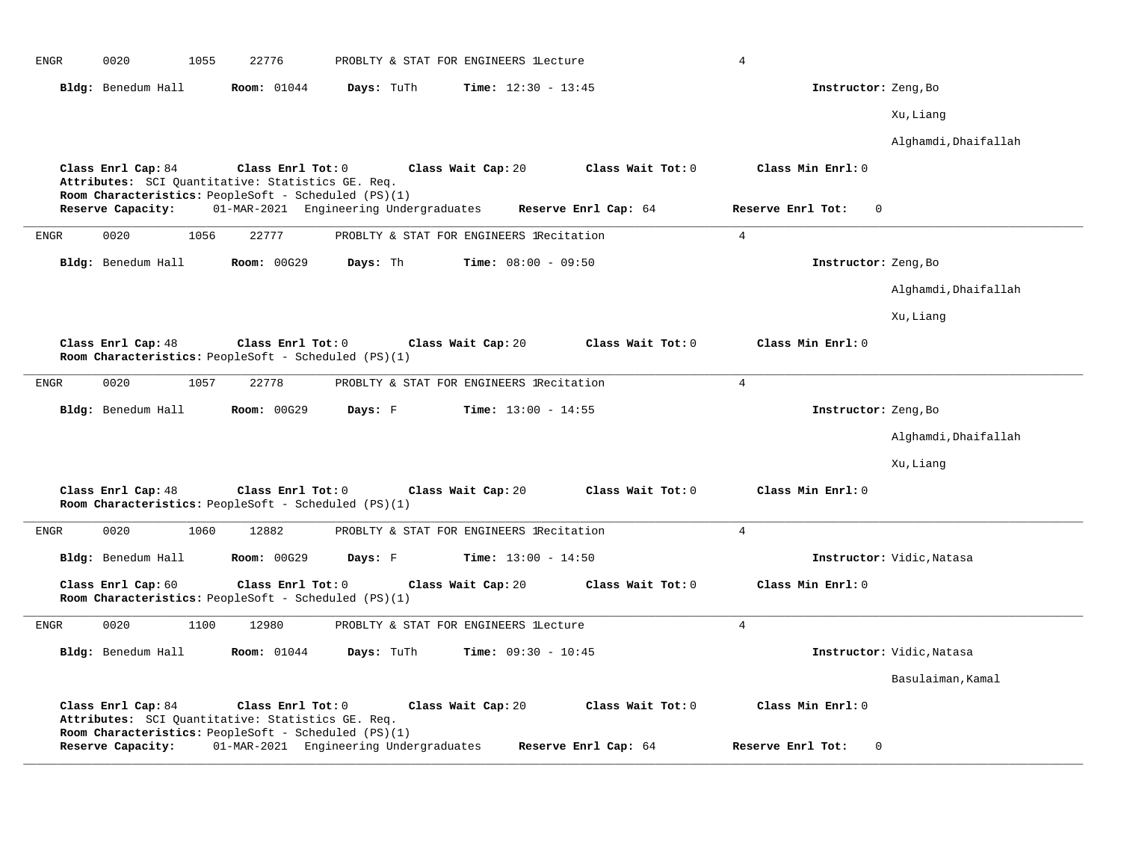| ${\tt ENGR}$ | 0020                                                                       | 1055 | 22776              |                                        | PROBLTY & STAT FOR ENGINEERS lLecture    |                      | 4              |                   |                           |  |
|--------------|----------------------------------------------------------------------------|------|--------------------|----------------------------------------|------------------------------------------|----------------------|----------------|-------------------|---------------------------|--|
|              | Bldg: Benedum Hall                                                         |      | Room: 01044        | Days: TuTh                             | <b>Time:</b> $12:30 - 13:45$             |                      |                |                   | Instructor: Zeng, Bo      |  |
|              |                                                                            |      |                    |                                        |                                          |                      |                |                   | Xu, Liang                 |  |
|              |                                                                            |      |                    |                                        |                                          |                      |                |                   | Alghamdi, Dhaifallah      |  |
|              | Class Enrl Cap: 84<br>Attributes: SCI Quantitative: Statistics GE. Req.    |      | Class Enrl Tot: 0  |                                        | Class Wait Cap: 20                       | Class Wait Tot: 0    |                | Class Min Enrl: 0 |                           |  |
|              | Room Characteristics: PeopleSoft - Scheduled (PS)(1)                       |      |                    |                                        |                                          |                      |                |                   |                           |  |
|              | Reserve Capacity:                                                          |      |                    | 01-MAR-2021 Engineering Undergraduates |                                          | Reserve Enrl Cap: 64 |                | Reserve Enrl Tot: | $\Omega$                  |  |
| <b>ENGR</b>  | 0020                                                                       | 1056 | 22777              |                                        | PROBLTY & STAT FOR ENGINEERS lRecitation |                      | $\overline{4}$ |                   |                           |  |
|              | Bldg: Benedum Hall                                                         |      | <b>Room: 00G29</b> | Days: Th                               | <b>Time:</b> $08:00 - 09:50$             |                      |                |                   | Instructor: Zeng, Bo      |  |
|              |                                                                            |      |                    |                                        |                                          |                      |                |                   | Alghamdi, Dhaifallah      |  |
|              |                                                                            |      |                    |                                        |                                          |                      |                |                   | Xu, Liang                 |  |
|              | Class Enrl Cap: 48<br>Room Characteristics: PeopleSoft - Scheduled (PS)(1) |      | Class Enrl Tot: 0  |                                        | Class Wait Cap: 20                       | Class Wait Tot: 0    |                | Class Min Enrl: 0 |                           |  |
| <b>ENGR</b>  | 0020                                                                       | 1057 | 22778              |                                        | PROBLTY & STAT FOR ENGINEERS IRecitation |                      | $\overline{4}$ |                   |                           |  |
|              | Bldg: Benedum Hall                                                         |      | <b>Room: 00G29</b> | Days: F                                | Time: $13:00 - 14:55$                    |                      |                |                   | Instructor: Zeng, Bo      |  |
|              |                                                                            |      |                    |                                        |                                          |                      |                |                   | Alghamdi, Dhaifallah      |  |
|              |                                                                            |      |                    |                                        |                                          |                      |                |                   | Xu, Liang                 |  |
|              | Class Enrl Cap: 48<br>Room Characteristics: PeopleSoft - Scheduled (PS)(1) |      | Class Enrl Tot: 0  |                                        | Class Wait Cap: 20                       | Class Wait Tot: 0    |                | Class Min Enrl: 0 |                           |  |
| <b>ENGR</b>  | 0020                                                                       | 1060 | 12882              |                                        | PROBLTY & STAT FOR ENGINEERS lRecitation |                      | $\overline{4}$ |                   |                           |  |
|              | Bldg: Benedum Hall                                                         |      | Room: 00G29        | Days: F                                | Time: $13:00 - 14:50$                    |                      |                |                   | Instructor: Vidic, Natasa |  |
|              | Class Enrl Cap: 60<br>Room Characteristics: PeopleSoft - Scheduled (PS)(1) |      | Class Enrl Tot: 0  |                                        | Class Wait Cap: 20                       | Class Wait Tot: 0    |                | Class Min Enrl: 0 |                           |  |
| ENGR         | 0020                                                                       | 1100 | 12980              |                                        | PROBLTY & STAT FOR ENGINEERS lLecture    |                      | $\overline{4}$ |                   |                           |  |
|              | Bldg: Benedum Hall                                                         |      | <b>Room:</b> 01044 | Days: TuTh                             | Time: $09:30 - 10:45$                    |                      |                |                   | Instructor: Vidic, Natasa |  |
|              |                                                                            |      |                    |                                        |                                          |                      |                |                   | Basulaiman, Kamal         |  |
|              | Class Enrl Cap: 84<br>Attributes: SCI Quantitative: Statistics GE. Req.    |      | Class Enrl Tot: 0  |                                        | Class Wait Cap: 20                       | Class Wait Tot: 0    |                | Class Min Enrl: 0 |                           |  |
|              | Room Characteristics: PeopleSoft - Scheduled (PS)(1)<br>Reserve Capacity:  |      |                    | 01-MAR-2021 Engineering Undergraduates |                                          | Reserve Enrl Cap: 64 |                | Reserve Enrl Tot: | $\mathbf 0$               |  |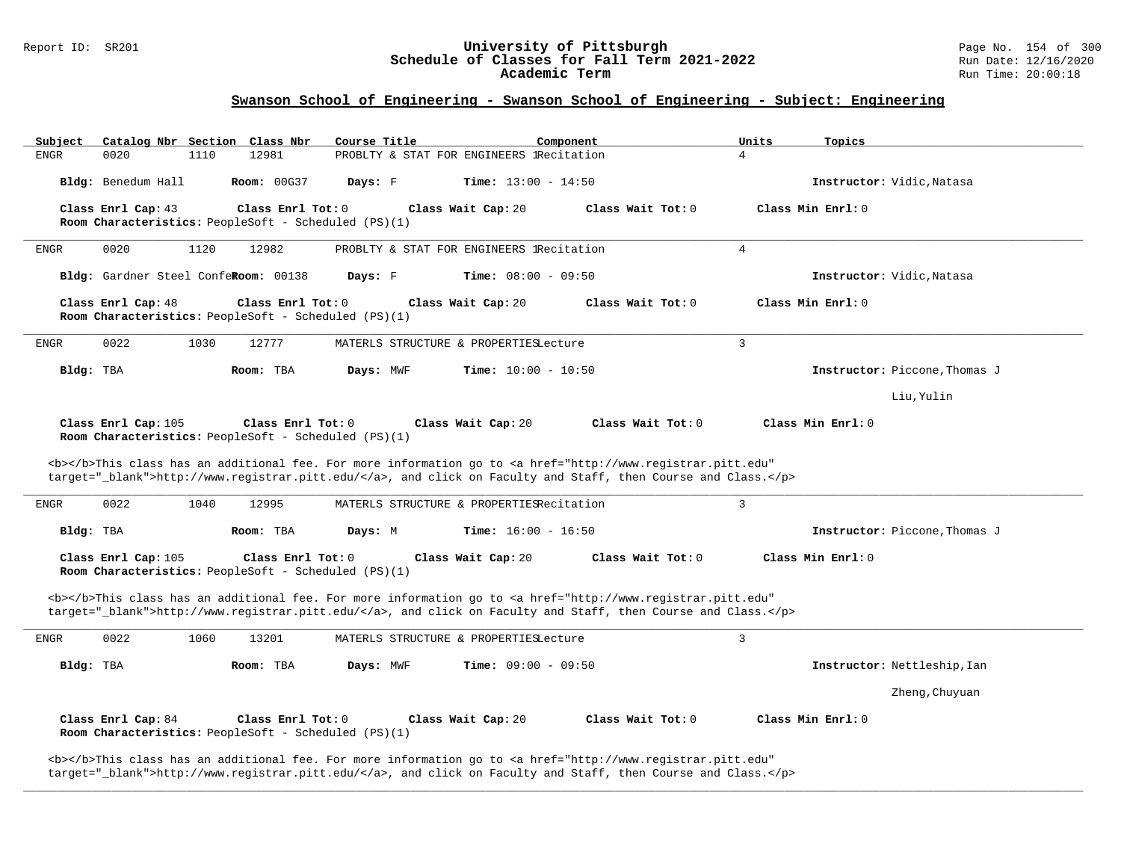#### Report ID: SR201 **University of Pittsburgh** Page No. 154 of 300 **Schedule of Classes for Fall Term 2021-2022** Run Date: 12/16/2020 **Academic Term** Run Time: 20:00:18

## **Swanson School of Engineering - Swanson School of Engineering - Subject: Engineering**

| Subject<br>Catalog Nbr Section Class Nbr                                    | Course Title<br>Component                                                                                                                                                                                                          | Units                                  | Topics                        |
|-----------------------------------------------------------------------------|------------------------------------------------------------------------------------------------------------------------------------------------------------------------------------------------------------------------------------|----------------------------------------|-------------------------------|
| 0020<br>1110<br><b>ENGR</b>                                                 | PROBLTY & STAT FOR ENGINEERS 1Recitation<br>12981                                                                                                                                                                                  | $\overline{4}$                         |                               |
| Bldg: Benedum Hall                                                          | <b>Room: 00G37</b><br>Days: F<br><b>Time:</b> $13:00 - 14:50$                                                                                                                                                                      |                                        | Instructor: Vidic, Natasa     |
| Class Enrl Cap: 43<br>Room Characteristics: PeopleSoft - Scheduled (PS)(1)  | Class Enrl Tot: 0<br>Class Wait Cap: 20                                                                                                                                                                                            | Class Min Enrl: 0<br>Class Wait Tot: 0 |                               |
| 0020<br>1120<br>ENGR                                                        | 12982<br>PROBLTY & STAT FOR ENGINEERS IRecitation                                                                                                                                                                                  | $\overline{4}$                         |                               |
| Bldg: Gardner Steel ConfeRoom: 00138                                        | Days: F<br><b>Time:</b> $08:00 - 09:50$                                                                                                                                                                                            |                                        | Instructor: Vidic, Natasa     |
| Class Enrl Cap: 48<br>Room Characteristics: PeopleSoft - Scheduled (PS)(1)  | Class Enrl Tot: 0<br>Class Wait Cap: 20                                                                                                                                                                                            | Class Wait Tot: 0<br>Class Min Enrl: 0 |                               |
| 0022<br>1030<br><b>ENGR</b>                                                 | 12777<br>MATERLS STRUCTURE & PROPERTIESLecture                                                                                                                                                                                     | 3                                      |                               |
| Bldg: TBA<br>Room: TBA                                                      | Days: MWF<br><b>Time:</b> $10:00 - 10:50$                                                                                                                                                                                          |                                        | Instructor: Piccone, Thomas J |
|                                                                             |                                                                                                                                                                                                                                    |                                        | Liu, Yulin                    |
| Class Enrl Cap: 105<br>Room Characteristics: PeopleSoft - Scheduled (PS)(1) | Class Enrl Tot: 0<br>Class Wait Cap: 20                                                                                                                                                                                            | Class Wait Tot: 0<br>Class Min Enrl: 0 |                               |
|                                                                             |                                                                                                                                                                                                                                    |                                        |                               |
|                                                                             | <b></b> This class has an additional fee. For more information go to <a <br="" href="http://www.registrar.pitt.edu">target="_blank"&gt;http://www.registrar.pitt.edu/</a> , and click on Faculty and Staff, then Course and Class. |                                        |                               |
| 0022<br>1040<br>ENGR                                                        | 12995<br>MATERLS STRUCTURE & PROPERTIESRecitation                                                                                                                                                                                  | 3                                      |                               |
| Bldg: TBA<br>Room: TBA                                                      | <b>Time:</b> $16:00 - 16:50$<br>Days: M                                                                                                                                                                                            |                                        | Instructor: Piccone, Thomas J |
| Class Enrl Cap: 105<br>Room Characteristics: PeopleSoft - Scheduled (PS)(1) | Class Enrl Tot: 0<br>Class Wait Cap: 20                                                                                                                                                                                            | Class Wait Tot: 0<br>Class Min Enrl: 0 |                               |
|                                                                             | <b></b> This class has an additional fee. For more information go to <a <br="" href="http://www.registrar.pitt.edu">target="_blank"&gt;http://www.registrar.pitt.edu/</a> , and click on Faculty and Staff, then Course and Class. |                                        |                               |
| 0022<br>1060<br>ENGR                                                        | 13201<br>MATERLS STRUCTURE & PROPERTIESLecture                                                                                                                                                                                     | 3                                      |                               |
| Bldg: TBA<br>Room: TBA                                                      | Time: $09:00 - 09:50$<br>Days: MWF                                                                                                                                                                                                 |                                        | Instructor: Nettleship, Ian   |
|                                                                             |                                                                                                                                                                                                                                    |                                        | Zheng, Chuyuan                |
| Class Enrl Cap: 84<br>Room Characteristics: PeopleSoft - Scheduled (PS)(1)  | Class Enrl Tot: 0<br>Class Wait Cap: 20                                                                                                                                                                                            | Class Min Enrl: 0<br>Class Wait Tot: 0 |                               |

**\_\_\_\_\_\_\_\_\_\_\_\_\_\_\_\_\_\_\_\_\_\_\_\_\_\_\_\_\_\_\_\_\_\_\_\_\_\_\_\_\_\_\_\_\_\_\_\_\_\_\_\_\_\_\_\_\_\_\_\_\_\_\_\_\_\_\_\_\_\_\_\_\_\_\_\_\_\_\_\_\_\_\_\_\_\_\_\_\_\_\_\_\_\_\_\_\_\_\_\_\_\_\_\_\_\_\_\_\_\_\_\_\_\_\_\_\_\_\_\_\_\_\_\_\_\_\_\_\_\_\_\_\_\_\_\_\_\_\_\_\_\_\_\_\_\_\_\_\_\_\_\_\_\_\_\_**

target="\_blank">http://www.registrar.pitt.edu/</a>, and click on Faculty and Staff, then Course and Class.</p>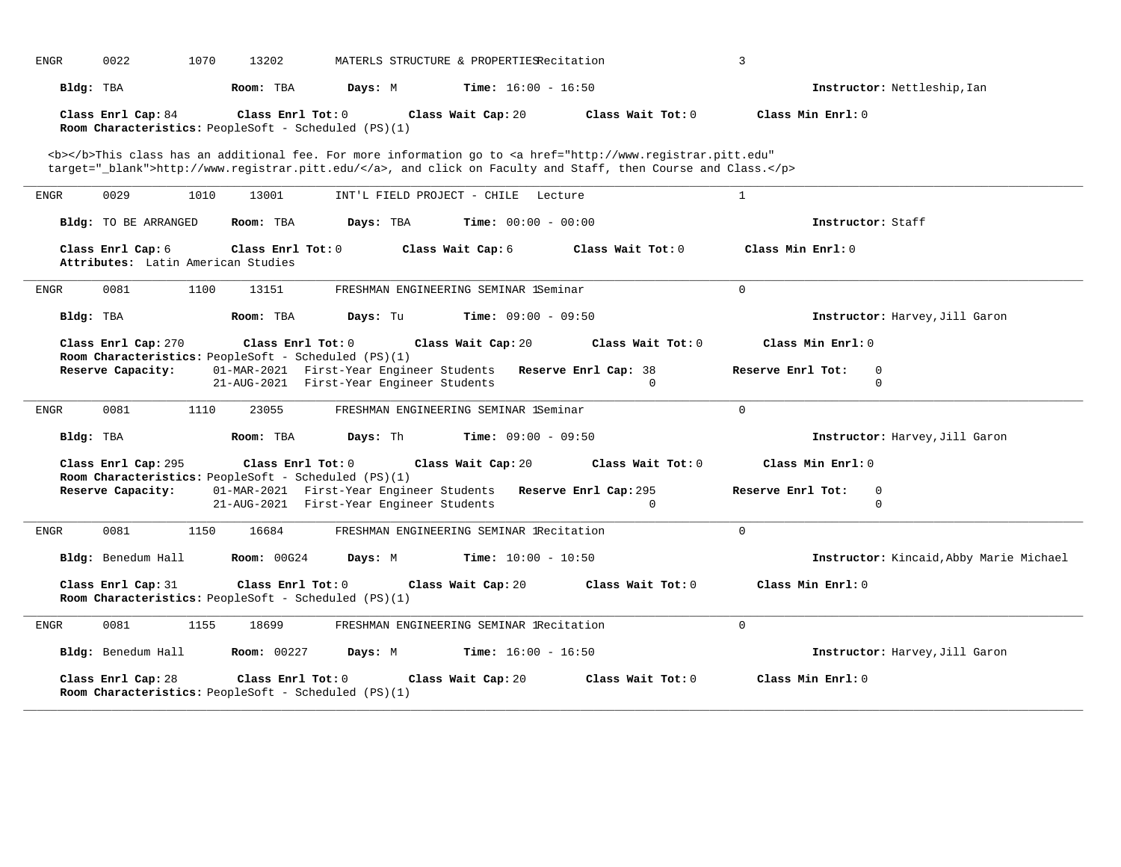| <b>ENGR</b> | 0022                                                    | 1070 | 13202              |                                                      | MATERLS STRUCTURE & PROPERTIESRecitation                       |                                                                                                                                                                                                                                    | 3                                            |  |
|-------------|---------------------------------------------------------|------|--------------------|------------------------------------------------------|----------------------------------------------------------------|------------------------------------------------------------------------------------------------------------------------------------------------------------------------------------------------------------------------------------|----------------------------------------------|--|
| Bldg: TBA   |                                                         |      | Room: TBA          | Days: M                                              | <b>Time:</b> $16:00 - 16:50$                                   |                                                                                                                                                                                                                                    | Instructor: Nettleship, Ian                  |  |
|             | Class Enrl Cap: 84                                      |      | Class Enrl Tot: 0  | Room Characteristics: PeopleSoft - Scheduled (PS)(1) | Class Wait Cap: 20                                             | Class Wait Tot: 0                                                                                                                                                                                                                  | Class Min Enrl: 0                            |  |
|             |                                                         |      |                    |                                                      |                                                                | <b></b> This class has an additional fee. For more information go to <a <br="" href="http://www.registrar.pitt.edu">target="_blank"&gt;http://www.registrar.pitt.edu/</a> , and click on Faculty and Staff, then Course and Class. |                                              |  |
| ENGR        | 0029                                                    | 1010 | 13001              |                                                      | INT'L FIELD PROJECT - CHILE Lecture                            |                                                                                                                                                                                                                                    | $\mathbf{1}$                                 |  |
|             | Bldg: TO BE ARRANGED                                    |      | Room: TBA          | Days: TBA                                            | <b>Time:</b> $00:00 - 00:00$                                   |                                                                                                                                                                                                                                    | Instructor: Staff                            |  |
|             | Class Enrl Cap: 6<br>Attributes: Latin American Studies |      | Class Enrl Tot: 0  |                                                      | Class Wait Cap: 6                                              | Class Wait $Tot: 0$                                                                                                                                                                                                                | Class Min Enrl: 0                            |  |
| ENGR        | 0081                                                    | 1100 | 13151              |                                                      | FRESHMAN ENGINEERING SEMINAR 1Seminar                          |                                                                                                                                                                                                                                    | $\Omega$                                     |  |
| Bldg: TBA   |                                                         |      | Room: TBA          | Days: Tu                                             | <b>Time:</b> $09:00 - 09:50$                                   |                                                                                                                                                                                                                                    | Instructor: Harvey, Jill Garon               |  |
|             | Class Enrl Cap: 270                                     |      | Class Enrl Tot: 0  | Room Characteristics: PeopleSoft - Scheduled (PS)(1) | Class Wait Cap: 20                                             | Class Wait Tot: 0                                                                                                                                                                                                                  | Class Min Enrl: 0                            |  |
|             | Reserve Capacity:                                       |      |                    | 21-AUG-2021 First-Year Engineer Students             | 01-MAR-2021 First-Year Engineer Students Reserve Enrl Cap: 38  | $\Omega$                                                                                                                                                                                                                           | Reserve Enrl Tot:<br>$\mathbf 0$<br>$\Omega$ |  |
| ENGR        | 0081                                                    | 1110 | 23055              |                                                      | FRESHMAN ENGINEERING SEMINAR 1Seminar                          |                                                                                                                                                                                                                                    | $\Omega$                                     |  |
| Bldg: TBA   |                                                         |      | Room: TBA          | Days: Th                                             | <b>Time:</b> $09:00 - 09:50$                                   |                                                                                                                                                                                                                                    | Instructor: Harvey, Jill Garon               |  |
|             | Class Enrl Cap: 295                                     |      | Class Enrl Tot: 0  | Room Characteristics: PeopleSoft - Scheduled (PS)(1) | Class Wait Cap: 20                                             | Class Wait Tot: 0                                                                                                                                                                                                                  | Class Min Enrl: 0                            |  |
|             | Reserve Capacity:                                       |      |                    | 21-AUG-2021 First-Year Engineer Students             | 01-MAR-2021 First-Year Engineer Students Reserve Enrl Cap: 295 | $\Omega$                                                                                                                                                                                                                           | Reserve Enrl Tot:<br>$\Omega$<br>$\Omega$    |  |
| ENGR        | 0081                                                    | 1150 | 16684              |                                                      | FRESHMAN ENGINEERING SEMINAR IRecitation                       |                                                                                                                                                                                                                                    | $\Omega$                                     |  |
|             | Bldg: Benedum Hall                                      |      | <b>Room: 00G24</b> | Days: M                                              | <b>Time:</b> $10:00 - 10:50$                                   |                                                                                                                                                                                                                                    | Instructor: Kincaid, Abby Marie Michael      |  |
|             | Class Enrl Cap: 31                                      |      | Class Enrl Tot: 0  | Room Characteristics: PeopleSoft - Scheduled (PS)(1) | Class Wait Cap: 20                                             | Class Wait Tot: 0                                                                                                                                                                                                                  | Class Min Enrl: 0                            |  |
| ENGR        | 0081                                                    | 1155 | 18699              |                                                      | FRESHMAN ENGINEERING SEMINAR IRecitation                       |                                                                                                                                                                                                                                    | $\Omega$                                     |  |
|             | Bldg: Benedum Hall                                      |      | <b>Room: 00227</b> | Days: M                                              | <b>Time:</b> $16:00 - 16:50$                                   |                                                                                                                                                                                                                                    | Instructor: Harvey, Jill Garon               |  |
|             | Class Enrl Cap: 28                                      |      | Class Enrl Tot: 0  | Room Characteristics: PeopleSoft - Scheduled (PS)(1) | Class Wait Cap: 20                                             | Class Wait Tot: 0                                                                                                                                                                                                                  | Class Min Enrl: 0                            |  |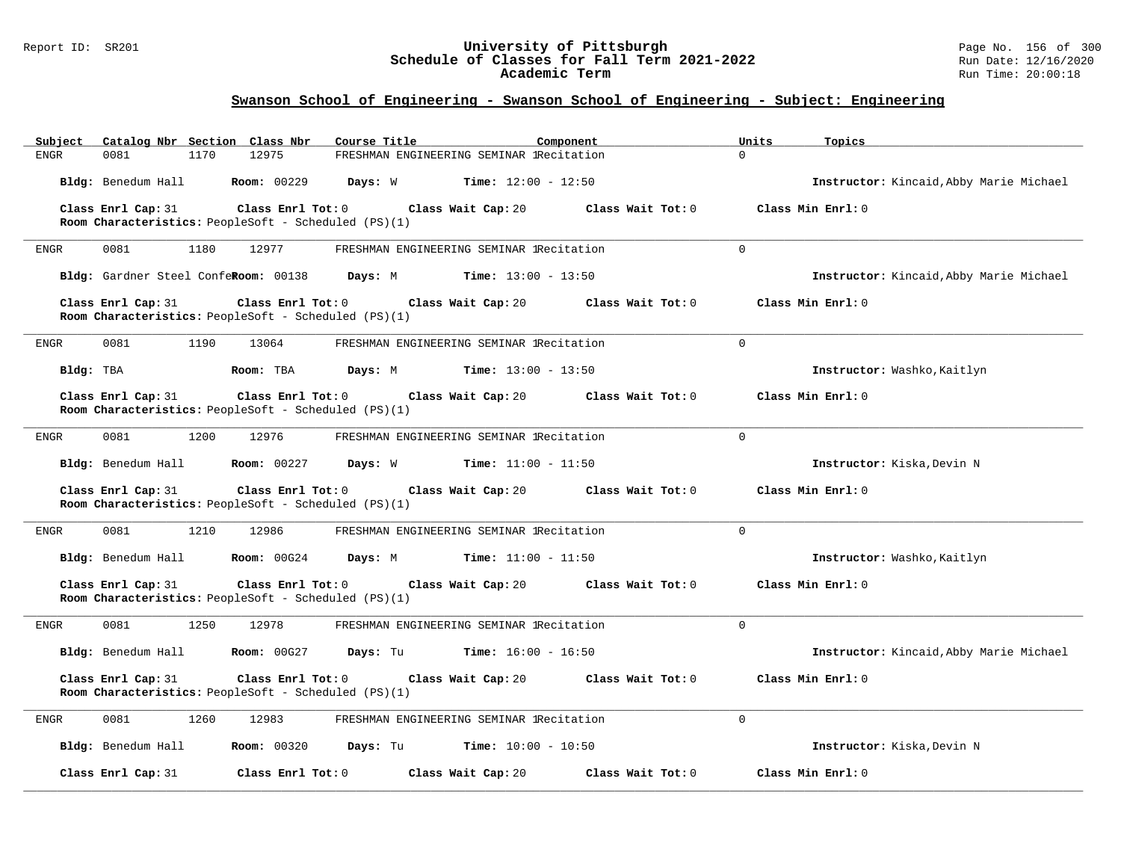#### Report ID: SR201 **University of Pittsburgh** Page No. 156 of 300 **Schedule of Classes for Fall Term 2021-2022** Run Date: 12/16/2020 **Academic Term** Run Time: 20:00:18

| Catalog Nbr Section Class Nbr<br>Course Title<br>Component<br>Subject                                                                      | Units<br>Topics                         |
|--------------------------------------------------------------------------------------------------------------------------------------------|-----------------------------------------|
| 12975<br>FRESHMAN ENGINEERING SEMINAR lRecitation<br><b>ENGR</b><br>0081<br>1170                                                           | $\Omega$                                |
| Bldg: Benedum Hall<br><b>Room: 00229</b><br>Days: W<br><b>Time:</b> $12:00 - 12:50$                                                        | Instructor: Kincaid, Abby Marie Michael |
| Class Enrl Cap: 31<br>Class Enrl Tot: 0<br>Class Wait Cap: 20<br>Class Wait Tot: 0                                                         | Class Min Enrl: 0                       |
| Room Characteristics: PeopleSoft - Scheduled (PS)(1)                                                                                       |                                         |
| 0081<br>12977<br>ENGR<br>1180<br>FRESHMAN ENGINEERING SEMINAR IRecitation                                                                  | $\Omega$                                |
| Bldg: Gardner Steel ConfeRoom: 00138<br>Days: M<br><b>Time:</b> $13:00 - 13:50$                                                            | Instructor: Kincaid, Abby Marie Michael |
| Class Enrl Cap: 31<br>Class Enrl Tot: 0<br>Class Wait Cap: 20<br>Class Wait Tot: 0<br>Room Characteristics: PeopleSoft - Scheduled (PS)(1) | Class Min Enrl: 0                       |
| 0081<br>1190<br>13064<br>FRESHMAN ENGINEERING SEMINAR lRecitation<br>ENGR                                                                  | $\Omega$                                |
|                                                                                                                                            |                                         |
| Bldg: TBA<br>Room: TBA<br>Days: M<br><b>Time:</b> $13:00 - 13:50$                                                                          | Instructor: Washko, Kaitlyn             |
| Class Enrl Cap: 31<br>Class Enrl Tot: 0<br>Class Wait Cap: 20<br>Class Wait Tot: 0<br>Room Characteristics: PeopleSoft - Scheduled (PS)(1) | Class Min Enrl: 0                       |
| 0081<br>1200<br>12976<br>FRESHMAN ENGINEERING SEMINAR IRecitation<br>ENGR                                                                  | $\Omega$                                |
| Bldg: Benedum Hall<br><b>Room: 00227</b><br>Days: W<br>$Time: 11:00 - 11:50$                                                               | Instructor: Kiska, Devin N              |
| Class Enrl Tot: 0<br>Class Enrl Cap: 31<br>Class Wait Cap: 20<br>Class Wait Tot: 0<br>Room Characteristics: PeopleSoft - Scheduled (PS)(1) | Class Min Enrl: 0                       |
| 0081<br>1210<br>12986<br>FRESHMAN ENGINEERING SEMINAR lRecitation<br>ENGR                                                                  | $\Omega$                                |
| Bldg: Benedum Hall<br><b>Room: 00G24</b><br><b>Time:</b> $11:00 - 11:50$<br>Days: M                                                        | Instructor: Washko, Kaitlyn             |
| Class Enrl Cap: 31<br>Class Enrl Tot: 0<br>Class Wait Cap: 20<br>Class Wait Tot: 0<br>Room Characteristics: PeopleSoft - Scheduled (PS)(1) | Class Min Enrl: 0                       |
| 0081<br>1250<br>12978<br>FRESHMAN ENGINEERING SEMINAR IRecitation<br>ENGR                                                                  | $\Omega$                                |
| Bldg: Benedum Hall<br><b>Room: 00G27</b><br>Days: Tu<br><b>Time:</b> $16:00 - 16:50$                                                       | Instructor: Kincaid, Abby Marie Michael |
| Class Enrl Cap: 31<br>Class Enrl Tot: 0<br>Class Wait Cap: 20<br>Class Wait Tot: 0<br>Room Characteristics: PeopleSoft - Scheduled (PS)(1) | Class Min Enrl: 0                       |
| 0081<br>1260<br>12983<br>FRESHMAN ENGINEERING SEMINAR lRecitation<br>ENGR                                                                  | $\Omega$                                |
| Bldg: Benedum Hall<br><b>Room: 00320</b><br><b>Time:</b> $10:00 - 10:50$<br>Days: Tu                                                       | Instructor: Kiska, Devin N              |
| Class Enrl Cap: 31<br>Class Enrl Tot: 0<br>Class Wait Cap: 20<br>Class Wait Tot: 0                                                         | Class Min Enrl: 0                       |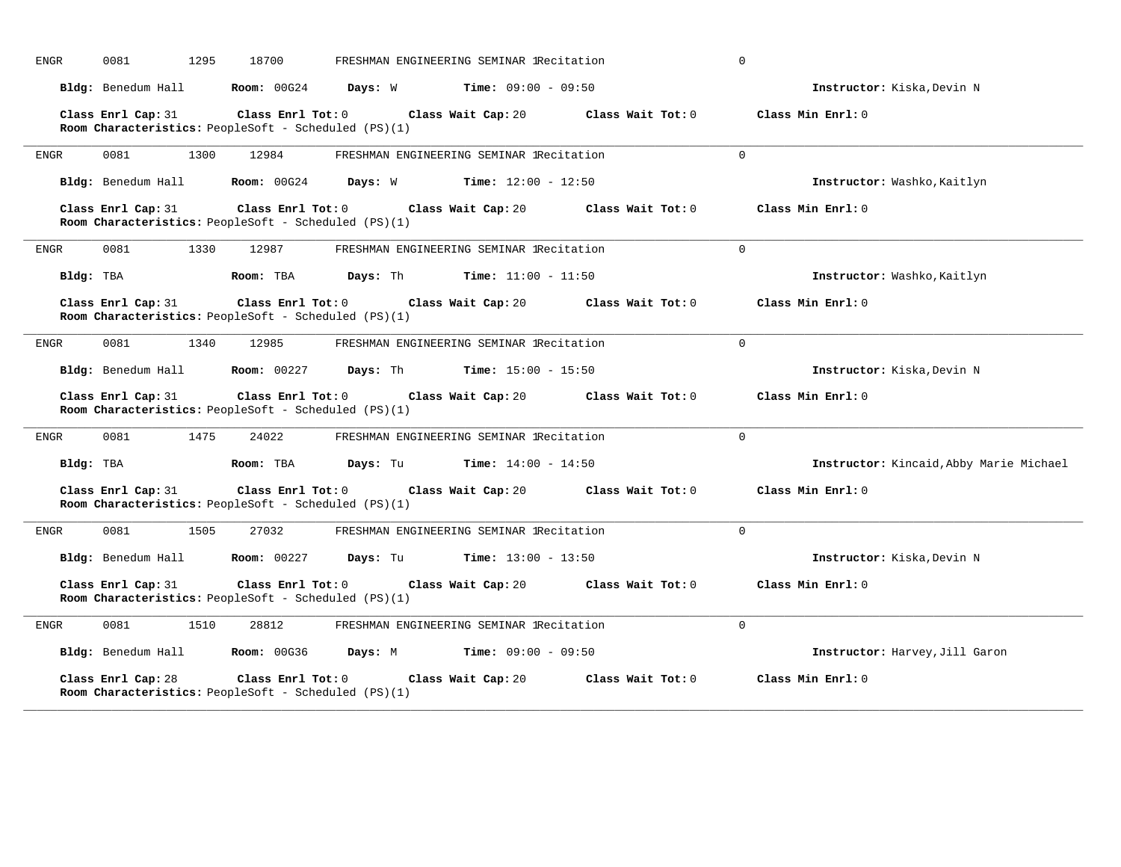| ENGR        | 0081<br>1295                                                               | 18700                   |          | FRESHMAN ENGINEERING SEMINAR IRecitation     |                     | $\mathbf 0$                             |
|-------------|----------------------------------------------------------------------------|-------------------------|----------|----------------------------------------------|---------------------|-----------------------------------------|
|             | Bldg: Benedum Hall                                                         | Room: 00G24             | Days: W  | $Time: 09:00 - 09:50$                        |                     | Instructor: Kiska, Devin N              |
|             | Class Enrl Cap: 31<br>Room Characteristics: PeopleSoft - Scheduled (PS)(1) | Class Enrl Tot: 0       |          | Class Wait Cap: 20                           | Class Wait Tot: 0   | Class Min Enrl: 0                       |
| ENGR        | 0081<br>1300                                                               | 12984                   |          | FRESHMAN ENGINEERING SEMINAR IRecitation     |                     | $\Omega$                                |
|             | Bldg: Benedum Hall                                                         | Room: 00G24             | Days: W  | <b>Time:</b> $12:00 - 12:50$                 |                     | Instructor: Washko, Kaitlyn             |
|             | Class Enrl Cap: 31<br>Room Characteristics: PeopleSoft - Scheduled (PS)(1) | Class Enrl Tot: 0       |          | Class Wait Cap: 20                           | Class Wait Tot: 0   | Class Min Enrl: 0                       |
| ENGR        | 0081<br>1330                                                               | 12987                   |          | FRESHMAN ENGINEERING SEMINAR IRecitation     |                     | $\Omega$                                |
| Bldg: TBA   |                                                                            | Room: TBA               | Days: Th | $Time: 11:00 - 11:50$                        |                     | Instructor: Washko, Kaitlyn             |
|             | Class Enrl Cap: 31<br>Room Characteristics: PeopleSoft - Scheduled (PS)(1) | Class Enrl Tot: 0       |          | Class Wait Cap: 20                           | Class Wait Tot: $0$ | Class Min Enrl: 0                       |
| ENGR        | 0081<br>1340                                                               | 12985                   |          | FRESHMAN ENGINEERING SEMINAR IRecitation     |                     | $\Omega$                                |
|             | Bldg: Benedum Hall                                                         | <b>Room:</b> 00227      |          | <b>Days:</b> Th <b>Time:</b> $15:00 - 15:50$ |                     | Instructor: Kiska, Devin N              |
|             | Class Enrl Cap: 31<br>Room Characteristics: PeopleSoft - Scheduled (PS)(1) | Class Enrl Tot: 0       |          | Class Wait Cap: 20                           | Class Wait Tot: 0   | Class Min Enrl: 0                       |
| ENGR        | 0081<br>1475                                                               | 24022                   |          | FRESHMAN ENGINEERING SEMINAR lRecitation     |                     | $\Omega$                                |
| Bldg: TBA   |                                                                            | Room: TBA               | Days: Tu | <b>Time:</b> $14:00 - 14:50$                 |                     | Instructor: Kincaid, Abby Marie Michael |
|             | Class Enrl Cap: 31<br>Room Characteristics: PeopleSoft - Scheduled (PS)(1) | Class Enrl Tot: 0       |          | Class Wait Cap: 20                           | Class Wait Tot: 0   | Class Min Enrl: 0                       |
| ENGR        | 0081<br>1505                                                               | 27032                   |          | FRESHMAN ENGINEERING SEMINAR lRecitation     |                     | $\mathbf 0$                             |
|             | Bldg: Benedum Hall                                                         | <b>Room: 00227</b>      |          | <b>Days:</b> Tu <b>Time:</b> $13:00 - 13:50$ |                     | Instructor: Kiska, Devin N              |
|             | Class Enrl Cap: 31<br>Room Characteristics: PeopleSoft - Scheduled (PS)(1) | $Class$ $Enrl$ $Tot: 0$ |          | Class Wait Cap: 20                           | Class Wait Tot: 0   | Class Min Enrl: 0                       |
| <b>ENGR</b> | 0081<br>1510                                                               | 28812                   |          | FRESHMAN ENGINEERING SEMINAR IRecitation     |                     | $\Omega$                                |
|             | Bldg: Benedum Hall Room: 00G36                                             |                         |          | <b>Days:</b> M <b>Time:</b> $09:00 - 09:50$  |                     | Instructor: Harvey, Jill Garon          |
|             | Class Enrl Cap: 28<br>Room Characteristics: PeopleSoft - Scheduled (PS)(1) | Class Enrl Tot: 0       |          | Class Wait Cap: 20                           | Class Wait Tot: 0   | Class Min Enrl: 0                       |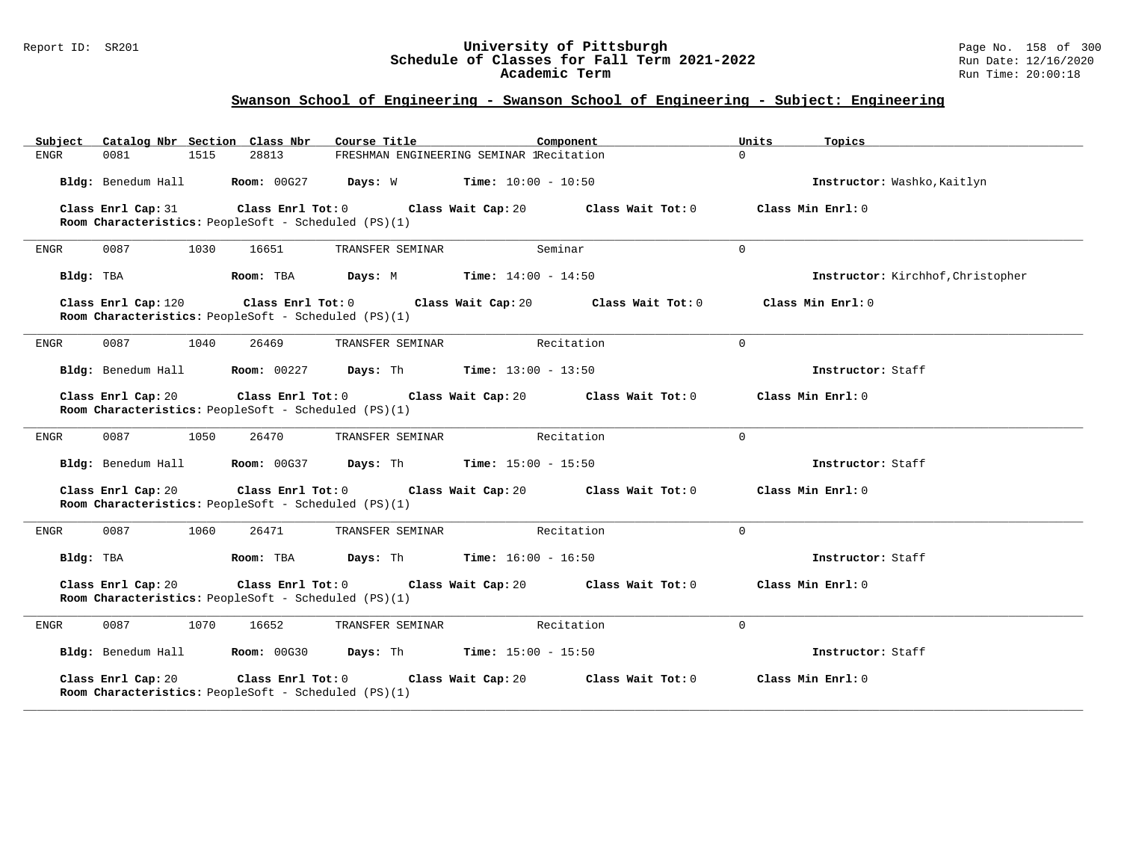#### Report ID: SR201 **University of Pittsburgh** Page No. 158 of 300 **Schedule of Classes for Fall Term 2021-2022** Run Date: 12/16/2020 **Academic Term** Run Time: 20:00:18

| Catalog Nbr Section Class Nbr<br>Subject                                                         | Course Title<br>Component                                                                                            | Units             | Topics                            |  |  |  |
|--------------------------------------------------------------------------------------------------|----------------------------------------------------------------------------------------------------------------------|-------------------|-----------------------------------|--|--|--|
| <b>ENGR</b><br>0081<br>1515<br>28813                                                             | FRESHMAN ENGINEERING SEMINAR IRecitation                                                                             | $\Omega$          |                                   |  |  |  |
| Bldg: Benedum Hall<br><b>Room: 00G27</b>                                                         | Days: W<br>$Time: 10:00 - 10:50$                                                                                     |                   | Instructor: Washko, Kaitlyn       |  |  |  |
| Class Enrl Cap: 31<br>Class Enrl Tot: 0<br>Room Characteristics: PeopleSoft - Scheduled (PS)(1)  | Class Wait Cap: 20                                                                                                   | Class Wait Tot: 0 | Class Min Enrl: 0                 |  |  |  |
| 0087<br>1030<br>16651<br><b>ENGR</b>                                                             | TRANSFER SEMINAR<br>Seminar                                                                                          | $\Omega$          |                                   |  |  |  |
| Bldg: TBA<br>Room: TBA                                                                           | Days: M<br><b>Time:</b> $14:00 - 14:50$                                                                              |                   | Instructor: Kirchhof, Christopher |  |  |  |
| Class Enrl Cap: 120<br>Class Enrl Tot: 0<br>Room Characteristics: PeopleSoft - Scheduled (PS)(1) | Class Wait Cap: 20                                                                                                   | Class Wait Tot: 0 | Class Min Enrl: 0                 |  |  |  |
| 0087<br>1040<br><b>ENGR</b><br>26469                                                             | TRANSFER SEMINAR<br>Recitation                                                                                       | $\Omega$          |                                   |  |  |  |
| Bldg: Benedum Hall<br><b>Room: 00227</b>                                                         | <b>Days:</b> Th <b>Time:</b> $13:00 - 13:50$                                                                         |                   | Instructor: Staff                 |  |  |  |
| Class Enrl Cap: 20                                                                               | Class Enrl Tot: 0<br>Class Wait Cap: 20<br>Class Wait Tot: 0<br>Room Characteristics: PeopleSoft - Scheduled (PS)(1) |                   |                                   |  |  |  |
| 0087<br>1050<br>26470<br>ENGR                                                                    | TRANSFER SEMINAR<br>Recitation                                                                                       | $\Omega$          |                                   |  |  |  |
| Bldg: Benedum Hall<br><b>Room: 00G37</b>                                                         | Days: Th<br><b>Time:</b> $15:00 - 15:50$                                                                             |                   | Instructor: Staff                 |  |  |  |
| Class Enrl Cap: 20<br>Class Enrl Tot: 0<br>Room Characteristics: PeopleSoft - Scheduled (PS)(1)  | Class Wait Cap: 20                                                                                                   | Class Wait Tot: 0 | Class Min Enrl: 0                 |  |  |  |
| 0087<br>1060<br>26471<br>ENGR                                                                    | Recitation<br>TRANSFER SEMINAR                                                                                       | $\Omega$          |                                   |  |  |  |
| Bldg: TBA<br>Room: TBA                                                                           | Days: Th<br><b>Time:</b> $16:00 - 16:50$                                                                             |                   | Instructor: Staff                 |  |  |  |
| Class Enrl Cap: 20<br>Class Enrl Tot: 0<br>Room Characteristics: PeopleSoft - Scheduled (PS)(1)  | Class Wait Tot: 0                                                                                                    | Class Min Enrl: 0 |                                   |  |  |  |
| 0087<br>1070<br>16652<br>ENGR                                                                    | TRANSFER SEMINAR<br>Recitation                                                                                       | $\mathbf 0$       |                                   |  |  |  |
| Bldg: Benedum Hall<br><b>Room: 00G30</b>                                                         | Days: Th<br><b>Time:</b> $15:00 - 15:50$                                                                             |                   | Instructor: Staff                 |  |  |  |
| Class Enrl Cap: 20<br>Class Enrl Tot: 0<br>Room Characteristics: PeopleSoft - Scheduled (PS)(1)  | Class Wait Cap: 20                                                                                                   | Class Wait Tot: 0 | Class Min Enrl: 0                 |  |  |  |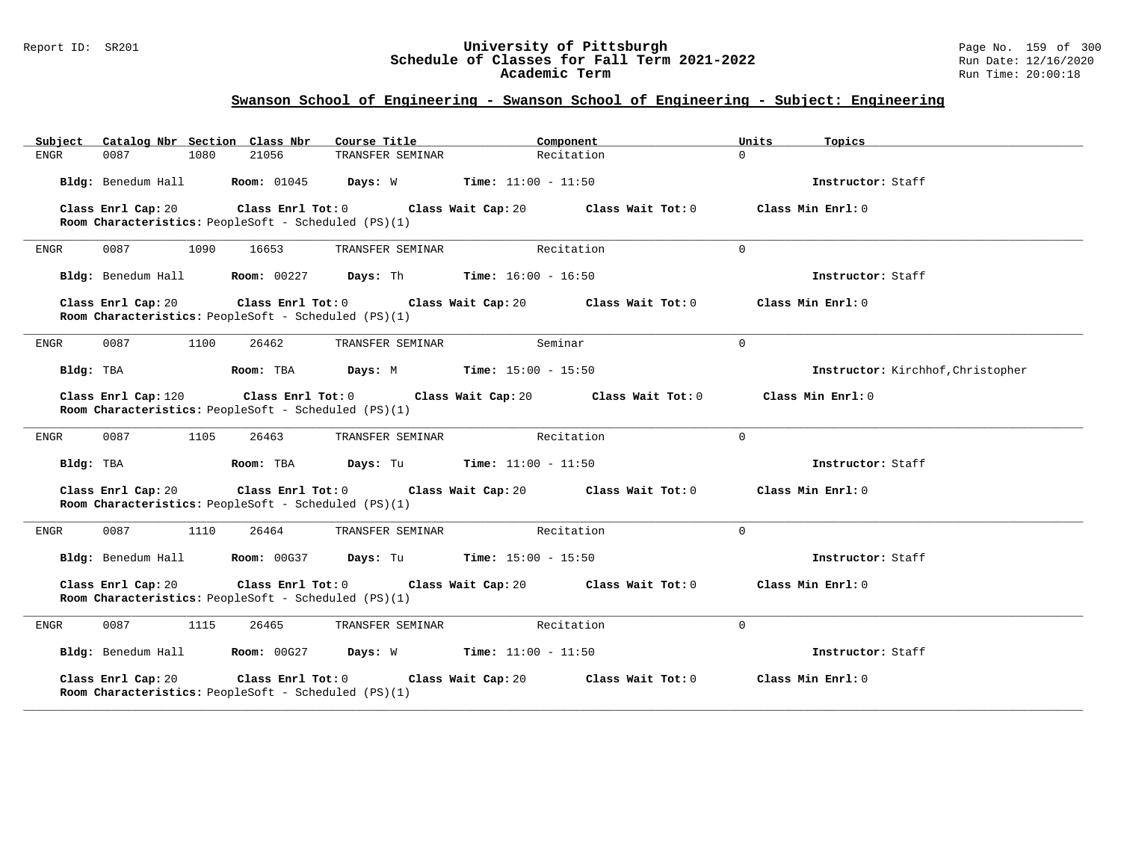#### Report ID: SR201 **University of Pittsburgh** Page No. 159 of 300 **Schedule of Classes for Fall Term 2021-2022** Run Date: 12/16/2020 **Academic Term** Run Time: 20:00:18

| Catalog Nbr Section Class Nbr<br>Subject                                                        | Course Title                                  | Component             | Units<br>Topics                   |
|-------------------------------------------------------------------------------------------------|-----------------------------------------------|-----------------------|-----------------------------------|
| 0087<br>1080<br>21056<br>ENGR                                                                   | TRANSFER SEMINAR                              | Recitation            | $\Omega$                          |
| Bldg: Benedum Hall<br><b>Room: 01045</b>                                                        | Days: W                                       | $Time: 11:00 - 11:50$ | Instructor: Staff                 |
| Class Enrl Cap: 20<br>Class Enrl Tot: 0<br>Room Characteristics: PeopleSoft - Scheduled (PS)(1) | Class Wait Cap: 20                            | Class Wait Tot: 0     | Class Min Enrl: 0                 |
| 0087<br>1090<br>16653<br>ENGR                                                                   | TRANSFER SEMINAR                              | Recitation            | $\mathbf 0$                       |
| Bldg: Benedum Hall<br><b>Room:</b> 00227                                                        | <b>Days:</b> Th <b>Time:</b> $16:00 - 16:50$  |                       | Instructor: Staff                 |
| Class Enrl Cap: 20<br>Room Characteristics: PeopleSoft - Scheduled (PS)(1)                      | Class Enrl Tot: 0 Class Wait Cap: 20          | Class Wait Tot: 0     | Class Min Enrl: 0                 |
| ENGR<br>0087<br>1100<br>26462                                                                   | TRANSFER SEMINAR                              | Seminar               | $\Omega$                          |
| Bldg: TBA<br>Room: TBA                                                                          | <b>Days:</b> M <b>Time:</b> $15:00 - 15:50$   |                       | Instructor: Kirchhof, Christopher |
| Class Enrl Cap: 120<br>Room Characteristics: PeopleSoft - Scheduled (PS)(1)                     | $Class$ $Enr1$ $Tot: 0$<br>Class Wait Cap: 20 | Class Wait Tot: 0     | Class Min Enrl: 0                 |
| 0087<br>ENGR<br>1105<br>26463                                                                   | TRANSFER SEMINAR                              | Recitation            | $\Omega$                          |
| Bldg: TBA<br>Room: TBA                                                                          | <b>Days:</b> Tu <b>Time:</b> $11:00 - 11:50$  |                       | Instructor: Staff                 |
| Class Enrl Cap: 20<br>Room Characteristics: PeopleSoft - Scheduled (PS)(1)                      | Class Enrl Tot: 0 Class Wait Cap: 20          | Class Wait Tot: 0     | Class Min Enrl: 0                 |
| 0087<br>1110<br>26464<br>ENGR                                                                   | TRANSFER SEMINAR                              | Recitation            | $\Omega$                          |
| Bldg: Benedum Hall<br><b>Room: 00G37</b>                                                        | <b>Days:</b> Tu <b>Time:</b> $15:00 - 15:50$  |                       | Instructor: Staff                 |
| Class Enrl Cap: 20<br>Class Enrl Tot: 0<br>Room Characteristics: PeopleSoft - Scheduled (PS)(1) | Class Wait Cap: 20                            | Class Wait Tot: 0     | Class Min Enrl: 0                 |
| <b>ENGR</b><br>0087<br>1115<br>26465                                                            | TRANSFER SEMINAR                              | Recitation            | 0                                 |
| Bldg: Benedum Hall<br><b>Room: 00G27</b>                                                        | Days: W                                       | $Time: 11:00 - 11:50$ | Instructor: Staff                 |
| Class Enrl Cap: 20<br>Class Enrl Tot: 0<br>Room Characteristics: PeopleSoft - Scheduled (PS)(1) | Class Wait Cap: 20                            | Class Wait Tot: 0     | Class Min Enrl: 0                 |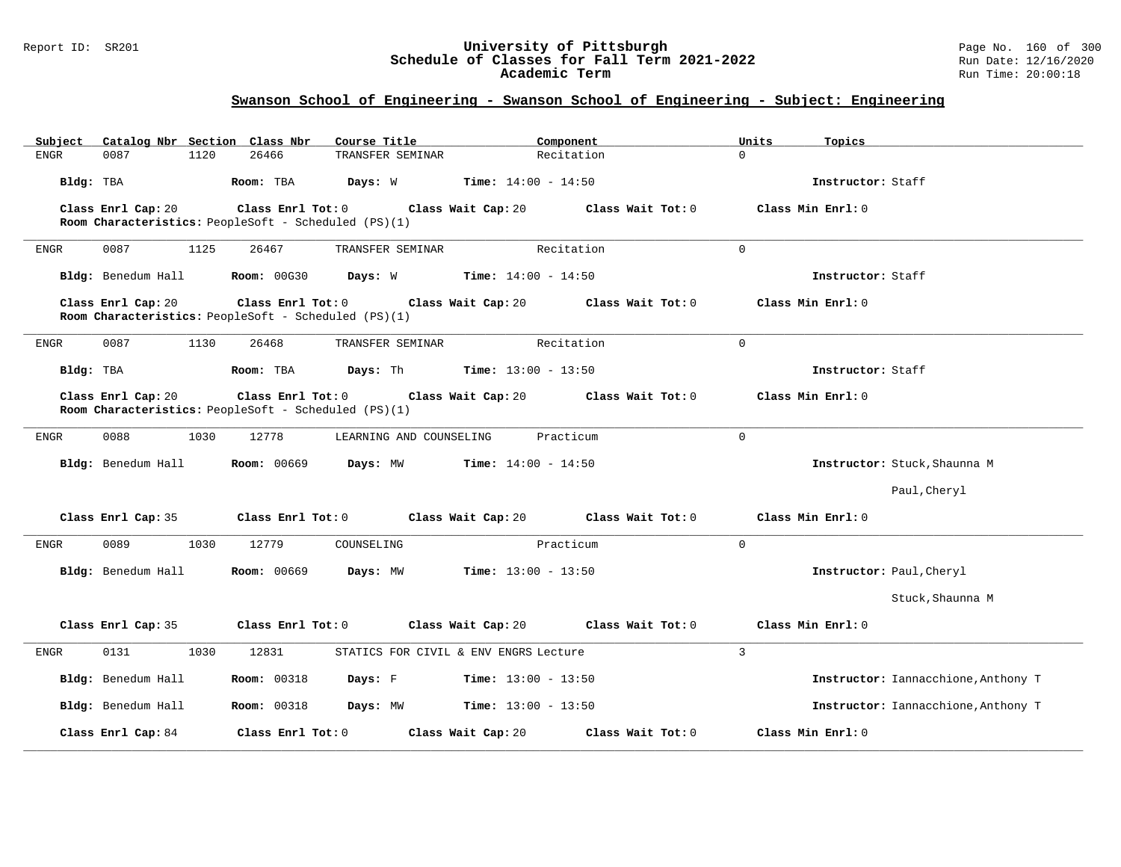#### Report ID: SR201 **University of Pittsburgh** Page No. 160 of 300 **Schedule of Classes for Fall Term 2021-2022** Run Date: 12/16/2020 **Academic Term** Run Time: 20:00:18

| Catalog Nbr Section Class Nbr<br>Subject | Course Title                                                              | Component                               | Units<br>Topics                     |
|------------------------------------------|---------------------------------------------------------------------------|-----------------------------------------|-------------------------------------|
| 0087<br>1120<br><b>ENGR</b>              | 26466<br>TRANSFER SEMINAR                                                 | Recitation                              | $\Omega$                            |
| Bldg: TBA                                | Days: W<br>Room: TBA                                                      | <b>Time:</b> $14:00 - 14:50$            | Instructor: Staff                   |
| Class Enrl Cap: 20                       | Class Enrl Tot: 0<br>Room Characteristics: PeopleSoft - Scheduled (PS)(1) | Class Wait Cap: 20<br>Class Wait Tot: 0 | Class Min Enrl: 0                   |
| 1125<br><b>ENGR</b><br>0087              | TRANSFER SEMINAR<br>26467                                                 | Recitation                              | $\mathbf{0}$                        |
| Bldg: Benedum Hall                       | <b>Room: 00G30</b><br>Days: W                                             | <b>Time:</b> $14:00 - 14:50$            | Instructor: Staff                   |
| Class Enrl Cap: 20                       | Class Enrl Tot: 0<br>Room Characteristics: PeopleSoft - Scheduled (PS)(1) | Class Wait Cap: 20<br>Class Wait Tot: 0 | Class Min Enrl: 0                   |
| 0087<br><b>ENGR</b><br>1130              | 26468<br>TRANSFER SEMINAR                                                 | Recitation                              | $\Omega$                            |
| Bldg: TBA                                | Days: Th<br>Room: TBA                                                     | <b>Time:</b> $13:00 - 13:50$            | Instructor: Staff                   |
| Class Enrl Cap: 20                       | Class Enrl Tot: 0<br>Room Characteristics: PeopleSoft - Scheduled (PS)(1) | Class Wait Cap: 20<br>Class Wait Tot: 0 | Class Min Enrl: 0                   |
| 0088<br>1030<br><b>ENGR</b>              | 12778<br>LEARNING AND COUNSELING                                          | Practicum                               | $\mathbf{0}$                        |
| Bldg: Benedum Hall                       | <b>Room: 00669</b><br>Days: MW                                            | <b>Time:</b> $14:00 - 14:50$            | Instructor: Stuck, Shaunna M        |
|                                          |                                                                           |                                         | Paul, Cheryl                        |
| Class Enrl Cap: 35                       | Class Enrl Tot: 0<br>Class Wait Cap: 20                                   | Class Wait Tot: 0                       | Class Min Enrl: 0                   |
| 0089<br>1030<br><b>ENGR</b>              | 12779<br>COUNSELING                                                       | Practicum                               | $\mathbf 0$                         |
| Bldg: Benedum Hall                       | <b>Room: 00669</b><br>Days: MW                                            | <b>Time:</b> $13:00 - 13:50$            | Instructor: Paul, Cheryl            |
|                                          |                                                                           |                                         | Stuck, Shaunna M                    |
| Class Enrl Cap: 35                       | Class Enrl Tot: 0                                                         | Class Wait Cap: 20<br>Class Wait Tot: 0 | Class Min Enrl: 0                   |
| 0131<br>1030<br><b>ENGR</b>              | 12831                                                                     | STATICS FOR CIVIL & ENV ENGRS Lecture   | $\overline{3}$                      |
| Bldg: Benedum Hall                       | <b>Room: 00318</b><br>Days: F                                             | $Time: 13:00 - 13:50$                   | Instructor: Iannacchione, Anthony T |
| Bldg: Benedum Hall                       | <b>Room: 00318</b><br>Days: MW                                            | <b>Time:</b> $13:00 - 13:50$            | Instructor: Iannacchione, Anthony T |
| Class Enrl Cap: 84                       | Class Enrl Tot: 0                                                         | Class Wait Tot: 0<br>Class Wait Cap: 20 | Class Min Enrl: 0                   |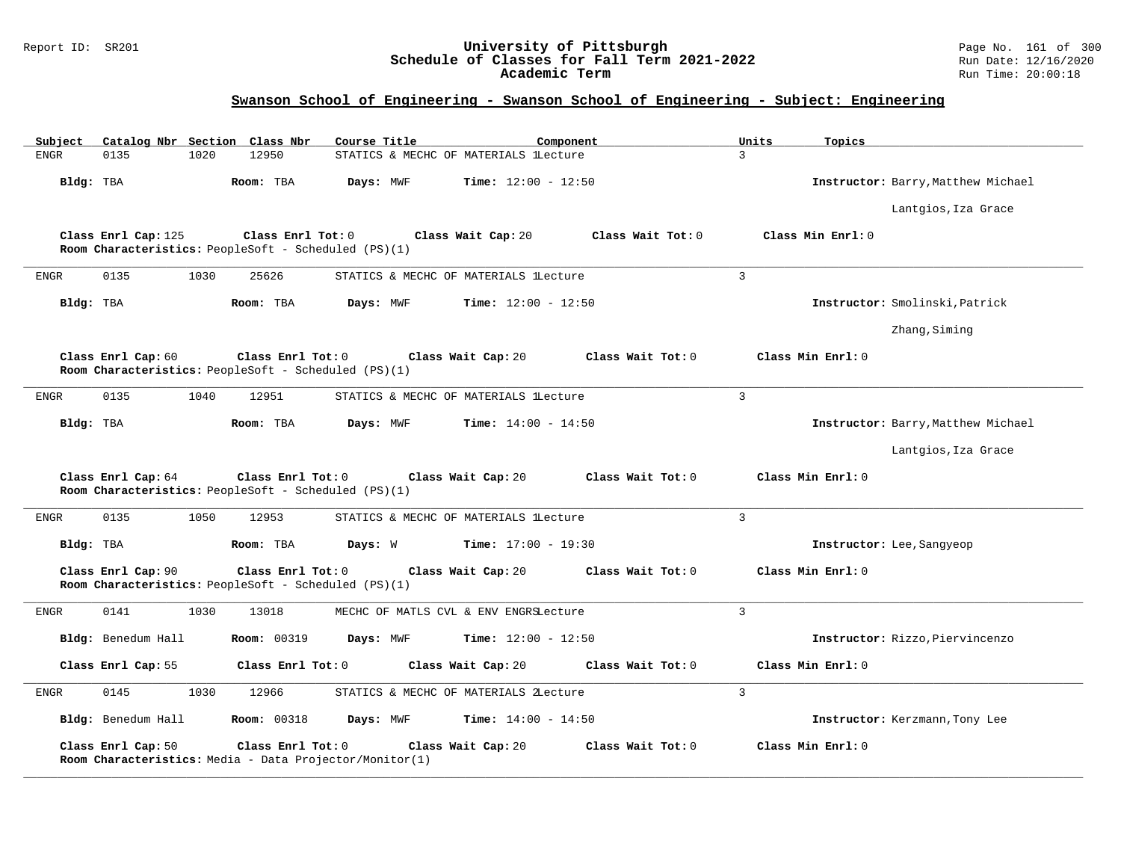### Report ID: SR201 **University of Pittsburgh** Page No. 161 of 300 **Schedule of Classes for Fall Term 2021-2022** Run Date: 12/16/2020 **Academic Term** Run Time: 20:00:18

| Catalog Nbr Section Class Nbr<br>Subject | Course Title                                                                 | Component                                 | Units<br>Topics                    |
|------------------------------------------|------------------------------------------------------------------------------|-------------------------------------------|------------------------------------|
| 0135<br>1020<br><b>ENGR</b>              | 12950                                                                        | STATICS & MECHC OF MATERIALS lLecture     | 3                                  |
| Bldg: TBA                                | Room: TBA<br>Days: MWF                                                       | Time: $12:00 - 12:50$                     | Instructor: Barry, Matthew Michael |
|                                          |                                                                              |                                           | Lantgios, Iza Grace                |
| Class Enrl Cap: 125                      | Class Enrl Tot: 0<br>Room Characteristics: PeopleSoft - Scheduled (PS)(1)    | Class Wait Cap: 20<br>Class Wait Tot: 0   | Class Min Enrl: 0                  |
| 0135<br>1030<br>ENGR                     | 25626                                                                        | STATICS & MECHC OF MATERIALS lLecture     | $\overline{3}$                     |
| Bldg: TBA                                | Room: TBA<br>Days: MWF                                                       | <b>Time:</b> $12:00 - 12:50$              | Instructor: Smolinski, Patrick     |
|                                          |                                                                              |                                           | Zhang, Siming                      |
| Class Enrl Cap: 60                       | Class Enrl Tot: 0<br>Room Characteristics: PeopleSoft - Scheduled (PS)(1)    | Class Wait Cap: 20<br>Class Wait Tot: 0   | Class Min Enrl: 0                  |
| 0135<br>1040<br><b>ENGR</b>              | 12951                                                                        | STATICS & MECHC OF MATERIALS lLecture     | $\overline{3}$                     |
| Bldg: TBA                                | Days: MWF<br>Room: TBA                                                       | <b>Time:</b> $14:00 - 14:50$              | Instructor: Barry, Matthew Michael |
|                                          |                                                                              |                                           | Lantgios, Iza Grace                |
| Class Enrl Cap: 64                       | Class Enrl Tot: 0<br>Room Characteristics: PeopleSoft - Scheduled (PS)(1)    | Class Wait Cap: 20<br>Class Wait Tot: 0   | Class Min Enrl: 0                  |
| 0135<br><b>ENGR</b><br>1050              | 12953                                                                        | STATICS & MECHC OF MATERIALS lLecture     | $\overline{3}$                     |
| Bldg: TBA                                | Room: TBA<br>Days: W                                                         | <b>Time:</b> $17:00 - 19:30$              | Instructor: Lee, Sangyeop          |
| Class Enrl Cap: 90                       | Class Enrl Tot: 0<br>Room Characteristics: PeopleSoft - Scheduled (PS)(1)    | Class Wait Cap: 20<br>Class Wait Tot: 0   | Class Min Enrl: 0                  |
| 0141<br>1030<br>ENGR                     | 13018                                                                        | MECHC OF MATLS CVL & ENV ENGRSLecture     | $\overline{3}$                     |
| Bldg: Benedum Hall                       | <b>Room: 00319</b><br>Days: MWF                                              | <b>Time:</b> $12:00 - 12:50$              | Instructor: Rizzo, Piervincenzo    |
| Class Enrl Cap: 55                       | Class Enrl Tot: 0                                                            | Class Wait Tot: 0<br>Class Wait Cap: 20   | Class Min Enrl: 0                  |
| 0145<br>1030<br>ENGR                     | 12966                                                                        | STATICS & MECHC OF MATERIALS ZLecture     | $\overline{3}$                     |
| Bldg: Benedum Hall                       | <b>Room: 00318</b><br>Days: MWF                                              | <b>Time:</b> $14:00 - 14:50$              | Instructor: Kerzmann, Tony Lee     |
| Class Enrl Cap: 50                       | Class Enrl Tot: 0<br>Room Characteristics: Media - Data Projector/Monitor(1) | Class Wait Cap: 20<br>Class Wait $Tot: 0$ | Class Min Enrl: 0                  |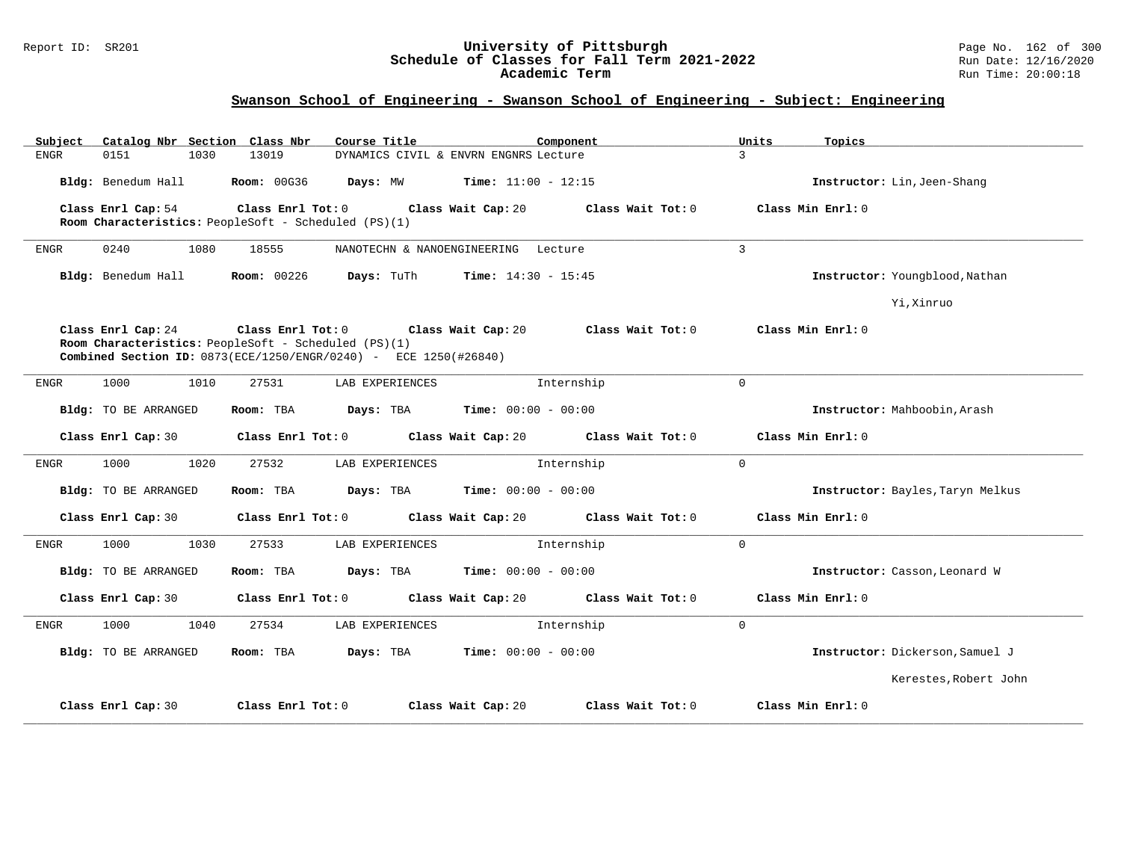#### Report ID: SR201 **University of Pittsburgh** Page No. 162 of 300 **Schedule of Classes for Fall Term 2021-2022** Run Date: 12/16/2020 **Academic Term** Run Time: 20:00:18

| Subject<br>Catalog Nbr Section Class Nbr | Course Title                                                                                                                                                                                                  | Component                               | Units<br>Topics                  |  |  |  |  |  |  |
|------------------------------------------|---------------------------------------------------------------------------------------------------------------------------------------------------------------------------------------------------------------|-----------------------------------------|----------------------------------|--|--|--|--|--|--|
| <b>ENGR</b><br>0151<br>1030              | 13019                                                                                                                                                                                                         | DYNAMICS CIVIL & ENVRN ENGNRS Lecture   | 3                                |  |  |  |  |  |  |
| Bldg: Benedum Hall                       | <b>Room: 00G36</b><br>Days: MW                                                                                                                                                                                | <b>Time:</b> $11:00 - 12:15$            | Instructor: Lin, Jeen-Shang      |  |  |  |  |  |  |
| Class Enrl Cap: 54                       | Class Enrl Tot: 0<br>Room Characteristics: PeopleSoft - Scheduled (PS)(1)                                                                                                                                     | Class Wait Cap: 20<br>Class Wait Tot: 0 | Class Min Enrl: 0                |  |  |  |  |  |  |
| 1080<br>0240<br><b>ENGR</b>              | 18555<br>NANOTECHN & NANOENGINEERING                                                                                                                                                                          | Lecture                                 | $\overline{3}$                   |  |  |  |  |  |  |
| Bldg: Benedum Hall                       | Room: 00226<br>Days: TuTh                                                                                                                                                                                     | <b>Time:</b> $14:30 - 15:45$            | Instructor: Youngblood, Nathan   |  |  |  |  |  |  |
|                                          |                                                                                                                                                                                                               |                                         | Yi, Xinruo                       |  |  |  |  |  |  |
| Class Enrl Cap: 24                       | Class Min Enrl: 0<br>Class Enrl Tot: 0<br>Class Wait Cap: 20<br>Class Wait Tot: 0<br>Room Characteristics: PeopleSoft - Scheduled (PS)(1)<br>Combined Section ID: 0873(ECE/1250/ENGR/0240) - ECE 1250(#26840) |                                         |                                  |  |  |  |  |  |  |
| 1000<br>1010<br>ENGR                     | 27531<br>LAB EXPERIENCES                                                                                                                                                                                      | Internship                              | $\Omega$                         |  |  |  |  |  |  |
| Bldg: TO BE ARRANGED                     | Room: TBA<br>Days: TBA                                                                                                                                                                                        | <b>Time:</b> $00:00 - 00:00$            | Instructor: Mahboobin, Arash     |  |  |  |  |  |  |
| Class Enrl Cap: 30                       | Class Enrl Tot: 0                                                                                                                                                                                             | Class Wait Cap: 20<br>Class Wait Tot: 0 | Class Min Enrl: 0                |  |  |  |  |  |  |
| 1000<br>ENGR<br>1020                     | LAB EXPERIENCES<br>27532                                                                                                                                                                                      | Internship                              | $\mathbf 0$                      |  |  |  |  |  |  |
| Bldg: TO BE ARRANGED                     | Room: TBA<br>Days: TBA                                                                                                                                                                                        | <b>Time:</b> $00:00 - 00:00$            | Instructor: Bayles, Taryn Melkus |  |  |  |  |  |  |
| Class Enrl Cap: 30                       | Class Enrl Tot: 0                                                                                                                                                                                             | Class Wait Cap: 20<br>Class Wait Tot: 0 | Class Min Enrl: 0                |  |  |  |  |  |  |
| 1000<br>1030<br><b>ENGR</b>              | 27533<br>LAB EXPERIENCES                                                                                                                                                                                      | Internship                              | $\mathbf{0}$                     |  |  |  |  |  |  |
| Bldg: TO BE ARRANGED                     | Room: TBA<br>Days: TBA                                                                                                                                                                                        | <b>Time:</b> $00:00 - 00:00$            | Instructor: Casson, Leonard W    |  |  |  |  |  |  |
| Class Enrl Cap: 30                       | Class Enrl Tot: 0                                                                                                                                                                                             | Class Wait Cap: 20<br>Class Wait Tot: 0 | Class Min Enrl: 0                |  |  |  |  |  |  |
| 1000<br>1040<br>ENGR                     | 27534<br>LAB EXPERIENCES                                                                                                                                                                                      | Internship                              | $\mathbf 0$                      |  |  |  |  |  |  |
| Bldg: TO BE ARRANGED                     | Room: TBA<br>Days: TBA                                                                                                                                                                                        | <b>Time:</b> $00:00 - 00:00$            | Instructor: Dickerson, Samuel J  |  |  |  |  |  |  |
|                                          |                                                                                                                                                                                                               |                                         | Kerestes, Robert John            |  |  |  |  |  |  |
| Class Enrl Cap: 30                       | Class Enrl Tot: 0                                                                                                                                                                                             | Class Wait Cap: 20<br>Class Wait Tot: 0 | Class Min Enrl: 0                |  |  |  |  |  |  |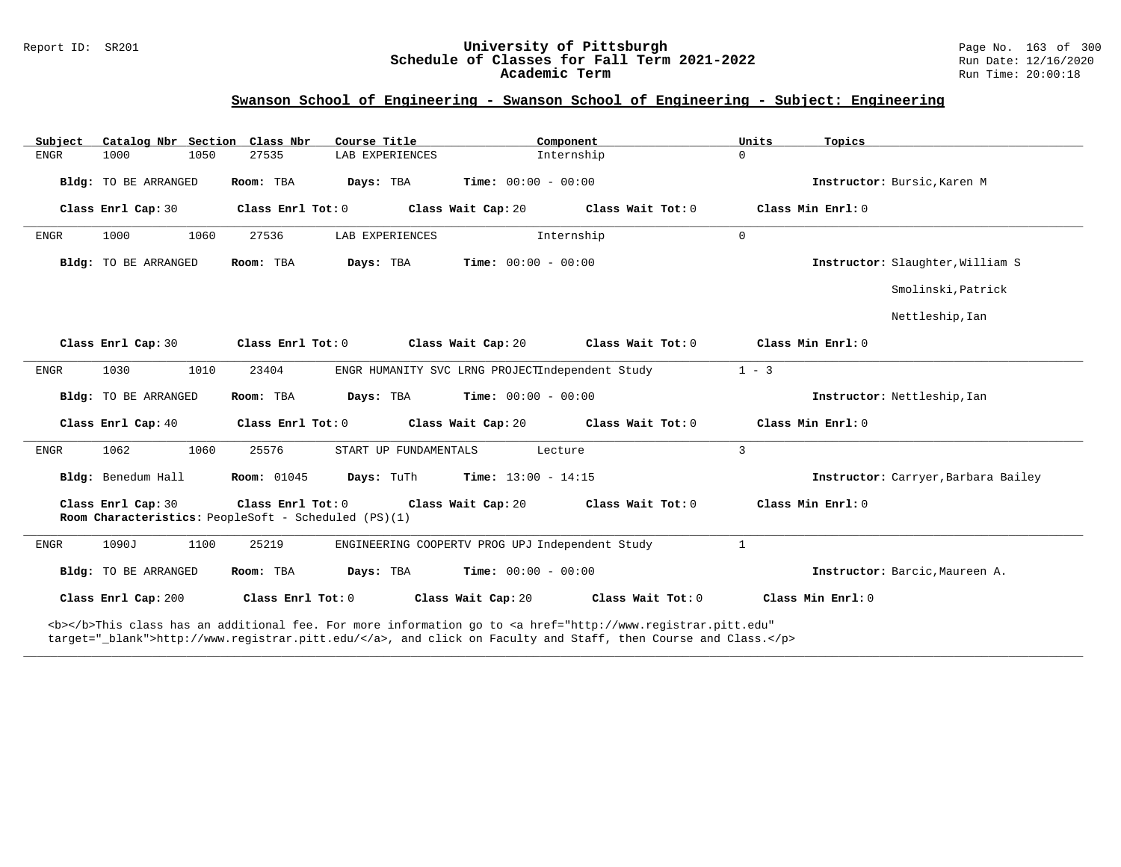# Report ID: SR201 **1988 Chedule of Classes for Fall Term 2021-2022** Page No. 163 of 300 Page No. 163 of 300 Page No<br>**Schedule of Classes for Fall Term 2021-2022** Run Date: 12/16/2020 Schedule of Classes for Fall Term 2021-2022<br>Academic Term

## **Swanson School of Engineering - Swanson School of Engineering - Subject: Engineering**

| Catalog Nbr Section Class Nbr<br>Subject | Course Title                                                                                                                              | Component                                                                                                      | Units<br>Topics                     |  |  |  |  |  |  |
|------------------------------------------|-------------------------------------------------------------------------------------------------------------------------------------------|----------------------------------------------------------------------------------------------------------------|-------------------------------------|--|--|--|--|--|--|
| ${\tt ENGR}$<br>1000<br>1050             | 27535<br>LAB EXPERIENCES                                                                                                                  | Internship                                                                                                     | $\mathbf 0$                         |  |  |  |  |  |  |
| Bldg: TO BE ARRANGED                     | Room: TBA                                                                                                                                 | <b>Days:</b> TBA <b>Time:</b> $00:00 - 00:00$                                                                  | Instructor: Bursic. Karen M         |  |  |  |  |  |  |
| Class Enrl Cap: 30                       | Class Enrl Tot: 0                                                                                                                         | Class Wait Cap: 20 Class Wait Tot: 0                                                                           | Class Min Enrl: 0                   |  |  |  |  |  |  |
| 1000<br>1060<br><b>ENGR</b>              | LAB EXPERIENCES<br>27536                                                                                                                  | Internship                                                                                                     | $\mathbf 0$                         |  |  |  |  |  |  |
| Bldg: TO BE ARRANGED                     | Room: TBA<br>Days: TBA                                                                                                                    | <b>Time:</b> $00:00 - 00:00$                                                                                   | Instructor: Slaughter, William S    |  |  |  |  |  |  |
|                                          |                                                                                                                                           |                                                                                                                | Smolinski, Patrick                  |  |  |  |  |  |  |
|                                          |                                                                                                                                           |                                                                                                                | Nettleship, Ian                     |  |  |  |  |  |  |
| Class Enrl Cap: 30                       |                                                                                                                                           | Class Enrl Tot: $0$ Class Wait Cap: $20$ Class Wait Tot: $0$                                                   | Class Min Enrl: 0                   |  |  |  |  |  |  |
| ${\tt ENGR}$<br>1030<br>1010             | 23404                                                                                                                                     | ENGR HUMANITY SVC LRNG PROJECTIndependent Study                                                                | $1 - 3$                             |  |  |  |  |  |  |
| Bldg: TO BE ARRANGED                     | Room: TBA                                                                                                                                 | <b>Days:</b> TBA <b>Time:</b> $00:00 - 00:00$                                                                  | Instructor: Nettleship, Ian         |  |  |  |  |  |  |
| Class Enrl Cap: 40                       | Class Enrl Tot: 0                                                                                                                         | Class Wait Cap: 20 $\,$ Class Wait Tot: 0                                                                      | Class Min Enrl: 0                   |  |  |  |  |  |  |
| 1062<br><b>ENGR</b><br>1060              | 25576<br>START UP FUNDAMENTALS                                                                                                            | Lecture                                                                                                        | 3                                   |  |  |  |  |  |  |
| Bldg: Benedum Hall                       | <b>Room: 01045</b>                                                                                                                        | <b>Days:</b> TuTh <b>Time:</b> $13:00 - 14:15$                                                                 | Instructor: Carryer, Barbara Bailey |  |  |  |  |  |  |
| Class Enrl Cap: 30                       | Class Enrl Tot: 0<br>Class Wait Cap: 20<br>Class Min Enrl: 0<br>Class Wait Tot: 0<br>Room Characteristics: PeopleSoft - Scheduled (PS)(1) |                                                                                                                |                                     |  |  |  |  |  |  |
| 1090J<br>1100<br><b>ENGR</b>             | 25219                                                                                                                                     | ENGINEERING COOPERTV PROG UPJ Independent Study                                                                | $\mathbf{1}$                        |  |  |  |  |  |  |
| Bldg: TO BE ARRANGED                     | Room: TBA                                                                                                                                 | <b>Days:</b> TBA <b>Time:</b> $00:00 - 00:00$                                                                  | Instructor: Barcic, Maureen A.      |  |  |  |  |  |  |
| Class Enrl Cap: 200                      | Class Enrl Tot: 0                                                                                                                         | Class Wait Cap: 20<br>Class Wait Tot: 0                                                                        | Class Min Enrl: 0                   |  |  |  |  |  |  |
|                                          |                                                                                                                                           | a comment of a constant of the second constant of the constant of the constant of the constant of the constant |                                     |  |  |  |  |  |  |

**\_\_\_\_\_\_\_\_\_\_\_\_\_\_\_\_\_\_\_\_\_\_\_\_\_\_\_\_\_\_\_\_\_\_\_\_\_\_\_\_\_\_\_\_\_\_\_\_\_\_\_\_\_\_\_\_\_\_\_\_\_\_\_\_\_\_\_\_\_\_\_\_\_\_\_\_\_\_\_\_\_\_\_\_\_\_\_\_\_\_\_\_\_\_\_\_\_\_\_\_\_\_\_\_\_\_\_\_\_\_\_\_\_\_\_\_\_\_\_\_\_\_\_\_\_\_\_\_\_\_\_\_\_\_\_\_\_\_\_\_\_\_\_\_\_\_\_\_\_\_\_\_\_\_\_\_**

<b></b>This class has an additional fee. For more information go to <a href="http://www.registrar.pitt.edu" target="\_blank">http://www.registrar.pitt.edu/</a>, and click on Faculty and Staff, then Course and Class.</p>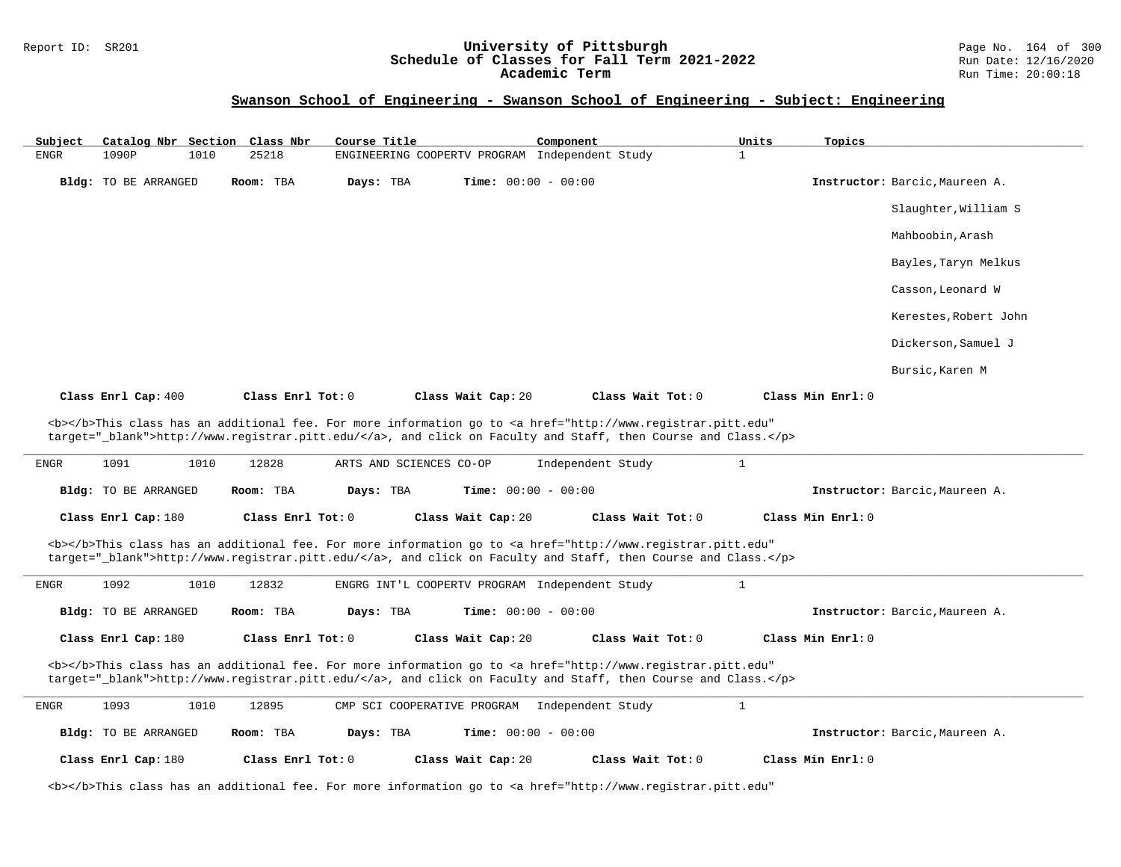## Report ID: SR201 **1988 Chedule of Classes for Fall Term 2021-2022** Page No. 164 of 300 Page No. 164 of 300 Page No<br>**Schedule of Classes for Fall Term 2021-2022** Run Date: 12/16/2020 **Schedule of Classes for Fall Term 2021-2022** Run Date: 12/16/2020 **Academic Term** Run Time: 20:00:18

| Subject                                                                                                                                                                                                                            |                      |      | Catalog Nbr Section Class Nbr | Course Title |                             |                              | Component                                      |                                                                                                                                                                                                                                    | Units        | Topics            |                                |
|------------------------------------------------------------------------------------------------------------------------------------------------------------------------------------------------------------------------------------|----------------------|------|-------------------------------|--------------|-----------------------------|------------------------------|------------------------------------------------|------------------------------------------------------------------------------------------------------------------------------------------------------------------------------------------------------------------------------------|--------------|-------------------|--------------------------------|
| <b>ENGR</b>                                                                                                                                                                                                                        | 1090P                | 1010 | 25218                         |              |                             |                              | ENGINEERING COOPERTV PROGRAM Independent Study |                                                                                                                                                                                                                                    | $\mathbf{1}$ |                   |                                |
|                                                                                                                                                                                                                                    | Bldg: TO BE ARRANGED |      | Room: TBA                     | Days: TBA    |                             | <b>Time:</b> $00:00 - 00:00$ |                                                |                                                                                                                                                                                                                                    |              |                   | Instructor: Barcic, Maureen A. |
|                                                                                                                                                                                                                                    |                      |      |                               |              |                             |                              |                                                |                                                                                                                                                                                                                                    |              |                   | Slaughter, William S           |
|                                                                                                                                                                                                                                    |                      |      |                               |              |                             |                              |                                                |                                                                                                                                                                                                                                    |              |                   | Mahboobin, Arash               |
|                                                                                                                                                                                                                                    |                      |      |                               |              |                             |                              |                                                |                                                                                                                                                                                                                                    |              |                   | Bayles, Taryn Melkus           |
|                                                                                                                                                                                                                                    |                      |      |                               |              |                             |                              |                                                |                                                                                                                                                                                                                                    |              |                   | Casson, Leonard W              |
|                                                                                                                                                                                                                                    |                      |      |                               |              |                             |                              |                                                |                                                                                                                                                                                                                                    |              |                   | Kerestes, Robert John          |
|                                                                                                                                                                                                                                    |                      |      |                               |              |                             |                              |                                                |                                                                                                                                                                                                                                    |              |                   | Dickerson, Samuel J            |
|                                                                                                                                                                                                                                    |                      |      |                               |              |                             |                              |                                                |                                                                                                                                                                                                                                    |              |                   | Bursic, Karen M                |
|                                                                                                                                                                                                                                    | Class Enrl Cap: 400  |      | Class Enrl Tot: 0             |              |                             | Class Wait Cap: 20           |                                                | Class Wait Tot: 0                                                                                                                                                                                                                  |              | Class Min Enrl: 0 |                                |
| <b></b> This class has an additional fee. For more information go to <a <br="" href="http://www.registrar.pitt.edu">target="_blank"&gt;http://www.registrar.pitt.edu/</a> , and click on Faculty and Staff, then Course and Class. |                      |      |                               |              |                             |                              |                                                |                                                                                                                                                                                                                                    |              |                   |                                |
| ENGR                                                                                                                                                                                                                               | 1091                 | 1010 | 12828                         |              | ARTS AND SCIENCES CO-OP     |                              | Independent Study                              |                                                                                                                                                                                                                                    | $\mathbf{1}$ |                   |                                |
|                                                                                                                                                                                                                                    | Bldg: TO BE ARRANGED |      | Room: TBA                     | Days: TBA    |                             | <b>Time:</b> $00:00 - 00:00$ |                                                |                                                                                                                                                                                                                                    |              |                   | Instructor: Barcic, Maureen A. |
|                                                                                                                                                                                                                                    | Class Enrl Cap: 180  |      | Class Enrl Tot: 0             |              |                             | Class Wait Cap: 20           |                                                | Class Wait Tot: 0                                                                                                                                                                                                                  |              | Class Min Enrl: 0 |                                |
|                                                                                                                                                                                                                                    |                      |      |                               |              |                             |                              |                                                | <b></b> This class has an additional fee. For more information go to <a <br="" href="http://www.registrar.pitt.edu">target="_blank"&gt;http://www.registrar.pitt.edu/</a> , and click on Faculty and Staff, then Course and Class. |              |                   |                                |
| ${\tt ENGR}$                                                                                                                                                                                                                       | 1092                 | 1010 | 12832                         |              |                             |                              | ENGRG INT'L COOPERTV PROGRAM Independent Study |                                                                                                                                                                                                                                    | $\mathbf{1}$ |                   |                                |
|                                                                                                                                                                                                                                    | Bldg: TO BE ARRANGED |      | Room: TBA                     | Days: TBA    |                             | Time: $00:00 - 00:00$        |                                                |                                                                                                                                                                                                                                    |              |                   | Instructor: Barcic, Maureen A. |
|                                                                                                                                                                                                                                    | Class Enrl Cap: 180  |      | Class Enrl Tot: 0             |              |                             | Class Wait Cap: 20           |                                                | Class Wait Tot: 0                                                                                                                                                                                                                  |              | Class Min Enrl: 0 |                                |
|                                                                                                                                                                                                                                    |                      |      |                               |              |                             |                              |                                                | <b></b> This class has an additional fee. For more information go to <a <br="" href="http://www.registrar.pitt.edu">target="_blank"&gt;http://www.registrar.pitt.edu/</a> , and click on Faculty and Staff, then Course and Class. |              |                   |                                |
| <b>ENGR</b>                                                                                                                                                                                                                        | 1093                 | 1010 | 12895                         |              | CMP SCI COOPERATIVE PROGRAM |                              | Independent Study                              |                                                                                                                                                                                                                                    | $\mathbf{1}$ |                   |                                |
|                                                                                                                                                                                                                                    | Bldg: TO BE ARRANGED |      | Room: TBA                     | Days: TBA    |                             | Time: $00:00 - 00:00$        |                                                |                                                                                                                                                                                                                                    |              |                   | Instructor: Barcic, Maureen A. |
|                                                                                                                                                                                                                                    | Class Enrl Cap: 180  |      | Class Enrl Tot: 0             |              |                             | Class Wait Cap: 20           |                                                | Class Wait Tot: 0                                                                                                                                                                                                                  |              | Class Min Enrl: 0 |                                |
|                                                                                                                                                                                                                                    |                      |      |                               |              |                             |                              |                                                | <b></b> This class has an additional fee. For more information go to <a <="" href="http://www.registrar.pitt.edu" td=""><td></td><td></td><td></td></a>                                                                            |              |                   |                                |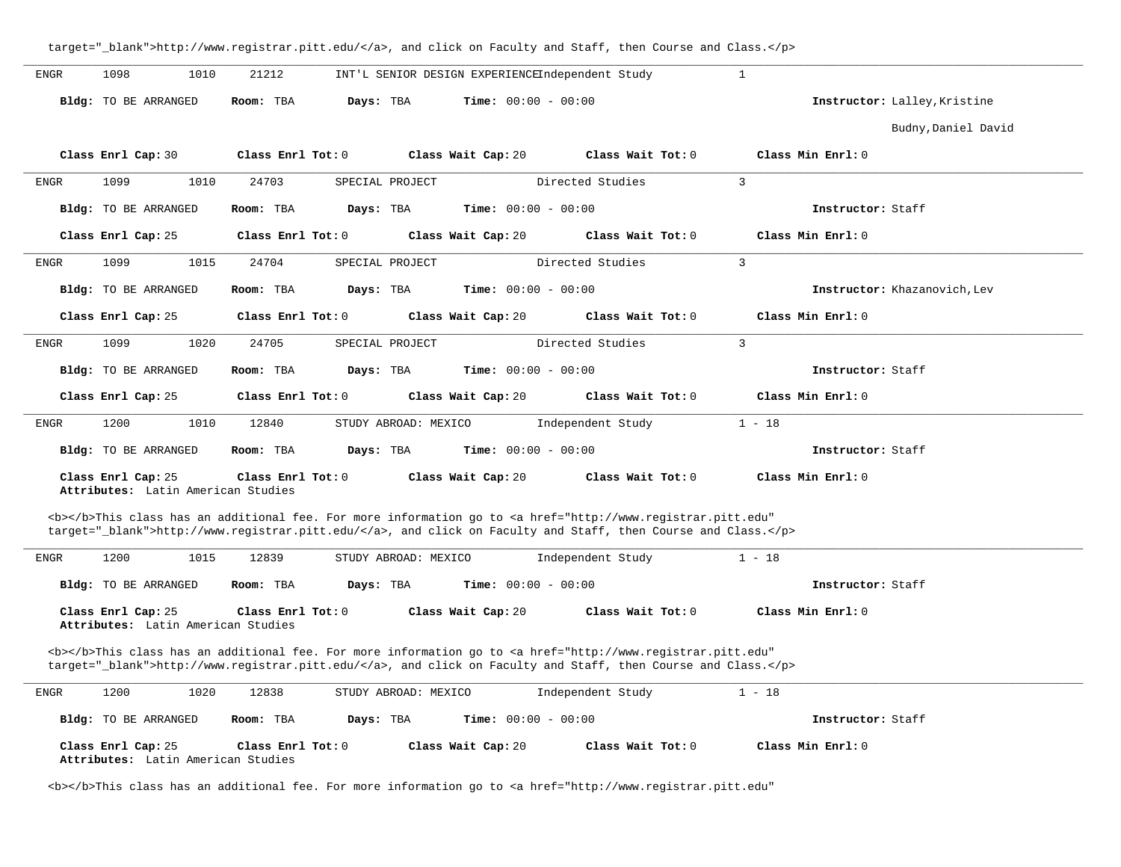|             |                                                          |                        | target="_blank">http://www.registrar.pitt.edu/, and click on Faculty and Staff, then Course and Class.                                                                                                                             |                   |                              |
|-------------|----------------------------------------------------------|------------------------|------------------------------------------------------------------------------------------------------------------------------------------------------------------------------------------------------------------------------------|-------------------|------------------------------|
| <b>ENGR</b> | 1098<br>1010                                             | 21212                  | INT'L SENIOR DESIGN EXPERIENCEIndependent Study                                                                                                                                                                                    |                   | $\mathbf{1}$                 |
|             | <b>Bldg:</b> TO BE ARRANGED                              | Days: TBA<br>Room: TBA | <b>Time:</b> $00:00 - 00:00$                                                                                                                                                                                                       |                   | Instructor: Lalley, Kristine |
|             |                                                          |                        |                                                                                                                                                                                                                                    |                   | Budny, Daniel David          |
|             | Class Enrl Cap: 30                                       | Class Enrl Tot: 0      | Class Wait Cap: 20                                                                                                                                                                                                                 | Class Wait Tot: 0 | Class Min Enrl: 0            |
| ENGR        | 1099<br>1010                                             | 24703                  | SPECIAL PROJECT                                                                                                                                                                                                                    | Directed Studies  | $\overline{3}$               |
|             | Bldg: TO BE ARRANGED                                     | Room: TBA<br>Days: TBA | <b>Time:</b> $00:00 - 00:00$                                                                                                                                                                                                       |                   | Instructor: Staff            |
|             | Class Enrl Cap: 25                                       | Class Enrl Tot: 0      | Class Wait Cap: 20                                                                                                                                                                                                                 | Class Wait Tot: 0 | Class Min Enrl: 0            |
| <b>ENGR</b> | 1099<br>1015                                             | 24704                  | SPECIAL PROJECT                                                                                                                                                                                                                    | Directed Studies  | 3                            |
|             | Bldg: TO BE ARRANGED                                     | Days: TBA<br>Room: TBA | Time: $00:00 - 00:00$                                                                                                                                                                                                              |                   | Instructor: Khazanovich, Lev |
|             | Class Enrl Cap: 25                                       | Class Enrl Tot: 0      | Class Wait Cap: 20                                                                                                                                                                                                                 | Class Wait Tot: 0 | Class Min Enrl: 0            |
| ENGR        | 1099<br>1020                                             | 24705                  | SPECIAL PROJECT                                                                                                                                                                                                                    | Directed Studies  | 3                            |
|             | <b>Bldg:</b> TO BE ARRANGED                              | Room: TBA<br>Days: TBA | <b>Time:</b> $00:00 - 00:00$                                                                                                                                                                                                       |                   | Instructor: Staff            |
|             | Class Enrl Cap: 25                                       | Class Enrl Tot: $0$    | Class Wait Cap: 20                                                                                                                                                                                                                 | Class Wait Tot: 0 | Class Min Enrl: 0            |
| <b>ENGR</b> | 1200<br>1010                                             | 12840                  | STUDY ABROAD: MEXICO                                                                                                                                                                                                               | Independent Study | $1 - 18$                     |
|             |                                                          |                        |                                                                                                                                                                                                                                    |                   |                              |
|             | Bldg: TO BE ARRANGED                                     | Room: TBA<br>Days: TBA | <b>Time:</b> $00:00 - 00:00$                                                                                                                                                                                                       |                   | Instructor: Staff            |
|             | Class Enrl Cap: 25<br>Attributes: Latin American Studies | Class Enrl Tot: 0      | Class Wait Cap: 20                                                                                                                                                                                                                 | Class Wait Tot: 0 | Class Min Enrl: 0            |
|             |                                                          |                        | <b></b> This class has an additional fee. For more information go to <a <="" href="http://www.registrar.pitt.edu" td=""><td></td><td></td></a>                                                                                     |                   |                              |
|             |                                                          |                        | target="_blank">http://www.registrar.pitt.edu/, and click on Faculty and Staff, then Course and Class.                                                                                                                             |                   |                              |
| <b>ENGR</b> | 1200<br>1015                                             | 12839                  | STUDY ABROAD: MEXICO                                                                                                                                                                                                               | Independent Study | $1 - 18$                     |
|             | Bldg: TO BE ARRANGED                                     | Room: TBA<br>Days: TBA | Time: $00:00 - 00:00$                                                                                                                                                                                                              |                   | Instructor: Staff            |
|             | Class Enrl Cap: 25<br>Attributes: Latin American Studies | Class Enrl Tot: 0      | Class Wait Cap: 20                                                                                                                                                                                                                 | Class Wait Tot: 0 | Class Min Enrl: 0            |
|             |                                                          |                        | <b></b> This class has an additional fee. For more information go to <a <br="" href="http://www.registrar.pitt.edu">target="_blank"&gt;http://www.registrar.pitt.edu/</a> , and click on Faculty and Staff, then Course and Class. |                   |                              |
| ENGR        | 1200<br>1020                                             | 12838                  | STUDY ABROAD: MEXICO                                                                                                                                                                                                               | Independent Study | $1 - 18$                     |
|             | Bldg: TO BE ARRANGED                                     | Room: TBA<br>Days: TBA | <b>Time:</b> $00:00 - 00:00$                                                                                                                                                                                                       |                   | Instructor: Staff            |
|             | Class Enrl Cap: 25<br>Attributes: Latin American Studies | Class Enrl Tot: 0      | Class Wait Cap: 20                                                                                                                                                                                                                 | Class Wait Tot: 0 | Class Min Enrl: 0            |

<b></b>This class has an additional fee. For more information go to <a href="http://www.registrar.pitt.edu"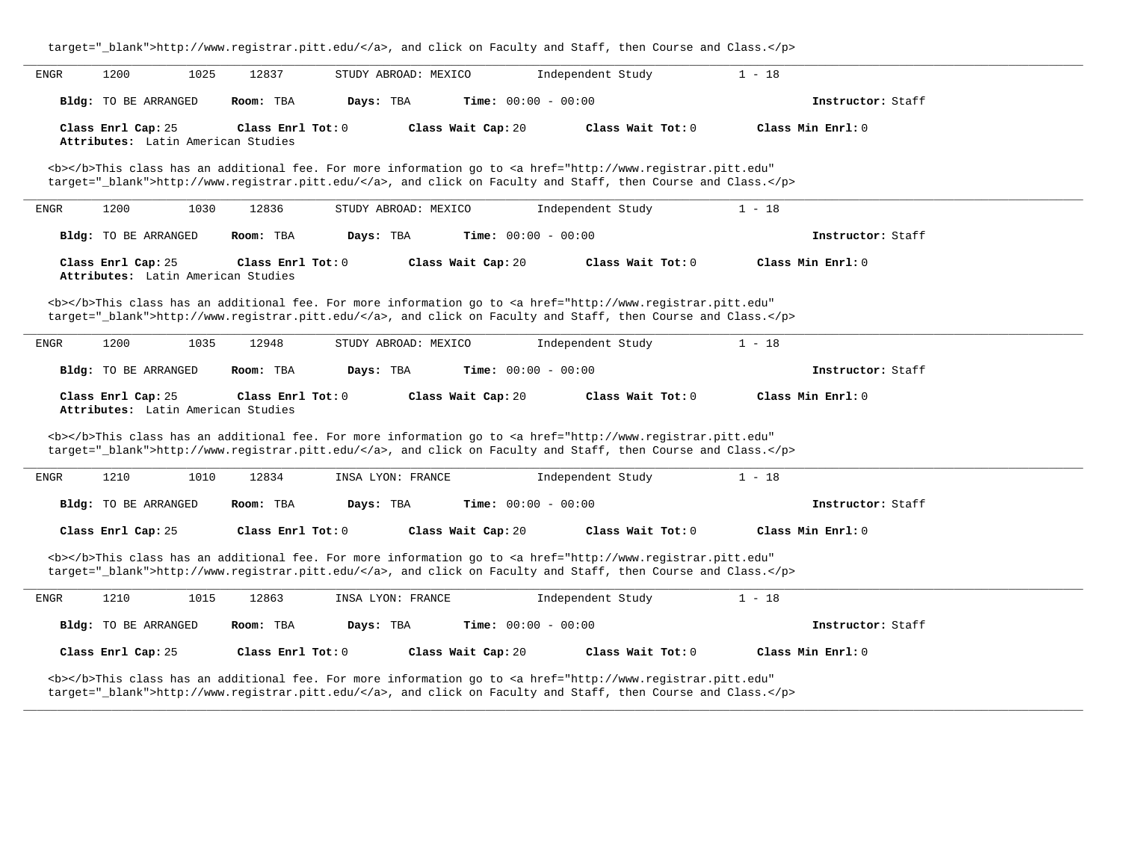| target="_blank">http://www.registrar.pitt.edu/, and click on Faculty and Staff, then Course and Class.                                                                                                                             |                                                                                                                                                                                                                                    |                              |                   |  |  |  |  |  |  |
|------------------------------------------------------------------------------------------------------------------------------------------------------------------------------------------------------------------------------------|------------------------------------------------------------------------------------------------------------------------------------------------------------------------------------------------------------------------------------|------------------------------|-------------------|--|--|--|--|--|--|
| 1200<br>ENGR<br>1025<br>12837                                                                                                                                                                                                      | STUDY ABROAD: MEXICO                                                                                                                                                                                                               | Independent Study            | $1 - 18$          |  |  |  |  |  |  |
| Bldg: TO BE ARRANGED<br>Room: TBA                                                                                                                                                                                                  | Days: TBA                                                                                                                                                                                                                          | <b>Time:</b> $00:00 - 00:00$ | Instructor: Staff |  |  |  |  |  |  |
| Class Enrl Cap: 25<br>Attributes: Latin American Studies                                                                                                                                                                           | Class Enrl Tot: 0<br>Class Wait Cap: 20                                                                                                                                                                                            | Class Wait Tot: 0            | Class Min Enrl: 0 |  |  |  |  |  |  |
| <b></b> This class has an additional fee. For more information go to <a <br="" href="http://www.registrar.pitt.edu">target="_blank"&gt;http://www.registrar.pitt.edu/</a> , and click on Faculty and Staff, then Course and Class. |                                                                                                                                                                                                                                    |                              |                   |  |  |  |  |  |  |
| 1200<br>1030<br>12836<br>ENGR                                                                                                                                                                                                      | STUDY ABROAD: MEXICO                                                                                                                                                                                                               | Independent Study            | $1 - 18$          |  |  |  |  |  |  |
| Bldg: TO BE ARRANGED<br>Room: TBA                                                                                                                                                                                                  | Days: TBA                                                                                                                                                                                                                          | <b>Time:</b> $00:00 - 00:00$ | Instructor: Staff |  |  |  |  |  |  |
| Class Enrl Cap: 25<br>Attributes: Latin American Studies                                                                                                                                                                           | Class Enrl Tot: $0$<br>Class Wait Cap: 20                                                                                                                                                                                          | Class Wait Tot: $0$          | Class Min Enrl: 0 |  |  |  |  |  |  |
|                                                                                                                                                                                                                                    | <b></b> This class has an additional fee. For more information go to <a <br="" href="http://www.registrar.pitt.edu">target="_blank"&gt;http://www.registrar.pitt.edu/</a> , and click on Faculty and Staff, then Course and Class. |                              |                   |  |  |  |  |  |  |
| 1200<br>1035<br>12948<br>ENGR                                                                                                                                                                                                      | STUDY ABROAD: MEXICO                                                                                                                                                                                                               | Independent Study            | $1 - 18$          |  |  |  |  |  |  |
| Bldg: TO BE ARRANGED<br>Room: TBA                                                                                                                                                                                                  | Days: TBA                                                                                                                                                                                                                          | <b>Time:</b> $00:00 - 00:00$ | Instructor: Staff |  |  |  |  |  |  |
| Class Enrl Cap: 25<br>Attributes: Latin American Studies                                                                                                                                                                           | Class Enrl Tot: 0<br>Class Wait Cap: 20                                                                                                                                                                                            | Class Wait Tot: 0            | Class Min Enrl: 0 |  |  |  |  |  |  |
|                                                                                                                                                                                                                                    | <b></b> This class has an additional fee. For more information go to <a <br="" href="http://www.registrar.pitt.edu">target="_blank"&gt;http://www.registrar.pitt.edu/</a> , and click on Faculty and Staff, then Course and Class. |                              |                   |  |  |  |  |  |  |
| 1210<br>1010<br>12834<br>ENGR                                                                                                                                                                                                      | INSA LYON: FRANCE                                                                                                                                                                                                                  | Independent Study            | $1 - 18$          |  |  |  |  |  |  |
| Bldg: TO BE ARRANGED<br>Room: TBA                                                                                                                                                                                                  | Days: TBA                                                                                                                                                                                                                          | <b>Time:</b> $00:00 - 00:00$ | Instructor: Staff |  |  |  |  |  |  |
| Class Enrl Cap: 25                                                                                                                                                                                                                 | Class Enrl Tot: 0<br>Class Wait Cap: 20                                                                                                                                                                                            | Class Wait Tot: 0            | Class Min Enrl: 0 |  |  |  |  |  |  |
| <b></b> This class has an additional fee. For more information go to <a <br="" href="http://www.registrar.pitt.edu">target="_blank"&gt;http://www.registrar.pitt.edu/</a> , and click on Faculty and Staff, then Course and Class. |                                                                                                                                                                                                                                    |                              |                   |  |  |  |  |  |  |
| 1210<br>1015<br>12863<br>ENGR                                                                                                                                                                                                      | INSA LYON: FRANCE                                                                                                                                                                                                                  | Independent Study            | $1 - 18$          |  |  |  |  |  |  |
| Bldg: TO BE ARRANGED<br>Room: TBA                                                                                                                                                                                                  | Days: TBA                                                                                                                                                                                                                          | <b>Time:</b> $00:00 - 00:00$ | Instructor: Staff |  |  |  |  |  |  |
| Class Enrl Cap: 25                                                                                                                                                                                                                 | Class Wait Tot: 0<br>Class Min Enrl: 0<br>Class Enrl Tot: 0<br>Class Wait Cap: 20                                                                                                                                                  |                              |                   |  |  |  |  |  |  |
| <b></b> This class has an additional fee. For more information go to <a <br="" href="http://www.registrar.pitt.edu">target="_blank"&gt;http://www.registrar.pitt.edu/</a> , and click on Faculty and Staff, then Course and Class. |                                                                                                                                                                                                                                    |                              |                   |  |  |  |  |  |  |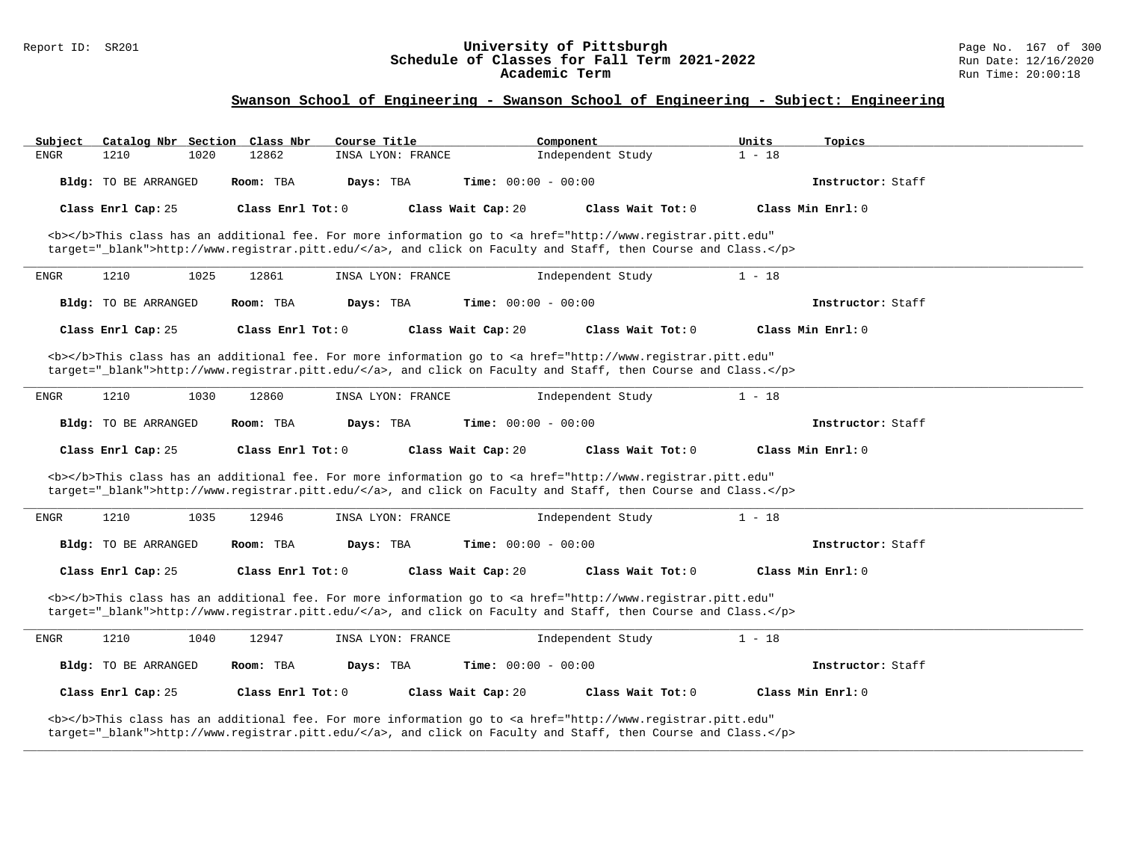#### Report ID: SR201 **University of Pittsburgh** Page No. 167 of 300 **Schedule of Classes for Fall Term 2021-2022** Run Date: 12/16/2020 **Academic Term** Run Time: 20:00:18

| Catalog Nbr Section Class Nbr<br>Subject                                                                                                                                                                                           | Course Title                                                                                                                                                                                                                       | Component<br>Units            | Topics              |  |  |  |  |  |
|------------------------------------------------------------------------------------------------------------------------------------------------------------------------------------------------------------------------------------|------------------------------------------------------------------------------------------------------------------------------------------------------------------------------------------------------------------------------------|-------------------------------|---------------------|--|--|--|--|--|
| 1210<br>1020<br><b>ENGR</b>                                                                                                                                                                                                        | 12862<br>INSA LYON: FRANCE                                                                                                                                                                                                         | Independent Study<br>$1 - 18$ |                     |  |  |  |  |  |
| Bldg: TO BE ARRANGED                                                                                                                                                                                                               | Room: TBA<br>Days: TBA                                                                                                                                                                                                             | <b>Time:</b> $00:00 - 00:00$  | Instructor: Staff   |  |  |  |  |  |
| Class Enrl Cap: 25                                                                                                                                                                                                                 | Class Enrl Tot: 0<br>Class Wait Cap: 20                                                                                                                                                                                            | Class Wait Tot: 0             | Class Min Enrl: 0   |  |  |  |  |  |
|                                                                                                                                                                                                                                    | <b></b> This class has an additional fee. For more information go to <a <br="" href="http://www.registrar.pitt.edu">target="_blank"&gt;http://www.registrar.pitt.edu/</a> , and click on Faculty and Staff, then Course and Class. |                               |                     |  |  |  |  |  |
| 1210<br>1025<br><b>ENGR</b>                                                                                                                                                                                                        | 12861<br>INSA LYON: FRANCE                                                                                                                                                                                                         | Independent Study<br>$1 - 18$ |                     |  |  |  |  |  |
| Bldg: TO BE ARRANGED                                                                                                                                                                                                               | Room: TBA<br>Days: TBA                                                                                                                                                                                                             | <b>Time:</b> $00:00 - 00:00$  | Instructor: Staff   |  |  |  |  |  |
| Class Enrl Cap: 25                                                                                                                                                                                                                 | Class Enrl Tot: $0$<br>Class Wait Cap: 20                                                                                                                                                                                          | Class Wait Tot: 0             | Class Min $Enr1: 0$ |  |  |  |  |  |
|                                                                                                                                                                                                                                    | <b></b> This class has an additional fee. For more information go to <a <br="" href="http://www.registrar.pitt.edu">target="_blank"&gt;http://www.registrar.pitt.edu/</a> , and click on Faculty and Staff, then Course and Class. |                               |                     |  |  |  |  |  |
| 1210<br>ENGR<br>1030                                                                                                                                                                                                               | INSA LYON: FRANCE<br>12860                                                                                                                                                                                                         | Independent Study<br>$1 - 18$ |                     |  |  |  |  |  |
| Bldg: TO BE ARRANGED                                                                                                                                                                                                               | Room: TBA<br>Days: TBA                                                                                                                                                                                                             | <b>Time:</b> $00:00 - 00:00$  | Instructor: Staff   |  |  |  |  |  |
| Class Enrl Cap: 25                                                                                                                                                                                                                 | Class Enrl Tot: 0<br>Class Wait Cap: 20                                                                                                                                                                                            | Class Wait Tot: 0             | Class Min Enrl: 0   |  |  |  |  |  |
|                                                                                                                                                                                                                                    | <b></b> This class has an additional fee. For more information go to <a <br="" href="http://www.registrar.pitt.edu">target="_blank"&gt;http://www.registrar.pitt.edu/</a> , and click on Faculty and Staff, then Course and Class. |                               |                     |  |  |  |  |  |
| 1210<br>1035<br>ENGR                                                                                                                                                                                                               | 12946<br>INSA LYON: FRANCE                                                                                                                                                                                                         | $1 - 18$<br>Independent Study |                     |  |  |  |  |  |
| Bldg: TO BE ARRANGED                                                                                                                                                                                                               | Room: TBA<br>Days: TBA                                                                                                                                                                                                             | Time: $00:00 - 00:00$         | Instructor: Staff   |  |  |  |  |  |
| Class Enrl Cap: 25                                                                                                                                                                                                                 | Class Wait Cap: 20<br>Class Enrl Tot: 0                                                                                                                                                                                            | Class Wait Tot: 0             | Class Min Enrl: 0   |  |  |  |  |  |
| <b></b> This class has an additional fee. For more information go to <a <br="" href="http://www.registrar.pitt.edu">target="_blank"&gt;http://www.registrar.pitt.edu/</a> , and click on Faculty and Staff, then Course and Class. |                                                                                                                                                                                                                                    |                               |                     |  |  |  |  |  |
| 1210<br>1040<br>ENGR                                                                                                                                                                                                               | 12947<br>INSA LYON: FRANCE                                                                                                                                                                                                         | $1 - 18$<br>Independent Study |                     |  |  |  |  |  |
| Bldg: TO BE ARRANGED                                                                                                                                                                                                               | Room: TBA<br>Days: TBA                                                                                                                                                                                                             | Time: $00:00 - 00:00$         | Instructor: Staff   |  |  |  |  |  |
| Class Enrl Cap: 25                                                                                                                                                                                                                 | Class Enrl Tot: 0<br>Class Wait Cap: 20                                                                                                                                                                                            | Class Wait Tot: 0             | Class Min Enrl: 0   |  |  |  |  |  |
| <b></b> This class has an additional fee. For more information go to <a <br="" href="http://www.registrar.pitt.edu">target="_blank"&gt;http://www.registrar.pitt.edu/</a> , and click on Faculty and Staff, then Course and Class. |                                                                                                                                                                                                                                    |                               |                     |  |  |  |  |  |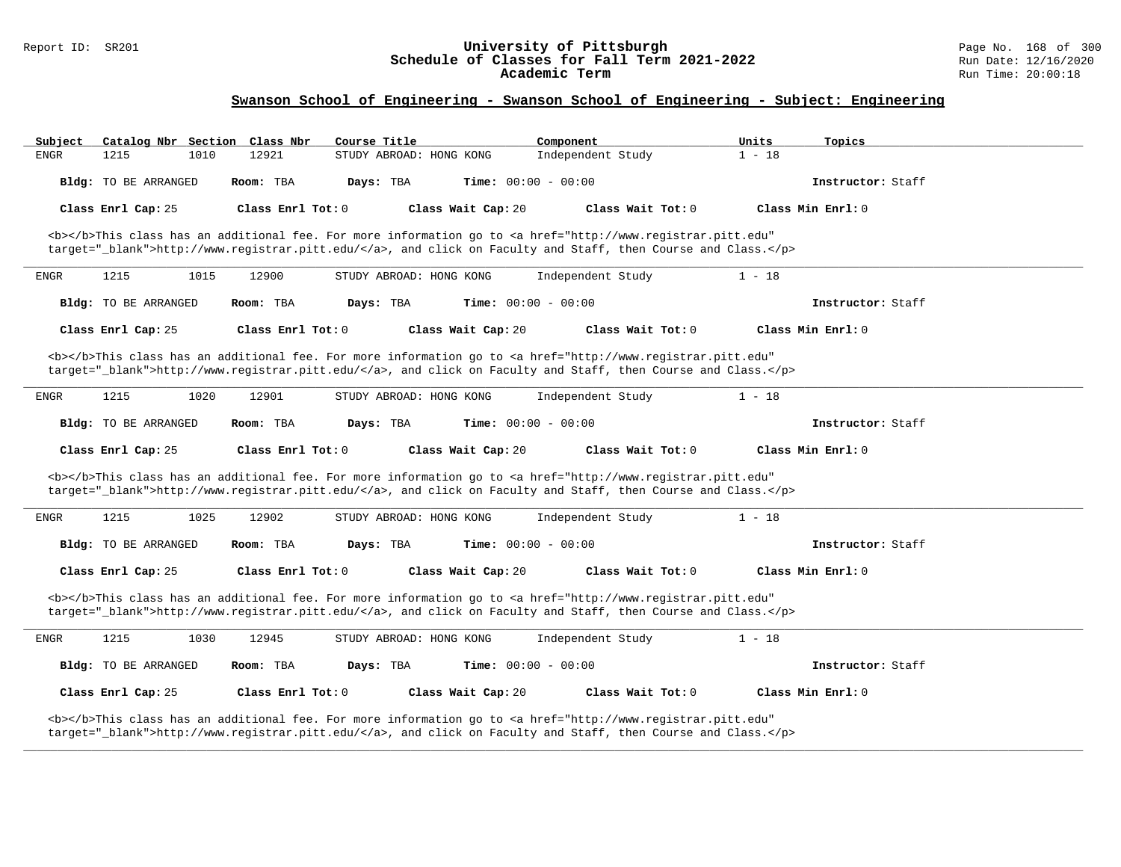#### Report ID: SR201 **University of Pittsburgh** Page No. 168 of 300 **Schedule of Classes for Fall Term 2021-2022** Run Date: 12/16/2020 **Academic Term** Run Time: 20:00:18

| Subject                                                                                                                                                                                                                            | Catalog Nbr Section Class Nbr                                                                                                                                                                                                      |      |                   | Course Title |                         |  | Component                                                                                                                                                                                                                          |                   | Units    | Topics              |  |
|------------------------------------------------------------------------------------------------------------------------------------------------------------------------------------------------------------------------------------|------------------------------------------------------------------------------------------------------------------------------------------------------------------------------------------------------------------------------------|------|-------------------|--------------|-------------------------|--|------------------------------------------------------------------------------------------------------------------------------------------------------------------------------------------------------------------------------------|-------------------|----------|---------------------|--|
| ENGR                                                                                                                                                                                                                               | 1215                                                                                                                                                                                                                               | 1010 | 12921             |              | STUDY ABROAD: HONG KONG |  | Independent Study                                                                                                                                                                                                                  |                   | $1 - 18$ |                     |  |
|                                                                                                                                                                                                                                    | Bldg: TO BE ARRANGED                                                                                                                                                                                                               |      | Room: TBA         | Days: TBA    |                         |  | <b>Time:</b> $00:00 - 00:00$                                                                                                                                                                                                       |                   |          | Instructor: Staff   |  |
|                                                                                                                                                                                                                                    | Class Enrl Cap: 25                                                                                                                                                                                                                 |      | Class Enrl Tot: 0 |              | Class Wait Cap: 20      |  |                                                                                                                                                                                                                                    | Class Wait Tot: 0 |          | Class Min Enrl: 0   |  |
|                                                                                                                                                                                                                                    |                                                                                                                                                                                                                                    |      |                   |              |                         |  | <b></b> This class has an additional fee. For more information go to <a <br="" href="http://www.registrar.pitt.edu">target="_blank"&gt;http://www.registrar.pitt.edu/</a> , and click on Faculty and Staff, then Course and Class. |                   |          |                     |  |
| ENGR                                                                                                                                                                                                                               | 1215                                                                                                                                                                                                                               | 1015 | 12900             |              | STUDY ABROAD: HONG KONG |  | Independent Study                                                                                                                                                                                                                  |                   | $1 - 18$ |                     |  |
|                                                                                                                                                                                                                                    | Bldg: TO BE ARRANGED                                                                                                                                                                                                               |      | Room: TBA         | Days: TBA    |                         |  | Time: $00:00 - 00:00$                                                                                                                                                                                                              |                   |          | Instructor: Staff   |  |
|                                                                                                                                                                                                                                    | Class Enrl Cap: 25                                                                                                                                                                                                                 |      | Class Enrl Tot: 0 |              | Class Wait Cap: 20      |  |                                                                                                                                                                                                                                    | Class Wait Tot: 0 |          | Class Min $Enr1: 0$ |  |
|                                                                                                                                                                                                                                    |                                                                                                                                                                                                                                    |      |                   |              |                         |  | <b></b> This class has an additional fee. For more information go to <a <br="" href="http://www.registrar.pitt.edu">target="_blank"&gt;http://www.registrar.pitt.edu/</a> , and click on Faculty and Staff, then Course and Class. |                   |          |                     |  |
| ENGR                                                                                                                                                                                                                               | 1215                                                                                                                                                                                                                               | 1020 | 12901             |              | STUDY ABROAD: HONG KONG |  | Independent Study                                                                                                                                                                                                                  |                   | $1 - 18$ |                     |  |
|                                                                                                                                                                                                                                    | Bldg: TO BE ARRANGED                                                                                                                                                                                                               |      | Room: TBA         | Days: TBA    |                         |  | <b>Time:</b> $00:00 - 00:00$                                                                                                                                                                                                       |                   |          | Instructor: Staff   |  |
|                                                                                                                                                                                                                                    | Class Enrl Cap: 25                                                                                                                                                                                                                 |      | Class Enrl Tot: 0 |              | Class Wait Cap: 20      |  |                                                                                                                                                                                                                                    | Class Wait Tot: 0 |          | Class Min Enrl: 0   |  |
|                                                                                                                                                                                                                                    |                                                                                                                                                                                                                                    |      |                   |              |                         |  | <b></b> This class has an additional fee. For more information go to <a <br="" href="http://www.registrar.pitt.edu">target="_blank"&gt;http://www.registrar.pitt.edu/</a> , and click on Faculty and Staff, then Course and Class. |                   |          |                     |  |
| ENGR                                                                                                                                                                                                                               | 1215                                                                                                                                                                                                                               | 1025 | 12902             |              | STUDY ABROAD: HONG KONG |  | Independent Study                                                                                                                                                                                                                  |                   | $1 - 18$ |                     |  |
|                                                                                                                                                                                                                                    | Bldg: TO BE ARRANGED                                                                                                                                                                                                               |      | Room: TBA         | Days: TBA    |                         |  | <b>Time:</b> $00:00 - 00:00$                                                                                                                                                                                                       |                   |          | Instructor: Staff   |  |
|                                                                                                                                                                                                                                    | Class Enrl Cap: 25                                                                                                                                                                                                                 |      | Class Enrl Tot: 0 |              | Class Wait Cap: 20      |  |                                                                                                                                                                                                                                    | Class Wait Tot: 0 |          | Class Min Enrl: 0   |  |
| <b></b> This class has an additional fee. For more information go to <a <br="" href="http://www.registrar.pitt.edu">target="_blank"&gt;http://www.registrar.pitt.edu/</a> , and click on Faculty and Staff, then Course and Class. |                                                                                                                                                                                                                                    |      |                   |              |                         |  |                                                                                                                                                                                                                                    |                   |          |                     |  |
| <b>ENGR</b>                                                                                                                                                                                                                        | 1215                                                                                                                                                                                                                               | 1030 | 12945             |              | STUDY ABROAD: HONG KONG |  | Independent Study                                                                                                                                                                                                                  |                   | $1 - 18$ |                     |  |
|                                                                                                                                                                                                                                    | Bldg: TO BE ARRANGED                                                                                                                                                                                                               |      | Room: TBA         | Days: TBA    |                         |  | <b>Time:</b> $00:00 - 00:00$                                                                                                                                                                                                       |                   |          | Instructor: Staff   |  |
|                                                                                                                                                                                                                                    | Class Enrl Cap: 25                                                                                                                                                                                                                 |      | Class Enrl Tot: 0 |              | Class Wait Cap: 20      |  |                                                                                                                                                                                                                                    | Class Wait Tot: 0 |          | Class Min Enrl: 0   |  |
|                                                                                                                                                                                                                                    | <b></b> This class has an additional fee. For more information go to <a <br="" href="http://www.registrar.pitt.edu">target="_blank"&gt;http://www.registrar.pitt.edu/</a> , and click on Faculty and Staff, then Course and Class. |      |                   |              |                         |  |                                                                                                                                                                                                                                    |                   |          |                     |  |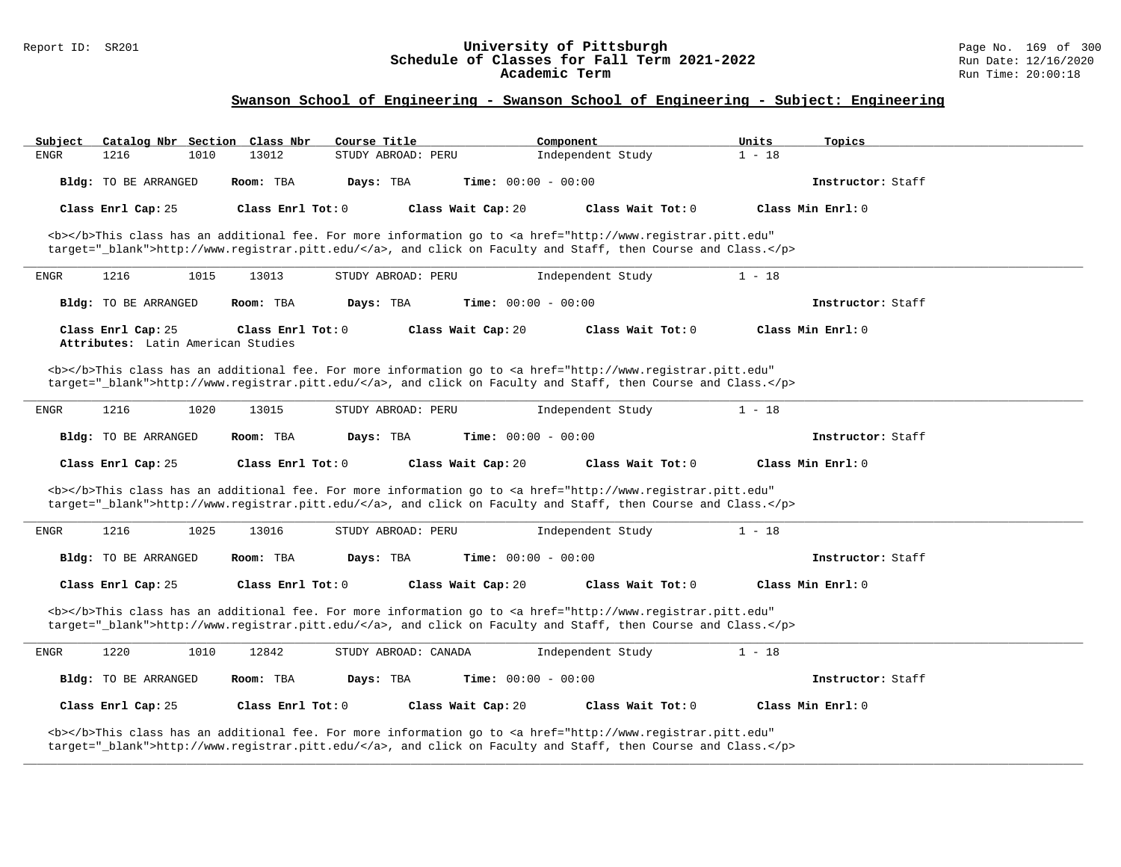#### Report ID: SR201 **University of Pittsburgh** Page No. 169 of 300 **Schedule of Classes for Fall Term 2021-2022** Run Date: 12/16/2020 **Academic Term** Run Time: 20:00:18

# **Swanson School of Engineering - Swanson School of Engineering - Subject: Engineering**

| Catalog Nbr Section Class Nbr<br>Subject                 | Course Title                                                                                                                                                                                                                        | Component                    | Units<br>Topics   |
|----------------------------------------------------------|-------------------------------------------------------------------------------------------------------------------------------------------------------------------------------------------------------------------------------------|------------------------------|-------------------|
| 1216<br><b>ENGR</b><br>1010                              | STUDY ABROAD: PERU<br>13012                                                                                                                                                                                                         | Independent Study            | $1 - 18$          |
| Bldg: TO BE ARRANGED                                     | Room: TBA<br>Days: TBA                                                                                                                                                                                                              | <b>Time:</b> $00:00 - 00:00$ | Instructor: Staff |
| Class Enrl Cap: 25                                       | Class Enrl Tot: 0<br>Class Wait Cap: 20                                                                                                                                                                                             | Class Wait Tot: 0            | Class Min Enrl: 0 |
|                                                          | <b></b> This class has an additional fee. For more information go to <a <br="" href="http://www.registrar.pitt.edu">target="_blank"&gt;http://www.registrar.pitt.edu/</a> , and click on Faculty and Staff, then Course and Class.  |                              |                   |
| 1216<br>1015<br>ENGR                                     | 13013<br>STUDY ABROAD: PERU                                                                                                                                                                                                         | Independent Study            | $1 - 18$          |
| <b>Bldg:</b> TO BE ARRANGED                              | Days: TBA<br>Room: TBA                                                                                                                                                                                                              | <b>Time:</b> $00:00 - 00:00$ | Instructor: Staff |
| Class Enrl Cap: 25<br>Attributes: Latin American Studies | Class Enrl Tot: 0<br>Class Wait Cap: 20                                                                                                                                                                                             | Class Wait Tot: 0            | Class Min Enrl: 0 |
|                                                          | <b></b> This class has an additional fee. For more information go to <a <="" href="http://www.registrar.pitt.edu" td=""><td></td><td></td></a>                                                                                      |                              |                   |
|                                                          | target="_blank">http://www.registrar.pitt.edu/, and click on Faculty and Staff, then Course and Class.                                                                                                                              |                              |                   |
| 1216<br>1020<br>ENGR                                     | 13015<br>STUDY ABROAD: PERU                                                                                                                                                                                                         | Independent Study            | $1 - 18$          |
| Bldg: TO BE ARRANGED                                     | Room: TBA<br>Days: TBA                                                                                                                                                                                                              | <b>Time:</b> $00:00 - 00:00$ | Instructor: Staff |
| Class Enrl Cap: 25                                       | Class Enrl Tot: 0<br>Class Wait Cap: 20                                                                                                                                                                                             | Class Wait Tot: 0            | Class Min Enrl: 0 |
|                                                          | <b></b> This class has an additional fee. For more information go to <a <br="" href="http://www.registrar.pitt.edu">target="_blank"&gt;http://www.registrar.pitt.edu/</a> , and click on Faculty and Staff, then Course and Class.  |                              |                   |
| 1216<br>1025<br>ENGR                                     | 13016<br>STUDY ABROAD: PERU                                                                                                                                                                                                         | Independent Study            | $1 - 18$          |
| Bldg: TO BE ARRANGED                                     | Room: TBA<br>Days: TBA                                                                                                                                                                                                              | Time: $00:00 - 00:00$        | Instructor: Staff |
| Class Enrl Cap: 25                                       | Class Enrl Tot: 0<br>Class Wait Cap: 20                                                                                                                                                                                             | Class Wait Tot: 0            | Class Min Enrl: 0 |
|                                                          | <b></b> >This class has an additional fee. For more information go to <a <br="" href="http://www.registrar.pitt.edu">target="_blank"&gt;http://www.registrar.pitt.edu/</a> , and click on Faculty and Staff, then Course and Class. |                              |                   |
| 1220<br>1010<br>ENGR                                     | 12842<br>STUDY ABROAD: CANADA                                                                                                                                                                                                       | Independent Study            | $1 - 18$          |
| Bldg: TO BE ARRANGED                                     | Room: TBA<br>Days: TBA                                                                                                                                                                                                              | <b>Time:</b> $00:00 - 00:00$ | Instructor: Staff |
| Class Enrl Cap: 25                                       | Class Enrl Tot: 0<br>Class Wait Cap: 20                                                                                                                                                                                             | Class Wait Tot: 0            | Class Min Enrl: 0 |
|                                                          | <b></b> This class has an additional fee. For more information go to <a <br="" href="http://www.registrar.pitt.edu">target="_blank"&gt;http://www.registrar.pitt.edu/</a> , and click on Faculty and Staff, then Course and Class.  |                              |                   |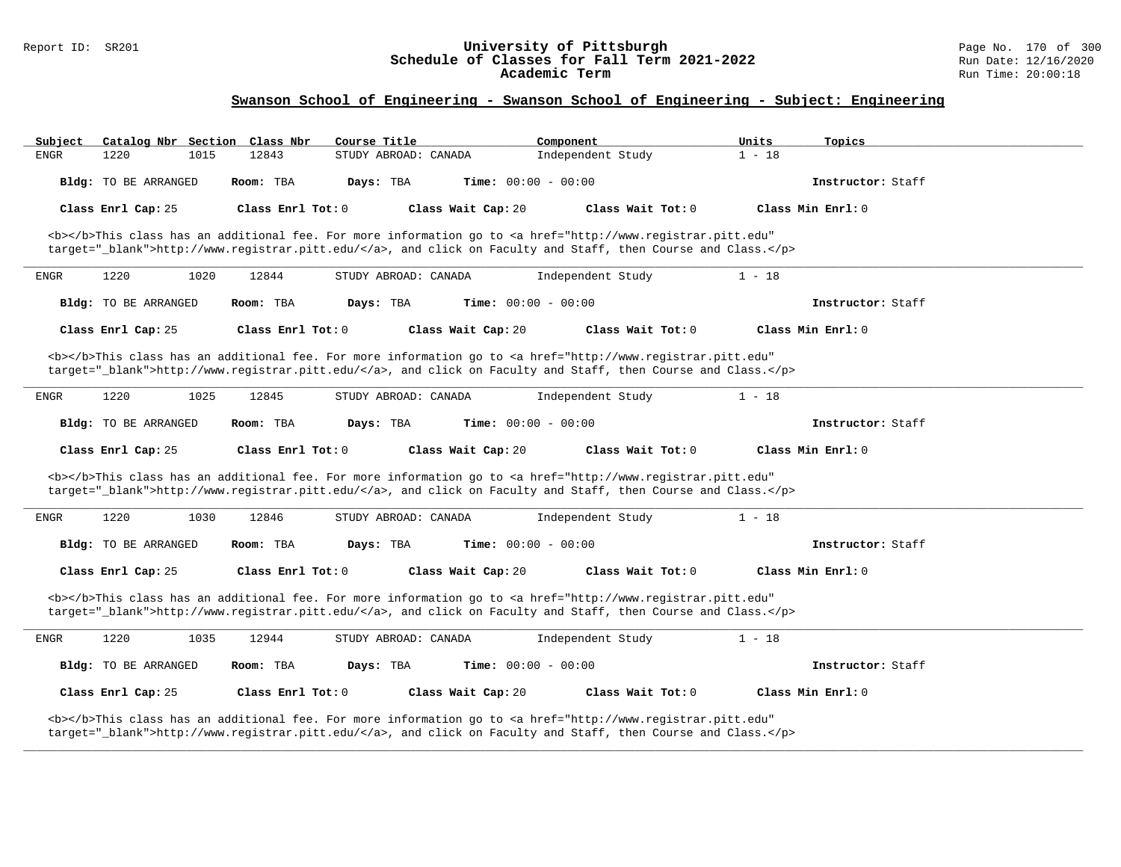#### Report ID: SR201 **University of Pittsburgh** Page No. 170 of 300 **Schedule of Classes for Fall Term 2021-2022** Run Date: 12/16/2020 **Academic Term** Run Time: 20:00:18

| Subject     | Catalog Nbr Section Class Nbr |               | Course Title        |                              | Component                                                                                                                                                                                                                          | Units<br>Topics   |  |
|-------------|-------------------------------|---------------|---------------------|------------------------------|------------------------------------------------------------------------------------------------------------------------------------------------------------------------------------------------------------------------------------|-------------------|--|
| ENGR        | 1220                          | 12843<br>1015 |                     | STUDY ABROAD: CANADA         | Independent Study                                                                                                                                                                                                                  | $1 - 18$          |  |
|             | Bldg: TO BE ARRANGED          | Room: TBA     | Days: TBA           | <b>Time:</b> $00:00 - 00:00$ |                                                                                                                                                                                                                                    | Instructor: Staff |  |
|             | Class Enrl Cap: 25            |               | Class Enrl Tot: $0$ | Class Wait Cap: 20           | Class Wait Tot: 0                                                                                                                                                                                                                  | Class Min Enrl: 0 |  |
|             |                               |               |                     |                              | <b></b> This class has an additional fee. For more information go to <a <br="" href="http://www.registrar.pitt.edu">target="_blank"&gt;http://www.registrar.pitt.edu/</a> , and click on Faculty and Staff, then Course and Class. |                   |  |
| <b>ENGR</b> | 1220                          | 1020<br>12844 |                     | STUDY ABROAD: CANADA         | Independent Study                                                                                                                                                                                                                  | $1 - 18$          |  |
|             | Bldg: TO BE ARRANGED          | Room: TBA     | Days: TBA           | Time: $00:00 - 00:00$        |                                                                                                                                                                                                                                    | Instructor: Staff |  |
|             | Class Enrl Cap: 25            |               | Class Enrl Tot: 0   | Class Wait Cap: 20           | Class Wait Tot: 0                                                                                                                                                                                                                  | Class Min Enrl: 0 |  |
|             |                               |               |                     |                              | <b></b> This class has an additional fee. For more information go to <a <br="" href="http://www.registrar.pitt.edu">target="_blank"&gt;http://www.registrar.pitt.edu/</a> , and click on Faculty and Staff, then Course and Class. |                   |  |
| ENGR        | 1220                          | 1025<br>12845 |                     | STUDY ABROAD: CANADA         | Independent Study                                                                                                                                                                                                                  | $1 - 18$          |  |
|             | Bldg: TO BE ARRANGED          | Room: TBA     | Days: TBA           | <b>Time:</b> $00:00 - 00:00$ |                                                                                                                                                                                                                                    | Instructor: Staff |  |
|             | Class Enrl Cap: 25            |               | Class Enrl Tot: 0   | Class Wait Cap: 20           | Class Wait Tot: 0                                                                                                                                                                                                                  | Class Min Enrl: 0 |  |
|             |                               |               |                     |                              | <b></b> This class has an additional fee. For more information go to <a <br="" href="http://www.registrar.pitt.edu">target="_blank"&gt;http://www.registrar.pitt.edu/</a> , and click on Faculty and Staff, then Course and Class. |                   |  |
| ENGR        | 1220                          | 1030<br>12846 |                     | STUDY ABROAD: CANADA         | Independent Study                                                                                                                                                                                                                  | $1 - 18$          |  |
|             | <b>Bldg:</b> TO BE ARRANGED   | Room: TBA     | Days: TBA           | <b>Time:</b> $00:00 - 00:00$ |                                                                                                                                                                                                                                    | Instructor: Staff |  |
|             | Class Enrl Cap: 25            |               | Class Enrl Tot: $0$ | Class Wait Cap: 20           | Class Wait Tot: $0$                                                                                                                                                                                                                | Class Min Enrl: 0 |  |
|             |                               |               |                     |                              | <b></b> This class has an additional fee. For more information go to <a <br="" href="http://www.registrar.pitt.edu">target="_blank"&gt;http://www.registrar.pitt.edu/</a> , and click on Faculty and Staff, then Course and Class. |                   |  |
| ENGR        | 1220                          | 12944<br>1035 |                     | STUDY ABROAD: CANADA         | Independent Study                                                                                                                                                                                                                  | $1 - 18$          |  |
|             | Bldg: TO BE ARRANGED          | Room: TBA     | Days: TBA           | <b>Time:</b> $00:00 - 00:00$ |                                                                                                                                                                                                                                    | Instructor: Staff |  |
|             | Class Enrl Cap: 25            |               | Class Enrl Tot: 0   | Class Wait Cap: 20           | Class Wait Tot: 0                                                                                                                                                                                                                  | Class Min Enrl: 0 |  |
|             |                               |               |                     |                              | <b></b> This class has an additional fee. For more information go to <a <br="" href="http://www.registrar.pitt.edu">target="_blank"&gt;http://www.registrar.pitt.edu/</a> , and click on Faculty and Staff, then Course and Class. |                   |  |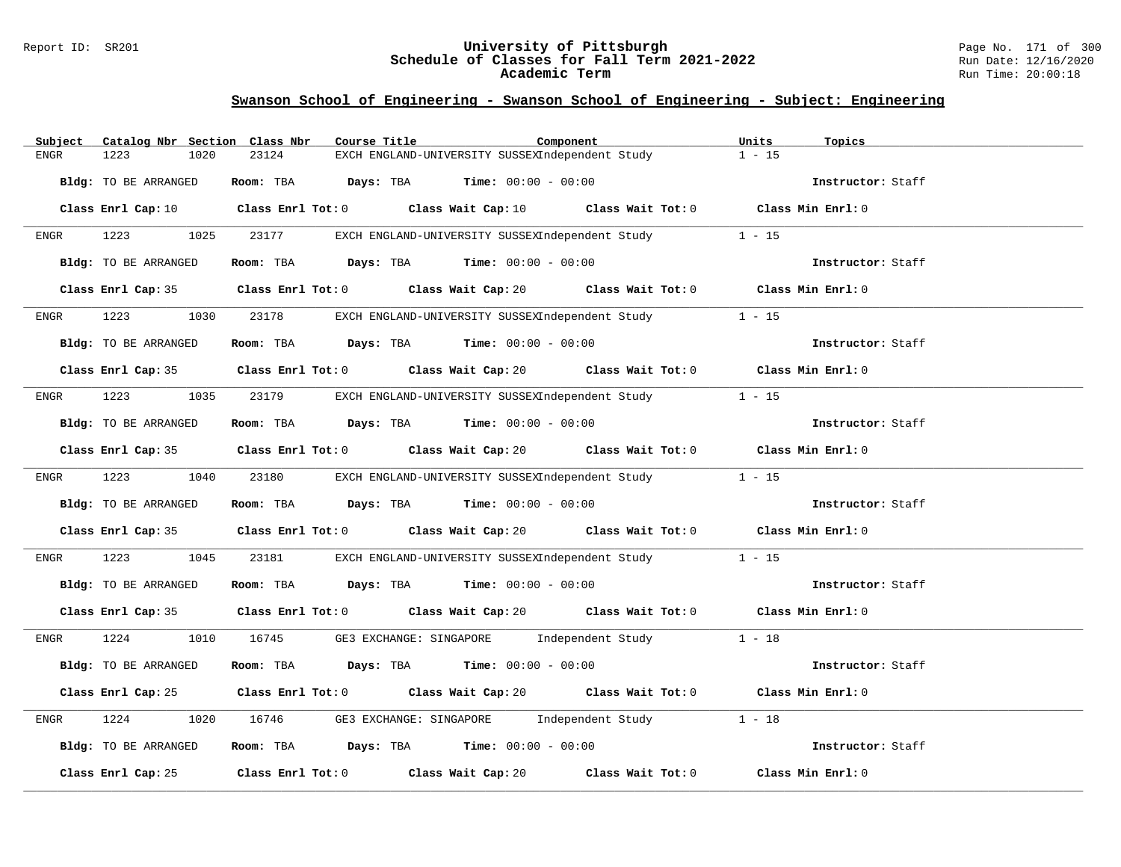#### Report ID: SR201 **University of Pittsburgh** Page No. 171 of 300 **Schedule of Classes for Fall Term 2021-2022** Run Date: 12/16/2020 **Academic Term** Run Time: 20:00:18

| Subject              | Catalog Nbr Section Class Nbr | Course Title                                                   | Component                                                                   | Units<br>Topics                                                                                                                 |
|----------------------|-------------------------------|----------------------------------------------------------------|-----------------------------------------------------------------------------|---------------------------------------------------------------------------------------------------------------------------------|
| 1223<br>ENGR         | 23124<br>1020                 |                                                                | EXCH ENGLAND-UNIVERSITY SUSSEXIndependent Study                             | $1 - 15$                                                                                                                        |
| Bldg: TO BE ARRANGED |                               | Room: TBA $Days:$ TBA $Time: 00:00 - 00:00$                    |                                                                             | Instructor: Staff                                                                                                               |
|                      |                               |                                                                |                                                                             | Class Enrl Cap: 10 $\qquad$ Class Enrl Tot: 0 $\qquad$ Class Wait Cap: 10 $\qquad$ Class Wait Tot: 0 $\qquad$ Class Min Enrl: 0 |
| 1223 1025<br>ENGR    | 23177                         |                                                                | EXCH ENGLAND-UNIVERSITY SUSSEXIndependent Study                             | $1 - 15$                                                                                                                        |
| Bldg: TO BE ARRANGED |                               | Room: TBA $Days: TBA$ Time: $00:00 - 00:00$                    |                                                                             | Instructor: Staff                                                                                                               |
|                      |                               |                                                                |                                                                             | Class Enrl Cap: 35 Class Enrl Tot: 0 Class Wait Cap: 20 Class Wait Tot: 0 Class Min Enrl: 0                                     |
| 1223<br><b>ENGR</b>  | 1030 23178                    |                                                                | EXCH ENGLAND-UNIVERSITY SUSSEXIndependent Study 1 - 15                      |                                                                                                                                 |
| Bldg: TO BE ARRANGED |                               | Room: TBA Days: TBA Time: $00:00 - 00:00$                      |                                                                             | Instructor: Staff                                                                                                               |
|                      |                               |                                                                |                                                                             | Class Enrl Cap: 35 Class Enrl Tot: 0 Class Wait Cap: 20 Class Wait Tot: 0 Class Min Enrl: 0                                     |
| ENGR                 |                               |                                                                | 1223 1035 23179 EXCH ENGLAND-UNIVERSITY SUSSEXIndependent Study 1 - 15      |                                                                                                                                 |
| Bldg: TO BE ARRANGED |                               | Room: TBA Days: TBA Time: $00:00 - 00:00$                      |                                                                             | Instructor: Staff                                                                                                               |
|                      |                               |                                                                |                                                                             | Class Enrl Cap: 35 Class Enrl Tot: 0 Class Wait Cap: 20 Class Wait Tot: 0 Class Min Enrl: 0                                     |
|                      |                               |                                                                | ENGR 1223 1040 23180 EXCH ENGLAND-UNIVERSITY SUSSEXIndependent Study 1 - 15 |                                                                                                                                 |
| Bldg: TO BE ARRANGED |                               | Room: TBA $\rule{1em}{0.15mm}$ Days: TBA Time: $00:00 - 00:00$ |                                                                             | Instructor: Staff                                                                                                               |
|                      |                               |                                                                |                                                                             | Class Enrl Cap: 35 Class Enrl Tot: 0 Class Wait Cap: 20 Class Wait Tot: 0 Class Min Enrl: 0                                     |
| 1223<br>ENGR         | 1045<br>23181                 |                                                                | EXCH ENGLAND-UNIVERSITY SUSSEXIndependent Study 1 - 15                      |                                                                                                                                 |
| Bldg: TO BE ARRANGED |                               | Room: TBA $Days:$ TBA $Time:$ 00:00 - 00:00                    |                                                                             | Instructor: Staff                                                                                                               |
|                      |                               |                                                                |                                                                             | Class Enrl Cap: 35 Class Enrl Tot: 0 Class Wait Cap: 20 Class Wait Tot: 0 Class Min Enrl: 0                                     |
| ENGR                 |                               |                                                                | 1224 1010 16745 GE3 EXCHANGE: SINGAPORE Independent Study 1 - 18            |                                                                                                                                 |
| Bldg: TO BE ARRANGED |                               |                                                                | Room: TBA $Days:$ TBA $Time: 00:00 - 00:00$                                 | Instructor: Staff                                                                                                               |
|                      |                               |                                                                |                                                                             | Class Enrl Cap: 25 Class Enrl Tot: 0 Class Wait Cap: 20 Class Wait Tot: 0 Class Min Enrl: 0                                     |
| 1224<br>ENGR         | 1020                          |                                                                | 16746 GE3 EXCHANGE: SINGAPORE Independent Study 1 - 18                      |                                                                                                                                 |
| Bldg: TO BE ARRANGED |                               | Room: TBA $Days:$ TBA $Time: 00:00 - 00:00$                    |                                                                             | Instructor: Staff                                                                                                               |
|                      |                               | Class Enrl Cap: 25 Class Enrl Tot: 0 Class Wait Cap: 20        |                                                                             | Class Wait Tot: $0$ Class Min Enrl: $0$                                                                                         |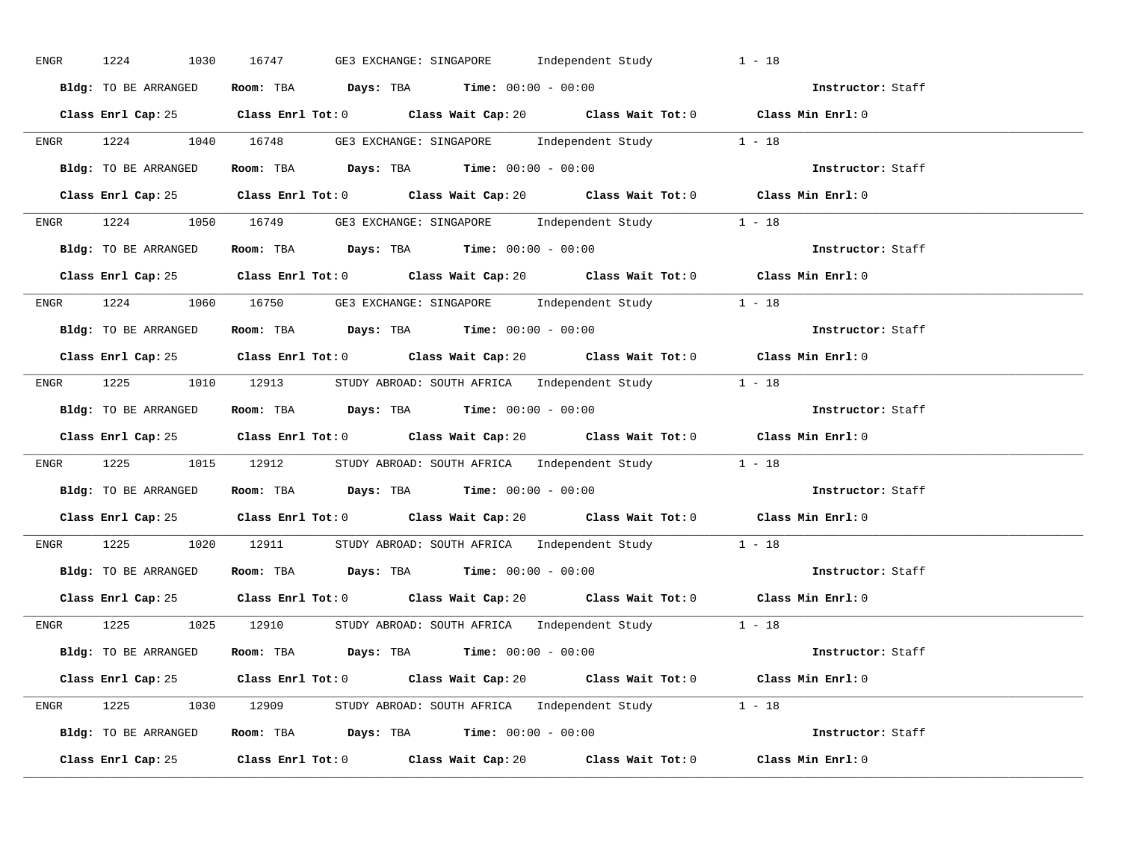| ENGR | 1224<br>1030         | 16747<br>GE3 EXCHANGE: SINGAPORE        Independent Study                                   | $1 - 18$          |
|------|----------------------|---------------------------------------------------------------------------------------------|-------------------|
|      | Bldg: TO BE ARRANGED | Room: TBA $Days:$ TBA $Time: 00:00 - 00:00$                                                 | Instructor: Staff |
|      |                      | Class Enrl Cap: 25 Class Enrl Tot: 0 Class Wait Cap: 20 Class Wait Tot: 0 Class Min Enrl: 0 |                   |
|      |                      | ENGR 1224 1040 16748 GE3 EXCHANGE: SINGAPORE Independent Study 1 - 18                       |                   |
|      | Bldg: TO BE ARRANGED | Room: TBA $Days:$ TBA $Time:$ $00:00 - 00:00$                                               | Instructor: Staff |
|      |                      | Class Enrl Cap: 25 Class Enrl Tot: 0 Class Wait Cap: 20 Class Wait Tot: 0 Class Min Enrl: 0 |                   |
|      |                      | ENGR 1224 1050 16749 GE3 EXCHANGE: SINGAPORE Independent Study 1 - 18                       |                   |
|      |                      | Bldg: TO BE ARRANGED Room: TBA Days: TBA Time: 00:00 - 00:00                                | Instructor: Staff |
|      |                      | Class Enrl Cap: 25 Class Enrl Tot: 0 Class Wait Cap: 20 Class Wait Tot: 0 Class Min Enrl: 0 |                   |
|      |                      | ENGR 1224 1060 16750 GE3 EXCHANGE: SINGAPORE Independent Study 1 - 18                       |                   |
|      | Bldg: TO BE ARRANGED | Room: TBA $\rule{1em}{0.15mm}$ Days: TBA $\rule{1.15mm}]{0.15mm}$ Time: $00:00 - 00:00$     | Instructor: Staff |
|      |                      | Class Enrl Cap: 25 Class Enrl Tot: 0 Class Wait Cap: 20 Class Wait Tot: 0 Class Min Enrl: 0 |                   |
|      |                      | ENGR 1225 1010 12913 STUDY ABROAD: SOUTH AFRICA Independent Study 1 - 18                    |                   |
|      | Bldg: TO BE ARRANGED | Room: TBA $Days:$ TBA $Time: 00:00 - 00:00$                                                 | Instructor: Staff |
|      |                      | Class Enrl Cap: 25 Class Enrl Tot: 0 Class Wait Cap: 20 Class Wait Tot: 0 Class Min Enrl: 0 |                   |
|      |                      | ENGR 1225 1015 12912 STUDY ABROAD: SOUTH AFRICA Independent Study 1 - 18                    |                   |
|      |                      | <b>Bldg:</b> TO BE ARRANGED <b>ROOM:</b> TBA <b>Days:</b> TBA <b>Time:</b> $00:00 - 00:00$  | Instructor: Staff |
|      |                      | Class Enrl Cap: 25 Class Enrl Tot: 0 Class Wait Cap: 20 Class Wait Tot: 0 Class Min Enrl: 0 |                   |
|      |                      | ENGR 1225 1020 12911 STUDY ABROAD: SOUTH AFRICA Independent Study 1 - 18                    |                   |
|      |                      | Bldg: TO BE ARRANGED Room: TBA Days: TBA Time: 00:00 - 00:00                                | Instructor: Staff |
|      |                      | Class Enrl Cap: 25 Class Enrl Tot: 0 Class Wait Cap: 20 Class Wait Tot: 0 Class Min Enrl: 0 |                   |
|      |                      | ENGR 1225 1025 12910 STUDY ABROAD: SOUTH AFRICA Independent Study 1 - 18                    |                   |
|      | Bldg: TO BE ARRANGED | Room: TBA $Days:$ TBA $Time:$ $00:00 - 00:00$                                               | Instructor: Staff |
|      |                      | Class Enrl Cap: 25 Class Enrl Tot: 0 Class Wait Cap: 20 Class Wait Tot: 0 Class Min Enrl: 0 |                   |
|      |                      | ENGR 1225 1030 12909 STUDY ABROAD: SOUTH AFRICA Independent Study 1 - 18                    |                   |
|      |                      | Bldg: TO BE ARRANGED Room: TBA Days: TBA Time: $00:00 - 00:00$                              |                   |
|      |                      | Class Enrl Cap: 25 Class Enrl Tot: 0 Class Wait Cap: 20 Class Wait Tot: 0                   | Class Min Enrl: 0 |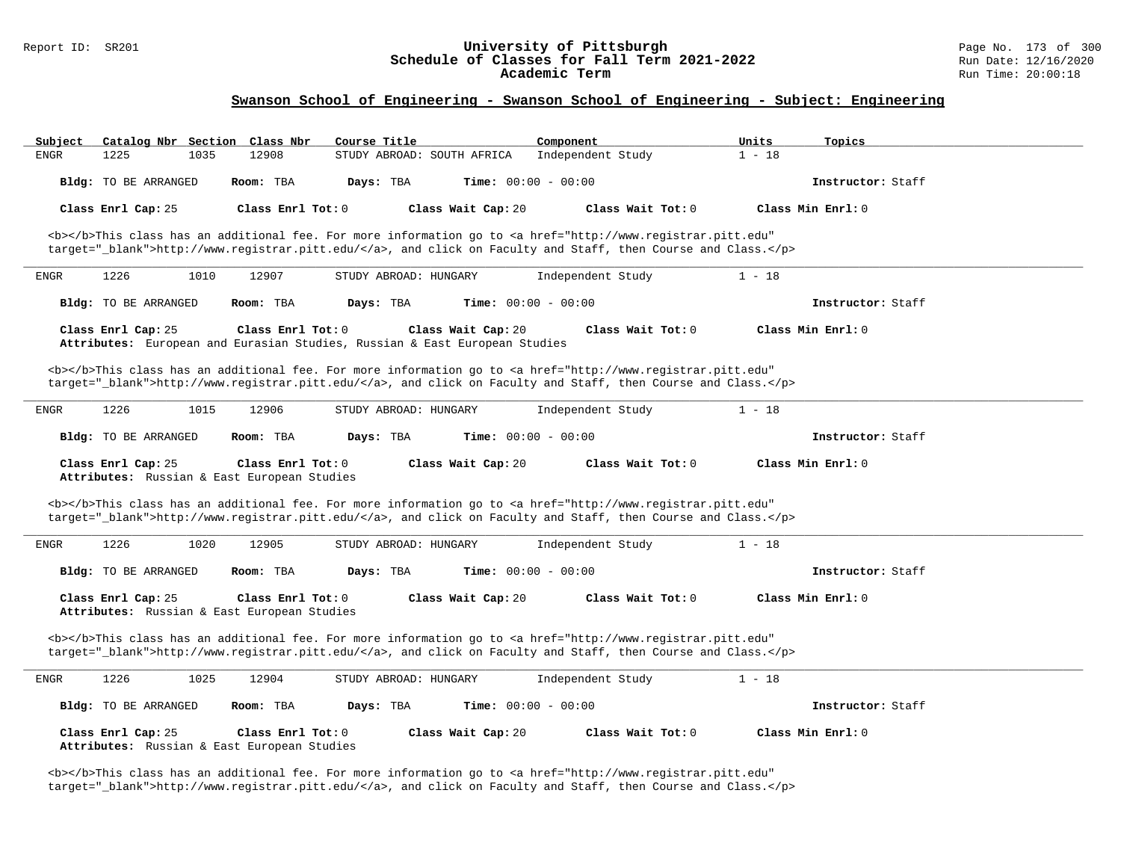# Report ID: SR201 **1988 Chedule of Classes for Fall Term 2021-2022** Page No. 173 of 300 Page No. 173 of 300 Page No<br>**Schedule of Classes for Fall Term 2021-2022** Run Date: 12/16/2020 Schedule of Classes for Fall Term 2021-2022<br>Academic Term

### **Swanson School of Engineering - Swanson School of Engineering - Subject: Engineering**

|      | Catalog Nbr Section  | Class Nbr                                                                                         | Course Title               |                              | Component                                                                                                                                                                                                                          | Units    | Topics            |  |
|------|----------------------|---------------------------------------------------------------------------------------------------|----------------------------|------------------------------|------------------------------------------------------------------------------------------------------------------------------------------------------------------------------------------------------------------------------------|----------|-------------------|--|
| ENGR | 1225                 | 1035<br>12908                                                                                     | STUDY ABROAD: SOUTH AFRICA |                              | Independent Study                                                                                                                                                                                                                  | $1 - 18$ |                   |  |
|      | Bldg: TO BE ARRANGED | Room: TBA                                                                                         | Days: TBA                  | <b>Time:</b> $00:00 - 00:00$ |                                                                                                                                                                                                                                    |          | Instructor: Staff |  |
|      | Class Enrl Cap: 25   | Class Enrl Tot: 0                                                                                 |                            | Class Wait Cap: 20           | Class Wait Tot: 0                                                                                                                                                                                                                  |          | Class Min Enrl: 0 |  |
|      |                      |                                                                                                   |                            |                              | <b></b> This class has an additional fee. For more information go to <a <br="" href="http://www.registrar.pitt.edu">target="_blank"&gt;http://www.registrar.pitt.edu/</a> , and click on Faculty and Staff, then Course and Class. |          |                   |  |
| ENGR | 1226                 | 1010<br>12907                                                                                     | STUDY ABROAD: HUNGARY      |                              | Independent Study                                                                                                                                                                                                                  | $1 - 18$ |                   |  |
|      | Bldg: TO BE ARRANGED | Room: TBA                                                                                         | Days: TBA                  | <b>Time:</b> $00:00 - 00:00$ |                                                                                                                                                                                                                                    |          | Instructor: Staff |  |
|      | Class Enrl Cap: 25   | Class Enrl Tot: $0$<br>Attributes: European and Eurasian Studies, Russian & East European Studies |                            | Class Wait Cap: 20           | Class Wait Tot: 0                                                                                                                                                                                                                  |          | Class Min Enrl: 0 |  |
|      |                      |                                                                                                   |                            |                              | <b></b> This class has an additional fee. For more information go to <a <br="" href="http://www.registrar.pitt.edu">target="_blank"&gt;http://www.registrar.pitt.edu/</a> , and click on Faculty and Staff, then Course and Class. |          |                   |  |
| ENGR | 1226                 | 1015<br>12906                                                                                     | STUDY ABROAD: HUNGARY      |                              | Independent Study                                                                                                                                                                                                                  | $1 - 18$ |                   |  |
|      | Bldg: TO BE ARRANGED | Room: TBA                                                                                         | Days: TBA                  | <b>Time:</b> $00:00 - 00:00$ |                                                                                                                                                                                                                                    |          | Instructor: Staff |  |
|      |                      |                                                                                                   |                            |                              |                                                                                                                                                                                                                                    |          |                   |  |
|      | Class Enrl Cap: 25   | Class Enrl Tot: 0<br>Attributes: Russian & East European Studies                                  |                            | Class Wait Cap: 20           | Class Wait Tot: 0                                                                                                                                                                                                                  |          | Class Min Enrl: 0 |  |
|      |                      |                                                                                                   |                            |                              | <b></b> This class has an additional fee. For more information go to <a <br="" href="http://www.registrar.pitt.edu">target="_blank"&gt;http://www.registrar.pitt.edu/</a> , and click on Faculty and Staff, then Course and Class. |          |                   |  |
| ENGR | 1226                 | 1020<br>12905                                                                                     | STUDY ABROAD: HUNGARY      |                              | Independent Study                                                                                                                                                                                                                  | $1 - 18$ |                   |  |
|      | Bldg: TO BE ARRANGED | Room: TBA                                                                                         | Days: TBA                  | <b>Time:</b> $00:00 - 00:00$ |                                                                                                                                                                                                                                    |          | Instructor: Staff |  |
|      | Class Enrl Cap: 25   | Class Enrl Tot: 0<br>Attributes: Russian & East European Studies                                  |                            | Class Wait Cap: 20           | Class Wait Tot: 0                                                                                                                                                                                                                  |          | Class Min Enrl: 0 |  |
|      |                      |                                                                                                   |                            |                              | <b></b> This class has an additional fee. For more information go to <a <br="" href="http://www.registrar.pitt.edu">target="_blank"&gt;http://www.registrar.pitt.edu/</a> , and click on Faculty and Staff, then Course and Class. |          |                   |  |
| ENGR | 1226                 | 1025<br>12904                                                                                     | STUDY ABROAD: HUNGARY      |                              | Independent Study                                                                                                                                                                                                                  | $1 - 18$ |                   |  |
|      | Bldg: TO BE ARRANGED | Room: TBA                                                                                         | Days: TBA                  | <b>Time:</b> $00:00 - 00:00$ |                                                                                                                                                                                                                                    |          | Instructor: Staff |  |

<b></b>This class has an additional fee. For more information go to <a href="http://www.registrar.pitt.edu" target="\_blank">http://www.registrar.pitt.edu/</a>, and click on Faculty and Staff, then Course and Class.</p>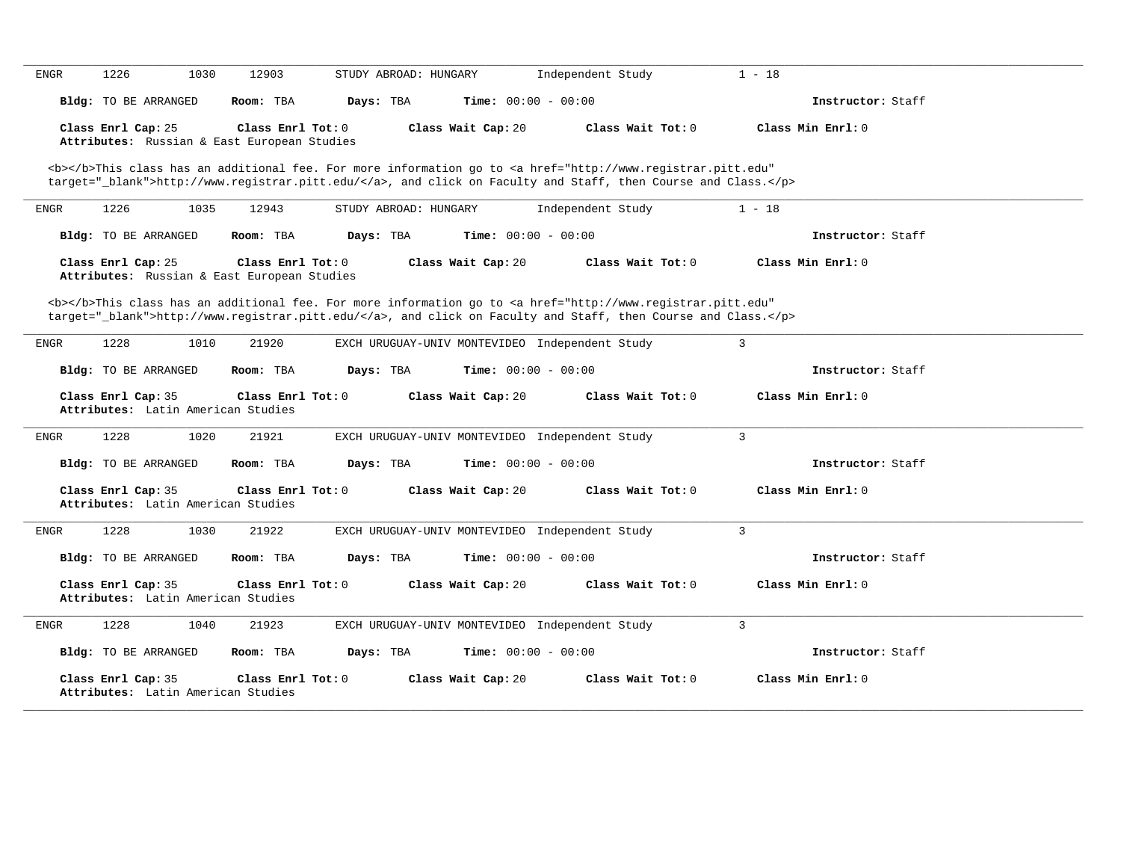| 1226<br>1030<br>12903<br>ENGR                                     | STUDY ABROAD: HUNGARY                                                                                                                                                                                                              | Independent Study   | $1 - 18$          |
|-------------------------------------------------------------------|------------------------------------------------------------------------------------------------------------------------------------------------------------------------------------------------------------------------------------|---------------------|-------------------|
| <b>Bldg:</b> TO BE ARRANGED<br>Room: TBA                          | Time: $00:00 - 00:00$<br>Days: TBA                                                                                                                                                                                                 |                     | Instructor: Staff |
| Class Enrl Cap: 25<br>Attributes: Russian & East European Studies | Class Enrl Tot: 0<br>Class Wait Cap: 20                                                                                                                                                                                            | Class Wait Tot: 0   | Class Min Enrl: 0 |
|                                                                   | <b></b> This class has an additional fee. For more information go to <a <br="" href="http://www.registrar.pitt.edu">target="_blank"&gt;http://www.registrar.pitt.edu/</a> , and click on Faculty and Staff, then Course and Class. |                     |                   |
| 1226<br>1035<br>12943<br>ENGR                                     | STUDY ABROAD: HUNGARY                                                                                                                                                                                                              | Independent Study   | $1 - 18$          |
| Bldg: TO BE ARRANGED<br>Room: TBA                                 | Time: $00:00 - 00:00$<br>Days: TBA                                                                                                                                                                                                 |                     | Instructor: Staff |
| Class Enrl Cap: 25<br>Attributes: Russian & East European Studies | Class Enrl Tot: 0<br>Class Wait Cap: 20                                                                                                                                                                                            | Class Wait Tot: 0   | Class Min Enrl: 0 |
|                                                                   | <b></b> This class has an additional fee. For more information go to <a <br="" href="http://www.registrar.pitt.edu">target="_blank"&gt;http://www.registrar.pitt.edu/</a> , and click on Faculty and Staff, then Course and Class. |                     |                   |
| 1228<br>1010<br>21920<br><b>ENGR</b>                              | EXCH URUGUAY-UNIV MONTEVIDEO Independent Study                                                                                                                                                                                     | $\overline{3}$      |                   |
| <b>Bldg:</b> TO BE ARRANGED<br>Room: TBA                          | <b>Time:</b> $00:00 - 00:00$<br>Days: TBA                                                                                                                                                                                          |                     | Instructor: Staff |
| Class Enrl Cap: 35<br>Attributes: Latin American Studies          | Class Enrl Tot: 0<br>Class Wait Cap: 20                                                                                                                                                                                            | Class Wait Tot: 0   | Class Min Enrl: 0 |
| 1228<br>1020<br>21921<br><b>ENGR</b>                              | EXCH URUGUAY-UNIV MONTEVIDEO Independent Study                                                                                                                                                                                     | $\overline{3}$      |                   |
| Bldg: TO BE ARRANGED<br>Room: TBA                                 | Time: $00:00 - 00:00$<br>Days: TBA                                                                                                                                                                                                 |                     | Instructor: Staff |
| Class Enrl Cap: 35<br>Attributes: Latin American Studies          | Class Enrl Tot: 0<br>Class Wait Cap: 20                                                                                                                                                                                            | Class Wait $Tot: 0$ | Class Min Enrl: 0 |
| 1228<br>1030<br>21922<br><b>ENGR</b>                              | EXCH URUGUAY-UNIV MONTEVIDEO Independent Study                                                                                                                                                                                     | $\overline{3}$      |                   |
| Bldg: TO BE ARRANGED<br>Room: TBA                                 | Days: TBA<br><b>Time:</b> $00:00 - 00:00$                                                                                                                                                                                          |                     | Instructor: Staff |
| Class Enrl Cap: 35<br>Attributes: Latin American Studies          | Class Enrl Tot: $0$<br>Class Wait Cap: 20                                                                                                                                                                                          | Class Wait $Tot: 0$ | Class Min Enrl: 0 |
|                                                                   |                                                                                                                                                                                                                                    |                     |                   |
| 1228<br>21923<br><b>ENGR</b><br>1040                              | EXCH URUGUAY-UNIV MONTEVIDEO Independent Study                                                                                                                                                                                     | $\overline{3}$      |                   |
| Bldg: TO BE ARRANGED<br>Room: TBA                                 | Time: $00:00 - 00:00$<br>Days: TBA                                                                                                                                                                                                 |                     | Instructor: Staff |
| Class Enrl Cap: 35<br>Attributes: Latin American Studies          | Class Enrl Tot: 0<br>Class Wait Cap: 20                                                                                                                                                                                            | Class Wait Tot: 0   | Class Min Enrl: 0 |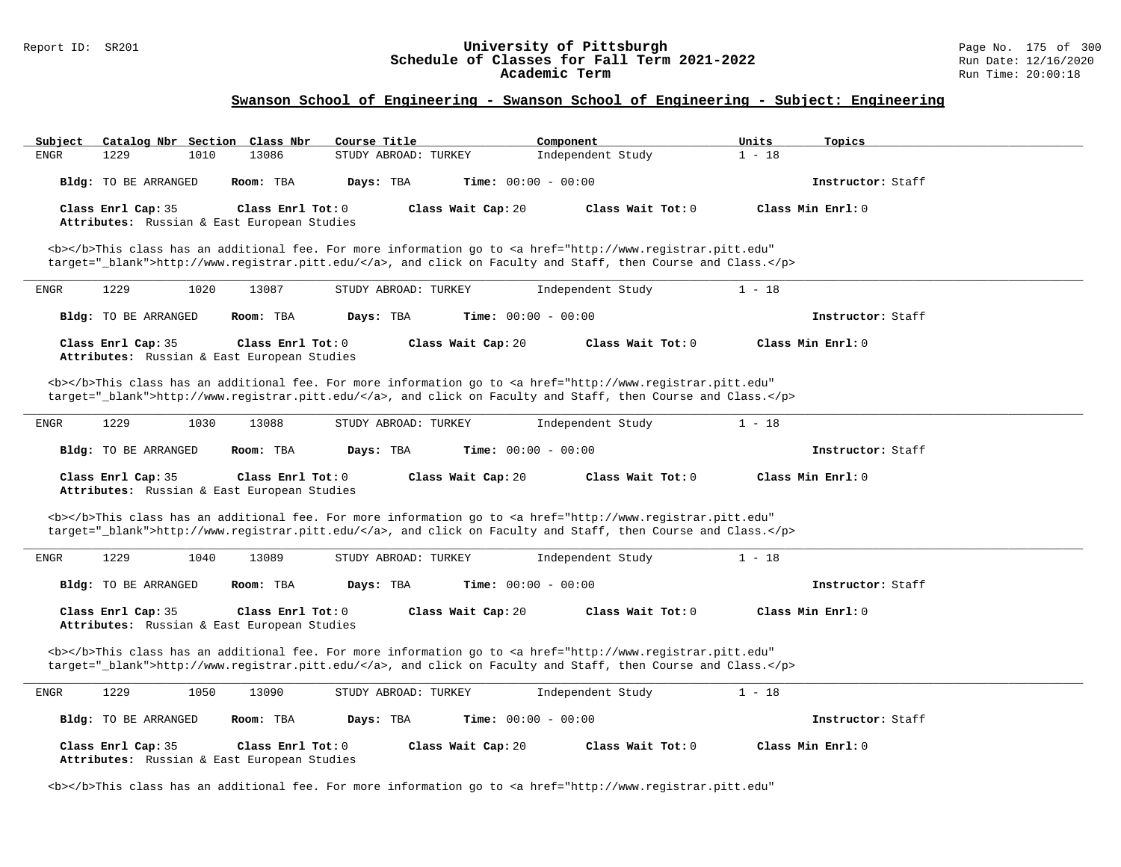# Report ID: SR201 **1988 Chedule of Classes for Fall Term 2021-2022** Page No. 175 of 300 Page No. 175 of 300 Page No<br>**Schedule of Classes for Fall Term 2021-2022** Run Date: 12/16/2020 Schedule of Classes for Fall Term 2021-2022<br>Academic Term

## **Swanson School of Engineering - Swanson School of Engineering - Subject: Engineering**

| Catalog Nbr Section Class Nbr<br>Subject                          | Course Title                                                                                                                                                                                                                                    | Units<br>Component                                                                                     | Topics            |
|-------------------------------------------------------------------|-------------------------------------------------------------------------------------------------------------------------------------------------------------------------------------------------------------------------------------------------|--------------------------------------------------------------------------------------------------------|-------------------|
| 1229<br>13086<br><b>ENGR</b><br>1010                              | STUDY ABROAD: TURKEY                                                                                                                                                                                                                            | $1 - 18$<br>Independent Study                                                                          |                   |
| Room: TBA<br>Bldg: TO BE ARRANGED                                 | <b>Time:</b> $00:00 - 00:00$<br>Days: TBA                                                                                                                                                                                                       |                                                                                                        | Instructor: Staff |
| Class Enrl Cap: 35                                                | Class Enrl Tot: $0$<br>Class Wait Cap: 20                                                                                                                                                                                                       | Class Wait Tot: 0                                                                                      | Class Min Enrl: 0 |
| Attributes: Russian & East European Studies                       |                                                                                                                                                                                                                                                 |                                                                                                        |                   |
|                                                                   | <b></b> This class has an additional fee. For more information go to <a <="" href="http://www.registrar.pitt.edu" td=""><td></td><td></td></a>                                                                                                  |                                                                                                        |                   |
|                                                                   |                                                                                                                                                                                                                                                 | target="_blank">http://www.registrar.pitt.edu/, and click on Faculty and Staff, then Course and Class. |                   |
| 1229<br>1020<br>13087<br>ENGR                                     | STUDY ABROAD: TURKEY                                                                                                                                                                                                                            | $1 - 18$<br>Independent Study                                                                          |                   |
| Bldg: TO BE ARRANGED<br>Room: TBA                                 | Days: TBA<br><b>Time:</b> $00:00 - 00:00$                                                                                                                                                                                                       |                                                                                                        | Instructor: Staff |
| Class Enrl Cap: 35                                                | Class Enrl Tot: 0<br>Class Wait Cap: 20                                                                                                                                                                                                         | Class Wait Tot: 0                                                                                      | Class Min Enrl: 0 |
| Attributes: Russian & East European Studies                       |                                                                                                                                                                                                                                                 |                                                                                                        |                   |
|                                                                   | <b></b> This class has an additional fee. For more information go to <a <="" href="http://www.registrar.pitt.edu" td=""><td></td><td></td></a>                                                                                                  |                                                                                                        |                   |
|                                                                   |                                                                                                                                                                                                                                                 | target="_blank">http://www.registrar.pitt.edu/, and click on Faculty and Staff, then Course and Class. |                   |
| 1229<br>1030<br>13088<br><b>ENGR</b>                              | STUDY ABROAD: TURKEY                                                                                                                                                                                                                            | Independent Study<br>$1 - 18$                                                                          |                   |
| Bldg: TO BE ARRANGED<br>Room: TBA                                 | Days: TBA<br><b>Time:</b> $00:00 - 00:00$                                                                                                                                                                                                       |                                                                                                        | Instructor: Staff |
|                                                                   |                                                                                                                                                                                                                                                 |                                                                                                        |                   |
| Class Enrl Cap: 35                                                | Class Wait Cap: 20<br>Class Enrl Tot: 0                                                                                                                                                                                                         | Class Wait Tot: 0                                                                                      | Class Min Enrl: 0 |
| Attributes: Russian & East European Studies                       |                                                                                                                                                                                                                                                 |                                                                                                        |                   |
|                                                                   | <b></b> This class has an additional fee. For more information go to <a <="" href="http://www.registrar.pitt.edu" td=""><td>target="_blank"&gt;http://www.registrar.pitt.edu/</td></a> , and click on Faculty and Staff, then Course and Class. | target="_blank">http://www.registrar.pitt.edu/                                                         |                   |
| 1229<br>1040<br>13089<br>ENGR                                     | STUDY ABROAD: TURKEY                                                                                                                                                                                                                            | Independent Study<br>$1 - 18$                                                                          |                   |
| Bldg: TO BE ARRANGED<br>Room: TBA                                 | Time: $00:00 - 00:00$<br>Days: TBA                                                                                                                                                                                                              |                                                                                                        | Instructor: Staff |
| Class Enrl Cap: 35<br>Attributes: Russian & East European Studies | Class Enrl Tot: 0<br>Class Wait Cap: 20                                                                                                                                                                                                         | Class Wait Tot: 0                                                                                      | Class Min Enrl: 0 |
|                                                                   |                                                                                                                                                                                                                                                 |                                                                                                        |                   |
|                                                                   | <b></b> This class has an additional fee. For more information go to <a <="" href="http://www.registrar.pitt.edu" td=""><td>target="_blank"&gt;http://www.registrar.pitt.edu/</td></a> , and click on Faculty and Staff, then Course and Class. | target="_blank">http://www.registrar.pitt.edu/                                                         |                   |
| 1229<br>1050<br>13090<br>ENGR                                     | STUDY ABROAD: TURKEY                                                                                                                                                                                                                            | Independent Study<br>$1 - 18$                                                                          |                   |
| Room: TBA<br>Bldg: TO BE ARRANGED                                 | Time: $00:00 - 00:00$<br>Days: TBA                                                                                                                                                                                                              |                                                                                                        | Instructor: Staff |
| Class Enrl Cap: 35<br>Attributes: Russian & East European Studies | Class Wait Cap: 20<br>Class Enrl Tot: $0$                                                                                                                                                                                                       | Class Wait Tot: $0$                                                                                    | Class Min Enrl: 0 |

<b></b>This class has an additional fee. For more information go to <a href="http://www.registrar.pitt.edu"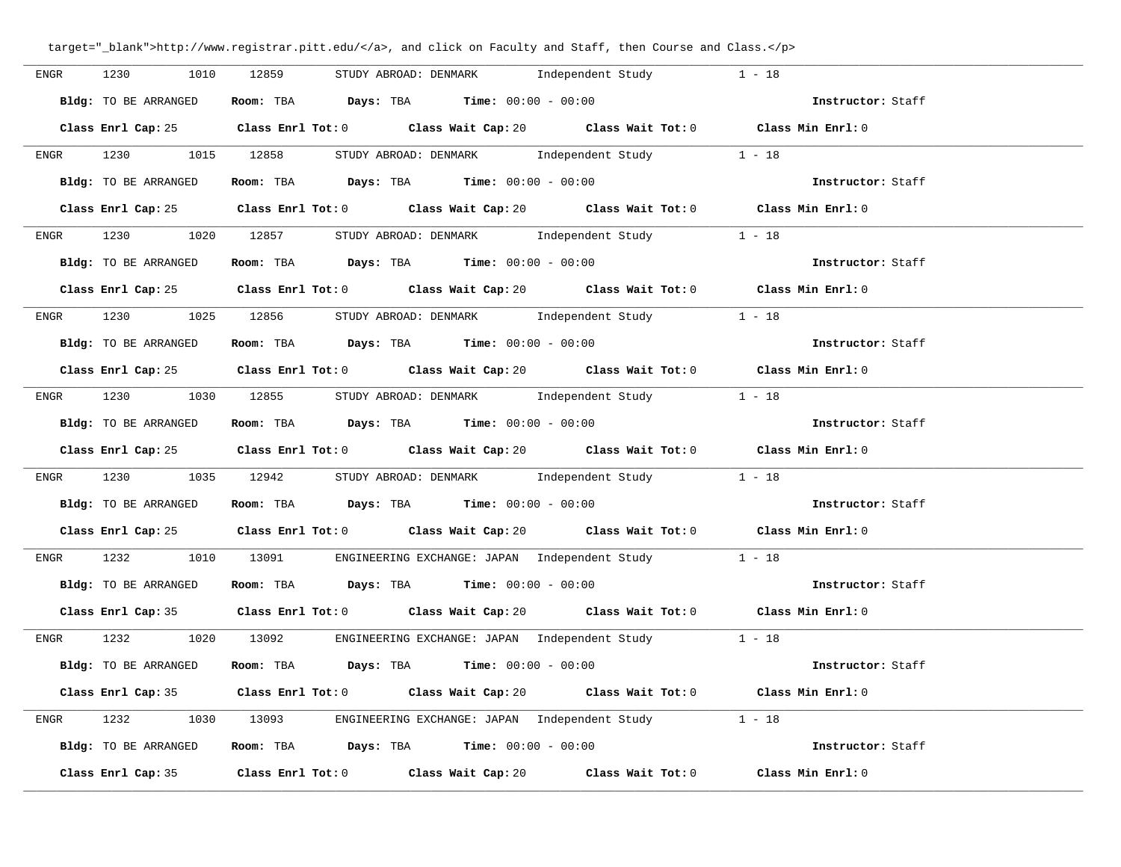| ENGR | 1230 1010            | 12859<br>STUDY ABROAD: DENMARK<br>Independent Study                                                 | $1 - 18$          |
|------|----------------------|-----------------------------------------------------------------------------------------------------|-------------------|
|      | Bldg: TO BE ARRANGED | <b>Room:</b> TBA <b>Days:</b> TBA <b>Time:</b> 00:00 - 00:00                                        | Instructor: Staff |
|      |                      | Class Enrl Cap: 25 Class Enrl Tot: 0 Class Wait Cap: 20 Class Wait Tot: 0 Class Min Enrl: 0         |                   |
|      |                      | ENGR 1230 1015 12858 STUDYABROAD: DENMARK Independent Study 1 - 18                                  |                   |
|      | Bldg: TO BE ARRANGED | Room: TBA $\rule{1em}{0.15mm}$ Days: TBA $\rule{1.15mm}{0.15mm}$ Time: $00:00 - 00:00$              | Instructor: Staff |
|      |                      | Class Enrl Cap: 25 Class Enrl Tot: 0 Class Wait Cap: 20 Class Wait Tot: 0 Class Min Enrl: 0         |                   |
|      |                      | ENGR 1230 1020 12857 STUDY ABROAD: DENMARK Independent Study 1 - 18                                 |                   |
|      | Bldg: TO BE ARRANGED | Room: TBA $Days:$ TBA $Time: 00:00 - 00:00$                                                         | Instructor: Staff |
|      |                      | Class Enrl Cap: 25 Class Enrl Tot: 0 Class Wait Cap: 20 Class Wait Tot: 0 Class Min Enrl: 0         |                   |
|      |                      | ENGR 1230 1025 12856 STUDYABROAD: DENMARK Independent Study 1 - 18                                  |                   |
|      | Bldg: TO BE ARRANGED | Room: TBA $\rule{1em}{0.15mm}$ Days: TBA Time: $00:00 - 00:00$                                      | Instructor: Staff |
|      |                      | Class Enrl Cap: 25 Class Enrl Tot: 0 Class Wait Cap: 20 Class Wait Tot: 0 Class Min Enrl: 0         |                   |
| ENGR |                      | 1230 1030 12855 STUDY ABROAD: DENMARK Independent Study                                             | $1 - 18$          |
|      |                      | Bldg: TO BE ARRANGED Room: TBA Days: TBA Time: 00:00 - 00:00                                        | Instructor: Staff |
|      |                      | Class Enrl Cap: 25 Class Enrl Tot: 0 Class Wait Cap: 20 Class Wait Tot: 0 Class Min Enrl: 0         |                   |
|      |                      | ENGR 1230 1035 12942 STUDY ABROAD: DENMARK Independent Study 1 - 18                                 |                   |
|      | Bldg: TO BE ARRANGED | Room: TBA $\rule{1em}{0.15mm}$ Days: TBA Time: $00:00 - 00:00$                                      | Instructor: Staff |
|      | Class Enrl Cap: 25   | Class Enrl Tot: 0 $\qquad$ Class Wait Cap: 20 $\qquad$ Class Wait Tot: 0 $\qquad$ Class Min Enrl: 0 |                   |
|      |                      | ENGR 1232 1010 13091 ENGINEERING EXCHANGE: JAPAN Independent Study 1 - 18                           |                   |
|      | Bldg: TO BE ARRANGED | Room: TBA $\rule{1em}{0.15mm}$ Days: TBA $\rule{1.5mm}{0.15mm}$ Time: $00:00 - 00:00$               | Instructor: Staff |
|      |                      | Class Enrl Cap: 35 Class Enrl Tot: 0 Class Wait Cap: 20 Class Wait Tot: 0 Class Min Enrl: 0         |                   |
|      |                      | ENGR 1232 1020 13092 ENGINEERING EXCHANGE: JAPAN Independent Study 1 - 18                           |                   |
|      |                      | Bldg: TO BE ARRANGED Room: TBA Days: TBA Time: 00:00 - 00:00                                        | Instructor: Staff |
|      |                      | Class Enrl Cap: 35 Class Enrl Tot: 0 Class Wait Cap: 20 Class Wait Tot: 0 Class Min Enrl: 0         |                   |
|      |                      | ENGR 1232 1030 13093 ENGINEERING EXCHANGE: JAPAN Independent Study 1 - 18                           |                   |
|      |                      | <b>Bldg:</b> TO BE ARRANGED <b>Room:</b> TBA <b>Days:</b> TBA <b>Time:</b> $00:00 - 00:00$          | Instructor: Staff |
|      |                      | Class Enrl Cap: 35 Class Enrl Tot: 0 Class Wait Cap: 20 Class Wait Tot: 0 Class Min Enrl: 0         |                   |

target="\_blank">http://www.registrar.pitt.edu/</a>, and click on Faculty and Staff, then Course and Class.</p>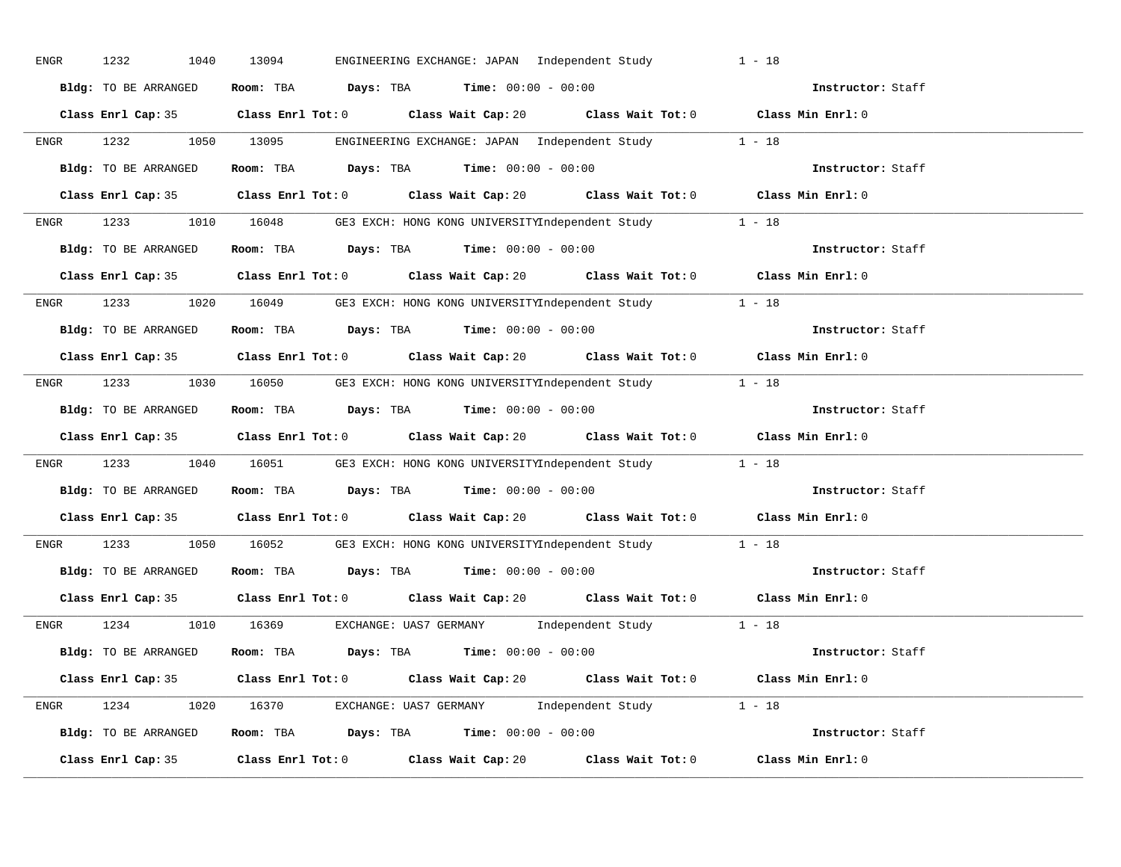| ENGR | 1232<br>1040         | 13094<br>ENGINEERING EXCHANGE: JAPAN Independent Study                                      | $1 - 18$          |
|------|----------------------|---------------------------------------------------------------------------------------------|-------------------|
|      | Bldg: TO BE ARRANGED | Room: TBA $Days:$ TBA $Time: 00:00 - 00:00$                                                 | Instructor: Staff |
|      |                      | Class Enrl Cap: 35 Class Enrl Tot: 0 Class Wait Cap: 20 Class Wait Tot: 0 Class Min Enrl: 0 |                   |
|      |                      | ENGR 1232 1050 13095 ENGINEERING EXCHANGE: JAPAN Independent Study 1 - 18                   |                   |
|      | Bldg: TO BE ARRANGED | Room: TBA $Days:$ TBA $Time: 00:00 - 00:00$                                                 | Instructor: Staff |
|      |                      | Class Enrl Cap: 35 Class Enrl Tot: 0 Class Wait Cap: 20 Class Wait Tot: 0 Class Min Enrl: 0 |                   |
|      |                      | ENGR 1233 1010 16048 GE3 EXCH: HONG KONG UNIVERSITYIndependent Study 1 - 18                 |                   |
|      |                      | Bldg: TO BE ARRANGED Room: TBA Days: TBA Time: 00:00 - 00:00                                | Instructor: Staff |
|      |                      | Class Enrl Cap: 35 Class Enrl Tot: 0 Class Wait Cap: 20 Class Wait Tot: 0 Class Min Enrl: 0 |                   |
|      |                      | ENGR 1233 1020 16049 GE3 EXCH: HONG KONG UNIVERSITYIndependent Study 1 - 18                 |                   |
|      | Bldg: TO BE ARRANGED | Room: TBA $\rule{1em}{0.15mm}$ Days: TBA $\rule{1.15mm}]{0.15mm}$ Time: $00:00 - 00:00$     | Instructor: Staff |
|      |                      | Class Enrl Cap: 35 Class Enrl Tot: 0 Class Wait Cap: 20 Class Wait Tot: 0 Class Min Enrl: 0 |                   |
|      |                      | ENGR 1233 1030 16050 GE3 EXCH: HONG KONG UNIVERSITYIndependent Study 1 - 18                 |                   |
|      | Bldg: TO BE ARRANGED | Room: TBA $Days: TBA$ Time: $00:00 - 00:00$                                                 | Instructor: Staff |
|      |                      | Class Enrl Cap: 35 Class Enrl Tot: 0 Class Wait Cap: 20 Class Wait Tot: 0 Class Min Enrl: 0 |                   |
| ENGR |                      | 1233 1040 16051 GE3 EXCH: HONG KONG UNIVERSITYIndependent Study 1 - 18                      |                   |
|      | Bldg: TO BE ARRANGED | Room: TBA Days: TBA Time: $00:00 - 00:00$                                                   | Instructor: Staff |
|      |                      | Class Enrl Cap: 35 Class Enrl Tot: 0 Class Wait Cap: 20 Class Wait Tot: 0 Class Min Enrl: 0 |                   |
| ENGR |                      | 1233 1050 16052 GE3 EXCH: HONG KONG UNIVERSITYIndependent Study 1 - 18                      |                   |
|      |                      | Bldg: TO BE ARRANGED Room: TBA Days: TBA Time: 00:00 - 00:00                                | Instructor: Staff |
|      |                      | Class Enrl Cap: 35 Class Enrl Tot: 0 Class Wait Cap: 20 Class Wait Tot: 0 Class Min Enrl: 0 |                   |
|      |                      | ENGR 1234 1010 16369 EXCHANGE: UAS7 GERMANY Independent Study 1 - 18                        |                   |
|      | Bldg: TO BE ARRANGED | Room: TBA Days: TBA Time: $00:00 - 00:00$                                                   |                   |
|      |                      | Class Enrl Cap: 35 Class Enrl Tot: 0 Class Wait Cap: 20 Class Wait Tot: 0 Class Min Enrl: 0 |                   |
|      |                      | ENGR 1234 1020 16370 EXCHANGE: UAS7 GERMANY Independent Study 1 - 18                        |                   |
|      |                      | Bldg: TO BE ARRANGED Room: TBA Days: TBA Time: 00:00 - 00:00                                | Instructor: Staff |
|      |                      | Class Enrl Cap: 35 Class Enrl Tot: 0 Class Wait Cap: 20 Class Wait Tot: 0                   | Class Min Enrl: 0 |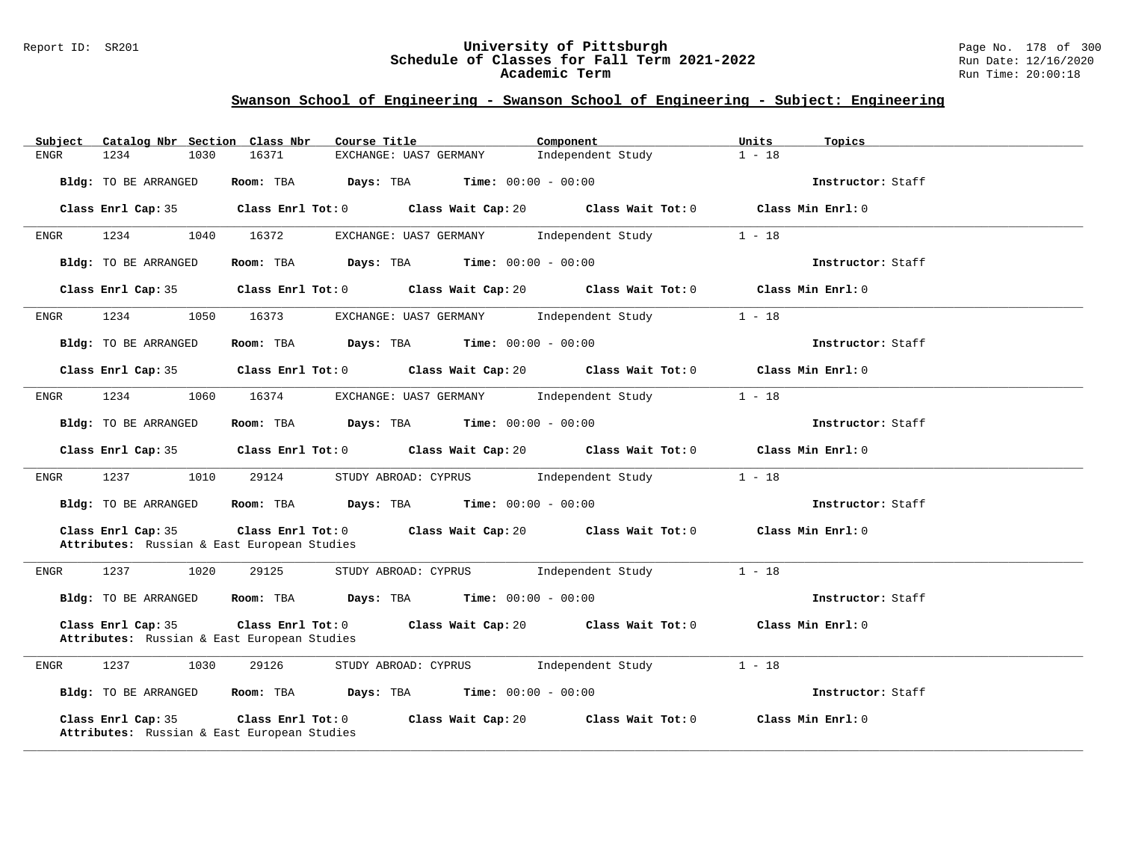#### Report ID: SR201 **University of Pittsburgh** Page No. 178 of 300 **Schedule of Classes for Fall Term 2021-2022** Run Date: 12/16/2020 **Academic Term** Run Time: 20:00:18

| Subject              | Catalog Nbr Section Class Nbr<br>Course Title                                                                                   | Component                               | Units<br>Topics   |
|----------------------|---------------------------------------------------------------------------------------------------------------------------------|-----------------------------------------|-------------------|
| 1234<br>1030<br>ENGR | 16371<br>EXCHANGE: UAS7 GERMANY                                                                                                 | Independent Study                       | $1 - 18$          |
| Bldg: TO BE ARRANGED | Room: TBA $Days:$ TBA $Time: 00:00 - 00:00$                                                                                     |                                         | Instructor: Staff |
| Class Enrl Cap: 35   | Class Enrl Tot: 0 Class Wait Cap: 20 Class Wait Tot: 0 Class Min Enrl: 0                                                        |                                         |                   |
| 1234<br>1040<br>ENGR | 16372<br>EXCHANGE: UAS7 GERMANY Independent Study                                                                               |                                         | $1 - 18$          |
| Bldg: TO BE ARRANGED | Room: TBA $Days:$ TBA $Time: 00:00 - 00:00$                                                                                     |                                         | Instructor: Staff |
| Class Enrl Cap: 35   | Class Enrl Tot: 0 Class Wait Cap: 20 Class Wait Tot: 0 Class Min Enrl: 0                                                        |                                         |                   |
| 1234<br>1050<br>ENGR | 16373<br>EXCHANGE: UAS7 GERMANY Independent Study                                                                               |                                         | $1 - 18$          |
| Bldg: TO BE ARRANGED | Room: TBA $Days:$ TBA $Time: 00:00 - 00:00$                                                                                     |                                         | Instructor: Staff |
| Class Enrl Cap: 35   | Class Enrl Tot: $0$ Class Wait Cap: $20$ Class Wait Tot: $0$ Class Min Enrl: $0$                                                |                                         |                   |
| 1234<br>1060<br>ENGR | 16374<br>EXCHANGE: UAS7 GERMANY 1ndependent Study                                                                               |                                         | $1 - 18$          |
| Bldg: TO BE ARRANGED | Room: TBA $\rule{1em}{0.15mm}$ Days: TBA $\rule{1.5mm}{0.15mm}$ Time: $00:00 - 00:00$                                           |                                         | Instructor: Staff |
| Class Enrl Cap: 35   | Class Enrl Tot: $0$ Class Wait Cap: $20$ Class Wait Tot: $0$ Class Min Enrl: $0$                                                |                                         |                   |
| 1237<br>ENGR         | STUDY ABROAD: CYPRUS Independent Study<br>1010<br>29124                                                                         |                                         | $1 - 18$          |
| Bldg: TO BE ARRANGED | Room: TBA $\rule{1em}{0.15mm}$ Days: TBA Time: $00:00 - 00:00$                                                                  |                                         | Instructor: Staff |
| Class Enrl Cap: 35   | Class Enrl Tot: 0 Class Wait Cap: 20 Class Wait Tot: 0 Class Min Enrl: 0<br>Attributes: Russian & East European Studies         |                                         |                   |
| 1237<br>1020<br>ENGR | 29125<br>STUDY ABROAD: CYPRUS Independent Study                                                                                 |                                         | $1 - 18$          |
| Bldg: TO BE ARRANGED | Room: TBA $Days:$ TBA $Time: 00:00 - 00:00$                                                                                     |                                         | Instructor: Staff |
| Class Enrl Cap: 35   | Class Enrl Tot: $0$ Class Wait Cap: $20$ Class Wait Tot: $0$ Class Min Enrl: $0$<br>Attributes: Russian & East European Studies |                                         |                   |
| 1237<br>1030<br>ENGR | 29126<br>STUDY ABROAD: CYPRUS [Independent Study                                                                                |                                         | $1 - 18$          |
| Bldg: TO BE ARRANGED | Room: TBA $Days:$ TBA $Time: 00:00 - 00:00$                                                                                     |                                         | Instructor: Staff |
| Class Enrl Cap: 35   | $Class$ $Enrl$ $Tot: 0$<br>Class Wait Cap: 20<br>Attributes: Russian & East European Studies                                    | Class Wait Tot: $0$ Class Min Enrl: $0$ |                   |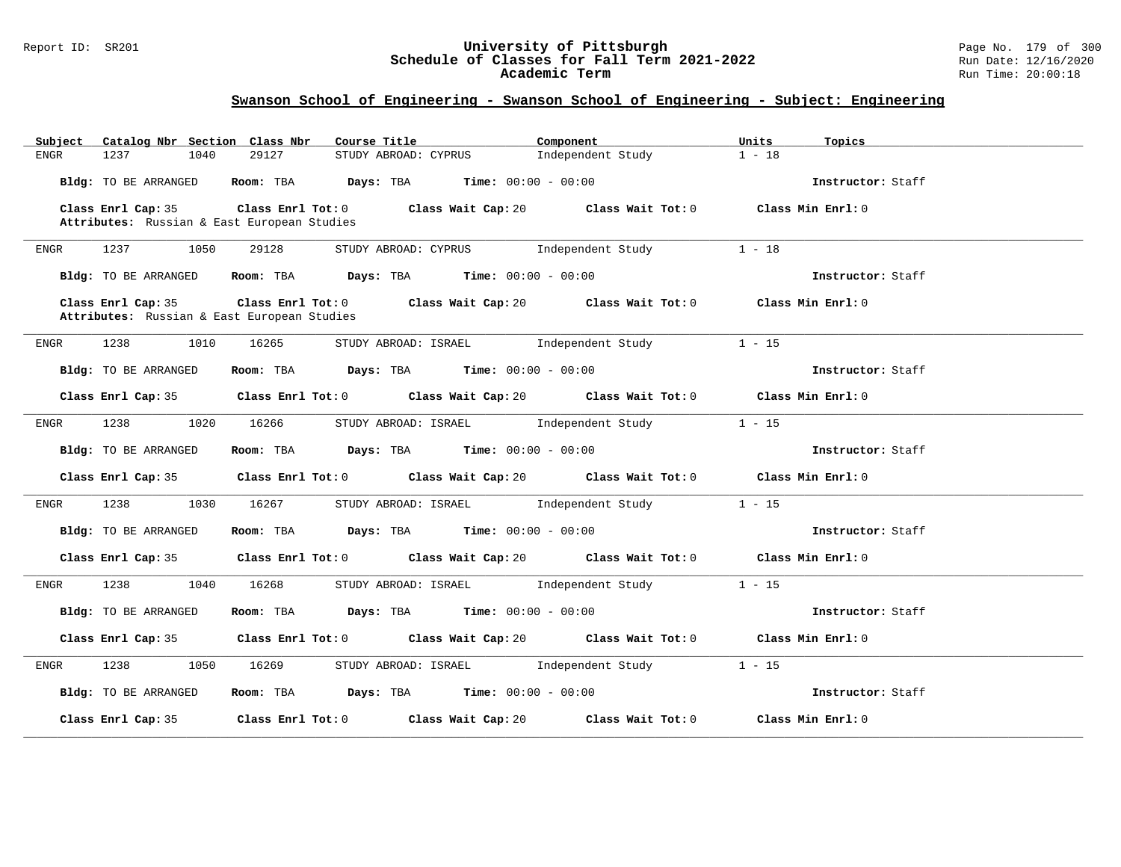#### Report ID: SR201 **University of Pittsburgh** Page No. 179 of 300 **Schedule of Classes for Fall Term 2021-2022** Run Date: 12/16/2020 **Academic Term** Run Time: 20:00:18

| Catalog Nbr Section Class Nbr<br>Subject    | Course Title                                                                                | Component         | Units<br>Topics   |
|---------------------------------------------|---------------------------------------------------------------------------------------------|-------------------|-------------------|
| 1237<br>1040<br>ENGR                        | 29127<br>STUDY ABROAD: CYPRUS                                                               | Independent Study | $1 - 18$          |
| Bldg: TO BE ARRANGED                        | Room: TBA $Days:$ TBA $Time: 00:00 - 00:00$                                                 |                   | Instructor: Staff |
| Class Enrl Cap: 35                          | Class Enrl Tot: 0 Class Wait Cap: 20 Class Wait Tot: 0 Class Min Enrl: 0                    |                   |                   |
| Attributes: Russian & East European Studies |                                                                                             |                   |                   |
| 1237<br>1050<br>ENGR                        | 29128<br>STUDY ABROAD: CYPRUS Independent Study                                             |                   | $1 - 18$          |
| Bldg: TO BE ARRANGED                        | Room: TBA $Days:$ TBA Time: $00:00 - 00:00$                                                 |                   | Instructor: Staff |
| Class Enrl Cap: 35                          | Class Enrl Tot: $0$ Class Wait Cap: $20$ Class Wait Tot: $0$ Class Min Enrl: $0$            |                   |                   |
| Attributes: Russian & East European Studies |                                                                                             |                   |                   |
| 1238<br>1010<br>ENGR                        | STUDY ABROAD: ISRAEL 101 Independent Study<br>16265                                         |                   | $1 - 15$          |
| Bldg: TO BE ARRANGED                        | Room: TBA $Days:$ TBA $Time: 00:00 - 00:00$                                                 |                   | Instructor: Staff |
|                                             | Class Enrl Cap: 35 Class Enrl Tot: 0 Class Wait Cap: 20 Class Wait Tot: 0 Class Min Enrl: 0 |                   |                   |
| 1238<br>1020<br>ENGR                        | STUDY ABROAD: ISRAEL Independent Study<br>16266                                             |                   | $1 - 15$          |
| Bldg: TO BE ARRANGED                        | Room: TBA $Days:$ TBA $Time: 00:00 - 00:00$                                                 |                   | Instructor: Staff |
| Class Enrl Cap: 35                          | Class Enrl Tot: $0$ Class Wait Cap: $20$ Class Wait Tot: $0$ Class Min Enrl: $0$            |                   |                   |
| 1238<br>1030<br>ENGR                        | STUDY ABROAD: ISRAEL Independent Study<br>16267                                             |                   | $1 - 15$          |
| Bldg: TO BE ARRANGED                        | Room: TBA $Days: TBA$ Time: $00:00 - 00:00$                                                 |                   | Instructor: Staff |
|                                             | Class Enrl Cap: 35 Class Enrl Tot: 0 Class Wait Cap: 20 Class Wait Tot: 0                   |                   | Class Min Enrl: 0 |
| 1238<br>1040<br>ENGR                        | 16268<br>STUDY ABROAD: ISRAEL Independent Study                                             |                   | $1 - 15$          |
| Bldg: TO BE ARRANGED                        | Room: TBA $Days:$ TBA $Time: 00:00 - 00:00$                                                 |                   | Instructor: Staff |
|                                             | Class Enrl Cap: 35 Class Enrl Tot: 0 Class Wait Cap: 20 Class Wait Tot: 0 Class Min Enrl: 0 |                   |                   |
| 1238<br>1050<br>ENGR                        | STUDY ABROAD: ISRAEL Independent Study<br>16269                                             |                   | $1 - 15$          |
| Bldg: TO BE ARRANGED                        | Room: TBA $Days:$ TBA $Time: 00:00 - 00:00$                                                 |                   | Instructor: Staff |
| Class Enrl Cap: 35                          | Class Enrl Tot: $0$ Class Wait Cap: $20$ Class Wait Tot: $0$                                |                   | Class Min Enrl: 0 |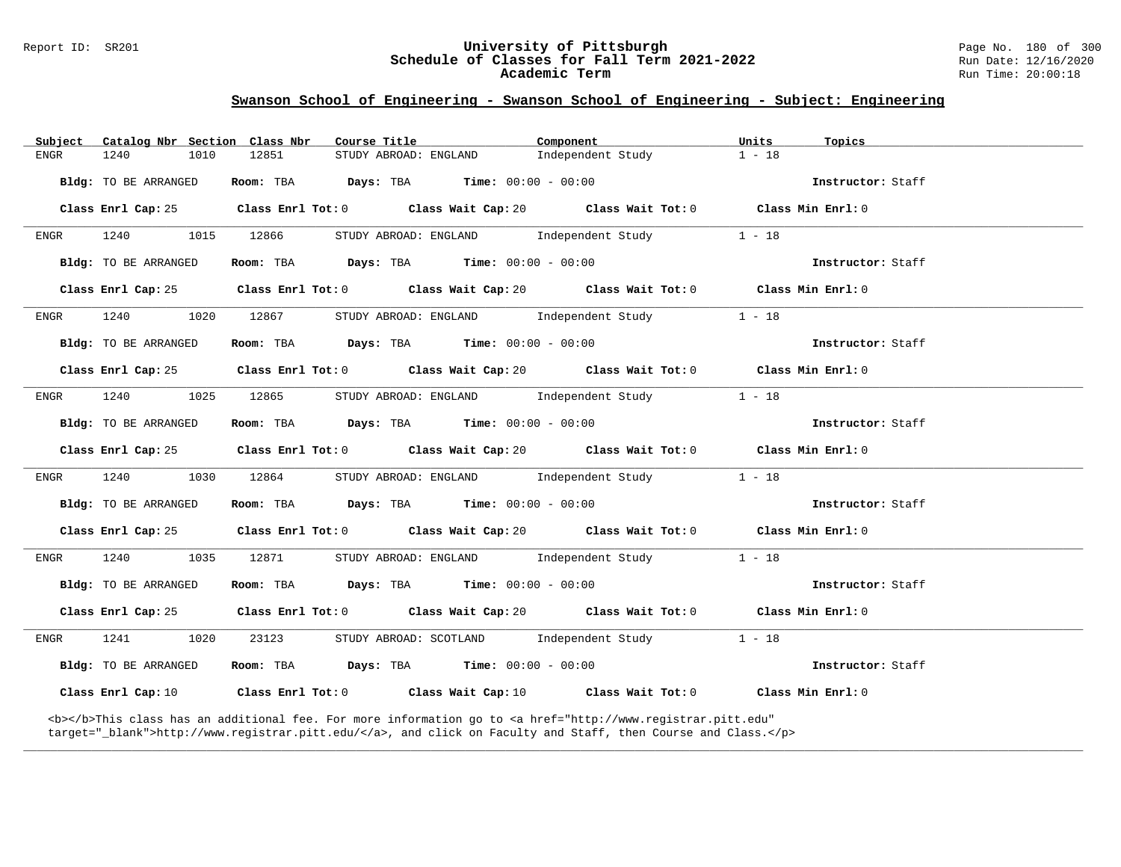#### Report ID: SR201 **University of Pittsburgh** Page No. 180 of 300 **Schedule of Classes for Fall Term 2021-2022** Run Date: 12/16/2020 **Academic Term** Run Time: 20:00:18

## **Swanson School of Engineering - Swanson School of Engineering - Subject: Engineering**

| Subject |                      | Catalog Nbr Section Class Nbr | Course Title                                                                                                                                                                                                                       | Component |                                          | Units    | Topics            |
|---------|----------------------|-------------------------------|------------------------------------------------------------------------------------------------------------------------------------------------------------------------------------------------------------------------------------|-----------|------------------------------------------|----------|-------------------|
| ENGR    | 1240                 | 1010<br>12851                 | STUDY ABROAD: ENGLAND                                                                                                                                                                                                              |           | Independent Study                        | $1 - 18$ |                   |
|         | Bldg: TO BE ARRANGED |                               | Room: TBA $Days:$ TBA $Time: 00:00 - 00:00$                                                                                                                                                                                        |           |                                          |          | Instructor: Staff |
|         | Class Enrl Cap: 25   |                               | Class Enrl Tot: 0 Class Wait Cap: 20 Class Wait Tot: 0 Class Min Enrl: 0                                                                                                                                                           |           |                                          |          |                   |
| ENGR    | 1240                 | 1015<br>12866                 | STUDY ABROAD: ENGLAND                                                                                                                                                                                                              |           | Independent Study                        | $1 - 18$ |                   |
|         | Bldg: TO BE ARRANGED |                               | Room: TBA $Days:$ TBA $Time: 00:00 - 00:00$                                                                                                                                                                                        |           |                                          |          | Instructor: Staff |
|         | Class Enrl Cap: 25   |                               | Class Enrl Tot: $0$ Class Wait Cap: $20$ Class Wait Tot: $0$ Class Min Enrl: $0$                                                                                                                                                   |           |                                          |          |                   |
| ENGR    | 1240                 | 1020<br>12867                 |                                                                                                                                                                                                                                    |           | STUDY ABROAD: ENGLAND Independent Study  | $1 - 18$ |                   |
|         | Bldg: TO BE ARRANGED |                               | Room: TBA $Days:$ TBA $Time:$ $00:00 - 00:00$                                                                                                                                                                                      |           |                                          |          | Instructor: Staff |
|         | Class Enrl Cap: 25   |                               | Class Enrl Tot: $0$ Class Wait Cap: $20$ Class Wait Tot: $0$ Class Min Enrl: $0$                                                                                                                                                   |           |                                          |          |                   |
| ENGR    | 1240                 | 1025<br>12865                 | STUDY ABROAD: ENGLAND Independent Study                                                                                                                                                                                            |           |                                          | $1 - 18$ |                   |
|         | Bldg: TO BE ARRANGED |                               | Room: TBA $Days:$ TBA $Time:$ $00:00 - 00:00$                                                                                                                                                                                      |           |                                          |          | Instructor: Staff |
|         | Class Enrl Cap: 25   |                               | Class Enrl Tot: $0$ Class Wait Cap: $20$ Class Wait Tot: $0$ Class Min Enrl: $0$                                                                                                                                                   |           |                                          |          |                   |
| ENGR    | 1240                 | 1030<br>12864                 |                                                                                                                                                                                                                                    |           | STUDY ABROAD: ENGLAND Independent Study  | $1 - 18$ |                   |
|         | Bldg: TO BE ARRANGED |                               | Room: TBA $\rule{1em}{0.15mm}$ Days: TBA Time: $00:00 - 00:00$                                                                                                                                                                     |           |                                          |          | Instructor: Staff |
|         | Class Enrl Cap: 25   |                               | Class Enrl Tot: $0$ Class Wait Cap: $20$ Class Wait Tot: $0$ Class Min Enrl: $0$                                                                                                                                                   |           |                                          |          |                   |
| ENGR    | 1240                 | 1035<br>12871                 |                                                                                                                                                                                                                                    |           | STUDY ABROAD: ENGLAND Independent Study  | $1 - 18$ |                   |
|         | Bldg: TO BE ARRANGED |                               | Room: TBA $Days: TBA$ Time: $00:00 - 00:00$                                                                                                                                                                                        |           |                                          |          | Instructor: Staff |
|         | Class Enrl Cap: 25   |                               | Class Enrl Tot: $0$ Class Wait Cap: $20$ Class Wait Tot: $0$ Class Min Enrl: $0$                                                                                                                                                   |           |                                          |          |                   |
| ENGR    | 1241                 | 23123<br>1020                 |                                                                                                                                                                                                                                    |           | STUDY ABROAD: SCOTLAND Independent Study | $1 - 18$ |                   |
|         | Bldg: TO BE ARRANGED |                               | Room: TBA $Days:$ TBA $Time: 00:00 - 00:00$                                                                                                                                                                                        |           |                                          |          | Instructor: Staff |
|         |                      |                               | Class Enrl Cap: 10 $\qquad$ Class Enrl Tot: 0 $\qquad$ Class Wait Cap: 10 $\qquad$ Class Wait Tot: 0 $\qquad$ Class Min Enrl: 0                                                                                                    |           |                                          |          |                   |
|         |                      |                               | <b></b> This class has an additional fee. For more information go to <a <br="" href="http://www.registrar.pitt.edu">target="_blank"&gt;http://www.registrar.pitt.edu/</a> , and click on Faculty and Staff, then Course and Class. |           |                                          |          |                   |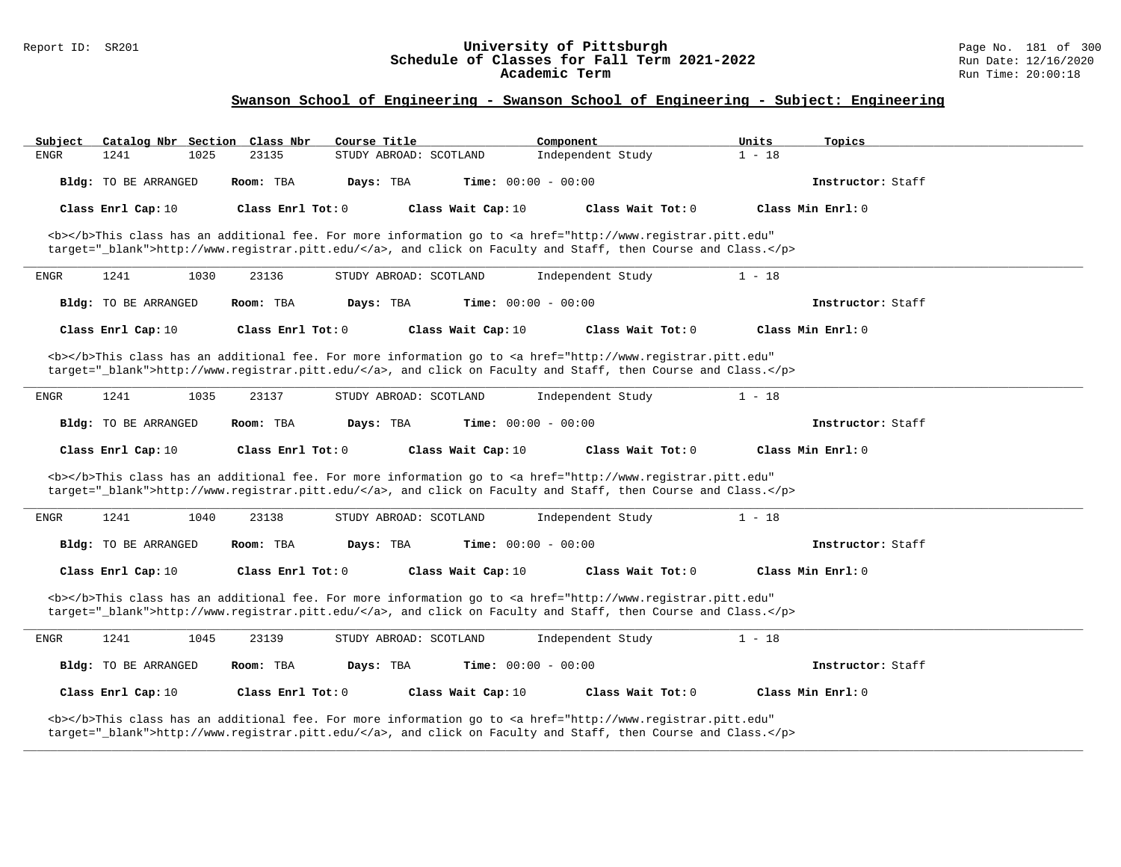#### Report ID: SR201 **University of Pittsburgh** Page No. 181 of 300 **Schedule of Classes for Fall Term 2021-2022** Run Date: 12/16/2020 **Academic Term** Run Time: 20:00:18

| Subject     |                      |      | Catalog Nbr Section Class Nbr | Course Title |                        |                              | Component         |                                                                                                                                                                                                                                    | Units    | Topics            |  |
|-------------|----------------------|------|-------------------------------|--------------|------------------------|------------------------------|-------------------|------------------------------------------------------------------------------------------------------------------------------------------------------------------------------------------------------------------------------------|----------|-------------------|--|
| ENGR        | 1241                 | 1025 | 23135                         |              | STUDY ABROAD: SCOTLAND |                              | Independent Study |                                                                                                                                                                                                                                    | $1 - 18$ |                   |  |
|             | Bldg: TO BE ARRANGED |      | Room: TBA                     | Days: TBA    |                        | <b>Time:</b> $00:00 - 00:00$ |                   |                                                                                                                                                                                                                                    |          | Instructor: Staff |  |
|             | Class Enrl Cap: 10   |      | Class Enrl Tot: 0             |              |                        | Class Wait Cap: 10           |                   | Class Wait Tot: 0                                                                                                                                                                                                                  |          | Class Min Enrl: 0 |  |
|             |                      |      |                               |              |                        |                              |                   | <b></b> This class has an additional fee. For more information go to <a <br="" href="http://www.registrar.pitt.edu">target="_blank"&gt;http://www.registrar.pitt.edu/</a> , and click on Faculty and Staff, then Course and Class. |          |                   |  |
| ENGR        | 1241                 | 1030 | 23136                         |              | STUDY ABROAD: SCOTLAND |                              | Independent Study |                                                                                                                                                                                                                                    | $1 - 18$ |                   |  |
|             | Bldg: TO BE ARRANGED |      | Room: TBA                     | Days: TBA    |                        | Time: $00:00 - 00:00$        |                   |                                                                                                                                                                                                                                    |          | Instructor: Staff |  |
|             | Class Enrl Cap: 10   |      | Class Enrl Tot: 0             |              |                        | Class Wait Cap: 10           |                   | Class Wait Tot: 0                                                                                                                                                                                                                  |          | Class Min Enrl: 0 |  |
|             |                      |      |                               |              |                        |                              |                   | <b></b> This class has an additional fee. For more information go to <a <br="" href="http://www.registrar.pitt.edu">target="_blank"&gt;http://www.registrar.pitt.edu/</a> , and click on Faculty and Staff, then Course and Class. |          |                   |  |
| ENGR        | 1241                 | 1035 | 23137                         |              | STUDY ABROAD: SCOTLAND |                              | Independent Study |                                                                                                                                                                                                                                    | $1 - 18$ |                   |  |
|             | Bldg: TO BE ARRANGED |      | Room: TBA                     | Days: TBA    |                        | <b>Time:</b> $00:00 - 00:00$ |                   |                                                                                                                                                                                                                                    |          | Instructor: Staff |  |
|             | Class Enrl Cap: 10   |      | Class Enrl Tot: 0             |              |                        | Class Wait Cap: 10           |                   | Class Wait Tot: 0                                                                                                                                                                                                                  |          | Class Min Enrl: 0 |  |
|             |                      |      |                               |              |                        |                              |                   | <b></b> This class has an additional fee. For more information go to <a <br="" href="http://www.registrar.pitt.edu">target="_blank"&gt;http://www.registrar.pitt.edu/</a> , and click on Faculty and Staff, then Course and Class. |          |                   |  |
| ENGR        | 1241                 | 1040 | 23138                         |              | STUDY ABROAD: SCOTLAND |                              | Independent Study |                                                                                                                                                                                                                                    | $1 - 18$ |                   |  |
|             | Bldg: TO BE ARRANGED |      | Room: TBA                     | Days: TBA    |                        | <b>Time:</b> $00:00 - 00:00$ |                   |                                                                                                                                                                                                                                    |          | Instructor: Staff |  |
|             | Class Enrl Cap: 10   |      | Class Enrl Tot: 0             |              |                        | Class Wait Cap: 10           |                   | Class Wait Tot: 0                                                                                                                                                                                                                  |          | Class Min Enrl: 0 |  |
|             |                      |      |                               |              |                        |                              |                   | <b></b> This class has an additional fee. For more information go to <a <br="" href="http://www.registrar.pitt.edu">target="_blank"&gt;http://www.registrar.pitt.edu/</a> , and click on Faculty and Staff, then Course and Class. |          |                   |  |
| <b>ENGR</b> | 1241                 | 1045 | 23139                         |              | STUDY ABROAD: SCOTLAND |                              | Independent Study |                                                                                                                                                                                                                                    | $1 - 18$ |                   |  |
|             | Bldg: TO BE ARRANGED |      | Room: TBA                     | Days: TBA    |                        | <b>Time:</b> $00:00 - 00:00$ |                   |                                                                                                                                                                                                                                    |          | Instructor: Staff |  |
|             | Class Enrl Cap: 10   |      | Class Enrl Tot: 0             |              |                        | Class Wait Cap: 10           |                   | Class Wait Tot: 0                                                                                                                                                                                                                  |          | Class Min Enrl: 0 |  |
|             |                      |      |                               |              |                        |                              |                   | <b></b> This class has an additional fee. For more information go to <a <br="" href="http://www.registrar.pitt.edu">target="_blank"&gt;http://www.registrar.pitt.edu/</a> , and click on Faculty and Staff, then Course and Class. |          |                   |  |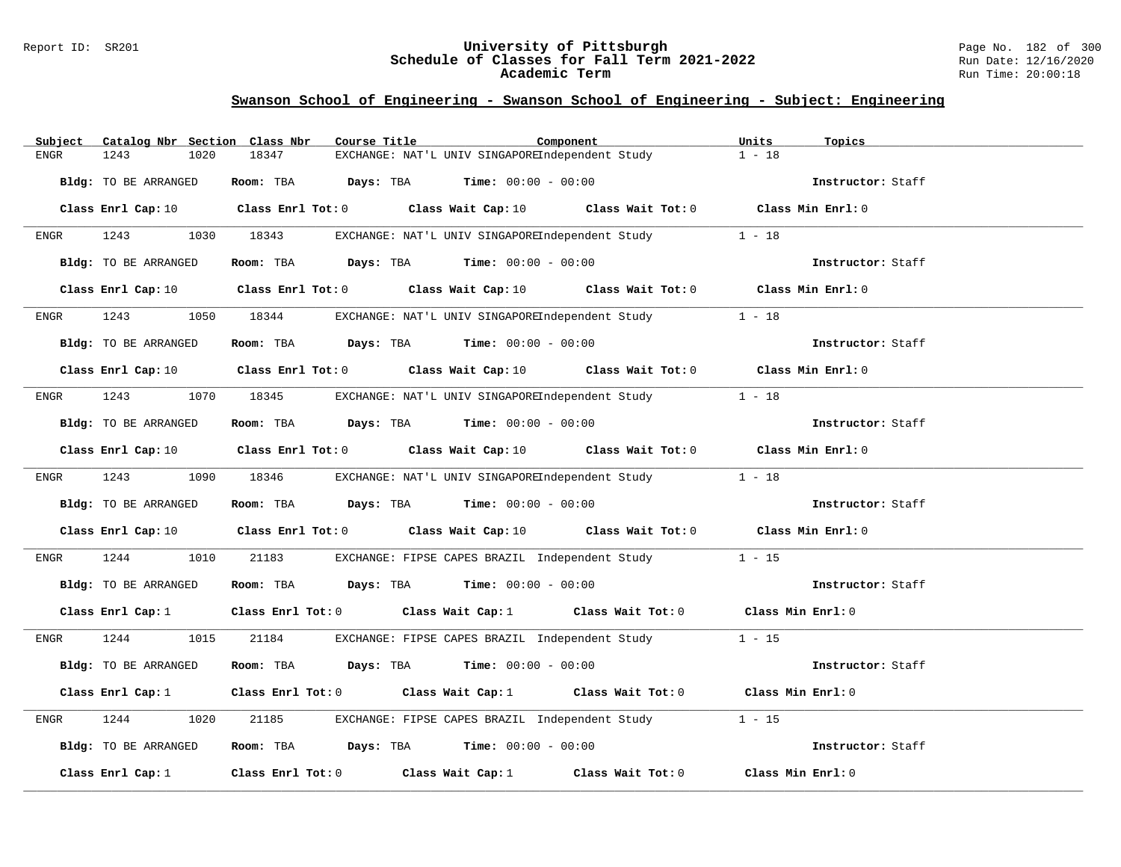#### Report ID: SR201 **University of Pittsburgh** Page No. 182 of 300 **Schedule of Classes for Fall Term 2021-2022** Run Date: 12/16/2020 **Academic Term** Run Time: 20:00:18

| Catalog Nbr Section Class Nbr<br>Subject | Course Title<br>Component                                                                                                       | Units<br>Topics   |
|------------------------------------------|---------------------------------------------------------------------------------------------------------------------------------|-------------------|
| 1243<br>1020<br>ENGR                     | 18347<br>EXCHANGE: NAT'L UNIV SINGAPOREIndependent Study                                                                        | $1 - 18$          |
| Bldg: TO BE ARRANGED                     | Room: TBA $Days:$ TBA $Time: 00:00 - 00:00$                                                                                     | Instructor: Staff |
|                                          | Class Enrl Cap: 10 $\qquad$ Class Enrl Tot: 0 $\qquad$ Class Wait Cap: 10 $\qquad$ Class Wait Tot: 0 $\qquad$ Class Min Enrl: 0 |                   |
| 1243<br><b>ENGR</b>                      | 1030 18343<br>EXCHANGE: NAT'L UNIV SINGAPOREIndependent Study                                                                   | $1 - 18$          |
| Bldg: TO BE ARRANGED                     | Room: TBA $Days: TBA$ Time: $00:00 - 00:00$                                                                                     | Instructor: Staff |
|                                          | Class Enrl Cap: 10 $\qquad$ Class Enrl Tot: 0 $\qquad$ Class Wait Cap: 10 $\qquad$ Class Wait Tot: 0 $\qquad$ Class Min Enrl: 0 |                   |
| 1243<br>ENGR                             | EXCHANGE: NAT'L UNIV SINGAPOREIndependent Study 1 - 18<br>1050 18344                                                            |                   |
| Bldg: TO BE ARRANGED                     | Room: TBA $Days:$ TBA $Time: 00:00 - 00:00$                                                                                     | Instructor: Staff |
|                                          | Class Enrl Cap: 10 $\qquad$ Class Enrl Tot: 0 $\qquad$ Class Wait Cap: 10 $\qquad$ Class Wait Tot: 0 $\qquad$ Class Min Enrl: 0 |                   |
| 1243<br>ENGR                             | 1070 18345 EXCHANGE: NAT'L UNIV SINGAPOREIndependent Study 1 - 18                                                               |                   |
| Bldg: TO BE ARRANGED                     | Room: TBA Days: TBA Time: $00:00 - 00:00$                                                                                       | Instructor: Staff |
|                                          | Class Enrl Cap: 10 $\qquad$ Class Enrl Tot: 0 $\qquad$ Class Wait Cap: 10 $\qquad$ Class Wait Tot: 0 $\qquad$ Class Min Enrl: 0 |                   |
| 1243 1090 18346<br><b>ENGR</b>           | EXCHANGE: NAT'L UNIV SINGAPOREIndependent Study 1 - 18                                                                          |                   |
| Bldg: TO BE ARRANGED                     | Room: TBA $\rule{1em}{0.15mm}$ Days: TBA Time: $00:00 - 00:00$                                                                  | Instructor: Staff |
|                                          | Class Enrl Cap: 10 $\qquad$ Class Enrl Tot: 0 $\qquad$ Class Wait Cap: 10 $\qquad$ Class Wait Tot: 0 $\qquad$ Class Min Enrl: 0 |                   |
| 1244<br>1010<br>ENGR                     | 21183<br>EXCHANGE: FIPSE CAPES BRAZIL Independent Study                                                                         | $1 - 15$          |
| Bldg: TO BE ARRANGED                     | Room: TBA Days: TBA Time: $00:00 - 00:00$                                                                                       | Instructor: Staff |
| Class Enrl Cap: 1                        | Class Enrl Tot: 0 Class Wait Cap: 1 Class Wait Tot: 0 Class Min Enrl: 0                                                         |                   |
| 1244<br>1015<br>ENGR                     | EXCHANGE: FIPSE CAPES BRAZIL Independent Study 1 - 15<br>21184                                                                  |                   |
| Bldg: TO BE ARRANGED                     | Room: TBA $Days:$ TBA $Time: 00:00 - 00:00$                                                                                     | Instructor: Staff |
| Class Enrl Cap: 1                        | Class Enrl Tot: 0 $\qquad$ Class Wait Cap: 1 $\qquad$ Class Wait Tot: 0 $\qquad$ Class Min Enrl: 0                              |                   |
| 1244<br>1020<br>ENGR                     | 21185<br>EXCHANGE: FIPSE CAPES BRAZIL Independent Study                                                                         | $1 - 15$          |
| Bldg: TO BE ARRANGED                     | Room: TBA $Days:$ TBA Time: $00:00 - 00:00$                                                                                     | Instructor: Staff |
| Class Enrl Cap: $1$                      | Class Enrl Tot: $0$ Class Wait Cap: 1 Class Wait Tot: 0                                                                         | Class Min Enrl: 0 |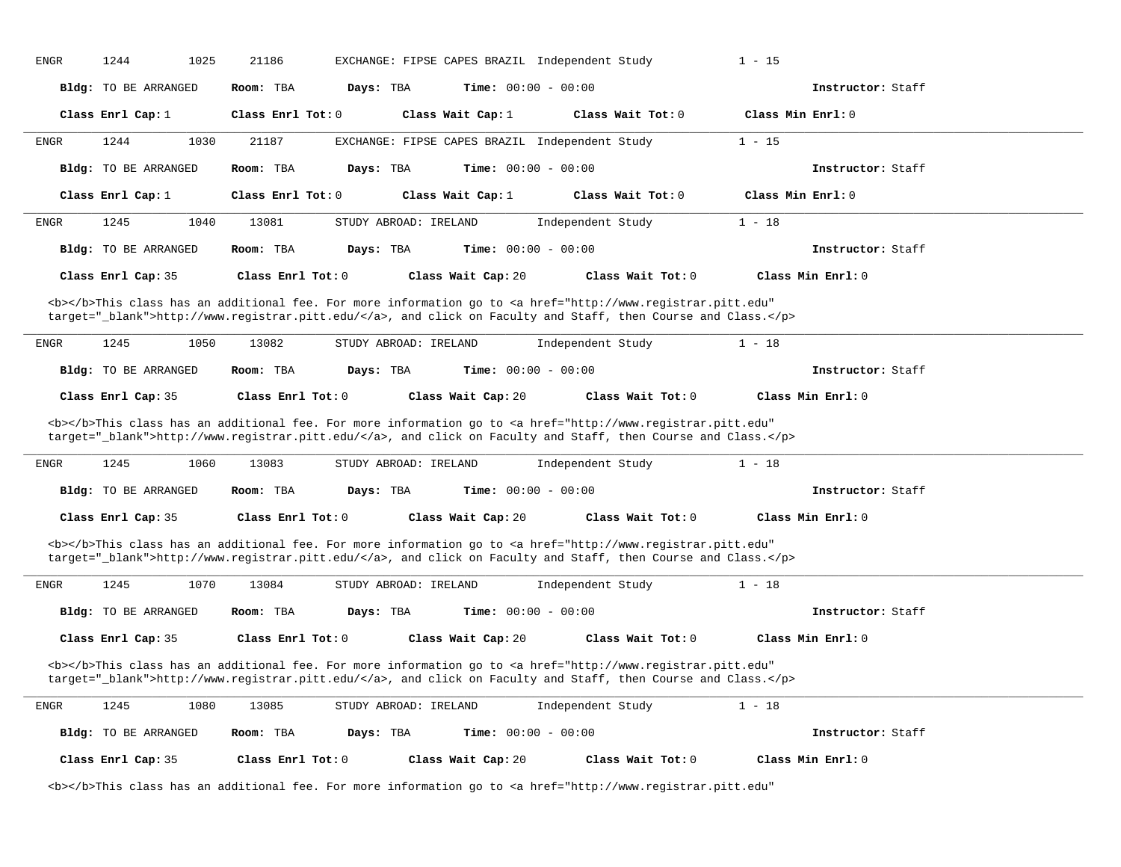| ENGR        | 1244                        | 1025 | 21186                                                |           |                       | EXCHANGE: FIPSE CAPES BRAZIL Independent Study                                                                                                                                                                                     | $1 - 15$ |                   |  |
|-------------|-----------------------------|------|------------------------------------------------------|-----------|-----------------------|------------------------------------------------------------------------------------------------------------------------------------------------------------------------------------------------------------------------------------|----------|-------------------|--|
|             | Bldg: TO BE ARRANGED        |      | Room: TBA                                            | Days: TBA |                       | <b>Time:</b> $00:00 - 00:00$                                                                                                                                                                                                       |          | Instructor: Staff |  |
|             | Class Enrl Cap: 1           |      | $\texttt{Class}$ $\texttt{Enrl}$ $\texttt{Tot:}$ $0$ |           | Class Wait Cap: 1     | Class Wait Tot: 0                                                                                                                                                                                                                  |          | Class Min Enrl: 0 |  |
| <b>ENGR</b> | 1244                        | 1030 | 21187                                                |           |                       | EXCHANGE: FIPSE CAPES BRAZIL Independent Study                                                                                                                                                                                     | $1 - 15$ |                   |  |
|             | <b>Bldg:</b> TO BE ARRANGED |      | Room: TBA                                            | Days: TBA |                       | Time: $00:00 - 00:00$                                                                                                                                                                                                              |          | Instructor: Staff |  |
|             | Class Enrl Cap: 1           |      | $Class$ $Enr1$ $Tot: 0$                              |           | Class Wait Cap: 1     | Class Wait Tot: 0                                                                                                                                                                                                                  |          | Class Min Enrl: 0 |  |
| <b>ENGR</b> | 1245                        | 1040 | 13081                                                |           | STUDY ABROAD: IRELAND | Independent Study                                                                                                                                                                                                                  | $1 - 18$ |                   |  |
|             | Bldg: TO BE ARRANGED        |      | Room: TBA                                            | Days: TBA |                       | <b>Time:</b> $00:00 - 00:00$                                                                                                                                                                                                       |          | Instructor: Staff |  |
|             | Class Enrl Cap: 35          |      | Class Enrl Tot: 0                                    |           | Class Wait Cap: 20    | Class Wait Tot: 0                                                                                                                                                                                                                  |          | Class Min Enrl: 0 |  |
|             |                             |      |                                                      |           |                       | <b></b> This class has an additional fee. For more information go to <a <br="" href="http://www.registrar.pitt.edu">target="_blank"&gt;http://www.registrar.pitt.edu/</a> , and click on Faculty and Staff, then Course and Class. |          |                   |  |
| ENGR        | 1245                        | 1050 | 13082                                                |           | STUDY ABROAD: IRELAND | Independent Study                                                                                                                                                                                                                  | $1 - 18$ |                   |  |
|             | Bldg: TO BE ARRANGED        |      | Room: TBA                                            | Days: TBA |                       | <b>Time:</b> $00:00 - 00:00$                                                                                                                                                                                                       |          | Instructor: Staff |  |
|             | Class Enrl Cap: 35          |      | Class Enrl Tot: 0                                    |           | Class Wait Cap: 20    | Class Wait Tot: 0                                                                                                                                                                                                                  |          | Class Min Enrl: 0 |  |
|             |                             |      |                                                      |           |                       |                                                                                                                                                                                                                                    |          |                   |  |
|             |                             |      |                                                      |           |                       | <b></b> This class has an additional fee. For more information go to <a <="" href="http://www.registrar.pitt.edu" td=""><td></td><td></td><td></td></a>                                                                            |          |                   |  |
|             |                             |      |                                                      |           |                       |                                                                                                                                                                                                                                    |          |                   |  |
|             |                             |      |                                                      |           |                       | target="_blank">http://www.registrar.pitt.edu/, and click on Faculty and Staff, then Course and Class.                                                                                                                             |          |                   |  |
| <b>ENGR</b> | 1245                        | 1060 | 13083                                                |           | STUDY ABROAD: IRELAND | Independent Study                                                                                                                                                                                                                  | $1 - 18$ |                   |  |
|             | <b>Bldg:</b> TO BE ARRANGED |      | Room: TBA                                            | Days: TBA |                       | Time: $00:00 - 00:00$                                                                                                                                                                                                              |          | Instructor: Staff |  |
|             | Class Enrl Cap: 35          |      | Class Enrl Tot: 0                                    |           | Class Wait Cap: 20    | Class Wait Tot: 0                                                                                                                                                                                                                  |          | Class Min Enrl: 0 |  |
|             |                             |      |                                                      |           |                       | <b></b> This class has an additional fee. For more information go to <a <br="" href="http://www.registrar.pitt.edu">target="_blank"&gt;http://www.registrar.pitt.edu/</a> , and click on Faculty and Staff, then Course and Class. |          |                   |  |
| ENGR        | 1245                        | 1070 | 13084                                                |           | STUDY ABROAD: IRELAND | Independent Study                                                                                                                                                                                                                  | $1 - 18$ |                   |  |
|             | <b>Bldg:</b> TO BE ARRANGED |      | Room: TBA                                            | Days: TBA |                       | Time: $00:00 - 00:00$                                                                                                                                                                                                              |          | Instructor: Staff |  |
|             | Class Enrl Cap: 35          |      | Class Enrl Tot: 0                                    |           | Class Wait Cap: 20    | Class Wait Tot: 0                                                                                                                                                                                                                  |          | Class Min Enrl: 0 |  |
|             |                             |      |                                                      |           |                       | <b></b> This class has an additional fee. For more information go to <a <br="" href="http://www.registrar.pitt.edu">target="_blank"&gt;http://www.registrar.pitt.edu/</a> , and click on Faculty and Staff, then Course and Class. |          |                   |  |
| ENGR        | 1245                        | 1080 | 13085                                                |           | STUDY ABROAD: IRELAND | Independent Study                                                                                                                                                                                                                  | $1 - 18$ |                   |  |
|             | Bldg: TO BE ARRANGED        |      | Room: TBA                                            | Days: TBA |                       | <b>Time:</b> $00:00 - 00:00$                                                                                                                                                                                                       |          | Instructor: Staff |  |
|             | Class Enrl Cap: 35          |      | Class Enrl Tot: 0                                    |           | Class Wait Cap: 20    | Class Wait Tot: 0                                                                                                                                                                                                                  |          | Class Min Enrl: 0 |  |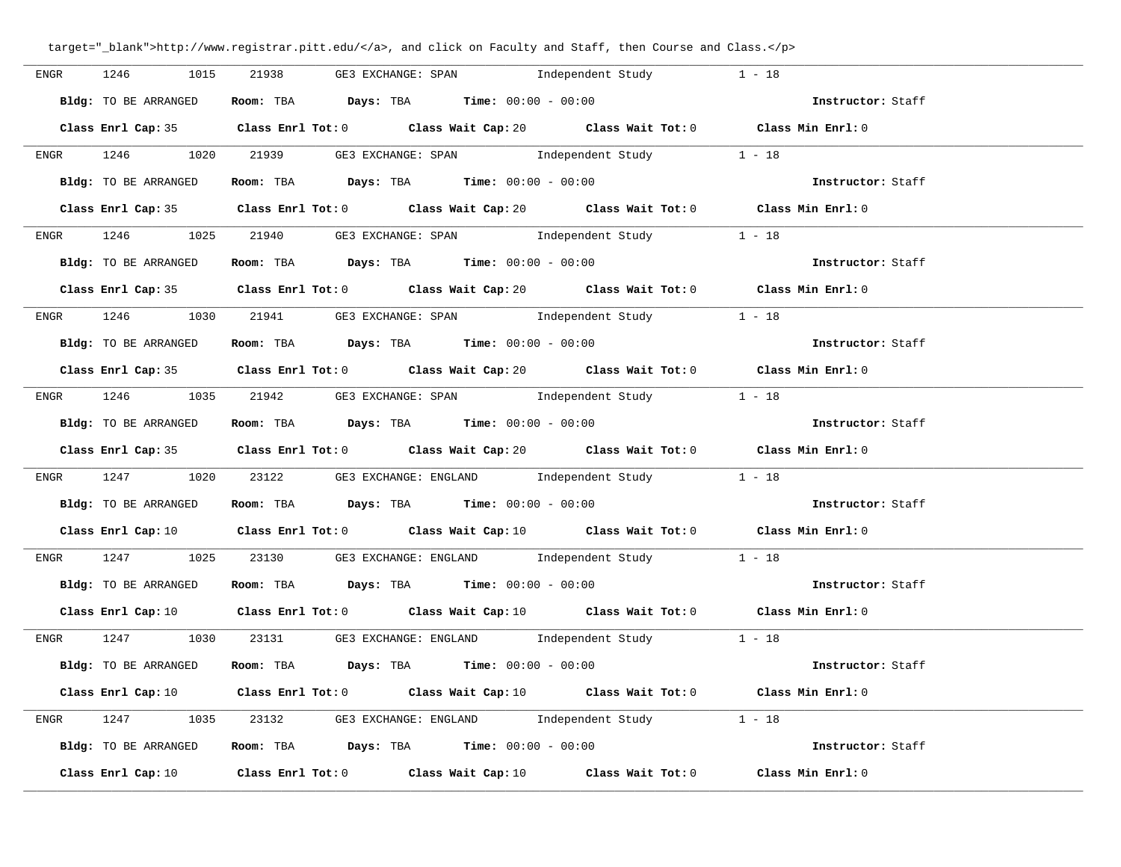| 1246<br>ENGR         | 1015<br>21938 | GE3 EXCHANGE: SPAN                                                                         | Independent Study                                                                                                               | $1 - 18$          |  |
|----------------------|---------------|--------------------------------------------------------------------------------------------|---------------------------------------------------------------------------------------------------------------------------------|-------------------|--|
| Bldg: TO BE ARRANGED |               | Room: TBA $Days:$ TBA $Time:$ $00:00 - 00:00$                                              |                                                                                                                                 | Instructor: Staff |  |
|                      |               |                                                                                            | Class Enrl Cap: 35 Class Enrl Tot: 0 Class Wait Cap: 20 Class Wait Tot: 0 Class Min Enrl: 0                                     |                   |  |
|                      |               |                                                                                            | ENGR 1246 1020 21939 GE3 EXCHANGE: SPAN Independent Study 1 - 18                                                                |                   |  |
| Bldg: TO BE ARRANGED |               | Room: TBA $Days:$ TBA $Time: 00:00 - 00:00$                                                |                                                                                                                                 | Instructor: Staff |  |
|                      |               |                                                                                            | Class Enrl Cap: 35 Class Enrl Tot: 0 Class Wait Cap: 20 Class Wait Tot: 0 Class Min Enrl: 0                                     |                   |  |
| <b>ENGR</b>          |               |                                                                                            | 1246 1025 21940 GE3 EXCHANGE: SPAN Independent Study 1 - 18                                                                     |                   |  |
|                      |               | <b>Bldg:</b> TO BE ARRANGED <b>Room:</b> TBA <b>Days:</b> TBA <b>Time:</b> $00:00 - 00:00$ |                                                                                                                                 | Instructor: Staff |  |
|                      |               |                                                                                            | Class Enrl Cap: 35 Class Enrl Tot: 0 Class Wait Cap: 20 Class Wait Tot: 0 Class Min Enrl: 0                                     |                   |  |
|                      |               |                                                                                            | ENGR 1246 1030 21941 GE3 EXCHANGE: SPAN Independent Study 1 - 18                                                                |                   |  |
| Bldg: TO BE ARRANGED |               | Room: TBA $\rule{1em}{0.15mm}$ Days: TBA Time: $00:00 - 00:00$                             |                                                                                                                                 | Instructor: Staff |  |
|                      |               |                                                                                            | Class Enrl Cap: 35 Class Enrl Tot: 0 Class Wait Cap: 20 Class Wait Tot: 0 Class Min Enrl: 0                                     |                   |  |
|                      |               |                                                                                            | ENGR 1246 1035 21942 GE3 EXCHANGE: SPAN Independent Study 1 - 18                                                                |                   |  |
|                      |               | Bldg: TO BE ARRANGED Room: TBA Days: TBA Time: 00:00 - 00:00                               |                                                                                                                                 | Instructor: Staff |  |
|                      |               |                                                                                            | Class Enrl Cap: 35 Class Enrl Tot: 0 Class Wait Cap: 20 Class Wait Tot: 0 Class Min Enrl: 0                                     |                   |  |
|                      |               |                                                                                            | ENGR 1247 1020 23122 GE3 EXCHANGE: ENGLAND Independent Study 1 - 18                                                             |                   |  |
|                      |               |                                                                                            | Bldg: TO BE ARRANGED Room: TBA Days: TBA Time: 00:00 - 00:00                                                                    | Instructor: Staff |  |
|                      |               |                                                                                            | Class Enrl Cap: 10 Class Enrl Tot: 0 Class Wait Cap: 10 Class Wait Tot: 0 Class Min Enrl: 0                                     |                   |  |
|                      |               |                                                                                            | ENGR 1247 1025 23130 GE3 EXCHANGE: ENGLAND Independent Study 1 - 18                                                             |                   |  |
| Bldg: TO BE ARRANGED |               |                                                                                            | Room: TBA $Days:$ TBA $Time:$ 00:00 - 00:00                                                                                     | Instructor: Staff |  |
|                      |               |                                                                                            | Class Enrl Cap: 10 $\qquad$ Class Enrl Tot: 0 $\qquad$ Class Wait Cap: 10 $\qquad$ Class Wait Tot: 0 $\qquad$ Class Min Enrl: 0 |                   |  |
|                      |               |                                                                                            | ENGR 1247 1030 23131 GE3 EXCHANGE: ENGLAND Independent Study 1 - 18                                                             |                   |  |
| Bldg: TO BE ARRANGED |               | Room: TBA $Days:$ TBA $Time: 00:00 - 00:00$                                                |                                                                                                                                 | Instructor: Staff |  |
|                      |               |                                                                                            | Class Enrl Cap: 10 $\qquad$ Class Enrl Tot: 0 $\qquad$ Class Wait Cap: 10 $\qquad$ Class Wait Tot: 0 $\qquad$ Class Min Enrl: 0 |                   |  |
| <b>ENGR</b>          |               |                                                                                            | 1247 1035 23132 GE3 EXCHANGE: ENGLAND Independent Study 1 - 18                                                                  |                   |  |
|                      |               | Bldg: TO BE ARRANGED Room: TBA Days: TBA Time: 00:00 - 00:00                               |                                                                                                                                 | Instructor: Staff |  |
| Class Enrl Cap: 10   |               |                                                                                            | Class Enrl Tot: $0$ Class Wait Cap: $10$ Class Wait Tot: $0$                                                                    | Class Min Enrl: 0 |  |

**\_\_\_\_\_\_\_\_\_\_\_\_\_\_\_\_\_\_\_\_\_\_\_\_\_\_\_\_\_\_\_\_\_\_\_\_\_\_\_\_\_\_\_\_\_\_\_\_\_\_\_\_\_\_\_\_\_\_\_\_\_\_\_\_\_\_\_\_\_\_\_\_\_\_\_\_\_\_\_\_\_\_\_\_\_\_\_\_\_\_\_\_\_\_\_\_\_\_\_\_\_\_\_\_\_\_\_\_\_\_\_\_\_\_\_\_\_\_\_\_\_\_\_\_\_\_\_\_\_\_\_\_\_\_\_\_\_\_\_\_\_\_\_\_\_\_\_\_\_\_\_\_\_\_\_\_**

## target="\_blank">http://www.registrar.pitt.edu/</a>, and click on Faculty and Staff, then Course and Class.</p>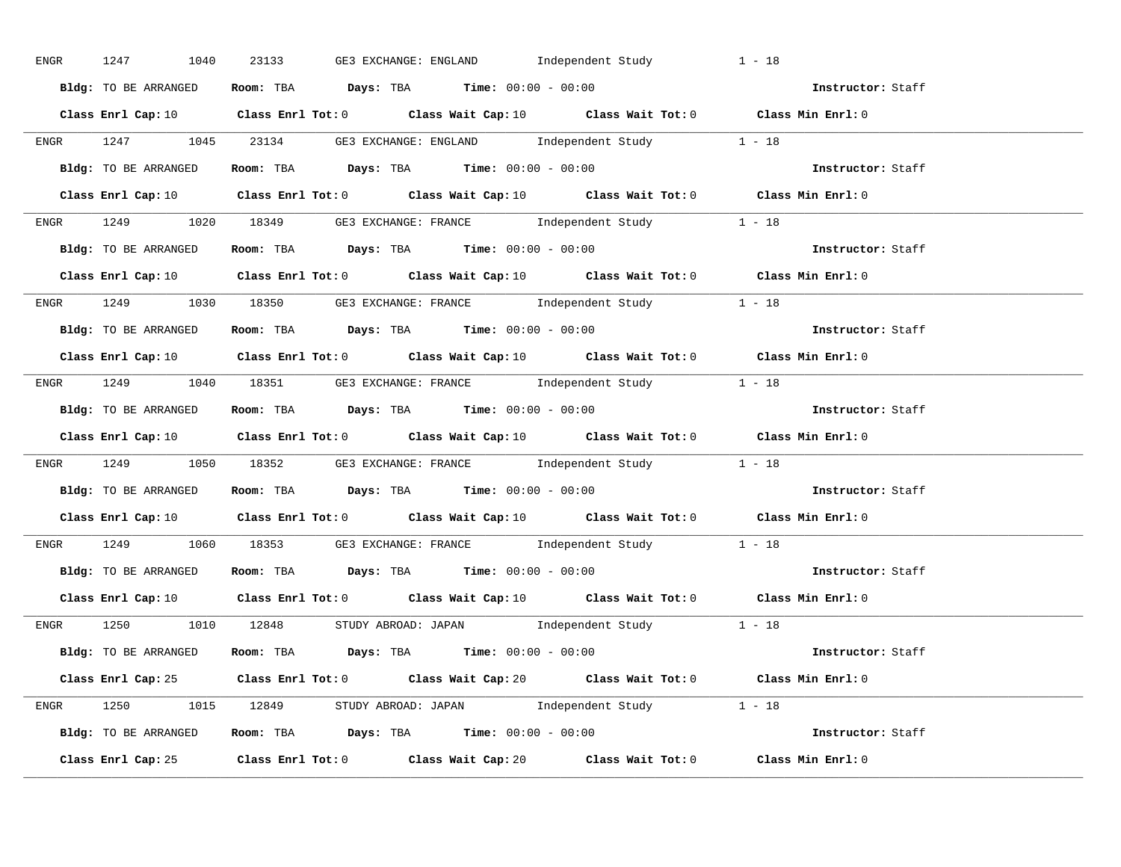| ENGR 1247 1040       | GE3 EXCHANGE: ENGLAND Independent Study<br>23133                                                                                | $1 - 18$          |
|----------------------|---------------------------------------------------------------------------------------------------------------------------------|-------------------|
| Bldg: TO BE ARRANGED | Room: TBA $Days:$ TBA $Time: 00:00 - 00:00$                                                                                     | Instructor: Staff |
|                      | Class Enrl Cap: 10 Class Enrl Tot: 0 Class Wait Cap: 10 Class Wait Tot: 0 Class Min Enrl: 0                                     |                   |
|                      | ENGR 1247 1045 23134 GE3 EXCHANGE: ENGLAND Independent Study 1 - 18                                                             |                   |
| Bldg: TO BE ARRANGED | Room: TBA $Days:$ TBA $Time: 00:00 - 00:00$                                                                                     | Instructor: Staff |
|                      | Class Enrl Cap: 10 Class Enrl Tot: 0 Class Wait Cap: 10 Class Wait Tot: 0 Class Min Enrl: 0                                     |                   |
|                      | ENGR 1249 1020 18349 GE3 EXCHANGE: FRANCE Independent Study 1 - 18                                                              |                   |
|                      |                                                                                                                                 |                   |
|                      | Class Enrl Cap: 10 Class Enrl Tot: 0 Class Wait Cap: 10 Class Wait Tot: 0 Class Min Enrl: 0                                     |                   |
|                      | ENGR 1249 1030 18350 GE3 EXCHANGE: FRANCE Independent Study 1 - 18                                                              |                   |
| Bldg: TO BE ARRANGED | Room: TBA $Days:$ TBA $Time: 00:00 - 00:00$                                                                                     | Instructor: Staff |
|                      | Class Enrl Cap: 10 $\qquad$ Class Enrl Tot: 0 $\qquad$ Class Wait Cap: 10 $\qquad$ Class Wait Tot: 0 $\qquad$ Class Min Enrl: 0 |                   |
|                      | ENGR 1249 1040 18351 GE3 EXCHANGE: FRANCE Independent Study 1 - 18                                                              |                   |
| Bldg: TO BE ARRANGED | Room: TBA $\rule{1em}{0.15mm}$ Days: TBA Time: $00:00 - 00:00$                                                                  | Instructor: Staff |
|                      | Class Enrl Cap: 10 $\qquad$ Class Enrl Tot: 0 $\qquad$ Class Wait Cap: 10 $\qquad$ Class Wait Tot: 0 $\qquad$ Class Min Enrl: 0 |                   |
|                      | ENGR 1249 1050 18352 GE3 EXCHANGE: FRANCE Independent Study 1 - 18                                                              |                   |
|                      | <b>Bldg:</b> TO BE ARRANGED <b>ROOM:</b> TBA <b>Days:</b> TBA <b>Time:</b> $00:00 - 00:00$                                      | Instructor: Staff |
|                      | Class Enrl Cap: 10 $\qquad$ Class Enrl Tot: 0 $\qquad$ Class Wait Cap: 10 $\qquad$ Class Wait Tot: 0 $\qquad$ Class Min Enrl: 0 |                   |
|                      | ENGR 1249 1060 18353 GE3 EXCHANGE: FRANCE Independent Study 1 - 18                                                              |                   |
|                      | Bldg: TO BE ARRANGED Room: TBA Days: TBA Time: 00:00 - 00:00                                                                    | Instructor: Staff |
|                      | Class Enrl Cap: 10 $\qquad$ Class Enrl Tot: 0 $\qquad$ Class Wait Cap: 10 $\qquad$ Class Wait Tot: 0 $\qquad$ Class Min Enrl: 0 |                   |
|                      | ENGR 1250 1010 12848 STUDY ABROAD: JAPAN Independent Study 1 - 18                                                               |                   |
|                      | <b>Bldg:</b> TO BE ARRANGED <b>Room:</b> TBA <b>Days:</b> TBA <b>Time:</b> $00:00 - 00:00$                                      | Instructor: Staff |
|                      | Class Enrl Cap: 25 Class Enrl Tot: 0 Class Wait Cap: 20 Class Wait Tot: 0 Class Min Enrl: 0                                     |                   |
|                      | ENGR 1250 1015 12849 STUDY ABROAD: JAPAN Independent Study 1 - 18                                                               |                   |
|                      | Bldg: TO BE ARRANGED Room: TBA Days: TBA Time: $00:00 - 00:00$                                                                  |                   |
|                      | Class Enrl Cap: 25 Class Enrl Tot: 0 Class Wait Cap: 20 Class Wait Tot: 0                                                       | Class Min Enrl: 0 |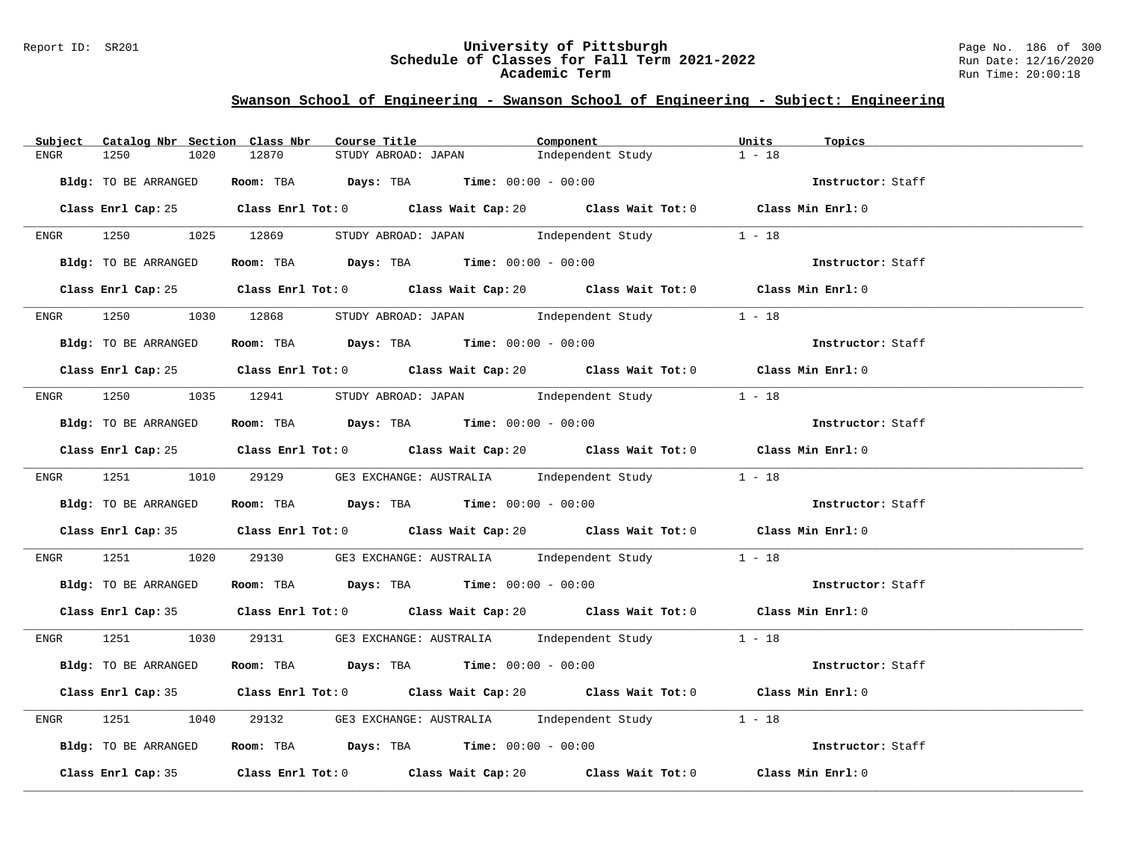#### Report ID: SR201 **University of Pittsburgh** Page No. 186 of 300 **Schedule of Classes for Fall Term 2021-2022** Run Date: 12/16/2020 **Academic Term** Run Time: 20:00:18

| Subject | Catalog Nbr Section Class Nbr | Course Title                                                                                | Component                                    | Units<br>Topics   |  |
|---------|-------------------------------|---------------------------------------------------------------------------------------------|----------------------------------------------|-------------------|--|
| ENGR    | 1250<br>1020                  | 12870<br>STUDY ABROAD: JAPAN                                                                | Independent Study                            | $1 - 18$          |  |
|         | Bldg: TO BE ARRANGED          | Room: TBA $\rule{1em}{0.15mm}$ Days: TBA $\rule{1.15mm}{0.15mm}$ Time: $00:00 - 00:00$      |                                              | Instructor: Staff |  |
|         |                               |                                                                                             |                                              |                   |  |
|         |                               | Class Enrl Cap: 25 Class Enrl Tot: 0 Class Wait Cap: 20 Class Wait Tot: 0 Class Min Enrl: 0 |                                              |                   |  |
|         | ENGR 1250 1025 12869          |                                                                                             | STUDY ABROAD: JAPAN 1ndependent Study 1 - 18 |                   |  |
|         | Bldg: TO BE ARRANGED          | Room: TBA $Days:$ TBA $Time: 00:00 - 00:00$                                                 |                                              | Instructor: Staff |  |
|         |                               | Class Enrl Cap: 25 Class Enrl Tot: 0 Class Wait Cap: 20 Class Wait Tot: 0 Class Min Enrl: 0 |                                              |                   |  |
|         |                               | ENGR 1250 1030 12868 STUDY ABROAD: JAPAN Independent Study                                  |                                              | $1 - 18$          |  |
|         | Bldg: TO BE ARRANGED          | Room: TBA $Days:$ TBA Time: $00:00 - 00:00$                                                 |                                              | Instructor: Staff |  |
|         |                               | Class Enrl Cap: 25 Class Enrl Tot: 0 Class Wait Cap: 20 Class Wait Tot: 0 Class Min Enrl: 0 |                                              |                   |  |
|         |                               |                                                                                             |                                              |                   |  |
|         |                               | ENGR 1250 1035 12941 STUDY ABROAD: JAPAN Independent Study                                  |                                              | $1 - 18$          |  |
|         | Bldg: TO BE ARRANGED          | Room: TBA Days: TBA Time: $00:00 - 00:00$                                                   |                                              | Instructor: Staff |  |
|         |                               | Class Enrl Cap: 25 Class Enrl Tot: 0 Class Wait Cap: 20 Class Wait Tot: 0 Class Min Enrl: 0 |                                              |                   |  |
|         |                               | ENGR 1251 1010 29129 GE3 EXCHANGE: AUSTRALIA Independent Study 1 - 18                       |                                              |                   |  |
|         | Bldg: TO BE ARRANGED          | Room: TBA $Days$ : TBA $Time: 00:00 - 00:00$                                                |                                              | Instructor: Staff |  |
|         |                               | Class Enrl Cap: 35 Class Enrl Tot: 0 Class Wait Cap: 20 Class Wait Tot: 0 Class Min Enrl: 0 |                                              |                   |  |
| ENGR    |                               | 1251 1020 29130 GE3 EXCHANGE: AUSTRALIA Independent Study 1 - 18                            |                                              |                   |  |
|         | Bldg: TO BE ARRANGED          | Room: TBA $\rule{1em}{0.15mm}$ Days: TBA Time: $00:00 - 00:00$                              |                                              | Instructor: Staff |  |
|         |                               | Class Enrl Cap: 35 Class Enrl Tot: 0 Class Wait Cap: 20 Class Wait Tot: 0 Class Min Enrl: 0 |                                              |                   |  |
|         |                               | ENGR 1251 1030 29131 GE3 EXCHANGE: AUSTRALIA Independent Study 1 - 18                       |                                              |                   |  |
|         | Bldg: TO BE ARRANGED          | <b>Room:</b> TBA <b>Days:</b> TBA <b>Time:</b> 00:00 - 00:00                                |                                              | Instructor: Staff |  |
|         |                               | Class Enrl Cap: 35 Class Enrl Tot: 0 Class Wait Cap: 20 Class Wait Tot: 0 Class Min Enrl: 0 |                                              |                   |  |
| ENGR    | 1251<br>1040                  | 29132 GE3 EXCHANGE: AUSTRALIA Independent Study 1 - 18                                      |                                              |                   |  |
|         | Bldg: TO BE ARRANGED          | Room: TBA $Days:$ TBA $Time:$ $00:00 - 00:00$                                               |                                              | Instructor: Staff |  |
|         |                               | Class Enrl Cap: 35 Class Enrl Tot: 0 Class Wait Cap: 20 Class Wait Tot: 0 Class Min Enrl: 0 |                                              |                   |  |
|         |                               |                                                                                             |                                              |                   |  |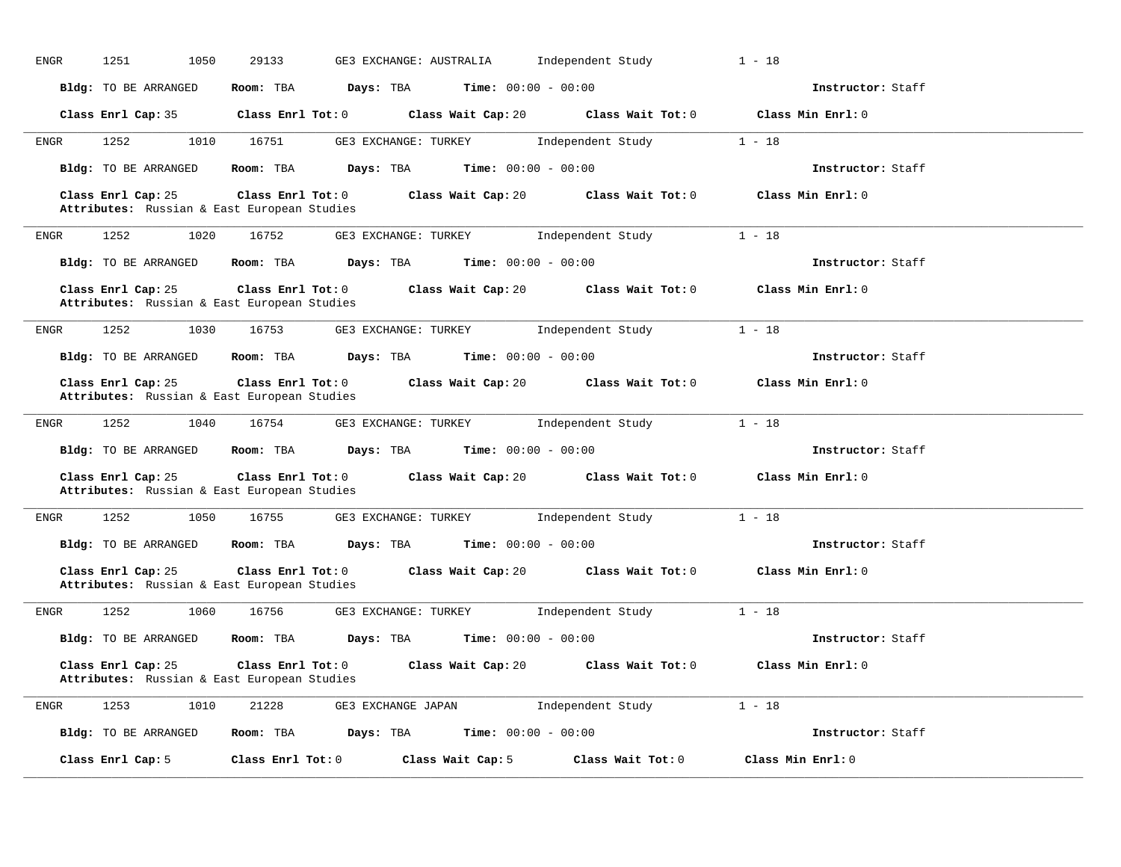| 1251<br>1050<br>ENGR | 29133<br>GE3 EXCHANGE: AUSTRALIA                                                                                        | Independent Study<br>$1 - 18$           |                   |
|----------------------|-------------------------------------------------------------------------------------------------------------------------|-----------------------------------------|-------------------|
| Bldg: TO BE ARRANGED | Room: TBA Days: TBA<br><b>Time:</b> $00:00 - 00:00$                                                                     |                                         | Instructor: Staff |
|                      | Class Enrl Cap: 35 Class Enrl Tot: 0 Class Wait Cap: 20 Class Wait Tot: 0                                               | Class Min Enrl: 0                       |                   |
| 1252<br>ENGR         | 1010 16751<br>GE3 EXCHANGE: TURKEY 1ndependent Study                                                                    | $1 - 18$                                |                   |
| Bldg: TO BE ARRANGED | Room: TBA<br><b>Days:</b> TBA <b>Time:</b> $00:00 - 00:00$                                                              |                                         | Instructor: Staff |
| Class Enrl Cap: 25   | Class Enrl Tot: $0$ Class Wait Cap: $20$ Class Wait Tot: $0$<br>Attributes: Russian & East European Studies             | Class Min Enrl: 0                       |                   |
| 1252<br>1020<br>ENGR | 16752 GE3 EXCHANGE: TURKEY Independent Study                                                                            | $1 - 18$                                |                   |
| Bldg: TO BE ARRANGED | Room: TBA $Days: TBA$ Time: $00:00 - 00:00$                                                                             |                                         | Instructor: Staff |
| Class Enrl Cap: 25   | Class Enrl Tot: $0$ Class Wait Cap: $20$ Class Wait Tot: $0$<br>Attributes: Russian & East European Studies             | Class Min Enrl: 0                       |                   |
| 1252<br>1030<br>ENGR | 16753 GE3 EXCHANGE: TURKEY                                                                                              | $1 - 18$<br>Independent Study           |                   |
| Bldg: TO BE ARRANGED | Room: TBA $Days:$ TBA $Time: 00:00 - 00:00$                                                                             |                                         | Instructor: Staff |
| Class Enrl Cap: 25   | Class Enrl Tot: 0 Class Wait Cap: 20 Class Wait Tot: 0 Class Min Enrl: 0<br>Attributes: Russian & East European Studies |                                         |                   |
| 1252<br>ENGR<br>1040 | 16754<br>GE3 EXCHANGE: TURKEY                                                                                           | $1 - 18$<br>Independent Study           |                   |
| Bldg: TO BE ARRANGED | <b>Days:</b> TBA <b>Time:</b> $00:00 - 00:00$<br>Room: TBA                                                              |                                         | Instructor: Staff |
| Class Enrl Cap: 25   | Class Enrl Tot: 0 Class Wait Cap: 20<br>Attributes: Russian & East European Studies                                     | Class Wait Tot: $0$ Class Min Enrl: $0$ |                   |
|                      |                                                                                                                         |                                         |                   |
| 1252<br>ENGR         | 1050 16755 GE3 EXCHANGE: TURKEY Independent Study                                                                       | $1 - 18$                                |                   |
| Bldg: TO BE ARRANGED | Room: TBA $Days:$ TBA $Time: 00:00 - 00:00$                                                                             |                                         | Instructor: Staff |
| Class Enrl Cap: 25   | Class Enrl Tot: $0$ Class Wait Cap: $20$ Class Wait Tot: $0$<br>Attributes: Russian & East European Studies             | Class Min Enrl: 0                       |                   |
| 1252<br>ENGR         | 16756 GE3 EXCHANGE: TURKEY Independent Study<br>1060                                                                    | $1 - 18$                                |                   |
|                      | Bldg: TO BE ARRANGED Room: TBA Days: TBA Time: 00:00 - 00:00                                                            |                                         | Instructor: Staff |
| Class Enrl Cap: 25   | Class Enrl Tot: $0$ Class Wait Cap: $20$ Class Wait Tot: $0$<br>Attributes: Russian & East European Studies             | Class Min Enrl: 0                       |                   |
| 1253<br>1010<br>ENGR | 21228<br>GE3 EXCHANGE JAPAN <a>&gt; Independent Study</a>                                                               | $1 - 18$                                |                   |
|                      | Bldg: TO BE ARRANGED Room: TBA Days: TBA Time: 00:00 - 00:00                                                            |                                         | Instructor: Staff |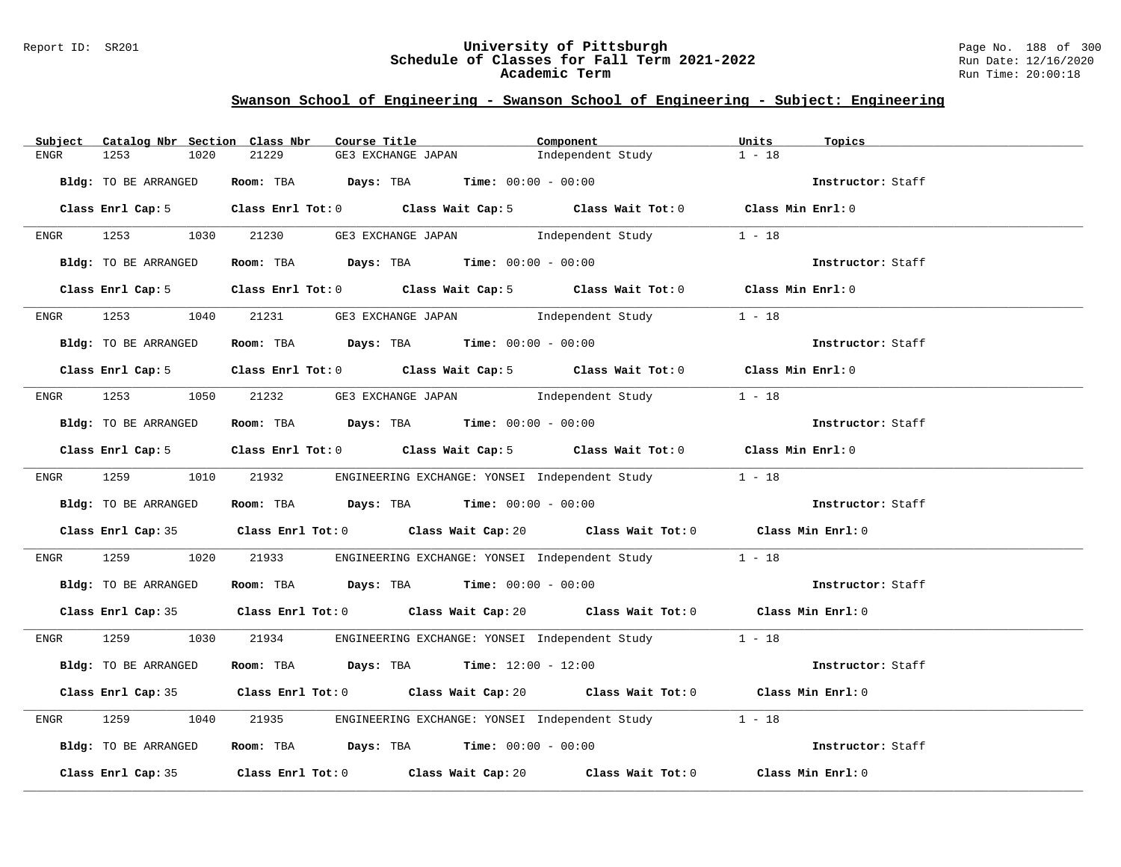#### Report ID: SR201 **University of Pittsburgh** Page No. 188 of 300 **Schedule of Classes for Fall Term 2021-2022** Run Date: 12/16/2020 **Academic Term** Run Time: 20:00:18

| Subject     | Catalog Nbr Section Class Nbr | Course Title                                                                          |                                            | Component                                                                                   | Units<br>Topics   |  |
|-------------|-------------------------------|---------------------------------------------------------------------------------------|--------------------------------------------|---------------------------------------------------------------------------------------------|-------------------|--|
| <b>ENGR</b> | 1253<br>1020                  | 21229                                                                                 | GE3 EXCHANGE JAPAN                         | Independent Study                                                                           | $1 - 18$          |  |
|             | Bldg: TO BE ARRANGED          | Room: TBA $\rule{1em}{0.15mm}$ Days: TBA $\rule{1.5mm}{0.15mm}$ Time: $00:00 - 00:00$ |                                            |                                                                                             | Instructor: Staff |  |
|             |                               |                                                                                       |                                            | Class Enrl Cap: 5 Class Enrl Tot: 0 Class Wait Cap: 5 Class Wait Tot: 0 Class Min Enrl: 0   |                   |  |
|             | ENGR 1253 1030 21230          |                                                                                       |                                            | GE3 EXCHANGE JAPAN 1ndependent Study                                                        | $1 - 18$          |  |
|             | Bldg: TO BE ARRANGED          |                                                                                       |                                            | Room: TBA $Days:$ TBA $Time:$ 00:00 - 00:00                                                 | Instructor: Staff |  |
|             | Class Enrl Cap: 5             |                                                                                       |                                            | Class Enrl Tot: 0 Class Wait Cap: 5 Class Wait Tot: 0 Class Min Enrl: 0                     |                   |  |
| ENGR        | 1253<br>1040                  |                                                                                       | 21231 GE3 EXCHANGE JAPAN 1ndependent Study |                                                                                             | $1 - 18$          |  |
|             | Bldg: TO BE ARRANGED          | Room: TBA $Days:$ TBA $Time: 00:00 - 00:00$                                           |                                            |                                                                                             | Instructor: Staff |  |
|             |                               |                                                                                       |                                            | Class Enrl Cap: 5 Class Enrl Tot: 0 Class Wait Cap: 5 Class Wait Tot: 0 Class Min Enrl: 0   |                   |  |
|             |                               | ENGR 1253 1050 21232 GE3 EXCHANGE JAPAN Independent Study                             |                                            |                                                                                             | $1 - 18$          |  |
|             | Bldg: TO BE ARRANGED          |                                                                                       |                                            | Room: TBA Days: TBA Time: 00:00 - 00:00                                                     | Instructor: Staff |  |
|             |                               |                                                                                       |                                            | Class Enrl Cap: 5 Class Enrl Tot: 0 Class Wait Cap: 5 Class Wait Tot: 0 Class Min Enrl: 0   |                   |  |
|             |                               |                                                                                       |                                            | ENGR 1259 1010 21932 ENGINEERING EXCHANGE: YONSEI Independent Study 1 - 18                  |                   |  |
|             | Bldg: TO BE ARRANGED          | Room: TBA $\rule{1em}{0.15mm}$ Days: TBA Time: $00:00 - 00:00$                        |                                            |                                                                                             | Instructor: Staff |  |
|             |                               |                                                                                       |                                            | Class Enrl Cap: 35 Class Enrl Tot: 0 Class Wait Cap: 20 Class Wait Tot: 0 Class Min Enrl: 0 |                   |  |
| ENGR        | 1259 32                       |                                                                                       |                                            | 1020 21933 ENGINEERING EXCHANGE: YONSEI Independent Study 1 - 18                            |                   |  |
|             | Bldg: TO BE ARRANGED          | Room: TBA $\rule{1em}{0.15mm}$ Days: TBA Time: $00:00 - 00:00$                        |                                            |                                                                                             | Instructor: Staff |  |
|             |                               |                                                                                       |                                            | Class Enrl Cap: 35 Class Enrl Tot: 0 Class Wait Cap: 20 Class Wait Tot: 0 Class Min Enrl: 0 |                   |  |
|             |                               |                                                                                       |                                            | ENGR 1259 1030 21934 ENGINEERING EXCHANGE: YONSEI Independent Study 1 - 18                  |                   |  |
|             | Bldg: TO BE ARRANGED          | Room: TBA $Days:$ TBA $Time:$ $12:00 - 12:00$                                         |                                            |                                                                                             | Instructor: Staff |  |
|             |                               |                                                                                       |                                            | Class Enrl Cap: 35 Class Enrl Tot: 0 Class Wait Cap: 20 Class Wait Tot: 0 Class Min Enrl: 0 |                   |  |
| ENGR        | 1259<br>1040                  | 21935                                                                                 |                                            | ENGINEERING EXCHANGE: YONSEI Independent Study 1 - 18                                       |                   |  |
|             | Bldg: TO BE ARRANGED          | Room: TBA $\rule{1em}{0.15mm}$ Days: TBA Time: $00:00 - 00:00$                        |                                            |                                                                                             | Instructor: Staff |  |
|             |                               |                                                                                       |                                            | Class Enrl Cap: 35 Class Enrl Tot: 0 Class Wait Cap: 20 Class Wait Tot: 0 Class Min Enrl: 0 |                   |  |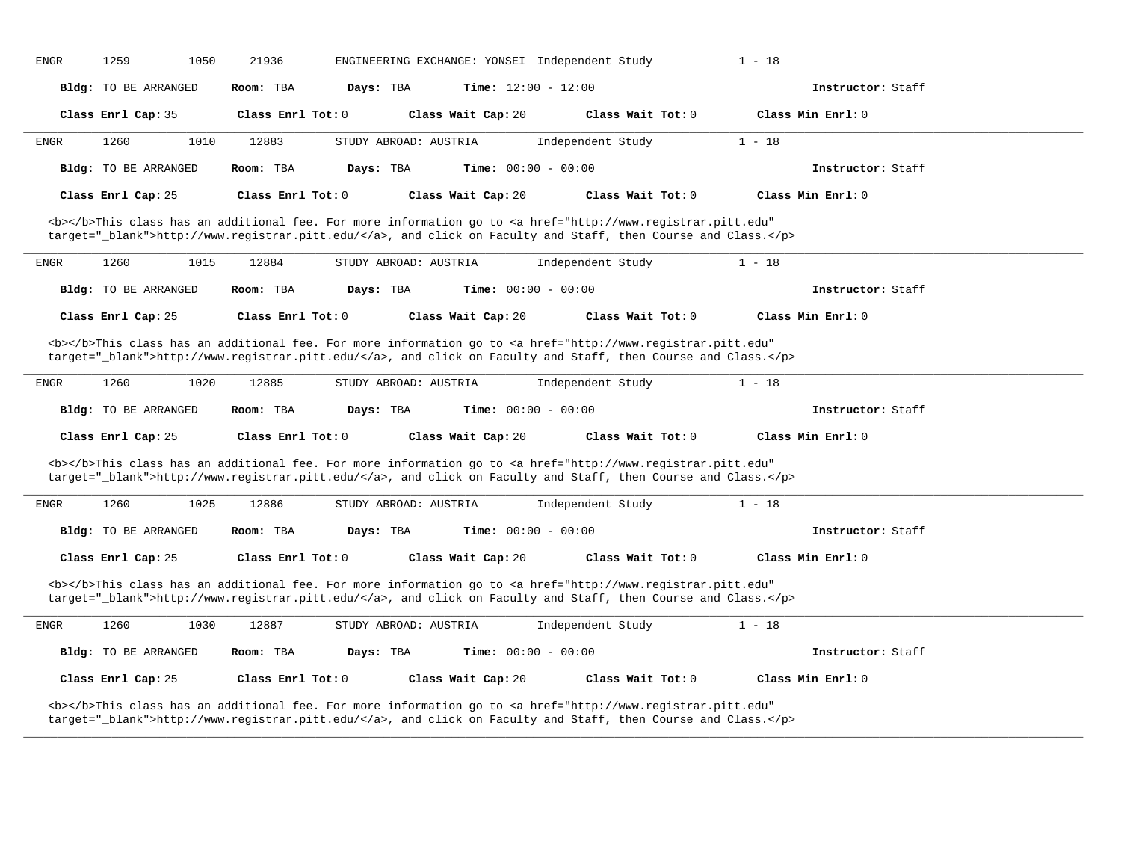|             | 1259<br>1050                | 21936             | ENGINEERING EXCHANGE: YONSEI Independent Study                                                                                                                                                                                     |                   | $1 - 18$          |  |
|-------------|-----------------------------|-------------------|------------------------------------------------------------------------------------------------------------------------------------------------------------------------------------------------------------------------------------|-------------------|-------------------|--|
|             | Bldg: TO BE ARRANGED        | Room: TBA         | Time: $12:00 - 12:00$<br>Days: TBA                                                                                                                                                                                                 |                   | Instructor: Staff |  |
|             | Class Enrl Cap: 35          | Class Enrl Tot: 0 | Class Wait Cap: 20                                                                                                                                                                                                                 | Class Wait Tot: 0 | Class Min Enrl: 0 |  |
| ENGR        | 1260<br>1010                | 12883             | STUDY ABROAD: AUSTRIA                                                                                                                                                                                                              | Independent Study | $1 - 18$          |  |
|             | Bldg: TO BE ARRANGED        | Room: TBA         | <b>Time:</b> $00:00 - 00:00$<br>Days: TBA                                                                                                                                                                                          |                   | Instructor: Staff |  |
|             | Class Enrl Cap: 25          | Class Enrl Tot: 0 | Class Wait Cap: 20                                                                                                                                                                                                                 | Class Wait Tot: 0 | Class Min Enrl: 0 |  |
|             |                             |                   | <b></b> This class has an additional fee. For more information go to <a <br="" href="http://www.registrar.pitt.edu">target="_blank"&gt;http://www.registrar.pitt.edu/</a> , and click on Faculty and Staff, then Course and Class. |                   |                   |  |
| <b>ENGR</b> | 1260<br>1015                | 12884             | STUDY ABROAD: AUSTRIA                                                                                                                                                                                                              | Independent Study | $1 - 18$          |  |
|             | <b>Bldg:</b> TO BE ARRANGED | Room: TBA         | Days: TBA<br><b>Time:</b> $00:00 - 00:00$                                                                                                                                                                                          |                   | Instructor: Staff |  |
|             | Class Enrl Cap: 25          | Class Enrl Tot: 0 | Class Wait Cap: 20                                                                                                                                                                                                                 | Class Wait Tot: 0 | Class Min Enrl: 0 |  |
|             |                             |                   | <b></b> This class has an additional fee. For more information go to <a <br="" href="http://www.registrar.pitt.edu">target="_blank"&gt;http://www.registrar.pitt.edu/</a> , and click on Faculty and Staff, then Course and Class. |                   |                   |  |
| ENGR        | 1260<br>1020                | 12885             | STUDY ABROAD: AUSTRIA                                                                                                                                                                                                              | Independent Study | $1 - 18$          |  |
|             | Bldg: TO BE ARRANGED        | Room: TBA         | Time: $00:00 - 00:00$<br>Days: TBA                                                                                                                                                                                                 |                   | Instructor: Staff |  |
|             |                             |                   |                                                                                                                                                                                                                                    |                   |                   |  |
|             | Class Enrl Cap: 25          | Class Enrl Tot: 0 | Class Wait Cap: 20                                                                                                                                                                                                                 | Class Wait Tot: 0 | Class Min Enrl: 0 |  |
|             |                             |                   | <b></b> This class has an additional fee. For more information go to <a <br="" href="http://www.registrar.pitt.edu">target="_blank"&gt;http://www.registrar.pitt.edu/</a> , and click on Faculty and Staff, then Course and Class. |                   |                   |  |
| ENGR        | 1260<br>1025                | 12886             | STUDY ABROAD: AUSTRIA                                                                                                                                                                                                              | Independent Study | $1 - 18$          |  |
|             | <b>Bldg:</b> TO BE ARRANGED | Room: TBA         | Days: TBA<br><b>Time:</b> $00:00 - 00:00$                                                                                                                                                                                          |                   | Instructor: Staff |  |
|             | Class Enrl Cap: 25          | Class Enrl Tot: 0 | Class Wait Cap: 20                                                                                                                                                                                                                 | Class Wait Tot: 0 | Class Min Enrl: 0 |  |
|             |                             |                   | <b></b> This class has an additional fee. For more information go to <a <br="" href="http://www.registrar.pitt.edu">target="_blank"&gt;http://www.registrar.pitt.edu/</a> , and click on Faculty and Staff, then Course and Class. |                   |                   |  |
| ENGR        | 1260<br>1030                | 12887             | STUDY ABROAD: AUSTRIA                                                                                                                                                                                                              | Independent Study | $1 - 18$          |  |
|             | Bldg: TO BE ARRANGED        | Room: TBA         | <b>Time:</b> $00:00 - 00:00$<br>Days: TBA                                                                                                                                                                                          |                   | Instructor: Staff |  |
|             | Class Enrl Cap: 25          | Class Enrl Tot: 0 | Class Wait Cap: 20                                                                                                                                                                                                                 | Class Wait Tot: 0 | Class Min Enrl: 0 |  |

**\_\_\_\_\_\_\_\_\_\_\_\_\_\_\_\_\_\_\_\_\_\_\_\_\_\_\_\_\_\_\_\_\_\_\_\_\_\_\_\_\_\_\_\_\_\_\_\_\_\_\_\_\_\_\_\_\_\_\_\_\_\_\_\_\_\_\_\_\_\_\_\_\_\_\_\_\_\_\_\_\_\_\_\_\_\_\_\_\_\_\_\_\_\_\_\_\_\_\_\_\_\_\_\_\_\_\_\_\_\_\_\_\_\_\_\_\_\_\_\_\_\_\_\_\_\_\_\_\_\_\_\_\_\_\_\_\_\_\_\_\_\_\_\_\_\_\_\_\_\_\_\_\_\_\_\_**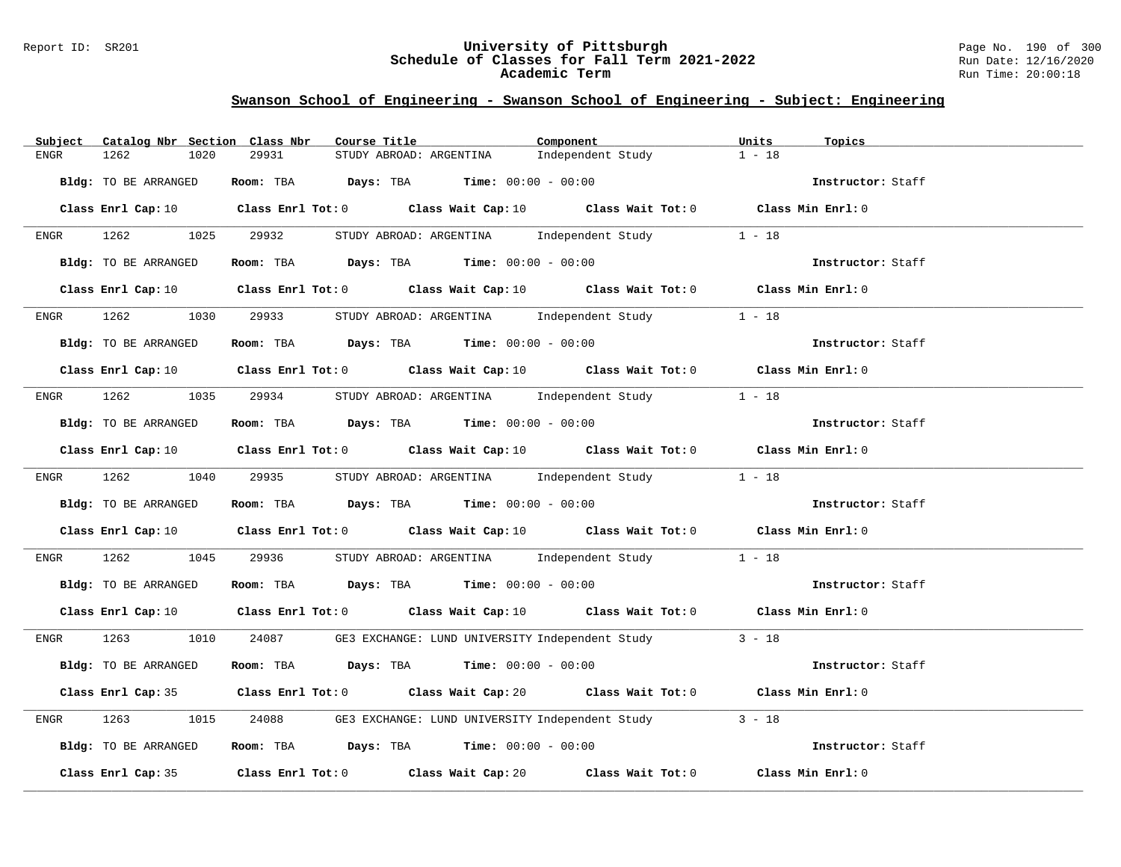#### Report ID: SR201 **University of Pittsburgh** Page No. 190 of 300 **Schedule of Classes for Fall Term 2021-2022** Run Date: 12/16/2020 **Academic Term** Run Time: 20:00:18

| Subject Catalog Nbr Section Class Nbr | Course Title                                                                                                                    | Component                                        | Units<br>Topics   |
|---------------------------------------|---------------------------------------------------------------------------------------------------------------------------------|--------------------------------------------------|-------------------|
| 1262<br>1020<br>ENGR                  | 29931<br>STUDY ABROAD: ARGENTINA                                                                                                | Independent Study                                | $1 - 18$          |
| Bldg: TO BE ARRANGED                  | Room: TBA $Days:$ TBA $Time: 00:00 - 00:00$                                                                                     |                                                  | Instructor: Staff |
|                                       | Class Enrl Cap: 10 Class Enrl Tot: 0 Class Wait Cap: 10 Class Wait Tot: 0 Class Min Enrl: 0                                     |                                                  |                   |
| ENGR 1262 1025 29932                  |                                                                                                                                 | STUDY ABROAD: ARGENTINA Independent Study 1 - 18 |                   |
| Bldg: TO BE ARRANGED                  | <b>Room:</b> TBA <b>Days:</b> TBA <b>Time:</b> 00:00 - 00:00                                                                    |                                                  | Instructor: Staff |
|                                       | Class Enrl Cap: 10 $\qquad$ Class Enrl Tot: 0 $\qquad$ Class Wait Cap: 10 $\qquad$ Class Wait Tot: 0 $\qquad$ Class Min Enrl: 0 |                                                  |                   |
| 1262<br>1030<br>ENGR                  | 29933 STUDY ABROAD: ARGENTINA Independent Study                                                                                 |                                                  | $1 - 18$          |
| Bldg: TO BE ARRANGED                  | Room: TBA $Days:$ TBA $Time:$ $00:00 - 00:00$                                                                                   |                                                  | Instructor: Staff |
|                                       | Class Enrl Cap: 10 $\qquad$ Class Enrl Tot: 0 $\qquad$ Class Wait Cap: 10 $\qquad$ Class Wait Tot: 0 $\qquad$ Class Min Enrl: 0 |                                                  |                   |
|                                       | ENGR 1262 1035 29934 STUDY ABROAD: ARGENTINA Independent Study                                                                  |                                                  | $1 - 18$          |
| Bldg: TO BE ARRANGED                  | Room: TBA Days: TBA Time: $00:00 - 00:00$                                                                                       |                                                  | Instructor: Staff |
|                                       | Class Enrl Cap: 10 $\qquad$ Class Enrl Tot: 0 $\qquad$ Class Wait Cap: 10 $\qquad$ Class Wait Tot: 0 $\qquad$ Class Min Enrl: 0 |                                                  |                   |
|                                       | ENGR 1262 1040 29935 STUDY ABROAD: ARGENTINA Independent Study 1 - 18                                                           |                                                  |                   |
| Bldg: TO BE ARRANGED                  | Room: TBA $Days:$ TBA Time: $00:00 - 00:00$                                                                                     |                                                  | Instructor: Staff |
|                                       | Class Enrl Cap: 10 Class Enrl Tot: 0 Class Wait Cap: 10 Class Wait Tot: 0 Class Min Enrl: 0                                     |                                                  |                   |
| 1262 200<br>ENGR                      | 1045 29936 STUDY ABROAD: ARGENTINA Independent Study 1 - 18                                                                     |                                                  |                   |
| Bldg: TO BE ARRANGED                  | Room: TBA $\rule{1em}{0.15mm}$ Days: TBA $\rule{1.5mm}{0.15mm}$ Time: $00:00 - 00:00$                                           |                                                  | Instructor: Staff |
|                                       | Class Enrl Cap: 10 $\qquad$ Class Enrl Tot: 0 $\qquad$ Class Wait Cap: 10 $\qquad$ Class Wait Tot: 0 $\qquad$ Class Min Enrl: 0 |                                                  |                   |
|                                       | ENGR 1263 1010 24087 GE3 EXCHANGE: LUND UNIVERSITY Independent Study 3 - 18                                                     |                                                  |                   |
| Bldg: TO BE ARRANGED                  | Room: TBA $Days:$ TBA Time: $00:00 - 00:00$                                                                                     |                                                  | Instructor: Staff |
|                                       | Class Enrl Cap: 35 Class Enrl Tot: 0 Class Wait Cap: 20 Class Wait Tot: 0 Class Min Enrl: 0                                     |                                                  |                   |
| 1263<br>1015<br>ENGR                  | 24088 GE3 EXCHANGE: LUND UNIVERSITY Independent Study 3 - 18                                                                    |                                                  |                   |
| Bldg: TO BE ARRANGED                  | Room: TBA $Days: TBA$ Time: $00:00 - 00:00$                                                                                     |                                                  | Instructor: Staff |
|                                       | Class Enrl Cap: 35 Class Enrl Tot: 0 Class Wait Cap: 20 Class Wait Tot: 0 Class Min Enrl: 0                                     |                                                  |                   |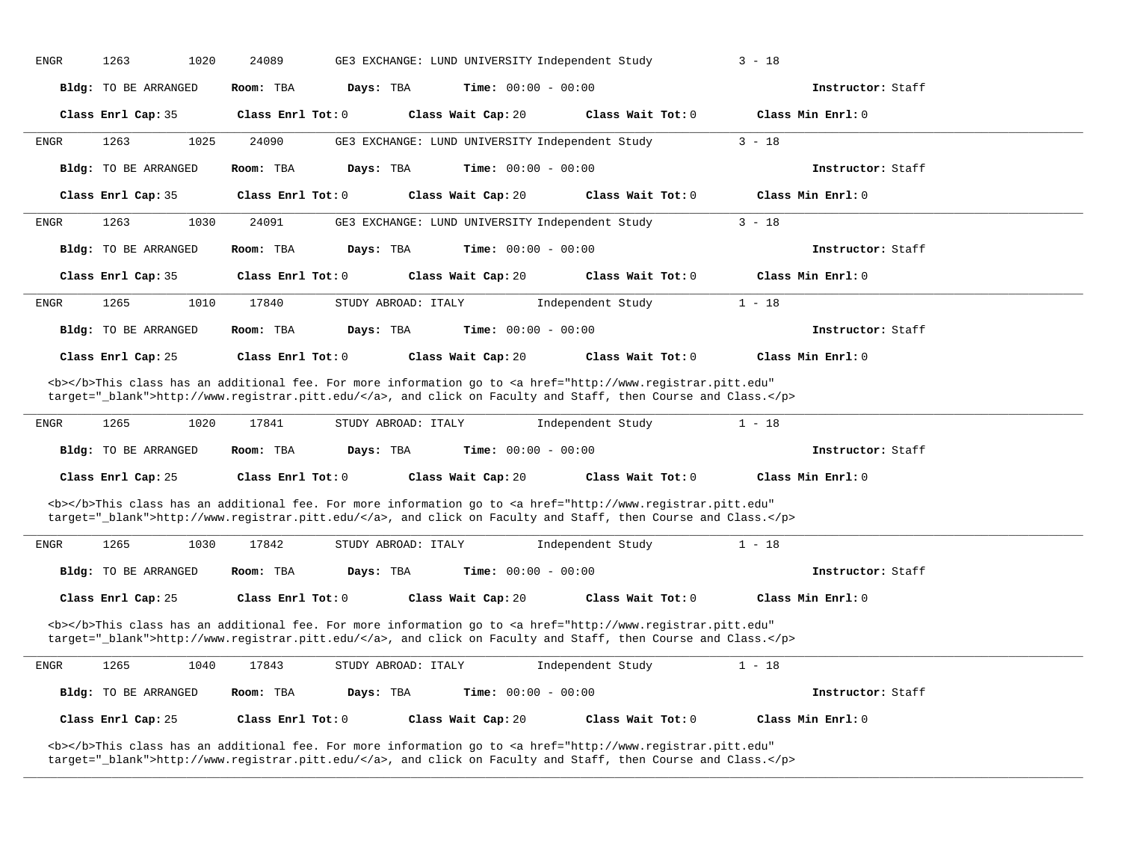| <b>ENGR</b><br>1263<br>1020 | 24089                                                                                                                                                                                                                              | GE3 EXCHANGE: LUND UNIVERSITY Independent Study | $3 - 18$          |  |
|-----------------------------|------------------------------------------------------------------------------------------------------------------------------------------------------------------------------------------------------------------------------------|-------------------------------------------------|-------------------|--|
| <b>Bldg:</b> TO BE ARRANGED | Room: TBA<br>Days: TBA                                                                                                                                                                                                             | Time: $00:00 - 00:00$                           | Instructor: Staff |  |
| Class Enrl Cap: 35          | Class Enrl Tot: 0<br>Class Wait Cap: 20                                                                                                                                                                                            | Class Wait Tot: 0                               | Class Min Enrl: 0 |  |
| 1263<br>1025<br>ENGR        | 24090                                                                                                                                                                                                                              | GE3 EXCHANGE: LUND UNIVERSITY Independent Study | $3 - 18$          |  |
| Bldg: TO BE ARRANGED        | Room: TBA<br>Days: TBA                                                                                                                                                                                                             | Time: $00:00 - 00:00$                           | Instructor: Staff |  |
| Class Enrl Cap: 35          | Class Enrl Tot: 0<br>Class Wait Cap: 20                                                                                                                                                                                            | Class Wait Tot: 0                               | Class Min Enrl: 0 |  |
| 1263<br>1030<br>ENGR        | 24091                                                                                                                                                                                                                              | GE3 EXCHANGE: LUND UNIVERSITY Independent Study | $3 - 18$          |  |
| Bldg: TO BE ARRANGED        | Room: TBA<br>Days: TBA                                                                                                                                                                                                             | <b>Time:</b> $00:00 - 00:00$                    | Instructor: Staff |  |
| Class Enrl Cap: 35          | Class Enrl Tot: 0<br>Class Wait Cap: 20                                                                                                                                                                                            | Class Wait Tot: 0                               | Class Min Enrl: 0 |  |
| 1265<br>1010<br><b>ENGR</b> | 17840<br>STUDY ABROAD: ITALY                                                                                                                                                                                                       | Independent Study                               | $1 - 18$          |  |
| <b>Bldg:</b> TO BE ARRANGED | Room: TBA<br>Days: TBA                                                                                                                                                                                                             | Time: $00:00 - 00:00$                           | Instructor: Staff |  |
| Class Enrl Cap: 25          | Class Enrl Tot: 0<br>Class Wait Cap: 20                                                                                                                                                                                            | Class Wait Tot: 0                               | Class Min Enrl: 0 |  |
|                             | <b></b> This class has an additional fee. For more information go to <a <br="" href="http://www.registrar.pitt.edu">target="_blank"&gt;http://www.registrar.pitt.edu/</a> , and click on Faculty and Staff, then Course and Class. |                                                 |                   |  |
| 1265<br>1020<br><b>ENGR</b> | 17841<br>STUDY ABROAD: ITALY                                                                                                                                                                                                       | Independent Study                               | $1 - 18$          |  |
| Bldg: TO BE ARRANGED        | Room: TBA<br>Days: TBA                                                                                                                                                                                                             | <b>Time:</b> $00:00 - 00:00$                    | Instructor: Staff |  |
| Class Enrl Cap: 25          | Class Wait Cap: 20<br>Class Enrl Tot: 0                                                                                                                                                                                            | Class Wait Tot: $0$                             | Class Min Enrl: 0 |  |
|                             | <b></b> This class has an additional fee. For more information go to <a <br="" href="http://www.registrar.pitt.edu">target="_blank"&gt;http://www.registrar.pitt.edu/</a> , and click on Faculty and Staff, then Course and Class. |                                                 |                   |  |
| 1265<br>1030<br><b>ENGR</b> | 17842<br>STUDY ABROAD: ITALY                                                                                                                                                                                                       | Independent Study                               | $1 - 18$          |  |
| Bldg: TO BE ARRANGED        | Room: TBA<br>Days: TBA                                                                                                                                                                                                             | <b>Time:</b> $00:00 - 00:00$                    | Instructor: Staff |  |
| Class Enrl Cap: 25          | Class Enrl Tot: 0<br>Class Wait Cap: 20                                                                                                                                                                                            | Class Wait Tot: 0                               | Class Min Enrl: 0 |  |
|                             | <b></b> This class has an additional fee. For more information go to <a <br="" href="http://www.registrar.pitt.edu">target="_blank"&gt;http://www.registrar.pitt.edu/</a> , and click on Faculty and Staff, then Course and Class. |                                                 |                   |  |
| 1265<br><b>ENGR</b><br>1040 | 17843<br>STUDY ABROAD: ITALY                                                                                                                                                                                                       | Independent Study                               | $1 - 18$          |  |
| Bldg: TO BE ARRANGED        | Room: TBA<br>Days: TBA                                                                                                                                                                                                             | <b>Time:</b> $00:00 - 00:00$                    | Instructor: Staff |  |
| Class Enrl Cap: 25          | Class Enrl Tot: 0<br>Class Wait Cap: 20                                                                                                                                                                                            | Class Wait Tot: 0                               | Class Min Enrl: 0 |  |
|                             | <b></b> This class has an additional fee. For more information go to <a <="" href="http://www.registrar.pitt.edu" td=""><td></td><td></td><td></td></a>                                                                            |                                                 |                   |  |

**\_\_\_\_\_\_\_\_\_\_\_\_\_\_\_\_\_\_\_\_\_\_\_\_\_\_\_\_\_\_\_\_\_\_\_\_\_\_\_\_\_\_\_\_\_\_\_\_\_\_\_\_\_\_\_\_\_\_\_\_\_\_\_\_\_\_\_\_\_\_\_\_\_\_\_\_\_\_\_\_\_\_\_\_\_\_\_\_\_\_\_\_\_\_\_\_\_\_\_\_\_\_\_\_\_\_\_\_\_\_\_\_\_\_\_\_\_\_\_\_\_\_\_\_\_\_\_\_\_\_\_\_\_\_\_\_\_\_\_\_\_\_\_\_\_\_\_\_\_\_\_\_\_\_\_\_**

target="\_blank">http://www.registrar.pitt.edu/</a>, and click on Faculty and Staff, then Course and Class.</p>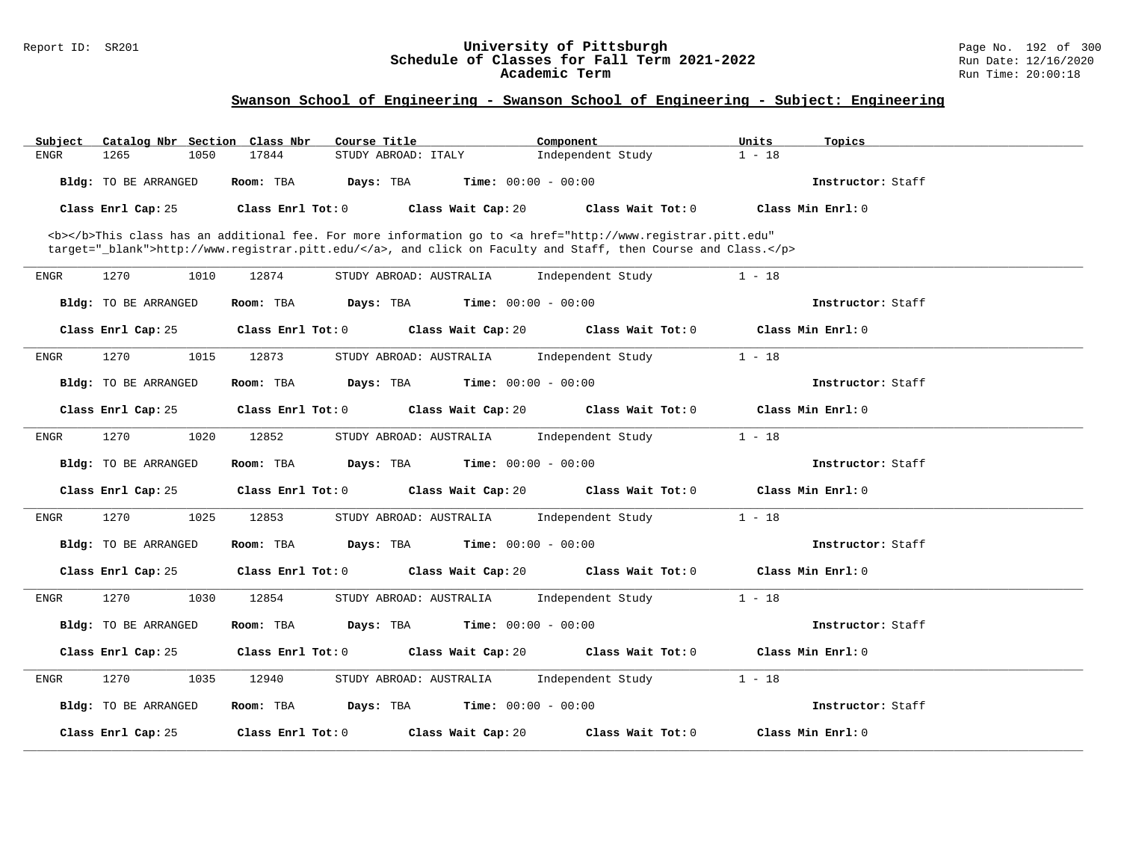#### Report ID: SR201 **University of Pittsburgh** Page No. 192 of 300 **Schedule of Classes for Fall Term 2021-2022** Run Date: 12/16/2020 **Academic Term** Run Time: 20:00:18

| Subject     | Catalog Nbr Section Class Nbr | Course Title                     | Component                                                                                                                                                                                                                          | Units<br>Topics   |  |
|-------------|-------------------------------|----------------------------------|------------------------------------------------------------------------------------------------------------------------------------------------------------------------------------------------------------------------------------|-------------------|--|
| <b>ENGR</b> | 1265<br>1050                  | 17844<br>STUDY ABROAD: ITALY     | Independent Study                                                                                                                                                                                                                  | $1 - 18$          |  |
|             | Bldg: TO BE ARRANGED          | Room: TBA<br>Days: TBA           | <b>Time:</b> $00:00 - 00:00$                                                                                                                                                                                                       | Instructor: Staff |  |
|             | Class Enrl Cap: 25            | Class Enrl Tot: 0                | Class Wait Cap: 20<br>Class Wait Tot: 0                                                                                                                                                                                            | Class Min Enrl: 0 |  |
|             |                               |                                  | <b></b> This class has an additional fee. For more information go to <a <br="" href="http://www.registrar.pitt.edu">target="_blank"&gt;http://www.registrar.pitt.edu/</a> , and click on Faculty and Staff, then Course and Class. |                   |  |
| <b>ENGR</b> | 1270<br>1010                  | 12874<br>STUDY ABROAD: AUSTRALIA | Independent Study                                                                                                                                                                                                                  | $1 - 18$          |  |
|             | Bldg: TO BE ARRANGED          | Room: TBA<br>Days: TBA           | <b>Time:</b> $00:00 - 00:00$                                                                                                                                                                                                       | Instructor: Staff |  |
|             | Class Enrl Cap: 25            | Class Enrl Tot: 0                | Class Wait Tot: 0<br>Class Wait Cap: 20                                                                                                                                                                                            | Class Min Enrl: 0 |  |
| <b>ENGR</b> | 1270<br>1015                  | 12873<br>STUDY ABROAD: AUSTRALIA | Independent Study                                                                                                                                                                                                                  | $1 - 18$          |  |
|             | Bldg: TO BE ARRANGED          | Room: TBA<br>Days: TBA           | <b>Time:</b> $00:00 - 00:00$                                                                                                                                                                                                       | Instructor: Staff |  |
|             | Class Enrl Cap: 25            | Class Enrl Tot: 0                | Class Wait Cap: 20<br>Class Wait Tot: 0                                                                                                                                                                                            | Class Min Enrl: 0 |  |
| ENGR        | 1270<br>1020                  | 12852<br>STUDY ABROAD: AUSTRALIA | Independent Study                                                                                                                                                                                                                  | $1 - 18$          |  |
|             | Bldg: TO BE ARRANGED          | Room: TBA<br>Days: TBA           | <b>Time:</b> $00:00 - 00:00$                                                                                                                                                                                                       | Instructor: Staff |  |
|             | Class Enrl Cap: 25            | Class Enrl Tot: 0                | Class Wait Cap: 20<br>Class Wait Tot: 0                                                                                                                                                                                            | Class Min Enrl: 0 |  |
| <b>ENGR</b> | 1270<br>1025                  | 12853<br>STUDY ABROAD: AUSTRALIA | Independent Study                                                                                                                                                                                                                  | $1 - 18$          |  |
|             | Bldg: TO BE ARRANGED          | Room: TBA<br>Days: TBA           | <b>Time:</b> $00:00 - 00:00$                                                                                                                                                                                                       | Instructor: Staff |  |
|             | Class Enrl Cap: 25            | Class Enrl Tot: 0                | Class Wait Cap: 20<br>Class Wait Tot: 0                                                                                                                                                                                            | Class Min Enrl: 0 |  |
| ENGR        | 1270<br>1030                  | 12854<br>STUDY ABROAD: AUSTRALIA | Independent Study                                                                                                                                                                                                                  | $1 - 18$          |  |
|             | Bldg: TO BE ARRANGED          | Room: TBA<br>Days: TBA           | <b>Time:</b> $00:00 - 00:00$                                                                                                                                                                                                       | Instructor: Staff |  |
|             | Class Enrl Cap: 25            | Class Enrl Tot: 0                | Class Wait Cap: 20<br>Class Wait Tot: 0                                                                                                                                                                                            | Class Min Enrl: 0 |  |
| ENGR        | 1270<br>1035                  | STUDY ABROAD: AUSTRALIA<br>12940 | Independent Study                                                                                                                                                                                                                  | $1 - 18$          |  |
|             | Bldg: TO BE ARRANGED          | Room: TBA<br>Days: TBA           | <b>Time:</b> $00:00 - 00:00$                                                                                                                                                                                                       | Instructor: Staff |  |
|             | Class Enrl Cap: 25            | Class Enrl Tot: 0                | Class Wait Cap: 20<br>Class Wait Tot: 0                                                                                                                                                                                            | Class Min Enrl: 0 |  |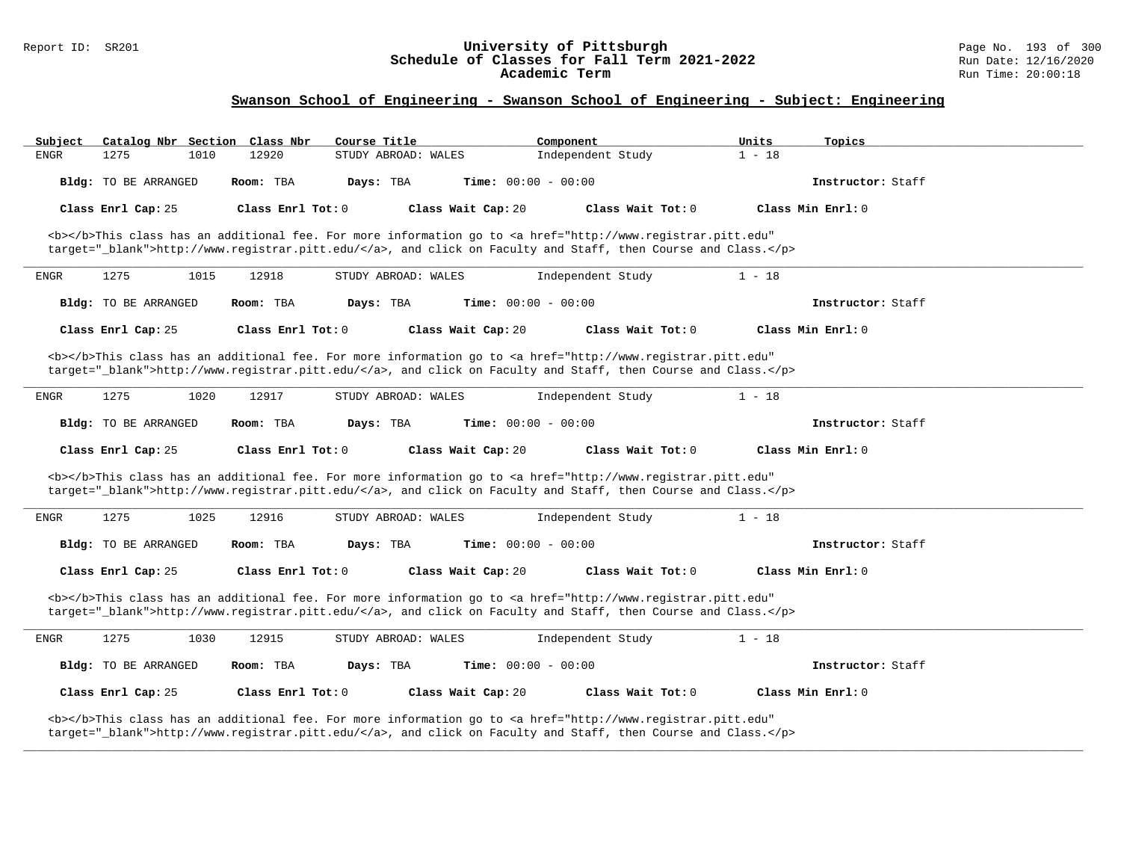#### Report ID: SR201 **University of Pittsburgh** Page No. 193 of 300 **Schedule of Classes for Fall Term 2021-2022** Run Date: 12/16/2020 **Academic Term** Run Time: 20:00:18

| Subject     | Catalog Nbr Section Class Nbr |      |                   | Course Title |                     |                              | Component                                                                                                                                                                                                                          | Units    | Topics             |  |
|-------------|-------------------------------|------|-------------------|--------------|---------------------|------------------------------|------------------------------------------------------------------------------------------------------------------------------------------------------------------------------------------------------------------------------------|----------|--------------------|--|
| ENGR        | 1275                          | 1010 | 12920             |              | STUDY ABROAD: WALES |                              | Independent Study                                                                                                                                                                                                                  | $1 - 18$ |                    |  |
|             | Bldg: TO BE ARRANGED          |      | Room: TBA         | Days: TBA    |                     | <b>Time:</b> $00:00 - 00:00$ |                                                                                                                                                                                                                                    |          | Instructor: Staff  |  |
|             | Class Enrl Cap: 25            |      | Class Enrl Tot: 0 |              | Class Wait Cap: 20  |                              | Class Wait Tot: 0                                                                                                                                                                                                                  |          | Class Min Enrl: 0  |  |
|             |                               |      |                   |              |                     |                              | <b></b> This class has an additional fee. For more information go to <a <br="" href="http://www.registrar.pitt.edu">target="_blank"&gt;http://www.registrar.pitt.edu/</a> , and click on Faculty and Staff, then Course and Class. |          |                    |  |
| ENGR        | 1275                          | 1015 | 12918             |              | STUDY ABROAD: WALES |                              | Independent Study                                                                                                                                                                                                                  | $1 - 18$ |                    |  |
|             | Bldg: TO BE ARRANGED          |      | Room: TBA         | Days: TBA    |                     | Time: $00:00 - 00:00$        |                                                                                                                                                                                                                                    |          | Instructor: Staff  |  |
|             | Class Enrl Cap: 25            |      | Class Enrl Tot: 0 |              | Class Wait Cap: 20  |                              | Class Wait Tot: 0                                                                                                                                                                                                                  |          | Class Min $Err1:0$ |  |
|             |                               |      |                   |              |                     |                              | <b></b> This class has an additional fee. For more information go to <a <br="" href="http://www.registrar.pitt.edu">target="_blank"&gt;http://www.registrar.pitt.edu/</a> , and click on Faculty and Staff, then Course and Class. |          |                    |  |
| ENGR        | 1275                          | 1020 | 12917             |              | STUDY ABROAD: WALES |                              | Independent Study                                                                                                                                                                                                                  | $1 - 18$ |                    |  |
|             | Bldg: TO BE ARRANGED          |      | Room: TBA         | Days: TBA    |                     | <b>Time:</b> $00:00 - 00:00$ |                                                                                                                                                                                                                                    |          | Instructor: Staff  |  |
|             | Class Enrl Cap: 25            |      | Class Enrl Tot: 0 |              | Class Wait Cap: 20  |                              | Class Wait Tot: 0                                                                                                                                                                                                                  |          | Class Min Enrl: 0  |  |
|             |                               |      |                   |              |                     |                              | <b></b> This class has an additional fee. For more information go to <a <br="" href="http://www.registrar.pitt.edu">target="_blank"&gt;http://www.registrar.pitt.edu/</a> , and click on Faculty and Staff, then Course and Class. |          |                    |  |
| ENGR        | 1275                          | 1025 | 12916             |              | STUDY ABROAD: WALES |                              | Independent Study                                                                                                                                                                                                                  | $1 - 18$ |                    |  |
|             | Bldg: TO BE ARRANGED          |      | Room: TBA         | Days: TBA    |                     | <b>Time:</b> $00:00 - 00:00$ |                                                                                                                                                                                                                                    |          | Instructor: Staff  |  |
|             | Class Enrl Cap: 25            |      | Class Enrl Tot: 0 |              | Class Wait Cap: 20  |                              | Class Wait Tot: 0                                                                                                                                                                                                                  |          | Class Min Enrl: 0  |  |
|             |                               |      |                   |              |                     |                              | <b></b> This class has an additional fee. For more information go to <a <br="" href="http://www.registrar.pitt.edu">target="_blank"&gt;http://www.registrar.pitt.edu/</a> , and click on Faculty and Staff, then Course and Class. |          |                    |  |
| <b>ENGR</b> | 1275                          | 1030 | 12915             |              | STUDY ABROAD: WALES |                              | Independent Study                                                                                                                                                                                                                  | $1 - 18$ |                    |  |
|             | Bldg: TO BE ARRANGED          |      | Room: TBA         | Days: TBA    |                     | <b>Time:</b> $00:00 - 00:00$ |                                                                                                                                                                                                                                    |          | Instructor: Staff  |  |
|             | Class Enrl Cap: 25            |      | Class Enrl Tot: 0 |              | Class Wait Cap: 20  |                              | Class Wait Tot: 0                                                                                                                                                                                                                  |          | Class Min Enrl: 0  |  |
|             |                               |      |                   |              |                     |                              | <b></b> This class has an additional fee. For more information go to <a <br="" href="http://www.registrar.pitt.edu">target="_blank"&gt;http://www.registrar.pitt.edu/</a> , and click on Faculty and Staff, then Course and Class. |          |                    |  |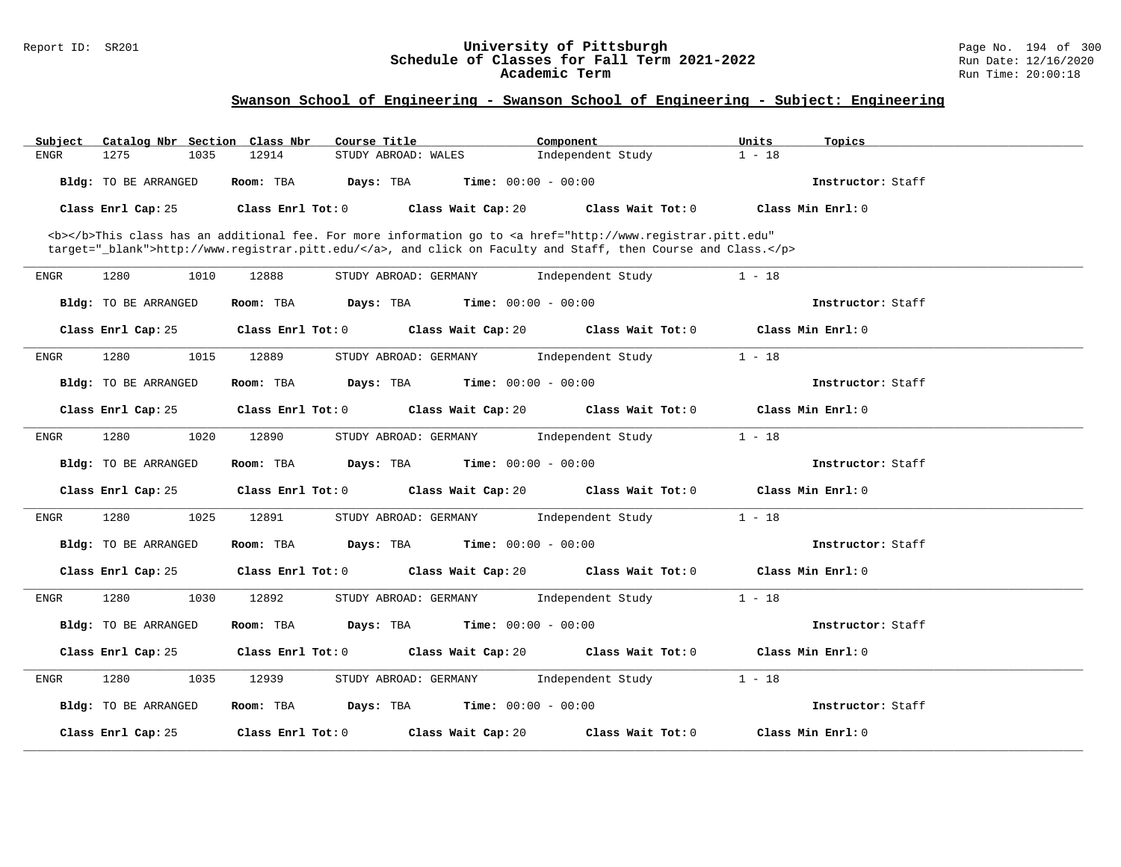#### Report ID: SR201 **University of Pittsburgh** Page No. 194 of 300 **Schedule of Classes for Fall Term 2021-2022** Run Date: 12/16/2020 **Academic Term** Run Time: 20:00:18

| Catalog Nbr Section Class Nbr<br>Subject | Course Title                                                                                                                                                                                                                       | Component         | Units<br>Topics   |
|------------------------------------------|------------------------------------------------------------------------------------------------------------------------------------------------------------------------------------------------------------------------------------|-------------------|-------------------|
| 1275<br>1035<br><b>ENGR</b>              | 12914<br>STUDY ABROAD: WALES                                                                                                                                                                                                       | Independent Study | $1 - 18$          |
| Bldg: TO BE ARRANGED                     | Room: TBA<br>Days: TBA<br><b>Time:</b> $00:00 - 00:00$                                                                                                                                                                             |                   | Instructor: Staff |
| Class Enrl Cap: 25                       | Class Enrl Tot: 0<br>Class Wait Cap: 20                                                                                                                                                                                            | Class Wait Tot: 0 | Class Min Enrl: 0 |
|                                          | <b></b> This class has an additional fee. For more information go to <a <br="" href="http://www.registrar.pitt.edu">target="_blank"&gt;http://www.registrar.pitt.edu/</a> , and click on Faculty and Staff, then Course and Class. |                   |                   |
| 1280<br><b>ENGR</b><br>1010              | 12888<br>STUDY ABROAD: GERMANY                                                                                                                                                                                                     | Independent Study | $1 - 18$          |
| Bldg: TO BE ARRANGED                     | <b>Time:</b> $00:00 - 00:00$<br>Room: TBA<br>Days: TBA                                                                                                                                                                             |                   | Instructor: Staff |
| Class Enrl Cap: 25                       | Class Enrl Tot: 0<br>Class Wait Cap: 20                                                                                                                                                                                            | Class Wait Tot: 0 | Class Min Enrl: 0 |
| 1280<br>1015<br>ENGR                     | 12889<br>STUDY ABROAD: GERMANY                                                                                                                                                                                                     | Independent Study | $1 - 18$          |
| Bldg: TO BE ARRANGED                     | <b>Time:</b> $00:00 - 00:00$<br>Room: TBA<br>Days: TBA                                                                                                                                                                             |                   | Instructor: Staff |
| Class Enrl Cap: 25                       | Class Enrl Tot: 0<br>Class Wait Cap: 20                                                                                                                                                                                            | Class Wait Tot: 0 | Class Min Enrl: 0 |
| 1280<br>1020<br><b>ENGR</b>              | 12890<br>STUDY ABROAD: GERMANY                                                                                                                                                                                                     | Independent Study | $1 - 18$          |
| Bldg: TO BE ARRANGED                     | Room: TBA<br><b>Time:</b> $00:00 - 00:00$<br>Days: TBA                                                                                                                                                                             |                   | Instructor: Staff |
| Class Enrl Cap: 25                       | Class Wait Cap: 20<br>Class Enrl Tot: 0                                                                                                                                                                                            | Class Wait Tot: 0 | Class Min Enrl: 0 |
| 1280<br>1025<br>ENGR                     | 12891<br>STUDY ABROAD: GERMANY                                                                                                                                                                                                     | Independent Study | $1 - 18$          |
| Bldg: TO BE ARRANGED                     | <b>Time:</b> $00:00 - 00:00$<br>Room: TBA<br>Days: TBA                                                                                                                                                                             |                   | Instructor: Staff |
| Class Enrl Cap: 25                       | Class Wait Cap: 20<br>Class Enrl Tot: 0                                                                                                                                                                                            | Class Wait Tot: 0 | Class Min Enrl: 0 |
| 1280<br>1030<br>ENGR                     | 12892<br>STUDY ABROAD: GERMANY                                                                                                                                                                                                     | Independent Study | $1 - 18$          |
| Bldg: TO BE ARRANGED                     | Room: TBA<br>Days: TBA<br><b>Time:</b> $00:00 - 00:00$                                                                                                                                                                             |                   | Instructor: Staff |
| Class Enrl Cap: 25                       | Class Enrl Tot: 0<br>Class Wait Cap: 20                                                                                                                                                                                            | Class Wait Tot: 0 | Class Min Enrl: 0 |
| 1280<br>1035<br>ENGR                     | 12939<br>STUDY ABROAD: GERMANY                                                                                                                                                                                                     | Independent Study | $1 - 18$          |
| Bldg: TO BE ARRANGED                     | Room: TBA<br>Days: TBA<br><b>Time:</b> $00:00 - 00:00$                                                                                                                                                                             |                   | Instructor: Staff |
| Class Enrl Cap: 25                       | Class Enrl Tot: 0<br>Class Wait Cap: 20                                                                                                                                                                                            | Class Wait Tot: 0 | Class Min Enrl: 0 |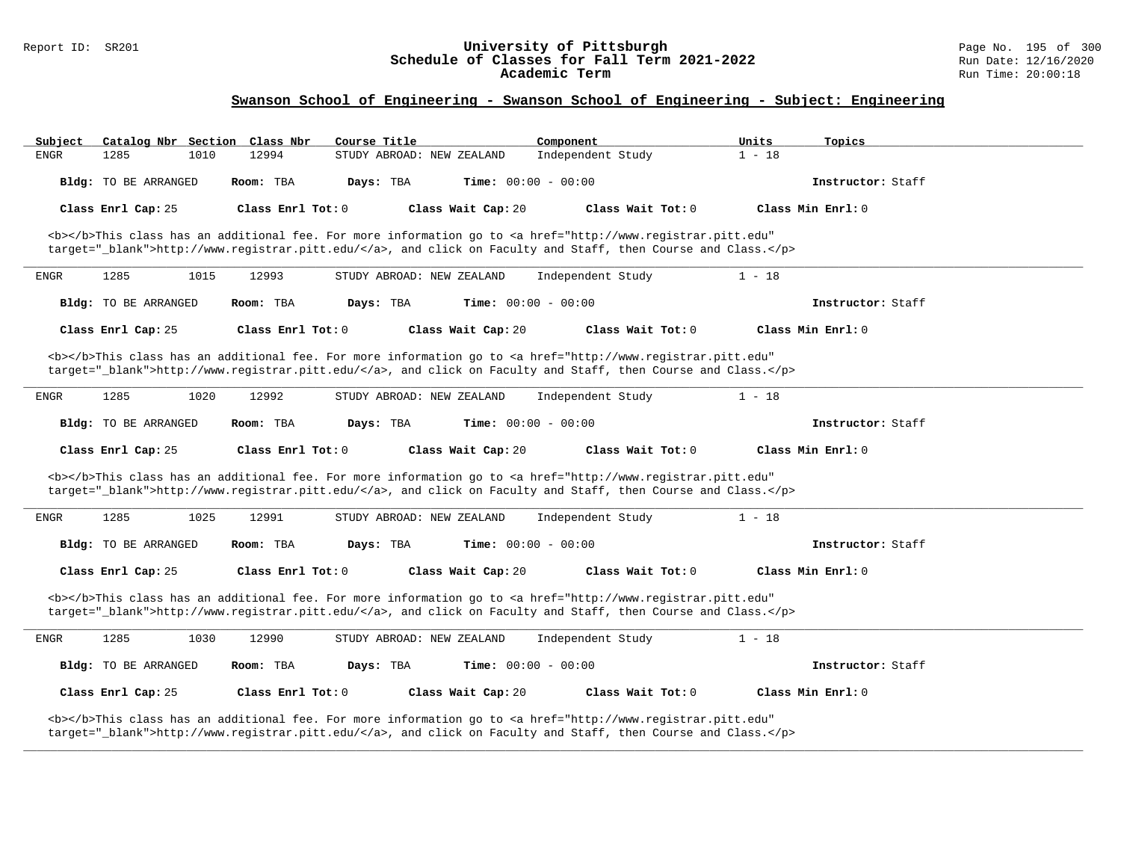#### Report ID: SR201 **University of Pittsburgh** Page No. 195 of 300 **Schedule of Classes for Fall Term 2021-2022** Run Date: 12/16/2020 **Academic Term** Run Time: 20:00:18

| Subject     | Catalog Nbr Section Class Nbr |      |                   | Course Title |                           |                              | Component         |                                                                                                                                                                                                                                    | Units    | Topics            |  |
|-------------|-------------------------------|------|-------------------|--------------|---------------------------|------------------------------|-------------------|------------------------------------------------------------------------------------------------------------------------------------------------------------------------------------------------------------------------------------|----------|-------------------|--|
| ENGR        | 1285                          | 1010 | 12994             |              | STUDY ABROAD: NEW ZEALAND |                              | Independent Study |                                                                                                                                                                                                                                    | $1 - 18$ |                   |  |
|             | Bldg: TO BE ARRANGED          |      | Room: TBA         | Days: TBA    |                           | <b>Time:</b> $00:00 - 00:00$ |                   |                                                                                                                                                                                                                                    |          | Instructor: Staff |  |
|             | Class Enrl Cap: 25            |      | Class Enrl Tot: 0 |              |                           | Class Wait Cap: 20           |                   | Class Wait Tot: 0                                                                                                                                                                                                                  |          | Class Min Enrl: 0 |  |
|             |                               |      |                   |              |                           |                              |                   | <b></b> This class has an additional fee. For more information go to <a <br="" href="http://www.registrar.pitt.edu">target="_blank"&gt;http://www.registrar.pitt.edu/</a> , and click on Faculty and Staff, then Course and Class. |          |                   |  |
| ENGR        | 1285                          | 1015 | 12993             |              | STUDY ABROAD: NEW ZEALAND |                              | Independent Study |                                                                                                                                                                                                                                    | $1 - 18$ |                   |  |
|             | Bldg: TO BE ARRANGED          |      | Room: TBA         | Days: TBA    |                           | <b>Time:</b> $00:00 - 00:00$ |                   |                                                                                                                                                                                                                                    |          | Instructor: Staff |  |
|             | Class Enrl Cap: 25            |      | Class Enrl Tot: 0 |              |                           | Class Wait Cap: 20           |                   | Class Wait Tot: 0                                                                                                                                                                                                                  |          | Class Min Enrl: 0 |  |
|             |                               |      |                   |              |                           |                              |                   | <b></b> This class has an additional fee. For more information go to <a <br="" href="http://www.registrar.pitt.edu">target="_blank"&gt;http://www.registrar.pitt.edu/</a> , and click on Faculty and Staff, then Course and Class. |          |                   |  |
| ENGR        | 1285                          | 1020 | 12992             |              | STUDY ABROAD: NEW ZEALAND |                              | Independent Study |                                                                                                                                                                                                                                    | $1 - 18$ |                   |  |
|             | Bldg: TO BE ARRANGED          |      | Room: TBA         | Days: TBA    |                           | Time: $00:00 - 00:00$        |                   |                                                                                                                                                                                                                                    |          | Instructor: Staff |  |
|             | Class Enrl Cap: 25            |      | Class Enrl Tot: 0 |              |                           | Class Wait Cap: 20           |                   | Class Wait Tot: 0                                                                                                                                                                                                                  |          | Class Min Enrl: 0 |  |
|             |                               |      |                   |              |                           |                              |                   | <b></b> This class has an additional fee. For more information go to <a <br="" href="http://www.registrar.pitt.edu">target="_blank"&gt;http://www.registrar.pitt.edu/</a> , and click on Faculty and Staff, then Course and Class. |          |                   |  |
| ENGR        | 1285                          | 1025 | 12991             |              | STUDY ABROAD: NEW ZEALAND |                              | Independent Study |                                                                                                                                                                                                                                    | $1 - 18$ |                   |  |
|             | Bldg: TO BE ARRANGED          |      | Room: TBA         | Days: TBA    |                           | <b>Time:</b> $00:00 - 00:00$ |                   |                                                                                                                                                                                                                                    |          | Instructor: Staff |  |
|             | Class Enrl Cap: 25            |      | Class Enrl Tot: 0 |              |                           | Class Wait Cap: 20           |                   | Class Wait Tot: 0                                                                                                                                                                                                                  |          | Class Min Enrl: 0 |  |
|             |                               |      |                   |              |                           |                              |                   | <b></b> This class has an additional fee. For more information go to <a <br="" href="http://www.registrar.pitt.edu">target="_blank"&gt;http://www.registrar.pitt.edu/</a> , and click on Faculty and Staff, then Course and Class. |          |                   |  |
| <b>ENGR</b> | 1285                          | 1030 | 12990             |              | STUDY ABROAD: NEW ZEALAND |                              | Independent Study |                                                                                                                                                                                                                                    | $1 - 18$ |                   |  |
|             | Bldg: TO BE ARRANGED          |      | Room: TBA         | Days: TBA    |                           | <b>Time:</b> $00:00 - 00:00$ |                   |                                                                                                                                                                                                                                    |          | Instructor: Staff |  |
|             | Class Enrl Cap: 25            |      | Class Enrl Tot: 0 |              |                           | Class Wait Cap: 20           |                   | Class Wait Tot: 0                                                                                                                                                                                                                  |          | Class Min Enrl: 0 |  |
|             |                               |      |                   |              |                           |                              |                   | <b></b> This class has an additional fee. For more information go to <a <br="" href="http://www.registrar.pitt.edu">target="_blank"&gt;http://www.registrar.pitt.edu/</a> , and click on Faculty and Staff, then Course and Class. |          |                   |  |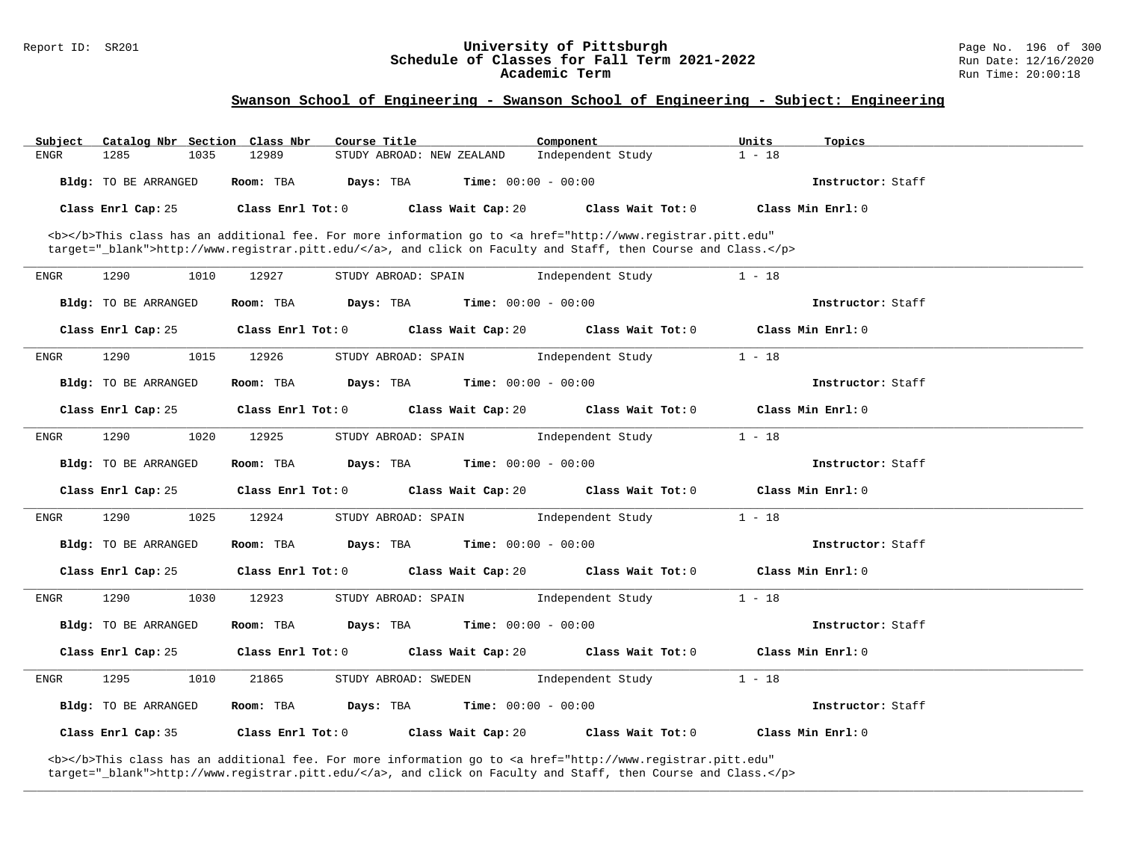# Report ID: SR201 **196 Conserversity of Pittsburgh University of Pittsburgh** Page No. 196 of 300 Page No. 196 of 300 Page No. 196 of 300 Page No. 196 of 300 Page No. 196 of 300 Page No. 196 Aun Date: 12/16/2020 Schedule of Classes for Fall Term 2021-2022<br>Academic Term

## **Swanson School of Engineering - Swanson School of Engineering - Subject: Engineering**

| Subject     | Catalog Nbr Section Class Nbr | Course Title                                                                                                                                                                                                                       | Component                    | Units<br>Topics   |  |
|-------------|-------------------------------|------------------------------------------------------------------------------------------------------------------------------------------------------------------------------------------------------------------------------------|------------------------------|-------------------|--|
| ENGR        | 1285<br>1035                  | 12989<br>STUDY ABROAD: NEW ZEALAND                                                                                                                                                                                                 | Independent Study            | $1 - 18$          |  |
|             | Bldg: TO BE ARRANGED          | Room: TBA<br>Days: TBA                                                                                                                                                                                                             | <b>Time:</b> $00:00 - 00:00$ | Instructor: Staff |  |
|             | Class Enrl Cap: 25            | Class Enrl Tot: 0<br>Class Wait Cap: 20                                                                                                                                                                                            | Class Wait Tot: 0            | Class Min Enrl: 0 |  |
|             |                               | <b></b> This class has an additional fee. For more information go to <a <br="" href="http://www.registrar.pitt.edu">target="_blank"&gt;http://www.registrar.pitt.edu/</a> , and click on Faculty and Staff, then Course and Class. |                              |                   |  |
| ENGR        | 1290<br>1010                  | 12927<br>STUDY ABROAD: SPAIN                                                                                                                                                                                                       | Independent Study            | $1 - 18$          |  |
|             | Bldg: TO BE ARRANGED          | Room: TBA<br>Days: TBA                                                                                                                                                                                                             | <b>Time:</b> $00:00 - 00:00$ | Instructor: Staff |  |
|             | Class Enrl Cap: 25            | Class Enrl Tot: 0<br>Class Wait Cap: 20                                                                                                                                                                                            | Class Wait Tot: 0            | Class Min Enrl: 0 |  |
| <b>ENGR</b> | 1290<br>1015                  | 12926<br>STUDY ABROAD: SPAIN                                                                                                                                                                                                       | Independent Study            | $1 - 18$          |  |
|             | Bldg: TO BE ARRANGED          | Room: TBA<br>Days: TBA                                                                                                                                                                                                             | <b>Time:</b> $00:00 - 00:00$ | Instructor: Staff |  |
|             | Class Enrl Cap: 25            | Class Enrl Tot: 0<br>Class Wait Cap: 20                                                                                                                                                                                            | Class Wait Tot: 0            | Class Min Enrl: 0 |  |
| <b>ENGR</b> | 1290<br>1020                  | 12925<br>STUDY ABROAD: SPAIN                                                                                                                                                                                                       | Independent Study            | $1 - 18$          |  |
|             | Bldg: TO BE ARRANGED          | Room: TBA<br>Days: TBA                                                                                                                                                                                                             | <b>Time:</b> $00:00 - 00:00$ | Instructor: Staff |  |
|             | Class Enrl Cap: 25            | Class Enrl Tot: 0<br>Class Wait Cap: 20                                                                                                                                                                                            | Class Wait Tot: 0            | Class Min Enrl: 0 |  |
| ENGR        | 1290<br>1025                  | 12924<br>STUDY ABROAD: SPAIN                                                                                                                                                                                                       | Independent Study            | $1 - 18$          |  |
|             | Bldg: TO BE ARRANGED          | Room: TBA<br>Days: TBA                                                                                                                                                                                                             | <b>Time:</b> $00:00 - 00:00$ | Instructor: Staff |  |
|             | Class Enrl Cap: 25            | Class Enrl Tot: 0<br>Class Wait Cap: 20                                                                                                                                                                                            | Class Wait Tot: 0            | Class Min Enrl: 0 |  |
| <b>ENGR</b> | 1290<br>1030                  | 12923<br>STUDY ABROAD: SPAIN                                                                                                                                                                                                       | Independent Study            | $1 - 18$          |  |
|             | Bldg: TO BE ARRANGED          | Room: TBA<br>Days: TBA                                                                                                                                                                                                             | <b>Time:</b> $00:00 - 00:00$ | Instructor: Staff |  |
|             | Class Enrl Cap: 25            | Class Enrl Tot: 0<br>Class Wait Cap: 20                                                                                                                                                                                            | Class Wait Tot: 0            | Class Min Enrl: 0 |  |
| ENGR        | 1295<br>1010                  | 21865<br>STUDY ABROAD: SWEDEN                                                                                                                                                                                                      | Independent Study            | $1 - 18$          |  |
|             | Bldg: TO BE ARRANGED          | Days: TBA<br>Room: TBA                                                                                                                                                                                                             | <b>Time:</b> $00:00 - 00:00$ | Instructor: Staff |  |
|             | Class Enrl Cap: 35            | Class Enrl Tot: 0<br>Class Wait Cap: 20                                                                                                                                                                                            | Class Wait Tot: 0            | Class Min Enrl: 0 |  |

**\_\_\_\_\_\_\_\_\_\_\_\_\_\_\_\_\_\_\_\_\_\_\_\_\_\_\_\_\_\_\_\_\_\_\_\_\_\_\_\_\_\_\_\_\_\_\_\_\_\_\_\_\_\_\_\_\_\_\_\_\_\_\_\_\_\_\_\_\_\_\_\_\_\_\_\_\_\_\_\_\_\_\_\_\_\_\_\_\_\_\_\_\_\_\_\_\_\_\_\_\_\_\_\_\_\_\_\_\_\_\_\_\_\_\_\_\_\_\_\_\_\_\_\_\_\_\_\_\_\_\_\_\_\_\_\_\_\_\_\_\_\_\_\_\_\_\_\_\_\_\_\_\_\_\_\_**

<b></b>This class has an additional fee. For more information go to <a href="http://www.registrar.pitt.edu" target="\_blank">http://www.registrar.pitt.edu/</a>, and click on Faculty and Staff, then Course and Class.</p>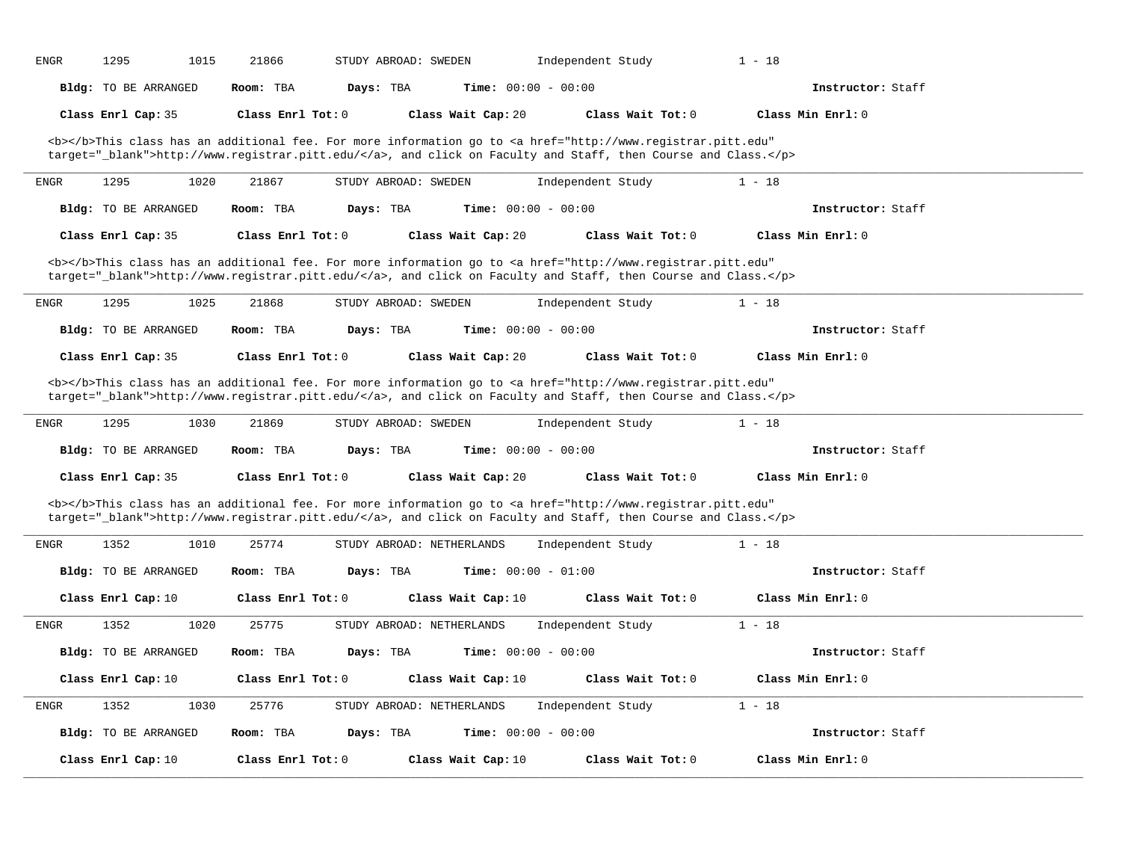| <b>ENGR</b>  | 1295<br>1015                | 21866             | STUDY ABROAD: SWEDEN      |                              | Independent Study                                                                                                                                                                                                                  | $1 - 18$          |  |
|--------------|-----------------------------|-------------------|---------------------------|------------------------------|------------------------------------------------------------------------------------------------------------------------------------------------------------------------------------------------------------------------------------|-------------------|--|
|              | Bldg: TO BE ARRANGED        | Room: TBA         | Days: TBA                 | Time: $00:00 - 00:00$        |                                                                                                                                                                                                                                    | Instructor: Staff |  |
|              | Class Enrl Cap: 35          | Class Enrl Tot: 0 |                           | Class Wait Cap: 20           | Class Wait Tot: 0                                                                                                                                                                                                                  | Class Min Enrl: 0 |  |
|              |                             |                   |                           |                              | <b></b> This class has an additional fee. For more information go to <a <br="" href="http://www.registrar.pitt.edu">target="_blank"&gt;http://www.registrar.pitt.edu/</a> , and click on Faculty and Staff, then Course and Class. |                   |  |
| <b>ENGR</b>  | 1295<br>1020                | 21867             | STUDY ABROAD: SWEDEN      |                              | Independent Study                                                                                                                                                                                                                  | $1 - 18$          |  |
|              | <b>Bldg:</b> TO BE ARRANGED | Room: TBA         | Days: TBA                 | Time: $00:00 - 00:00$        |                                                                                                                                                                                                                                    | Instructor: Staff |  |
|              | Class Enrl Cap: 35          | Class Enrl Tot: 0 |                           | Class Wait Cap: 20           | Class Wait Tot: 0                                                                                                                                                                                                                  | Class Min Enrl: 0 |  |
|              |                             |                   |                           |                              | <b></b> This class has an additional fee. For more information go to <a <br="" href="http://www.registrar.pitt.edu">target="_blank"&gt;http://www.registrar.pitt.edu/</a> , and click on Faculty and Staff, then Course and Class. |                   |  |
| ${\tt ENGR}$ | 1295<br>1025                | 21868             | STUDY ABROAD: SWEDEN      |                              | Independent Study                                                                                                                                                                                                                  | $1 - 18$          |  |
|              | Bldg: TO BE ARRANGED        | Room: TBA         | Days: TBA                 | Time: $00:00 - 00:00$        |                                                                                                                                                                                                                                    | Instructor: Staff |  |
|              | Class Enrl Cap: 35          | Class Enrl Tot: 0 |                           | Class Wait Cap: 20           | Class Wait Tot: 0                                                                                                                                                                                                                  | Class Min Enrl: 0 |  |
|              |                             |                   |                           |                              | <b></b> This class has an additional fee. For more information go to <a <br="" href="http://www.registrar.pitt.edu">target="_blank"&gt;http://www.registrar.pitt.edu/</a> , and click on Faculty and Staff, then Course and Class. |                   |  |
| ENGR         | 1295<br>1030                | 21869             | STUDY ABROAD: SWEDEN      |                              | Independent Study                                                                                                                                                                                                                  | $1 - 18$          |  |
|              | Bldg: TO BE ARRANGED        | Room: TBA         | Days: TBA                 | <b>Time:</b> $00:00 - 00:00$ |                                                                                                                                                                                                                                    | Instructor: Staff |  |
|              | Class Enrl Cap: 35          | Class Enrl Tot: 0 |                           | Class Wait Cap: 20           | Class Wait Tot: 0                                                                                                                                                                                                                  | Class Min Enrl: 0 |  |
|              |                             |                   |                           |                              | <b></b> This class has an additional fee. For more information go to <a <br="" href="http://www.registrar.pitt.edu">target="_blank"&gt;http://www.registrar.pitt.edu/</a> , and click on Faculty and Staff, then Course and Class. |                   |  |
| ENGR         | 1352<br>1010                | 25774             | STUDY ABROAD: NETHERLANDS |                              | Independent Study                                                                                                                                                                                                                  | $1 - 18$          |  |
|              | Bldg: TO BE ARRANGED        | Room: TBA         | Days: TBA                 | <b>Time:</b> $00:00 - 01:00$ |                                                                                                                                                                                                                                    | Instructor: Staff |  |
|              | Class Enrl Cap: 10          | Class Enrl Tot: 0 |                           | Class Wait Cap: 10           | Class Wait Tot: 0                                                                                                                                                                                                                  | Class Min Enrl: 0 |  |
| ENGR         | 1352<br>1020                | 25775             | STUDY ABROAD: NETHERLANDS |                              | Independent Study                                                                                                                                                                                                                  | $1 - 18$          |  |
|              | Bldg: TO BE ARRANGED        | Room: TBA         | Days: TBA                 | <b>Time:</b> $00:00 - 00:00$ |                                                                                                                                                                                                                                    | Instructor: Staff |  |
|              | Class Enrl Cap: 10          | Class Enrl Tot: 0 |                           | Class Wait Cap: 10           | Class Wait Tot: 0                                                                                                                                                                                                                  | Class Min Enrl: 0 |  |
| <b>ENGR</b>  | 1352<br>1030                | 25776             | STUDY ABROAD: NETHERLANDS |                              | Independent Study                                                                                                                                                                                                                  | $1 - 18$          |  |
|              | Bldg: TO BE ARRANGED        | Room: TBA         | Days: TBA                 | Time: $00:00 - 00:00$        |                                                                                                                                                                                                                                    | Instructor: Staff |  |
|              | Class Enrl Cap: 10          | Class Enrl Tot: 0 |                           | Class Wait Cap: 10           | Class Wait Tot: 0                                                                                                                                                                                                                  | Class Min Enrl: 0 |  |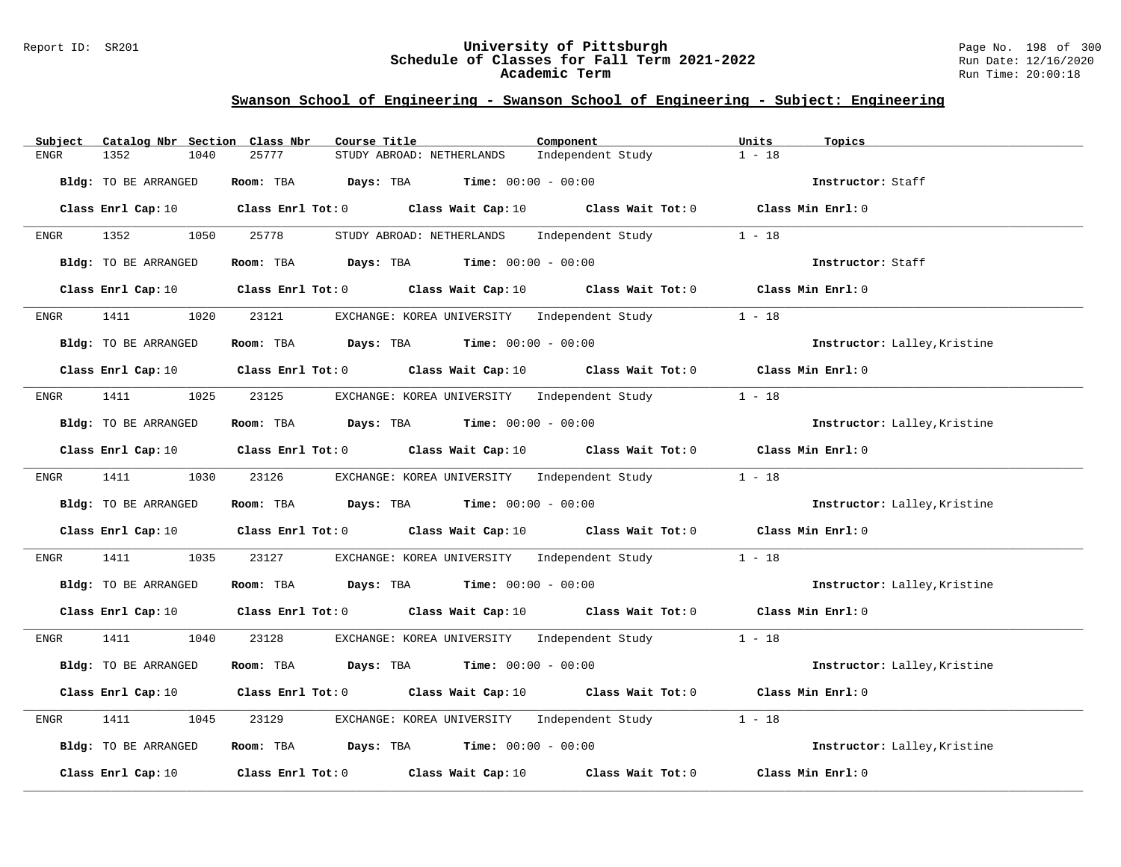#### Report ID: SR201 **University of Pittsburgh** Page No. 198 of 300 **Schedule of Classes for Fall Term 2021-2022** Run Date: 12/16/2020 **Academic Term** Run Time: 20:00:18

| Subject              | Catalog Nbr Section Class Nbr<br>Course Title                                                                                   | Component                                           | Units<br>Topics              |
|----------------------|---------------------------------------------------------------------------------------------------------------------------------|-----------------------------------------------------|------------------------------|
| 1352<br><b>ENGR</b>  | 25777<br>1040<br>STUDY ABROAD: NETHERLANDS                                                                                      | Independent Study                                   | $1 - 18$                     |
| Bldg: TO BE ARRANGED | Room: TBA<br>Days: TBA                                                                                                          | <b>Time:</b> $00:00 - 00:00$                        | Instructor: Staff            |
| Class Enrl Cap: 10   | Class Enrl Tot: $0$ Class Wait Cap: $10$ Class Wait Tot: $0$ Class Min Enrl: $0$                                                |                                                     |                              |
| 1352<br>ENGR         | 25778<br>1050                                                                                                                   | STUDY ABROAD: NETHERLANDS Independent Study         | $1 - 18$                     |
| Bldg: TO BE ARRANGED | Room: TBA $Days:$ TBA $Time: 00:00 - 00:00$                                                                                     |                                                     | Instructor: Staff            |
| Class Enrl Cap: 10   | Class Enrl Tot: $0$ Class Wait Cap: $10$ Class Wait Tot: $0$                                                                    |                                                     | Class Min Enrl: 0            |
| 1411<br>ENGR         | 1020<br>23121<br>EXCHANGE: KOREA UNIVERSITY Independent Study                                                                   |                                                     | $1 - 18$                     |
| Bldg: TO BE ARRANGED | Room: TBA $\rule{1em}{0.15mm}$ Days: TBA Time: $00:00 - 00:00$                                                                  |                                                     | Instructor: Lalley, Kristine |
|                      | Class Enrl Cap: 10 $\qquad$ Class Enrl Tot: 0 $\qquad$ Class Wait Cap: 10 $\qquad$ Class Wait Tot: 0 $\qquad$ Class Min Enrl: 0 |                                                     |                              |
| 1411<br>ENGR         | 1025<br>23125                                                                                                                   | EXCHANGE: KOREA UNIVERSITY Independent Study        | $1 - 18$                     |
| Bldg: TO BE ARRANGED | Room: TBA $Days:$ TBA $Time: 00:00 - 00:00$                                                                                     |                                                     | Instructor: Lalley, Kristine |
|                      | Class Enrl Cap: 10 $\qquad$ Class Enrl Tot: 0 $\qquad$ Class Wait Cap: 10 $\qquad$ Class Wait Tot: 0 $\qquad$ Class Min Enrl: 0 |                                                     |                              |
| 1411 \<br>ENGR       | 1030 23126                                                                                                                      | EXCHANGE: KOREA UNIVERSITY Independent Study        | $1 - 18$                     |
| Bldg: TO BE ARRANGED | Room: TBA $Days:$ TBA $Time: 00:00 - 00:00$                                                                                     |                                                     | Instructor: Lalley, Kristine |
|                      | Class Enrl Cap: 10 $\qquad$ Class Enrl Tot: 0 $\qquad$ Class Wait Cap: 10 $\qquad$ Class Wait Tot: 0 $\qquad$ Class Min Enrl: 0 |                                                     |                              |
| 1411<br>ENGR         | 1035<br>23127                                                                                                                   | EXCHANGE: KOREA UNIVERSITY Independent Study        | $1 - 18$                     |
| Bldg: TO BE ARRANGED | Room: TBA $Days:$ TBA $Time: 00:00 - 00:00$                                                                                     |                                                     | Instructor: Lalley, Kristine |
|                      | Class Enrl Cap: 10 $\qquad$ Class Enrl Tot: 0 $\qquad$ Class Wait Cap: 10 $\qquad$ Class Wait Tot: 0 $\qquad$ Class Min Enrl: 0 |                                                     |                              |
| 1411<br>ENGR         | 1040<br>23128                                                                                                                   | EXCHANGE: KOREA UNIVERSITY Independent Study 1 - 18 |                              |
| Bldg: TO BE ARRANGED | Room: TBA $Days:$ TBA $Time: 00:00 - 00:00$                                                                                     |                                                     | Instructor: Lalley, Kristine |
| Class Enrl Cap: 10   | Class Enrl Tot: 0 Class Wait Cap: 10 Class Wait Tot: 0                                                                          |                                                     | Class Min Enrl: 0            |
| 1411<br>ENGR         | 1045<br>23129<br>EXCHANGE: KOREA UNIVERSITY Independent Study                                                                   |                                                     | $1 - 18$                     |
| Bldg: TO BE ARRANGED | Room: TBA $Days:$ TBA $Time: 00:00 - 00:00$                                                                                     |                                                     | Instructor: Lalley, Kristine |
| Class Enrl Cap: 10   | Class Enrl Tot: $0$ Class Wait Cap: $10$                                                                                        | Class Wait Tot: 0                                   | Class Min Enrl: 0            |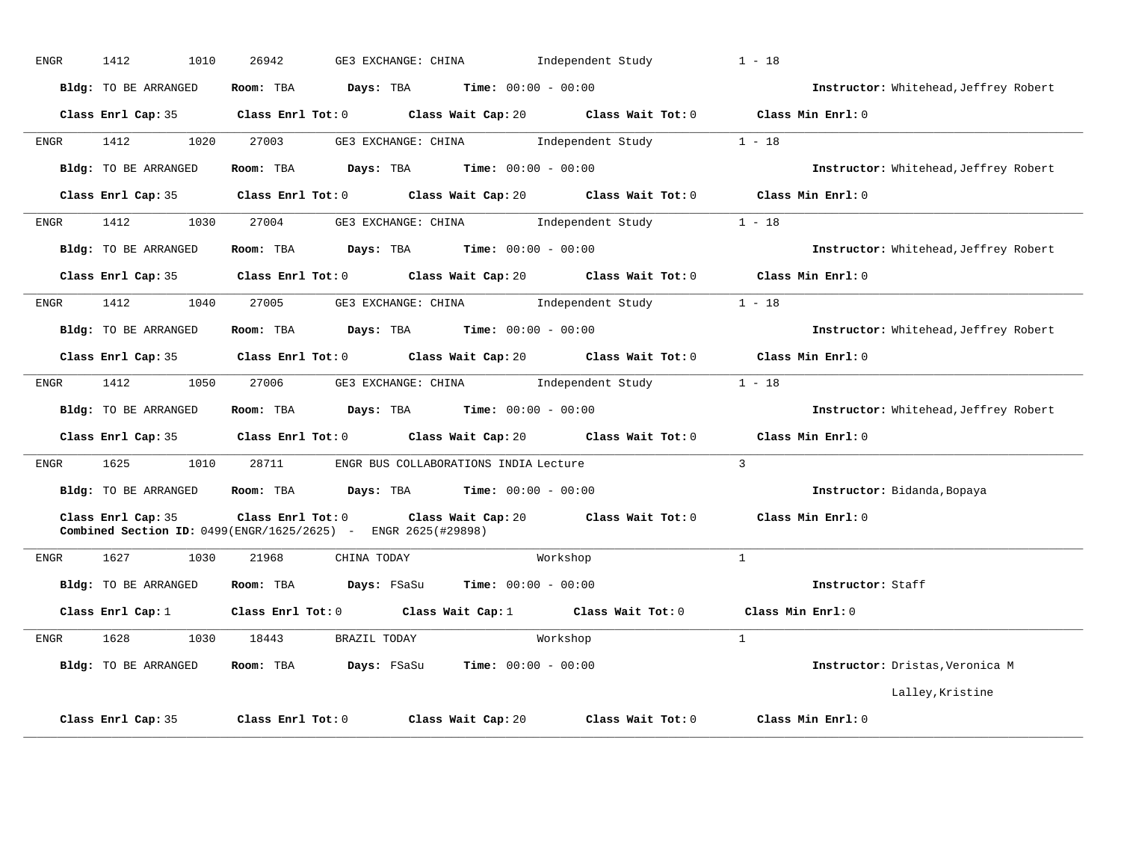| <b>ENGR</b> | 1412<br>1010         | 26942<br>GE3 EXCHANGE: CHINA                                                              | Independent Study                                                                           | $1 - 18$                              |
|-------------|----------------------|-------------------------------------------------------------------------------------------|---------------------------------------------------------------------------------------------|---------------------------------------|
|             | Bldg: TO BE ARRANGED | Room: TBA                                                                                 | $\texttt{Davis:}$ TBA $\texttt{Time:}$ 00:00 - 00:00                                        | Instructor: Whitehead, Jeffrey Robert |
|             |                      |                                                                                           | Class Enrl Cap: 35 Class Enrl Tot: 0 Class Wait Cap: 20 Class Wait Tot: 0 Class Min Enrl: 0 |                                       |
| ENGR        | 1412<br>1020         | 27003                                                                                     | GE3 EXCHANGE: CHINA 1ndependent Study                                                       | $1 - 18$                              |
|             | Bldg: TO BE ARRANGED | Room: TBA $Days:$ TBA $Time: 00:00 - 00:00$                                               |                                                                                             | Instructor: Whitehead, Jeffrey Robert |
|             | Class Enrl Cap: 35   |                                                                                           | Class Enrl Tot: $0$ Class Wait Cap: $20$ Class Wait Tot: $0$                                | Class Min Enrl: 0                     |
| ENGR        | 1412<br>1030         | 27004                                                                                     | GE3 EXCHANGE: CHINA 1ndependent Study                                                       | $1 - 18$                              |
|             | Bldg: TO BE ARRANGED | <b>Room:</b> TBA <b>Days:</b> TBA <b>Time:</b> 00:00 - 00:00                              |                                                                                             | Instructor: Whitehead, Jeffrey Robert |
|             |                      |                                                                                           | Class Enrl Cap: 35 Class Enrl Tot: 0 Class Wait Cap: 20 Class Wait Tot: 0 Class Min Enrl: 0 |                                       |
| ENGR        | 1412                 | 1040 27005                                                                                | GE3 EXCHANGE: CHINA 1ndependent Study 1 - 18                                                |                                       |
|             | Bldg: TO BE ARRANGED | Room: TBA $Days:$ TBA $Time: 00:00 - 00:00$                                               |                                                                                             | Instructor: Whitehead, Jeffrey Robert |
|             |                      |                                                                                           | Class Enrl Cap: 35 Class Enrl Tot: 0 Class Wait Cap: 20 Class Wait Tot: 0 Class Min Enrl: 0 |                                       |
| ENGR        | 1412                 | 1050 27006                                                                                | GE3 EXCHANGE: CHINA              Independent Study                                          | $1 - 18$                              |
|             | Bldg: TO BE ARRANGED | Room: TBA $Days:$ TBA $Time: 00:00 - 00:00$                                               |                                                                                             | Instructor: Whitehead, Jeffrey Robert |
|             |                      |                                                                                           | Class Enrl Cap: 35 Class Enrl Tot: 0 Class Wait Cap: 20 Class Wait Tot: 0 Class Min Enrl: 0 |                                       |
| <b>ENGR</b> | 1625<br>1010         | 28711 ENGR BUS COLLABORATIONS INDIA Lecture                                               |                                                                                             | $\overline{3}$                        |
|             | Bldg: TO BE ARRANGED | Room: TBA $Days:$ TBA $Time: 00:00 - 00:00$                                               |                                                                                             | Instructor: Bidanda, Bopaya           |
|             | Class Enrl Cap: 35   | Class Enrl Tot: 0<br><b>Combined Section ID:</b> 0499(ENGR/1625/2625) - ENGR 2625(#29898) | Class Wait Cap: 20 Class Wait Tot: 0                                                        | Class Min Enrl: 0                     |
| ENGR        | 1627 1030            | 21968<br>CHINA TODAY                                                                      | Workshop                                                                                    | $\overline{1}$                        |
|             | Bldg: TO BE ARRANGED | Room: TBA Days: FSaSu Time: 00:00 - 00:00                                                 |                                                                                             | Instructor: Staff                     |
|             |                      |                                                                                           | Class Enrl Cap: 1 Class Enrl Tot: 0 Class Wait Cap: 1 Class Wait Tot: 0                     | Class Min Enrl: 0                     |
| ENGR        |                      | 1628 1030 18443 BRAZIL TODAY                                                              | Workshop                                                                                    | $\mathbf{1}$                          |
|             | Bldg: TO BE ARRANGED | <b>Room:</b> TBA $Days: FSaSu$ <b>Time:</b> $00:00 - 00:00$                               |                                                                                             | Instructor: Dristas, Veronica M       |
|             |                      |                                                                                           |                                                                                             | Lalley, Kristine                      |
|             | Class Enrl Cap: 35   | Class Enrl Tot: 0                                                                         | Class Wait Tot: 0<br>Class Wait Cap: 20                                                     | Class Min Enrl: 0                     |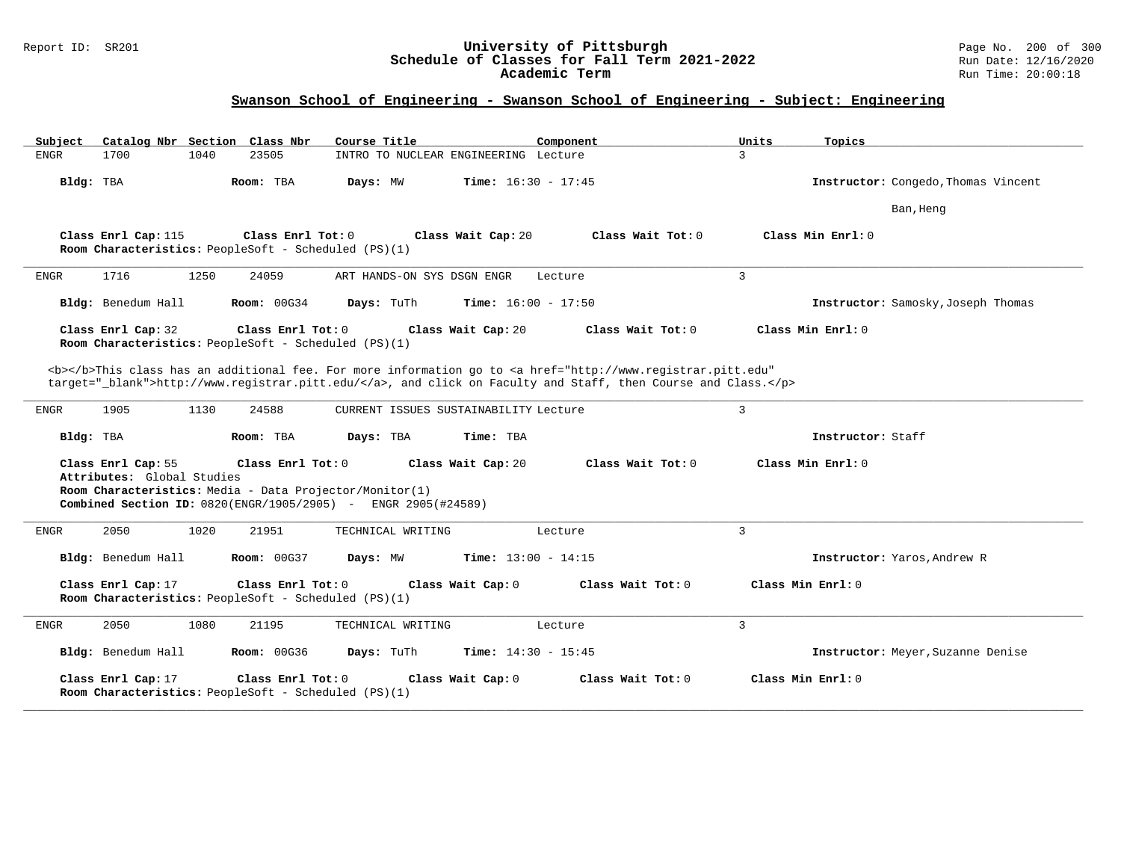#### Report ID: SR201 **University of Pittsburgh** Page No. 200 of 300 **Schedule of Classes for Fall Term 2021-2022** Run Date: 12/16/2020 **Academic Term** Run Time: 20:00:18

| Subject     |                                                  |      | Catalog Nbr Section Class Nbr                                             | Course Title                                                                                                             |                              | Component                                                                                                                                                                                                                          | Units          | Topics                              |
|-------------|--------------------------------------------------|------|---------------------------------------------------------------------------|--------------------------------------------------------------------------------------------------------------------------|------------------------------|------------------------------------------------------------------------------------------------------------------------------------------------------------------------------------------------------------------------------------|----------------|-------------------------------------|
| <b>ENGR</b> | 1700                                             | 1040 | 23505                                                                     | INTRO TO NUCLEAR ENGINEERING Lecture                                                                                     |                              |                                                                                                                                                                                                                                    | $\overline{3}$ |                                     |
| Bldg: TBA   |                                                  |      | Room: TBA                                                                 | Days: MW                                                                                                                 | <b>Time:</b> $16:30 - 17:45$ |                                                                                                                                                                                                                                    |                | Instructor: Congedo, Thomas Vincent |
|             |                                                  |      |                                                                           |                                                                                                                          |                              |                                                                                                                                                                                                                                    |                | Ban, Heng                           |
|             | Class Enrl Cap: 115                              |      | Class Enrl Tot: 0<br>Room Characteristics: PeopleSoft - Scheduled (PS)(1) |                                                                                                                          | Class Wait Cap: 20           | Class Wait Tot: 0                                                                                                                                                                                                                  |                | Class Min Enrl: 0                   |
| <b>ENGR</b> | 1716                                             | 1250 | 24059                                                                     | ART HANDS-ON SYS DSGN ENGR                                                                                               |                              | Lecture                                                                                                                                                                                                                            | $\overline{3}$ |                                     |
|             | Bldg: Benedum Hall                               |      | <b>Room: 00G34</b>                                                        | Days: TuTh                                                                                                               | <b>Time:</b> $16:00 - 17:50$ |                                                                                                                                                                                                                                    |                | Instructor: Samosky, Joseph Thomas  |
|             | Class Enrl Cap: 32                               |      | Class Enrl Tot: 0<br>Room Characteristics: PeopleSoft - Scheduled (PS)(1) |                                                                                                                          | Class Wait Cap: 20           | Class Wait Tot: 0                                                                                                                                                                                                                  |                | Class Min Enrl: 0                   |
|             |                                                  |      |                                                                           |                                                                                                                          |                              | <b></b> This class has an additional fee. For more information go to <a <br="" href="http://www.registrar.pitt.edu">target="_blank"&gt;http://www.registrar.pitt.edu/</a> , and click on Faculty and Staff, then Course and Class. |                |                                     |
| ENGR        | 1905                                             | 1130 | 24588                                                                     | CURRENT ISSUES SUSTAINABILITY Lecture                                                                                    |                              |                                                                                                                                                                                                                                    | $\overline{3}$ |                                     |
| Bldg: TBA   |                                                  |      | Room: TBA                                                                 | Days: TBA                                                                                                                | Time: TBA                    |                                                                                                                                                                                                                                    |                | Instructor: Staff                   |
|             | Class Enrl Cap: 55<br>Attributes: Global Studies |      | Class Enrl Tot: 0                                                         | Room Characteristics: Media - Data Projector/Monitor(1)<br>Combined Section ID: 0820(ENGR/1905/2905) - ENGR 2905(#24589) | Class Wait Cap: 20           | Class Wait Tot: 0                                                                                                                                                                                                                  |                | Class Min Enrl: 0                   |
| ENGR        | 2050                                             | 1020 | 21951                                                                     | TECHNICAL WRITING                                                                                                        |                              | Lecture                                                                                                                                                                                                                            | $\overline{3}$ |                                     |
|             | Bldg: Benedum Hall                               |      | <b>Room: 00G37</b>                                                        | Days: MW                                                                                                                 | Time: $13:00 - 14:15$        |                                                                                                                                                                                                                                    |                | Instructor: Yaros, Andrew R         |
|             | Class Enrl Cap: 17                               |      | Class Enrl Tot: 0<br>Room Characteristics: PeopleSoft - Scheduled (PS)(1) |                                                                                                                          | Class Wait Cap: 0            | Class Wait Tot: 0                                                                                                                                                                                                                  |                | Class Min Enrl: 0                   |
| <b>ENGR</b> | 2050                                             | 1080 | 21195                                                                     | TECHNICAL WRITING                                                                                                        |                              | Lecture                                                                                                                                                                                                                            | $\overline{3}$ |                                     |
|             | Bldg: Benedum Hall                               |      | <b>Room: 00G36</b>                                                        | Days: TuTh                                                                                                               | <b>Time:</b> $14:30 - 15:45$ |                                                                                                                                                                                                                                    |                | Instructor: Meyer, Suzanne Denise   |
|             | Class Enrl Cap: 17                               |      | Class Enrl Tot: 0<br>Room Characteristics: PeopleSoft - Scheduled (PS)(1) |                                                                                                                          | Class Wait Cap: 0            | Class Wait Tot: 0                                                                                                                                                                                                                  |                | Class Min Enrl: 0                   |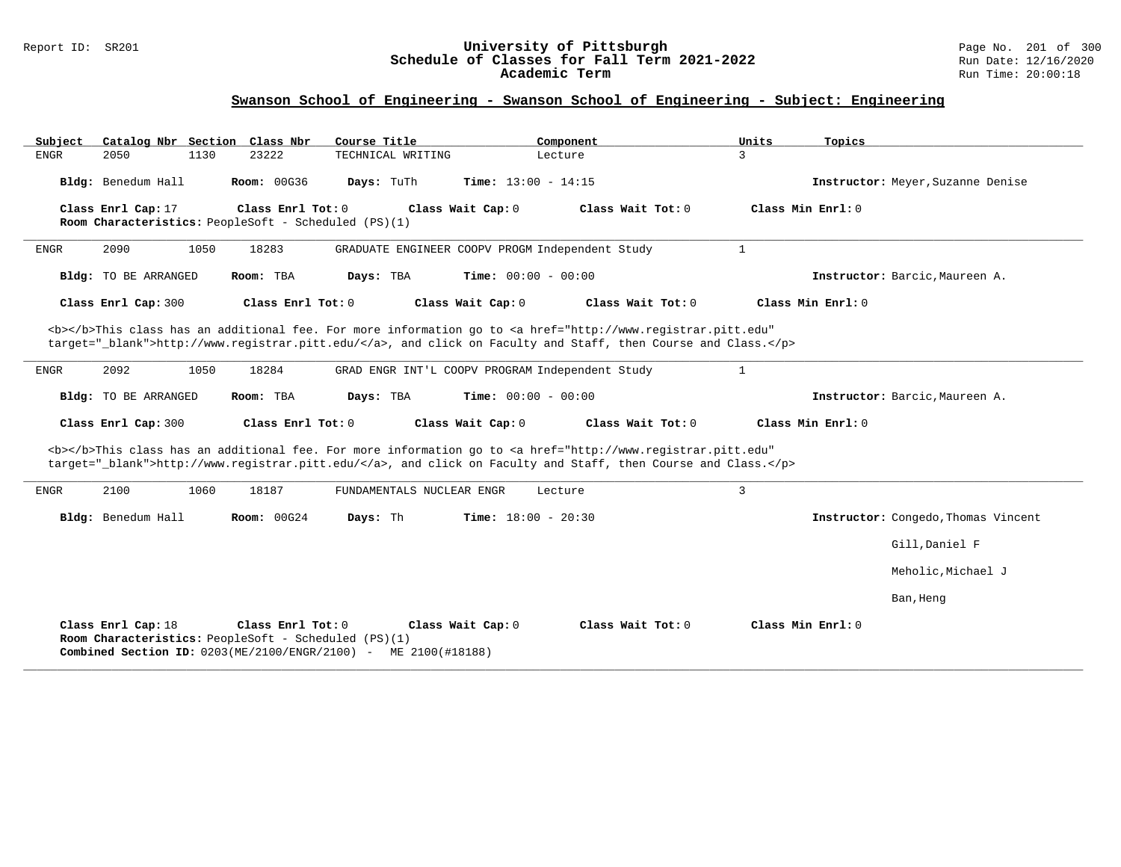#### Report ID: SR201 **University of Pittsburgh** Page No. 201 of 300 **Schedule of Classes for Fall Term 2021-2022** Run Date: 12/16/2020 **Academic Term** Run Time: 20:00:18

| Subject<br>Catalog Nbr Section Class Nbr | Course Title                                                                                                                                         | Component                                                                                                                                                                                                                          | Units<br>Topics                     |
|------------------------------------------|------------------------------------------------------------------------------------------------------------------------------------------------------|------------------------------------------------------------------------------------------------------------------------------------------------------------------------------------------------------------------------------------|-------------------------------------|
| ${\tt ENGR}$<br>2050<br>1130             | 23222<br>TECHNICAL WRITING                                                                                                                           | Lecture                                                                                                                                                                                                                            | $\overline{3}$                      |
| Bldg: Benedum Hall                       | <b>Room: 00G36</b><br>Days: TuTh                                                                                                                     | <b>Time:</b> $13:00 - 14:15$                                                                                                                                                                                                       | Instructor: Meyer, Suzanne Denise   |
| Class Enrl Cap: 17                       | Class Enrl Tot: 0                                                                                                                                    | Class Wait Tot: 0<br>Class Wait Cap: 0                                                                                                                                                                                             | Class Min Enrl: 0                   |
|                                          | Room Characteristics: PeopleSoft - Scheduled (PS)(1)                                                                                                 |                                                                                                                                                                                                                                    |                                     |
| 2090<br>1050<br><b>ENGR</b>              | 18283                                                                                                                                                | GRADUATE ENGINEER COOPV PROGM Independent Study                                                                                                                                                                                    | $\mathbf{1}$                        |
| <b>Bldg:</b> TO BE ARRANGED              | Room: TBA<br>Days: TBA                                                                                                                               | Time: $00:00 - 00:00$                                                                                                                                                                                                              | Instructor: Barcic. Maureen A.      |
| Class Enrl Cap: 300                      | Class Enrl Tot: 0                                                                                                                                    | Class Wait Cap: 0<br>Class Wait Tot: 0                                                                                                                                                                                             | Class Min $Enr1: 0$                 |
|                                          |                                                                                                                                                      | <b></b> This class has an additional fee. For more information go to <a <br="" href="http://www.registrar.pitt.edu">target="_blank"&gt;http://www.registrar.pitt.edu/</a> , and click on Faculty and Staff, then Course and Class. |                                     |
| 2092<br>1050<br><b>ENGR</b>              | 18284                                                                                                                                                | GRAD ENGR INT'L COOPV PROGRAM Independent Study                                                                                                                                                                                    | $\mathbf{1}$                        |
| <b>Bldg:</b> TO BE ARRANGED              | Room: TBA<br>Days: TBA                                                                                                                               | Time: $00:00 - 00:00$                                                                                                                                                                                                              | Instructor: Barcic. Maureen A.      |
| Class Enrl Cap: 300                      | Class Enrl Tot: 0                                                                                                                                    | Class Wait Cap: 0<br>Class Wait Tot: 0                                                                                                                                                                                             | Class Min Enrl: 0                   |
|                                          |                                                                                                                                                      | <b></b> This class has an additional fee. For more information go to <a <br="" href="http://www.registrar.pitt.edu">target="_blank"&gt;http://www.registrar.pitt.edu/</a> , and click on Faculty and Staff, then Course and Class. |                                     |
| 2100<br>1060<br><b>ENGR</b>              | 18187<br>FUNDAMENTALS NUCLEAR ENGR                                                                                                                   | Lecture                                                                                                                                                                                                                            | $\mathsf{3}$                        |
| Bldg: Benedum Hall                       | Room: 00G24<br>Days: Th                                                                                                                              | <b>Time:</b> $18:00 - 20:30$                                                                                                                                                                                                       | Instructor: Congedo, Thomas Vincent |
|                                          |                                                                                                                                                      |                                                                                                                                                                                                                                    | Gill, Daniel F                      |
|                                          |                                                                                                                                                      |                                                                                                                                                                                                                                    | Meholic, Michael J                  |
|                                          |                                                                                                                                                      |                                                                                                                                                                                                                                    | Ban, Heng                           |
| Class Enrl Cap: 18                       | Class Enrl Tot: 0<br>Room Characteristics: PeopleSoft - Scheduled (PS)(1)<br><b>Combined Section ID:</b> $0203(ME/2100/ENGR/2100)$ - ME 2100(#18188) | Class Wait Tot: 0<br>Class Wait Cap: 0                                                                                                                                                                                             | Class Min Enrl: 0                   |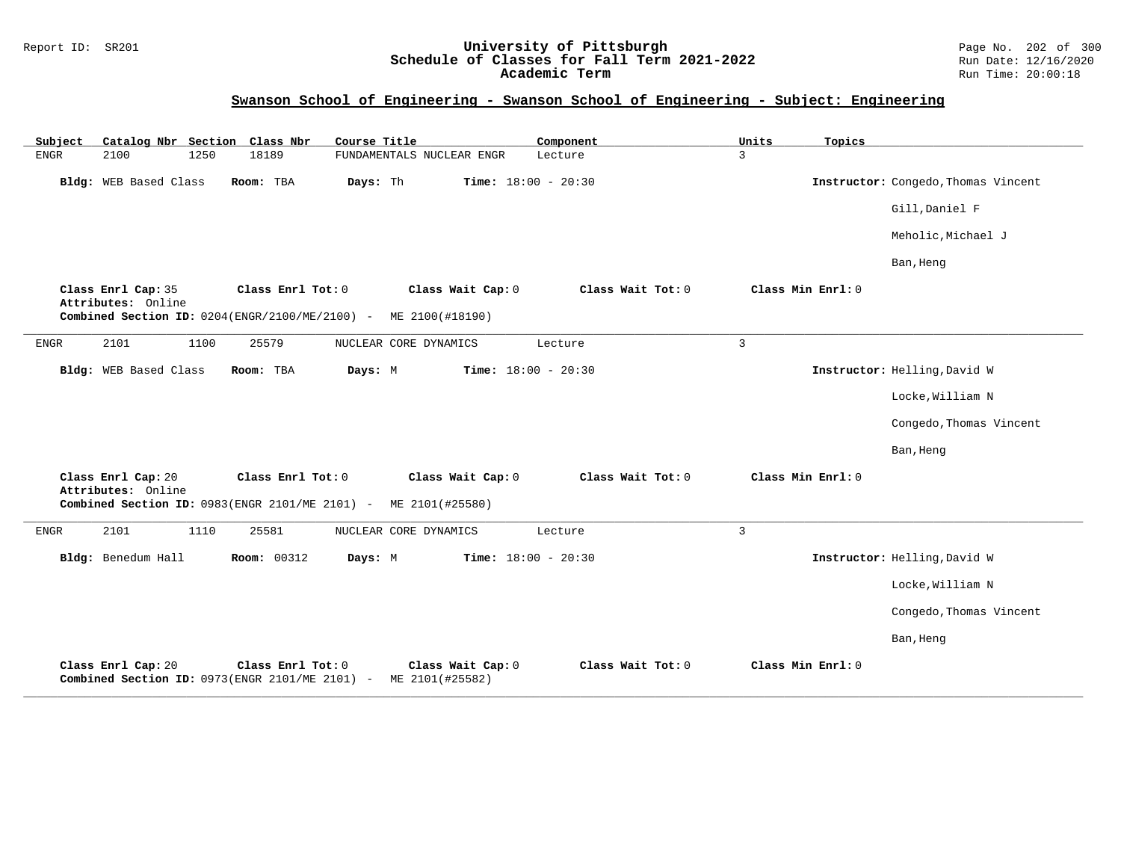#### Report ID: SR201 **University of Pittsburgh** Page No. 202 of 300 **Schedule of Classes for Fall Term 2021-2022** Run Date: 12/16/2020 **Academic Term** Run Time: 20:00:18

| Catalog Nbr Section Class Nbr<br>Subject | Course Title                                                                                             | Component                    | Units<br>Topics   |                                     |
|------------------------------------------|----------------------------------------------------------------------------------------------------------|------------------------------|-------------------|-------------------------------------|
| <b>ENGR</b><br>2100<br>1250              | 18189<br>FUNDAMENTALS NUCLEAR ENGR                                                                       | Lecture                      | $\mathbf{3}$      |                                     |
| Bldg: WEB Based Class                    | Room: TBA<br>Days: Th                                                                                    | Time: $18:00 - 20:30$        |                   | Instructor: Congedo, Thomas Vincent |
|                                          |                                                                                                          |                              |                   | Gill, Daniel F                      |
|                                          |                                                                                                          |                              |                   | Meholic, Michael J                  |
|                                          |                                                                                                          |                              |                   | Ban, Heng                           |
| Class Enrl Cap: 35<br>Attributes: Online | Class Enrl Tot: 0<br>Class Wait Cap: 0<br>Combined Section ID: 0204(ENGR/2100/ME/2100) - ME 2100(#18190) | Class Wait Tot: 0            | Class Min Enrl: 0 |                                     |
| 2101<br>1100<br>${\tt ENGR}$             | 25579<br>NUCLEAR CORE DYNAMICS                                                                           | Lecture                      | $\overline{3}$    |                                     |
|                                          |                                                                                                          |                              |                   |                                     |
| Bldg: WEB Based Class                    | Room: TBA<br>Days: M                                                                                     | Time: $18:00 - 20:30$        |                   | Instructor: Helling, David W        |
|                                          |                                                                                                          |                              |                   | Locke, William N                    |
|                                          |                                                                                                          |                              |                   | Congedo, Thomas Vincent             |
|                                          |                                                                                                          |                              |                   | Ban, Heng                           |
| Class Enrl Cap: 20<br>Attributes: Online | Class Enrl Tot: 0<br>Class Wait Cap: 0                                                                   | Class Wait Tot: 0            | Class Min Enrl: 0 |                                     |
|                                          | Combined Section ID: 0983(ENGR 2101/ME 2101) - ME 2101(#25580)                                           |                              |                   |                                     |
| 2101<br>1110<br>ENGR                     | 25581<br>NUCLEAR CORE DYNAMICS                                                                           | Lecture                      | $\mathbf{3}$      |                                     |
| Bldg: Benedum Hall                       | <b>Room: 00312</b><br>Days: M                                                                            | <b>Time:</b> $18:00 - 20:30$ |                   | Instructor: Helling, David W        |
|                                          |                                                                                                          |                              |                   | Locke, William N                    |
|                                          |                                                                                                          |                              |                   | Congedo, Thomas Vincent             |
|                                          |                                                                                                          |                              |                   | Ban, Heng                           |
| Class Enrl Cap: 20                       | Class Enrl Tot: 0<br>Class Wait Cap: 0<br>Combined Section ID: 0973(ENGR 2101/ME 2101) - ME 2101(#25582) | Class Wait Tot: 0            | Class Min Enrl: 0 |                                     |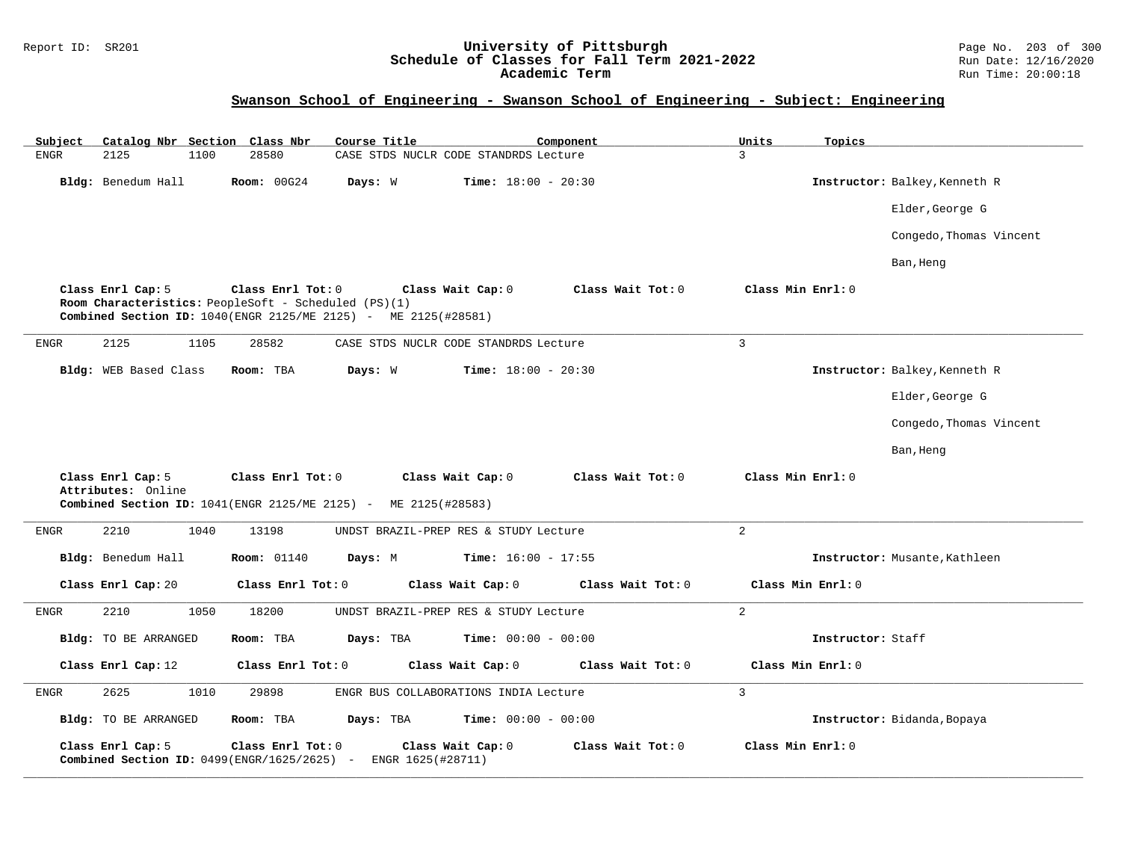#### Report ID: SR201 **University of Pittsburgh** Page No. 203 of 300 **Schedule of Classes for Fall Term 2021-2022** Run Date: 12/16/2020 **Academic Term** Run Time: 20:00:18

| Catalog Nbr Section Class Nbr<br>Subject                            | Course Title                                                                                                                                | Component                              | Units<br>Topics               |
|---------------------------------------------------------------------|---------------------------------------------------------------------------------------------------------------------------------------------|----------------------------------------|-------------------------------|
| 2125<br>${\tt ENGR}$<br>1100                                        | 28580                                                                                                                                       | CASE STDS NUCLR CODE STANDRDS Lecture  | 3                             |
| Bldg: Benedum Hall                                                  | <b>Room: 00G24</b><br>Days: W                                                                                                               | <b>Time:</b> $18:00 - 20:30$           | Instructor: Balkey, Kenneth R |
|                                                                     |                                                                                                                                             |                                        | Elder, George G               |
|                                                                     |                                                                                                                                             |                                        | Congedo, Thomas Vincent       |
|                                                                     |                                                                                                                                             |                                        | Ban, Heng                     |
| Class Enrl Cap: 5                                                   | Class Enrl Tot: 0<br>Room Characteristics: PeopleSoft - Scheduled (PS)(1)<br>Combined Section ID: 1040(ENGR 2125/ME 2125) - ME 2125(#28581) | Class Wait Tot: 0<br>Class Wait Cap: 0 | Class Min Enrl: 0             |
| 2125<br>1105<br>ENGR                                                | 28582                                                                                                                                       | CASE STDS NUCLR CODE STANDRDS Lecture  | $\overline{3}$                |
| Bldg: WEB Based Class                                               | Room: TBA<br>Days: W                                                                                                                        | <b>Time:</b> $18:00 - 20:30$           | Instructor: Balkey, Kenneth R |
|                                                                     |                                                                                                                                             |                                        | Elder, George G               |
|                                                                     |                                                                                                                                             |                                        | Congedo, Thomas Vincent       |
|                                                                     |                                                                                                                                             |                                        | Ban, Heng                     |
| Class Enrl Cap: 5<br>Attributes: Online                             | Class Enrl Tot: 0<br>Combined Section ID: 1041(ENGR 2125/ME 2125) - ME 2125(#28583)                                                         | Class Wait Cap: 0<br>Class Wait Tot: 0 | Class Min Enrl: 0             |
| 2210<br>1040<br>ENGR                                                | 13198                                                                                                                                       | UNDST BRAZIL-PREP RES & STUDY Lecture  | $\overline{a}$                |
| Bldg: Benedum Hall                                                  | <b>Room: 01140</b><br>Days: M                                                                                                               | <b>Time:</b> $16:00 - 17:55$           | Instructor: Musante, Kathleen |
| Class Enrl Cap: 20                                                  | Class Enrl Tot: 0                                                                                                                           | Class Wait Cap: 0<br>Class Wait Tot: 0 | Class Min Enrl: 0             |
| 2210<br>1050<br>ENGR                                                | 18200                                                                                                                                       | UNDST BRAZIL-PREP RES & STUDY Lecture  | 2                             |
| Bldg: TO BE ARRANGED                                                | Days: TBA<br>Room: TBA                                                                                                                      | <b>Time:</b> $00:00 - 00:00$           | Instructor: Staff             |
| Class Enrl Cap: 12                                                  | Class Enrl Tot: 0                                                                                                                           | Class Wait Cap: 0<br>Class Wait Tot: 0 | Class Min Enrl: 0             |
| 2625<br>1010<br>${\tt ENGR}$                                        | 29898                                                                                                                                       | ENGR BUS COLLABORATIONS INDIA Lecture  | $\overline{3}$                |
| Bldg: TO BE ARRANGED                                                | Room: TBA<br>Days: TBA                                                                                                                      | <b>Time:</b> $00:00 - 00:00$           | Instructor: Bidanda, Bopaya   |
| Class Enrl Cap: 5<br>Combined Section ID: $0499$ (ENGR/1625/2625) - | Class Enrl Tot: 0<br>ENGR 1625(#28711)                                                                                                      | Class Wait Cap: 0<br>Class Wait Tot: 0 | Class Min Enrl: 0             |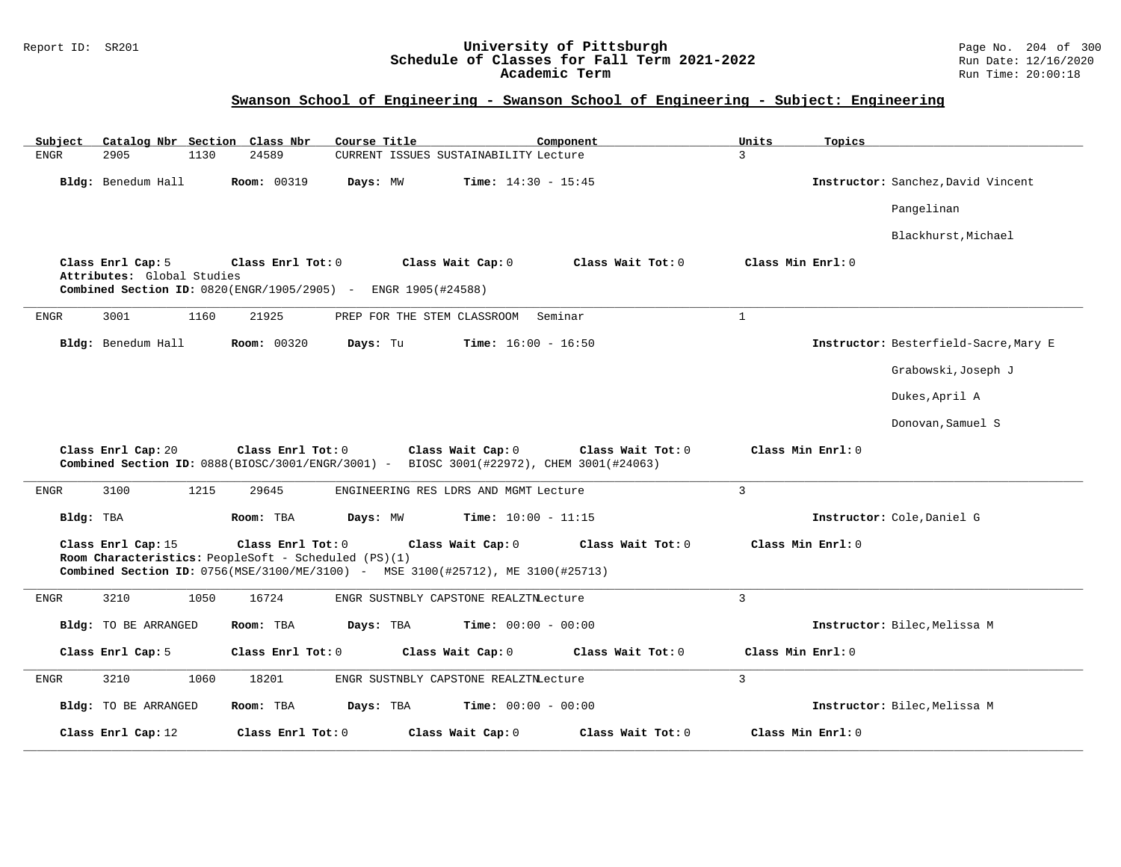#### Report ID: SR201 **University of Pittsburgh** Page No. 204 of 300 **Schedule of Classes for Fall Term 2021-2022** Run Date: 12/16/2020 **Academic Term** Run Time: 20:00:18

| Catalog Nbr Section Class Nbr<br>Course Title<br>Component<br>Subject                                                                                                                                                        | Units<br>Topics                       |
|------------------------------------------------------------------------------------------------------------------------------------------------------------------------------------------------------------------------------|---------------------------------------|
| <b>ENGR</b><br>2905<br>1130<br>24589<br>CURRENT ISSUES SUSTAINABILITY Lecture                                                                                                                                                | 3                                     |
| Bldg: Benedum Hall<br><b>Room: 00319</b><br><b>Time:</b> $14:30 - 15:45$<br>Days: MW                                                                                                                                         | Instructor: Sanchez, David Vincent    |
|                                                                                                                                                                                                                              | Pangelinan                            |
|                                                                                                                                                                                                                              | Blackhurst, Michael                   |
| Class Enrl Cap: 5<br>Class Enrl Tot: 0<br>Class Wait Cap: 0<br>Class Wait Tot: 0<br>Attributes: Global Studies<br>Combined Section ID: 0820(ENGR/1905/2905) - ENGR 1905(#24588)                                              | Class Min Enrl: 0                     |
| 21925<br>Seminar<br><b>ENGR</b><br>3001<br>1160<br>PREP FOR THE STEM CLASSROOM                                                                                                                                               | $\mathbf{1}$                          |
| Bldg: Benedum Hall<br><b>Room: 00320</b><br>Days: Tu<br><b>Time:</b> $16:00 - 16:50$                                                                                                                                         | Instructor: Besterfield-Sacre, Mary E |
|                                                                                                                                                                                                                              | Grabowski, Joseph J                   |
|                                                                                                                                                                                                                              | Dukes, April A                        |
|                                                                                                                                                                                                                              | Donovan, Samuel S                     |
| Class Enrl Cap: 20<br>Class Enrl Tot: 0<br>Class Wait Cap: 0<br>Class Wait Tot: 0<br>Combined Section ID: 0888(BIOSC/3001/ENGR/3001) - BIOSC 3001(#22972), CHEM 3001(#24063)                                                 | Class Min Enrl: 0                     |
| 3100<br>1215<br><b>ENGR</b><br>29645<br>ENGINEERING RES LDRS AND MGMT Lecture                                                                                                                                                | $\overline{3}$                        |
| Bldg: TBA<br>Room: TBA<br>Days: MW<br><b>Time:</b> $10:00 - 11:15$                                                                                                                                                           | Instructor: Cole, Daniel G            |
| Class Enrl Cap: 15<br>Class Enrl Tot: 0<br>Class Wait Cap: 0<br>Class Wait Tot: 0<br>Room Characteristics: PeopleSoft - Scheduled (PS)(1)<br>Combined Section ID: 0756(MSE/3100/ME/3100) - MSE 3100(#25712), ME 3100(#25713) | Class Min Enrl: 0                     |
| 3210<br>1050<br>16724<br><b>ENGR</b><br>ENGR SUSTNBLY CAPSTONE REALZTNLecture                                                                                                                                                | $\mathbf{3}$                          |
| Bldg: TO BE ARRANGED<br>Room: TBA<br>Days: TBA<br><b>Time:</b> $00:00 - 00:00$                                                                                                                                               | Instructor: Bilec, Melissa M          |
| Class Enrl Cap: 5<br>Class Enrl Tot: 0<br>Class Wait Cap: 0<br>Class Wait Tot: 0                                                                                                                                             | Class Min Enrl: 0                     |
| 3210<br>1060<br>18201<br>ENGR SUSTNBLY CAPSTONE REALZTNLecture<br>ENGR                                                                                                                                                       | $\overline{3}$                        |
| Bldg: TO BE ARRANGED<br>Days: TBA<br><b>Time:</b> $00:00 - 00:00$<br>Room: TBA                                                                                                                                               | Instructor: Bilec, Melissa M          |
|                                                                                                                                                                                                                              |                                       |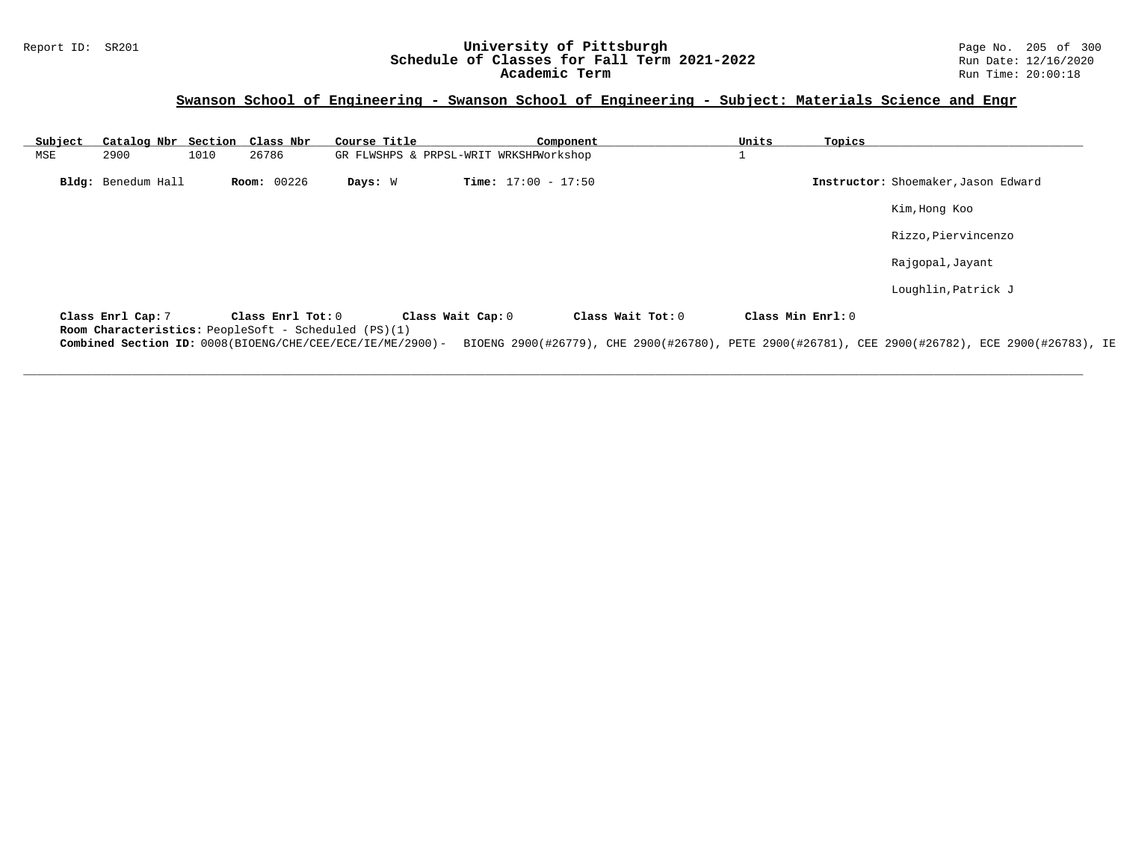### Report ID: SR201 **1988 Machines 1998 Machines 2011 Term 2021-2022** Page No. 205 of 300 Page No. 205 of 300 Page No<br>Schedule of Classes for Fall Term 2021-2022 **Schedule of Classes for Fall Term 2021-2022** Run Date: 12/16/2020 **Academic Term** Run Time: 20:00:18

## **Swanson School of Engineering - Swanson School of Engineering - Subject: Materials Science and Engr**

| Subject |                    |      | Catalog Nbr Section Class Nbr                                             | Course Title                           |                   | Component                    |                   | Units             | Topics |                                                                                                  |
|---------|--------------------|------|---------------------------------------------------------------------------|----------------------------------------|-------------------|------------------------------|-------------------|-------------------|--------|--------------------------------------------------------------------------------------------------|
| MSE     | 2900               | 1010 | 26786                                                                     | GR FLWSHPS & PRPSL-WRIT WRKSHPWorkshop |                   |                              |                   |                   |        |                                                                                                  |
|         | Bldg: Benedum Hall |      | <b>Room: 00226</b>                                                        | Days: W                                |                   | <b>Time:</b> $17:00 - 17:50$ |                   |                   |        | Instructor: Shoemaker, Jason Edward                                                              |
|         |                    |      |                                                                           |                                        |                   |                              |                   |                   |        | Kim, Hong Koo                                                                                    |
|         |                    |      |                                                                           |                                        |                   |                              |                   |                   |        | Rizzo, Piervincenzo                                                                              |
|         |                    |      |                                                                           |                                        |                   |                              |                   |                   |        | Rajgopal, Jayant                                                                                 |
|         |                    |      |                                                                           |                                        |                   |                              |                   |                   |        | Loughlin, Patrick J                                                                              |
|         | Class Enrl Cap: 7  |      | Class Enrl Tot: 0<br>Room Characteristics: PeopleSoft - Scheduled (PS)(1) |                                        | Class Wait Cap: 0 |                              | Class Wait Tot: 0 | Class Min Enrl: 0 |        |                                                                                                  |
|         |                    |      | Combined Section ID: 0008(BIOENG/CHE/CEE/ECE/IE/ME/2900)-                 |                                        |                   |                              |                   |                   |        | BIOENG 2900(#26779), CHE 2900(#26780), PETE 2900(#26781), CEE 2900(#26782), ECE 2900(#26783), IE |

**\_\_\_\_\_\_\_\_\_\_\_\_\_\_\_\_\_\_\_\_\_\_\_\_\_\_\_\_\_\_\_\_\_\_\_\_\_\_\_\_\_\_\_\_\_\_\_\_\_\_\_\_\_\_\_\_\_\_\_\_\_\_\_\_\_\_\_\_\_\_\_\_\_\_\_\_\_\_\_\_\_\_\_\_\_\_\_\_\_\_\_\_\_\_\_\_\_\_\_\_\_\_\_\_\_\_\_\_\_\_\_\_\_\_\_\_\_\_\_\_\_\_\_\_\_\_\_\_\_\_\_\_\_\_\_\_\_\_\_\_\_\_\_\_\_\_\_\_\_\_\_\_\_\_\_\_**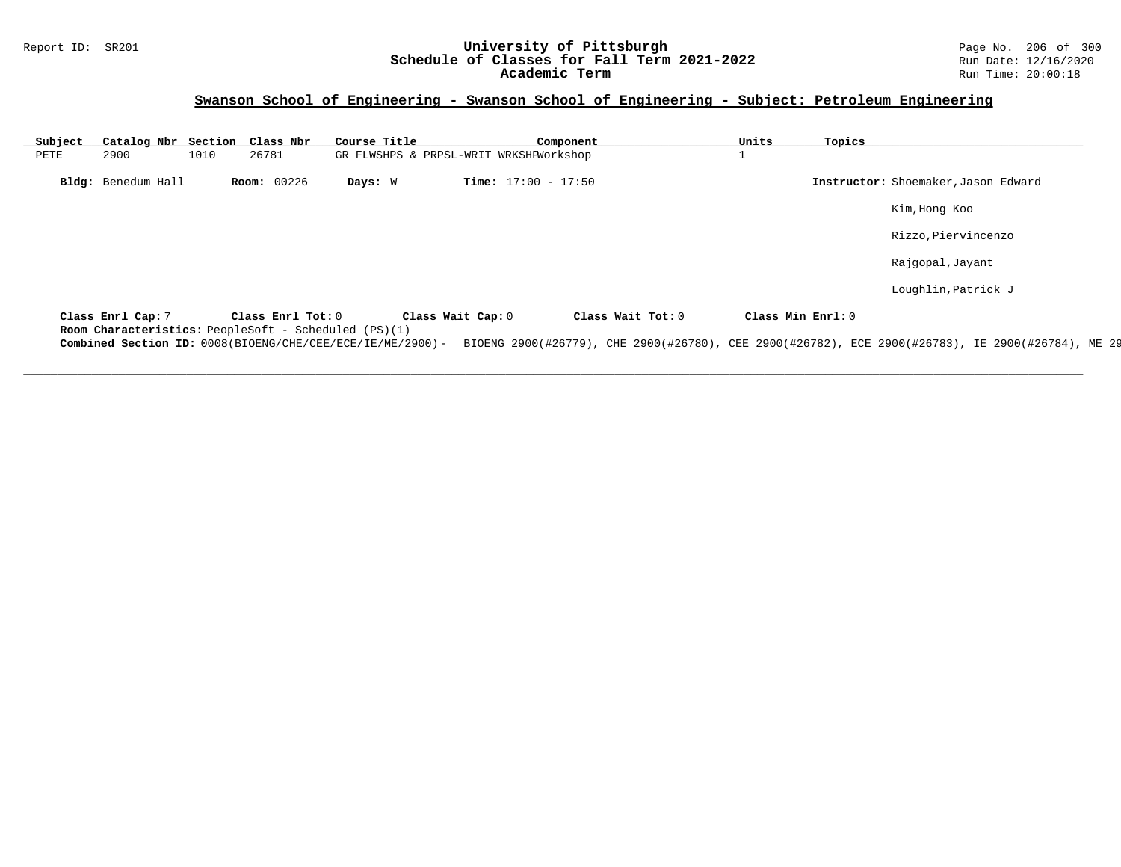#### Report ID: SR201 **University of Pittsburgh** Page No. 206 of 300 **Schedule of Classes for Fall Term 2021-2022** Run Date: 12/16/2020 **Academic Term** Run Time: 20:00:18

# **Swanson School of Engineering - Swanson School of Engineering - Subject: Petroleum Engineering**

| Subject |                    |      | Catalog Nbr Section Class Nbr                                             | Course Title                                              |                                        | Component         | Units             | Topics |                                                                                                   |
|---------|--------------------|------|---------------------------------------------------------------------------|-----------------------------------------------------------|----------------------------------------|-------------------|-------------------|--------|---------------------------------------------------------------------------------------------------|
| PETE    | 2900               | 1010 | 26781                                                                     |                                                           | GR FLWSHPS & PRPSL-WRIT WRKSHPWorkshop |                   |                   |        |                                                                                                   |
|         | Bldg: Benedum Hall |      | <b>Room: 00226</b>                                                        | Days: W                                                   | <b>Time:</b> $17:00 - 17:50$           |                   |                   |        | Instructor: Shoemaker, Jason Edward                                                               |
|         |                    |      |                                                                           |                                                           |                                        |                   |                   |        | Kim, Hong Koo                                                                                     |
|         |                    |      |                                                                           |                                                           |                                        |                   |                   |        | Rizzo, Piervincenzo                                                                               |
|         |                    |      |                                                                           |                                                           |                                        |                   |                   |        | Rajgopal, Jayant                                                                                  |
|         |                    |      |                                                                           |                                                           |                                        |                   |                   |        | Loughlin, Patrick J                                                                               |
|         | Class Enrl Cap: 7  |      | Class Enrl Tot: 0<br>Room Characteristics: PeopleSoft - Scheduled (PS)(1) |                                                           | Class Wait Cap: 0                      | Class Wait Tot: 0 | Class Min Enrl: 0 |        |                                                                                                   |
|         |                    |      |                                                                           | Combined Section ID: 0008(BIOENG/CHE/CEE/ECE/IE/ME/2900)- |                                        |                   |                   |        | BIOENG 2900(#26779), CHE 2900(#26780), CEE 2900(#26782), ECE 2900(#26783), IE 2900(#26784), ME 29 |

**\_\_\_\_\_\_\_\_\_\_\_\_\_\_\_\_\_\_\_\_\_\_\_\_\_\_\_\_\_\_\_\_\_\_\_\_\_\_\_\_\_\_\_\_\_\_\_\_\_\_\_\_\_\_\_\_\_\_\_\_\_\_\_\_\_\_\_\_\_\_\_\_\_\_\_\_\_\_\_\_\_\_\_\_\_\_\_\_\_\_\_\_\_\_\_\_\_\_\_\_\_\_\_\_\_\_\_\_\_\_\_\_\_\_\_\_\_\_\_\_\_\_\_\_\_\_\_\_\_\_\_\_\_\_\_\_\_\_\_\_\_\_\_\_\_\_\_\_\_\_\_\_\_\_\_\_**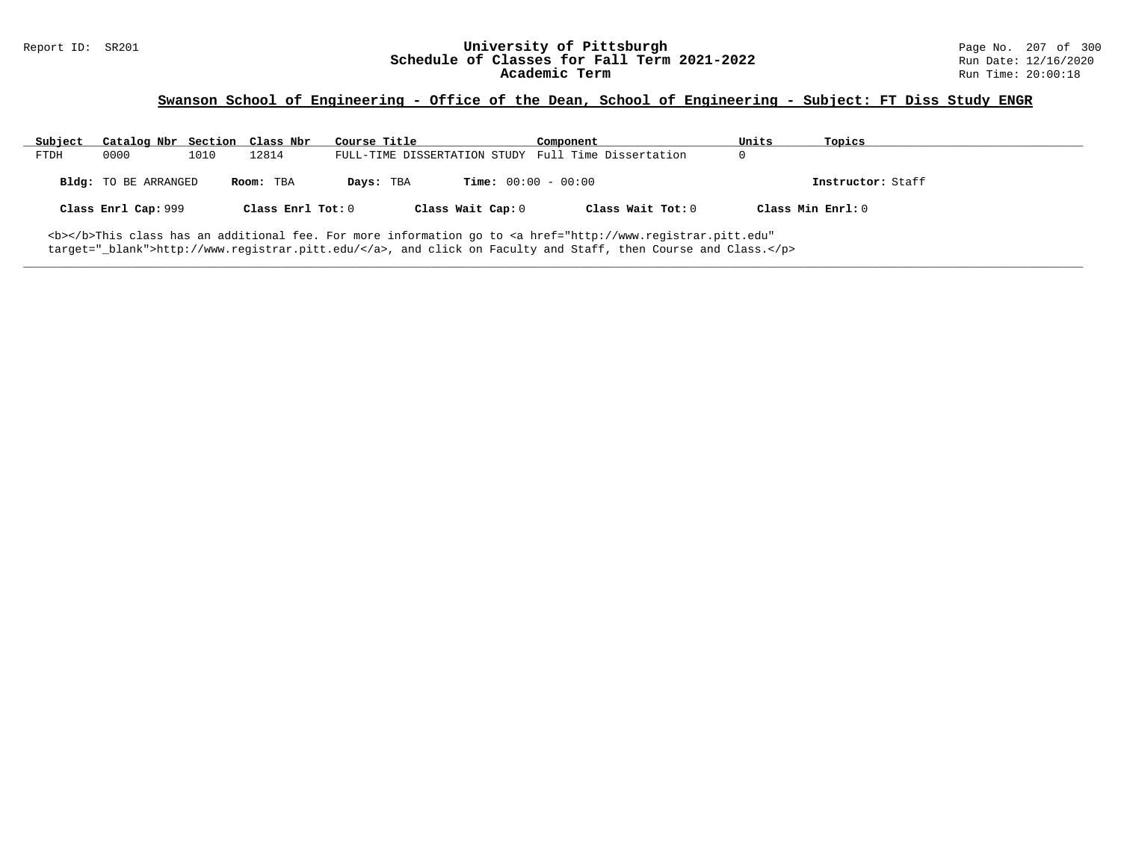## **Swanson School of Engineering - Office of the Dean, School of Engineering - Subject: FT Diss Study ENGR**

| Subject | Catalog Nbr Section Class Nbr |      |                   | Course Title |                              | Component                                                                                                                                      | Units | Topics            |
|---------|-------------------------------|------|-------------------|--------------|------------------------------|------------------------------------------------------------------------------------------------------------------------------------------------|-------|-------------------|
| FTDH    | 0000                          | 1010 | 12814             |              |                              | FULL-TIME DISSERTATION STUDY Full Time Dissertation                                                                                            |       |                   |
|         | Bldg: TO BE ARRANGED          |      | Room: TBA         | Days: TBA    | <b>Time:</b> $00:00 - 00:00$ |                                                                                                                                                |       | Instructor: Staff |
|         | Class Enrl Cap: 999           |      | Class Enrl Tot: 0 |              | Class Wait Cap: 0            | Class Wait Tot: 0                                                                                                                              |       | Class Min Enrl: 0 |
|         |                               |      |                   |              |                              | <b></b> This class has an additional fee. For more information go to <a <="" href="http://www.registrar.pitt.edu" td=""><td></td><td></td></a> |       |                   |

**\_\_\_\_\_\_\_\_\_\_\_\_\_\_\_\_\_\_\_\_\_\_\_\_\_\_\_\_\_\_\_\_\_\_\_\_\_\_\_\_\_\_\_\_\_\_\_\_\_\_\_\_\_\_\_\_\_\_\_\_\_\_\_\_\_\_\_\_\_\_\_\_\_\_\_\_\_\_\_\_\_\_\_\_\_\_\_\_\_\_\_\_\_\_\_\_\_\_\_\_\_\_\_\_\_\_\_\_\_\_\_\_\_\_\_\_\_\_\_\_\_\_\_\_\_\_\_\_\_\_\_\_\_\_\_\_\_\_\_\_\_\_\_\_\_\_\_\_\_\_\_\_\_\_\_\_**

target="\_blank">http://www.registrar.pitt.edu/</a>, and click on Faculty and Staff, then Course and Class.</p>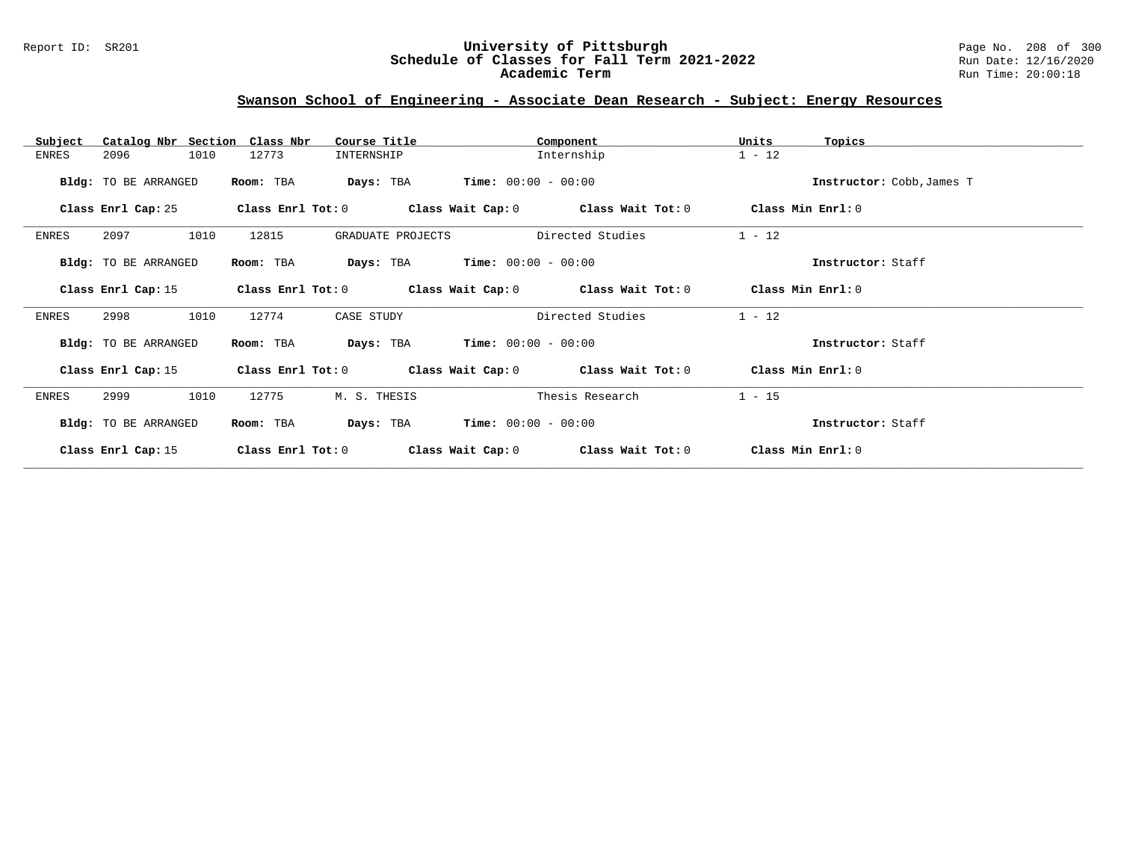#### Report ID: SR201 **University of Pittsburgh** Page No. 208 of 300 **Schedule of Classes for Fall Term 2021-2022** Run Date: 12/16/2020 **Academic Term** Run Time: 20:00:18

# **Swanson School of Engineering - Associate Dean Research - Subject: Energy Resources**

| Subject<br>Catalog Nbr Section | Class Nbr<br>Course Title  | Component                                                   | Units<br>Topics           |
|--------------------------------|----------------------------|-------------------------------------------------------------|---------------------------|
| 2096<br>1010<br>ENRES          | 12773<br>INTERNSHIP        | Internship                                                  | $1 - 12$                  |
| Bldg: TO BE ARRANGED           | Room: TBA<br>Days: TBA     | $Time: 00:00 - 00:00$                                       | Instructor: Cobb, James T |
| Class Enrl Cap: 25             | Class Enrl Tot: 0          | Class Wait Cap: $0$ Class Wait Tot: $0$                     | Class Min Enrl: 0         |
| 2097<br>1010<br>ENRES          | 12815<br>GRADUATE PROJECTS | Directed Studies                                            | $1 - 12$                  |
| Bldg: TO BE ARRANGED           | Room: TBA<br>Days: TBA     | $Time: 00:00 - 00:00$                                       | Instructor: Staff         |
| Class Enrl Cap: 15             | Class Enrl Tot: 0          | Class Wait Cap: 0 Class Wait Tot: 0                         | Class Min Enrl: 0         |
| 2998<br>1010<br>ENRES          | 12774<br>CASE STUDY        | Directed Studies                                            | $1 - 12$                  |
| Bldg: TO BE ARRANGED           | Days: TBA<br>Room: TBA     | $Time: 00:00 - 00:00$                                       | Instructor: Staff         |
| Class Enrl Cap: 15             |                            | Class Enrl Tot: $0$ Class Wait Cap: $0$ Class Wait Tot: $0$ | Class Min Enrl: 0         |
| 2999<br>1010<br>ENRES          | 12775<br>M. S. THESIS      | Thesis Research                                             | $1 - 15$                  |
| Bldg: TO BE ARRANGED           | Days: TBA<br>Room: TBA     | $Time: 00:00 - 00:00$                                       | Instructor: Staff         |
| Class Enrl Cap: 15             | Class Enrl Tot: 0          | Class Wait Cap: 0<br>Class Wait Tot: 0                      | Class Min Enrl: 0         |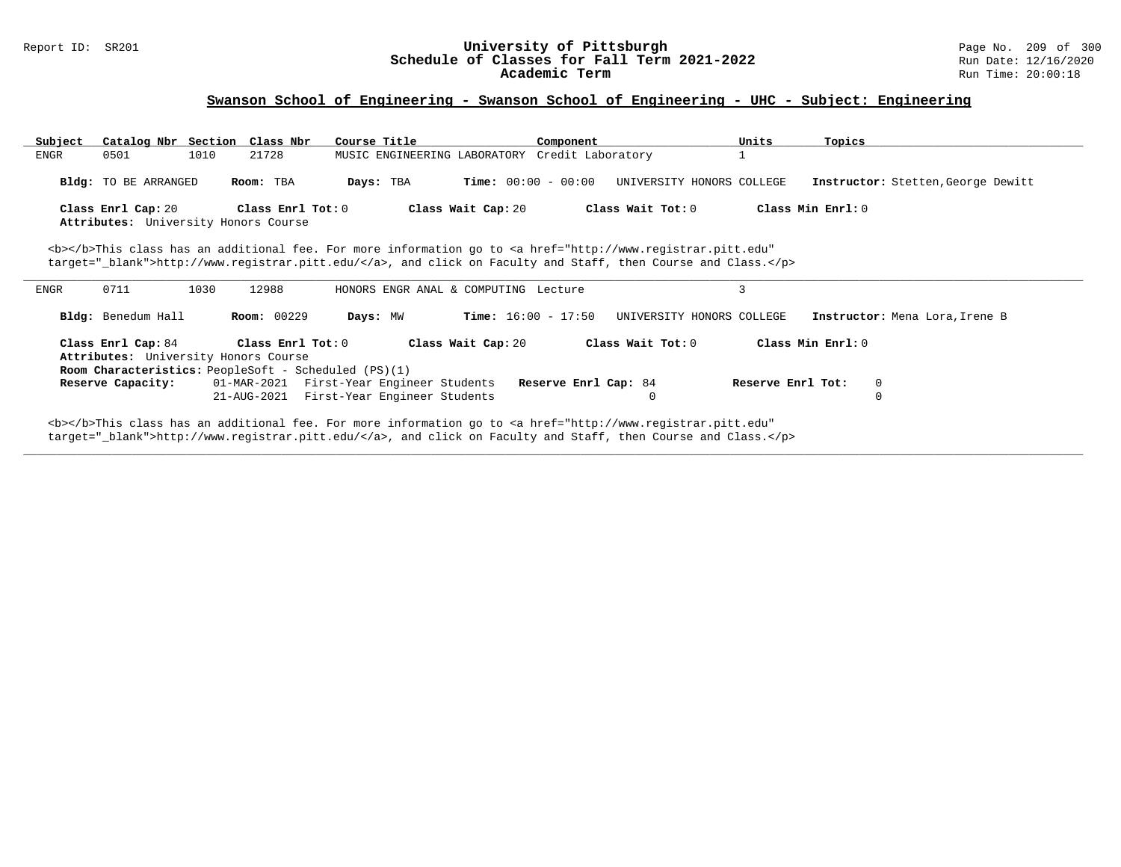# Report ID: SR201 **1988 Chedule of Classes for Fall Term 2021-2022** Page No. 209 of 300 Page No. 209 of 300 Page No<br>**Schedule of Classes for Fall Term 2021-2022** Run Date: 12/16/2020 Schedule of Classes for Fall Term 2021-2022<br>Academic Term

## **Swanson School of Engineering - Swanson School of Engineering - UHC - Subject: Engineering**

| Subject | Catalog Nbr Section Class Nbr                               |      |                    | Course Title |                                                                                                                                                                           | Component                    |                   | Units                     | Topics            |                                    |
|---------|-------------------------------------------------------------|------|--------------------|--------------|---------------------------------------------------------------------------------------------------------------------------------------------------------------------------|------------------------------|-------------------|---------------------------|-------------------|------------------------------------|
| ENGR    | 0501                                                        | 1010 | 21728              |              | MUSIC ENGINEERING LABORATORY Credit Laboratory                                                                                                                            |                              |                   |                           |                   |                                    |
|         |                                                             |      |                    |              |                                                                                                                                                                           |                              |                   |                           |                   |                                    |
|         | Bldg: TO BE ARRANGED                                        |      | Room: TBA          | Days: TBA    |                                                                                                                                                                           | <b>Time:</b> $00:00 - 00:00$ |                   | UNIVERSITY HONORS COLLEGE |                   | Instructor: Stetten, George Dewitt |
|         |                                                             |      |                    |              |                                                                                                                                                                           |                              |                   |                           |                   |                                    |
|         | Class Enrl Cap: 20                                          |      | Class Enrl Tot: 0  |              | Class Wait Cap: 20                                                                                                                                                        |                              | Class Wait Tot: 0 |                           | Class Min Enrl: 0 |                                    |
|         | Attributes: University Honors Course                        |      |                    |              |                                                                                                                                                                           |                              |                   |                           |                   |                                    |
|         |                                                             |      |                    |              | <b></b> This class has an additional fee. For more information go to <a <="" href="http://www.registrar.pitt.edu" td=""><td></td><td></td><td></td><td></td><td></td></a> |                              |                   |                           |                   |                                    |
|         |                                                             |      |                    |              | target="_blank">http://www.registrar.pitt.edu/, and click on Faculty and Staff, then Course and Class.                                                                    |                              |                   |                           |                   |                                    |
|         |                                                             |      |                    |              |                                                                                                                                                                           |                              |                   |                           |                   |                                    |
| ENGR    | 0711                                                        | 1030 | 12988              |              | HONORS ENGR ANAL & COMPUTING Lecture                                                                                                                                      |                              |                   | 3                         |                   |                                    |
|         |                                                             |      |                    |              |                                                                                                                                                                           |                              |                   |                           |                   |                                    |
|         | Bldg: Benedum Hall                                          |      | <b>Room: 00229</b> | Days: MW     |                                                                                                                                                                           | <b>Time:</b> $16:00 - 17:50$ |                   | UNIVERSITY HONORS COLLEGE |                   | Instructor: Mena Lora, Irene B     |
|         |                                                             |      |                    |              |                                                                                                                                                                           |                              |                   |                           |                   |                                    |
|         | Class Enrl Cap: 84                                          |      | Class Enrl Tot:0   |              | Class Wait Cap: 20                                                                                                                                                        |                              | Class Wait Tot: 0 |                           | Class Min Enrl: 0 |                                    |
|         | Attributes: University Honors Course                        |      |                    |              |                                                                                                                                                                           |                              |                   |                           |                   |                                    |
|         | <b>Room Characteristics:</b> PeopleSoft - Scheduled (PS)(1) |      |                    |              |                                                                                                                                                                           |                              |                   |                           |                   |                                    |
|         | Reserve Capacity:                                           |      | 01-MAR-2021        |              | First-Year Engineer Students                                                                                                                                              | Reserve Enrl Cap: 84         |                   |                           | Reserve Enrl Tot: | 0                                  |
|         |                                                             |      | 21-AUG-2021        |              | First-Year Engineer Students                                                                                                                                              |                              | $\Omega$          |                           |                   |                                    |
|         |                                                             |      |                    |              |                                                                                                                                                                           |                              |                   |                           |                   |                                    |
|         |                                                             |      |                    |              | <b></b> This class has an additional fee. For more information go to <a <="" href="http://www.registrar.pitt.edu" td=""><td></td><td></td><td></td><td></td><td></td></a> |                              |                   |                           |                   |                                    |

**\_\_\_\_\_\_\_\_\_\_\_\_\_\_\_\_\_\_\_\_\_\_\_\_\_\_\_\_\_\_\_\_\_\_\_\_\_\_\_\_\_\_\_\_\_\_\_\_\_\_\_\_\_\_\_\_\_\_\_\_\_\_\_\_\_\_\_\_\_\_\_\_\_\_\_\_\_\_\_\_\_\_\_\_\_\_\_\_\_\_\_\_\_\_\_\_\_\_\_\_\_\_\_\_\_\_\_\_\_\_\_\_\_\_\_\_\_\_\_\_\_\_\_\_\_\_\_\_\_\_\_\_\_\_\_\_\_\_\_\_\_\_\_\_\_\_\_\_\_\_\_\_\_\_\_\_**

target="\_blank">http://www.registrar.pitt.edu/</a>, and click on Faculty and Staff, then Course and Class.</p>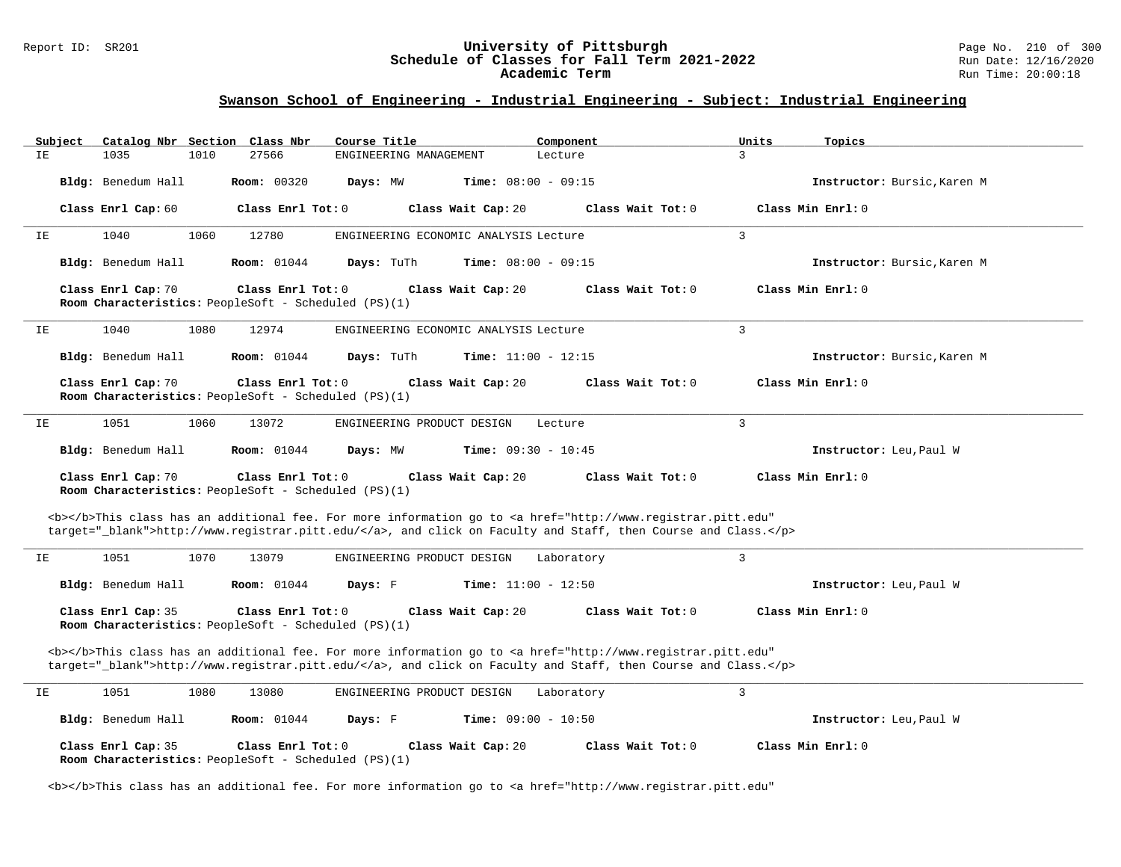#### Report ID: SR201 **1988 Chedule of Classes for Fall Term 2021-2022** Page No. 210 of 300 Page No. 210 of 300 Page No<br>**Schedule of Classes for Fall Term 2021-2022** Run Date: 12/16/2020 **Schedule of Classes for Fall Term 2021-2022** Run Date: 12/16/2020 **Academic Term** Run Time: 20:00:18

| Subject | Catalog Nbr Section Class Nbr | Course Title                                                                     | Component                                                                                                                                                                                                                          | Units<br>Topics             |  |
|---------|-------------------------------|----------------------------------------------------------------------------------|------------------------------------------------------------------------------------------------------------------------------------------------------------------------------------------------------------------------------------|-----------------------------|--|
| IE.     | 1035<br>1010                  | 27566<br>ENGINEERING MANAGEMENT                                                  | Lecture                                                                                                                                                                                                                            | 3                           |  |
|         | Bldg: Benedum Hall            | Room: 00320<br>Days: MW                                                          | <b>Time:</b> $08:00 - 09:15$                                                                                                                                                                                                       | Instructor: Bursic, Karen M |  |
|         | Class Enrl Cap: 60            | Class Enrl Tot: 0                                                                | Class Wait Cap: 20<br>Class Wait Tot: 0                                                                                                                                                                                            | Class Min Enrl: 0           |  |
| IE      | 1040<br>1060                  | 12780                                                                            | ENGINEERING ECONOMIC ANALYSIS Lecture                                                                                                                                                                                              | 3                           |  |
|         | Bldg: Benedum Hall            | <b>Room:</b> 01044<br>Days: TuTh                                                 | <b>Time:</b> $08:00 - 09:15$                                                                                                                                                                                                       | Instructor: Bursic, Karen M |  |
|         | Class Enrl Cap: 70            | Class Enrl Tot: 0<br>Room Characteristics: PeopleSoft - Scheduled (PS)(1)        | Class Wait Cap: 20<br>Class Wait Tot: 0                                                                                                                                                                                            | Class Min Enrl: 0           |  |
| IE      | 1040<br>1080                  | 12974                                                                            | ENGINEERING ECONOMIC ANALYSIS Lecture                                                                                                                                                                                              | $\overline{3}$              |  |
|         | Bldg: Benedum Hall            | <b>Room:</b> 01044<br>Days: TuTh                                                 | <b>Time:</b> $11:00 - 12:15$                                                                                                                                                                                                       | Instructor: Bursic, Karen M |  |
|         | Class Enrl Cap: 70            | Class Enrl Tot: 0<br>Room Characteristics: PeopleSoft - Scheduled (PS)(1)        | Class Wait Cap: 20<br>Class Wait Tot: 0                                                                                                                                                                                            | Class Min Enrl: 0           |  |
| ΙE      | 1051<br>1060                  | 13072<br>ENGINEERING PRODUCT DESIGN                                              | Lecture                                                                                                                                                                                                                            | $\overline{3}$              |  |
|         | Bldg: Benedum Hall            | <b>Room:</b> 01044<br>Days: MW                                                   | Time: $09:30 - 10:45$                                                                                                                                                                                                              | Instructor: Leu, Paul W     |  |
|         | Class Enrl Cap: 70            | Class Enrl Tot: 0<br>Room Characteristics: PeopleSoft - Scheduled (PS)(1)        | Class Wait Cap: 20<br>Class Wait Tot: 0                                                                                                                                                                                            | Class Min Enrl: 0           |  |
|         |                               |                                                                                  | <b></b> This class has an additional fee. For more information go to <a <br="" href="http://www.registrar.pitt.edu">target="_blank"&gt;http://www.registrar.pitt.edu/</a> , and click on Faculty and Staff, then Course and Class. |                             |  |
| IΕ      | 1051<br>1070                  | 13079<br>ENGINEERING PRODUCT DESIGN                                              | Laboratory                                                                                                                                                                                                                         | $\overline{3}$              |  |
|         | Bldg: Benedum Hall            | <b>Room:</b> 01044<br>Days: F                                                    | <b>Time:</b> $11:00 - 12:50$                                                                                                                                                                                                       | Instructor: Leu, Paul W     |  |
|         | Class Enrl Cap: 35            | Class Enrl Tot: 0<br>Room Characteristics: PeopleSoft - Scheduled (PS)(1)        | Class Wait Cap: 20<br>Class Wait Tot: 0                                                                                                                                                                                            | Class Min Enrl: 0           |  |
|         |                               |                                                                                  | <b></b> This class has an additional fee. For more information go to <a <br="" href="http://www.registrar.pitt.edu">target="_blank"&gt;http://www.registrar.pitt.edu/</a> , and click on Faculty and Staff, then Course and Class. |                             |  |
| ΙE      | 1051<br>1080                  | 13080<br>ENGINEERING PRODUCT DESIGN                                              | Laboratory                                                                                                                                                                                                                         | $\overline{3}$              |  |
|         | Bldg: Benedum Hall            | <b>Room:</b> 01044<br>Days: F                                                    | <b>Time:</b> $09:00 - 10:50$                                                                                                                                                                                                       | Instructor: Leu, Paul W     |  |
|         | Class Enrl Cap: 35            | Class Enrl Tot: 0<br><b>Room Characteristics:</b> PeopleSoft - Scheduled (PS)(1) | Class Wait Cap: 20<br>Class Wait Tot: 0                                                                                                                                                                                            | Class Min $Enr1: 0$         |  |
|         |                               |                                                                                  | <b></b> This class has an additional fee. For more information go to <a <="" href="http://www.registrar.pitt.edu" td=""><td></td><td></td></a>                                                                                     |                             |  |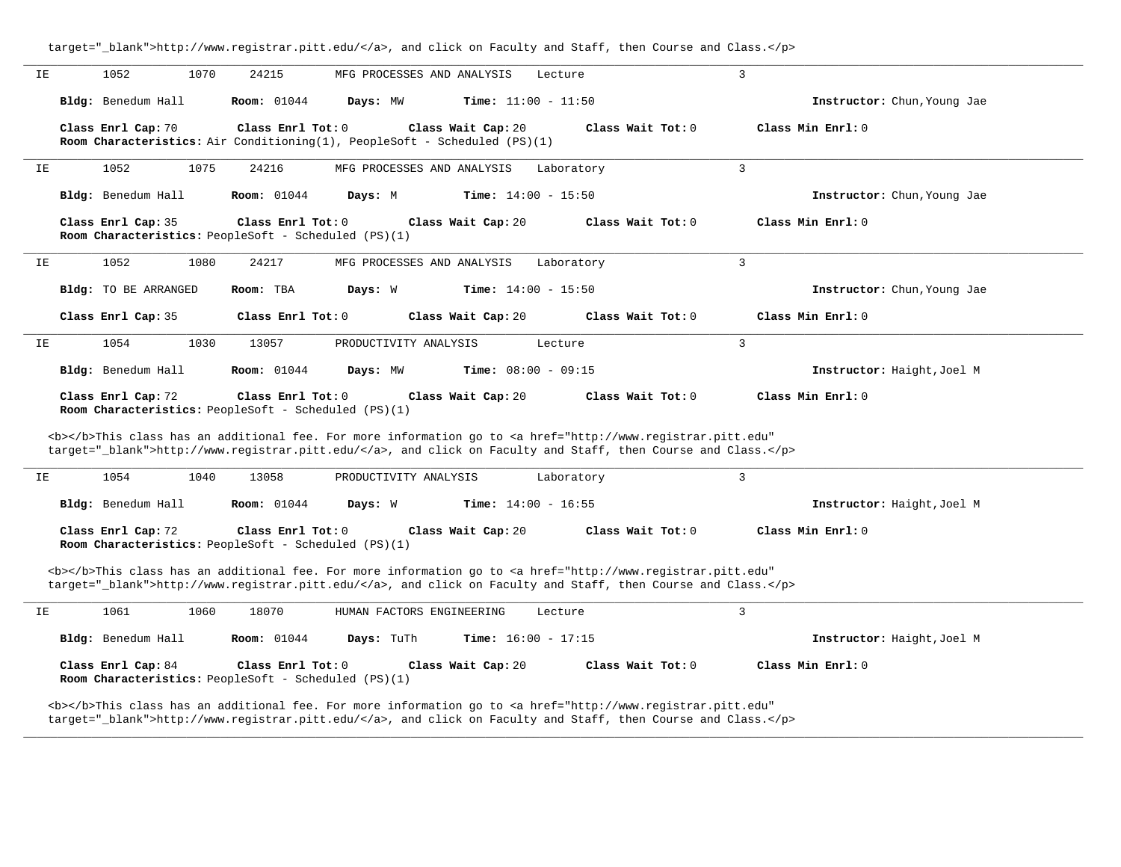|    |                                                                                   |      |                    |                                                                           |                              | target="_blank">http://www.registrar.pitt.edu/, and click on Faculty and Staff, then Course and Class.                                                                                                                             |                |                             |  |
|----|-----------------------------------------------------------------------------------|------|--------------------|---------------------------------------------------------------------------|------------------------------|------------------------------------------------------------------------------------------------------------------------------------------------------------------------------------------------------------------------------------|----------------|-----------------------------|--|
| ΙE | 1052                                                                              | 1070 | 24215              | MFG PROCESSES AND ANALYSIS                                                |                              | Lecture                                                                                                                                                                                                                            | 3              |                             |  |
|    | Bldg: Benedum Hall                                                                |      | <b>Room:</b> 01044 | Days: MW                                                                  | <b>Time:</b> $11:00 - 11:50$ |                                                                                                                                                                                                                                    |                | Instructor: Chun, Young Jae |  |
|    | Class Enrl Cap: 70                                                                |      | Class Enrl Tot: 0  | Room Characteristics: Air Conditioning(1), PeopleSoft - Scheduled (PS)(1) | Class Wait Cap: 20           | Class Wait Tot: 0                                                                                                                                                                                                                  |                | Class Min Enrl: 0           |  |
| IΕ | 1052                                                                              | 1075 | 24216              | MFG PROCESSES AND ANALYSIS                                                |                              | Laboratory                                                                                                                                                                                                                         | 3              |                             |  |
|    | Bldg: Benedum Hall                                                                |      | <b>Room:</b> 01044 | Days: M                                                                   | <b>Time:</b> $14:00 - 15:50$ |                                                                                                                                                                                                                                    |                | Instructor: Chun, Young Jae |  |
|    | Class Enrl Cap: 35<br>Room Characteristics: PeopleSoft - Scheduled (PS)(1)        |      | Class Enrl Tot: 0  |                                                                           | Class Wait Cap: 20           | Class Wait Tot: 0                                                                                                                                                                                                                  |                | Class Min Enrl: 0           |  |
| IE | 1052                                                                              | 1080 | 24217              | MFG PROCESSES AND ANALYSIS                                                |                              | Laboratory                                                                                                                                                                                                                         | 3              |                             |  |
|    | <b>Bldg:</b> TO BE ARRANGED                                                       |      | Room: TBA          | Days: W                                                                   | <b>Time:</b> $14:00 - 15:50$ |                                                                                                                                                                                                                                    |                | Instructor: Chun, Young Jae |  |
|    | Class Enrl Cap: 35                                                                |      | Class Enrl Tot: 0  |                                                                           | Class Wait Cap: 20           | Class Wait Tot: 0                                                                                                                                                                                                                  |                | Class Min Enrl: 0           |  |
| IΕ | 1054                                                                              | 1030 | 13057              | PRODUCTIVITY ANALYSIS                                                     |                              | Lecture                                                                                                                                                                                                                            | $\overline{3}$ |                             |  |
|    | Bldg: Benedum Hall                                                                |      | Room: 01044        | Days: MW                                                                  | Time: $08:00 - 09:15$        |                                                                                                                                                                                                                                    |                | Instructor: Haight, Joel M  |  |
|    |                                                                                   |      |                    |                                                                           |                              |                                                                                                                                                                                                                                    |                |                             |  |
|    | Class Enrl Cap: 72<br>Room Characteristics: PeopleSoft - Scheduled (PS)(1)        |      | Class Enrl Tot: 0  |                                                                           | Class Wait Cap: 20           | Class Wait Tot: 0                                                                                                                                                                                                                  |                | Class Min Enrl: 0           |  |
|    |                                                                                   |      |                    |                                                                           |                              | <b></b> This class has an additional fee. For more information go to <a <br="" href="http://www.registrar.pitt.edu">target="_blank"&gt;http://www.registrar.pitt.edu/</a> , and click on Faculty and Staff, then Course and Class. |                |                             |  |
| IE | 1054                                                                              | 1040 | 13058              | PRODUCTIVITY ANALYSIS                                                     |                              | Laboratory                                                                                                                                                                                                                         | 3              |                             |  |
|    | Bldg: Benedum Hall                                                                |      | <b>Room:</b> 01044 | Days: W                                                                   | <b>Time:</b> $14:00 - 16:55$ |                                                                                                                                                                                                                                    |                | Instructor: Haight, Joel M  |  |
|    | Class Enrl Cap: 72<br>Room Characteristics: PeopleSoft - Scheduled (PS)(1)        |      | Class Enrl Tot: 0  |                                                                           | Class Wait Cap: 20           | Class Wait Tot: 0                                                                                                                                                                                                                  |                | Class Min Enrl: 0           |  |
|    |                                                                                   |      |                    |                                                                           |                              | <b></b> This class has an additional fee. For more information go to <a <br="" href="http://www.registrar.pitt.edu">target="_blank"&gt;http://www.registrar.pitt.edu/</a> , and click on Faculty and Staff, then Course and Class. |                |                             |  |
| IE | 1061                                                                              | 1060 | 18070              | HUMAN FACTORS ENGINEERING                                                 |                              | Lecture                                                                                                                                                                                                                            | 3              |                             |  |
|    | Bldg: Benedum Hall                                                                |      | <b>Room:</b> 01044 | Days: TuTh                                                                | Time: $16:00 - 17:15$        |                                                                                                                                                                                                                                    |                | Instructor: Haight, Joel M  |  |
|    | Class Enrl Cap: 84<br><b>Room Characteristics:</b> PeopleSoft - Scheduled (PS)(1) |      | Class Enrl Tot: 0  |                                                                           | Class Wait Cap: 20           | Class Wait Tot: 0                                                                                                                                                                                                                  |                | Class Min Enrl: 0           |  |

**\_\_\_\_\_\_\_\_\_\_\_\_\_\_\_\_\_\_\_\_\_\_\_\_\_\_\_\_\_\_\_\_\_\_\_\_\_\_\_\_\_\_\_\_\_\_\_\_\_\_\_\_\_\_\_\_\_\_\_\_\_\_\_\_\_\_\_\_\_\_\_\_\_\_\_\_\_\_\_\_\_\_\_\_\_\_\_\_\_\_\_\_\_\_\_\_\_\_\_\_\_\_\_\_\_\_\_\_\_\_\_\_\_\_\_\_\_\_\_\_\_\_\_\_\_\_\_\_\_\_\_\_\_\_\_\_\_\_\_\_\_\_\_\_\_\_\_\_\_\_\_\_\_\_\_\_**

target="\_blank">http://www.registrar.pitt.edu/</a>, and click on Faculty and Staff, then Course and Class.</p>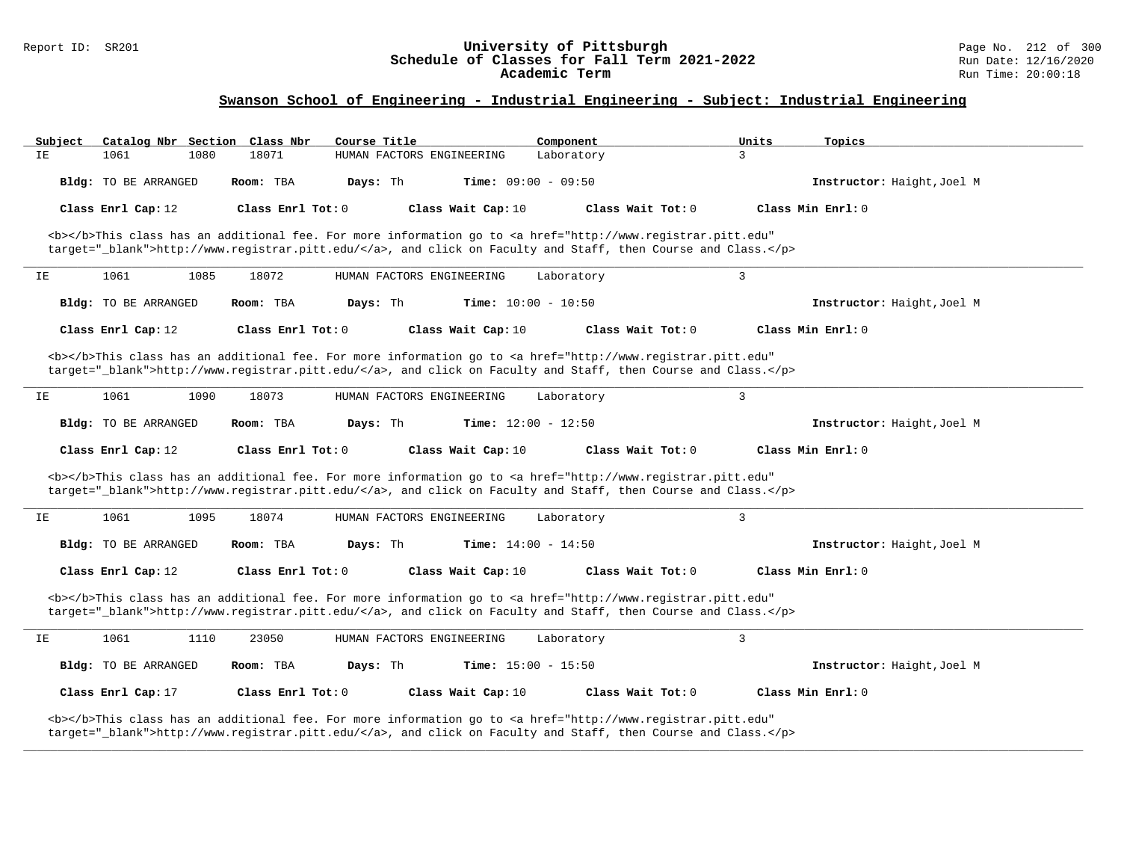#### Report ID: SR201 **University of Pittsburgh** Page No. 212 of 300 **Schedule of Classes for Fall Term 2021-2022** Run Date: 12/16/2020 **Academic Term** Run Time: 20:00:18

| Subject | Catalog Nbr Section Class Nbr |      |                     | Course Title              |                              | Component           | Units                                                                                                                                                                                                                              | Topics                     |  |
|---------|-------------------------------|------|---------------------|---------------------------|------------------------------|---------------------|------------------------------------------------------------------------------------------------------------------------------------------------------------------------------------------------------------------------------------|----------------------------|--|
| IΕ      | 1061                          | 1080 | 18071               | HUMAN FACTORS ENGINEERING |                              | Laboratory          | $\overline{3}$                                                                                                                                                                                                                     |                            |  |
|         | <b>Bldg:</b> TO BE ARRANGED   |      | Room: TBA           | Days: Th                  | <b>Time:</b> $09:00 - 09:50$ |                     |                                                                                                                                                                                                                                    | Instructor: Haight, Joel M |  |
|         | Class Enrl Cap: 12            |      | Class Enrl Tot: $0$ |                           | Class Wait Cap: 10           | Class Wait Tot: 0   |                                                                                                                                                                                                                                    | Class Min Enrl: 0          |  |
|         |                               |      |                     |                           |                              |                     | <b></b> This class has an additional fee. For more information go to <a <br="" href="http://www.registrar.pitt.edu">target="_blank"&gt;http://www.registrar.pitt.edu/</a> , and click on Faculty and Staff, then Course and Class. |                            |  |
| IE      | 1061                          | 1085 | 18072               | HUMAN FACTORS ENGINEERING |                              | Laboratory          | $\overline{3}$                                                                                                                                                                                                                     |                            |  |
|         | Bldg: TO BE ARRANGED          |      | Room: TBA           | Days: Th                  | Time: $10:00 - 10:50$        |                     |                                                                                                                                                                                                                                    | Instructor: Haight, Joel M |  |
|         | Class Enrl Cap: 12            |      | Class Enrl Tot: 0   |                           | Class Wait Cap: 10           | Class Wait Tot: 0   |                                                                                                                                                                                                                                    | Class Min Enrl: 0          |  |
|         |                               |      |                     |                           |                              |                     | <b></b> This class has an additional fee. For more information go to <a <br="" href="http://www.registrar.pitt.edu">target="_blank"&gt;http://www.registrar.pitt.edu/</a> , and click on Faculty and Staff, then Course and Class. |                            |  |
| IΕ      | 1061                          | 1090 | 18073               | HUMAN FACTORS ENGINEERING |                              | Laboratory          | 3                                                                                                                                                                                                                                  |                            |  |
|         | Bldg: TO BE ARRANGED          |      | Room: TBA           | Days: Th                  | Time: $12:00 - 12:50$        |                     |                                                                                                                                                                                                                                    | Instructor: Haight, Joel M |  |
|         | Class Enrl Cap: 12            |      | Class Enrl Tot: 0   |                           | Class Wait Cap: 10           | Class Wait Tot: 0   |                                                                                                                                                                                                                                    | Class Min Enrl: 0          |  |
|         |                               |      |                     |                           |                              |                     | <b></b> This class has an additional fee. For more information go to <a <br="" href="http://www.registrar.pitt.edu">target="_blank"&gt;http://www.registrar.pitt.edu/</a> , and click on Faculty and Staff, then Course and Class. |                            |  |
| IΕ      | 1061                          | 1095 | 18074               | HUMAN FACTORS ENGINEERING |                              | Laboratory          | 3                                                                                                                                                                                                                                  |                            |  |
|         | Bldg: TO BE ARRANGED          |      | Room: TBA           | Days: Th                  | <b>Time:</b> $14:00 - 14:50$ |                     |                                                                                                                                                                                                                                    | Instructor: Haight, Joel M |  |
|         | Class Enrl Cap: 12            |      | Class Enrl Tot: $0$ |                           | Class Wait Cap: 10           | Class Wait $Tot: 0$ |                                                                                                                                                                                                                                    | $Class Min Ernst: 0$       |  |
|         |                               |      |                     |                           |                              |                     | <b></b> This class has an additional fee. For more information go to <a <br="" href="http://www.registrar.pitt.edu">target=" blank"&gt;http://www.registrar.pitt.edu/</a> , and click on Faculty and Staff, then Course and Class. |                            |  |
| IE      | 1061                          | 1110 | 23050               | HUMAN FACTORS ENGINEERING |                              | Laboratory          | $\overline{3}$                                                                                                                                                                                                                     |                            |  |
|         | Bldg: TO BE ARRANGED          |      | Room: TBA           | Days: Th                  | <b>Time:</b> $15:00 - 15:50$ |                     |                                                                                                                                                                                                                                    | Instructor: Haight, Joel M |  |
|         | Class Enrl Cap: 17            |      | Class Enrl Tot: 0   |                           | Class Wait Cap: 10           | Class Wait Tot: 0   |                                                                                                                                                                                                                                    | Class Min Enrl: 0          |  |
|         |                               |      |                     |                           |                              |                     | <b></b> This class has an additional fee. For more information go to <a <br="" href="http://www.registrar.pitt.edu">target="_blank"&gt;http://www.registrar.pitt.edu/</a> , and click on Faculty and Staff, then Course and Class. |                            |  |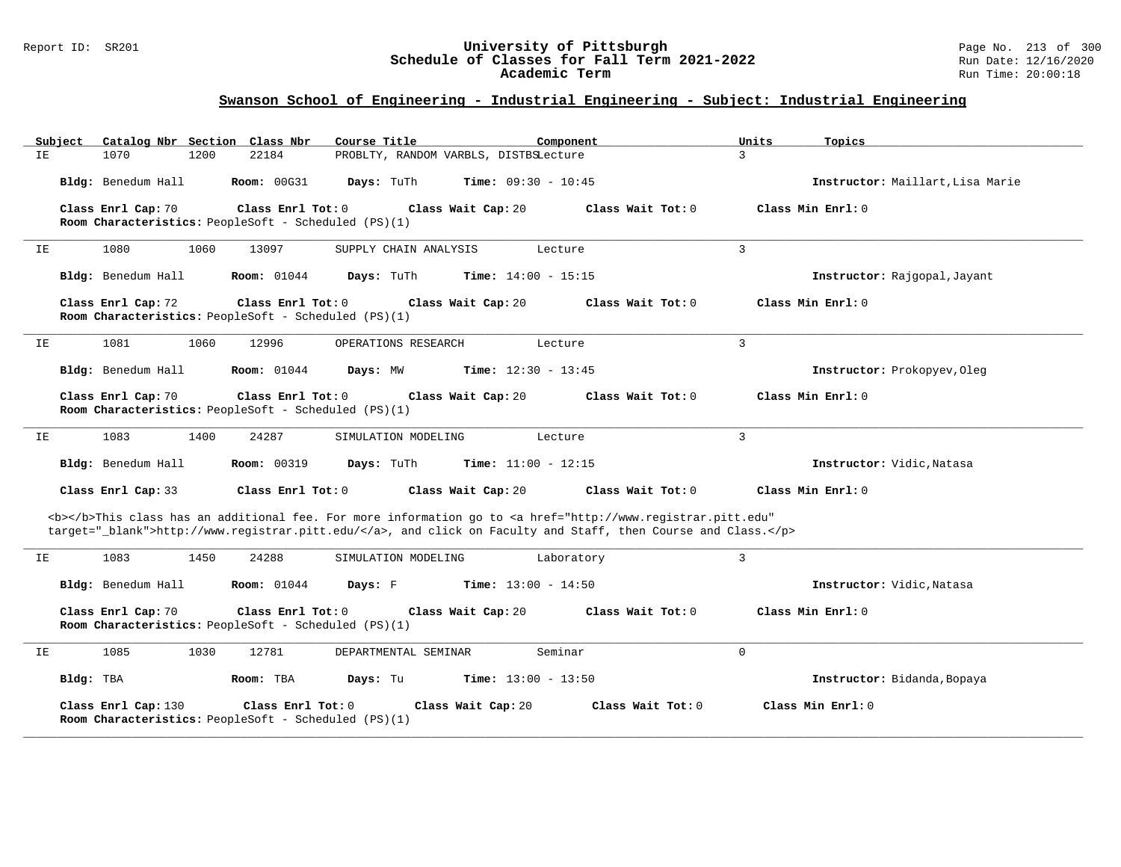#### Report ID: SR201 **University of Pittsburgh** Page No. 213 of 300 **Schedule of Classes for Fall Term 2021-2022** Run Date: 12/16/2020 **Academic Term** Run Time: 20:00:18

| Subject   | Catalog Nbr Section Class Nbr                                               |                    | Course Title          | Component                             |                                                                                                                                                                                                                                    | Units             | Topics                           |
|-----------|-----------------------------------------------------------------------------|--------------------|-----------------------|---------------------------------------|------------------------------------------------------------------------------------------------------------------------------------------------------------------------------------------------------------------------------------|-------------------|----------------------------------|
| IE.       | 1070<br>1200                                                                | 22184              |                       | PROBLTY, RANDOM VARBLS, DISTBSLecture |                                                                                                                                                                                                                                    | $\mathcal{L}$     |                                  |
|           | Bldg: Benedum Hall                                                          | <b>Room: 00G31</b> | Days: TuTh            | <b>Time:</b> $09:30 - 10:45$          |                                                                                                                                                                                                                                    |                   | Instructor: Maillart, Lisa Marie |
|           | Class Enrl Cap: 70<br>Room Characteristics: PeopleSoft - Scheduled (PS)(1)  | Class Enrl Tot: 0  |                       | Class Wait Cap: 20                    | Class Wait Tot: 0                                                                                                                                                                                                                  | Class Min Enrl: 0 |                                  |
| ΙE        | 1080<br>1060                                                                | 13097              | SUPPLY CHAIN ANALYSIS | Lecture                               |                                                                                                                                                                                                                                    | 3                 |                                  |
|           | Bldg: Benedum Hall                                                          | <b>Room:</b> 01044 | Days: TuTh            | <b>Time:</b> $14:00 - 15:15$          |                                                                                                                                                                                                                                    |                   | Instructor: Rajgopal, Jayant     |
|           | Class Enrl Cap: 72<br>Room Characteristics: PeopleSoft - Scheduled (PS)(1)  | Class Enrl Tot: 0  |                       | Class Wait Cap: 20                    | Class Wait Tot: 0                                                                                                                                                                                                                  | Class Min Enrl: 0 |                                  |
| IΕ        | 1081<br>1060                                                                | 12996              | OPERATIONS RESEARCH   | Lecture                               |                                                                                                                                                                                                                                    | $\overline{3}$    |                                  |
|           | Bldg: Benedum Hall                                                          | <b>Room:</b> 01044 | Days: MW              | <b>Time:</b> $12:30 - 13:45$          |                                                                                                                                                                                                                                    |                   | Instructor: Prokopyev, Oleq      |
|           | Class Enrl Cap: 70<br>Room Characteristics: PeopleSoft - Scheduled (PS)(1)  | Class Enrl Tot: 0  |                       | Class Wait Cap: 20                    | Class Wait Tot: 0                                                                                                                                                                                                                  | Class Min Enrl: 0 |                                  |
| IΕ        | 1083<br>1400                                                                | 24287              | SIMULATION MODELING   | Lecture                               |                                                                                                                                                                                                                                    | $\mathbf{3}$      |                                  |
|           | Bldg: Benedum Hall                                                          | <b>Room: 00319</b> | Days: TuTh            | <b>Time:</b> $11:00 - 12:15$          |                                                                                                                                                                                                                                    |                   | Instructor: Vidic, Natasa        |
|           | Class Enrl Cap: 33                                                          | Class Enrl Tot: 0  |                       | Class Wait Cap: 20                    | Class Wait Tot: 0                                                                                                                                                                                                                  | Class Min Enrl: 0 |                                  |
|           |                                                                             |                    |                       |                                       | <b></b> This class has an additional fee. For more information go to <a <br="" href="http://www.registrar.pitt.edu">target="_blank"&gt;http://www.registrar.pitt.edu/</a> , and click on Faculty and Staff, then Course and Class. |                   |                                  |
| IE        | 1083<br>1450                                                                | 24288              | SIMULATION MODELING   | Laboratory                            |                                                                                                                                                                                                                                    | 3                 |                                  |
|           | Bldg: Benedum Hall                                                          | <b>Room:</b> 01044 | Days: F               | <b>Time:</b> $13:00 - 14:50$          |                                                                                                                                                                                                                                    |                   | Instructor: Vidic, Natasa        |
|           | Class Enrl Cap: 70<br>Room Characteristics: PeopleSoft - Scheduled (PS)(1)  | Class Enrl Tot: 0  |                       | Class Wait Cap: 20                    | Class Wait Tot: 0                                                                                                                                                                                                                  | Class Min Enrl: 0 |                                  |
| IE        | 1085<br>1030                                                                | 12781              | DEPARTMENTAL SEMINAR  | Seminar                               |                                                                                                                                                                                                                                    | $\mathbf 0$       |                                  |
| Bldg: TBA |                                                                             | Room: TBA          | Days: Tu              | <b>Time:</b> $13:00 - 13:50$          |                                                                                                                                                                                                                                    |                   | Instructor: Bidanda, Bopaya      |
|           | Class Enrl Cap: 130<br>Room Characteristics: PeopleSoft - Scheduled (PS)(1) | Class Enrl Tot: 0  |                       | Class Wait Cap: 20                    | Class Wait Tot: 0                                                                                                                                                                                                                  |                   | Class Min Enrl: 0                |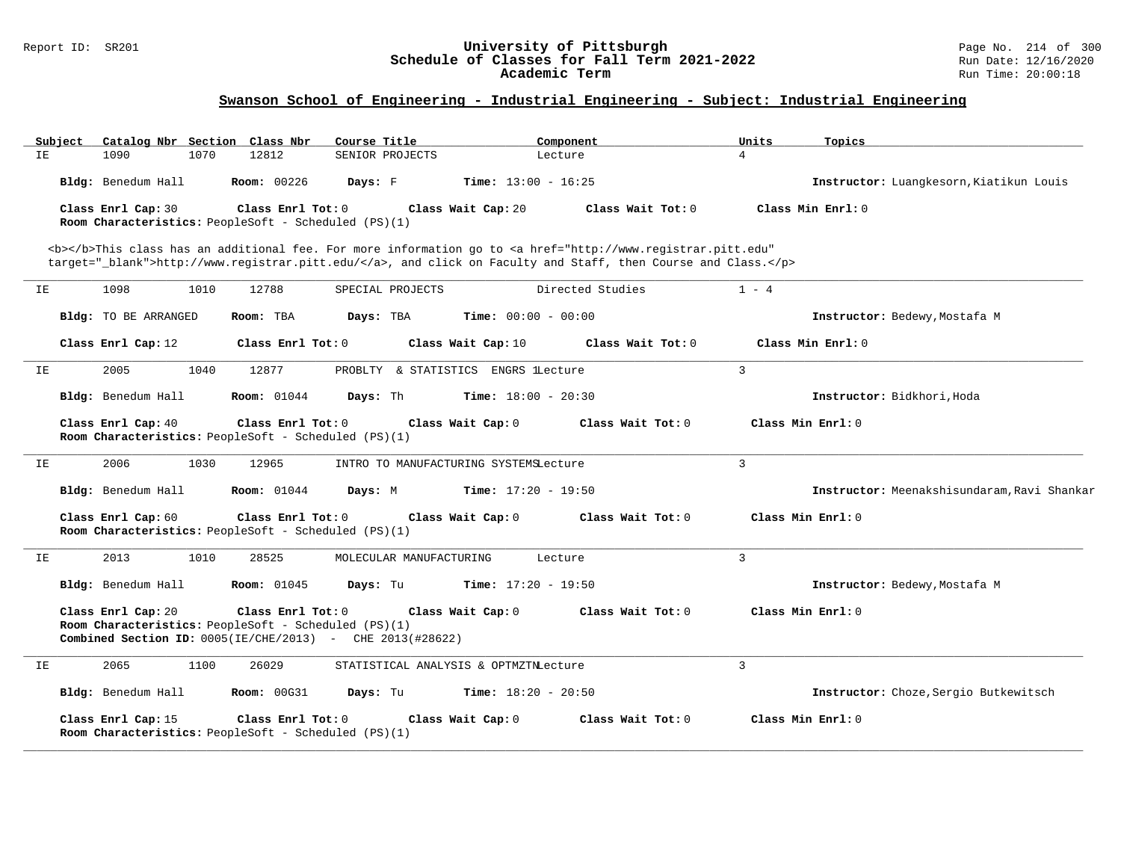#### Report ID: SR201 **University of Pittsburgh** Page No. 214 of 300 **Schedule of Classes for Fall Term 2021-2022** Run Date: 12/16/2020 **Academic Term** Run Time: 20:00:18

| Catalog Nbr Section Class Nbr<br>Subject | Course Title                                                                                                                                      | Component                                                                                                                                                                                                                          | Units<br>Topics                             |
|------------------------------------------|---------------------------------------------------------------------------------------------------------------------------------------------------|------------------------------------------------------------------------------------------------------------------------------------------------------------------------------------------------------------------------------------|---------------------------------------------|
| 1090<br>1070<br>ΙE.                      | 12812<br>SENIOR PROJECTS                                                                                                                          | Lecture                                                                                                                                                                                                                            | $\overline{4}$                              |
| Bldg: Benedum Hall                       | <b>Room: 00226</b><br>Days: F                                                                                                                     | <b>Time:</b> $13:00 - 16:25$                                                                                                                                                                                                       | Instructor: Luangkesorn, Kiatikun Louis     |
| Class Enrl Cap: 30                       | Class Enrl Tot: 0<br>Room Characteristics: PeopleSoft - Scheduled (PS)(1)                                                                         | Class Wait Cap: 20<br>Class Wait Tot: 0                                                                                                                                                                                            | Class Min Enrl: 0                           |
|                                          |                                                                                                                                                   | <b></b> This class has an additional fee. For more information go to <a <br="" href="http://www.registrar.pitt.edu">target="_blank"&gt;http://www.registrar.pitt.edu/</a> , and click on Faculty and Staff, then Course and Class. |                                             |
| 1098<br>IE<br>1010                       | SPECIAL PROJECTS<br>12788                                                                                                                         | Directed Studies                                                                                                                                                                                                                   | $1 - 4$                                     |
| Bldg: TO BE ARRANGED                     | Room: TBA<br>Days: TBA                                                                                                                            | <b>Time:</b> $00:00 - 00:00$                                                                                                                                                                                                       | Instructor: Bedewy, Mostafa M               |
| Class Enrl Cap: 12                       | Class Enrl Tot: 0                                                                                                                                 | Class Wait Cap: 10<br>Class Wait Tot: 0                                                                                                                                                                                            | Class Min Enrl: 0                           |
| 2005<br>1040<br>ΙE                       | 12877                                                                                                                                             | PROBLTY & STATISTICS ENGRS lLecture                                                                                                                                                                                                | $\overline{3}$                              |
| Bldg: Benedum Hall                       | <b>Room:</b> 01044<br>Days: Th                                                                                                                    | <b>Time:</b> $18:00 - 20:30$                                                                                                                                                                                                       | Instructor: Bidkhori, Hoda                  |
| Class Enrl Cap: 40                       | Class Enrl Tot: 0<br>Room Characteristics: PeopleSoft - Scheduled (PS)(1)                                                                         | Class Wait Cap: 0<br>Class Wait Tot: 0                                                                                                                                                                                             | Class Min Enrl: 0                           |
| 2006<br>1030<br>IE                       | 12965                                                                                                                                             | INTRO TO MANUFACTURING SYSTEMSLecture                                                                                                                                                                                              | $\mathbf{3}$                                |
| Bldg: Benedum Hall                       | <b>Room:</b> 01044<br>Days: M                                                                                                                     | <b>Time:</b> $17:20 - 19:50$                                                                                                                                                                                                       | Instructor: Meenakshisundaram, Ravi Shankar |
| Class Enrl Cap: 60                       | Class Enrl Tot: 0<br>Room Characteristics: PeopleSoft - Scheduled (PS)(1)                                                                         | Class Wait Cap: 0<br>Class Wait Tot: 0                                                                                                                                                                                             | Class Min Enrl: 0                           |
| 2013<br>1010<br>IΕ                       | 28525<br>MOLECULAR MANUFACTURING                                                                                                                  | Lecture                                                                                                                                                                                                                            | 3                                           |
| Bldg: Benedum Hall                       | <b>Room: 01045</b><br>Days: Tu                                                                                                                    | <b>Time:</b> $17:20 - 19:50$                                                                                                                                                                                                       | Instructor: Bedewy, Mostafa M               |
| Class Enrl Cap: 20                       | Class Enrl Tot: 0<br>Room Characteristics: PeopleSoft - Scheduled (PS)(1)<br><b>Combined Section ID:</b> $0005(IE/CHE/2013)$ - CHE $2013(#28622)$ | Class Wait Cap: 0<br>Class Wait Tot: 0                                                                                                                                                                                             | Class Min Enrl: 0                           |
| 2065<br>1100<br>IE                       | 26029                                                                                                                                             | STATISTICAL ANALYSIS & OPTMZTNLecture                                                                                                                                                                                              | $\overline{3}$                              |
| Bldg: Benedum Hall                       | <b>Room: 00G31</b><br>Days: Tu                                                                                                                    | <b>Time:</b> $18:20 - 20:50$                                                                                                                                                                                                       | Instructor: Choze, Sergio Butkewitsch       |
| Class Enrl Cap: 15                       | Class Enrl Tot: 0<br>Room Characteristics: PeopleSoft - Scheduled (PS)(1)                                                                         | Class Wait Cap: 0<br>Class Wait Tot: 0                                                                                                                                                                                             | Class Min Enrl: 0                           |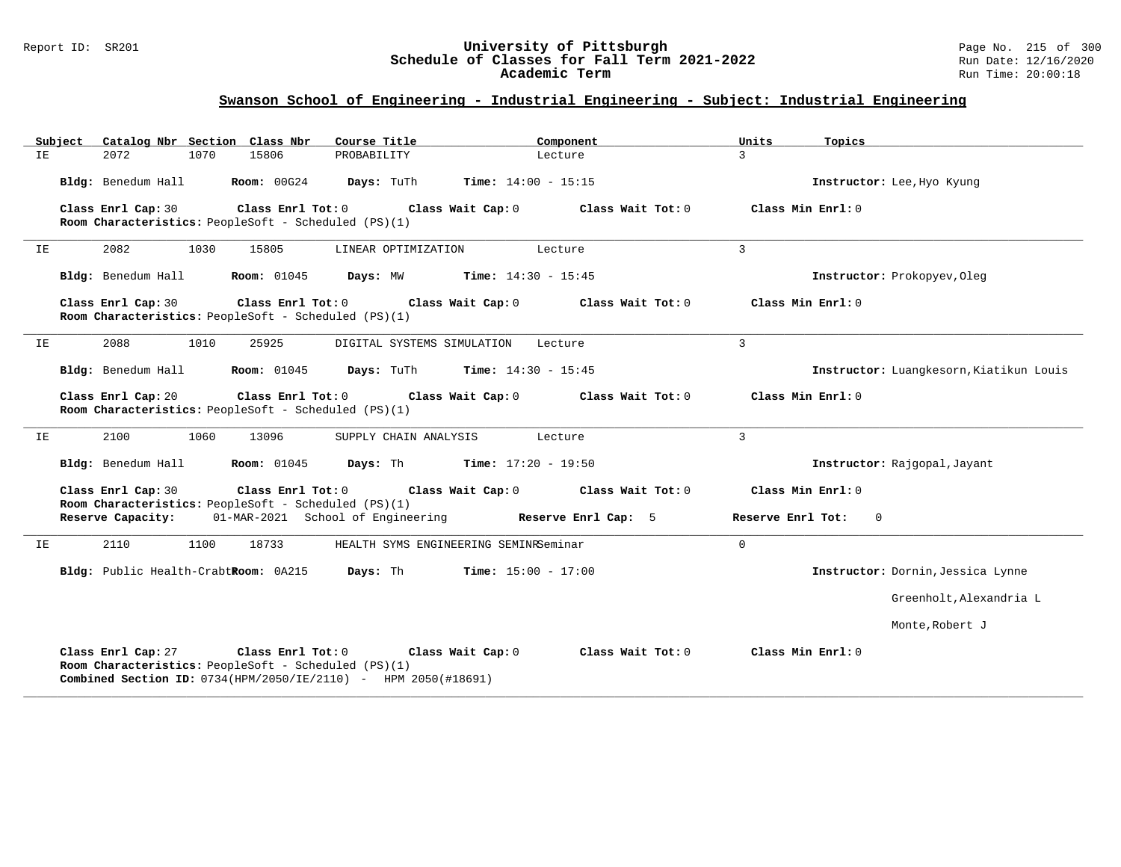#### Report ID: SR201 **University of Pittsburgh** Page No. 215 of 300 **Schedule of Classes for Fall Term 2021-2022** Run Date: 12/16/2020 **Academic Term** Run Time: 20:00:18

# **Swanson School of Engineering - Industrial Engineering - Subject: Industrial Engineering**

| Subiect | Catalog Nbr Section Class Nbr                                                                   | Course Title                                                                        | Component                    | Units<br>Topics                   |                                         |
|---------|-------------------------------------------------------------------------------------------------|-------------------------------------------------------------------------------------|------------------------------|-----------------------------------|-----------------------------------------|
| IE      | 2072<br>1070<br>15806                                                                           | PROBABILITY                                                                         | Lecture                      | 3                                 |                                         |
|         | <b>Room: 00G24</b><br>Bldg: Benedum Hall                                                        | <b>Time:</b> $14:00 - 15:15$<br><b>Days:</b> TuTh                                   |                              |                                   | Instructor: Lee, Hyo Kyung              |
|         | Class Enrl Cap: 30<br>Room Characteristics: PeopleSoft - Scheduled (PS)(1)                      | Class Enrl Tot: 0<br>Class Wait Cap: 0                                              | Class Wait Tot: 0            | Class Min Enrl: 0                 |                                         |
| ΙE      | 2082<br>1030<br>15805                                                                           | LINEAR OPTIMIZATION                                                                 | Lecture                      | 3                                 |                                         |
|         | Bldg: Benedum Hall<br><b>Room:</b> 01045                                                        | <b>Time:</b> $14:30 - 15:45$<br>Days: MW                                            |                              |                                   | Instructor: Prokopyev, Oleg             |
|         | Class Enrl Cap: 30<br>Room Characteristics: PeopleSoft - Scheduled (PS)(1)                      | Class Enrl Tot: 0<br>Class Wait Cap: 0                                              | Class Wait Tot: 0            | Class Min Enrl: 0                 |                                         |
| IΕ      | 1010<br>2088<br>25925                                                                           | DIGITAL SYSTEMS SIMULATION                                                          | Lecture                      | 3                                 |                                         |
|         | Bldg: Benedum Hall<br>Room: 01045                                                               | Days: TuTh                                                                          | <b>Time:</b> $14:30 - 15:45$ |                                   | Instructor: Luangkesorn, Kiatikun Louis |
|         | Class Enrl Cap: 20<br>Room Characteristics: PeopleSoft - Scheduled (PS)(1)                      | Class Enrl Tot: 0<br>Class Wait Cap: 0                                              | Class Wait Tot: 0            | Class Min Enrl: 0                 |                                         |
| IΕ      | 2100<br>1060<br>13096                                                                           | SUPPLY CHAIN ANALYSIS                                                               | Lecture                      | $\overline{3}$                    |                                         |
|         | Bldg: Benedum Hall<br><b>Room:</b> 01045                                                        | <b>Days:</b> Th <b>Time:</b> $17:20 - 19:50$                                        |                              |                                   | Instructor: Rajgopal, Jayant            |
|         | Class Enrl Cap: 30<br>Room Characteristics: PeopleSoft - Scheduled (PS)(1)                      | $Class$ $Enrl$ $Tot: 0$<br>Class Wait Cap: 0                                        | Class Wait Tot: 0            | Class Min Enrl: 0                 |                                         |
|         | Reserve Capacity:                                                                               | 01-MAR-2021 School of Engineering Reserve Enrl Cap: 5                               |                              | Reserve Enrl Tot:<br>$\mathbf{0}$ |                                         |
| IE      | 18733<br>2110<br>1100                                                                           | HEALTH SYMS ENGINEERING SEMINRSeminar                                               |                              | $\mathbf 0$                       |                                         |
|         | Bldg: Public Health-CrabtRoom: 0A215                                                            | Days: Th<br>$Time: 15:00 - 17:00$                                                   |                              |                                   | Instructor: Dornin, Jessica Lynne       |
|         |                                                                                                 |                                                                                     |                              |                                   | Greenholt, Alexandria L                 |
|         |                                                                                                 |                                                                                     |                              |                                   | Monte, Robert J                         |
|         | Class Enrl Cap: 27<br>Class Enrl Tot: 0<br>Room Characteristics: PeopleSoft - Scheduled (PS)(1) | Class Wait Cap: 0<br>Combined Section ID: 0734(HPM/2050/IE/2110) - HPM 2050(#18691) | Class Wait Tot: 0            | Class Min Enrl: 0                 |                                         |

**\_\_\_\_\_\_\_\_\_\_\_\_\_\_\_\_\_\_\_\_\_\_\_\_\_\_\_\_\_\_\_\_\_\_\_\_\_\_\_\_\_\_\_\_\_\_\_\_\_\_\_\_\_\_\_\_\_\_\_\_\_\_\_\_\_\_\_\_\_\_\_\_\_\_\_\_\_\_\_\_\_\_\_\_\_\_\_\_\_\_\_\_\_\_\_\_\_\_\_\_\_\_\_\_\_\_\_\_\_\_\_\_\_\_\_\_\_\_\_\_\_\_\_\_\_\_\_\_\_\_\_\_\_\_\_\_\_\_\_\_\_\_\_\_\_\_\_\_\_\_\_\_\_\_\_\_**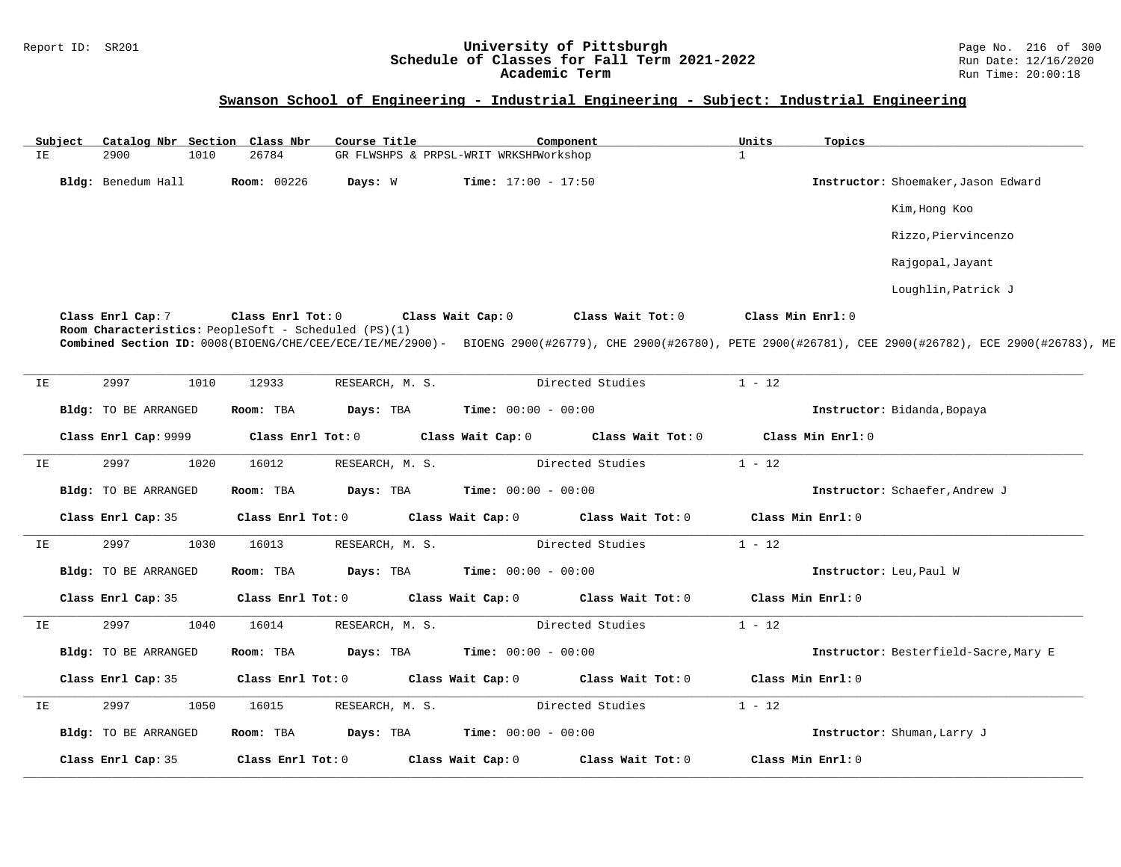### Report ID: SR201 **1988 Machines 1988 Machines 2011 Machines 1998 Machines 2021-2022** Page No. 216 of 300 Page No<br>**Schedule of Classes for Fall Term 2021-2022** Run Date: 12/16/2020 **Schedule of Classes for Fall Term 2021-2022** Run Date: 12/16/2020 **Academic Term** Run Time: 20:00:18

|    | Subject |                      |      | Catalog Nbr Section Class Nbr                                             | Course Title    |                   |                                        | Component         |                   | Units             | Topics            |                                                                                                                                                            |
|----|---------|----------------------|------|---------------------------------------------------------------------------|-----------------|-------------------|----------------------------------------|-------------------|-------------------|-------------------|-------------------|------------------------------------------------------------------------------------------------------------------------------------------------------------|
| IE |         | 2900                 | 1010 | 26784                                                                     |                 |                   | GR FLWSHPS & PRPSL-WRIT WRKSHFWorkshop |                   |                   | $\mathbf{1}$      |                   |                                                                                                                                                            |
|    |         | Bldg: Benedum Hall   |      | Room: 00226                                                               | Days: W         |                   | <b>Time:</b> $17:00 - 17:50$           |                   |                   |                   |                   | Instructor: Shoemaker, Jason Edward                                                                                                                        |
|    |         |                      |      |                                                                           |                 |                   |                                        |                   |                   |                   |                   | Kim, Hong Koo                                                                                                                                              |
|    |         |                      |      |                                                                           |                 |                   |                                        |                   |                   |                   |                   | Rizzo, Piervincenzo                                                                                                                                        |
|    |         |                      |      |                                                                           |                 |                   |                                        |                   |                   |                   |                   | Rajgopal, Jayant                                                                                                                                           |
|    |         |                      |      |                                                                           |                 |                   |                                        |                   |                   |                   |                   | Loughlin, Patrick J                                                                                                                                        |
|    |         | Class Enrl Cap: 7    |      | Class Enrl Tot: 0<br>Room Characteristics: PeopleSoft - Scheduled (PS)(1) |                 | Class Wait Cap: 0 |                                        | Class Wait Tot: 0 |                   | Class Min Enrl: 0 |                   |                                                                                                                                                            |
|    |         |                      |      |                                                                           |                 |                   |                                        |                   |                   |                   |                   | Combined Section ID: 0008(BIOENG/CHE/CEE/ECE/IE/ME/2900)- BIOENG 2900(#26779), CHE 2900(#26780), PETE 2900(#26781), CEE 2900(#26782), ECE 2900(#26783), ME |
| IE |         | 2997                 | 1010 | 12933                                                                     | RESEARCH, M. S. |                   |                                        | Directed Studies  |                   | $1 - 12$          |                   |                                                                                                                                                            |
|    |         | Bldg: TO BE ARRANGED |      | Room: TBA                                                                 | Days: TBA       |                   | <b>Time:</b> $00:00 - 00:00$           |                   |                   |                   |                   | Instructor: Bidanda, Bopaya                                                                                                                                |
|    |         | Class Enrl Cap: 9999 |      | Class Enrl Tot: 0                                                         |                 |                   | Class Wait Cap: 0                      |                   | Class Wait Tot: 0 |                   | Class Min Enrl: 0 |                                                                                                                                                            |
| ΙE |         | 2997                 | 1020 | 16012                                                                     | RESEARCH, M. S. |                   |                                        | Directed Studies  |                   | $1 - 12$          |                   |                                                                                                                                                            |
|    |         | Bldg: TO BE ARRANGED |      | Room: TBA                                                                 | Days: TBA       |                   | <b>Time:</b> $00:00 - 00:00$           |                   |                   |                   |                   | Instructor: Schaefer, Andrew J                                                                                                                             |
|    |         | Class Enrl Cap: 35   |      | Class Enrl Tot: 0                                                         |                 | Class Wait Cap: 0 |                                        | Class Wait Tot: 0 |                   |                   | Class Min Enrl: 0 |                                                                                                                                                            |
| ΙE |         | 2997                 | 1030 | 16013                                                                     | RESEARCH, M. S. |                   |                                        | Directed Studies  |                   | $1 - 12$          |                   |                                                                                                                                                            |
|    |         | Bldg: TO BE ARRANGED |      | Room: TBA                                                                 | Days: TBA       |                   | <b>Time:</b> $00:00 - 00:00$           |                   |                   |                   |                   | Instructor: Leu, Paul W                                                                                                                                    |
|    |         | Class Enrl Cap: 35   |      | Class Enrl Tot: 0                                                         |                 | Class Wait Cap: 0 |                                        | Class Wait Tot: 0 |                   |                   | Class Min Enrl: 0 |                                                                                                                                                            |
| ΙE |         | 2997                 | 1040 | 16014                                                                     | RESEARCH, M. S. |                   |                                        | Directed Studies  |                   | $1 - 12$          |                   |                                                                                                                                                            |
|    |         | Bldg: TO BE ARRANGED |      | Room: TBA                                                                 | Days: TBA       |                   | <b>Time:</b> $00:00 - 00:00$           |                   |                   |                   |                   | Instructor: Besterfield-Sacre, Mary E                                                                                                                      |
|    |         | Class Enrl Cap: 35   |      | Class Enrl Tot: 0                                                         |                 | Class Wait Cap: 0 |                                        | Class Wait Tot: 0 |                   |                   | Class Min Enrl: 0 |                                                                                                                                                            |
| ΙE |         | 2997                 | 1050 | 16015                                                                     | RESEARCH, M. S. |                   |                                        | Directed Studies  |                   | $1 - 12$          |                   |                                                                                                                                                            |
|    |         | Bldg: TO BE ARRANGED |      | Room: TBA                                                                 | Days: TBA       |                   | <b>Time:</b> $00:00 - 00:00$           |                   |                   |                   |                   | Instructor: Shuman, Larry J                                                                                                                                |
|    |         | Class Enrl Cap: 35   |      | Class Enrl Tot: 0                                                         |                 | Class Wait Cap: 0 |                                        | Class Wait Tot: 0 |                   |                   | Class Min Enrl: 0 |                                                                                                                                                            |
|    |         |                      |      |                                                                           |                 |                   |                                        |                   |                   |                   |                   |                                                                                                                                                            |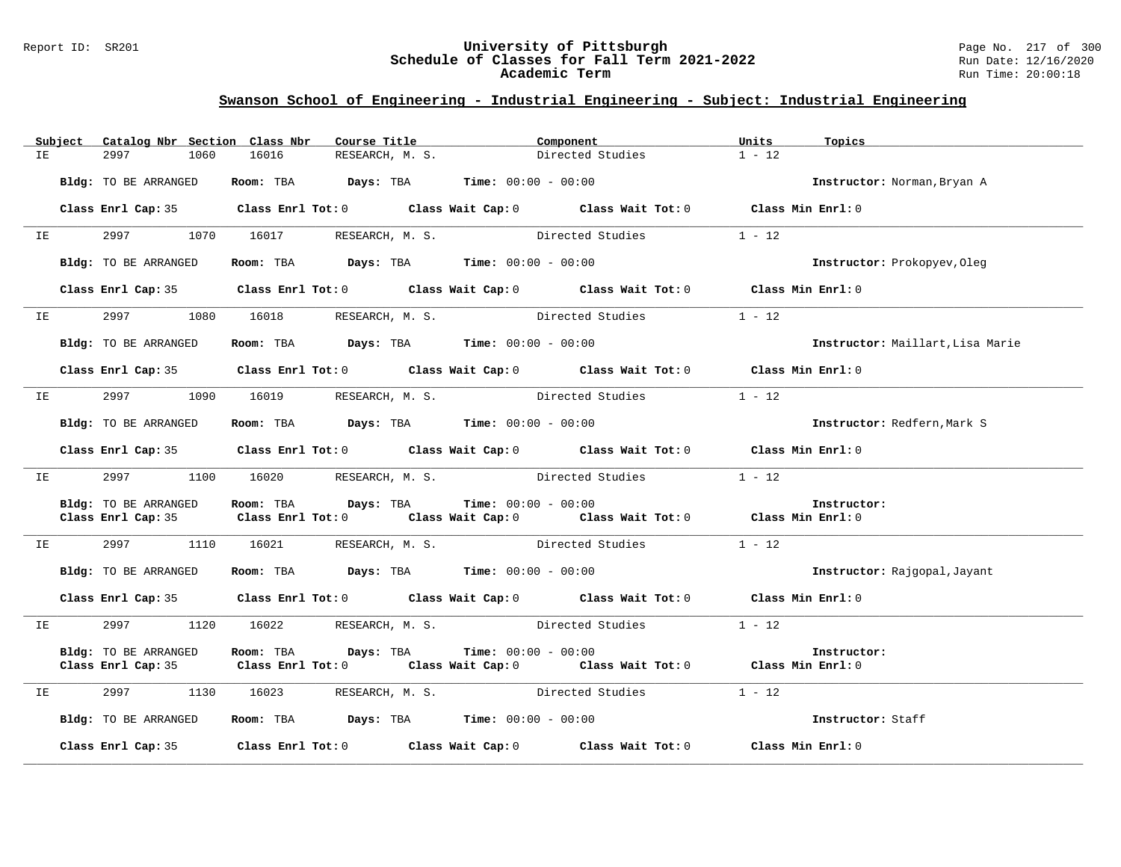### Report ID: SR201 **University of Pittsburgh** Page No. 217 of 300 **Schedule of Classes for Fall Term 2021-2022** Run Date: 12/16/2020 **Academic Term** Run Time: 20:00:18

|    |                                                                                                               | Subject Catalog Nbr Section Class Nbr |           | Course Title                                                   | Component                                                                                  | Units    | Topics                           |
|----|---------------------------------------------------------------------------------------------------------------|---------------------------------------|-----------|----------------------------------------------------------------|--------------------------------------------------------------------------------------------|----------|----------------------------------|
| IE |                                                                                                               | 2997<br>1060                          | 16016     | RESEARCH, M. S.                                                | Directed Studies                                                                           | $1 - 12$ |                                  |
|    |                                                                                                               | Bldg: TO BE ARRANGED                  |           | Room: TBA $Days: TBA$ Time: $00:00 - 00:00$                    |                                                                                            |          | Instructor: Norman, Bryan A      |
|    |                                                                                                               |                                       |           |                                                                | Class Enrl Cap: 35 Class Enrl Tot: 0 Class Wait Cap: 0 Class Wait Tot: 0 Class Min Enrl: 0 |          |                                  |
|    |                                                                                                               |                                       |           | IE 2997 1070 16017 RESEARCH, M. S. Directed Studies            |                                                                                            | $1 - 12$ |                                  |
|    |                                                                                                               | Bldg: TO BE ARRANGED                  |           | Room: TBA $Days: TBA$ Time: $00:00 - 00:00$                    |                                                                                            |          | Instructor: Prokopyev, Oleg      |
|    |                                                                                                               |                                       |           |                                                                | Class Enrl Cap: 35 Class Enrl Tot: 0 Class Wait Cap: 0 Class Wait Tot: 0 Class Min Enrl: 0 |          |                                  |
|    | IE OO STATE                                                                                                   |                                       |           |                                                                | 2997 1080 16018 RESEARCH, M. S. Directed Studies                                           | $1 - 12$ |                                  |
|    |                                                                                                               | Bldg: TO BE ARRANGED                  |           | Room: TBA $Days:$ TBA Time: $00:00 - 00:00$                    |                                                                                            |          | Instructor: Maillart, Lisa Marie |
|    |                                                                                                               |                                       |           |                                                                | Class Enrl Cap: 35 Class Enrl Tot: 0 Class Wait Cap: 0 Class Wait Tot: 0 Class Min Enrl: 0 |          |                                  |
|    |                                                                                                               |                                       |           |                                                                | IE 2997 1090 16019 RESEARCH, M. S. Directed Studies                                        | $1 - 12$ |                                  |
|    |                                                                                                               | Bldg: TO BE ARRANGED                  |           | Room: TBA $Days:$ TBA Time: $00:00 - 00:00$                    |                                                                                            |          | Instructor: Redfern, Mark S      |
|    |                                                                                                               |                                       |           |                                                                | Class Enrl Cap: 35 Class Enrl Tot: 0 Class Wait Cap: 0 Class Wait Tot: 0 Class Min Enrl: 0 |          |                                  |
|    | IE and the set of the set of the set of the set of the set of the set of the set of the set of the set of the | 2997 — 2007<br>1100                   |           | 16020 RESEARCH, M. S. Directed Studies                         |                                                                                            | $1 - 12$ |                                  |
|    |                                                                                                               | Bldg: TO BE ARRANGED                  |           | Room: TBA $Days:$ TBA $Time: 00:00 - 00:00$                    | Class Enrl Cap: 35 Class Enrl Tot: 0 Class Wait Cap: 0 Class Wait Tot: 0 Class Min Enrl: 0 |          | Instructor:                      |
|    | IE OO STATE                                                                                                   | 2997 — 2007                           | 1110      |                                                                | 16021 RESEARCH, M. S. Directed Studies                                                     | $1 - 12$ |                                  |
|    |                                                                                                               | Bldg: TO BE ARRANGED                  |           | Room: TBA $\rule{1em}{0.15mm}$ Days: TBA Time: $00:00 - 00:00$ |                                                                                            |          | Instructor: Rajgopal, Jayant     |
|    |                                                                                                               |                                       |           |                                                                | Class Enrl Cap: 35 Class Enrl Tot: 0 Class Wait Cap: 0 Class Wait Tot: 0 Class Min Enrl: 0 |          |                                  |
|    | IE and the set of the set of the set of the set of the set of the set of the set of the set of the set of the |                                       |           |                                                                | 2997 1120 16022 RESEARCH, M. S. Directed Studies                                           | $1 - 12$ |                                  |
|    |                                                                                                               | Bldg: TO BE ARRANGED                  | Room: TBA | $Days: TBA$ $Time: 00:00 - 00:00$                              | Class Enrl Cap: 35 Class Enrl Tot: 0 Class Wait Cap: 0 Class Wait Tot: 0 Class Min Enrl: 0 |          | Instructor:                      |
|    | IE OOSTERRIJ                                                                                                  |                                       |           |                                                                | 2997 1130 16023 RESEARCH, M. S. Directed Studies                                           | $1 - 12$ |                                  |
|    |                                                                                                               | Bldg: TO BE ARRANGED                  |           | Room: TBA $\rule{1em}{0.15mm}$ Days: TBA Time: $00:00 - 00:00$ |                                                                                            |          | Instructor: Staff                |
|    |                                                                                                               |                                       |           |                                                                | Class Enrl Cap: 35 Class Enrl Tot: 0 Class Wait Cap: 0 Class Wait Tot: 0 Class Min Enrl: 0 |          |                                  |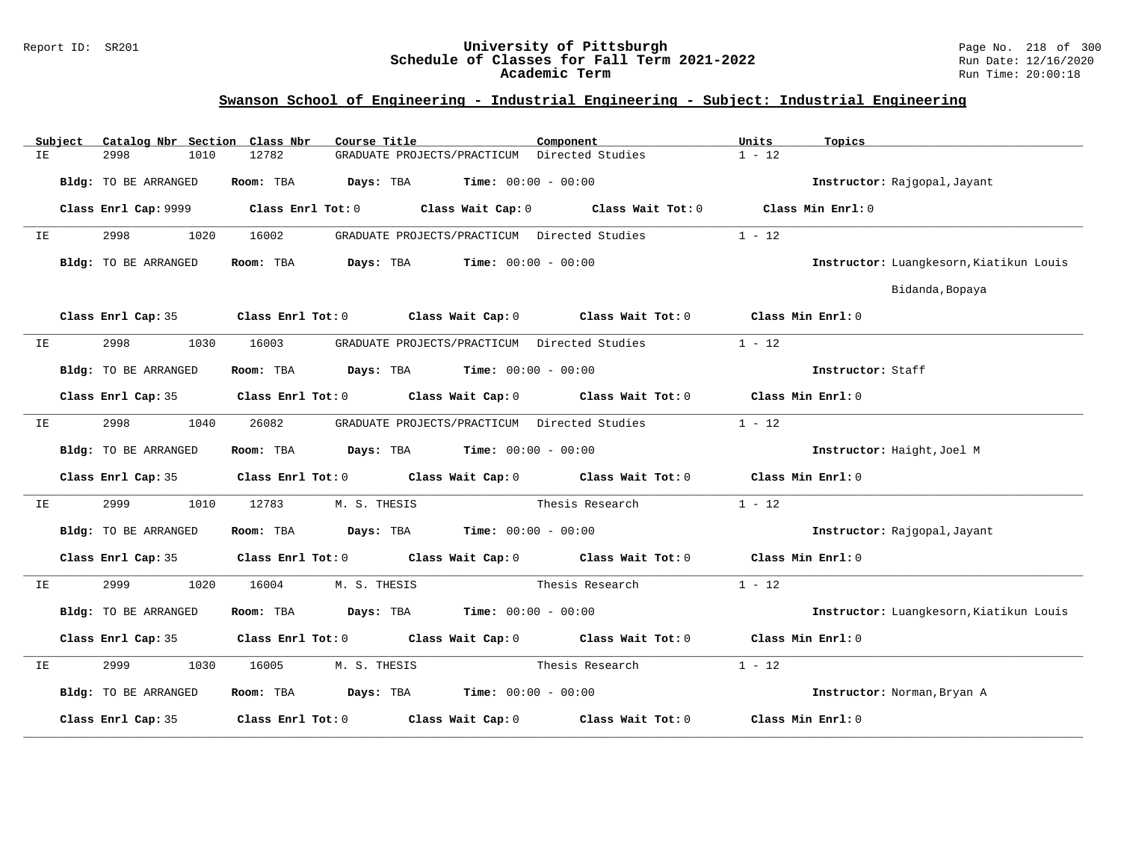### Report ID: SR201 **University of Pittsburgh** Page No. 218 of 300 **Schedule of Classes for Fall Term 2021-2022** Run Date: 12/16/2020 **Academic Term** Run Time: 20:00:18

|    | Subject | Catalog Nbr Section Class Nbr | Course Title                                                                               | Component       | Units<br>Topics                         |
|----|---------|-------------------------------|--------------------------------------------------------------------------------------------|-----------------|-----------------------------------------|
| IΕ |         | 1010<br>2998                  | 12782<br>GRADUATE PROJECTS/PRACTICUM Directed Studies                                      |                 | $1 - 12$                                |
|    |         | Bldg: TO BE ARRANGED          | $\texttt{Davis:}$ TBA $\texttt{Time:}$ 00:00 - 00:00<br>Room: TBA                          |                 | Instructor: Rajgopal, Jayant            |
|    |         | Class Enrl Cap: 9999          | Class Enrl Tot: 0 Class Wait Cap: 0 Class Wait Tot: 0                                      |                 | Class Min Enrl: 0                       |
| IE |         | 2998<br>1020                  | GRADUATE PROJECTS/PRACTICUM Directed Studies<br>16002                                      |                 | $1 - 12$                                |
|    |         | Bldg: TO BE ARRANGED          | Room: TBA<br><b>Days:</b> TBA <b>Time:</b> $00:00 - 00:00$                                 |                 | Instructor: Luangkesorn, Kiatikun Louis |
|    |         |                               |                                                                                            |                 | Bidanda, Bopaya                         |
|    |         |                               | Class Enrl Cap: 35 Class Enrl Tot: 0 Class Wait Cap: 0 Class Wait Tot: 0 Class Min Enrl: 0 |                 |                                         |
| IΕ |         | 2998<br>1030                  | 16003<br>GRADUATE PROJECTS/PRACTICUM Directed Studies                                      |                 | $1 - 12$                                |
|    |         | Bldg: TO BE ARRANGED          | Room: TBA $Days:$ TBA $Time: 00:00 - 00:00$                                                |                 | Instructor: Staff                       |
|    |         | Class Enrl Cap: 35            | Class Enrl Tot: 0 Class Wait Cap: 0 Class Wait Tot: 0                                      |                 | Class Min $Enr1:0$                      |
| IΕ |         | 2998<br>1040                  | 26082<br>GRADUATE PROJECTS/PRACTICUM Directed Studies                                      |                 | $1 - 12$                                |
|    |         | Bldg: TO BE ARRANGED          | Room: TBA $Days: TBA$ Time: $00:00 - 00:00$                                                |                 | Instructor: Haight, Joel M              |
|    |         | Class Enrl Cap: 35            | Class Enrl Tot: $0$ Class Wait Cap: $0$ Class Wait Tot: $0$ Class Min Enrl: $0$            |                 |                                         |
| IΕ |         | 2999<br>1010                  | 12783<br>M. S. THESIS                                                                      | Thesis Research | $1 - 12$                                |
|    |         | Bldg: TO BE ARRANGED          | Room: TBA $\rule{1em}{0.15mm}$ Days: TBA Time: $00:00 - 00:00$                             |                 | Instructor: Rajgopal, Jayant            |
|    |         | Class Enrl Cap: 35            | Class Enrl Tot: 0 Class Wait Cap: 0 Class Wait Tot: 0 Class Min Enrl: 0                    |                 |                                         |
| IE |         | 2999<br>1020                  | 16004<br>M. S. THESIS                                                                      | Thesis Research | $1 - 12$                                |
|    |         | Bldg: TO BE ARRANGED          | Room: TBA $\rule{1em}{0.15mm}$ Days: TBA Time: $00:00 - 00:00$                             |                 | Instructor: Luangkesorn, Kiatikun Louis |
|    |         | Class Enrl Cap: 35            | Class Enrl Tot: 0 Class Wait Cap: 0 Class Wait Tot: 0 Class Min Enrl: 0                    |                 |                                         |
| IE |         | 2999<br>1030                  | M. S. THESIS<br>16005                                                                      | Thesis Research | $1 - 12$                                |
|    |         | Bldg: TO BE ARRANGED          | Room: TBA $Days:$ TBA $Time: 00:00 - 00:00$                                                |                 | Instructor: Norman, Bryan A             |
|    |         | Class Enrl Cap: 35            | Class Enrl Tot: 0 Class Wait Cap: 0 Class Wait Tot: 0                                      |                 | Class Min Enrl: 0                       |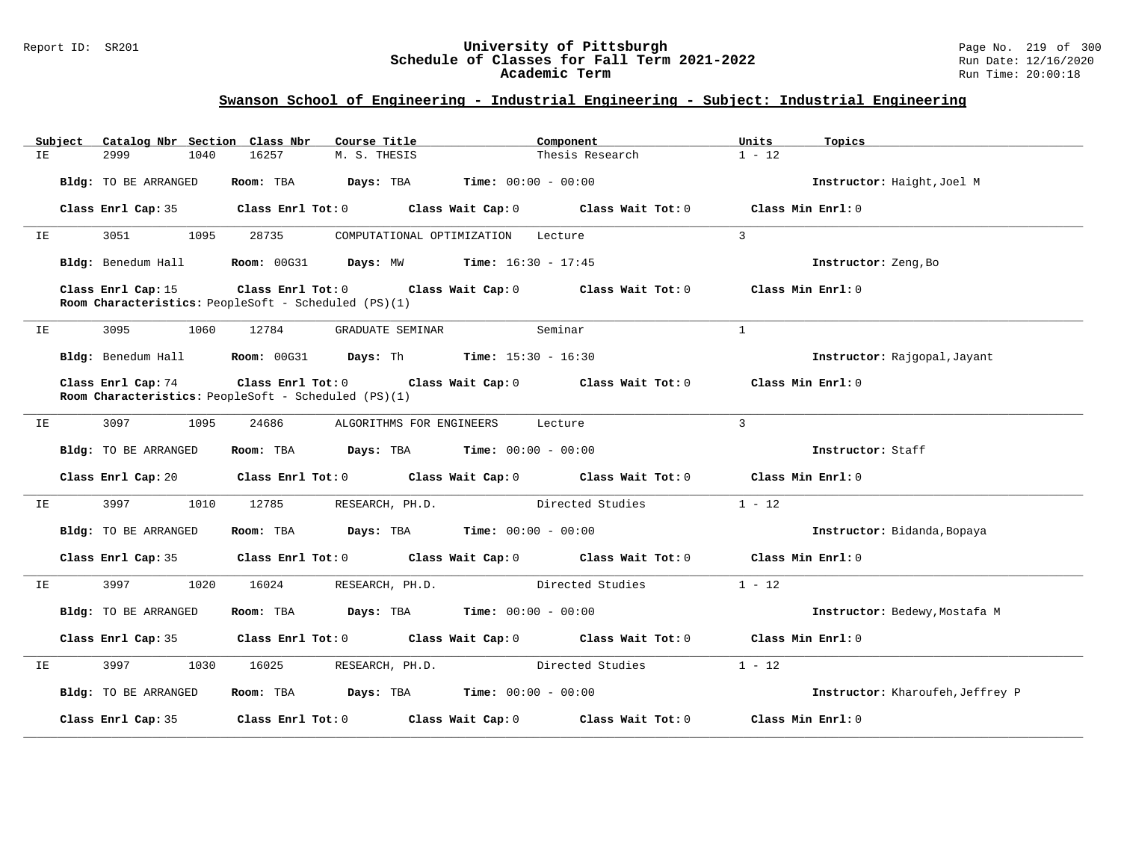### Report ID: SR201 **University of Pittsburgh** Page No. 219 of 300 **Schedule of Classes for Fall Term 2021-2022** Run Date: 12/16/2020 **Academic Term** Run Time: 20:00:18

| Catalog Nbr Section Class Nbr<br>Subject | Course Title                                                                          | Component                                                                       | Units<br>Topics                  |
|------------------------------------------|---------------------------------------------------------------------------------------|---------------------------------------------------------------------------------|----------------------------------|
| 2999<br>1040<br>IE                       | 16257<br>M. S. THESIS                                                                 | Thesis Research                                                                 | $1 - 12$                         |
| <b>Bldg:</b> TO BE ARRANGED              | <b>Days:</b> TBA <b>Time:</b> $00:00 - 00:00$<br>Room: TBA                            |                                                                                 | Instructor: Haight, Joel M       |
| Class Enrl Cap: 35                       |                                                                                       | Class Enrl Tot: $0$ Class Wait Cap: $0$ Class Wait Tot: $0$                     | Class Min Enrl: 0                |
| 3051<br>1095<br>IE                       | 28735                                                                                 | COMPUTATIONAL OPTIMIZATION Lecture                                              | 3                                |
| Bldg: Benedum Hall                       | <b>Room:</b> $00G31$ <b>Days:</b> MW <b>Time:</b> $16:30 - 17:45$                     |                                                                                 | Instructor: Zeng, Bo             |
| Class Enrl Cap: 15                       | Room Characteristics: PeopleSoft - Scheduled (PS)(1)                                  | Class Enrl Tot: $0$ Class Wait Cap: $0$ Class Wait Tot: $0$                     | Class Min Enrl: 0                |
| 3095<br>1060<br>IΕ                       | 12784<br>GRADUATE SEMINAR                                                             | Seminar                                                                         | $\mathbf{1}$                     |
|                                          | Bldg: Benedum Hall <b>Room:</b> 00G31 <b>Days:</b> Th <b>Time:</b> 15:30 - 16:30      |                                                                                 | Instructor: Rajgopal, Jayant     |
| Class Enrl Cap: 74                       | Room Characteristics: PeopleSoft - Scheduled (PS)(1)                                  | Class Enrl Tot: 0 Class Wait Cap: 0 Class Wait Tot: 0                           | Class Min Enrl: 0                |
| 3097<br>1095<br>IE                       | 24686                                                                                 | ALGORITHMS FOR ENGINEERS Lecture                                                | $\overline{3}$                   |
| Bldg: TO BE ARRANGED                     | Room: TBA $Days:$ TBA $Time: 00:00 - 00:00$                                           |                                                                                 | Instructor: Staff                |
| Class Enrl Cap:20                        |                                                                                       | Class Enrl Tot: $0$ Class Wait Cap: $0$ Class Wait Tot: $0$ Class Min Enrl: $0$ |                                  |
| 3997<br>1010<br>IE                       | 12785<br>RESEARCH, PH.D.                                                              | Directed Studies                                                                | $1 - 12$                         |
| Bldg: TO BE ARRANGED                     | Room: TBA $\rule{1em}{0.15mm}$ Days: TBA Time: $00:00 - 00:00$                        |                                                                                 | Instructor: Bidanda, Bopaya      |
| Class Enrl Cap:35                        |                                                                                       | Class Enrl Tot: $0$ Class Wait Cap: $0$ Class Wait Tot: $0$ Class Min Enrl: $0$ |                                  |
| 3997 399<br>1020<br>IE                   | 16024<br>RESEARCH, PH.D.                                                              | Directed Studies                                                                | $1 - 12$                         |
| Bldg: TO BE ARRANGED                     | Room: TBA $\rule{1em}{0.15mm}$ Days: TBA $\rule{1.5mm}{0.15mm}$ Time: $00:00 - 00:00$ |                                                                                 | Instructor: Bedewy, Mostafa M    |
| Class Enrl Cap: 35                       |                                                                                       | Class Enrl Tot: 0 Class Wait Cap: 0 Class Wait Tot: 0 Class Min Enrl: 0         |                                  |
| 3997<br>1030<br>IE                       | 16025<br>RESEARCH, PH.D.                                                              | Directed Studies                                                                | $1 - 12$                         |
| Bldg: TO BE ARRANGED                     | Room: TBA $Days: TBA$ Time: $00:00 - 00:00$                                           |                                                                                 | Instructor: Kharoufeh, Jeffrey P |
| Class Enrl Cap: 35                       | Class Enrl Tot: 0 Class Wait Cap: 0                                                   | Class Wait Tot: 0                                                               | Class Min Enrl: 0                |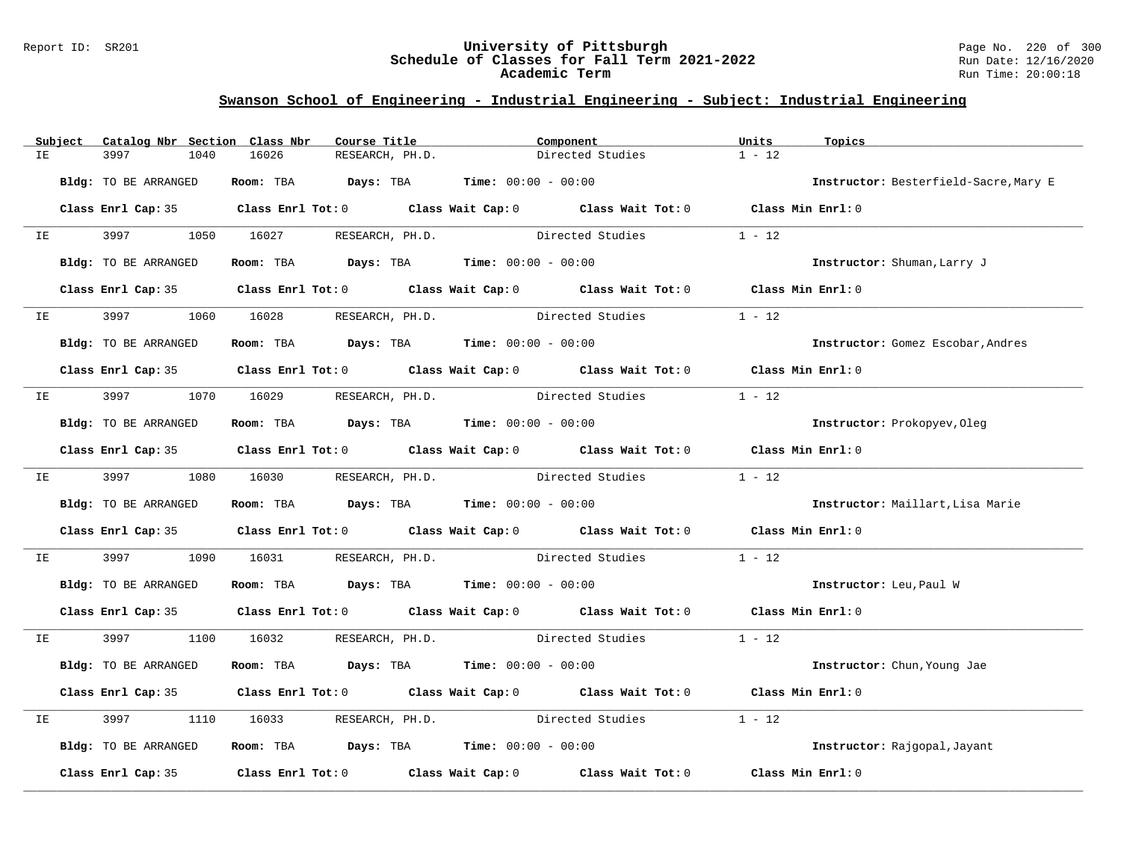### Report ID: SR201 **University of Pittsburgh** Page No. 220 of 300 **Schedule of Classes for Fall Term 2021-2022** Run Date: 12/16/2020 **Academic Term** Run Time: 20:00:18

|    | Subject        | Catalog Nbr Section Class Nbr |                                    | Course Title                                                                              | Component                                                                                  | Units<br>Topics   |                                       |
|----|----------------|-------------------------------|------------------------------------|-------------------------------------------------------------------------------------------|--------------------------------------------------------------------------------------------|-------------------|---------------------------------------|
| IE |                | 3997<br>1040                  | 16026                              | RESEARCH, PH.D.                                                                           | Directed Studies                                                                           | $1 - 12$          |                                       |
|    |                | Bldg: TO BE ARRANGED          |                                    | Room: TBA $Days:$ TBA $Time: 00:00 - 00:00$                                               |                                                                                            |                   | Instructor: Besterfield-Sacre, Mary E |
|    |                | Class Enrl Cap: 35            |                                    |                                                                                           | Class Enrl Tot: 0 Class Wait Cap: 0 Class Wait Tot: 0 Class Min Enrl: 0                    |                   |                                       |
|    | IE OO STERN TE | 3997 399                      | 1050 16027 RESEARCH, PH.D.         |                                                                                           | Directed Studies                                                                           | $1 - 12$          |                                       |
|    |                | Bldg: TO BE ARRANGED          |                                    | Room: TBA $Days:$ TBA $Time: 00:00 - 00:00$                                               |                                                                                            |                   | Instructor: Shuman, Larry J           |
|    |                |                               |                                    |                                                                                           | Class Enrl Cap: 35 Class Enrl Tot: 0 Class Wait Cap: 0 Class Wait Tot: 0 Class Min Enrl: 0 |                   |                                       |
|    | IE OO STATE    |                               | 1060 16028 RESEARCH, PH.D.         |                                                                                           | Directed Studies                                                                           | $1 - 12$          |                                       |
|    |                | Bldg: TO BE ARRANGED          |                                    | Room: TBA $\rule{1em}{0.15mm}$ Days: TBA $\rule{1.15mm}]{0.15mm}$ Time: $00:00 - 00:00$   |                                                                                            |                   | Instructor: Gomez Escobar, Andres     |
|    |                |                               |                                    |                                                                                           | Class Enrl Cap: 35 Class Enrl Tot: 0 Class Wait Cap: 0 Class Wait Tot: 0 Class Min Enrl: 0 |                   |                                       |
| IE |                | 3997 — 100                    | 1070   16029   RESEARCH, PH.D.     |                                                                                           | Directed Studies                                                                           | $1 - 12$          |                                       |
|    |                | Bldg: TO BE ARRANGED          |                                    | Room: TBA $Days:$ TBA $Time: 00:00 - 00:00$                                               |                                                                                            |                   | Instructor: Prokopyev, Oleg           |
|    |                |                               |                                    |                                                                                           | Class Enrl Cap: 35 Class Enrl Tot: 0 Class Wait Cap: 0 Class Wait Tot: 0 Class Min Enrl: 0 |                   |                                       |
|    |                |                               | IE 3997 1080 16030 RESEARCH, PH.D. |                                                                                           | Directed Studies                                                                           | $1 - 12$          |                                       |
|    |                | Bldg: TO BE ARRANGED          |                                    | Room: TBA $Days:$ TBA $Time: 00:00 - 00:00$                                               |                                                                                            |                   | Instructor: Maillart, Lisa Marie      |
|    |                |                               |                                    |                                                                                           | Class Enrl Cap: 35 Class Enrl Tot: 0 Class Wait Cap: 0 Class Wait Tot: 0 Class Min Enrl: 0 |                   |                                       |
| IE |                | 3997<br>1090                  |                                    |                                                                                           | 16031 RESEARCH, PH.D. Directed Studies                                                     | $1 - 12$          |                                       |
|    |                | Bldg: TO BE ARRANGED          |                                    | Room: TBA $Days:$ TBA $Time: 00:00 - 00:00$                                               |                                                                                            |                   | Instructor: Leu, Paul W               |
|    |                |                               |                                    |                                                                                           | Class Enrl Cap: 35 Class Enrl Tot: 0 Class Wait Cap: 0 Class Wait Tot: 0 Class Min Enrl: 0 |                   |                                       |
| IE |                |                               |                                    |                                                                                           | 3997 1100 16032 RESEARCH, PH.D. Directed Studies 1 - 12                                    |                   |                                       |
|    |                | Bldg: TO BE ARRANGED          |                                    | Room: TBA $Days:$ TBA $Time: 00:00 - 00:00$                                               |                                                                                            |                   | Instructor: Chun, Young Jae           |
|    |                |                               |                                    |                                                                                           | Class Enrl Cap: 35 Class Enrl Tot: 0 Class Wait Cap: 0 Class Wait Tot: 0 Class Min Enrl: 0 |                   |                                       |
| IE |                | 3997<br>1110                  |                                    |                                                                                           | 16033 RESEARCH, PH.D. Directed Studies                                                     | $1 - 12$          |                                       |
|    |                | Bldg: TO BE ARRANGED          |                                    | Room: TBA $\rule{1em}{0.15mm}$ Days: TBA $\rule{1.15mm}]{0.15mm}$ Time: $0.0100 - 0.0100$ |                                                                                            |                   | Instructor: Rajgopal, Jayant          |
|    |                | Class Enrl Cap: 35            |                                    |                                                                                           | Class Enrl Tot: $0$ Class Wait Cap: $0$ Class Wait Tot: $0$                                | Class Min Enrl: 0 |                                       |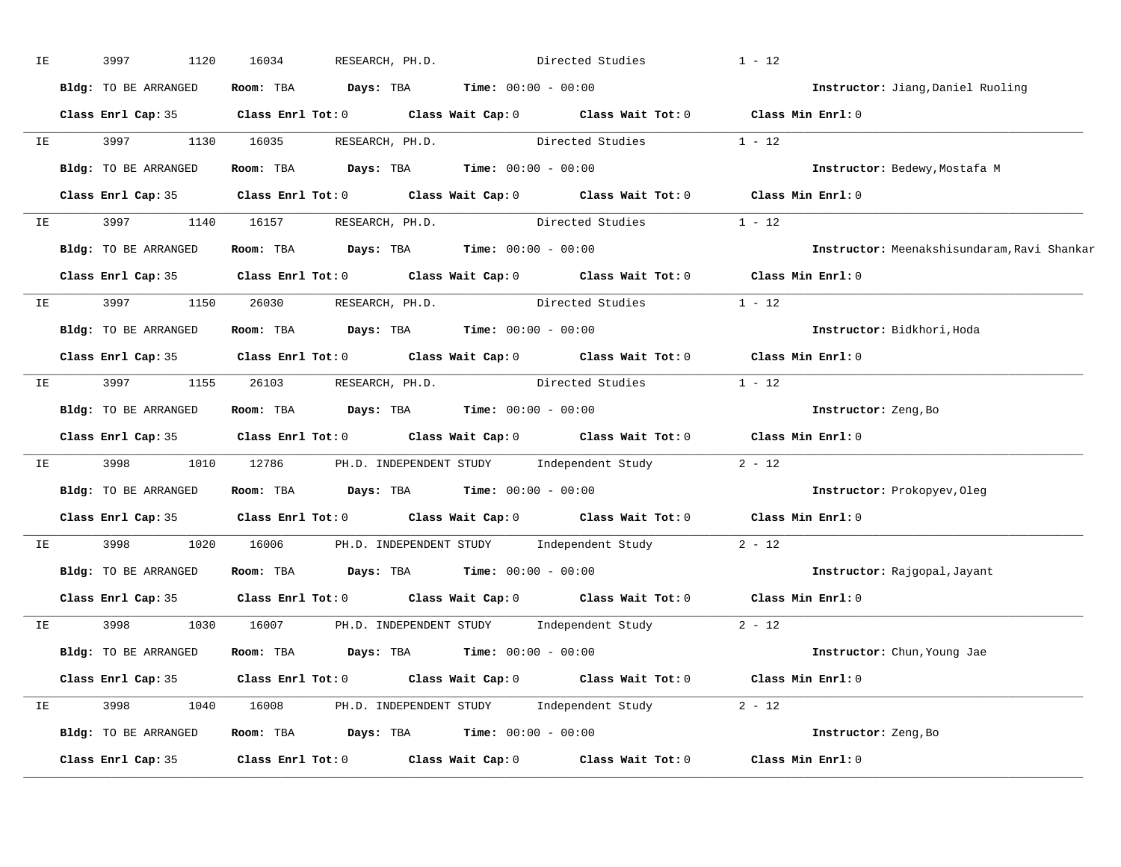| IE | 3997<br>1120         | 16034                                                                                               | RESEARCH, PH.D. Directed Studies | $1 - 12$                                    |
|----|----------------------|-----------------------------------------------------------------------------------------------------|----------------------------------|---------------------------------------------|
|    | Bldg: TO BE ARRANGED | Room: TBA $Days:$ TBA $Time: 00:00 - 00:00$                                                         |                                  | Instructor: Jiang, Daniel Ruoling           |
|    |                      | Class Enrl Cap: 35 Class Enrl Tot: 0 Class Wait Cap: 0 Class Wait Tot: 0 Class Min Enrl: 0          |                                  |                                             |
|    |                      | IE 3997 1130 16035 RESEARCH, PH.D. Directed Studies 1 - 12                                          |                                  |                                             |
|    | Bldg: TO BE ARRANGED | Room: TBA $Days: TBA$ Time: $00:00 - 00:00$                                                         |                                  | Instructor: Bedewy, Mostafa M               |
|    |                      | Class Enrl Cap: 35 Class Enrl Tot: 0 Class Wait Cap: 0 Class Wait Tot: 0 Class Min Enrl: 0          |                                  |                                             |
|    |                      | IE 3997 1140 16157 RESEARCH, PH.D. Directed Studies 1 - 12                                          |                                  |                                             |
|    |                      | Bldg: TO BE ARRANGED Room: TBA Days: TBA Time: 00:00 - 00:00                                        |                                  | Instructor: Meenakshisundaram, Ravi Shankar |
|    |                      | Class Enrl Cap: 35 Class Enrl Tot: 0 Class Wait Cap: 0 Class Wait Tot: 0 Class Min Enrl: 0          |                                  |                                             |
|    |                      | IE 3997 1150 26030 RESEARCH, PH.D. Directed Studies 1 - 12                                          |                                  |                                             |
|    | Bldg: TO BE ARRANGED | <b>Room:</b> TBA $\rule{1em}{0.15mm}$ <b>Days:</b> TBA <b>Time:</b> $00:00 - 00:00$                 |                                  | Instructor: Bidkhori, Hoda                  |
|    |                      | Class Enrl Cap: 35 Class Enrl Tot: 0 Class Wait Cap: 0 Class Wait Tot: 0 Class Min Enrl: 0          |                                  |                                             |
|    |                      | IE 3997 1155 26103 RESEARCH, PH.D. Directed Studies 1 - 12                                          |                                  |                                             |
|    |                      | Bldg: TO BE ARRANGED Room: TBA Days: TBA Time: 00:00 - 00:00                                        |                                  | Instructor: Zeng, Bo                        |
|    |                      | Class Enrl Cap: 35 Class Enrl Tot: 0 Class Wait Cap: 0 Class Wait Tot: 0 Class Min Enrl: 0          |                                  |                                             |
|    |                      | IE 3998 1010 12786 PH.D. INDEPENDENT STUDY Independent Study                                        |                                  | $2 - 12$                                    |
|    |                      | Bldg: TO BE ARRANGED Room: TBA Days: TBA Time: 00:00 - 00:00                                        |                                  | Instructor: Prokopyev, Oleg                 |
|    |                      | Class Enrl Cap: 35 $\qquad$ Class Enrl Tot: 0 $\qquad$ Class Wait Cap: 0 $\qquad$ Class Wait Tot: 0 |                                  | Class Min Enrl: 0                           |
|    | IE 3998              | 1020 16006 PH.D. INDEPENDENT STUDY Independent Study                                                |                                  | $2 - 12$                                    |
|    |                      | Bldg: TO BE ARRANGED Room: TBA Days: TBA Time: 00:00 - 00:00                                        |                                  | Instructor: Rajgopal, Jayant                |
|    |                      | Class Enrl Cap: 35 Class Enrl Tot: 0 Class Wait Cap: 0 Class Wait Tot: 0 Class Min Enrl: 0          |                                  |                                             |
|    |                      | IE 3998 1030 16007 PH.D. INDEPENDENT STUDY Independent Study 2 - 12                                 |                                  |                                             |
|    |                      | Bldg: TO BE ARRANGED Room: TBA Days: TBA Time: 00:00 - 00:00                                        |                                  | Instructor: Chun, Young Jae                 |
|    |                      | Class Enrl Cap: 35 Class Enrl Tot: 0 Class Wait Cap: 0 Class Wait Tot: 0 Class Min Enrl: 0          |                                  |                                             |
|    |                      | IE 3998 1040 16008 PH.D. INDEPENDENT STUDY Independent Study 2 - 12                                 |                                  |                                             |
|    |                      | <b>Bldg:</b> TO BE ARRANGED <b>Room:</b> TBA <b>Days:</b> TBA <b>Time:</b> $00:00 - 00:00$          |                                  | Instructor: Zeng, Bo                        |
|    |                      | Class Enrl Cap: 35 Class Enrl Tot: 0 Class Wait Cap: 0 Class Wait Tot: 0                            |                                  | Class Min Enrl: 0                           |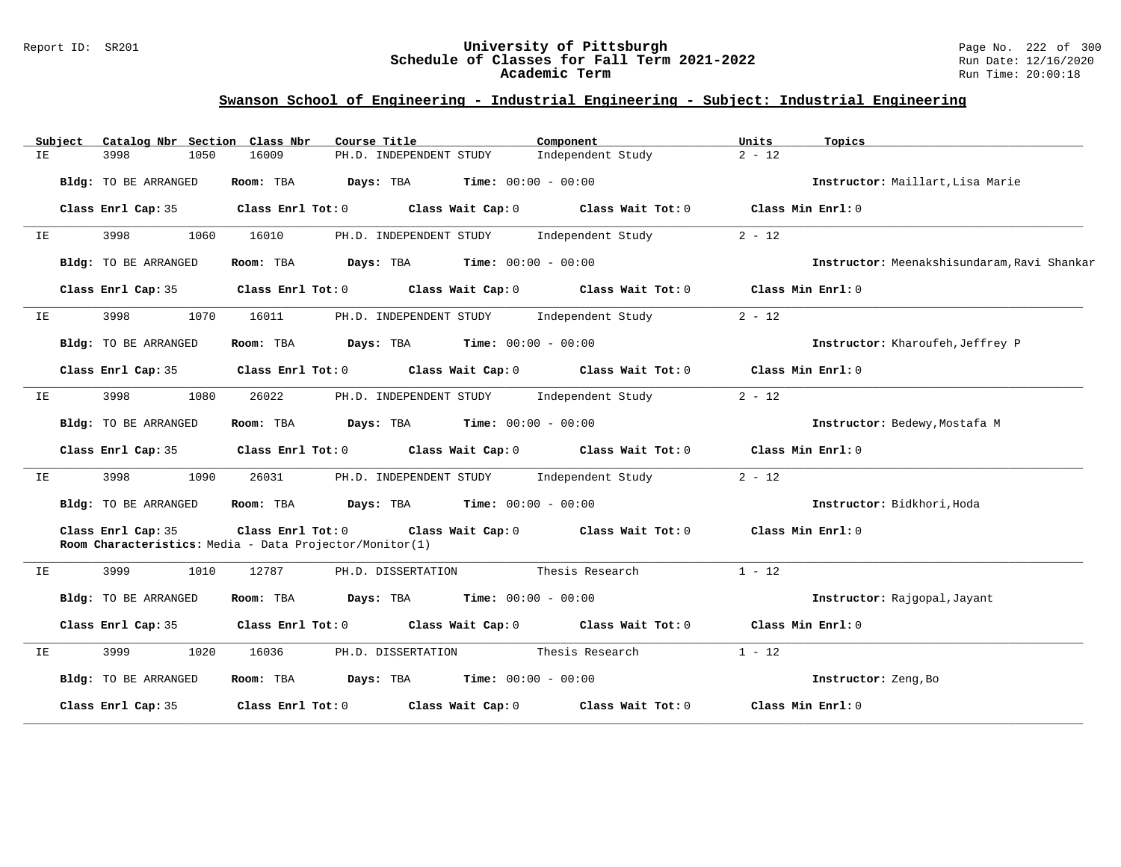### Report ID: SR201 **University of Pittsburgh** Page No. 222 of 300 **Schedule of Classes for Fall Term 2021-2022** Run Date: 12/16/2020 **Academic Term** Run Time: 20:00:18

| Subject | Catalog Nbr Section  | Class Nbr<br>Course Title                                                | Component                                             | Units<br>Topics                             |
|---------|----------------------|--------------------------------------------------------------------------|-------------------------------------------------------|---------------------------------------------|
| IE      | 3998<br>1050         | 16009<br>PH.D. INDEPENDENT STUDY                                         | Independent Study                                     | $2 - 12$                                    |
|         | Bldg: TO BE ARRANGED | Room: TBA<br>Days: TBA                                                   | <b>Time:</b> $00:00 - 00:00$                          | Instructor: Maillart, Lisa Marie            |
|         | Class Enrl Cap: 35   | Class Enrl Tot: 0 Class Wait Cap: 0                                      | Class Wait Tot: 0                                     | Class Min Enrl: 0                           |
| IE      | 3998<br>1060         | 16010<br>PH.D. INDEPENDENT STUDY                                         | Independent Study                                     | $2 - 12$                                    |
|         | Bldg: TO BE ARRANGED | $\texttt{Davis:}$ TBA $\texttt{Time:}$ 00:00 - 00:00<br>Room: TBA        |                                                       | Instructor: Meenakshisundaram, Ravi Shankar |
|         | Class Enrl Cap: 35   | Class Enrl Tot: 0 Class Wait Cap: 0                                      | Class Wait Tot: 0                                     | Class Min Enrl: 0                           |
| IE      | 3998<br>1070         | PH.D. INDEPENDENT STUDY<br>16011                                         | Independent Study                                     | $2 - 12$                                    |
|         | Bldg: TO BE ARRANGED | Room: TBA                                                                | <b>Days:</b> TBA <b>Time:</b> $00:00 - 00:00$         | Instructor: Kharoufeh, Jeffrey P            |
|         | Class Enrl Cap: 35   | Class Enrl Tot: 0 Class Wait Cap: 0                                      | Class Wait Tot: 0                                     | Class Min Enrl: 0                           |
| IE      | 3998<br>1080         | 26022<br>PH.D. INDEPENDENT STUDY                                         | Independent Study                                     | $2 - 12$                                    |
|         | Bldg: TO BE ARRANGED | Room: TBA                                                                | <b>Days:</b> TBA <b>Time:</b> $00:00 - 00:00$         | Instructor: Bedewy, Mostafa M               |
|         | Class Enrl Cap: 35   |                                                                          | Class Enrl Tot: 0 Class Wait Cap: 0 Class Wait Tot: 0 | Class Min Enrl: 0                           |
| IE      | 3998<br>1090         | 26031<br>PH.D. INDEPENDENT STUDY                                         | Independent Study                                     | $2 - 12$                                    |
|         | Bldg: TO BE ARRANGED | <b>Days:</b> TBA <b>Time:</b> $00:00 - 00:00$<br>Room: TBA               |                                                       | Instructor: Bidkhori, Hoda                  |
|         | Class Enrl Cap: 35   | Room Characteristics: Media - Data Projector/Monitor(1)                  | Class Enrl Tot: 0 Class Wait Cap: 0 Class Wait Tot: 0 | Class Min Enrl: 0                           |
| IE      | 3999<br>1010         | 12787<br>PH.D. DISSERTATION                                              | Thesis Research                                       | $1 - 12$                                    |
|         | Bldg: TO BE ARRANGED | Room: TBA                                                                | <b>Days:</b> TBA <b>Time:</b> $00:00 - 00:00$         | Instructor: Rajgopal, Jayant                |
|         |                      | Class Enrl Cap: 35 Class Enrl Tot: 0 Class Wait Cap: 0 Class Wait Tot: 0 |                                                       | Class Min Enrl: 0                           |
| IE      | 3999<br>1020         | 16036<br>PH.D. DISSERTATION                                              | Thesis Research                                       | $1 - 12$                                    |
|         | Bldg: TO BE ARRANGED | $Days: TBA$ Time: $00:00 - 00:00$<br>Room: TBA                           |                                                       | Instructor: Zeng, Bo                        |
|         | Class Enrl Cap: 35   | Class Enrl Tot: 0 Class Wait Cap: 0                                      | Class Wait Tot: 0                                     | Class Min Enrl: 0                           |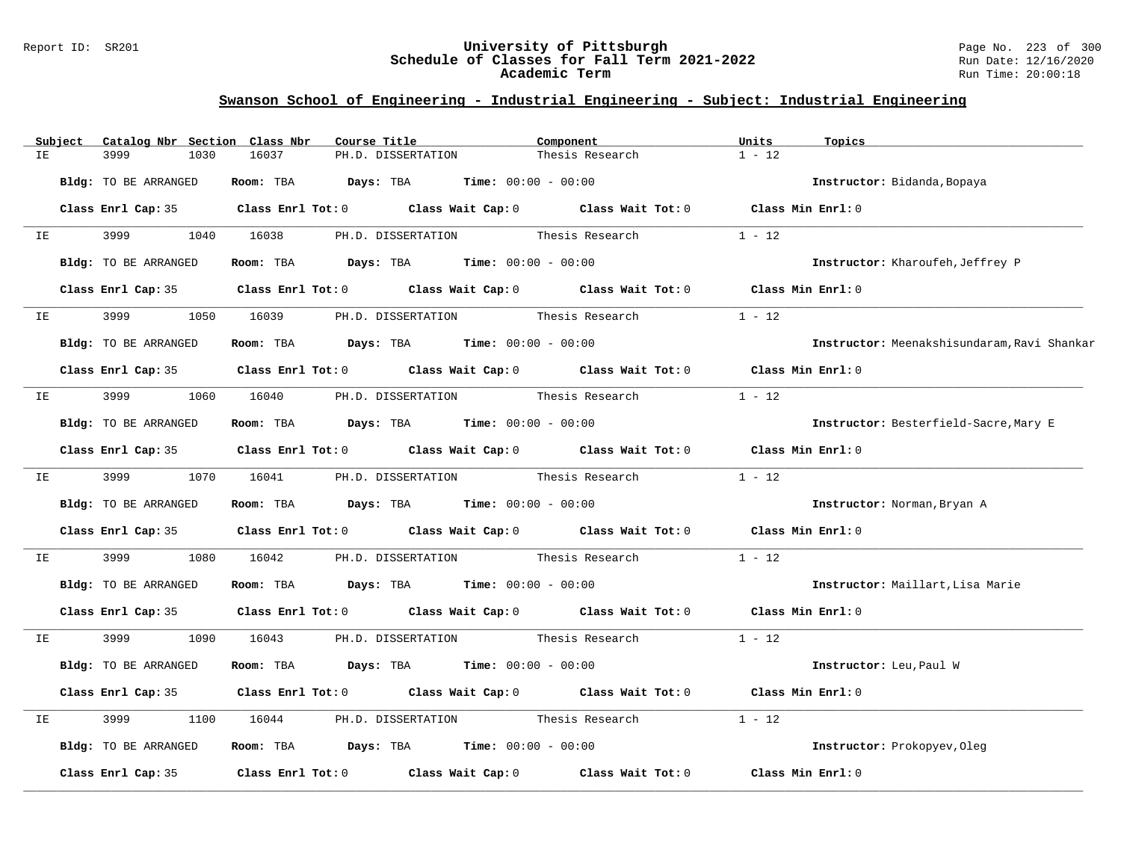### Report ID: SR201 **University of Pittsburgh** Page No. 223 of 300 **Schedule of Classes for Fall Term 2021-2022** Run Date: 12/16/2020 **Academic Term** Run Time: 20:00:18

|    | Subject | Catalog Nbr Section Class Nbr |           | Course Title                                                                                        | Component       | Units<br>Topics                             |
|----|---------|-------------------------------|-----------|-----------------------------------------------------------------------------------------------------|-----------------|---------------------------------------------|
| IΕ |         | 3999<br>1030                  | 16037     | PH.D. DISSERTATION                                                                                  | Thesis Research | $1 - 12$                                    |
|    |         | Bldg: TO BE ARRANGED          |           | Room: TBA $Days: TBA$ Time: $00:00 - 00:00$                                                         |                 | Instructor: Bidanda, Bopaya                 |
|    |         |                               |           | Class Enrl Cap: 35 Class Enrl Tot: 0 Class Wait Cap: 0 Class Wait Tot: 0 Class Min Enrl: 0          |                 |                                             |
| IE |         | 3999 1999<br>1040             | 16038     | PH.D. DISSERTATION                                                                                  | Thesis Research | $1 - 12$                                    |
|    |         | Bldg: TO BE ARRANGED          |           | Room: TBA $Days:$ TBA $Time: 00:00 - 00:00$                                                         |                 | Instructor: Kharoufeh, Jeffrey P            |
|    |         |                               |           | Class Enrl Cap: 35 $\qquad$ Class Enrl Tot: 0 $\qquad$ Class Wait Cap: 0 $\qquad$ Class Wait Tot: 0 |                 | Class Min Enrl: 0                           |
| IE |         | 3999<br>1050                  | 16039     | PH.D. DISSERTATION                                                                                  | Thesis Research | $1 - 12$                                    |
|    |         | Bldg: TO BE ARRANGED          |           | Room: TBA $Days: TBA$ Time: $00:00 - 00:00$                                                         |                 | Instructor: Meenakshisundaram, Ravi Shankar |
|    |         |                               |           | Class Enrl Cap: 35 Class Enrl Tot: 0 Class Wait Cap: 0 Class Wait Tot: 0 Class Min Enrl: 0          |                 |                                             |
| IE |         | 3999 1060 16040               |           | PH.D. DISSERTATION Thesis Research                                                                  |                 | $1 - 12$                                    |
|    |         | Bldg: TO BE ARRANGED          |           | Room: TBA $Days:$ TBA $Time: 00:00 - 00:00$                                                         |                 | Instructor: Besterfield-Sacre, Mary E       |
|    |         |                               |           | Class Enrl Cap: 35 Class Enrl Tot: 0 Class Wait Cap: 0 Class Wait Tot: 0 Class Min Enrl: 0          |                 |                                             |
|    | IE      | 3999<br>1070                  |           | 16041 PH.D. DISSERTATION Thesis Research                                                            |                 | $1 - 12$                                    |
|    |         | Bldg: TO BE ARRANGED          |           | Room: TBA $Days:$ TBA $Time: 00:00 - 00:00$                                                         |                 | Instructor: Norman, Bryan A                 |
|    |         |                               |           | Class Enrl Cap: 35 Class Enrl Tot: 0 Class Wait Cap: 0 Class Wait Tot: 0 Class Min Enrl: 0          |                 |                                             |
| IE |         | 3999<br>1080                  | 16042     | PH.D. DISSERTATION Thesis Research                                                                  |                 | $1 - 12$                                    |
|    |         | Bldg: TO BE ARRANGED          |           | Room: TBA $Days:$ TBA $Time: 00:00 - 00:00$                                                         |                 | Instructor: Maillart, Lisa Marie            |
|    |         |                               |           | Class Enrl Cap: 35 Class Enrl Tot: 0 Class Wait Cap: 0 Class Wait Tot: 0 Class Min Enrl: 0          |                 |                                             |
| IE |         | 3999 700<br>1090              | 16043     | PH.D. DISSERTATION Thesis Research                                                                  |                 | $1 - 12$                                    |
|    |         | Bldg: TO BE ARRANGED          | Room: TBA | $\texttt{Davis:}$ TBA $\texttt{Time:}$ 00:00 - 00:00                                                |                 | Instructor: Leu, Paul W                     |
|    |         |                               |           | Class Enrl Cap: 35 Class Enrl Tot: 0 Class Wait Cap: 0 Class Wait Tot: 0                            |                 | Class Min Enrl: 0                           |
| IΕ |         | 3999<br>1100                  | 16044     | PH.D. DISSERTATION                                                                                  | Thesis Research | $1 - 12$                                    |
|    |         | Bldg: TO BE ARRANGED          |           | Room: TBA $Days: TBA$ Time: $00:00 - 00:00$                                                         |                 | Instructor: Prokopyev, Oleg                 |
|    |         |                               |           | Class Enrl Cap: 35 $\qquad$ Class Enrl Tot: 0 $\qquad$ Class Wait Cap: 0 $\qquad$ Class Wait Tot: 0 |                 | Class Min Enrl: 0                           |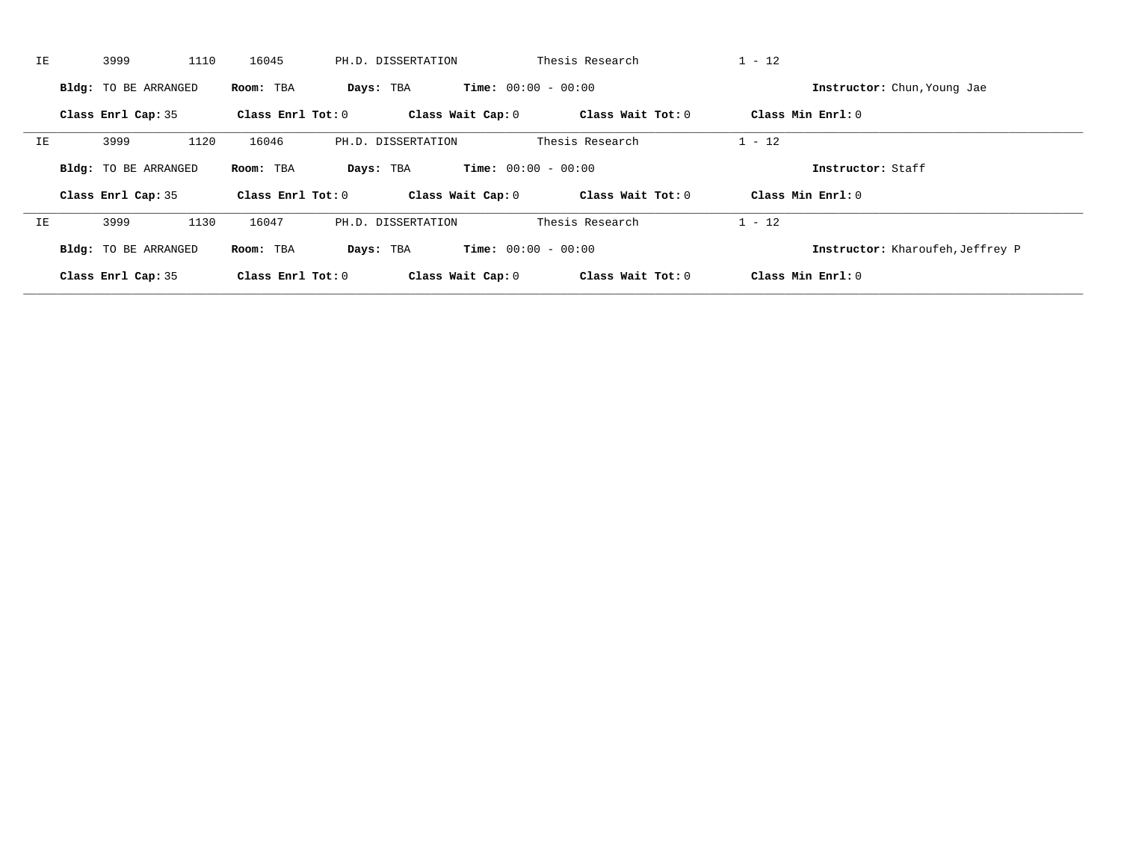| IE. | 1110<br>3999                | 16045             | PH.D. DISSERTATION | Thesis Research              | $1 - 12$                         |  |
|-----|-----------------------------|-------------------|--------------------|------------------------------|----------------------------------|--|
|     | <b>Bldg:</b> TO BE ARRANGED | Room: TBA         | Days: TBA          | <b>Time:</b> $00:00 - 00:00$ | Instructor: Chun, Young Jae      |  |
|     | Class Enrl Cap: 35          | Class Enrl Tot: 0 | Class Wait Cap: 0  | Class Wait Tot: 0            | Class Min Enrl: 0                |  |
| IΕ  | 1120<br>3999                | 16046             | PH.D. DISSERTATION | Thesis Research              | $1 - 12$                         |  |
|     | <b>Bldg:</b> TO BE ARRANGED | Room: TBA         | Days: TBA          | <b>Time:</b> $00:00 - 00:00$ | Instructor: Staff                |  |
|     | Class Enrl Cap: 35          | Class Enrl Tot: 0 | Class Wait Cap: 0  | Class Wait Tot: 0            | Class Min $Enrl: 0$              |  |
| IΕ  | 1130<br>3999                | 16047             | PH.D. DISSERTATION | Thesis Research              | $1 - 12$                         |  |
|     | <b>Bldg:</b> TO BE ARRANGED | Room: TBA         | Days: TBA          | <b>Time:</b> $00:00 - 00:00$ | Instructor: Kharoufeh, Jeffrey P |  |
|     | Class Enrl Cap: 35          | Class Enrl Tot: 0 | Class Wait Cap: 0  | Class Wait Tot: 0            | Class Min Enrl: 0                |  |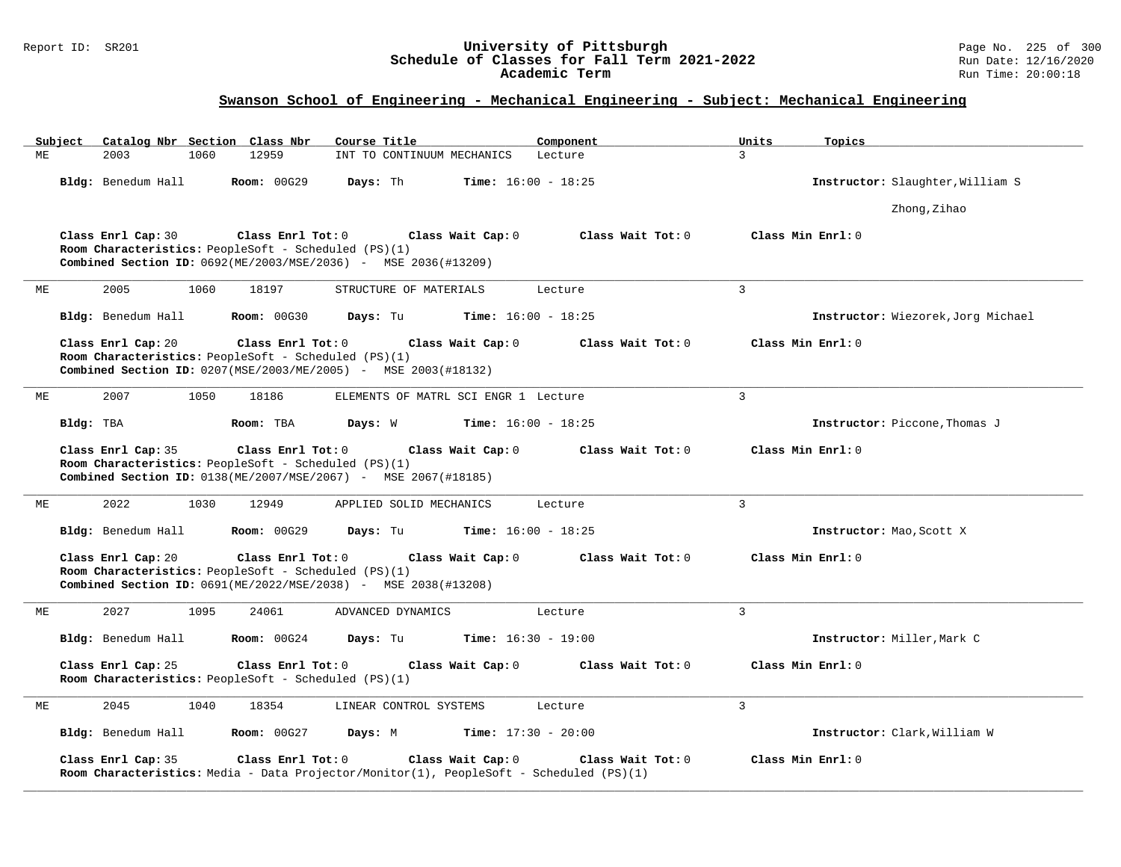### Report ID: SR201 **University of Pittsburgh** Page No. 225 of 300 **Schedule of Classes for Fall Term 2021-2022** Run Date: 12/16/2020 **Academic Term** Run Time: 20:00:18

# **Swanson School of Engineering - Mechanical Engineering - Subject: Mechanical Engineering**

| Subject | Catalog Nbr Section Class Nbr                                              |                    | Course Title                                                                                                 | Component         | Units<br>Topics                    |
|---------|----------------------------------------------------------------------------|--------------------|--------------------------------------------------------------------------------------------------------------|-------------------|------------------------------------|
| МE      | 2003<br>1060                                                               | 12959              | INT TO CONTINUUM MECHANICS                                                                                   | Lecture           | 3                                  |
|         | Bldg: Benedum Hall                                                         | <b>Room: 00G29</b> | Days: Th<br><b>Time:</b> $16:00 - 18:25$                                                                     |                   | Instructor: Slaughter, William S   |
|         |                                                                            |                    |                                                                                                              |                   | Zhong, Zihao                       |
|         | Class Enrl Cap: 30<br>Room Characteristics: PeopleSoft - Scheduled (PS)(1) | Class Enrl Tot: 0  | Class Wait Cap: 0<br>Combined Section ID: 0692(ME/2003/MSE/2036) - MSE 2036(#13209)                          | Class Wait Tot: 0 | Class Min Enrl: 0                  |
| МE      | 2005<br>1060                                                               | 18197              | STRUCTURE OF MATERIALS                                                                                       | Lecture           | $\overline{3}$                     |
|         | Bldg: Benedum Hall                                                         | <b>Room: 00G30</b> | Days: Tu<br><b>Time:</b> $16:00 - 18:25$                                                                     |                   | Instructor: Wiezorek, Jorg Michael |
|         | Class Enrl Cap: 20<br>Room Characteristics: PeopleSoft - Scheduled (PS)(1) | Class Enrl Tot: 0  | Class Wait Cap: 0<br>Combined Section ID: 0207(MSE/2003/ME/2005) - MSE 2003(#18132)                          | Class Wait Tot: 0 | Class Min Enrl: 0                  |
| ME      | 2007<br>1050                                                               | 18186              | ELEMENTS OF MATRL SCI ENGR 1 Lecture                                                                         |                   | $\overline{3}$                     |
|         | Bldg: TBA                                                                  | Room: TBA          | Days: W<br><b>Time:</b> $16:00 - 18:25$                                                                      |                   | Instructor: Piccone, Thomas J      |
|         | Class Enrl Cap: 35<br>Room Characteristics: PeopleSoft - Scheduled (PS)(1) | Class Enrl Tot: 0  | Class Wait Cap: 0<br>Combined Section ID: 0138(ME/2007/MSE/2067) - MSE 2067(#18185)                          | Class Wait Tot: 0 | Class Min Enrl: 0                  |
| MЕ      | 2022<br>1030                                                               | 12949              | APPLIED SOLID MECHANICS                                                                                      | Lecture           | 3                                  |
|         | Bldg: Benedum Hall                                                         | <b>Room:</b> 00G29 | Days: Tu<br><b>Time:</b> $16:00 - 18:25$                                                                     |                   | Instructor: Mao, Scott X           |
|         | Class Enrl Cap: 20<br>Room Characteristics: PeopleSoft - Scheduled (PS)(1) | Class Enrl Tot: 0  | Class Wait Cap: 0<br><b>Combined Section ID:</b> 0691(ME/2022/MSE/2038) - MSE 2038(#13208)                   | Class Wait Tot: 0 | Class Min Enrl: 0                  |
| МE      | 2027<br>1095                                                               | 24061              | ADVANCED DYNAMICS                                                                                            | Lecture           | $\mathbf{3}$                       |
|         | Bldg: Benedum Hall                                                         | <b>Room: 00G24</b> | Days: Tu<br><b>Time:</b> $16:30 - 19:00$                                                                     |                   | Instructor: Miller, Mark C         |
|         | Class Enrl Cap: 25<br>Room Characteristics: PeopleSoft - Scheduled (PS)(1) | Class Enrl Tot: 0  | Class Wait Cap: 0                                                                                            | Class Wait Tot: 0 | Class Min Enrl: 0                  |
| MЕ      | 2045<br>1040                                                               | 18354              | LINEAR CONTROL SYSTEMS                                                                                       | Lecture           | $\mathbf{3}$                       |
|         | Bldg: Benedum Hall                                                         | <b>Room: 00G27</b> | Days: M<br><b>Time:</b> $17:30 - 20:00$                                                                      |                   | Instructor: Clark, William W       |
|         | Class Enrl Cap: 35                                                         | Class Enrl Tot: 0  | Class Wait Cap: 0<br>Room Characteristics: Media - Data Projector/Monitor(1), PeopleSoft - Scheduled (PS)(1) | Class Wait Tot: 0 | Class Min Enrl: 0                  |

**\_\_\_\_\_\_\_\_\_\_\_\_\_\_\_\_\_\_\_\_\_\_\_\_\_\_\_\_\_\_\_\_\_\_\_\_\_\_\_\_\_\_\_\_\_\_\_\_\_\_\_\_\_\_\_\_\_\_\_\_\_\_\_\_\_\_\_\_\_\_\_\_\_\_\_\_\_\_\_\_\_\_\_\_\_\_\_\_\_\_\_\_\_\_\_\_\_\_\_\_\_\_\_\_\_\_\_\_\_\_\_\_\_\_\_\_\_\_\_\_\_\_\_\_\_\_\_\_\_\_\_\_\_\_\_\_\_\_\_\_\_\_\_\_\_\_\_\_\_\_\_\_\_\_\_\_**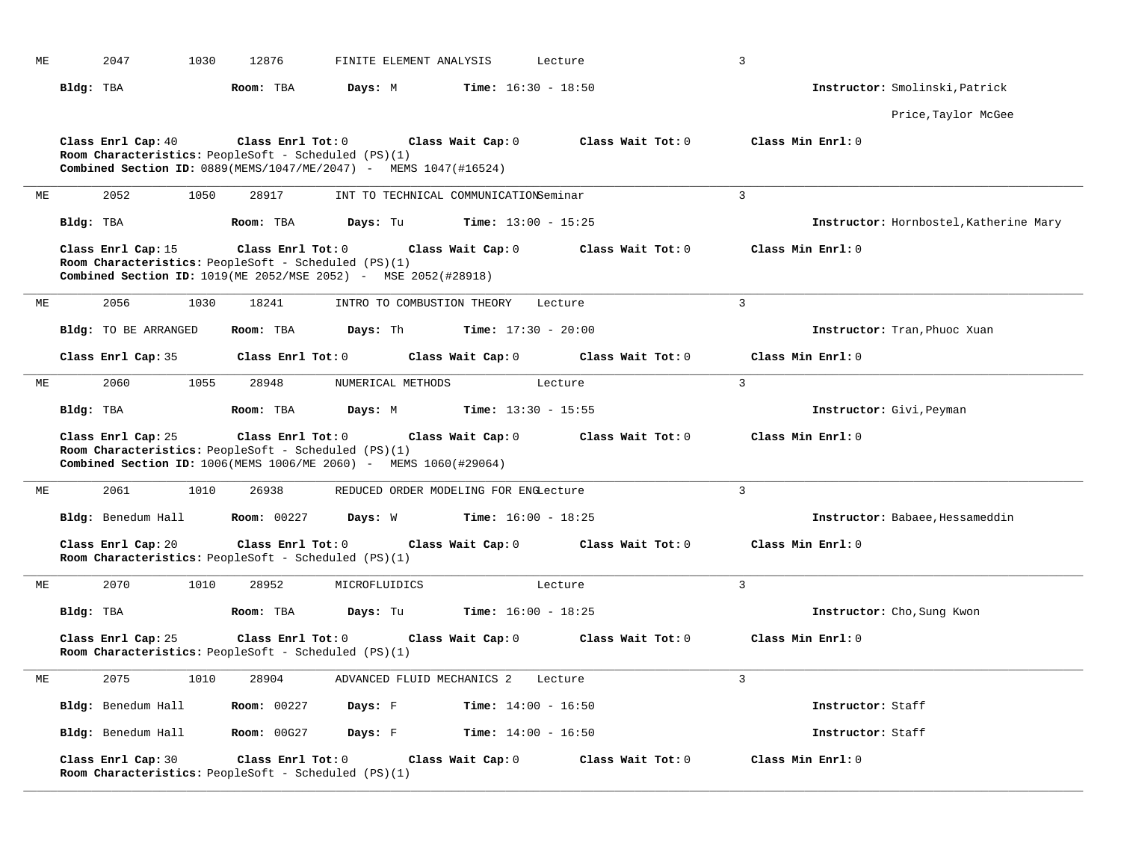| МE | 2047<br>1030                                                                                                                                          | 12876              | FINITE ELEMENT ANALYSIS    |                                       | Lecture           | $\mathbf{3}$                           |
|----|-------------------------------------------------------------------------------------------------------------------------------------------------------|--------------------|----------------------------|---------------------------------------|-------------------|----------------------------------------|
|    | Bldg: TBA                                                                                                                                             | Room: TBA          | Days: M                    | <b>Time:</b> $16:30 - 18:50$          |                   | Instructor: Smolinski, Patrick         |
|    |                                                                                                                                                       |                    |                            |                                       |                   | Price, Taylor McGee                    |
|    | Class Enrl Cap: 40<br>Room Characteristics: PeopleSoft - Scheduled (PS)(1)<br>Combined Section ID: 0889(MEMS/1047/ME/2047) - MEMS 1047(#16524)        | Class Enrl Tot: 0  |                            | Class Wait Cap: 0                     | Class Wait Tot: 0 | Class Min Enrl: 0                      |
| ME | 2052<br>1050                                                                                                                                          | 28917              |                            | INT TO TECHNICAL COMMUNICATIONSeminar |                   | $\overline{3}$                         |
|    | Bldg: TBA                                                                                                                                             | Room: TBA          | Days: Tu                   | Time: $13:00 - 15:25$                 |                   | Instructor: Hornbostel, Katherine Mary |
|    | Class Enrl Cap: 15<br>Room Characteristics: PeopleSoft - Scheduled (PS)(1)<br>Combined Section ID: 1019 (ME 2052/MSE 2052) - MSE 2052 (#28918)        | Class Enrl Tot: 0  |                            | Class Wait Cap: 0                     | Class Wait Tot: 0 | Class Min Enrl: 0                      |
| МE | 2056<br>1030                                                                                                                                          | 18241              | INTRO TO COMBUSTION THEORY |                                       | Lecture           | $\overline{3}$                         |
|    | Bldg: TO BE ARRANGED                                                                                                                                  | Room: TBA          | Days: Th                   | <b>Time:</b> $17:30 - 20:00$          |                   | Instructor: Tran, Phuoc Xuan           |
|    | Class Enrl Cap: 35                                                                                                                                    | Class Enrl Tot: 0  |                            | Class Wait Cap: 0                     | Class Wait Tot: 0 | Class Min Enrl: 0                      |
| МE | 1055<br>2060                                                                                                                                          | 28948              | NUMERICAL METHODS          |                                       | Lecture           | $\overline{3}$                         |
|    | Bldg: TBA                                                                                                                                             | Room: TBA          | Days: M                    | <b>Time:</b> $13:30 - 15:55$          |                   | Instructor: Givi, Peyman               |
|    | Class Enrl Cap: 25<br>Room Characteristics: PeopleSoft - Scheduled (PS)(1)<br><b>Combined Section ID:</b> 1006(MEMS 1006/ME 2060) - MEMS 1060(#29064) | Class Enrl Tot: 0  |                            | Class Wait Cap: 0                     | Class Wait Tot: 0 | Class Min Enrl: 0                      |
| ME | 2061<br>1010                                                                                                                                          | 26938              |                            | REDUCED ORDER MODELING FOR ENGLecture |                   | $\overline{3}$                         |
|    | Bldg: Benedum Hall                                                                                                                                    | <b>Room: 00227</b> | Days: W                    | <b>Time:</b> $16:00 - 18:25$          |                   | Instructor: Babaee, Hessameddin        |
|    | Class Enrl Cap: 20<br>Room Characteristics: PeopleSoft - Scheduled (PS)(1)                                                                            | Class Enrl Tot: 0  |                            | Class Wait Cap: 0                     | Class Wait Tot: 0 | Class Min Enrl: 0                      |
| МE | 2070<br>1010                                                                                                                                          | 28952              | MICROFLUIDICS              |                                       | Lecture           | $\overline{3}$                         |
|    | Bldg: TBA                                                                                                                                             | Room: TBA          | Days: Tu                   | <b>Time:</b> $16:00 - 18:25$          |                   | Instructor: Cho, Sung Kwon             |
|    | Class Enrl Cap: 25<br>Room Characteristics: PeopleSoft - Scheduled (PS)(1)                                                                            | Class Enrl Tot: 0  |                            | Class Wait Cap: 0                     | Class Wait Tot: 0 | Class Min Enrl: 0                      |
| МE | 2075<br>1010                                                                                                                                          | 28904              |                            | ADVANCED FLUID MECHANICS 2 Lecture    |                   | $\overline{3}$                         |
|    | Bldg: Benedum Hall                                                                                                                                    | <b>Room: 00227</b> | Days: F                    | <b>Time:</b> $14:00 - 16:50$          |                   | Instructor: Staff                      |
|    | Bldg: Benedum Hall                                                                                                                                    | <b>Room: 00G27</b> | Days: F                    | <b>Time:</b> $14:00 - 16:50$          |                   | Instructor: Staff                      |
|    | Class Enrl Cap: 30<br>Room Characteristics: PeopleSoft - Scheduled (PS)(1)                                                                            | Class Enrl Tot: 0  |                            | Class Wait Cap: 0                     | Class Wait Tot: 0 | Class Min Enrl: 0                      |

**\_\_\_\_\_\_\_\_\_\_\_\_\_\_\_\_\_\_\_\_\_\_\_\_\_\_\_\_\_\_\_\_\_\_\_\_\_\_\_\_\_\_\_\_\_\_\_\_\_\_\_\_\_\_\_\_\_\_\_\_\_\_\_\_\_\_\_\_\_\_\_\_\_\_\_\_\_\_\_\_\_\_\_\_\_\_\_\_\_\_\_\_\_\_\_\_\_\_\_\_\_\_\_\_\_\_\_\_\_\_\_\_\_\_\_\_\_\_\_\_\_\_\_\_\_\_\_\_\_\_\_\_\_\_\_\_\_\_\_\_\_\_\_\_\_\_\_\_\_\_\_\_\_\_\_\_**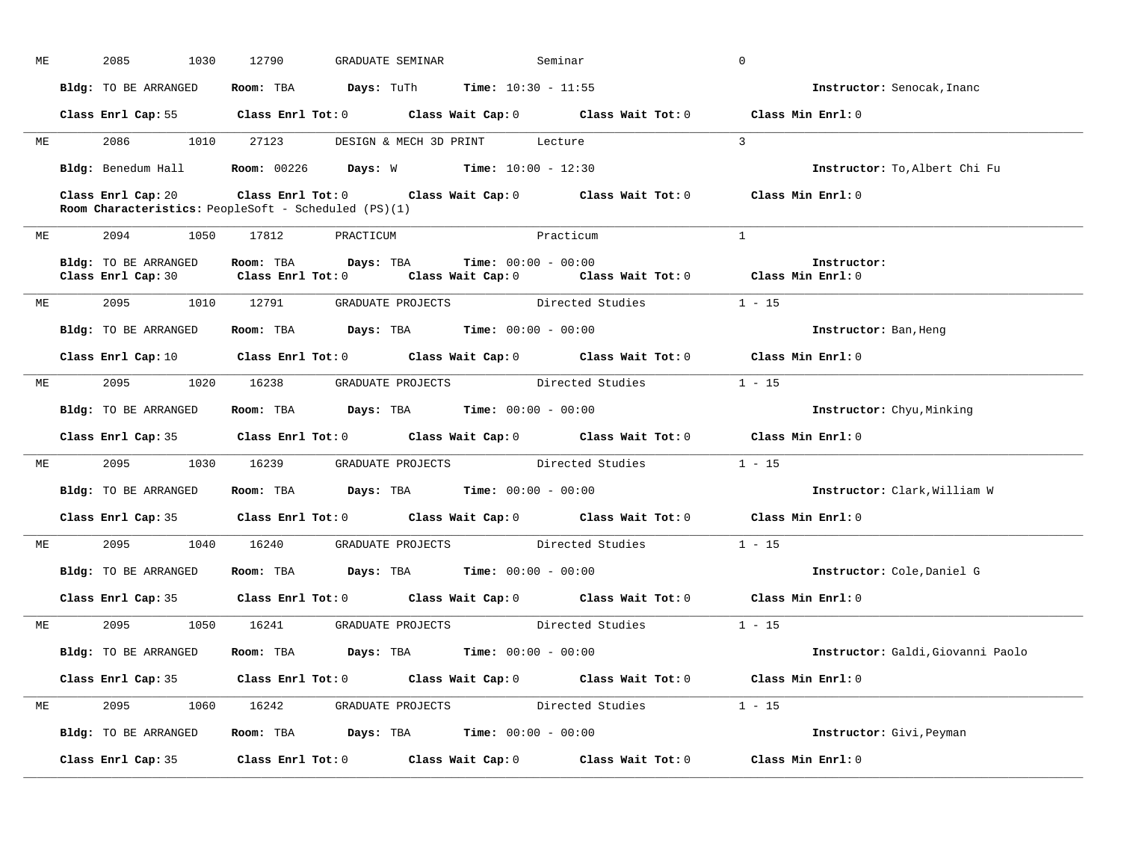| МE |           | 2085<br>1030                               | 12790<br>GRADUATE SEMINAR                                                             | Seminar                                                                                                                        | $\mathbf 0$                       |
|----|-----------|--------------------------------------------|---------------------------------------------------------------------------------------|--------------------------------------------------------------------------------------------------------------------------------|-----------------------------------|
|    |           | Bldg: TO BE ARRANGED                       | Room: TBA $Days: Tuth$ Time: $10:30 - 11:55$                                          |                                                                                                                                | Instructor: Senocak, Inanc        |
|    |           |                                            |                                                                                       | Class Enrl Cap: 55 Class Enrl Tot: 0 Class Wait Cap: 0 Class Wait Tot: 0 Class Min Enrl: 0                                     |                                   |
|    |           | ME 2086 1010 27123                         |                                                                                       | DESIGN & MECH 3D PRINT Lecture                                                                                                 | $\mathcal{R}$                     |
|    |           |                                            | Bldg: Benedum Hall <b>Room:</b> 00226 <b>Days:</b> W <b>Time:</b> $10:00 - 12:30$     |                                                                                                                                | Instructor: To, Albert Chi Fu     |
|    |           | Class Enrl Cap: 20                         | Room Characteristics: PeopleSoft - Scheduled (PS)(1)                                  | Class Enrl Tot: $0$ Class Wait Cap: $0$ Class Wait Tot: $0$ Class Min Enrl: $0$                                                |                                   |
|    |           |                                            | ME 2094 1050 17812 PRACTICUM                                                          | Practicum                                                                                                                      | $\mathbf{1}$                      |
|    |           | Bldg: TO BE ARRANGED<br>Class Enrl Cap: 30 | Room: TBA $Days: TBA$ Time: $00:00 - 00:00$                                           | Class Enrl Tot: $0$ Class Wait Cap: $0$ Class Wait Tot: $0$ Class Min Enrl: $0$                                                | Instructor:                       |
|    |           |                                            | ME 2095 1010 12791 GRADUATE PROJECTS Directed Studies                                 |                                                                                                                                | $1 - 15$                          |
|    |           | Bldg: TO BE ARRANGED                       | Room: TBA $Days:$ TBA $Time: 00:00 - 00:00$                                           |                                                                                                                                | Instructor: Ban, Heng             |
|    |           |                                            |                                                                                       | Class Enrl Cap: 10 $\qquad$ Class Enrl Tot: 0 $\qquad$ Class Wait Cap: 0 $\qquad$ Class Wait Tot: 0 $\qquad$ Class Min Enrl: 0 |                                   |
|    |           |                                            |                                                                                       | ME 2095 1020 16238 GRADUATE PROJECTS Directed Studies 1 - 15                                                                   |                                   |
|    |           | Bldg: TO BE ARRANGED                       | Room: TBA $\rule{1em}{0.15mm}$ Days: TBA $\rule{1.5mm}{0.15mm}$ Time: $00:00 - 00:00$ |                                                                                                                                | <b>Instructor:</b> Chyu, Minking  |
|    |           |                                            |                                                                                       | Class Enrl Cap: 35 Class Enrl Tot: 0 Class Wait Cap: 0 Class Wait Tot: 0 Class Min Enrl: 0                                     |                                   |
| ME |           |                                            |                                                                                       | 2095 1030 16239 GRADUATE PROJECTS Directed Studies 1 - 15                                                                      |                                   |
|    |           |                                            | Bldg: TO BE ARRANGED Room: TBA Days: TBA Time: 00:00 - 00:00                          |                                                                                                                                | Instructor: Clark, William W      |
|    |           |                                            |                                                                                       | Class Enrl Cap: 35 $\qquad$ Class Enrl Tot: 0 $\qquad$ Class Wait Cap: 0 $\qquad$ Class Wait Tot: 0                            | Class Min Enrl: 0                 |
|    | <b>ME</b> |                                            |                                                                                       | 2095 1040 16240 GRADUATE PROJECTS Directed Studies                                                                             | $1 - 15$                          |
|    |           | Bldg: TO BE ARRANGED                       | Room: TBA $Days:$ TBA $Time: 00:00 - 00:00$                                           |                                                                                                                                | Instructor: Cole, Daniel G        |
|    |           |                                            |                                                                                       | Class Enrl Cap: 35 $\qquad$ Class Enrl Tot: 0 $\qquad$ Class Wait Cap: 0 $\qquad$ Class Wait Tot: 0                            | Class Min Enrl: 0                 |
|    |           |                                            | ME 2095 1050 16241 GRADUATE PROJECTS Directed Studies                                 |                                                                                                                                | $1 - 15$                          |
|    |           |                                            | Bldg: TO BE ARRANGED Room: TBA Days: TBA Time: 00:00 - 00:00                          |                                                                                                                                | Instructor: Galdi, Giovanni Paolo |
|    |           |                                            |                                                                                       | Class Enrl Cap: 35 Class Enrl Tot: 0 Class Wait Cap: 0 Class Wait Tot: 0 Class Min Enrl: 0                                     |                                   |
|    |           |                                            |                                                                                       | ME 2095 1060 16242 GRADUATE PROJECTS Directed Studies 1 - 15                                                                   |                                   |
|    |           | Bldg: TO BE ARRANGED                       | <b>Room:</b> TBA $Days:$ TBA $Time: 00:00 - 00:00$                                    |                                                                                                                                | Instructor: Givi, Peyman          |
|    |           | Class Enrl Cap: 35                         |                                                                                       | Class Enrl Tot: 0 $\qquad$ Class Wait Cap: 0 $\qquad$ Class Wait Tot: 0 $\qquad$ Class Min Enrl: 0                             |                                   |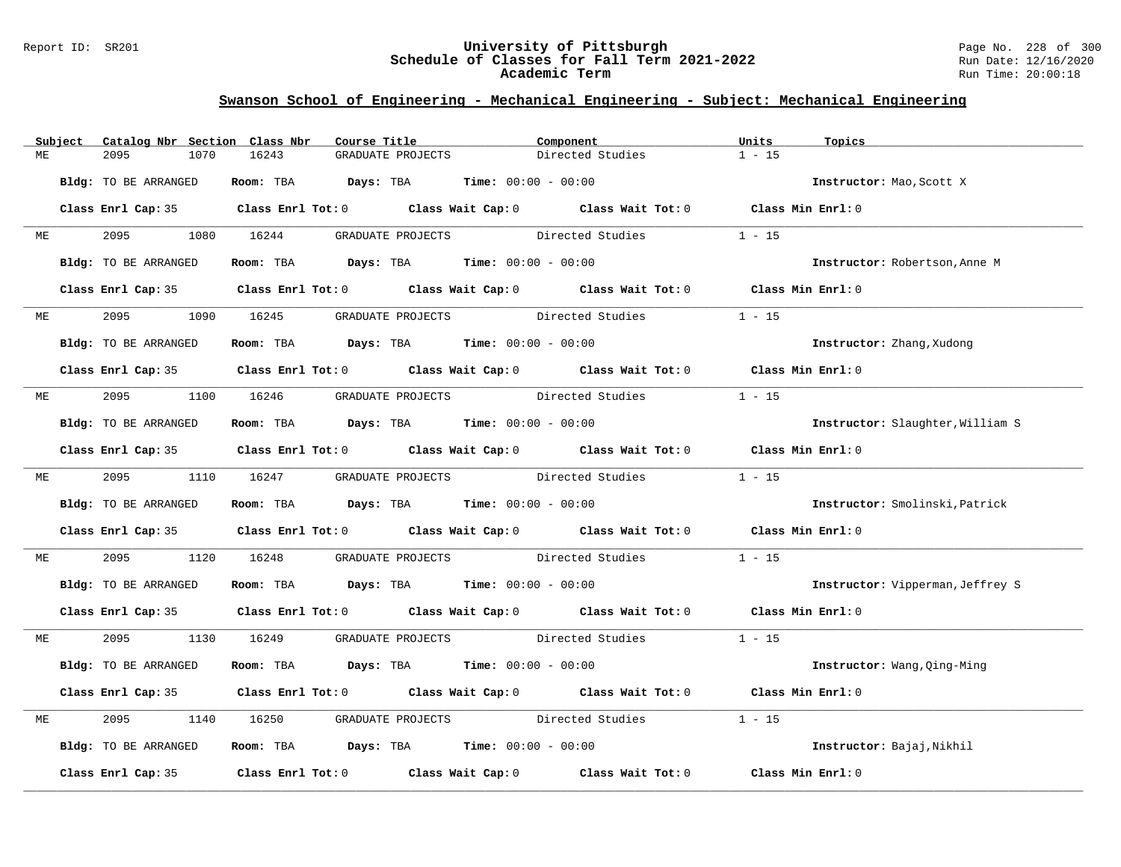### Report ID: SR201 **University of Pittsburgh** Page No. 228 of 300 **Schedule of Classes for Fall Term 2021-2022** Run Date: 12/16/2020 **Academic Term** Run Time: 20:00:18

|    | Subject | Catalog Nbr Section Class Nbr | Course Title                                                                            |                   | Component                                                                                           | Units<br>Topics                  |  |
|----|---------|-------------------------------|-----------------------------------------------------------------------------------------|-------------------|-----------------------------------------------------------------------------------------------------|----------------------------------|--|
| ME |         | 2095<br>1070                  | 16243                                                                                   | GRADUATE PROJECTS | Directed Studies                                                                                    | $1 - 15$                         |  |
|    |         | Bldg: TO BE ARRANGED          | Room: TBA $Days: TBA$ Time: $00:00 - 00:00$                                             |                   |                                                                                                     | Instructor: Mao, Scott X         |  |
|    |         |                               |                                                                                         |                   | Class Enrl Cap: 35 Class Enrl Tot: 0 Class Wait Cap: 0 Class Wait Tot: 0 Class Min Enrl: 0          |                                  |  |
|    | ME      |                               | 2095 1080 16244 GRADUATE PROJECTS Directed Studies                                      |                   |                                                                                                     | $1 - 15$                         |  |
|    |         | Bldg: TO BE ARRANGED          | Room: TBA $Days:$ TBA $Time: 00:00 - 00:00$                                             |                   |                                                                                                     | Instructor: Robertson, Anne M    |  |
|    |         |                               |                                                                                         |                   | Class Enrl Cap: 35 Class Enrl Tot: 0 Class Wait Cap: 0 Class Wait Tot: 0 Class Min Enrl: 0          |                                  |  |
|    | ME      | 2095 — 100                    | 1090 16245 GRADUATE PROJECTS Directed Studies                                           |                   |                                                                                                     | $1 - 15$                         |  |
|    |         | Bldg: TO BE ARRANGED          | Room: TBA $\rule{1em}{0.15mm}$ Days: TBA Time: $00:00 - 00:00$                          |                   |                                                                                                     | Instructor: Zhang, Xudong        |  |
|    |         |                               |                                                                                         |                   | Class Enrl Cap: 35 Class Enrl Tot: 0 Class Wait Cap: 0 Class Wait Tot: 0 Class Min Enrl: 0          |                                  |  |
| ME |         |                               | 2095 1100 16246 GRADUATE PROJECTS Directed Studies                                      |                   |                                                                                                     | $1 - 15$                         |  |
|    |         | Bldg: TO BE ARRANGED          | Room: TBA $Days: TBA$ Time: $00:00 - 00:00$                                             |                   |                                                                                                     | Instructor: Slaughter, William S |  |
|    |         |                               |                                                                                         |                   | Class Enrl Cap: 35 Class Enrl Tot: 0 Class Wait Cap: 0 Class Wait Tot: 0 Class Min Enrl: 0          |                                  |  |
|    |         |                               |                                                                                         |                   | ME 2095 1110 16247 GRADUATE PROJECTS Directed Studies                                               | $1 - 15$                         |  |
|    |         | Bldg: TO BE ARRANGED          | Room: TBA $Days:$ TBA $Time: 00:00 - 00:00$                                             |                   |                                                                                                     | Instructor: Smolinski, Patrick   |  |
|    |         |                               |                                                                                         |                   | Class Enrl Cap: 35 Class Enrl Tot: 0 Class Wait Cap: 0 Class Wait Tot: 0 Class Min Enrl: 0          |                                  |  |
| МE |         | 2095                          | 1120 16248                                                                              |                   | GRADUATE PROJECTS Directed Studies                                                                  | $1 - 15$                         |  |
|    |         | Bldg: TO BE ARRANGED          | Room: TBA $Days:$ TBA $Time: 00:00 - 00:00$                                             |                   |                                                                                                     | Instructor: Vipperman, Jeffrey S |  |
|    |         |                               |                                                                                         |                   | Class Enrl Cap: 35 Class Enrl Tot: 0 Class Wait Cap: 0 Class Wait Tot: 0 Class Min Enrl: 0          |                                  |  |
| МE |         |                               |                                                                                         |                   | 2095 1130 16249 GRADUATE PROJECTS Directed Studies 1 - 15                                           |                                  |  |
|    |         | Bldg: TO BE ARRANGED          | Room: TBA $Days:$ TBA $Time: 00:00 - 00:00$                                             |                   |                                                                                                     | Instructor: Wang, Qing-Ming      |  |
|    |         |                               |                                                                                         |                   | Class Enrl Cap: 35 Class Enrl Tot: 0 Class Wait Cap: 0 Class Wait Tot: 0 Class Min Enrl: 0          |                                  |  |
| ME |         | 2095                          | 1140 16250                                                                              |                   | GRADUATE PROJECTS Directed Studies                                                                  | $1 - 15$                         |  |
|    |         | Bldg: TO BE ARRANGED          | Room: TBA $\rule{1em}{0.15mm}$ Days: TBA $\rule{1.15mm}]{0.15mm}$ Time: $00:00 - 00:00$ |                   |                                                                                                     | Instructor: Bajaj, Nikhil        |  |
|    |         |                               |                                                                                         |                   | Class Enrl Cap: 35 $\qquad$ Class Enrl Tot: 0 $\qquad$ Class Wait Cap: 0 $\qquad$ Class Wait Tot: 0 | Class Min Enrl: 0                |  |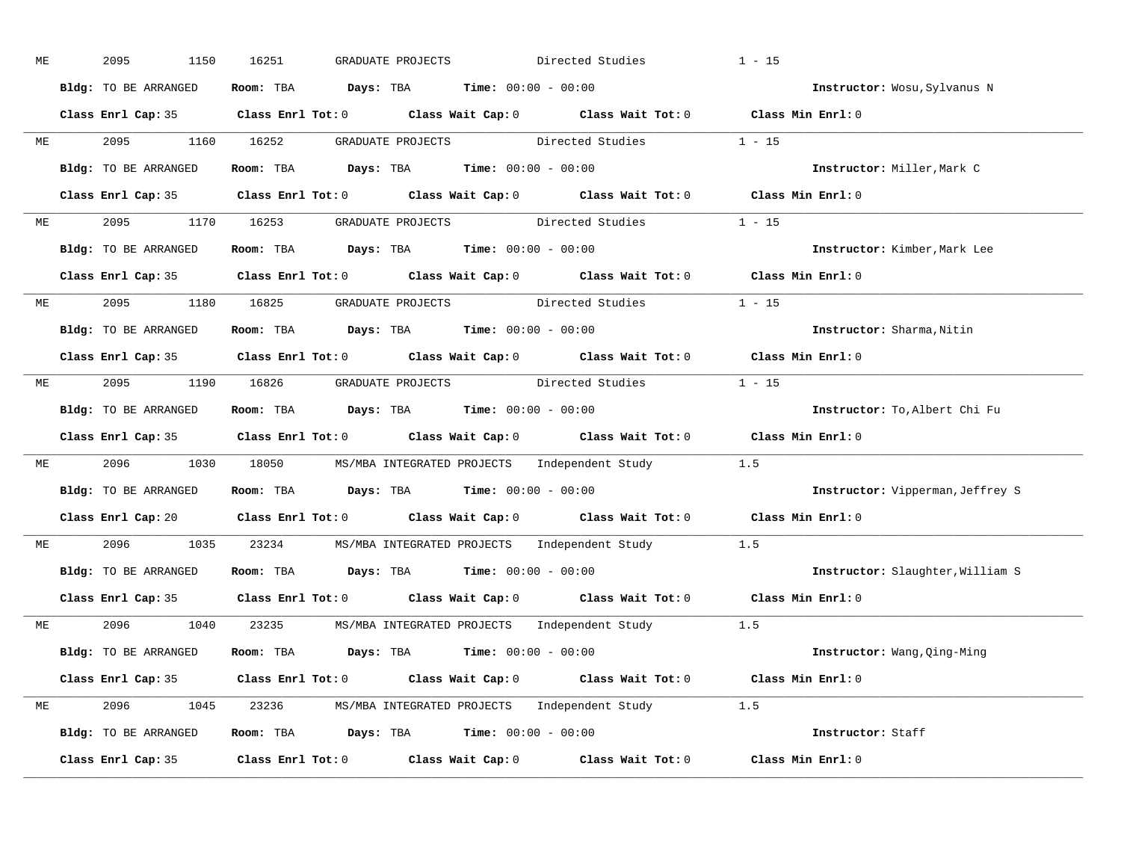| МE |           | 2095<br>1150         | 16251<br>GRADUATE PROJECTS                                                                 | Directed Studies                          | $1 - 15$                         |
|----|-----------|----------------------|--------------------------------------------------------------------------------------------|-------------------------------------------|----------------------------------|
|    |           | Bldg: TO BE ARRANGED | Room: TBA $Days:$ TBA $Time: 00:00 - 00:00$                                                |                                           | Instructor: Wosu, Sylvanus N     |
|    |           |                      | Class Enrl Cap: 35 Class Enrl Tot: 0 Class Wait Cap: 0 Class Wait Tot: 0 Class Min Enrl: 0 |                                           |                                  |
|    | ME        | 2095 1160 16252      |                                                                                            | GRADUATE PROJECTS Directed Studies 1 - 15 |                                  |
|    |           | Bldg: TO BE ARRANGED | Room: TBA $Days:$ TBA Time: $00:00 - 00:00$                                                |                                           | Instructor: Miller, Mark C       |
|    |           |                      | Class Enrl Cap: 35 Class Enrl Tot: 0 Class Wait Cap: 0 Class Wait Tot: 0 Class Min Enrl: 0 |                                           |                                  |
| ME |           |                      | 2095 1170 16253 GRADUATE PROJECTS Directed Studies 1 - 15                                  |                                           |                                  |
|    |           | Bldg: TO BE ARRANGED | Room: TBA $Days:$ TBA Time: $00:00 - 00:00$                                                |                                           | Instructor: Kimber, Mark Lee     |
|    |           |                      | Class Enrl Cap: 35 Class Enrl Tot: 0 Class Wait Cap: 0 Class Wait Tot: 0 Class Min Enrl: 0 |                                           |                                  |
|    | ME        |                      | 2095 1180 16825 GRADUATE PROJECTS Directed Studies                                         |                                           | $1 - 15$                         |
|    |           | Bldg: TO BE ARRANGED | Room: TBA $Days:$ TBA $Time: 00:00 - 00:00$                                                |                                           | Instructor: Sharma, Nitin        |
|    |           |                      | Class Enrl Cap: 35 Class Enrl Tot: 0 Class Wait Cap: 0 Class Wait Tot: 0 Class Min Enrl: 0 |                                           |                                  |
|    |           |                      | ME 2095 1190 16826 GRADUATE PROJECTS Directed Studies 1 - 15                               |                                           |                                  |
|    |           | Bldg: TO BE ARRANGED | Room: TBA $Days:$ TBA $Time: 00:00 - 00:00$                                                |                                           | Instructor: To, Albert Chi Fu    |
|    |           |                      | Class Enrl Cap: 35 Class Enrl Tot: 0 Class Wait Cap: 0 Class Wait Tot: 0 Class Min Enrl: 0 |                                           |                                  |
| МE |           |                      | 2096 1030 18050 MS/MBA INTEGRATED PROJECTS Independent Study 1.5                           |                                           |                                  |
|    |           | Bldg: TO BE ARRANGED | Room: TBA $Days:$ TBA $Time: 00:00 - 00:00$                                                |                                           | Instructor: Vipperman, Jeffrey S |
|    |           |                      | Class Enrl Cap: 20 Class Enrl Tot: 0 Class Wait Cap: 0 Class Wait Tot: 0 Class Min Enrl: 0 |                                           |                                  |
|    | <b>ME</b> | 2096                 | 1035 23234 MS/MBA INTEGRATED PROJECTS Independent Study                                    |                                           | 1.5                              |
|    |           | Bldg: TO BE ARRANGED | Room: TBA $Days:$ TBA $Time: 00:00 - 00:00$                                                |                                           | Instructor: Slaughter, William S |
|    |           |                      | Class Enrl Cap: 35 Class Enrl Tot: 0 Class Wait Cap: 0 Class Wait Tot: 0 Class Min Enrl: 0 |                                           |                                  |
|    |           |                      | ME 2096 1040 23235 MS/MBA INTEGRATED PROJECTS Independent Study 1.5                        |                                           |                                  |
|    |           | Bldg: TO BE ARRANGED | Room: TBA $Days:$ TBA $Time: 00:00 - 00:00$                                                |                                           | Instructor: Wang, Qing-Ming      |
|    |           |                      | Class Enrl Cap: 35 Class Enrl Tot: 0 Class Wait Cap: 0 Class Wait Tot: 0 Class Min Enrl: 0 |                                           |                                  |
|    |           |                      | ME 2096 1045 23236 MS/MBA INTEGRATED PROJECTS Independent Study 1.5                        |                                           |                                  |
|    |           | Bldg: TO BE ARRANGED | Room: TBA $Days: TBA$ Time: $00:00 - 00:00$                                                |                                           | Instructor: Staff                |
|    |           | Class Enrl Cap: 35   | Class Enrl Tot: 0 Class Wait Cap: 0 Class Wait Tot: 0 Class Min Enrl: 0                    |                                           |                                  |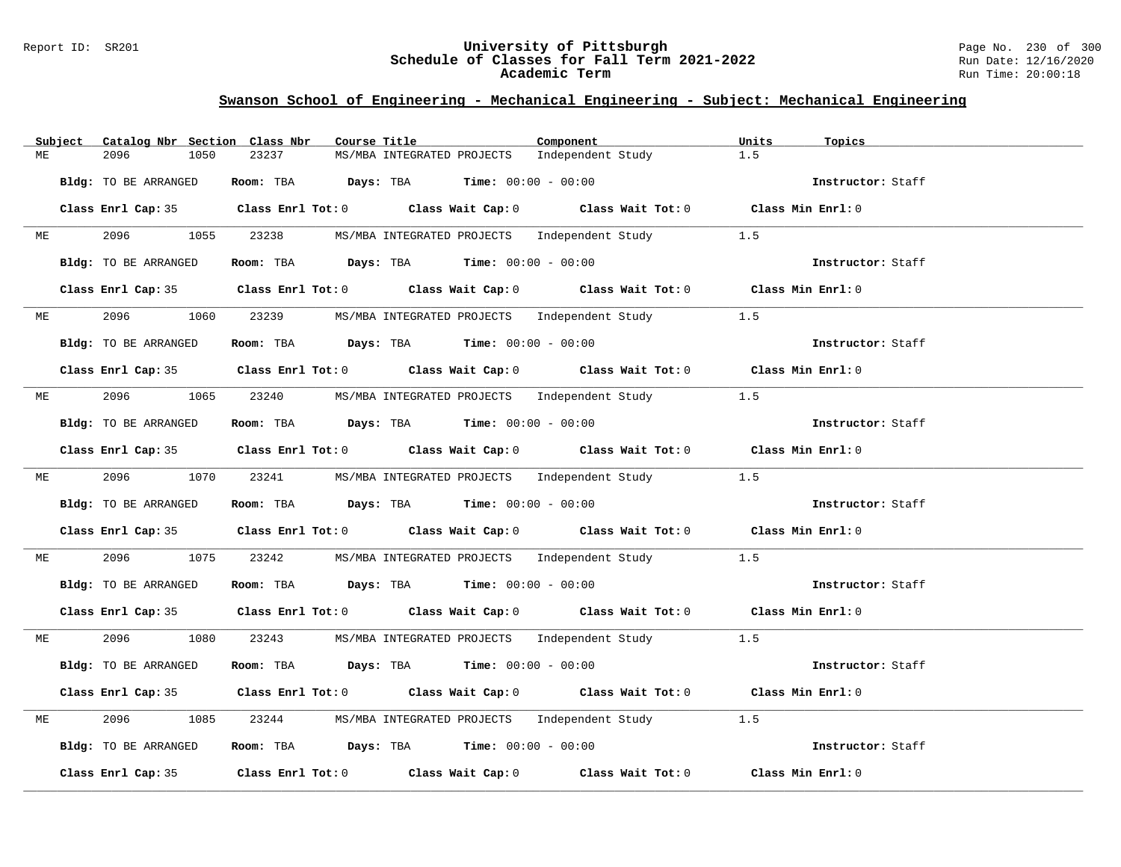### Report ID: SR201 **University of Pittsburgh** Page No. 230 of 300 **Schedule of Classes for Fall Term 2021-2022** Run Date: 12/16/2020 **Academic Term** Run Time: 20:00:18

|    | Subject | Catalog Nbr Section Class Nbr | Course Title                                                   | Component                                                                                  | Units<br>Topics   |
|----|---------|-------------------------------|----------------------------------------------------------------|--------------------------------------------------------------------------------------------|-------------------|
| МE |         | 2096<br>1050                  | 23237<br>MS/MBA INTEGRATED PROJECTS                            | Independent Study                                                                          | 1.5               |
|    |         | Bldg: TO BE ARRANGED          | Room: TBA $Days:$ TBA $Time: 00:00 - 00:00$                    |                                                                                            | Instructor: Staff |
|    |         |                               |                                                                | Class Enrl Cap: 35 Class Enrl Tot: 0 Class Wait Cap: 0 Class Wait Tot: 0 Class Min Enrl: 0 |                   |
| ME |         |                               | 2096 1055 23238 MS/MBA INTEGRATED PROJECTS Independent Study   |                                                                                            | 1.5               |
|    |         | Bldg: TO BE ARRANGED          | Room: TBA $Days:$ TBA $Time: 00:00 - 00:00$                    |                                                                                            | Instructor: Staff |
|    |         |                               |                                                                | Class Enrl Cap: 35 Class Enrl Tot: 0 Class Wait Cap: 0 Class Wait Tot: 0 Class Min Enrl: 0 |                   |
|    |         |                               |                                                                | ME 2096 1060 23239 MS/MBA INTEGRATED PROJECTS Independent Study 1.5                        |                   |
|    |         | Bldg: TO BE ARRANGED          | Room: TBA Days: TBA Time: $00:00 - 00:00$                      |                                                                                            | Instructor: Staff |
|    |         |                               |                                                                | Class Enrl Cap: 35 Class Enrl Tot: 0 Class Wait Cap: 0 Class Wait Tot: 0 Class Min Enrl: 0 |                   |
|    |         |                               |                                                                | ME 2096 1065 23240 MS/MBA INTEGRATED PROJECTS Independent Study 1.5                        |                   |
|    |         | Bldg: TO BE ARRANGED          | Room: TBA $\rule{1em}{0.15mm}$ Days: TBA Time: $00:00 - 00:00$ |                                                                                            | Instructor: Staff |
|    |         |                               |                                                                | Class Enrl Cap: 35 Class Enrl Tot: 0 Class Wait Cap: 0 Class Wait Tot: 0 Class Min Enrl: 0 |                   |
|    |         |                               |                                                                | ME 2096 1070 23241 MS/MBA INTEGRATED PROJECTS Independent Study 1.5                        |                   |
|    |         | Bldg: TO BE ARRANGED          | Room: TBA $Days:$ TBA Time: $00:00 - 00:00$                    |                                                                                            | Instructor: Staff |
|    |         |                               |                                                                | Class Enrl Cap: 35 Class Enrl Tot: 0 Class Wait Cap: 0 Class Wait Tot: 0 Class Min Enrl: 0 |                   |
| ME |         | 2096                          | 1075 23242 MS/MBA INTEGRATED PROJECTS Independent Study        |                                                                                            | 1.5               |
|    |         | Bldg: TO BE ARRANGED          | Room: TBA $Days:$ TBA Time: $00:00 - 00:00$                    |                                                                                            | Instructor: Staff |
|    |         |                               |                                                                | Class Enrl Cap: 35 Class Enrl Tot: 0 Class Wait Cap: 0 Class Wait Tot: 0 Class Min Enrl: 0 |                   |
| ME |         |                               |                                                                | 2096 1080 23243 MS/MBA INTEGRATED PROJECTS Independent Study 1.5                           |                   |
|    |         | Bldg: TO BE ARRANGED          | Room: TBA $Days:$ TBA $Time: 00:00 - 00:00$                    |                                                                                            | Instructor: Staff |
|    |         |                               |                                                                | Class Enrl Cap: 35 Class Enrl Tot: 0 Class Wait Cap: 0 Class Wait Tot: 0 Class Min Enrl: 0 |                   |
| ME |         | 2096<br>1085                  |                                                                | 23244 MS/MBA INTEGRATED PROJECTS Independent Study                                         | 1.5               |
|    |         | Bldg: TO BE ARRANGED          | Room: TBA $Days:$ TBA Time: $00:00 - 00:00$                    |                                                                                            | Instructor: Staff |
|    |         |                               |                                                                | Class Enrl Cap: 35 Class Enrl Tot: 0 Class Wait Cap: 0 Class Wait Tot: 0 Class Min Enrl: 0 |                   |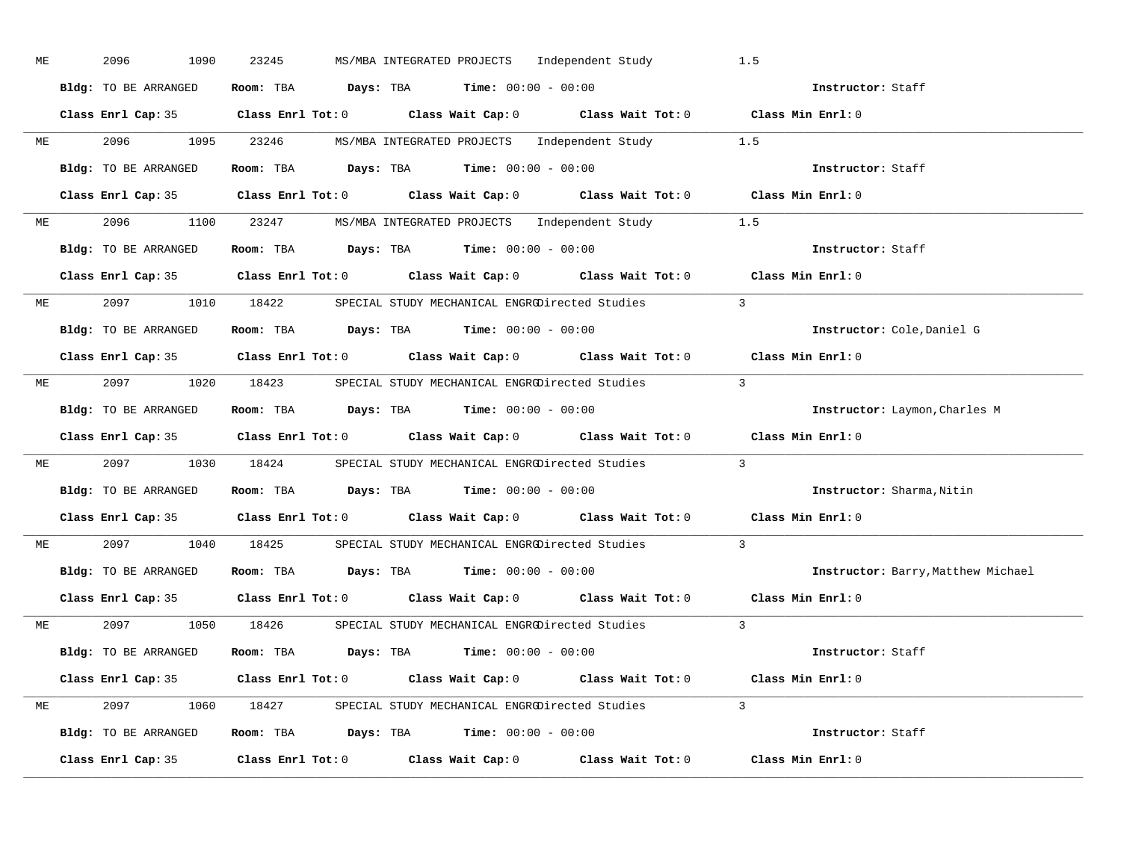| ME |           | 2096<br>1090         | 23245 | MS/MBA INTEGRATED PROJECTS Independent Study                                                        | 1.5                                |
|----|-----------|----------------------|-------|-----------------------------------------------------------------------------------------------------|------------------------------------|
|    |           | Bldg: TO BE ARRANGED |       | Room: TBA $Days:$ TBA Time: $00:00 - 00:00$                                                         | Instructor: Staff                  |
|    |           |                      |       | Class Enrl Cap: 35 Class Enrl Tot: 0 Class Wait Cap: 0 Class Wait Tot: 0 Class Min Enrl: 0          |                                    |
|    |           |                      |       | ME 2096 1095 23246 MS/MBA INTEGRATED PROJECTS Independent Study 1.5                                 |                                    |
|    |           | Bldg: TO BE ARRANGED |       | Room: TBA $Days:$ TBA $Time: 00:00 - 00:00$                                                         | Instructor: Staff                  |
|    |           |                      |       | Class Enrl Cap: 35 Class Enrl Tot: 0 Class Wait Cap: 0 Class Wait Tot: 0 Class Min Enrl: 0          |                                    |
|    |           |                      |       | ME 2096 1100 23247 MS/MBA INTEGRATED PROJECTS Independent Study 1.5                                 |                                    |
|    |           |                      |       | <b>Bldg:</b> TO BE ARRANGED <b>Room:</b> TBA <b>Days:</b> TBA <b>Time:</b> $00:00 - 00:00$          | Instructor: Staff                  |
|    |           |                      |       | Class Enrl Cap: 35 Class Enrl Tot: 0 Class Wait Cap: 0 Class Wait Tot: 0 Class Min Enrl: 0          |                                    |
|    |           |                      |       | ME 2097 1010 18422 SPECIAL STUDY MECHANICAL ENGRODirected Studies 3                                 |                                    |
|    |           | Bldg: TO BE ARRANGED |       | Room: TBA $Days:$ TBA Time: $00:00 - 00:00$                                                         | Instructor: Cole, Daniel G         |
|    |           |                      |       | Class Enrl Cap: 35 Class Enrl Tot: 0 Class Wait Cap: 0 Class Wait Tot: 0 Class Min Enrl: 0          |                                    |
|    |           |                      |       | ME 2097 1020 18423 SPECIAL STUDY MECHANICAL ENGRODirected Studies 3                                 |                                    |
|    |           | Bldg: TO BE ARRANGED |       | Room: TBA $Days:$ TBA $Time: 00:00 - 00:00$                                                         | Instructor: Laymon, Charles M      |
|    |           |                      |       |                                                                                                     |                                    |
|    |           |                      |       | Class Enrl Cap: 35 Class Enrl Tot: 0 Class Wait Cap: 0 Class Wait Tot: 0 Class Min Enrl: 0          |                                    |
|    |           |                      |       | ME 2097 1030 18424 SPECIAL STUDY MECHANICAL ENGRODirected Studies 3                                 |                                    |
|    |           | Bldg: TO BE ARRANGED |       | Room: TBA $\rule{1em}{0.15mm}$ Days: TBA Time: $00:00 - 00:00$                                      | Instructor: Sharma, Nitin          |
|    |           |                      |       | Class Enrl Cap: 35 Class Enrl Tot: 0 Class Wait Cap: 0 Class Wait Tot: 0 Class Min Enrl: 0          |                                    |
|    | <b>ME</b> |                      |       | 2097 1040 18425 SPECIAL STUDY MECHANICAL ENGRODirected Studies                                      | $\overline{3}$                     |
|    |           |                      |       | Bldg: TO BE ARRANGED Room: TBA Days: TBA Time: 00:00 - 00:00                                        | Instructor: Barry, Matthew Michael |
|    |           |                      |       | Class Enrl Cap: 35 $\qquad$ Class Enrl Tot: 0 $\qquad$ Class Wait Cap: 0 $\qquad$ Class Wait Tot: 0 | Class Min Enrl: 0                  |
|    |           |                      |       | ME 2097 1050 18426 SPECIAL STUDY MECHANICAL ENGRODirected Studies 3                                 |                                    |
|    |           | Bldg: TO BE ARRANGED |       | Room: TBA $\rule{1em}{0.15mm}$ Days: TBA $\rule{1.5mm}{0.15mm}$ Time: $00:00 - 00:00$               | Instructor: Staff                  |
|    |           |                      |       | Class Enrl Cap: 35 Class Enrl Tot: 0 Class Wait Cap: 0 Class Wait Tot: 0 Class Min Enrl: 0          |                                    |
|    |           |                      |       | ME 2097 1060 18427 SPECIAL STUDY MECHANICAL ENGRODirected Studies 3                                 |                                    |
|    |           |                      |       | Bldg: TO BE ARRANGED Room: TBA Days: TBA Time: 00:00 - 00:00                                        | Instructor: Staff                  |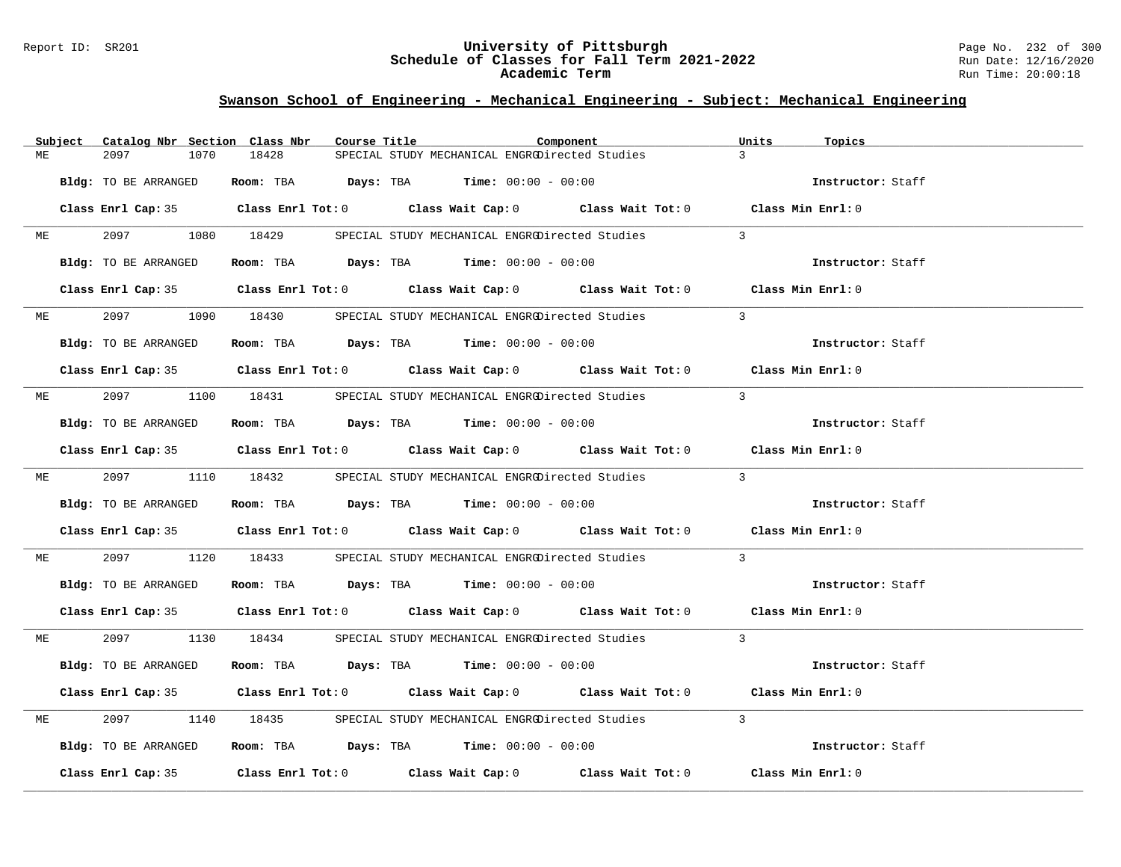### Report ID: SR201 **University of Pittsburgh** Page No. 232 of 300 **Schedule of Classes for Fall Term 2021-2022** Run Date: 12/16/2020 **Academic Term** Run Time: 20:00:18

|    | Subject   | Catalog Nbr Section Class Nbr | Course Title | Component                                                                                  | Units<br>Topics   |
|----|-----------|-------------------------------|--------------|--------------------------------------------------------------------------------------------|-------------------|
| МE |           | 2097<br>1070                  | 18428        | SPECIAL STUDY MECHANICAL ENGRODirected Studies                                             | $\overline{3}$    |
|    |           | Bldg: TO BE ARRANGED          |              | Room: TBA $Days: TBA$ Time: $00:00 - 00:00$                                                | Instructor: Staff |
|    |           |                               |              | Class Enrl Cap: 35 Class Enrl Tot: 0 Class Wait Cap: 0 Class Wait Tot: 0 Class Min Enrl: 0 |                   |
|    | <b>ME</b> |                               |              | 2097 1080 18429 SPECIAL STUDY MECHANICAL ENGRODirected Studies                             | $\overline{3}$    |
|    |           | Bldg: TO BE ARRANGED          |              | Room: TBA $\rule{1em}{0.15mm}$ Days: TBA $\rule{1.5mm}{0.15mm}$ Time: $00:00 - 00:00$      | Instructor: Staff |
|    |           |                               |              | Class Enrl Cap: 35 Class Enrl Tot: 0 Class Wait Cap: 0 Class Wait Tot: 0 Class Min Enrl: 0 |                   |
|    | <b>ME</b> |                               |              | 2097 1090 18430 SPECIAL STUDY MECHANICAL ENGRODirected Studies                             | $\mathcal{L}$     |
|    |           | Bldg: TO BE ARRANGED          |              | Room: TBA $Days:$ TBA $Time: 00:00 - 00:00$                                                | Instructor: Staff |
|    |           |                               |              | Class Enrl Cap: 35 Class Enrl Tot: 0 Class Wait Cap: 0 Class Wait Tot: 0 Class Min Enrl: 0 |                   |
|    | <b>ME</b> |                               |              | 2097 1100 18431 SPECIAL STUDY MECHANICAL ENGROUirected Studies                             | $\overline{3}$    |
|    |           | Bldg: TO BE ARRANGED          |              | Room: TBA $\rule{1em}{0.15mm}$ Days: TBA $\rule{1.5mm}{0.15mm}$ Time: $00:00 - 00:00$      | Instructor: Staff |
|    |           |                               |              | Class Enrl Cap: 35 Class Enrl Tot: 0 Class Wait Cap: 0 Class Wait Tot: 0 Class Min Enrl: 0 |                   |
|    |           |                               |              | ME 2097 1110 18432 SPECIAL STUDY MECHANICAL ENGRODirected Studies 3                        |                   |
|    |           | Bldg: TO BE ARRANGED          |              | Room: TBA Days: TBA Time: $00:00 - 00:00$                                                  | Instructor: Staff |
|    |           |                               |              | Class Enrl Cap: 35 Class Enrl Tot: 0 Class Wait Cap: 0 Class Wait Tot: 0 Class Min Enrl: 0 |                   |
| МE |           | 2097 — 2097                   |              | 1120 18433 SPECIAL STUDY MECHANICAL ENGRODirected Studies                                  | $\overline{3}$    |
|    |           | Bldg: TO BE ARRANGED          |              | Room: TBA $\rule{1em}{0.15mm}$ Days: TBA Time: $00:00 - 00:00$                             | Instructor: Staff |
|    |           |                               |              | Class Enrl Cap: 35 Class Enrl Tot: 0 Class Wait Cap: 0 Class Wait Tot: 0 Class Min Enrl: 0 |                   |
| ME |           |                               |              | 2097 1130 18434 SPECIAL STUDY MECHANICAL ENGRODirected Studies 3                           |                   |
|    |           | Bldg: TO BE ARRANGED          |              | Room: TBA $Days:$ TBA $Time: 00:00 - 00:00$                                                | Instructor: Staff |
|    |           |                               |              | Class Enrl Cap: 35 Class Enrl Tot: 0 Class Wait Cap: 0 Class Wait Tot: 0 Class Min Enrl: 0 |                   |
| МE |           | 2097                          |              | 1140 18435 SPECIAL STUDY MECHANICAL ENGRODirected Studies                                  | $\mathbf{3}$      |
|    |           | Bldg: TO BE ARRANGED          |              | Room: TBA $Days:$ TBA $Time: 00:00 - 00:00$                                                | Instructor: Staff |
|    |           |                               |              | Class Enrl Cap: 35 Class Enrl Tot: 0 Class Wait Cap: 0 Class Wait Tot: 0 Class Min Enrl: 0 |                   |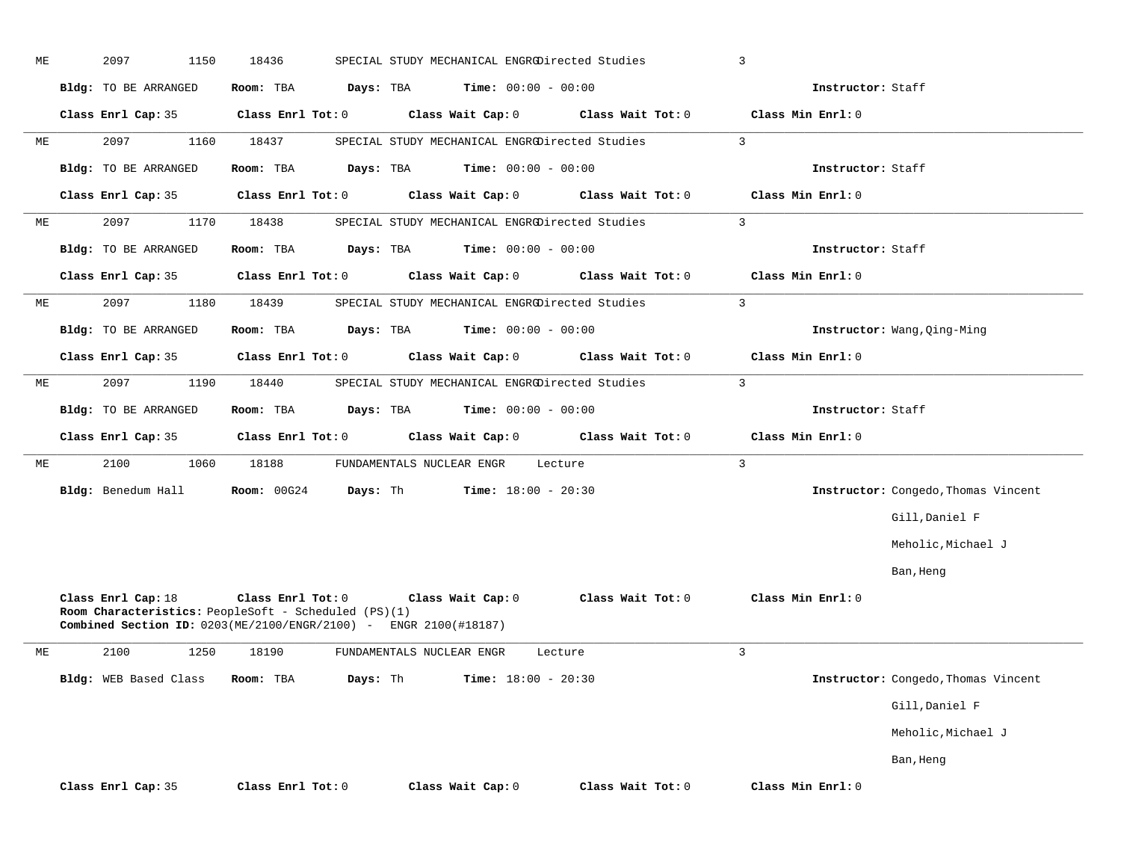| МE | 2097<br>1150                | 18436                                                                     | SPECIAL STUDY MECHANICAL ENGRODirected Studies                                        |                   | 3                           |                                     |
|----|-----------------------------|---------------------------------------------------------------------------|---------------------------------------------------------------------------------------|-------------------|-----------------------------|-------------------------------------|
|    | <b>Bldg:</b> TO BE ARRANGED | Room: TBA                                                                 | <b>Time:</b> $00:00 - 00:00$<br>Days: TBA                                             |                   | Instructor: Staff           |                                     |
|    | Class Enrl Cap: 35          | Class Enrl Tot: 0                                                         | Class Wait Cap: 0                                                                     | Class Wait Tot: 0 | Class Min Enrl: 0           |                                     |
| МE | 2097<br>1160                | 18437                                                                     | SPECIAL STUDY MECHANICAL ENGRODirected Studies                                        |                   | $\mathbf{3}$                |                                     |
|    | Bldg: TO BE ARRANGED        | Room: TBA                                                                 | Days: TBA<br><b>Time:</b> $00:00 - 00:00$                                             |                   | Instructor: Staff           |                                     |
|    | Class Enrl Cap: 35          | Class Enrl Tot: 0                                                         | Class Wait Cap: 0                                                                     | Class Wait Tot: 0 | Class Min Enrl: 0           |                                     |
| МE | 2097<br>1170                | 18438                                                                     | SPECIAL STUDY MECHANICAL ENGRODirected Studies                                        |                   | $\overline{3}$              |                                     |
|    | Bldg: TO BE ARRANGED        | Room: TBA                                                                 | <b>Time:</b> $00:00 - 00:00$<br>Days: TBA                                             |                   | Instructor: Staff           |                                     |
|    | Class Enrl Cap: 35          | Class Enrl Tot: 0                                                         | Class Wait Cap: 0                                                                     | Class Wait Tot: 0 | Class Min Enrl: 0           |                                     |
| МE | 2097<br>1180                | 18439                                                                     | SPECIAL STUDY MECHANICAL ENGRODirected Studies                                        |                   | $\mathbf{3}$                |                                     |
|    | Bldg: TO BE ARRANGED        | Room: TBA                                                                 | <b>Time:</b> $00:00 - 00:00$<br>Days: TBA                                             |                   | Instructor: Wang, Qing-Ming |                                     |
|    | Class Enrl Cap: 35          | Class Enrl Tot: 0                                                         | Class Wait Cap: 0                                                                     | Class Wait Tot: 0 | Class Min Enrl: 0           |                                     |
| МE | 2097<br>1190                | 18440                                                                     | SPECIAL STUDY MECHANICAL ENGRODirected Studies                                        |                   | 3                           |                                     |
|    | Bldg: TO BE ARRANGED        | Room: TBA                                                                 | <b>Time:</b> $00:00 - 00:00$<br>Days: TBA                                             |                   | Instructor: Staff           |                                     |
|    | Class Enrl Cap: 35          | Class Enrl Tot: 0                                                         | Class Wait Cap: 0                                                                     | Class Wait Tot: 0 | Class Min Enrl: 0           |                                     |
| МE | 2100<br>1060                | 18188                                                                     | FUNDAMENTALS NUCLEAR ENGR                                                             | Lecture           | $\mathbf{3}$                |                                     |
|    | Bldg: Benedum Hall          | Room: 00G24                                                               | Days: Th<br><b>Time:</b> $18:00 - 20:30$                                              |                   |                             | Instructor: Congedo, Thomas Vincent |
|    |                             |                                                                           |                                                                                       |                   |                             | Gill, Daniel F                      |
|    |                             |                                                                           |                                                                                       |                   |                             | Meholic, Michael J                  |
|    |                             |                                                                           |                                                                                       |                   |                             | Ban, Heng                           |
|    | Class Enrl Cap: 18          | Class Enrl Tot: 0<br>Room Characteristics: PeopleSoft - Scheduled (PS)(1) | Class Wait Cap: 0<br>Combined Section ID: 0203(ME/2100/ENGR/2100) - ENGR 2100(#18187) | Class Wait Tot: 0 | Class Min Enrl: 0           |                                     |
| МE | 2100<br>1250                | 18190                                                                     | FUNDAMENTALS NUCLEAR ENGR                                                             | Lecture           | 3                           |                                     |
|    | Bldg: WEB Based Class       | Room: TBA                                                                 | Days: Th<br>Time: $18:00 - 20:30$                                                     |                   |                             | Instructor: Congedo, Thomas Vincent |
|    |                             |                                                                           |                                                                                       |                   |                             | Gill, Daniel F                      |
|    |                             |                                                                           |                                                                                       |                   |                             | Meholic, Michael J                  |
|    |                             |                                                                           |                                                                                       |                   |                             | Ban, Heng                           |
|    |                             |                                                                           |                                                                                       |                   |                             |                                     |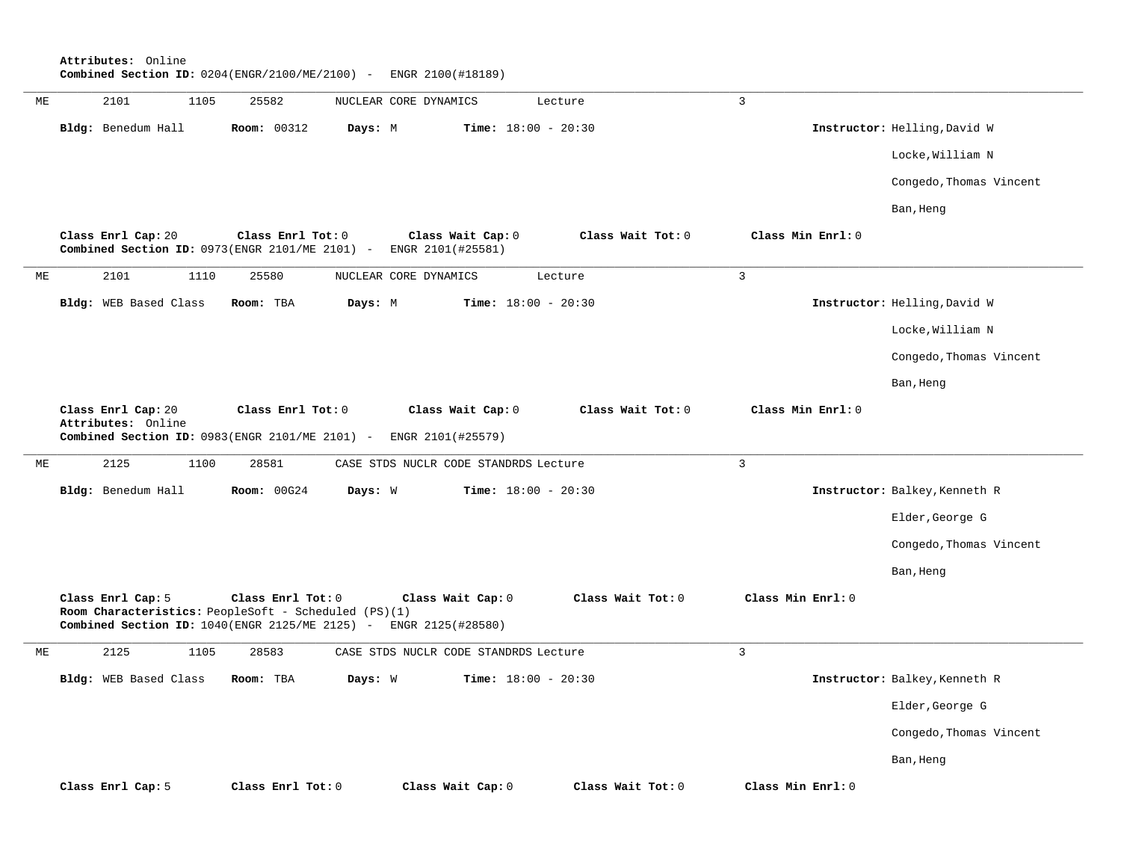**Attributes:** Online **Combined Section ID:** 0204(ENGR/2100/ME/2100) - ENGR 2100(#18189)

| МE | 2101<br>1105                                                                                                                | 25582             |         | NUCLEAR CORE DYNAMICS                  | Lecture                      | $\mathbf{3}$      |                               |
|----|-----------------------------------------------------------------------------------------------------------------------------|-------------------|---------|----------------------------------------|------------------------------|-------------------|-------------------------------|
|    | Bldg: Benedum Hall                                                                                                          | Room: 00312       | Days: M |                                        | Time: $18:00 - 20:30$        |                   | Instructor: Helling, David W  |
|    |                                                                                                                             |                   |         |                                        |                              |                   | Locke, William N              |
|    |                                                                                                                             |                   |         |                                        |                              |                   | Congedo, Thomas Vincent       |
|    |                                                                                                                             |                   |         |                                        |                              |                   | Ban, Heng                     |
|    | Class Enrl Cap: 20<br>Combined Section ID: 0973(ENGR 2101/ME 2101) -                                                        | Class Enrl Tot: 0 |         | Class Wait Cap: 0<br>ENGR 2101(#25581) | Class Wait Tot: 0            | Class Min Enrl: 0 |                               |
| МE | 2101<br>1110                                                                                                                | 25580             |         | NUCLEAR CORE DYNAMICS                  | Lecture                      | 3                 |                               |
|    | Bldg: WEB Based Class                                                                                                       | Room: TBA         | Days: M |                                        | Time: $18:00 - 20:30$        |                   | Instructor: Helling, David W  |
|    |                                                                                                                             |                   |         |                                        |                              |                   | Locke, William N              |
|    |                                                                                                                             |                   |         |                                        |                              |                   | Congedo, Thomas Vincent       |
|    |                                                                                                                             |                   |         |                                        |                              |                   | Ban, Heng                     |
|    | Class Enrl Cap: 20<br>Attributes: Online<br>Combined Section ID: 0983(ENGR 2101/ME 2101) -                                  | Class Enrl Tot: 0 |         | Class Wait Cap: 0<br>ENGR 2101(#25579) | Class Wait Tot: 0            | Class Min Enrl: 0 |                               |
| МE | 2125<br>1100                                                                                                                | 28581             |         | CASE STDS NUCLR CODE STANDRDS Lecture  |                              | $\overline{3}$    |                               |
|    |                                                                                                                             |                   |         |                                        |                              |                   |                               |
|    | Bldg: Benedum Hall                                                                                                          | Room: 00G24       | Days: W |                                        | Time: $18:00 - 20:30$        |                   | Instructor: Balkey, Kenneth R |
|    |                                                                                                                             |                   |         |                                        |                              |                   | Elder, George G               |
|    |                                                                                                                             |                   |         |                                        |                              |                   | Congedo, Thomas Vincent       |
|    |                                                                                                                             |                   |         |                                        |                              |                   | Ban, Heng                     |
|    | Class Enrl Cap: 5<br>Room Characteristics: PeopleSoft - Scheduled (PS)(1)<br>Combined Section ID: 1040(ENGR 2125/ME 2125) - | Class Enrl Tot: 0 |         | Class Wait Cap: 0<br>ENGR 2125(#28580) | Class Wait Tot: 0            | Class Min Enrl: 0 |                               |
| МE | 2125<br>1105                                                                                                                | 28583             |         | CASE STDS NUCLR CODE STANDRDS Lecture  |                              | $\overline{3}$    |                               |
|    | Bldg: WEB Based Class                                                                                                       | Room: TBA         | Days: W |                                        | <b>Time:</b> $18:00 - 20:30$ |                   | Instructor: Balkey, Kenneth R |
|    |                                                                                                                             |                   |         |                                        |                              |                   | Elder, George G               |
|    |                                                                                                                             |                   |         |                                        |                              |                   | Congedo, Thomas Vincent       |
|    |                                                                                                                             |                   |         |                                        |                              |                   | Ban, Heng                     |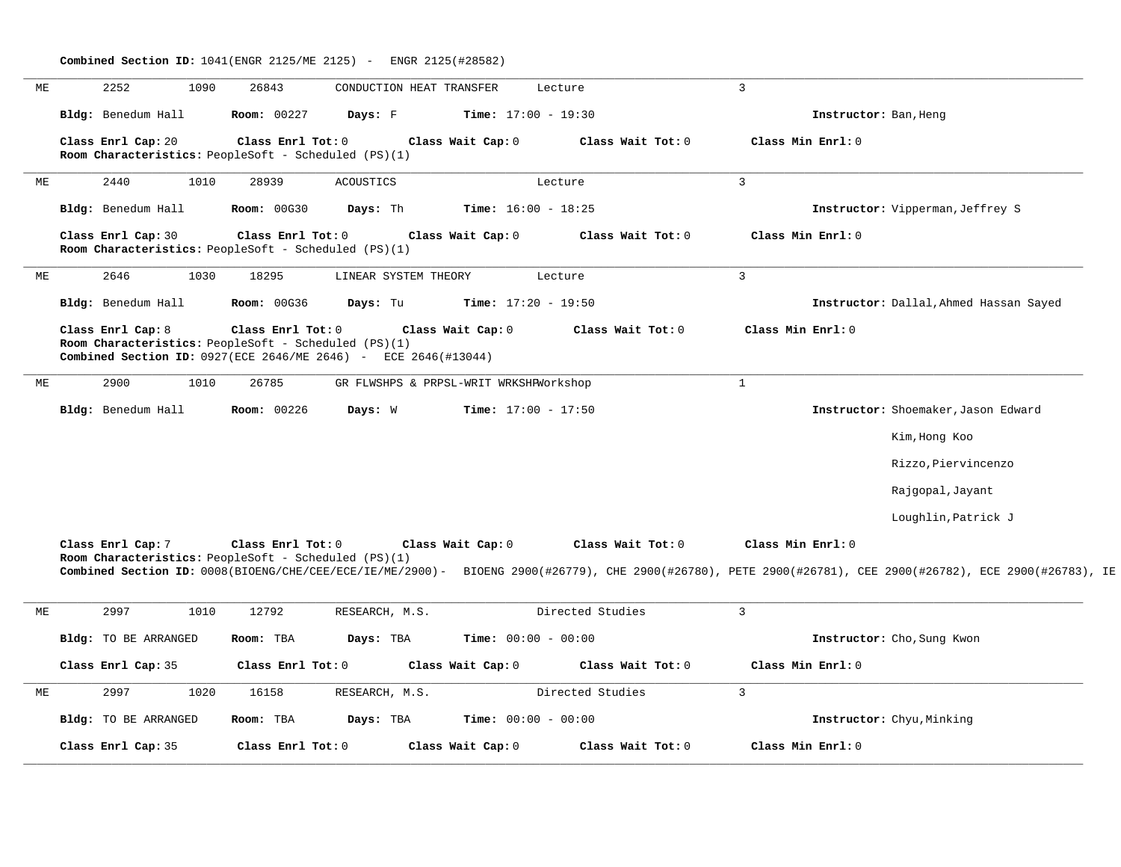| МE | 2252<br>1090                                                                                                                                  | 26843              | CONDUCTION HEAT TRANSFER               |                              | Lecture           | $\overline{3}$                                                                                                                                                                  |  |
|----|-----------------------------------------------------------------------------------------------------------------------------------------------|--------------------|----------------------------------------|------------------------------|-------------------|---------------------------------------------------------------------------------------------------------------------------------------------------------------------------------|--|
|    | Bldg: Benedum Hall                                                                                                                            | Room: 00227        | Days: F                                | Time: $17:00 - 19:30$        |                   | Instructor: Ban, Heng                                                                                                                                                           |  |
|    | Class Enrl Cap: 20<br>Room Characteristics: PeopleSoft - Scheduled (PS)(1)                                                                    | Class Enrl Tot: 0  |                                        | Class Wait Cap: 0            | Class Wait Tot: 0 | Class Min Enrl: 0                                                                                                                                                               |  |
| МE | 2440<br>1010                                                                                                                                  | 28939              | <b>ACOUSTICS</b>                       |                              | Lecture           | $\overline{3}$                                                                                                                                                                  |  |
|    | Bldg: Benedum Hall                                                                                                                            | <b>Room: 00G30</b> | Days: Th                               | Time: $16:00 - 18:25$        |                   | Instructor: Vipperman, Jeffrey S                                                                                                                                                |  |
|    | Class Enrl Cap: 30<br>Room Characteristics: PeopleSoft - Scheduled (PS)(1)                                                                    | Class Enrl Tot: 0  |                                        | Class Wait Cap: 0            | Class Wait Tot: 0 | Class Min Enrl: 0                                                                                                                                                               |  |
| МE | 2646<br>1030                                                                                                                                  | 18295              | LINEAR SYSTEM THEORY                   |                              | Lecture           | $\mathbf{3}$                                                                                                                                                                    |  |
|    | Bldg: Benedum Hall                                                                                                                            | <b>Room: 00G36</b> | Days: Tu                               | <b>Time:</b> $17:20 - 19:50$ |                   | Instructor: Dallal, Ahmed Hassan Sayed                                                                                                                                          |  |
|    | Class Enrl Cap: 8<br>Room Characteristics: PeopleSoft - Scheduled (PS)(1)<br>Combined Section ID: 0927 (ECE 2646/ME 2646) - ECE 2646 (#13044) | Class Enrl Tot: 0  |                                        | Class Wait Cap: 0            | Class Wait Tot: 0 | Class Min Enrl: 0                                                                                                                                                               |  |
| МE | 2900<br>1010                                                                                                                                  | 26785              | GR FLWSHPS & PRPSL-WRIT WRKSHPWorkshop |                              |                   | $\mathbf{1}$                                                                                                                                                                    |  |
|    | Bldg: Benedum Hall                                                                                                                            | Room: 00226        | Days: W                                | Time: $17:00 - 17:50$        |                   | Instructor: Shoemaker, Jason Edward                                                                                                                                             |  |
|    |                                                                                                                                               |                    |                                        |                              |                   | Kim, Hong Koo                                                                                                                                                                   |  |
|    |                                                                                                                                               |                    |                                        |                              |                   | Rizzo, Piervincenzo                                                                                                                                                             |  |
|    |                                                                                                                                               |                    |                                        |                              |                   | Rajgopal, Jayant                                                                                                                                                                |  |
|    |                                                                                                                                               |                    |                                        |                              |                   | Loughlin, Patrick J                                                                                                                                                             |  |
|    | Class Enrl Cap: 7<br>Room Characteristics: PeopleSoft - Scheduled (PS)(1)                                                                     | Class Enrl Tot: 0  |                                        | Class Wait Cap: 0            | Class Wait Tot: 0 | Class Min Enrl: 0<br>Combined Section ID: 0008(BIOENG/CHE/CEE/ECE/IE/ME/2900)- BIOENG 2900(#26779), CHE 2900(#26780), PETE 2900(#26781), CEE 2900(#26782), ECE 2900(#26783), IE |  |
| МE | 2997<br>1010                                                                                                                                  | 12792              | RESEARCH, M.S.                         |                              | Directed Studies  | $\mathbf{3}$                                                                                                                                                                    |  |
|    | <b>Bldg:</b> TO BE ARRANGED                                                                                                                   | Room: TBA          | Days: TBA                              | <b>Time:</b> $00:00 - 00:00$ |                   | Instructor: Cho, Sung Kwon                                                                                                                                                      |  |
|    | Class Enrl Cap: 35                                                                                                                            | Class Enrl Tot: 0  |                                        | Class Wait Cap: 0            | Class Wait Tot: 0 | Class Min Enrl: 0                                                                                                                                                               |  |
| МE | 2997<br>1020                                                                                                                                  | 16158              | RESEARCH, M.S.                         |                              | Directed Studies  | $\overline{3}$                                                                                                                                                                  |  |
|    |                                                                                                                                               | Room: TBA          |                                        | Time: $00:00 - 00:00$        |                   |                                                                                                                                                                                 |  |
|    | <b>Bldg:</b> TO BE ARRANGED                                                                                                                   |                    | Days: TBA                              |                              |                   | Instructor: Chyu, Minking                                                                                                                                                       |  |

**Combined Section ID:** 1041(ENGR 2125/ME 2125) - ENGR 2125(#28582)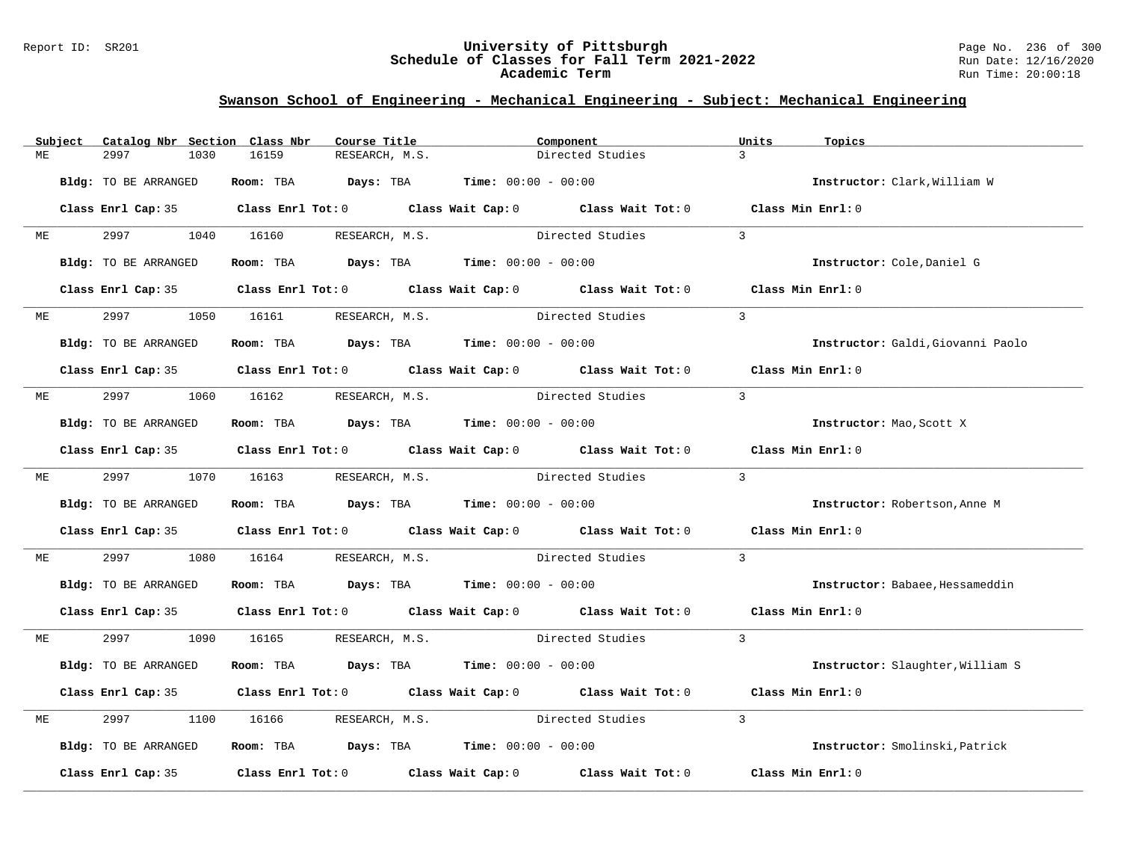### Report ID: SR201 **University of Pittsburgh** Page No. 236 of 300 **Schedule of Classes for Fall Term 2021-2022** Run Date: 12/16/2020 **Academic Term** Run Time: 20:00:18

|    | Subject | Catalog Nbr Section Class Nbr | Course Title                                                                               | Component                                     |                  | Units             | Topics                            |
|----|---------|-------------------------------|--------------------------------------------------------------------------------------------|-----------------------------------------------|------------------|-------------------|-----------------------------------|
| MЕ |         | 2997<br>1030                  | 16159<br>RESEARCH, M.S.                                                                    |                                               | Directed Studies | $\mathbf{3}$      |                                   |
|    |         | Bldg: TO BE ARRANGED          | Room: TBA                                                                                  | <b>Days:</b> TBA <b>Time:</b> $00:00 - 00:00$ |                  |                   | Instructor: Clark, William W      |
|    |         |                               | Class Enrl Cap: 35 Class Enrl Tot: 0 Class Wait Cap: 0 Class Wait Tot: 0 Class Min Enrl: 0 |                                               |                  |                   |                                   |
| МE |         | 2997 — 2007                   | 1040 16160<br>RESEARCH, M.S.                                                               |                                               | Directed Studies | $\mathbf{3}$      |                                   |
|    |         | Bldg: TO BE ARRANGED          | Room: TBA $Days: TBA$ Time: $00:00 - 00:00$                                                |                                               |                  |                   | Instructor: Cole, Daniel G        |
|    |         |                               | Class Enrl Cap: 35 Class Enrl Tot: 0 Class Wait Cap: 0 Class Wait Tot: 0 Class Min Enrl: 0 |                                               |                  |                   |                                   |
| МE |         | 2997                          | 1050 16161<br>RESEARCH, M.S.                                                               | Directed Studies                              |                  | $\overline{3}$    |                                   |
|    |         | Bldg: TO BE ARRANGED          | Room: TBA $Days:$ TBA $Time: 00:00 - 00:00$                                                |                                               |                  |                   | Instructor: Galdi, Giovanni Paolo |
|    |         |                               | Class Enrl Cap: 35 Class Enrl Tot: 0 Class Wait Cap: 0 Class Wait Tot: 0 Class Min Enrl: 0 |                                               |                  |                   |                                   |
| МE |         | 2997                          | 1060 16162 RESEARCH, M.S. Directed Studies                                                 |                                               |                  | $\overline{3}$    |                                   |
|    |         | Bldg: TO BE ARRANGED          | Room: TBA $Days:$ TBA $Time: 00:00 - 00:00$                                                |                                               |                  |                   | Instructor: Mao, Scott X          |
|    |         |                               | Class Enrl Cap: 35 Class Enrl Tot: 0 Class Wait Cap: 0 Class Wait Tot: 0 Class Min Enrl: 0 |                                               |                  |                   |                                   |
| ME |         | 2997 — 2007                   | 1070 16163 RESEARCH, M.S. Directed Studies                                                 |                                               |                  | $\overline{3}$    |                                   |
|    |         | Bldg: TO BE ARRANGED          | Room: TBA $\rule{1em}{0.15mm}$ Days: TBA $\rule{1.15mm}]{0.15mm}$ Time: $0.000 - 0.0000$   |                                               |                  |                   | Instructor: Robertson, Anne M     |
|    |         |                               | Class Enrl Cap: 35 Class Enrl Tot: 0 Class Wait Cap: 0 Class Wait Tot: 0                   |                                               |                  | Class Min Enrl: 0 |                                   |
| МE |         | 2997<br>1080                  | 16164                                                                                      | RESEARCH, M.S. Directed Studies               |                  | $\overline{3}$    |                                   |
|    |         | Bldg: TO BE ARRANGED          | Room: TBA $Days:$ TBA $Time: 00:00 - 00:00$                                                |                                               |                  |                   | Instructor: Babaee, Hessameddin   |
|    |         |                               | Class Enrl Cap: 35 Class Enrl Tot: 0 Class Wait Cap: 0 Class Wait Tot: 0 Class Min Enrl: 0 |                                               |                  |                   |                                   |
| ME |         | 2997 — 2007                   | 1090 16165 RESEARCH, M.S.                                                                  | Directed Studies                              |                  | $\overline{3}$    |                                   |
|    |         | Bldg: TO BE ARRANGED          | Room: TBA $Days:$ TBA $Time: 00:00 - 00:00$                                                |                                               |                  |                   | Instructor: Slaughter, William S  |
|    |         |                               | Class Enrl Cap: 35 Class Enrl Tot: 0 Class Wait Cap: 0 Class Wait Tot: 0                   |                                               |                  | Class Min Enrl: 0 |                                   |
| MЕ |         | 2997<br>1100                  | 16166 RESEARCH, M.S.                                                                       |                                               | Directed Studies | $\mathbf{3}$      |                                   |
|    |         | Bldg: TO BE ARRANGED          | Room: TBA $Days: TBA$ Time: $00:00 - 00:00$                                                |                                               |                  |                   | Instructor: Smolinski, Patrick    |
|    |         | Class Enrl Cap: 35            | Class Enrl Tot: $0$ Class Wait Cap: $0$ Class Wait Tot: $0$                                |                                               |                  | Class Min Enrl: 0 |                                   |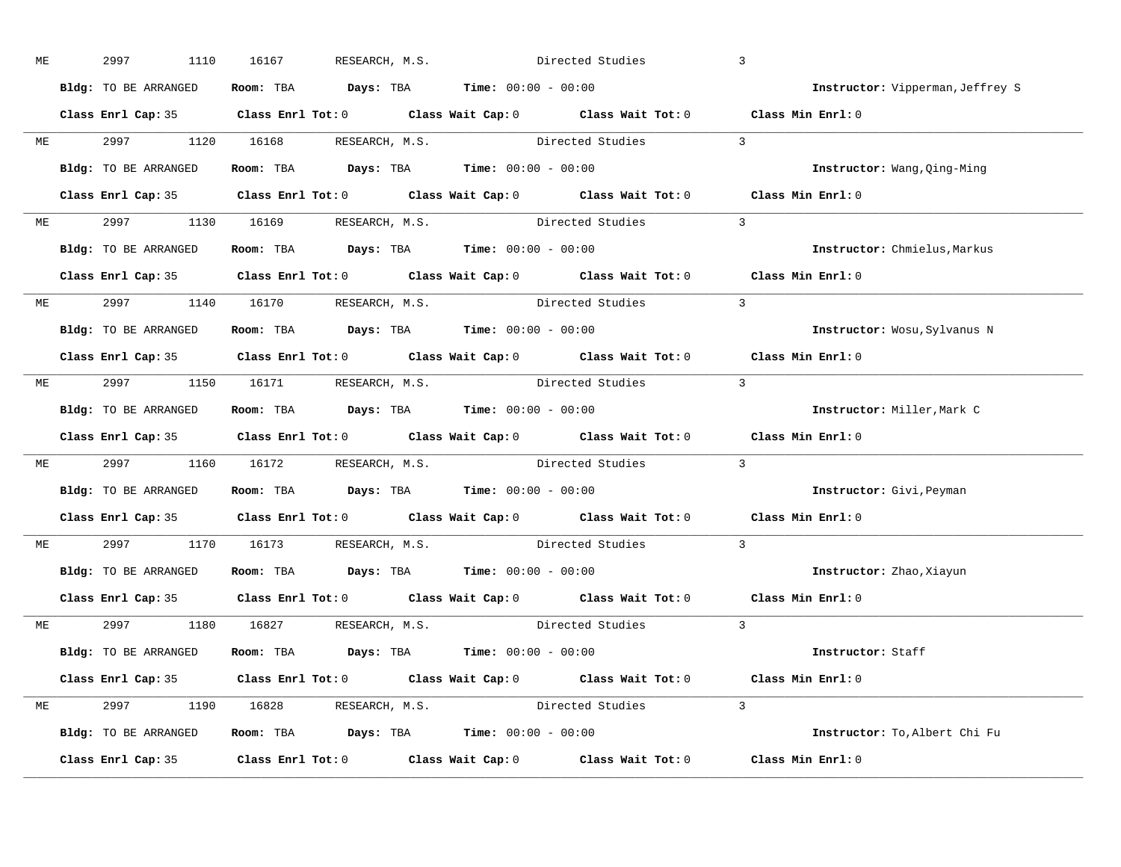| МE |           | 2997<br>1110         | 16167                                                                                    | RESEARCH, M.S. | Directed Studies                                                                           | $\overline{3}$                   |
|----|-----------|----------------------|------------------------------------------------------------------------------------------|----------------|--------------------------------------------------------------------------------------------|----------------------------------|
|    |           | Bldg: TO BE ARRANGED | Room: TBA $\rule{1em}{0.15mm}$ Days: TBA $\rule{1.5mm}{0.15mm}$ Time: $00:00 - 00:00$    |                |                                                                                            | Instructor: Vipperman, Jeffrey S |
|    |           |                      |                                                                                          |                | Class Enrl Cap: 35 Class Enrl Tot: 0 Class Wait Cap: 0 Class Wait Tot: 0 Class Min Enrl: 0 |                                  |
|    |           |                      |                                                                                          |                | ME 2997 1120 16168 RESEARCH, M.S. Directed Studies 3                                       |                                  |
|    |           | Bldg: TO BE ARRANGED | Room: TBA $\rule{1em}{0.15mm}$ Days: TBA $\rule{1.15mm}]{0.15mm}$ Time: $0.000 - 0.0000$ |                |                                                                                            | Instructor: Wang, Qing-Ming      |
|    |           |                      |                                                                                          |                | Class Enrl Cap: 35 Class Enrl Tot: 0 Class Wait Cap: 0 Class Wait Tot: 0 Class Min Enrl: 0 |                                  |
|    |           |                      |                                                                                          |                | ME 2997 1130 16169 RESEARCH, M.S. Directed Studies 3                                       |                                  |
|    |           |                      | Bldg: TO BE ARRANGED Room: TBA Days: TBA Time: 00:00 - 00:00                             |                |                                                                                            | Instructor: Chmielus, Markus     |
|    |           |                      |                                                                                          |                | Class Enrl Cap: 35 Class Enrl Tot: 0 Class Wait Cap: 0 Class Wait Tot: 0 Class Min Enrl: 0 |                                  |
|    |           |                      |                                                                                          |                | ME 2997 1140 16170 RESEARCH, M.S. Directed Studies 3                                       |                                  |
|    |           | Bldg: TO BE ARRANGED | Room: TBA $\rule{1em}{0.15mm}$ Days: TBA $\rule{1.5mm}{0.15mm}$ Time: $00:00 - 00:00$    |                |                                                                                            | Instructor: Wosu, Sylvanus N     |
|    |           |                      |                                                                                          |                | Class Enrl Cap: 35 Class Enrl Tot: 0 Class Wait Cap: 0 Class Wait Tot: 0 Class Min Enrl: 0 |                                  |
|    |           |                      | ME 2997 1150 16171 RESEARCH, M.S.                                                        |                | Directed Studies 3                                                                         |                                  |
|    |           | Bldg: TO BE ARRANGED | Room: TBA $\rule{1em}{0.15mm}$ Days: TBA Time: $00:00 - 00:00$                           |                |                                                                                            | Instructor: Miller, Mark C       |
|    |           |                      |                                                                                          |                | Class Enrl Cap: 35 Class Enrl Tot: 0 Class Wait Cap: 0 Class Wait Tot: 0 Class Min Enrl: 0 |                                  |
| ME |           |                      |                                                                                          |                | 2997 1160 16172 RESEARCH, M.S. Directed Studies                                            | $\overline{3}$                   |
|    |           | Bldg: TO BE ARRANGED | Room: TBA $\rule{1em}{0.15mm}$ Days: TBA Time: $00:00 - 00:00$                           |                |                                                                                            | Instructor: Givi, Peyman         |
|    |           |                      |                                                                                          |                | Class Enrl Cap: 35 Class Enrl Tot: 0 Class Wait Cap: 0 Class Wait Tot: 0 Class Min Enrl: 0 |                                  |
|    | <b>ME</b> |                      |                                                                                          |                | 2997 1170 16173 RESEARCH, M.S. Directed Studies                                            | $\overline{3}$                   |
|    |           |                      | Bldg: TO BE ARRANGED Room: TBA Days: TBA Time: 00:00 - 00:00                             |                |                                                                                            | Instructor: Zhao, Xiayun         |
|    |           |                      |                                                                                          |                | Class Enrl Cap: 35 Class Enrl Tot: 0 Class Wait Cap: 0 Class Wait Tot: 0 Class Min Enrl: 0 |                                  |
|    |           |                      | ME 2997 1180 16827 RESEARCH, M.S.                                                        |                | Directed Studies 3                                                                         |                                  |
|    |           | Bldg: TO BE ARRANGED | Room: TBA $Days:$ TBA $Time: 00:00 - 00:00$                                              |                |                                                                                            | Instructor: Staff                |
|    |           |                      |                                                                                          |                | Class Enrl Cap: 35 Class Enrl Tot: 0 Class Wait Cap: 0 Class Wait Tot: 0 Class Min Enrl: 0 |                                  |
|    |           |                      |                                                                                          |                | ME 2997 1190 16828 RESEARCH, M.S. Directed Studies 3                                       |                                  |
|    |           |                      | Bldg: TO BE ARRANGED Room: TBA Days: TBA Time: 00:00 - 00:00                             |                |                                                                                            | Instructor: To, Albert Chi Fu    |
|    |           |                      |                                                                                          |                | Class Enrl Cap: 35 Class Enrl Tot: 0 Class Wait Cap: 0 Class Wait Tot: 0 Class Min Enrl: 0 |                                  |
|    |           |                      |                                                                                          |                |                                                                                            |                                  |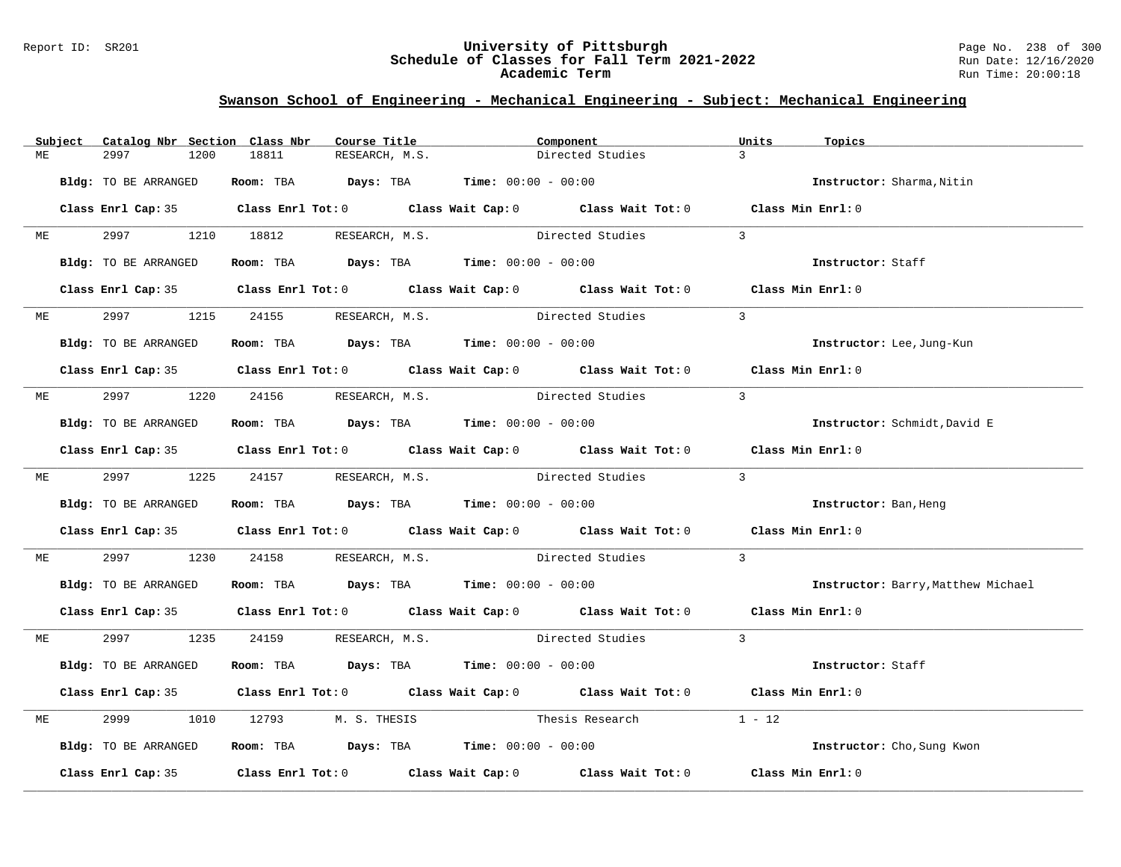### Report ID: SR201 **University of Pittsburgh** Page No. 238 of 300 **Schedule of Classes for Fall Term 2021-2022** Run Date: 12/16/2020 **Academic Term** Run Time: 20:00:18

|    | Subject | Catalog Nbr Section Class Nbr | Course Title                                                   |                | Component                                                                                  | Units<br>Topics |                                    |
|----|---------|-------------------------------|----------------------------------------------------------------|----------------|--------------------------------------------------------------------------------------------|-----------------|------------------------------------|
| МE |         | 2997<br>1200                  | 18811                                                          | RESEARCH, M.S. | Directed Studies                                                                           | $\mathcal{L}$   |                                    |
|    |         | Bldg: TO BE ARRANGED          | Room: TBA $Days:$ TBA $Time: 00:00 - 00:00$                    |                |                                                                                            |                 | Instructor: Sharma, Nitin          |
|    |         |                               |                                                                |                | Class Enrl Cap: 35 Class Enrl Tot: 0 Class Wait Cap: 0 Class Wait Tot: 0 Class Min Enrl: 0 |                 |                                    |
|    | ME      |                               | 2997 1210 18812 RESEARCH, M.S.                                 |                | Directed Studies                                                                           | $\mathcal{S}$   |                                    |
|    |         | Bldg: TO BE ARRANGED          | Room: TBA $Days:$ TBA Time: $00:00 - 00:00$                    |                |                                                                                            |                 | Instructor: Staff                  |
|    |         |                               |                                                                |                | Class Enrl Cap: 35 Class Enrl Tot: 0 Class Wait Cap: 0 Class Wait Tot: 0 Class Min Enrl: 0 |                 |                                    |
|    | ME      | 2997 — 2007                   | 1215 24155 RESEARCH, M.S.                                      |                | Directed Studies                                                                           | $\mathcal{L}$   |                                    |
|    |         | Bldg: TO BE ARRANGED          | Room: TBA $Days:$ TBA $Time:$ 00:00 - 00:00                    |                |                                                                                            |                 | Instructor: Lee, Jung-Kun          |
|    |         |                               |                                                                |                | Class Enrl Cap: 35 Class Enrl Tot: 0 Class Wait Cap: 0 Class Wait Tot: 0 Class Min Enrl: 0 |                 |                                    |
| МE |         |                               | 2997 1220 24156 RESEARCH, M.S. Directed Studies                |                |                                                                                            | $\mathcal{L}$   |                                    |
|    |         | Bldg: TO BE ARRANGED          | Room: TBA $Days:$ TBA Time: $00:00 - 00:00$                    |                |                                                                                            |                 | Instructor: Schmidt, David E       |
|    |         |                               |                                                                |                | Class Enrl Cap: 35 Class Enrl Tot: 0 Class Wait Cap: 0 Class Wait Tot: 0 Class Min Enrl: 0 |                 |                                    |
|    |         |                               |                                                                |                | ME 2997 1225 24157 RESEARCH, M.S. Directed Studies 3                                       |                 |                                    |
|    |         | Bldg: TO BE ARRANGED          | Room: TBA $Days:$ TBA $Time: 00:00 - 00:00$                    |                |                                                                                            |                 | Instructor: Ban, Heng              |
|    |         |                               |                                                                |                | Class Enrl Cap: 35 Class Enrl Tot: 0 Class Wait Cap: 0 Class Wait Tot: 0 Class Min Enrl: 0 |                 |                                    |
| МE |         | 2997 — 200                    |                                                                |                | 1230 24158 RESEARCH, M.S. Directed Studies                                                 | $\mathbf{3}$    |                                    |
|    |         | Bldg: TO BE ARRANGED          | Room: TBA $Days:$ TBA $Time:$ $00:00 - 00:00$                  |                |                                                                                            |                 | Instructor: Barry, Matthew Michael |
|    |         |                               |                                                                |                | Class Enrl Cap: 35 Class Enrl Tot: 0 Class Wait Cap: 0 Class Wait Tot: 0 Class Min Enrl: 0 |                 |                                    |
| ME |         |                               |                                                                |                | 2997 1235 24159 RESEARCH, M.S. Directed Studies 3                                          |                 |                                    |
|    |         | Bldg: TO BE ARRANGED          | Room: TBA $Days:$ TBA $Time: 00:00 - 00:00$                    |                |                                                                                            |                 | Instructor: Staff                  |
|    |         |                               |                                                                |                | Class Enrl Cap: 35 Class Enrl Tot: 0 Class Wait Cap: 0 Class Wait Tot: 0 Class Min Enrl: 0 |                 |                                    |
| МE |         | 2999<br>1010                  |                                                                |                | 12793 M.S. THESIS Thesis Research                                                          | $1 - 12$        |                                    |
|    |         | Bldg: TO BE ARRANGED          | Room: TBA $\rule{1em}{0.15mm}$ Days: TBA Time: $00:00 - 00:00$ |                |                                                                                            |                 | Instructor: Cho, Sung Kwon         |
|    |         |                               |                                                                |                | Class Enrl Cap: 35 Class Enrl Tot: 0 Class Wait Cap: 0 Class Wait Tot: 0 Class Min Enrl: 0 |                 |                                    |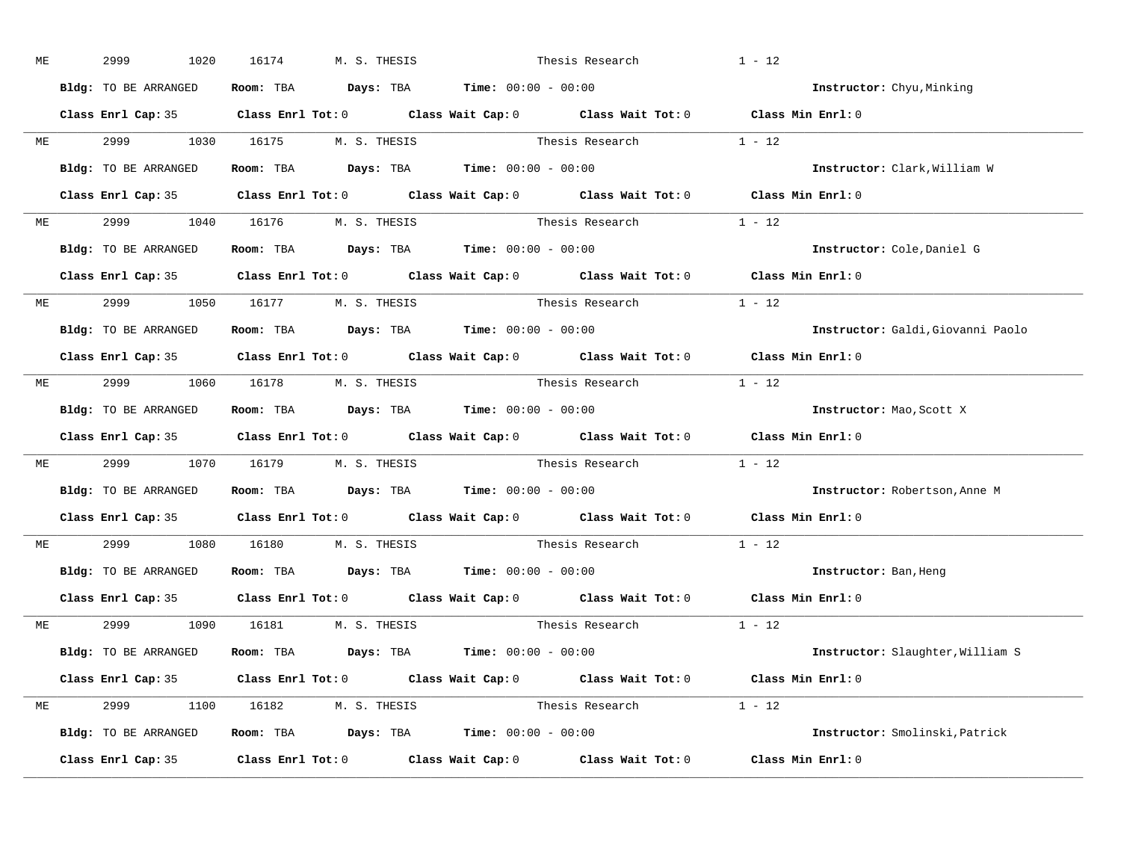| МE |           | 2999<br>1020                   | 16174 | M. S. THESIS                                                   | Thesis Research |                                                                                                     | $1 - 12$                          |
|----|-----------|--------------------------------|-------|----------------------------------------------------------------|-----------------|-----------------------------------------------------------------------------------------------------|-----------------------------------|
|    |           | Bldg: TO BE ARRANGED           |       | Room: TBA $Days:$ TBA $Time: 00:00 - 00:00$                    |                 |                                                                                                     | <b>Instructor:</b> Chyu, Minking  |
|    |           |                                |       |                                                                |                 | Class Enrl Cap: 35 Class Enrl Tot: 0 Class Wait Cap: 0 Class Wait Tot: 0 Class Min Enrl: 0          |                                   |
|    |           | ME 2999 1030 16175 M.S. THESIS |       |                                                                |                 | Thesis Research $1 - 12$                                                                            |                                   |
|    |           | Bldg: TO BE ARRANGED           |       | Room: TBA $Days:$ TBA Time: $00:00 - 00:00$                    |                 |                                                                                                     | Instructor: Clark, William W      |
|    |           |                                |       |                                                                |                 | Class Enrl Cap: 35 Class Enrl Tot: 0 Class Wait Cap: 0 Class Wait Tot: 0 Class Min Enrl: 0          |                                   |
|    |           | ME 2999 1040 16176 M.S. THESIS |       |                                                                |                 | Thesis Research 1 - 12                                                                              |                                   |
|    |           | Bldg: TO BE ARRANGED           |       | Room: TBA $\rule{1em}{0.15mm}$ Days: TBA Time: $00:00 - 00:00$ |                 |                                                                                                     | Instructor: Cole, Daniel G        |
|    |           |                                |       |                                                                |                 | Class Enrl Cap: 35 Class Enrl Tot: 0 Class Wait Cap: 0 Class Wait Tot: 0 Class Min Enrl: 0          |                                   |
|    |           | ME 2999 1050 16177 M.S. THESIS |       |                                                                |                 | Thesis Research 1 - 12                                                                              |                                   |
|    |           | Bldg: TO BE ARRANGED           |       | Room: TBA $Days:$ TBA $Time: 00:00 - 00:00$                    |                 |                                                                                                     | Instructor: Galdi, Giovanni Paolo |
|    |           |                                |       |                                                                |                 | Class Enrl Cap: 35 Class Enrl Tot: 0 Class Wait Cap: 0 Class Wait Tot: 0 Class Min Enrl: 0          |                                   |
|    |           | ME 2999 1060 16178 M.S. THESIS |       |                                                                |                 | Thesis Research $1 - 12$                                                                            |                                   |
|    |           | Bldg: TO BE ARRANGED           |       | Room: TBA $Days:$ TBA $Time: 00:00 - 00:00$                    |                 |                                                                                                     | Instructor: Mao, Scott X          |
|    |           |                                |       |                                                                |                 | Class Enrl Cap: 35 Class Enrl Tot: 0 Class Wait Cap: 0 Class Wait Tot: 0 Class Min Enrl: 0          |                                   |
| ME |           |                                |       |                                                                |                 | 2999 1070 16179 M.S. THESIS Thesis Research 1 - 12                                                  |                                   |
|    |           | Bldg: TO BE ARRANGED           |       | Room: TBA $Days:$ TBA $Time: 00:00 - 00:00$                    |                 |                                                                                                     | Instructor: Robertson, Anne M     |
|    |           |                                |       |                                                                |                 | Class Enrl Cap: 35 $\qquad$ Class Enrl Tot: 0 $\qquad$ Class Wait Cap: 0 $\qquad$ Class Wait Tot: 0 | Class Min Enrl: 0                 |
|    | <b>ME</b> | 2999                           |       | 1080  16180  M. S. THESIS                                      |                 | Thesis Research                                                                                     | $1 - 12$                          |
|    |           |                                |       | Bldg: TO BE ARRANGED Room: TBA Days: TBA Time: 00:00 - 00:00   |                 |                                                                                                     | Instructor: Ban, Heng             |
|    |           |                                |       |                                                                |                 | Class Enrl Cap: 35 Class Enrl Tot: 0 Class Wait Cap: 0 Class Wait Tot: 0 Class Min Enrl: 0          |                                   |
|    |           | ME 2999 1090 16181 M.S. THESIS |       |                                                                |                 | Thesis Research $1 - 12$                                                                            |                                   |
|    |           | Bldg: TO BE ARRANGED           |       | Room: TBA $\rule{1em}{0.15mm}$ Days: TBA Time: $00:00 - 00:00$ |                 |                                                                                                     | Instructor: Slaughter, William S  |
|    |           |                                |       |                                                                |                 | Class Enrl Cap: 35 Class Enrl Tot: 0 Class Wait Cap: 0 Class Wait Tot: 0 Class Min Enrl: 0          |                                   |
|    |           | ME 2999 1100 16182 M.S. THESIS |       |                                                                |                 | Thesis Research 1 - 12                                                                              |                                   |
|    |           |                                |       | Bldg: TO BE ARRANGED Room: TBA Days: TBA Time: 00:00 - 00:00   |                 |                                                                                                     | Instructor: Smolinski, Patrick    |
|    |           |                                |       |                                                                |                 | Class Enrl Cap: 35 Class Enrl Tot: 0 Class Wait Cap: 0 Class Wait Tot: 0 Class Min Enrl: 0          |                                   |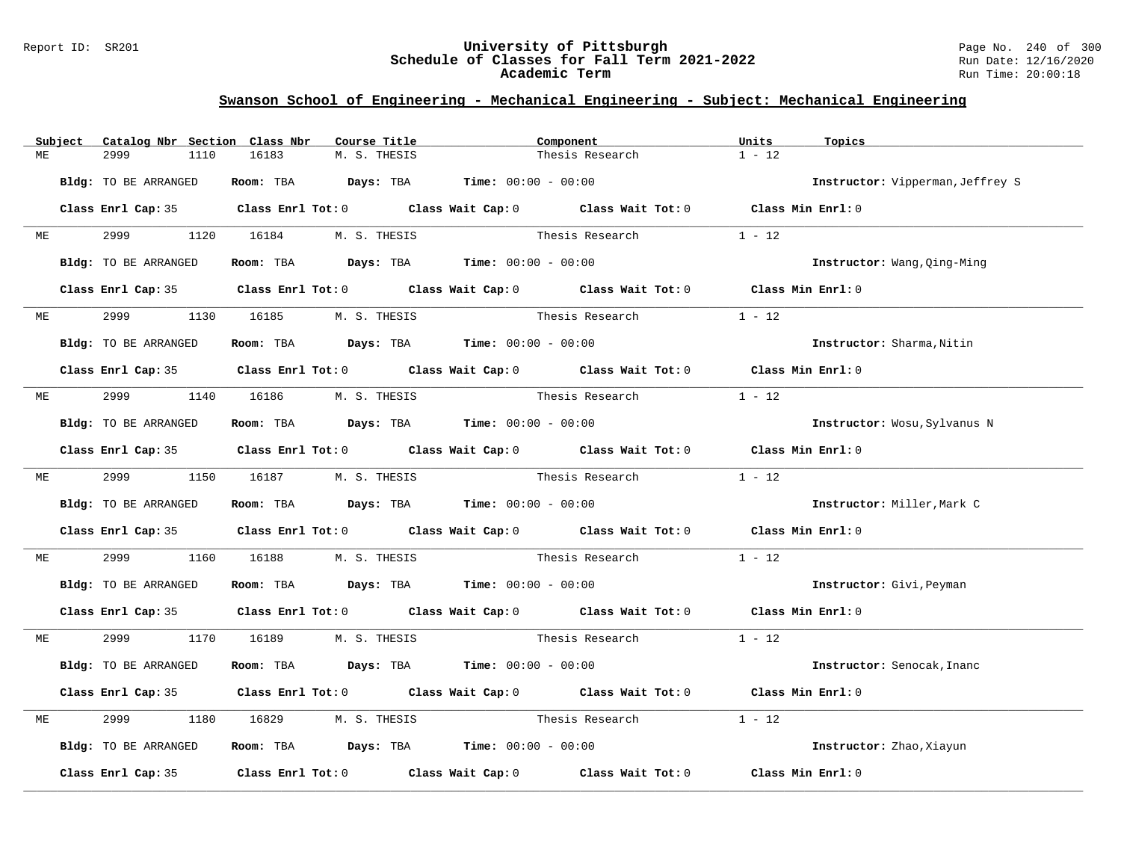### Report ID: SR201 **University of Pittsburgh** Page No. 240 of 300 **Schedule of Classes for Fall Term 2021-2022** Run Date: 12/16/2020 **Academic Term** Run Time: 20:00:18

|    | Subject |                                |      | Catalog Nbr Section Class Nbr | Course Title | Component                                   |                                                                                            | Units    | Topics                           |
|----|---------|--------------------------------|------|-------------------------------|--------------|---------------------------------------------|--------------------------------------------------------------------------------------------|----------|----------------------------------|
| МE |         | 2999                           | 1110 | 16183                         | M. S. THESIS |                                             | Thesis Research                                                                            | $1 - 12$ |                                  |
|    |         |                                |      |                               |              |                                             |                                                                                            |          |                                  |
|    |         | Bldg: TO BE ARRANGED           |      |                               |              | Room: TBA $Days:$ TBA $Time: 00:00 - 00:00$ |                                                                                            |          | Instructor: Vipperman, Jeffrey S |
|    |         |                                |      |                               |              |                                             | Class Enrl Cap: 35 Class Enrl Tot: 0 Class Wait Cap: 0 Class Wait Tot: 0 Class Min Enrl: 0 |          |                                  |
|    |         |                                |      |                               |              |                                             |                                                                                            |          |                                  |
|    | ME      | 2999 1120 16184 M.S. THESIS    |      |                               |              |                                             | Thesis Research                                                                            | $1 - 12$ |                                  |
|    |         | Bldg: TO BE ARRANGED           |      |                               |              | Room: TBA $Days:$ TBA $Time: 00:00 - 00:00$ |                                                                                            |          |                                  |
|    |         |                                |      |                               |              |                                             |                                                                                            |          | Instructor: Wang, Qing-Ming      |
|    |         |                                |      |                               |              |                                             | Class Enrl Cap: 35 Class Enrl Tot: 0 Class Wait Cap: 0 Class Wait Tot: 0 Class Min Enrl: 0 |          |                                  |
|    |         |                                |      |                               |              |                                             |                                                                                            |          |                                  |
|    | ME      | 2999                           |      | 1130 16185                    | M. S. THESIS |                                             | Thesis Research                                                                            | $1 - 12$ |                                  |
|    |         | Bldg: TO BE ARRANGED           |      |                               |              | Room: TBA $Days:$ TBA $Time: 00:00 - 00:00$ |                                                                                            |          | Instructor: Sharma, Nitin        |
|    |         |                                |      |                               |              |                                             |                                                                                            |          |                                  |
|    |         |                                |      |                               |              |                                             | Class Enrl Cap: 35 Class Enrl Tot: 0 Class Wait Cap: 0 Class Wait Tot: 0 Class Min Enrl: 0 |          |                                  |
| ME |         | 2999 120                       |      | 1140  16186  M. S. THESIS     |              |                                             | Thesis Research                                                                            | $1 - 12$ |                                  |
|    |         |                                |      |                               |              |                                             |                                                                                            |          |                                  |
|    |         | Bldg: TO BE ARRANGED           |      |                               |              | Room: TBA $Days:$ TBA $Time: 00:00 - 00:00$ |                                                                                            |          | Instructor: Wosu, Sylvanus N     |
|    |         |                                |      |                               |              |                                             |                                                                                            |          |                                  |
|    |         |                                |      |                               |              |                                             | Class Enrl Cap: 35 Class Enrl Tot: 0 Class Wait Cap: 0 Class Wait Tot: 0 Class Min Enrl: 0 |          |                                  |
|    |         | ME 2999 1150 16187 M.S. THESIS |      |                               |              |                                             | Thesis Research                                                                            | $1 - 12$ |                                  |
|    |         |                                |      |                               |              |                                             |                                                                                            |          |                                  |
|    |         | Bldg: TO BE ARRANGED           |      |                               |              | Room: TBA $Days:$ TBA $Time: 00:00 - 00:00$ |                                                                                            |          | Instructor: Miller, Mark C       |
|    |         |                                |      |                               |              |                                             | Class Enrl Cap: 35 Class Enrl Tot: 0 Class Wait Cap: 0 Class Wait Tot: 0 Class Min Enrl: 0 |          |                                  |
|    |         |                                |      |                               |              |                                             |                                                                                            |          |                                  |
| ME |         | 2999 720                       |      |                               |              |                                             | 1160 16188 M.S. THESIS Thesis Research                                                     | $1 - 12$ |                                  |
|    |         | Bldg: TO BE ARRANGED           |      |                               |              | Room: TBA $Days:$ TBA $Time: 00:00 - 00:00$ |                                                                                            |          | Instructor: Givi, Peyman         |
|    |         |                                |      |                               |              |                                             |                                                                                            |          |                                  |
|    |         |                                |      |                               |              |                                             | Class Enrl Cap: 35 Class Enrl Tot: 0 Class Wait Cap: 0 Class Wait Tot: 0 Class Min Enrl: 0 |          |                                  |
| ME |         | 2999 1170 16189 M.S. THESIS    |      |                               |              |                                             | Thesis Research 1 - 12                                                                     |          |                                  |
|    |         |                                |      |                               |              |                                             |                                                                                            |          |                                  |
|    |         | Bldg: TO BE ARRANGED           |      |                               |              | Room: TBA $Days:$ TBA $Time: 00:00 - 00:00$ |                                                                                            |          | Instructor: Senocak, Inanc       |
|    |         |                                |      |                               |              |                                             |                                                                                            |          |                                  |
|    |         |                                |      |                               |              |                                             | Class Enrl Cap: 35 Class Enrl Tot: 0 Class Wait Cap: 0 Class Wait Tot: 0 Class Min Enrl: 0 |          |                                  |
| ME |         | 2999                           | 1180 |                               |              | 16829 M. S. THESIS Thesis Research          |                                                                                            | $1 - 12$ |                                  |
|    |         |                                |      |                               |              |                                             |                                                                                            |          |                                  |
|    |         | Bldg: TO BE ARRANGED           |      |                               |              | Room: TBA $Days: TBA$ Time: $00:00 - 00:00$ |                                                                                            |          | Instructor: Zhao, Xiayun         |
|    |         |                                |      |                               |              |                                             | Class Enrl Cap: 35 Class Enrl Tot: 0 Class Wait Cap: 0 Class Wait Tot: 0                   |          | Class Min Enrl: 0                |
|    |         |                                |      |                               |              |                                             |                                                                                            |          |                                  |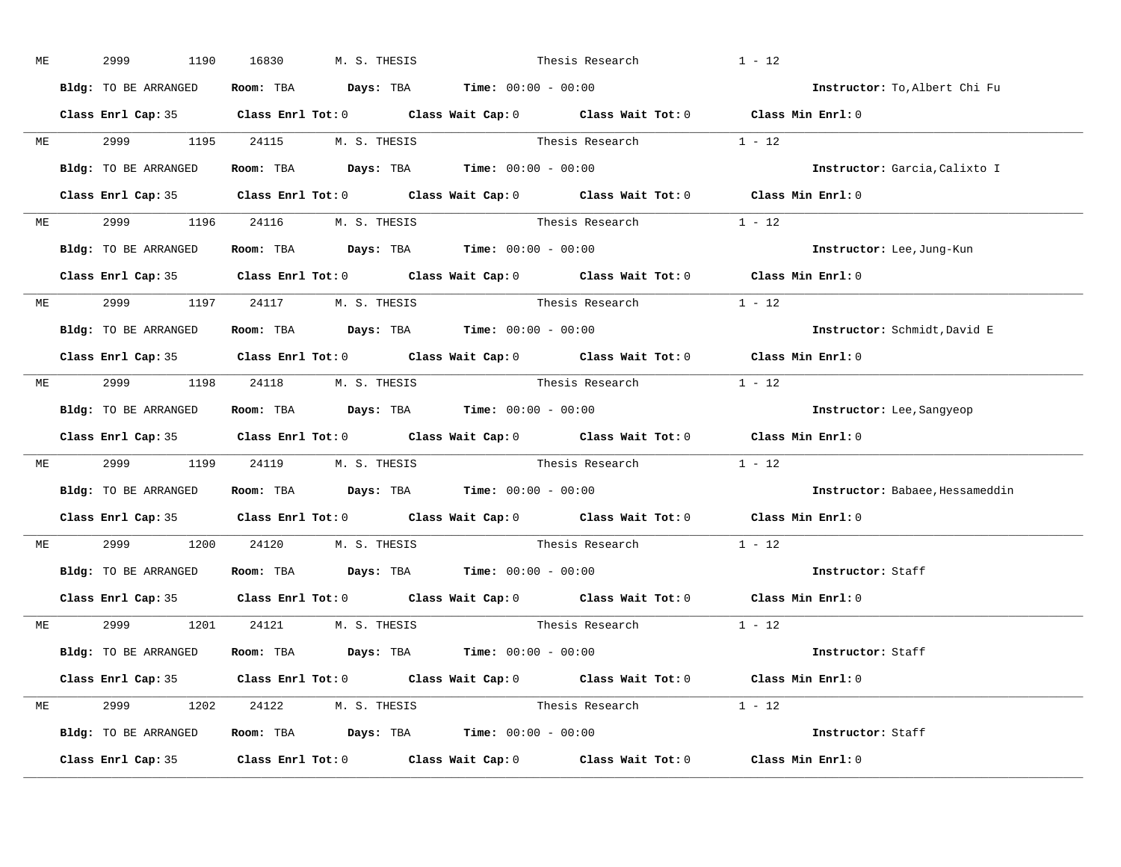| ME | 2999<br>1190                                                                               | 16830 | M. S. THESIS                                                                          | Thesis Research                                                                                    | $1 - 12$                        |
|----|--------------------------------------------------------------------------------------------|-------|---------------------------------------------------------------------------------------|----------------------------------------------------------------------------------------------------|---------------------------------|
|    | Bldg: TO BE ARRANGED                                                                       |       | Room: TBA $\rule{1em}{0.15mm}$ Days: TBA $\rule{1.5mm}{0.15mm}$ Time: $00:00 - 00:00$ |                                                                                                    | Instructor: To, Albert Chi Fu   |
|    |                                                                                            |       |                                                                                       | Class Enrl Cap: 35 Class Enrl Tot: 0 Class Wait Cap: 0 Class Wait Tot: 0 Class Min Enrl: 0         |                                 |
|    |                                                                                            |       |                                                                                       | ME 2999 1195 24115 M.S. THESIS Thesis Research 1 - 12                                              |                                 |
|    | Bldg: TO BE ARRANGED                                                                       |       | Room: TBA $\rule{1em}{0.15mm}$ Days: TBA Time: $00:00 - 00:00$                        |                                                                                                    | Instructor: Garcia, Calixto I   |
|    |                                                                                            |       |                                                                                       | Class Enrl Cap: 35 Class Enrl Tot: 0 Class Wait Cap: 0 Class Wait Tot: 0 Class Min Enrl: 0         |                                 |
|    | ME 2999 1196 24116 M.S. THESIS                                                             |       |                                                                                       | Thesis Research 1 - 12                                                                             |                                 |
|    | Bldg: TO BE ARRANGED Room: TBA Days: TBA Time: 00:00 - 00:00                               |       |                                                                                       |                                                                                                    | Instructor: Lee, Jung-Kun       |
|    |                                                                                            |       |                                                                                       | Class Enrl Cap: 35 Class Enrl Tot: 0 Class Wait Cap: 0 Class Wait Tot: 0 Class Min Enrl: 0         |                                 |
|    | ME 2999 1197 24117 M.S. THESIS                                                             |       |                                                                                       | Thesis Research $1 - 12$                                                                           |                                 |
|    | Bldg: TO BE ARRANGED                                                                       |       | Room: TBA $Days:$ TBA Time: $00:00 - 00:00$                                           |                                                                                                    | Instructor: Schmidt, David E    |
|    |                                                                                            |       |                                                                                       | Class Enrl Cap: 35 Class Enrl Tot: 0 Class Wait Cap: 0 Class Wait Tot: 0 Class Min Enrl: 0         |                                 |
|    | ME 2999 1198 24118 M.S. THESIS                                                             |       |                                                                                       | Thesis Research $1 - 12$                                                                           |                                 |
|    | Bldg: TO BE ARRANGED Room: TBA Days: TBA Time: 00:00 - 00:00                               |       |                                                                                       |                                                                                                    | Instructor: Lee, Sangyeop       |
|    |                                                                                            |       |                                                                                       | Class Enrl Cap: 35 Class Enrl Tot: 0 Class Wait Cap: 0 Class Wait Tot: 0 Class Min Enrl: 0         |                                 |
|    |                                                                                            |       |                                                                                       | ME 2999 1199 24119 M.S. THESIS Thesis Research 1 - 12                                              |                                 |
|    | Bldg: TO BE ARRANGED Room: TBA Days: TBA Time: 00:00 - 00:00                               |       |                                                                                       |                                                                                                    | Instructor: Babaee, Hessameddin |
|    |                                                                                            |       |                                                                                       | Class Enrl Cap: 35 Class Enrl Tot: 0 Class Wait Cap: 0 Class Wait Tot: 0 Class Min Enrl: 0         |                                 |
|    | ME 2999 1200 24120 M.S. THESIS                                                             |       |                                                                                       | Thesis Research                                                                                    | $1 - 12$                        |
|    | Bldg: TO BE ARRANGED Room: TBA Days: TBA Time: 00:00 - 00:00                               |       |                                                                                       |                                                                                                    | Instructor: Staff               |
|    | Class Enrl Cap: 35                                                                         |       |                                                                                       | Class Enrl Tot: 0 $\qquad$ Class Wait Cap: 0 $\qquad$ Class Wait Tot: 0 $\qquad$ Class Min Enrl: 0 |                                 |
|    | ME 2999 1201 24121 M.S. THESIS                                                             |       |                                                                                       | Thesis Research 1 - 12                                                                             |                                 |
|    | Bldg: TO BE ARRANGED Room: TBA Days: TBA Time: 00:00 - 00:00                               |       |                                                                                       |                                                                                                    | Instructor: Staff               |
|    |                                                                                            |       |                                                                                       | Class Enrl Cap: 35 Class Enrl Tot: 0 Class Wait Cap: 0 Class Wait Tot: 0 Class Min Enrl: 0         |                                 |
|    | ME 2999 1202 24122 M.S. THESIS                                                             |       |                                                                                       | Thesis Research $1 - 12$                                                                           |                                 |
|    | <b>Bldg:</b> TO BE ARRANGED <b>ROOM:</b> TBA <b>Days:</b> TBA <b>Time:</b> $00:00 - 00:00$ |       |                                                                                       |                                                                                                    | Instructor: Staff               |
|    |                                                                                            |       |                                                                                       | Class Enrl Cap: 35 Class Enrl Tot: 0 Class Wait Cap: 0 Class Wait Tot: 0 Class Min Enrl: 0         |                                 |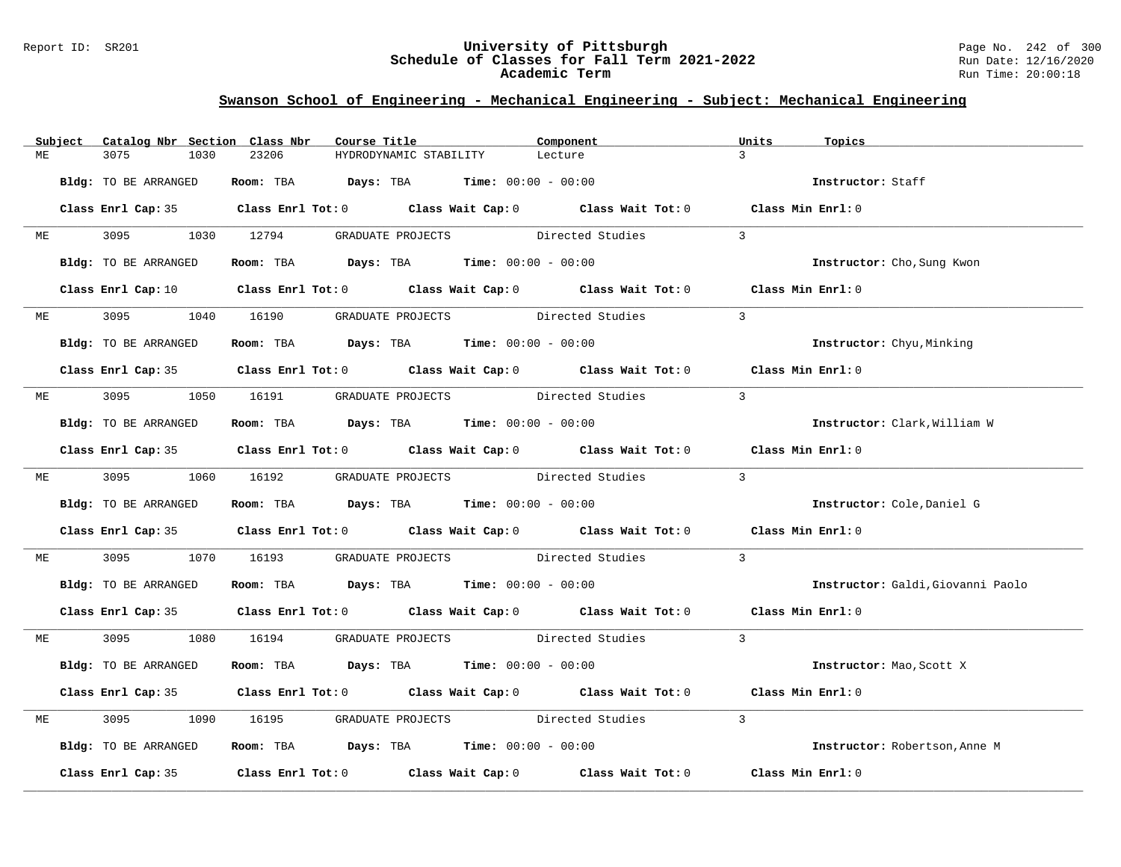### Report ID: SR201 **University of Pittsburgh** Page No. 242 of 300 **Schedule of Classes for Fall Term 2021-2022** Run Date: 12/16/2020 **Academic Term** Run Time: 20:00:18

|    | Subject | Catalog Nbr Section Class Nbr | Course Title |                                                                | Component                                                                                                           | Units<br>Topics                   |
|----|---------|-------------------------------|--------------|----------------------------------------------------------------|---------------------------------------------------------------------------------------------------------------------|-----------------------------------|
| МE |         | 3075<br>1030                  | 23206        | HYDRODYNAMIC STABILITY                                         | Lecture                                                                                                             | $\overline{3}$                    |
|    |         | Bldg: TO BE ARRANGED          |              | Room: TBA $Days:$ TBA $Time: 00:00 - 00:00$                    |                                                                                                                     | Instructor: Staff                 |
|    |         |                               |              |                                                                | Class Enrl Cap: 35 Class Enrl Tot: 0 Class Wait Cap: 0 Class Wait Tot: 0 Class Min Enrl: 0                          |                                   |
|    | ME      |                               |              | 3095 1030 12794 GRADUATE PROJECTS Directed Studies             |                                                                                                                     | $\overline{3}$                    |
|    |         | Bldg: TO BE ARRANGED          |              | Room: TBA $Days:$ TBA $Time: 00:00 - 00:00$                    |                                                                                                                     | Instructor: Cho, Sung Kwon        |
|    |         |                               |              |                                                                | Class Enrl Cap: 10 Class Enrl Tot: 0 Class Wait Cap: 0 Class Wait Tot: 0 Class Min Enrl: 0                          |                                   |
|    |         |                               |              | ME 3095 1040 16190 GRADUATE PROJECTS Directed Studies          |                                                                                                                     | $\overline{3}$                    |
|    |         | Bldg: TO BE ARRANGED          |              | Room: TBA $\rule{1em}{0.15mm}$ Days: TBA Time: $00:00 - 00:00$ |                                                                                                                     | Instructor: Chyu, Minking         |
|    |         |                               |              |                                                                | Class Enrl Cap: 35 Class Enrl Tot: 0 Class Wait Cap: 0 Class Wait Tot: 0 Class Min Enrl: 0                          |                                   |
| ME |         |                               |              | 3095 1050 16191 GRADUATE PROJECTS Directed Studies             |                                                                                                                     | $\overline{3}$                    |
|    |         | Bldg: TO BE ARRANGED          |              | Room: TBA $Days:$ TBA Time: $00:00 - 00:00$                    |                                                                                                                     | Instructor: Clark, William W      |
|    |         |                               |              |                                                                | Class Enrl Cap: 35 Class Enrl Tot: 0 Class Wait Cap: 0 Class Wait Tot: 0 Class Min Enrl: 0                          |                                   |
|    |         |                               |              |                                                                | ME 3095 1060 16192 GRADUATE PROJECTS Directed Studies 3                                                             |                                   |
|    |         | Bldg: TO BE ARRANGED          |              | Room: TBA $\rule{1em}{0.15mm}$ Days: TBA Time: $00:00 - 00:00$ |                                                                                                                     | Instructor: Cole, Daniel G        |
|    |         |                               |              |                                                                | Class Enrl Cap: 35 Class Enrl Tot: 0 Class Wait Cap: 0 Class Wait Tot: 0 Class Min Enrl: 0                          |                                   |
| МE |         | 3095 300                      |              |                                                                | 1070 16193 GRADUATE PROJECTS Directed Studies                                                                       | $\overline{3}$                    |
|    |         | Bldg: TO BE ARRANGED          |              | Room: TBA $\rule{1em}{0.15mm}$ Days: TBA Time: $00:00 - 00:00$ |                                                                                                                     | Instructor: Galdi, Giovanni Paolo |
|    |         |                               |              |                                                                | Class Enrl Cap: 35 Class Enrl Tot: 0 Class Wait Cap: 0 Class Wait Tot: 0 Class Min Enrl: 0                          |                                   |
| ME |         |                               |              |                                                                | 3095 1080 16194 GRADUATE PROJECTS Directed Studies 3                                                                |                                   |
|    |         | Bldg: TO BE ARRANGED          |              | Room: TBA $\rule{1em}{0.15mm}$ Days: TBA Time: $00:00 - 00:00$ |                                                                                                                     | Instructor: Mao, Scott X          |
|    |         |                               |              |                                                                | Class Enrl Cap: 35 Class Enrl Tot: 0 Class Wait Cap: 0 Class Wait Tot: 0 Class Min Enrl: 0                          |                                   |
| ME |         | 3095                          |              |                                                                | 1090 16195 GRADUATE PROJECTS Directed Studies                                                                       | $\overline{3}$                    |
|    |         | Bldg: TO BE ARRANGED          |              | Room: TBA $Days:$ TBA Time: $00:00 - 00:00$                    |                                                                                                                     | Instructor: Robertson, Anne M     |
|    |         |                               |              |                                                                | Class Enrl Cap: 35 $\,$ Class Enrl Tot: 0 $\,$ Class Wait Cap: 0 $\,$ Class Wait Tot: 0 $\,$ Class Wait Tot: 0 $\,$ | Class Min Enrl: 0                 |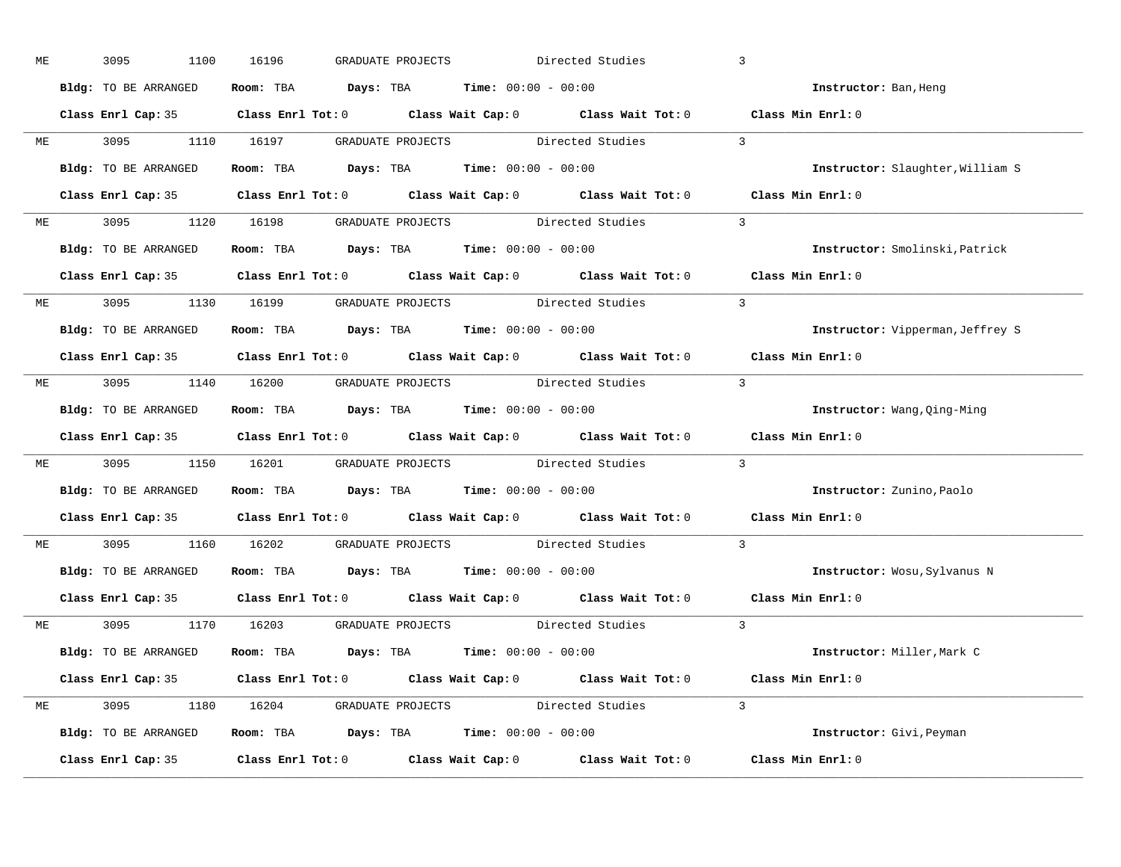| МE | 3095<br>1100         | 16196<br>GRADUATE PROJECTS                                                                 | Directed Studies         | $\overline{3}$                   |
|----|----------------------|--------------------------------------------------------------------------------------------|--------------------------|----------------------------------|
|    | Bldg: TO BE ARRANGED | Room: TBA $Days:$ TBA $Time: 00:00 - 00:00$                                                |                          | Instructor: Ban, Heng            |
|    |                      | Class Enrl Cap: 35 Class Enrl Tot: 0 Class Wait Cap: 0 Class Wait Tot: 0 Class Min Enrl: 0 |                          |                                  |
|    |                      | ME 3095 1110 16197 GRADUATE PROJECTS Directed Studies                                      | $\overline{\phantom{a}}$ |                                  |
|    | Bldg: TO BE ARRANGED | Room: TBA $Days:$ TBA Time: $00:00 - 00:00$                                                |                          | Instructor: Slaughter, William S |
|    |                      | Class Enrl Cap: 35 Class Enrl Tot: 0 Class Wait Cap: 0 Class Wait Tot: 0 Class Min Enrl: 0 |                          |                                  |
|    |                      | ME 3095 1120 16198 GRADUATE PROJECTS Directed Studies 3                                    |                          |                                  |
|    |                      | Bldg: TO BE ARRANGED Room: TBA Days: TBA Time: 00:00 - 00:00                               |                          | Instructor: Smolinski, Patrick   |
|    |                      | Class Enrl Cap: 35 Class Enrl Tot: 0 Class Wait Cap: 0 Class Wait Tot: 0 Class Min Enrl: 0 |                          |                                  |
|    |                      | ME 3095 1130 16199 GRADUATE PROJECTS Directed Studies                                      |                          | $\overline{\phantom{a}}$         |
|    | Bldg: TO BE ARRANGED | Room: TBA $\rule{1em}{0.15mm}$ Days: TBA $\rule{1.15mm}]{0.15mm}$ Time: $0.000 - 0.000$    |                          | Instructor: Vipperman, Jeffrey S |
|    |                      | Class Enrl Cap: 35 Class Enrl Tot: 0 Class Wait Cap: 0 Class Wait Tot: 0 Class Min Enrl: 0 |                          |                                  |
|    |                      | ME 3095 1140 16200 GRADUATE PROJECTS Directed Studies 3                                    |                          |                                  |
|    | Bldg: TO BE ARRANGED | Room: TBA $Days:$ TBA $Time: 00:00 - 00:00$                                                |                          | Instructor: Wang, Qing-Ming      |
|    |                      | Class Enrl Cap: 35 Class Enrl Tot: 0 Class Wait Cap: 0 Class Wait Tot: 0 Class Min Enrl: 0 |                          |                                  |
| ME |                      | 3095 1150 16201 GRADUATE PROJECTS Directed Studies                                         |                          | $\overline{3}$                   |
|    | Bldg: TO BE ARRANGED | Room: TBA $\rule{1em}{0.15mm}$ Days: TBA $\rule{1.5mm}{0.15mm}$ Time: $00:00 - 00:00$      |                          | Instructor: Zunino, Paolo        |
|    |                      | Class Enrl Cap: 35 Class Enrl Tot: 0 Class Wait Cap: 0 Class Wait Tot: 0 Class Min Enrl: 0 |                          |                                  |
|    |                      | ME 3095 1160 16202 GRADUATE PROJECTS Directed Studies                                      |                          | $\overline{3}$                   |
|    |                      | <b>Bldg:</b> TO BE ARRANGED <b>ROOM:</b> TBA <b>Days:</b> TBA <b>Time:</b> $00:00 - 00:00$ |                          | Instructor: Wosu, Sylvanus N     |
|    |                      | Class Enrl Cap: 35 Class Enrl Tot: 0 Class Wait Cap: 0 Class Wait Tot: 0                   |                          | Class Min Enrl: 0                |
|    |                      | ME 3095 1170 16203 GRADUATE PROJECTS Directed Studies 3                                    |                          |                                  |
|    | Bldg: TO BE ARRANGED | Room: TBA $\rule{1em}{0.15mm}$ Days: TBA $\rule{1.5mm}{0.15mm}$ Time: $00:00 - 00:00$      |                          | Instructor: Miller,Mark C        |
|    |                      | Class Enrl Cap: 35 Class Enrl Tot: 0 Class Wait Cap: 0 Class Wait Tot: 0 Class Min Enrl: 0 |                          |                                  |
|    |                      | ME 3095 1180 16204 GRADUATE PROJECTS Directed Studies 3                                    |                          |                                  |
|    | Bldg: TO BE ARRANGED | Room: TBA $Days:$ TBA $Time: 00:00 - 00:00$                                                |                          | Instructor: Givi, Peyman         |
|    |                      | Class Enrl Cap: 35 Class Enrl Tot: 0 Class Wait Cap: 0 Class Wait Tot: 0 Class Min Enrl: 0 |                          |                                  |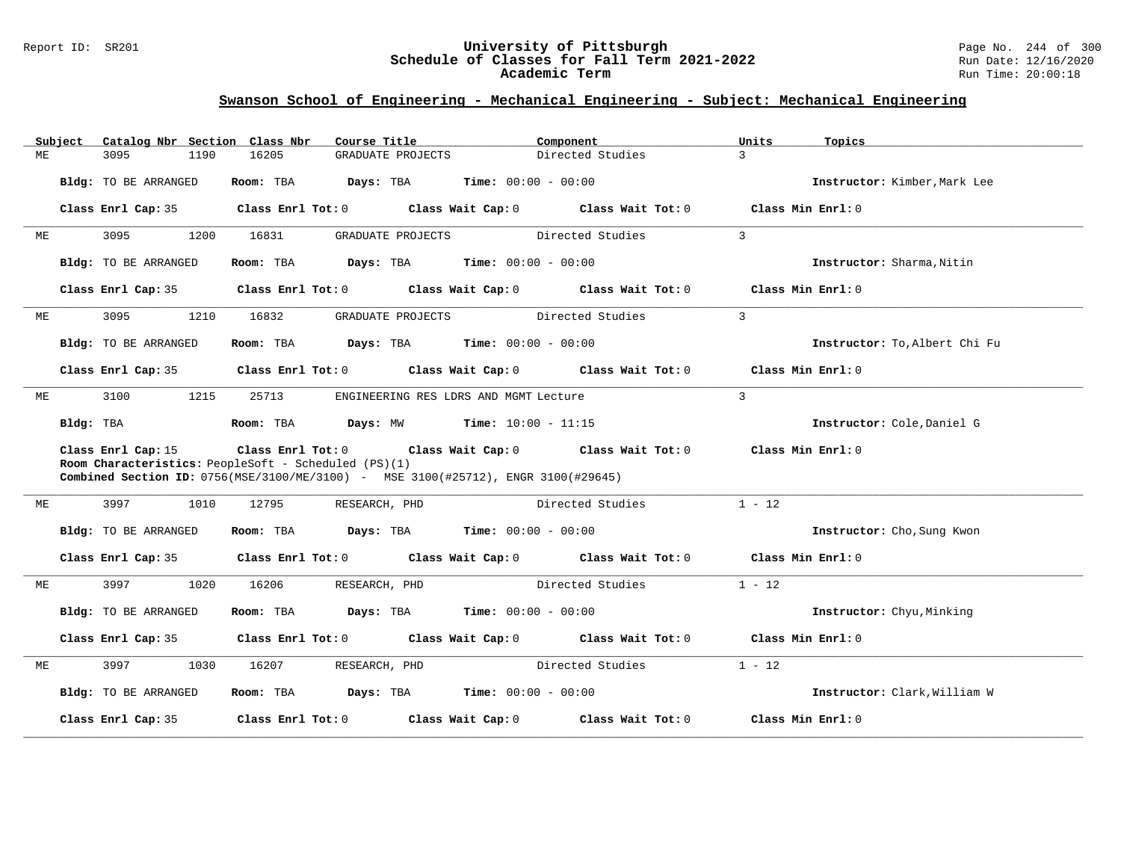### Report ID: SR201 **University of Pittsburgh** Page No. 244 of 300 **Schedule of Classes for Fall Term 2021-2022** Run Date: 12/16/2020 **Academic Term** Run Time: 20:00:18

|    | Subject   | Catalog Nbr Section Class Nbr                                              |                   | Course Title                                                                                       | Component             |                                     | Units             | Topics                        |
|----|-----------|----------------------------------------------------------------------------|-------------------|----------------------------------------------------------------------------------------------------|-----------------------|-------------------------------------|-------------------|-------------------------------|
| MЕ |           | 3095<br>1190                                                               | 16205             | GRADUATE PROJECTS                                                                                  |                       | Directed Studies                    | $\mathbf{R}$      |                               |
|    |           | Bldg: TO BE ARRANGED                                                       | Room: TBA         | Days: TBA                                                                                          | $Time: 00:00 - 00:00$ |                                     |                   | Instructor: Kimber, Mark Lee  |
|    |           | Class Enrl Cap: 35                                                         | Class Enrl Tot: 0 |                                                                                                    |                       | Class Wait Cap: 0 Class Wait Tot: 0 |                   | Class Min Enrl: 0             |
| МE |           | 3095<br>1200                                                               | 16831             | GRADUATE PROJECTS                                                                                  |                       | Directed Studies                    | $\mathbf{3}$      |                               |
|    |           | Bldg: TO BE ARRANGED                                                       | Room: TBA         | Days: TBA                                                                                          | $Time: 00:00 - 00:00$ |                                     |                   | Instructor: Sharma, Nitin     |
|    |           | Class Enrl Cap: 35                                                         |                   | $Class$ $Enr1$ $Tot: 0$                                                                            |                       | Class Wait Cap: 0 Class Wait Tot: 0 |                   | Class Min Enrl: 0             |
| МE |           | 3095<br>1210                                                               | 16832             | GRADUATE PROJECTS                                                                                  |                       | Directed Studies                    | $\mathbf{3}$      |                               |
|    |           | Bldg: TO BE ARRANGED                                                       | Room: TBA         | <b>Days:</b> TBA <b>Time:</b> $00:00 - 00:00$                                                      |                       |                                     |                   | Instructor: To, Albert Chi Fu |
|    |           | Class Enrl Cap: 35                                                         |                   | Class Enrl Tot: 0 Class Wait Cap: 0 Class Wait Tot: 0                                              |                       |                                     | Class Min Enrl: 0 |                               |
| ME |           | 3100<br>1215                                                               | 25713             | ENGINEERING RES LDRS AND MGMT Lecture                                                              |                       |                                     | $\overline{3}$    |                               |
|    | Bldg: TBA |                                                                            | Room: TBA         | <b>Days:</b> $MW$ <b>Time:</b> $10:00 - 11:15$                                                     |                       |                                     |                   | Instructor: Cole, Daniel G    |
|    |           | Class Enrl Cap: 15<br>Room Characteristics: PeopleSoft - Scheduled (PS)(1) | Class Enrl Tot: 0 | Combined Section ID: 0756(MSE/3100/ME/3100) - MSE 3100(#25712), ENGR 3100(#29645)                  |                       | Class Wait Cap: 0 Class Wait Tot: 0 | Class Min Enrl: 0 |                               |
| MЕ |           | 3997<br>1010                                                               | 12795             | RESEARCH, PHD                                                                                      |                       | Directed Studies                    | $1 - 12$          |                               |
|    |           | Bldg: TO BE ARRANGED                                                       | Room: TBA         | $\texttt{Days:}$ TBA $\texttt{Time:}$ 00:00 - 00:00                                                |                       |                                     |                   | Instructor: Cho, Sung Kwon    |
|    |           | Class Enrl Cap: 35                                                         |                   | Class Enrl Tot: 0 $\qquad$ Class Wait Cap: 0 $\qquad$ Class Wait Tot: 0 $\qquad$ Class Min Enrl: 0 |                       |                                     |                   |                               |
| МE |           | 3997<br>1020                                                               | 16206             | RESEARCH, PHD                                                                                      | Directed Studies      |                                     | $1 - 12$          |                               |
|    |           | Bldg: TO BE ARRANGED                                                       | Room: TBA         | <b>Days:</b> TBA <b>Time:</b> $00:00 - 00:00$                                                      |                       |                                     |                   | Instructor: Chyu, Minking     |
|    |           | Class Enrl Cap: 35                                                         | Class Enrl Tot: 0 |                                                                                                    |                       | Class Wait Cap: 0 Class Wait Tot: 0 | Class Min Enrl: 0 |                               |
| МE |           | 3997<br>1030                                                               | 16207             | RESEARCH, PHD                                                                                      |                       | Directed Studies                    | $1 - 12$          |                               |
|    |           | Bldg: TO BE ARRANGED                                                       | Room: TBA         | <b>Days:</b> TBA <b>Time:</b> $00:00 - 00:00$                                                      |                       |                                     |                   | Instructor: Clark, William W  |
|    |           | Class Enrl Cap: 35                                                         | Class Enrl Tot: 0 | Class Wait Cap: 0                                                                                  |                       | Class Wait Tot: 0                   |                   | Class Min Enrl: 0             |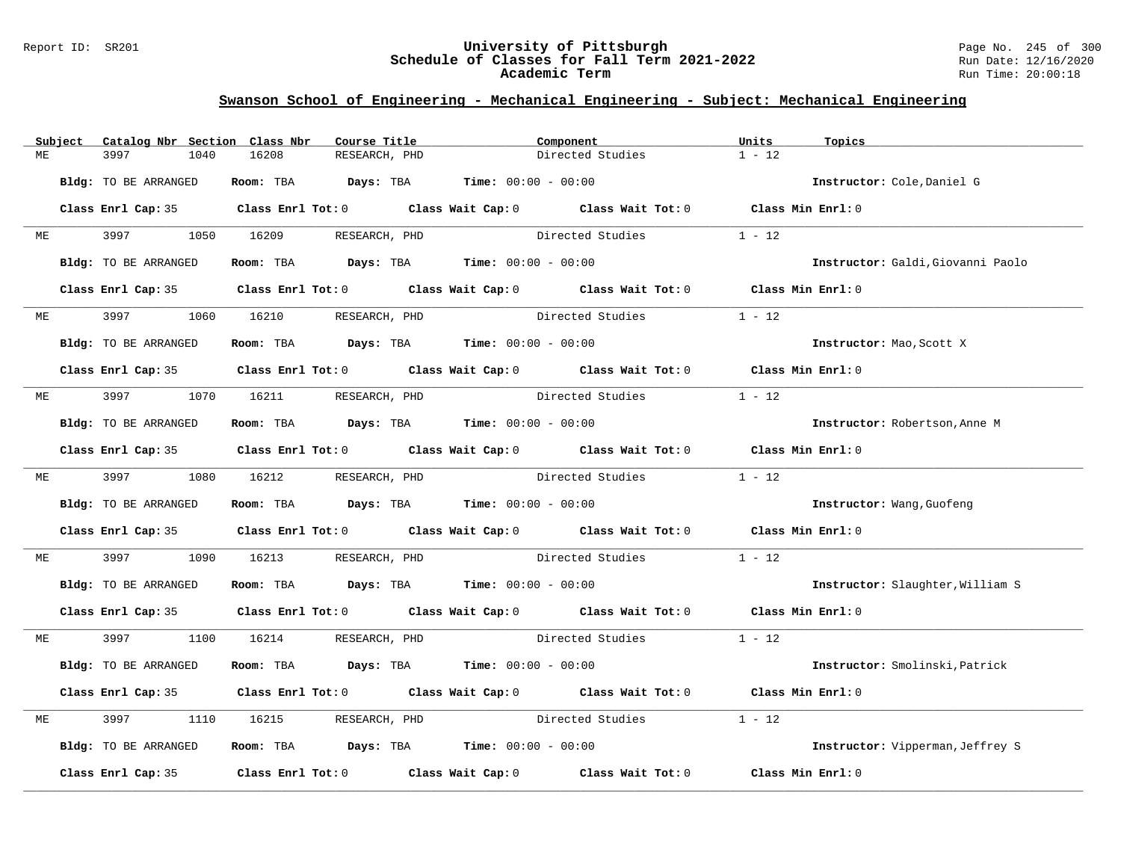### Report ID: SR201 **University of Pittsburgh** Page No. 245 of 300 **Schedule of Classes for Fall Term 2021-2022** Run Date: 12/16/2020 **Academic Term** Run Time: 20:00:18

|    | Subject | Catalog Nbr Section Class Nbr | Course Title                                                                          | Component                                                                                           | Units             | Topics                            |
|----|---------|-------------------------------|---------------------------------------------------------------------------------------|-----------------------------------------------------------------------------------------------------|-------------------|-----------------------------------|
| МE |         | 3997<br>1040                  | 16208<br>RESEARCH, PHD                                                                | Directed Studies                                                                                    | $1 - 12$          |                                   |
|    |         | Bldg: TO BE ARRANGED          | Room: TBA $Days:$ TBA $Time: 00:00 - 00:00$                                           |                                                                                                     |                   | Instructor: Cole, Daniel G        |
|    |         |                               |                                                                                       | Class Enrl Cap: 35 Class Enrl Tot: 0 Class Wait Cap: 0 Class Wait Tot: 0 Class Min Enrl: 0          |                   |                                   |
| ME |         |                               | 1050 16209 RESEARCH, PHD                                                              | Directed Studies                                                                                    | $1 - 12$          |                                   |
|    |         | Bldg: TO BE ARRANGED          | Room: TBA $Days:$ TBA $Time: 00:00 - 00:00$                                           |                                                                                                     |                   | Instructor: Galdi, Giovanni Paolo |
|    |         |                               |                                                                                       | Class Enrl Cap: 35 Class Enrl Tot: 0 Class Wait Cap: 0 Class Wait Tot: 0 Class Min Enrl: 0          |                   |                                   |
| MЕ |         | 3997                          | 1060 16210<br>RESEARCH, PHD                                                           | Directed Studies                                                                                    | $1 - 12$          |                                   |
|    |         | Bldg: TO BE ARRANGED          | Room: TBA $\rule{1em}{0.15mm}$ Days: TBA $\rule{1.5mm}{0.15mm}$ Time: $00:00 - 00:00$ |                                                                                                     |                   | Instructor: Mao, Scott X          |
|    |         |                               |                                                                                       | Class Enrl Cap: 35 Class Enrl Tot: 0 Class Wait Cap: 0 Class Wait Tot: 0 Class Min Enrl: 0          |                   |                                   |
| МE |         | 3997 — 100                    | 1070 16211 RESEARCH, PHD                                                              | Directed Studies                                                                                    | $1 - 12$          |                                   |
|    |         | Bldg: TO BE ARRANGED          | Room: TBA $Days:$ TBA $Time: 00:00 - 00:00$                                           |                                                                                                     |                   | Instructor: Robertson, Anne M     |
|    |         |                               |                                                                                       | Class Enrl Cap: 35 Class Enrl Tot: 0 Class Wait Cap: 0 Class Wait Tot: 0 Class Min Enrl: 0          |                   |                                   |
|    |         | ME 3997                       | 1080 16212<br>RESEARCH, PHD                                                           | Directed Studies                                                                                    | $1 - 12$          |                                   |
|    |         | Bldg: TO BE ARRANGED          | Room: TBA $Days:$ TBA $Time: 00:00 - 00:00$                                           |                                                                                                     |                   | Instructor: Wang, Guofeng         |
|    |         |                               | Class Enrl Cap: 35 Class Enrl Tot: 0 Class Wait Cap: 0 Class Wait Tot: 0              |                                                                                                     | Class Min Enrl: 0 |                                   |
| МE |         | 3997<br>1090                  | 16213                                                                                 | RESEARCH, PHD Directed Studies                                                                      | $1 - 12$          |                                   |
|    |         | Bldg: TO BE ARRANGED          | Room: TBA $Days:$ TBA $Time: 00:00 - 00:00$                                           |                                                                                                     |                   | Instructor: Slaughter, William S  |
|    |         |                               |                                                                                       | Class Enrl Cap: 35 Class Enrl Tot: 0 Class Wait Cap: 0 Class Wait Tot: 0 Class Min Enrl: 0          |                   |                                   |
| МE |         | 3997                          | 1100 16214 RESEARCH, PHD                                                              | Directed Studies                                                                                    | $1 - 12$          |                                   |
|    |         | Bldg: TO BE ARRANGED          | Room: TBA $\rule{1em}{0.15mm}$ Days: TBA $\rule{1.5mm}{0.15mm}$ Time: $00:00 - 00:00$ |                                                                                                     |                   | Instructor: Smolinski, Patrick    |
|    |         |                               | Class Enrl Cap: 35 Class Enrl Tot: 0 Class Wait Cap: 0 Class Wait Tot: 0              |                                                                                                     | Class Min Enrl: 0 |                                   |
| MЕ |         | 3997<br>1110                  | 16215<br>RESEARCH, PHD                                                                | Directed Studies                                                                                    | $1 - 12$          |                                   |
|    |         | Bldg: TO BE ARRANGED          | Room: TBA $Days:$ TBA $Time: 00:00 - 00:00$                                           |                                                                                                     |                   | Instructor: Vipperman, Jeffrey S  |
|    |         |                               |                                                                                       | Class Enrl Cap: 35 $\qquad$ Class Enrl Tot: 0 $\qquad$ Class Wait Cap: 0 $\qquad$ Class Wait Tot: 0 | Class Min Enrl: 0 |                                   |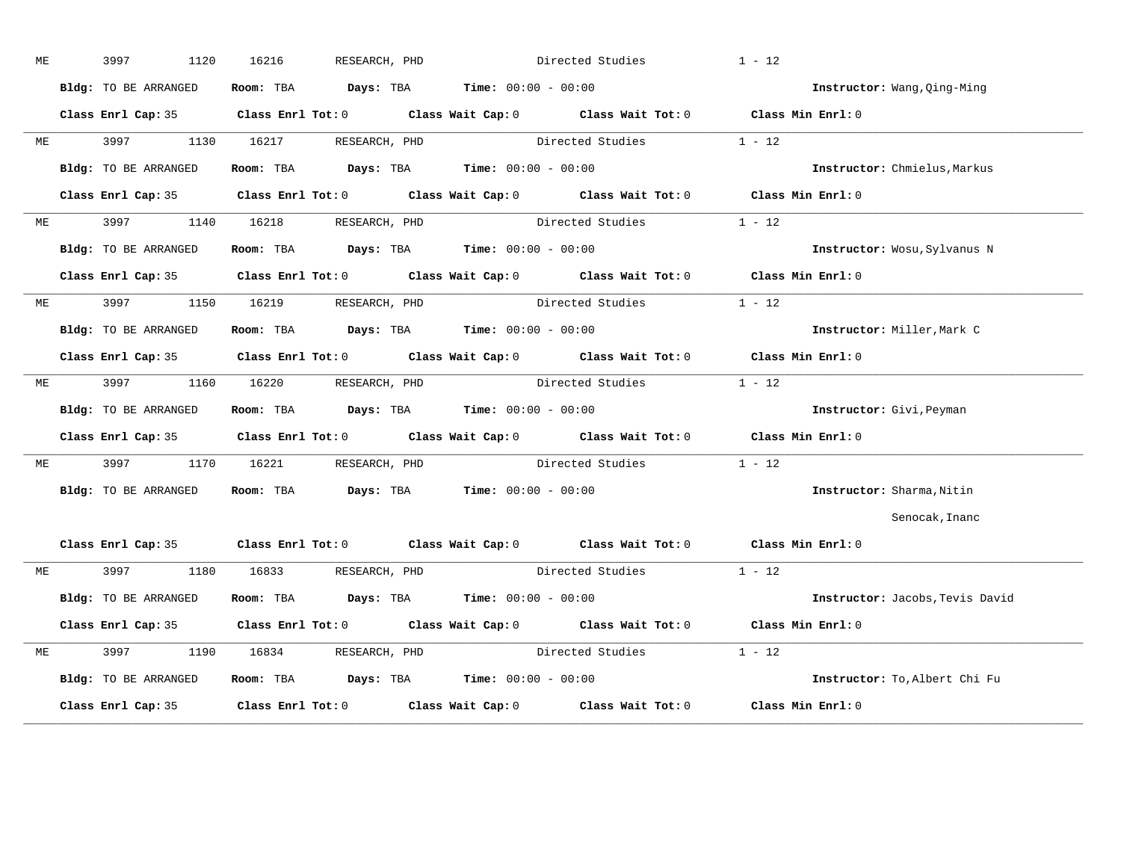| МE |              | 3997                 | 1120 | 16216      | RESEARCH, PHD                 |                                               | Directed Studies                                      | $1 - 12$                                                                                           |                                 |
|----|--------------|----------------------|------|------------|-------------------------------|-----------------------------------------------|-------------------------------------------------------|----------------------------------------------------------------------------------------------------|---------------------------------|
|    |              | Bldg: TO BE ARRANGED |      |            |                               | Room: TBA $Days:$ TBA $Time: 00:00 - 00:00$   |                                                       |                                                                                                    | Instructor: Wang, Qing-Ming     |
|    |              |                      |      |            |                               |                                               |                                                       | Class Enrl Cap: 35 Class Enrl Tot: 0 Class Wait Cap: 0 Class Wait Tot: 0 Class Min Enrl: 0         |                                 |
| ME |              |                      |      |            | 3997 1130 16217 RESEARCH, PHD |                                               | Directed Studies                                      | $1 - 12$                                                                                           |                                 |
|    |              | Bldg: TO BE ARRANGED |      |            |                               | Room: TBA $Days:$ TBA $Time: 00:00 - 00:00$   |                                                       |                                                                                                    | Instructor: Chmielus, Markus    |
|    |              | Class Enrl Cap: 35   |      |            |                               |                                               |                                                       | Class Enrl Tot: 0 $\qquad$ Class Wait Cap: 0 $\qquad$ Class Wait Tot: 0 $\qquad$ Class Min Enrl: 0 |                                 |
|    | ME           | 3997 — 100           |      |            | 1140 16218 RESEARCH, PHD      |                                               | Directed Studies                                      | $1 - 12$                                                                                           |                                 |
|    |              | Bldg: TO BE ARRANGED |      |            |                               | Room: TBA $Days:$ TBA $Time: 00:00 - 00:00$   |                                                       |                                                                                                    | Instructor: Wosu, Sylvanus N    |
|    |              |                      |      |            |                               |                                               |                                                       | Class Enrl Cap: 35 Class Enrl Tot: 0 Class Wait Cap: 0 Class Wait Tot: 0 Class Min Enrl: 0         |                                 |
|    | ME           |                      |      |            | 3997 1150 16219 RESEARCH, PHD |                                               | Directed Studies 1 - 12                               |                                                                                                    |                                 |
|    |              | Bldg: TO BE ARRANGED |      |            |                               | Room: TBA $Days:$ TBA $Time:$ $00:00 - 00:00$ |                                                       |                                                                                                    | Instructor: Miller, Mark C      |
|    |              | Class Enrl Cap: 35   |      |            |                               |                                               |                                                       | Class Enrl Tot: 0 Class Wait Cap: 0 Class Wait Tot: 0 Class Min Enrl: 0                            |                                 |
|    | <b>ME ME</b> |                      |      | 1160 16220 | RESEARCH, PHD                 |                                               | Directed Studies                                      | $1 - 12$                                                                                           |                                 |
|    |              | Bldg: TO BE ARRANGED |      |            |                               | Room: TBA $Days:$ TBA $Time: 00:00 - 00:00$   |                                                       |                                                                                                    | Instructor: Givi, Peyman        |
|    |              |                      |      |            |                               |                                               |                                                       | Class Enrl Cap: 35 Class Enrl Tot: 0 Class Wait Cap: 0 Class Wait Tot: 0 Class Min Enrl: 0         |                                 |
| ME |              |                      |      |            | 3997 1170 16221 RESEARCH, PHD |                                               | Directed Studies 1 - 12                               |                                                                                                    |                                 |
|    |              | Bldg: TO BE ARRANGED |      |            |                               | Room: TBA $Days:$ TBA $Times: 00:00 - 00:00$  |                                                       |                                                                                                    | Instructor: Sharma, Nitin       |
|    |              |                      |      |            |                               |                                               |                                                       |                                                                                                    | Senocak, Inanc                  |
|    |              |                      |      |            |                               |                                               |                                                       | Class Enrl Cap: 35 Class Enrl Tot: 0 Class Wait Cap: 0 Class Wait Tot: 0 Class Min Enrl: 0         |                                 |
|    | <b>ME</b>    |                      |      |            |                               |                                               | 3997 1180 16833 RESEARCH, PHD Directed Studies 1 - 12 |                                                                                                    |                                 |
|    |              | Bldg: TO BE ARRANGED |      |            |                               | Room: TBA $Days:$ TBA $Time: 00:00 - 00:00$   |                                                       |                                                                                                    | Instructor: Jacobs, Tevis David |
|    |              |                      |      |            |                               |                                               |                                                       | Class Enrl Cap: 35 Class Enrl Tot: 0 Class Wait Cap: 0 Class Wait Tot: 0 Class Min Enrl: 0         |                                 |
| ME |              | 3997 399             |      |            |                               |                                               | 1190 16834 RESEARCH, PHD Directed Studies             | $1 - 12$                                                                                           |                                 |
|    |              | Bldg: TO BE ARRANGED |      |            |                               | Room: TBA $Days:$ TBA $Time: 00:00 - 00:00$   |                                                       |                                                                                                    | Instructor: To, Albert Chi Fu   |
|    |              | Class Enrl Cap: 35   |      |            |                               |                                               |                                                       | Class Enrl Tot: $0$ Class Wait Cap: $0$ Class Wait Tot: $0$ Class Min Enrl: $0$                    |                                 |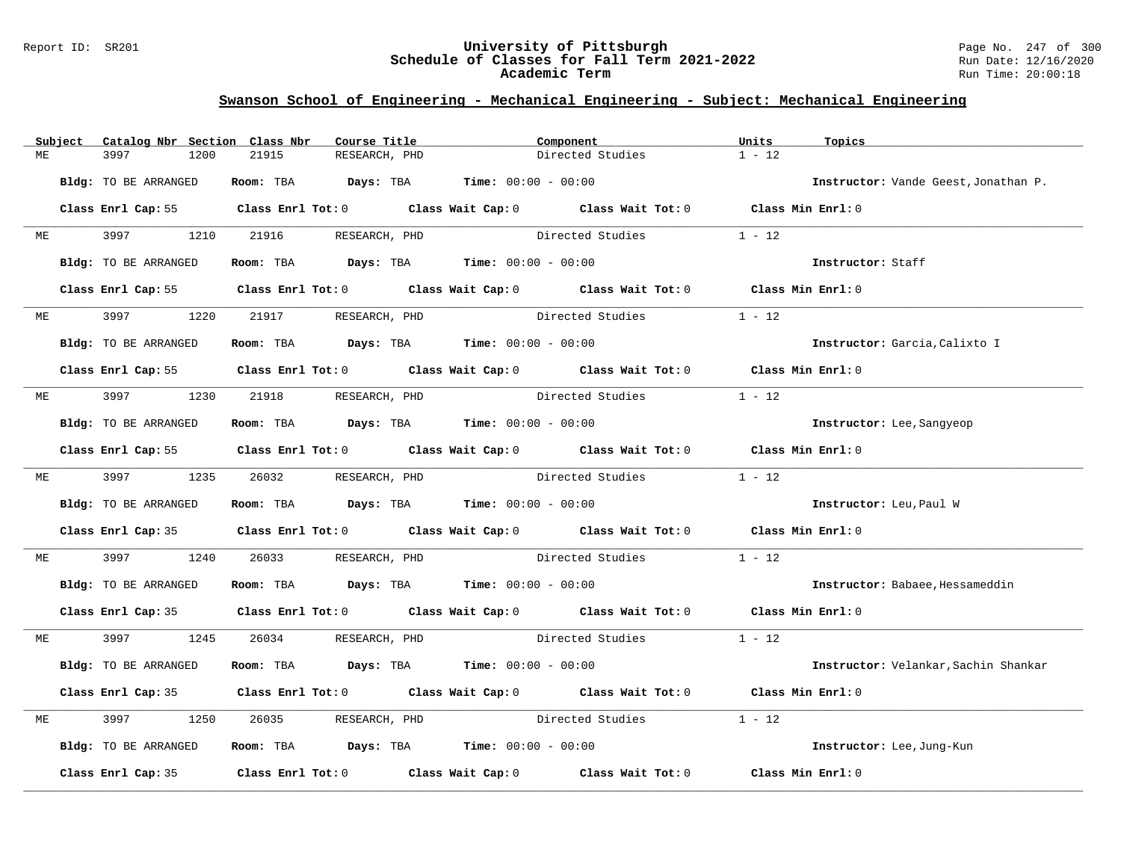### Report ID: SR201 **University of Pittsburgh** Page No. 247 of 300 **Schedule of Classes for Fall Term 2021-2022** Run Date: 12/16/2020 **Academic Term** Run Time: 20:00:18

|    | Subject | Catalog Nbr Section Class Nbr | Course Title                                                                              |               | Component                                                                                                           | Units<br>Topics   |                                      |
|----|---------|-------------------------------|-------------------------------------------------------------------------------------------|---------------|---------------------------------------------------------------------------------------------------------------------|-------------------|--------------------------------------|
| ME |         | 3997<br>1200                  | 21915<br>RESEARCH, PHD                                                                    |               | Directed Studies                                                                                                    | $1 - 12$          |                                      |
|    |         | Bldg: TO BE ARRANGED          | Room: TBA $Days:$ TBA $Time: 00:00 - 00:00$                                               |               |                                                                                                                     |                   | Instructor: Vande Geest, Jonathan P. |
|    |         |                               |                                                                                           |               | Class Enrl Cap: 55 Class Enrl Tot: 0 Class Wait Cap: 0 Class Wait Tot: 0 Class Min Enrl: 0                          |                   |                                      |
|    | ME      | 3997 399<br>1210              | 21916 RESEARCH, PHD                                                                       |               | Directed Studies                                                                                                    | $1 - 12$          |                                      |
|    |         | Bldg: TO BE ARRANGED          | Room: TBA $Days:$ TBA $Time: 00:00 - 00:00$                                               |               |                                                                                                                     | Instructor: Staff |                                      |
|    |         |                               |                                                                                           |               | Class Enrl Cap: 55 Class Enrl Tot: 0 Class Wait Cap: 0 Class Wait Tot: 0 Class Min Enrl: 0                          |                   |                                      |
|    | ME      |                               | 1220 21917 RESEARCH, PHD                                                                  |               | Directed Studies                                                                                                    | $1 - 12$          |                                      |
|    |         | Bldg: TO BE ARRANGED          | Room: TBA $Days:$ TBA $Time: 00:00 - 00:00$                                               |               |                                                                                                                     |                   | Instructor: Garcia, Calixto I        |
|    |         |                               |                                                                                           |               | Class Enrl Cap: 55 Class Enrl Tot: 0 Class Wait Cap: 0 Class Wait Tot: 0 Class Min Enrl: 0                          |                   |                                      |
| ME |         | 3997 — 100                    | 1230 21918 RESEARCH, PHD                                                                  |               | Directed Studies                                                                                                    | $1 - 12$          |                                      |
|    |         | Bldg: TO BE ARRANGED          | Room: TBA Days: TBA Time: $00:00 - 00:00$                                                 |               |                                                                                                                     |                   | Instructor: Lee, Sangyeop            |
|    |         |                               |                                                                                           |               | Class Enrl Cap: 55 Class Enrl Tot: 0 Class Wait Cap: 0 Class Wait Tot: 0 Class Min Enrl: 0                          |                   |                                      |
|    |         |                               | ME 3997 1235 26032 RESEARCH, PHD                                                          |               | Directed Studies                                                                                                    | $1 - 12$          |                                      |
|    |         | Bldg: TO BE ARRANGED          | Room: TBA $Days:$ TBA $Time: 00:00 - 00:00$                                               |               |                                                                                                                     |                   | Instructor: Leu, Paul W              |
|    |         |                               |                                                                                           |               | Class Enrl Cap: 35 Class Enrl Tot: 0 Class Wait Cap: 0 Class Wait Tot: 0 Class Min Enrl: 0                          |                   |                                      |
| МE |         | 3997 399<br>1240              | 26033                                                                                     |               | RESEARCH, PHD Directed Studies                                                                                      | $1 - 12$          |                                      |
|    |         | Bldg: TO BE ARRANGED          | Room: TBA $Days:$ TBA $Time: 00:00 - 00:00$                                               |               |                                                                                                                     |                   | Instructor: Babaee, Hessameddin      |
|    |         |                               |                                                                                           |               | Class Enrl Cap: 35 Class Enrl Tot: 0 Class Wait Cap: 0 Class Wait Tot: 0 Class Min Enrl: 0                          |                   |                                      |
| ME |         | 3997 1245                     | 26034 RESEARCH, PHD                                                                       |               | Directed Studies 1 - 12                                                                                             |                   |                                      |
|    |         | Bldg: TO BE ARRANGED          | Room: TBA $Days: TBA$ Time: $00:00 - 00:00$                                               |               |                                                                                                                     |                   | Instructor: Velankar, Sachin Shankar |
|    |         |                               |                                                                                           |               | Class Enrl Cap: 35 Class Enrl Tot: 0 Class Wait Cap: 0 Class Wait Tot: 0 Class Min Enrl: 0                          |                   |                                      |
| MЕ |         | 3997<br>1250                  | 26035                                                                                     | RESEARCH, PHD | Directed Studies                                                                                                    | $1 - 12$          |                                      |
|    |         | Bldg: TO BE ARRANGED          | Room: TBA $\rule{1em}{0.15mm}$ Days: TBA $\rule{1.15mm}]{0.15mm}$ Time: $0.0100 - 0.0100$ |               |                                                                                                                     |                   | Instructor: Lee, Jung-Kun            |
|    |         |                               |                                                                                           |               | Class Enrl Cap: 35 $\,$ Class Enrl Tot: 0 $\,$ Class Wait Cap: 0 $\,$ Class Wait Tot: 0 $\,$ Class Wait Tot: 0 $\,$ | Class Min Enrl: 0 |                                      |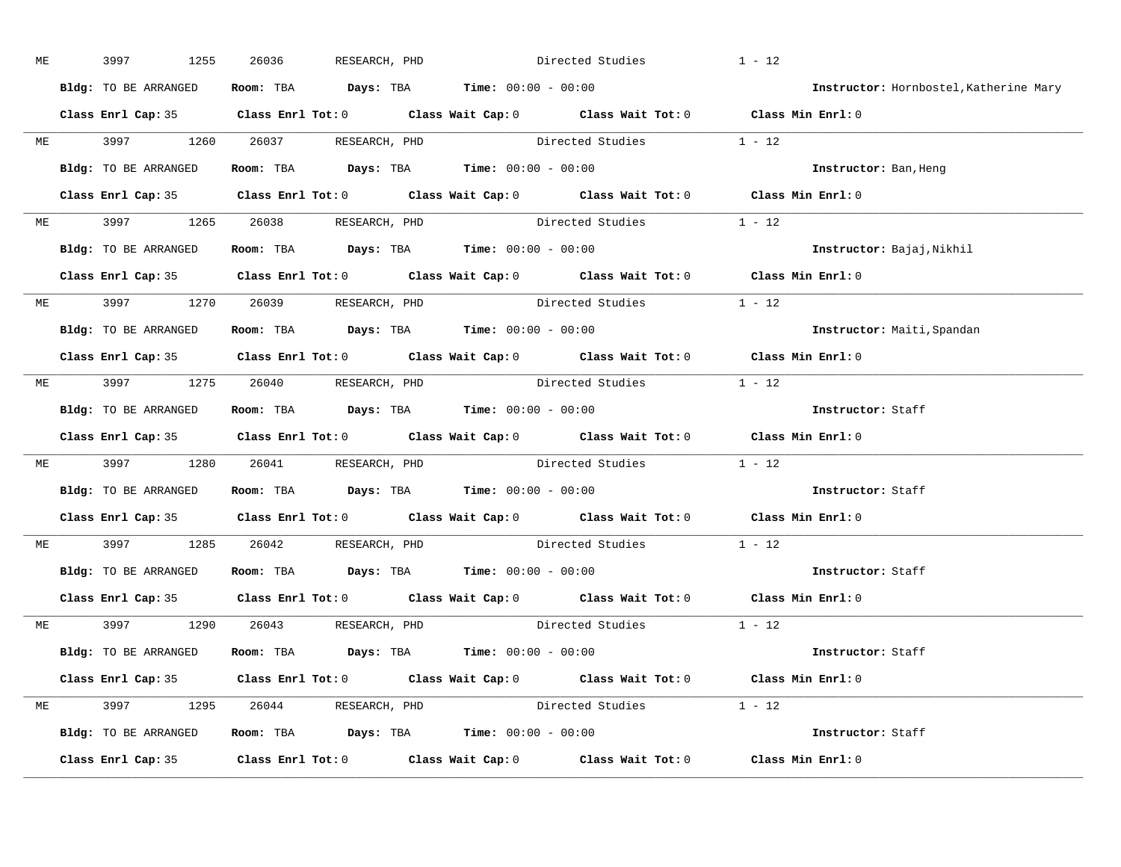| ME | 3997<br>1255         | 26036                                                                                      | RESEARCH, PHD Directed Studies | $1 - 12$                |                                        |
|----|----------------------|--------------------------------------------------------------------------------------------|--------------------------------|-------------------------|----------------------------------------|
|    | Bldg: TO BE ARRANGED | Room: TBA $Days: TBA$ Time: $00:00 - 00:00$                                                |                                |                         | Instructor: Hornbostel, Katherine Mary |
|    |                      | Class Enrl Cap: 35 Class Enrl Tot: 0 Class Wait Cap: 0 Class Wait Tot: 0 Class Min Enrl: 0 |                                |                         |                                        |
|    |                      | ME 3997 1260 26037 RESEARCH, PHD Directed Studies 1 - 12                                   |                                |                         |                                        |
|    | Bldg: TO BE ARRANGED | Room: TBA $Days:$ TBA $Time: 00:00 - 00:00$                                                |                                |                         | Instructor: Ban, Heng                  |
|    |                      | Class Enrl Cap: 35 Class Enrl Tot: 0 Class Wait Cap: 0 Class Wait Tot: 0 Class Min Enrl: 0 |                                |                         |                                        |
|    |                      | ME 3997 1265 26038 RESEARCH, PHD Directed Studies 1 - 12                                   |                                |                         |                                        |
|    |                      | Bldg: TO BE ARRANGED ROOM: TBA Days: TBA Time: 00:00 - 00:00                               |                                |                         | Instructor: Bajaj, Nikhil              |
|    |                      | Class Enrl Cap: 35 Class Enrl Tot: 0 Class Wait Cap: 0 Class Wait Tot: 0 Class Min Enrl: 0 |                                |                         |                                        |
|    |                      | ME 3997 1270 26039 RESEARCH, PHD                                                           |                                | Directed Studies 1 - 12 |                                        |
|    | Bldg: TO BE ARRANGED | Room: TBA $\rule{1em}{0.15mm}$ Days: TBA $\rule{1.15mm}]{0.15mm}$ Time: $0.000 - 0.000$    |                                |                         | Instructor: Maiti, Spandan             |
|    |                      | Class Enrl Cap: 35 Class Enrl Tot: 0 Class Wait Cap: 0 Class Wait Tot: 0 Class Min Enrl: 0 |                                |                         |                                        |
|    |                      | ME 3997 1275 26040 RESEARCH, PHD Directed Studies 1 - 12                                   |                                |                         |                                        |
|    | Bldg: TO BE ARRANGED | Room: TBA $\rule{1em}{0.15mm}$ Days: TBA Time: $00:00 - 00:00$                             |                                |                         | Instructor: Staff                      |
|    |                      | Class Enrl Cap: 35 Class Enrl Tot: 0 Class Wait Cap: 0 Class Wait Tot: 0 Class Min Enrl: 0 |                                |                         |                                        |
|    |                      | ME 3997 1280 26041 RESEARCH, PHD Directed Studies 1 - 12                                   |                                |                         |                                        |
|    |                      | Bldg: TO BE ARRANGED ROOM: TBA Days: TBA Time: 00:00 - 00:00                               |                                |                         | Instructor: Staff                      |
|    |                      | Class Enrl Cap: 35 Class Enrl Tot: 0 Class Wait Cap: 0 Class Wait Tot: 0 Class Min Enrl: 0 |                                |                         |                                        |
|    |                      | ME 3997 1285 26042 RESEARCH, PHD                                                           |                                | Directed Studies 1 - 12 |                                        |
|    |                      | Bldg: TO BE ARRANGED ROOM: TBA Days: TBA Time: 00:00 - 00:00                               |                                |                         | Instructor: Staff                      |
|    |                      | Class Enrl Cap: 35 Class Enrl Tot: 0 Class Wait Cap: 0 Class Wait Tot: 0 Class Min Enrl: 0 |                                |                         |                                        |
|    |                      | ME 3997 1290 26043 RESEARCH, PHD                                                           |                                | Directed Studies 1 - 12 |                                        |
|    |                      | Bldg: TO BE ARRANGED Room: TBA Days: TBA Time: 00:00 - 00:00                               |                                |                         | Instructor: Staff                      |
|    |                      | Class Enrl Cap: 35 Class Enrl Tot: 0 Class Wait Cap: 0 Class Wait Tot: 0 Class Min Enrl: 0 |                                |                         |                                        |
|    |                      | ME 3997 1295 26044 RESEARCH, PHD Directed Studies 1 - 12                                   |                                |                         |                                        |
|    |                      | Bldg: TO BE ARRANGED Room: TBA Days: TBA Time: 00:00 - 00:00                               |                                |                         | Instructor: Staff                      |
|    |                      | Class Enrl Cap: 35 Class Enrl Tot: 0 Class Wait Cap: 0 Class Wait Tot: 0 Class Min Enrl: 0 |                                |                         |                                        |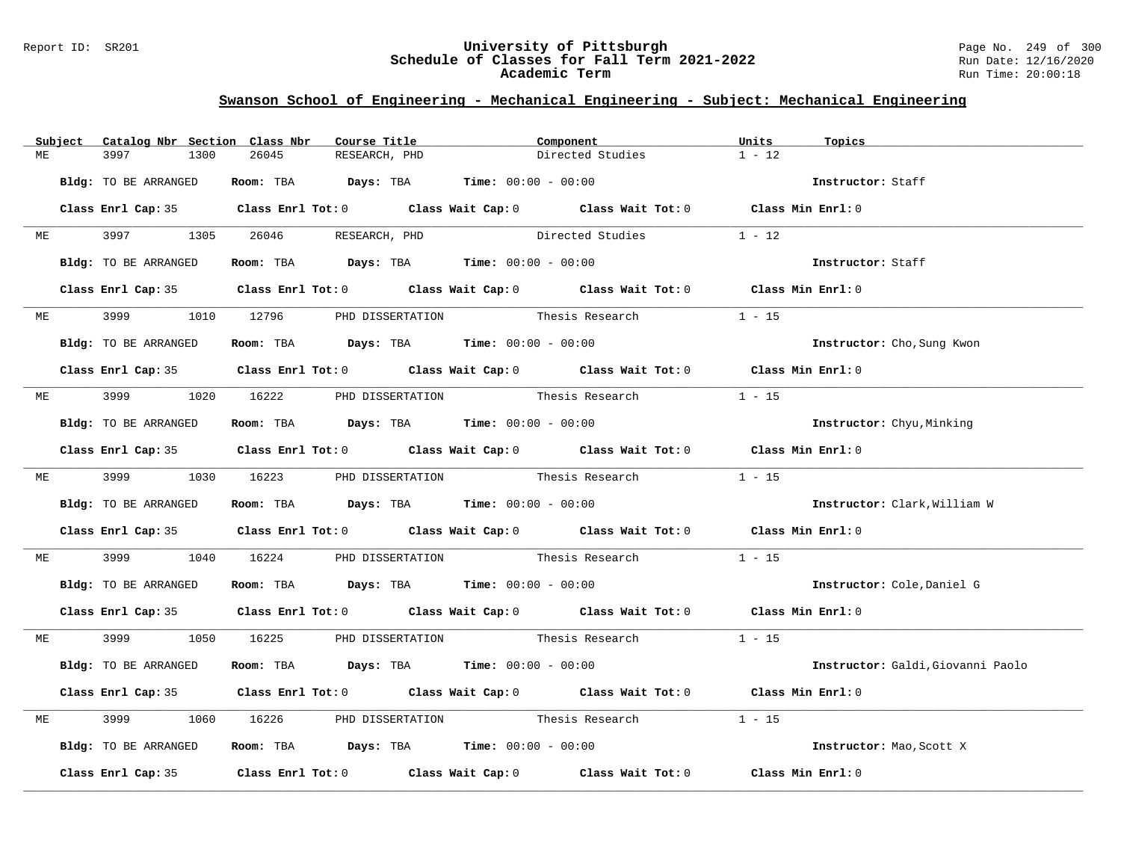### Report ID: SR201 **University of Pittsburgh** Page No. 249 of 300 **Schedule of Classes for Fall Term 2021-2022** Run Date: 12/16/2020 **Academic Term** Run Time: 20:00:18

|    | Subject | Catalog Nbr Section Class Nbr | Course Title                                        | Component                                                                                  | Units<br>Topics   |                                   |
|----|---------|-------------------------------|-----------------------------------------------------|--------------------------------------------------------------------------------------------|-------------------|-----------------------------------|
| МE |         | 3997<br>1300                  | 26045<br>RESEARCH, PHD                              | Directed Studies                                                                           | $1 - 12$          |                                   |
|    |         | Bldg: TO BE ARRANGED          | Room: TBA $Days:$ TBA $Time: 00:00 - 00:00$         |                                                                                            | Instructor: Staff |                                   |
|    |         |                               |                                                     | Class Enrl Cap: 35 Class Enrl Tot: 0 Class Wait Cap: 0 Class Wait Tot: 0 Class Min Enrl: 0 |                   |                                   |
|    | ME      |                               | 3997 1305 26046 RESEARCH, PHD                       | Directed Studies                                                                           | $1 - 12$          |                                   |
|    |         | Bldg: TO BE ARRANGED          | Room: TBA $Days: TBA$ Time: $00:00 - 00:00$         |                                                                                            | Instructor: Staff |                                   |
|    |         |                               |                                                     | Class Enrl Cap: 35 Class Enrl Tot: 0 Class Wait Cap: 0 Class Wait Tot: 0 Class Min Enrl: 0 |                   |                                   |
|    |         |                               | ME 3999 1010 12796 PHD DISSERTATION Thesis Research |                                                                                            | $1 - 15$          |                                   |
|    |         | Bldg: TO BE ARRANGED          | Room: TBA $Days:$ TBA $Time: 00:00 - 00:00$         |                                                                                            |                   | Instructor: Cho, Sung Kwon        |
|    |         |                               |                                                     | Class Enrl Cap: 35 Class Enrl Tot: 0 Class Wait Cap: 0 Class Wait Tot: 0 Class Min Enrl: 0 |                   |                                   |
| ME |         |                               |                                                     | 3999 1020 16222 PHD DISSERTATION Thesis Research                                           | $1 - 15$          |                                   |
|    |         | Bldg: TO BE ARRANGED          | Room: TBA Days: TBA Time: $00:00 - 00:00$           |                                                                                            |                   | Instructor: Chyu, Minking         |
|    |         |                               |                                                     | Class Enrl Cap: 35 Class Enrl Tot: 0 Class Wait Cap: 0 Class Wait Tot: 0 Class Min Enrl: 0 |                   |                                   |
|    |         |                               |                                                     | ME 3999 1030 16223 PHD DISSERTATION Thesis Research 1 - 15                                 |                   |                                   |
|    |         | Bldg: TO BE ARRANGED          | Room: TBA $Days: TBA$ Time: $00:00 - 00:00$         |                                                                                            |                   | Instructor: Clark, William W      |
|    |         |                               |                                                     | Class Enrl Cap: 35 Class Enrl Tot: 0 Class Wait Cap: 0 Class Wait Tot: 0 Class Min Enrl: 0 |                   |                                   |
| МE |         | 3999 700                      |                                                     | 1040 16224 PHD DISSERTATION Thesis Research                                                | $1 - 15$          |                                   |
|    |         | Bldg: TO BE ARRANGED          | Room: TBA $Days:$ TBA $Time: 00:00 - 00:00$         |                                                                                            |                   | Instructor: Cole, Daniel G        |
|    |         |                               |                                                     | Class Enrl Cap: 35 Class Enrl Tot: 0 Class Wait Cap: 0 Class Wait Tot: 0 Class Min Enrl: 0 |                   |                                   |
| ME |         |                               |                                                     | 3999 1050 16225 PHD DISSERTATION Thesis Research 1 - 15                                    |                   |                                   |
|    |         | Bldg: TO BE ARRANGED          | Room: TBA $Days:$ TBA $Time: 00:00 - 00:00$         |                                                                                            |                   | Instructor: Galdi, Giovanni Paolo |
|    |         |                               |                                                     | Class Enrl Cap: 35 Class Enrl Tot: 0 Class Wait Cap: 0 Class Wait Tot: 0 Class Min Enrl: 0 |                   |                                   |
| МE |         | 3999                          |                                                     | 1060 16226 PHD DISSERTATION Thesis Research                                                | $1 - 15$          |                                   |
|    |         | Bldg: TO BE ARRANGED          | Room: TBA $Days:$ TBA Time: $00:00 - 00:00$         |                                                                                            |                   | Instructor: Mao, Scott X          |
|    |         |                               |                                                     | Class Enrl Cap: 35 Class Enrl Tot: 0 Class Wait Cap: 0 Class Wait Tot: 0 Class Min Enrl: 0 |                   |                                   |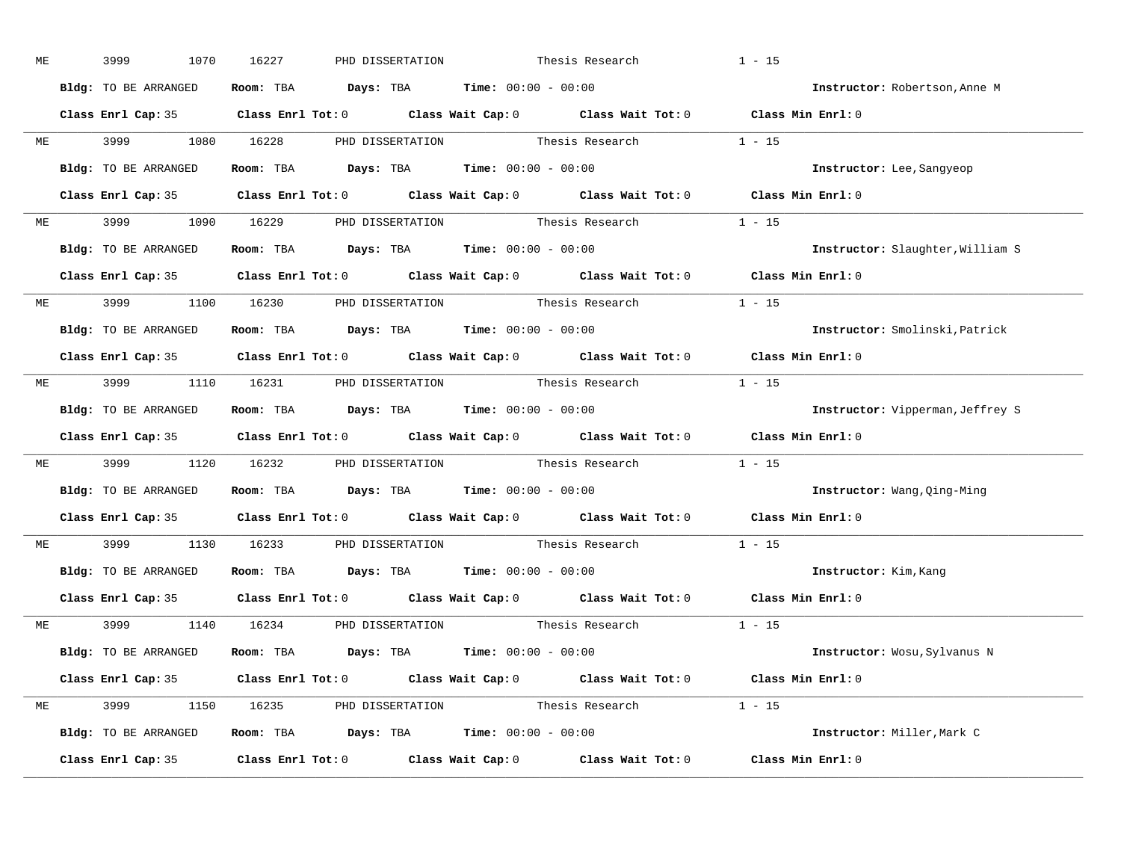| ME | 3999                                | 1070 | 16227 | PHD DISSERTATION |                                                                                       | Thesis Research                                                                                     | $1 - 15$          |                                         |
|----|-------------------------------------|------|-------|------------------|---------------------------------------------------------------------------------------|-----------------------------------------------------------------------------------------------------|-------------------|-----------------------------------------|
|    | Bldg: TO BE ARRANGED                |      |       |                  | Room: TBA $Days:$ TBA $Time: 00:00 - 00:00$                                           |                                                                                                     |                   | Instructor: Robertson, Anne M           |
|    |                                     |      |       |                  |                                                                                       | Class Enrl Cap: 35 Class Enrl Tot: 0 Class Wait Cap: 0 Class Wait Tot: 0 Class Min Enrl: 0          |                   |                                         |
|    |                                     |      |       |                  |                                                                                       | ME 3999 1080 16228 PHD DISSERTATION Thesis Research 1 - 15                                          |                   |                                         |
|    | Bldg: TO BE ARRANGED                |      |       |                  | Room: TBA $Days:$ TBA Time: $00:00 - 00:00$                                           |                                                                                                     |                   | Instructor: Lee, Sangyeop               |
|    |                                     |      |       |                  |                                                                                       | Class Enrl Cap: 35 Class Enrl Tot: 0 Class Wait Cap: 0 Class Wait Tot: 0 Class Min Enrl: 0          |                   |                                         |
|    |                                     |      |       |                  |                                                                                       | ME 3999 1090 16229 PHD DISSERTATION Thesis Research 1 - 15                                          |                   |                                         |
|    | Bldg: TO BE ARRANGED                |      |       |                  | Room: TBA $Days:$ TBA $Time: 00:00 - 00:00$                                           |                                                                                                     |                   | Instructor: Slaughter, William S        |
|    |                                     |      |       |                  |                                                                                       | Class Enrl Cap: 35 Class Enrl Tot: 0 Class Wait Cap: 0 Class Wait Tot: 0 Class Min Enrl: 0          |                   |                                         |
|    |                                     |      |       |                  |                                                                                       | ME 3999 1100 16230 PHD DISSERTATION Thesis Research 1 - 15                                          |                   |                                         |
|    | Bldg: TO BE ARRANGED                |      |       |                  | Room: TBA $Days:$ TBA $Time: 00:00 - 00:00$                                           |                                                                                                     |                   | Instructor: Smolinski, Patrick          |
|    |                                     |      |       |                  |                                                                                       | Class Enrl Cap: 35 Class Enrl Tot: 0 Class Wait Cap: 0 Class Wait Tot: 0 Class Min Enrl: 0          |                   |                                         |
|    |                                     |      |       |                  |                                                                                       | ME 3999 1110 16231 PHD DISSERTATION Thesis Research 1 - 15                                          |                   |                                         |
|    | Bldg: TO BE ARRANGED                |      |       |                  | Room: TBA $Days:$ TBA $Time: 00:00 - 00:00$                                           |                                                                                                     |                   | <b>Instructor:</b> Vipperman, Jeffrey S |
|    |                                     |      |       |                  |                                                                                       | Class Enrl Cap: 35 Class Enrl Tot: 0 Class Wait Cap: 0 Class Wait Tot: 0 Class Min Enrl: 0          |                   |                                         |
| ME |                                     |      |       |                  |                                                                                       | 3999 1120 16232 PHD DISSERTATION Thesis Research 1 - 15                                             |                   |                                         |
|    | Bldg: TO BE ARRANGED                |      |       |                  | Room: TBA $\rule{1em}{0.15mm}$ Days: TBA $\rule{1.5mm}{0.15mm}$ Time: $00:00 - 00:00$ |                                                                                                     |                   | Instructor: Wang, Qing-Ming             |
|    |                                     |      |       |                  |                                                                                       | Class Enrl Cap: 35 $\qquad$ Class Enrl Tot: 0 $\qquad$ Class Wait Cap: 0 $\qquad$ Class Wait Tot: 0 | Class Min Enrl: 0 |                                         |
|    | ME 3999 1130 16233 PHD DISSERTATION |      |       |                  |                                                                                       | Thesis Research                                                                                     | $1 - 15$          |                                         |
|    |                                     |      |       |                  | Bldg: TO BE ARRANGED ROOM: TBA Days: TBA Time: 00:00 - 00:00                          |                                                                                                     |                   | Instructor: Kim, Kang                   |
|    |                                     |      |       |                  |                                                                                       | Class Enrl Cap: 35 Class Enrl Tot: 0 Class Wait Cap: 0 Class Wait Tot: 0 Class Min Enrl: 0          |                   |                                         |
|    |                                     |      |       |                  |                                                                                       | ME 3999 1140 16234 PHD DISSERTATION Thesis Research 1 - 15                                          |                   |                                         |
|    | Bldg: TO BE ARRANGED                |      |       |                  | Room: TBA $Days:$ TBA $Time: 00:00 - 00:00$                                           |                                                                                                     |                   | Instructor: Wosu, Sylvanus N            |
|    |                                     |      |       |                  |                                                                                       | Class Enrl Cap: 35 Class Enrl Tot: 0 Class Wait Cap: 0 Class Wait Tot: 0 Class Min Enrl: 0          |                   |                                         |
|    |                                     |      |       |                  |                                                                                       | ME 3999 1150 16235 PHD DISSERTATION Thesis Research 1 - 15                                          |                   |                                         |
|    |                                     |      |       |                  | Bldg: TO BE ARRANGED Room: TBA Days: TBA Time: 00:00 - 00:00                          |                                                                                                     |                   | Instructor: Miller, Mark C              |
|    |                                     |      |       |                  |                                                                                       | Class Enrl Cap: 35 Class Enrl Tot: 0 Class Wait Cap: 0 Class Wait Tot: 0 Class Min Enrl: 0          |                   |                                         |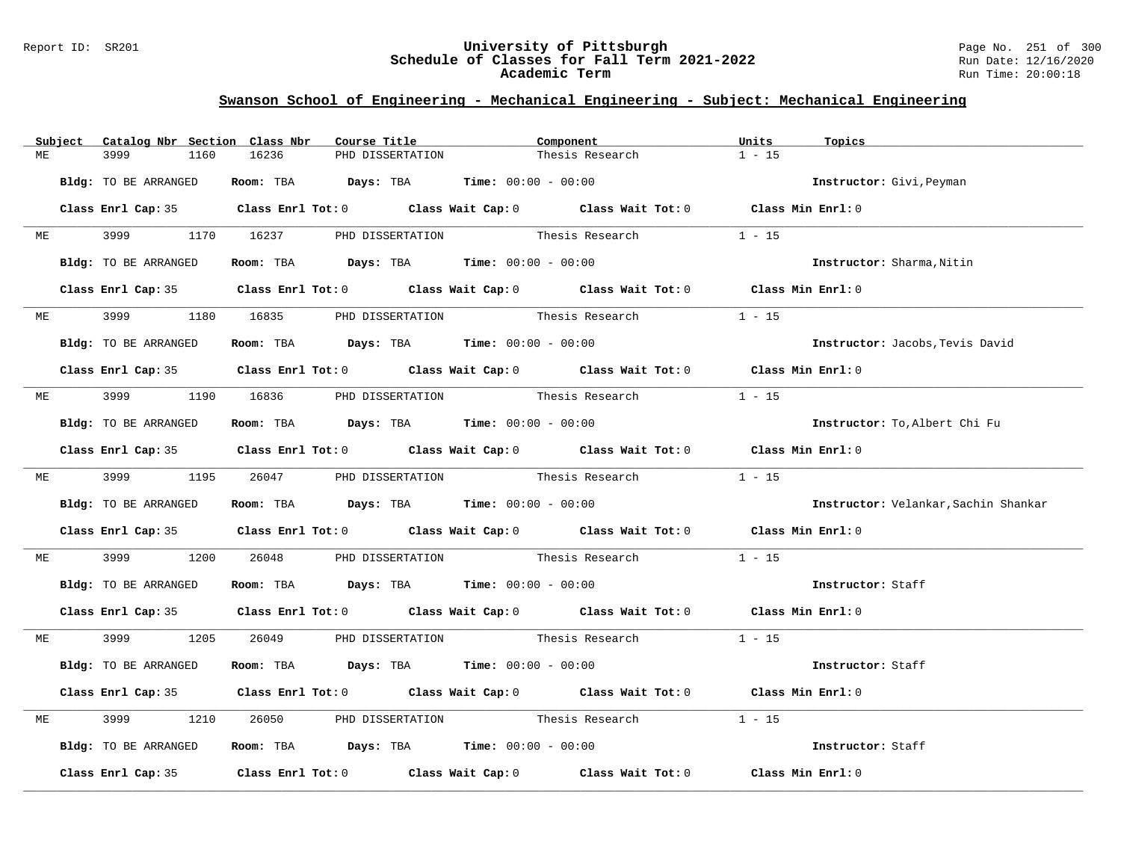### Report ID: SR201 **University of Pittsburgh** Page No. 251 of 300 **Schedule of Classes for Fall Term 2021-2022** Run Date: 12/16/2020 **Academic Term** Run Time: 20:00:18

|    | Subject | Catalog Nbr Section Class Nbr | Course Title                                                                          |                  | Component                                                                                  | Units<br>Topics   |                                      |
|----|---------|-------------------------------|---------------------------------------------------------------------------------------|------------------|--------------------------------------------------------------------------------------------|-------------------|--------------------------------------|
| МE |         | 3999<br>1160                  | 16236                                                                                 | PHD DISSERTATION | Thesis Research                                                                            | $1 - 15$          |                                      |
|    |         | Bldg: TO BE ARRANGED          | Room: TBA $Days:$ TBA $Time: 00:00 - 00:00$                                           |                  |                                                                                            |                   | Instructor: Givi, Peyman             |
|    |         |                               |                                                                                       |                  | Class Enrl Cap: 35 Class Enrl Tot: 0 Class Wait Cap: 0 Class Wait Tot: 0 Class Min Enrl: 0 |                   |                                      |
|    | ME      |                               | 3999 1170 16237 PHD DISSERTATION Thesis Research                                      |                  |                                                                                            | $1 - 15$          |                                      |
|    |         | Bldg: TO BE ARRANGED          | Room: TBA $Days:$ TBA $Time: 00:00 - 00:00$                                           |                  |                                                                                            |                   | Instructor: Sharma, Nitin            |
|    |         |                               |                                                                                       |                  | Class Enrl Cap: 35 Class Enrl Tot: 0 Class Wait Cap: 0 Class Wait Tot: 0 Class Min Enrl: 0 |                   |                                      |
|    | ME      |                               | 1180 16835 PHD DISSERTATION Thesis Research                                           |                  |                                                                                            | $1 - 15$          |                                      |
|    |         | Bldg: TO BE ARRANGED          | Room: TBA $\rule{1em}{0.15mm}$ Days: TBA Time: $00:00 - 00:00$                        |                  |                                                                                            |                   | Instructor: Jacobs, Tevis David      |
|    |         |                               |                                                                                       |                  | Class Enrl Cap: 35 Class Enrl Tot: 0 Class Wait Cap: 0 Class Wait Tot: 0 Class Min Enrl: 0 |                   |                                      |
| МE |         |                               | 3999 1190 16836 PHD DISSERTATION Thesis Research                                      |                  |                                                                                            | $1 - 15$          |                                      |
|    |         | Bldg: TO BE ARRANGED          | Room: TBA $Days:$ TBA $Time: 00:00 - 00:00$                                           |                  |                                                                                            |                   | Instructor: To, Albert Chi Fu        |
|    |         |                               |                                                                                       |                  | Class Enrl Cap: 35 Class Enrl Tot: 0 Class Wait Cap: 0 Class Wait Tot: 0 Class Min Enrl: 0 |                   |                                      |
|    |         |                               |                                                                                       |                  | ME 3999 1195 26047 PHD DISSERTATION Thesis Research 1 - 15                                 |                   |                                      |
|    |         | Bldg: TO BE ARRANGED          | Room: TBA $\rule{1em}{0.15mm}$ Days: TBA $\rule{1.5mm}{0.15mm}$ Time: $00:00 - 00:00$ |                  |                                                                                            |                   | Instructor: Velankar, Sachin Shankar |
|    |         |                               |                                                                                       |                  | Class Enrl Cap: 35 Class Enrl Tot: 0 Class Wait Cap: 0 Class Wait Tot: 0 Class Min Enrl: 0 |                   |                                      |
| ME |         | 1200                          |                                                                                       |                  | 26048 PHD DISSERTATION Thesis Research                                                     | $1 - 15$          |                                      |
|    |         | Bldg: TO BE ARRANGED          | Room: TBA $Days:$ TBA $Time:$ $00:00 - 00:00$                                         |                  |                                                                                            | Instructor: Staff |                                      |
|    |         |                               |                                                                                       |                  | Class Enrl Cap: 35 Class Enrl Tot: 0 Class Wait Cap: 0 Class Wait Tot: 0 Class Min Enrl: 0 |                   |                                      |
| ME |         |                               |                                                                                       |                  | 3999 1205 26049 PHD DISSERTATION Thesis Research 1 - 15                                    |                   |                                      |
|    |         | Bldg: TO BE ARRANGED          | Room: TBA $Days:$ TBA $Time: 00:00 - 00:00$                                           |                  |                                                                                            | Instructor: Staff |                                      |
|    |         |                               |                                                                                       |                  | Class Enrl Cap: 35 Class Enrl Tot: 0 Class Wait Cap: 0 Class Wait Tot: 0 Class Min Enrl: 0 |                   |                                      |
| МE |         | 3999<br>1210                  |                                                                                       |                  | 26050 PHD DISSERTATION Thesis Research                                                     | $1 - 15$          |                                      |
|    |         | Bldg: TO BE ARRANGED          | Room: TBA $Days:$ TBA $Time: 00:00 - 00:00$                                           |                  |                                                                                            | Instructor: Staff |                                      |
|    |         |                               |                                                                                       |                  | Class Enrl Cap: 35 Class Enrl Tot: 0 Class Wait Cap: 0 Class Wait Tot: 0 Class Min Enrl: 0 |                   |                                      |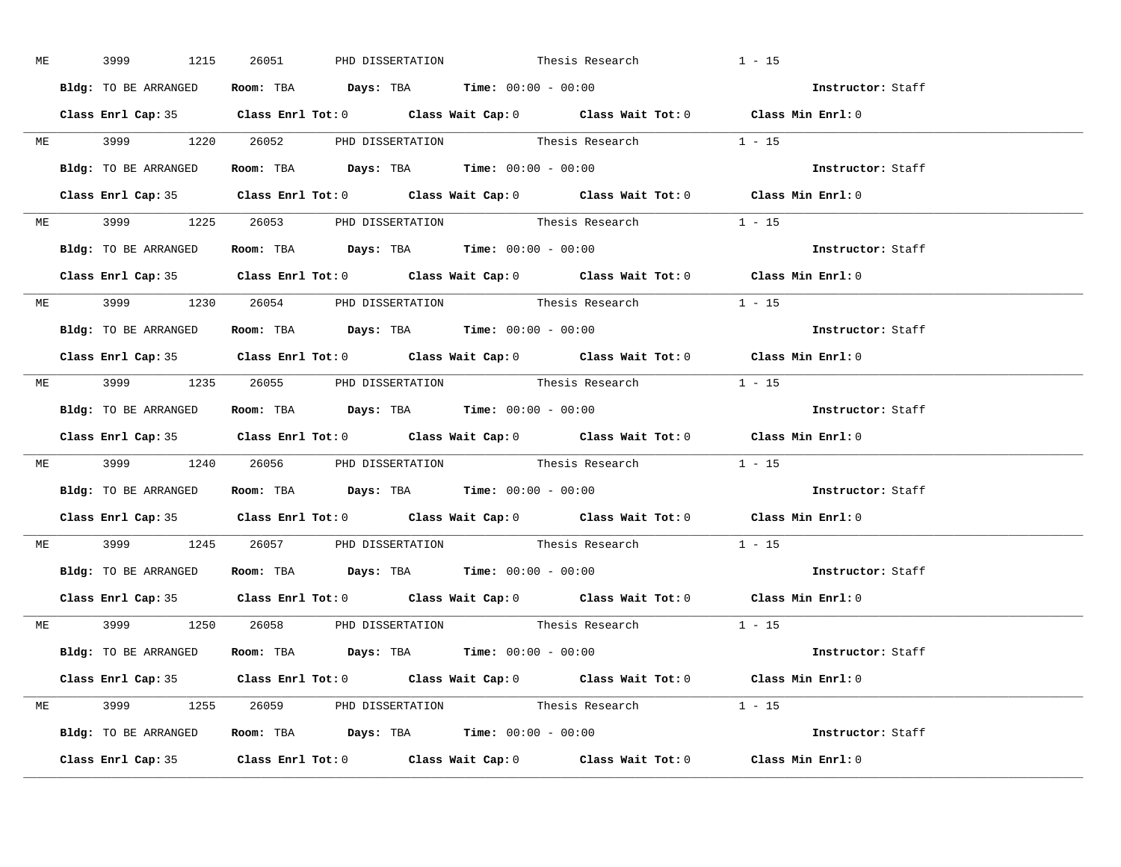|  |                      | ME 3999 1215 26051 PHD DISSERTATION Thesis Research                                        | $1 - 15$                                                                                   |                   |
|--|----------------------|--------------------------------------------------------------------------------------------|--------------------------------------------------------------------------------------------|-------------------|
|  | Bldg: TO BE ARRANGED | Room: TBA $Days:$ TBA Time: $00:00 - 00:00$                                                |                                                                                            | Instructor: Staff |
|  |                      |                                                                                            | Class Enrl Cap: 35 Class Enrl Tot: 0 Class Wait Cap: 0 Class Wait Tot: 0 Class Min Enrl: 0 |                   |
|  |                      |                                                                                            | ME 3999 1220 26052 PHD DISSERTATION Thesis Research 1 - 15                                 |                   |
|  |                      | Bldg: TO BE ARRANGED Room: TBA Days: TBA Time: 00:00 - 00:00                               |                                                                                            | Instructor: Staff |
|  |                      |                                                                                            | Class Enrl Cap: 35 Class Enrl Tot: 0 Class Wait Cap: 0 Class Wait Tot: 0 Class Min Enrl: 0 |                   |
|  |                      |                                                                                            | ME 3999 1225 26053 PHD DISSERTATION Thesis Research 1 - 15                                 |                   |
|  |                      | Bldg: TO BE ARRANGED ROOM: TBA Days: TBA Time: 00:00 - 00:00                               |                                                                                            | Instructor: Staff |
|  |                      |                                                                                            | Class Enrl Cap: 35 Class Enrl Tot: 0 Class Wait Cap: 0 Class Wait Tot: 0 Class Min Enrl: 0 |                   |
|  |                      |                                                                                            | ME 3999 1230 26054 PHD DISSERTATION Thesis Research 1 - 15                                 |                   |
|  | Bldg: TO BE ARRANGED | Room: TBA $Days:$ TBA $Time: 00:00 - 00:00$                                                |                                                                                            | Instructor: Staff |
|  |                      |                                                                                            | Class Enrl Cap: 35 Class Enrl Tot: 0 Class Wait Cap: 0 Class Wait Tot: 0 Class Min Enrl: 0 |                   |
|  |                      |                                                                                            | ME 3999 1235 26055 PHD DISSERTATION Thesis Research 1 - 15                                 |                   |
|  |                      | Bldg: TO BE ARRANGED Room: TBA Days: TBA Time: 00:00 - 00:00                               |                                                                                            | Instructor: Staff |
|  |                      |                                                                                            | Class Enrl Cap: 35 Class Enrl Tot: 0 Class Wait Cap: 0 Class Wait Tot: 0 Class Min Enrl: 0 |                   |
|  |                      |                                                                                            | ME 3999 1240 26056 PHD DISSERTATION Thesis Research 1 - 15                                 |                   |
|  |                      | Bldg: TO BE ARRANGED ROOM: TBA Days: TBA Time: 00:00 - 00:00                               |                                                                                            | Instructor: Staff |
|  |                      |                                                                                            | Class Enrl Cap: 35 Class Enrl Tot: 0 Class Wait Cap: 0 Class Wait Tot: 0 Class Min Enrl: 0 |                   |
|  |                      |                                                                                            | ME 3999 1245 26057 PHD DISSERTATION Thesis Research 1 - 15                                 |                   |
|  |                      | Bldg: TO BE ARRANGED ROOM: TBA Days: TBA Time: 00:00 - 00:00                               |                                                                                            | Instructor: Staff |
|  |                      |                                                                                            | Class Enrl Cap: 35 Class Enrl Tot: 0 Class Wait Cap: 0 Class Wait Tot: 0 Class Min Enrl: 0 |                   |
|  |                      |                                                                                            | ME 3999 1250 26058 PHD DISSERTATION Thesis Research 1 - 15                                 |                   |
|  |                      | <b>Bldg:</b> TO BE ARRANGED <b>Room:</b> TBA <b>Days:</b> TBA <b>Time:</b> $00:00 - 00:00$ |                                                                                            | Instructor: Staff |
|  |                      |                                                                                            | Class Enrl Cap: 35 Class Enrl Tot: 0 Class Wait Cap: 0 Class Wait Tot: 0 Class Min Enrl: 0 |                   |
|  |                      |                                                                                            | ME 3999 1255 26059 PHD DISSERTATION Thesis Research 1 - 15                                 |                   |
|  |                      | Bldg: TO BE ARRANGED ROOM: TBA Days: TBA Time: 00:00 - 00:00                               |                                                                                            | Instructor: Staff |
|  |                      |                                                                                            | Class Enrl Cap: 35 Class Enrl Tot: 0 Class Wait Cap: 0 Class Wait Tot: 0 Class Min Enrl: 0 |                   |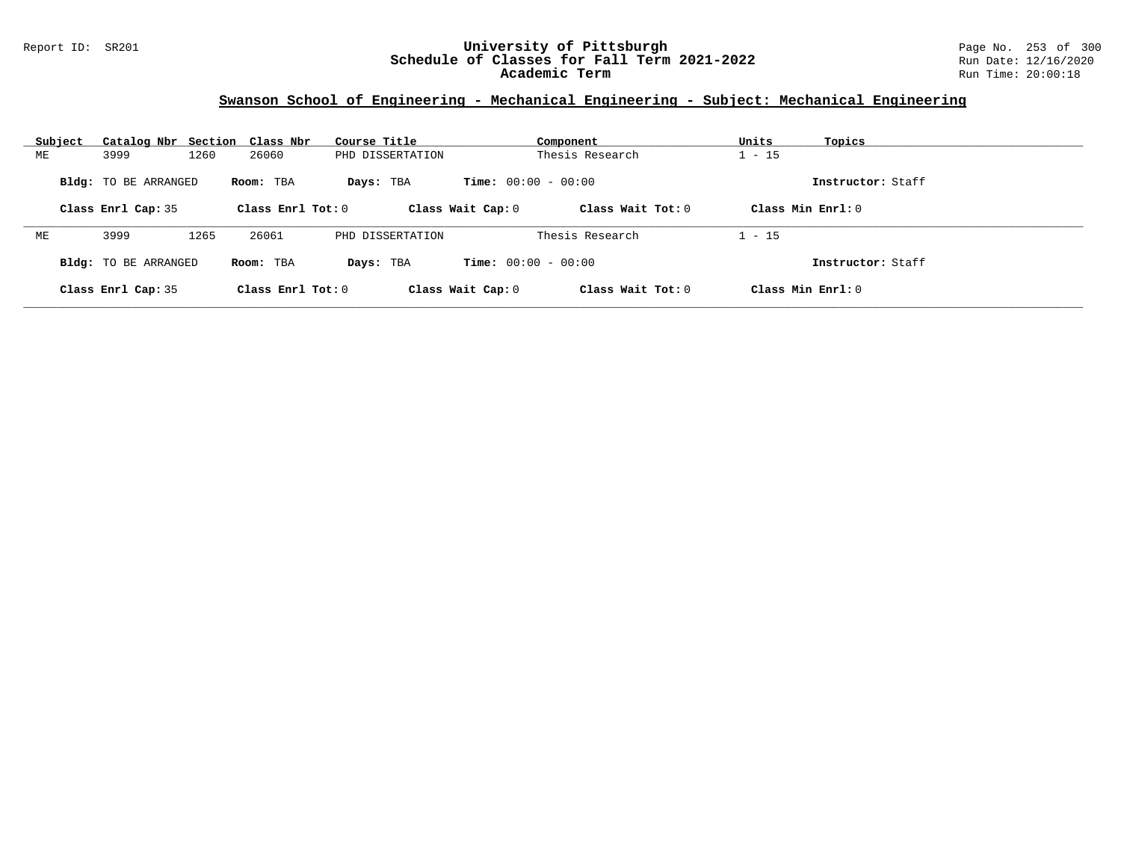#### Report ID: SR201 **University of Pittsburgh** Page No. 253 of 300 **Schedule of Classes for Fall Term 2021-2022** Run Date: 12/16/2020 **Academic Term** Run Time: 20:00:18

## **Swanson School of Engineering - Mechanical Engineering - Subject: Mechanical Engineering**

| Subject | Catalog Nbr Section Class Nbr |      |                     | Course Title     | Component                    |                     | Units    | Topics              |
|---------|-------------------------------|------|---------------------|------------------|------------------------------|---------------------|----------|---------------------|
| МE      | 3999                          | 1260 | 26060               | PHD DISSERTATION | Thesis Research              |                     | $-15$    |                     |
|         | <b>Bldg:</b> TO BE ARRANGED   |      | Room: TBA           | Days: TBA        | <b>Time:</b> $00:00 - 00:00$ |                     |          | Instructor: Staff   |
|         | Class Enrl Cap: 35            |      | Class Enrl Tot: $0$ |                  | Class Wait Cap: 0            | Class Wait $Tot: 0$ |          | Class Min $Enrl: 0$ |
| МE      | 3999                          | 1265 | 26061               | PHD DISSERTATION |                              | Thesis Research     | $1 - 15$ |                     |
|         | <b>Bldg:</b> TO BE ARRANGED   |      | Room: TBA           | Days: TBA        | <b>Time:</b> $00:00 - 00:00$ |                     |          | Instructor: Staff   |
|         | Class Enrl Cap: 35            |      | Class Enrl Tot: $0$ |                  | Class Wait Cap: 0            | Class Wait $Tot: 0$ |          | Class Min $Enrl: 0$ |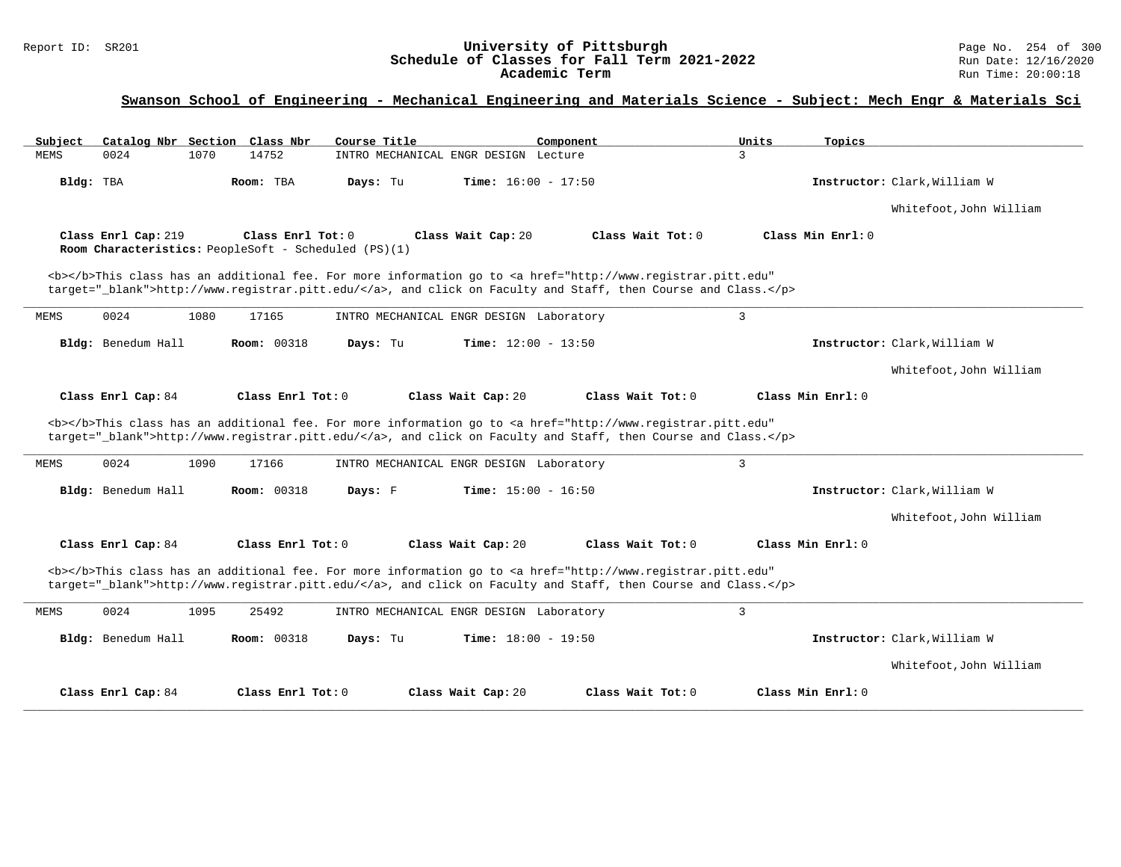# Report ID: SR201 **1988 Chedule of Classes for Fall Term 2021-2022** Page No. 254 of 300 Page No. 254 of 300 Page No<br>**Schedule of Classes for Fall Term 2021-2022** Run Date: 12/16/2020 Schedule of Classes for Fall Term 2021-2022<br>Academic Term

| Subject                                                                     | Catalog Nbr Section Class Nbr | Course Title                             | Component                                                                                                                                                                                                                          | Units<br>Topics   |                              |
|-----------------------------------------------------------------------------|-------------------------------|------------------------------------------|------------------------------------------------------------------------------------------------------------------------------------------------------------------------------------------------------------------------------------|-------------------|------------------------------|
| 0024<br>1070<br>MEMS                                                        | 14752                         | INTRO MECHANICAL ENGR DESIGN Lecture     |                                                                                                                                                                                                                                    | 3                 |                              |
| Bldg: TBA                                                                   | Room: TBA                     | <b>Time:</b> $16:00 - 17:50$<br>Days: Tu |                                                                                                                                                                                                                                    |                   | Instructor: Clark, William W |
|                                                                             |                               |                                          |                                                                                                                                                                                                                                    |                   | Whitefoot, John William      |
| Class Enrl Cap: 219<br>Room Characteristics: PeopleSoft - Scheduled (PS)(1) | Class Enrl Tot: 0             | Class Wait Cap: 20                       | Class Wait Tot: 0                                                                                                                                                                                                                  | Class Min Enrl: 0 |                              |
|                                                                             |                               |                                          | <b></b> This class has an additional fee. For more information go to <a <br="" href="http://www.registrar.pitt.edu">target=" blank"&gt;http://www.registrar.pitt.edu/</a> , and click on Faculty and Staff, then Course and Class. |                   |                              |
| 0024<br>1080<br>MEMS                                                        | 17165                         | INTRO MECHANICAL ENGR DESIGN Laboratory  |                                                                                                                                                                                                                                    | 3                 |                              |
| Bldg: Benedum Hall                                                          | <b>Room: 00318</b>            | Days: Tu<br><b>Time:</b> $12:00 - 13:50$ |                                                                                                                                                                                                                                    |                   | Instructor: Clark, William W |
|                                                                             |                               |                                          |                                                                                                                                                                                                                                    |                   | Whitefoot, John William      |
| Class Enrl Cap: 84                                                          | Class Enrl Tot: 0             | Class Wait Cap: 20                       | Class Wait Tot: 0                                                                                                                                                                                                                  | Class Min Enrl: 0 |                              |
|                                                                             |                               |                                          | <b></b> This class has an additional fee. For more information go to <a <br="" href="http://www.registrar.pitt.edu">target="_blank"&gt;http://www.registrar.pitt.edu/</a> , and click on Faculty and Staff, then Course and Class. |                   |                              |
| 0024<br>1090<br>MEMS                                                        | 17166                         | INTRO MECHANICAL ENGR DESIGN Laboratory  |                                                                                                                                                                                                                                    | $\overline{3}$    |                              |
| Bldg: Benedum Hall                                                          | <b>Room: 00318</b>            | Time: $15:00 - 16:50$<br>Days: F         |                                                                                                                                                                                                                                    |                   |                              |
|                                                                             |                               |                                          |                                                                                                                                                                                                                                    |                   | Instructor: Clark, William W |
|                                                                             |                               |                                          |                                                                                                                                                                                                                                    |                   | Whitefoot, John William      |
| Class Enrl Cap: 84                                                          | Class Enrl Tot: 0             | Class Wait Cap: 20                       | Class Wait Tot: 0                                                                                                                                                                                                                  | Class Min Enrl: 0 |                              |
|                                                                             |                               |                                          | <b></b> This class has an additional fee. For more information go to <a <br="" href="http://www.registrar.pitt.edu">target="_blank"&gt;http://www.registrar.pitt.edu/</a> , and click on Faculty and Staff, then Course and Class. |                   |                              |
| 0024<br>MEMS<br>1095                                                        | 25492                         | INTRO MECHANICAL ENGR DESIGN Laboratory  |                                                                                                                                                                                                                                    | $\overline{3}$    |                              |
| Bldg: Benedum Hall                                                          | <b>Room: 00318</b>            | <b>Time:</b> $18:00 - 19:50$<br>Days: Tu |                                                                                                                                                                                                                                    |                   | Instructor: Clark, William W |
|                                                                             |                               |                                          |                                                                                                                                                                                                                                    |                   | Whitefoot, John William      |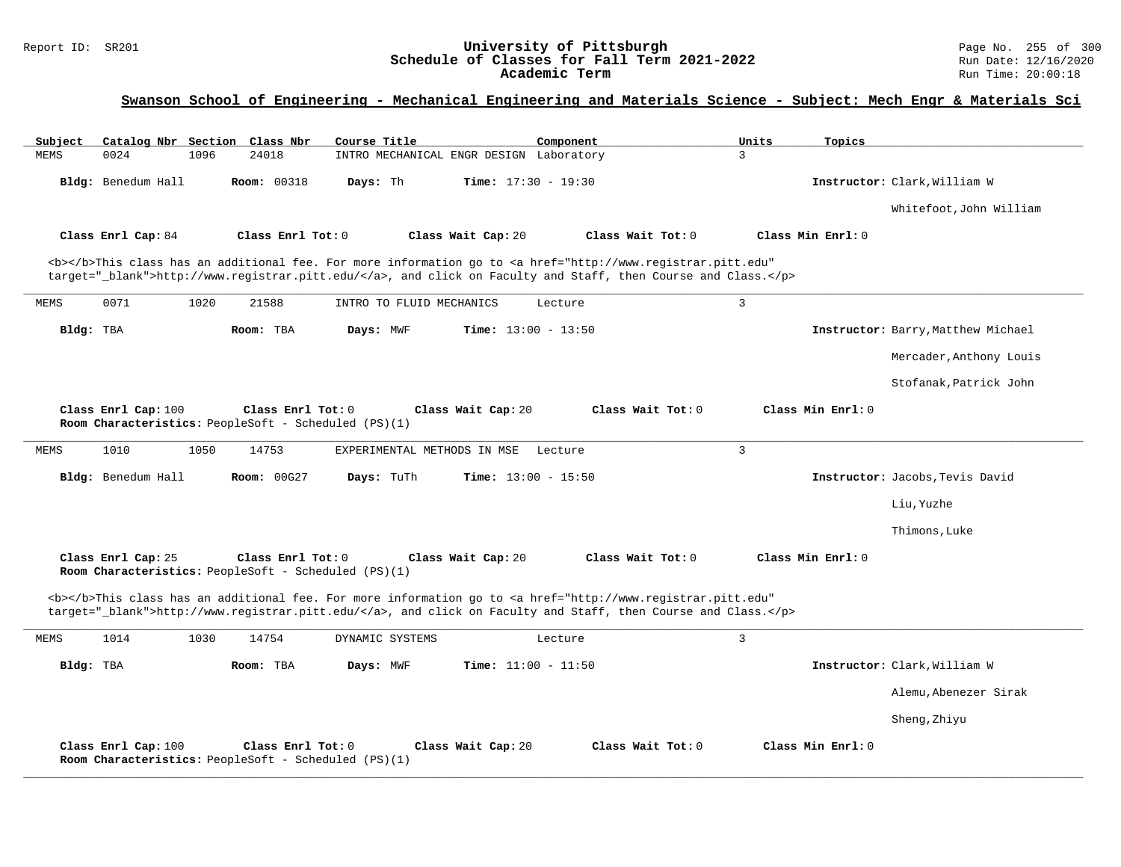# Report ID: SR201 **1988 Chedule of Classes for Fall Term 2021-2022** Page No. 255 of 300 Page No. 255 of 300 Page No<br>**Schedule of Classes for Fall Term 2021-2022** Run Date: 12/16/2020 Schedule of Classes for Fall Term 2021-2022<br>Academic Term

| Subject<br>Catalog Nbr Section Class Nbr | Course Title                                                              | Component                                                                                                                                                                                                                          | Topics<br>Units   |                                    |
|------------------------------------------|---------------------------------------------------------------------------|------------------------------------------------------------------------------------------------------------------------------------------------------------------------------------------------------------------------------------|-------------------|------------------------------------|
| 0024<br><b>MEMS</b><br>1096              | 24018                                                                     | INTRO MECHANICAL ENGR DESIGN Laboratory                                                                                                                                                                                            | 3                 |                                    |
| Bldg: Benedum Hall                       | <b>Room: 00318</b><br>Days: Th                                            | <b>Time:</b> $17:30 - 19:30$                                                                                                                                                                                                       |                   | Instructor: Clark, William W       |
|                                          |                                                                           |                                                                                                                                                                                                                                    |                   | Whitefoot, John William            |
| Class Enrl Cap: 84                       | Class Enrl Tot: $0$                                                       | Class Wait Cap: 20<br>Class Wait Tot: 0                                                                                                                                                                                            | Class Min Enrl: 0 |                                    |
|                                          |                                                                           | <b></b> This class has an additional fee. For more information go to <a <br="" href="http://www.registrar.pitt.edu">target="_blank"&gt;http://www.registrar.pitt.edu/</a> , and click on Faculty and Staff, then Course and Class. |                   |                                    |
| 0071<br>1020<br>MEMS                     | 21588<br>INTRO TO FLUID MECHANICS                                         | Lecture                                                                                                                                                                                                                            | 3                 |                                    |
| Bldg: TBA                                | Room: TBA<br>Days: MWF                                                    | <b>Time:</b> $13:00 - 13:50$                                                                                                                                                                                                       |                   | Instructor: Barry, Matthew Michael |
|                                          |                                                                           |                                                                                                                                                                                                                                    |                   | Mercader, Anthony Louis            |
|                                          |                                                                           |                                                                                                                                                                                                                                    |                   | Stofanak, Patrick John             |
| Class Enrl Cap: 100                      | Class Enrl Tot: 0<br>Room Characteristics: PeopleSoft - Scheduled (PS)(1) | Class Wait Cap: 20<br>Class Wait Tot: 0                                                                                                                                                                                            | Class Min Enrl: 0 |                                    |
| 1010<br><b>MEMS</b><br>1050              | 14753<br>EXPERIMENTAL METHODS IN MSE                                      | Lecture                                                                                                                                                                                                                            | 3                 |                                    |
| Bldg: Benedum Hall                       | Room: 00G27<br>Days: TuTh                                                 | <b>Time:</b> $13:00 - 15:50$                                                                                                                                                                                                       |                   | Instructor: Jacobs, Tevis David    |
|                                          |                                                                           |                                                                                                                                                                                                                                    |                   | Liu, Yuzhe                         |
|                                          |                                                                           |                                                                                                                                                                                                                                    |                   | Thimons, Luke                      |
| Class Enrl Cap: 25                       | Class Enrl Tot: 0<br>Room Characteristics: PeopleSoft - Scheduled (PS)(1) | Class Wait Tot: 0<br>Class Wait Cap: 20                                                                                                                                                                                            | Class Min Enrl: 0 |                                    |
|                                          |                                                                           | <b></b> This class has an additional fee. For more information go to <a <br="" href="http://www.registrar.pitt.edu">target="_blank"&gt;http://www.registrar.pitt.edu/</a> , and click on Faculty and Staff, then Course and Class. |                   |                                    |
| 1014<br>1030<br>MEMS                     | 14754<br>DYNAMIC SYSTEMS                                                  | Lecture                                                                                                                                                                                                                            | $\overline{3}$    |                                    |
| Bldg: TBA                                | Room: TBA<br>Days: MWF                                                    | Time: $11:00 - 11:50$                                                                                                                                                                                                              |                   | Instructor: Clark, William W       |
|                                          |                                                                           |                                                                                                                                                                                                                                    |                   | Alemu, Abenezer Sirak              |
|                                          |                                                                           |                                                                                                                                                                                                                                    |                   | Sheng, Zhiyu                       |
| Class Enrl Cap: 100                      | Class Enrl Tot: 0<br>Room Characteristics: PeopleSoft - Scheduled (PS)(1) | Class Wait Cap: 20<br>Class Wait Tot: 0                                                                                                                                                                                            | Class Min Enrl: 0 |                                    |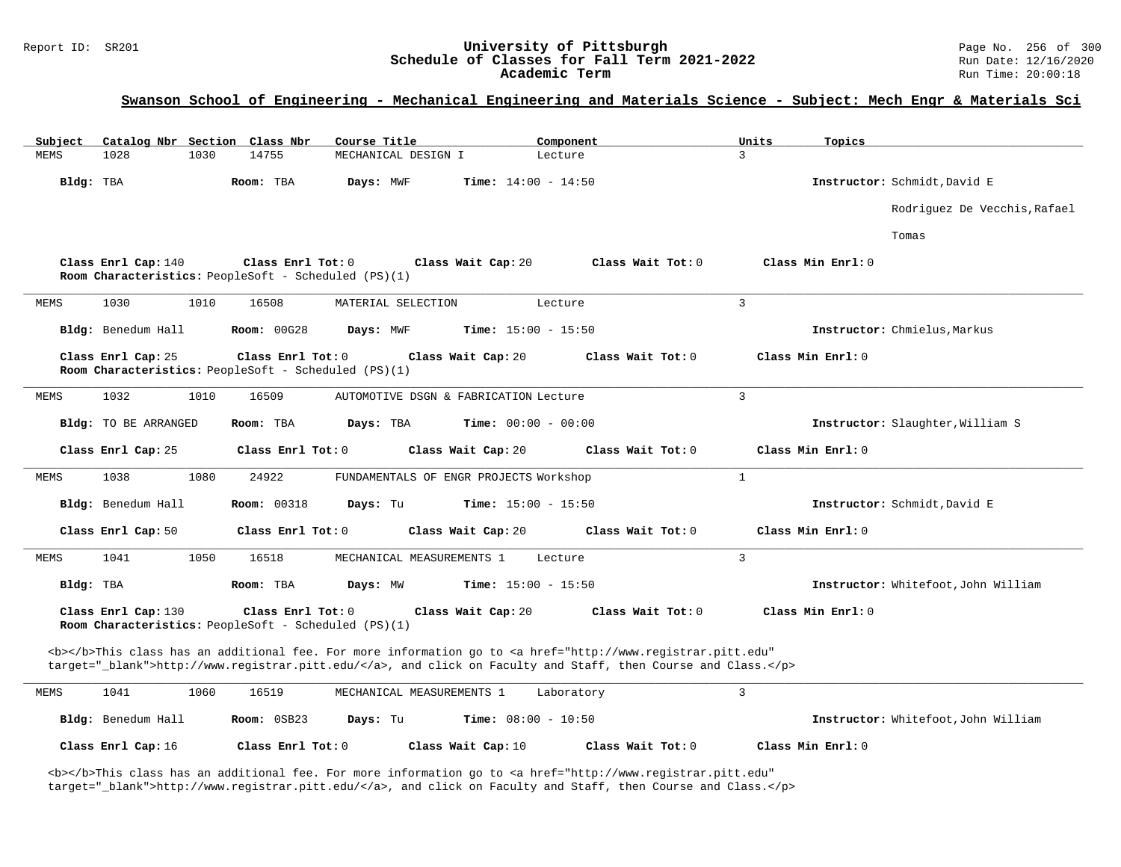# Report ID: SR201 **1988 Conserversity of Pittsburgh University of Pittsburgh** Page No. 256 of 300 **Schedule of Classes for Fall Term 2021-2022** Page No. 256 of 300 Page No. 256 of 300 Page: 12/16/2020 Schedule of Classes for Fall Term 2021-2022<br>Academic Term

### **Swanson School of Engineering - Mechanical Engineering and Materials Science - Subject: Mech Engr & Materials Sci**

| Catalog Nbr Section Class Nbr<br>Subject | Course Title                                                                                                                                                                                                                       | Units<br>Component        | Topics                              |
|------------------------------------------|------------------------------------------------------------------------------------------------------------------------------------------------------------------------------------------------------------------------------------|---------------------------|-------------------------------------|
| MEMS<br>1028<br>1030                     | 14755<br>MECHANICAL DESIGN I                                                                                                                                                                                                       | 3<br>Lecture              |                                     |
| Bldg: TBA                                | Room: TBA<br>Days: MWF<br>Time: $14:00 - 14:50$                                                                                                                                                                                    |                           | Instructor: Schmidt, David E        |
|                                          |                                                                                                                                                                                                                                    |                           | Rodriguez De Vecchis, Rafael        |
|                                          |                                                                                                                                                                                                                                    |                           | Tomas                               |
| Class Enrl Cap: 140                      | Class Enrl Tot: 0<br>Class Wait Cap: 20<br>Room Characteristics: PeopleSoft - Scheduled (PS)(1)                                                                                                                                    | Class Wait Tot: 0         | Class Min Enrl: 0                   |
| 1030<br>1010<br>MEMS                     | 16508<br>MATERIAL SELECTION                                                                                                                                                                                                        | $\overline{3}$<br>Lecture |                                     |
| Bldg: Benedum Hall                       | <b>Room: 00G28</b><br>Days: MWF<br><b>Time:</b> $15:00 - 15:50$                                                                                                                                                                    |                           | Instructor: Chmielus, Markus        |
| Class Enrl Cap: 25                       | Class Enrl Tot: 0<br>Class Wait Cap: 20<br>Room Characteristics: PeopleSoft - Scheduled (PS)(1)                                                                                                                                    | Class Wait Tot: 0         | Class Min Enrl: 0                   |
| 1032<br>1010<br>MEMS                     | 16509<br>AUTOMOTIVE DSGN & FABRICATION Lecture                                                                                                                                                                                     | 3                         |                                     |
| Bldg: TO BE ARRANGED                     | Room: TBA<br>Days: TBA<br><b>Time:</b> $00:00 - 00:00$                                                                                                                                                                             |                           | Instructor: Slaughter, William S    |
| Class Enrl Cap: 25                       | Class Enrl Tot: 0<br>Class Wait Cap: 20                                                                                                                                                                                            | Class Wait Tot: 0         | Class Min Enrl: 0                   |
| 1038<br>1080<br>MEMS                     | 24922<br>FUNDAMENTALS OF ENGR PROJECTS Workshop                                                                                                                                                                                    | $\mathbf{1}$              |                                     |
| Bldg: Benedum Hall                       | <b>Room: 00318</b><br>Days: Tu<br><b>Time:</b> $15:00 - 15:50$                                                                                                                                                                     |                           | Instructor: Schmidt, David E        |
| Class Enrl Cap: 50                       | Class Enrl Tot: 0<br>Class Wait Cap: 20                                                                                                                                                                                            | Class Wait Tot: 0         | Class Min Enrl: 0                   |
| 1041<br>1050<br>MEMS                     | 16518<br>MECHANICAL MEASUREMENTS 1                                                                                                                                                                                                 | 3<br>Lecture              |                                     |
| Bldg: TBA                                | Room: TBA<br>Days: MW<br><b>Time:</b> $15:00 - 15:50$                                                                                                                                                                              |                           | Instructor: Whitefoot, John William |
| Class Enrl Cap: 130                      | Class Enrl Tot: 0<br>Class Wait Cap: 20<br>Room Characteristics: PeopleSoft - Scheduled (PS)(1)                                                                                                                                    | Class Wait Tot: 0         | Class Min Enrl: 0                   |
|                                          | <b></b> This class has an additional fee. For more information go to <a <br="" href="http://www.registrar.pitt.edu">target="_blank"&gt;http://www.registrar.pitt.edu/</a> , and click on Faculty and Staff, then Course and Class. |                           |                                     |
| 1041<br>MEMS<br>1060                     | 16519<br>MECHANICAL MEASUREMENTS 1                                                                                                                                                                                                 | 3<br>Laboratory           |                                     |
| Bldg: Benedum Hall                       | Room: 0SB23<br>Days: Tu<br><b>Time:</b> $08:00 - 10:50$                                                                                                                                                                            |                           | Instructor: Whitefoot, John William |
| Class Enrl Cap: 16                       | Class Enrl Tot: 0<br>Class Wait Cap: 10                                                                                                                                                                                            | Class Wait Tot: 0         | Class Min Enrl: 0                   |

<b></b>This class has an additional fee. For more information go to <a href="http://www.registrar.pitt.edu" target="\_blank">http://www.registrar.pitt.edu/</a>, and click on Faculty and Staff, then Course and Class.</p>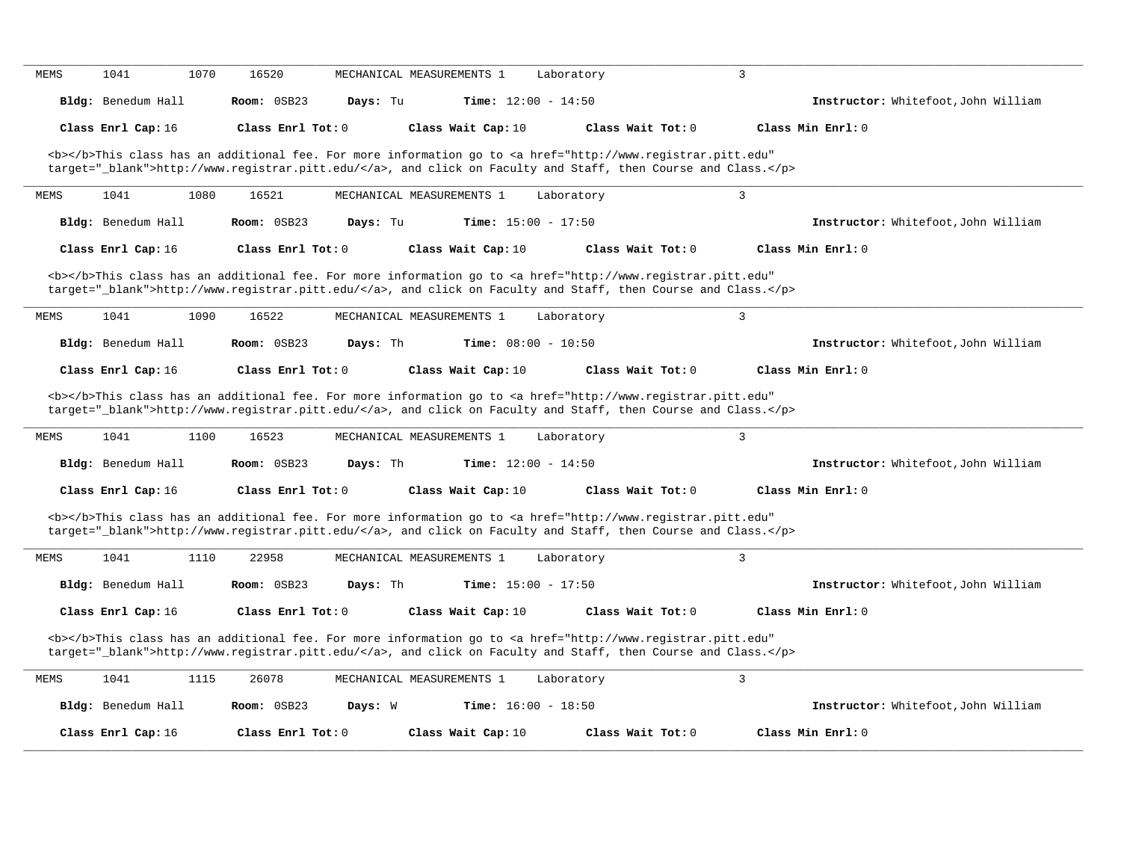|                                           | 1041<br>1070                             |                                  |                           |                                             |                                                                                                                                                                                                                                                         |                                                                            |
|-------------------------------------------|------------------------------------------|----------------------------------|---------------------------|---------------------------------------------|---------------------------------------------------------------------------------------------------------------------------------------------------------------------------------------------------------------------------------------------------------|----------------------------------------------------------------------------|
|                                           | Bldg: Benedum Hall                       | Room: 0SB23                      | Days: Tu                  | Time: $12:00 - 14:50$                       |                                                                                                                                                                                                                                                         | Instructor: Whitefoot, John William                                        |
|                                           | Class Enrl Cap: 16                       | Class Enrl Tot: 0                |                           | Class Wait Cap: 10                          | Class Wait Tot: 0                                                                                                                                                                                                                                       | Class Min Enrl: 0                                                          |
|                                           |                                          |                                  |                           |                                             | <b></b> This class has an additional fee. For more information go to <a <br="" href="http://www.registrar.pitt.edu">target="_blank"&gt;http://www.registrar.pitt.edu/</a> , and click on Faculty and Staff, then Course and Class.                      |                                                                            |
| <b>MEMS</b>                               | 1041                                     | 16521<br>1080                    | MECHANICAL MEASUREMENTS 1 |                                             | Laboratory                                                                                                                                                                                                                                              | $\overline{3}$                                                             |
|                                           | Bldg: Benedum Hall                       | $Room:$ $0SB23$                  | Days: Tu                  | <b>Time:</b> $15:00 - 17:50$                |                                                                                                                                                                                                                                                         | Instructor: Whitefoot, John William                                        |
|                                           | Class Enrl Cap: 16                       | Class Enr1 Tot: 0                |                           | Class Wait Cap: 10                          | Class Wait Tot: 0                                                                                                                                                                                                                                       | Class Min Enrl: 0                                                          |
| MEMS                                      | 1041                                     | 1090<br>16522                    | MECHANICAL MEASUREMENTS 1 |                                             | <b></b> This class has an additional fee. For more information go to <a <br="" href="http://www.registrar.pitt.edu">target="_blank"&gt;http://www.registrar.pitt.edu/</a> , and click on Faculty and Staff, then Course and Class.<br>Laboratory        | $\overline{3}$                                                             |
|                                           | Bldg: Benedum Hall                       | Room: 0SB23                      | Days: Th                  | <b>Time:</b> $08:00 - 10:50$                |                                                                                                                                                                                                                                                         | Instructor: Whitefoot, John William                                        |
|                                           |                                          |                                  |                           |                                             |                                                                                                                                                                                                                                                         |                                                                            |
|                                           | Class Enrl Cap: 16                       | $Class$ $Enr1$ $Tot: 0$          |                           | Class Wait Cap: 10                          | Class Wait Tot: 0<br><b></b> This class has an additional fee. For more information go to <a <br="" href="http://www.registrar.pitt.edu">target="_blank"&gt;http://www.registrar.pitt.edu/</a> , and click on Faculty and Staff, then Course and Class. | Class Min Enrl: 0                                                          |
|                                           | 1041                                     | 1100<br>16523                    | MECHANICAL MEASUREMENTS 1 |                                             | Laboratory                                                                                                                                                                                                                                              | $\overline{3}$                                                             |
|                                           | Bldg: Benedum Hall<br>Class Enrl Cap: 16 | Room: 0SB23<br>Class Enrl Tot: 0 | Days: Th                  | Time: $12:00 - 14:50$<br>Class Wait Cap: 10 | Class Wait Tot: 0                                                                                                                                                                                                                                       | Class Min Enrl: 0                                                          |
|                                           |                                          |                                  |                           |                                             | <b></b> This class has an additional fee. For more information go to <a <br="" href="http://www.registrar.pitt.edu">target="_blank"&gt;http://www.registrar.pitt.edu/</a> , and click on Faculty and Staff, then Course and Class.                      |                                                                            |
|                                           | 1041                                     | 1110<br>22958                    | MECHANICAL MEASUREMENTS 1 |                                             | Laboratory                                                                                                                                                                                                                                              | 3                                                                          |
|                                           | Bldg: Benedum Hall                       | Room: 0SB23                      | Days: Th                  | <b>Time:</b> $15:00 - 17:50$                |                                                                                                                                                                                                                                                         |                                                                            |
|                                           | Class Enrl Cap: 16                       | Class Enrl Tot: $0$              |                           | Class Wait Cap: 10                          | Class Wait Tot: 0                                                                                                                                                                                                                                       | Class Min Enrl: 0                                                          |
|                                           |                                          |                                  |                           |                                             | <b></b> This class has an additional fee. For more information go to <a <br="" href="http://www.registrar.pitt.edu">target="_blank"&gt;http://www.registrar.pitt.edu/</a> , and click on Faculty and Staff, then Course and Class.                      | Instructor: Whitefoot, John William<br>Instructor: Whitefoot, John William |
| <b>MEMS</b><br><b>MEMS</b><br><b>MEMS</b> | 1041                                     | 1115<br>26078                    | MECHANICAL MEASUREMENTS 1 |                                             | Laboratory                                                                                                                                                                                                                                              | $\overline{3}$                                                             |
|                                           | Bldg: Benedum Hall                       | Room: 0SB23                      | Days: W                   | <b>Time:</b> $16:00 - 18:50$                |                                                                                                                                                                                                                                                         | Instructor: Whitefoot, John William                                        |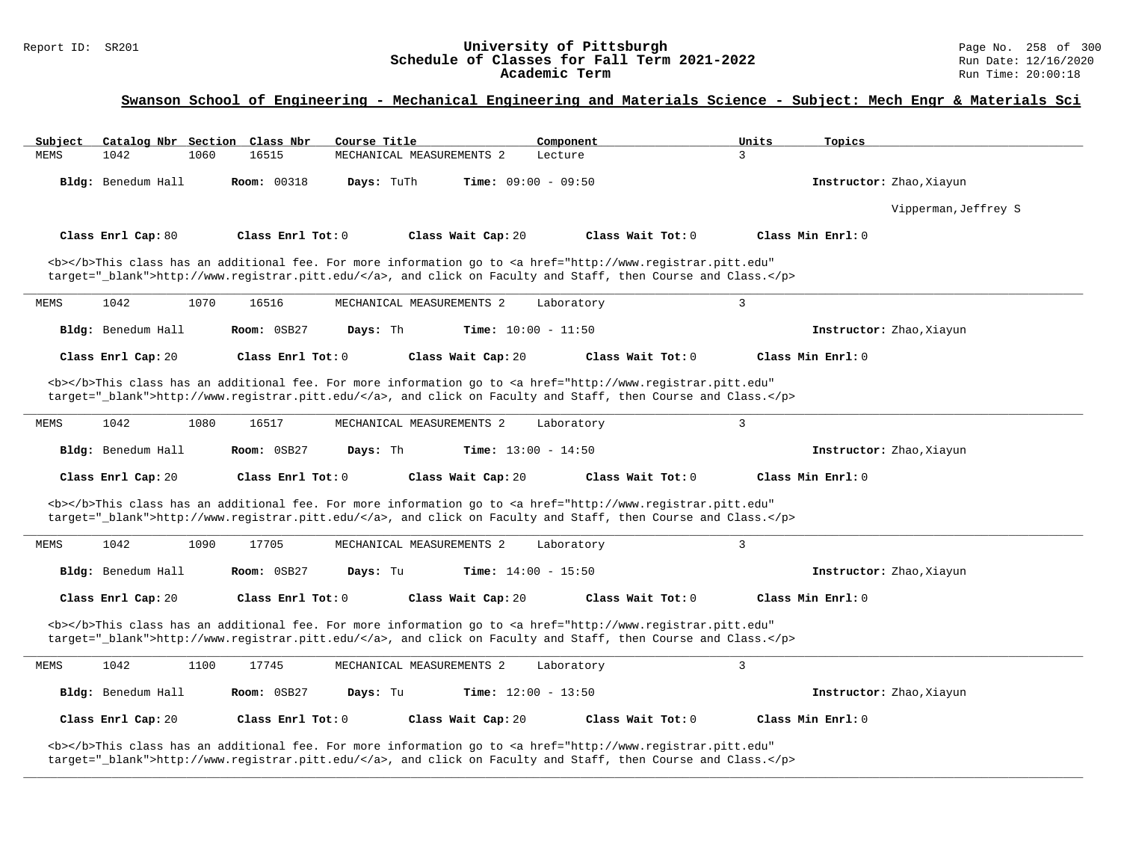# Report ID: SR201 **1988 Chedule of Classes for Fall Term 2021-2022** Page No. 258 of 300 Page No. 258 of 300 Page No<br>**Schedule of Classes for Fall Term 2021-2022** Run Date: 12/16/2020 Schedule of Classes for Fall Term 2021-2022<br>Academic Term

### **Swanson School of Engineering - Mechanical Engineering and Materials Science - Subject: Mech Engr & Materials Sci**

| Subject            | Catalog Nbr Section Class Nbr | Course Title                     | Component                    | Units                                                                                                                                                                                                                              | Topics                   |
|--------------------|-------------------------------|----------------------------------|------------------------------|------------------------------------------------------------------------------------------------------------------------------------------------------------------------------------------------------------------------------------|--------------------------|
| 1042<br>MEMS       | 1060<br>16515                 | MECHANICAL MEASUREMENTS 2        | Lecture                      | 3                                                                                                                                                                                                                                  |                          |
| Bldg: Benedum Hall |                               | <b>Room: 00318</b><br>Days: TuTh | Time: $09:00 - 09:50$        |                                                                                                                                                                                                                                    | Instructor: Zhao, Xiayun |
|                    |                               |                                  |                              |                                                                                                                                                                                                                                    | Vipperman, Jeffrey S     |
| Class Enrl Cap: 80 |                               | Class Enrl Tot: $0$              | Class Wait Cap: 20           | Class Wait Tot: $0$                                                                                                                                                                                                                | Class Min $Enr1: 0$      |
|                    |                               |                                  |                              | <b></b> This class has an additional fee. For more information go to <a <br="" href="http://www.registrar.pitt.edu">target="_blank"&gt;http://www.registrar.pitt.edu/</a> , and click on Faculty and Staff, then Course and Class. |                          |
| 1042<br>MEMS       | 1070<br>16516                 | MECHANICAL MEASUREMENTS 2        | Laboratory                   | 3                                                                                                                                                                                                                                  |                          |
| Bldg: Benedum Hall |                               | Days: Th<br>Room: 0SB27          | <b>Time:</b> $10:00 - 11:50$ |                                                                                                                                                                                                                                    | Instructor: Zhao, Xiayun |
| Class Enrl Cap: 20 |                               | Class Enrl Tot: $0$              | Class Wait Cap: 20           | Class Wait Tot: 0                                                                                                                                                                                                                  | Class Min Enrl: 0        |
|                    |                               |                                  |                              | <b></b> This class has an additional fee. For more information go to <a <br="" href="http://www.registrar.pitt.edu">target="_blank"&gt;http://www.registrar.pitt.edu/</a> , and click on Faculty and Staff, then Course and Class. |                          |
| 1042<br>MEMS       | 1080<br>16517                 | MECHANICAL MEASUREMENTS 2        | Laboratory                   | $\overline{3}$                                                                                                                                                                                                                     |                          |
|                    |                               |                                  |                              |                                                                                                                                                                                                                                    |                          |
| Bldg: Benedum Hall |                               | Room: 0SB27<br>Days: Th          | <b>Time:</b> $13:00 - 14:50$ |                                                                                                                                                                                                                                    | Instructor: Zhao, Xiayun |
| Class Enrl Cap: 20 |                               | Class Enrl Tot: 0                | Class Wait Cap: 20           | Class Wait Tot: 0                                                                                                                                                                                                                  | Class Min Enrl: 0        |
|                    |                               |                                  |                              | <b></b> This class has an additional fee. For more information go to <a <br="" href="http://www.registrar.pitt.edu">target="_blank"&gt;http://www.registrar.pitt.edu/</a> , and click on Faculty and Staff, then Course and Class. |                          |
| 1042<br>MEMS       | 1090<br>17705                 | MECHANICAL MEASUREMENTS 2        | Laboratory                   | $\overline{3}$                                                                                                                                                                                                                     |                          |
| Bldg: Benedum Hall |                               | Room: 0SB27<br>Days: Tu          | Time: $14:00 - 15:50$        |                                                                                                                                                                                                                                    | Instructor: Zhao, Xiayun |
| Class Enrl Cap: 20 |                               | Class Enrl Tot: 0                | Class Wait Cap: 20           | Class Wait Tot: 0                                                                                                                                                                                                                  | Class Min Enrl: 0        |
|                    |                               |                                  |                              | <b></b> This class has an additional fee. For more information go to <a <br="" href="http://www.registrar.pitt.edu">target="_blank"&gt;http://www.registrar.pitt.edu/</a> , and click on Faculty and Staff, then Course and Class. |                          |
| 1042<br>MEMS       | 1100<br>17745                 | MECHANICAL MEASUREMENTS 2        | Laboratory                   | 3                                                                                                                                                                                                                                  |                          |
| Bldg: Benedum Hall |                               | Room: 0SB27<br>Days: Tu          | Time: $12:00 - 13:50$        |                                                                                                                                                                                                                                    | Instructor: Zhao, Xiayun |
| Class Enrl Cap: 20 |                               | Class Enrl Tot: 0                | Class Wait Cap: 20           | Class Wait Tot: 0                                                                                                                                                                                                                  | Class Min Enrl: 0        |

**\_\_\_\_\_\_\_\_\_\_\_\_\_\_\_\_\_\_\_\_\_\_\_\_\_\_\_\_\_\_\_\_\_\_\_\_\_\_\_\_\_\_\_\_\_\_\_\_\_\_\_\_\_\_\_\_\_\_\_\_\_\_\_\_\_\_\_\_\_\_\_\_\_\_\_\_\_\_\_\_\_\_\_\_\_\_\_\_\_\_\_\_\_\_\_\_\_\_\_\_\_\_\_\_\_\_\_\_\_\_\_\_\_\_\_\_\_\_\_\_\_\_\_\_\_\_\_\_\_\_\_\_\_\_\_\_\_\_\_\_\_\_\_\_\_\_\_\_\_\_\_\_\_\_\_\_**

target="\_blank">http://www.registrar.pitt.edu/</a>, and click on Faculty and Staff, then Course and Class.</p>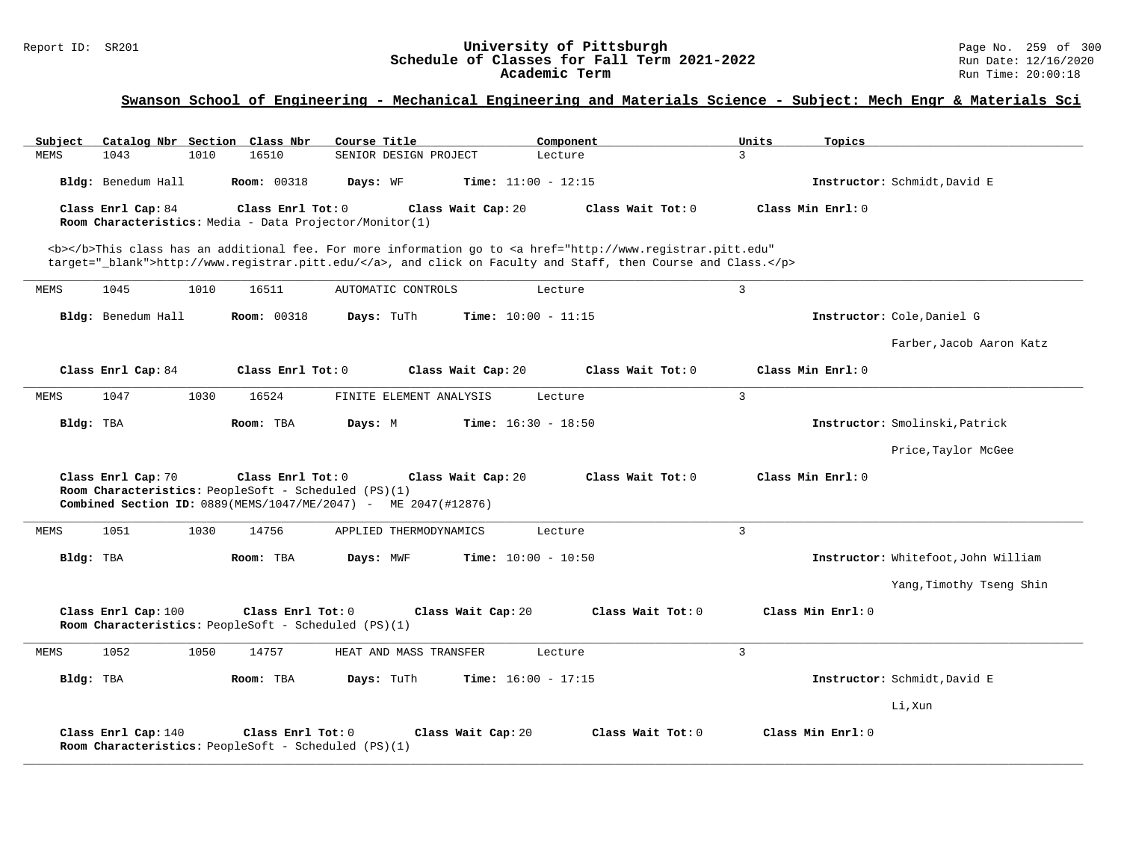# Report ID: SR201 **1988 Chedule of Classes for Fall Term 2021-2022** Page No. 259 of 300 Page No. 259 of 300 Page No<br>**Schedule of Classes for Fall Term 2021-2022** Run Date: 12/16/2020 Schedule of Classes for Fall Term 2021-2022<br>Academic Term

| Subject     |                     |      | Catalog Nbr Section Class Nbr                                             | Course Title                                                                         | Component                                                                                                                                                                                                                          | Units          | Topics                              |
|-------------|---------------------|------|---------------------------------------------------------------------------|--------------------------------------------------------------------------------------|------------------------------------------------------------------------------------------------------------------------------------------------------------------------------------------------------------------------------------|----------------|-------------------------------------|
| <b>MEMS</b> | 1043                | 1010 | 16510                                                                     | SENIOR DESIGN PROJECT                                                                | Lecture                                                                                                                                                                                                                            | 3              |                                     |
|             | Bldg: Benedum Hall  |      | <b>Room: 00318</b>                                                        | Days: WF                                                                             | Time: $11:00 - 12:15$                                                                                                                                                                                                              |                | Instructor: Schmidt, David E        |
|             | Class Enrl Cap: 84  |      | Class Enrl Tot: 0                                                         | Class Wait Cap: 20                                                                   | Class Wait Tot: 0                                                                                                                                                                                                                  |                | Class Min Enrl: 0                   |
|             |                     |      |                                                                           | Room Characteristics: Media - Data Projector/Monitor(1)                              |                                                                                                                                                                                                                                    |                |                                     |
|             |                     |      |                                                                           |                                                                                      | <b></b> This class has an additional fee. For more information go to <a <br="" href="http://www.registrar.pitt.edu">target="_blank"&gt;http://www.registrar.pitt.edu/</a> , and click on Faculty and Staff, then Course and Class. |                |                                     |
| MEMS        | 1045                | 1010 | 16511                                                                     | AUTOMATIC CONTROLS                                                                   | Lecture                                                                                                                                                                                                                            | $\overline{3}$ |                                     |
|             | Bldg: Benedum Hall  |      | <b>Room: 00318</b>                                                        | Days: TuTh                                                                           | <b>Time:</b> $10:00 - 11:15$                                                                                                                                                                                                       |                | Instructor: Cole, Daniel G          |
|             |                     |      |                                                                           |                                                                                      |                                                                                                                                                                                                                                    |                | Farber, Jacob Aaron Katz            |
|             | Class Enrl Cap: 84  |      | Class Enrl Tot: 0                                                         | Class Wait Cap: 20                                                                   | Class Wait Tot: 0                                                                                                                                                                                                                  |                | Class Min Enrl: 0                   |
| MEMS        | 1047                | 1030 | 16524                                                                     | FINITE ELEMENT ANALYSIS                                                              | Lecture                                                                                                                                                                                                                            | $\mathbf{3}$   |                                     |
| Bldg: TBA   |                     |      | Room: TBA                                                                 | Days: M                                                                              | <b>Time:</b> $16:30 - 18:50$                                                                                                                                                                                                       |                | Instructor: Smolinski, Patrick      |
|             |                     |      |                                                                           |                                                                                      |                                                                                                                                                                                                                                    |                | Price, Taylor McGee                 |
|             | Class Enrl Cap: 70  |      | Class Enrl Tot: 0<br>Room Characteristics: PeopleSoft - Scheduled (PS)(1) | Class Wait Cap: 20<br>Combined Section ID: 0889(MEMS/1047/ME/2047) - ME 2047(#12876) | Class Wait Tot: 0                                                                                                                                                                                                                  |                | Class Min Enrl: 0                   |
| MEMS        | 1051                | 1030 | 14756                                                                     | APPLIED THERMODYNAMICS                                                               | Lecture                                                                                                                                                                                                                            | $\mathbf{3}$   |                                     |
| Bldg: TBA   |                     |      | Room: TBA                                                                 | Days: MWF                                                                            | <b>Time:</b> $10:00 - 10:50$                                                                                                                                                                                                       |                | Instructor: Whitefoot, John William |
|             |                     |      |                                                                           |                                                                                      |                                                                                                                                                                                                                                    |                | Yang, Timothy Tseng Shin            |
|             | Class Enrl Cap: 100 |      | Class Enrl Tot: 0<br>Room Characteristics: PeopleSoft - Scheduled (PS)(1) | Class Wait Cap: 20                                                                   | Class Wait Tot: 0                                                                                                                                                                                                                  |                | Class Min Enrl: 0                   |
| MEMS        | 1052                | 1050 | 14757                                                                     | HEAT AND MASS TRANSFER                                                               | Lecture                                                                                                                                                                                                                            | $\overline{3}$ |                                     |
| Bldg: TBA   |                     |      | Room: TBA                                                                 | Days: TuTh                                                                           | Time: $16:00 - 17:15$                                                                                                                                                                                                              |                | Instructor: Schmidt, David E        |
|             |                     |      |                                                                           |                                                                                      |                                                                                                                                                                                                                                    |                | Li, Xun                             |
|             | Class Enrl Cap: 140 |      | Class Enrl Tot: 0<br>Room Characteristics: PeopleSoft - Scheduled (PS)(1) | Class Wait Cap: 20                                                                   | Class Wait Tot: 0                                                                                                                                                                                                                  |                | Class Min Enrl: 0                   |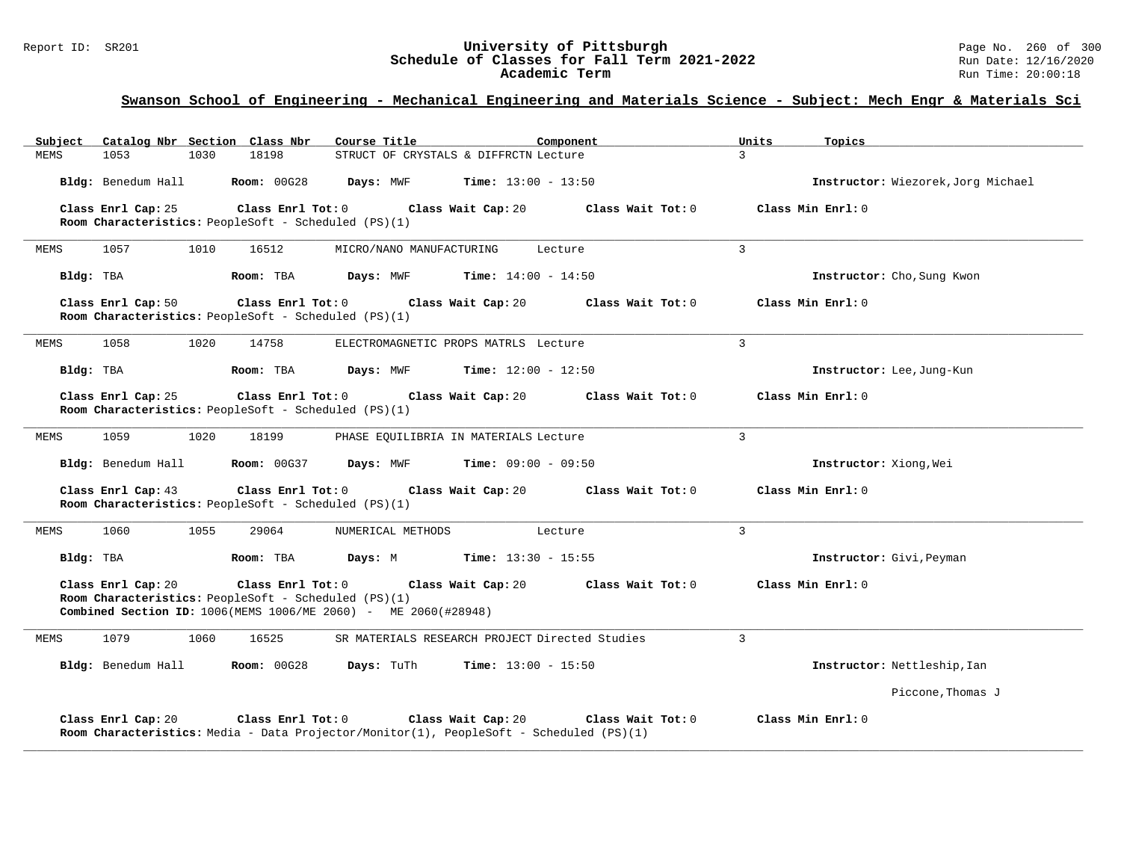# Report ID: SR201 **1988 Chedule of Classes for Fall Term 2021-2022** Page No. 260 of 300 Page No. 260 of 300 Page No<br>**Schedule of Classes for Fall Term 2021-2022** Run Date: 12/16/2020 Schedule of Classes for Fall Term 2021-2022<br>Academic Term

| Subject            | Catalog Nbr Section Class Nbr                                             | Course Title                                                                                                  | Component                    | Units          | Topics                             |
|--------------------|---------------------------------------------------------------------------|---------------------------------------------------------------------------------------------------------------|------------------------------|----------------|------------------------------------|
| 1053<br>MEMS       | 18198<br>1030                                                             | STRUCT OF CRYSTALS & DIFFRCTN Lecture                                                                         |                              | $\mathcal{L}$  |                                    |
| Bldg: Benedum Hall | <b>Room: 00G28</b>                                                        | Days: MWF                                                                                                     | <b>Time:</b> $13:00 - 13:50$ |                | Instructor: Wiezorek, Jorg Michael |
| Class Enrl Cap: 25 | Class Enrl Tot: 0<br>Room Characteristics: PeopleSoft - Scheduled (PS)(1) | Class Wait Cap: 20                                                                                            | Class Wait Tot: 0            |                | Class Min Enrl: 0                  |
| MEMS<br>1057       | 1010<br>16512                                                             | MICRO/NANO MANUFACTURING                                                                                      | Lecture                      | $\overline{3}$ |                                    |
| Bldg: TBA          | Room: TBA                                                                 | Days: MWF                                                                                                     | <b>Time:</b> $14:00 - 14:50$ |                | Instructor: Cho, Sung Kwon         |
| Class Enrl Cap: 50 | Class Enrl Tot: 0<br>Room Characteristics: PeopleSoft - Scheduled (PS)(1) | Class Wait Cap: 20                                                                                            | Class Wait Tot: 0            |                | Class Min Enrl: 0                  |
| MEMS<br>1058       | 1020<br>14758                                                             | ELECTROMAGNETIC PROPS MATRLS Lecture                                                                          |                              | $\mathbf{3}$   |                                    |
| Bldg: TBA          | Room: TBA                                                                 | Days: MWF                                                                                                     | <b>Time:</b> $12:00 - 12:50$ |                | Instructor: Lee, Jung-Kun          |
| Class Enrl Cap: 25 | Class Enrl Tot: 0<br>Room Characteristics: PeopleSoft - Scheduled (PS)(1) | Class Wait Cap: 20                                                                                            | Class Wait Tot: 0            |                | Class Min Enrl: 0                  |
| 1059<br>MEMS       | 1020<br>18199                                                             | PHASE EQUILIBRIA IN MATERIALS Lecture                                                                         |                              | $\overline{3}$ |                                    |
| Bldg: Benedum Hall | <b>Room: 00G37</b>                                                        | Days: MWF                                                                                                     | <b>Time:</b> $09:00 - 09:50$ |                | Instructor: Xiong, Wei             |
| Class Enrl Cap: 43 | Class Enrl Tot: 0<br>Room Characteristics: PeopleSoft - Scheduled (PS)(1) | Class Wait Cap: 20                                                                                            | Class Wait Tot: 0            |                | Class Min Enrl: 0                  |
| 1060<br>MEMS       | 1055<br>29064                                                             | NUMERICAL METHODS                                                                                             | Lecture                      | $\overline{3}$ |                                    |
| Bldg: TBA          | Room: TBA                                                                 | Days: M                                                                                                       | <b>Time:</b> $13:30 - 15:55$ |                | Instructor: Givi, Peyman           |
| Class Enrl Cap: 20 | Class Enrl Tot: 0<br>Room Characteristics: PeopleSoft - Scheduled (PS)(1) | Class Wait Cap: 20<br>Combined Section ID: 1006(MEMS 1006/ME 2060) - ME 2060(#28948)                          | Class Wait Tot: 0            |                | Class Min Enrl: 0                  |
| 1079<br>MEMS       | 1060<br>16525                                                             | SR MATERIALS RESEARCH PROJECT Directed Studies                                                                |                              | $\overline{3}$ |                                    |
| Bldg: Benedum Hall | <b>Room: 00G28</b>                                                        | Days: TuTh                                                                                                    | <b>Time:</b> $13:00 - 15:50$ |                | Instructor: Nettleship, Ian        |
|                    |                                                                           |                                                                                                               |                              |                | Piccone, Thomas J                  |
| Class Enrl Cap: 20 | Class Enrl Tot: 0                                                         | Class Wait Cap: 20<br>Room Characteristics: Media - Data Projector/Monitor(1), PeopleSoft - Scheduled (PS)(1) | Class Wait Tot: 0            |                | Class Min Enrl: 0                  |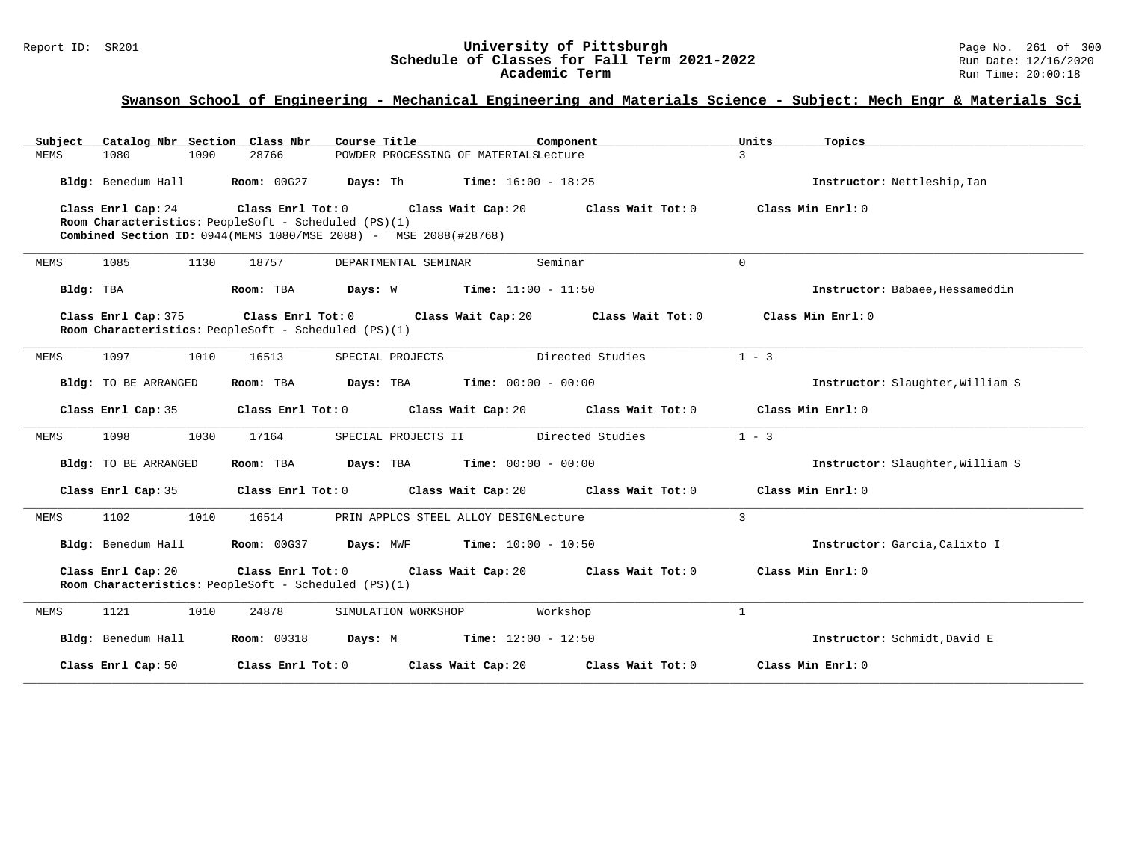# Report ID: SR201 **1988 Chedule of Classes for Fall Term 2021-2022** Page No. 261 of 300 Page No. 261 of 300 Page No<br>**Schedule of Classes for Fall Term 2021-2022** Run Date: 12/16/2020 Schedule of Classes for Fall Term 2021-2022<br>Academic Term

| Subiect     | Catalog Nbr Section Class Nbr                        |                    | Course Title                                                       | Component                                     |                                      | Units        | Topics                           |
|-------------|------------------------------------------------------|--------------------|--------------------------------------------------------------------|-----------------------------------------------|--------------------------------------|--------------|----------------------------------|
| <b>MEMS</b> | 1080<br>1090                                         | 28766              | POWDER PROCESSING OF MATERIALSLecture                              |                                               |                                      | $\mathbf{R}$ |                                  |
|             | Bldg: Benedum Hall                                   | <b>Room: 00G27</b> | <b>Days:</b> Th <b>Time:</b> $16:00 - 18:25$                       |                                               |                                      |              | Instructor: Nettleship, Ian      |
|             | Class Enrl Cap: 24                                   |                    | Class Enrl Tot: 0 Class Wait Cap: 20                               |                                               | Class Wait Tot: 0                    |              | Class Min Enrl: 0                |
|             | Room Characteristics: PeopleSoft - Scheduled (PS)(1) |                    |                                                                    |                                               |                                      |              |                                  |
|             |                                                      |                    | Combined Section ID: 0944 (MEMS 1080/MSE 2088) - MSE 2088 (#28768) |                                               |                                      |              |                                  |
| MEMS        | 1085<br>1130                                         | 18757              | DEPARTMENTAL SEMINAR                                               | Seminar                                       |                                      | $\Omega$     |                                  |
| Bldg: TBA   |                                                      | Room: TBA          | Days: W                                                            | $Time: 11:00 - 11:50$                         |                                      |              | Instructor: Babaee, Hessameddin  |
|             | Class Enrl Cap: 375                                  | Class Enrl Tot: 0  |                                                                    |                                               | Class Wait Cap: 20 Class Wait Tot: 0 |              | Class Min Enrl: 0                |
|             | Room Characteristics: PeopleSoft - Scheduled (PS)(1) |                    |                                                                    |                                               |                                      |              |                                  |
| MEMS        | 1010<br>1097                                         | 16513              | SPECIAL PROJECTS                                                   |                                               | Directed Studies                     | $1 - 3$      |                                  |
|             | Bldg: TO BE ARRANGED                                 | Room: TBA          | Days: TBA                                                          | <b>Time:</b> $00:00 - 00:00$                  |                                      |              | Instructor: Slaughter, William S |
|             | Class Enrl Cap: 35                                   | Class Enrl Tot: 0  |                                                                    | Class Wait Cap: 20                            | Class Wait Tot: 0                    |              | Class Min Enrl: 0                |
| MEMS        | 1098<br>1030                                         | 17164              | SPECIAL PROJECTS II                                                |                                               | Directed Studies                     | $1 - 3$      |                                  |
|             | Bldg: TO BE ARRANGED                                 | Room: TBA          |                                                                    | <b>Days:</b> TBA <b>Time:</b> $00:00 - 00:00$ |                                      |              | Instructor: Slaughter, William S |
|             | Class Enrl Cap: 35                                   | Class Enrl Tot: 0  |                                                                    | Class Wait Cap: 20                            | Class Wait Tot: 0                    |              | Class Min Enrl: 0                |
| MEMS        | 1102<br>1010                                         | 16514              | PRIN APPLCS STEEL ALLOY DESIGNLecture                              |                                               |                                      | 3            |                                  |
|             | Bldg: Benedum Hall                                   |                    | <b>Room:</b> 00G37 <b>Days:</b> MWF <b>Time:</b> 10:00 - 10:50     |                                               |                                      |              | Instructor: Garcia, Calixto I    |
|             | Class Enrl Cap: 20                                   | Class Enrl Tot: 0  |                                                                    | Class Wait Cap: 20                            | Class Wait Tot: 0                    |              | Class Min Enrl: 0                |
|             | Room Characteristics: PeopleSoft - Scheduled (PS)(1) |                    |                                                                    |                                               |                                      |              |                                  |
| MEMS        | 1121<br>1010                                         | 24878              | SIMULATION WORKSHOP                                                | Workshop                                      |                                      | $\mathbf{1}$ |                                  |
|             | Bldg: Benedum Hall                                   | <b>Room: 00318</b> | Days: M                                                            | $Time: 12:00 - 12:50$                         |                                      |              | Instructor: Schmidt, David E     |
|             | Class Enrl Cap: 50                                   | Class Enrl Tot: 0  |                                                                    | Class Wait Cap: 20                            | Class Wait Tot: 0                    |              | Class Min Enrl: 0                |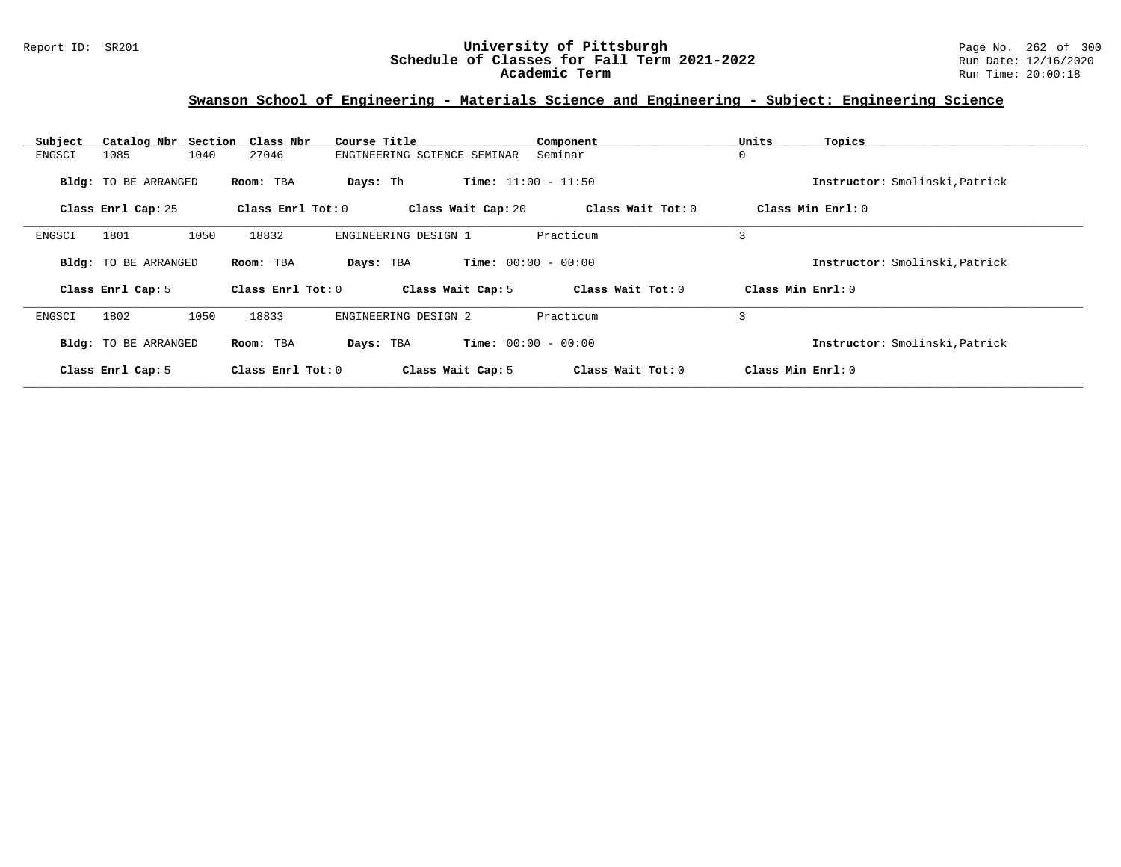### Report ID: SR201 **1988 Manual Construment University of Pittsburgh** Page No. 262 of 300 and Page No. 262 of 300<br>**Schedule of Classes for Fall Term 2021-2022** Run Date: 12/16/2020 **Schedule of Classes for Fall Term 2021-2022** Run Date: 12/16/2020 **Academic Term** Run Time: 20:00:18

## **Swanson School of Engineering - Materials Science and Engineering - Subject: Engineering Science**

| Subject | Catalog Nbr Section Class Nbr |                   | Course Title                | Component                    | Units<br>Topics                |
|---------|-------------------------------|-------------------|-----------------------------|------------------------------|--------------------------------|
| ENGSCI  | 1040<br>1085                  | 27046             | ENGINEERING SCIENCE SEMINAR | Seminar                      | 0                              |
|         | <b>Bldg:</b> TO BE ARRANGED   | Room: TBA         | Days: Th                    | <b>Time:</b> $11:00 - 11:50$ | Instructor: Smolinski, Patrick |
|         | Class Enrl Cap: 25            | Class Enrl Tot: 0 | Class Wait Cap: 20          | Class Wait Tot: 0            | Class Min Enrl: 0              |
| ENGSCI  | 1050<br>1801                  | 18832             | ENGINEERING DESIGN 1        | Practicum                    | 3                              |
|         | <b>Bldg:</b> TO BE ARRANGED   | Room: TBA         | Days: TBA                   | <b>Time:</b> $00:00 - 00:00$ | Instructor: Smolinski, Patrick |
|         | Class Enrl Cap: 5             | Class Enrl Tot: 0 | Class Wait Cap: 5           | Class Wait Tot: 0            | Class Min Enrl: 0              |
| ENGSCI  | 1802<br>1050                  | 18833             | ENGINEERING DESIGN 2        | Practicum                    | 3                              |
|         | <b>Bldg:</b> TO BE ARRANGED   | Room: TBA         | Days: TBA                   | <b>Time:</b> $00:00 - 00:00$ | Instructor: Smolinski, Patrick |
|         | Class Enrl Cap: 5             | Class Enrl Tot: 0 | Class Wait Cap: 5           | Class Wait Tot: 0            | Class Min Enrl: 0              |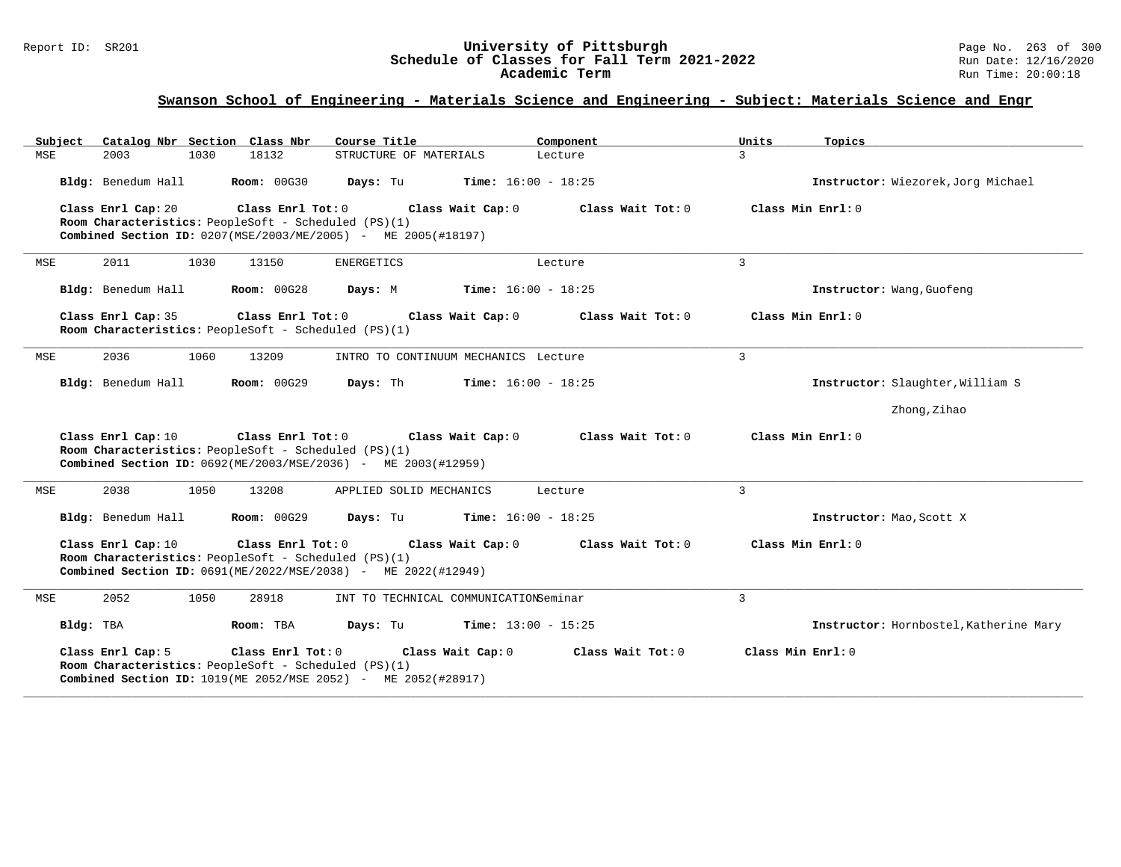#### Report ID: SR201 **University of Pittsburgh** Page No. 263 of 300 **Schedule of Classes for Fall Term 2021-2022** Run Date: 12/16/2020 **Academic Term** Run Time: 20:00:18

| Subject            |      | Catalog Nbr Section Class Nbr                                               | Course Title                                                                                             | Component                    |                   | Units             | Topics                                 |
|--------------------|------|-----------------------------------------------------------------------------|----------------------------------------------------------------------------------------------------------|------------------------------|-------------------|-------------------|----------------------------------------|
| <b>MSE</b><br>2003 | 1030 | 18132                                                                       | STRUCTURE OF MATERIALS                                                                                   | Lecture                      |                   | $\overline{3}$    |                                        |
| Bldg: Benedum Hall |      | <b>Room: 00G30</b>                                                          | Days: Tu                                                                                                 | <b>Time:</b> $16:00 - 18:25$ |                   |                   | Instructor: Wiezorek, Jorg Michael     |
| Class Enrl Cap: 20 |      | Class Enrl Tot: $0$<br>Room Characteristics: PeopleSoft - Scheduled (PS)(1) | Combined Section ID: 0207(MSE/2003/ME/2005) - ME 2005(#18197)                                            | Class Wait Cap: 0            | Class Wait Tot: 0 |                   | Class Min Enrl: 0                      |
| 2011<br>MSE        | 1030 | 13150                                                                       | ENERGETICS                                                                                               | Lecture                      |                   | $\overline{3}$    |                                        |
| Bldg: Benedum Hall |      | <b>Room: 00G28</b>                                                          | Days: M                                                                                                  | $Time: 16:00 - 18:25$        |                   |                   | Instructor: Wang, Guofeng              |
| Class Enrl Cap: 35 |      | Room Characteristics: PeopleSoft - Scheduled (PS)(1)                        | Class Enrl Tot: 0 Class Wait Cap: 0                                                                      |                              | Class Wait Tot: 0 |                   | Class Min Enrl: 0                      |
| 2036<br>MSE        | 1060 | 13209                                                                       | INTRO TO CONTINUUM MECHANICS Lecture                                                                     |                              |                   | 3                 |                                        |
| Bldg: Benedum Hall |      | Room: 00G29                                                                 | Days: Th                                                                                                 | <b>Time:</b> $16:00 - 18:25$ |                   |                   | Instructor: Slaughter, William S       |
|                    |      |                                                                             |                                                                                                          |                              |                   |                   | Zhong, Zihao                           |
| Class Enrl Cap: 10 |      | Room Characteristics: PeopleSoft - Scheduled (PS)(1)                        | Class Enrl Tot: $0$ Class Wait Cap: $0$<br>Combined Section ID: 0692(ME/2003/MSE/2036) - ME 2003(#12959) |                              | Class Wait Tot: 0 |                   | Class Min Enrl: 0                      |
| MSE<br>2038        | 1050 | 13208                                                                       | APPLIED SOLID MECHANICS                                                                                  | Lecture                      |                   | $\mathbf{3}$      |                                        |
| Bldg: Benedum Hall |      | <b>Room: 00G29</b>                                                          | <b>Days:</b> Tu <b>Time:</b> $16:00 - 18:25$                                                             |                              |                   |                   | Instructor: Mao, Scott X               |
| Class Enrl Cap: 10 |      | Room Characteristics: PeopleSoft - Scheduled (PS)(1)                        | Class Enrl Tot: $0$ Class Wait Cap: $0$<br>Combined Section ID: 0691(ME/2022/MSE/2038) - ME 2022(#12949) |                              | Class Wait Tot: 0 |                   | Class Min Enrl: 0                      |
| 2052<br>MSE        | 1050 | 28918                                                                       | INT TO TECHNICAL COMMUNICATIONSeminar                                                                    |                              |                   | 3                 |                                        |
| Bldg: TBA          |      | Room: TBA                                                                   | Days: Tu                                                                                                 | <b>Time:</b> $13:00 - 15:25$ |                   |                   | Instructor: Hornbostel, Katherine Mary |
| Class Enrl Cap: 5  |      | Class Enrl Tot: 0<br>Room Characteristics: PeopleSoft - Scheduled (PS)(1)   | Class Wait Cap: 0<br>Combined Section ID: 1019 (ME 2052/MSE 2052) - ME 2052 (#28917)                     |                              | Class Wait Tot: 0 | Class Min Enrl: 0 |                                        |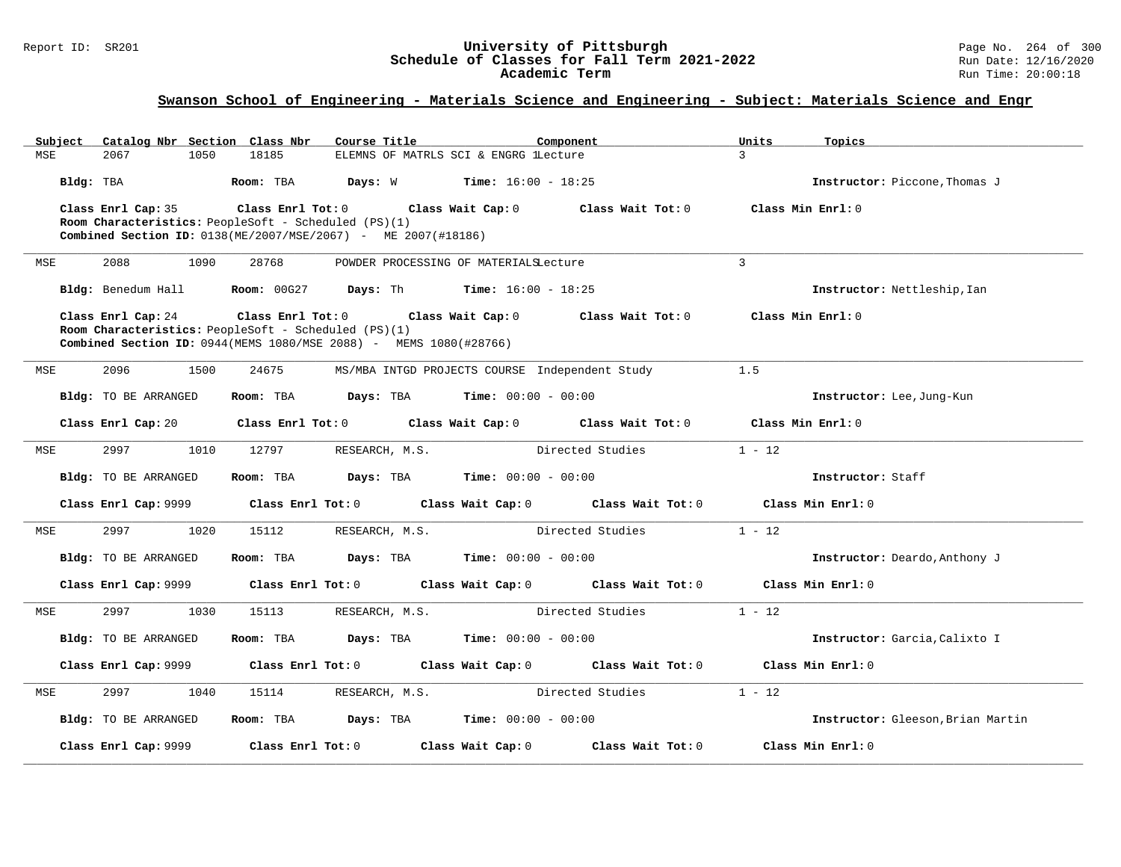# Report ID: SR201 **1988 Chedule of Classes for Fall Term 2021-2022** Page No. 264 of 300 Page No. 264 of 300 Page No<br>**Schedule of Classes for Fall Term 2021-2022** Run Date: 12/16/2020 Schedule of Classes for Fall Term 2021-2022<br>Academic Term

| Subject | Catalog Nbr Section Class Nbr                        |                   | Course Title                                                        | Component                                     |                   | Units        | Topics                            |
|---------|------------------------------------------------------|-------------------|---------------------------------------------------------------------|-----------------------------------------------|-------------------|--------------|-----------------------------------|
| MSE     | 2067<br>1050                                         | 18185             |                                                                     | ELEMNS OF MATRLS SCI & ENGRG lLecture         |                   | $\mathbf{z}$ |                                   |
|         | Bldg: TBA                                            | Room: TBA         | Davs: W                                                             | $Time: 16:00 - 18:25$                         |                   |              | Instructor: Piccone, Thomas J     |
|         | Class Enrl Cap: 35                                   | Class Enrl Tot: 0 | Class Wait Cap: 0                                                   |                                               | Class Wait Tot: 0 |              | Class Min Enrl: 0                 |
|         | Room Characteristics: PeopleSoft - Scheduled (PS)(1) |                   |                                                                     |                                               |                   |              |                                   |
|         |                                                      |                   | Combined Section ID: 0138(ME/2007/MSE/2067) - ME 2007(#18186)       |                                               |                   |              |                                   |
| MSE     | 2088<br>1090                                         | 28768             |                                                                     | POWDER PROCESSING OF MATERIALSLecture         |                   | $\mathbf{3}$ |                                   |
|         | Bldg: Benedum Hall                                   | Room: 00G27       | Days: Th                                                            | <b>Time:</b> $16:00 - 18:25$                  |                   |              | Instructor: Nettleship, Ian       |
|         | Class Enrl Cap: 24                                   | Class Enrl Tot: 0 |                                                                     | Class Wait Cap: 0                             | Class Wait Tot: 0 |              | Class Min Enrl: 0                 |
|         | Room Characteristics: PeopleSoft - Scheduled (PS)(1) |                   |                                                                     |                                               |                   |              |                                   |
|         |                                                      |                   | Combined Section ID: 0944 (MEMS 1080/MSE 2088) - MEMS 1080 (#28766) |                                               |                   |              |                                   |
| MSE     | 2096<br>1500                                         | 24675             | MS/MBA INTGD PROJECTS COURSE Independent Study                      |                                               |                   | 1.5          |                                   |
|         | Bldg: TO BE ARRANGED                                 | Room: TBA         | Days: TBA                                                           | <b>Time:</b> $00:00 - 00:00$                  |                   |              | Instructor: Lee, Jung-Kun         |
|         | Class Enrl Cap: 20                                   | Class Enrl Tot: 0 |                                                                     | Class Wait Cap: 0                             | Class Wait Tot: 0 |              | Class Min Enrl: 0                 |
| MSE     | 2997<br>1010                                         | 12797             | RESEARCH, M.S.                                                      |                                               | Directed Studies  | $1 - 12$     |                                   |
|         | Bldg: TO BE ARRANGED                                 | Room: TBA         | Days: TBA                                                           | <b>Time:</b> $00:00 - 00:00$                  |                   |              | Instructor: Staff                 |
|         | Class Enrl Cap: 9999                                 | Class Enrl Tot: 0 |                                                                     | Class Wait Cap: 0                             | Class Wait Tot: 0 |              | Class Min Enrl: 0                 |
| MSE     | 2997<br>1020                                         | 15112             | RESEARCH, M.S.                                                      |                                               | Directed Studies  | $1 - 12$     |                                   |
|         | Bldg: TO BE ARRANGED                                 | Room: TBA         | Days: TBA                                                           | <b>Time:</b> $00:00 - 00:00$                  |                   |              | Instructor: Deardo, Anthony J     |
|         | Class Enrl Cap: 9999                                 | Class Enrl Tot: 0 |                                                                     | Class Wait Cap: 0                             | Class Wait Tot: 0 |              | Class Min Enrl: 0                 |
| MSE     | 2997<br>1030                                         | 15113             | RESEARCH, M.S.                                                      |                                               | Directed Studies  | $1 - 12$     |                                   |
|         | Bldg: TO BE ARRANGED                                 | Room: TBA         | Days: TBA                                                           | <b>Time:</b> $00:00 - 00:00$                  |                   |              | Instructor: Garcia, Calixto I     |
|         | Class Enrl Cap: 9999                                 | Class Enrl Tot: 0 |                                                                     | Class Wait Cap: 0                             | Class Wait Tot: 0 |              | Class Min Enrl: 0                 |
| MSE     | 2997<br>1040                                         | 15114             | RESEARCH, M.S.                                                      |                                               | Directed Studies  | $1 - 12$     |                                   |
|         | Bldg: TO BE ARRANGED                                 | Room: TBA         |                                                                     | <b>Days:</b> TBA <b>Time:</b> $00:00 - 00:00$ |                   |              | Instructor: Gleeson, Brian Martin |
|         | Class Enrl Cap: 9999                                 | Class Enrl Tot: 0 |                                                                     | Class Wait Cap: 0                             | Class Wait Tot: 0 |              | Class Min Enrl: 0                 |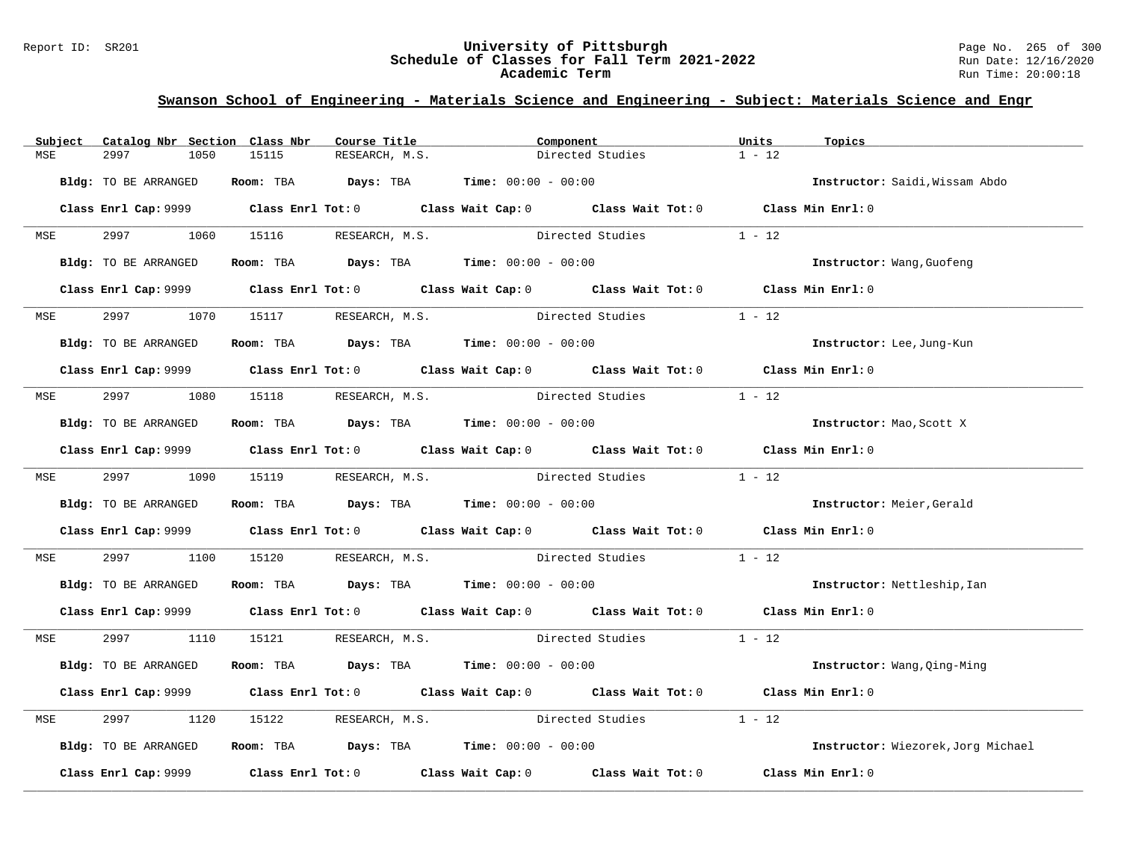### Report ID: SR201 **1988 Chedule of Classes for Fall Term 2021-2022** Page No. 265 of 300 Page No. 265 of 300 Page No<br>**Schedule of Classes for Fall Term 2021-2022** Run Date: 12/16/2020 **Schedule of Classes for Fall Term 2021-2022** Run Date: 12/16/2020 **Academic Term** Run Time: 20:00:18

| Subject    | Catalog Nbr Section Class Nbr | Course Title                                                                                 | Component                                             | Units<br>Topics                    |
|------------|-------------------------------|----------------------------------------------------------------------------------------------|-------------------------------------------------------|------------------------------------|
| MSE        | 2997<br>1050                  | 15115<br>RESEARCH, M.S.                                                                      | Directed Studies                                      | $1 - 12$                           |
|            | Bldg: TO BE ARRANGED          | Room: TBA $Days:$ TBA $Time: 00:00 - 00:00$                                                  |                                                       | Instructor: Saidi, Wissam Abdo     |
|            |                               | Class Enrl Cap: 9999 Class Enrl Tot: 0 Class Wait Cap: 0 Class Wait Tot: 0 Class Min Enrl: 0 |                                                       |                                    |
| <b>MSE</b> | 2997<br>1060                  | 15116 RESEARCH, M.S.                                                                         | Directed Studies                                      | $1 - 12$                           |
|            | Bldg: TO BE ARRANGED          | Room: TBA $\rule{1em}{0.15mm}$ Days: TBA $\rule{1.5mm}{0.15mm}$ Time: $00:00 - 00:00$        |                                                       | Instructor: Wang, Guofeng          |
|            | Class Enrl Cap: 9999          | Class Enrl Tot: 0 Class Wait Cap: 0 Class Wait Tot: 0 Class Min Enrl: 0                      |                                                       |                                    |
| <b>MSE</b> | 2997 — 2007                   | 1070   15117   RESEARCH, M.S.                                                                | Directed Studies                                      | $1 - 12$                           |
|            | Bldg: TO BE ARRANGED          | Room: TBA $Days:$ TBA $Time: 00:00 - 00:00$                                                  |                                                       | Instructor: Lee, Jung-Kun          |
|            |                               | Class Enrl Cap: 9999 Class Enrl Tot: 0 Class Wait Cap: 0 Class Wait Tot: 0 Class Min Enrl: 0 |                                                       |                                    |
|            | MSE 2997<br>1080              | 15118 RESEARCH, M.S. Directed Studies                                                        |                                                       | $1 - 12$                           |
|            | Bldg: TO BE ARRANGED          | Room: TBA $Days:$ TBA $Time: 00:00 - 00:00$                                                  |                                                       | Instructor: Mao, Scott X           |
|            |                               | Class Enrl Cap: 9999 Class Enrl Tot: 0 Class Wait Cap: 0 Class Wait Tot: 0 Class Min Enrl: 0 |                                                       |                                    |
|            |                               | MSE 2997 1090 15119 RESEARCH, M.S. Directed Studies                                          |                                                       | $1 - 12$                           |
|            | Bldg: TO BE ARRANGED          | Room: TBA $Days:$ TBA $Time: 00:00 - 00:00$                                                  |                                                       | Instructor: Meier, Gerald          |
|            |                               | Class Enrl Cap: 9999 Class Enrl Tot: 0 Class Wait Cap: 0 Class Wait Tot: 0 Class Min Enrl: 0 |                                                       |                                    |
| MSE        | 2997<br>1100                  | 15120 RESEARCH, M.S. Directed Studies                                                        |                                                       | $1 - 12$                           |
|            | Bldg: TO BE ARRANGED          | Room: TBA $Days:$ TBA $Time: 00:00 - 00:00$                                                  |                                                       | Instructor: Nettleship, Ian        |
|            |                               | Class Enrl Cap: 9999 Class Enrl Tot: 0 Class Wait Cap: 0 Class Wait Tot: 0 Class Min Enrl: 0 |                                                       |                                    |
|            | MSE 2997 1110                 | 15121 RESEARCH, M.S. Directed Studies 1 - 12                                                 |                                                       |                                    |
|            | Bldg: TO BE ARRANGED          | Room: TBA $Days:$ TBA $Time: 00:00 - 00:00$                                                  |                                                       | Instructor: Wang, Qing-Ming        |
|            |                               | Class Enrl Cap: 9999 Class Enrl Tot: 0 Class Wait Cap: 0 Class Wait Tot: 0 Class Min Enrl: 0 |                                                       |                                    |
| MSE        | 2997<br>1120                  | 15122 RESEARCH, M.S. Directed Studies                                                        |                                                       | $1 - 12$                           |
|            | Bldg: TO BE ARRANGED          | <b>Room:</b> TBA $Days:$ TBA $Time: 00:00 - 00:00$                                           |                                                       | Instructor: Wiezorek, Jorg Michael |
|            | Class Enrl Cap: 9999          | $Class$ $Enr1$ $Tot: 0$                                                                      | Class Wait Cap: 0 Class Wait Tot: 0 Class Min Enrl: 0 |                                    |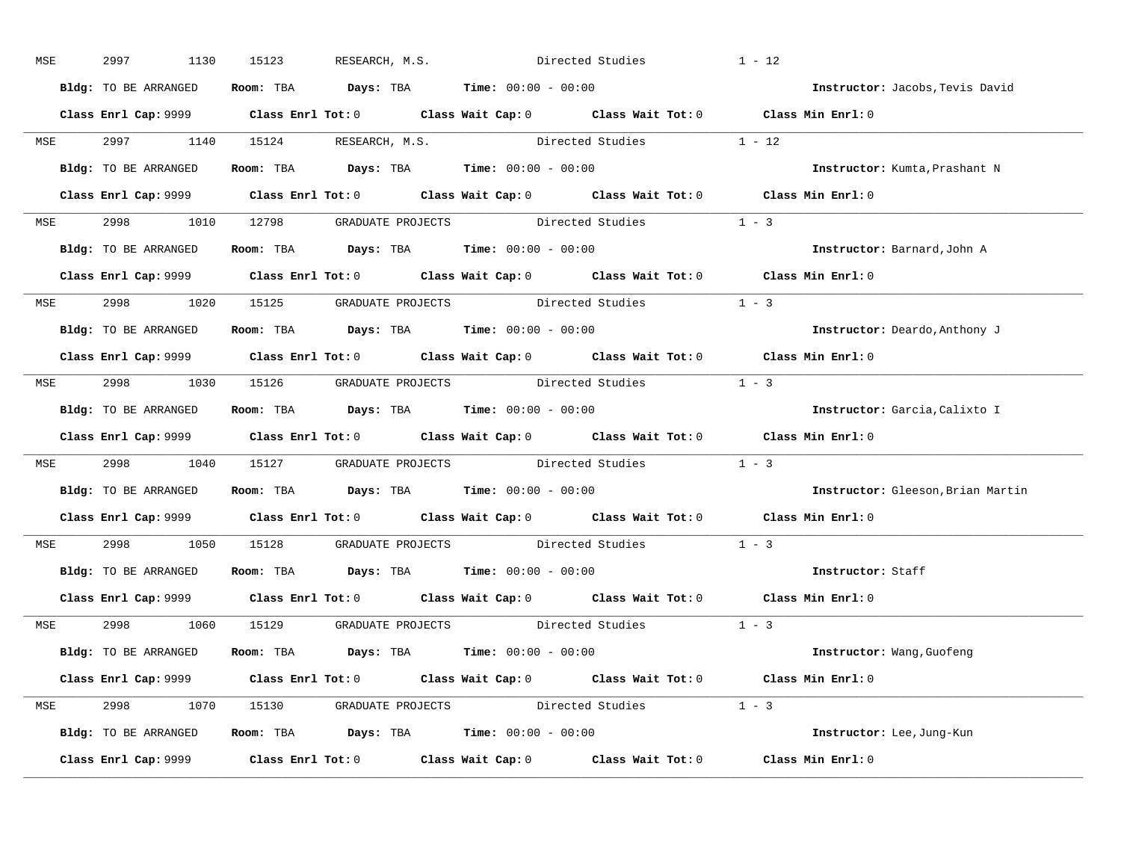| MSE |            | 2997                 | 1130 | 15123 | RESEARCH, M.S. | Directed Studies                                                                           |                                                              | $1 - 12$                                                                                     |
|-----|------------|----------------------|------|-------|----------------|--------------------------------------------------------------------------------------------|--------------------------------------------------------------|----------------------------------------------------------------------------------------------|
|     |            | Bldg: TO BE ARRANGED |      |       |                | Room: TBA $\rule{1em}{0.15mm}$ Days: TBA $\rule{1.5mm}{0.15mm}$ Time: $00:00 - 00:00$      |                                                              | Instructor: Jacobs, Tevis David                                                              |
|     |            |                      |      |       |                |                                                                                            |                                                              | Class Enrl Cap: 9999 Class Enrl Tot: 0 Class Wait Cap: 0 Class Wait Tot: 0 Class Min Enrl: 0 |
|     |            |                      |      |       |                |                                                                                            | MSE 2997 1140 15124 RESEARCH, M.S. Directed Studies 1 - 12   |                                                                                              |
|     |            |                      |      |       |                | Bldg: TO BE ARRANGED Room: TBA Days: TBA Time: 00:00 - 00:00                               |                                                              | Instructor: Kumta, Prashant N                                                                |
|     |            |                      |      |       |                |                                                                                            |                                                              | Class Enrl Cap: 9999 Class Enrl Tot: 0 Class Wait Cap: 0 Class Wait Tot: 0 Class Min Enrl: 0 |
|     |            |                      |      |       |                |                                                                                            | MSE 2998 1010 12798 GRADUATE PROJECTS Directed Studies 1 - 3 |                                                                                              |
|     |            |                      |      |       |                | <b>Bldg:</b> TO BE ARRANGED <b>Room:</b> TBA <b>Days:</b> TBA <b>Time:</b> $00:00 - 00:00$ |                                                              | Instructor: Barnard,John A                                                                   |
|     |            |                      |      |       |                |                                                                                            |                                                              | Class Enrl Cap: 9999 Class Enrl Tot: 0 Class Wait Cap: 0 Class Wait Tot: 0 Class Min Enrl: 0 |
|     |            |                      |      |       |                |                                                                                            | MSE 2998 1020 15125 GRADUATE PROJECTS Directed Studies 1 - 3 |                                                                                              |
|     |            | Bldg: TO BE ARRANGED |      |       |                | Room: TBA $Days:$ TBA $Time:$ 00:00 - 00:00                                                |                                                              | Instructor: Deardo, Anthony J                                                                |
|     |            |                      |      |       |                |                                                                                            |                                                              | Class Enrl Cap: 9999 Class Enrl Tot: 0 Class Wait Cap: 0 Class Wait Tot: 0 Class Min Enrl: 0 |
|     |            |                      |      |       |                |                                                                                            | MSE 2998 1030 15126 GRADUATE PROJECTS Directed Studies 1 - 3 |                                                                                              |
|     |            |                      |      |       |                | Bldg: TO BE ARRANGED Room: TBA Days: TBA Time: 00:00 - 00:00                               |                                                              | Instructor: Garcia, Calixto I                                                                |
|     |            |                      |      |       |                |                                                                                            |                                                              | Class Enrl Cap: 9999 Class Enrl Tot: 0 Class Wait Cap: 0 Class Wait Tot: 0 Class Min Enrl: 0 |
|     | <b>MSE</b> |                      |      |       |                |                                                                                            | 2998 1040 15127 GRADUATE PROJECTS Directed Studies 1 - 3     |                                                                                              |
|     |            |                      |      |       |                | Bldg: TO BE ARRANGED ROOM: TBA Days: TBA Time: 00:00 - 00:00                               |                                                              | Instructor: Gleeson, Brian Martin                                                            |
|     |            |                      |      |       |                |                                                                                            |                                                              | Class Enrl Cap: 9999 Class Enrl Tot: 0 Class Wait Cap: 0 Class Wait Tot: 0 Class Min Enrl: 0 |
|     | <b>MSE</b> |                      |      |       |                |                                                                                            | 2998 1050 15128 GRADUATE PROJECTS Directed Studies           | $1 - 3$                                                                                      |
|     |            |                      |      |       |                | Bldg: TO BE ARRANGED ROOM: TBA Days: TBA Time: 00:00 - 00:00                               |                                                              | Instructor: Staff                                                                            |
|     |            |                      |      |       |                |                                                                                            |                                                              | Class Enrl Cap: 9999 Class Enrl Tot: 0 Class Wait Cap: 0 Class Wait Tot: 0 Class Min Enrl: 0 |
|     |            |                      |      |       |                |                                                                                            | MSE 2998 1060 15129 GRADUATE PROJECTS Directed Studies 1 - 3 |                                                                                              |
|     |            |                      |      |       |                | Bldg: TO BE ARRANGED ROOM: TBA Days: TBA Time: 00:00 - 00:00                               |                                                              | Instructor: Wang, Guofeng                                                                    |
|     |            |                      |      |       |                |                                                                                            |                                                              | Class Enrl Cap: 9999 Class Enrl Tot: 0 Class Wait Cap: 0 Class Wait Tot: 0 Class Min Enrl: 0 |
|     |            |                      |      |       |                |                                                                                            | MSE 2998 1070 15130 GRADUATE PROJECTS Directed Studies 1 - 3 |                                                                                              |
|     |            |                      |      |       |                | Bldg: TO BE ARRANGED ROOM: TBA Days: TBA Time: 00:00 - 00:00                               |                                                              | Instructor: Lee, Jung-Kun                                                                    |
|     |            |                      |      |       |                |                                                                                            |                                                              | Class Enrl Cap: 9999 Class Enrl Tot: 0 Class Wait Cap: 0 Class Wait Tot: 0 Class Min Enrl: 0 |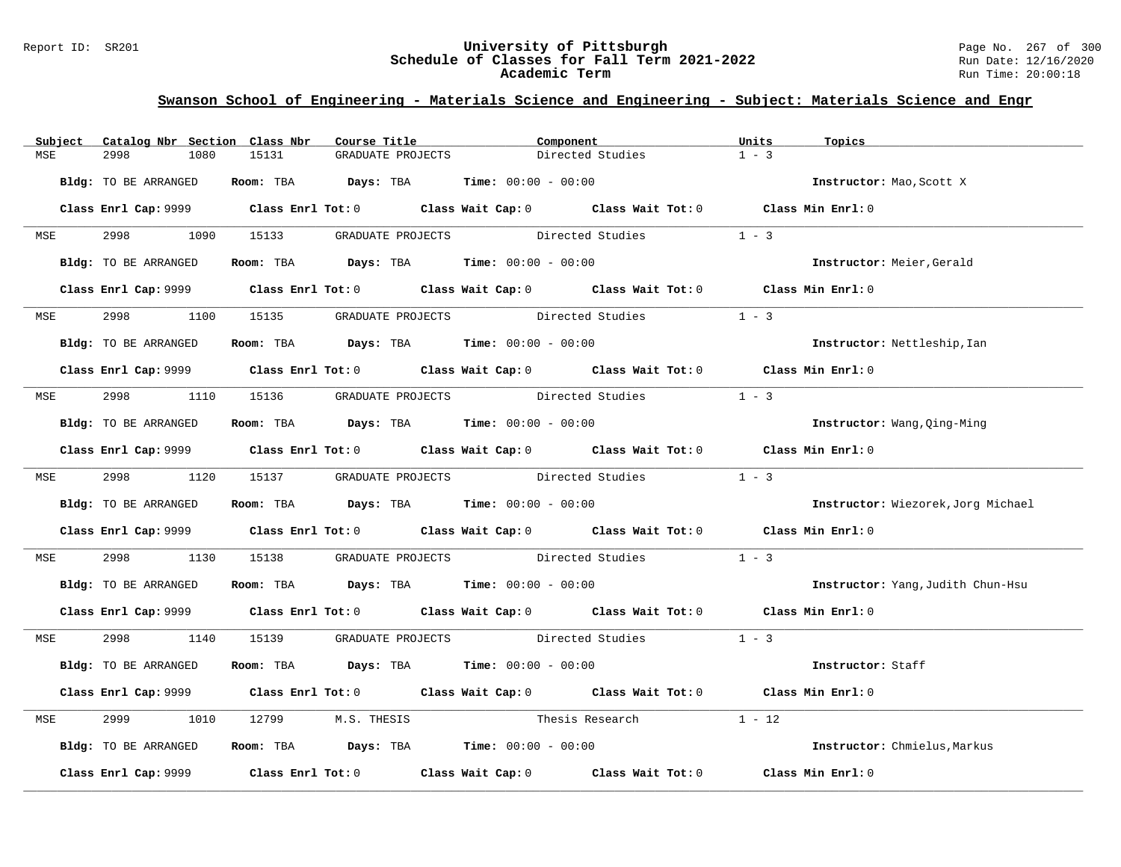#### Report ID: SR201 **University of Pittsburgh** Page No. 267 of 300 **Schedule of Classes for Fall Term 2021-2022** Run Date: 12/16/2020 **Academic Term** Run Time: 20:00:18

|            | Subject Catalog Nbr Section Class Nbr | Course Title                                                                                 |                                    | Component                                             | Units             | Topics                             |
|------------|---------------------------------------|----------------------------------------------------------------------------------------------|------------------------------------|-------------------------------------------------------|-------------------|------------------------------------|
| MSE        | 2998<br>1080                          | 15131                                                                                        | GRADUATE PROJECTS                  | Directed Studies                                      | $1 - 3$           |                                    |
|            | Bldg: TO BE ARRANGED                  | <b>Room:</b> TBA $Days: TBA$ <b>Time:</b> $00:00 - 00:00$                                    |                                    |                                                       |                   | Instructor: Mao, Scott X           |
|            |                                       | Class Enrl Cap: 9999 Class Enrl Tot: 0 Class Wait Cap: 0 Class Wait Tot: 0 Class Min Enrl: 0 |                                    |                                                       |                   |                                    |
| <b>MSE</b> | 2998<br>1090                          | 15133                                                                                        | GRADUATE PROJECTS Directed Studies |                                                       | $1 - 3$           |                                    |
|            | Bldg: TO BE ARRANGED                  | Room: TBA $Days:$ TBA $Time: 00:00 - 00:00$                                                  |                                    |                                                       |                   | Instructor: Meier, Gerald          |
|            |                                       | Class Enrl Cap: 9999 Class Enrl Tot: 0 Class Wait Cap: 0 Class Wait Tot: 0 Class Min Enrl: 0 |                                    |                                                       |                   |                                    |
| <b>MSE</b> | 2998                                  | 1100 15135                                                                                   | GRADUATE PROJECTS Directed Studies |                                                       | $1 - 3$           |                                    |
|            | Bldg: TO BE ARRANGED                  | Room: TBA $\rule{1em}{0.15mm}$ Days: TBA Time: $00:00 - 00:00$                               |                                    |                                                       |                   | Instructor: Nettleship, Ian        |
|            |                                       | Class Enrl Cap: 9999 Class Enrl Tot: 0 Class Wait Cap: 0 Class Wait Tot: 0 Class Min Enrl: 0 |                                    |                                                       |                   |                                    |
|            | MSE 2998                              | 1110 15136 GRADUATE PROJECTS Directed Studies                                                |                                    |                                                       | $1 - 3$           |                                    |
|            | Bldg: TO BE ARRANGED                  | Room: TBA $Days:$ TBA $Time: 00:00 - 00:00$                                                  |                                    |                                                       |                   | Instructor: Wang, Qing-Ming        |
|            |                                       | Class Enrl Cap: 9999 Class Enrl Tot: 0 Class Wait Cap: 0 Class Wait Tot: 0 Class Min Enrl: 0 |                                    |                                                       |                   |                                    |
|            | MSE 2998 1120 15137                   |                                                                                              |                                    | GRADUATE PROJECTS Directed Studies 1 - 3              |                   |                                    |
|            | Bldg: TO BE ARRANGED                  | Room: TBA $\rule{1em}{0.15mm}$ Days: TBA Time: $00:00 - 00:00$                               |                                    |                                                       |                   | Instructor: Wiezorek, Jorg Michael |
|            |                                       | Class Enrl Cap: 9999 Class Enrl Tot: 0 Class Wait Cap: 0 Class Wait Tot: 0 Class Min Enrl: 0 |                                    |                                                       |                   |                                    |
| MSE        | 2998<br>1130                          | 15138                                                                                        |                                    | GRADUATE PROJECTS Directed Studies 1 - 3              |                   |                                    |
|            | Bldg: TO BE ARRANGED                  | Room: TBA $Days:$ TBA $Time: 00:00 - 00:00$                                                  |                                    |                                                       |                   | Instructor: Yang, Judith Chun-Hsu  |
|            |                                       | Class Enrl Cap: 9999 Class Enrl Tot: 0 Class Wait Cap: 0 Class Wait Tot: 0 Class Min Enrl: 0 |                                    |                                                       |                   |                                    |
|            | MSE 2998 1140                         |                                                                                              |                                    | 15139 GRADUATE PROJECTS Directed Studies 1 - 3        |                   |                                    |
|            | Bldg: TO BE ARRANGED                  | Room: TBA $Days:$ TBA $Time: 00:00 - 00:00$                                                  |                                    |                                                       |                   | Instructor: Staff                  |
|            |                                       | Class Enrl Cap: 9999 Class Enrl Tot: 0 Class Wait Cap: 0 Class Wait Tot: 0 Class Min Enrl: 0 |                                    |                                                       |                   |                                    |
| MSE        | 2999<br>1010                          | 12799<br>M.S. THESIS                                                                         | Thesis Research                    | $1 - 12$                                              |                   |                                    |
|            | Bldg: TO BE ARRANGED                  | Room: TBA $\rule{1em}{0.15mm}$ Days: TBA Time: $00:00 - 00:00$                               |                                    |                                                       |                   | Instructor: Chmielus, Markus       |
|            | Class Enrl Cap: 9999                  |                                                                                              |                                    | Class Enrl Tot: 0 Class Wait Cap: 0 Class Wait Tot: 0 | Class Min Enrl: 0 |                                    |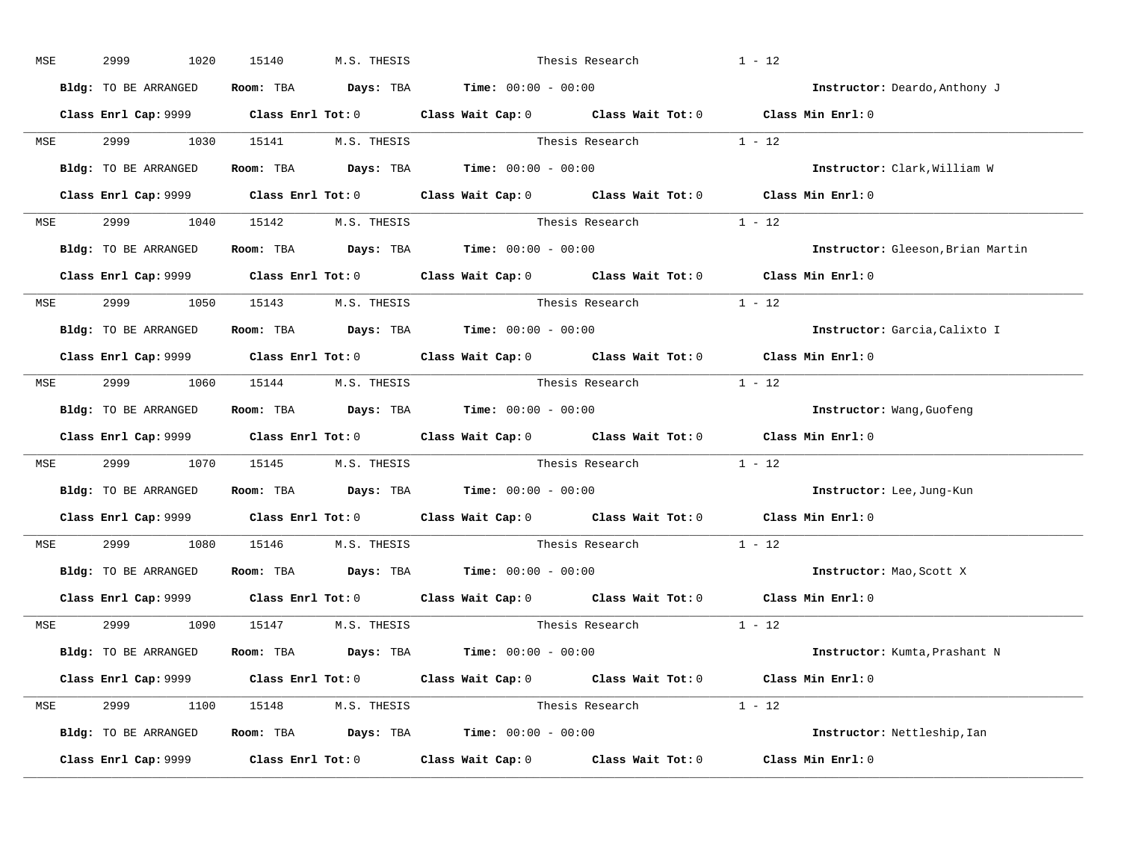| MSE        | 2999<br>1020         | 15140<br>M.S. THESIS                                                                         |                 | Thesis Research          | $1 - 12$                          |
|------------|----------------------|----------------------------------------------------------------------------------------------|-----------------|--------------------------|-----------------------------------|
|            | Bldg: TO BE ARRANGED | Room: TBA $\rule{1em}{0.15mm}$ Days: TBA $\rule{1.5mm}{0.15mm}$ Time: $00:00 - 00:00$        |                 |                          | Instructor: Deardo, Anthony J     |
|            |                      | Class Enrl Cap: 9999 Class Enrl Tot: 0 Class Wait Cap: 0 Class Wait Tot: 0 Class Min Enrl: 0 |                 |                          |                                   |
|            |                      | MSE 2999 1030 15141 M.S. THESIS Thesis Research 1 - 12                                       |                 |                          |                                   |
|            | Bldg: TO BE ARRANGED | Room: TBA $Days:$ TBA $Time: 00:00 - 00:00$                                                  |                 |                          | Instructor: Clark, William W      |
|            |                      | Class Enrl Cap: 9999 Class Enrl Tot: 0 Class Wait Cap: 0 Class Wait Tot: 0 Class Min Enrl: 0 |                 |                          |                                   |
|            |                      | MSE 2999 1040 15142 M.S. THESIS                                                              |                 | Thesis Research $1 - 12$ |                                   |
|            |                      | Bldg: TO BE ARRANGED Room: TBA Days: TBA Time: 00:00 - 00:00                                 |                 |                          | Instructor: Gleeson, Brian Martin |
|            |                      | Class Enrl Cap: 9999 Class Enrl Tot: 0 Class Wait Cap: 0 Class Wait Tot: 0 Class Min Enrl: 0 |                 |                          |                                   |
|            |                      | MSE 2999 1050 15143 M.S. THESIS                                                              |                 | Thesis Research 1 - 12   |                                   |
|            | Bldg: TO BE ARRANGED | Room: TBA $Days:$ TBA $Time:$ 00:00 - 00:00                                                  |                 |                          | Instructor: Garcia, Calixto I     |
|            |                      | Class Enrl Cap: 9999 Class Enrl Tot: 0 Class Wait Cap: 0 Class Wait Tot: 0 Class Min Enrl: 0 |                 |                          |                                   |
|            |                      | MSE 2999 1060 15144 M.S. THESIS                                                              |                 | Thesis Research $1 - 12$ |                                   |
|            | Bldg: TO BE ARRANGED | Room: TBA $\rule{1em}{0.15mm}$ Days: TBA $\rule{1.5mm}{0.15mm}$ Time: $00:00 - 00:00$        |                 |                          | Instructor: Wang, Guofeng         |
|            |                      | Class Enrl Cap: 9999 Class Enrl Tot: 0 Class Wait Cap: 0 Class Wait Tot: 0 Class Min Enrl: 0 |                 |                          |                                   |
| MSE        |                      | 2999 1070 15145 M.S. THESIS Thesis Research 1 - 12                                           |                 |                          |                                   |
|            |                      | Bldg: TO BE ARRANGED Room: TBA Days: TBA Time: 00:00 - 00:00                                 |                 |                          | Instructor: Lee, Jung-Kun         |
|            |                      | Class Enrl Cap: 9999 Class Enrl Tot: 0 Class Wait Cap: 0 Class Wait Tot: 0 Class Min Enrl: 0 |                 |                          |                                   |
| <b>MSE</b> | 2999 1080            | 15146 M.S. THESIS                                                                            | Thesis Research |                          | $1 - 12$                          |
|            |                      | Bldg: TO BE ARRANGED Room: TBA Days: TBA Time: 00:00 - 00:00                                 |                 |                          | Instructor: Mao, Scott X          |
|            |                      | Class Enrl Cap: 9999 Class Enrl Tot: 0 Class Wait Cap: 0 Class Wait Tot: 0 Class Min Enrl: 0 |                 |                          |                                   |
|            |                      | MSE 2999 1090 15147 M.S. THESIS                                                              | Thesis Research |                          | $1 - 12$                          |
|            |                      | Bldg: TO BE ARRANGED Room: TBA Days: TBA Time: 00:00 - 00:00                                 |                 |                          | Instructor: Kumta, Prashant N     |
|            |                      | Class Enrl Cap: 9999 Class Enrl Tot: 0 Class Wait Cap: 0 Class Wait Tot: 0 Class Min Enrl: 0 |                 |                          |                                   |
|            |                      | MSE 2999 1100 15148 M.S. THESIS                                                              |                 | Thesis Research 1 - 12   |                                   |
|            |                      | Bldg: TO BE ARRANGED Room: TBA Days: TBA Time: 00:00 - 00:00                                 |                 |                          | Instructor: Nettleship, Ian       |
|            |                      | Class Enrl Cap: 9999 Class Enrl Tot: 0 Class Wait Cap: 0 Class Wait Tot: 0                   |                 |                          | Class Min Enrl: 0                 |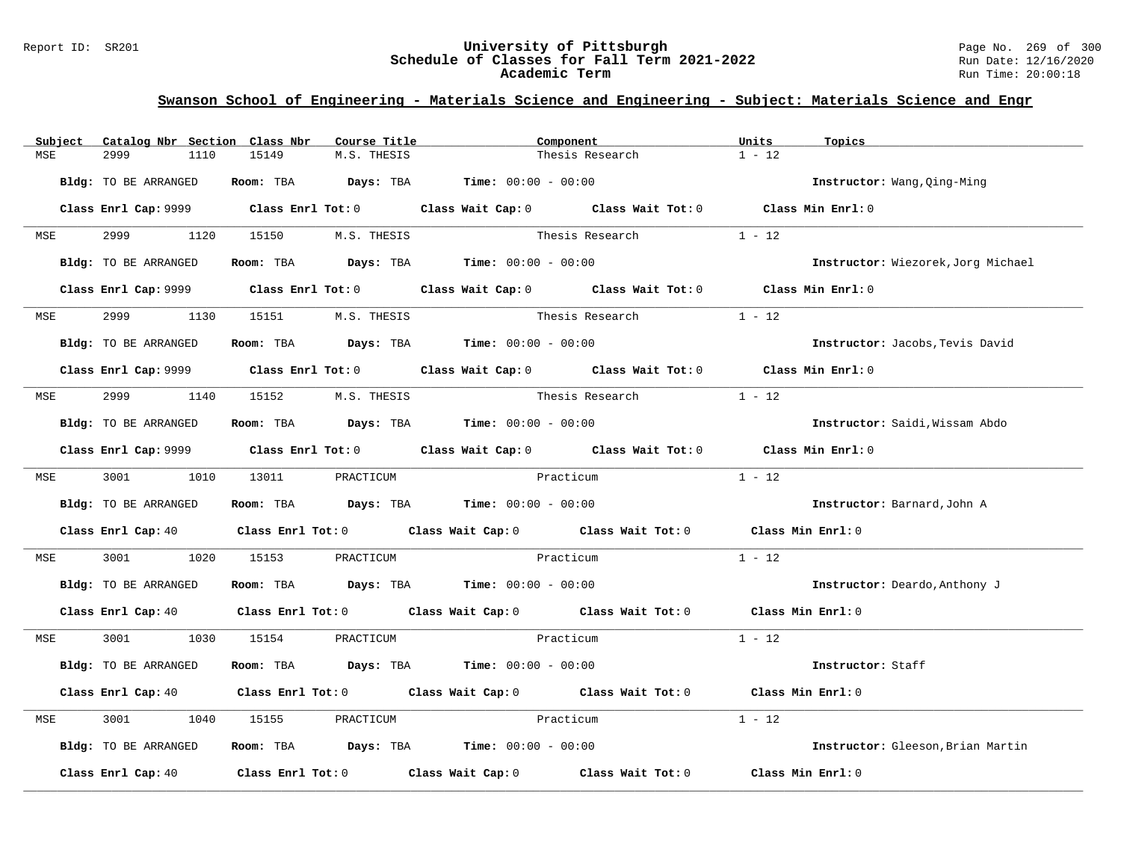#### Report ID: SR201 **University of Pittsburgh** Page No. 269 of 300 **Schedule of Classes for Fall Term 2021-2022** Run Date: 12/16/2020 **Academic Term** Run Time: 20:00:18

| Subject    | Catalog Nbr Section Class Nbr | Course Title                                                                          | Component                                                                                                                      | Units<br>Topics                    |
|------------|-------------------------------|---------------------------------------------------------------------------------------|--------------------------------------------------------------------------------------------------------------------------------|------------------------------------|
| MSE        | 2999<br>1110                  | 15149<br>M.S. THESIS                                                                  | Thesis Research                                                                                                                | $1 - 12$                           |
|            | Bldg: TO BE ARRANGED          | Room: TBA $Days:$ TBA $Time: 00:00 - 00:00$                                           |                                                                                                                                | Instructor: Wang, Oing-Ming        |
|            |                               |                                                                                       | Class Enrl Cap: 9999 Class Enrl Tot: 0 Class Wait Cap: 0 Class Wait Tot: 0 Class Min Enrl: 0                                   |                                    |
| <b>MSE</b> | 2999 72<br>1120               | 15150 M.S. THESIS                                                                     | Thesis Research                                                                                                                | $1 - 12$                           |
|            | Bldg: TO BE ARRANGED          |                                                                                       | Room: TBA $Days:$ TBA $Time: 00:00 - 00:00$                                                                                    | Instructor: Wiezorek, Jorg Michael |
|            |                               |                                                                                       | Class Enrl Cap: 9999 Class Enrl Tot: 0 Class Wait Cap: 0 Class Wait Tot: 0 Class Min Enrl: 0                                   |                                    |
| <b>MSE</b> | 2999<br>1130                  | 15151 M.S. THESIS                                                                     | Thesis Research                                                                                                                | $1 - 12$                           |
|            | <b>Bldg:</b> TO BE ARRANGED   | Room: TBA $\rule{1em}{0.15mm}$ Days: TBA $\rule{1.5mm}{0.15mm}$ Time: $00:00 - 00:00$ |                                                                                                                                | Instructor: Jacobs, Tevis David    |
|            |                               |                                                                                       | Class Enrl Cap: 9999 Class Enrl Tot: 0 Class Wait Cap: 0 Class Wait Tot: 0 Class Min Enrl: 0                                   |                                    |
| MSE        | 2999 1140                     | 15152 M.S. THESIS                                                                     | Thesis Research                                                                                                                | $1 - 12$                           |
|            | Bldg: TO BE ARRANGED          | Room: TBA $Days:$ TBA Time: $00:00 - 00:00$                                           |                                                                                                                                | Instructor: Saidi, Wissam Abdo     |
|            |                               |                                                                                       | Class Enrl Cap: 9999 Class Enrl Tot: 0 Class Wait Cap: 0 Class Wait Tot: 0 Class Min Enrl: 0                                   |                                    |
|            | MSE 3001 1010                 | 13011 PRACTICUM                                                                       | Practicum                                                                                                                      | $1 - 12$                           |
|            | Bldg: TO BE ARRANGED          | Room: TBA $Days: TBA$ Time: $00:00 - 00:00$                                           |                                                                                                                                | Instructor: Barnard, John A        |
|            |                               |                                                                                       | Class Enrl Cap: 40 Class Enrl Tot: 0 Class Wait Cap: 0 Class Wait Tot: 0 Class Min Enrl: 0                                     |                                    |
| MSE        | 3001<br>1020                  | 15153<br>PRACTICUM                                                                    | Practicum                                                                                                                      | $1 - 12$                           |
|            | Bldg: TO BE ARRANGED          | Room: TBA $Days:$ TBA $Time: 00:00 - 00:00$                                           |                                                                                                                                | Instructor: Deardo, Anthony J      |
|            |                               |                                                                                       | Class Enrl Cap: 40 $\qquad$ Class Enrl Tot: 0 $\qquad$ Class Wait Cap: 0 $\qquad$ Class Wait Tot: 0 $\qquad$ Class Min Enrl: 0 |                                    |
| <b>MSE</b> | 3001 1030 15154               | PRACTICUM                                                                             | Practicum                                                                                                                      | $1 - 12$                           |
|            | Bldg: TO BE ARRANGED          | Room: TBA $Days:$ TBA $Time: 00:00 - 00:00$                                           |                                                                                                                                | Instructor: Staff                  |
|            |                               |                                                                                       | Class Enrl Cap: 40 $\qquad$ Class Enrl Tot: 0 $\qquad$ Class Wait Cap: 0 $\qquad$ Class Wait Tot: 0 $\qquad$ Class Min Enrl: 0 |                                    |
| MSE        | 3001<br>1040                  | 15155<br>PRACTICUM                                                                    | Practicum                                                                                                                      | $1 - 12$                           |
|            | Bldg: TO BE ARRANGED          | Room: TBA $Days:$ TBA $Time: 00:00 - 00:00$                                           |                                                                                                                                | Instructor: Gleeson, Brian Martin  |
|            |                               |                                                                                       | Class Enrl Cap: 40 $\qquad$ Class Enrl Tot: 0 $\qquad$ Class Wait Cap: 0 $\qquad$ Class Wait Tot: 0                            | Class Min Enrl: 0                  |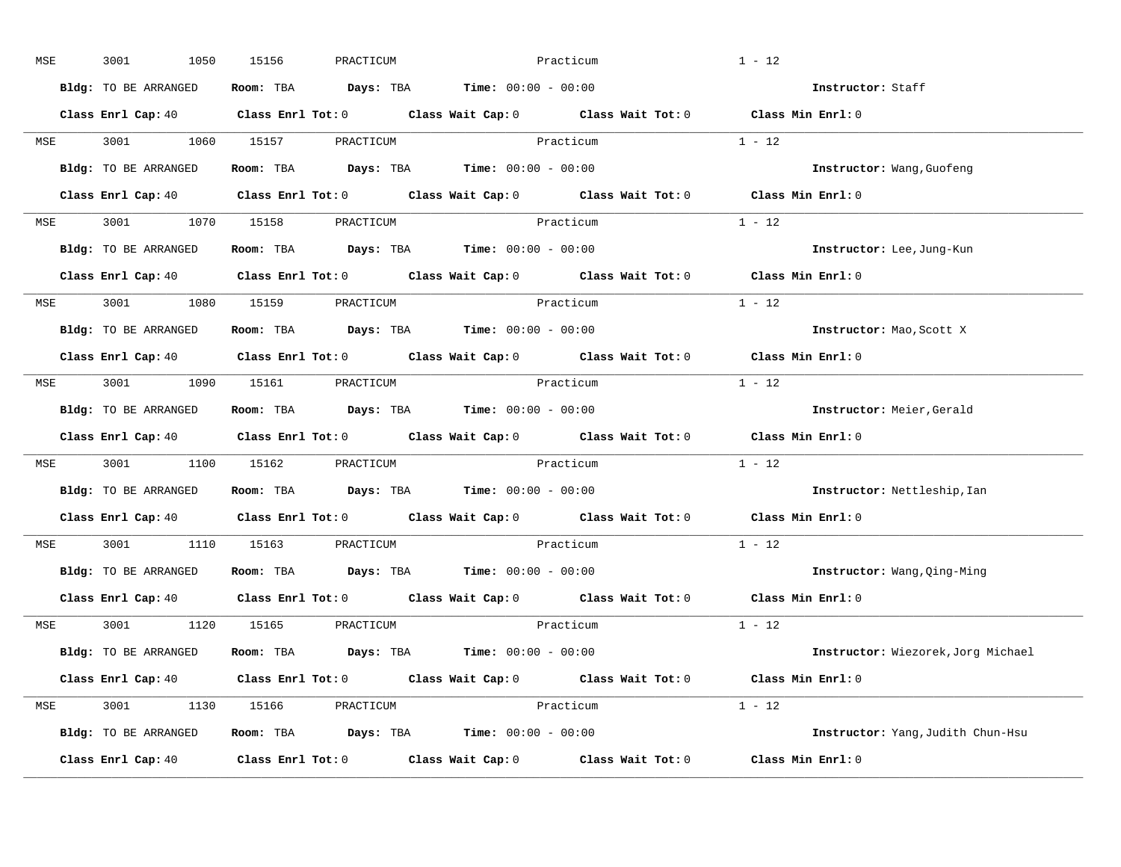| MSE        | 3001<br>1050         | 15156<br>PRACTICUM            | Practicum                                                                                                                      | $1 - 12$                           |
|------------|----------------------|-------------------------------|--------------------------------------------------------------------------------------------------------------------------------|------------------------------------|
|            | Bldg: TO BE ARRANGED |                               | Room: TBA $\rule{1em}{0.15mm}$ Days: TBA $\rule{1.15mm}]{0.15mm}$ Time: $0.000 - 0.0000$                                       | Instructor: Staff                  |
|            |                      |                               | Class Enrl Cap: 40 $\qquad$ Class Enrl Tot: 0 $\qquad$ Class Wait Cap: 0 $\qquad$ Class Wait Tot: 0 $\qquad$ Class Min Enrl: 0 |                                    |
|            |                      |                               | MSE 3001 1060 15157 PRACTICUM Practicum                                                                                        | $1 - 12$                           |
|            | Bldg: TO BE ARRANGED |                               | Room: TBA $\rule{1em}{0.15mm}$ Days: TBA Time: $00:00 - 00:00$                                                                 | Instructor: Wang, Guofeng          |
|            |                      |                               | Class Enrl Cap: 40 $\qquad$ Class Enrl Tot: 0 $\qquad$ Class Wait Cap: 0 $\qquad$ Class Wait Tot: 0 $\qquad$ Class Min Enrl: 0 |                                    |
|            |                      | MSE 3001 1070 15158 PRACTICUM | Practicum                                                                                                                      | $1 - 12$                           |
|            |                      |                               | Bldg: TO BE ARRANGED Room: TBA Days: TBA Time: 00:00 - 00:00                                                                   | Instructor: Lee, Jung-Kun          |
|            |                      |                               | Class Enrl Cap: 40 $\qquad$ Class Enrl Tot: 0 $\qquad$ Class Wait Cap: 0 $\qquad$ Class Wait Tot: 0                            | Class Min Enrl: 0                  |
|            |                      | MSE 3001 1080 15159 PRACTICUM | Practicum                                                                                                                      | $1 - 12$                           |
|            | Bldg: TO BE ARRANGED |                               | Room: TBA $\rule{1em}{0.15mm}$ Days: TBA $\rule{1.15mm}]{0.15mm}$ Time: $0.000 - 0.0000$                                       | Instructor: Mao, Scott X           |
|            |                      |                               | Class Enrl Cap: 40 $\qquad$ Class Enrl Tot: 0 $\qquad$ Class Wait Cap: 0 $\qquad$ Class Wait Tot: 0                            | Class Min Enrl: 0                  |
|            |                      | MSE 3001 1090 15161 PRACTICUM | Practicum                                                                                                                      | $1 - 12$                           |
|            | Bldg: TO BE ARRANGED |                               | Room: TBA $\rule{1em}{0.15mm}$ Days: TBA Time: $00:00 - 00:00$                                                                 | Instructor: Meier, Gerald          |
|            |                      |                               | Class Enrl Cap: 40 Class Enrl Tot: 0 Class Wait Cap: 0 Class Wait Tot: 0                                                       | Class Min Enrl: 0                  |
| MSE        |                      | 3001 1100 15162 PRACTICUM     | Practicum                                                                                                                      | $1 - 12$                           |
|            | Bldg: TO BE ARRANGED |                               | Room: TBA $\rule{1em}{0.15mm}$ Days: TBA Time: $00:00 - 00:00$                                                                 | Instructor: Nettleship, Ian        |
|            |                      |                               | Class Enrl Cap: 40 Class Enrl Tot: 0 Class Wait Cap: 0 Class Wait Tot: 0                                                       | $Class$ Min $Enrl: 0$              |
| <b>MSE</b> |                      | 3001 1110 15163 PRACTICUM     | Practicum                                                                                                                      | $1 - 12$                           |
|            |                      |                               | Bldg: TO BE ARRANGED Room: TBA Days: TBA Time: 00:00 - 00:00                                                                   | Instructor: Wang, Qing-Ming        |
|            | Class Enrl Cap: 40   |                               | Class Enrl Tot: $0$ Class Wait Cap: $0$ Class Wait Tot: $0$                                                                    | Class Min Enrl: 0                  |
|            |                      | MSE 3001 1120 15165 PRACTICUM | Practicum                                                                                                                      | $1 - 12$                           |
|            | Bldg: TO BE ARRANGED |                               | Room: TBA $Days:$ TBA $Time: 00:00 - 00:00$                                                                                    | Instructor: Wiezorek, Jorg Michael |
|            |                      |                               | Class Enrl Cap: 40 $\qquad$ Class Enrl Tot: 0 $\qquad$ Class Wait Cap: 0 $\qquad$ Class Wait Tot: 0 $\qquad$ Class Min Enrl: 0 |                                    |
|            |                      | MSE 3001 1130 15166 PRACTICUM | Practicum                                                                                                                      | $1 - 12$                           |
|            | Bldg: TO BE ARRANGED |                               | Room: TBA $Days:$ TBA $Time: 00:00 - 00:00$                                                                                    | Instructor: Yang, Judith Chun-Hsu  |
|            | Class Enrl Cap: 40   |                               | Class Enrl Tot: $0$ Class Wait Cap: $0$ Class Wait Tot: $0$                                                                    | Class Min Enrl: 0                  |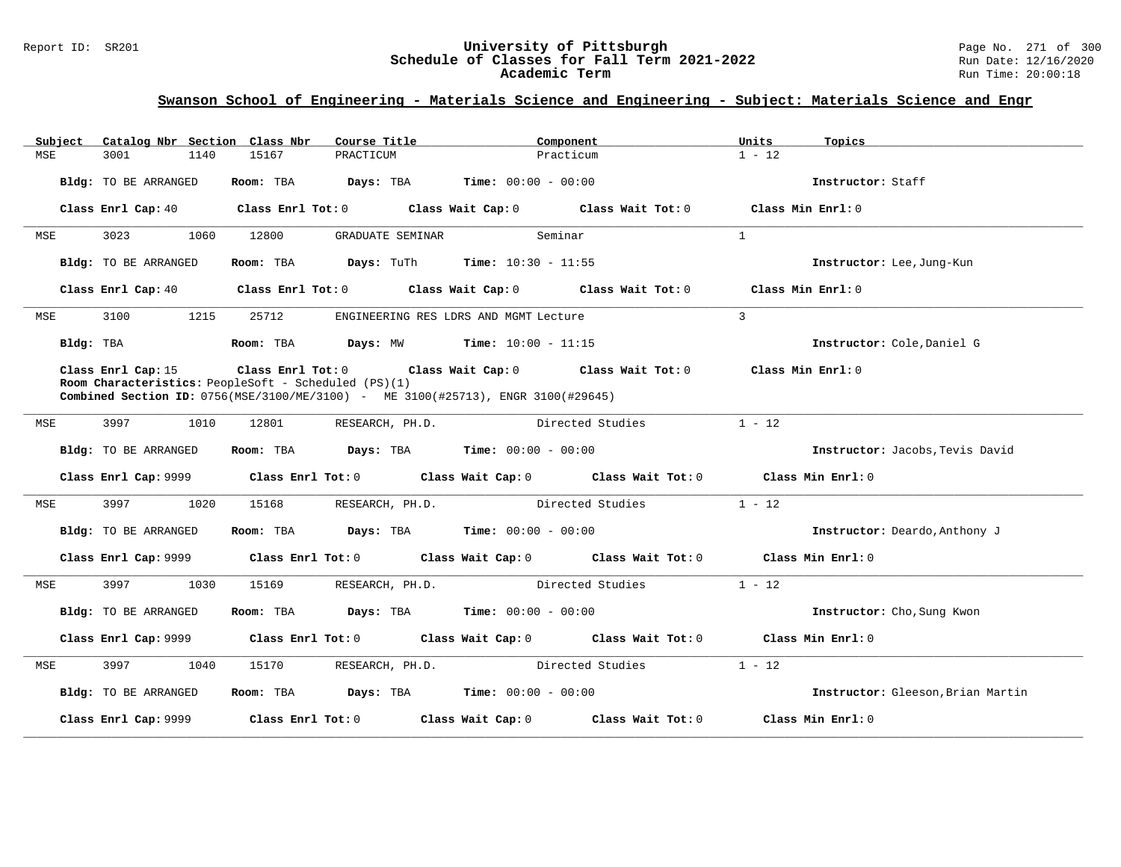# Report ID: SR201 **1988 Chedule of Classes for Fall Term 2021-2022** Page No. 271 of 300 Page No. 271 of 300 Page No<br>**Schedule of Classes for Fall Term 2021-2022** Run Date: 12/16/2020 Schedule of Classes for Fall Term 2021-2022<br>Academic Term

| Catalog Nbr Section Class Nbr<br>Subject | Course Title                                                                                                                                    | Component                                                                                          | Units<br>Topics                   |
|------------------------------------------|-------------------------------------------------------------------------------------------------------------------------------------------------|----------------------------------------------------------------------------------------------------|-----------------------------------|
| MSE<br>3001<br>1140                      | 15167<br>PRACTICUM                                                                                                                              | Practicum                                                                                          | $1 - 12$                          |
| Bldg: TO BE ARRANGED                     | Room: TBA                                                                                                                                       | <b>Days:</b> TBA <b>Time:</b> $00:00 - 00:00$                                                      | Instructor: Staff                 |
| Class Enrl Cap: 40                       |                                                                                                                                                 | Class Enrl Tot: $0$ Class Wait Cap: $0$ Class Wait Tot: $0$ Class Min Enrl: $0$                    |                                   |
| 3023<br>1060<br>MSE                      | 12800<br>GRADUATE SEMINAR                                                                                                                       | Seminar                                                                                            | $\mathbf{1}$                      |
| Bldg: TO BE ARRANGED                     | Room: TBA $\rule{1em}{0.5em}$ Days: TuTh Time: $10:30 - 11:55$                                                                                  |                                                                                                    | Instructor: Lee, Jung-Kun         |
| Class Enrl Cap: 40                       |                                                                                                                                                 | Class Enrl Tot: $0$ Class Wait Cap: $0$ Class Wait Tot: $0$ Class Min Enrl: $0$                    |                                   |
| 3100<br>1215<br>MSE                      | 25712                                                                                                                                           | ENGINEERING RES LDRS AND MGMT Lecture                                                              | $\mathbf{3}$                      |
| Bldg: TBA                                | Room: TBA  Days: MW  Time: 10:00 - 11:15                                                                                                        |                                                                                                    | Instructor: Cole, Daniel G        |
| Class Enrl Cap: 15                       | Room Characteristics: PeopleSoft - Scheduled (PS)(1)<br><b>Combined Section ID:</b> 0756(MSE/3100/ME/3100) - ME 3100(#25713), ENGR 3100(#29645) | Class Enrl Tot: $0$ Class Wait Cap: $0$ Class Wait Tot: $0$ Class Min Enrl: $0$                    |                                   |
| MSE<br>3997<br>1010                      | 12801 RESEARCH, PH.D.                                                                                                                           | Directed Studies                                                                                   | $1 - 12$                          |
| Bldg: TO BE ARRANGED                     | Room: TBA $Days:$ TBA $Time: 00:00 - 00:00$                                                                                                     |                                                                                                    | Instructor: Jacobs, Tevis David   |
|                                          |                                                                                                                                                 | Class Enrl Cap: 9999 Class Enrl Tot: 0 Class Wait Cap: 0 Class Wait Tot: 0 Class Min Enrl: 0       |                                   |
| MSE<br>3997<br>1020                      | 15168<br>RESEARCH, PH.D.                                                                                                                        | Directed Studies                                                                                   | $1 - 12$                          |
| Bldg: TO BE ARRANGED                     | Room: TBA $Days: TBA$ Time: $00:00 - 00:00$                                                                                                     |                                                                                                    | Instructor: Deardo, Anthony J     |
| Class Enrl Cap: 9999                     |                                                                                                                                                 | Class Enrl Tot: $0$ Class Wait Cap: $0$ Class Wait Tot: $0$ Class Min Enrl: $0$                    |                                   |
| 3997<br>MSE<br>1030                      | 15169<br>RESEARCH, PH.D.                                                                                                                        | Directed Studies                                                                                   | $1 - 12$                          |
| Bldg: TO BE ARRANGED                     | Room: TBA $\rule{1em}{0.15mm}$ Days: TBA $\rule{1.15mm}]{0.15mm}$ Time: $0.000 - 0.0000$                                                        |                                                                                                    | Instructor: Cho, Sung Kwon        |
| Class Enrl Cap: 9999                     |                                                                                                                                                 | Class Enrl Tot: 0 $\qquad$ Class Wait Cap: 0 $\qquad$ Class Wait Tot: 0 $\qquad$ Class Min Enrl: 0 |                                   |
| 3997<br>1040<br>MSE                      | 15170<br>RESEARCH, PH.D.                                                                                                                        | Directed Studies                                                                                   | $1 - 12$                          |
| Bldg: TO BE ARRANGED                     | Room: TBA $Days: TBA$ Time: $00:00 - 00:00$                                                                                                     |                                                                                                    | Instructor: Gleeson, Brian Martin |
| Class Enrl Cap: 9999                     | Class Enrl Tot: 0 Class Wait Cap: 0                                                                                                             | Class Wait Tot: 0                                                                                  | Class Min Enrl: 0                 |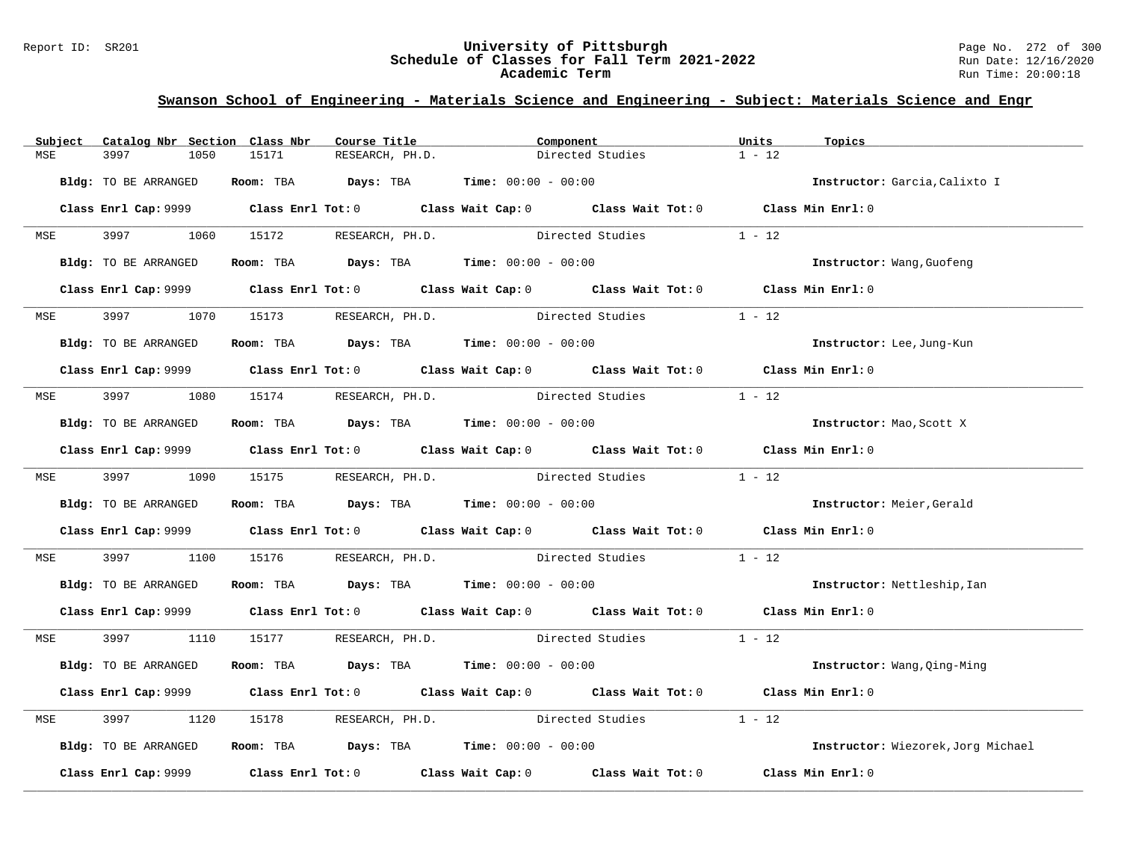#### Report ID: SR201 **University of Pittsburgh** Page No. 272 of 300 **Schedule of Classes for Fall Term 2021-2022** Run Date: 12/16/2020 **Academic Term** Run Time: 20:00:18

|            | Subject Catalog Nbr Section Class Nbr | Course Title                                                                                 | Component                                             | Units             | Topics                             |
|------------|---------------------------------------|----------------------------------------------------------------------------------------------|-------------------------------------------------------|-------------------|------------------------------------|
| MSE        | 3997<br>1050                          | 15171<br>RESEARCH, PH.D.                                                                     | Directed Studies                                      | $1 - 12$          |                                    |
|            | Bldg: TO BE ARRANGED                  | Room: TBA $Days:$ TBA $Time: 00:00 - 00:00$                                                  |                                                       |                   | Instructor: Garcia, Calixto I      |
|            |                                       | Class Enrl Cap: 9999 Class Enrl Tot: 0 Class Wait Cap: 0 Class Wait Tot: 0 Class Min Enrl: 0 |                                                       |                   |                                    |
| <b>MSE</b> | 3997<br>1060                          | 15172 RESEARCH, PH.D.                                                                        | Directed Studies                                      | $1 - 12$          |                                    |
|            | Bldg: TO BE ARRANGED                  | Room: TBA $Days:$ TBA $Time: 00:00 - 00:00$                                                  |                                                       |                   | Instructor: Wang, Guofeng          |
|            |                                       | Class Enrl Cap: 9999 Class Enrl Tot: 0 Class Wait Cap: 0 Class Wait Tot: 0 Class Min Enrl: 0 |                                                       |                   |                                    |
| <b>MSE</b> | 3997 — 100                            | 1070 15173 RESEARCH, PH.D.                                                                   | Directed Studies                                      | $1 - 12$          |                                    |
|            | Bldg: TO BE ARRANGED                  | Room: TBA $Days:$ TBA $Time: 00:00 - 00:00$                                                  |                                                       |                   | Instructor: Lee, Jung-Kun          |
|            |                                       | Class Enrl Cap: 9999 Class Enrl Tot: 0 Class Wait Cap: 0 Class Wait Tot: 0 Class Min Enrl: 0 |                                                       |                   |                                    |
|            |                                       | MSE 3997 1080 15174 RESEARCH, PH.D.                                                          | Directed Studies                                      | $1 - 12$          |                                    |
|            | Bldg: TO BE ARRANGED                  | Room: TBA $Days:$ TBA $Time: 00:00 - 00:00$                                                  |                                                       |                   | Instructor: Mao, Scott X           |
|            |                                       | Class Enrl Cap: 9999 Class Enrl Tot: 0 Class Wait Cap: 0 Class Wait Tot: 0 Class Min Enrl: 0 |                                                       |                   |                                    |
|            |                                       | MSE 3997 1090 15175 RESEARCH, PH.D. Directed Studies 1 - 12                                  |                                                       |                   |                                    |
|            | Bldg: TO BE ARRANGED                  | Room: TBA $Days: TBA$ Time: $00:00 - 00:00$                                                  |                                                       |                   | Instructor: Meier, Gerald          |
|            |                                       | Class Enrl Cap: 9999 Class Enrl Tot: 0 Class Wait Cap: 0 Class Wait Tot: 0 Class Min Enrl: 0 |                                                       |                   |                                    |
| MSE        | 3997<br>1100                          |                                                                                              | 15176 RESEARCH, PH.D. Directed Studies 1 - 12         |                   |                                    |
|            | Bldg: TO BE ARRANGED                  | Room: TBA $Days:$ TBA $Time: 00:00 - 00:00$                                                  |                                                       |                   | Instructor: Nettleship, Ian        |
|            |                                       | Class Enrl Cap: 9999 Class Enrl Tot: 0 Class Wait Cap: 0 Class Wait Tot: 0 Class Min Enrl: 0 |                                                       |                   |                                    |
|            |                                       | MSE 3997 1110 15177 RESEARCH, PH.D. Directed Studies 1 - 12                                  |                                                       |                   |                                    |
|            | Bldg: TO BE ARRANGED                  | Room: TBA $Days:$ TBA $Time: 00:00 - 00:00$                                                  |                                                       |                   | Instructor: Wang, Qing-Ming        |
|            |                                       | Class Enrl Cap: 9999 Class Enrl Tot: 0 Class Wait Cap: 0 Class Wait Tot: 0 Class Min Enrl: 0 |                                                       |                   |                                    |
| MSE        | 3997<br>1120                          |                                                                                              | 15178 RESEARCH, PH.D. Directed Studies                | $1 - 12$          |                                    |
|            | Bldg: TO BE ARRANGED                  | Room: TBA $\rule{1em}{0.15mm}$ Days: TBA Time: $00:00 - 00:00$                               |                                                       |                   | Instructor: Wiezorek, Jorg Michael |
|            | Class Enrl Cap: 9999                  |                                                                                              | Class Enrl Tot: 0 Class Wait Cap: 0 Class Wait Tot: 0 | Class Min Enrl: 0 |                                    |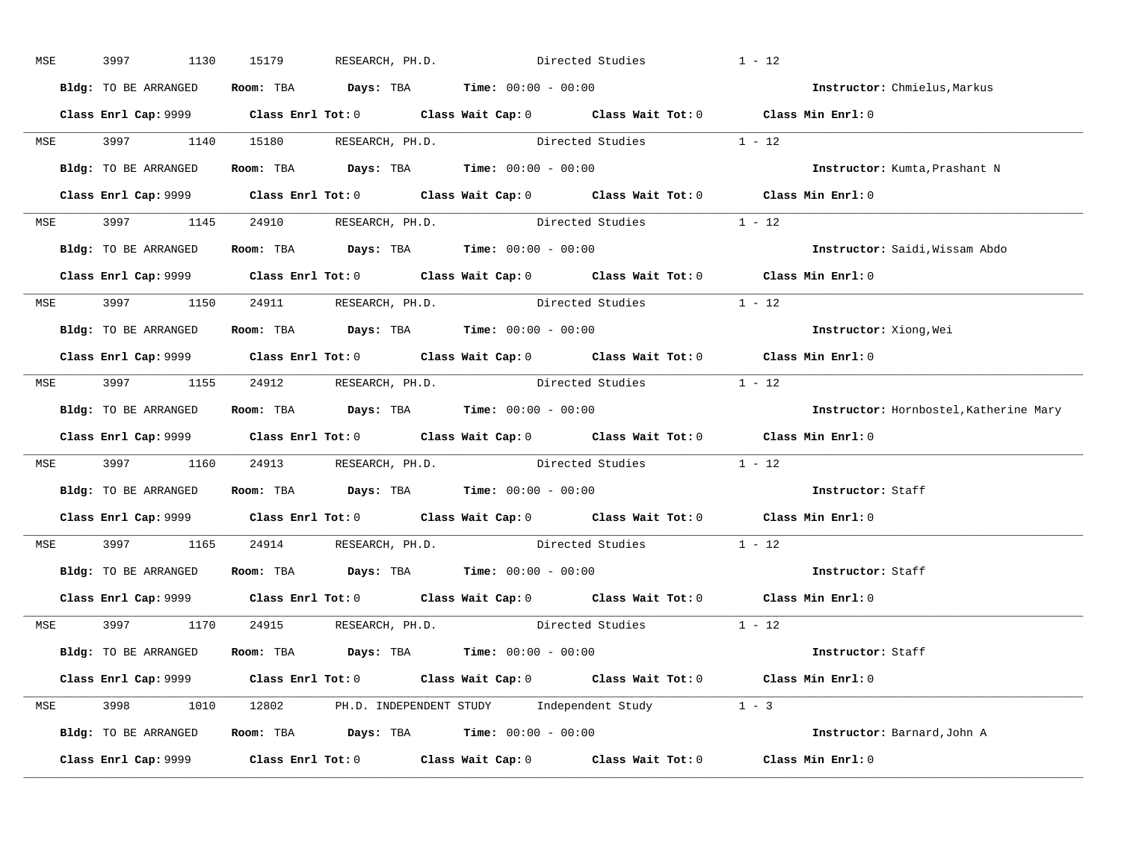| MSE | 3997<br>1130         | 15179                                                                                        | RESEARCH, PH.D. Directed Studies |                         | $1 - 12$                               |
|-----|----------------------|----------------------------------------------------------------------------------------------|----------------------------------|-------------------------|----------------------------------------|
|     | Bldg: TO BE ARRANGED | Room: TBA $\rule{1em}{0.15mm}$ Days: TBA Time: $00:00 - 00:00$                               |                                  |                         | Instructor: Chmielus, Markus           |
|     |                      | Class Enrl Cap: 9999 Class Enrl Tot: 0 Class Wait Cap: 0 Class Wait Tot: 0 Class Min Enrl: 0 |                                  |                         |                                        |
|     |                      | MSE 3997 1140 15180 RESEARCH, PH.D. Directed Studies 1 - 12                                  |                                  |                         |                                        |
|     |                      | Bldg: TO BE ARRANGED ROOM: TBA Days: TBA Time: 00:00 - 00:00                                 |                                  |                         | Instructor: Kumta, Prashant N          |
|     |                      | Class Enrl Cap: 9999 Class Enrl Tot: 0 Class Wait Cap: 0 Class Wait Tot: 0 Class Min Enrl: 0 |                                  |                         |                                        |
|     |                      | MSE 3997 1145 24910 RESEARCH, PH.D. Directed Studies 1 - 12                                  |                                  |                         |                                        |
|     |                      | <b>Bldg:</b> TO BE ARRANGED <b>Room:</b> TBA <b>Days:</b> TBA <b>Time:</b> $00:00 - 00:00$   |                                  |                         | Instructor: Saidi, Wissam Abdo         |
|     |                      | Class Enrl Cap: 9999 Class Enrl Tot: 0 Class Wait Cap: 0 Class Wait Tot: 0 Class Min Enrl: 0 |                                  |                         |                                        |
|     |                      | MSE 3997 1150 24911 RESEARCH, PH.D.                                                          |                                  | Directed Studies 1 - 12 |                                        |
|     | Bldg: TO BE ARRANGED | Room: TBA $\rule{1em}{0.15mm}$ Days: TBA Time: $00:00 - 00:00$                               |                                  |                         | Instructor: Xiong, Wei                 |
|     |                      | Class Enrl Cap: 9999 Class Enrl Tot: 0 Class Wait Cap: 0 Class Wait Tot: 0 Class Min Enrl: 0 |                                  |                         |                                        |
|     |                      | MSE 3997 1155 24912 RESEARCH, PH.D. Directed Studies 1 - 12                                  |                                  |                         |                                        |
|     |                      | Bldg: TO BE ARRANGED Room: TBA Days: TBA Time: 00:00 - 00:00                                 |                                  |                         | Instructor: Hornbostel, Katherine Mary |
|     |                      | Class Enrl Cap: 9999 Class Enrl Tot: 0 Class Wait Cap: 0 Class Wait Tot: 0 Class Min Enrl: 0 |                                  |                         |                                        |
|     |                      | MSE 3997 1160 24913 RESEARCH, PH.D. Directed Studies 1 - 12                                  |                                  |                         |                                        |
|     |                      | Bldg: TO BE ARRANGED Room: TBA Days: TBA Time: 00:00 - 00:00                                 |                                  |                         | Instructor: Staff                      |
|     |                      | Class Enrl Cap: 9999 Class Enrl Tot: 0 Class Wait Cap: 0 Class Wait Tot: 0 Class Min Enrl: 0 |                                  |                         |                                        |
|     |                      | MSE 3997 1165 24914 RESEARCH, PH.D. Directed Studies 1 - 12                                  |                                  |                         |                                        |
|     |                      | Bldg: TO BE ARRANGED ROOM: TBA Days: TBA Time: 00:00 - 00:00                                 |                                  |                         | Instructor: Staff                      |
|     |                      | Class Enrl Cap: 9999 Class Enrl Tot: 0 Class Wait Cap: 0 Class Wait Tot: 0 Class Min Enrl: 0 |                                  |                         |                                        |
|     |                      | MSE 3997 1170 24915 RESEARCH, PH.D.                                                          |                                  | Directed Studies 1 - 12 |                                        |
|     |                      | Bldg: TO BE ARRANGED Room: TBA Days: TBA Time: 00:00 - 00:00                                 |                                  |                         | Instructor: Staff                      |
|     |                      | Class Enrl Cap: 9999 Class Enrl Tot: 0 Class Wait Cap: 0 Class Wait Tot: 0 Class Min Enrl: 0 |                                  |                         |                                        |
|     |                      | MSE 3998 1010 12802 PH.D. INDEPENDENT STUDY Independent Study 1 - 3                          |                                  |                         |                                        |
|     |                      | Bldg: TO BE ARRANGED Room: TBA Days: TBA Time: 00:00 - 00:00                                 |                                  |                         | Instructor: Barnard, John A            |
|     |                      | Class Enrl Cap: 9999 Class Enrl Tot: 0 Class Wait Cap: 0 Class Wait Tot: 0 Class Min Enrl: 0 |                                  |                         |                                        |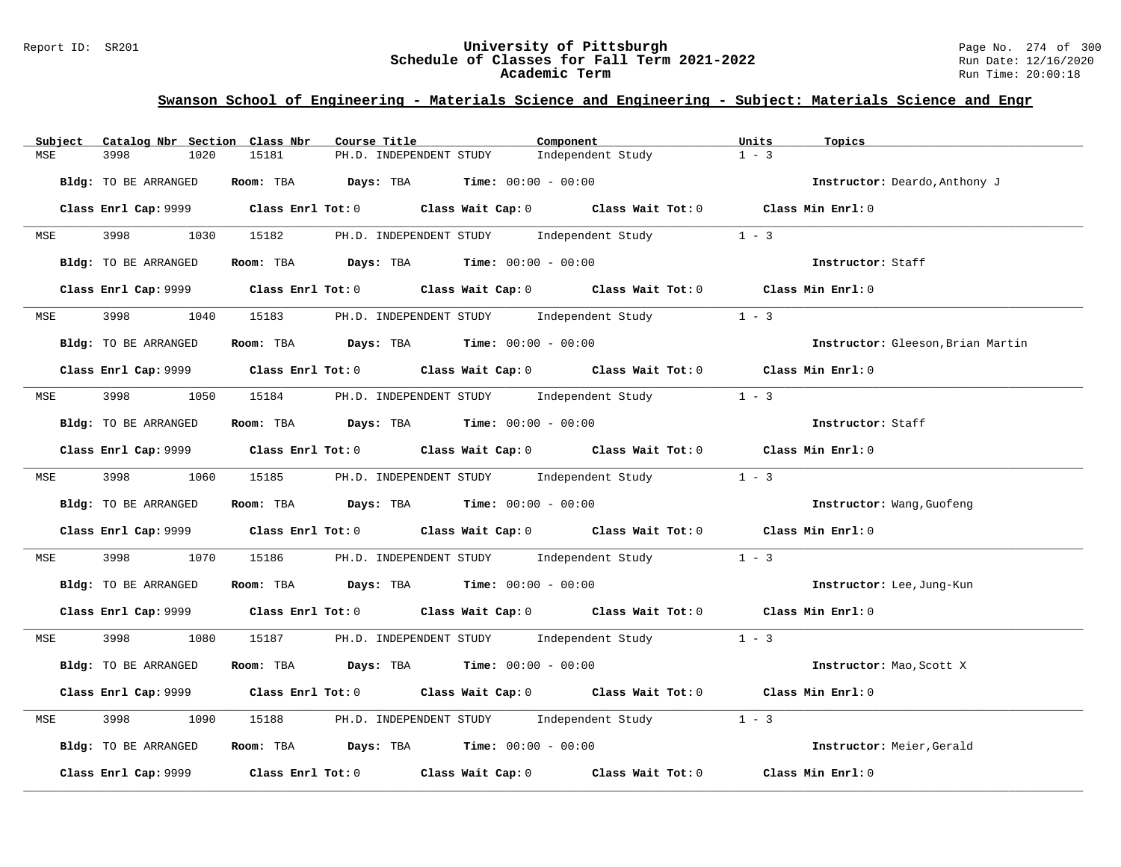#### Report ID: SR201 **University of Pittsburgh** Page No. 274 of 300 **Schedule of Classes for Fall Term 2021-2022** Run Date: 12/16/2020 **Academic Term** Run Time: 20:00:18

| Subject    | Catalog Nbr Section Class Nbr | Course Title                                                                                 | Component                                                   |                   | Units<br>Topics   |                                   |
|------------|-------------------------------|----------------------------------------------------------------------------------------------|-------------------------------------------------------------|-------------------|-------------------|-----------------------------------|
| MSE        | 3998<br>1020                  | 15181                                                                                        | PH.D. INDEPENDENT STUDY                                     | Independent Study | $1 - 3$           |                                   |
|            | Bldg: TO BE ARRANGED          | Room: TBA $Days:$ TBA $Time: 00:00 - 00:00$                                                  |                                                             |                   |                   | Instructor: Deardo, Anthony J     |
|            |                               | Class Enrl Cap: 9999 Class Enrl Tot: 0 Class Wait Cap: 0 Class Wait Tot: 0 Class Min Enrl: 0 |                                                             |                   |                   |                                   |
| <b>MSE</b> | 3998<br>1030                  | 15182                                                                                        | PH.D. INDEPENDENT STUDY Independent Study                   |                   | $1 - 3$           |                                   |
|            | Bldg: TO BE ARRANGED          | Room: TBA $Days:$ TBA $Time: 00:00 - 00:00$                                                  |                                                             |                   | Instructor: Staff |                                   |
|            |                               | Class Enrl Cap: 9999 Class Enrl Tot: 0 Class Wait Cap: 0 Class Wait Tot: 0 Class Min Enrl: 0 |                                                             |                   |                   |                                   |
| <b>MSE</b> | 3998<br>1040                  | 15183                                                                                        | PH.D. INDEPENDENT STUDY Independent Study                   |                   | $1 - 3$           |                                   |
|            | Bldg: TO BE ARRANGED          | Room: TBA $\rule{1em}{0.15mm}$ Days: TBA Time: $00:00 - 00:00$                               |                                                             |                   |                   | Instructor: Gleeson, Brian Martin |
|            |                               | Class Enrl Cap: 9999 Class Enrl Tot: 0 Class Wait Cap: 0 Class Wait Tot: 0 Class Min Enrl: 0 |                                                             |                   |                   |                                   |
|            | MSE 3998                      | 1050 15184 PH.D. INDEPENDENT STUDY Independent Study                                         |                                                             |                   | $1 - 3$           |                                   |
|            | Bldg: TO BE ARRANGED          | Room: TBA $Days:$ TBA $Time: 00:00 - 00:00$                                                  |                                                             |                   | Instructor: Staff |                                   |
|            |                               | Class Enrl Cap: 9999 Class Enrl Tot: 0 Class Wait Cap: 0 Class Wait Tot: 0 Class Min Enrl: 0 |                                                             |                   |                   |                                   |
|            | MSE 3998<br>1060              |                                                                                              | 15185 PH.D. INDEPENDENT STUDY Independent Study 1 - 3       |                   |                   |                                   |
|            | Bldg: TO BE ARRANGED          | Room: TBA $Days:$ TBA $Time: 00:00 - 00:00$                                                  |                                                             |                   |                   | Instructor: Wang, Guofeng         |
|            |                               | Class Enrl Cap: 9999 Class Enrl Tot: 0 Class Wait Cap: 0 Class Wait Tot: 0 Class Min Enrl: 0 |                                                             |                   |                   |                                   |
| MSE        | 3998<br>1070                  |                                                                                              | 15186 PH.D. INDEPENDENT STUDY Independent Study 1 - 3       |                   |                   |                                   |
|            | Bldg: TO BE ARRANGED          | Room: TBA $Days:$ TBA $Time: 00:00 - 00:00$                                                  |                                                             |                   |                   | Instructor: Lee, Jung-Kun         |
|            |                               | Class Enrl Cap: 9999 Class Enrl Tot: 0 Class Wait Cap: 0 Class Wait Tot: 0 Class Min Enrl: 0 |                                                             |                   |                   |                                   |
|            | MSE 3998<br>1080              |                                                                                              | 15187 PH.D. INDEPENDENT STUDY Independent Study 1 - 3       |                   |                   |                                   |
|            | Bldg: TO BE ARRANGED          | Room: TBA $Days:$ TBA $Time: 00:00 - 00:00$                                                  |                                                             |                   |                   | Instructor: Mao, Scott X          |
|            |                               | Class Enrl Cap: 9999 Class Enrl Tot: 0 Class Wait Cap: 0 Class Wait Tot: 0 Class Min Enrl: 0 |                                                             |                   |                   |                                   |
| MSE        | 3998<br>1090                  | 15188                                                                                        | PH.D. INDEPENDENT STUDY Independent Study 1 - 3             |                   |                   |                                   |
|            | Bldg: TO BE ARRANGED          | Room: TBA $\rule{1em}{0.15mm}$ Days: TBA $\rule{1.15mm}]{0.15mm}$ Time: $0.0100 - 0.0100$    |                                                             |                   |                   | Instructor: Meier, Gerald         |
|            | Class Enrl Cap: 9999          |                                                                                              | Class Enrl Tot: $0$ Class Wait Cap: $0$ Class Wait Tot: $0$ |                   | Class Min Enrl: 0 |                                   |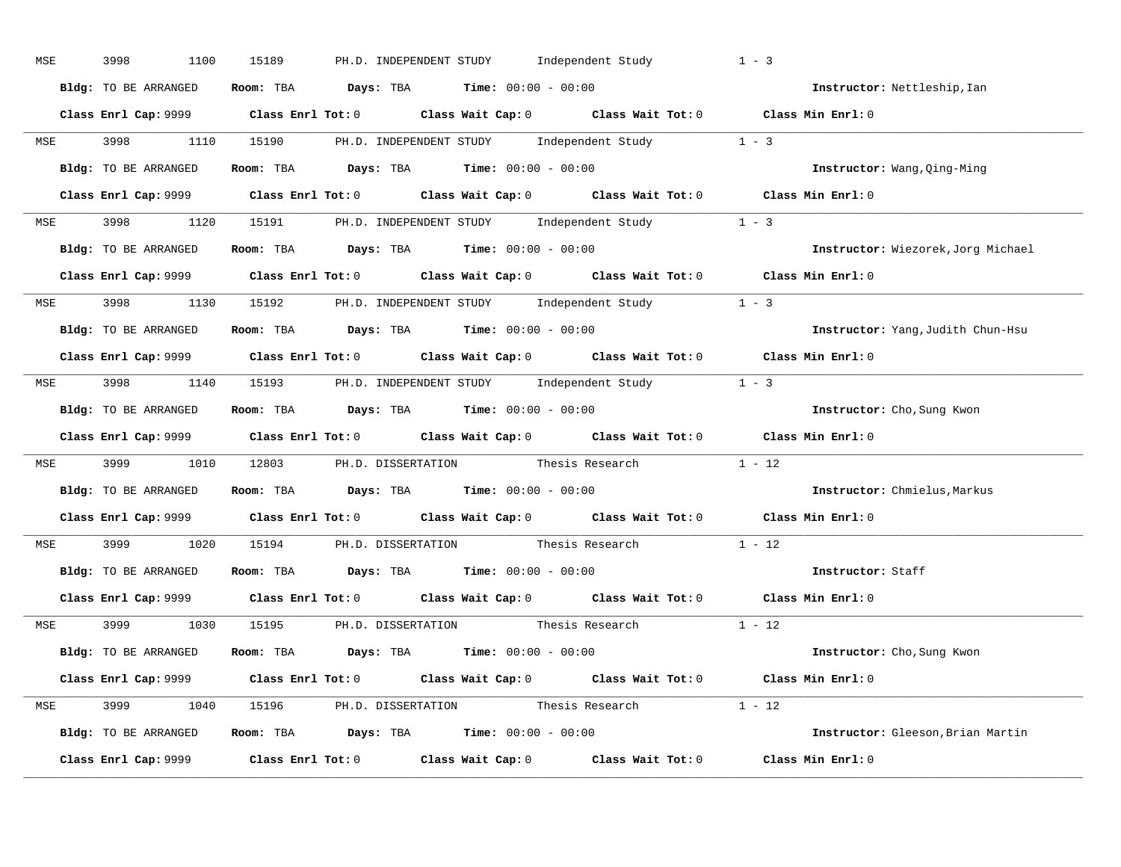| MSE        | 3998<br>1100         | 15189                                                                                      | PH.D. INDEPENDENT STUDY Independent Study                                                      | $1 - 3$                            |
|------------|----------------------|--------------------------------------------------------------------------------------------|------------------------------------------------------------------------------------------------|------------------------------------|
|            | Bldg: TO BE ARRANGED | Room: TBA $Days:$ TBA $Time: 00:00 - 00:00$                                                |                                                                                                | Instructor: Nettleship, Ian        |
|            |                      |                                                                                            | Class Enrl Cap: 9999 Class Enrl Tot: 0 Class Wait Cap: 0 Class Wait Tot: 0 Class Min Enrl: 0   |                                    |
|            |                      |                                                                                            | MSE 3998 1110 15190 PH.D. INDEPENDENT STUDY Independent Study 1 - 3                            |                                    |
|            | Bldg: TO BE ARRANGED | Room: TBA $Days:$ TBA $Time: 00:00 - 00:00$                                                |                                                                                                | Instructor: Wang, Qing-Ming        |
|            |                      |                                                                                            | Class Enrl Cap: 9999 Class Enrl Tot: 0 Class Wait Cap: 0 Class Wait Tot: 0 Class Min Enrl: 0   |                                    |
|            |                      |                                                                                            | MSE 3998 1120 15191 PH.D. INDEPENDENT STUDY Independent Study 1 - 3                            |                                    |
|            |                      | <b>Bldg:</b> TO BE ARRANGED <b>Room:</b> TBA <b>Days:</b> TBA <b>Time:</b> $00:00 - 00:00$ |                                                                                                | Instructor: Wiezorek, Jorg Michael |
|            |                      |                                                                                            | Class Enrl Cap: 9999 Class Enrl Tot: 0 Class Wait Cap: 0 Class Wait Tot: 0 Class Min Enrl: 0   |                                    |
|            |                      |                                                                                            | MSE 3998 1130 15192 PH.D. INDEPENDENT STUDY Independent Study 1 - 3                            |                                    |
|            | Bldg: TO BE ARRANGED | Room: TBA $\rule{1em}{0.15mm}$ Days: TBA Time: $00:00 - 00:00$                             |                                                                                                | Instructor: Yang, Judith Chun-Hsu  |
|            |                      |                                                                                            | Class Enrl Cap: 9999 Class Enrl Tot: 0 Class Wait Cap: 0 Class Wait Tot: 0 Class Min Enrl: 0   |                                    |
|            |                      |                                                                                            | MSE 3998 1140 15193 PH.D. INDEPENDENT STUDY Independent Study 1 - 3                            |                                    |
|            | Bldg: TO BE ARRANGED | Room: TBA $Days:$ TBA $Time:$ $00:00 - 00:00$                                              |                                                                                                | Instructor: Cho, Sung Kwon         |
|            |                      |                                                                                            | Class Enrl Cap: 9999 Class Enrl Tot: 0 Class Wait Cap: 0 Class Wait Tot: 0 Class Min Enrl: 0   |                                    |
|            |                      |                                                                                            | MSE 3999 1010 12803 PH.D. DISSERTATION Thesis Research 1 - 12                                  |                                    |
|            |                      | Bldg: TO BE ARRANGED Room: TBA Days: TBA Time: 00:00 - 00:00                               |                                                                                                | Instructor: Chmielus, Markus       |
|            |                      |                                                                                            | Class Enrl Cap: $9999$ Class Enrl Tot: 0 Class Wait Cap: 0 Class Wait Tot: 0 Class Min Enrl: 0 |                                    |
| <b>MSE</b> | 3999 1020            |                                                                                            | 15194 PH.D. DISSERTATION Thesis Research                                                       | $1 - 12$                           |
|            |                      | Bldg: TO BE ARRANGED ROOM: TBA Days: TBA Time: 00:00 - 00:00                               |                                                                                                | Instructor: Staff                  |
|            |                      |                                                                                            | Class Enrl Cap: 9999 Class Enrl Tot: 0 Class Wait Cap: 0 Class Wait Tot: 0 Class Min Enrl: 0   |                                    |
|            |                      |                                                                                            | MSE 3999 1030 15195 PH.D. DISSERTATION Thesis Research 1 - 12                                  |                                    |
|            |                      | Bldg: TO BE ARRANGED Room: TBA Days: TBA Time: 00:00 - 00:00                               |                                                                                                | Instructor: Cho, Sung Kwon         |
|            |                      |                                                                                            | Class Enrl Cap: 9999 Class Enrl Tot: 0 Class Wait Cap: 0 Class Wait Tot: 0 Class Min Enrl: 0   |                                    |
|            |                      |                                                                                            | MSE 3999 1040 15196 PH.D. DISSERTATION Thesis Research 1 - 12                                  |                                    |
|            |                      | <b>Bldg:</b> TO BE ARRANGED <b>ROOM:</b> TBA <b>Days:</b> TBA <b>Time:</b> $00:00 - 00:00$ |                                                                                                | Instructor: Gleeson, Brian Martin  |
|            |                      |                                                                                            | Class Enrl Cap: 9999 Class Enrl Tot: 0 Class Wait Cap: 0 Class Wait Tot: 0 Class Min Enrl: 0   |                                    |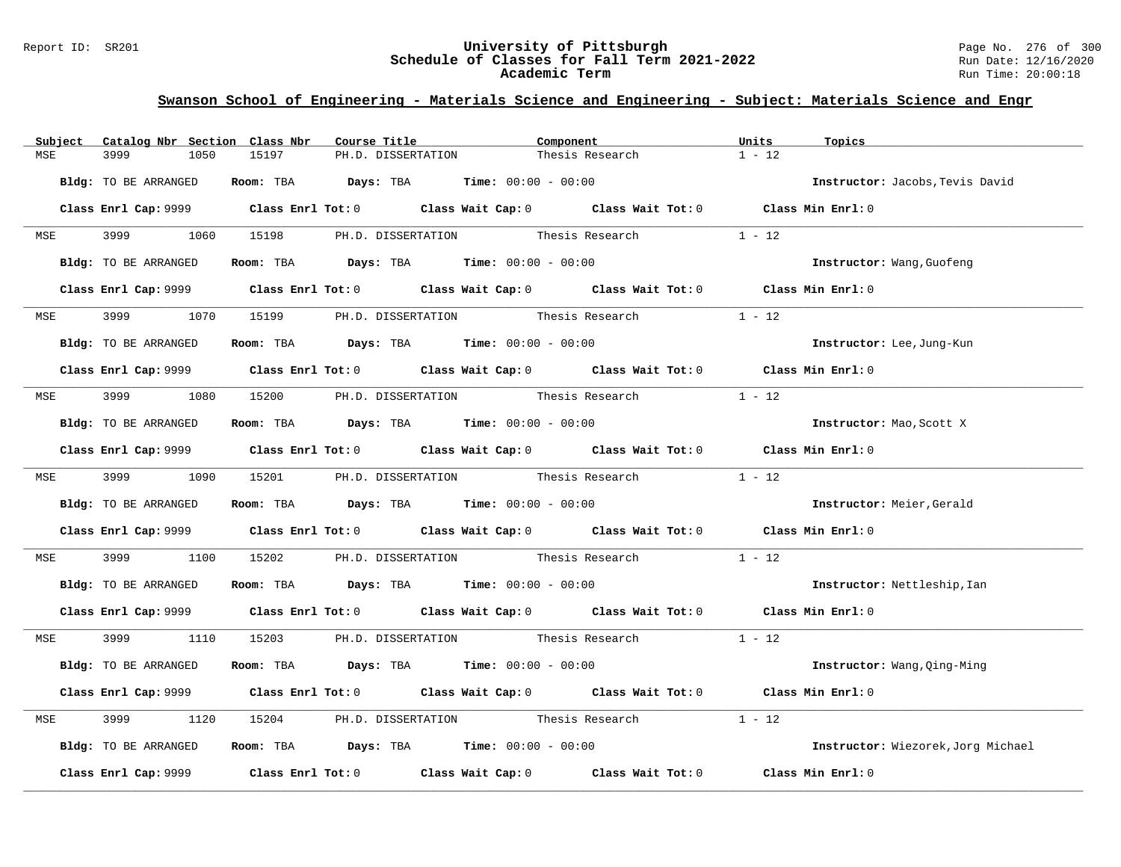#### Report ID: SR201 **University of Pittsburgh** Page No. 276 of 300 **Schedule of Classes for Fall Term 2021-2022** Run Date: 12/16/2020 **Academic Term** Run Time: 20:00:18

| Subject    | Catalog Nbr Section Class Nbr | Course Title                                                                                 |                                    | Component                                                   | Units<br>Topics   |                                    |
|------------|-------------------------------|----------------------------------------------------------------------------------------------|------------------------------------|-------------------------------------------------------------|-------------------|------------------------------------|
| MSE        | 3999<br>1050                  | 15197<br>PH.D. DISSERTATION                                                                  |                                    | Thesis Research                                             | $1 - 12$          |                                    |
|            | Bldg: TO BE ARRANGED          | Room: TBA $Days:$ TBA $Time: 00:00 - 00:00$                                                  |                                    |                                                             |                   | Instructor: Jacobs, Tevis David    |
|            |                               | Class Enrl Cap: 9999 Class Enrl Tot: 0 Class Wait Cap: 0 Class Wait Tot: 0 Class Min Enrl: 0 |                                    |                                                             |                   |                                    |
| <b>MSE</b> | 3999 700<br>1060              | 15198                                                                                        | PH.D. DISSERTATION Thesis Research |                                                             | $1 - 12$          |                                    |
|            | Bldg: TO BE ARRANGED          | Room: TBA $Days:$ TBA $Time: 00:00 - 00:00$                                                  |                                    |                                                             |                   | Instructor: Wang, Guofeng          |
|            |                               | Class Enrl Cap: 9999 Class Enrl Tot: 0 Class Wait Cap: 0 Class Wait Tot: 0 Class Min Enrl: 0 |                                    |                                                             |                   |                                    |
| <b>MSE</b> | 3999 7                        | 1070 15199                                                                                   | PH.D. DISSERTATION Thesis Research |                                                             | $1 - 12$          |                                    |
|            | Bldg: TO BE ARRANGED          | Room: TBA $\rule{1em}{0.15mm}$ Days: TBA Time: $00:00 - 00:00$                               |                                    |                                                             |                   | Instructor: Lee, Jung-Kun          |
|            |                               | Class Enrl Cap: 9999 Class Enrl Tot: 0 Class Wait Cap: 0 Class Wait Tot: 0 Class Min Enrl: 0 |                                    |                                                             |                   |                                    |
|            |                               | MSE 3999 1080 15200 PH.D. DISSERTATION Thesis Research                                       |                                    |                                                             | $1 - 12$          |                                    |
|            | Bldg: TO BE ARRANGED          | Room: TBA $Days:$ TBA $Time: 00:00 - 00:00$                                                  |                                    |                                                             |                   | Instructor: Mao, Scott X           |
|            |                               | Class Enrl Cap: 9999 Class Enrl Tot: 0 Class Wait Cap: 0 Class Wait Tot: 0 Class Min Enrl: 0 |                                    |                                                             |                   |                                    |
|            | MSE 3999                      | 1090 15201 PH.D. DISSERTATION Thesis Research 1 - 12                                         |                                    |                                                             |                   |                                    |
|            | Bldg: TO BE ARRANGED          | Room: TBA $\rule{1em}{0.15mm}$ Days: TBA Time: $00:00 - 00:00$                               |                                    |                                                             |                   | Instructor: Meier, Gerald          |
|            |                               | Class Enrl Cap: 9999 Class Enrl Tot: 0 Class Wait Cap: 0 Class Wait Tot: 0 Class Min Enrl: 0 |                                    |                                                             |                   |                                    |
| MSE        | 3999<br>1100                  |                                                                                              |                                    | 15202 PH.D. DISSERTATION Thesis Research 1 - 12             |                   |                                    |
|            | Bldg: TO BE ARRANGED          | Room: TBA $Days:$ TBA $Time: 00:00 - 00:00$                                                  |                                    |                                                             |                   | Instructor: Nettleship, Ian        |
|            |                               | Class Enrl Cap: 9999 Class Enrl Tot: 0 Class Wait Cap: 0 Class Wait Tot: 0 Class Min Enrl: 0 |                                    |                                                             |                   |                                    |
|            | MSE 3999 1110                 |                                                                                              |                                    | 15203 PH.D. DISSERTATION Thesis Research 1 - 12             |                   |                                    |
|            | Bldg: TO BE ARRANGED          | Room: TBA $Days: TBA$ Time: $00:00 - 00:00$                                                  |                                    |                                                             |                   | Instructor: Wang, Qing-Ming        |
|            |                               | Class Enrl Cap: 9999 Class Enrl Tot: 0 Class Wait Cap: 0 Class Wait Tot: 0 Class Min Enrl: 0 |                                    |                                                             |                   |                                    |
| MSE        | 3999<br>1120                  | 15204                                                                                        | PH.D. DISSERTATION Thesis Research |                                                             | $1 - 12$          |                                    |
|            | Bldg: TO BE ARRANGED          | Room: TBA $\rule{1em}{0.15mm}$ Days: TBA Time: $00:00 - 00:00$                               |                                    |                                                             |                   | Instructor: Wiezorek, Jorg Michael |
|            | Class Enrl Cap: 9999          |                                                                                              |                                    | Class Enrl Tot: $0$ Class Wait Cap: $0$ Class Wait Tot: $0$ | Class Min Enrl: 0 |                                    |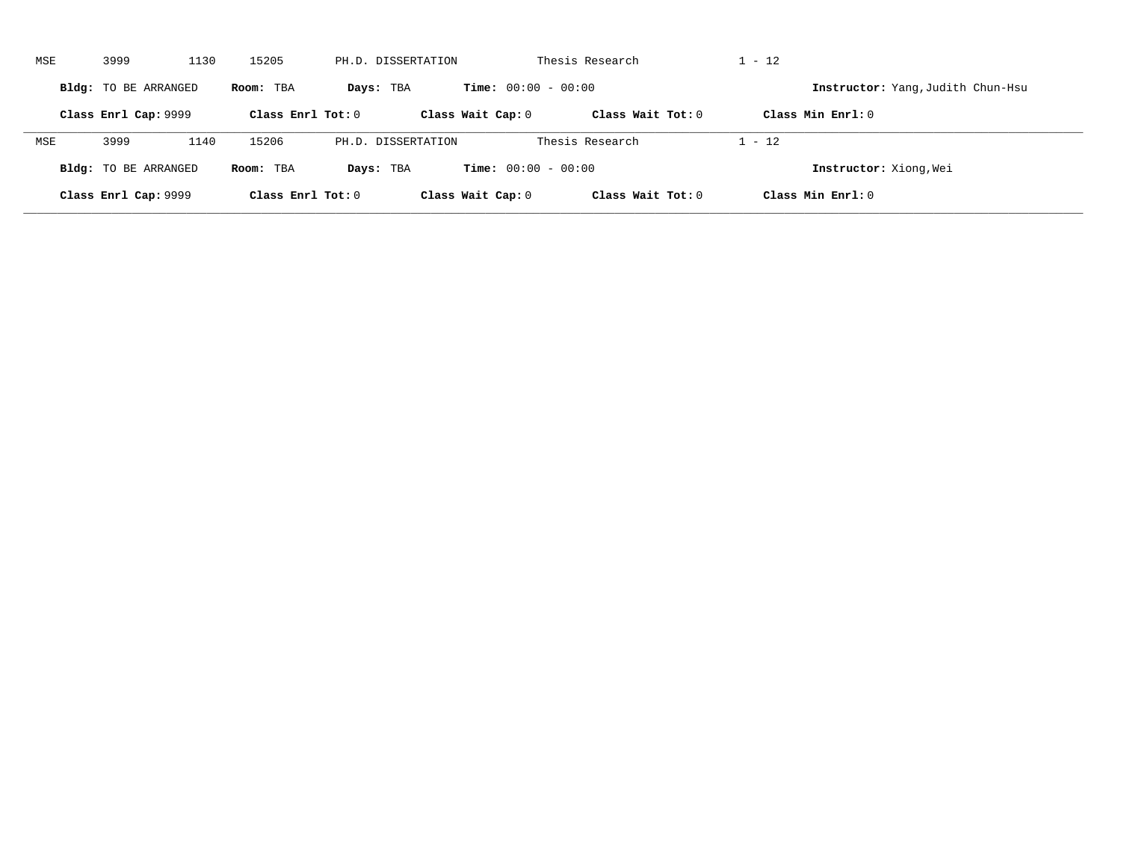| MSE | 3999                 | 1130 | 15205               |           | PH.D. DISSERTATION |                              | Thesis Research     | $1 - 12$ |                                   |
|-----|----------------------|------|---------------------|-----------|--------------------|------------------------------|---------------------|----------|-----------------------------------|
|     | Bldg: TO BE ARRANGED |      | Room: TBA           | Days: TBA |                    | <b>Time:</b> $00:00 - 00:00$ |                     |          | Instructor: Yang, Judith Chun-Hsu |
|     | Class Enrl Cap: 9999 |      | Class Enrl Tot: $0$ |           |                    | Class Wait Cap: 0            | Class Wait Tot: $0$ |          | Class Min $Enrl: 0$               |
| MSE | 3999                 | 1140 | 15206               |           | PH.D. DISSERTATION |                              | Thesis Research     | $1 - 12$ |                                   |
|     | Bldg: TO BE ARRANGED |      | Room: TBA           | Days: TBA |                    | <b>Time:</b> $00:00 - 00:00$ |                     |          | Instructor: Xiong, Wei            |
|     | Class Enrl Cap: 9999 |      | Class Enrl Tot: 0   |           |                    | Class Wait Cap: 0            | Class Wait Tot: 0   |          | Class Min $Enrl: 0$               |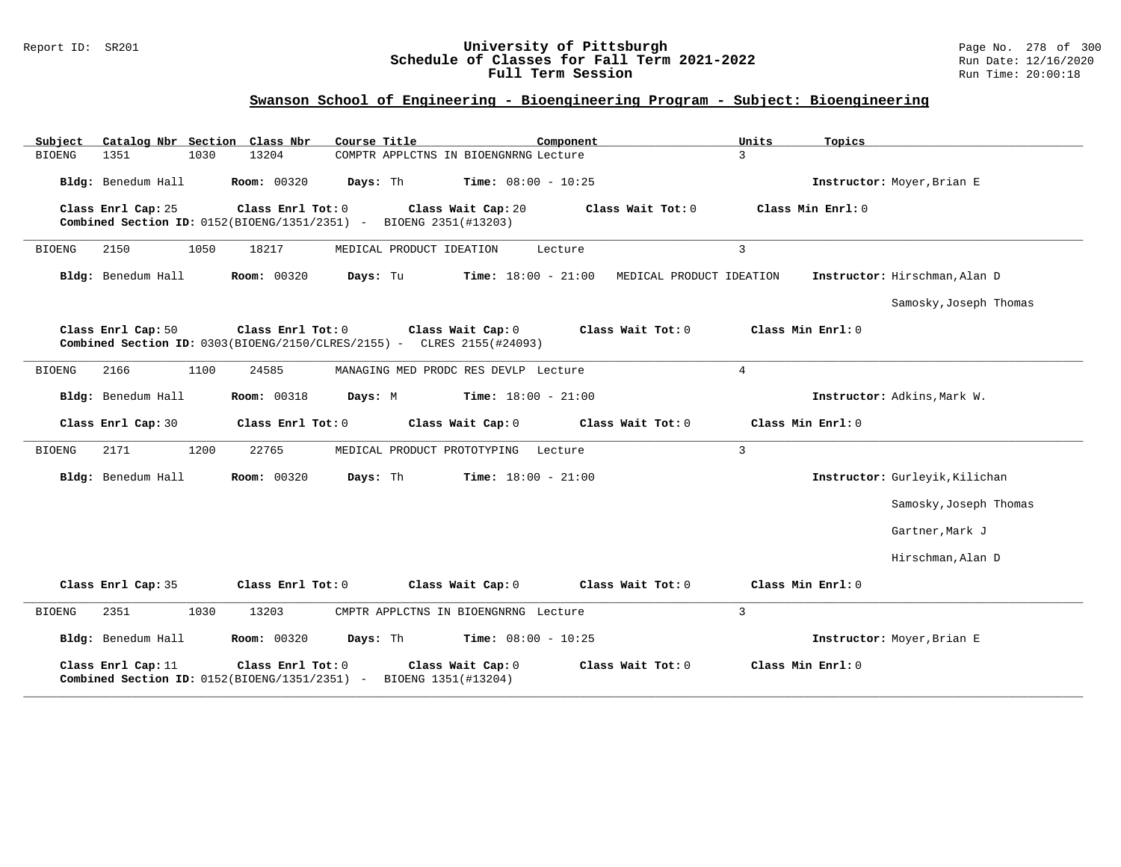#### Report ID: SR201 **University of Pittsburgh** Page No. 278 of 300 **Schedule of Classes for Fall Term 2021-2022** Run Date: 12/16/2020 **Full Term Session Rundall Term Session Rundall Term Session**

## **Swanson School of Engineering - Bioengineering Program - Subject: Bioengineering**

| Subject               | Catalog Nbr Section Class Nbr                                                                          | Course Title                | Component                             |                          | Units          | Topics                         |
|-----------------------|--------------------------------------------------------------------------------------------------------|-----------------------------|---------------------------------------|--------------------------|----------------|--------------------------------|
| 1351<br>BIOENG        | 1030<br>13204                                                                                          |                             | COMPTR APPLCTNS IN BIOENGNRNG Lecture |                          | 3              |                                |
| Bldg: Benedum Hall    | <b>Room: 00320</b>                                                                                     | Days: Th                    | Time: $08:00 - 10:25$                 |                          |                | Instructor: Moyer, Brian E     |
| Class Enrl Cap: 25    | Class Enrl Tot: 0<br>Combined Section ID: $0152(BIOENG/1351/2351)$ -                                   | BIOENG 2351(#13203)         | Class Wait Cap: 20                    | Class Wait $Tot: 0$      |                | Class Min Enrl: 0              |
| <b>BIOENG</b><br>2150 | 1050<br>18217                                                                                          | MEDICAL PRODUCT IDEATION    | Lecture                               |                          | $\overline{3}$ |                                |
| Bldg: Benedum Hall    | <b>Room: 00320</b>                                                                                     | Days: Tu                    | Time: $18:00 - 21:00$                 | MEDICAL PRODUCT IDEATION |                | Instructor: Hirschman, Alan D  |
|                       |                                                                                                        |                             |                                       |                          |                | Samosky, Joseph Thomas         |
| Class Enrl Cap: 50    | Class Enrl Tot: 0<br><b>Combined Section ID:</b> $0303(BIOENG/2150/CLRES/2155)$ - CLRES $2155(#24093)$ |                             | Class Wait Cap: 0                     | Class Wait Tot: 0        |                | Class Min Enrl: 0              |
| 2166<br><b>BIOENG</b> | 1100<br>24585                                                                                          |                             | MANAGING MED PRODC RES DEVLP Lecture  |                          | $\overline{4}$ |                                |
| Bldg: Benedum Hall    | <b>Room: 00318</b>                                                                                     | Days: M                     | Time: $18:00 - 21:00$                 |                          |                | Instructor: Adkins, Mark W.    |
| Class Enrl Cap: 30    | Class Enrl Tot: 0                                                                                      |                             | Class Wait Cap: 0                     | Class Wait Tot: 0        |                | Class Min Enrl: 0              |
| 2171<br><b>BIOENG</b> | 22765<br>1200                                                                                          | MEDICAL PRODUCT PROTOTYPING | Lecture                               |                          | $\overline{3}$ |                                |
| Bldg: Benedum Hall    | Room: 00320                                                                                            | Days: Th                    | <b>Time:</b> $18:00 - 21:00$          |                          |                | Instructor: Gurleyik, Kilichan |
|                       |                                                                                                        |                             |                                       |                          |                | Samosky, Joseph Thomas         |
|                       |                                                                                                        |                             |                                       |                          |                | Gartner, Mark J                |
|                       |                                                                                                        |                             |                                       |                          |                | Hirschman, Alan D              |
| Class Enrl Cap: 35    | Class Enrl Tot: 0                                                                                      |                             | Class Wait Cap: 0                     | Class Wait Tot: 0        |                | Class Min Enrl: 0              |
| <b>BIOENG</b><br>2351 | 1030<br>13203                                                                                          |                             | CMPTR APPLCTNS IN BIOENGNRNG Lecture  |                          | $\overline{3}$ |                                |
| Bldg: Benedum Hall    | <b>Room: 00320</b>                                                                                     | Days: Th                    | <b>Time:</b> $08:00 - 10:25$          |                          |                | Instructor: Moyer, Brian E     |
| Class Enrl Cap: 11    | Class Enrl Tot: 0<br>Combined Section ID: 0152(BIOENG/1351/2351) -                                     | BIOENG 1351(#13204)         | Class Wait Cap: 0                     | Class Wait Tot: 0        |                | Class Min Enrl: 0              |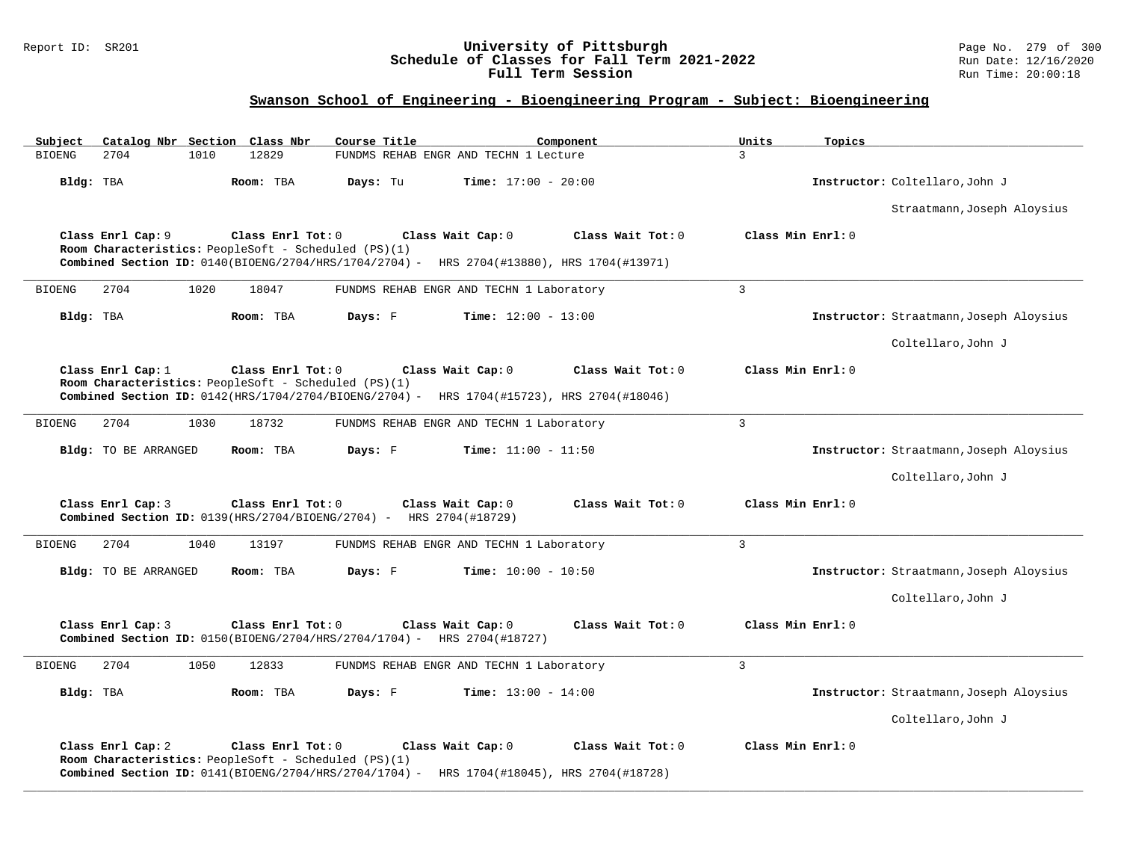#### Report ID: SR201 **University of Pittsburgh** Page No. 279 of 300 **Schedule of Classes for Fall Term 2021-2022** Run Date: 12/16/2020 **Full Term Session Rundall Term Session Rundall Term Session**

## **Swanson School of Engineering - Bioengineering Program - Subject: Bioengineering**

| Subject<br>Catalog Nbr Section Class Nbr                                                                                                                                                    | Course Title                             | Component         | Units<br>Topics   |                                         |
|---------------------------------------------------------------------------------------------------------------------------------------------------------------------------------------------|------------------------------------------|-------------------|-------------------|-----------------------------------------|
| 2704<br>12829<br><b>BIOENG</b><br>1010                                                                                                                                                      | FUNDMS REHAB ENGR AND TECHN 1 Lecture    |                   | 3                 |                                         |
| Bldg: TBA<br>Room: TBA                                                                                                                                                                      | Time: $17:00 - 20:00$<br>Days: Tu        |                   |                   | Instructor: Coltellaro, John J          |
|                                                                                                                                                                                             |                                          |                   |                   | Straatmann, Joseph Aloysius             |
| Class Enrl Cap: 9<br>Class Enrl Tot: 0<br>Room Characteristics: PeopleSoft - Scheduled (PS)(1)<br>Combined Section ID: 0140(BIOENG/2704/HRS/1704/2704) - HRS 2704(#13880), HRS 1704(#13971) | Class Wait Cap: 0                        | Class Wait Tot: 0 | Class Min Enrl: 0 |                                         |
| <b>BIOENG</b><br>2704<br>1020<br>18047                                                                                                                                                      | FUNDMS REHAB ENGR AND TECHN 1 Laboratory |                   | $\overline{3}$    |                                         |
| Bldg: TBA<br>Room: TBA                                                                                                                                                                      | Days: F<br><b>Time:</b> $12:00 - 13:00$  |                   |                   | Instructor: Straatmann, Joseph Aloysius |
|                                                                                                                                                                                             |                                          |                   |                   | Coltellaro, John J                      |
| Class Enrl Cap: 1<br>Class Enrl Tot: 0<br>Room Characteristics: PeopleSoft - Scheduled (PS)(1)<br>Combined Section ID: 0142(HRS/1704/2704/BIOENG/2704) - HRS 1704(#15723), HRS 2704(#18046) | Class Wait Cap: 0                        | Class Wait Tot: 0 | Class Min Enrl: 0 |                                         |
| 2704<br>1030<br>18732<br><b>BIOENG</b>                                                                                                                                                      | FUNDMS REHAB ENGR AND TECHN 1 Laboratory |                   | $\overline{3}$    |                                         |
| <b>Bldg:</b> TO BE ARRANGED<br>Room: TBA                                                                                                                                                    | Days: F<br><b>Time:</b> $11:00 - 11:50$  |                   |                   | Instructor: Straatmann, Joseph Aloysius |
|                                                                                                                                                                                             |                                          |                   |                   | Coltellaro, John J                      |
| Class Enrl Cap: 3<br>Class Enrl Tot: 0<br>Combined Section ID: 0139(HRS/2704/BIOENG/2704) - HRS 2704(#18729)                                                                                | Class Wait Cap: 0                        | Class Wait Tot: 0 | Class Min Enrl: 0 |                                         |
| 2704<br>1040<br>13197<br><b>BIOENG</b>                                                                                                                                                      | FUNDMS REHAB ENGR AND TECHN 1 Laboratory |                   | $\overline{3}$    |                                         |
| <b>Bldg:</b> TO BE ARRANGED<br>Room: TBA                                                                                                                                                    | Days: F<br><b>Time:</b> $10:00 - 10:50$  |                   |                   | Instructor: Straatmann, Joseph Aloysius |
|                                                                                                                                                                                             |                                          |                   |                   | Coltellaro, John J                      |
| Class Enrl Cap: 3<br>Class Enrl Tot: 0<br><b>Combined Section ID:</b> $0150(BIOENG/2704/HRS/2704/1704) - HRS 2704(H18727)$                                                                  | Class Wait Cap: 0                        | Class Wait Tot: 0 | Class Min Enrl: 0 |                                         |
| 2704<br>1050<br>12833<br><b>BIOENG</b>                                                                                                                                                      | FUNDMS REHAB ENGR AND TECHN 1 Laboratory |                   | $\overline{3}$    |                                         |
| Bldg: TBA<br>Room: TBA                                                                                                                                                                      | Days: F<br><b>Time:</b> $13:00 - 14:00$  |                   |                   | Instructor: Straatmann, Joseph Aloysius |
|                                                                                                                                                                                             |                                          |                   |                   | Coltellaro, John J                      |
| Class Enrl Cap: 2<br>Class Enrl Tot: 0<br>Room Characteristics: PeopleSoft - Scheduled (PS)(1)<br>Combined Section ID: 0141(BIOENG/2704/HRS/2704/1704) - HRS 1704(#18045), HRS 2704(#18728) | Class Wait Cap: 0                        | Class Wait Tot: 0 | Class Min Enrl: 0 |                                         |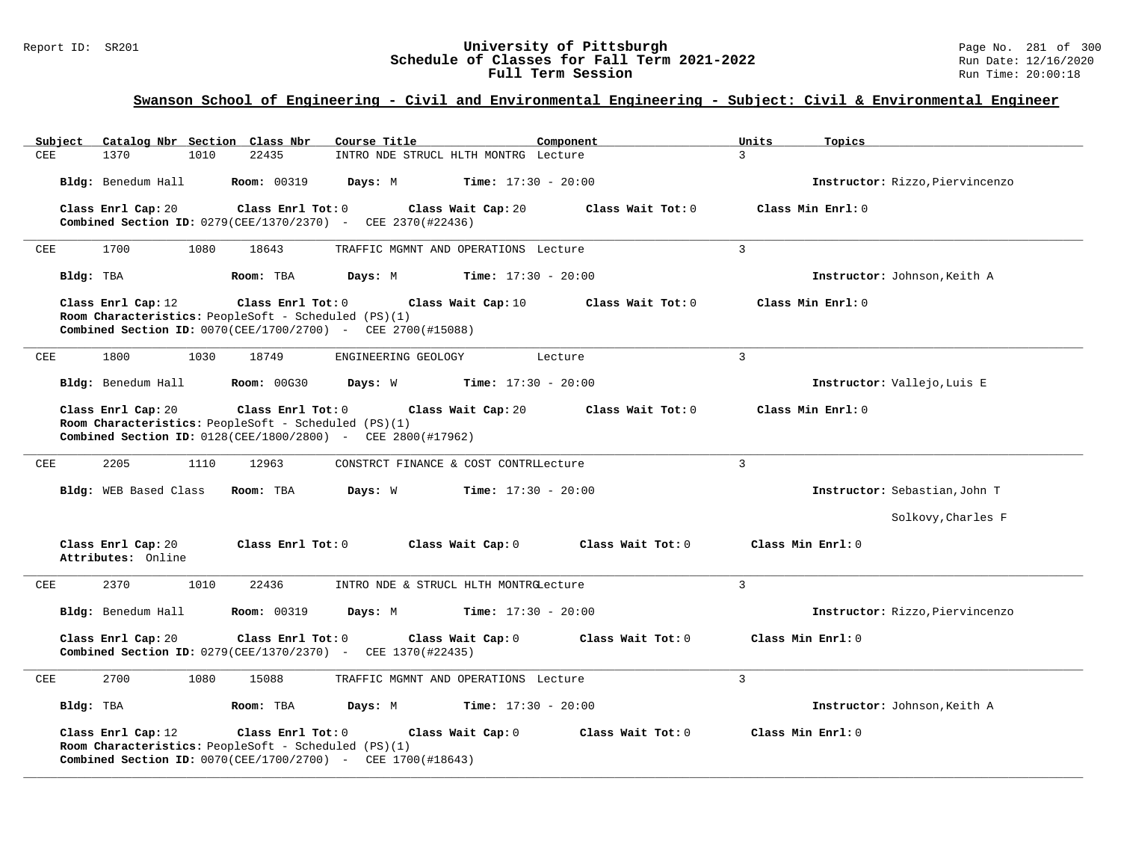### Report ID: SR201 **1988 Chedule of Classes for Fall Term 2021-2022** Page No. 281 of 300 Page No. 281 of 300 Page No<br>**Schedule of Classes for Fall Term 2021-2022** Run Date: 12/16/2020 **Schedule of Classes for Fall Term 2021-2022** Run Date: 12/16/2020 **Full Term Session Rundall Term Session Rundall Term Session**

## **Swanson School of Engineering - Civil and Environmental Engineering - Subject: Civil & Environmental Engineer**

| Catalog Nbr Section Class Nbr<br>Subiect | Course Title                                                                                                                                    | Component                               | Units<br>Topics                 |
|------------------------------------------|-------------------------------------------------------------------------------------------------------------------------------------------------|-----------------------------------------|---------------------------------|
| CEE<br>1370<br>1010                      | 22435                                                                                                                                           | INTRO NDE STRUCL HLTH MONTRG Lecture    | $\overline{3}$                  |
| Bldg: Benedum Hall                       | <b>Room: 00319</b><br>Days: M                                                                                                                   | <b>Time:</b> $17:30 - 20:00$            | Instructor: Rizzo, Piervincenzo |
| Class Enrl Cap: 20                       | Class Enrl Tot: 0<br><b>Combined Section ID:</b> 0279(CEE/1370/2370) - CEE 2370(#22436)                                                         | Class Wait Cap: 20<br>Class Wait Tot: 0 | Class Min Enrl: 0               |
| 1700<br>1080<br>CEE                      | 18643                                                                                                                                           | TRAFFIC MGMNT AND OPERATIONS Lecture    | $\overline{3}$                  |
| Bldg: TBA                                | Room: TBA<br>Days: M                                                                                                                            | <b>Time:</b> $17:30 - 20:00$            | Instructor: Johnson, Keith A    |
| Class Enrl Cap: 12                       | Class Enrl Tot: 0<br>Room Characteristics: PeopleSoft - Scheduled (PS)(1)<br>Combined Section ID: 0070(CEE/1700/2700) - CEE 2700(#15088)        | Class Wait Cap: 10<br>Class Wait Tot: 0 | Class Min Enrl: 0               |
| 1800<br>1030<br>CEE                      | 18749<br>ENGINEERING GEOLOGY                                                                                                                    | Lecture                                 | $\overline{3}$                  |
| Bldg: Benedum Hall                       | <b>Room: 00G30</b><br>Days: W                                                                                                                   | <b>Time:</b> $17:30 - 20:00$            | Instructor: Vallejo, Luis E     |
| Class Enrl Cap: 20                       | Class Enrl Tot: 0<br>Room Characteristics: PeopleSoft - Scheduled (PS)(1)<br><b>Combined Section ID:</b> 0128(CEE/1800/2800) - CEE 2800(#17962) | Class Wait Cap: 20<br>Class Wait Tot: 0 | Class Min Enrl: 0               |
| 2205<br>1110<br>CEE                      | 12963                                                                                                                                           | CONSTRCT FINANCE & COST CONTRILecture   | $\overline{3}$                  |
| Bldg: WEB Based Class                    | Days: W<br>Room: TBA                                                                                                                            | <b>Time:</b> $17:30 - 20:00$            | Instructor: Sebastian, John T   |
|                                          |                                                                                                                                                 |                                         | Solkovy, Charles F              |
| Class Enrl Cap: 20<br>Attributes: Online | Class Enrl Tot: 0                                                                                                                               | Class Wait Cap: 0<br>Class Wait Tot: 0  | Class Min Enrl: 0               |
| 2370<br>1010<br>CEE                      | 22436                                                                                                                                           | INTRO NDE & STRUCL HLTH MONTRGLecture   | $\mathbf{3}$                    |
| Bldg: Benedum Hall                       | <b>Room: 00319</b><br>Days: M                                                                                                                   | <b>Time:</b> $17:30 - 20:00$            | Instructor: Rizzo, Piervincenzo |
| Class Enrl Cap: 20                       | Class Enrl Tot: 0<br><b>Combined Section ID:</b> 0279 (CEE/1370/2370) - CEE 1370 (#22435)                                                       | Class Wait Tot: 0<br>Class Wait Cap: 0  | Class Min Enrl: 0               |
| 2700<br>CEE<br>1080                      | 15088                                                                                                                                           | TRAFFIC MGMNT AND OPERATIONS Lecture    | $\overline{3}$                  |
| Bldg: TBA                                | Room: TBA<br>Days: M                                                                                                                            | <b>Time:</b> $17:30 - 20:00$            | Instructor: Johnson, Keith A    |
| Class Enrl Cap: 12                       | Class Enrl Tot: 0<br>Room Characteristics: PeopleSoft - Scheduled (PS)(1)<br><b>Combined Section ID:</b> 0070(CEE/1700/2700) - CEE 1700(#18643) | Class Wait Cap: 0<br>Class Wait Tot: 0  | Class Min Enrl: 0               |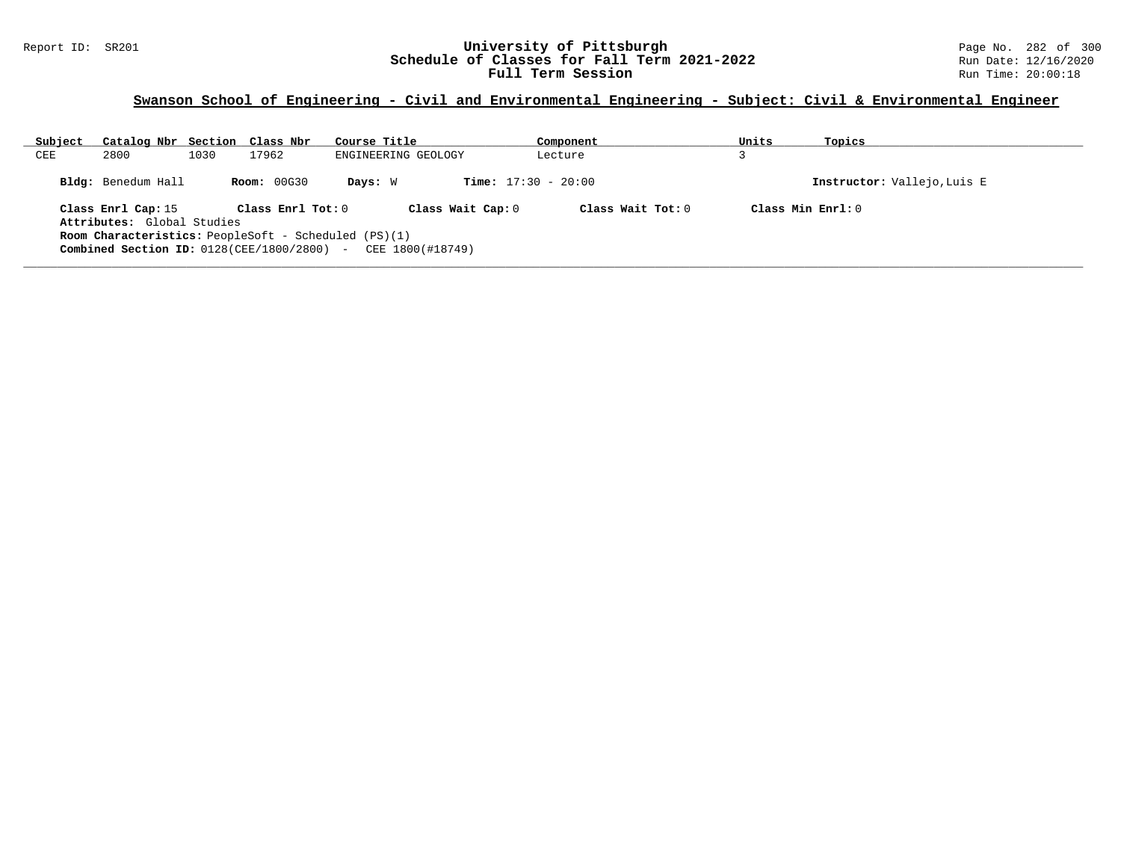### Report ID: SR201 **1988 Chedule of Classes for Fall Term 2021-2022** Page No. 282 of 300 Page No. 282 of 300 Page No<br>**Schedule of Classes for Fall Term 2021-2022** Run Date: 12/16/2020 **Schedule of Classes for Fall Term 2021-2022** Run Date: 12/16/2020 **Full Term Session Rundall Term Session Rundall Term Session**

## **Swanson School of Engineering - Civil and Environmental Engineering - Subject: Civil & Environmental Engineer**

| Subject                                                                             | Catalog Nbr Section Class Nbr                                            |      |                    | Course Title                 | Component | Units                       | Topics               |  |  |  |
|-------------------------------------------------------------------------------------|--------------------------------------------------------------------------|------|--------------------|------------------------------|-----------|-----------------------------|----------------------|--|--|--|
| CEE                                                                                 | 2800                                                                     | 1030 | 17962              | ENGINEERING GEOLOGY          | Lecture   |                             |                      |  |  |  |
|                                                                                     | Bldg: Benedum Hall                                                       |      | <b>Room: 00G30</b> | <b>Time:</b> $17:30 - 20:00$ |           | Instructor: Vallejo, Luis E |                      |  |  |  |
| Class Wait Cap: 0<br>Class Enrl Tot: 0<br>Class Wait $Tot: 0$<br>Class Enrl Cap: 15 |                                                                          |      |                    |                              |           |                             | $Class Min Ernst: 0$ |  |  |  |
| Attributes: Global Studies                                                          |                                                                          |      |                    |                              |           |                             |                      |  |  |  |
|                                                                                     | <b>Room Characteristics:</b> PeopleSoft - Scheduled (PS)(1)              |      |                    |                              |           |                             |                      |  |  |  |
|                                                                                     | <b>Combined Section ID:</b> $0128$ (CEE/1800/2800) - CEE $1800$ (#18749) |      |                    |                              |           |                             |                      |  |  |  |
|                                                                                     |                                                                          |      |                    |                              |           |                             |                      |  |  |  |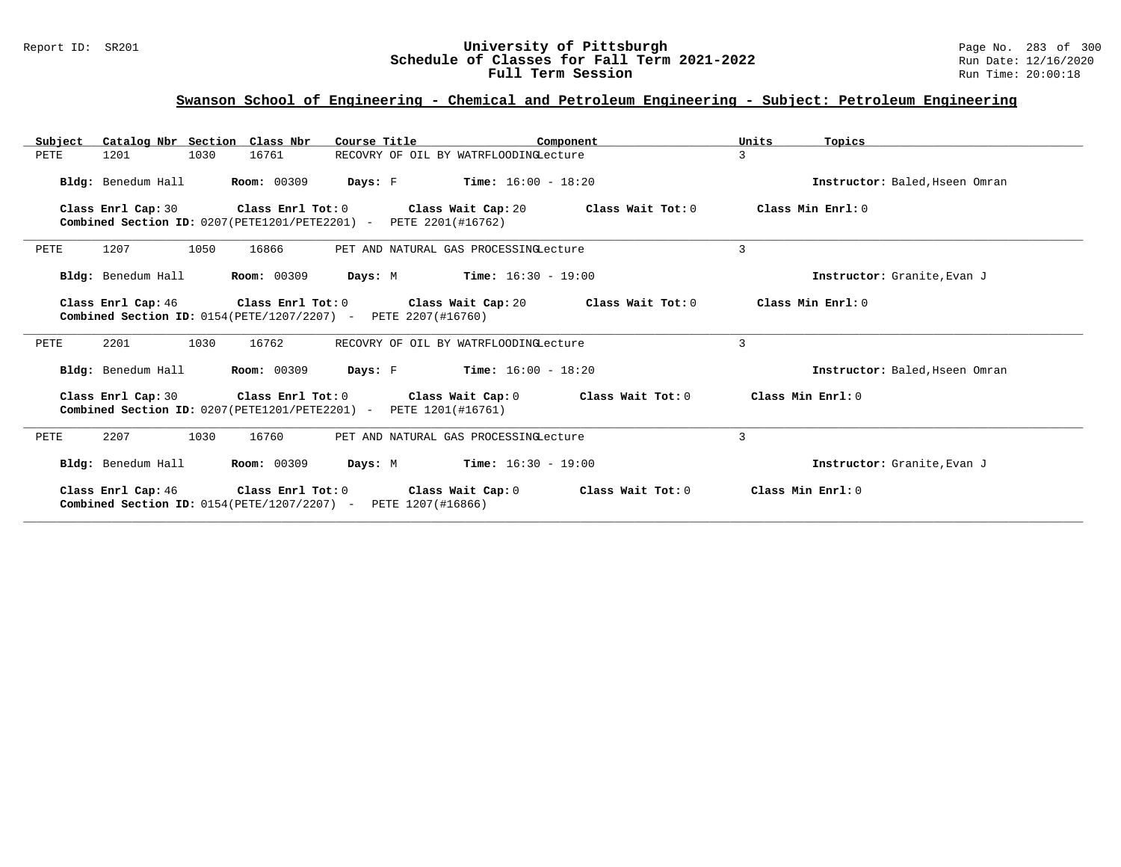#### Report ID: SR201 **University of Pittsburgh** Page No. 283 of 300 **Schedule of Classes for Fall Term 2021-2022** Run Date: 12/16/2020 **Full Term Session Rundall Term Session Rundall Term Session**

### **Swanson School of Engineering - Chemical and Petroleum Engineering - Subject: Petroleum Engineering**

| Subject | Catalog Nbr Section Class Nbr                                                                    |                    | Course Title      | Component                                     | Units             | Topics                         |
|---------|--------------------------------------------------------------------------------------------------|--------------------|-------------------|-----------------------------------------------|-------------------|--------------------------------|
| PETE    | 1201<br>1030                                                                                     | 16761              |                   | RECOVRY OF OIL BY WATRFLOODINGLecture         | 3                 |                                |
|         | Bldg: Benedum Hall                                                                               | <b>Room: 00309</b> |                   | <b>Davs:</b> F <b>Time:</b> $16:00 - 18:20$   |                   | Instructor: Baled, Hseen Omran |
|         | Class Enrl Cap: 30<br>Combined Section ID: 0207(PETE1201/PETE2201) - PETE 2201(#16762)           | Class Enrl Tot: 0  |                   | Class Wait Cap: 20<br>Class Wait Tot: 0       |                   | Class Min Enrl: 0              |
| PETE    | 1207<br>1050                                                                                     | 16866              |                   | PET AND NATURAL GAS PROCESSINGLecture         | 3                 |                                |
|         | Bldg: Benedum Hall                                                                               | <b>Room: 00309</b> |                   | <b>Days:</b> M <b>Time:</b> $16:30 - 19:00$   |                   | Instructor: Granite. Evan J    |
|         | Class Enrl Cap: 46<br><b>Combined Section ID:</b> 0154(PETE/1207/2207) - PETE 2207(#16760)       | Class Enrl Tot: 0  |                   | Class Wait Cap: 20 $\qquad$ Class Wait Tot: 0 |                   | Class Min Enrl: 0              |
| PETE    | 2201<br>1030                                                                                     | 16762              |                   | RECOVRY OF OIL BY WATRFLOODINGLecture         | 3                 |                                |
|         | Bldg: Benedum Hall                                                                               | <b>Room: 00309</b> |                   | <b>Days:</b> F <b>Time:</b> $16:00 - 18:20$   |                   | Instructor: Baled, Hseen Omran |
|         | Class Enrl Cap: 30<br><b>Combined Section ID:</b> $0207$ (PETE1201/PETE2201) - PETE 1201(#16761) | Class Enrl Tot: 0  | Class Wait Cap: 0 | Class Wait Tot: 0                             | Class Min Enrl: 0 |                                |
| PETE    | 2207<br>1030                                                                                     | 16760              |                   | PET AND NATURAL GAS PROCESSINGLecture         | 3                 |                                |
|         | Bldg: Benedum Hall                                                                               | <b>Room: 00309</b> |                   | <b>Days:</b> M <b>Time:</b> $16:30 - 19:00$   |                   | Instructor: Granite, Evan J    |
|         | Class Enrl Cap: 46<br><b>Combined Section ID:</b> $0154(PETE/1207/2207)$ - PETE $1207(#16866)$   | Class Enrl Tot: 0  | Class Wait Cap: 0 | Class Wait Tot: 0                             |                   | Class Min Enrl: 0              |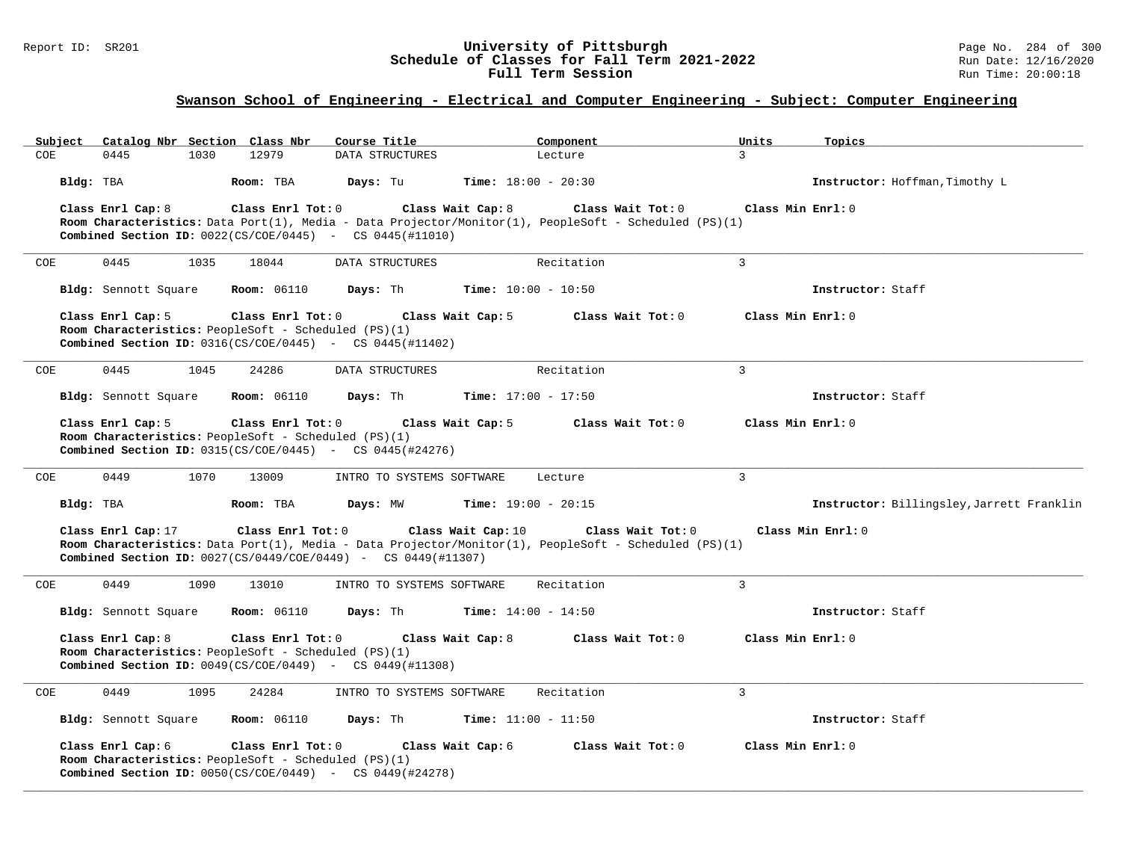### Report ID: SR201 **1988 Chedule of Classes for Fall Term 2021-2022** Page No. 284 of 300 Page No. 284 of 300 Page No<br>**Schedule of Classes for Fall Term 2021-2022** Run Date: 12/16/2020 **Schedule of Classes for Fall Term 2021-2022** Run Date: 12/16/2020 **Full Term Session Rundall Term Session Rundall Term Session**

### **Swanson School of Engineering - Electrical and Computer Engineering - Subject: Computer Engineering**

|      | Subject   |                      |      | Catalog Nbr Section Class Nbr                                                                                                       | Course Title    |                           |                    | Component                    |                                                                                                                            | Units             | Topics                                    |
|------|-----------|----------------------|------|-------------------------------------------------------------------------------------------------------------------------------------|-----------------|---------------------------|--------------------|------------------------------|----------------------------------------------------------------------------------------------------------------------------|-------------------|-------------------------------------------|
| COE. |           | 0445                 | 1030 | 12979                                                                                                                               | DATA STRUCTURES |                           |                    | Lecture                      |                                                                                                                            | $\mathcal{L}$     |                                           |
|      | Bldg: TBA |                      |      | Room: TBA                                                                                                                           | Days: Tu        |                           |                    | <b>Time:</b> $18:00 - 20:30$ |                                                                                                                            |                   | Instructor: Hoffman, Timothy L            |
|      |           | Class Enrl Cap: 8    |      | Class Enrl Tot: 0                                                                                                                   |                 |                           | Class Wait Cap: 8  |                              | Class Wait Tot: 0                                                                                                          | Class Min Enrl: 0 |                                           |
|      |           |                      |      |                                                                                                                                     |                 |                           |                    |                              | Room Characteristics: Data Port(1), Media - Data Projector/Monitor(1), PeopleSoft - Scheduled (PS)(1)                      |                   |                                           |
|      |           |                      |      | <b>Combined Section ID:</b> $0022(CS/COE/0445)$ - CS $0445(\text{\#}11010)$                                                         |                 |                           |                    |                              |                                                                                                                            |                   |                                           |
| COE  |           | 0445                 | 1035 | 18044                                                                                                                               | DATA STRUCTURES |                           |                    | Recitation                   |                                                                                                                            | 3                 |                                           |
|      |           | Bldg: Sennott Square |      | <b>Room:</b> 06110                                                                                                                  | Days: Th        |                           |                    | <b>Time:</b> $10:00 - 10:50$ |                                                                                                                            |                   | Instructor: Staff                         |
|      |           | Class Enrl Cap: 5    |      | Class Enrl Tot: 0                                                                                                                   |                 |                           | Class Wait Cap: 5  |                              | Class Wait Tot: 0                                                                                                          | Class Min Enrl: 0 |                                           |
|      |           |                      |      | Room Characteristics: PeopleSoft - Scheduled (PS)(1)<br><b>Combined Section ID:</b> $0316(CS/COE/0445)$ - CS $0445(\text{\#}11402)$ |                 |                           |                    |                              |                                                                                                                            |                   |                                           |
|      |           |                      |      |                                                                                                                                     |                 |                           |                    |                              |                                                                                                                            |                   |                                           |
| COE  |           | 0445                 | 1045 | 24286                                                                                                                               |                 | DATA STRUCTURES           |                    | Recitation                   |                                                                                                                            | 3                 |                                           |
|      |           | Bldg: Sennott Square |      | <b>Room:</b> 06110                                                                                                                  | Days: Th        |                           |                    | <b>Time:</b> $17:00 - 17:50$ |                                                                                                                            |                   | Instructor: Staff                         |
|      |           | Class Enrl Cap: 5    |      | Class Enrl Tot: 0                                                                                                                   |                 |                           | Class Wait Cap: 5  |                              | Class Wait Tot: 0                                                                                                          | Class Min Enrl: 0 |                                           |
|      |           |                      |      | Room Characteristics: PeopleSoft - Scheduled (PS)(1)<br><b>Combined Section ID:</b> $0315(CS/COE/0445)$ - CS $0445(#24276)$         |                 |                           |                    |                              |                                                                                                                            |                   |                                           |
|      |           |                      |      |                                                                                                                                     |                 |                           |                    |                              |                                                                                                                            |                   |                                           |
| COE  |           | 0449                 | 1070 | 13009                                                                                                                               |                 | INTRO TO SYSTEMS SOFTWARE |                    | Lecture                      |                                                                                                                            | 3                 |                                           |
|      | Bldg: TBA |                      |      | Room: TBA                                                                                                                           | Days: MW        |                           |                    | <b>Time:</b> $19:00 - 20:15$ |                                                                                                                            |                   | Instructor: Billingsley, Jarrett Franklin |
|      |           | Class Enrl Cap: 17   |      | Class Enrl Tot: 0<br><b>Combined Section ID:</b> $0027(CS/0449/COE/0449)$ - CS $0449(\text{\#}11307)$                               |                 |                           | Class Wait Cap: 10 |                              | Class Wait Tot: 0<br>Room Characteristics: Data Port(1), Media - Data Projector/Monitor(1), PeopleSoft - Scheduled (PS)(1) |                   | Class Min Enrl: 0                         |
|      |           | 0449                 |      |                                                                                                                                     |                 |                           |                    |                              |                                                                                                                            | 3                 |                                           |
| COE  |           |                      | 1090 | 13010                                                                                                                               |                 | INTRO TO SYSTEMS SOFTWARE |                    | Recitation                   |                                                                                                                            |                   |                                           |
|      |           | Bldg: Sennott Square |      | <b>Room:</b> 06110                                                                                                                  | Days: Th        |                           |                    | <b>Time:</b> $14:00 - 14:50$ |                                                                                                                            |                   | Instructor: Staff                         |
|      |           | Class Enrl Cap: 8    |      | Class Enrl Tot: 0                                                                                                                   |                 |                           | Class Wait Cap: 8  |                              | Class Wait Tot: $0$                                                                                                        | Class Min Enrl: 0 |                                           |
|      |           |                      |      | Room Characteristics: PeopleSoft - Scheduled (PS)(1)                                                                                |                 |                           |                    |                              |                                                                                                                            |                   |                                           |
|      |           |                      |      | <b>Combined Section ID:</b> $0049(CS/COE/0449)$ - CS $0449(H11308)$                                                                 |                 |                           |                    |                              |                                                                                                                            |                   |                                           |
| COE  |           | 0449                 | 1095 | 24284                                                                                                                               |                 | INTRO TO SYSTEMS SOFTWARE |                    | Recitation                   |                                                                                                                            | $\mathbf{3}$      |                                           |
|      |           | Bldg: Sennott Square |      | <b>Room:</b> 06110                                                                                                                  | Days: Th        |                           |                    | <b>Time:</b> $11:00 - 11:50$ |                                                                                                                            |                   | Instructor: Staff                         |
|      |           | Class Enrl Cap: 6    |      | Class Enrl Tot: 0                                                                                                                   |                 |                           | Class Wait Cap: 6  |                              | Class Wait Tot: 0                                                                                                          | Class Min Enrl: 0 |                                           |
|      |           |                      |      | Room Characteristics: PeopleSoft - Scheduled (PS)(1)<br><b>Combined Section ID:</b> $0050(CS/COE/0449)$ - CS $0449(#24278)$         |                 |                           |                    |                              |                                                                                                                            |                   |                                           |
|      |           |                      |      |                                                                                                                                     |                 |                           |                    |                              |                                                                                                                            |                   |                                           |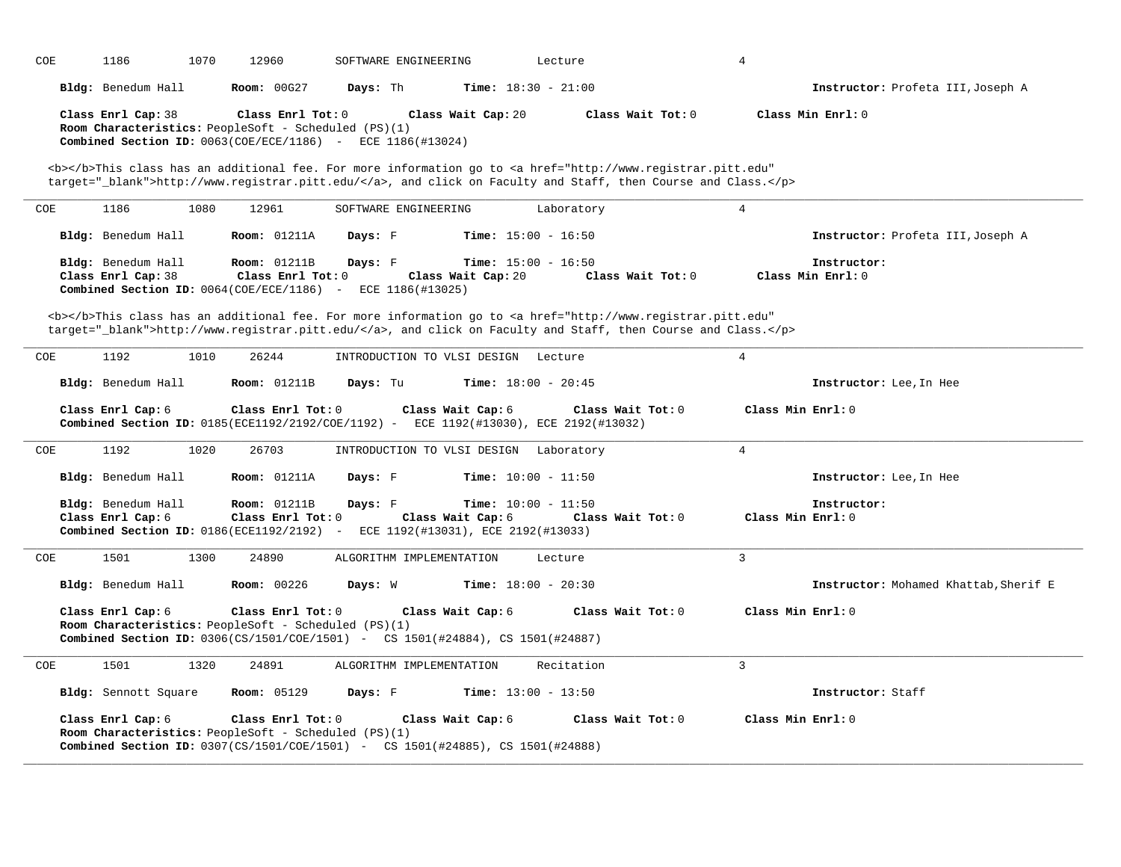| COE | 1186                                     | 1070 | 12960                                                                     | SOFTWARE ENGINEERING                                                                           |                                                    | Lecture                                                                                                                                                                                                                            | $\overline{4}$    |                                       |
|-----|------------------------------------------|------|---------------------------------------------------------------------------|------------------------------------------------------------------------------------------------|----------------------------------------------------|------------------------------------------------------------------------------------------------------------------------------------------------------------------------------------------------------------------------------------|-------------------|---------------------------------------|
|     | Bldg: Benedum Hall                       |      | Room: 00G27                                                               | Days: Th                                                                                       | <b>Time:</b> $18:30 - 21:00$                       |                                                                                                                                                                                                                                    |                   | Instructor: Profeta III, Joseph A     |
|     | Class Enrl Cap: 38                       |      | Class Enrl Tot: 0<br>Room Characteristics: PeopleSoft - Scheduled (PS)(1) | Combined Section ID: $0063$ (COE/ECE/1186) - ECE 1186 (#13024)                                 | Class Wait Cap: 20                                 | Class Wait Tot: 0                                                                                                                                                                                                                  |                   | Class Min Enrl: 0                     |
|     |                                          |      |                                                                           |                                                                                                |                                                    | <b></b> This class has an additional fee. For more information go to <a <br="" href="http://www.registrar.pitt.edu">target="_blank"&gt;http://www.registrar.pitt.edu/</a> , and click on Faculty and Staff, then Course and Class. |                   |                                       |
| COE | 1186                                     | 1080 | 12961                                                                     | SOFTWARE ENGINEERING                                                                           |                                                    | Laboratory                                                                                                                                                                                                                         | $\overline{4}$    |                                       |
|     | Bldg: Benedum Hall                       |      | <b>Room: 01211A</b>                                                       | Days: F                                                                                        | <b>Time:</b> $15:00 - 16:50$                       |                                                                                                                                                                                                                                    |                   | Instructor: Profeta III, Joseph A     |
|     | Bldg: Benedum Hall<br>Class Enrl Cap: 38 |      | <b>Room: 01211B</b><br>Class Enrl Tot: 0                                  | Days: F<br><b>Combined Section ID:</b> $0064$ (COE/ECE/1186) - ECE $1186$ (#13025)             | <b>Time:</b> $15:00 - 16:50$<br>Class Wait Cap: 20 | Class Wait Tot: 0                                                                                                                                                                                                                  |                   | Instructor:<br>Class Min Enrl: 0      |
|     |                                          |      |                                                                           |                                                                                                |                                                    | <b></b> This class has an additional fee. For more information go to <a <br="" href="http://www.registrar.pitt.edu">target="_blank"&gt;http://www.registrar.pitt.edu/</a> , and click on Faculty and Staff, then Course and Class. |                   |                                       |
| COE | 1192                                     | 1010 | 26244                                                                     | INTRODUCTION TO VLSI DESIGN Lecture                                                            |                                                    |                                                                                                                                                                                                                                    | $\overline{4}$    |                                       |
|     | Bldg: Benedum Hall                       |      | <b>Room: 01211B</b>                                                       | Days: Tu                                                                                       | <b>Time:</b> $18:00 - 20:45$                       |                                                                                                                                                                                                                                    |                   | Instructor: Lee, In Hee               |
|     | Class Enrl Cap: 6                        |      | Class Enrl Tot: 0                                                         |                                                                                                | Class Wait Cap: 6                                  | Class Wait Tot: 0<br>Combined Section ID: 0185(ECE1192/2192/COE/1192) - ECE 1192(#13030), ECE 2192(#13032)                                                                                                                         | Class Min Enrl: 0 |                                       |
| COE | 1192                                     | 1020 | 26703                                                                     | INTRODUCTION TO VLSI DESIGN Laboratory                                                         |                                                    |                                                                                                                                                                                                                                    | $\overline{4}$    |                                       |
|     | Bldg: Benedum Hall                       |      | <b>Room: 01211A</b>                                                       | Days: F                                                                                        | <b>Time:</b> $10:00 - 11:50$                       |                                                                                                                                                                                                                                    |                   | Instructor: Lee, In Hee               |
|     | Bldg: Benedum Hall<br>Class Enrl Cap: 6  |      | <b>Room:</b> 01211B<br>Class Enrl Tot: 0                                  | Days: F<br><b>Combined Section ID:</b> 0186(ECE1192/2192) - ECE 1192(#13031), ECE 2192(#13033) | <b>Time:</b> $10:00 - 11:50$<br>Class Wait Cap: 6  | Class Wait Tot: 0                                                                                                                                                                                                                  | Class Min Enrl: 0 | Instructor:                           |
| COE | 1501                                     | 1300 | 24890                                                                     | ALGORITHM IMPLEMENTATION                                                                       |                                                    | Lecture                                                                                                                                                                                                                            | $\mathcal{L}$     |                                       |
|     | Bldg: Benedum Hall                       |      | <b>Room: 00226</b>                                                        | Days: W                                                                                        | <b>Time:</b> $18:00 - 20:30$                       |                                                                                                                                                                                                                                    |                   | Instructor: Mohamed Khattab, Sherif E |
|     | Class Enrl Cap: 6                        |      | Class Enrl Tot: 0<br>Room Characteristics: PeopleSoft - Scheduled (PS)(1) | <b>Combined Section ID:</b> 0306(CS/1501/COE/1501) - CS 1501(#24884), CS 1501(#24887)          | Class Wait Cap: 6                                  | Class Wait Tot: 0                                                                                                                                                                                                                  | Class Min Enrl: 0 |                                       |
| COE | 1501                                     | 1320 | 24891                                                                     | ALGORITHM IMPLEMENTATION                                                                       |                                                    | Recitation                                                                                                                                                                                                                         | $\overline{3}$    |                                       |
|     | Bldg: Sennott Square                     |      | <b>Room:</b> 05129                                                        | Days: F                                                                                        | <b>Time:</b> $13:00 - 13:50$                       |                                                                                                                                                                                                                                    |                   | Instructor: Staff                     |
|     | Class Enrl Cap: 6                        |      | Class Enrl Tot: 0<br>Room Characteristics: PeopleSoft - Scheduled (PS)(1) | <b>Combined Section ID:</b> 0307(CS/1501/COE/1501) - CS 1501(#24885), CS 1501(#24888)          | Class Wait Cap: 6                                  | Class Wait Tot: 0                                                                                                                                                                                                                  | Class Min Enrl: 0 |                                       |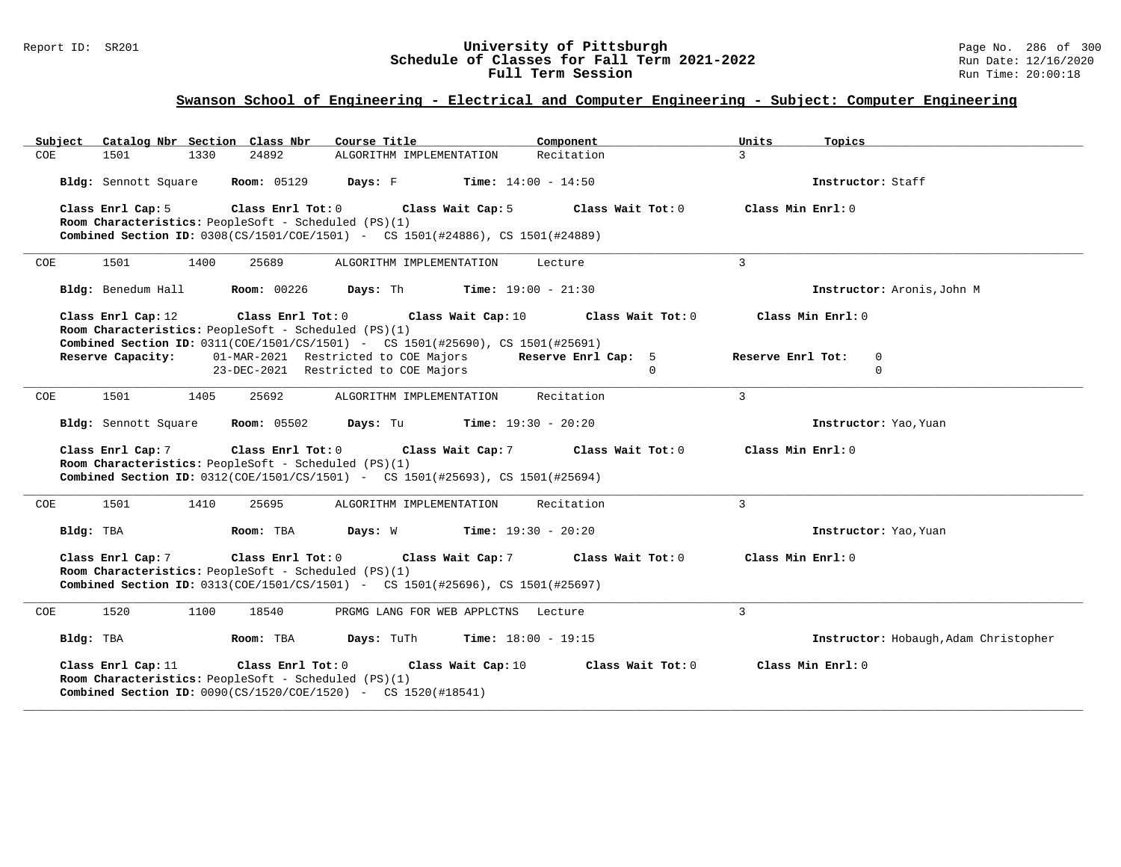### Report ID: SR201 **1988 Chedule of Classes for Fall Term 2021-2022** Page No. 286 of 300 Page No. 286 of 300 Page No<br>**Schedule of Classes for Fall Term 2021-2022** Run Date: 12/16/2020 **Schedule of Classes for Fall Term 2021-2022** Run Date: 12/16/2020 **Full Term Session Rundall Term Session Rundall Term Session**

### **Swanson School of Engineering - Electrical and Computer Engineering - Subject: Computer Engineering**

| Catalog Nbr Section Class Nbr<br>Subject                                                            | Course Title                                                             | Component<br>Units          | Topics                                |
|-----------------------------------------------------------------------------------------------------|--------------------------------------------------------------------------|-----------------------------|---------------------------------------|
| COE<br>1501<br>1330<br>24892                                                                        | ALGORITHM IMPLEMENTATION                                                 | Recitation<br>$\mathcal{L}$ |                                       |
| <b>Room: 05129</b><br>Bldg: Sennott Square                                                          | $\mathtt{DayS:}$ $\quad$ $\quad$ $\quad$<br><b>Time:</b> $14:00 - 14:50$ |                             | Instructor: Staff                     |
| Class Enrl Cap: 5<br>Class Enrl Tot: 0                                                              | Class Wait Cap: 5                                                        | Class Wait Tot: 0           | Class Min $Err1:0$                    |
| Room Characteristics: PeopleSoft - Scheduled (PS)(1)                                                |                                                                          |                             |                                       |
| <b>Combined Section ID:</b> 0308(CS/1501/COE/1501) - CS 1501(#24886), CS 1501(#24889)               |                                                                          |                             |                                       |
| 1501<br>1400<br>25689<br>COE                                                                        | ALGORITHM IMPLEMENTATION                                                 | 3<br>Lecture                |                                       |
| Bldg: Benedum Hall<br><b>Room: 00226</b>                                                            | <b>Days:</b> Th <b>Time:</b> $19:00 - 21:30$                             |                             | Instructor: Aronis, John M            |
| Class Enrl Cap: 12<br>Class Enrl Tot: 0                                                             | Class Wait Cap: 10                                                       | Class Wait Tot: 0           | Class Min Enrl: 0                     |
| Room Characteristics: PeopleSoft - Scheduled (PS)(1)                                                |                                                                          |                             |                                       |
| Combined Section ID: 0311(COE/1501/CS/1501) - CS 1501(#25690), CS 1501(#25691)<br>Reserve Capacity: | 01-MAR-2021 Restricted to COE Majors                                     | Reserve Enrl Cap: 5         | Reserve Enrl Tot:<br>$\mathbf 0$      |
|                                                                                                     | 23-DEC-2021 Restricted to COE Majors                                     | $\Omega$                    | $\mathsf{O}$                          |
|                                                                                                     |                                                                          |                             |                                       |
| 1501<br>1405<br>25692<br>COE                                                                        | ALGORITHM IMPLEMENTATION                                                 | Recitation<br>$\mathbf{3}$  |                                       |
|                                                                                                     |                                                                          |                             |                                       |
| Bldg: Sennott Square                                                                                | <b>Room:</b> $05502$ <b>Days:</b> Tu <b>Time:</b> $19:30 - 20:20$        |                             | Instructor: Yao, Yuan                 |
| Class Enrl Cap: 7<br>Class Enrl Tot: 0                                                              | Class Wait Cap: 7                                                        | Class Wait Tot: 0           | Class Min $Err1:0$                    |
| Room Characteristics: PeopleSoft - Scheduled (PS)(1)                                                |                                                                          |                             |                                       |
| <b>Combined Section ID:</b> 0312(COE/1501/CS/1501) - CS 1501(#25693), CS 1501(#25694)               |                                                                          |                             |                                       |
| 1501<br>1410<br>25695<br>COE                                                                        | ALGORITHM IMPLEMENTATION                                                 | 3<br>Recitation             |                                       |
| Bldg: TBA<br>Room: TBA                                                                              | <b>Days:</b> W <b>Time:</b> $19:30 - 20:20$                              |                             | Instructor: Yao, Yuan                 |
| Class Enrl Tot: 0<br>Class Enrl Cap: 7                                                              | Class Wait Cap: 7                                                        | Class Wait Tot: 0           | Class Min Enrl: 0                     |
| Room Characteristics: PeopleSoft - Scheduled (PS)(1)                                                |                                                                          |                             |                                       |
| Combined Section ID: 0313(COE/1501/CS/1501) - CS 1501(#25696), CS 1501(#25697)                      |                                                                          |                             |                                       |
| 1520<br>1100<br>18540<br>COE                                                                        | PRGMG LANG FOR WEB APPLCTNS Lecture                                      | 3                           |                                       |
|                                                                                                     |                                                                          |                             |                                       |
| Bldg: TBA<br>Room: TBA                                                                              | <b>Days:</b> TuTh <b>Time:</b> $18:00 - 19:15$                           |                             | Instructor: Hobaugh, Adam Christopher |
| Class Enrl Tot: 0<br>Class Enrl Cap: 11                                                             | Class Wait Cap: 10                                                       | Class Wait Tot: 0           | Class Min Enrl: 0                     |
| Room Characteristics: PeopleSoft - Scheduled (PS)(1)                                                |                                                                          |                             |                                       |
| <b>Combined Section ID:</b> $0090(CS/1520/COE/1520)$ - CS $1520(\text{\#}18541)$                    |                                                                          |                             |                                       |
|                                                                                                     |                                                                          |                             |                                       |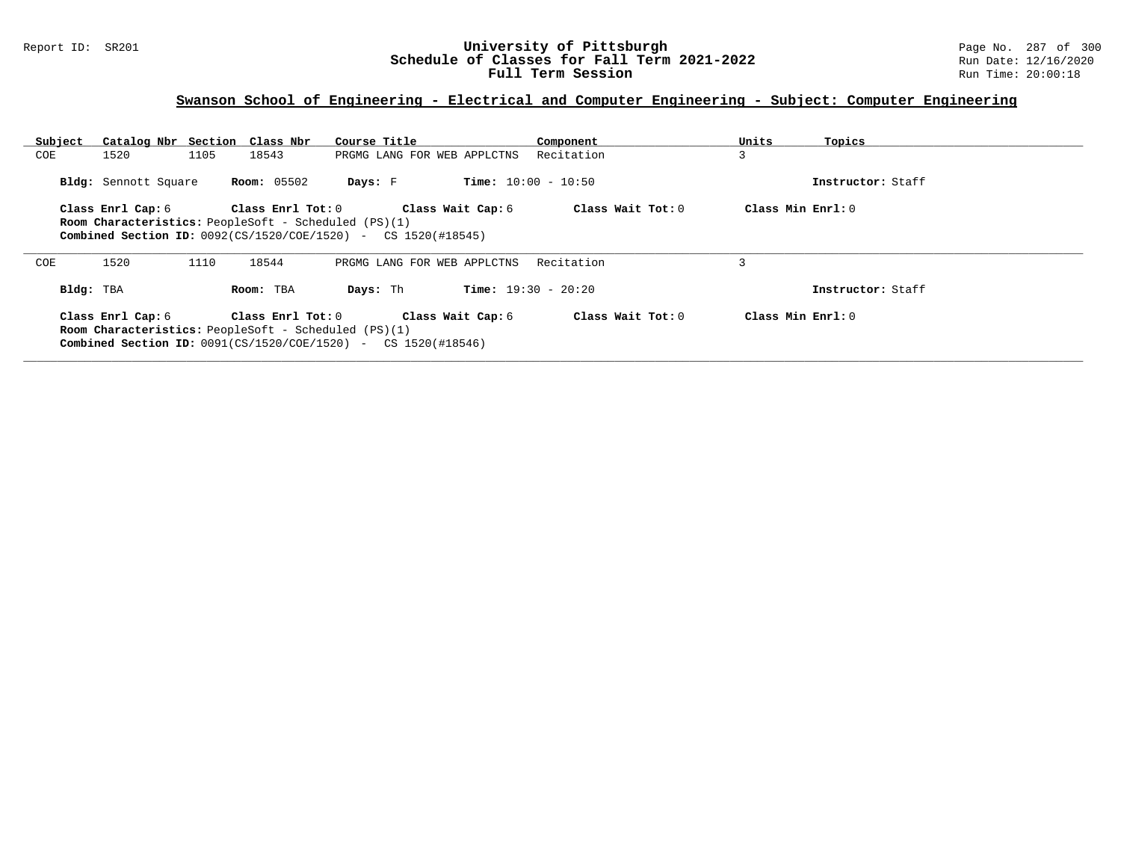#### Report ID: SR201 **University of Pittsburgh** Page No. 287 of 300 **Schedule of Classes for Fall Term 2021-2022** Run Date: 12/16/2020 **Full Term Session Rundall Term Session Rundall Term Session**

### **Swanson School of Engineering - Electrical and Computer Engineering - Subject: Computer Engineering**

| Subject   | Catalog Nbr Section Class Nbr                               |      |                    | Course Title                                                              |                   | Component                    | Units              | Topics            |
|-----------|-------------------------------------------------------------|------|--------------------|---------------------------------------------------------------------------|-------------------|------------------------------|--------------------|-------------------|
| COE       | 1520                                                        | 1105 | 18543              | PRGMG LANG FOR WEB APPLCTNS                                               |                   | Recitation                   | 3                  |                   |
|           | Bldg: Sennott Square                                        |      | <b>Room:</b> 05502 | Days: F                                                                   |                   | <b>Time:</b> $10:00 - 10:50$ |                    | Instructor: Staff |
|           | Class Enrl Cap: 6                                           |      | Class Enrl Tot: 0  |                                                                           | Class Wait Cap: 6 | Class Wait Tot: 0            | Class Min Enrl: 0  |                   |
|           | <b>Room Characteristics:</b> PeopleSoft - Scheduled (PS)(1) |      |                    |                                                                           |                   |                              |                    |                   |
|           |                                                             |      |                    | <b>Combined Section ID:</b> $0092(CS/1520/COE/1520)$ - CS $1520(\#18545)$ |                   |                              |                    |                   |
| COE       | 1520                                                        | 1110 | 18544              | PRGMG LANG FOR WEB APPLCTNS                                               |                   | Recitation                   | 3                  |                   |
| Bldg: TBA |                                                             |      | Room: TBA          | Days: Th                                                                  |                   | <b>Time:</b> $19:30 - 20:20$ |                    | Instructor: Staff |
|           |                                                             |      | Class Enrl Tot: 0  |                                                                           | Class Wait Cap: 6 | Class Wait Tot: 0            | Class Min $Err1:0$ |                   |
|           | Class Enrl Cap: 6                                           |      |                    |                                                                           |                   |                              |                    |                   |
|           | <b>Room Characteristics:</b> PeopleSoft - Scheduled (PS)(1) |      |                    |                                                                           |                   |                              |                    |                   |
|           |                                                             |      |                    | <b>Combined Section ID:</b> $0091(CS/1520/COE/1520)$ - CS $1520(\#18546)$ |                   |                              |                    |                   |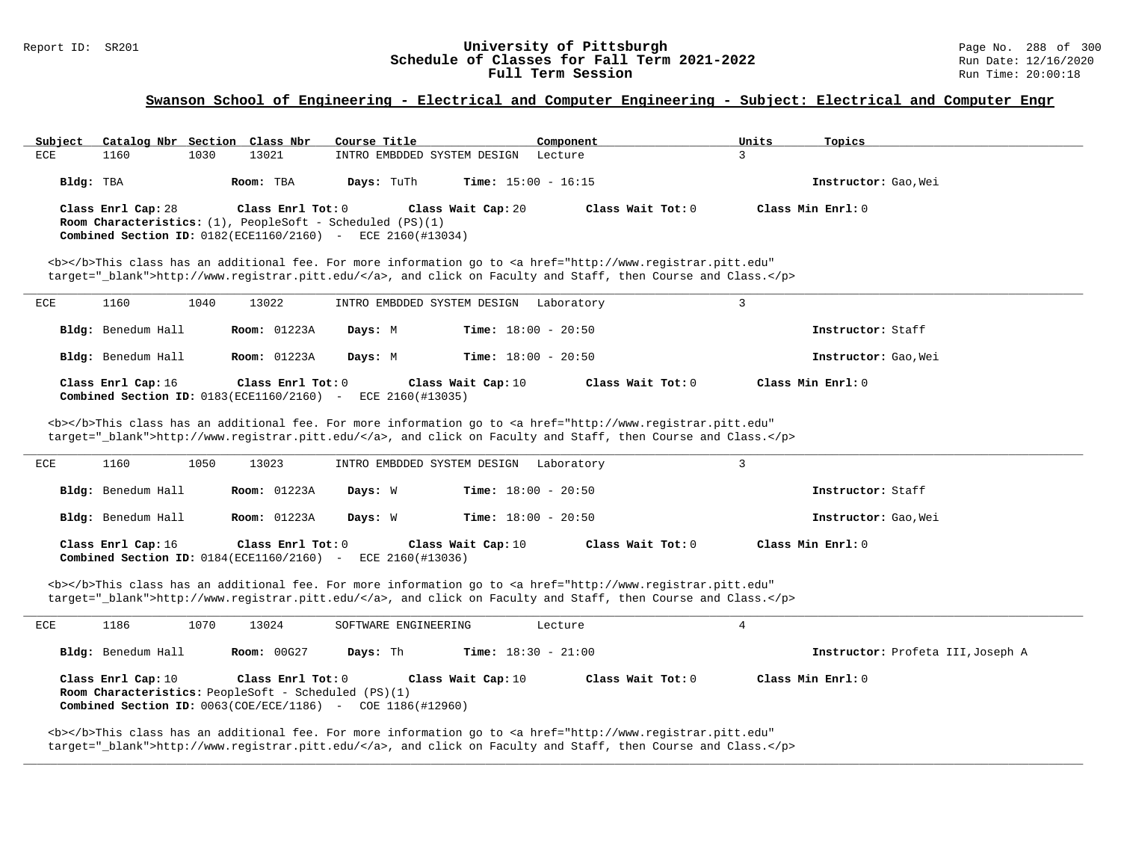#### Report ID: SR201 **1988** Constant Constant Constant Constant Constant Constant Constant Constant Constant Constant<br> **Schedule of Classes for Fall Term 2021-2022** 2022 Run Date: 12/16/2020 **Schedule of Classes for Fall Term 2021-2022** Run Date: 12/16/2021<br>**Full Term Session** Run Time: 20:00:18 Full Term Session

### **Swanson School of Engineering - Electrical and Computer Engineering - Subject: Electrical and Computer Engr**

| 1160<br>1030<br>13021<br>INTRO EMBDDED SYSTEM DESIGN<br>ECE<br>Lecture<br>Bldg: TBA<br><b>Time:</b> $15:00 - 16:15$<br>Instructor: Gao, Wei<br><b>Days:</b> TuTh<br>Room: TBA<br>Class Wait Tot: 0<br>Class Wait Cap: 20<br>Class Min Enrl: 0<br>Class Enrl Cap: 28<br>Class Enrl Tot: 0<br><b>Room Characteristics:</b> $(1)$ , PeopleSoft - Scheduled $(PS)(1)$ | Subject | Catalog Nbr Section Class Nbr | Course Title | Component | Units | Topics |
|-------------------------------------------------------------------------------------------------------------------------------------------------------------------------------------------------------------------------------------------------------------------------------------------------------------------------------------------------------------------|---------|-------------------------------|--------------|-----------|-------|--------|
|                                                                                                                                                                                                                                                                                                                                                                   |         |                               |              |           |       |        |
|                                                                                                                                                                                                                                                                                                                                                                   |         |                               |              |           |       |        |
| <b>Combined Section ID:</b> $0182$ (ECE1160/2160) - ECE 2160(#13034)                                                                                                                                                                                                                                                                                              |         |                               |              |           |       |        |

<b></b>This class has an additional fee. For more information go to <a href="http://www.registrar.pitt.edu" target="\_blank">http://www.registrar.pitt.edu/</a>, and click on Faculty and Staff, then Course and Class.</p>

| ECE | 1160               | 1040 | 13022                                                             | INTRO EMBDDED SYSTEM DESIGN |                              | Laboratory        |                      |
|-----|--------------------|------|-------------------------------------------------------------------|-----------------------------|------------------------------|-------------------|----------------------|
|     | Bldg: Benedum Hall |      | <b>Room:</b> 01223A                                               | Days: M                     | <b>Time:</b> $18:00 - 20:50$ |                   | Instructor: Staff    |
|     | Bldg: Benedum Hall |      | <b>Room:</b> 01223A                                               | Days: M                     | <b>Time:</b> $18:00 - 20:50$ |                   | Instructor: Gao, Wei |
|     | Class Enrl Cap: 16 |      | Class Enrl Tot: 0<br>Combined Section ID: $0183$ (ECE1160/2160) - | ECE 2160(#13035)            | Class Wait Cap: 10           | Class Wait Tot: 0 | Class Min Enrl: 0    |

<b></b>This class has an additional fee. For more information go to <a href="http://www.registrar.pitt.edu" target=" blank">http://www.registrar.pitt.edu/</a>, and click on Faculty and Staff, then Course and Class.</p>

| ECE | 1160<br>1050       |  | 13023                                      | INTRO EMBDDED SYSTEM DESIGN          |                              | Laboratory        |                      |  |
|-----|--------------------|--|--------------------------------------------|--------------------------------------|------------------------------|-------------------|----------------------|--|
|     | Bldg: Benedum Hall |  | <b>Room:</b> 01223A                        | Davs: W                              | <b>Time:</b> $18:00 - 20:50$ |                   | Instructor: Staff    |  |
|     | Bldg: Benedum Hall |  | <b>Room:</b> 01223A                        | Davs: W                              | <b>Time:</b> $18:00 - 20:50$ |                   | Instructor: Gao, Wei |  |
|     | Class Enrl Cap: 16 |  | Class Enrl Tot: 0                          |                                      | Class Wait Cap: 10           | Class Wait Tot: 0 | Class Min Enrl: 0    |  |
|     |                    |  | Combined Section ID: $0184$ (ECE1160/2160) | ECE 2160(#13036)<br>$\sim$ 100 $\mu$ |                              |                   |                      |  |

<b></b>This class has an additional fee. For more information go to <a href="http://www.registrar.pitt.edu" target="\_blank">http://www.registrar.pitt.edu/</a>, and click on Faculty and Staff, then Course and Class.</p>

| ECE | 1186               | 1070 | 13024                                                                                                                                                    | SOFTWARE ENGINEERING |                    | Lecture                      |                                   |
|-----|--------------------|------|----------------------------------------------------------------------------------------------------------------------------------------------------------|----------------------|--------------------|------------------------------|-----------------------------------|
|     | Bldg: Benedum Hall |      | Room: 00G27                                                                                                                                              | Davs: Th             |                    | <b>Time:</b> $18:30 - 21:00$ | Instructor: Profeta III, Joseph A |
|     | Class Enrl Cap: 10 |      | Class Enrl Tot: 0<br><b>Room Characteristics:</b> PeopleSoft - Scheduled (PS)(1)<br><b>Combined Section ID:</b> $0063$ (COE/ECE/1186) - COE 1186(#12960) |                      | Class Wait Cap: 10 | Class Wait Tot: 0            | Class Min Ernst: 0                |

**\_\_\_\_\_\_\_\_\_\_\_\_\_\_\_\_\_\_\_\_\_\_\_\_\_\_\_\_\_\_\_\_\_\_\_\_\_\_\_\_\_\_\_\_\_\_\_\_\_\_\_\_\_\_\_\_\_\_\_\_\_\_\_\_\_\_\_\_\_\_\_\_\_\_\_\_\_\_\_\_\_\_\_\_\_\_\_\_\_\_\_\_\_\_\_\_\_\_\_\_\_\_\_\_\_\_\_\_\_\_\_\_\_\_\_\_\_\_\_\_\_\_\_\_\_\_\_\_\_\_\_\_\_\_\_\_\_\_\_\_\_\_\_\_\_\_\_\_\_\_\_\_\_\_\_\_**

<b></b>This class has an additional fee. For more information go to <a href="http://www.registrar.pitt.edu" target="\_blank">http://www.registrar.pitt.edu/</a>, and click on Faculty and Staff, then Course and Class.</p>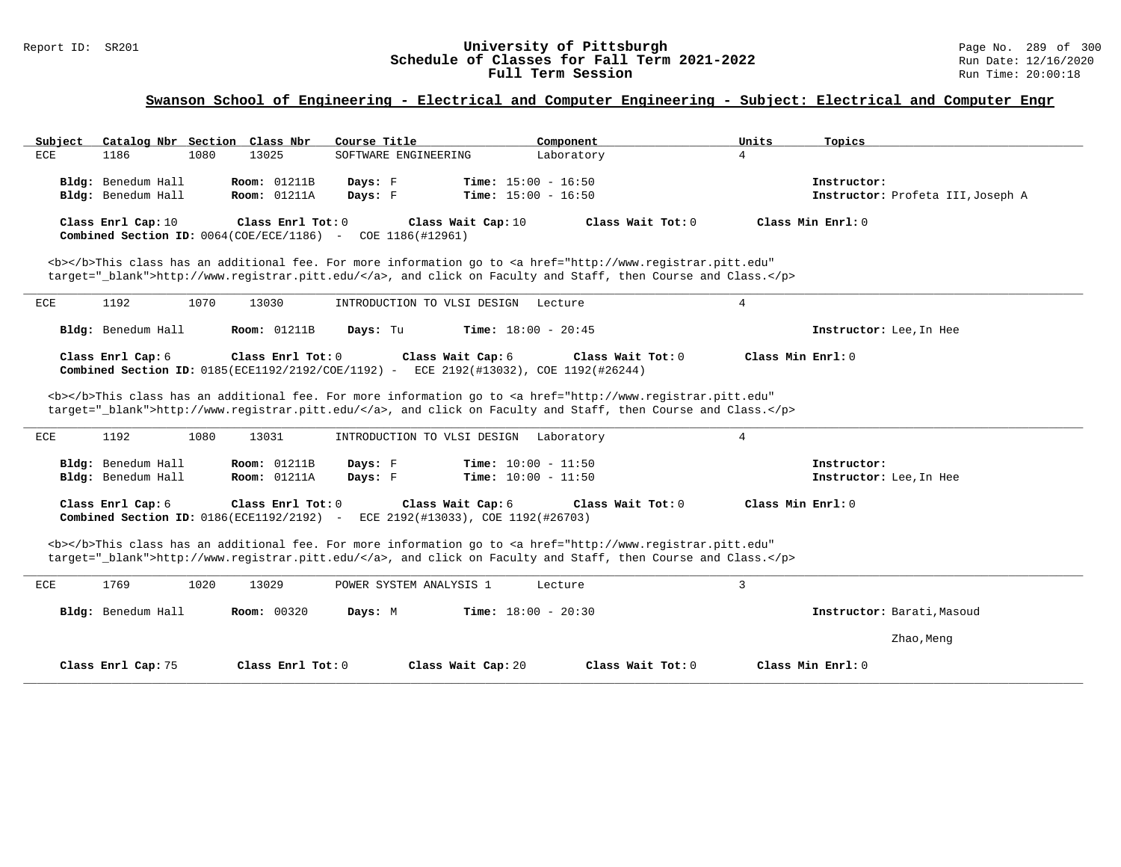## Report ID: SR201 **University of Pittsburgh** Page No. 289 of 300 **Schedule of Classes for Fall Term 2021-2022** Run Date: 12/16/2020 **Full Term Session Rundall Term Session Rundall Term Session**

# **Swanson School of Engineering - Electrical and Computer Engineering - Subject: Electrical and Computer Engr**

| Catalog Nbr Section Class Nbr<br>Subject                          | Course Title                                                                          | Component                                                                                                                             | Units<br>Topics                        |
|-------------------------------------------------------------------|---------------------------------------------------------------------------------------|---------------------------------------------------------------------------------------------------------------------------------------|----------------------------------------|
| $_{\rm ECE}$<br>1186<br>1080                                      | 13025<br>SOFTWARE ENGINEERING                                                         | Laboratory                                                                                                                            | $\overline{4}$                         |
| Bldg: Benedum Hall                                                | <b>Room: 01211B</b><br>Days: F                                                        | <b>Time:</b> $15:00 - 16:50$                                                                                                          | Instructor:                            |
| Bldg: Benedum Hall                                                | Room: 01211A<br>Days: F                                                               | Time: $15:00 - 16:50$                                                                                                                 | Instructor: Profeta III, Joseph A      |
| Class Enrl Cap: 10                                                | Class Enrl Tot: 0                                                                     | Class Wait Cap: 10<br>Class Wait Tot: $0$                                                                                             | Class Min Enrl: 0                      |
| Combined Section ID: $0064$ (COE/ECE/1186) -                      | COE 1186(#12961)                                                                      |                                                                                                                                       |                                        |
|                                                                   |                                                                                       | <b></b> This class has an additional fee. For more information go to <a <="" href="http://www.registrar.pitt.edu" td=""><td></td></a> |                                        |
|                                                                   |                                                                                       | target=" blank">http://www.registrar.pitt.edu/, and click on Faculty and Staff, then Course and Class.                                |                                        |
|                                                                   |                                                                                       |                                                                                                                                       |                                        |
| 1192<br>1070<br>ECE                                               | 13030<br>INTRODUCTION TO VLSI DESIGN                                                  | Lecture                                                                                                                               | 4                                      |
| Bldg: Benedum Hall                                                | <b>Room: 01211B</b><br>Days: Tu                                                       | Time: $18:00 - 20:45$                                                                                                                 | Instructor: Lee, In Hee                |
| Class Enrl Cap: 6                                                 | Class Enrl Tot: 0                                                                     | Class Wait Cap: 6<br>Class Wait Tot: 0                                                                                                | Class Min Enrl: 0                      |
|                                                                   | Combined Section ID: 0185(ECE1192/2192/COE/1192) - ECE 2192(#13032), COE 1192(#26244) |                                                                                                                                       |                                        |
|                                                                   |                                                                                       | <b></b> This class has an additional fee. For more information go to <a <="" href="http://www.registrar.pitt.edu" td=""><td></td></a> |                                        |
|                                                                   |                                                                                       | target="_blank">http://www.registrar.pitt.edu/, and click on Faculty and Staff, then Course and Class.                                |                                        |
| 1192<br>1080<br>ECE                                               | 13031<br>INTRODUCTION TO VLSI DESIGN                                                  | Laboratory                                                                                                                            | $\overline{4}$                         |
|                                                                   |                                                                                       |                                                                                                                                       |                                        |
| Bldg: Benedum Hall<br>Bldg: Benedum Hall                          | <b>Room: 01211B</b><br>Days: F<br>Room: 01211A<br>Days: F                             | <b>Time:</b> $10:00 - 11:50$<br><b>Time:</b> $10:00 - 11:50$                                                                          | Instructor:<br>Instructor: Lee, In Hee |
|                                                                   |                                                                                       |                                                                                                                                       |                                        |
| Class Enrl Cap: 6<br>Combined Section ID: $0186$ (ECE1192/2192) - | Class Enrl Tot: 0                                                                     | Class Wait Cap: 6<br>Class Wait Tot: $0$<br>ECE 2192(#13033), COE 1192(#26703)                                                        | Class Min Enrl: 0                      |
|                                                                   |                                                                                       | <b></b> This class has an additional fee. For more information go to <a <="" href="http://www.registrar.pitt.edu" td=""><td></td></a> |                                        |
|                                                                   |                                                                                       | target="_blank">http://www.registrar.pitt.edu/, and click on Faculty and Staff, then Course and Class.                                |                                        |
| ECE<br>1769<br>1020                                               | 13029<br>POWER SYSTEM ANALYSIS 1                                                      | Lecture                                                                                                                               | 3                                      |
| Bldg: Benedum Hall                                                | <b>Room: 00320</b><br>Days: M                                                         | <b>Time:</b> $18:00 - 20:30$                                                                                                          | Instructor: Barati, Masoud             |
|                                                                   |                                                                                       |                                                                                                                                       | Zhao, Meng                             |
| Class Enrl Cap: 75                                                | Class Enrl Tot: 0                                                                     | Class Wait Cap: 20<br>Class Wait Tot: 0                                                                                               | Class Min Enrl: 0                      |
|                                                                   |                                                                                       |                                                                                                                                       |                                        |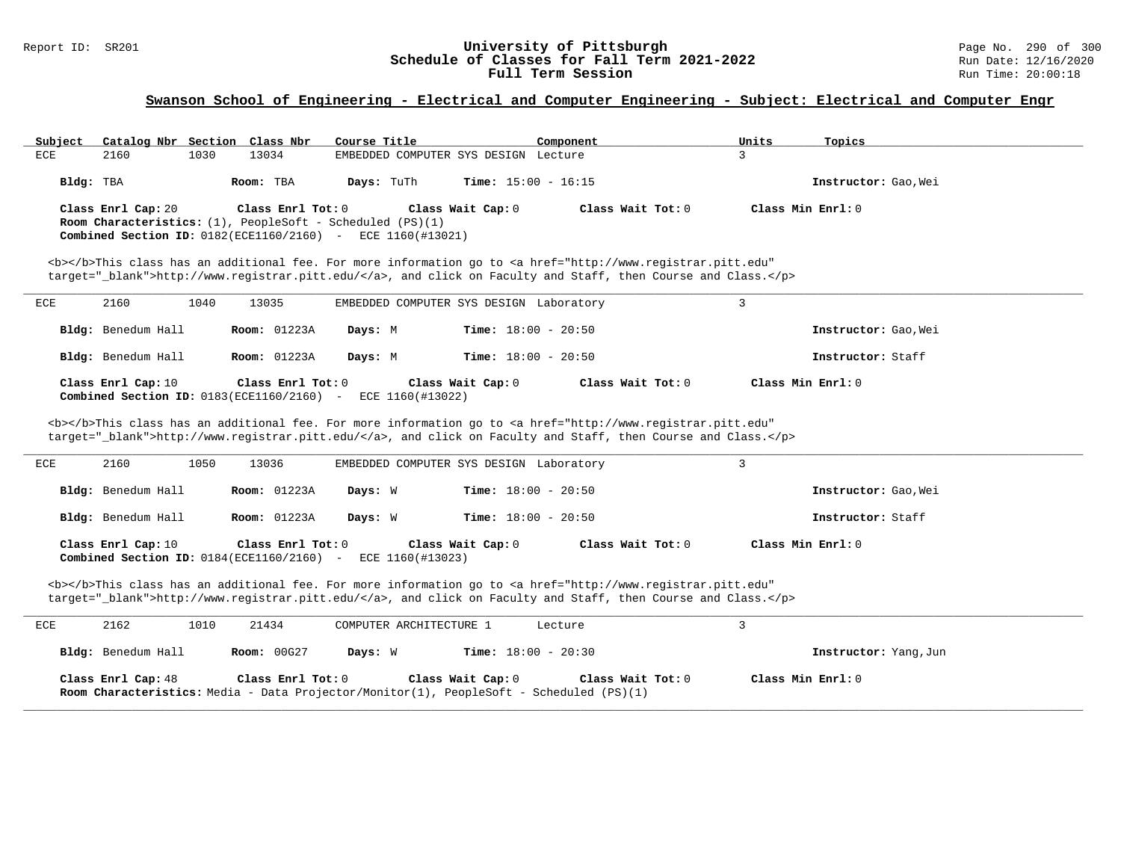#### Report ID: SR201 **1988 Constrained Bell Constrained Bell Classes for Fall Term 2021-2022** Page No. 290 of 300<br>**Schedule of Classes for Fall Term 2021-2022** Page No. 290 of 300 **Schedule of Classes for Fall Term 2021-2022** Run Date: 12/16/2021<br>**Full Term Session** Run Time: 20:00:18 Full Term Session

## **Swanson School of Engineering - Electrical and Computer Engineering - Subject: Electrical and Computer Engr**

| Subject   | Catalog Nbr Section Class Nbr |      |                     | Course Title                                                                                                                                   |                              | Component                                                                                                                                                                                                                          | Units             | Topics               |
|-----------|-------------------------------|------|---------------------|------------------------------------------------------------------------------------------------------------------------------------------------|------------------------------|------------------------------------------------------------------------------------------------------------------------------------------------------------------------------------------------------------------------------------|-------------------|----------------------|
| ECE       | 2160                          | 1030 | 13034               | EMBEDDED COMPUTER SYS DESIGN Lecture                                                                                                           |                              |                                                                                                                                                                                                                                    | 3                 |                      |
| Bldg: TBA |                               |      | Room: TBA           | Days: TuTh                                                                                                                                     | <b>Time:</b> $15:00 - 16:15$ |                                                                                                                                                                                                                                    |                   | Instructor: Gao, Wei |
|           | Class Enrl Cap: 20            |      | Class Enrl Tot: 0   | <b>Room Characteristics:</b> $(1)$ , PeopleSoft - Scheduled $(PS)(1)$<br><b>Combined Section ID:</b> $0.182$ (ECE1160/2160) - ECE 1160(#13021) | Class Wait Cap: 0            | Class Wait Tot: 0                                                                                                                                                                                                                  | Class Min Enrl: 0 |                      |
|           |                               |      |                     |                                                                                                                                                |                              | <b></b> This class has an additional fee. For more information go to <a <br="" href="http://www.registrar.pitt.edu">target=" blank"&gt;http://www.registrar.pitt.edu/</a> , and click on Faculty and Staff, then Course and Class. |                   |                      |
| ECE       | 2160                          | 1040 | 13035               | EMBEDDED COMPUTER SYS DESIGN Laboratory                                                                                                        |                              |                                                                                                                                                                                                                                    |                   |                      |
|           | <b>Bldg:</b> Benedum Hall     |      | <b>Room:</b> 01223A | Days: M                                                                                                                                        | <b>Time:</b> $18:00 - 20:50$ |                                                                                                                                                                                                                                    |                   | Instructor: Gao, Wei |
|           | Bldg: Benedum Hall            |      | <b>Room:</b> 01223A | Days: M                                                                                                                                        | <b>Time:</b> $18:00 - 20:50$ |                                                                                                                                                                                                                                    |                   | Instructor: Staff    |

| Class Enrl Cap: 10                                                   | Class Enrl Tot: 0 | Class Wait Cap: 0 | Class Wait Tot: 0 | Class Min Enrl: 0 |
|----------------------------------------------------------------------|-------------------|-------------------|-------------------|-------------------|
| <b>Combined Section ID:</b> $0183$ (ECE1160/2160) - ECE 1160(#13022) |                   |                   |                   |                   |

<b></b>This class has an additional fee. For more information go to <a href="http://www.registrar.pitt.edu" target="\_blank">http://www.registrar.pitt.edu/</a>, and click on Faculty and Staff, then Course and Class.</p>

| ECE | 2160               | 1050 | 13036                                                             | EMBEDDED COMPUTER SYS DESIGN Laboratory |                              |                   |                      |  |
|-----|--------------------|------|-------------------------------------------------------------------|-----------------------------------------|------------------------------|-------------------|----------------------|--|
|     | Bldg: Benedum Hall |      | <b>Room:</b> 01223A                                               | Days: W                                 | <b>Time:</b> $18:00 - 20:50$ |                   | Instructor: Gao, Wei |  |
|     | Bldg: Benedum Hall |      | <b>Room:</b> 01223A                                               | Days: W                                 | <b>Time:</b> $18:00 - 20:50$ |                   | Instructor: Staff    |  |
|     | Class Enrl Cap: 10 |      | Class Enrl Tot: 0<br>Combined Section ID: $0184$ (ECE1160/2160) - | ECE 1160(#13023)                        | Class Wait Cap: 0            | Class Wait Tot: 0 | Class Min Enrl: 0    |  |

<b></b>This class has an additional fee. For more information go to <a href="http://www.registrar.pitt.edu" target="\_blank">http://www.registrar.pitt.edu/</a>, and click on Faculty and Staff, then Course and Class.</p>

| ECE | 2162               | 1010 | 21434             | COMPUTER ARCHITECTURE 1 |                   | Lecture                                                                                                      |                       |
|-----|--------------------|------|-------------------|-------------------------|-------------------|--------------------------------------------------------------------------------------------------------------|-----------------------|
|     | Bldg: Benedum Hall |      | Room: 00G27       | Days: W                 |                   | <b>Time:</b> $18:00 - 20:30$                                                                                 | Instructor: Yang, Jun |
|     | Class Enrl Cap: 48 |      | Class Enrl Tot: 0 |                         | Class Wait Cap: 0 | Class Wait Tot: 0<br>Room Characteristics: Media - Data Projector/Monitor(1), PeopleSoft - Scheduled (PS)(1) | Class Min Enrl: 0     |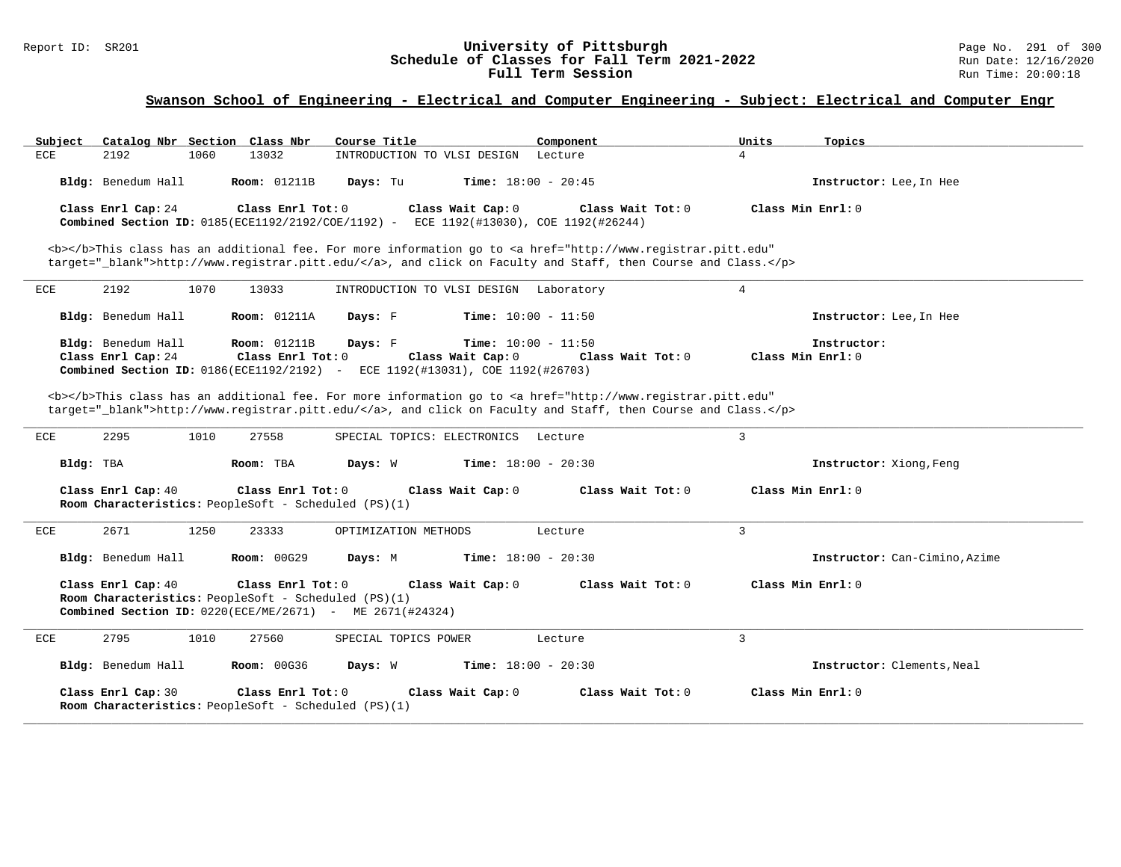## Report ID: SR201 **1988 Chedule of Classes for Fall Term 2021-2022** Page No. 291 of 300 Page No. 291 of 300 Page No<br>**Schedule of Classes for Fall Term 2021-2022** Run Date: 12/16/2020 **Schedule of Classes for Fall Term 2021-2022** Run Date: 12/16/2020 **Full Term Session Rundall Term Session Rundall Term Session**

# **Swanson School of Engineering - Electrical and Computer Engineering - Subject: Electrical and Computer Engr**

| Catalog Nbr Section Class Nbr<br>Subject | Course Title                                                                                                                                                                                                                       | Component                    | Units<br>Topics                |
|------------------------------------------|------------------------------------------------------------------------------------------------------------------------------------------------------------------------------------------------------------------------------------|------------------------------|--------------------------------|
| <b>ECE</b><br>2192<br>1060               | 13032<br>INTRODUCTION TO VLSI DESIGN Lecture                                                                                                                                                                                       |                              | $\overline{4}$                 |
| Bldg: Benedum Hall                       | <b>Room:</b> 01211B<br>Days: Tu                                                                                                                                                                                                    | <b>Time:</b> $18:00 - 20:45$ | Instructor: Lee, In Hee        |
| Class Enrl Cap: 24                       | Class Enrl Tot: 0<br>Class Wait Cap: 0<br>Combined Section ID: 0185(ECE1192/2192/COE/1192) - ECE 1192(#13030), COE 1192(#26244)                                                                                                    | Class Wait Tot: 0            | Class Min Enrl: 0              |
|                                          | <b></b> This class has an additional fee. For more information go to <a <="" href="http://www.registrar.pitt.edu" td=""><td></td><td></td></a>                                                                                     |                              |                                |
|                                          | target="_blank">http://www.registrar.pitt.edu/, and click on Faculty and Staff, then Course and Class.                                                                                                                             |                              |                                |
| 2192<br>1070<br>ECE                      | 13033<br>INTRODUCTION TO VLSI DESIGN Laboratory                                                                                                                                                                                    |                              | $\overline{4}$                 |
| Bldg: Benedum Hall                       | <b>Room: 01211A</b><br>Days: F                                                                                                                                                                                                     | <b>Time:</b> $10:00 - 11:50$ | Instructor: Lee, In Hee        |
| Bldg: Benedum Hall                       | <b>Room: 01211B</b><br>Days: F                                                                                                                                                                                                     | <b>Time:</b> $10:00 - 11:50$ | Instructor:                    |
| Class Enrl Cap: 24                       | Class Enrl Tot: 0<br>Class Wait Cap: 0<br>Combined Section ID: 0186(ECE1192/2192) - ECE 1192(#13031), COE 1192(#26703)                                                                                                             | Class Wait $Tot: 0$          | Class Min Enrl: 0              |
|                                          |                                                                                                                                                                                                                                    |                              |                                |
|                                          | <b></b> This class has an additional fee. For more information go to <a <br="" href="http://www.registrar.pitt.edu">target="_blank"&gt;http://www.registrar.pitt.edu/</a> , and click on Faculty and Staff, then Course and Class. |                              |                                |
| 2295<br>1010<br>ECE                      | 27558<br>SPECIAL TOPICS: ELECTRONICS                                                                                                                                                                                               | Lecture                      | $\mathbf{3}$                   |
| Bldg: TBA                                | Room: TBA<br>Days: W                                                                                                                                                                                                               | <b>Time:</b> $18:00 - 20:30$ | <b>Instructor:</b> Xiong, Feng |
| Class Enrl Cap: 40                       | Class Enrl Tot: 0<br>Class Wait Cap: 0<br>Room Characteristics: PeopleSoft - Scheduled (PS)(1)                                                                                                                                     | Class Wait Tot: 0            | Class Min Enrl: 0              |
| 2671<br>ECE<br>1250                      | 23333<br>OPTIMIZATION METHODS                                                                                                                                                                                                      | Lecture                      | 3                              |
| Bldg: Benedum Hall                       | <b>Room: 00G29</b><br>Days: M                                                                                                                                                                                                      | <b>Time:</b> $18:00 - 20:30$ | Instructor: Can-Cimino, Azime  |
| Class Enrl Cap: 40                       | Class Enrl Tot: 0<br>Class Wait Cap: 0<br>Room Characteristics: PeopleSoft - Scheduled (PS)(1)<br><b>Combined Section ID:</b> $0220(ECE/ME/2671)$ - ME $2671(#24324)$                                                              | Class Wait Tot: 0            | Class Min Enrl: 0              |
| 2795<br>1010<br>ECE                      | 27560<br>SPECIAL TOPICS POWER                                                                                                                                                                                                      | Lecture                      | 3                              |
| Bldg: Benedum Hall                       | <b>Room: 00G36</b><br>Days: W                                                                                                                                                                                                      | <b>Time:</b> $18:00 - 20:30$ | Instructor: Clements, Neal     |
| Class Enrl Cap: 30                       | Class Enrl Tot: 0<br>Class Wait Cap: 0<br>Room Characteristics: PeopleSoft - Scheduled (PS)(1)                                                                                                                                     | Class Wait Tot: 0            | Class Min Enrl: 0              |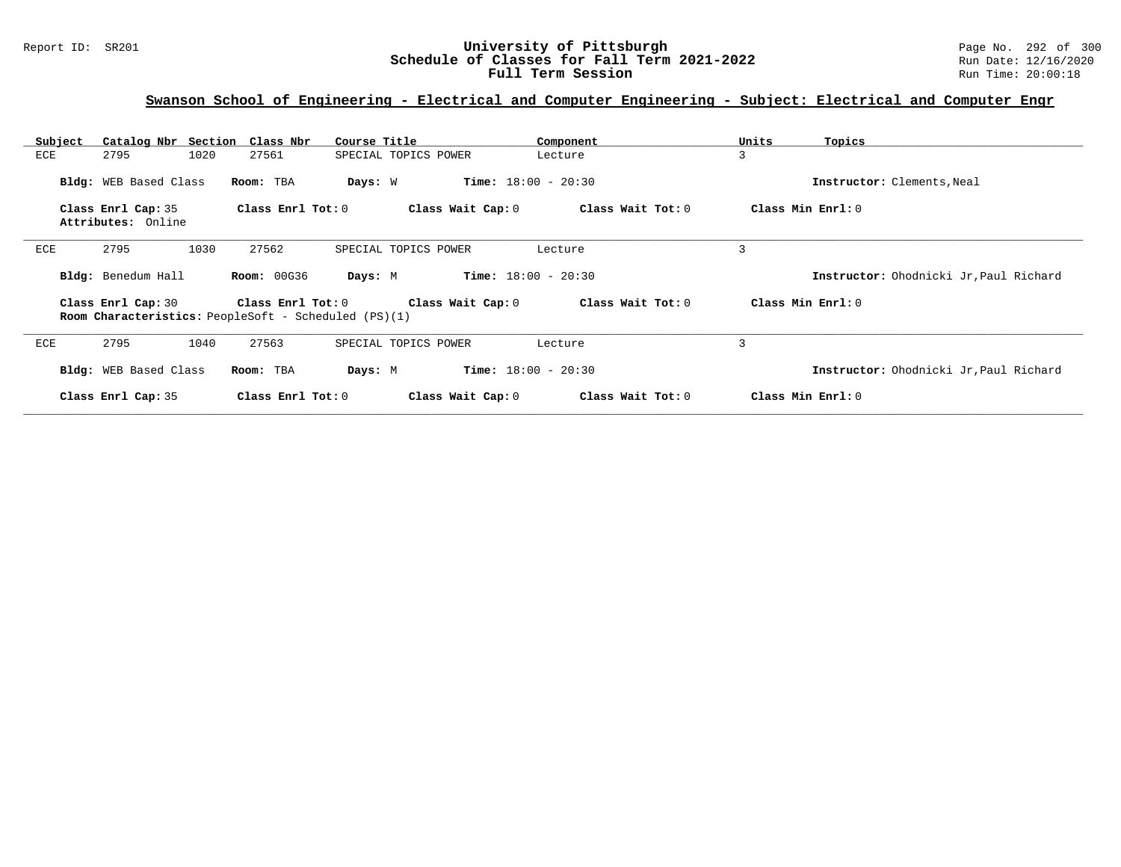## Report ID: SR201 **University of Pittsburgh** Page No. 292 of 300 **Schedule of Classes for Fall Term 2021-2022** Run Date: 12/16/2020 **Full Term Session Rundall Term Session Rundall Term Session**

# **Swanson School of Engineering - Electrical and Computer Engineering - Subject: Electrical and Computer Engr**

| Subject                                  | Catalog Nbr Section Class Nbr<br>Course Title                                    |                              | Component         | Units<br>Topics                        |
|------------------------------------------|----------------------------------------------------------------------------------|------------------------------|-------------------|----------------------------------------|
| 2795<br>1020<br>ECE                      | 27561                                                                            | SPECIAL TOPICS POWER         | Lecture           | 3                                      |
| Bldg: WEB Based Class                    | Days: W<br>Room: TBA                                                             | <b>Time:</b> $18:00 - 20:30$ |                   | Instructor: Clements, Neal             |
| Class Enrl Cap: 35<br>Attributes: Online | Class Enrl Tot: 0                                                                | Class Wait Cap: 0            | Class Wait Tot: 0 | Class Min Enrl: 0                      |
| 1030<br>ECE<br>2795                      | 27562                                                                            | SPECIAL TOPICS POWER         | Lecture           | 3                                      |
| Bldg: Benedum Hall                       | <b>Room: 00G36</b><br>Days: M                                                    | $Time: 18:00 - 20:30$        |                   | Instructor: Ohodnicki Jr, Paul Richard |
| Class Enrl Cap: 30                       | Class Enrl Tot: 0<br><b>Room Characteristics:</b> PeopleSoft - Scheduled (PS)(1) | Class Wait Cap: 0            | Class Wait Tot: 0 | Class Min Enrl: 0                      |
| 2795<br>1040<br>ECE                      | 27563                                                                            | SPECIAL TOPICS POWER         | Lecture           | 3                                      |
| Bldg: WEB Based Class                    | Room: TBA<br>Days: M                                                             | <b>Time:</b> $18:00 - 20:30$ |                   | Instructor: Ohodnicki Jr, Paul Richard |
| Class Enrl Cap: 35                       | Class $Enr1 Tot: 0$                                                              | Class Wait Cap: 0            | Class Wait Tot: 0 | Class Min Enrl: 0                      |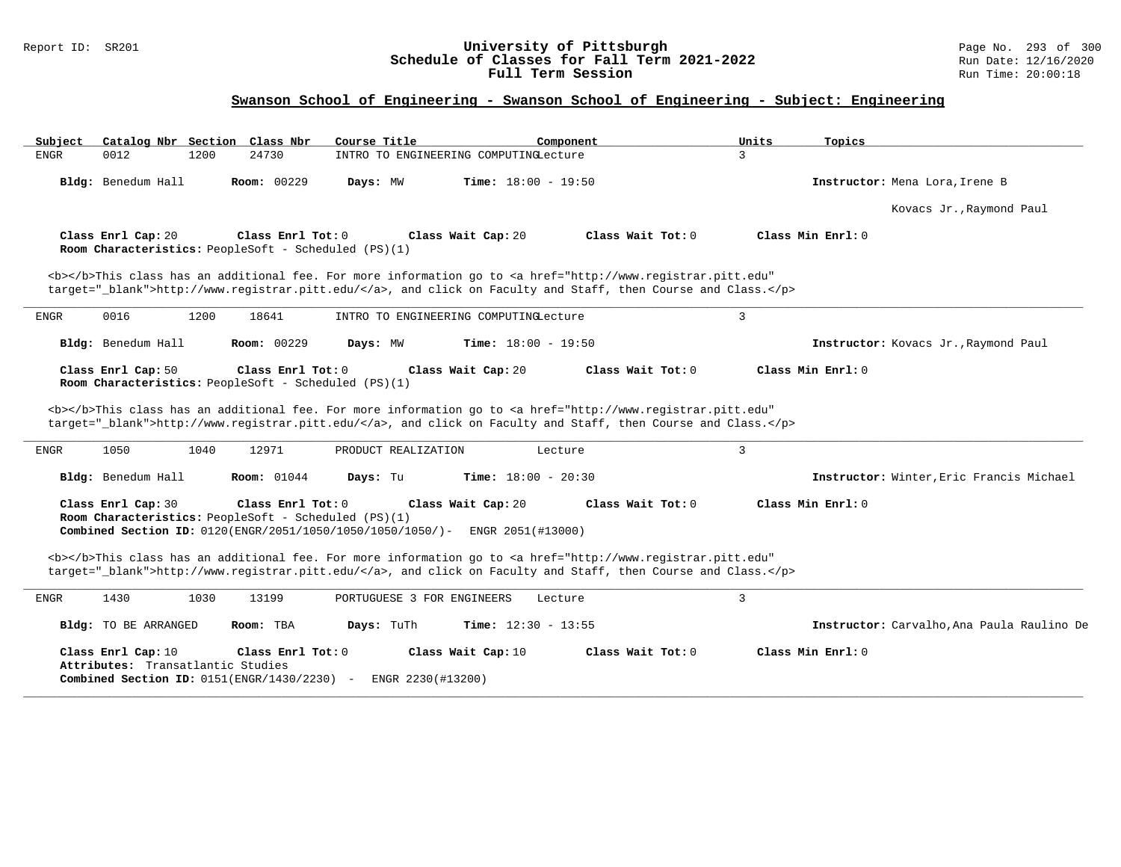## Report ID: SR201 **University of Pittsburgh** Page No. 293 of 300 **Schedule of Classes for Fall Term 2021-2022** Run Date: 12/16/2020 **Full Term Session Rundall Term Session Rundall Term Session**

# **Swanson School of Engineering - Swanson School of Engineering - Subject: Engineering**

| Subject<br>Catalog Nbr Section Class Nbr                                                                                                                                                                                                                                                                                                                                                                             | Course Title                            | Component                    | Units<br>Topics     |                                            |
|----------------------------------------------------------------------------------------------------------------------------------------------------------------------------------------------------------------------------------------------------------------------------------------------------------------------------------------------------------------------------------------------------------------------|-----------------------------------------|------------------------------|---------------------|--------------------------------------------|
| 0012<br>24730<br><b>ENGR</b><br>1200                                                                                                                                                                                                                                                                                                                                                                                 | INTRO TO ENGINEERING COMPUTINGLecture   |                              | 3                   |                                            |
| Room: 00229<br>Bldg: Benedum Hall                                                                                                                                                                                                                                                                                                                                                                                    | Days: MW                                | <b>Time:</b> $18:00 - 19:50$ |                     | Instructor: Mena Lora, Irene B             |
|                                                                                                                                                                                                                                                                                                                                                                                                                      |                                         |                              |                     | Kovacs Jr., Raymond Paul                   |
| Class Enrl Cap: 20<br>Class Enrl Tot: 0<br>Room Characteristics: PeopleSoft - Scheduled (PS)(1)                                                                                                                                                                                                                                                                                                                      | Class Wait Cap: 20                      | Class Wait Tot: 0            | Class Min Enrl: 0   |                                            |
| <b></b> This class has an additional fee. For more information go to <a <br="" href="http://www.registrar.pitt.edu">target="_blank"&gt;http://www.registrar.pitt.edu/</a> , and click on Faculty and Staff, then Course and Class.                                                                                                                                                                                   |                                         |                              |                     |                                            |
| 0016<br>1200<br>18641<br>ENGR                                                                                                                                                                                                                                                                                                                                                                                        | INTRO TO ENGINEERING COMPUTINGLecture   |                              | $\overline{3}$      |                                            |
| Bldg: Benedum Hall<br>Room: 00229                                                                                                                                                                                                                                                                                                                                                                                    | Days: MW                                | <b>Time:</b> $18:00 - 19:50$ |                     | Instructor: Kovacs Jr., Raymond Paul       |
| Class Enrl Cap: 50<br>Class Enrl Tot: 0<br>Room Characteristics: PeopleSoft - Scheduled (PS)(1)                                                                                                                                                                                                                                                                                                                      | Class Wait Cap: 20                      | Class Wait Tot: 0            | Class Min Enrl: 0   |                                            |
| <b></b> This class has an additional fee. For more information go to <a <br="" href="http://www.registrar.pitt.edu">target=" blank"&gt;http://www.registrar.pitt.edu/</a> , and click on Faculty and Staff, then Course and Class.<br>1050<br>1040<br>12971<br>ENGR                                                                                                                                                  | PRODUCT REALIZATION                     | Lecture                      | 3                   |                                            |
| Bldg: Benedum Hall<br><b>Room:</b> 01044                                                                                                                                                                                                                                                                                                                                                                             | Days: Tu                                | Time: $18:00 - 20:30$        |                     | Instructor: Winter, Eric Francis Michael   |
| Class Enrl Cap: 30<br>Class Enrl Tot: 0<br>Room Characteristics: PeopleSoft - Scheduled (PS)(1)<br>Combined Section ID: 0120(ENGR/2051/1050/1050/1050/1050/)- ENGR 2051(#13000)<br><b></b> This class has an additional fee. For more information go to <a <="" href="http://www.registrar.pitt.edu" td=""><td>Class Wait Cap: 20</td><td>Class Wait Tot: 0</td><td>Class Min <math>Enr1: 0</math></td><td></td></a> | Class Wait Cap: 20                      | Class Wait Tot: 0            | Class Min $Enr1: 0$ |                                            |
| target=" blank">http://www.registrar.pitt.edu/, and click on Faculty and Staff, then Course and Class.                                                                                                                                                                                                                                                                                                               |                                         |                              |                     |                                            |
| <b>ENGR</b><br>1430<br>1030<br>13199                                                                                                                                                                                                                                                                                                                                                                                 | PORTUGUESE 3 FOR ENGINEERS              | Lecture                      | $\overline{3}$      |                                            |
| Bldg: TO BE ARRANGED<br>Room: TBA                                                                                                                                                                                                                                                                                                                                                                                    | Days: TuTh                              | <b>Time:</b> $12:30 - 13:55$ |                     | Instructor: Carvalho, Ana Paula Raulino De |
| Class Enrl Cap: 10<br>Class Enrl Tot: $0$<br>Attributes: Transatlantic Studies<br>Combined Section ID: $0151$ (ENGR/1430/2230) -                                                                                                                                                                                                                                                                                     | Class Wait Cap: 10<br>ENGR 2230(#13200) | Class Wait Tot: $0$          | Class Min Enrl: 0   |                                            |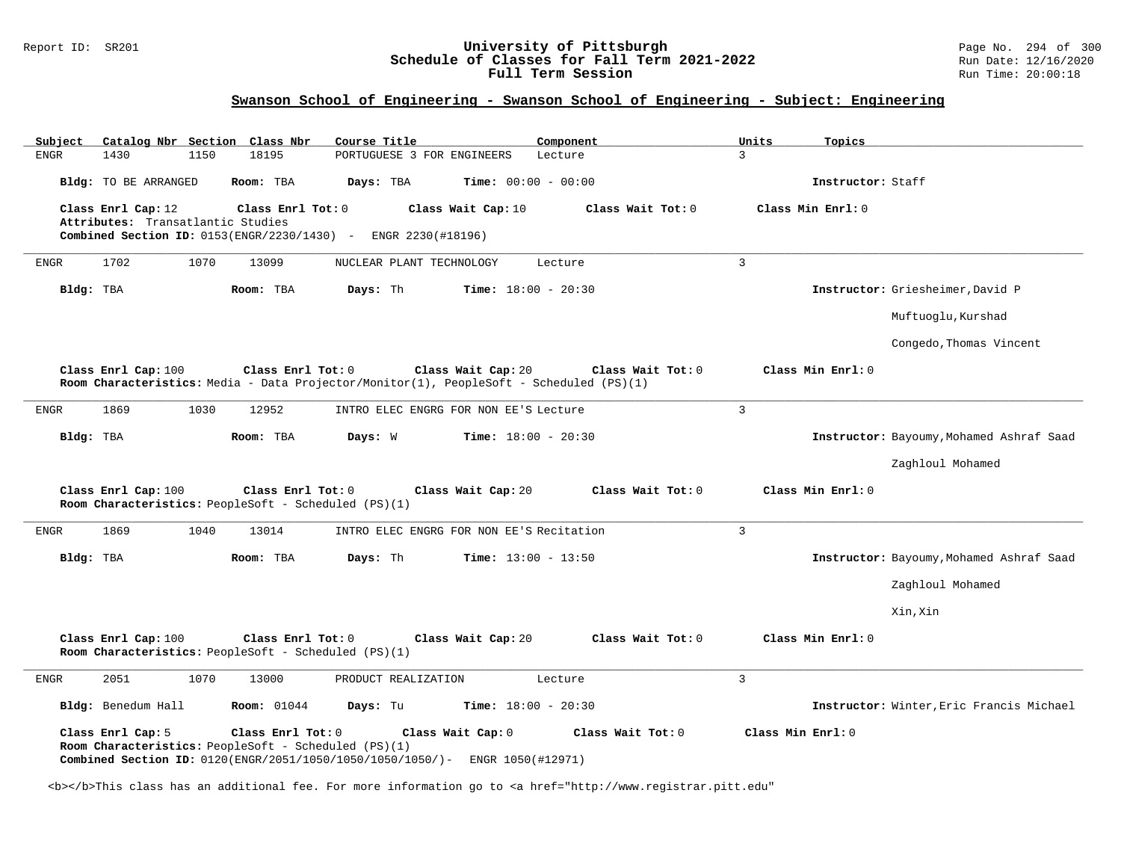#### Report ID: SR201 **University of Pittsburgh** Page No. 294 of 300 **Schedule of Classes for Fall Term 2021-2022** Run Date: 12/16/2020 **Full Term Session Rundall Term Session Rundall Term Session**

# **Swanson School of Engineering - Swanson School of Engineering - Subject: Engineering**

| Subject     |                                                         |      | Catalog Nbr Section Class Nbr                                             | Course Title                                                         |                                        | Component                                                                                                    |                | Units | Topics                                   |
|-------------|---------------------------------------------------------|------|---------------------------------------------------------------------------|----------------------------------------------------------------------|----------------------------------------|--------------------------------------------------------------------------------------------------------------|----------------|-------|------------------------------------------|
| <b>ENGR</b> | 1430                                                    | 1150 | 18195                                                                     | PORTUGUESE 3 FOR ENGINEERS                                           |                                        | Lecture                                                                                                      | $\overline{3}$ |       |                                          |
|             | Bldg: TO BE ARRANGED                                    |      | Room: TBA                                                                 | Days: TBA                                                            | <b>Time:</b> $00:00 - 00:00$           |                                                                                                              |                |       | Instructor: Staff                        |
|             | Class Enrl Cap: 12<br>Attributes: Transatlantic Studies |      | Class Enrl Tot: 0                                                         | Combined Section ID: 0153(ENGR/2230/1430) - ENGR 2230(#18196)        | Class Wait Cap: 10                     | Class Wait Tot: 0                                                                                            |                |       | Class Min Enrl: 0                        |
| ENGR        | 1702                                                    | 1070 | 13099                                                                     | NUCLEAR PLANT TECHNOLOGY                                             |                                        | Lecture                                                                                                      | $\overline{3}$ |       |                                          |
| Bldg: TBA   |                                                         |      | Room: TBA                                                                 | Days: Th                                                             | <b>Time:</b> $18:00 - 20:30$           |                                                                                                              |                |       | Instructor: Griesheimer, David P         |
|             |                                                         |      |                                                                           |                                                                      |                                        |                                                                                                              |                |       | Muftuoglu, Kurshad                       |
|             |                                                         |      |                                                                           |                                                                      |                                        |                                                                                                              |                |       | Congedo, Thomas Vincent                  |
|             | Class Enrl Cap: 100                                     |      | Class Enrl Tot: 0                                                         |                                                                      | Class Wait Cap: 20                     | Class Wait Tot: 0<br>Room Characteristics: Media - Data Projector/Monitor(1), PeopleSoft - Scheduled (PS)(1) |                |       | Class Min Enrl: 0                        |
| ENGR        | 1869                                                    | 1030 | 12952                                                                     | INTRO ELEC ENGRG FOR NON EE'S Lecture                                |                                        |                                                                                                              | $\overline{3}$ |       |                                          |
| Bldg: TBA   |                                                         |      | Room: TBA                                                                 | Days: W                                                              | <b>Time:</b> $18:00 - 20:30$           |                                                                                                              |                |       | Instructor: Bayoumy, Mohamed Ashraf Saad |
|             |                                                         |      |                                                                           |                                                                      |                                        |                                                                                                              |                |       | Zaghloul Mohamed                         |
|             | Class Enrl Cap: 100                                     |      | Class Enrl Tot: 0<br>Room Characteristics: PeopleSoft - Scheduled (PS)(1) |                                                                      | Class Wait Cap: 20                     | Class Wait Tot: 0                                                                                            |                |       | Class Min Enrl: 0                        |
| ENGR        | 1869                                                    | 1040 | 13014                                                                     | INTRO ELEC ENGRG FOR NON EE'S Recitation                             |                                        |                                                                                                              | $\overline{3}$ |       |                                          |
| Bldg: TBA   |                                                         |      | Room: TBA                                                                 | Days: Th                                                             | <b>Time:</b> $13:00 - 13:50$           |                                                                                                              |                |       | Instructor: Bayoumy, Mohamed Ashraf Saad |
|             |                                                         |      |                                                                           |                                                                      |                                        |                                                                                                              |                |       | Zaghloul Mohamed                         |
|             |                                                         |      |                                                                           |                                                                      |                                        |                                                                                                              |                |       | Xin, Xin                                 |
|             | Class Enrl Cap: 100                                     |      | Class Enrl Tot: 0<br>Room Characteristics: PeopleSoft - Scheduled (PS)(1) |                                                                      | Class Wait Cap: 20                     | Class Wait Tot: 0                                                                                            |                |       | Class Min Enrl: 0                        |
| ENGR        | 2051                                                    | 1070 | 13000                                                                     | PRODUCT REALIZATION                                                  |                                        | Lecture                                                                                                      | 3              |       |                                          |
|             | Bldg: Benedum Hall                                      |      | <b>Room:</b> 01044                                                        | Days: Tu                                                             | <b>Time:</b> $18:00 - 20:30$           |                                                                                                              |                |       | Instructor: Winter, Eric Francis Michael |
|             | Class Enrl Cap: 5                                       |      | Class Enrl Tot: 0<br>Room Characteristics: PeopleSoft - Scheduled (PS)(1) | <b>Combined Section ID:</b> $0120$ (ENGR/2051/1050/1050/1050/1050/)- | Class Wait Cap: 0<br>ENGR 1050(#12971) | Class Wait Tot: 0                                                                                            |                |       | Class Min Enrl: 0                        |

<b></b>This class has an additional fee. For more information go to <a href="http://www.registrar.pitt.edu"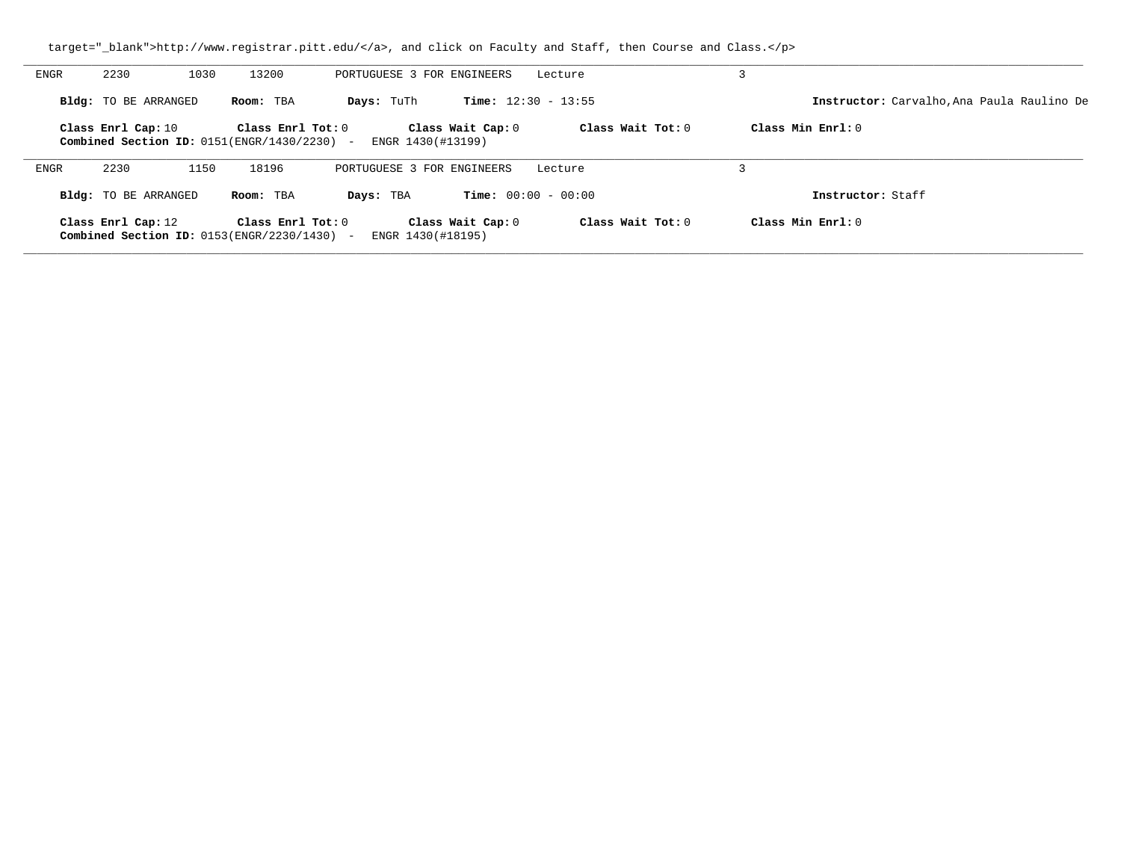| ENGR | 2230<br>1030                                                         | 13200                   | PORTUGUESE 3 FOR ENGINEERS |                              | Lecture             |                                            |
|------|----------------------------------------------------------------------|-------------------------|----------------------------|------------------------------|---------------------|--------------------------------------------|
|      | Bldg: TO BE ARRANGED                                                 | Room: TBA               | Days: TuTh                 | <b>Time:</b> $12:30 - 13:55$ |                     | Instructor: Carvalho, Ana Paula Raulino De |
|      | Class Enrl Cap: 10<br>Combined Section ID: $0151$ (ENGR/1430/2230) - | $Class$ $Enr1$ $Tot: 0$ | ENGR 1430(#13199)          | Class Wait Cap: 0            | Class Wait Tot: 0   | Class Min $Err1:0$                         |
| ENGR | 2230<br>1150                                                         | 18196                   | PORTUGUESE 3 FOR ENGINEERS |                              | Lecture             |                                            |
|      | Bldg: TO BE ARRANGED                                                 | Room: TBA               | Days: TBA                  | <b>Time:</b> $00:00 - 00:00$ |                     | Instructor: Staff                          |
|      | Class Enrl Cap: 12<br>Combined Section ID: $0153$ (ENGR/2230/1430) - | Class Enrl Tot: $0$     | ENGR 1430(#18195)          | Class Wait Cap: 0            | Class Wait Tot: $0$ | Class Min Enrl: 0                          |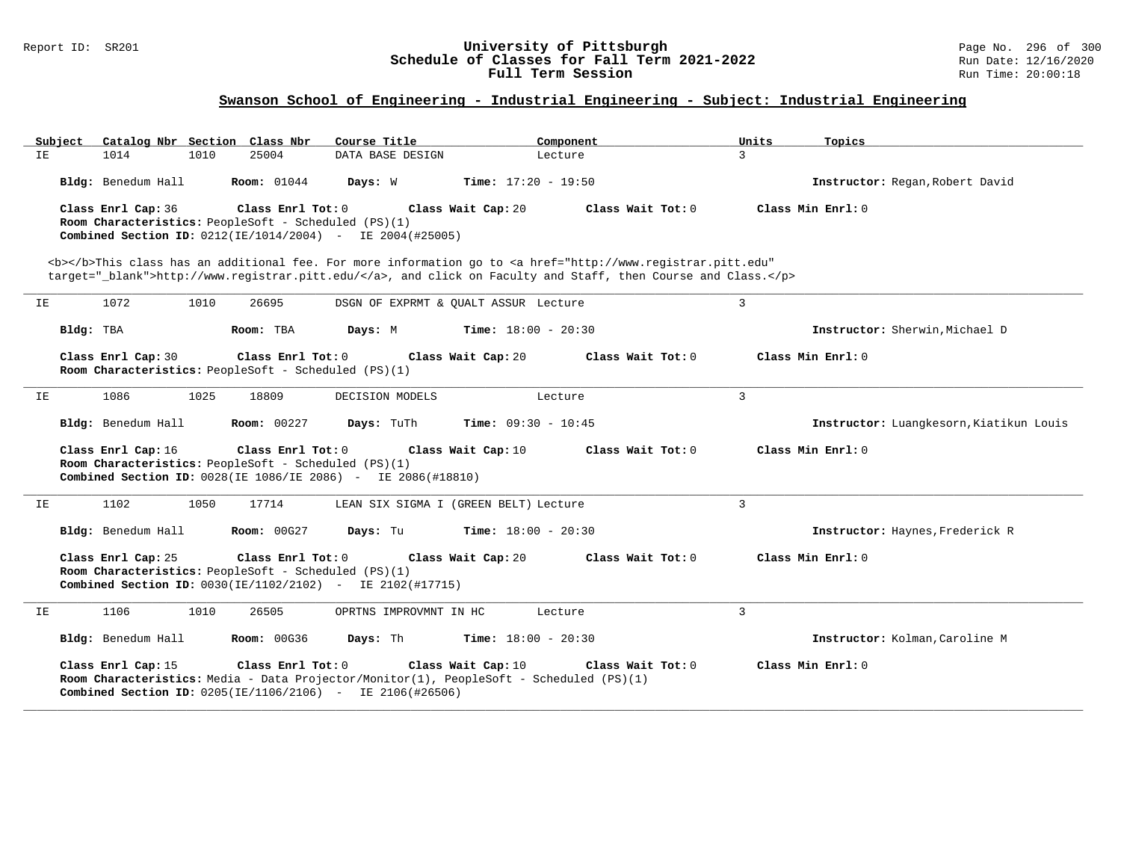#### Report ID: SR201 **University of Pittsburgh** Page No. 296 of 300 **Schedule of Classes for Fall Term 2021-2022** Run Date: 12/16/2020 **Full Term Session Rundall Term Session Rundall Term Session**

# **Swanson School of Engineering - Industrial Engineering - Subject: Industrial Engineering**

| Subject   | Catalog Nbr Section Class Nbr                                              |                     | Course Title                                                                                                                                                               | Component                                                                                                                                                                            | Units          | Topics                                  |
|-----------|----------------------------------------------------------------------------|---------------------|----------------------------------------------------------------------------------------------------------------------------------------------------------------------------|--------------------------------------------------------------------------------------------------------------------------------------------------------------------------------------|----------------|-----------------------------------------|
| IE        | 1014<br>1010                                                               | 25004               | DATA BASE DESIGN                                                                                                                                                           | Lecture                                                                                                                                                                              | 3              |                                         |
|           | Bldg: Benedum Hall                                                         | <b>Room:</b> 01044  | Days: W                                                                                                                                                                    | <b>Time:</b> $17:20 - 19:50$                                                                                                                                                         |                | Instructor: Regan, Robert David         |
|           | Class Enrl Cap: 36<br>Room Characteristics: PeopleSoft - Scheduled (PS)(1) | Class Enrl Tot: 0   | Class Wait Cap: 20<br><b>Combined Section ID:</b> $0212(IE/1014/2004)$ - IE $2004(H25005)$                                                                                 | Class Wait Tot: 0<br><b></b> This class has an additional fee. For more information go to <a <="" href="http://www.registrar.pitt.edu" td=""><td></td><td>Class Min Enrl: 0</td></a> |                | Class Min Enrl: 0                       |
|           |                                                                            |                     |                                                                                                                                                                            | target="_blank">http://www.registrar.pitt.edu/, and click on Faculty and Staff, then Course and Class.                                                                               |                |                                         |
| IE        | 1072<br>1010                                                               | 26695               | DSGN OF EXPRMT & QUALT ASSUR Lecture                                                                                                                                       |                                                                                                                                                                                      | 3              |                                         |
| Bldg: TBA |                                                                            | Room: TBA           | Days: M                                                                                                                                                                    | <b>Time:</b> $18:00 - 20:30$                                                                                                                                                         |                | Instructor: Sherwin, Michael D          |
|           | Class Enrl Cap: 30<br>Room Characteristics: PeopleSoft - Scheduled (PS)(1) | Class Enrl Tot: $0$ | Class Wait Cap: 20                                                                                                                                                         | Class Wait $Tot: 0$                                                                                                                                                                  |                | Class Min Enrl: 0                       |
| ΙE        | 1086<br>1025                                                               | 18809               | DECISION MODELS                                                                                                                                                            | Lecture                                                                                                                                                                              | 3              |                                         |
|           | Bldg: Benedum Hall                                                         | <b>Room: 00227</b>  | Days: TuTh                                                                                                                                                                 | <b>Time:</b> $09:30 - 10:45$                                                                                                                                                         |                | Instructor: Luangkesorn, Kiatikun Louis |
|           | Class Enrl Cap: 16<br>Room Characteristics: PeopleSoft - Scheduled (PS)(1) | Class Enrl Tot: 0   | Class Wait Cap: 10<br>Combined Section ID: 0028(IE 1086/IE 2086) - IE 2086(#18810)                                                                                         | Class Wait Tot: 0                                                                                                                                                                    |                | Class Min $Enr1: 0$                     |
| IE        | 1102<br>1050                                                               | 17714               | LEAN SIX SIGMA I (GREEN BELT) Lecture                                                                                                                                      |                                                                                                                                                                                      | $\overline{3}$ |                                         |
|           | Bldg: Benedum Hall                                                         | <b>Room: 00G27</b>  | Days: Tu                                                                                                                                                                   | <b>Time:</b> $18:00 - 20:30$                                                                                                                                                         |                | Instructor: Haynes, Frederick R         |
|           | Class Enrl Cap: 25<br>Room Characteristics: PeopleSoft - Scheduled (PS)(1) | Class Enrl Tot: 0   | Class Wait Cap: 20<br>Combined Section ID: 0030(IE/1102/2102) - IE 2102(#17715)                                                                                            | Class Wait Tot: 0                                                                                                                                                                    |                | Class Min Enrl: 0                       |
| IΕ        | 1106<br>1010                                                               | 26505               | OPRTNS IMPROVMNT IN HC                                                                                                                                                     | Lecture                                                                                                                                                                              | $\overline{3}$ |                                         |
|           | Bldg: Benedum Hall                                                         | <b>Room: 00G36</b>  | Days: Th                                                                                                                                                                   | <b>Time:</b> $18:00 - 20:30$                                                                                                                                                         |                | Instructor: Kolman, Caroline M          |
|           | Class Enrl Cap: 15                                                         | Class Enrl Tot: 0   | Class Wait Cap: 10<br>Room Characteristics: Media - Data Projector/Monitor(1), PeopleSoft - Scheduled (PS)(1)<br>Combined Section ID: 0205(IE/1106/2106) - IE 2106(#26506) | Class Wait Tot: 0                                                                                                                                                                    |                | Class Min Enrl: 0                       |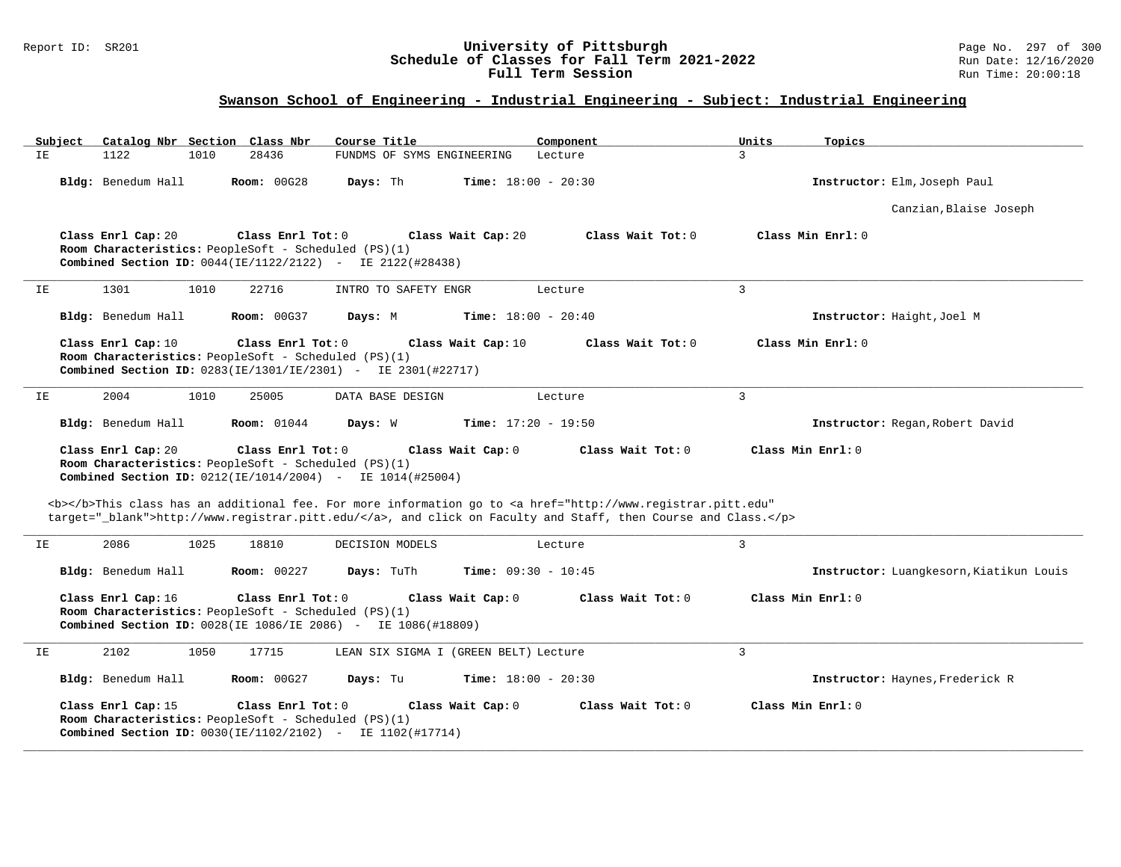## Report ID: SR201 **University of Pittsburgh** Page No. 297 of 300 **Schedule of Classes for Fall Term 2021-2022** Run Date: 12/16/2020 **Full Term Session Rundall Term Session Rundall Term Session**

# **Swanson School of Engineering - Industrial Engineering - Subject: Industrial Engineering**

| Subject<br>Catalog Nbr Section Class Nbr | Course Title                                                                                                                                                                                                                                                                                                                                                 | Component           | Units<br>Topics                         |
|------------------------------------------|--------------------------------------------------------------------------------------------------------------------------------------------------------------------------------------------------------------------------------------------------------------------------------------------------------------------------------------------------------------|---------------------|-----------------------------------------|
| 1122<br>1010<br>ΙE.                      | 28436<br>FUNDMS OF SYMS ENGINEERING                                                                                                                                                                                                                                                                                                                          | Lecture             | $\mathcal{L}$                           |
| Bldg: Benedum Hall                       | Room: 00G28<br>Days: Th<br><b>Time:</b> $18:00 - 20:30$                                                                                                                                                                                                                                                                                                      |                     | Instructor: Elm, Joseph Paul            |
|                                          |                                                                                                                                                                                                                                                                                                                                                              |                     | Canzian, Blaise Joseph                  |
| Class Enrl Cap: 20                       | Class Enrl Tot: 0<br>Class Wait Cap: 20<br>Room Characteristics: PeopleSoft - Scheduled (PS)(1)<br><b>Combined Section ID:</b> $0044(IE/1122/2122)$ - IE $2122(#28438)$                                                                                                                                                                                      | Class Wait Tot: 0   | Class Min Enrl: 0                       |
| 1301<br>1010<br>IE                       | 22716<br>INTRO TO SAFETY ENGR                                                                                                                                                                                                                                                                                                                                | Lecture             | $\overline{3}$                          |
| Bldg: Benedum Hall                       | <b>Room: 00G37</b><br>Days: M<br><b>Time:</b> $18:00 - 20:40$                                                                                                                                                                                                                                                                                                |                     | Instructor: Haight, Joel M              |
| Class Enrl Cap: 10                       | Class Enrl Tot: 0<br>Class Wait Cap: 10<br>Room Characteristics: PeopleSoft - Scheduled (PS)(1)<br><b>Combined Section ID:</b> $0283(IE/1301/IE/2301)$ - IE $2301(H22717)$                                                                                                                                                                                   | Class Wait Tot: 0   | Class Min Enrl: 0                       |
| IΕ<br>2004<br>1010                       | 25005<br>DATA BASE DESIGN                                                                                                                                                                                                                                                                                                                                    | Lecture             | 3                                       |
| Bldg: Benedum Hall                       | <b>Room:</b> 01044<br>Days: W<br><b>Time:</b> $17:20 - 19:50$                                                                                                                                                                                                                                                                                                |                     | Instructor: Regan, Robert David         |
| Class Enrl Cap: 20                       | Class Enrl Tot: 0<br>Class Wait Cap: 0<br>Room Characteristics: PeopleSoft - Scheduled (PS)(1)<br><b>Combined Section ID:</b> $0212$ (IE/1014/2004) - IE $1014$ (#25004)<br><b></b> This class has an additional fee. For more information go to <a <="" href="http://www.registrar.pitt.edu" th=""><th>Class Wait Tot: 0</th><th>Class Min Enrl: 0</th></a> | Class Wait Tot: 0   | Class Min Enrl: 0                       |
|                                          | target="_blank">http://www.registrar.pitt.edu/, and click on Faculty and Staff, then Course and Class.                                                                                                                                                                                                                                                       |                     |                                         |
| 2086<br>1025<br>IE                       | 18810<br>DECISION MODELS                                                                                                                                                                                                                                                                                                                                     | Lecture             | $\overline{3}$                          |
| Bldg: Benedum Hall                       | Room: 00227<br>Days: TuTh<br><b>Time:</b> $09:30 - 10:45$                                                                                                                                                                                                                                                                                                    |                     | Instructor: Luangkesorn, Kiatikun Louis |
| Class Enrl Cap: 16                       | Class Enrl Tot: 0<br>Class Wait Cap: 0<br>Room Characteristics: PeopleSoft - Scheduled (PS)(1)<br><b>Combined Section ID:</b> 0028(IE 1086/IE 2086) - IE 1086(#18809)                                                                                                                                                                                        | Class Wait Tot: 0   | Class Min Enrl: 0                       |
| 2102<br>1050<br>IE                       | 17715<br>LEAN SIX SIGMA I (GREEN BELT) Lecture                                                                                                                                                                                                                                                                                                               |                     | 3                                       |
| Bldg: Benedum Hall                       | Room: 00G27<br>Days: Tu<br><b>Time:</b> $18:00 - 20:30$                                                                                                                                                                                                                                                                                                      |                     | Instructor: Haynes, Frederick R         |
| Class Enrl Cap: 15                       | Class Enrl Tot: $0$<br>Class Wait Cap: 0<br>Room Characteristics: PeopleSoft - Scheduled (PS)(1)<br><b>Combined Section ID:</b> $0030$ (IE/1102/2102) - IE 1102(#17714)                                                                                                                                                                                      | Class Wait $Tot: 0$ | Class Min Enrl: 0                       |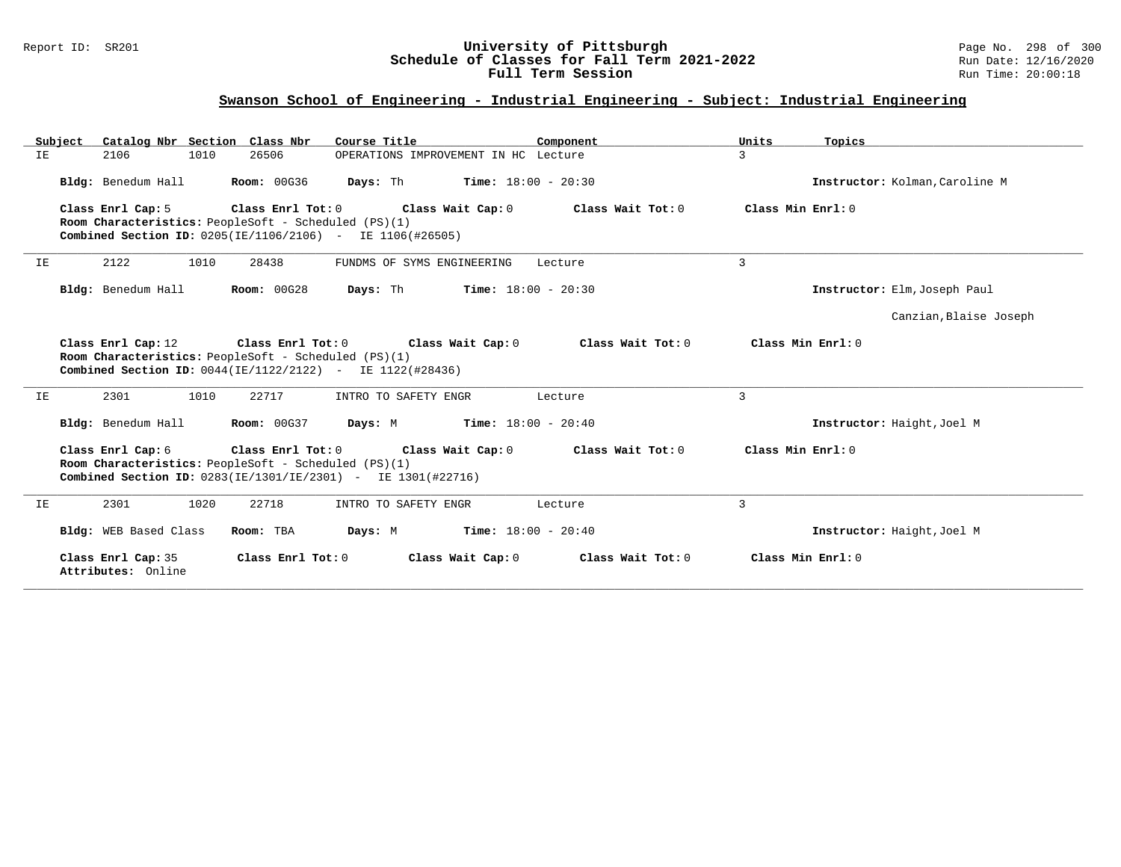## Report ID: SR201 **University of Pittsburgh** Page No. 298 of 300 **Schedule of Classes for Fall Term 2021-2022** Run Date: 12/16/2020 **Full Term Session Rundall Term Session Rundall Term Session**

# **Swanson School of Engineering - Industrial Engineering - Subject: Industrial Engineering**

|    | Subject Catalog Nbr Section Class Nbr                                                                                                                                                                                      |                    | Course Title                                           | Component                    | Units<br>Topics                |  |  |  |
|----|----------------------------------------------------------------------------------------------------------------------------------------------------------------------------------------------------------------------------|--------------------|--------------------------------------------------------|------------------------------|--------------------------------|--|--|--|
| IΕ | 2106<br>1010                                                                                                                                                                                                               | 26506              | OPERATIONS IMPROVEMENT IN HC Lecture                   |                              | $\mathbf{3}$                   |  |  |  |
|    | Bldg: Benedum Hall                                                                                                                                                                                                         | <b>Room: 00G36</b> | Days: Th                                               | <b>Time:</b> $18:00 - 20:30$ | Instructor: Kolman, Caroline M |  |  |  |
|    | Room Characteristics: PeopleSoft - Scheduled (PS)(1)<br><b>Combined Section ID:</b> $0205(IE/1106/2106) - IE 1106(#26505)$                                                                                                 |                    | Class Enrl Cap: 5 Class Enrl Tot: 0 Class Wait Cap: 0  | Class Wait Tot: 0            | Class Min Enrl: 0              |  |  |  |
| IE | 1010<br>2122                                                                                                                                                                                                               | 28438              | FUNDMS OF SYMS ENGINEERING                             | Lecture                      | 3                              |  |  |  |
|    | Bldg: Benedum Hall<br><b>Room: 00G28</b><br><b>Time:</b> $18:00 - 20:30$<br>Days: Th                                                                                                                                       |                    | Instructor: Elm, Joseph Paul                           |                              |                                |  |  |  |
|    |                                                                                                                                                                                                                            |                    |                                                        |                              | Canzian, Blaise Joseph         |  |  |  |
|    | Room Characteristics: PeopleSoft - Scheduled (PS)(1)<br>Combined Section ID: 0044(IE/1122/2122) - IE 1122(#28436)                                                                                                          |                    | Class Enrl Cap: 12 Class Enrl Tot: 0 Class Wait Cap: 0 | Class Wait Tot: $0$          | Class Min Enrl: 0              |  |  |  |
| ΙE | 1010<br>2301                                                                                                                                                                                                               | 22717              | INTRO TO SAFETY ENGR                                   | Lecture                      | 3                              |  |  |  |
|    | Bldg: Benedum Hall                                                                                                                                                                                                         | <b>Room: 00G37</b> | <b>Days:</b> M <b>Time:</b> $18:00 - 20:40$            |                              | Instructor: Haight, Joel M     |  |  |  |
|    | Class Enrl Tot: 0 Class Wait Cap: 0<br>Class Min Enrl: 0<br>Class Enrl Cap: 6<br>Class Wait Tot: 0<br>Room Characteristics: PeopleSoft - Scheduled (PS)(1)<br>Combined Section ID: 0283(IE/1301/IE/2301) - IE 1301(#22716) |                    |                                                        |                              |                                |  |  |  |
| IE | 1020<br>2301                                                                                                                                                                                                               | 22718              | INTRO TO SAFETY ENGR                                   | Lecture                      | 3                              |  |  |  |
|    | Bldg: WEB Based Class                                                                                                                                                                                                      | Room: TBA          | Days: M                                                | $Time: 18:00 - 20:40$        | Instructor: Haight, Joel M     |  |  |  |
|    | Class Enrl Cap: 35<br>Attributes: Online                                                                                                                                                                                   | Class Enrl Tot: 0  | Class Wait Cap: 0                                      | Class Wait Tot: 0            | Class Min Enrl: $0$            |  |  |  |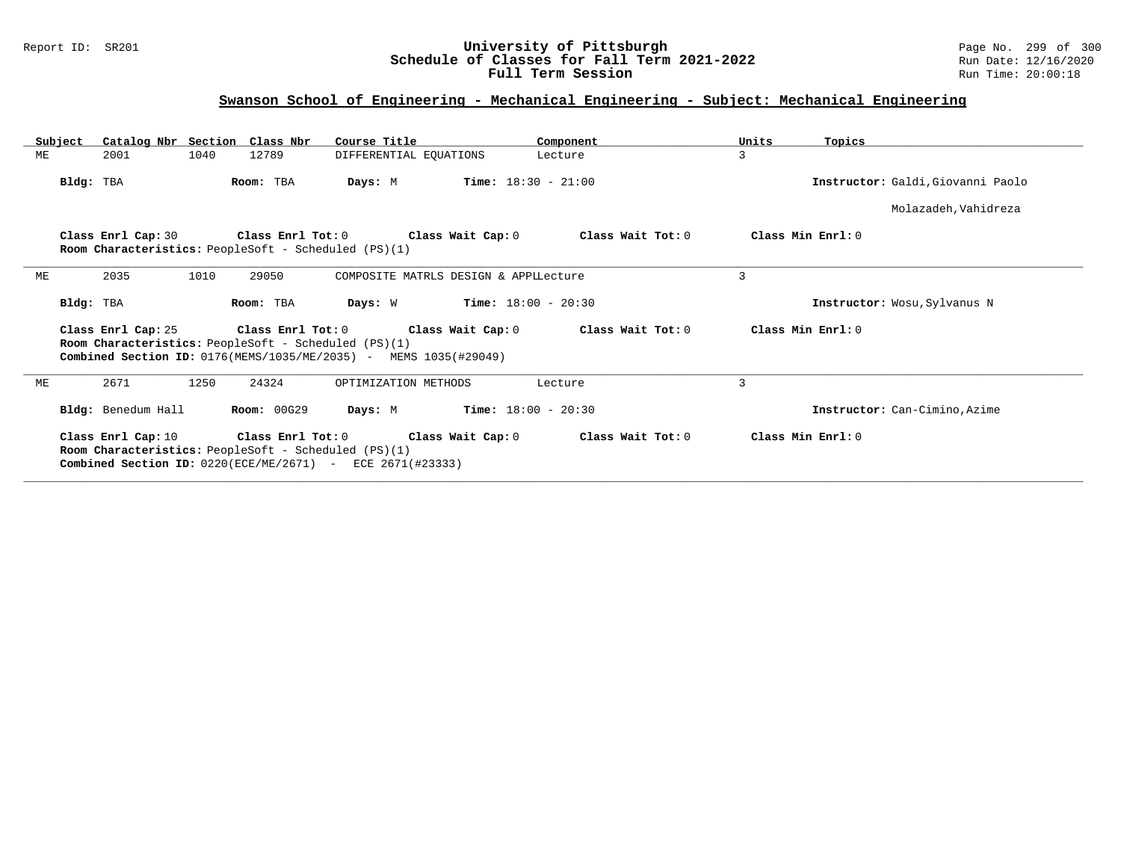## Report ID: SR201 **University of Pittsburgh** Page No. 299 of 300 **Schedule of Classes for Fall Term 2021-2022** Run Date: 12/16/2020 **Full Term Session Rundall Term Session Rundall Term Session**

# **Swanson School of Engineering - Mechanical Engineering - Subject: Mechanical Engineering**

| Subject                                                                                                                                                                                                                                  | Catalog Nbr Section Class Nbr                                                                                                                                                                                                   |                    | Course Title                        | Component                             |                   | Units | Topics                           |  |  |
|------------------------------------------------------------------------------------------------------------------------------------------------------------------------------------------------------------------------------------------|---------------------------------------------------------------------------------------------------------------------------------------------------------------------------------------------------------------------------------|--------------------|-------------------------------------|---------------------------------------|-------------------|-------|----------------------------------|--|--|
| ME                                                                                                                                                                                                                                       | 1040<br>2001                                                                                                                                                                                                                    | 12789              | DIFFERENTIAL EQUATIONS              | Lecture                               |                   | 3     |                                  |  |  |
|                                                                                                                                                                                                                                          | Bldg: TBA                                                                                                                                                                                                                       | Room: TBA          | Days: M                             | <b>Time:</b> $18:30 - 21:00$          |                   |       | Instructor: Galdi Giovanni Paolo |  |  |
|                                                                                                                                                                                                                                          |                                                                                                                                                                                                                                 |                    |                                     |                                       |                   |       | Molazadeh, Vahidreza             |  |  |
|                                                                                                                                                                                                                                          | Class Enrl Cap: 30<br>Room Characteristics: PeopleSoft - Scheduled (PS)(1)                                                                                                                                                      |                    | Class Enrl Tot: 0 Class Wait Cap: 0 |                                       | Class Wait Tot: 0 |       | Class Min Enrl: 0                |  |  |
| ME                                                                                                                                                                                                                                       | 2035<br>1010                                                                                                                                                                                                                    | 29050              |                                     | COMPOSITE MATRLS DESIGN & APPILecture |                   | 3     |                                  |  |  |
|                                                                                                                                                                                                                                          | Bldg: TBA                                                                                                                                                                                                                       | Room: TBA          | Days: W                             | $Time: 18:00 - 20:30$                 |                   |       | Instructor: Wosu, Sylvanus N     |  |  |
|                                                                                                                                                                                                                                          | Class Min Enrl: 0<br>Class Enrl Cap: 25<br>Class Enrl Tot: 0 Class Wait Cap: 0<br>Class Wait Tot: 0<br>Room Characteristics: PeopleSoft - Scheduled (PS)(1)<br>Combined Section ID: 0176(MEMS/1035/ME/2035) - MEMS 1035(#29049) |                    |                                     |                                       |                   |       |                                  |  |  |
| ME                                                                                                                                                                                                                                       | 1250<br>2671                                                                                                                                                                                                                    | 24324              | OPTIMIZATION METHODS                | Lecture                               |                   | 3     |                                  |  |  |
|                                                                                                                                                                                                                                          | Bldg: Benedum Hall                                                                                                                                                                                                              | <b>Room: 00G29</b> | Days: M                             | $Time: 18:00 - 20:30$                 |                   |       | Instructor: Can-Cimino, Azime    |  |  |
| Class Enrl Tot: 0<br>Class Wait Cap: 0<br>Class Min Enrl: 0<br>Class Enrl Cap: 10<br>Class Wait Tot: 0<br>Room Characteristics: PeopleSoft - Scheduled (PS)(1)<br><b>Combined Section ID:</b> $0220$ (ECE/ME/2671) - ECE $2671$ (#23333) |                                                                                                                                                                                                                                 |                    |                                     |                                       |                   |       |                                  |  |  |